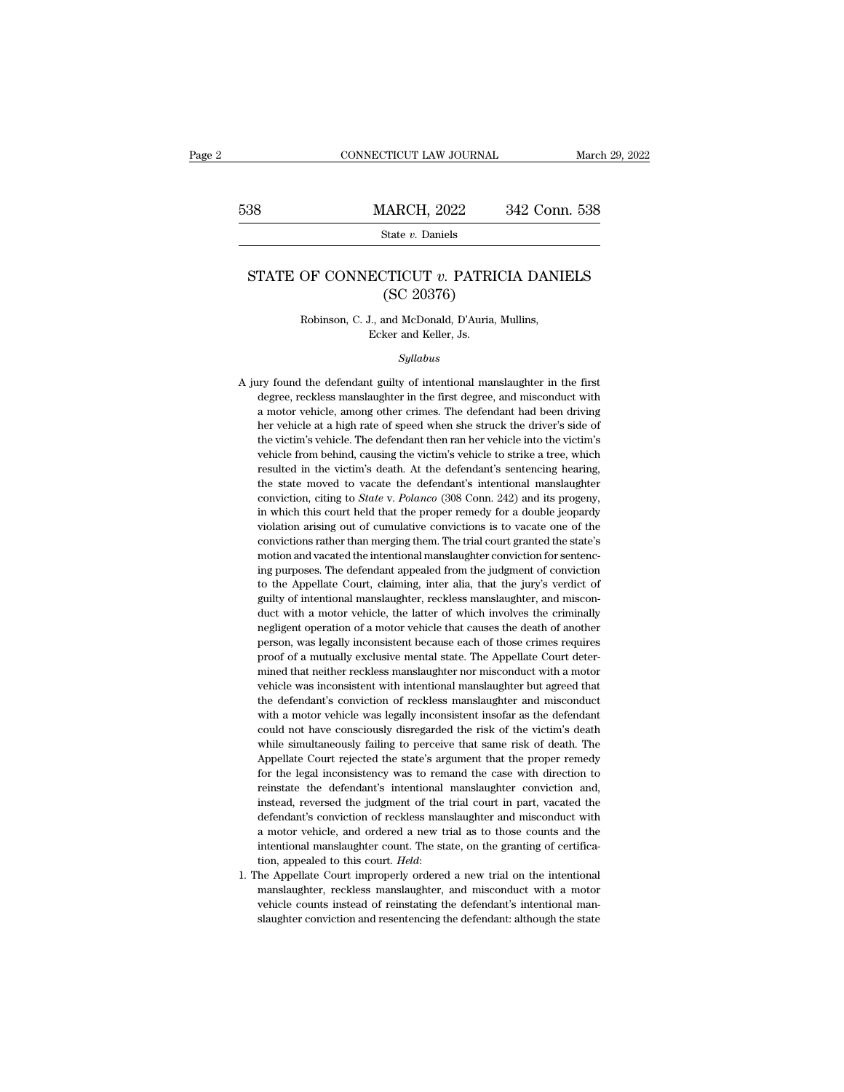# EXECUTE CONNECTICUT LAW JOURNAL March 29, 2022<br>
538 MARCH, 2022 342 Conn. 538<br>
54te v. Daniels

State *v.* Daniels

# MARCH, 2022 342 Conn. 538<br>
State *v*. Daniels<br>
STATE OF CONNECTICUT *v*. PATRICIA DANIELS<br>
(SC 20376)  $\begin{array}{lll} \text{LARCH, 2022} & \text{S} \ \text{State $v$. Daniels} \ \text{CTICUT $v$. PATRICIC} \ \text{(SC 20376)} \ \text{and McDonald, D'Auria, M} \end{array}$ State v. Banklis<br>
OF CONNECTICUT v. PATRICIA DANI<br>
(SC 20376)<br>
Robinson, C. J., and McDonald, D'Auria, Mullins,<br>
Ecker and Keller, Js. ECTICUT v. PATRI<br>
(SC 20376)<br>
L., and McDonald, D'Auria<br>
Ecker and Keller, Js.<br>
Sullabus

*Syllabus*

Robinson, C. J., and McDonald, D'Auria, Mullins,<br>Ecker and Keller, Js.<br>Syllabus<br>A jury found the defendant guilty of intentional manslaughter in the first<br>degree, reckless manslaughter in the first degree, and misconduct w Robinson, C. J., and McDonald, D'Auria, Mullins,<br>Ecker and Keller, Js.<br>Syllabus<br>ary found the defendant guilty of intentional manslaughter in the first<br>degree, reckless manslaughter in the first degree, and misconduct with Ecker and Keller, Js.<br>
Syllabus<br>
a motor defendant guilty of intentional manslaughter in the first<br>
degree, reckless manslaughter in the first degree, and misconduct with<br>
a motor vehicle, among other crimes. The defendant *Syllabus*<br>*Syllabus*<br>ty found the defendant guilty of intentional manslaughter in the first<br>degree, reckless manslaughter in the first degree, and misconduct with<br>a motor vehicle, among other crimes. The defendant had bee Syltabus<br>syltabus<br>the defendant guilty of intentional manslaughter in the first<br>degree, reckless manslaughter in the first degree, and misconduct with<br>a motor vehicle, among other crimes. The defendant had been driving<br>the ity found the defendant guilty of intentional manslaughter in the first degree, reckless manslaughter in the first degree, and misconduct with a motor vehicle, among other crimes. The defendant had been driving her vehicle resulted in the victim's death. At the defendant's interior and misconduct with a motor vehicle, among other crimes. The defendant had been driving her vehicle at a high rate of speed when she struck the driver's side of t a motor vehicle, among other crimes. The defendant had been driving<br>her vehicle, among other crimes. The defendant had been driving<br>her vehicle at a high rate of speed when she struck the driver's side of<br>the victim's vehi her vehicle at a high rate of speed when she struck the driver's side of the victim's vehicle. The defendant then ran her vehicle into the victim's vehicle from behind, causing the victim's vehicle to strike a tree, which the victim's vehicle. The defendant then ran her vehicle into the victim's vehicle from behind, causing the victim's vehicle to strike a tree, which resulted in the victim's death. At the defendant's sentencing hearing, th wehicle from behind, causing the victim's vehicle to strike a tree, which<br>resulted in the victim's death. At the defendant's sentencing hearing,<br>the state moved to vacate the defendant's intentional manslaughter<br>conviction resulted in the victim's death. At the defendant's sentencing hearing, the state moved to vacate the defendant's intentional manslaughter conviction, citing to *State* v. *Polanco* (308 Conn. 242) and its progeny, in which the state moved to vacate the defendant's intentional manslaughter conviction, citing to *State* v. *Polanco* (308 Conn. 242) and its progeny, in which this court held that the proper remedy for a double jeopardy violatio conviction, citing to *State* v. *Polanco* (308 Conn. 242) and its progeny, in which this court held that the proper remedy for a double jeopardy violation arising out of cumulative convictions is to vacate one of the conv in which this court held that the proper remedy for a double jeopardy<br>in which this court held that the proper remedy for a double jeopardy<br>violation arising out of cumulative convictions is to vacate one of the<br>conviction ing purposes. The defendant appealed from the judgment of conviction<br>to the Appellate Court, claiming, inter alia, that the jury's verdict of<br>guilty of intentional manslaughter, reckless manslaughter, and miscon-<br>duct with convictions rather than merging them. The trial court granted the state's motion and vacated the intentional manslaughter conviction for sentencing purposes. The defendant appealed from the judgment of conviction to the Ap motion and vacated the intentional manslaughter conviction for sentencing purposes. The defendant appealed from the judgment of conviction to the Appellate Court, claiming, inter alia, that the jury's verdict of guilty of ing purposes. The defendant appealed from the judgment of conviction<br>ing purposes. The defendant appealed from the judgment of conviction<br>to the Appellate Court, claiming, inter alia, that the jury's verdict of<br>guilty of i ris parameter court, claiming, inter alia, that the jury's verdict of to the Appellate Court, claiming, inter alia, that the jury's verdict of guilty of intentional manslaughter, reckless manslaughter, and misconduct with guilty of intentional manslaughter, reckless manslaughter, and misconduct with a motor vehicle, the latter of which involves the criminally negligent operation of a motor vehicle that causes the death of another person, wa duct with a motor vehicle, the latter of which involves the criminally negligent operation of a motor vehicle that causes the death of another person, was legally inconsistent because each of those crimes requires proof of negligent operation of a motor vehicle that causes the death of another<br>person, was legally inconsistent because each of those crimes requires<br>proof of a mutually exclusive mental state. The Appellate Court deter-<br>mined th person, was legally inconsistent because each of those crimes requires<br>proof of a mutually exclusive mental state. The Appellate Court deter-<br>mined that neither reckless manslaughter nor misconduct with a motor<br>vehicle was proof of a mutually exclusive mental state. The Appellate Court determined that neither reckless manslaughter nor misconduct with a motor vehicle was inconsistent with intentional manslaughter but agreed that the defendant mined that neither reckless manslaughter nor misconduct with a motor vehicle was inconsistent with intentional manslaughter but agreed that the defendant's conviction of reckless manslaughter and misconduct with a motor ve vehicle was inconsistent with intentional manslaughter but agreed that<br>the defendant's conviction of reckless manslaughter and misconduct<br>with a motor vehicle was legally inconsistent insofar as the defendant<br>could not hav the defendant's conviction of reckless manslaughter and misconduct with a motor vehicle was legally inconsistent insofar as the defendant could not have consciously disregarded the risk of the victim's death while simultan with a motor vehicle was legally inconsistent insofar as the defendant could not have consciously disregarded the risk of the victim's death while simultaneously failing to perceive that same risk of death. The Appellate C could not have consciously disregarded the risk of the victim's death<br>while simultaneously failing to perceive that same risk of death. The<br>Appellate Court rejected the state's argument that the proper remedy<br>for the legal while simultaneously failing to perceive that same risk of death. The Appellate Court rejected the state's argument that the proper remedy for the legal inconsistency was to remand the case with direction to reinstate the Appellate Court rejected the state's argument that the proper remedy<br>for the legal inconsistency was to remand the case with direction to<br>reinstate the defendant's intentional manslaughter conviction and,<br>instead, reversed For the legal inconsistency was to remand the case with direction to reinstate the defendant's intentional manslaughter conviction and, instead, reversed the judgment of the trial court in part, vacated the defendant's con reinstate the defendant's intentional manslaughter conviction and, instead, reversed the judgment of the trial court in part, vacated the defendant's conviction of reckless manslaughter and misconduct with a motor vehicle, defendant's conviction of reckless manslaughter and misconduct with<br>a motor vehicle, and ordered a new trial as to those counts and the<br>intentional manslaughter count. The state, on the granting of certifica-<br>tion, appeale intentional manslaughter count. The state, on the granting of certifica-

% a motor vehicle, and ordered a new trial as to those counts and the intentional manslaughter count. The state, on the granting of certification, appealed to this court. *Held*:<br>1. The Appellate Court improperly ordered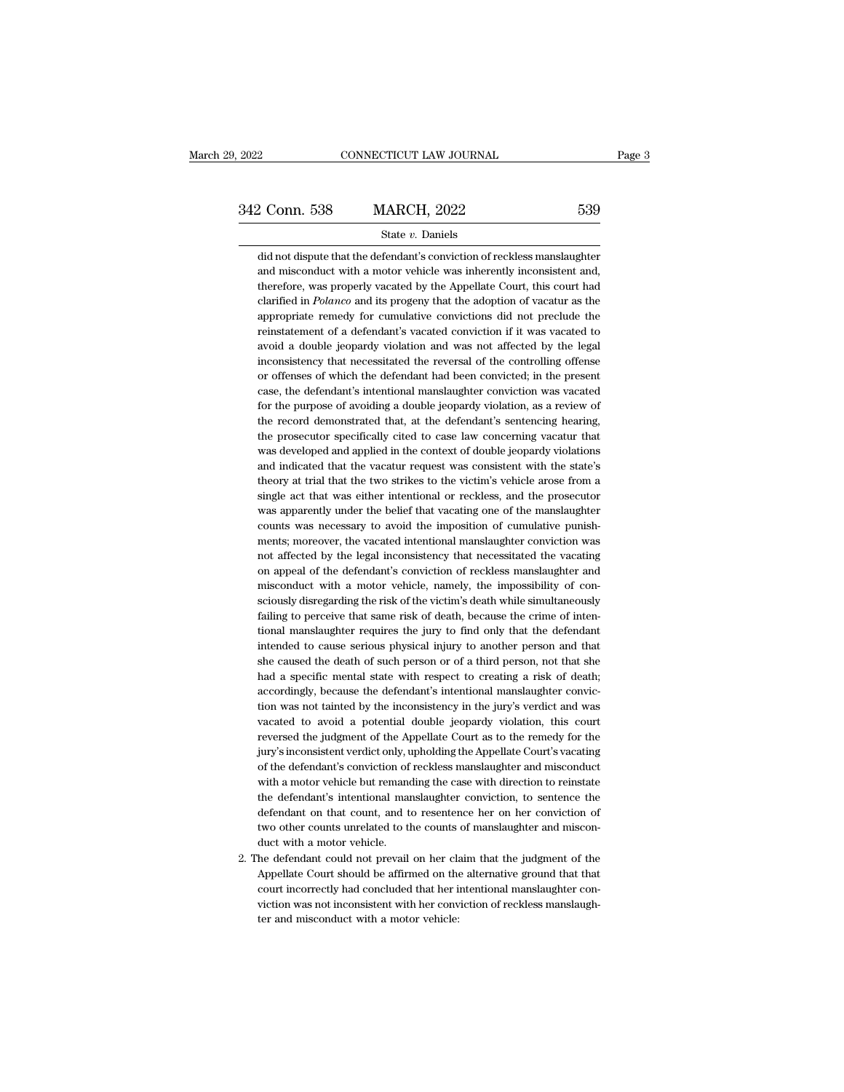# State *v.* Daniels

2 Conn. 538 MARCH, 2022 539<br>State v. Daniels<br>did not dispute that the defendant's conviction of reckless manslaughter<br>and misconduct with a motor vehicle was inherently inconsistent and, 2 Conn. 538 MARCH, 2022 539<br>
State v. Daniels<br>
did not dispute that the defendant's conviction of reckless manslaughter<br>
and misconduct with a motor vehicle was inherently inconsistent and,<br>
therefore, was properly vacated **EXECUTE:** 2022 539<br>
State *v*. Daniels<br>
did not dispute that the defendant's conviction of reckless manslaughter<br>
and misconduct with a motor vehicle was inherently inconsistent and,<br>
therefore, was properly vacated by t State *v*. Daniels<br>did not dispute that the defendant's conviction of reckless manslaughter<br>and misconduct with a motor vehicle was inherently inconsistent and,<br>therefore, was properly vacated by the Appellate Court, this state  $v$ . Daniels<br>did not dispute that the defendant's conviction of reckless manslaughter<br>and misconduct with a motor vehicle was inherently inconsistent and,<br>therefore, was properly vacated by the Appellate Court, this did not dispute that the defendant's conviction of reckless manslaughter<br>and misconduct with a motor vehicle was inherently inconsistent and,<br>therefore, was properly vacated by the Appellate Court, this court had<br>clarified and misconduct with a motor vehicle was inherently inconsistent and,<br>therefore, was properly vacated by the Appellate Court, this court had<br>clarified in *Polanco* and its progeny that the adoption of vacatur as the<br>appropr therefore, was properly vacated by the Appellate Court, this court had clarified in *Polanco* and its progeny that the adoption of vacatur as the appropriate remedy for cumulative convictions did not preclude the reinstate clarified in *Polanco* and its progeny that the adoption of vacatur as the appropriate remedy for cumulative convictions did not preclude the reinstatement of a defendant's vacated conviction if it was vacated to avoid a d appropriate remedy for cumulative convictions did not preclude the reinstatement of a defendant's vacated conviction if it was vacated to avoid a double jeopardy violation and was not affected by the legal inconsistency th reinstatement of a defendant's vacated conviction if it was vacated to avoid a double jeopardy violation and was not affected by the legal inconsistency that necessitated the reversal of the controlling offense or offenses avoid a double jeopardy violation and was not affected by the legal<br>inconsistency that necessitated the reversal of the controlling offense<br>or offenses of which the defendant had been convicted; in the present<br>case, the de inconsistency that necessitated the reversal of the controlling offense<br>or offenses of which the defendant had been convicted; in the present<br>case, the defendant's intentional manslaughter conviction was vacated<br>for the pu or offenses of which the defendant had been convicted; in the present case, the defendant's intentional manslaughter conviction was vacated for the purpose of avoiding a double jeopardy violation, as a review of the record case, the defendant's intentional manslaughter conviction was vacated<br>for the purpose of avoiding a double jeopardy violation, as a review of<br>the record demonstrated that, at the defendant's sentencing hearing,<br>the prosecu for the purpose of avoiding a double jeopardy violation, as a review of<br>the record demonstrated that, at the defendant's sentencing hearing,<br>the prosecutor specifically cited to case law concerning vacatur that<br>was develop the record demonstrated that, at the defendant's sentencing hearing,<br>the prosecutor specifically cited to case law concerning vacatur that<br>was developed and applied in the context of double jeopardy violations<br>and indicate the prosecutor specifically cited to case law concerning vacatur that<br>was developed and applied in the context of double jeopardy violations<br>and indicated that the vacatur request was consistent with the state's<br>theory at was developed and applied in the context of double jeopardy violations<br>and indicated that the vacatur request was consistent with the state's<br>theory at trial that the two strikes to the victim's vehicle arose from a<br>single and indicated that the vacatur request was consistent with the state's theory at trial that the two strikes to the victim's vehicle arose from a single act that was either intentional or reckless, and the prosecutor was ap theory at trial that the two strikes to the victim's vehicle arose from a single act that was either intentional or reckless, and the prosecutor was apparently under the belief that vacating one of the manslaughter counts single act that was either intentional or reckless, and the prosecutor was apparently under the belief that vacating one of the manslaughter counts was necessary to avoid the imposition of cumulative punishments; moreover, was apparently under the belief that vacating one of the manslaughter counts was necessary to avoid the imposition of cumulative punishments; moreover, the vacated intentional manslaughter conviction was not affected by th counts was necessary to avoid the imposition of cumulative punishments; moreover, the vacated intentional manslaughter conviction was not affected by the legal inconsistency that necessitated the vacating on appeal of the ments; moreover, the vacated intentional manslaughter conviction was<br>not affected by the legal inconsistency that necessitated the vacating<br>on appeal of the defendant's conviction of reckless manslaughter and<br>misconduct wi not affected by the legal inconsistency that necessitated the vacating<br>on appeal of the defendant's conviction of reckless manslaughter and<br>misconduct with a motor vehicle, namely, the impossibility of con-<br>sciously disreg on appeal of the defendant's conviction of reckless manslaughter and misconduct with a motor vehicle, namely, the impossibility of consciously disregarding the risk of the victim's death while simultaneously failing to per misconduct with a motor vehicle, namely, the impossibility of consciously disregarding the risk of the victim's death while simultaneously failing to perceive that same risk of death, because the crime of intentional mansl sciously disregarding the risk of the victim's death while simultaneously<br>failing to perceive that same risk of death, because the crime of inten-<br>tional manslaughter requires the jury to find only that the defendant<br>inten failing to perceive that same risk of death, because the crime of intentional manslaughter requires the jury to find only that the defendant intended to cause serious physical injury to another person and that she caused t tional manslaughter requires the jury to find only that the defendant<br>intended to cause serious physical injury to another person and that<br>she caused the death of such person or of a third person, not that she<br>had a specif intended to cause serious physical injury to another person and that<br>she caused the death of such person or of a third person, not that she<br>had a specific mental state with respect to creating a risk of death;<br>accordingly, she caused the death of such person or of a third person, not that she<br>had a specific mental state with respect to creating a risk of death;<br>accordingly, because the defendant's intentional manslaughter convic-<br>tion was no had a specific mental state with respect to creating a risk of death;<br>accordingly, because the defendant's intentional manslaughter convic-<br>tion was not tainted by the inconsistency in the jury's verdict and was<br>vacated to accordingly, because the defendant's intentional manslaughter conviction was not tainted by the inconsistency in the jury's verdict and was vacated to avoid a potential double jeopardy violation, this court reversed the ju tion was not tainted by the inconsistency in the jury's verdict and was vacated to avoid a potential double jeopardy violation, this court reversed the judgment of the Appellate Court as to the remedy for the jury's incons vacated to avoid a potential double jeopardy violation, this court<br>reversed the judgment of the Appellate Court as to the remedy for the<br>jury's inconsistent verdict only, upholding the Appellate Court's vacating<br>of the def reversed the judgment of the Appellate Court as to the remedy for the jury's inconsistent verdict only, upholding the Appellate Court's vacating of the defendant's conviction of reckless manslaughter and misconduct with a jury's inconsistent verdict only, upholding the Appellate Court's vacating of the defendant's conviction of reckless manslaughter and misconduct with a motor vehicle but remanding the case with direction to reinstate the d of the defendant's conviction of<br>with a motor vehicle but remant<br>the defendant's intentional man<br>defendant on that count, and t<br>two other counts unrelated to tl<br>duct with a motor vehicle.<br>he defendant could not prevail with a motor vehicle but remanding the case with direction to reinstate<br>the defendant's intentional manslaughter conviction, to sentence the<br>defendant on that count, and to resentence her on her conviction of<br>two other co the defendant's intentional manslaughter conviction, to sentence the defendant on that count, and to resentence her on her conviction of two other counts unrelated to the counts of manslaughter and misconduct with a motor

defendant on that count, and to resentence her on her conviction of<br>two other counts unrelated to the counts of manslaughter and miscon-<br>duct with a motor vehicle.<br>he defendant could not prevail on her claim that the judgm two other counts unrelated to the counts of manslaughter and misconduct with a motor vehicle.<br>he defendant could not prevail on her claim that the judgment of the Appellate Court should be affirmed on the alternative groun duct with a motor vehicle.<br>he defendant could not prevail on her cl:<br>Appellate Court should be affirmed on the<br>court incorrectly had concluded that her i<br>viction was not inconsistent with her conv<br>ter and misconduct with a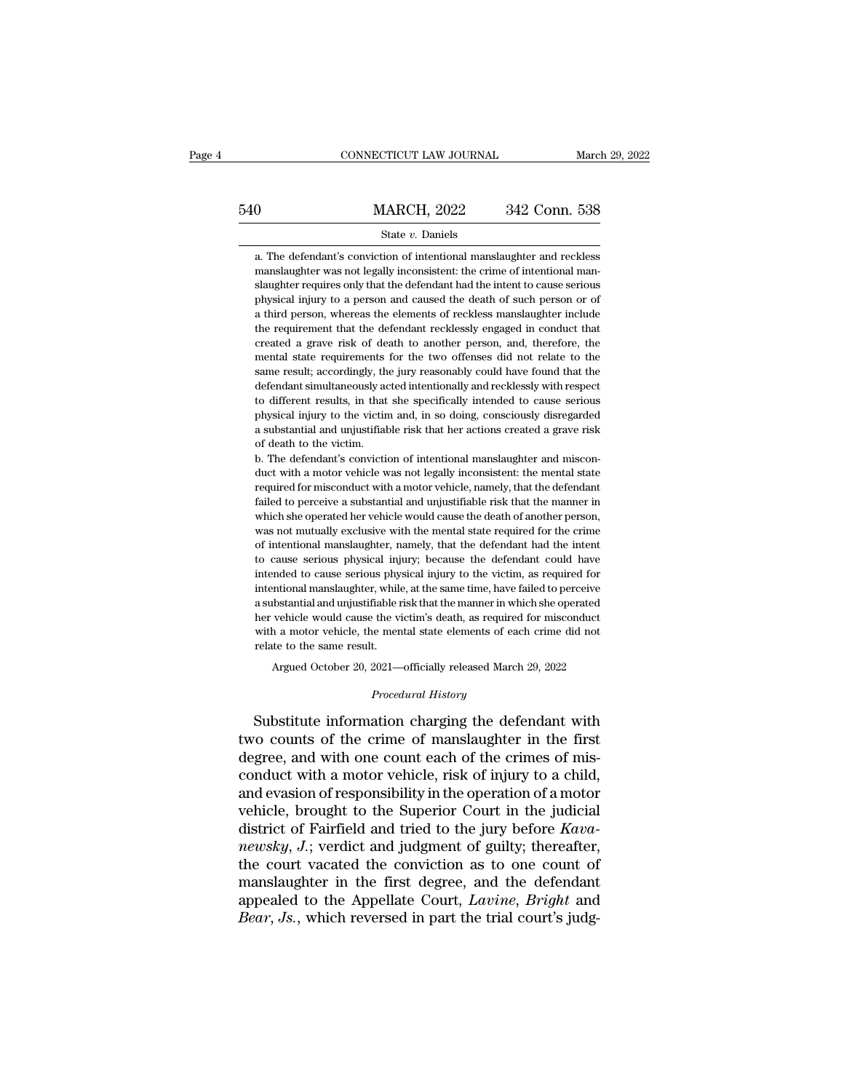# EXECUTE CONNECTICUT LAW JOURNAL March 29, 2022<br>
540 MARCH, 2022 342 Conn. 538<br>
State v. Daniels

# State *v.* Daniels

MARCH, 2022 342 Conn. 538<br>
State v. Daniels<br>
a. The defendant's conviction of intentional manslaughter and reckless<br>
manslaughter was not legally inconsistent: the crime of intentional man-540 MARCH, 2022 342 Conn. 538<br>
State v. Daniels<br>
a. The defendant's conviction of intentional manslaughter and reckless<br>
manslaughter was not legally inconsistent: the crime of intentional man-<br>
slaughter requires only th  $\begin{minipage}[t]{0.5cm} \begin{tabular}{p{0.5cm}p{0.5cm}p{0.5cm}p{0.5cm}p{0.5cm}p{0.5cm}p{0.5cm}p{0.5cm}p{0.5cm}p{0.5cm}p{0.5cm}p{0.5cm}p{0.5cm}p{0.5cm}p{0.5cm}p{0.5cm}p{0.5cm}p{0.5cm}p{0.5cm}p{0.5cm}p{0.5cm}p{0.5cm}p{0.5cm}p{0.5cm}p{0.5cm}p{0.5cm}p{0.5cm}p{0.5cm}p{0.$ State v. Daniels<br>a. The defendant's conviction of intentional manslaughter and reckless<br>manslaughter was not legally inconsistent: the crime of intentional man-<br>slaughter requires only that the defendant had the intent to State v. Daniels<br>a. The defendant's conviction of intentional manslaughter and reckless<br>manslaughter was not legally inconsistent: the crime of intentional man-<br>slaughter requires only that the defendant had the intent to a. The defendant's conviction of intentional manslaughter and reckless manslaughter was not legally inconsistent: the crime of intentional manslaughter requires only that the defendant had the intent to cause serious physi a manslaughter was not legally inconsistent: the crime of intentional man-<br>slaughter requires only that the defendant had the intent to cause serious<br>physical injury to a person and caused the death of such person or of<br>a mental state requirements for the defendant had the intent to cause serious physical injury to a person and caused the death of such person or of a third person, whereas the elements of reckless manslaughter include the re shawfored in preson and caused the death of such person or of a third person, whereas the elements of reckless manslaughter include the requirement that the defendant recklessly engaged in conduct that created a grave risk Fusion and the person, whereas the elements of reckless manislaughter include<br>the requirement that the defendant recklessly engaged in conduct that<br>created a grave risk of death to another person, and, therefore, the<br>menta a member of the requirement that the defendant recklessly engaged in conduct that created a grave risk of death to another person, and, therefore, the mental state requirements for the two offenses did not relate to the sa created a grave risk of death to another person, and, therefore, the mental state requirements for the two offenses did not relate to the same result; accordingly, the jury reasonably could have found that the defendant si mental state requirements for the two offenses did not relate to the same result; accordingly, the jury reasonably could have found that the defendant simultaneously acted intentionally and recklessly with respect to diffe mental state requirements for the two offenses did not relate to the same result; accordingly, the jury reasonably could have found that the defendant simultaneously acted intentionally and recklessly with respect to diff defendant simultaneously acted intentionally and recklessly with respect to different results, in that she specifically intended to cause serious physical injury to the victim and, in so doing, consciously disregarded a su to different results, in that she specifically intended to cause serious physical injury to the victim and, in so doing, consciously disregarded a substantial and unjustifiable risk that her actions created a grave risk of

physical injury to the victim and, in so doing, consciously disregarded a substantial and unjustifiable risk that her actions created a grave risk of death to the victim.<br>
b. The defendant's conviction of intentional mansl failed to the victime with the ractions created a grave risk of death to the victim.<br>
b. The defendant's conviction of intentional manslaughter and miscon-<br>
duct with a motor vehicle was not legally inconsistent: the menta of death to the victim.<br>
b. The defendant's conviction of intentional manslaughter and miscon-<br>
duct with a motor vehicle was not legally inconsistent: the mental state<br>
required for misconduct with a motor vehicle, namely b. The defendant's conviction of intentional manslaughter and misconduct with a motor vehicle was not legally inconsistent: the mental state required for misconduct with a motor vehicle, namely, that the defendant failed t of the with a motor vehicle was not legally inconsistent: the mental state required for misconduct with a motor vehicle, namely, that the defendant failed to perceive a substantial and unjustifiable risk that the manner in required for misconduct with a motor vehicle, namely, that the defendant failed to perceive a substantial and unjustifiable risk that the manner in which she operated her vehicle would cause the death of another person, wa Failed to perceive a substantial and unjustifiable risk that the manner in which she operated her vehicle would cause the death of another person, was not mutually exclusive with the mental state required for the crime of much she operated her vehicle would cause the death of another person, was not mutually exclusive with the mental state required for the crime of intentional manslaughter, namely, that the defendant had the intent to cause was not mutually exclusive with the mental state required for the crime<br>of intentional manslaughter, namely, that the defendant had the intent<br>to cause serious physical injury; because the defendant could have<br>intended to was not mutually exclusive with the mental state required for the crime of intentional manslaughter, namely, that the defendant had the intent to cause serious physical injury; because the defendant could have intended to to cause serious physical injury; because the defendant could have intended to cause serious physical injury to the victim, as required for ntional manslaughter, while, at the same time, have failed to perceive<br>bistantial and unjustifiable risk that the manner in which she operated<br>vehicle would cause the victim's death, as required for misconduct<br>h a motor ve her vehicle would cause the victim's death, as required for misconduct<br>with a motor vehicle, the mental state elements of each crime did not<br>relate to the same result.<br>Argued October 20, 2021—officially released March 29,

Argued October 20, 2021—officially released March 29, 2022<br>*Procedural History*<br>Substitute information charging the defendant with with a motor vehicle, the mental state elements of each crime did not<br>relate to the same result.<br>Argued October 20, 2021—officially released March 29, 2022<br>*Procedural History*<br>Substitute information charging the defendant relate to the same result.<br>
Argued October 20, 2021—officially released March 29, 2022<br> *Procedural History*<br>
Substitute information charging the defendant with<br>
two counts of the crime of manslaughter in the first<br>
degree Argued October 20, 2021—officially released March 29, 2022<br>
Procedural History<br>
Substitute information charging the defendant with<br>
two counts of the crime of manslaughter in the first<br>
degree, and with one count each of t *Procedural History*<br>
Substitute information charging the defendant with<br>
two counts of the crime of manslaughter in the first<br>
degree, and with one count each of the crimes of mis-<br>
conduct with a motor vehicle, risk of i Substitute information charging the defendant with<br>two counts of the crime of manslaughter in the first<br>degree, and with one count each of the crimes of mis-<br>conduct with a motor vehicle, risk of injury to a child,<br>and ev Substitute information charging the defendant with<br>two counts of the crime of manslaughter in the first<br>degree, and with one count each of the crimes of mis-<br>conduct with a motor vehicle, risk of injury to a child,<br>and eva *two counts of the crime of manslaughter in the first degree, and with one count each of the crimes of misconduct with a motor vehicle, risk of injury to a child, and evasion of responsibility in the operation of a motor v* degree, and with one count each of the crimes of mis-<br>conduct with a motor vehicle, risk of injury to a child,<br>and evasion of responsibility in the operation of a motor<br>vehicle, brought to the Superior Court in the judici conduct with a motor vehicle, risk of injury to a child,<br>and evasion of responsibility in the operation of a motor<br>vehicle, brought to the Superior Court in the judicial<br>district of Fairfield and tried to the jury before and evasion of responsibility in the operation of a motor<br>vehicle, brought to the Superior Court in the judicial<br>district of Fairfield and tried to the jury before *Kava-*<br>*newsky*, *J*.; verdict and judgment of guilty; th *Bear*, *Bearling Bearling Bearling Bearling Before Kava-newsky, J.*; verdict and judgment of guilty; thereafter, the court vacated the conviction as to one count of manslaughter in the first degree, and the defend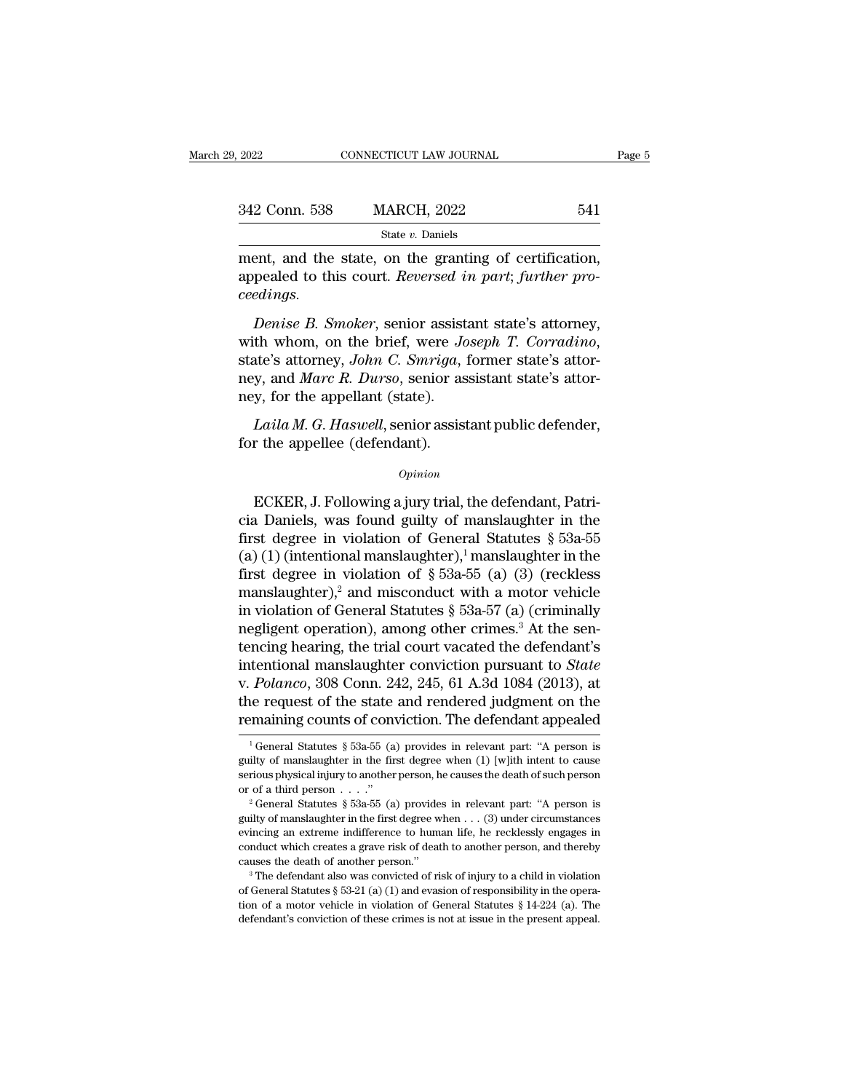| 9. 2022       | CONNECTICUT LAW JOURNAL                                                                                          | Page 5 |
|---------------|------------------------------------------------------------------------------------------------------------------|--------|
|               |                                                                                                                  |        |
| 342 Conn. 538 | <b>MARCH, 2022</b>                                                                                               | 541    |
|               | State v. Daniels                                                                                                 |        |
| coodimac      | ment, and the state, on the granting of certification,<br>appealed to this court. Reversed in part; further pro- |        |

342 Conn. 538 MARCH, 2022 541<br>
<sup>State v. Daniels<br>
ment, and the state, on the granting of certification,<br>
appealed to this court. *Reversed in part*; *further pro-*<br> *ceedings.*</sup> *ceedings. Denise B. Smoker, senior assistant state's attorney, the whom, on the pranting of certification, pealed to this court. Reversed in part; further pro-<br><i>Penise B. Smoker*, senior assistant state's attorney, the whom, on the

State *v*. Daniels<br>
ment, and the state, on the granting of certification,<br>
appealed to this court. *Reversed in part*; *further pro-*<br>
ceedings.<br> *Denise B. Smoker*, senior assistant state's attorney,<br>
with whom, on the b ney, and the state, on the granting of columnation,<br>appealed to this court. *Reversed in part*; further pro-<br>ceedings.<br>Denise B. Smoker, senior assistant state's attorney,<br>with whom, on the brief, were Joseph T. Corradino, ney France Castle Collect Collect Collect Collect Collect Collect Collect Collect Collect Collect Collect Collect Collect Collect Collect Collect Collect Collect Collect Collect Collect Collect Collect Collect Collect Coll *Denise B. Smoker*, senior assistant state's attorney, th whom, on the brief, were *Joseph T. Corradino*, ate's attorney, *John C. Smriga*, former state's attory, and *Marc R. Durso*, senior assistant state's attory, for t with whom, on the brief, were Jostate's attorney, John C. Smriga,<br>state's attorney, John C. Smriga,<br>ney, and Marc R. Durso, senior as<br>ney, for the appellant (state).<br>Laila M. G. Haswell, senior assis<br>for the appellee (def

## *Opinion*

mey, for the appellant (state).<br>
Laila M. G. Haswell, senior assistant public defender,<br>
for the appellee (defendant).<br>  $\begin{array}{c} Opinion \\ \end{array}$ <br>
ECKER, J. Following a jury trial, the defendant, Patricia Daniels, was found guil Laila M. G. Haswell, senior assistant public defender,<br>for the appellee (defendant).<br> $o_{pinion}$ <br>ECKER, J. Following a jury trial, the defendant, Patri-<br>cia Daniels, was found guilty of manslaughter in the<br>first degree in vio Latia M. G. Haswell, senior assistant public defender,<br>for the appellee (defendant).<br> $\frac{opinion}{D}$ <br>ECKER, J. Following a jury trial, the defendant, Patri-<br>cia Daniels, was found guilty of manslaughter in the<br>first degree in (a) ( $o$ <sub>pinion</sub><br>
(*o*<sub>pinion</sub><br>
ECKER, J. Following a jury trial, the defendant, Patricia Daniels, was found guilty of manslaughter in the<br>
first degree in violation of General Statutes § 53a-55<br>
(a) (1) (intentional mans *Opinion*<br>
ECKER, J. Following a jury trial, the defendant, Patricia Daniels, was found guilty of manslaughter in the<br>
first degree in violation of General Statutes § 53a-55<br>
(a) (1) (intentional manslaughter),<sup>1</sup> manslau ECKER, J. Following a jury trial, the defendant, Patricia Daniels, was found guilty of manslaughter in the first degree in violation of General Statutes § 53a-55 (a) (1) (intentional manslaughter),<sup>1</sup> manslaughter in the ECKER, J. Following a jury trial, the defendant, Patricia Daniels, was found guilty of manslaughter in the first degree in violation of General Statutes § 53a-55 (a) (1) (intentional manslaughter),<sup>1</sup> manslaughter in the cia Daniels, was found guilty of manslaughter in the<br>first degree in violation of General Statutes § 53a-55<br>(a) (1) (intentional manslaughter),<sup>1</sup> manslaughter in the<br>first degree in violation of § 53a-55 (a) (3) (reckles first degree in violation of General Statutes § 53a-55<br>(a) (1) (intentional manslaughter),<sup>1</sup> manslaughter in the<br>first degree in violation of § 53a-55 (a) (3) (reckless<br>manslaughter),<sup>2</sup> and misconduct with a motor vehic (a) (1) (intentional manslaughter),<sup>1</sup> manslaughter in the<br>first degree in violation of  $\S$  53a-55 (a) (3) (reckless<br>manslaughter),<sup>2</sup> and misconduct with a motor vehicle<br>in violation of General Statutes  $\S$  53a-57 (a) (c first degree in violation of  $\S$  53a-55 (a) (3) (reckless<br>manslaughter),<sup>2</sup> and misconduct with a motor vehicle<br>in violation of General Statutes  $\S$  53a-57 (a) (criminally<br>negligent operation), among other crimes.<sup>3</sup> At t manslaughter),<sup>2</sup> and misconduct with a motor vehicle<br>in violation of General Statutes § 53a-57 (a) (criminally<br>negligent operation), among other crimes.<sup>3</sup> At the sen-<br>tencing hearing, the trial court vacated the defenda in violation of General Statutes  $\S$  53a-57 (a) (criminally<br>negligent operation), among other crimes.<sup>3</sup> At the sen-<br>tencing hearing, the trial court vacated the defendant's<br>intentional manslaughter conviction pursuant to 1 General Statutes § 53a-55 (a) provides in relevant part: ''A person is different on the maining counts of conviction. The defendant appealed  $\frac{1}{1}$  General Statutes § 53a-55 (a) provides in relevant part: "A person i v. *Polanco*, 308 Conn. 242, 245, 61 A.3d 1084 (2013), at the request of the state and rendered judgment on the remaining counts of conviction. The defendant appealed  $\frac{1}{1}$  General Statutes § 53a-55 (a) provides in re

the request of the state and rendered judgment on the remaining counts of conviction. The defendant appealed  $\frac{1}{1}$  General Statutes § 53a-55 (a) provides in relevant part: "A person is guilty of manslaughter in the fi **EXECUTE 2020 THE CONSECUTE:** The defendant appealed  $\frac{1}{2}$  General Statutes § 53a-55 (a) provides in relevant part: "A person is guilty of manslaughter in the first degree when (1) [w]ith intent to cause serious physi

serious physical injury to another person, he causes the death of such person<br>or of a third person . . . ."<br> ${}^2$  General Statutes § 53a-55 (a) provides in relevant part: "A person is<br>guilty of manslaughter in the first d guilty of manslaughter in the first degree when (1) [w]ith intent to cause<br>serious physical injury to another person, he causes the death of such person<br>or of a third person . . . ."<br> $2^{\circ}$  General Statutes § 53a-55 (a) serious physical injury to another person, he causes the death of such person<br>or of a third person . . . ."<br> $2^2$  General Statutes § 53a-55 (a) provides in relevant part: "A person is<br>guilty of manslaughter in the first d or of a third person....."<br>
<sup>2</sup> General Statutes § 53a-55 (a) provides in relevant part: "A person is<br>
guilty of manslaughter in the first degree when ... (3) under circumstances<br>
evincing an extreme indifference to human guilty of manslaughter in the first degree when . . . (3) under circumstances evincing an extreme indifference to human life, he recklessly engages in conduct which creates a grave risk of death to another person, and the conduct which creates a grave risk of death to another person, and thereby

be included and extreme indifference to human life, he recklessly engages in conduct which creates a grave risk of death to another person, and thereby causes the death of another person."<br>
<sup>3</sup> The defendant also was conv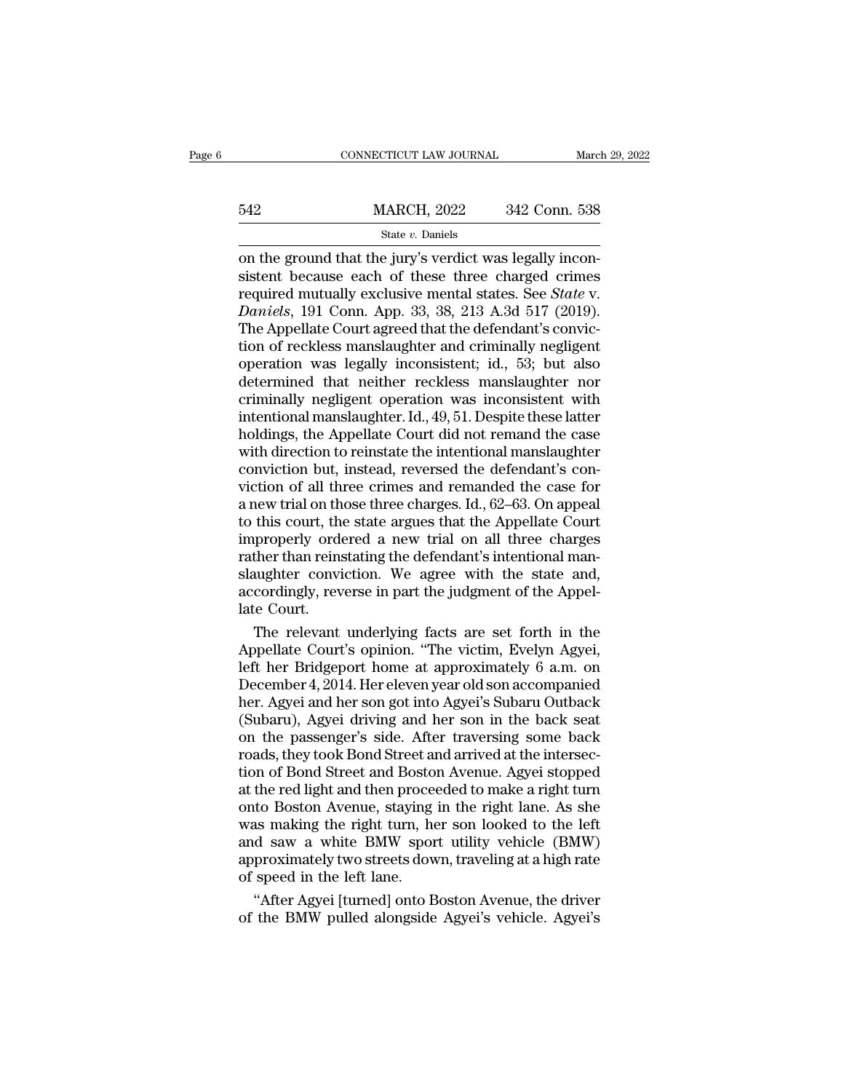|     | CONNECTICUT LAW JOURNAL |               | March 29, 2022 |
|-----|-------------------------|---------------|----------------|
|     |                         |               |                |
| 542 | <b>MARCH, 2022</b>      | 342 Conn. 538 |                |
|     | State $v$ . Daniels     |               |                |

CONNECTICUT LAW JOURNAL March March 2022 342 Conn. 538<br>
State v. Daniels<br>
on the ground that the jury's verdict was legally incon-<br>
sistent because each of these three charged crimes<br>
required mutually exclusive montal st  $\begin{tabular}{ll} \bf 542 & \tt {MARCH, 2022} & \tt{342 Conn. 538} \\ & \tt {state $v$. Daniels} \\ \hline \end{tabular}$  on the ground that the jury's verdict was legally inconsistent because each of these three charged crimes required mutually exclusive mental states. See MARCH,  $2022$   $342$  Conn. 538<br>
on the ground that the jury's verdict was legally inconsistent because each of these three charged crimes<br>
required mutually exclusive mental states. See *State* v.<br> *Daniels*, 191 Conn. App  $\frac{\text{MARCH, 2022}}{\text{State } v. \text{ Daniels}}$ <br>
on the ground that the jury's verdict was legally inconsistent because each of these three charged crimes<br>
required mutually exclusive mental states. See *State* v.<br> *Daniels*, 191 Conn. App SET THE COLL COLL CONDITIONS SET THE APPEND SET COURTS ON STRICT STATE ON STATE ON STATE COURTS Agreed that the defendant's conviction of reckless manslaughter and criminally negligent operation was leadly inconsistent: i State *v*. Daniels<br>
on the ground that the jury's verdict was legally incon-<br>
sistent because each of these three charged crimes<br>
required mutually exclusive mental states. See *State* v.<br> *Daniels*, 191 Conn. App. 33, 38 on the ground that the jury's verdict was legally inconsistent because each of these three charged crimes<br>required mutually exclusive mental states. See *State* v.<br>*Daniels*, 191 Conn. App. 33, 38, 213 A.3d 517 (2019).<br>The sistent because each of these three charged crimes<br>required mutually exclusive mental states. See *State* v.<br>*Daniels*, 191 Conn. App. 33, 38, 213 A.3d 517 (2019).<br>The Appellate Court agreed that the defendant's convic-<br>ti required mutually exclusive mental states. See *State* v.<br>Daniels, 191 Conn. App. 33, 38, 213 A.3d 517 (2019).<br>The Appellate Court agreed that the defendant's conviction of reckless manslaughter and criminally negligent<br>op Daniels, 191 Conn. App. 33, 38, 213 A.3d 517 (2019).<br>The Appellate Court agreed that the defendant's conviction of reckless manslaughter and criminally negligent<br>operation was legally inconsistent; id., 53; but also<br>determ The Appellate Court agreed that the defendant's conviction of reckless manslaughter and criminally negligent<br>operation was legally inconsistent; id., 53; but also<br>determined that neither reckless manslaughter nor<br>criminall tion of reckless manslaughter and criminally negligent<br>operation was legally inconsistent; id., 53; but also<br>determined that neither reckless manslaughter nor<br>criminally negligent operation was inconsistent with<br>intentiona operation was legally inconsistent; id., 53; but also<br>determined that neither reckless manslaughter nor<br>criminally negligent operation was inconsistent with<br>intentional manslaughter. Id., 49, 51. Despite these latter<br>hold determined that neither reckless manslaughter nor<br>criminally negligent operation was inconsistent with<br>intentional manslaughter. Id., 49, 51. Despite these latter<br>holdings, the Appellate Court did not remand the case<br>with criminally negligent operation was inconsistent with<br>intentional manslaughter. Id., 49, 51. Despite these latter<br>holdings, the Appellate Court did not remand the case<br>with direction to reinstate the intentional manslaughte intentional manslaughter. Id., 49, 51. Despite these latter<br>holdings, the Appellate Court did not remand the case<br>with direction to reinstate the intentional manslaughter<br>conviction but, instead, reversed the defendant's c holdings, the Appellate Court did not remand the case<br>with direction to reinstate the intentional manslaughter<br>conviction but, instead, reversed the defendant's con-<br>viction of all three crimes and remanded the case for<br>a with direction to reinstate the intentional manslaughter<br>conviction but, instead, reversed the defendant's con-<br>viction of all three crimes and remanded the case for<br>a new trial on those three charges. Id., 62–63. On appea conviction but, instead, reversed the defendant's conviction of all three crimes and remanded the case for a new trial on those three charges. Id., 62–63. On appeal to this court, the state argues that the Appellate Court viction of all three crimes and remanded the case for<br>a new trial on those three charges. Id., 62–63. On appeal<br>to this court, the state argues that the Appellate Court<br>improperly ordered a new trial on all three charges<br>r a new trial on th<br>to this court, th<br>improperly order<br>ather than reins<br>slaughter convi<br>accordingly, rev<br>late Court.<br>The relevant this court, the state argues that the Appellate Court<br>properly ordered a new trial on all three charges<br>ther than reinstating the defendant's intentional man-<br>ughter conviction. We agree with the state and,<br>cordingly, reve improperly ordered a new trial on all three charges<br>rather than reinstating the defendant's intentional man-<br>slaughter conviction. We agree with the state and,<br>accordingly, reverse in part the judgment of the Appel-<br>late C

rather than reinstating the defendant's intentional man-<br>slaughter conviction. We agree with the state and,<br>accordingly, reverse in part the judgment of the Appel-<br>late Court.<br>The relevant underlying facts are set forth in slaughter conviction. We agree with the state and,<br>accordingly, reverse in part the judgment of the Appel-<br>late Court.<br>The relevant underlying facts are set forth in the<br>Appellate Court's opinion. "The victim, Evelyn Agyei accordingly, reverse in part the judgment of the Appel-<br>late Court.<br>The relevant underlying facts are set forth in the<br>Appellate Court's opinion. "The victim, Evelyn Agyei,<br>left her Bridgeport home at approximately 6 a.m. late Court.<br>
The relevant underlying facts are set forth in the<br>
Appellate Court's opinion. "The victim, Evelyn Agyei,<br>
left her Bridgeport home at approximately 6 a.m. on<br>
December 4, 2014. Her eleven year old son accompa The relevant underlying facts are set forth in the<br>Appellate Court's opinion. "The victim, Evelyn Agyei,<br>left her Bridgeport home at approximately 6 a.m. on<br>December 4, 2014. Her eleven year old son accompanied<br>her. Agyei Appellate Court's opinion. "The victim, Evelyn Agyei,<br>left her Bridgeport home at approximately 6 a.m. on<br>December 4, 2014. Her eleven year old son accompanied<br>her. Agyei and her son got into Agyei's Subaru Outback<br>(Subaru left her Bridgeport home at approximately 6 a.m. on<br>December 4, 2014. Her eleven year old son accompanied<br>her. Agyei and her son got into Agyei's Subaru Outback<br>(Subaru), Agyei driving and her son in the back seat<br>on the p December 4, 2014. Her eleven year old son accompanied<br>her. Agyei and her son got into Agyei's Subaru Outback<br>(Subaru), Agyei driving and her son in the back seat<br>on the passenger's side. After traversing some back<br>roads, t her. Agyei and her son got into Agyei's Subaru Outback<br>(Subaru), Agyei driving and her son in the back seat<br>on the passenger's side. After traversing some back<br>roads, they took Bond Street and arrived at the intersec-<br>tion (Subaru), Agyei driving and her son in the back seat<br>on the passenger's side. After traversing some back<br>roads, they took Bond Street and arrived at the intersec-<br>tion of Bond Street and Boston Avenue. Agyei stopped<br>at the on the passenger's side. After traversing some back<br>roads, they took Bond Street and arrived at the intersec-<br>tion of Bond Street and Boston Avenue. Agyei stopped<br>at the red light and then proceeded to make a right turn<br>on roads, they took Bond Street and arrived at the intersection of Bond Street and Boston Avenue. Agyei stopped at the red light and then proceeded to make a right turn onto Boston Avenue, staying in the right lane. As she wa tion of Bond Street and Bosto<br>at the red light and then proce<br>onto Boston Avenue, staying<br>was making the right turn, ha<br>and saw a white BMW spor<br>approximately two streets dow<br>of speed in the left lane.<br>"After Agyei [turned the red light and then proceeded to make a right turn<br>to Boston Avenue, staying in the right lane. As she<br>as making the right turn, her son looked to the left<br>d saw a white BMW sport utility vehicle (BMW)<br>proximately two s onto Boston Avenue, staying in the right lane. As she<br>was making the right turn, her son looked to the left<br>and saw a white BMW sport utility vehicle (BMW)<br>approximately two streets down, traveling at a high rate<br>of speed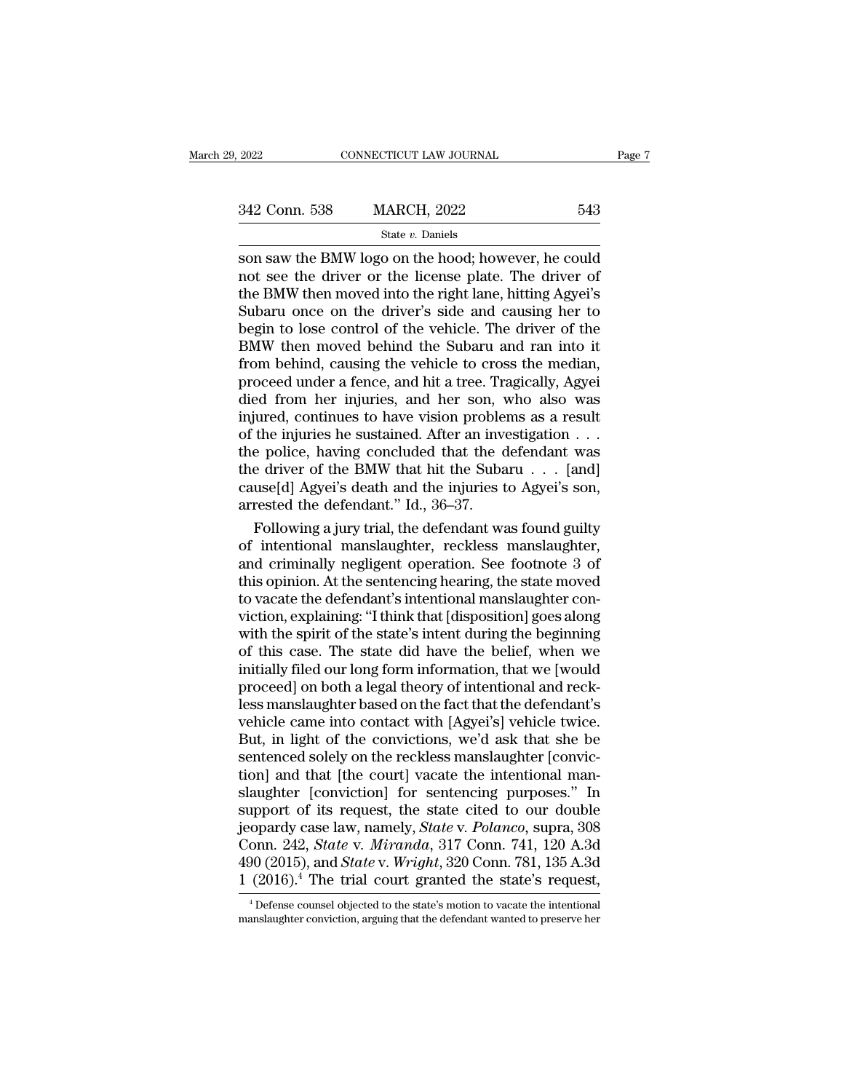# State *v.* Daniels

 $\begin{array}{lll}\n \textbf{2022} & \textbf{CONPECTICUT LAW JOURNAL} & \textbf{Page 7} \\
 \hline\n & \textbf{342 Conn. } 538 & \textbf{MARCH, } 2022 & 543 \\
 \hline\n & \textbf{State } v. \textbf{ Daniels} & \textbf{343} \\
 \hline\n \textbf{Son saw the BMW logo on the hood; however, he could not see the driver or the license plate. The driver of the BMW then moved into the right line, hitting Agvoi's.\n \end{array}$  $\frac{342 \text{ Conn. } 538}{\text{State } v. \text{ Daniels}}$ <br>Son saw the BMW logo on the hood; however, he could not see the driver or the license plate. The driver of the BMW then moved into the right lane, hitting Agyei's Subaru once on the driver 342 Conn. 538 MARCH, 2022 543<br>
State v. Daniels<br>
Son saw the BMW logo on the hood; however, he could<br>
not see the driver or the license plate. The driver of<br>
the BMW then moved into the right lane, hitting Agyei's<br>
Subaru  $342$  Conn. 538 MARCH, 2022 543<br>
Subaru on the driver of the driver or the license plate. The driver of<br>
the driver's or the license plate. The driver of<br>
the BMW then moved into the right lane, hitting Agyei's<br>
Subaru on SECTE CONTROLLATE SECTED STREAM SECTED STREAM STREAM STREAM STREAM STREAM DRIVER IDENTIFY OF the BMW then moved into the right lane, hitting Agyei's Subaru once on the driver's side and causing her to begin to lose contro State *v*. Daniels<br>
son saw the BMW logo on the hood; however, he could<br>
not see the driver or the license plate. The driver of<br>
the BMW then moved into the right lane, hitting Agyei's<br>
Subaru once on the driver's side an son saw the BMW logo on the hood; however, he could<br>not see the driver or the license plate. The driver of<br>the BMW then moved into the right lane, hitting Agyei's<br>Subaru once on the driver's side and causing her to<br>begin t not see the driver or the license plate. The driver of<br>the BMW then moved into the right lane, hitting Agyei's<br>Subaru once on the driver's side and causing her to<br>begin to lose control of the vehicle. The driver of the<br>BMW the BMW then moved into the right lane, hitting Agyei's<br>Subaru once on the driver's side and causing her to<br>begin to lose control of the vehicle. The driver of the<br>BMW then moved behind the Subaru and ran into it<br>from behi Subaru once on the driver's side and causing her to<br>begin to lose control of the vehicle. The driver of the<br>BMW then moved behind the Subaru and ran into it<br>from behind, causing the vehicle to cross the median,<br>proceed und begin to lose control of the vehicle. The driver of the BMW then moved behind the Subaru and ran into it from behind, causing the vehicle to cross the median, proceed under a fence, and hit a tree. Tragically, Agyei died f BMW then moved behind the Subaru and ran into it<br>from behind, causing the vehicle to cross the median,<br>proceed under a fence, and hit a tree. Tragically, Agyei<br>died from her injuries, and her son, who also was<br>injured, co from behind, causing the vehicle to cross the median,<br>proceed under a fence, and hit a tree. Tragically, Agyei<br>died from her injuries, and her son, who also was<br>injured, continues to have vision problems as a result<br>of th proceed under a fence, and hit a tree. Tragically, Agyei<br>died from her injuries, and her son, who also was<br>injured, continues to have vision problems as a result<br>of the injuries he sustained. After an investigation  $\dots$ <br>t died from her injuries, and her son, virtually<br>injured, continues to have vision proble<br>of the injuries he sustained. After an inve<br>the police, having concluded that the c<br>the driver of the BMW that hit the Suba<br>cause[d] A que dependence of have vision problems as a result<br>the injuries he sustained. After an investigation  $\dots$ <br>e police, having concluded that the defendant was<br>e driver of the BMW that hit the Subaru  $\dots$  [and]<br>use[d] Agyei's of the injuries he sustained. After an investigation . . .<br>the police, having concluded that the defendant was<br>the driver of the BMW that hit the Subaru . . . [and]<br>cause[d] Agyei's death and the injuries to Agyei's son,<br>a

the police, having concluded that the defendant was<br>the driver of the BMW that hit the Subaru  $\ldots$  [and]<br>cause[d] Agyei's death and the injuries to Agyei's son,<br>arrested the defendant." Id., 36–37.<br>Following a jury trial the driver of the BMW that hit the Subaru . . . . [and]<br>cause[d] Agyei's death and the injuries to Agyei's son,<br>arrested the defendant." Id., 36–37.<br>Following a jury trial, the defendant was found guilty<br>of intentional man cause[d] Agyei's death and the injuries to Agyei's son,<br>arrested the defendant." Id., 36–37.<br>Following a jury trial, the defendant was found guilty<br>of intentional manslaughter, reckless manslaughter,<br>and criminally neglige arrested the defendant." Id., 36–37.<br>
Following a jury trial, the defendant was found guilty<br>
of intentional manslaughter, reckless manslaughter,<br>
and criminally negligent operation. See footnote 3 of<br>
this opinion. At the Following a jury trial, the defendant was found guilty<br>of intentional manslaughter, reckless manslaughter,<br>and criminally negligent operation. See footnote 3 of<br>this opinion. At the sentencing hearing, the state moved<br>to v of intentional manslaughter, reckless manslaughter,<br>and criminally negligent operation. See footnote 3 of<br>this opinion. At the sentencing hearing, the state moved<br>to vacate the defendant's intentional manslaughter con-<br>vic and criminally negligent operation. See footnote 3 of<br>this opinion. At the sentencing hearing, the state moved<br>to vacate the defendant's intentional manslaughter con-<br>viction, explaining: "I think that [disposition] goes a this opinion. At the sentencing hearing, the state moved<br>to vacate the defendant's intentional manslaughter con-<br>viction, explaining: "I think that [disposition] goes along<br>with the spirit of the state's intent during the to vacate the defendant's intentional manslaughter conviction, explaining: "I think that [disposition] goes along<br>with the spirit of the state's intent during the beginning<br>of this case. The state did have the belief, when viction, explaining: "I think that [disposition] goes along<br>with the spirit of the state's intent during the beginning<br>of this case. The state did have the belief, when we<br>initially filed our long form information, that we with the spirit of the state's intent during the beginning<br>of this case. The state did have the belief, when we<br>initially filed our long form information, that we [would<br>proceed] on both a legal theory of intentional and r of this case. The state did have the belief, when we<br>initially filed our long form information, that we [would<br>proceed] on both a legal theory of intentional and reck-<br>less manslaughter based on the fact that the defendant initially filed our long form information, that we [would<br>proceed] on both a legal theory of intentional and reck-<br>less manslaughter based on the fact that the defendant's<br>vehicle came into contact with [Agyei's] vehicle t proceed] on both a legal theory of intentional and reck-<br>less manslaughter based on the fact that the defendant's<br>vehicle came into contact with [Agyei's] vehicle twice.<br>But, in light of the convictions, we'd ask that she less manslaughter based on the fact that the defendant's<br>vehicle came into contact with [Agyei's] vehicle twice.<br>But, in light of the convictions, we'd ask that she be<br>sentenced solely on the reckless manslaughter [convicvehicle came into contact with [Agyei's] vehicle twice.<br>But, in light of the convictions, we'd ask that she be<br>sentenced solely on the reckless manslaughter [convic-<br>tion] and that [the court] vacate the intentional man-<br>s But, in light of the convictions, we'd ask that she be<br>sentenced solely on the reckless manslaughter [convic-<br>tion] and that [the court] vacate the intentional man-<br>slaughter [conviction] for sentencing purposes." In<br>suppo sentenced solely on the reckless manslaughter [conviction] and that [the court] vacate the intentional man-<br>slaughter [conviction] for sentencing purposes." In<br>support of its request, the state cited to our double<br>jeopardy tion] and that [the court] vacate the intentional man-<br>slaughter [conviction] for sentencing purposes." In<br>support of its request, the state cited to our double<br>jeopardy case law, namely, *State* v. *Polanco*, supra, 308<br> opardy case law, namely, *State* v. *Polanco*, supra, 308<br>onn. 242, *State* v. *Miranda*, 317 Conn. 741, 120 A.3d<br> $90 (2015)$ , and *State* v. *Wright*, 320 Conn. 781, 135 A.3d<br> $(2016).$ <sup>4</sup> The trial court granted the state' Conn. 242, *State* v. *Miranda*, 317 Conn. 741, 120 A.3d 490 (2015), and *State* v. *Wright*, 320 Conn. 781, 135 A.3d 1 (2016).<sup>4</sup> The trial court granted the state's request,  $\frac{1}{100}$  befense counsel objected to the s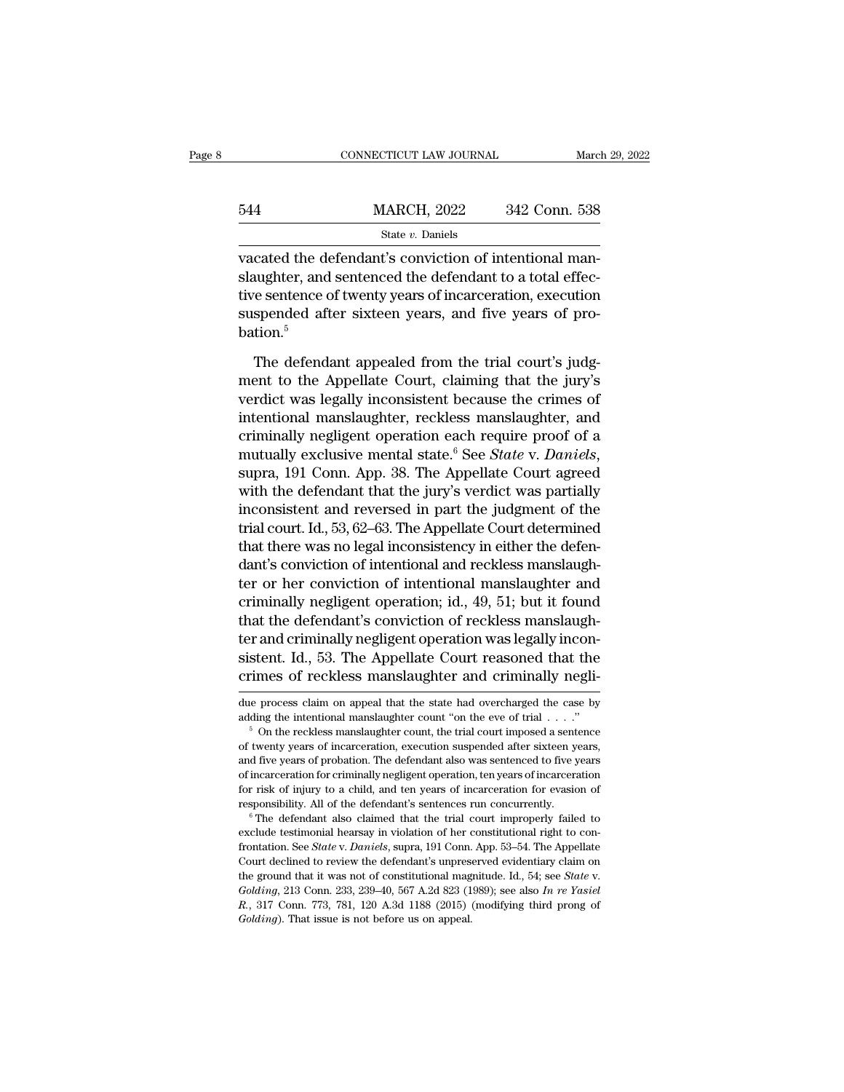|     | CONNECTICUT LAW JOURNAL |               | March 29, 2022 |
|-----|-------------------------|---------------|----------------|
|     |                         |               |                |
| 544 | <b>MARCH, 2022</b>      | 342 Conn. 538 |                |
|     | State $v$ . Daniels     |               |                |

 $\begin{array}{ccc}\n & \text{COMRECTICUT LAW JOURNAL} & \text{Marc}\n \hline\n 544 & \text{MARCH, 2022} & 342 \text{ Conn. } 538 \\
 \hline\n & \text{State } v. \text{ Danish}\n \end{array}$ vacated the defendant's conviction of intentional man-<br>
slaughter, and sentenced the defendant to a total effective contenes of Slaughter, and sentenced the defendant of intentional manufacture of twenty years of incarceration, execution<br>surgered the defendant of intentional manufacture sentence of twenty years of incarceration, execution<br>surgered 544 MARCH, 2022 342 Conn. 538<br>
State v. Daniels<br>
vacated the defendant's conviction of intentional man-<br>
slaughter, and sentenced the defendant to a total effec-<br>
tive sentence of twenty years of incarceration, execution<br>  $\begin{array}{ll}\n 544 & \text{MARCH, 2022} & \text{342 Conn. 538} \\
 \hline\n \text{stack } v. \text{ Danish} \\
 \text{vacated the defendant's conviction of intentional man-  
slaughter, and sentenced the defendant to a total effec-  
tive sentence of twenty years of incarceration, execution\nsuspended after sixteen years, and five years of pro-  
bation.<sup>5</sup>\n\end{array}$ bation.<sup>5</sup> cated the defendant's conviction of intentional man-<br>aughter, and sentenced the defendant to a total effec-<br>re sentence of twenty years of incarceration, execution<br>spended after sixteen years, and five years of pro-<br>tion.<sup></sup> slaughter, and sentenced the defendant to a total effective sentence of twenty years of incarceration, execution<br>suspended after sixteen years, and five years of probation.<sup>5</sup><br>The defendant appealed from the trial court's

tive sentence of twenty years of incarceration, execution<br>suspended after sixteen years, and five years of pro-<br>bation.<sup>5</sup><br>The defendant appealed from the trial court's judg-<br>ment to the Appellate Court, claiming that the suspended after sixteen years, and five years of probation.<sup>5</sup><br>The defendant appealed from the trial court's judg-<br>ment to the Appellate Court, claiming that the jury's<br>verdict was legally inconsistent because the crimes bation.<sup>5</sup><br>The defendant appealed from the trial court's judg-<br>ment to the Appellate Court, claiming that the jury's<br>verdict was legally inconsistent because the crimes of<br>intentional manslaughter, reckless manslaughter, The defendant appealed from the trial court's judgment to the Appellate Court, claiming that the jury's verdict was legally inconsistent because the crimes of intentional manslaughter, reckless manslaughter, and criminally ment to the Appellate Court, claiming that the jury's<br>verdict was legally inconsistent because the crimes of<br>intentional manslaughter, reckless manslaughter, and<br>criminally negligent operation each require proof of a<br>mutu verdict was legally inconsistent because the crimes of<br>intentional manslaughter, reckless manslaughter, and<br>criminally negligent operation each require proof of a<br>mutually exclusive mental state.<sup>6</sup> See *State* v. Daniels, intentional manslaughter, reckless manslaughter, and<br>criminally negligent operation each require proof of a<br>mutually exclusive mental state.<sup>6</sup> See *State* v. *Daniels*,<br>supra, 191 Conn. App. 38. The Appellate Court agreed criminally negligent operation each require proof of a<br>mutually exclusive mental state.<sup>6</sup> See *State* v. Daniels,<br>supra, 191 Conn. App. 38. The Appellate Court agreed<br>with the defendant that the jury's verdict was partial mutually exclusive mental state.<sup>6</sup> See *State* v. *Daniels*, supra, 191 Conn. App. 38. The Appellate Court agreed with the defendant that the jury's verdict was partially inconsistent and reversed in part the judgment of supra, 191 Conn. App. 38. The Appellate Court agreed<br>with the defendant that the jury's verdict was partially<br>inconsistent and reversed in part the judgment of the<br>trial court. Id., 53, 62–63. The Appellate Court determine with the defendant that the jury's verdict was partially<br>inconsistent and reversed in part the judgment of the<br>trial court. Id., 53, 62–63. The Appellate Court determined<br>that there was no legal inconsistency in either the inconsistent and reversed in part the judgment of the<br>trial court. Id., 53, 62–63. The Appellate Court determined<br>that there was no legal inconsistency in either the defen-<br>dant's conviction of intentional and reckless man trial court. Id., 53, 62–63. The Appellate Court determined<br>that there was no legal inconsistency in either the defen-<br>dant's conviction of intentional and reckless manslaugh-<br>ter or her conviction of intentional manslaugh that there was no legal inconsistency in either the defen-<br>dant's conviction of intentional and reckless manslaugh-<br>ter or her conviction of intentional manslaughter and<br>criminally negligent operation; id., 49, 51; but it dant's conviction of intentional and reckless manslaugh-<br>ter or her conviction of intentional manslaughter and<br>criminally negligent operation; id., 49, 51; but it found<br>that the defendant's conviction of reckless manslaugh that the defendant's conviction of reckless manslaugh-<br>ter and criminally negligent operation was legally incon-<br>sistent. Id., 53. The Appellate Court reasoned that the<br>crimes of reckless manslaughter and criminally negli ter and criminally negligent operation was legally inconsistent. Id., 53. The Appellate Court reasoned that the crimes of reckless manslaughter and criminally negli-<br>due process claim on appeal that the state had overcharg

crimes of reckless manslaughter and criminally negli-<br>due process claim on appeal that the state had overcharged the case by<br>adding the intentional manslaughter count "on the eve of trial  $\ldots$ "<br><sup>5</sup> On the reckless manslau due process claim on appeal that the state had overcharged the case by<br>defining the intentional manslaughter count "on the eve of trial . . . ."<br><sup>5</sup> On the reckless manslaughter count, the trial court imposed a sentence<br>of due process claim on appeal that the state had overcharged the case by adding the intentional manslaughter count, the trial court imposed a sentence of twenty years of incarceration, execution suspended after sixteen year adding the intentional manslaughter count "on the eve of trial  $\ldots$ "<br><sup>5</sup> On the reckless manslaughter count, the trial court imposed a sentence<br>of twenty years of incarceration, execution suspended after sixteen years,<br>a <sup>16</sup> On the reckless manslaughter count, the trial court imposed a sentence of twenty years of incarceration, execution suspended after sixteen years, and five years of probation. The defendant also was sentenced to five y and five years of probation. The defendant also was sentenced to five years of incarceration for criminally negligent operation, ten years of incarceration for risk of injury to a child, and ten years of incarceration for

from the section for criminally negligent operation, ten years of incarceration for risk of injury to a child, and ten years of incarceration for evasion of responsibility. All of the defendant's sentences run concurrently for risk of injury to a child, and ten years of incarceration for evasion of responsibility. All of the defendant's sentences run concurrently.<br>
<sup>6</sup> The defendant also claimed that the trial court improperly failed to exc the ground that it was not of constitutional magnitude. Id., 54; see *State* v. *Golding*, 213 Conn. 233, 239–40, 567 A.2d 823 (1989); see also *In re Yasiel*<br>*R.*, 317 Conn. 773, 781, 120 A.3d 1188 (2015) (modifying third <sup>6</sup> The defendant also claimed that the trial court improperly failed to exclude testimonial hearsay in violation of her constitutional right to confrontation. See *State* v. *Daniels*, supra, 191 Conn. App. 53–54. The Ap frontation. See State v. Daniels, supra, 191 Conn. App. 53-54. The Appellate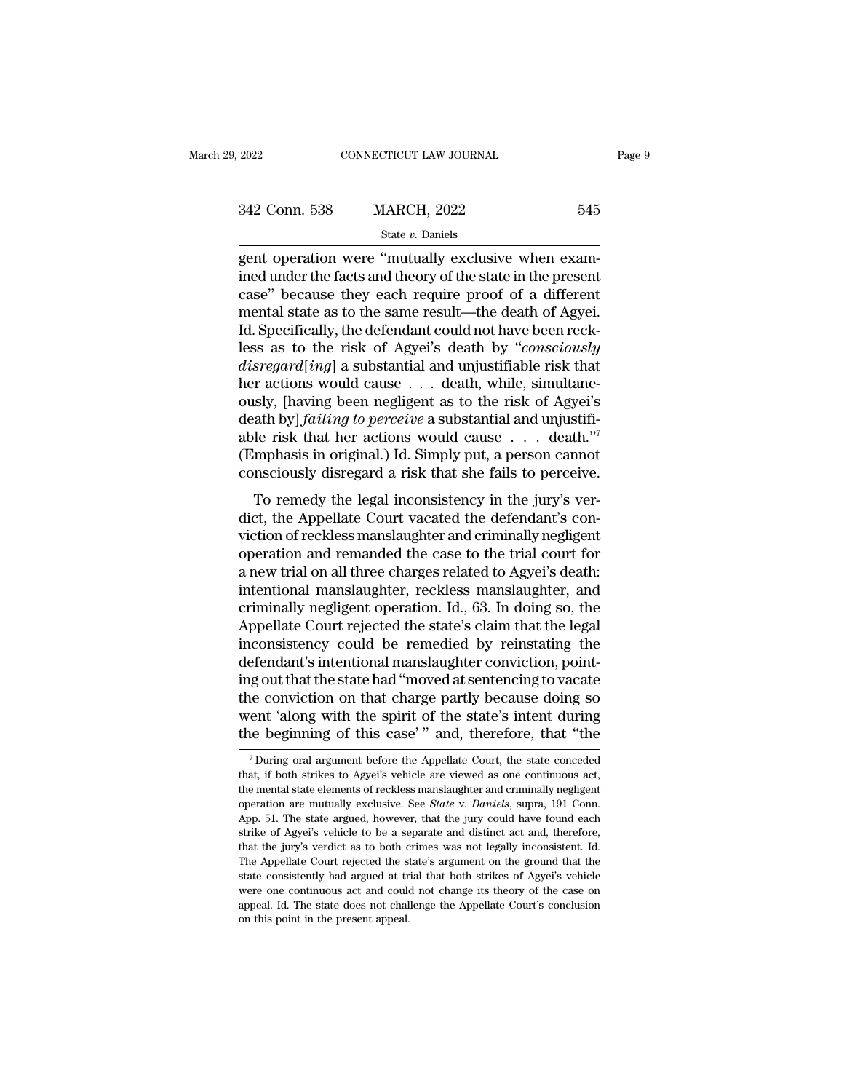| 2022          | CONNECTICUT LAW JOURNAL |     | Page 9 |
|---------------|-------------------------|-----|--------|
|               |                         |     |        |
| 342 Conn. 538 | <b>MARCH, 2022</b>      | 545 |        |
|               | State $v$ . Daniels     |     |        |

# State *v.* Daniels

 $\begin{array}{lll}\n \textbf{2022} & \textbf{CONPECTICUT LAW JOURNAL} \\
 \hline\n 342 \text{ Conn. } 538 & \textbf{MARCH, } 2022 & 545 \\
 \textbf{State } v. \text{ Danish} \\
 \textbf{gent operation were "mutually exclusive when examined under the facts and theory of the state in the present case" because they each require proof of a different.}\n \end{array}$ 342 Conn. 538 MARCH, 2022 545<br>
state v. Daniels<br>
gent operation were "mutually exclusive when examined under the facts and theory of the state in the present<br>
case" because they each require proof of a different<br>
montal s 342 Conn. 538 MARCH, 2022 545<br>
State v. Daniels<br>
gent operation were "mutually exclusive when examined under the facts and theory of the state in the present<br>
case" because they each require proof of a different<br>
mental s 342 Conn. 538 MARCH, 2022 545<br>
State *v*. Daniels<br>
gent operation were "mutually exclusive when exam-<br>
ined under the facts and theory of the state in the present<br>
case" because they each require proof of a different<br>
men State v. Daniels<br>
State v. Daniels<br>
gent operation were "mutually exclusive when exam-<br>
ined under the facts and theory of the state in the present<br>
case" because they each require proof of a different<br>
mental state as to state *v*. Danies<br>gent operation were "mutually exclusive when exam-<br>ined under the facts and theory of the state in the present<br>case" because they each require proof of a different<br>mental state as to the same result—the d gent operation were "mutually exclusive when examined under the facts and theory of the state in the present case" because they each require proof of a different mental state as to the same result—the death of Agyei. Id. S ined under the facts and theory of the state in the present case" because they each require proof of a different mental state as to the same result—the death of Agyei.<br>Id. Specifically, the defendant could not have been r case" because they each require proof of a different<br>mental state as to the same result—the death of Agyei.<br>Id. Specifically, the defendant could not have been reck-<br>less as to the risk of Agyei's death by "*consciously*<br> mental state as to the same result—the death of Agyei.<br>Id. Specifically, the defendant could not have been reck-<br>less as to the risk of Agyei's death by *"consciously*<br>disregard[ing] a substantial and unjustifiable risk th Id. Specifically, the defendant could not have been reck-<br>less as to the risk of Agyei's death by "*consciously*<br>disregard[ing] a substantial and unjustifiable risk that<br>her actions would cause . . . death, while, simulta less as to the risk of Agyei's death by "*consciously* disregard[ing] a substantial and unjustifiable risk that her actions would cause . . . death, while, simultaneously, [having been negligent as to the risk of Agyei's disregard[ing] a substantial and unjustifiable risk that<br>her actions would cause . . . death, while, simultane-<br>ously, [having been negligent as to the risk of Agyei's<br>death by] *failing to perceive* a substantial and unj To remedy the legal inconsistency in the jury's verbusity, the Appellate Court is the HSR of Agyers<br>death by *failing to perceive* a substantial and unjustifi-<br>able risk that her actions would cause  $\ldots$  death."<sup>7</sup><br>(Emphasis in original.) Id. Simply put, a person cannot<br>

victor of reckless manifold to Associated to Associated to a new trial on all three charges manifolds of a new trial on all three charges manifolds of a new trial on all three charges related to Associate manifold of a ne dole Tisk diat iteractions would cadded to the trial.<br>
(Emphasis in original.) Id. Simply put, a person cannot<br>
consciously disregard a risk that she fails to perceive.<br>
To remedy the legal inconsistency in the jury's ver (Emphasis in original.) To: Simply put, a person cannot consciously disregard a risk that she fails to perceive.<br>To remedy the legal inconsistency in the jury's verdict, the Appellate Court vacated the defendant's convict To remedy the legal inconsistency in the jury's verdict, the Appellate Court vacated the defendant's conviction of reckless manslaughter and criminally negligent operation and remanded the case to the trial court for a new To remedy the legal inconsistency in the jury's verdict, the Appellate Court vacated the defendant's conviction of reckless manslaughter and criminally negligent operation and remanded the case to the trial court for a new dict, the Appellate Court vacated the defendant's conviction of reckless manslaughter and criminally negligent<br>operation and remanded the case to the trial court for<br>a new trial on all three charges related to Agyei's deat viction of reckless manslaughter and criminally negligent<br>operation and remanded the case to the trial court for<br>a new trial on all three charges related to Agyei's death:<br>intentional manslaughter, reckless manslaughter, a operation and remanded the case to the trial court for<br>a new trial on all three charges related to Agyei's death:<br>intentional manslaughter, reckless manslaughter, and<br>criminally negligent operation. Id., 63. In doing so, t a new trial on all three charges related to Agyei's death:<br>intentional manslaughter, reckless manslaughter, and<br>criminally negligent operation. Id., 63. In doing so, the<br>Appellate Court rejected the state's claim that the intentional manslaughter, reckless manslaughter, and<br>criminally negligent operation. Id., 63. In doing so, the<br>Appellate Court rejected the state's claim that the legal<br>inconsistency could be remedied by reinstating the<br>de criminally negligent operation. Id., 63. In doing so, the<br>Appellate Court rejected the state's claim that the legal<br>inconsistency could be remedied by reinstating the<br>defendant's intentional manslaughter conviction, point-Appellate Court rejected the state's claim that the legal<br>inconsistency could be remedied by reinstating the<br>defendant's intentional manslaughter conviction, point-<br>ing out that the state had "moved at sentencing to vacate is gout that the state had "moved at sentencing to vacate<br>the conviction on that charge partly because doing so<br>ent 'along with the spirit of the state's intent during<br>the beginning of this case'" and, therefore, that "the the conviction on that charge partly because doing so<br>went 'along with the spirit of the state's intent during<br>the beginning of this case' " and, therefore, that "the<br><sup>7</sup>During oral argument before the Appellate Court, the

went 'along with the spirit of the state's intent during<br>the beginning of this case' " and, therefore, that "the<br> $\frac{1}{1}$ During oral argument before the Appellate Court, the state conceded<br>that, if both strikes to Agyei' The beginning of this case'" and, therefore, that "the vertical properties" of this case'" and, therefore, that "the vertical that, if both strikes to Agyei's vehicle are viewed as one continuous act, the mental state elem The state argue of this case and, therefore, that the  $\frac{1}{2}$  argue  $\frac{1}{2}$  buring oral argument before the Appellate Court, the state conceded that, if both strikes to Agyei's vehicle are viewed as one continuous act The During oral argument before the Appellate Court, the state conceded that, if both strikes to Agyei's vehicle are viewed as one continuous act, the mental state elements of reckless manslaughter and criminally negligen that, if both strikes to Agyei's vehicle are viewed as one continuous act, the mental state elements of reckless manslaughter and criminally negligent operation are mutually exclusive. See *State* v. *Daniels*, supra, 191 the mental state elements of reckless manslaughter and criminally negligent operation are mutually exclusive. See *State* v. *Daniels*, supra, 191 Conn. App. 51. The state argued, however, that the jury could have found ea state consistently exclusive. See *State v. Daniels*, supra, 191 Com.<br>App. 51. The state argued, however, that the jury could have found each<br>strike of Agyei's vehicle to be a separate and distinct act and, therefore,<br>that App. 51. The state argued, however, that the jury could have found each strike of Agyei's vehicle to be a separate and distinct act and, therefore, that the jury's verdict as to both crimes was not legally inconsistent. Id represent and distinct act and, therefore, strike of Agyei's vehicle to be a separate and distinct act and, therefore, that the jury's verdict as to both crimes was not legally inconsistent. Id. The Appellate Court rejecte strike of Agyei's vehicle to be a separate and distinct act and, therefore, that the jury's verdict as to both crimes was not legally inconsistent. Id. The Appellate Court rejected the state's argument on the ground that t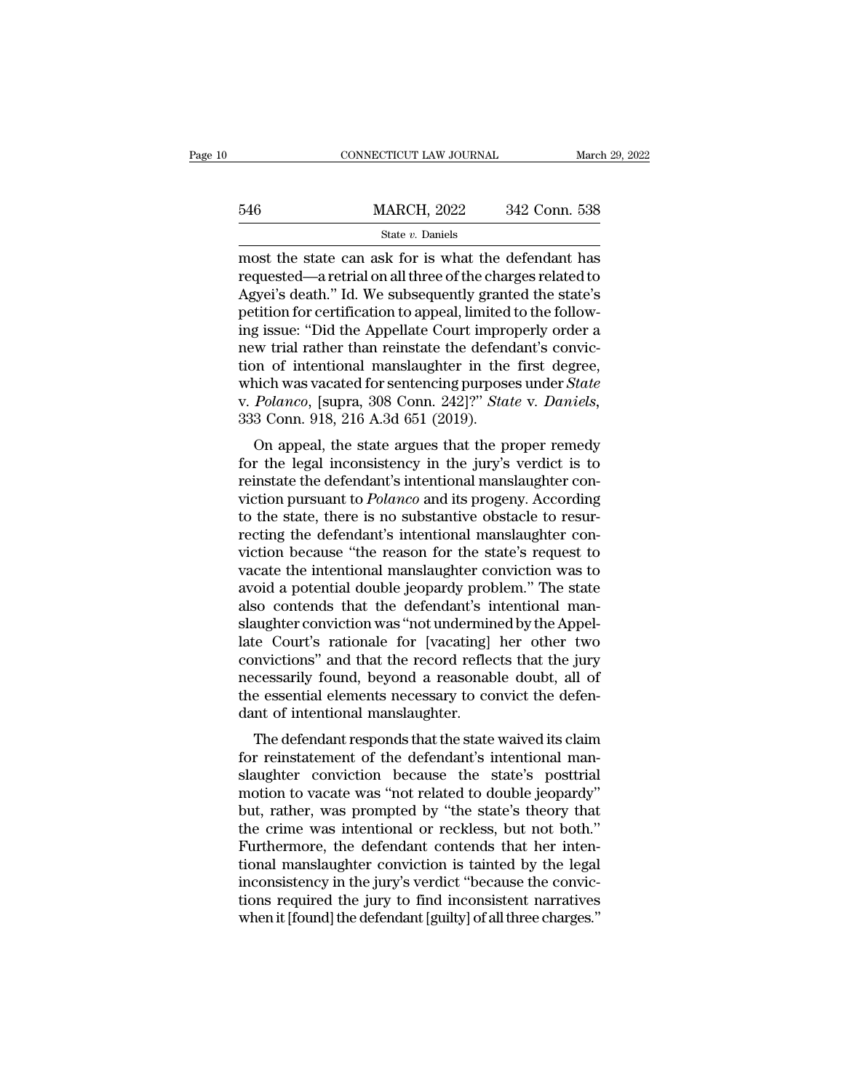|     | CONNECTICUT LAW JOURNAL |               | March 29, 2022 |
|-----|-------------------------|---------------|----------------|
|     |                         |               |                |
| 546 | <b>MARCH, 2022</b>      | 342 Conn. 538 |                |
|     | State $v$ . Daniels     |               |                |

 $\begin{tabular}{ll} \multicolumn{1}{l}{{\small\bf ConNECTICUT LAW JOURNAL}} & & & & \multicolumn{1}{l}{\small\bf March\ 29, 2022} \\ \hline \end{tabular}$   $\begin{tabular}{ll} \multicolumn{1}{l}{\textbf{MARCH, 2022}} & \multicolumn{1}{l}{342}\; \textbf{Conn.}\ 538} \\ \multicolumn{1}{l}{\small\t{State $v$}. \; Daniels} \\ \hline \end{tabular} \\ \multicolumn{1}{l}{\small\bf most the state can ask for is what the defendant has} \\ \textit{required to } {\small\textbf{A} \textbf{X} \textbf{O$  $\frac{\text{MARCH}}{\text{State } v. \text{ Danish}}$ <br>  $\frac{\text{State } v. \text{ Danish}}{\text{most the state can ask for is what the defendant has}$   $\text{requested} - \text{a retrieval on all three of the charges related to}$ Agyei's death.'' Id. We subsequently granted the state's<br>
notition for cortification to annoal limited to the follow  $\frac{\text{MARCH, 2022}}{\text{State } v. \text{ Danish}}$ <br>  $\frac{\text{State } v. \text{ Danish}}{\text{most the state can ask for is what the defendant has}$ requested—a retrial on all three of the charges related to Agyei's death.'' Id. We subsequently granted the state's<br>
petition for certification to appeal, limi  $\frac{\text{MARCH}}{\text{State } v. \text{ Daniels}}$ <br>  $\frac{\text{State } v. \text{ Daniels}}{\text{most the state can ask for is what the defendant has  
required: -a retrieval on all three of the charges related to  
Agyei's death." Id. We subsequently granted the state's  
petition for certification to appeal, limited to the following issue: "Did the Appellate Court importantly order a  
now trial rather than reinstate the defendant's convic$ State v. Daniels<br>
State v. Daniels<br>
most the state can ask for is what the defendant has<br>
requested—a retrial on all three of the charges related to<br>
Agyei's death." Id. We subsequently granted the state's<br>
petition for c state v. Damels<br>
most the state can ask for is what the defendant has<br>
requested—a retrial on all three of the charges related to<br>
Agyei's death." Id. We subsequently granted the state's<br>
petition for certification to app most the state can ask for is what the defendant has<br>requested—a retrial on all three of the charges related to<br>Agyei's death." Id. We subsequently granted the state's<br>petition for certification to appeal, limited to the f requested—a retrial on all three of the charges related to<br>Agyei's death." Id. We subsequently granted the state's<br>petition for certification to appeal, limited to the follow-<br>ing issue: "Did the Appellate Court improperly Agyei's death." Id. We subsequently granted the state's petition for certification to appeal, limited to the following issue: "Did the Appellate Court improperly order a new trial rather than reinstate the defendant's conv petition for certification to appeal, limited<br>ing issue: "Did the Appellate Court impro<br>new trial rather than reinstate the defence<br>tion of intentional manslaughter in the<br>which was vacated for sentencing purpose<br>v. Polanc g issue. Did the Appendie Court improperty order a<br>w trial rather than reinstate the defendant's convic-<br>on of intentional manslaughter in the first degree,<br>hich was vacated for sentencing purposes under *State*<br> $Polarco$ , [s From the legal inconsistency in the first degree,<br>which was vacated for sentencing purposes under *State*<br>v. Polanco, [supra, 308 Conn. 242]?" *State* v. Daniels,<br>333 Conn. 918, 216 A.3d 651 (2019).<br>On appeal, the state ar

refluence in the first degree,<br>which was vacated for sentencing purposes under *State*<br>v. *Polanco*, [supra, 308 Conn. 242]?" *State* v. *Daniels*,<br>333 Conn. 918, 216 A.3d 651 (2019).<br>On appeal, the state argues that the p v. *Polanco*, [supra, 308 Conn. 242]?" *State v. Daniels*,<br>333 Conn. 918, 216 A.3d 651 (2019).<br>On appeal, the state argues that the proper remedy<br>for the legal inconsistency in the jury's verdict is to<br>reinstate the defend of the state, the state argues that the proper remedy<br>on appeal, the state argues that the proper remedy<br>for the legal inconsistency in the jury's verdict is to<br>reinstate the defendant's intentional manslaughter con-<br>vict Soo Collit. 918, 210 A.50 051 (2019).<br>
On appeal, the state argues that the proper remedy<br>
for the legal inconsistency in the jury's verdict is to<br>
reinstate the defendant's intentional manslaughter con-<br>
viction pursuant On appeal, the state argues that the proper remedy<br>for the legal inconsistency in the jury's verdict is to<br>reinstate the defendant's intentional manslaughter con-<br>viction pursuant to *Polanco* and its progeny. According<br>to for the legal inconsistency in the jury's verdict is to<br>reinstate the defendant's intentional manslaughter con-<br>viction pursuant to *Polanco* and its progeny. According<br>to the state, there is no substantive obstacle to res reinstate the defendant's intentional manslaughter conviction pursuant to *Polanco* and its progeny. According<br>to the state, there is no substantive obstacle to resur-<br>recting the defendant's intentional manslaughter convi viction pursuant to *Polanco* and its progeny. According<br>to the state, there is no substantive obstacle to resur-<br>recting the defendant's intentional manslaughter con-<br>viction because "the reason for the state's request to to the state, there is no substantive obstacle to resur-<br>recting the defendant's intentional manslaughter con-<br>viction because "the reason for the state's request to<br>vacate the intentional manslaughter conviction was to<br>av recting the defendant's intentional manslaughter conviction because "the reason for the state's request to vacate the intentional manslaughter conviction was to avoid a potential double jeopardy problem." The state also co viction because "the reason for the state's request to vacate the intentional manslaughter conviction was to avoid a potential double jeopardy problem." The state also contends that the defendant's intentional manslaughter vacate the intentional manslaughter conviction was to<br>avoid a potential double jeopardy problem." The state<br>also contends that the defendant's intentional man-<br>slaughter conviction was "not undermined by the Appel-<br>late Co avoid a potential double jeopardy problem." The state<br>also contends that the defendant's intentional man-<br>slaughter conviction was "not undermined by the Appel-<br>late Court's rationale for [vacating] her other two<br>convictio also contends that the defendant's in slaughter conviction was "not underminate Court's rationale for [vacating] convictions" and that the record reflee necessarily found, beyond a reasonable essential elements necessary t Example: Conviction was not underhanded by the Appel-<br>The Court's rationale for [vacating] her other two<br>mvictions" and that the record reflects that the jury<br>cessarily found, beyond a reasonable doubt, all of<br>e essential rate Court's Tationale for [vacating] her other two<br>convictions" and that the record reflects that the jury<br>necessarily found, beyond a reasonable doubt, all of<br>the essential elements necessary to convict the defen-<br>dant o

convictions and that the record renects that the jury<br>necessarily found, beyond a reasonable doubt, all of<br>the essential elements necessary to convict the defen-<br>dant of intentional manslaughter.<br>The defendant responds tha motion to expose a reasonable doubt, an of<br>the essential elements necessary to convict the defen-<br>dant of intentional manslaughter.<br>The defendant responds that the state waived its claim<br>for reinstatement of the defendant' the essential elements included:<br>
The defendant responds that the state waived its claim<br>
for reinstatement of the defendant's intentional man-<br>
slaughter conviction because the state's posttrial<br>
motion to vacate was "not The defendant responds that the state waived its claim<br>for reinstatement of the defendant's intentional man-<br>slaughter conviction because the state's posttrial<br>motion to vacate was "not related to double jeopardy"<br>but, rat The defendant responds that the state waived its claim<br>for reinstatement of the defendant's intentional man-<br>slaughter conviction because the state's posttrial<br>motion to vacate was "not related to double jeopardy"<br>but, rat for reinstatement of the defendant's intentional man-<br>slaughter conviction because the state's posttrial<br>motion to vacate was "not related to double jeopardy"<br>but, rather, was prompted by "the state's theory that<br>the crime slaughter conviction because the state's posttrial<br>motion to vacate was "not related to double jeopardy"<br>but, rather, was prompted by "the state's theory that<br>the crime was intentional or reckless, but not both."<br>Furthermo motion to vacate was "not related to double jeopardy"<br>but, rather, was prompted by "the state's theory that<br>the crime was intentional or reckless, but not both."<br>Furthermore, the defendant contends that her inten-<br>tional m but, rather, was prompted by "the state's theory that<br>the crime was intentional or reckless, but not both."<br>Furthermore, the defendant contends that her inten-<br>tional manslaughter conviction is tainted by the legal<br>inconsi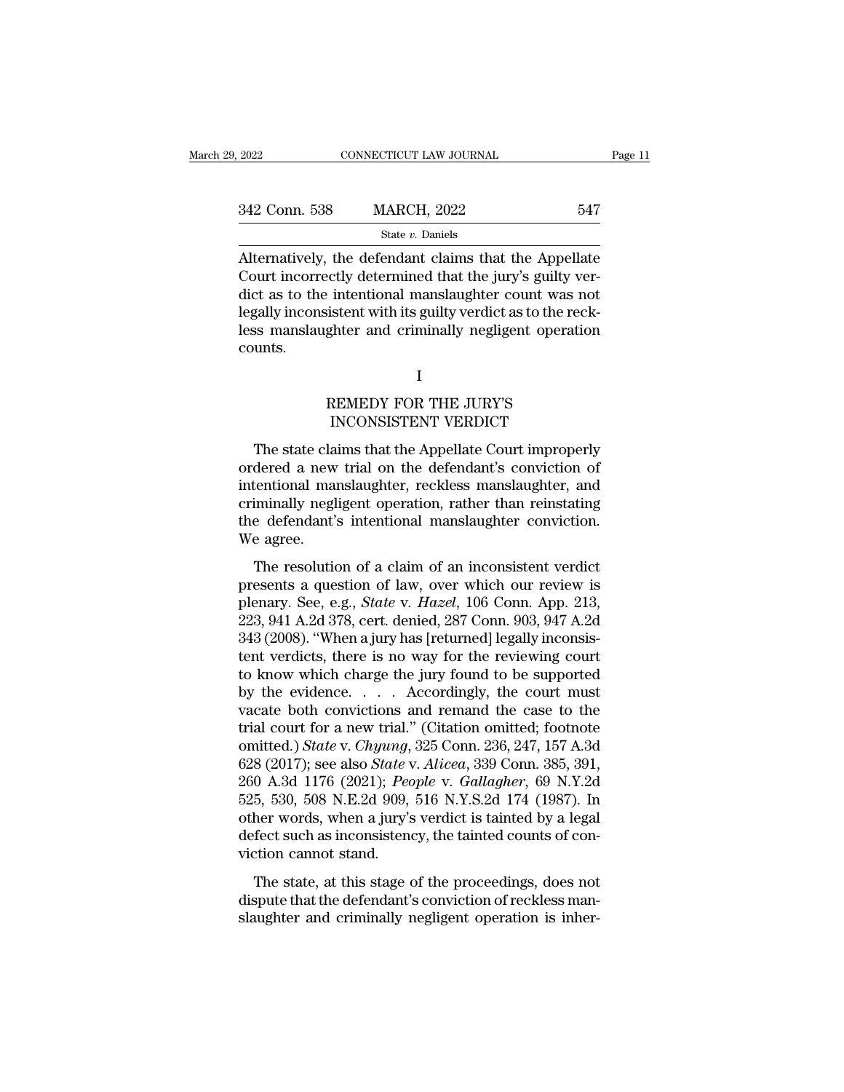$\begin{array}{ll}\n 342 \text{ Conn. } 538 \text{ } & \text{MARCH, } 2022 \text{ } & \text{547} \\
 \text{State } v. \text{ Daniels}\n \end{array}$ Alternatively, the defendant claims that the Appellate<br>
Court incorrectly determined that the jury's guilty ver-<br>
dict as to the intentional mansla  $\begin{array}{c|c} \text{342 Conn. } 538 & \text{MARCH, } 2022 & \text{547} \\ \hline \text{State } v. \text{ Danish} \end{array}$ <br>Alternatively, the defendant claims that the Appellate Court incorrectly determined that the jury's guilty verdict as to the intentional manslaughter coun 342 Conn. 538 MARCH, 2022 547<br>
State v. Daniels<br>
Alternatively, the defendant claims that the Appellate<br>
Court incorrectly determined that the jury's guilty verdict as to the intentional manslaughter count was not<br>
legall Since of the second of the state v. Daniels<br>
Alternatively, the defendant claims that the Appellate<br>
Court incorrectly determined that the jury's guilty ver-<br>
dict as to the intentional manslaughter count was not<br>
legally counts. Memorial manifold intervalse in the reduced state in the set is<br>stend with its guilty verdict as to the reduced the reduced state and criminally negligent operation<br>I<br>REMEDY FOR THE JURY'S INCONSISTENT VERDICT istent with its guilty verdict as to the reck<br>Inter and criminally negligent operation<br>I<br>REMEDY FOR THE JURY'S<br>INCONSISTENT VERDICT<br>aims that the Appellate Court improperl

The state claims that the Appellate Court improperly<br>The state claims that the Appellate Court improperly<br>dered a new trial on the defendant's conviction of<br>tentional mandaughter, reckless mandaughter, and I<br>
REMEDY FOR THE JURY'S<br>
INCONSISTENT VERDICT<br>
The state claims that the Appellate Court improperly<br>
ordered a new trial on the defendant's conviction of<br>
intentional manslaughter, reckless manslaughter, and<br>
criminally n I<br>
REMEDY FOR THE JURY'S<br>
INCONSISTENT VERDICT<br>
The state claims that the Appellate Court improperly<br>
ordered a new trial on the defendant's conviction of<br>
intentional manslaughter, reckless manslaughter, and<br>
criminally n REMEDY FOR THE JURY'S<br>INCONSISTENT VERDICT<br>The state claims that the Appellate Court improperly<br>ordered a new trial on the defendant's conviction of<br>intentional manslaughter, reckless manslaughter, and<br>criminally negligent INCONSISTENT VERDICT<br>
The state claims that the Appellate Court improperly<br>
ordered a new trial on the defendant's conviction of<br>
intentional manslaughter, reckless manslaughter, and<br>
criminally negligent operation, rather The state cla<br>
ordered a new<br>
intentional man<br>
criminally negl<br>
the defendant':<br>
We agree.<br>
The resolution The state claims that the Appendate Court Improperty<br>dered a new trial on the defendant's conviction of<br>tentional manslaughter, and<br>iminally negligent operation, rather than reinstating<br>e defendant's intentional manslaught intentional manslaughter, reckless manslaughter, and<br>criminally negligent operation, rather than reinstating<br>the defendant's intentional manslaughter conviction.<br>We agree.<br>The resolution of a claim of an inconsistent verd

michiolar manslaughter, reckless manslaughter, and<br>criminally negligent operation, rather than reinstating<br>the defendant's intentional manslaughter conviction.<br>We agree.<br>The resolution of a claim of an inconsistent verdict Emanally Registrational manslaughter conviction.<br>
We agree.<br>
The resolution of a claim of an inconsistent verdict<br>
presents a question of law, over which our review is<br>
plenary. See, e.g., *State v. Hazel*, 106 Conn. App. We agree.<br>
The resolution of a claim of an inconsistent verdict<br>
presents a question of law, over which our review is<br>
plenary. See, e.g., *State* v. *Hazel*, 106 Conn. App. 213,<br>
223, 941 A.2d 378, cert. denied, 287 Conn. The resolution of a claim of an inconsistent verdict<br>presents a question of law, over which our review is<br>plenary. See, e.g., *State v. Hazel*, 106 Conn. App. 213,<br>223, 941 A.2d 378, cert. denied, 287 Conn. 903, 947 A.2d<br> The resolution of a claim of an inconsistent verdict<br>presents a question of law, over which our review is<br>plenary. See, e.g., *State* v. *Hazel*, 106 Conn. App. 213,<br>223, 941 A.2d 378, cert. denied, 287 Conn. 903, 947 A.2 presents a question of law, over which our review is<br>plenary. See, e.g., *State* v. *Hazel*, 106 Conn. App. 213,<br>223, 941 A.2d 378, cert. denied, 287 Conn. 903, 947 A.2d<br>343 (2008). "When a jury has [returned] legally inco plenary. See, e.g., *State v. Hazel*, 106 Conn. App. 213, 223, 941 A.2d 378, cert. denied, 287 Conn. 903, 947 A.2d 343 (2008). "When a jury has [returned] legally inconsistent verdicts, there is no way for the reviewing co 223, 941 A.2d 378, cert. denied, 287 Conn. 903, 947 A.2d<br>343 (2008). "When a jury has [returned] legally inconsistent verdicts, there is no way for the reviewing court<br>to know which charge the jury found to be supported<br>b 343 (2008). "When a jury has [returned] legally inconsistent verdicts, there is no way for the reviewing court<br>to know which charge the jury found to be supported<br>by the evidence. . . . . Accordingly, the court must<br>vacate tent verdicts, there is no way for the reviewing court<br>to know which charge the jury found to be supported<br>by the evidence. . . . Accordingly, the court must<br>vacate both convictions and remand the case to the<br>trial court to know which charge the jury found to be supported<br>by the evidence. . . . . Accordingly, the court must<br>vacate both convictions and remand the case to the<br>trial court for a new trial." (Citation omitted; footnote<br>omitted. by the evidence. . . . . Accordingly, the court must<br>vacate both convictions and remand the case to the<br>trial court for a new trial." (Citation omitted; footnote<br>omitted.) *State* v. *Chyung*, 325 Conn. 236, 247, 157 A.3d<br> vacate both convictions and remand the case to the<br>trial court for a new trial." (Citation omitted; footnote<br>omitted.) *State* v. *Chyung*, 325 Conn. 236, 247, 157 A.3d<br>628 (2017); see also *State* v. *Alicea*, 339 Conn. 3 trial court for a new trial." (Citation omitted; footnote omitted.) *State v. Chyung*, 325 Conn. 236, 247, 157 A.3d 628 (2017); see also *State v. Alicea*, 339 Conn. 385, 391, 260 A.3d 1176 (2021); *People v. Gallagher*, omitted.) *State* v. *Chyung*,<br>628 (2017); see also *State* v<br>260 A.3d 1176 (2021); *Pec*<br>525, 530, 508 N.E.2d 909,<br>other words, when a jury's<br>defect such as inconsistene<br>viction cannot stand.<br>The state, at this stage o 0 A.3d 1176 (2021); *People v. Gallagher*, 69 N.Y.2d<br>5, 530, 508 N.E.2d 909, 516 N.Y.S.2d 174 (1987). In<br>her words, when a jury's verdict is tainted by a legal<br>fect such as inconsistency, the tainted counts of con-<br>tion c  $\overline{250}$ , 530, 508 N.E.2d 909, 516 N.Y.S.2d 174 (1987). In other words, when a jury's verdict is tainted by a legal defect such as inconsistency, the tainted counts of conviction cannot stand.<br>The state, at this stage o slaughter and criminally negligent operation is inher-<br>slaughter words, when a jury's verdict is tainted by a legal<br>defect such as inconsistency, the tainted counts of con-<br>viction cannot stand.<br>The state, at this stage o

I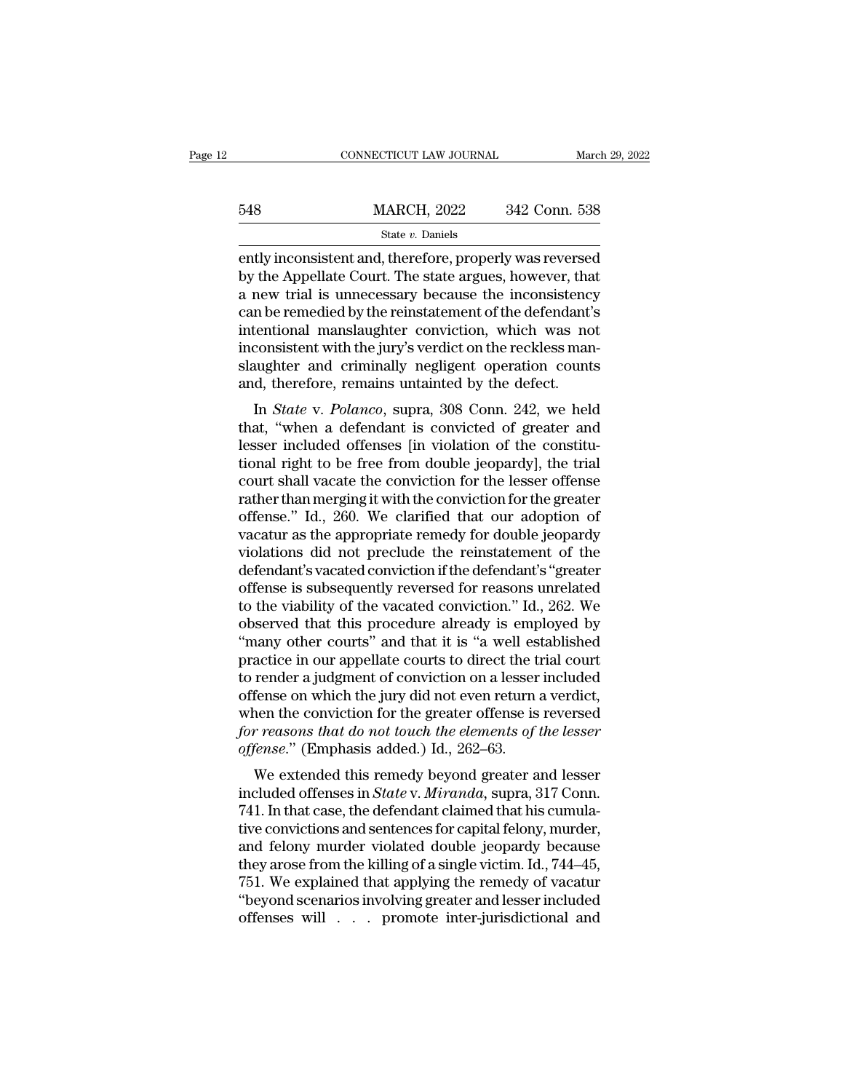|     | CONNECTICUT LAW JOURNAL                                                                                                                                                     | March 29, 2022 |
|-----|-----------------------------------------------------------------------------------------------------------------------------------------------------------------------------|----------------|
| 548 | <b>MARCH, 2022</b>                                                                                                                                                          | 342 Conn. 538  |
|     | State $v$ . Daniels                                                                                                                                                         |                |
|     | ently inconsistent and, therefore, properly was reversed<br>by the Appellate Court. The state argues, however, that<br>a now trial is unnocossary bocause the inconsistency |                |

 $\begin{array}{ll}\n 548 & \text{MARCH, } 2022 & 342 \text{ Conn. } 538 \\
 \text{State } v. \text{ Daniels} \\
 \text{ently inconsistent and, therefore, properly was reversed} \\
 \text{by the Appellate Court. The state argues, however, that} \\
 \text{a new trial is unnecessary because the inconsistency} \\
 \text{can be rounded by the right component of the defondant's}\n \end{array}$  $\frac{\text{MARCH}}{\text{State } v. \text{ Daniels}}$ <br>  $\frac{\text{State } v. \text{ Daniels}}{\text{ently inconsistent and, therefore, properly was reversed}}$ <br>
by the Appellate Court. The state argues, however, that<br>
a new trial is unnecessary because the inconsistency<br>
can be remedied by the reinstatement of the defendan 548 MARCH, 2022 342 Conn. 538<br>  $\frac{\text{State } v. \text{ Daniels}}{\text{ently inconsistent and, therefore, properly was reversed}}$ <br>
by the Appellate Court. The state argues, however, that<br>
a new trial is unnecessary because the inconsistency<br>
can be remedied by the reinstatement of the d State v. Daniels<br>
State v. Daniels<br>
ently inconsistent and, therefore, properly was reversed<br>
by the Appellate Court. The state argues, however, that<br>
a new trial is unnecessary because the inconsistency<br>
can be remedied state v. Daniels<br>
ently inconsistent and, therefore, properly was reversed<br>
by the Appellate Court. The state argues, however, that<br>
a new trial is unnecessary because the inconsistency<br>
can be remedied by the reinstateme ently inconsistent and, therefore, properly was reversed<br>by the Appellate Court. The state argues, however, that<br>a new trial is unnecessary because the inconsistency<br>can be remedied by the reinstatement of the defendant's<br> by the Appellate Court. The state argues, however, tha<br>a new trial is unnecessary because the inconsistenc<br>can be remedied by the reinstatement of the defendant<br>intentional manslaughter conviction, which was no<br>inconsisten In *S* and *S* and *S* and *S* and *S* and *S* and *S* and *S* terminal manslaughter conviction, which was not consistent with the jury's verdict on the reckless man-<br>aughter and criminally negligent operation counts d, th can be remeated by the remstatement of the defendant is<br>intentional manslaughter conviction, which was not<br>inconsistent with the jury's verdict on the reckless man-<br>slaughter and criminally negligent operation counts<br>and,

Intentional maislanginer conviction, which was not<br>inconsistent with the jury's verdict on the reckless man-<br>slaughter and criminally negligent operation counts<br>and, therefore, remains untainted by the defect.<br>In *State* v mconsistent with the jury s vertict of the reckless man-<br>slaughter and criminally negligent operation counts<br>and, therefore, remains untainted by the defect.<br>In *State* v. Polanco, supra, 308 Conn. 242, we held<br>that, "when slaughter and criminary negligent operation counts<br>and, therefore, remains untainted by the defect.<br>In *State* v. Polanco, supra, 308 Conn. 242, we held<br>that, "when a defendant is convicted of greater and<br>lesser included and, therefore, remains untainted by the defect.<br>In *State* v. *Polanco*, supra, 308 Conn. 242, we held<br>that, "when a defendant is convicted of greater and<br>lesser included offenses [in violation of the constitu-<br>tional rig In *State* v. *Polanco*, supra, 308 Conn. 242, we held<br>that, "when a defendant is convicted of greater and<br>lesser included offenses [in violation of the constitu-<br>tional right to be free from double jeopardy], the trial<br>co that, "when a defendant is convicted of greater and<br>lesser included offenses [in violation of the constitu-<br>tional right to be free from double jeopardy], the trial<br>court shall vacate the conviction for the lesser offense<br> lesser included offenses [in violation of the constitutional right to be free from double jeopardy], the trial<br>court shall vacate the conviction for the lesser offense<br>rather than merging it with the conviction for the gre tional right to be free from double jeopardy], the trial<br>court shall vacate the conviction for the lesser offense<br>rather than merging it with the conviction for the greater<br>offense." Id., 260. We clarified that our adoptio court shall vacate the conviction for the lesser offense<br>rather than merging it with the conviction for the greater<br>offense." Id., 260. We clarified that our adoption of<br>vacatur as the appropriate remedy for double jeopard rather than merging it with the conviction for the greater<br>offense." Id., 260. We clarified that our adoption of<br>vacatur as the appropriate remedy for double jeopardy<br>violations did not preclude the reinstatement of the<br>de offense." Id., 260. We clarified that our adoption of<br>vacatur as the appropriate remedy for double jeopardy<br>violations did not preclude the reinstatement of the<br>defendant's vacated conviction if the defendant's "greater<br>of vacatur as the appropriate remedy for double jeopardy<br>
violations did not preclude the reinstatement of the<br>
defendant's vacated conviction if the defendant's "greater<br>
offense is subsequently reversed for reasons unrelate violations did not preclude the reinstatement of the defendant's vacated conviction if the defendant's "greater offense is subsequently reversed for reasons unrelated to the viability of the vacated conviction." Id., 262. defendant's vacated conviction if the defendant's "greater<br>offense is subsequently reversed for reasons unrelated<br>to the viability of the vacated conviction." Id., 262. We<br>observed that this procedure already is employed b offense is subsequently reversed for reasons unrelated<br>to the viability of the vacated conviction." Id., 262. We<br>observed that this procedure already is employed by<br>"many other courts" and that it is "a well established<br>pr to the viability of the vacated conviction." Id., 262. We<br>observed that this procedure already is employed by<br>"many other courts" and that it is "a well established<br>practice in our appellate courts to direct the trial cou observed that this procedure already is employed by "many other courts" and that it is "a well established practice in our appellate courts to direct the trial court to render a judgment of conviction on a lesser included "many other courts" and that it is "a well es<br>practice in our appellate courts to direct the t<br>to render a judgment of conviction on a lesser<br>offense on which the jury did not even return<br>when the conviction for the greate actice in our appenate courts to unect the that court<br>render a judgment of conviction on a lesser included<br>fense on which the jury did not even return a verdict,<br>nen the conviction for the greater offense is reversed<br>*r re* included offense on which the jury did not even return a verdict,<br>when the conviction for the greater offense is reversed<br>for reasons that do not touch the elements of the lesser<br>offense." (Emphasis added.) Id., 262–63.<br>We

onense on which the jury did not even return a verdict,<br>when the conviction for the greater offense is reversed<br>for reasons that do not touch the elements of the lesser<br>offense." (Emphasis added.) Id., 262–63.<br>We extended when the conviction for the greater offense is reversed<br>for reasons that do not touch the elements of the lesser<br>offense." (Emphasis added.) Id., 262–63.<br>We extended this remedy beyond greater and lesser<br>included offenses for reasons that ab not touch the etements of the tesser<br>offense." (Emphasis added.) Id., 262–63.<br>We extended this remedy beyond greater and lesser<br>included offenses in *State* v. Miranda, supra, 317 Conn.<br>741. In that ca by ense. (Emphasis added.) Id., 202–05.<br>We extended this remedy beyond greater and lesser<br>included offenses in *State* v. *Miranda*, supra, 317 Conn.<br>741. In that case, the defendant claimed that his cumula-<br>tive convicti We extended this remedy beyond greater and lesser<br>included offenses in *State* v. *Miranda*, supra, 317 Conn.<br>741. In that case, the defendant claimed that his cumula-<br>tive convictions and sentences for capital felony, mu included offenses in *State* v. *Miranda*, supra, 317 Conn.<br>741. In that case, the defendant claimed that his cumulative convictions and sentences for capital felony, murder,<br>and felony murder violated double jeopardy beca 741. In that case, the defendant claimed that his cumulative convictions and sentences for capital felony, murder, and felony murder violated double jeopardy because they arose from the killing of a single victim. Id., 744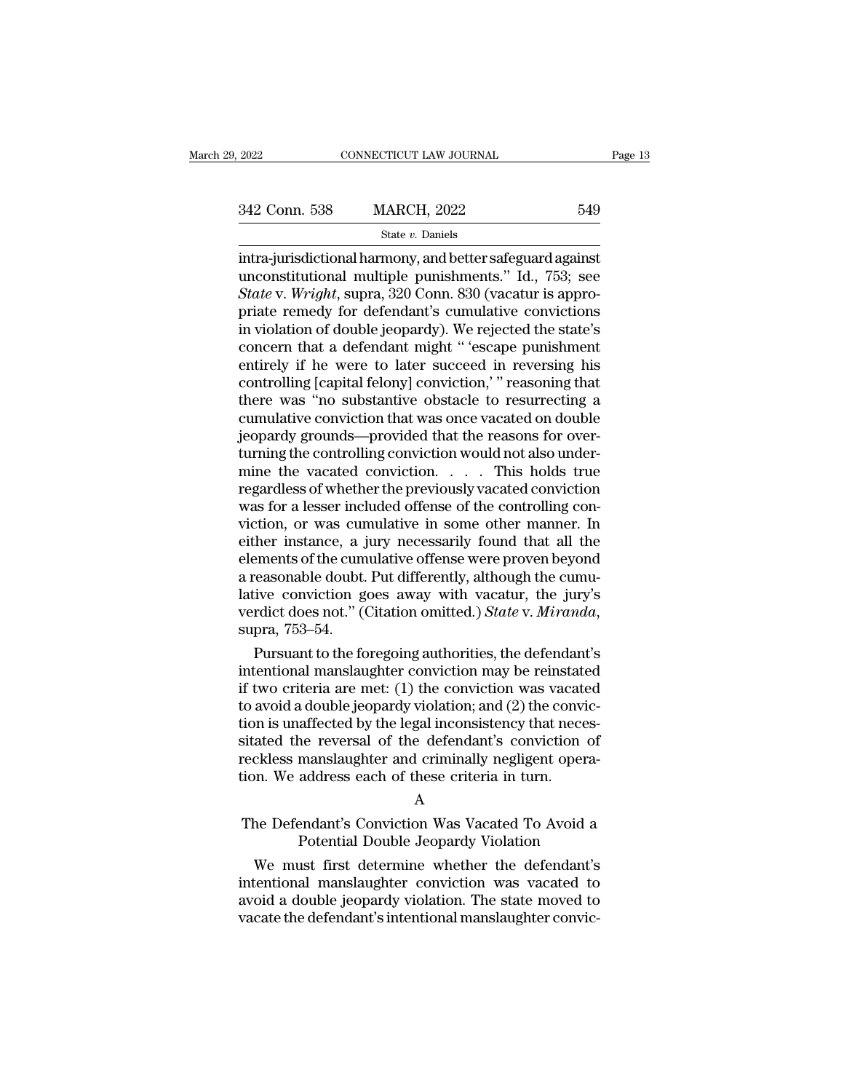# State *v.* Daniels

2022 CONNECTICUT LAW JOURNAL Page 1:<br>
342 Conn. 538 MARCH, 2022 549<br>
549<br>
512 State v. Daniels<br>
2022 549<br>
549<br>
512 Intra-jurisdictional harmony, and better safeguard against<br>
513; see State v. Wright supper 320 Conn. 830 ( 342 Conn. 538 MARCH, 2022 549<br>
state v. Daniels<br>
intra-jurisdictional harmony, and better safeguard against<br>
unconstitutional multiple punishments.'' Id., 753; see<br>
State v. Wright, supra, 320 Conn. 830 (vacatur is appro-<br> <sup>342</sup> Conn. 538 MARCH, 2022 549<br>
<sup>State *v*. Daniels<br>
intra-jurisdictional harmony, and better safeguard against<br>
unconstitutional multiple punishments." Id., 753; see<br> *State* v. *Wright*, supra, 320 Conn. 830 (vacatur is</sup> 342 Conn. 538 MARCH, 2022 549<br>
State *v*. Daniels<br>
intra-jurisdictional harmony, and better safeguard against<br>
unconstitutional multiple punishments." Id., 753; see<br>
State v. Wright, supra, 320 Conn. 830 (vacatur is appro Similarly if the were to later succeed in reversing his<br>
antralytis in the state v. Daniels<br>
intra-jurisdictional harmony, and better safeguard against<br>
unconstitutional multiple punishments." Id., 753; see<br> *State* v. *W* state v. Daniels<br>
intra-jurisdictional harmony, and better safeguard against<br>
unconstitutional multiple punishments." Id., 753; see<br> *State* v. *Wright*, supra, 320 Conn. 830 (vacatur is appro-<br>
priate remedy for defendan intra-jurisdictional harmony, and better safeguard against<br>unconstitutional multiple punishments." Id., 753; see<br>State v. Wright, supra, 320 Conn. 830 (vacatur is appro-<br>priate remedy for defendant's cumulative convictions unconstitutional multiple punishments." Id., 753; see<br>State v. Wright, supra, 320 Conn. 830 (vacatur is appro-<br>priate remedy for defendant's cumulative convictions<br>in violation of double jeopardy). We rejected the state's<br> State v. Wright, supra, 320 Conn. 830 (vacatur is appropriate remedy for defendant's cumulative convictions<br>in violation of double jeopardy). We rejected the state's<br>concern that a defendant might " 'escape punishment<br>ent priate remedy for defendant's cumulative convictions<br>in violation of double jeopardy). We rejected the state's<br>concern that a defendant might "'escape punishment<br>entirely if he were to later succeed in reversing his<br>contro in violation of double jeopardy). We rejected the state's<br>concern that a defendant might " 'escape punishment<br>entirely if he were to later succeed in reversing his<br>controlling [capital felony] conviction, " reasoning that<br> concern that a defendant might " 'escape punishment<br>entirely if he were to later succeed in reversing his<br>controlling [capital felony] conviction,' " reasoning that<br>there was "no substantive obstacle to resurrecting a<br>cumu entirely if he were to later succeed in reversing his<br>controlling [capital felony] conviction,' " reasoning that<br>there was "no substantive obstacle to resurrecting a<br>cumulative conviction that was once vacated on double<br>je controlling [capital felony] conviction,'" reasoning that<br>there was "no substantive obstacle to resurrecting a<br>cumulative conviction that was once vacated on double<br>jeopardy grounds—provided that the reasons for over-<br>turn there was "no substantive obstacle to resurrecting a<br>cumulative conviction that was once vacated on double<br>jeopardy grounds—provided that the reasons for over-<br>turning the controlling conviction would not also under-<br>mine cumulative conviction that was once vacated on double<br>jeopardy grounds—provided that the reasons for over-<br>turning the controlling conviction would not also under-<br>mine the vacated conviction. . . . . This holds true<br>regar jeopardy grounds—provided that the reasons for over-<br>turning the controlling conviction would not also under-<br>mine the vacated conviction. . . . . This holds true<br>regardless of whether the previously vacated conviction<br>was turning the controlling conviction would not also under-<br>mine the vacated conviction. . . . This holds true<br>regardless of whether the previously vacated conviction<br>was for a lesser included offense of the controlling con-<br> mine the vacated conviction. . . . . This holds true<br>regardless of whether the previously vacated conviction<br>was for a lesser included offense of the controlling con-<br>viction, or was cumulative in some other manner. In<br>ei regardless of whether the previously vacated conviction<br>was for a lesser included offense of the controlling con-<br>viction, or was cumulative in some other manner. In<br>either instance, a jury necessarily found that all the<br>e was for a lesser included offense of the controlling conviction, or was cumulative in some other manner. In either instance, a jury necessarily found that all the elements of the cumulative offense were proven beyond a rea Frem instance, a jury necessarily found that all the<br>ements of the cumulative offense were proven beyond<br>reasonable doubt. Put differently, although the cumu-<br>ive conviction goes away with vacatur, the jury's<br>rdict does no elements of the cumulative offense were proven beyond<br>a reasonable doubt. Put differently, although the cumu-<br>lative conviction goes away with vacatur, the jury's<br>verdict does not." (Citation omitted.) *State* v. *Miranda* 

a reasonable doubt. Put differently, although the cumulative conviction goes away with vacatur, the jury's verdict does not." (Citation omitted.) *State* v. *Miranda*, supra, 753–54.<br>Pursuant to the foregoing authorities, lative conviction goes away with vacatur, the jury's<br>verdict does not." (Citation omitted.) *State* v. *Miranda*,<br>supra, 753–54.<br>Pursuant to the foregoing authorities, the defendant's<br>intentional manslaughter conviction ma verdict does not." (Citation omitted.) *State* v. *Miranda*, supra, 753–54.<br>Pursuant to the foregoing authorities, the defendant's intentional manslaughter conviction may be reinstated if two criteria are met: (1) the conv supra, 753–54.<br>
Pursuant to the foregoing authorities, the defendant's<br>
intentional manslaughter conviction may be reinstated<br>
if two criteria are met: (1) the conviction was vacated<br>
to avoid a double jeopardy violation; Pursuant to the foregoing authorities, the defendant's<br>intentional manslaughter conviction may be reinstated<br>if two criteria are met: (1) the conviction was vacated<br>to avoid a double jeopardy violation; and (2) the convicintentional manslaughter conviction may be reinstate<br>if two criteria are met: (1) the conviction was vacate<br>to avoid a double jeopardy violation; and (2) the convi<br>tion is unaffected by the legal inconsistency that nece<br>si The Defendant's Conviction Was Vacated To Avoid a<br>The Defendant's conviction of<br>The Defendant's Conviction Conviction. We address each of these criteria in turn.<br>A<br>The Defendant's Conviction Was Vacated To Avoid a<br>Potentia Examples and the defendant's conviction of<br>manslaughter and criminally negligent opera-<br>address each of these criteria in turn.<br>A<br>endant's Conviction Was Vacated To Avoid a<br>Potential Double Jeopardy Violation<br>ust first det

# A

ckless manslaughter and criminally negligent operation.<br>We address each of these criteria in turn.<br>A<br>he Defendant's Conviction Was Vacated To Avoid a<br>Potential Double Jeopardy Violation<br>We must first determine whether the interior. We address each of these criteria in turn.<br>
A<br>
The Defendant's Conviction Was Vacated To Avoid a<br>
Potential Double Jeopardy Violation<br>
We must first determine whether the defendant's<br>
intentional manslaughter con A<br>
The Defendant's Conviction Was Vacated To Avoid a<br>
Potential Double Jeopardy Violation<br>
We must first determine whether the defendant's<br>
intentional manslaughter conviction was vacated to<br>
avoid a double jeopardy violat The Defendant's Conviction Was Vacated To Avoid a<br>Potential Double Jeopardy Violation<br>We must first determine whether the defendant's<br>intentional manslaughter conviction was vacated to<br>avoid a double jeopardy violation. Th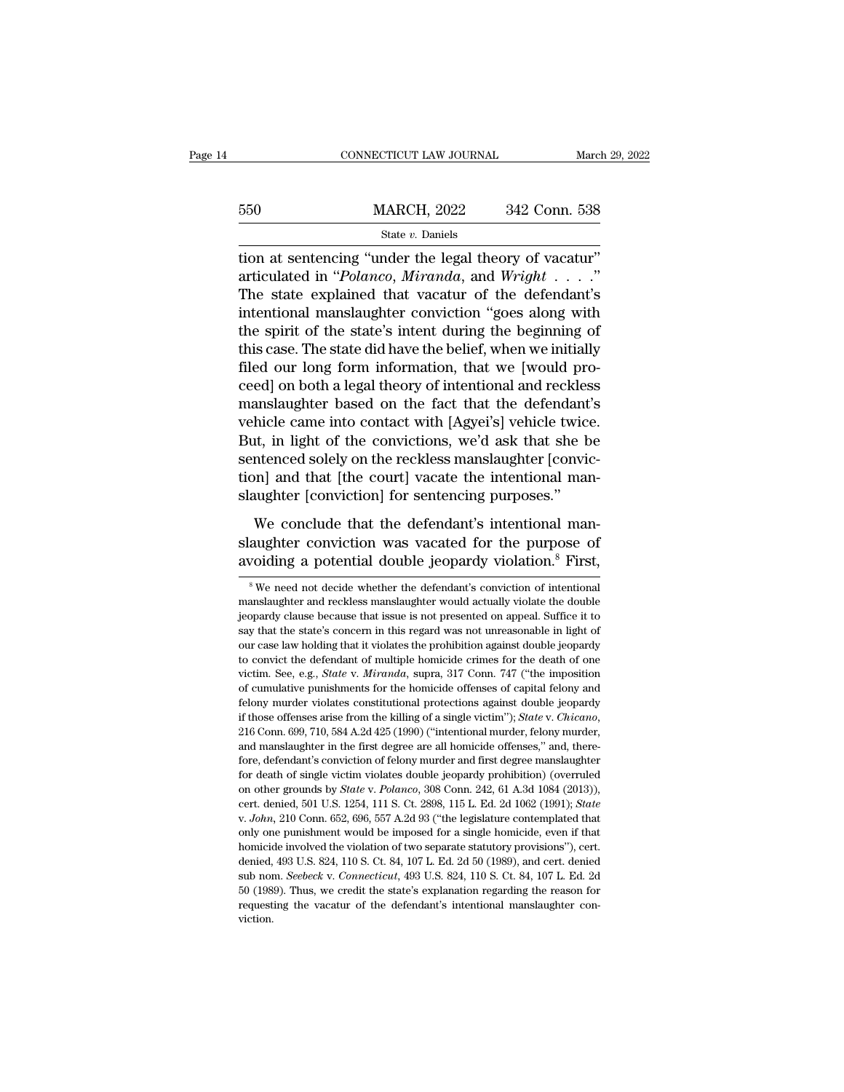|     | CONNECTICUT LAW JOURNAL                                                                                                                                        | March 29, 2022 |
|-----|----------------------------------------------------------------------------------------------------------------------------------------------------------------|----------------|
| 550 | <b>MARCH, 2022</b>                                                                                                                                             | 342 Conn. 538  |
|     | State $v$ . Daniels                                                                                                                                            |                |
|     | tion at sentencing "under the legal theory of vacatur"<br>articulated in "Polanco, Miranda, and Wright"<br>The state evploited that yesetur of the defendant's |                |

articulated in ''*Polanco*, *Miranda*, and *Wright* . . . .''  $\frac{\text{MARCH, 2022}}{\text{State } v. \text{ Danish}}$ <br>
State  $v. \text{ Danish}$ <br>
state  $v. \text{ Danish}$ <br>
tion at sentencing "under the legal theory of vacatur"<br>
articulated in "*Polanco*, *Miranda*, and *Wright* . . . ."<br>
The state explained that vacatur of the  $\frac{\text{MARCH, 2022}}{\text{State } v. \text{ Daniels}}$ <br>
state *v.* Daniels<br>
tion at sentencing "under the legal theory of vacatur"<br>
articulated in "*Polanco*, *Miranda*, and *Wright* . . . . ."<br>
The state explained that vacatur of the defendant's State v. Daniels<br>
tion at sentencing "under the legal theory of vacatur"<br>
articulated in "Polanco, Miranda, and Wright . . . ."<br>
The state explained that vacatur of the defendant's<br>
intentional manslaughter conviction "go state v. Danies<br>tion at sentencing "under the legal theory of vacatur"<br>articulated in "*Polanco*, *Miranda*, and *Wright* . . . ."<br>The state explained that vacatur of the defendant's<br>intentional manslaughter conviction "g tion at sentencing "under the legal theory of vacatur"<br>articulated in "*Polanco*, *Miranda*, and *Wright* . . . . "<br>The state explained that vacatur of the defendant's<br>intentional manslaughter conviction "goes along with<br> articulated in "*Polanco*, *Miranda*, and *Wright* . . . ."<br>The state explained that vacatur of the defendant's<br>intentional manslaughter conviction "goes along with<br>the spirit of the state's intent during the beginning of The state explained that vacatur of the defendant's<br>intentional manslaughter conviction "goes along with<br>the spirit of the state's intent during the beginning of<br>this case. The state did have the belief, when we initially<br> intentional manslaughter conviction "goes along with<br>the spirit of the state's intent during the beginning of<br>this case. The state did have the belief, when we initially<br>filed our long form information, that we [would prothe spirit of the state's intent during the beginning of<br>this case. The state did have the belief, when we initially<br>filed our long form information, that we [would pro-<br>ceed] on both a legal theory of intentional and reck this case. The state did have the belief, when we initially<br>filed our long form information, that we [would pro-<br>ceed] on both a legal theory of intentional and reckless<br>manslaughter based on the fact that the defendant's<br> filed our long form information, that we [would proceed] on both a legal theory of intentional and reckless manslaughter based on the fact that the defendant's vehicle came into contact with [Agyei's] vehicle twice. But, i ceed] on both a legal theory of intentional and reckles<br>manslaughter based on the fact that the defendant<br>vehicle came into contact with [Agyei's] vehicle twice<br>But, in light of the convictions, we'd ask that she b<br>sentenc hicle came into contact with [Agyei's] vehicle twice.<br>tt, in light of the convictions, we'd ask that she be<br>ntenced solely on the reckless manslaughter [convic-<br>on] and that [the court] vacate the intentional man-<br>uughter But, in light of the convictions, we'd ask that she be<br>sentenced solely on the reckless manslaughter [convic-<br>tion] and that [the court] vacate the intentional man-<br>slaughter [conviction] for sentencing purposes."<br>We concl sentenced solely on the reckless manslaughter [conviction] and that [the court] vacate the intentional manslaughter [conviction] for sentencing purposes."<br>We conclude that the defendant's intentional manslaughter convictio

We conclude that the defendant's intentional man-<br>aughter conviction was vacated for the purpose of<br>voiding a potential double jeopardy violation.<sup>8</sup> First,<br><sup>8</sup>We need not decide whether the defendant's conviction of inten We conclude that the defendant's intentional man-<br>slaughter conviction was vacated for the purpose of<br>avoiding a potential double jeopardy violation.<sup>8</sup> First,<br><sup>8</sup>We need not decide whether the defendant's conviction of in

slaughter conviction was vacated for the purpose of<br>avoiding a potential double jeopardy violation.<sup>8</sup> First,<br><sup>8</sup>We need not decide whether the defendant's conviction of intentional<br>manslaughter and reckless manslaughter w avoiding a potential double jeopardy violation.<sup>8</sup> First,<br><sup>8</sup> We need not decide whether the defendant's conviction of intentional<br>manslaughter and reckless manslaughter would actually violate the double<br>jeopardy clause b s Wording a potential double jeopardy violation. FISt,<br>
<sup>8</sup> We need not decide whether the defendant's conviction of intentional<br>
manslaughter and reckless manslaughter would actually violate the double<br>
jeopardy clause be <sup>8</sup> We need not decide whether the defendant's conviction of intentional manslaughter and reckless manslaughter would actually violate the double jeopardy clause because that issue is not presented on appeal. Suffice it t manslaughter and reckless manslaughter would actually violate the double<br>jeopardy clause because that issue is not presented on appeal. Suffice it to<br>say that the state's concern in this regard was not unreasonable in ligh is<br>eigopardy clause because that issue is not presented on appeal. Suffice it to<br>say that the state's concern in this regard was not unreasonable in light of<br>our case law holding that it violates the prohibition against do felony murder violates constitutional protections against double jeopardy four case law holding that it violates the prohibition against double jeopardy to convict the defendant of multiple homicide crimes for the death of For the killing of a single victim. See, e.g., *State* v. *Miranda*, supra, 317 Conn. 747 ("the imposition of cumulative punishments for the homicide offenses of capital felony and felony murder violates constitutional pro to convict the defendant of multiple homicide crimes for the death of one victim. See, e.g., *State* v. *Miranda*, supra, 317 Conn. 747 ("the imposition of cumulative punishments for the homicide offenses of capital felon for cumulative punishments for the homicide offenses of capital felony and felony murder violates constitutional protections against double jeopardy if those offenses arise from the killing of a single victim"); *State v.* felony murder violates constitutional protections against double jeopardy if those offenses arise from the killing of a single victim"); *State v. Chicano*, 216 Conn. 699, 710, 584 A.2d 425 (1990) ("intentional murder, fe on other sames arise from the killing of a single victim"); *State* v. *Chicano*, 216 Conn. 699, 710, 584 A.2d 425 (1990) ("intentional murder, felony murder, and manslaughter in the first degree are all homicide offenses, cert. denied, 501 U.S. 1254, 111 S. Ct. 2898, 115 L. Ed. 2d 1062 (1990); *atomation* and manslaughter in the first degree are all homicide offenses," and, therefore, defendant's conviction of felony murder and first degree fore, defendant's conviction of felony murder and first degree manslaughter for death of single victim violates double jeopardy prohibition) (overruled on other grounds by *State v. Polanco*, 308 Conn. 242, 61 A.3d 1084 (2 for death of single victim violates double jeopardy prohibition) (overruled on other grounds by *State v. Polanco*, 308 Conn. 242, 61 A.3d 1084 (2013)), cert. denied, 501 U.S. 1254, 111 S. Ct. 2898, 115 L. Ed. 2d 1062 (19 on other grounds by *State* v. *Polanco*, 308 Conn. 242, 61 A.3d 1084 (2013)), cert. denied, 501 U.S. 1254, 111 S. Ct. 2898, 115 L. Ed. 2d 1062 (1991); *State* v. *John*, 210 Conn. 652, 696, 557 A.2d 93 ("the legislature c cert. denied, 501 U.S. 1254, 111 S. Ct. 2898, 115 L. Ed. 2d 1062 (1991); *State* v. *John*, 210 Conn. 652, 696, 557 A.2d 93 ("the legislature contemplated that only one punishment would be imposed for a single homicide, ev cert. denied, 501 U.S. 1254, 111 S. Ct. 2898, 115 L. Ed. 2d 1062 (1991); *State* v. *John*, 210 Conn. 652, 696, 557 A.2d 93 ("the legislature contemplated that only one punishment would be imposed for a single homicide, e only one punishment would be imposed for a single homicide, even if that viction.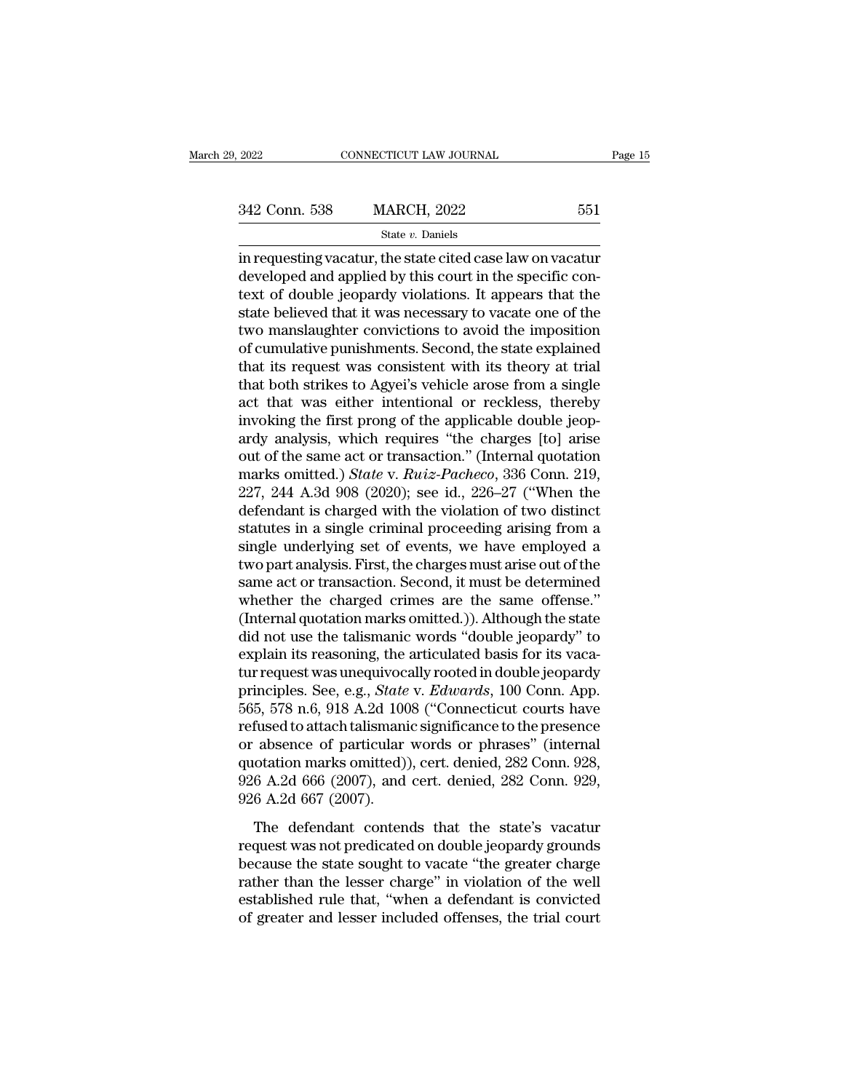State *v.* Daniels

 $\begin{array}{lll}\n \textbf{2022} & \textbf{CONNECTICUT LAW JOURNAL} & \textbf{Page 15} \\
 \hline\n & \textbf{342 Conn. } 538 & \textbf{MARCH, } 2022 & 551 \\
 \hline\n & \textbf{State } v. \textbf{ Daniels} & \textbf{342:} 551 \\
 \hline\n \textbf{in requesting vacantur, the state cited case law on vacancy} & \textbf{decupled and applied by this court in the specific context of double isometry. It appears that the\n \end{array}$ 342 Conn. 538 MARCH, 2022 551<br>
State v. Daniels<br>
in requesting vacatur, the state cited case law on vacatur<br>
developed and applied by this court in the specific con-<br>
text of double jeopardy violations. It appears that the 342 Conn. 538 MARCH, 2022 551<br>  $\frac{\text{State } v. \text{ Daniels}}{\text{rate } v. \text{ Daniels}}$ <br>
in requesting vacatur, the state cited case law on vacatur<br>
developed and applied by this court in the specific con-<br>
text of double jeopardy violations. It a 342 Conn. 538 MARCH, 2022 551<br>  $\frac{\text{State } v. \text{ Daniels}}{\text{State } v. \text{ Daniels}}$ <br>
in requesting vacatur, the state cited case law on vacatur<br>
developed and applied by this court in the specific con-<br>
text of double jeopardy violations. It a State v. Daniels<br>
in requesting vacatur, the state cited case law on vacatur<br>
developed and applied by this court in the specific con-<br>
text of double jeopardy violations. It appears that the<br>
state believed that it was n state *v*. Danies<br>in requesting vacatur, the state cited case law on vacatur<br>developed and applied by this court in the specific con-<br>text of double jeopardy violations. It appears that the<br>state believed that it was nece in requesting vacatur, the state cited case law on vacatur<br>developed and applied by this court in the specific con-<br>text of double jeopardy violations. It appears that the<br>state believed that it was necessary to vacate one developed and applied by this court in the specific context of double jeopardy violations. It appears that the state believed that it was necessary to vacate one of the two manslaughter convictions to avoid the imposition text of double jeopardy violations. It appears that the<br>state believed that it was necessary to vacate one of the<br>two manslaughter convictions to avoid the imposition<br>of cumulative punishments. Second, the state explained<br> state believed that it was necessary to vacate one of the<br>two manslaughter convictions to avoid the imposition<br>of cumulative punishments. Second, the state explained<br>that its request was consistent with its theory at trial two manslaughter convictions to avoid the imposition<br>of cumulative punishments. Second, the state explained<br>that its request was consistent with its theory at trial<br>that both strikes to Agyei's vehicle arose from a single of cumulative punishments. Second, the state explained<br>that its request was consistent with its theory at trial<br>that both strikes to Agyei's vehicle arose from a single<br>act that was either intentional or reckless, thereby that its request was consistent with its theory at trial<br>that both strikes to Agyei's vehicle arose from a single<br>act that was either intentional or reckless, thereby<br>invoking the first prong of the applicable double jeopthat both strikes to Agyei's vehicle arose from a single<br>act that was either intentional or reckless, thereby<br>invoking the first prong of the applicable double jeop-<br>ardy analysis, which requires "the charges [to] arise<br>ou act that was either intentional or reckless, thereby<br>invoking the first prong of the applicable double jeop-<br>ardy analysis, which requires "the charges [to] arise<br>out of the same act or transaction." (Internal quotation<br>ma invoking the first prong of the applicable double jeopardy analysis, which requires "the charges [to] arise<br>out of the same act or transaction." (Internal quotation<br>marks omitted.) *State* v. *Ruiz-Pacheco*, 336 Conn. 219, ardy analysis, which requires "the charges [to] arise<br>out of the same act or transaction." (Internal quotation<br>marks omitted.) *State* v. *Ruiz-Pacheco*, 336 Conn. 219,<br>227, 244 A.3d 908 (2020); see id., 226–27 ("When the<br> out of the same act or transaction." (Internal quotation<br>marks omitted.) *State* v. *Ruiz-Pacheco*, 336 Conn. 219,<br>227, 244 A.3d 908 (2020); see id., 226–27 ("When the<br>defendant is charged with the violation of two distinc marks omitted.) *State* v. *Ruiz-Pacheco*, 336 Conn. 219, 227, 244 A.3d 908 (2020); see id., 226–27 ("When the defendant is charged with the violation of two distinct statutes in a single criminal proceeding arising from 227, 244 A.3d 908 (2020); see id., 226–27 ("When the defendant is charged with the violation of two distinct statutes in a single criminal proceeding arising from a single underlying set of events, we have employed a two p defendant is charged with the violation of two distinct<br>statutes in a single criminal proceeding arising from a<br>single underlying set of events, we have employed a<br>two part analysis. First, the charges must arise out of th statutes in a single criminal proceeding arising from a<br>single underlying set of events, we have employed a<br>two part analysis. First, the charges must arise out of the<br>same act or transaction. Second, it must be determined single underlying set of events, we have employed a two part analysis. First, the charges must arise out of the same act or transaction. Second, it must be determined whether the charged crimes are the same offense." (Int two part analysis. First, the charges must arise out of the<br>same act or transaction. Second, it must be determined<br>whether the charged crimes are the same offense."<br>(Internal quotation marks omitted.)). Although the state<br> same act or transaction. Second, it must be determined<br>whether the charged crimes are the same offense."<br>(Internal quotation marks omitted.)). Although the state<br>did not use the talismanic words "double jeopardy" to<br>explai whether the charged crimes are the same offense."<br>(Internal quotation marks omitted.)). Although the state<br>did not use the talismanic words "double jeopardy" to<br>explain its reasoning, the articulated basis for its vaca-<br>tu (Internal quotation marks omitted.)). Although the state<br>did not use the talismanic words "double jeopardy" to<br>explain its reasoning, the articulated basis for its vaca-<br>tur request was unequivocally rooted in double jeop did not use the talismanic words "double jeopardy" to<br>explain its reasoning, the articulated basis for its vaca-<br>tur request was unequivocally rooted in double jeopardy<br>principles. See, e.g., *State v. Edwards*, 100 Conn. explain its reasoning, the articulated basis for its vaca-<br>tur request was unequivocally rooted in double jeopardy<br>principles. See, e.g., *State v. Edwards*, 100 Conn. App.<br>565, 578 n.6, 918 A.2d 1008 ("Connecticut courts tur request was unequivocally rooted in double jeopardy<br>principles. See, e.g., *State* v. *Edwards*, 100 Conn. App.<br>565, 578 n.6, 918 A.2d 1008 ("Connecticut courts have<br>refused to attach talismanic significance to the pre principles. See, e.g., *State*<br>565, 578 n.6, 918 A.2d 100<br>refused to attach talismani<br>or absence of particular<br>quotation marks omitted)<br>926 A.2d 666 (2007), and<br>926 A.2d 667 (2007).<br>The defendant conten fused to attach talismanic significance to the presence<br>fused to attach talismanic significance to the presence<br>absence of particular words or phrases" (internal<br>otation marks omitted)), cert. denied, 282 Conn. 928,<br>6 A.2d rerassed o didden dinsmarite significance to the presence<br>or absence of particular words or phrases" (internal<br>quotation marks omitted)), cert. denied, 282 Conn. 928,<br>926 A.2d 666 (2007), and cert. denied, 282 Conn. 929,<br>9

or assence or paracanar words or primases (international divided), cert. denied, 282 Conn. 928, 926 A.2d 666 (2007), and cert. denied, 282 Conn. 929, 926 A.2d 667 (2007).<br>The defendant contends that the state's vacature re 926 A.2d 666 (2007), and cert. denied, 282 Conn. 929,<br>926 A.2d 667 (2007).<br>The defendant contends that the state's vacatur<br>request was not predicated on double jeopardy grounds<br>because the state sought to vacate "the grea 926 A.2d 667 (2007).<br>The defendant contends that the state's vacatur<br>request was not predicated on double jeopardy grounds<br>because the state sought to vacate "the greater charge<br>rather than the lesser charge" in violation The defendant contends that the state's vacatur<br>request was not predicated on double jeopardy grounds<br>because the state sought to vacate "the greater charge<br>rather than the lesser charge" in violation of the well<br>establish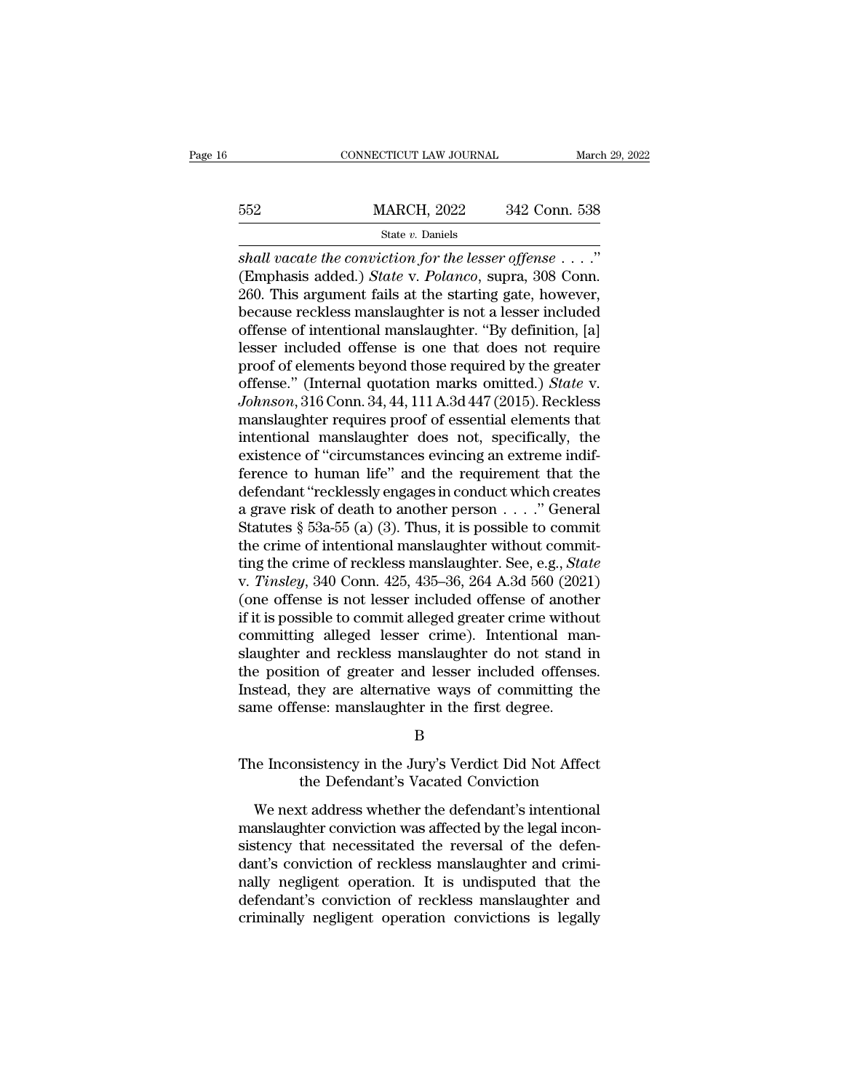# EXECUTE CONNECTICUT LAW JOURNAL March 29, 2022<br>
MARCH, 2022 342 Conn. 538<br>
State v. Daniels State *v.* Daniels

*Shall vacate the conviction for the lesser offense* . . . ."<br> *Shall vacate the conviction for the lesser offense* . . . ."<br>
(Emphasis added.) *State v. Polanco*, supra, 308 Conn.<br>
260 This argument fails at the starting MARCH, 2022 342 Conn. 538<br>
State *v*. Daniels<br>
Shall vacate the conviction for the lesser offense . . . ."<br>
(Emphasis added.) *State* v. *Polanco*, supra, 308 Conn.<br>
260. This argument fails at the starting gate, however,<br> 362. MARCH, 2022. 342 Conn. 538<br>
360. State v. Daniels<br>
36. State v. Daniels<br>
36. This argument fails at the starting gate, however,<br>
360. This argument fails at the starting gate, however,<br>
360. This argument fails at th because reckless manslaughter is not a lesser included State v. Daniels<br>
Shall vacate the conviction for the lesser offense  $\dots$ ."<br>
(Emphasis added.) *State* v. Polanco, supra, 308 Conn.<br>
260. This argument fails at the starting gate, however,<br>
because reckless manslaughter i state v. Daniels<br>
shall vacate the conviction for the lesser offense  $\dots$ ."<br>
(Emphasis added.) State v. Polanco, supra, 308 Conn.<br>
260. This argument fails at the starting gate, however,<br>
because reckless manslaughter is shall vacate the conviction for the lesser offense  $\dots$ ."<br>(Emphasis added.) *State* v. *Polanco*, supra, 308 Conn.<br>260. This argument fails at the starting gate, however,<br>because reckless manslaughter is not a lesser incl (Emphasis added.) *State* v. *Polanco*, supra, 308 Conn.<br>260. This argument fails at the starting gate, however,<br>because reckless manslaughter is not a lesser included<br>offense of intentional manslaughter. "By definition, [ 260. This argument fails at the starting gate, however,<br>because reckless manslaughter is not a lesser included<br>offense of intentional manslaughter. "By definition, [a]<br>lesser included offense is one that does not require<br>p because reckless manslaughter is not a lesser included<br>offense of intentional manslaughter. "By definition, [a]<br>lesser included offense is one that does not require<br>proof of elements beyond those required by the greater<br>of offense of intentional manslaughter. "By definition, [a]<br>lesser included offense is one that does not require<br>proof of elements beyond those required by the greater<br>offense." (Internal quotation marks omitted.) *State* v.<br> lesser included offense is one that does not require<br>proof of elements beyond those required by the greater<br>offense." (Internal quotation marks omitted.) *State* v.<br>Johnson, 316 Conn. 34, 44, 111 A.3d 447 (2015). Reckless<br> proof of elements beyond those required by the greater<br>offense." (Internal quotation marks omitted.) *State* v.<br>Johnson, 316 Conn. 34, 44, 111 A.3d 447 (2015). Reckless<br>manslaughter requires proof of essential elements tha offense." (Internal quotation marks omitted.) *State* v.<br> *Johnson*, 316 Conn. 34, 44, 111 A.3d 447 (2015). Reckless<br>
manslaughter requires proof of essential elements that<br>
intentional manslaughter does not, specifically *Johnson*, 316 Conn. 34, 44, 111 A.3d 447 (2015). Reckless<br>manslaughter requires proof of essential elements that<br>intentional manslaughter does not, specifically, the<br>existence of "circumstances evincing an extreme indifmanslaughter requires proof of essential elements that<br>intentional manslaughter does not, specifically, the<br>existence of "circumstances evincing an extreme indif-<br>ference to human life" and the requirement that the<br>defend intentional manslaughter does not, specifically, the existence of "circumstances evincing an extreme indifference to human life" and the requirement that the defendant "recklessly engages in conduct which creates a grave existence of "circumstances evincing an extreme indifference to human life" and the requirement that the defendant "recklessly engages in conduct which creates a grave risk of death to another person . . . . " General Stat ference to human life" and the requirement that the<br>defendant "recklessly engages in conduct which creates<br>a grave risk of death to another person . . . ." General<br>Statutes § 53a-55 (a) (3). Thus, it is possible to commit<br> defendant "recklessly engages in conduct which creates<br>a grave risk of death to another person  $\dots$ ." General<br>Statutes § 53a-55 (a) (3). Thus, it is possible to commit<br>the crime of intentional manslaughter without commita grave risk of death to another person  $\ldots$  ." General<br>Statutes § 53a-55 (a) (3). Thus, it is possible to commit<br>the crime of intentional manslaughter without commit-<br>ting the crime of reckless manslaughter. See, e.g., Statutes § 53a-55 (a) (3). Thus, it is possible to commit<br>the crime of intentional manslaughter without commit-<br>ting the crime of reckless manslaughter. See, e.g., *State*<br>v. *Tinsley*, 340 Conn. 425, 435–36, 264 A.3d 560 the crime of intentional manslaughter without commit-<br>ting the crime of reckless manslaughter. See, e.g., *State*<br>v. *Tinsley*, 340 Conn. 425, 435–36, 264 A.3d 560 (2021)<br>(one offense is not lesser included offense of anot ting the crime of reckless manslaughter. See, e.g., *State*<br>v. *Tinsley*, 340 Conn. 425, 435–36, 264 A.3d 560 (2021)<br>(one offense is not lesser included offense of another<br>if it is possible to commit alleged greater crime v. *Tinsley*, 340 Conn. 425, 435–36, 264 A.3d 560 (2021)<br>(one offense is not lesser included offense of another<br>if it is possible to commit alleged greater crime without<br>committing alleged lesser crime). Intentional man-<br>s (one offense is not lesser included offense of anoth<br>if it is possible to commit alleged greater crime witho<br>committing alleged lesser crime). Intentional ma<br>slaughter and reckless manslaughter do not stand<br>the position of slaughter and reckless manslaughter do not stand in<br>the position of greater and lesser included offenses.<br>Instead, they are alternative ways of committing the<br>same offense: manslaughter in the first degree.<br>B<br>The Inconsist ion of greater and lesser included offenses.<br>
they are alternative ways of committing the<br>
ense: manslaughter in the first degree.<br>
B<br>
msistency in the Jury's Verdict Did Not Affect<br>
the Defendant's Vacated Conviction<br>
tt

# B

me offense: manslaughter in the first degree.<br>
B<br>
e Inconsistency in the Jury's Verdict Did Not Affect<br>
the Defendant's Vacated Conviction<br>
We next address whether the defendant's intentional<br>
anslaughter conviction was af B<br>
The Inconsistency in the Jury's Verdict Did Not Affect<br>
the Defendant's Vacated Conviction<br>
We next address whether the defendant's intentional<br>
manslaughter conviction was affected by the legal incon-<br>
sistency that ne B<br>The Inconsistency in the Jury's Verdict Did Not Affect<br>the Defendant's Vacated Conviction<br>We next address whether the defendant's intentional<br>manslaughter conviction was affected by the legal incon-<br>sistency that necessi The Inconsistency in the Jury's Verdict Did Not Affect<br>the Defendant's Vacated Conviction<br>We next address whether the defendant's intentional<br>manslaughter conviction was affected by the legal incon-<br>sistency that necessita The meanslacher, in the atty streamed and too fineer<br>the Defendant's Vacated Conviction.<br>We next address whether the defendant's intentional<br>manslaughter conviction was affected by the legal incon-<br>sistency that necessitat We next address whether the defendant's intentional<br>manslaughter conviction was affected by the legal incon-<br>sistency that necessitated the reversal of the defen-<br>dant's conviction of reckless manslaughter and crimi-<br>nally We next address whether the defendant's intentional manslaughter conviction was affected by the legal inconsistency that necessitated the reversal of the defendant's conviction of reckless manslaughter and criminally negli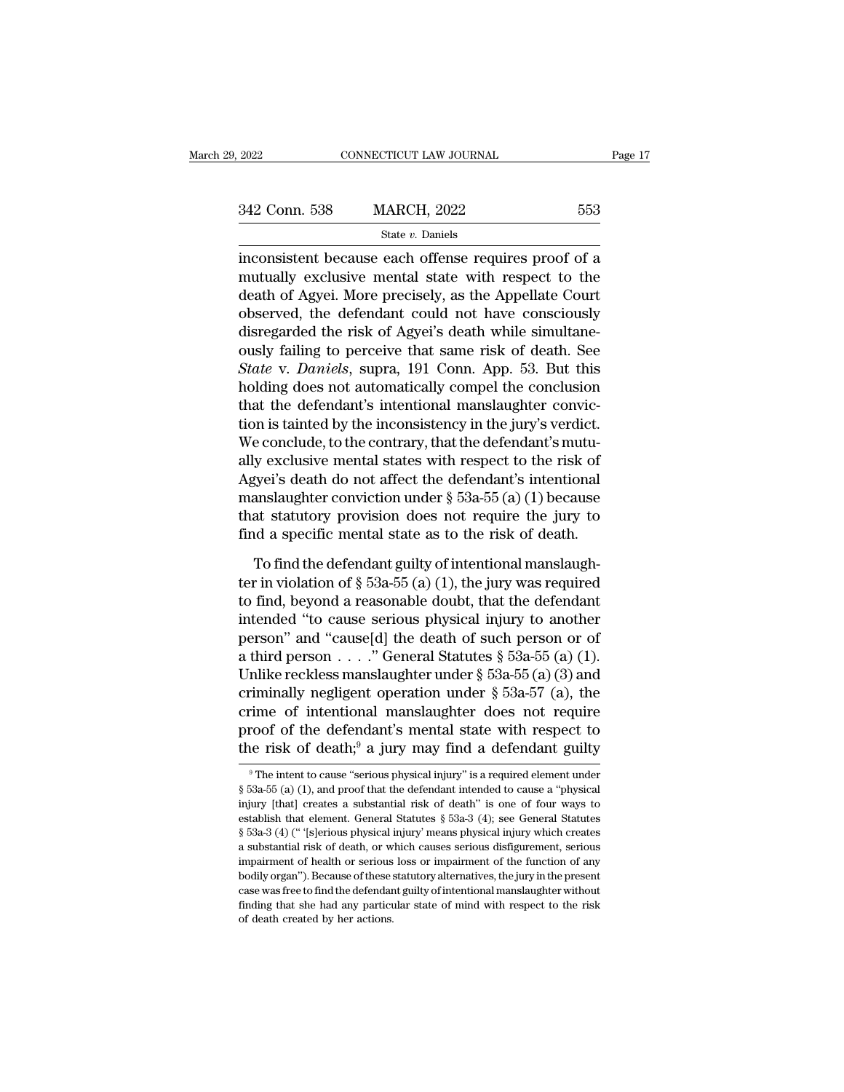| 2022          | CONNECTICUT LAW JOURNAL | Page 17 |  |
|---------------|-------------------------|---------|--|
|               |                         |         |  |
| 342 Conn. 538 | <b>MARCH, 2022</b>      | 553     |  |
|               | State $v$ . Daniels     |         |  |

 $\begin{array}{r|l}\n \text{2022} & \text{CONNECTICUT LAW JOURNAL} & \text{Page 17}\n \hline\n 342 \text{ Conn. } 538 & \text{MARCH, } 2022 & 553\n \hline\n \text{state } v. \text{ Daniels}\n \end{array}$ 342 Conn. 538 MARCH, 2022 553<br>
State v. Daniels<br>
inconsistent because each offense requires proof of a<br>
mutually exclusive mental state with respect to the<br>
death of Agyei. More precisely, as the Appellate Court<br>
observed, 342 Conn. 538 MARCH, 2022 553<br>
State v. Daniels<br>
inconsistent because each offense requires proof of a<br>
mutually exclusive mental state with respect to the<br>
death of Agyei. More precisely, as the Appellate Court<br>
observed 342 Conn. 538 MARCH, 2022 553<br>
state v. Daniels<br>
inconsistent because each offense requires proof of a<br>
mutually exclusive mental state with respect to the<br>
death of Agyei. More precisely, as the Appellate Court<br>
observed State v. Daniels<br>inconsistent because each offense requires proof of a<br>mutually exclusive mental state with respect to the<br>death of Agyei. More precisely, as the Appellate Court<br>observed, the defendant could not have cons state *v*. Danies<br>inconsistent because each offense requires proof of a<br>mutually exclusive mental state with respect to the<br>death of Agyei. More precisely, as the Appellate Court<br>observed, the defendant could not have cons inconsistent because each offense requires proof of a<br>mutually exclusive mental state with respect to the<br>death of Agyei. More precisely, as the Appellate Court<br>observed, the defendant could not have consciously<br>disregarde mutually exclusive mental state with respect to the<br>death of Agyei. More precisely, as the Appellate Court<br>observed, the defendant could not have consciously<br>disregarded the risk of Agyei's death while simultane-<br>ously fai death of Agyei. More precisely, as the Appellate Court<br>observed, the defendant could not have consciously<br>disregarded the risk of Agyei's death while simultane-<br>ously failing to perceive that same risk of death. See<br>State observed, the defendant could not have consciously<br>disregarded the risk of Agyei's death while simultane-<br>ously failing to perceive that same risk of death. See<br>State v. Daniels, supra, 191 Conn. App. 53. But this<br>holding disregarded the risk of Agyei's death while simultane-<br>ously failing to perceive that same risk of death. See<br>State v. Daniels, supra, 191 Conn. App. 53. But this<br>holding does not automatically compel the conclusion<br>that t ously failing to perceive that same risk of death. See<br> *State* v. Daniels, supra, 191 Conn. App. 53. But this<br>
holding does not automatically compel the conclusion<br>
that the defendant's intentional manslaughter convic-<br>
t State v. Daniels, supra, 191 Conn. App. 53. But this<br>holding does not automatically compel the conclusion<br>that the defendant's intentional manslaughter convic-<br>tion is tainted by the inconsistency in the jury's verdict.<br>W holding does not automatically compel the conclusion<br>that the defendant's intentional manslaughter convic-<br>tion is tainted by the inconsistency in the jury's verdict.<br>We conclude, to the contrary, that the defendant's mut that the defendant's intentional manslaughter conviction is tainted by the inconsistency in the jury's verdict.<br>We conclude, to the contrary, that the defendant's mutually exclusive mental states with respect to the risk o tion is tainted by the inconsistency in the jury's verdict.<br>We conclude, to the contrary, that the defendant's mutu-<br>ally exclusive mental states with respect to the risk of<br>Agyei's death do not affect the defendant's inte y exclusive mental states with respect to the risk of<br>gyei's death do not affect the defendant's intentional<br>anslaughter conviction under  $\S$  53a-55(a)(1) because<br>at statutory provision does not require the jury to<br>d a sp Agyei's death do not affect the defendant's intentional<br>manslaughter conviction under  $\S$  53a-55 (a) (1) because<br>that statutory provision does not require the jury to<br>find a specific mental state as to the risk of death.<br>

manslaughter conviction under  $\S$  53a-55 (a) (1) because<br>that statutory provision does not require the jury to<br>find a specific mental state as to the risk of death.<br>To find the defendant guilty of intentional manslaugh-<br>t that statutory provision does not require the jury to<br>find a specific mental state as to the risk of death.<br>To find the defendant guilty of intentional manslaugh-<br>ter in violation of § 53a-55 (a) (1), the jury was require find a specific mental state as to the risk of death.<br>To find the defendant guilty of intentional manslaugh-<br>ter in violation of  $\S$  53a-55 (a) (1), the jury was required<br>to find, beyond a reasonable doubt, that the defen To find the defendant guilty of intentional manslaugh-<br>ter in violation of § 53a-55 (a) (1), the jury was required<br>to find, beyond a reasonable doubt, that the defendant<br>intended "to cause serious physical injury to anoth To find the defendant guilty of intentional manslaugh-<br>ter in violation of § 53a-55 (a) (1), the jury was required<br>to find, beyond a reasonable doubt, that the defendant<br>intended "to cause serious physical injury to anoth ter in violation of § 53a-55 (a) (1), the jury was required<br>to find, beyond a reasonable doubt, that the defendant<br>intended "to cause serious physical injury to another<br>person" and "cause[d] the death of such person or of to find, beyond a reasonable doubt, that the defendant<br>intended "to cause serious physical injury to another<br>person" and "cause[d] the death of such person or of<br>a third person . . . ." General Statutes § 53a-55 (a) (1).<br> intended "to cause serious physical injury to another<br>person" and "cause[d] the death of such person or of<br>a third person . . . ." General Statutes § 53a-55 (a) (1).<br>Unlike reckless manslaughter under § 53a-55 (a) (3) and person" and "cause[d] the death of such person or of<br>a third person . . . ." General Statutes § 53a-55 (a) (1).<br>Unlike reckless manslaughter under § 53a-55 (a) (3) and<br>criminally negligent operation under § 53a-57 (a), th criminally negligent operation under § 53a-57 (a), the<br>crime of intentional manslaughter does not require<br>proof of the defendant's mental state with respect to<br>the risk of death;<sup>9</sup> a jury may find a defendant guilty<br><sup>9</sup>T crime of intentional manslaughter does not require<br>proof of the defendant's mental state with respect to<br>the risk of death;<sup>9</sup> a jury may find a defendant guilty<br><sup>9</sup>The intent to cause "serious physical injury" is a requi

proof of the defendant's mental state with respect to<br>the risk of death;<sup>9</sup> a jury may find a defendant guilty<br><sup>9</sup>The intent to cause "serious physical injury" is a required element under<br> $\$  53a-55 (a) (1), and proof tha the risk of death;<sup>9</sup> a jury may find a defendant guilty  $\overline{ }$  <sup>9</sup> The intent to cause "serious physical injury" is a required element under § 53a-55 (a) (1), and proof that the defendant intended to cause a "physical i The instructuant and the transformal of the term of  $\frac{1}{2}$ . The intent to cause "serious physical injury" is a required element under  $\frac{1}{2}$  53a-55 (a) (1), and proof that the defendant intended to cause a "physical <sup>9</sup> The intent to cause "serious physical injury" is a required element under § 53a-55 (a) (1), and proof that the defendant intended to cause a "physical injury [that] creates a substantial risk of death" is one of four  $\S$  53a-55 (a) (1), and proof that the defendant intended to cause a "physical injury [that] creates a substantial risk of death" is one of four ways to establish that element. General Statutes  $\S$  53a-3 (4); see General body (1), and provided in the set of them in the set of the status of these stablish that element. General Statutes § 53a-3 (4); see General Statutes § 53a-3 (4) ("[s]erious physical injury' means physical injury which cr establish that element. General Statutes  $\S$  53a-3 (4); see General Statutes  $\S$  53a-3 (4) (" '[s]erious physical injury' means physical injury which creates a substantial risk of death, or which causes serious disfigurem  $$53a-3$  (4) (" '[s]erious physical injury' means physical injury which creates a substantial risk of death, or which causes serious disfigurement, serious impairment of health or serious loss or impairment of the functio a substantial risk of death, or which causes serious disfigurement, serious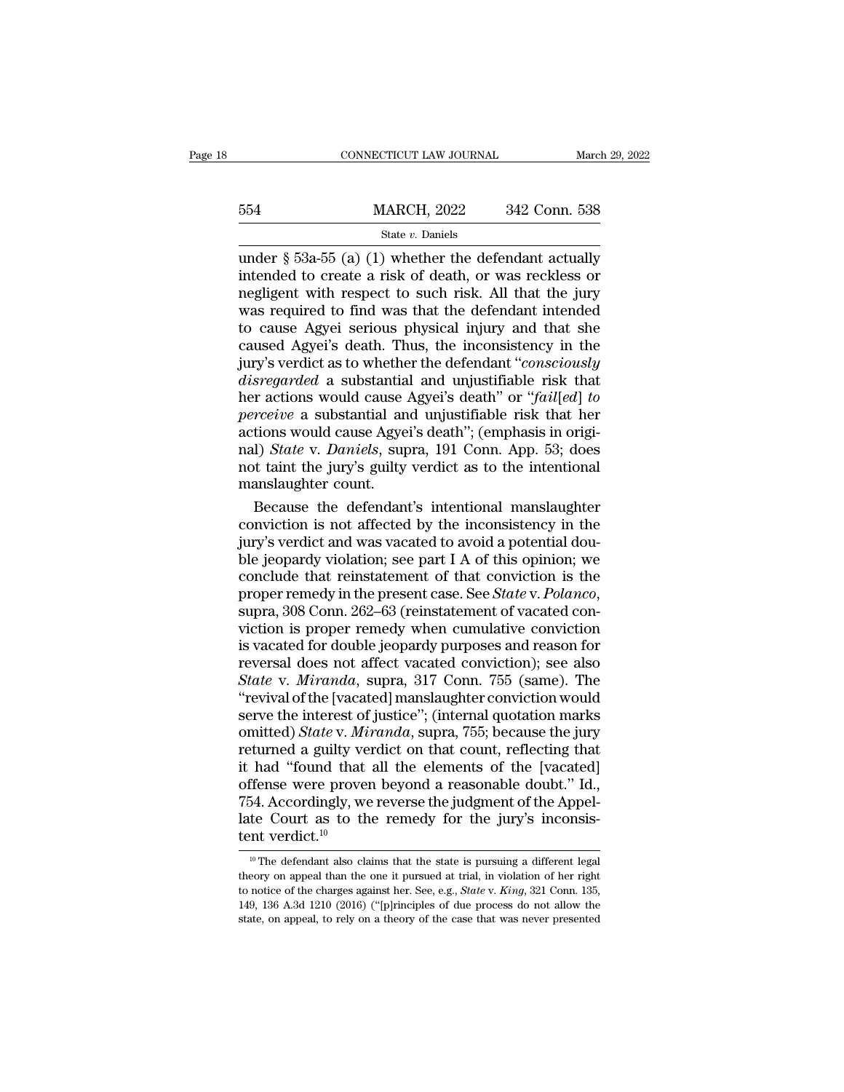|     | CONNECTICUT LAW JOURNAL |               | March 29, 2022 |
|-----|-------------------------|---------------|----------------|
|     |                         |               |                |
| 554 | <b>MARCH, 2022</b>      | 342 Conn. 538 |                |
|     | State $v$ . Daniels     |               |                |

CONNECTICUT LAW JOURNAL March 29, 2022<br>  $342$  Conn. 538<br>  $\frac{\text{State } v. \text{ Daniels}}{\text{State } v. \text{ Daniels}}$ <br>
under § 53a-55 (a) (1) whether the defendant actually<br>
intended to create a risk of death, or was reckless or<br>
medigent with respect MARCH, 2022 342 Conn. 538<br>
state v. Daniels<br>
under § 53a-55 (a) (1) whether the defendant actually<br>
intended to create a risk of death, or was reckless or<br>
negligent with respect to such risk. All that the jury<br>
was requir  $\frac{\text{MARCH}}{\text{State } v. \text{ Daniels}}$ <br>
State v. Daniels<br>
under § 53a-55 (a) (1) whether the defendant actually<br>
intended to create a risk of death, or was reckless or<br>
negligent with respect to such risk. All that the jury<br>
was require MARCH, 2022 342 Conn. 538<br>
State *v*. Daniels<br>
under § 53a-55 (a) (1) whether the defendant actually<br>
intended to create a risk of death, or was reckless or<br>
negligent with respect to such risk. All that the jury<br>
was req Solution and the cause  $\frac{1}{2}$  serious state v. Daniels<br>under § 53a-55 (a) (1) whether the defendant actually<br>intended to create a risk of death, or was reckless or<br>negligent with respect to such risk. All that the jury State v. Daniels<br>
under § 53a-55 (a) (1) whether the defendant actually<br>
intended to create a risk of death, or was reckless or<br>
negligent with respect to such risk. All that the jury<br>
was required to find was that the de under § 53a-55 (a) (1) whether the defendant actually<br>intended to create a risk of death, or was reckless or<br>negligent with respect to such risk. All that the jury<br>was required to find was that the defendant intended<br>to ca intended to create a risk of death, or was reckless or<br>negligent with respect to such risk. All that the jury<br>was required to find was that the defendant intended<br>to cause Agyei serious physical injury and that she<br>caused here actions would cause Agyei's death''. (amphysical injury and that she caused Agyei's death. Thus, the inconsistency in the jury's verdict as to whether the defendant "*consciously disregarded* a substantial and unjusti was required to find was that the defendant intended<br>to cause Agyei serious physical injury and that she<br>caused Agyei's death. Thus, the inconsistency in the<br>jury's verdict as to whether the defendant "*consciously<br>disrega* to cause Agyei serious physical injury and that she<br>caused Agyei's death. Thus, the inconsistency in the<br>jury's verdict as to whether the defendant "*consciously*<br>disregarded a substantial and unjustifiable risk that<br>her a caused Agyei's death. Thus, the inconsistency in the<br>jury's verdict as to whether the defendant "*consciously*<br>*disregarded* a substantial and unjustifiable risk that<br>her actions would cause Agyei's death" or "*fail*[*ed*] jury's verdict as to whether the defendant "*consciously*<br>disregarded a substantial and unjustifiable risk that<br>her actions would cause Agyei's death" or "*fail*[ed] to<br>perceive a substantial and unjustifiable risk that he *disregarded* a substantia<br>her actions would cause *perceive* a substantial an<br>actions would cause Agye<br>nal) *State* v. *Daniels*, sup<br>not taint the jury's guilty<br>manslaughter count.<br>Because the defendan r actions would cause Agyei's death" or "fail[ed] to<br>
rceive a substantial and unjustifiable risk that her<br>
tions would cause Agyei's death"; (emphasis in origi-<br>
1) *State* v. *Daniels*, supra, 191 Conn. App. 53; does<br>
a perceive a substantial and unjustifiable risk that her<br>actions would cause Agyei's death"; (emphasis in origi-<br>nal) *State* v. *Daniels*, supra, 191 Conn. App. 53; does<br>not taint the jury's guilty verdict as to the intenti

actions would cause Agyei's death"; (emphasis in original) *State* v. *Daniels*, supra, 191 Conn. App. 53; does not taint the jury's guilty verdict as to the intentional manslaughter count.<br>Because the defendant's intentio nal) *State* v. *Daniels*, supra, 191 Conn. App. 53; does<br>not taint the jury's guilty verdict as to the intentional<br>manslaughter count.<br>Because the defendant's intentional manslaughter<br>conviction is not affected by the in not taint the jury's guilty verdict as to the intentional<br>manslaughter count.<br>Because the defendant's intentional manslaughter<br>conviction is not affected by the inconsistency in the<br>jury's verdict and was vacated to avoid manslaughter count.<br>Because the defendant's intentional manslaughter<br>conviction is not affected by the inconsistency in the<br>jury's verdict and was vacated to avoid a potential dou-<br>ble jeopardy violation; see part I A of t conviction is not affected by the inconsistency in the<br>jury's verdict and was vacated to avoid a potential dou-<br>ble jeopardy violation; see part I A of this opinion; we<br>conclude that reinstatement of that conviction is the jury's verdict and was vacated to avoid a potential double jeopardy violation; see part I A of this opinion; we conclude that reinstatement of that conviction is the proper remedy in the present case. See *State* v. *Polan* ble jeopardy violation; see part I A of this opinion; we<br>conclude that reinstatement of that conviction is the<br>proper remedy in the present case. See *State* v. *Polanco*,<br>supra, 308 Conn. 262–63 (reinstatement of vacated conclude that reinstatement of that conviction is the<br>proper remedy in the present case. See *State* v. *Polanco*,<br>supra, 308 Conn. 262–63 (reinstatement of vacated con-<br>viction is proper remedy when cumulative conviction<br> proper remedy in the present case. See *State* v. *Polanco*,<br>supra, 308 Conn. 262–63 (reinstatement of vacated con-<br>viction is proper remedy when cumulative conviction<br>is vacated for double jeopardy purposes and reason for supra, 308 Conn. 262–63 (reinstatement of vacated conviction is proper remedy when cumulative conviction<br>is vacated for double jeopardy purposes and reason for<br>reversal does not affect vacated conviction); see also<br>*State* viction is proper remedy when cumulative conviction<br>is vacated for double jeopardy purposes and reason for<br>reversal does not affect vacated conviction); see also<br>*State* v. *Miranda*, supra, 317 Conn. 755 (same). The<br>"revi is vacated for double jeopardy purposes and reason for<br>reversal does not affect vacated conviction); see also<br>*State* v. *Miranda*, supra, 317 Conn. 755 (same). The<br>"revival of the [vacated] manslaughter conviction would<br>s reversal does not affect vacated conviction); see also<br> *State* v. *Miranda*, supra, 317 Conn. 755 (same). The<br>
"revival of the [vacated] manslaughter conviction would<br>
serve the interest of justice"; (internal quotation m State v. Miranda, supra, 317 Conn. 755 (same). The<br>
"revival of the [vacated] manslaughter conviction would<br>
serve the interest of justice"; (internal quotation marks<br>
omitted) State v. Miranda, supra, 755; because the ju "revival of the [vacated] manslaughter conviction would<br>serve the interest of justice"; (internal quotation marks<br>omitted) *State* v. *Miranda*, supra, 755; because the jury<br>returned a guilty verdict on that count, reflec serve the interest of justice"; (internal quotation marks omitted) *State* v. *Miranda*, supra, 755; because the jury returned a guilty verdict on that count, reflecting that it had "found that all the elements of the [va omitted) *State* v. *Mi*<br>returned a guilty ve<br>it had "found that<br>offense were prove<br>754. Accordingly, we<br>late Court as to th<br>tent verdict.<sup>10</sup><br> $\frac{10}{10}$  The defendant also cla ffense were proven beyond a reasonable doubt." Id.,<br>54. Accordingly, we reverse the judgment of the Appel-<br>te Court as to the remedy for the jury's inconsis-<br>nt verdict.<sup>10</sup><br><sup>10</sup> The defendant also claims that the state i 754. Accordingly, we reverse the judgment of the Appellate Court as to the remedy for the jury's inconsistent verdict.<sup>10</sup><br><sup>10</sup> The defendant also claims that the state is pursuing a different legal theory on appeal than

Iate Court as to the remedy for the jury's inconsistent verdict.<sup>10</sup><br><sup>10</sup> The defendant also claims that the state is pursuing a different legal theory on appeal than the one it pursued at trial, in violation of her right 149, 136 A.3d 1210 (2016) ("[p]rinciples of due process do not allow the state, on appeal than the one it pursued at trial, in violation of her right to notice of the charges against her. See, e.g., *State v. King*, 321 C **tent verdict.**<sup>10</sup><br><sup>10</sup> The defendant also claims that the state is pursuing a different legal<br>theory on appeal than the one it pursued at trial, in violation of her right<br>to notice of the charges against her. See, e.g.,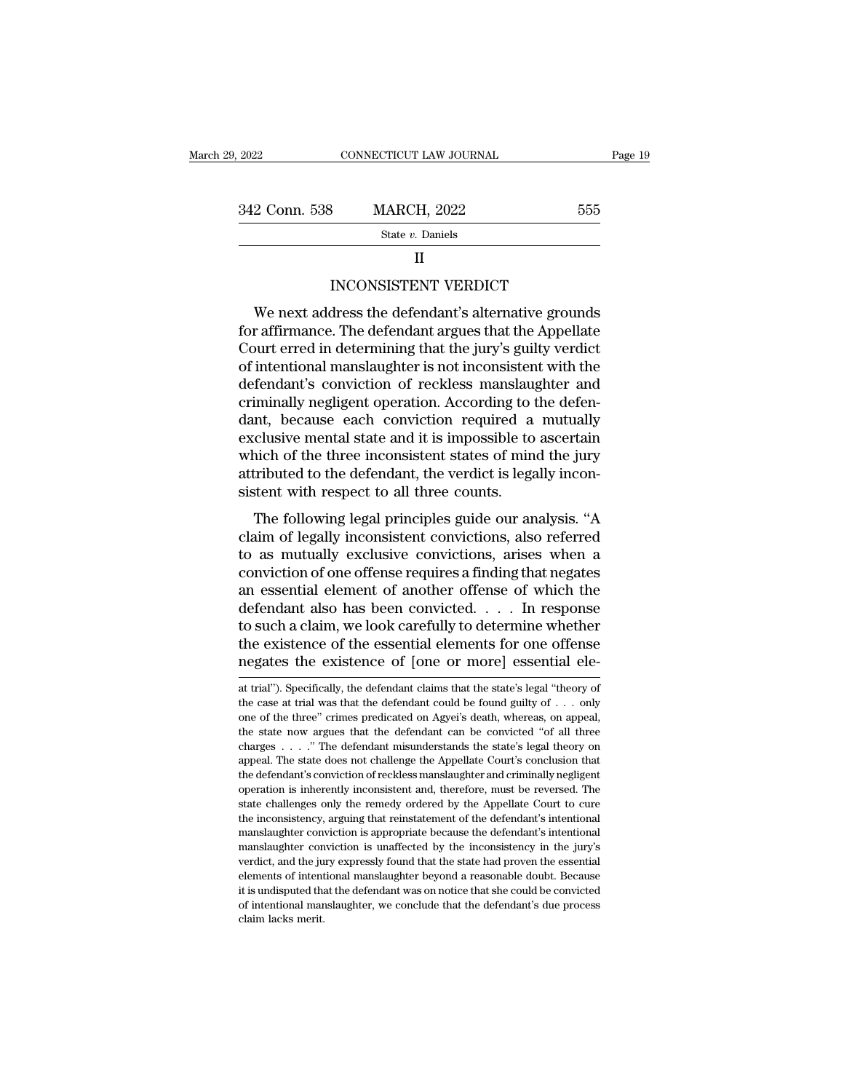| ), 2022       | CONNECTICUT LAW JOURNAL                             |     | Page 19 |
|---------------|-----------------------------------------------------|-----|---------|
|               |                                                     |     |         |
| 342 Conn. 538 | <b>MARCH, 2022</b>                                  | 555 |         |
|               | State v. Daniels                                    |     |         |
|               | Н                                                   |     |         |
|               | <b>INCONSISTENT VERDICT</b>                         |     |         |
|               | We next address the defendant's alternative grounds |     |         |

2 Conn. 538 MARCH, 2022 555<br>
State v. Daniels<br>
II<br>
INCONSISTENT VERDICT<br>
We next address the defendant's alternative grounds<br>
r affirmance. The defendant argues that the Appellate<br>
wurder over the defendant argues that th State v. Daniels<br>
II<br>
INCONSISTENT VERDICT<br>
We next address the defendant's alternative grounds<br>
for affirmance. The defendant argues that the Appellate<br>
Court erred in determining that the jury's guilty verdict<br>
of intont State v. Daniels<br>
II<br>
INCONSISTENT VERDICT<br>
We next address the defendant's alternative grounds<br>
for affirmance. The defendant argues that the Appellate<br>
Court erred in determining that the jury's guilty verdict<br>
of intent II<br>INCONSISTENT VERDICT<br>We next address the defendant's alternative grounds<br>for affirmance. The defendant argues that the Appellate<br>Court erred in determining that the jury's guilty verdict<br>of intentional manslaughter is n INCONSISTENT VERDICT<br>We next address the defendant's alternative grounds<br>for affirmance. The defendant argues that the Appellate<br>Court erred in determining that the jury's guilty verdict<br>of intentional manslaughter is not EXECUTE TO THE MET THE TREAT THE MET THE MET THE MET THE MET THE MOVED IN THE COULD A COULD A COULD COULD COULD COULD COULD COULD COULD COULD COULD A COULD A DEFINITION of the defendant's conviction of reckless manslaughte We next address the defendant's alternative grounds<br>for affirmance. The defendant argues that the Appellate<br>Court erred in determining that the jury's guilty verdict<br>of intentional manslaughter is not inconsistent with the for affirmance. The defendant argues that the Appellate<br>Court erred in determining that the jury's guilty verdict<br>of intentional manslaughter is not inconsistent with the<br>defendant's conviction of reckless manslaughter and Court erred in determining that the jury's guilty verdict<br>of intentional manslaughter is not inconsistent with the<br>defendant's conviction of reckless manslaughter and<br>criminally negligent operation. According to the defenof intentional manslaughter is not inconsistent with the defendant's conviction of reckless manslaughter and criminally negligent operation. According to the defendant, because each conviction required a mutually exclusive defendant's conviction of reckless manslau<br>criminally negligent operation. According to to<br>dant, because each conviction required a<br>exclusive mental state and it is impossible to<br>which of the three inconsistent states of m miniany negligent operation. According to the defer-<br>nt, because each conviction required a mutually<br>clusive mental state and it is impossible to ascertain<br>nich of the three inconsistent states of mind the jury<br>rributed to dant, because each conviction required a matually<br>exclusive mental state and it is impossible to ascertain<br>which of the three inconsistent states of mind the jury<br>attributed to the defendant, the verdict is legally incon-<br>

Exertisive include state and it is impossible to ascertain<br>which of the three inconsistent states of mind the jury<br>attributed to the defendant, the verdict is legally incon-<br>sistent with respect to all three counts.<br>The fo which of the three meassistent states of finite the jury<br>attributed to the defendant, the verdict is legally incon-<br>sistent with respect to all three counts.<br>The following legal principles guide our analysis. "A<br>claim of l attributed to the detendant, the verticet is regany incorrelated sistent with respect to all three counts.<br>The following legal principles guide our analysis. "A claim of legally inconsistent convictions, also referred to a The following legal principles guide our analysis. "A<br>claim of legally inconsistent convictions, also referred<br>to as mutually exclusive convictions, arises when a<br>conviction of one offense requires a finding that negates<br> The following legal principles guide our analysis. "A<br>claim of legally inconsistent convictions, also referred<br>to as mutually exclusive convictions, arises when a<br>conviction of one offense requires a finding that negates<br>a claim of legally inconsistent convictions, also referred<br>to as mutually exclusive convictions, arises when a<br>conviction of one offense requires a finding that negates<br>an essential element of another offense of which the<br>de to as mutually exclusive convictions, arises when a<br>conviction of one offense requires a finding that negates<br>an essential element of another offense of which the<br>defendant also has been convicted. . . . In response<br>to su defendant also has been convicted. . . . . In response<br>to such a claim, we look carefully to determine whether<br>the existence of the essential elements for one offense<br>negates the existence of [one or more] essential ele-<br> to such a claim, we look carefully to determine whether<br>the existence of the essential elements for one offense<br>negates the existence of [one or more] essential ele-<br>at trial"). Specifically, the defendant claims that the

the existence of the essential elements for one offense<br>negates the existence of [one or more] essential ele-<br>at trial"). Specifically, the defendant claims that the state's legal "theory of<br>the case at trial was that the the state of the existence of [one or more] essential ele-<br>at trial"). Specifically, the defendant claims that the state's legal "theory of<br>the case at trial was that the defendant could be found guilty of . . . only<br>one o charges the existence of [one of filote] essential effects.<br>
at trial"). Specifically, the defendant claims that the state's legal "theory of<br>
the case at trial was that the defendant could be found guilty of . . . only<br>
o at trial"). Specifically, the defendant claims that the state's legal "theory of the case at trial was that the defendant could be found guilty of  $\ldots$  only one of the three" crimes predicated on Agyei's death, whereas, the case at trial was that the defendant could be found guilty of  $\ldots$  only one of the three" crimes predicated on Agyei's death, whereas, on appeal, the state now argues that the defendant can be convicted "of all three operation is inherently inconsistent and, therefore, must be reversed. The state now argues that the defendant can be convicted "of all three charges . . . ." The defendant misunderstands the state's legal theory on appeal state is the state challenges that the defendant can be convicted "of all three charges  $\ldots$ ." The defendant misunderstands the state's legal theory on appeal. The state does not challenge the Appellate Court's conclusio charges . . . ." The defendant misunderstands the state's legal theory on appeal. The state does not challenge the Appellate Court's conclusion that the defendant's conviction of reckless manslaughter and criminally neglig appeal. The state does not challenge the Appellate Court's conclusion that the defendant's conviction of reckless manslaughter and criminally negligent operation is inherently inconsistent and, therefore, must be reversed. effection is inherently inconsistent and criminally negligent operation is inherently inconsistent and, therefore, must be reversed. The state challenges only the remedy ordered by the Appellate Court to cure the inconsist operation is inherently inconsistent and, therefore, must be reversed. The state challenges only the remedy ordered by the Appellate Court to cure the inconsistency, arguing that reinstatement of the defendant's intentiona elements of intentional manslaughter beyond a reasonable doubt. The inconsistency, arguing that reinstatement of the defendant's intentional manslaughter conviction is appropriate because the defendant's intentional mansla but is unconsistency, arguing that reinstatement of the defendant's intentional manslaughter conviction is appropriate because the defendant's intentional manslaughter conviction is unaffected by the inconsistency in the j manslaughter conviction is appropriate because the defendant's intentional manslaughter conviction is unaffected by the inconsistency in the jury's verdict, and the jury expressly found that the state had proven the essent manslaughter conviction is unaffected by the inconsistency in the jury's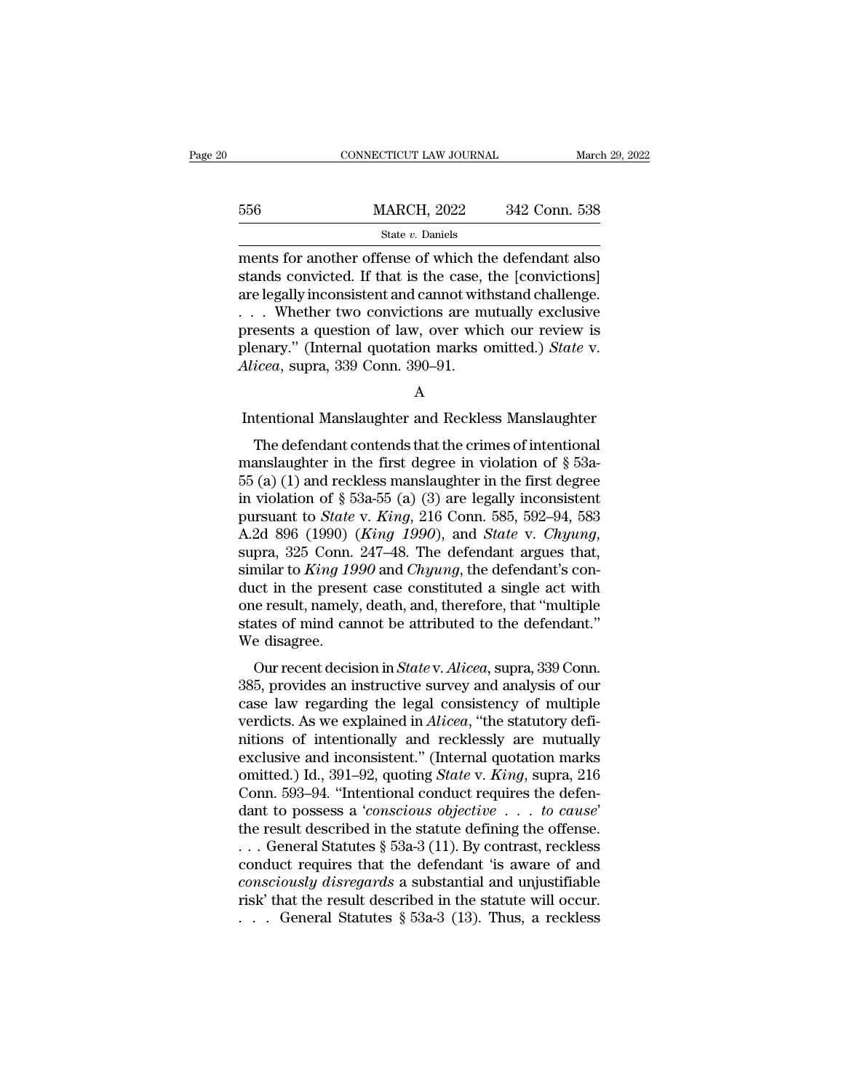|     | CONNECTICUT LAW JOURNAL                                                                                                                                                      | March 29, 2022 |
|-----|------------------------------------------------------------------------------------------------------------------------------------------------------------------------------|----------------|
|     |                                                                                                                                                                              |                |
| 556 | <b>MARCH, 2022</b>                                                                                                                                                           | 342 Conn. 538  |
|     | State v. Daniels                                                                                                                                                             |                |
|     | ments for another offense of which the defendant also<br>stands convicted. If that is the case, the [convictions]<br>ere legally inconsistent and cannot withstand challenge |                |

 $\frac{\text{MARCH}}{\text{State } v. \text{ Daniels}}$ <br>
State *v*. Daniels<br>
ments for another offense of which the defendant also<br>
stands convicted. If that is the case, the [convictions]<br>
are legally inconsistent and cannot withstand challenge.<br>
Wheth 556 MARCH, 2022 342 Conn. 538<br>
State v. Daniels<br>
ments for another offense of which the defendant also<br>
stands convicted. If that is the case, the [convictions]<br>
are legally inconsistent and cannot withstand challenge.<br>
. 556 MARCH, 2022 342 Conn. 538<br>
State v. Daniels<br>
ments for another offense of which the defendant also<br>
stands convicted. If that is the case, the [convictions]<br>
are legally inconsistent and cannot withstand challenge.<br>
. State v. Daniels<br>
ments for another offense of which the defendant also<br>
stands convicted. If that is the case, the [convictions]<br>
are legally inconsistent and cannot withstand challenge.<br>
... Whether two convictions are state *v*. Daniels<br>ments for another offense of which the defendant also<br>stands convicted. If that is the case, the [convictions]<br>are legally inconsistent and cannot withstand challenge.<br>. . . Whether two convictions are m ments for another offense of which the stands convicted. If that is the case, tare legally inconsistent and cannot with  $\ldots$ . Whether two convictions are mappresents a question of law, over which plenary." (Internal quota Interactions are mutually exclusive<br>presents a question of law, over which our review is<br>plenary." (Internal quotation marks omitted.) *State* v.<br>Alicea, supra, 339 Conn. 390–91.<br>A<br>Intentional Manslaughter and Reckless Man

Exercis a question of faw, over which our feview is<br>enary." (Internal quotation marks omitted.) State v.<br>icea, supra, 339 Conn. 390–91.<br>A<br>tentional Manslaughter and Reckless Manslaughter<br>The defendant contends that the cr plenary. (internal quotation marks omitted.) *State* v.<br>Alicea, supra, 339 Conn. 390–91.<br>A<br>Intentional Manslaughter and Reckless Manslaughter<br>The defendant contends that the crimes of intentional<br>manslaughter in the first Alticea, supra, 359 Collit. 390–91.<br>
A<br>
Intentional Manslaughter and Reckless Manslaughter<br>
The defendant contends that the crimes of intentional<br>
manslaughter in the first degree in violation of § 53a-<br>
55 (a) (1) and re A<br>
Intentional Manslaughter and Reckless Manslaughter<br>
The defendant contends that the crimes of intentional<br>
manslaughter in the first degree in violation of § 53a-<br>
55 (a) (1) and reckless manslaughter in the first degr Intentional Manslaughter and Reckless Manslaughter<br>The defendant contends that the crimes of intentional<br>manslaughter in the first degree in violation of § 53a-<br>55 (a) (1) and reckless manslaughter in the first degree<br>in v The defendant contends that the crimes of intentional<br>manslaughter in the first degree in violation of  $\S$  53a-<br>55 (a) (1) and reckless manslaughter in the first degree<br>in violation of  $\S$  53a-55 (a) (3) are legally incon manslaughter in the first degree in violation of  $\S$  53a-55 (a) (1) and reckless manslaughter in the first degree<br>in violation of  $\S$  53a-55 (a) (3) are legally inconsistent<br>pursuant to *State* v. *King*, 216 Conn. 585, 5 55 (a) (1) and reckless manslaughter in the first degree<br>in violation of § 53a-55 (a) (3) are legally inconsistent<br>pursuant to *State* v. *King*, 216 Conn. 585, 592–94, 583<br>A.2d 896 (1990) (*King 1990*), and *State* v. *C* in violation of § 53a-55 (a) (3) are legally inconsistent<br>pursuant to *State* v. *King*, 216 Conn. 585, 592–94, 583<br>A.2d 896 (1990) (*King 1990*), and *State* v. *Chyung*,<br>supra, 325 Conn. 247–48. The defendant argues tha pursuant to *State* v. *King*, 216 Conn. 585, 592–94, 583<br>A.2d 896 (1990) (*King 1990*), and *State* v. *Chyung*,<br>supra, 325 Conn. 247–48. The defendant argues that,<br>similar to *King 1990* and *Chyung*, the defendant's con A.2d 896 (1990) (<br>supra, 325 Conn.<br>similar to *King 19*<br>duct in the preser<br>one result, namely<br>states of mind car<br>We disagree.<br>Our recent decis pra, 525 Conit. 247–46. The defendant argues that,<br>milar to *King 1990* and *Chyung*, the defendant's con-<br>ict in the present case constituted a single act with<br>le result, namely, death, and, therefore, that "multiple<br>ates Similar to *King 1990* and *Chyang*, the defendant S conduct in the present case constituted a single act with<br>one result, namely, death, and, therefore, that "multiple<br>states of mind cannot be attributed to the defendant.

Example and the present case constituted a single act with<br>one result, namely, death, and, therefore, that "multiple<br>states of mind cannot be attributed to the defendant."<br>We disagree.<br>Our recent decision in *State* v. Ali one result, hallely, dealt, and, therefore, that multiple<br>states of mind cannot be attributed to the defendant."<br>We disagree.<br>Our recent decision in *State v. Alicea*, supra, 339 Conn.<br>385, provides an instructive survey a States of finition of be attributed to the defendant.<br>We disagree.<br>Our recent decision in *State* v. *Alicea*, supra, 339 Conn.<br>385, provides an instructive survey and analysis of our<br>case law regarding the legal consiste For the usage of the use of the use of the use of the same of the same samples.<br>
Sash, provides an instructive survey and analysis of our<br>
case law regarding the legal consistency of multiple<br>
verdicts. As we explained in Our recent decision in *State* v. *Alicea*, supra, 339 Conn.<br>385, provides an instructive survey and analysis of our<br>case law regarding the legal consistency of multiple<br>verdicts. As we explained in *Alicea*, "the statutor 385, provides an instructive survey and analysis of our case law regarding the legal consistency of multiple verdicts. As we explained in *Alicea*, "the statutory definitions of intentionally and recklessly are mutually ex case law regarding the legal consistency of multiple<br>verdicts. As we explained in *Alicea*, "the statutory defi-<br>nitions of intentionally and recklessly are mutually<br>exclusive and inconsistent." (Internal quotation marks<br>o nitions of intentionally and recklessly are mutually<br>exclusive and inconsistent." (Internal quotation marks<br>omitted.) Id., 391–92, quoting *State* v. *King*, supra, 216<br>Conn. 593–94. "Intentional conduct requires the defe exclusive and inconsistent." (Internal quotation marks<br>omitted.) Id., 391–92, quoting *State* v. *King*, supra, 216<br>Conn. 593–94. "Intentional conduct requires the defen-<br>dant to possess a *'conscious objective* . . . *to* omitted.) Id., 391–92, quoting *State v. King*, supra, 216<br>
Conn. 593–94. "Intentional conduct requires the defen-<br>
dant to possess a *'conscious objective* . . . to *cause'*<br>
the result described in the statute defining t Conn. 593–94. "Intentional conduct requires the defendant to possess a *'conscious objective* . . . to cause' the result described in the statute defining the offense. . . . General Statutes  $\S$  53a-3 (11). By contrast, r dant to possess a *'conscious objective* . . . to cause'<br>the result described in the statute defining the offense.<br>. . . General Statutes § 53a-3 (11). By contrast, reckless<br>conduct requires that the defendant 'is aware o

A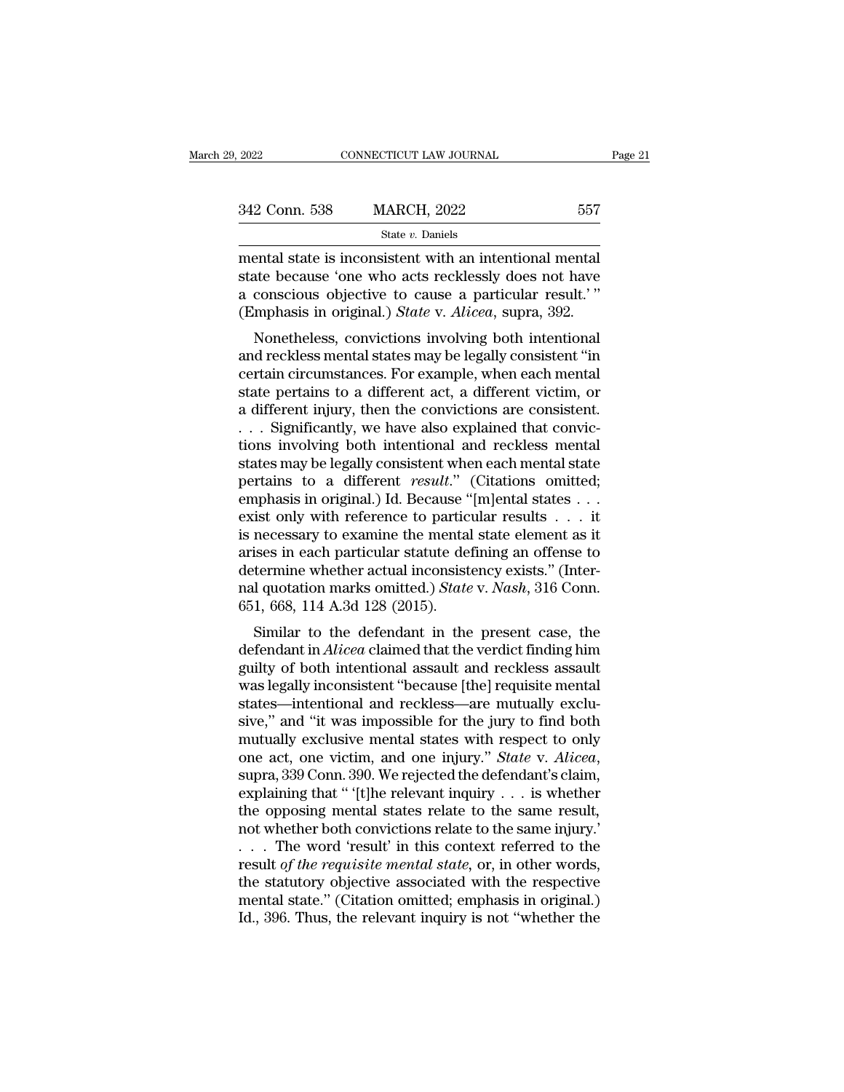| 9, 2022       | CONNECTICUT LAW JOURNAL                                                                                                                                               | Page 21 |
|---------------|-----------------------------------------------------------------------------------------------------------------------------------------------------------------------|---------|
|               |                                                                                                                                                                       |         |
| 342 Conn. 538 | <b>MARCH, 2022</b>                                                                                                                                                    | 557     |
|               | State $v$ . Daniels                                                                                                                                                   |         |
|               | mental state is inconsistent with an intentional mental<br>state because 'one who acts recklessly does not have<br>conscious objective to cause a particular result?" |         |

342 Conn. 538 MARCH, 2022 557<br>
state v. Daniels<br>
mental state is inconsistent with an intentional mental<br>
state because 'one who acts recklessly does not have<br>
a conscious objective to cause a particular result.'"<br>
(Emphas 342 Conn. 538 MARCH, 2022 557<br>
State v. Daniels<br>
mental state is inconsistent with an intentional mental<br>
state because 'one who acts recklessly does not have<br>
a conscious objective to cause a particular result.'"<br>
(Empha (Emphasis in original.) *State* v. *Alicea*, superantal state is inconsistent with an intentional mental state because 'one who acts recklessly does not have a conscious objective to cause a particular result.'" (Emphasis State v. Daniels<br>
State v. Daniels<br>
State v. Daniels<br>
and intentional mental<br>
atte because 'one who acts recklessly does not have<br>
conscious objective to cause a particular result.'"<br>
mphasis in original.) State v. Alicea mental state is inconsistent with an intentional mental<br>state because 'one who acts recklessly does not have<br>a conscious objective to cause a particular result.'"<br>(Emphasis in original.) *State* v. *Alicea*, supra, 392.<br>No

mental state is inconsistent with an intentional mental<br>state because 'one who acts recklessly does not have<br>a conscious objective to cause a particular result.'"<br>(Emphasis in original.) *State* v. *Alicea*, supra, 392.<br>No state because one who acts recklessly does not have<br>a conscious objective to cause a particular result.'"<br>(Emphasis in original.) *State* v. *Alicea*, supra, 392.<br>Nonetheless, convictions involving both intentional<br>and rec a conscrous objective to cause a particular result.<br>
(Emphasis in original.) *State* v. *Alicea*, supra, 392.<br>
Nonetheless, convictions involving both intentional<br>
and reckless mental states may be legally consistent "in<br> Linphasis in original.) *State v. Attea*, supra, 352.<br>
Nonetheless, convictions involving both intentional<br>
and reckless mental states may be legally consistent "in<br>
certain circumstances. For example, when each mental<br>
st Nonetheless, convictions involving both intentional<br>and reckless mental states may be legally consistent "in<br>certain circumstances. For example, when each mental<br>state pertains to a different act, a different victim, or<br>a and reckless mental states may be legally consistent "in<br>certain circumstances. For example, when each mental<br>state pertains to a different act, a different victim, or<br>a different injury, then the convictions are consisten certain circumstances. For example, when each mental<br>state pertains to a different act, a different victim, or<br>a different injury, then the convictions are consistent.<br>... Significantly, we have also explained that convicstate pertains to a different act, a different victim, or<br>a different injury, then the convictions are consistent.<br>... Significantly, we have also explained that convic-<br>tions involving both intentional and reckless menta a different injury, then the convictions are consistent.<br>
. . . Significantly, we have also explained that convictions involving both intentional and reckless mental<br>
states may be legally consistent when each mental stat ... Significantly, we have also explained that convictions involving both intentional and reckless mental states may be legally consistent when each mental state pertains to a different *result.*" (Citations omitted; emph tions involving both intentional and reckless mental<br>states may be legally consistent when each mental state<br>pertains to a different *result.*" (Citations omitted;<br>emphasis in original.) Id. Because "[m]ental states . . . states may be legally consistent when each mental state<br>pertains to a different *result.*" (Citations omitted;<br>emphasis in original.) Id. Because "[m]ental states . . . it<br>exist only with reference to particular results . pertains to a different *result.*" (Citations omitted;<br>emphasis in original.) Id. Because "[m]ental states . . .<br>exist only with reference to particular results . . . it<br>is necessary to examine the mental state element as emphasis in original.) Id. Because "<br>exist only with reference to partic<br>is necessary to examine the mental<br>arises in each particular statute de<br>determine whether actual inconsist<br>nal quotation marks omitted.) State<br>651, 6 Similar to examine the mental state element as it<br>ises in each particular statute defining an offense to<br>termine whether actual inconsistency exists." (Inter-<br>I quotation marks omitted.) *State v. Nash*, 316 Conn.<br>1, 668, is necessary to examine the mential state element as it<br>arises in each particular statute defining an offense to<br>determine whether actual inconsistency exists." (Inter-<br>nal quotation marks omitted.) *State v. Nash*, 316 Co

arises in each particular statute defining an offerise to<br>determine whether actual inconsistency exists." (Inter-<br>nal quotation marks omitted.) *State* v. *Nash*, 316 Conn.<br>651, 668, 114 A.3d 128 (2015).<br>Similar to the def determine whether actual inconsistently exists. (Inter-<br>nal quotation marks omitted.) *State* v. *Nash*, 316 Conn.<br>651, 668, 114 A.3d 128 (2015).<br>Similar to the defendant in the present case, the<br>defendant in *Alicea* clai fial quotation marks on<br>fitted.*f state* v. *INdsh*, 510 Com.<br>651, 668, 114 A.3d 128 (2015).<br>Similar to the defendant in the present case, the<br>defendant in *Alicea* claimed that the verdict finding him<br>guilty of both in similar to the defendant in the present case, the<br>defendant in *Alicea* claimed that the verdict finding him<br>guilty of both intentional assault and reckless assault<br>was legally inconsistent "because [the] requisite mental Similar to the defendant in the present case, the<br>defendant in *Alicea* claimed that the verdict finding him<br>guilty of both intentional assault and reckless assault<br>was legally inconsistent "because [the] requisite mental defendant in *Alicea* claimed that the verdict finding him<br>guilty of both intentional assault and reckless assault<br>was legally inconsistent "because [the] requisite mental<br>states—intentional and reckless—are mutually exclu was legally inconsistent "because [the] requisite mental<br>states—intentional and reckless—are mutually exclu-<br>sive," and "it was impossible for the jury to find both<br>mutually exclusive mental states with respect to only<br>on states—intentional and reckless—are mutually exclusive," and "it was impossible for the jury to find both mutually exclusive mental states with respect to only one act, one victim, and one injury." *State* v. *Alicea*, sup mutually exclusive mental states with respect to only<br>one act, one victim, and one injury." *State* v. *Alicea*,<br>supra, 339 Conn. 390. We rejected the defendant's claim,<br>explaining that " '[t]he relevant inquiry . . . is w one act, one victim, and one injury." *State* v. *Alicea*, supra, 339 Conn. 390. We rejected the defendant's claim, explaining that " [t]he relevant inquiry . . . is whether the opposing mental states relate to the same re supra, 339 Conn. 390. We rejected the defendant's claim,<br>explaining that " '[t]he relevant inquiry . . . is whether<br>the opposing mental states relate to the same result,<br>not whether both convictions relate to the same inj explaining that " '[t]he relevant inquiry . . . is whether<br>the opposing mental states relate to the same result,<br>not whether both convictions relate to the same injury.'<br>. . . The word 'result' in this context referred to the opposing mental states relate to the same result, not whether both convictions relate to the same injury.'<br>  $\ldots$  The word 'result' in this context referred to the result *of the requisite mental state*, or, in other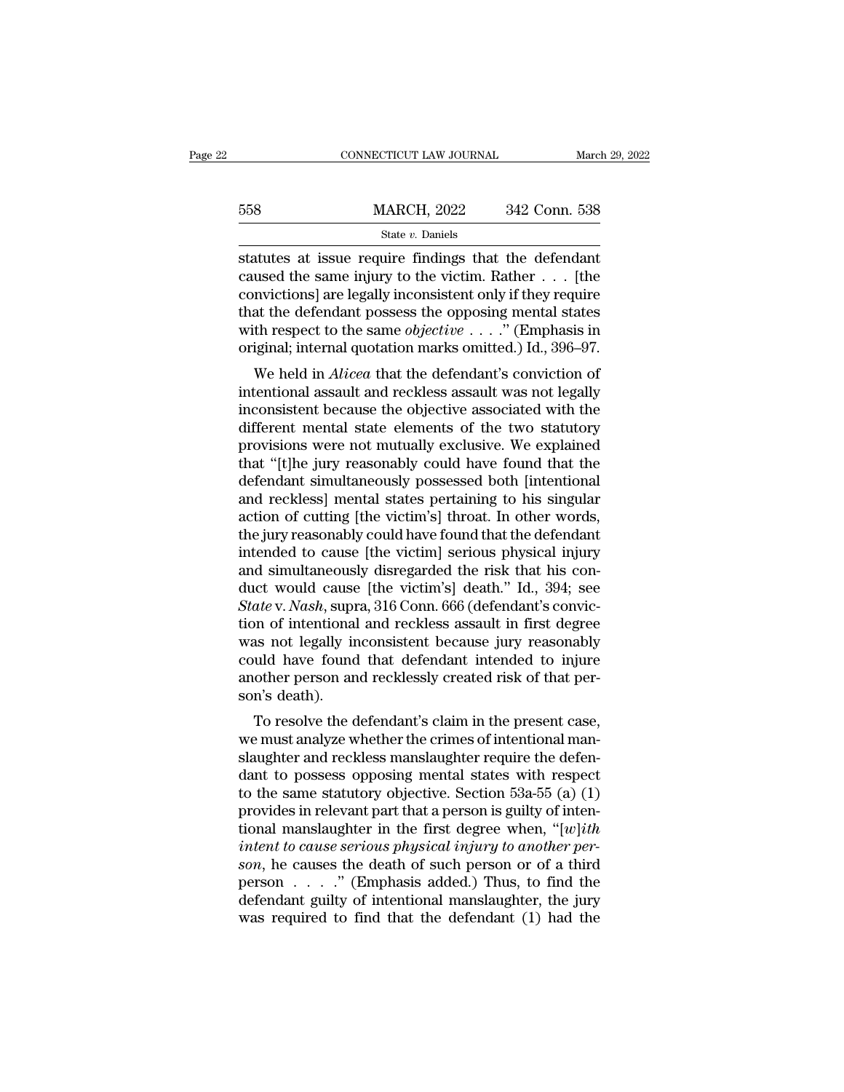|     | CONNECTICUT LAW JOURNAL                                                                                                                                                   | March 29, 2022 |
|-----|---------------------------------------------------------------------------------------------------------------------------------------------------------------------------|----------------|
| 558 | <b>MARCH, 2022</b>                                                                                                                                                        | 342 Conn. 538  |
|     | State $v$ . Daniels                                                                                                                                                       |                |
|     | statutes at issue require findings that the defendant<br>caused the same injury to the victim. Rather  [the<br>convictional are locally inconsistant only if they require |                |

MARCH, 2022 342 Conn. 538<br>
Statutes at issue require findings that the defendant<br>
caused the same injury to the victim. Rather . . . [the<br>
convictions] are legally inconsistent only if they require<br>
that the defendant pess 558 MARCH, 2022 342 Conn. 538<br>
State v. Daniels<br>
Statutes at issue require findings that the defendant<br>
caused the same injury to the victim. Rather . . . [the<br>
convictions] are legally inconsistent only if they require<br> 558 MARCH, 2022 342 Conn. 538<br>
State v. Daniels<br>
Statutes at issue require findings that the defendant<br>
caused the same injury to the victim. Rather . . . [the<br>
convictions] are legally inconsistent only if they require<br> Statutes at issue require findings that the defendant<br>caused the same injury to the victim. Rather . . . [the<br>convictions] are legally inconsistent only if they require<br>that the defendant possess the opposing mental states statutes at issue require findings that the defendant<br>caused the same injury to the victim. Rather  $\dots$  [the<br>convictions] are legally inconsistent only if they require<br>that the defendant possess the opposing mental states at issue require intuities that the defendant<br>used the same injury to the victim. Rather . . . [the<br>mvictions] are legally inconsistent only if they require<br>at the defendant possess the opposing mental states<br>th respect to caused the same hijdry to the victim. Kather  $\ldots$  [the convictions] are legally inconsistent only if they require that the defendant possess the opposing mental states with respect to the same *objective*  $\ldots$ ." (Emphas

convictions] are legany inconsistent only in they require<br>that the defendant possess the opposing mental states<br>with respect to the same *objective*  $\dots$ ." (Emphasis in<br>original; internal quotation marks omitted.) Id., 39 that the defendant possess the opposing inertial states<br>with respect to the same *objective*  $\dots$ ." (Emphasis in<br>original; internal quotation marks omitted.) Id., 396–97.<br>We held in *Alicea* that the defendant's convictio with respect to the same objective  $\cdots$ . (Emphasis in original; internal quotation marks omitted.) Id., 396–97.<br>We held in *Alicea* that the defendant's conviction of intentional assault and reckless assault was not lega We held in *Alicea* that the defendant's conviction of intentional assault and reckless assault was not legally inconsistent because the objective associated with the different mental state elements of the two statutory p We held in *Alicea* that the defendant's conviction of<br>intentional assault and reckless assault was not legally<br>inconsistent because the objective associated with the<br>different mental state elements of the two statutory<br>pr intentional assault and reckless assault was not legally<br>inconsistent because the objective associated with the<br>different mental state elements of the two statutory<br>provisions were not mutually exclusive. We explained<br>that inconsistent because the objective associated with the<br>different mental state elements of the two statutory<br>provisions were not mutually exclusive. We explained<br>that "[t]he jury reasonably could have found that the<br>defenda different mental state elements of the two statutory<br>provisions were not mutually exclusive. We explained<br>that "[t]he jury reasonably could have found that the<br>defendant simultaneously possessed both [intentional<br>and reckl provisions were not mutually exclusive. We explained<br>that "[t]he jury reasonably could have found that the<br>defendant simultaneously possessed both [intentional<br>and reckless] mental states pertaining to his singular<br>action that "[t]he jury reasonably could have found that the defendant simultaneously possessed both [intentional and reckless] mental states pertaining to his singular action of cutting [the victim's] throat. In other words, the defendant simultaneously possessed both [intentional<br>and reckless] mental states pertaining to his singular<br>action of cutting [the victim's] throat. In other words,<br>the jury reasonably could have found that the defendant<br>i and reckless] mental states pertaining to his singular<br>action of cutting [the victim's] throat. In other words,<br>the jury reasonably could have found that the defendant<br>intended to cause [the victim] serious physical injury action of cutting [the victim's] throat. In other words,<br>the jury reasonably could have found that the defendant<br>intended to cause [the victim] serious physical injury<br>and simultaneously disregarded the risk that his con-<br> the jury reasonably could have found that the defendant<br>intended to cause [the victim] serious physical injury<br>and simultaneously disregarded the risk that his con-<br>duct would cause [the victim's] death." Id., 394; see<br>*St* intended to cause [the victim] serious physical injury<br>and simultaneously disregarded the risk that his con-<br>duct would cause [the victim's] death." Id., 394; see<br>*State* v. *Nash*, supra, 316 Conn. 666 (defendant's convic and simultaneously disregarded the risk that his conduct would cause [the victim's] death." Id., 394; see State v. Nash, supra, 316 Conn. 666 (defendant's conviction of intentional and reckless assault in first degree was duct would cause<br>State v. Nash, supr<br>tion of intentional<br>was not legally ir<br>could have found<br>another person an<br>son's death).<br>To resolve the d The virtual and reckless assault in first degree<br>as not legally inconsistent because jury reasonably<br>uld have found that defendant intended to injure<br>other person and recklessly created risk of that per-<br>n's death).<br>To res Figure 2.1 The must analyze was not legally inconsistent because jury reasonably<br>could have found that defendant intended to injure<br>another person and recklessly created risk of that per-<br>son's death).<br>To resolve the defen

was not regany inconsistent because jury reasonably<br>could have found that defendant intended to injure<br>another person and recklessly created risk of that per-<br>son's death).<br>To resolve the defendant's claim in the present could have found that defendant intended to infure<br>another person and recklessly created risk of that per-<br>son's death).<br>To resolve the defendant's claim in the present case,<br>we must analyze whether the crimes of intention another person and recklessly created risk of that per-<br>son's death).<br>To resolve the defendant's claim in the present case,<br>we must analyze whether the crimes of intentional man-<br>slaughter and reckless manslaughter require Fo resolve the defendant's claim in the present case,<br>we must analyze whether the crimes of intentional man-<br>slaughter and reckless manslaughter require the defen-<br>dant to possess opposing mental states with respect<br>to th To resolve the defendant's claim in the present case,<br>we must analyze whether the crimes of intentional man-<br>slaughter and reckless manslaughter require the defen-<br>dant to possess opposing mental states with respect<br>to th *i* we must analyze whether the crimes of intentional man-<br>
slaughter and reckless manslaughter require the defen-<br>
dant to possess opposing mental states with respect<br>
to the same statutory objective. Section 53a-55 (a) ( slaughter and reckless manslaughter require the defendant to possess opposing mental states with respect<br>to the same statutory objective. Section 53a-55 (a) (1)<br>provides in relevant part that a person is guilty of inten-<br> dant to possess opposing mental states with respect<br>to the same statutory objective. Section 53a-55 (a) (1)<br>provides in relevant part that a person is guilty of inten-<br>tional manslaughter in the first degree when, "[*w*] to the same statutory objective. Section 53a-55 (a) (1)<br>provides in relevant part that a person is guilty of inten-<br>tional manslaughter in the first degree when, "[w]ith<br>intent to cause serious physical injury to another provides in relevant part that a person is guilty of intentional manslaughter in the first degree when, "[*w*]*ith intent to cause serious physical injury to another person*, he causes the death of such person or of a t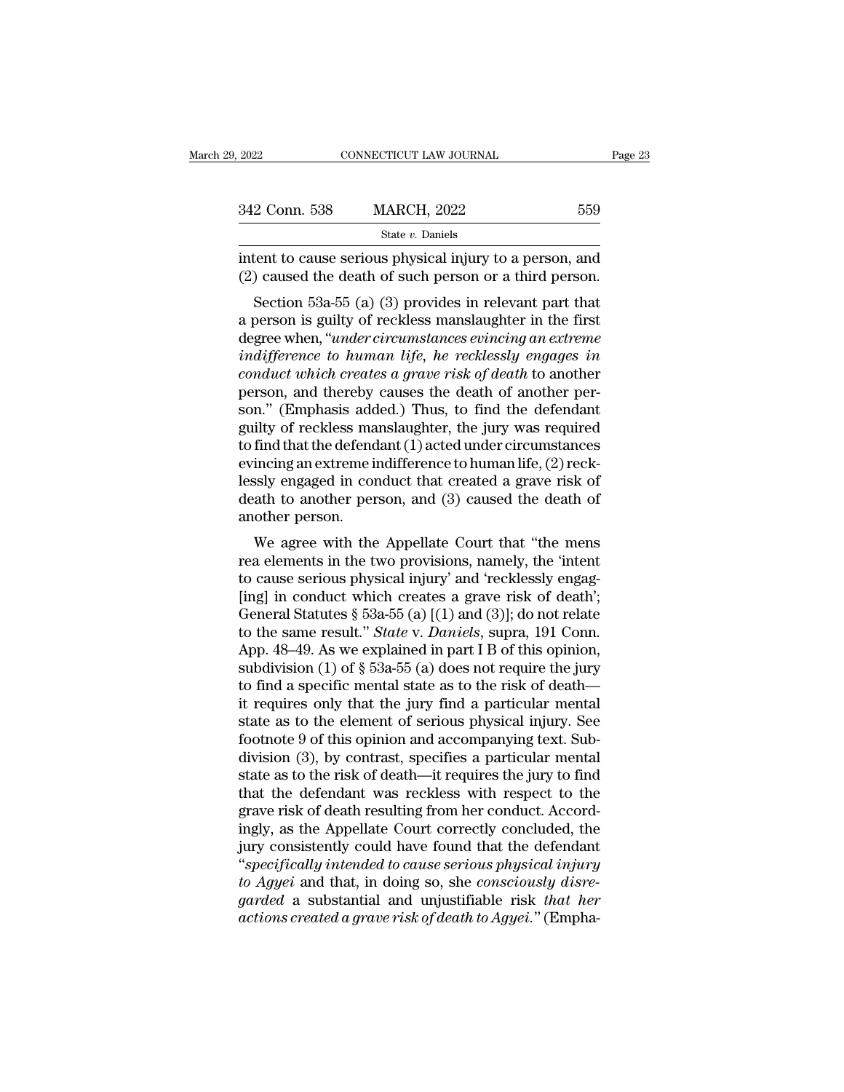| 29, 2022      | CONNECTICUT LAW JOURNAL                                                                                                                                                    |     | Page 23 |
|---------------|----------------------------------------------------------------------------------------------------------------------------------------------------------------------------|-----|---------|
|               |                                                                                                                                                                            |     |         |
| 342 Conn. 538 | <b>MARCH, 2022</b>                                                                                                                                                         | 559 |         |
|               | State v. Daniels                                                                                                                                                           |     |         |
|               | intent to cause serious physical injury to a person, and<br>(2) caused the death of such person or a third person.                                                         |     |         |
|               | Section 53a-55 (a) (3) provides in relevant part that<br>a person is guilty of reckless manslaughter in the first<br>dogramation "wadox oixoum stanges ovinging an oxtromo |     |         |

342 Conn. 538 MARCH, 2022 559<br>
State v. Daniels<br>
intent to cause serious physical injury to a person, and<br>
(2) caused the death of such person or a third person.<br>
Section 53a-55 (a) (3) provides in relevant part that<br>
a p State v. Daniels<br>
intent to cause serious physical injury to a person, and<br>
(2) caused the death of such person or a third person.<br>
Section 53a-55 (a) (3) provides in relevant part that<br>
a person is guilty of reckless mans intent to cause serious physical injury to a person, and<br>
(2) caused the death of such person or a third person.<br>
Section 53a-55 (a) (3) provides in relevant part that<br>
a person is guilty of reckless manslaughter in the fi *conduct which* creates a grave risk of death of such a gerson, and (2) caused the death of such person or a third person.<br> *Section* 53a-55 (a) (3) provides in relevant part that<br>
a person is guilty of reckless manslaught ( $2$ ) caused the death of such person of a time person.<br>Section 53a-55 (a) (3) provides in relevant part that<br>a person is guilty of reckless manslaughter in the first<br>degree when, "*under circumstances evincing an extreme* Section 53a-55 (a) (3) provides in relevant part that<br>a person is guilty of reckless manslaughter in the first<br>degree when, "*under circumstances evincing an extreme*<br>*indifference to human life, he recklessly engages in* a person is guilty of reckless manslaughter in the first<br>degree when, "*under circumstances evincing an extreme*<br>*indifference to human life, he recklessly engages in*<br>*conduct which creates a grave risk of death* to anot degree when, "*under circumstances evincing an extreme*<br> *indifference to human life, he recklessly engages in*<br>
conduct which creates a grave risk of death to another<br>
person, and thereby causes the death of another per-<br> indifference to human life, he recklessly engages in<br>conduct which creates a grave risk of death to another<br>person, and thereby causes the death of another per-<br>son." (Emphasis added.) Thus, to find the defendant<br>guilty o conduct which creates a grave risk of death to another<br>person, and thereby causes the death of another per-<br>son." (Emphasis added.) Thus, to find the defendant<br>guilty of reckless manslaughter, the jury was required<br>to find person, and thereby causes the death of another person." (Emphasis added.) Thus, to find the defendant guilty of reckless manslaughter, the jury was required to find that the defendant (1) acted under circumstances evincin son." (Emphasis add<br>guilty of reckless ma<br>to find that the defend<br>evincing an extreme is<br>lessly engaged in con<br>death to another per<br>another person.<br>We agree with the In that the defendant (1) acted under circumstances<br>incing an extreme indifference to human life, (2) reck-<br>ssly engaged in conduct that created a grave risk of<br>ath to another person, and (3) caused the death of<br>other pers rea elements in the difference to human life, (2) reck-<br>lessly engaged in conduct that created a grave risk of<br>death to another person, and (3) caused the death of<br>another person.<br>We agree with the Appellate Court that "th

Example and that created a grave risk of<br>death to another person, and (3) caused the death of<br>another person.<br>We agree with the Appellate Court that "the mens<br>rea elements in the two provisions, namely, the "intent<br>to cau death to another person, and (3) caused the death of<br>another person.<br>We agree with the Appellate Court that "the mens<br>rea elements in the two provisions, namely, the 'intent<br>to cause serious physical injury' and 'reckless We agree with the Appellate Court that "the mens<br>rea elements in the two provisions, namely, the 'intent<br>to cause serious physical injury' and 'recklessly engag-<br>[ing] in conduct which creates a grave risk of death';<br>Gene We agree with the Appellate Court that "the mens<br>rea elements in the two provisions, namely, the 'intent<br>to cause serious physical injury' and 'recklessly engag-<br>[ing] in conduct which creates a grave risk of death';<br>Gener We agree with the Appellate Court that "the mens<br>rea elements in the two provisions, namely, the 'intent<br>to cause serious physical injury' and 'recklessly engag-<br>[ing] in conduct which creates a grave risk of death';<br>Gene rea elements in the two provisions, namely, the 'intent<br>to cause serious physical injury' and 'recklessly engag-<br>[ing] in conduct which creates a grave risk of death';<br>General Statutes § 53a-55 (a) [(1) and (3)]; do not r to cause serious physical injury' and 'recklessly engag-<br>[ing] in conduct which creates a grave risk of death';<br>General Statutes § 53a-55 (a) [(1) and (3)]; do not relate<br>to the same result." *State* v. *Daniels*, supra, [ing] in conduct which creates a grave risk of death';<br>General Statutes § 53a-55 (a) [(1) and (3)]; do not relate<br>to the same result." *State* v. *Daniels*, supra, 191 Conn.<br>App. 48–49. As we explained in part I B of this General Statutes § 53a-55 (a) [(1) and (3)]; do not relate<br>to the same result." *State* v. *Daniels*, supra, 191 Conn.<br>App. 48–49. As we explained in part I B of this opinion,<br>subdivision (1) of § 53a-55 (a) does not requ to the same result." *State* v. *Daniels*, supra, 191 Conn.<br>App. 48–49. As we explained in part I B of this opinion,<br>subdivision (1) of  $\S$  53a-55 (a) does not require the jury<br>to find a specific mental state as to the ri App. 48–49. As we explained in part I B of this opinion,<br>subdivision (1) of  $\S$  53a-55 (a) does not require the jury<br>to find a specific mental state as to the risk of death—<br>it requires only that the jury find a particula subdivision (1) of § 53a-55 (a) does not require the jury<br>to find a specific mental state as to the risk of death—it<br>requires only that the jury find a particular mental<br>state as to the element of serious physical injury. to find a specific mental state as to the risk of death—<br>it requires only that the jury find a particular mental<br>state as to the element of serious physical injury. See<br>footnote 9 of this opinion and accompanying text. Sub it requires only that the jury find a particular mental<br>state as to the element of serious physical injury. See<br>footnote 9 of this opinion and accompanying text. Sub-<br>division (3), by contrast, specifies a particular menta state as to the element of serious physical injury. See<br>footnote 9 of this opinion and accompanying text. Sub-<br>division (3), by contrast, specifies a particular mental<br>state as to the risk of death—it requires the jury to footnote 9 of this opinion and accompanying text. Sub-<br>division (3), by contrast, specifies a particular mental<br>state as to the risk of death—it requires the jury to find<br>that the defendant was reckless with respect to the division (3), by contrast, specifies a particular mental<br>state as to the risk of death—it requires the jury to find<br>that the defendant was reckless with respect to the<br>grave risk of death resulting from her conduct. Accord state as to the risk of death—it requires the jury to find<br>that the defendant was reckless with respect to the<br>grave risk of death resulting from her conduct. Accord-<br>ingly, as the Appellate Court correctly concluded, the<br> that the defendant was reckless with respect to the grave risk of death resulting from her conduct. Accordingly, as the Appellate Court correctly concluded, the jury consistently could have found that the defendant "specif grave risk of death resulting from her conduct. Accordingly, as the Appellate Court correctly concluded, the<br>jury consistently could have found that the defendant<br>"specifically intended to cause serious physical injury<br>to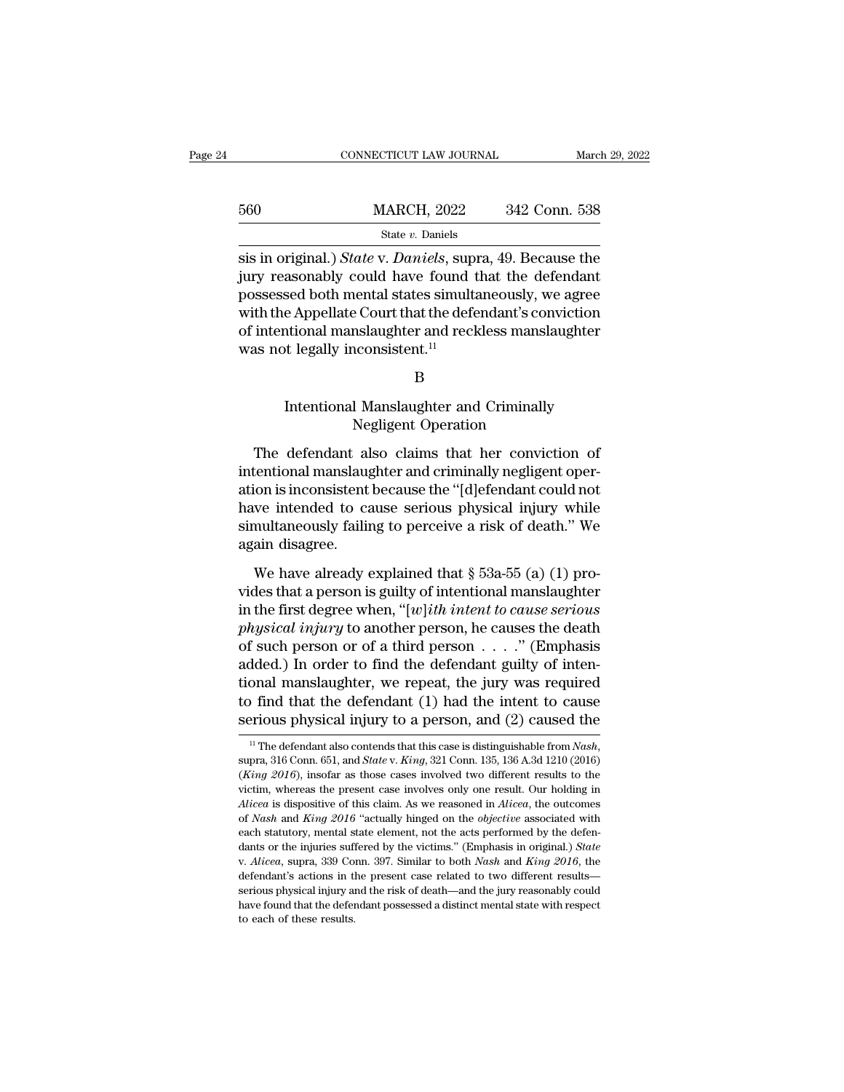|     | CONNECTICUT LAW JOURNAL | March 29, 2022 |
|-----|-------------------------|----------------|
| 560 | <b>MARCH, 2022</b>      | 342 Conn. 538  |
|     | State v. Daniels        |                |

 $\begin{array}{r} \text{560} & \text{MARCH, 2022} & \text{342 Conn. 538} \\ \text{State } v. \text{ Daniels} \end{array}$ <br>sis in original.) *State v. Daniels*, supra, 49. Because the jury reasonably could have found that the defendant possessed both mental states simultaneously, w  $\frac{\text{MARCH}}{\text{State } v. \text{ Daniels}}$ <br>  $\frac{\text{State } v. \text{ Daniels}}{\text{State } v. \text{ Daniels}, \text{ supra}, 49. \text{ Because the}}$ <br>
sis in original.) *State* v. *Daniels*, supra, 49. Because the<br>
jury reasonably could have found that the defendant<br>
possessed both mental states sim  $\frac{\text{MARCH, 2022}}{\text{State } v. \text{ Daniels}}$ <br>
sis in original.) *State v. Daniels*, supra, 49. Because the<br>
jury reasonably could have found that the defendant<br>
possessed both mental states simultaneously, we agree<br>
with the Appellate C State *v*. Daniels<br>sis in original.) *State* v. Daniels, supra, 49. Because the<br>jury reasonably could have found that the defendant<br>possessed both mental states simultaneously, we agree<br>with the Appellate Court that the d siae  $v$ . Daniels<br>sis in original.) *State* v. Daniels, supi<br>jury reasonably could have found t<br>possessed both mental states simulta<br>with the Appellate Court that the defe<br>of intentional manslaughter and reck<br>was not lega Sed both mental states simultaneously, we agree<br>
e Appellate Court that the defendant's conviction<br>
intional manslaughter and reckless manslaughter<br>
intentional Manslaughter and Criminally<br>
Negligent Operation Provide that the detendant's conversions<br>Inslaughter and reckless manslaure<br>Consistent.<sup>11</sup><br>B<br>Manslaughter and Criminally<br>Negligent Operation<br>also claims that her convicti

Frame and Criminally<br>
B<br>
Intentional Manslaughter and Criminally<br>
Negligent Operation<br>
The defendant also claims that her conviction of<br>
tentional manslaughter and criminally negligent oper-<br>
is inconsistent because the "I B<br>
Intentional Manslaughter and Criminally<br>
Negligent Operation<br>
The defendant also claims that her conviction of<br>
intentional manslaughter and criminally negligent oper-<br>
ation is inconsistent because the "[d]efendant cou B<br>
Intentional Manslaughter and Criminally<br>
Negligent Operation<br>
The defendant also claims that her conviction of<br>
intentional manslaughter and criminally negligent oper-<br>
ation is inconsistent because the "[d]efendant cou Intentional Manslaughter and Criminally<br>
Negligent Operation<br>
The defendant also claims that her conviction of<br>
intentional manslaughter and criminally negligent oper-<br>
ation is inconsistent because the "[d]efendant could Simultaneously failing to peration<br>The defendant also claims that her conviction of<br>intentional manslaughter and criminally negligent oper-<br>ation is inconsistent because the "[d]efendant could not<br>have intended to cause se The defendant all<br>intentional manslaug<br>ation is inconsistent<br>have intended to ca<br>simultaneously failin<br>again disagree.<br>We have already  $\epsilon$ Fentional manslaughter and criminally negligent opertion is inconsistent because the "[d]efendant could not we intended to cause serious physical injury while multaneously failing to perceive a risk of death." We ain disag video is inconsistent because the "[d]efendant could not<br>have intended to cause serious physical injury while<br>simultaneously failing to perceive a risk of death." We<br>again disagree.<br>We have already explained that  $\S$  53a-

have intended to cause serious physical injury while<br>simultaneously failing to perceive a risk of death." We<br>again disagree.<br>We have already explained that § 53a-55 (a) (1) pro-<br>vides that a person is guilty of intentional *physical injury* to perceive a risk of death." We again disagree.<br>
We have already explained that § 53a-55 (a) (1) provides that a person is guilty of intentional manslaughter in the first degree when, "[*w*]*ith intent t* again disagree.<br>
We have already explained that  $\S$  53a-55 (a) (1) provides that a person is guilty of intentional manslaughter<br>
in the first degree when, "[w]*ith intent to cause serious*<br> *physical injury* to another pe We have already explained that  $\S$  53a-55 (a) (1) provides that a person is guilty of intentional manslaughter<br>in the first degree when, "[w]*ith intent to cause serious*<br>*physical injury* to another person, he causes the We have already explained that  $\S$  53a-55 (a) (1) pro-<br>vides that a person is guilty of intentional manslaughter<br>in the first degree when, "[*w*]*ith intent to cause serious*<br>*physical injury* to another person, he causes vides that a person is guilty of intentional manslaughter<br>in the first degree when, "[*w*]*ith intent to cause serious*<br>*physical injury* to another person, he causes the death<br>of such person or of a third person  $\dots$ ." ( in the first degree when, "[*w*]*ith intent to cause serious*<br>*physical injury* to another person, he causes the death<br>of such person or of a third person . . . . " (Emphasis<br>added.) In order to find the defendant guilty added.) In order to find the defendant guilty of intentional manslaughter, we repeat, the jury was required to find that the defendant (1) had the intent to cause serious physical injury to a person, and (2) caused the <sup>11</sup>

B

to find that the defendant (1) had the intent to cause<br>serious physical injury to a person, and (2) caused the<br> $\frac{1}{\sqrt{1}}$  The defendant also contends that this case is distinguishable from *Nash*,<br>supra, 316 Conn. 651, serious physical injury to a person, and (2) caused the<br>
<sup>11</sup> The defendant also contends that this case is distinguishable from *Nash*,<br>
supra, 316 Conn. 651, and *State v. King*, 321 Conn. 135, 136 A.3d 1210 (2016)<br>
(*K* <sup>11</sup> The defendant also contends that this case is distinguishable from *Nash*, supra, 316 Conn. 651, and *State v. King*, 321 Conn. 135, 136 A.3d 1210 (2016) (*King 2016*), insofar as those cases involved two different r <sup>11</sup> The defendant also contends that this case is distinguishable from *Nash*, supra, 316 Conn. 651, and *State* v. *King*, 321 Conn. 135, 136 A.3d 1210 (2016) (*King 2016*), insofar as those cases involved two different supra, 316 Conn. 651, and *State* v. *King*, 321 Conn. 135, 136 A.3d 1210 (2016) (*King 2016*), insofar as those cases involved two different results to the victim, whereas the present case involves only one result. Our h  $d(King 2016)$ , insofar as those cases involved two different results to the victim, whereas the present case involves only one result. Our holding in *Alicea* is dispositive of this claim. As we reasoned in *Alicea*, the ou Alicea is dispositive of this claim. As we reasoned in *Alicea*, the outcomes of *Nash* and *King 2016* "actually hinged on the *objective* associated with each statutory, mental state element, not the acts performed by th of *Nash* and *King 2016* "actually hinged on the *objective* associated with each statutory, mental state element, not the acts performed by the defendants or the injuries suffered by the victims." (Emphasis in original. of Nash and King 2016 "actually hinged on the objective associated with each statutory, mental state element, not the acts performed by the defendants or the injuries suffered by the victims." (Emphasis in original.) Stat dants or the injuries suffered by the victims." (Emphasis in original.) State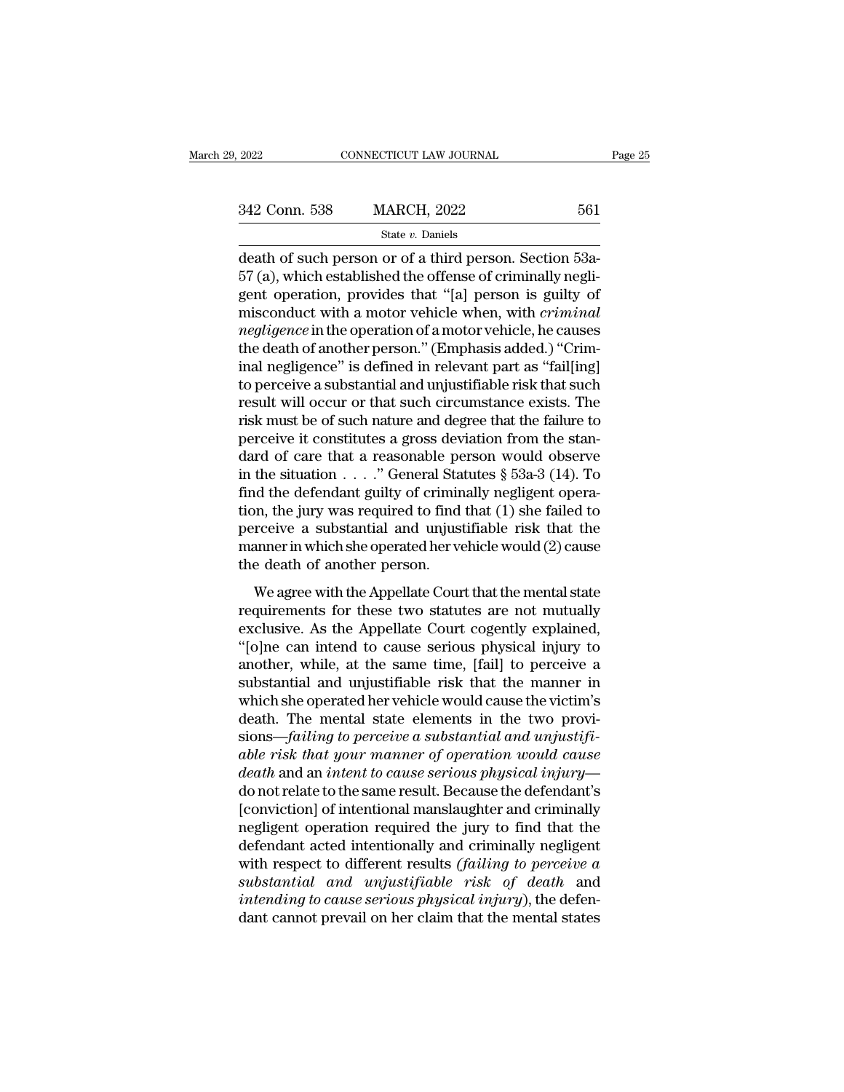| 2022          | CONNECTICUT LAW JOURNAL | Page 25 |  |
|---------------|-------------------------|---------|--|
|               |                         |         |  |
| 342 Conn. 538 | <b>MARCH, 2022</b>      | 561     |  |
|               | State $v$ . Daniels     |         |  |

 $\begin{array}{ccc}\n 2022 & \text{CONPECTICUT LAW JOURNAL}\n \hline\n 342 & \text{Conn. } 538 & \text{MARCH, } 2022 & 561 \\
 \text{State } v. \text{ Danish}\n\end{array}$ <br>
death of such person or of a third person. Section 53a-<br>
57 (a), which established the offense of criminally negligant operation, pro 342 Conn. 538 MARCH, 2022 561<br>
State v. Daniels<br>
death of such person or of a third person. Section 53a-<br>
57 (a), which established the offense of criminally negli-<br>
gent operation, provides that "[a] person is guilty of<br> 342 Conn. 538 MARCH, 2022 561<br>
State v. Daniels<br>
death of such person or of a third person. Section 53a-<br>
57 (a), which established the offense of criminally negligent operation, provides that "[a] person is guilty of<br>
mi 342 Conn. 538 MARCH, 2022 561<br>
State v. Daniels<br>
death of such person or of a third person. Section 53a-<br>
57 (a), which established the offense of criminally negli-<br>
gent operation, provides that "[a] person is guilty of<br> *state v. Daniels*<br>*negligence* in the operation of a third person. Section 53a-<br>57 (a), which established the offense of criminally negli-<br>gent operation, provides that "[a] person is guilty of<br>misconduct with a motor veh  $\begin{array}{l} \text{state } v \text{. James} \\ \text{death of such person or of a third person. Section 53a-57 (a), which established the offices of criminally negligent operation, provides that "[a] person is guilty of misconduct with a motor vehicle when, with *criminal negligence* in the operation of a motor vehicle, he causes the death of another person." (Emphasis added.) "Criminal negligible" is defined in relevant part as "fail[ing] to perceive a substantial and unjustifiable risk that such. \end{array}$ death of such person or of a third person. Section 53a-<br>57 (a), which established the offense of criminally negli-<br>gent operation, provides that "[a] person is guilty of<br>misconduct with a motor vehicle when, with *criminal* 57 (a), which established the offense of criminally negligent operation, provides that "[a] person is guilty of misconduct with a motor vehicle when, with *criminal negligence* in the operation of a motor vehicle, he caus gent operation, provides that "[a] person is guilty of<br>misconduct with a motor vehicle when, with *criminal*<br>*negligence* in the operation of a motor vehicle, he causes<br>the death of another person." (Emphasis added.) "Crim misconduct with a motor vehicle when, with *criminal*<br>*negligence* in the operation of a motor vehicle, he causes<br>the death of another person." (Emphasis added.) "Crim-<br>inal negligence" is defined in relevant part as "fail negligence in the operation of a motor vehicle, he causes<br>the death of another person." (Emphasis added.) "Crim-<br>inal negligence" is defined in relevant part as "fail[ing]<br>to perceive a substantial and unjustifiable risk t the death of another person." (Emphasis added.) "Criminal negligence" is defined in relevant part as "fail[ing]<br>to perceive a substantial and unjustifiable risk that such<br>result will occur or that such circumstance exists inal negligence" is defined in relevant part as "fail[ing]<br>to perceive a substantial and unjustifiable risk that such<br>result will occur or that such circumstance exists. The<br>risk must be of such nature and degree that the to perceive a substantial and unjustifiable risk that such<br>result will occur or that such circumstance exists. The<br>risk must be of such nature and degree that the failure to<br>perceive it constitutes a gross deviation from result will occur or that such circumstance exists. The<br>risk must be of such nature and degree that the failure to<br>perceive it constitutes a gross deviation from the stan-<br>dard of care that a reasonable person would obser risk must be of such nature and degree that the failure to<br>perceive it constitutes a gross deviation from the stan-<br>dard of care that a reasonable person would observe<br>in the situation . . . . " General Statutes  $\S$  53a-3 perceive it constitutes a gross deviation from the stan-<br>dard of care that a reasonable person would observe<br>in the situation . . . ." General Statutes  $\S$  53a-3 (14). To<br>find the defendant guilty of criminally negligent dard of care that a reasonable per<br>in the situation  $\ldots$ ." General Star find the defendant guilty of crimin<br>tion, the jury was required to find<br>perceive a substantial and unjust<br>manner in which she operated her ve<br>the de are statistical  $\ldots$  is deficient statistics  $\frac{1}{3}$  solid  $\frac{1}{11}$ . To<br>d the defendant guilty of criminally negligent opera-<br>on, the jury was required to find that (1) she failed to<br>rceive a substantial and unjustif requirements for these two statutes are not mutually increased to perceive a substantial and unjustifiable risk that the manner in which she operated her vehicle would (2) cause the death of another person.<br>We agree with t

exclusive. As the Appellate Court that the manner in which she operated her vehicle would (2) cause<br>the death of another person.<br>We agree with the Appellate Court that the mental state<br>requirements for these two statutes percence a sussuandar and digustrialize first that the manner in which she operated her vehicle would (2) cause<br>the death of another person.<br>We agree with the Appellate Court that the mental state<br>requirements for these tw Andret in which she operated the redict would (2) classe<br>the death of another person.<br>We agree with the Appellate Court that the mental state<br>requirements for these two statutes are not mutually<br>exclusive. As the Appellat We agree with the Appellate Court that the mental state<br>requirements for these two statutes are not mutually<br>exclusive. As the Appellate Court cogently explained,<br>"[o]ne can intend to cause serious physical injury to<br>anoth We agree with the Appellate Court that the mental state<br>requirements for these two statutes are not mutually<br>exclusive. As the Appellate Court cogently explained,<br>"[o]ne can intend to cause serious physical injury to<br>anoth requirements for these two statutes are not mutually<br>exclusive. As the Appellate Court cogently explained,<br>"[o]ne can intend to cause serious physical injury to<br>another, while, at the same time, [fail] to perceive a<br>substa exclusive. As the Appellate Court cogently explained, "[o]ne can intend to cause serious physical injury to another, while, at the same time, [fail] to perceive a substantial and unjustifiable risk that the manner in which "[o]ne can intend to cause serious physical injury to<br>another, while, at the same time, [fail] to perceive a<br>substantial and unjustifiable risk that the manner in<br>which she operated her vehicle would cause the victim's<br>dea another, while, at the same time, [fail] to perceive a<br>substantial and unjustifiable risk that the manner in<br>which she operated her vehicle would cause the victim's<br>death. The mental state elements in the two provi-<br>sions substantial and unjustifiable risk that the manner in<br>which she operated her vehicle would cause the victim's<br>death. The mental state elements in the two provi-<br>sions—*failing to perceive a substantial and unjustifi-*<br>able which she operated her vehicle would cause the victim's<br>death. The mental state elements in the two provi-<br>sions—*failing to perceive a substantial and unjustifi-*<br>*able risk that your manner of operation would cause<br>death* death. The mental state elements in the two provisions—failing to perceive a substantial and unjustifiable risk that your manner of operation would cause<br>death and an intent to cause serious physical injury—<br>do not relate sions—failing to perceive a substantial and unjustifi-<br>able risk that your manner of operation would cause<br>death and an intent to cause serious physical injury—<br>do not relate to the same result. Because the defendant's<br>[c able risk that your manner of operation would cause<br>death and an intent to cause serious physical injury—<br>do not relate to the same result. Because the defendant's<br>[conviction] of intentional manslaughter and criminally<br>ne *death* and an *intent to cause serious physical injury*—<br>
do not relate to the same result. Because the defendant's<br>
[conviction] of intentional manslaughter and criminally<br>
negligent operation required the jury to find t do not relate to the same result. Because the defendant's<br>[conviction] of intentional manslaughter and criminally<br>negligent operation required the jury to find that the<br>defendant acted intentionally and criminally negligen [conviction] of intentional manslaughter and criminally<br>negligent operation required the jury to find that the<br>defendant acted intentionally and criminally negligent<br>with respect to different results *(failing to perceive*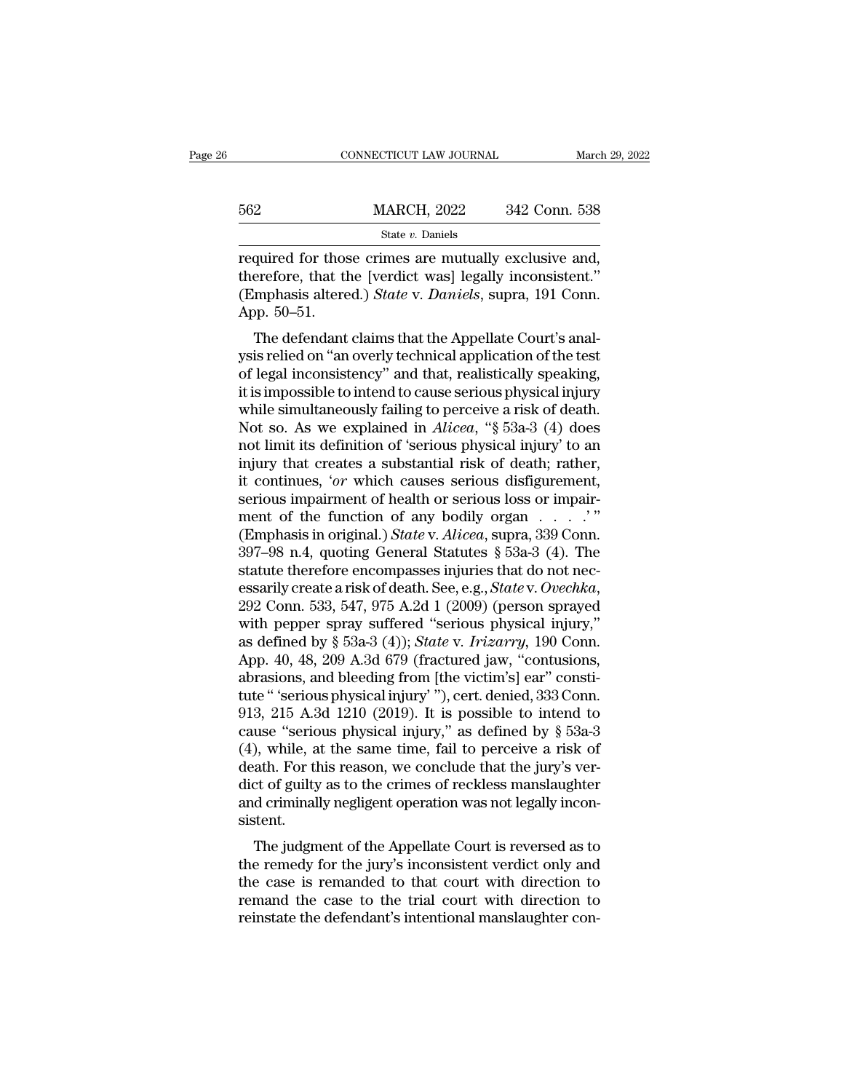|     | CONNECTICUT LAW JOURNAL |               | March 29, 2022 |
|-----|-------------------------|---------------|----------------|
|     |                         |               |                |
| 562 | <b>MARCH, 2022</b>      | 342 Conn. 538 |                |
|     | State $v$ . Daniels     |               |                |

required for those crimes are mutually exclusive and, 562 MARCH, 2022 342 Conn. 538<br>
state v. Daniels<br>
required for those crimes are mutually exclusive and,<br>
therefore, that the [verdict was] legally inconsistent.''<br>
(Emphasis altered.) *State v. Daniels*, supra, 191 Conn. MARCH, 2022 342 Conn. 538<br>
State *v*. Daniels<br>
required for those crimes are mutually exclusive and,<br>
therefore, that the [verdict was] legally inconsistent."<br>
(Emphasis altered.) *State* v. *Daniels*, supra, 191 Conn.<br>
Ap 562<br>
required for thos<br>
therefore, that the<br>
(Emphasis altere<br>
App. 50–51.<br>
The defendant State v. Daniels<br>
quired for those crimes are mutually exclusive and,<br>
erefore, that the [verdict was] legally inconsistent."<br>
mphasis altered.) State v. Daniels, supra, 191 Conn.<br>
pp. 50–51.<br>
The defendant claims that th required for those crimes are mutually exclusive and,<br>therefore, that the [verdict was] legally inconsistent."<br>(Emphasis altered.) *State* v. *Daniels*, supra, 191 Conn.<br>App. 50–51.<br>The defendant claims that the Appellate

required for those crimes are initially exclusive and,<br>therefore, that the [verdict was] legally inconsistent."<br>(Emphasis altered.) *State v. Daniels*, supra, 191 Conn.<br>App. 50–51.<br>The defendant claims that the Appellate C deferore, that the [vertuct was] legally inconsistent.<br>
(Emphasis altered.) *State* v. *Daniels*, supra, 191 Conn.<br>
App. 50–51.<br>
The defendant claims that the Appellate Court's analysis relied on "an overly technical appl (Eniphasis altered.) *State v. Duntets*, supra, 191 Collit.<br>App. 50–51.<br>The defendant claims that the Appellate Court's analysis relied on "an overly technical application of the test<br>of legal inconsistency" and that, real App. 50–51.<br>The defendant claims that the Appellate Court's analysis relied on "an overly technical application of the test<br>of legal inconsistency" and that, realistically speaking,<br>it is impossible to intend to cause seri The defendant claims that the Appellate Court's analysis relied on "an overly technical application of the test<br>of legal inconsistency" and that, realistically speaking,<br>it is impossible to intend to cause serious physical ysis relied on "an overly technical application of the test<br>of legal inconsistency" and that, realistically speaking,<br>it is impossible to intend to cause serious physical injury<br>while simultaneously failing to perceive a r of legal inconsistency" and that, realistically speaking,<br>it is impossible to intend to cause serious physical injury<br>while simultaneously failing to perceive a risk of death.<br>Not so. As we explained in *Alicea*, "§ 53a-3 it is impossible to intend to cause serious physical injury<br>while simultaneously failing to perceive a risk of death.<br>Not so. As we explained in *Alicea*, "§ 53a-3 (4) does<br>not limit its definition of 'serious physical in while simultaneously failing to perceive a risk of death.<br>Not so. As we explained in *Alicea*, "§ 53a-3 (4) does<br>not limit its definition of 'serious physical injury' to an<br>injury that creates a substantial risk of death; Not so. As we explained in *Alicea*, "§ 53a-3 (4) does<br>not limit its definition of 'serious physical injury' to an<br>injury that creates a substantial risk of death; rather,<br>it continues, '*or* which causes serious disfigure not limit its definition of 'serious physical injury' to an<br>injury that creates a substantial risk of death; rather,<br>it continues, 'or which causes serious disfigurement,<br>serious impairment of health or serious loss or im injury that creates a substantial risk of death; rather,<br>it continues, '*or* which causes serious disfigurement,<br>serious impairment of health or serious loss or impair-<br>ment of the function of any bodily organ  $\ldots$ ."<br>(Em it continues, *'or* which causes serious disfigurement,<br>serious impairment of health or serious loss or impair-<br>ment of the function of any bodily organ . . . . . "<br>(Emphasis in original.) *State* v. *Alicea*, supra, 339 C ment of the function of any bodily organ  $\ldots$ .'"<br>
(Emphasis in original.) *State* v. *Alicea*, supra, 339 Conn.<br>
397–98 n.4, quoting General Statutes § 53a-3 (4). The<br>
statute therefore encompasses injuries that do not n (Emphasis in original.) *State* v*. Alicea*, supra, 339 Conn.<br>397–98 n.4, quoting General Statutes § 53a-3 (4). The<br>statute therefore encompasses injuries that do not nec-<br>essarily create a risk of death. See, e.g., *State* 397–98 n.4, quoting General Statutes § 53a-3 (4). The<br>statute therefore encompasses injuries that do not nec-<br>essarily create a risk of death. See, e.g., *Statev. Ovechka*,<br>292 Conn. 533, 547, 975 A.2d 1 (2009) (person spr statute therefore encompasses injuries that do not necessarily create a risk of death. See, e.g., *Statev. Ovechka*, 292 Conn. 533, 547, 975 A.2d 1 (2009) (person sprayed with pepper spray suffered "serious physical injury essarily create a risk of death. See, e.g., *State v. Ovechka*, 292 Conn. 533, 547, 975 A.2d 1 (2009) (person sprayed with pepper spray suffered "serious physical injury," as defined by § 53a-3 (4)); *State v. Irizarry*, 292 Conn. 533, 547, 975 A.2d 1 (2009) (person sprayed<br>with pepper spray suffered "serious physical injury,"<br>as defined by § 53a-3 (4)); *State v. Irizarry*, 190 Conn.<br>App. 40, 48, 209 A.3d 679 (fractured jaw, "contusions, with pepper spray suffered "serious physical injury,"<br>as defined by § 53a-3 (4)); *State* v. *Irizarry*, 190 Conn.<br>App. 40, 48, 209 A.3d 679 (fractured jaw, "contusions,<br>abrasions, and bleeding from [the victim's] ear" co as defined by § 53a-3 (4)); *State v. Irizarry*, 190 Conn.<br>App. 40, 48, 209 A.3d 679 (fractured jaw, "contusions,<br>abrasions, and bleeding from [the victim's] ear" consti-<br>tute " 'serious physical injury' "), cert. denied, App. 40, 48, 209 A.3d 679 (fractured jaw, "contusions, abrasions, and bleeding from [the victim's] ear" constitute "'serious physical injury''), cert. denied, 333 Conn. 913, 215 A.3d 1210 (2019). It is possible to intend abrasions, and bleeding from [the victim's] ear" constitute "'serious physical injury'"), cert. denied, 333 Conn.<br>913, 215 A.3d 1210 (2019). It is possible to intend to cause "serious physical injury," as defined by § 53atute " 'serious physical injury' "), cert. denied, 333 Conn.<br>913, 215 A.3d 1210 (2019). It is possible to intend to<br>cause "serious physical injury," as defined by § 53a-3<br>(4), while, at the same time, fail to perceive a ri sistent. the serious physical figury, as defined by § 55a-5<br>
), while, at the same time, fail to perceive a risk of<br>
ath. For this reason, we conclude that the jury's ver-<br>
ct of guilty as to the crimes of reckless manslaughter<br>
d (4), while, at the same time, fan to perceive a fisk of<br>death. For this reason, we conclude that the jury's ver-<br>dict of guilty as to the crimes of reckless manslaughter<br>and criminally negligent operation was not legally

death. For this reason, we conclude that the jury's ver-<br>dict of guilty as to the crimes of reckless manslaughter<br>and criminally negligent operation was not legally incon-<br>sistent.<br>The judgment of the Appellate Court is re and criminally negligent operation was not legally inconsistent.<br>The judgment of the Appellate Court is reversed as to<br>the remedy for the jury's inconsistent verdict only and<br>the case is remanded to that court with directi and criticially negligent operation was not regarly incorrelated.<br>Sistent.<br>The judgment of the Appellate Court is reversed as to<br>the remedy for the jury's inconsistent verdict only and<br>the case is remanded to that court wi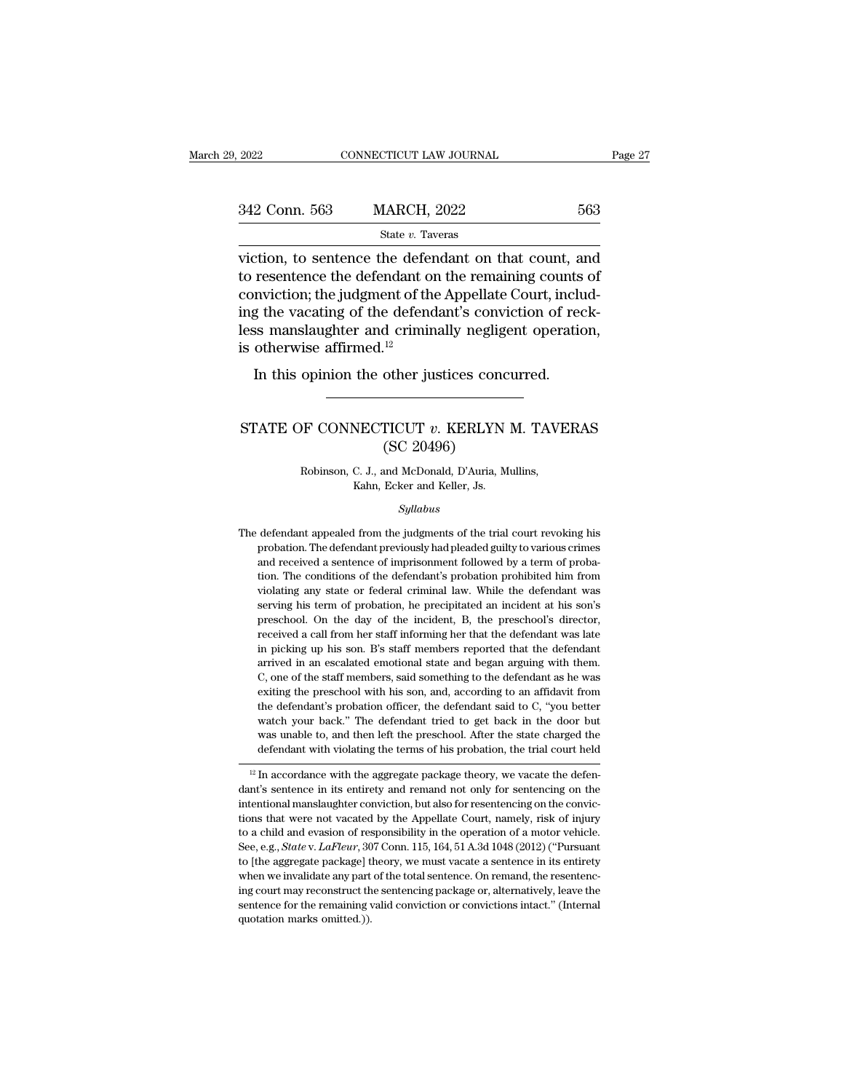| 2022          | CONNECTICUT LAW JOURNAL                                                                                                                                                                                                               | Page 27 |
|---------------|---------------------------------------------------------------------------------------------------------------------------------------------------------------------------------------------------------------------------------------|---------|
| 342 Conn. 563 | <b>MARCH, 2022</b>                                                                                                                                                                                                                    | 563     |
|               | State v. Taveras                                                                                                                                                                                                                      |         |
|               | viction, to sentence the defendant on that count, and<br>to resentence the defendant on the remaining counts of<br>conviction; the judgment of the Appellate Court, includ-<br>ing the vacating of the defendant's conviction of real |         |

342 Conn. 563 MARCH, 2022 563<br>
State  $v$ . Taveras<br>
viction, to sentence the defendant on that count, and<br>
to resentence the defendant on the remaining counts of<br>
conviction; the judgment of the Appellate Court, includ-<br>
i 342 Conn. 563 MARCH, 2022 563<br>
State v. Taveras<br>
viction, to sentence the defendant on that count, and<br>
to resentence the defendant on the remaining counts of<br>
conviction; the judgment of the Appellate Court, includ-<br>
ing SET COMM SOCTTERTS, THERVER, THERVER, THERVER, THERVER, THERVER SUCTION, AND VICTION, THE DETERMIES CONVICTION; the judgment of the Appellate Court, including the vacating of the defendant's conviction of reckless manslau  $\begin{array}{l} \text{state }v\text{.} \text{ is} \end{array}$  viction, to sentence the defendant of<br>to resentence the defendant of conviction; the judgment of the<br>ing the vacating of the defendes<br>less manslaughter and criminis otherwise affirmed.<sup>12</sup><br>I In this opinion the other justices concurred.<br>In this opinion, the judgment of the Appellate Court, include the vacating of the defendant's conviction of rectors manslaughter and criminally negligent operation of the therw Ing the vacating of the determinally negligent operation,<br>less manslaughter and criminally negligent operation,<br>is otherwise affirmed.<sup>12</sup><br>In this opinion the other justices concurred.<br>STATE OF CONNECTICUT *v*. KERLYN M. T

# <sup>12</sup><br>
other justices conc<br>
TICUT *v*. KERLYN<br>
(SC 20496)<br>
and McDonald, D'Auria, M F CONNECTICUT v. KERLYN M. TAVI<br>(SC 20496)<br>Robinson, C. J., and McDonald, D'Auria, Mullins,<br>Kahn, Ecker and Keller, Js. NECTICUT  $v$ . KERLYN<br>
(SC 20496)<br>
C. J., and McDonald, D'Auria, M<br>
Kahn, Ecker and Keller, Js.<br>
Sullabus

# *Syllabus*

Robinson, C. J., and McDonald, D'Auria, Mullins,<br>Kahn, Ecker and Keller, Js.<br>Syllabus<br>The defendant appealed from the judgments of the trial court revoking his<br>probation. The defendant previously had pleaded guilty to vari Robinson, C. J., and McDonald, D'Auria, Mullins,<br>Kahn, Ecker and Keller, Js.<br>Syllabus<br>defendant appealed from the judgments of the trial court revoking his<br>probation. The defendant previously had pleaded guilty to various Kahn, Ecker and Keller, Js.<br>
Syllabus<br>
The defendant appealed from the judgments of the trial court revoking his<br>
probation. The defendant previously had pleaded guilty to various crimes<br>
and received a sentence of impriso Syllabus<br>defendant appealed from the judgments of the trial court revoking his<br>probation. The defendant previously had pleaded guilty to various crimes<br>and received a sentence of imprisonment followed by a term of proba-<br>t sytabus<br>defendant appealed from the judgments of the trial court revoking his<br>probation. The defendant previously had pleaded guilty to various crimes<br>and received a sentence of imprisonment followed by a term of proba-<br>ti defendant appealed from the judgments of the trial court revoking his probation. The defendant previously had pleaded guilty to various crimes and received a sentence of imprisonment followed by a term of probation. The co probation. The defendant previously had pleaded guilty to various crimes<br>and received a sentence of imprisonment followed by a term of proba-<br>tion. The conditions of the defendant's probation prohibited him from<br>violating and received a sentence of imprisonment followed by a term of probation. The conditions of the defendant's probation prohibited him from violating any state or federal criminal law. While the defendant was serving his term in ton. The conditions of the defendant's probation prohibited him from violating any state or federal criminal law. While the defendant was serving his term of probation, he precipitated an incident at his son's preschool violating any state or federal criminal law. While the defendant was serving his term of probation, he precipitated an incident at his son's preschool. On the day of the incident, B, the preschool's director, received a ca Exercing his term of probation, he precipitated an incident at his son's preschool. On the day of the incident, B, the preschool's director, received a call from her staff informing her that the defendant was late in pick existing the preschool. On the day of the incident, B, the preschool's director, received a call from her staff informing her that the defendant was late in picking up his son. B's staff members reported that the defendan received a call from her staff informing her that the defendant was late<br>in picking up his son. B's staff members reported that the defendant<br>arrived in an escalated emotional state and began arguing with them.<br>C, one of t in picking up his son. B's staff members reported that the defendant arrived in an escalated emotional state and began arguing with them.<br>C, one of the staff members, said something to the defendant as he was exiting the p arrived in an escalated emotional state and began arguing with them.<br>C, one of the staff members, said something to the defendant as he was exiting the preschool with his son, and, according to an affidavit from the defen C, one of the staff members, said something to the defendant as he was exiting the preschool with his son, and, according to an affidavit from the defendant's probation officer, the defendant said to C, "you better watch Eximity the prescribed with the solid, and, according to an amidavit from<br>the defendant's probation officer, the defendant said to C, "you better<br>watch your back." The defendant tried to get back in the door but<br>was unabl the defendant is probation of oncer, the defendant said to C, you better<br>watch your back." The defendant tried to get back in the door but<br>was unable to, and then left the preschool. After the state charged the<br>defendant

watch your back. The defendant thed to get back in the door but<br>was unable to, and then left the preschool. After the state charged the<br>defendant with violating the terms of his probation, the trial court held<br> $^{12}$  In ac was unable to, and then left the prescribed. After the state charged the defendant with violating the terms of his probation, the trial court held  $\frac{12}{10}$  In accordance with the aggregate package theory, we vacate the The matrix with violating the terms of its probation, the trial court field<br> $\frac{12 \text{ In accordance with the aggregate package theory, we vacate the defendant's sentence in its entirety and removal on by for sentenceing on the international manageable contribution, but also for rescentencing on the convicions that were not vacated by the Appellate Court, namely, risk of injury to a child and evasion of responsibility in the operation of a motor vehicle. See, e.g., *State v. LaFleur*, 307 Conn. 115, 164, 51 A.3d 1048 (2012) ("Pursuant"$ <sup>12</sup> In accordance with the aggregate package theory, we vacate the defendant's sentence in its entirety and remand not only for sentencing on the intentional manslaughter conviction, but also for resentencing on the conv dumt's sentence in its entirety and remand not only for sentencing on the intertional manslaughter conviction, but also for resentencing on the convictions that were not vacated by the Appellate Court, namely, risk of inju dant's sentence in its entirety and remand not only for sentencing on the intentional manslaughter conviction, but also for resentencing on the convictions that were not vacated by the Appellate Court, namely, risk of inj tions that were not vacated by the Appellate Court, namely, risk of injury to a child and evasion of responsibility in the operation of a motor vehicle. See, e.g., *State v. LaFleur*, 307 Conn. 115, 164, 51 A.3d 1048 (201 to a child and evasion of responsibility in the operation of a motor vehicle. See, e.g., *State* v. *LaFleur*, 307 Conn. 115, 164, 51 A.3d 1048 (2012) ("Pursuant to [the aggregate package] theory, we must vacate a sentenc See, e.g., State v. LaFleur, 307 Conn. 115, 164, 51 A.3d 1048 (2012) ("Pursuant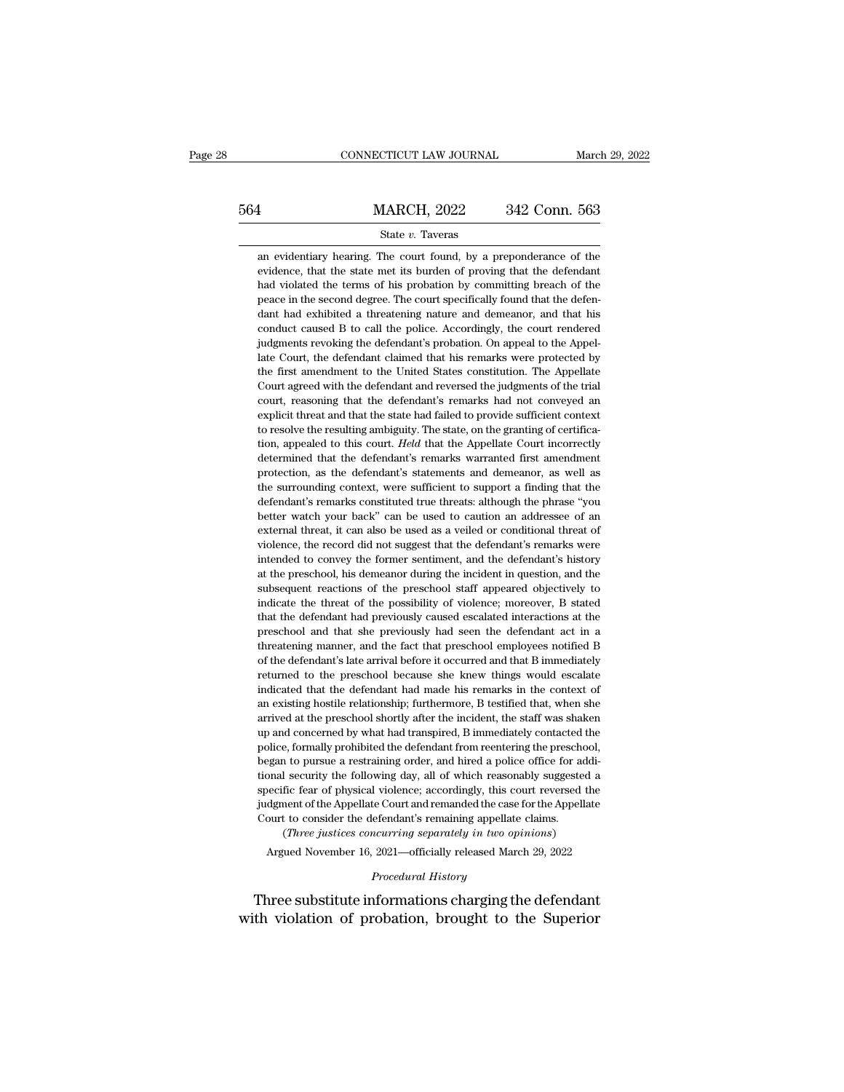# EXECUTE CONNECTICUT LAW JOURNAL March 29, 2022<br>
564 MARCH, 2022 342 Conn. 563<br>
State v. Taveras State *v.* Taveras MARCH, 2022 342 Conn. 563<br>
State v. Taveras<br>
an evidentiary hearing. The court found, by a preponderance of the<br>
evidence, that the state met its burden of proving that the defendant

**EVALUATE MARCH, 2022** 342 Conn. 563<br>
State v. Taveras<br>
an evidentiary hearing. The court found, by a preponderance of the<br>
evidence, that the state met its burden of proving that the defendant<br>
had violated the terms of MARCH, 2022 342 Conn. 563<br>
State v. Taveras<br>
an evidentiary hearing. The court found, by a preponderance of the<br>
evidence, that the state met its burden of proving that the defendant<br>
had violated the terms of his probatio an evidentiary hearing. The court found, by a preponderance of the evidence, that the state met its burden of proving that the defendant had violated the terms of his probation by committing breach of the peace in the seco State  $v$ . Taveras<br>an evidentiary hearing. The court found, by a preponderance of the<br>evidence, that the state met its burden of proving that the defendant<br>had violated the terms of his probation by committing breach of t an evidentiary hearing. The court found, by a preponderance of the evidence, that the state met its burden of proving that the defendant had violated the terms of his probation by committing breach of the peace in the seco evidence, that the state met its burden of proving that the defendant<br>had violated the terms of his probation by committing breach of the<br>peace in the second degree. The court specifically found that the defen-<br>dant had ex between the defendant of the defendant of the defendant had violated the terms of his probation by committing breach of the peace in the second degree. The court specifically found that the defendant had exhibited a threat The first amendment of the Second degree. The court specifically found that the defendant had exhibited a threatening nature and demeanor, and that his conduct caused B to call the police. Accordingly, the court rendered j dant had exhibited a threatening nature and demeanor, and that his conduct caused B to call the police. Accordingly, the court rendered judgments revoking the defendant's probation. On appeal to the Appellate Court, the de conduct caused B to call the police. Accordingly, the court rendered judgments revoking the defendant's probation. On appeal to the Appellate Court, the defendant claimed that his remarks were protected by the first amendm budgments revoking the defendant's probation. On appeal to the Appellate Court, the defendant claimed that his remarks were protected by the first amendment to the United States constitution. The Appellate Court agreed wit late Court, the defendant claimed that his remarks were protected by<br>the first amendment to the United States constitution. The Appellate<br>Court agreed with the defendant and reversed the judgments of the trial<br>court, reas the first amendment to the United States constitution. The Appellate Court agreed with the defendant and reversed the judgments of the trial court, reasoning that the defendant's remarks had not conveyed an explicit threat Court agreed with the defendant and reversed the judgments of the trial court, reasoning that the defendant's remarks had not conveyed an explicit threat and that the state had failed to provide sufficient context to resol court, reasoning that the defendant's remarks had not conveyed an explicit threat and that the state had failed to provide sufficient context to resolve the resulting ambiguity. The state, on the granting of certification, explicit threat and that the state had failed to provide sufficient context<br>to resolve the resulting ambiguity. The state, on the granting of certifica-<br>tion, appealed to this court. *Held* that the Appellate Court incorre defined the resulting ambiguity. The state, on the granting of certification, appealed to this court. *Held* that the Appellate Court incorrectly determined that the defendant's remarks warranted first amendment protection between two appealed to this court. *Held* that the Appellate Court incorrectly determined that the defendant's remarks warranted first amendment protection, as the defendant's statements and demeanor, as well as the surr protection, as the defendant's statements and demeanor, as well as<br>the surrounding context, were sufficient to support a finding that the<br>defendant's remarks constituted true threats: although the phrase "you<br>better watch protection, as the defendant's statements and demeanor, as well as<br>the surrounding context, were sufficient to support a finding that the<br>defendant's remarks constituted true threats: although the phrase "you<br>better watch Free surrounding context, were sufficient to support a finding that the defendant's remarks constituted true threats: although the phrase "you better watch your back" can be used to caution an addressee of an external thre defendant's remarks constituted true threats: although the phrase "you<br>deter watch your back" can be used to caution an addressee of an<br>external threat, it can also be used as a veiled or conditional threat of<br>violence, th better watch your back" can be used to caution an addressee of an external threat, it can also be used as a veiled or conditional threat of violence, the record did not suggest that the defendant's remarks were intended to external threat, it can also be used as a veiled or conditional threat of violence, the record did not suggest that the defendant's remarks were intended to convey the former sentiment, and the defendant's history at the p violence, the record did not suggest that the defendant's remarks were intended to convey the former sentiment, and the defendant's history at the preschool, his demeanor during the incident in question, and the subsequent intended to convey the former sentiment, and the defendant's history<br>at the preschool, his demeanor during the incident in question, and the<br>subsequent reactions of the preschool staff appeared objectively to<br>indicate the at the preschool, his demeanor during the incident in question, and the subsequent reactions of the preschool staff appeared objectively to indicate the threat of the possibility of violence; moreover, B stated that the de subsequent reactions of the preschool staff appeared objectively to indicate the threat of the possibility of violence; moreover, B stated that the defendant had previously caused escalated interactions at the preschool an indicate the threat of the possibility of violence; moreover, B stated that the defendant had previously caused escalated interactions at the preschool and that she previously had seen the defendant act in a threatening ma in that the defendant had previously caused escalated interactions at the preschool and that she previously caused escalated interactions at the preschool and that she previously had seen the defendant act in a threatening and persechool and that she previously had seen the defendant act in a threatening manner, and the fact that preschool employees notified B of the defendant's late arrival before it occurred and that B immediately returned Freatening manner, and the fact that preschool employees notified B of the defendant's late arrival before it occurred and that B immediately returned to the preschool because she knew things would escalate indicated that and the defendant's late arrival before it occurred and that B immediately returned to the preschool because she knew things would escalate indicated that the defendant had made his remarks in the context of an existing ho preturned to the preschool because she knew things would escalate indicated that the defendant had made his remarks in the context of an existing hostile relationship; furthermore, B testified that, when she arrived at the returned to the preschool because she knew things would escalate indicated that the defendant had made his remarks in the context of an existing hostile relationship; furthermore, B testified that, when she arrived at the an existing hostile relationship; furthermore, B testified that, when she<br>arrived at the preschool shortly after the incident, the staff was shaken<br>up and concerned by what had transpired, B immediately contacted the<br>polic arrived at the preschool shortly after the incident, the staff was shaken up and concerned by what had transpired, B immediately contacted the police, formally prohibited the defendant from reentering the preschool, began up and concerned by what had transpired, B immediately contacted the police, formally prohibited the defendant from reentering the preschool, began to pursue a restraining order, and hired a police office for additional se The discussion of the defendant from reentering the preschiestan to pursue a restraining order, and hired a police office for a tional security the following day, all of which reasonably suggests specific fear of physical (*Three justices concurring separately in two opinions*) and by provided a security the following day, all of which reasonably suggested fic fear of physical violence; accordingly, this court reversed the nent of the Appel In a security the following day, all of which reasonably suggested a secific fear of physical violence; accordingly, this court reversed the dgment of the Appellate Court and remanded the case for the Appellate ourt to con judgment of the Appellate Court and remanded the case for the Appellate<br>Court to consider the defendant's remaining appellate claims.<br>(*Three justices concurring separately in two opinions*)<br>Argued November 16, 2021—offici specific fear of physical violence; accordingly, this court reversed the<br>judgment of the Appellate Court and remanded the case for the Appellate<br>Court to consider the defendant's remaining appellate claims.<br>(*Three justice* 

Judgment of the Appellate Court and remanded the case for the Appellate<br>Court to consider the defendant's remaining appellate claims.<br>(*Three justices concurring separately in two opinions*)<br>Argued November 16, 2021—offici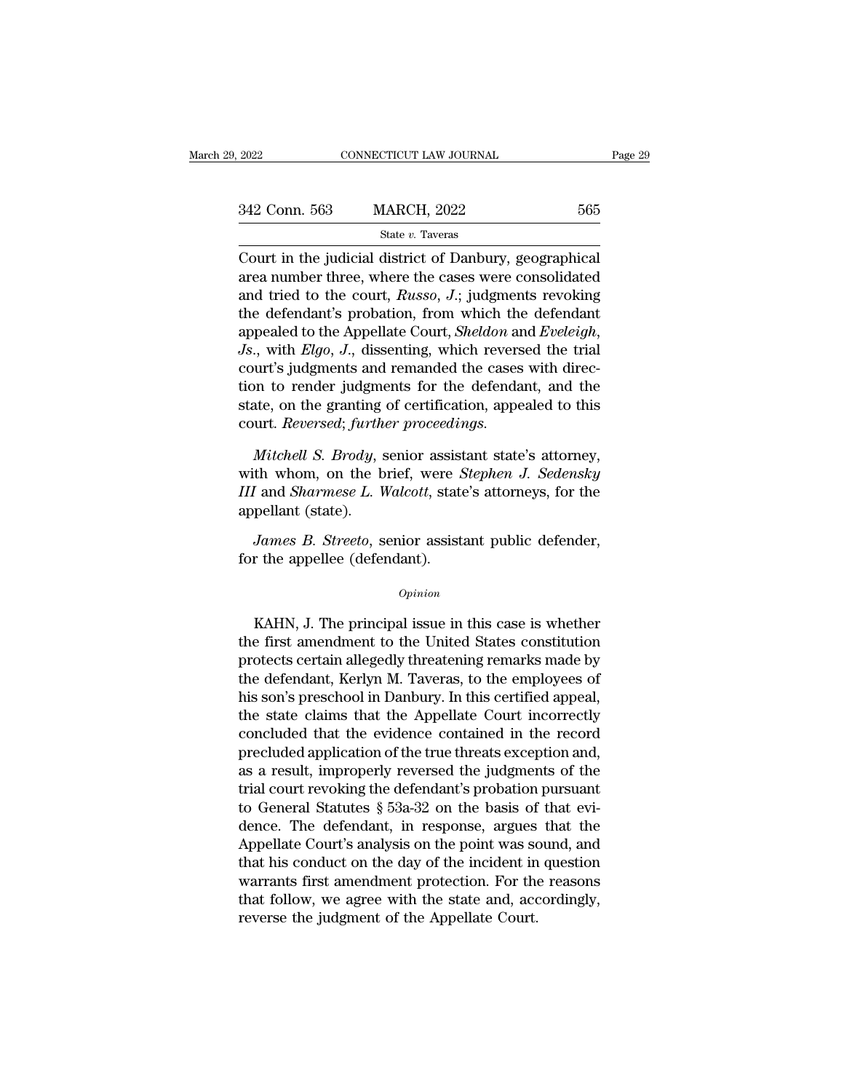| 1. 2022       | CONNECTICUT LAW JOURNAL                                                                                                                                                  | Page 29 |
|---------------|--------------------------------------------------------------------------------------------------------------------------------------------------------------------------|---------|
|               |                                                                                                                                                                          |         |
| 342 Conn. 563 | <b>MARCH, 2022</b>                                                                                                                                                       | 565     |
|               | State v. Taveras                                                                                                                                                         |         |
|               | Court in the judicial district of Danbury, geographical<br>area number three, where the cases were consolidated<br>and triad to the court. Dugge, L. judgments revelting |         |

 $\frac{\text{342 Conn. 563}}{\text{State } v. \text{ Tavers}}$   $\frac{\text{State } v. \text{ Tavers}}{\text{Count in the judicial district of Danbury, geographical area number three, where the cases were consolidated and tried to the court, *Russo, J.*; judgments revolving the defendant's problem from which the defendant.$ 342 Conn. 563 MARCH, 2022 565<br>
State v. Taveras<br>
Court in the judicial district of Danbury, geographical<br>
area number three, where the cases were consolidated<br>
and tried to the court, *Russo*, *J*.; judgments revoking<br>
th 342 Conn. 563 MARCH, 2022 565<br>
State v. Taveras<br>
Court in the judicial district of Danbury, geographical<br>
area number three, where the cases were consolidated<br>
and tried to the court, *Russo*, *J*.; judgments revoking<br>
th State v. Taveras<br>
Court in the judicial district of Danbury, geographical<br>
area number three, where the cases were consolidated<br>
and tried to the court, *Russo*, *J*.; judgments revoking<br>
the defendant's probation, from wh Court in the judicial district of Danbury, geographical<br>area number three, where the cases were consolidated<br>and tried to the court, *Russo*, *J*.; judgments revoking<br>the defendant's probation, from which the defendant<br>ap area number three, where the cases were consolidated<br>and tried to the court, *Russo*, *J*.; judgments revoking<br>the defendant's probation, from which the defendant<br>appealed to the Appellate Court, *Sheldon* and *Eveleigh*,<br> and tried to the court, *Russo*, *J*.; judgments revoking<br>the defendant's probation, from which the defendant<br>appealed to the Appellate Court, *Sheldon* and *Eveleigh*,<br>*Js.*, with *Elgo*, *J.*, dissenting, which reversed the defendant's probation, from which the<br>appealed to the Appellate Court, *Sheldon* an<br>Js., with *Elgo*, J., dissenting, which revers<br>court's judgments and remanded the cases<br>tion to render judgments for the defenda<br>state *Mitchell S. J.*, dissenting, which reversed the trial urt's judgments and remanded the cases with direction to render judgments for the defendant, and the atte, on the granting of certification, appealed to this urt. *Rev* court's judgments and remanded the cases with direction to render judgments for the defendant, and the state, on the granting of certification, appealed to this court. *Reversed*; *further proceedings.*<br>*Mitchell S. Brody* 

*IIII* and the state, on the granting of certification, appealed to this court. *Reversed*; *further proceedings.*<br>*Mitchell S. Brody*, senior assistant state's attorney, with whom, on the brief, were *Stephen J. Sedensky* state, on the granting<br>court. *Reversed*; furth<br>*Mitchell S. Brody*, s<br>with whom, on the b<br>*III* and *Sharmese L. V*<br>appellant (state).<br>*James B. Streeto*, s *James B. Brody*, senior assistant state's attorney,<br>*James B. Brody*, senior assistant state's attorney,<br>*James B. Streeto*, senior assistant public defender,<br>*James B. Streeto*, senior assistant public defender,<br>r the ap Mitchell S. Brody, senior assist<br>with whom, on the brief, were S<br>III and Sharmese L. Walcott, state<br>appellant (state).<br>James B. Streeto, senior assist:<br>for the appellee (defendant).

## *Opinion*

pellant (state).<br>
James B. Streeto, senior assistant public defender,<br>
r the appellee (defendant).<br>  $\begin{array}{c}opinion\end{array}$ <br>
KAHN, J. The principal issue in this case is whether<br>
e first amendment to the United States constitutio James B. Streeto, senior assistant public defender,<br>for the appellee (defendant).<br> $opinion$ <br>KAHN, J. The principal issue in this case is whether<br>the first amendment to the United States constitution<br>protects certain allegedly t for the appellee (defendant).<br>  $\omega_{pinion}$ <br>
KAHN, J. The principal issue in this case is whether<br>
the first amendment to the United States constitution<br>
protects certain allegedly threatening remarks made by<br>
the defendant, opinion<br>
Opinion<br>
KAHN, J. The principal issue in this case is whether<br>
the first amendment to the United States constitution<br>
protects certain allegedly threatening remarks made by<br>
the defendant, Kerlyn M. Taveras, to th opinion<br>KAHN, J. The principal issue in this case is whether<br>the first amendment to the United States constitution<br>protects certain allegedly threatening remarks made by<br>the defendant, Kerlyn M. Taveras, to the employees o KAHN, J. The principal issue in this case is whether<br>the first amendment to the United States constitution<br>protects certain allegedly threatening remarks made by<br>the defendant, Kerlyn M. Taveras, to the employees of<br>his so KAHN, J. The principal issue in this case is whether<br>the first amendment to the United States constitution<br>protects certain allegedly threatening remarks made by<br>the defendant, Kerlyn M. Taveras, to the employees of<br>his so the first amendment to the United States constitution<br>protects certain allegedly threatening remarks made by<br>the defendant, Kerlyn M. Taveras, to the employees of<br>his son's preschool in Danbury. In this certified appeal,<br>t protects certain allegedly threatening remarks made by<br>the defendant, Kerlyn M. Taveras, to the employees of<br>his son's preschool in Danbury. In this certified appeal,<br>the state claims that the Appellate Court incorrectly<br>c the defendant, Kerlyn M. Taveras, to the employees of<br>his son's preschool in Danbury. In this certified appeal,<br>the state claims that the Appellate Court incorrectly<br>concluded that the evidence contained in the record<br>prec his son's preschool in Danbury. In this certified appeal,<br>the state claims that the Appellate Court incorrectly<br>concluded that the evidence contained in the record<br>precluded application of the true threats exception and,<br>a the state claims that the Appellate Court incorrectly<br>concluded that the evidence contained in the record<br>precluded application of the true threats exception and,<br>as a result, improperly reversed the judgments of the<br>trial concluded that the evidence contained in the record<br>precluded application of the true threats exception and,<br>as a result, improperly reversed the judgments of the<br>trial court revoking the defendant's probation pursuant<br>to precluded application of the true threats exception and,<br>as a result, improperly reversed the judgments of the<br>trial court revoking the defendant's probation pursuant<br>to General Statutes § 53a-32 on the basis of that evi-<br> as a result, improperly reversed the judgments of the<br>trial court revoking the defendant's probation pursuant<br>to General Statutes § 53a-32 on the basis of that evi-<br>dence. The defendant, in response, argues that the<br>Appell trial court revoking the defendant's probation pursuant<br>to General Statutes § 53a-32 on the basis of that evi-<br>dence. The defendant, in response, argues that the<br>Appellate Court's analysis on the point was sound, and<br>that to General Statutes § 53a-32 on the basis of<br>dence. The defendant, in response, argues<br>Appellate Court's analysis on the point was so<br>that his conduct on the day of the incident in<br>warrants first amendment protection. For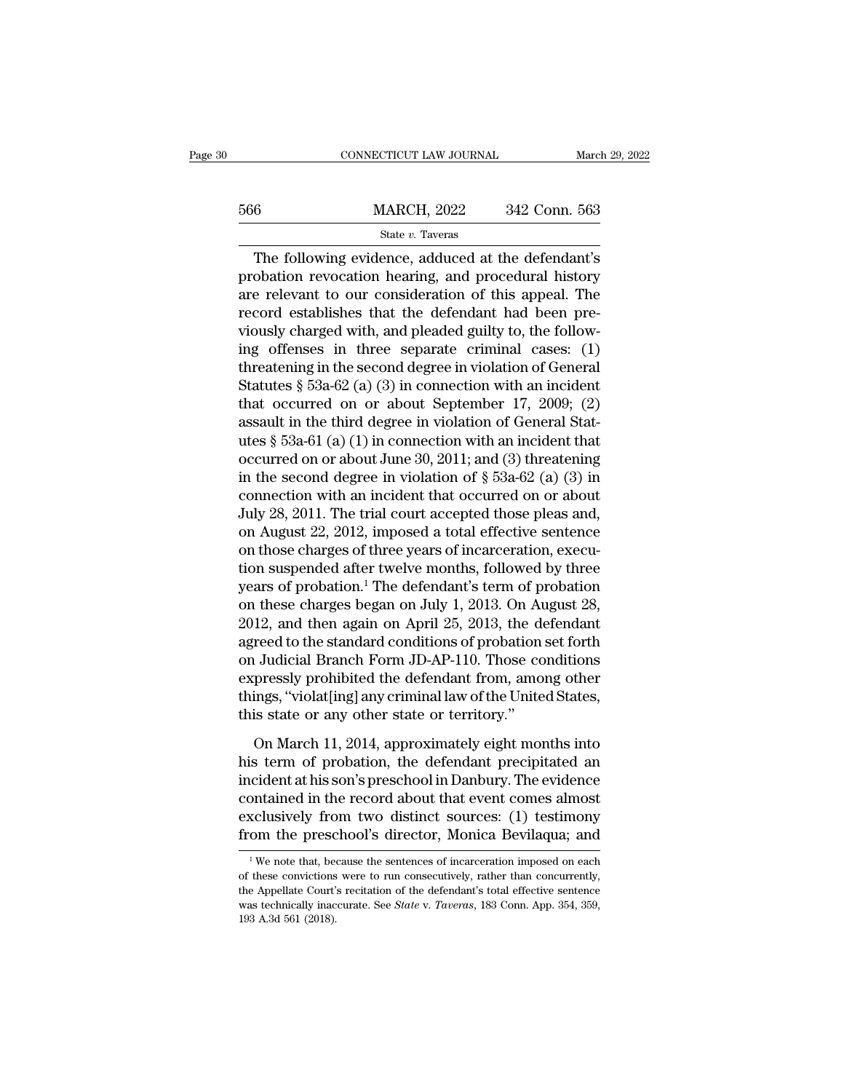|     | CONNECTICUT LAW JOURNAL                                                                                                                                             | March 29, 2022 |
|-----|---------------------------------------------------------------------------------------------------------------------------------------------------------------------|----------------|
|     |                                                                                                                                                                     |                |
| 566 | <b>MARCH, 2022</b>                                                                                                                                                  | 342 Conn. 563  |
|     | State v. Taveras                                                                                                                                                    |                |
|     | The following evidence, adduced at the defendant's<br>probation revocation hearing, and procedural history<br>are relatent to our consideration of this appeal. The |                |

MARCH, 2022 342 Conn. 563<br>
State v. Taveras<br>
The following evidence, adduced at the defendant's<br>
probation revocation hearing, and procedural history<br>
are relevant to our consideration of this appeal. The<br>
record ostablish  $\frac{\text{MARCH, 2022}}{\text{State } v. \text{ Tavers}}$ <br>The following evidence, adduced at the defendant's<br>probation revocation hearing, and procedural history<br>are relevant to our consideration of this appeal. The<br>record establishes that the defen  $\frac{\text{MARCH}}{\text{State } v. \text{ Tavers}}$ <br>The following evidence, adduced at the defendant's<br>probation revocation hearing, and procedural history<br>are relevant to our consideration of this appeal. The<br>record establishes that the defendant h State v. Taveras<br>
The following evidence, adduced at the defendant's<br>
probation revocation hearing, and procedural history<br>
are relevant to our consideration of this appeal. The<br>
record establishes that the defendant had State v. Taveras<br>
The following evidence, adduced at the defendant's<br>
probation revocation hearing, and procedural history<br>
are relevant to our consideration of this appeal. The<br>
record establishes that the defendant had The following evidence, adduced at the defendant's<br>probation revocation hearing, and procedural history<br>are relevant to our consideration of this appeal. The<br>record establishes that the defendant had been pre-<br>viously cha probation revocation hearing, and procedural history<br>are relevant to our consideration of this appeal. The<br>record establishes that the defendant had been pre-<br>viously charged with, and pleaded guilty to, the follow-<br>ing of are relevant to our consideration of this appeal. The<br>record establishes that the defendant had been pre-<br>viously charged with, and pleaded guilty to, the follow-<br>ing offenses in three separate criminal cases: (1)<br>threate record establishes that the defendant had been pre-<br>viously charged with, and pleaded guilty to, the follow-<br>ing offenses in three separate criminal cases: (1)<br>threatening in the second degree in violation of General<br>Stat viously charged with, and pleaded guilty to, the following offenses in three separate criminal cases: (1) threatening in the second degree in violation of General Statutes § 53a-62 (a) (3) in connection with an incident t ing offenses in three separate criminal cases: (1)<br>threatening in the second degree in violation of General<br>Statutes § 53a-62 (a) (3) in connection with an incident<br>that occurred on or about September 17, 2009; (2)<br>assaul threatening in the second degree in violation of General<br>Statutes § 53a-62 (a) (3) in connection with an incident<br>that occurred on or about September 17, 2009; (2)<br>assault in the third degree in violation of General Stat-Statutes § 53a-62 (a) (3) in connection with an incident<br>that occurred on or about September 17, 2009; (2)<br>assault in the third degree in violation of General Stat-<br>utes § 53a-61 (a) (1) in connection with an incident tha that occurred on or about September 17, 2009; (2)<br>assault in the third degree in violation of General Stat-<br>utes § 53a-61 (a) (1) in connection with an incident that<br>occurred on or about June 30, 2011; and (3) threatening assault in the third degree in violation of General Stat-<br>utes § 53a-61 (a) (1) in connection with an incident that<br>occurred on or about June 30, 2011; and (3) threatening<br>in the second degree in violation of § 53a-62 (a) utes § 53a-61 (a) (1) in connection with an incident that<br>occurred on or about June 30, 2011; and (3) threatening<br>in the second degree in violation of § 53a-62 (a) (3) in<br>connection with an incident that occurred on or abo occurred on or about June 30, 2011; and (3) threatening<br>in the second degree in violation of § 53a-62 (a) (3) in<br>connection with an incident that occurred on or about<br>July 28, 2011. The trial court accepted those pleas an in the second degree in violation of § 53a-62 (a) (3) in<br>connection with an incident that occurred on or about<br>July 28, 2011. The trial court accepted those pleas and,<br>on August 22, 2012, imposed a total effective sentenc connection with an incident that occurred on or about<br>July 28, 2011. The trial court accepted those pleas and,<br>on August 22, 2012, imposed a total effective sentence<br>on those charges of three years of incarceration, execu-July 28, 2011. The trial court accepted those pleas and,<br>on August 22, 2012, imposed a total effective sentence<br>on those charges of three years of incarceration, execu-<br>tion suspended after twelve months, followed by three on August 22, 2012, imposed a total effective sentence<br>on those charges of three years of incarceration, execu-<br>tion suspended after twelve months, followed by three<br>years of probation.<sup>1</sup> The defendant's term of probation on those charges of three years of incarceration, execution suspended after twelve months, followed by three<br>years of probation.<sup>1</sup> The defendant's term of probation<br>on these charges began on July 1, 2013. On August 28,<br>20 tion suspended after twelve months, followed by three<br>years of probation.<sup>1</sup> The defendant's term of probation<br>on these charges began on July 1, 2013. On August 28,<br>2012, and then again on April 25, 2013, the defendant<br>agr years of probation.<sup>1</sup> The defendant's term of probation<br>on these charges began on July 1, 2013. On August 28,<br>2012, and then again on April 25, 2013, the defendant<br>agreed to the standard conditions of probation set forth<br> on these charges began on July 1, 2013. On At<br>2012, and then again on April 25, 2013, the de<br>agreed to the standard conditions of probation<br>on Judicial Branch Form JD-AP-110. Those co<br>expressly prohibited the defendant fro reed to the standard conditions of probation set forth<br>
I Judicial Branch Form JD-AP-110. Those conditions<br>
pressly prohibited the defendant from, among other<br>
ings, "violat[ing] any criminal law of the United States,<br>
is on Judicial Branch Form JD-AP-110. Those conditions<br>expressly prohibited the defendant from, among other<br>things, "violat[ing] any criminal law of the United States,<br>this state or any other state or territory."<br>On March 11,

expressly prohibited the defendant from, among other<br>things, "violat[ing] any criminal law of the United States,<br>this state or any other state or territory."<br>On March 11, 2014, approximately eight months into<br>his term of p things, "violat[ing] any criminal law of the United States,<br>this state or any other state or territory."<br>On March 11, 2014, approximately eight months into<br>his term of probation, the defendant precipitated an<br>incident at h this state or any other state or territory."<br>On March 11, 2014, approximately eight months into<br>his term of probation, the defendant precipitated an<br>incident at his son's preschool in Danbury. The evidence<br>contained in the On March 11, 2014, approximately eight months into<br>his term of probation, the defendant precipitated an<br>incident at his son's preschool in Danbury. The evidence<br>contained in the record about that event comes almost<br>exclus cident at his son s preschool in Danbury. The evidence<br>
ontained in the record about that event comes almost<br>
sclusively from two distinct sources: (1) testimony<br>
om the preschool's director, Monica Bevilaqua; and<br>
<sup>1</sup>We n contained in the record about that event comes almost exclusively from two distinct sources: (1) testimony from the preschool's director, Monica Bevilaqua; and  $\frac{1}{1}$  We note that, because the sentences of incarceratio

exclusively from two distinct sources: (1) testimony<br>from the preschool's director, Monica Bevilaqua; and<br> $\frac{1}{1}$ We note that, because the sentences of incarceration imposed on each<br>of these convictions were to run cons from the preschool's director, Monica Bevilaqua; and<br><sup>1</sup>We note that, because the sentences of incarceration imposed on each<br>of these convictions were to run consecutively, rather than concurrently,<br>the Appellate Court's r THE THE PLESS<br>  $\frac{1}{1}$  We note that, bear only the Appellate Court'<br>
in Mess technically inactions<br>
193 A.3d 561 (2018).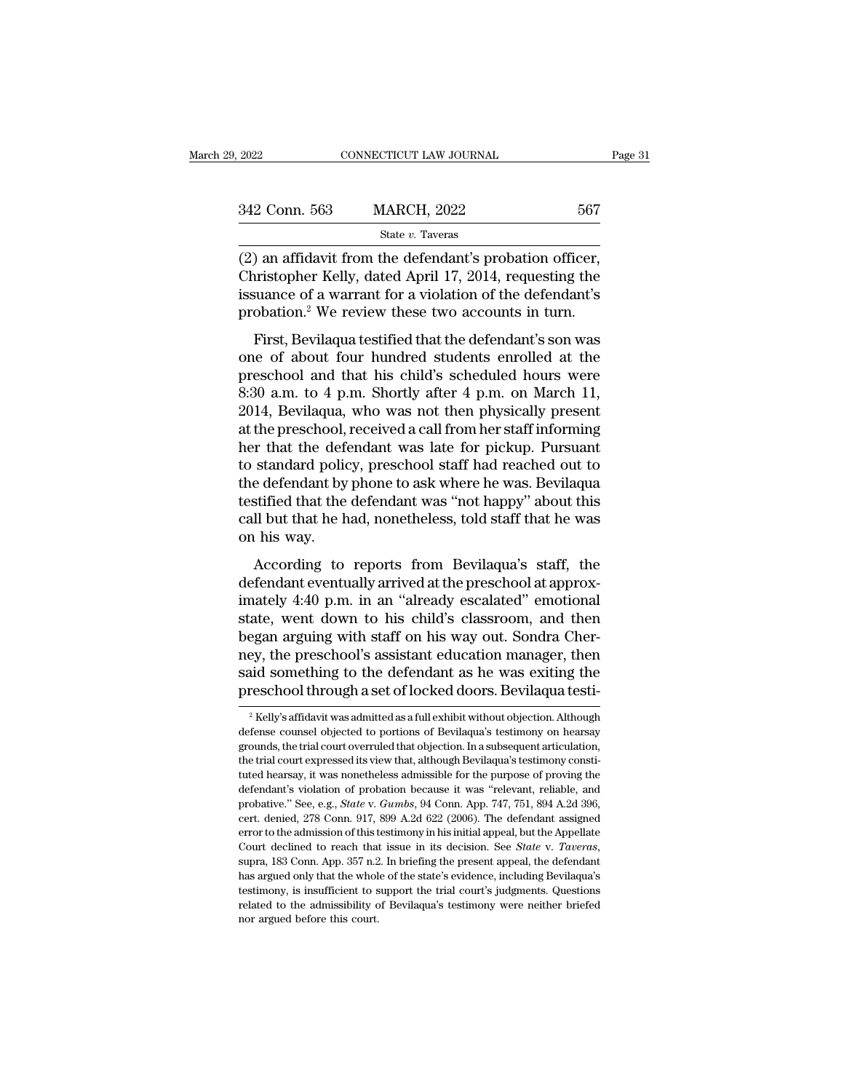| 9, 2022       | CONNECTICUT LAW JOURNAL | Page 31 |  |
|---------------|-------------------------|---------|--|
| 342 Conn. 563 | <b>MARCH, 2022</b>      | 567     |  |
|               | State v. Taveras        |         |  |

(2022 CONNECTICUT LAW JOURNAL Page<br>
342 Conn. 563 MARCH, 2022 567<br>
State v. Taveras<br>
(2) an affidavit from the defendant's probation officer,<br>
Christopher Kelly, dated April 17, 2014, requesting the<br>
issuance of a warrant 342 Conn. 563 MARCH, 2022 567<br>
State v. Taveras<br>
(2) an affidavit from the defendant's probation officer,<br>
Christopher Kelly, dated April 17, 2014, requesting the<br>
issuance of a warrant for a violation of the defendant's<br> 342 Conn. 563 MARCH, 2022 567<br>
State v. Taveras<br>
(2) an affidavit from the defendant's probation officer,<br>
Christopher Kelly, dated April 17, 2014, requesting the issuance of a warrant for a violation of the defendant's<br> 342 Conn. 563 MARCH, 2022 567<br>
State v. Taveras<br>
(2) an affidavit from the defendant's probation officer,<br>
Christopher Kelly, dated April 17, 2014, requesting the<br>
issuance of a warrant for a violation of the defendant's<br> State v. Taveras<br>
) an affidavit from the defendant's probation officer,<br>
uristopher Kelly, dated April 17, 2014, requesting the<br>
suance of a warrant for a violation of the defendant's<br>
obation.<sup>2</sup> We review these two acc (2) an affidavit from the defendant's probation officer,<br>Christopher Kelly, dated April 17, 2014, requesting the<br>issuance of a warrant for a violation of the defendant's<br>probation.<sup>2</sup> We review these two accounts in turn.

(2) an amdavit from the detendant's probation officer,<br>Christopher Kelly, dated April 17, 2014, requesting the<br>issuance of a warrant for a violation of the defendant's<br>probation.<sup>2</sup> We review these two accounts in turn.<br>F Equesting the defendant's<br>
issuance of a warrant for a violation of the defendant's<br>
probation.<sup>2</sup> We review these two accounts in turn.<br>
First, Bevilaqua testified that the defendant's son was<br>
one of about four hundred s issuance of a warrant for a violation of the defendant's<br>probation.<sup>2</sup> We review these two accounts in turn.<br>First, Bevilaqua testified that the defendant's son was<br>one of about four hundred students enrolled at the<br>presch First, Bevilaqua testified that the defendant's son was<br>one of about four hundred students enrolled at the<br>preschool and that his child's scheduled hours were<br>8:30 a.m. to 4 p.m. Shortly after 4 p.m. on March 11,<br>2014, Bev First, Bevilaqua testified that the defendant's son was<br>one of about four hundred students enrolled at the<br>preschool and that his child's scheduled hours were<br>8:30 a.m. to 4 p.m. Shortly after 4 p.m. on March 11,<br>2014, Bev one of about four hundred students enrolled at the<br>preschool and that his child's scheduled hours were<br>8:30 a.m. to 4 p.m. Shortly after 4 p.m. on March 11,<br>2014, Bevilaqua, who was not then physically present<br>at the presc preschool and that his child's scheduled hours were<br>8:30 a.m. to 4 p.m. Shortly after 4 p.m. on March 11,<br>2014, Bevilaqua, who was not then physically present<br>at the preschool, received a call from her staff informing<br>her 8:30 a.m. to 4 p.m. Shortly after 4 p.m. on March 11,<br>2014, Bevilaqua, who was not then physically present<br>at the preschool, received a call from her staff informing<br>her that the defendant was late for pickup. Pursuant<br>to 2014, Bevilaqua, who was not then physically present<br>at the preschool, received a call from her staff informing<br>her that the defendant was late for pickup. Pursuant<br>to standard policy, preschool staff had reached out to<br>th at the preschool,<br>her that the defe<br>to standard polic<br>the defendant by<br>testified that the<br>call but that he h<br>on his way.<br>According to Final divergent was fact for pickup. Fursuant standard policy, preschool staff had reached out to edefendant by phone to ask where he was. Bevilaqua stified that the defendant was "not happy" about this ll but that he had defendant by phone to ask where he was. Bevilaqua<br>testified that the defendant was "not happy" about this<br>call but that he had, nonetheless, told staff that he was<br>on his way.<br>According to reports from Bevilaqua's staff, t

imate detendant by phone to ask where he was. Bevilagua<br>testified that the defendant was "not happy" about this<br>call but that he had, nonetheless, told staff that he was<br>on his way.<br>According to reports from Bevilagua's st call but that he had, nonetheless, told staff that he was<br>on his way.<br>According to reports from Bevilaqua's staff, the<br>defendant eventually arrived at the preschool at approx-<br>imately 4:40 p.m. in an "already escalated" em ean but that he had, honcencess, told start that he was<br>on his way.<br>According to reports from Bevilaqua's staff, the<br>defendant eventually arrived at the preschool at approx-<br>imately 4:40 p.m. in an "already escalated" emot on his way.<br>
According to reports from Bevilaqua's staff, the<br>
defendant eventually arrived at the preschool at approx-<br>
imately 4:40 p.m. in an "already escalated" emotional<br>
state, went down to his child's classroom, and According to reports from Bevilaqua's staff, the<br>defendant eventually arrived at the preschool at approx-<br>imately 4:40 p.m. in an "already escalated" emotional<br>state, went down to his child's classroom, and then<br>began argu defendant eventually arrived at the preschool at approx-<br>imately 4:40 p.m. in an "already escalated" emotional<br>state, went down to his child's classroom, and then<br>began arguing with staff on his way out. Sondra Cher-<br>ney, egan arguing with staff on his way out. Sondra Cher-<br>ey, the preschool's assistant education manager, then<br>id something to the defendant as he was exiting the<br>reschool through a set of locked doors. Bevilaqua testi-<br><sup>2</sup> Ke ney, the preschool's assistant education manager, then<br>said something to the defendant as he was exiting the<br>preschool through a set of locked doors. Bevilaqua testi-<br><sup>2</sup> Kelly's affidavit was admitted as a full exhibit wi

said something to the defendant as he was exiting the preschool through a set of locked doors. Bevilaqua testi-<br><sup>2</sup> Kelly's affidavit was admitted as a full exhibit without objection. Although defense counsel objected to preschool through a set of locked doors. Bevilaqua testi-<br>
<sup>2</sup> Kelly's affidavit was admitted as a full exhibit without objection. Although defense counsel objected to portions of Bevilaqua's testimony on hearsay grounds, The SCHOOI LITOUGHT A SET OF JOCKEU LIOOTS. DEVITAL LESLI-<br>
<sup>2</sup> Kelly's affidavit was admitted as a full exhibit without objection. Although<br>
defense counsel objected to portions of Bevilaqua's testimony on hearsay<br>
ground <sup>2</sup> Kelly's affidavit was admitted as a full exhibit without objection. Although defense counsel objected to portions of Bevilaqua's testimony on hearsay grounds, the trial court overruled that objection. In a subsequent tuted hearsay, it was nonetheless admissible for the purpose of proving the defendant's violation of probation because it was "relevant, reliable, and probative." See, e.g., *State* v. *Gumbs*, 94 Conn. App. 747, 751, 894 grounds, the trial court overruled that objection. In a subsequent articulation, the trial court expressed its view that, although Bevilaqua's testimony constituted hearsay, it was nonetheless admissible for the purpose of the trial court expressed its view that, although Bevilaqua's testimony constituted hearsay, it was nonetheless admissible for the purpose of proving the defendant's violation of probation because it was "relevant, reliab tuted hearsay, it was nonetheless admissible for the purpose of proving the defendant's violation of probation because it was "relevant, reliable, and probative." See, e.g., *State* v. *Gumbs*, 94 Conn. App. 747, 751, 894 probative." See, e.g., *State* v. *Gumbs*, 94 Conn. App. 747, 751, 894 A.2d 396, cert. denied, 278 Conn. 917, 899 A.2d 622 (2006). The defendant assigned error to the admission of this testimony in his initial appeal, but cert. denied, 278 Conn. 917, 899 A.2d 622 (2006). The defendant assigned error to the admission of this testimony in his initial appeal, but the Appellate Court declined to reach that issue in its decision. See *State* v. error to the admission of this testimony in his initial appeal, but the Appellate Court declined to reach that issue in its decision. See *State v. Taveras*, supra, 183 Conn. App. 357 n.2. In briefing the present appeal, t supra, 183 Conn. App. 357 n.2. In briefing the present appeal, the defendant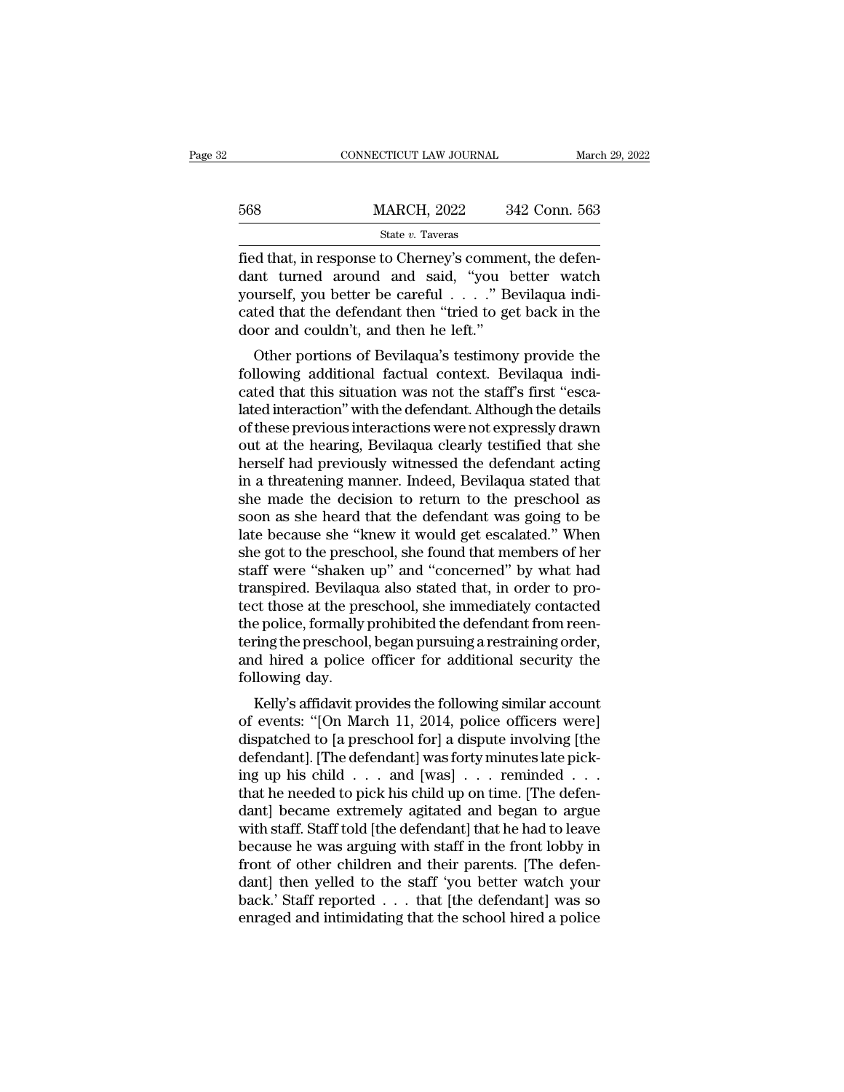|     | CONNECTICUT LAW JOURNAL | March 29, 2022 |
|-----|-------------------------|----------------|
|     |                         |                |
| 568 | <b>MARCH, 2022</b>      | 342 Conn. 563  |
|     | State v. Taveras        |                |

 $\frac{\text{MARCH, 2022}}{\text{State } v. \text{ Tavers}}$ <br>  $\frac{\text{State } v. \text{ Tavers}}{\text{field that, in response to Cherney's comment, the defen-  
dant turned around and said, "you better watch  
yourself, you better be careful . . . . " Bevilagua indi-  
cated that the defendent then "tried to get back in the$  $\frac{\text{MARCH}}{\text{State } v. \text{ Tavers}}$ <br>
State  $v. \text{ Tavers}}$ <br>
Fied that, in response to Cherney's comment, the defendant turned around and said, "you better watch yourself, you better be careful . . . ." Bevilaqua indicated that the defenda 568 MARCH, 2022 342 Conn. 563<br>
State v. Taveras<br>
fied that, in response to Cherney's comment, the defendant turned around and said, "you better watch<br>
yourself, you better be careful . . . . " Bevilaqua indicated that the State v. Taveras<br>
fied that, in response to Cherney's comme<br>
dant turned around and said, "you b<br>
yourself, you better be careful  $\dots$ ." Be<br>
cated that the defendant then "tried to ge<br>
door and couldn't, and then he left. d that, in response to Cherney's comment, the defen-<br>nt turned around and said, "you better watch<br>urself, you better be careful . . . . " Bevilaqua indi-<br>ted that the defendant then "tried to get back in the<br>or and couldn' from the diate, in response to Cherney's comment, the defendant turned around and said, "you better watch yourself, you better be careful . . . . ." Bevilaqua indicated that the defendant then "tried to get back in the doo

better turned around and said, you better watch<br>yourself, you better be careful  $\ldots$ ." Bevilaqua indi-<br>cated that the defendant then "tried to get back in the<br>door and couldn't, and then he left."<br>Other portions of Bevil boursen, you better be careful  $\ldots$ . Bevilagua indicated that the defendant then "tried to get back in the door and couldn't, and then he left."<br>Other portions of Bevilagua's testimony provide the following additional fa cated that the defendant then thed to get back in the<br>door and couldn't, and then he left."<br>Other portions of Bevilaqua's testimony provide the<br>following additional factual context. Bevilaqua indi-<br>cated that this situatio out and couldn't, and then he left.<br>
Other portions of Bevilaqua's testimony provide the<br>
following additional factual context. Bevilaqua indi-<br>
cated that this situation was not the staff's first "esca-<br>
lated interaction Other portions of Bevilaqua's testimony provide the<br>following additional factual context. Bevilaqua indi-<br>cated that this situation was not the staff's first "esca-<br>lated interaction" with the defendant. Although the detai following additional factual context. Bevilaqua indicated that this situation was not the staff's first "escalated interaction" with the defendant. Although the details of these previous interactions were not expressly dra cated that this situation was not the staff's first "escalated interaction" with the defendant. Although the details of these previous interactions were not expressly drawn out at the hearing, Bevilaqua clearly testified t lated interaction" with the defendant. Although the details<br>of these previous interactions were not expressly drawn<br>out at the hearing, Bevilaqua clearly testified that she<br>herself had previously witnessed the defendant ac of these previous interactions were not expressly drawn<br>out at the hearing, Bevilaqua clearly testified that she<br>herself had previously witnessed the defendant acting<br>in a threatening manner. Indeed, Bevilaqua stated that<br> out at the hearing, Bevilaqua clearly testified that she<br>herself had previously witnessed the defendant acting<br>in a threatening manner. Indeed, Bevilaqua stated that<br>she made the decision to return to the preschool as<br>soon herself had previously witnessed the defendant acting<br>in a threatening manner. Indeed, Bevilaqua stated that<br>she made the decision to return to the preschool as<br>soon as she heard that the defendant was going to be<br>late bec in a threatening manner. Indeed, Bevilaqua stated that<br>she made the decision to return to the preschool as<br>soon as she heard that the defendant was going to be<br>late because she "knew it would get escalated." When<br>she got t she made the decision to return to the preschool as<br>soon as she heard that the defendant was going to be<br>late because she "knew it would get escalated." When<br>she got to the preschool, she found that members of her<br>staff we soon as she heard that the defendant was going to be<br>late because she "knew it would get escalated." When<br>she got to the preschool, she found that members of her<br>staff were "shaken up" and "concerned" by what had<br>transpire late because she "knew it would get escalated." When<br>she got to the preschool, she found that members of her<br>staff were "shaken up" and "concerned" by what had<br>transpired. Bevilaqua also stated that, in order to pro-<br>tect she got to the preschool, she found that members of her<br>staff were "shaken up" and "concerned" by what had<br>transpired. Bevilaqua also stated that, in order to pro-<br>tect those at the preschool, she immediately contacted<br>the staff were "shaken<br>transpired. Bevilaqu<br>tect those at the pre<br>the police, formally<br>tering the preschool<br>and hired a police<br>following day.<br>Kelly's affidavit pr Inspired. Bevilagua also stated that, in order to pro-<br>et those at the preschool, she immediately contacted<br>e police, formally prohibited the defendant from reen-<br>ring the preschool, began pursuing a restraining order,<br>d h rect those at the preschool, she inheliately contacted<br>the police, formally prohibited the defendant from reen-<br>tering the preschool, began pursuing a restraining order,<br>and hired a police officer for additional security t

tering the preschool, began pursuing a restraining order,<br>tering the preschool, began pursuing a restraining order,<br>and hired a police officer for additional security the<br>following day.<br>Kelly's affidavit provides the follo defing the preschool, began pursuing a restraining order,<br>and hired a police officer for additional security the<br>following day.<br>Kelly's affidavit provides the following similar account<br>of events: "[On March 11, 2014, polic and fired a police officer for additional security the<br>following day.<br>Kelly's affidavit provides the following similar account<br>of events: "[On March 11, 2014, police officers were]<br>dispatched to [a preschool for] a dispute Kelly's affidavit provides the following similar account<br>of events: "[On March 11, 2014, police officers were]<br>dispatched to [a preschool for] a dispute involving [the<br>defendant]. [The defendant] was forty minutes late pi Kelly's affidavit provides the following similar account<br>of events: "[On March 11, 2014, police officers were]<br>dispatched to [a preschool for] a dispute involving [the<br>defendant]. [The defendant] was forty minutes late pi of events: "[On March 11, 2014, police officers were]<br>dispatched to [a preschool for] a dispute involving [the<br>defendant]. [The defendant] was forty minutes late pick-<br>ing up his child . . . and [was] . . . reminded . . .<br> dispatched to [a preschool for] a dispute involving [the<br>defendant]. [The defendant] was forty minutes late pick-<br>ing up his child . . . and [was] . . . reminded . . .<br>that he needed to pick his child up on time. [The defe defendant]. [The defendant] was forty minutes late picking up his child . . . and [was] . . . reminded . . . .<br>that he needed to pick his child up on time. [The defen-<br>dant] became extremely agitated and began to argue<br>wi ing up his child  $\ldots$  and [was]  $\ldots$  reminded  $\ldots$  that he needed to pick his child up on time. [The defendant] became extremely agitated and began to argue with staff. Staff told [the defendant] that he had to leave b that he needed to pick his child up on time. [The defendant] became extremely agitated and began to argue with staff. Staff told [the defendant] that he had to leave because he was arguing with staff in the front lobby in dant] became extremely agitated and began to argue<br>with staff. Staff told [the defendant] that he had to leave<br>because he was arguing with staff in the front lobby in<br>front of other children and their parents. [The defen-<br>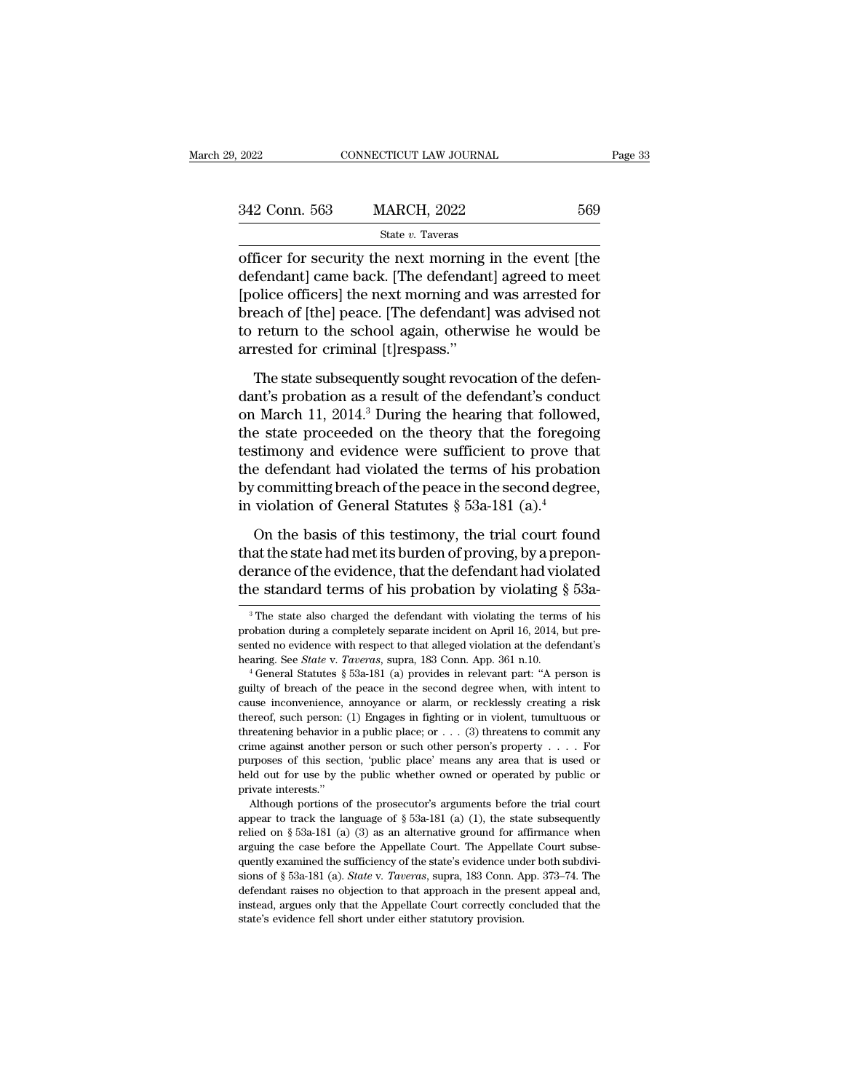| 9, 2022       | CONNECTICUT LAW JOURNAL                                                                                                                                                  | Page 33 |
|---------------|--------------------------------------------------------------------------------------------------------------------------------------------------------------------------|---------|
|               |                                                                                                                                                                          |         |
| 342 Conn. 563 | <b>MARCH, 2022</b>                                                                                                                                                       | 569     |
|               | State v. Taveras                                                                                                                                                         |         |
|               | officer for security the next morning in the event the<br>defendant came back. [The defendant] agreed to meet<br>Inclies officeral the next morning and west arroted for |         |

 $\frac{342 \text{ Conn. } 563}{\text{State } v. } \frac{\text{NARCH, } 2022}{\text{State } v. } \frac{569}{\text{State } v. } \frac{2022}{\text{Average of the next morning in the event [the defendant] came back. [The defendant] agreed to meet [police officers] the next morning and was arrested for thread to be 5.} \frac{1}{\text{Speed of the head of the second.}} \frac{1}{\text{Speed of the head of the head.}} \frac{1}{\text{Speed of the head of the head.}} \frac{1}{\text{Speed of the head.}} \frac{1}{\text{Speed of the head.}} \frac{1}{\text{Speed of the head.}} \frac{1}{\text{Speed of the$  $\frac{342 \text{ Conn. } 563 \qquad \text{MARCH, } 2022 \qquad \qquad 569}$ <br>  $\frac{\text{State } v. \text{ Tavers}}{\text{offer for security the next morning in the event [the}\n\text{defendant}] came back. [The defendant] agreed to meet [police officers] the next morning and was arrested for\nbreach of [the] peace. [The defendant] was advised not\nfor return to the school again, otherwise he would be$  $\begin{array}{ccc}\n 342 \text{ Conn. } 563 \quad \text{MARCH, } 2022 \quad \text{569}\n \hline\n \text{State } v. \text{ Tavers} \text{ \n\text{offer for security the next morning in the event [the}\n\text{defendant}] came back. [The defendant] agreed to meet [police officers] the next morning and was arrested for\n \text{break of [the] peace. [The defendant] was advised not to return to the school again, otherwise he would be\n\text{proved for criminal litcreases."} \n$ State  $v$ . Taveras<br>
officer for security the next morning in the event [the<br>
defendant] came back. [The defendant] agreed to meet<br>
[police officers] the next morning and was arrested for<br>
breach of [the] peace. [The defen  $\begin{array}{l} \text{state } v \text{. Iaves} \\ \text{offer for security the next morning} \\ \text{defendant] came back. [The defendant [police officers] the next morning and breach of [the] peace. [The defendant to return to the school again, other  
arrested for criminal [t] responses." \\ \text{The state subsequently sought revoc:} \end{array}$ From the state, The state subsequently and was arrested for<br>each of [the] peace. [The defendant] agreed to meet<br>each of [the] peace. [The defendant] was advised not<br>return to the school again, otherwise he would be<br>rested deposite officers] the next morning and was arrested for<br>
breach of [the] peace. [The defendant] was advised not<br>
to return to the school again, otherwise he would be<br>
arrested for criminal [t]<br>
respass."<br>
The state subseq

on of [the] peace. [The defendant] was advised not<br>to return to the school again, otherwise he would be<br>arrested for criminal [t]respass."<br>The state subsequently sought revocation of the defen-<br>dant's probation as a result to return to the school again, otherwise he would be<br>arrested for criminal [t]respass."<br>The state subsequently sought revocation of the defen-<br>dant's probation as a result of the defendant's conduct<br>on March 11, 2014.<sup>3</sup> D arrested for criminal [t]respass."<br>The state subsequently sought revocation of the defendant's probation as a result of the defendant's conduct<br>on March 11, 2014.<sup>3</sup> During the hearing that followed,<br>the state proceeded on The state subsequently sought revocation of the defendant's probation as a result of the defendant's conduct<br>on March 11, 2014.<sup>3</sup> During the hearing that followed,<br>the state proceeded on the theory that the foregoing<br>tes The state subsequently sought revocation of the defendant's probation as a result of the defendant's conduct<br>on March 11, 2014.<sup>3</sup> During the hearing that followed,<br>the state proceeded on the theory that the foregoing<br>tes dant's probation as a result of the defendant's condu<br>on March 11, 2014.<sup>3</sup> During the hearing that followe<br>the state proceeded on the theory that the foregoin<br>testimony and evidence were sufficient to prove th<br>the defend e state proceeded on the theory that the foregoing<br>stimony and evidence were sufficient to prove that<br>e defendant had violated the terms of his probation<br>committing breach of the peace in the second degree,<br>violation of G testimony and evidence were sufficient to prove that<br>the defendant had violated the terms of his probation<br>by committing breach of the peace in the second degree,<br>in violation of General Statutes  $\S$  53a-181 (a).<sup>4</sup><br>On th

the defendant had violated the terms of his probation<br>by committing breach of the peace in the second degree,<br>in violation of General Statutes  $\S$  53a-181 (a).<sup>4</sup><br>On the basis of this testimony, the trial court found<br>that by committing breach of the peace in the second degree,<br>in violation of General Statutes § 53a-181 (a).<sup>4</sup><br>On the basis of this testimony, the trial court found<br>that the state had met its burden of proving, by a prepon-<br>d On the basis of this testimony, the trial court found<br>aat the state had met its burden of proving, by a prepon-<br>erance of the evidence, that the defendant had violated<br>the standard terms of his probation by violating  $\S$  that the state had met its burden of proving, by a preponderance of the evidence, that the defendant had violated<br>the standard terms of his probation by violating § 53a-<br><sup>3</sup>The state also charged the defendant with violat

purposes of this section, 'public place' means any area that is used or held out for use by the public whether owned or operated by public or private interests."<br>Although portions of the prosecutor's arguments before the arguing the case before the Appellate Court. The Appellate Court subse-<br>appear to track the language of § 53a-181 (a) (1), the state subsequently<br>relied on § 53a-181 (a) (3) as an alternative ground for affirmance when<br>ar private interests."<br>
Although portions of the prosecutor's arguments before the trial court<br>
appear to track the language of § 53a-181 (a) (1), the state subsequently<br>
relied on § 53a-181 (a) (3) as an alternative ground Although portions of the prosecutor's arguments before the trial court<br>appear to track the language of § 53a-181 (a) (1), the state subsequently<br>relied on § 53a-181 (a) (3) as an alternative ground for affirmance when<br>argu appear to track the language of § 53a-181 (a) (1), the state subsequently relied on § 53a-181 (a) (3) as an alternative ground for affirmance when arguing the case before the Appellate Court. The Appellate Court subsequen Figure on § 53a-181 (a) (3) as an alternative ground for affirmance when arguing the case before the Appellate Court. The Appellate Court subsequently examined the sufficiency of the state's evidence under both subdivisio relied on  $\S$  53a-181 (a) (3) as an alternative ground for affirmance when arguing the case before the Appellate Court. The Appellate Court subsequently examined the sufficiency of the state's evidence under both subdivis

derance of the evidence, that the defendant had violated<br>the standard terms of his probation by violating § 53a-<br><sup>3</sup>The state also charged the defendant with violating the terms of his<br>probation during a completely separa The standard terms of his probation by violating § 53a-<br><sup>3</sup>The state also charged the defendant with violating the terms of his<br>probation during a completely separate incident on April 16, 2014, but pre-<br>sented no evidence <sup>3</sup> The state also charged the defendant with violating the terms of his probation during a completely separate incident on April 16, 2014, but presented no evidence with respect to that alleged violation at the defendant

probation during a completely separate incident on April 16, 2014, but presented no evidence with respect to that alleged violation at the defendant's hearing. See *State* v. *Taveras*, supra, 183 Conn. App. 361 n.10.<br>
<sup>4</sup> From a contributed in evidence with respect to that alleged violation at the defendant's hearing. See *State* v. *Taveras*, supra, 183 Conn. App. 361 n.10.<br>
<sup>4</sup> General Statutes § 53a-181 (a) provides in relevant part: "A the haring see *State* v. *Taveras*, supra, 183 Conn. App. 361 n.10.<br>
<sup>4</sup> General Statutes § 53a-181 (a) provides in relevant part: "A person is guilty of breach of the peace in the second degree when, with intent to caus <sup>1</sup> General Statutes § 53a-181 (a) provides in relevant part: "A person is guilty of breach of the peace in the second degree when, with intent to cause inconvenience, annoyance or alarm, or recklessly creating a risk the guilty of breach of the peace in the second degree when, with intent to cause inconvenience, annoyance or alarm, or recklessly creating a risk thereof, such person: (1) Engages in fighting or in violent, tumultuous or thre galaxy of proton incomparate or alarm, or recklessly creating a risk<br>thereof, such person: (1) Engages in fighting or in violent, tumultuous or<br>threatening behavior in a public place; or . . . (3) threatens to commit any<br>c exame interests.<br>
thereof, such person:<br>
threatening behavior in<br>
crime against another<br>
purposes of this sections<br>
held out for use by the private interests."<br>
Although portions c Freatening behavior in a public place; or  $\ldots$  (3) threatens to commit any ime against another person or such other person's property  $\ldots$ . For proses of this section, 'public place' means any area that is used or dd ou Figure and another person or such other person's property . . . . For purposes of this section, 'public place' means any area that is used or held out for use by the public whether owned or operated by public or private i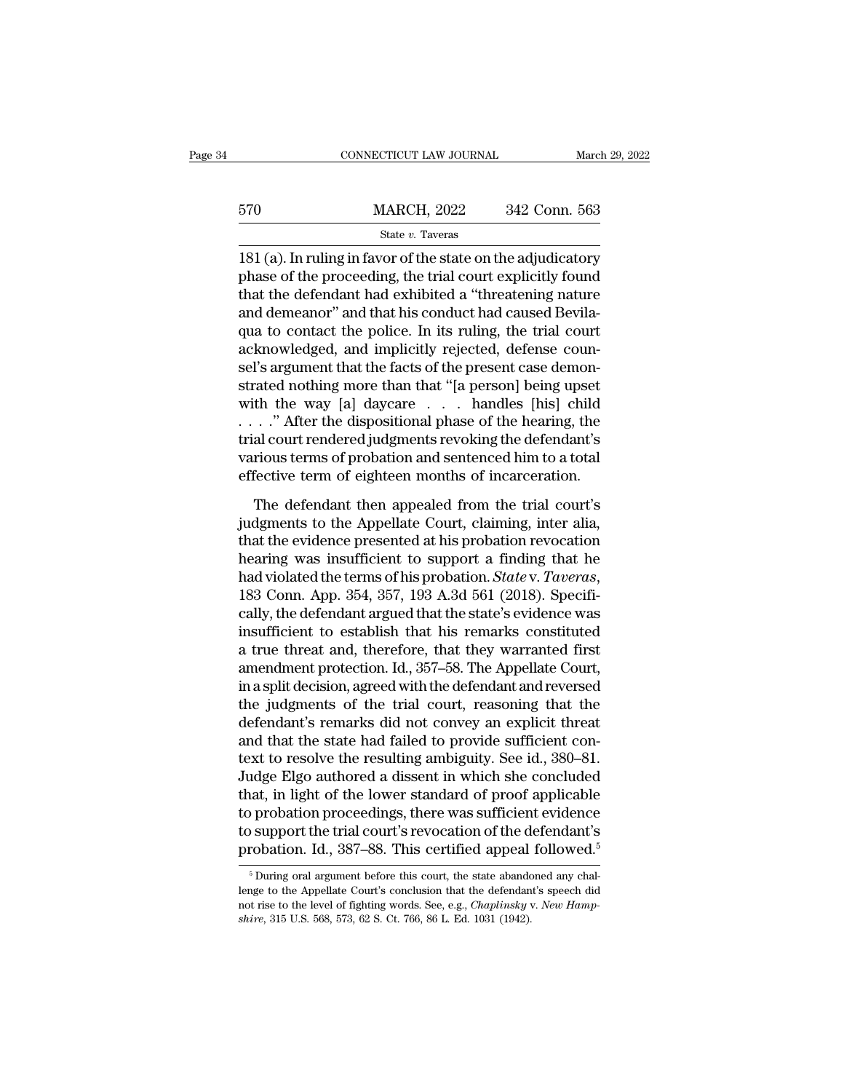|     | CONNECTICUT LAW JOURNAL |               | March 29, 2022 |
|-----|-------------------------|---------------|----------------|
|     |                         |               |                |
| 570 | <b>MARCH, 2022</b>      | 342 Conn. 563 |                |
|     | State v. Taveras        |               |                |

 $\begin{array}{r} \text{CONPECTICUT LAW JOURNAL} \qquad \text{March 29, 2022} \ \end{array}$ <br>  $\begin{array}{r} \text{570} \qquad \text{MARCH, 2022} \qquad \text{342 Conn. } 563 \ \end{array}$ <br>  $\begin{array}{r} \text{State } v. \text{ Tavers} \ \end{array}$ <br>  $\begin{array}{r} \text{181 (a). In ruling in favor of the state on the adjusted to the inductive phase of the proceeding, the trial court explicitly found that the defendant had exhibited a "thnotening nature.} \end{array}$  $\frac{\text{MARCH}}{\text{State } v. \text{ Tavers}}$ <br>  $\frac{\text{State } v. \text{ Tavers}}{181 \text{ (a)}. \text{ In ruling in favor of the state on the adjusted to the inductor}}$ <br>
phase of the proceeding, the trial court explicitly found<br>
that the defendant had exhibited a "threatening nature<br>
and domesnor" and that his conduct 570 MARCH, 2022 342 Conn. 563<br>
State v. Taveras<br>
181 (a). In ruling in favor of the state on the adjudicatory<br>
phase of the proceeding, the trial court explicitly found<br>
that the defendant had exhibited a "threatening nat  $\frac{\text{MARCH}}{\text{State } v. \text{ Tavers}}$ <br>  $\frac{\text{State } v. \text{ Tavers}}{181 \text{ (a)}. \text{ In ruling in favor of the state on the adjusted}$ <br>
phase of the proceeding, the trial court explicitly found<br>
that the defendant had exhibited a "threatening nature<br>
and demeanor" and that his conduct had State  $v$ . Taveras<br>
181 (a). In ruling in favor of the state on the adjudicatory<br>
phase of the proceeding, the trial court explicitly found<br>
that the defendant had exhibited a "threatening nature<br>
and demeanor" and that h state  $v$ . Taveras<br>181 (a). In ruling in favor of the state on the adjudicatory<br>phase of the proceeding, the trial court explicitly found<br>that the defendant had exhibited a "threatening nature<br>and demeanor" and that his c 181 (a). In ruling in favor of the state on the adjudicatory phase of the proceeding, the trial court explicitly found that the defendant had exhibited a "threatening nature and demeanor" and that his conduct had caused B phase of the proceeding, the trial court explicitly found<br>that the defendant had exhibited a "threatening nature<br>and demeanor" and that his conduct had caused Bevila-<br>qua to contact the police. In its ruling, the trial cou that the defendant had exhibited a "threatening nature<br>and demeanor" and that his conduct had caused Bevila-<br>qua to contact the police. In its ruling, the trial court<br>acknowledged, and implicitly rejected, defense coun-<br>se and demeanor" and that his conduct had caused Bevila-<br>qua to contact the police. In its ruling, the trial court<br>acknowledged, and implicitly rejected, defense coun-<br>sel's argument that the facts of the present case demon-<br> qua to contact the police. In its ruling, the trial court<br>acknowledged, and implicitly rejected, defense coun-<br>sel's argument that the facts of the present case demon-<br>strated nothing more than that "[a person] being upset acknowledged, and implicitly rejected, defense counsel's argument that the facts of the present case demonstrated nothing more than that "[a person] being upset with the way [a] daycare . . . handles [his] child . . . . " sel's argument that the facts of the present case demonstrated nothing more than that "[a person] being upset<br>with the way [a] daycare . . . handles [his] child<br>. . . ." After the dispositional phase of the hearing, the<br>tr The defendant then appealed from the trial court's<br>deferred in dispositional phase of the hearing, the<br>al court rendered judgments revoking the defendant's<br>rious terms of probation and sentenced him to a total<br>fective ter  $\ldots$ ." After the dispositional phase of the hearing, the trial court rendered judgments revoking the defendant's various terms of probation and sentenced him to a total effective term of eighteen months of incarceration.

Trial court rendered judgments revoking the defendant's<br>various terms of probation and sentenced him to a total<br>effective term of eighteen months of incarceration.<br>The defendant then appealed from the trial court's<br>judgmen various terms of probation and sentenced him to a total<br>effective term of eighteen months of incarceration.<br>The defendant then appealed from the trial court's<br>judgments to the Appellate Court, claiming, inter alia,<br>that t From the term of eighteen months of incarceration.<br>The defendant then appealed from the trial court's<br>judgments to the Appellate Court, claiming, inter alia,<br>that the evidence presented at his probation revocation<br>hearing The defendant then appealed from the trial court's<br>judgments to the Appellate Court, claiming, inter alia,<br>that the evidence presented at his probation revocation<br>hearing was insufficient to support a finding that he<br>had v judgments to the Appellate Court, claiming, inter alia,<br>that the evidence presented at his probation revocation<br>hearing was insufficient to support a finding that he<br>had violated the terms of his probation. *State* v. *Ta* that the evidence presented at his probation revocation<br>hearing was insufficient to support a finding that he<br>had violated the terms of his probation. *State* v. *Taveras*,<br>183 Conn. App. 354, 357, 193 A.3d 561 (2018). Spe hearing was insufficient to support a finding that he<br>had violated the terms of his probation. *State* v. *Taveras*,<br>183 Conn. App. 354, 357, 193 A.3d 561 (2018). Specifi-<br>cally, the defendant argued that the state's evide had violated the terms of his probation. *State* v. *Taveras*,<br>183 Conn. App. 354, 357, 193 A.3d 561 (2018). Specifi-<br>cally, the defendant argued that the state's evidence was<br>insufficient to establish that his remarks con 183 Conn. App. 354, 357, 193 A.3d 561 (2018). Specifically, the defendant argued that the state's evidence was<br>insufficient to establish that his remarks constituted<br>a true threat and, therefore, that they warranted first<br> cally, the defendant argued that the state's evidence was<br>insufficient to establish that his remarks constituted<br>a true threat and, therefore, that they warranted first<br>amendment protection. Id., 357–58. The Appellate Cour insufficient to establish that his remarks constituted<br>a true threat and, therefore, that they warranted first<br>amendment protection. Id., 357–58. The Appellate Court,<br>in a split decision, agreed with the defendant and reve a true threat and, therefore, that they warranted first<br>amendment protection. Id., 357–58. The Appellate Court,<br>in a split decision, agreed with the defendant and reversed<br>the judgments of the trial court, reasoning that t amendment protection. Id., 357–58. The Appellate Court,<br>in a split decision, agreed with the defendant and reversed<br>the judgments of the trial court, reasoning that the<br>defendant's remarks did not convey an explicit threat in a split decision, agreed with the defendant and reversed<br>the judgments of the trial court, reasoning that the<br>defendant's remarks did not convey an explicit threat<br>and that the state had failed to provide sufficient con the judgments of the trial court, reasoning that the<br>defendant's remarks did not convey an explicit threat<br>and that the state had failed to provide sufficient con-<br>text to resolve the resulting ambiguity. See id., 380–81. defendant's remarks did not convey an explicit threat<br>and that the state had failed to provide sufficient con-<br>text to resolve the resulting ambiguity. See id., 380–81.<br>Judge Elgo authored a dissent in which she concluded<br> and that the state had failed to provide sufficient context to resolve the resulting ambiguity. See id., 380–81.<br>Judge Elgo authored a dissent in which she concluded that, in light of the lower standard of proof applicable at, in light of the lower standard of proof applicable<br>oprobation proceedings, there was sufficient evidence<br>operation of the defendant's<br>robation. Id., 387–88. This certified appeal followed.<sup>5</sup><br> $\frac{5}{2}$  During oral arg to probation proceedings, there was sufficient evidence<br>to support the trial court's revocation of the defendant's<br>probation. Id., 387–88. This certified appeal followed.<sup>5</sup><br> $\frac{5}{10}$  During oral argument before this cou

to support the trial court's revocation of the defendant's probation. Id., 387–88. This certified appeal followed.<sup>5</sup><br><sup>5</sup> During oral argument before this court, the state abandoned any challenge to the Appellate Court's c **probation.** Id., 387–88. This certified appeal<br><sup>5</sup> During oral argument before this court, the state abando<br>lenge to the Appellate Court's conclusion that the defendan<br>not rise to the level of fighting words. See, e.g.,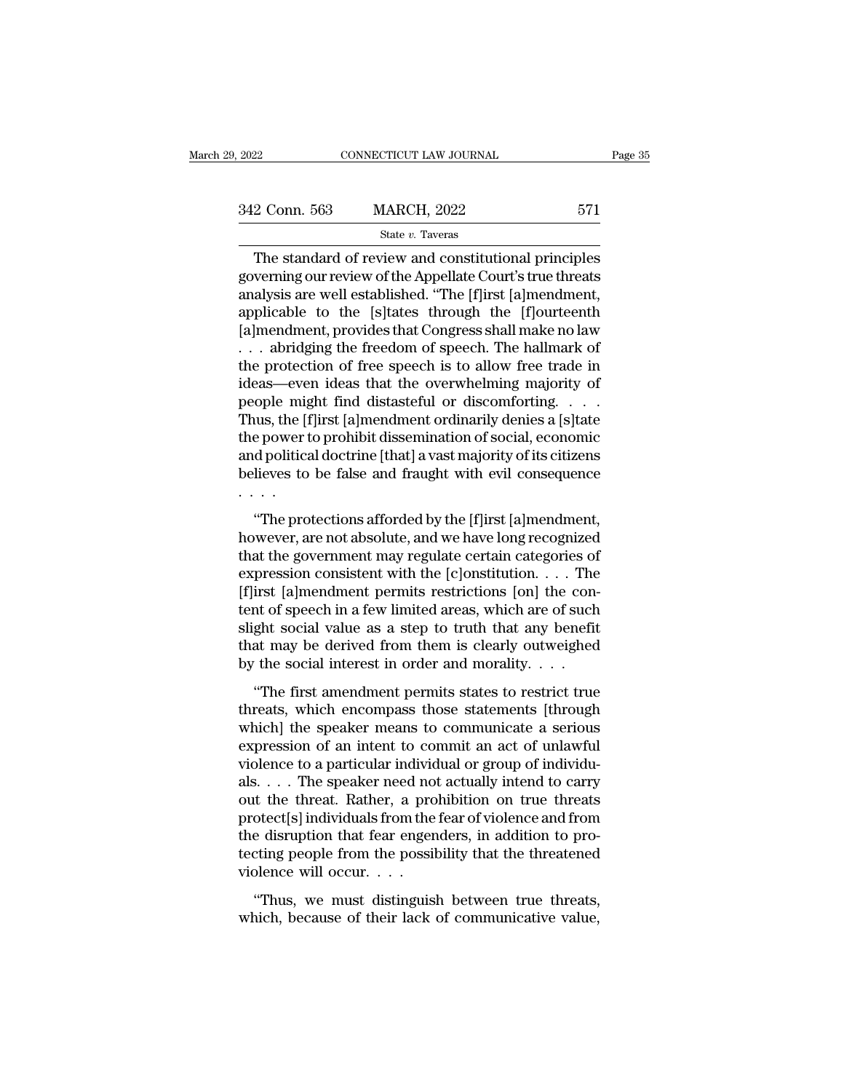| , 2022        | CONNECTICUT LAW JOURNAL | Page 35 |
|---------------|-------------------------|---------|
| 342 Conn. 563 | <b>MARCH, 2022</b>      | 571     |
|               | State v. Taveras        |         |

CONNECTICUT LAW JOURNAL Page 35<br>
2 Conn. 563 MARCH, 2022 571<br>
State v. Taveras<br>
The standard of review and constitutional principles<br>
verning our review of the Appellate Court's true threats<br>
alysis are well established "T  $\begin{array}{r} \text{342 Conn. 563} \qquad \text{MARCH, 2022} \qquad \qquad \text{571} \ \text{State } v. \text{ Tavers} \ \hline \end{array}$ The standard of review and constitutional principles governing our review of the Appellate Court's true threats<br>
analysis are well established. "Th 342 Conn. 563 MARCH, 2022 571<br>
State v. Taveras<br>
The standard of review and constitutional principles<br>
governing our review of the Appellate Court's true threats<br>
analysis are well established. "The [f]irst [a]mendment,<br> 342 Conn. 563 MARCH, 2022 571<br>
State v. Taveras<br>
The standard of review and constitutional principles<br>
governing our review of the Appellate Court's true threats<br>
analysis are well established. "The [f]irst [a]mendment,<br> From State v. Taxeras<br>
The standard of review and constitutional principles<br>
governing our review of the Appellate Court's true threats<br>
analysis are well established. "The [f]irst [a]mendment,<br>
applicable to the [s]tates State v. Taveras<br>
The standard of review and constitutional principles<br>
governing our review of the Appellate Court's true threats<br>
analysis are well established. "The [f]irst [a]mendment,<br>
applicable to the [s]tates thro The standard of review and constitutional principles<br>governing our review of the Appellate Court's true threats<br>analysis are well established. "The [f]irst [a]mendment,<br>applicable to the [s]tates through the [f]ourteenth<br>[ governing our review of the Appellate Court's true threats<br>analysis are well established. "The [f]irst [a]mendment,<br>applicable to the [s]tates through the [f]ourteenth<br>[a]mendment, provides that Congress shall make no law<br> analysis are well established. "The [f]irst [a]mendment,<br>applicable to the [s]tates through the [f]ourteenth<br>[a]mendment, provides that Congress shall make no law<br>... abridging the freedom of speech. The hallmark of<br>the pr applicable to the [s]tates through the [f]ourteenth<br>[a]mendment, provides that Congress shall make no law<br>... abridging the freedom of speech. The hallmark of<br>the protection of free speech is to allow free trade in<br>ideas—e [a]mendment, provides that Congress shall make no law . . . . abridging the freedom of speech. The hallmark of the protection of free speech is to allow free trade in ideas—even ideas that the overwhelming majority of peop ... abridging the freedom of speech. The hallmark of<br>the protection of free speech is to allow free trade in<br>ideas—even ideas that the overwhelming majority of<br>people might find distasteful or discomforting....<br>Thus, the [ the protection of free speech is to allow free trade in ideas—even ideas that the overwhelming majority of people might find distasteful or discomforting. . . . Thus, the [f]irst [a]mendment ordinarily denies a [s]tate the . . . .  $\alpha$  is the [f]irst [a]mendment ordinarily denies a [s]tate<br>
e power to prohibit dissemination of social, economic<br>
d political doctrine [that] a vast majority of its citizens<br>
lieves to be false and fraught with evil con Fracs, are principled interaction of social, economic<br>the power to prohibit dissemination of social, economic<br>and political doctrine [that] a vast majority of its citizens<br>believes to be false and fraught with evil conseq

and political doctrine [that] a vast majority of its citizens<br>believes to be false and fraught with evil consequence<br> $\cdots$ <br>"The protections afforded by the [f]irst [a]mendment,<br>however, are not absolute, and we have long believes to be false and fraught with evil consequence<br>believes to be false and fraught with evil consequence<br> $\cdots$ <br>"The protections afforded by the [f]irst [a]mendment,<br>however, are not absolute, and we have long recogni "The protections afforded by the [f]irst [a]mendment,<br>"The protections afforded by the [f]irst [a]mendment,<br>however, are not absolute, and we have long recognized<br>that the government may regulate certain categories of<br>exp "The protections afforded by the [f]irst [a]mendment,<br>however, are not absolute, and we have long recognized<br>that the government may regulate certain categories of<br>expression consistent with the [c]onstitution.... The<br>[f] "The protections afforded by the [f]irst [a]mendment,<br>however, are not absolute, and we have long recognized<br>that the government may regulate certain categories of<br>expression consistent with the [c]onstitution. . . . The<br> however, are not absolute, and we have long recognized<br>that the government may regulate certain categories of<br>expression consistent with the [c]onstitution. . . . The<br>[f]irst [a]mendment permits restrictions [on] the conthat the government may regulate certain categories of expression consistent with the [c]onstitution. . . . The [f]irst [a]mendment permits restrictions [on] the content of speech in a few limited areas, which are of such Freession consistent what the performation.  $\ldots$  into first [a]mendment permits restrictions [on] the con-<br>that of speech in a few limited areas, which are of such ght social value as a step to truth that any benefit<br>at tefinst permanent permits restrictions [or] are content of speech in a few limited areas, which are of such slight social value as a step to truth that any benefit that may be derived from them is clearly outweighed by th

slight social value as a step to truth that any benefit<br>that may be derived from them is clearly outweighed<br>by the social interest in order and morality....<br>"The first amendment permits states to restrict true<br>threats, wh Expansion of an intent in order and morality....<br>that may be derived from them is clearly outweighed<br>by the social interest in order and morality....<br>"The first amendment permits states to restrict true<br>threats, which enc by the social interest in order and morality. . . .<br>
"The first amendment permits states to restrict true<br>
threats, which encompass those statements [through<br>
which] the speaker means to communicate a serious<br>
expression also social metrics. In order and morality:  $\cdots$ <br>
"The first amendment permits states to restrict true<br>
threats, which encompass those statements [through<br>
which] the speaker means to communicate a serious<br>
expression of "The first amendment permits states to restrict true<br>threats, which encompass those statements [through<br>which] the speaker means to communicate a serious<br>expression of an intent to commit an act of unlawful<br>violence to a threats, which encompass those statements [through<br>which] the speaker means to communicate a serious<br>expression of an intent to commit an act of unlawful<br>violence to a particular individual or group of individu-<br>als. . . . which] the speaker means to communicate a serious<br>expression of an intent to commit an act of unlawful<br>violence to a particular individual or group of individu-<br>als. . . . The speaker need not actually intend to carry<br>out expression of an intent to commit an act of unlawful<br>violence to a particular individual or group of individuals. . . . The speaker need not actually intend to carry<br>out the threat. Rather, a prohibition on true threats<br>p violence to a particular individuals. . . . The speaker need no<br>out the threat. Rather, a pro<br>protect[s] individuals from the<br>the disruption that fear engen<br>tecting people from the possil<br>violence will occur. . . .<br>"Thus, the threat. Rather, a prohibition on true threats otect[s] individuals from the fear of violence and from e disruption that fear engenders, in addition to procting people from the possibility that the threatened plence wi but the direction that fear of violence and from<br>protect[s] individuals from the fear of violence and from<br>the disruption that fear engenders, in addition to pro-<br>tecting people from the possibility that the threatened<br>vi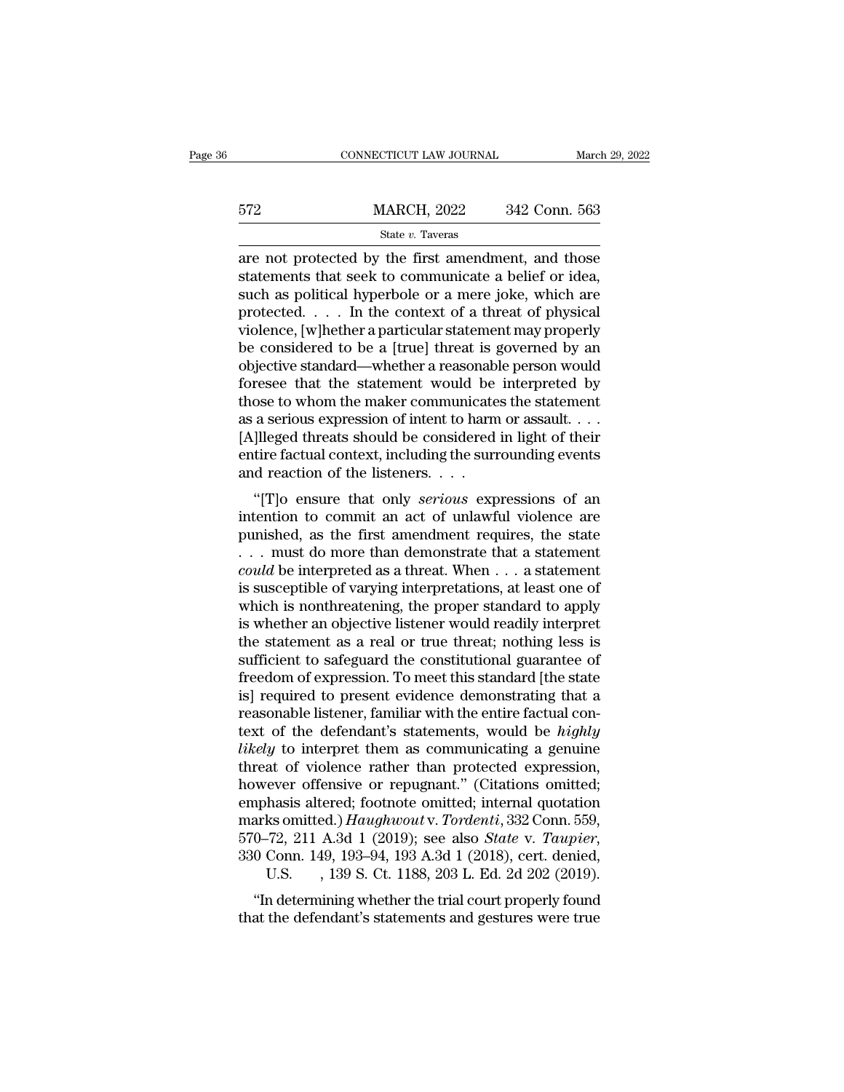|     | CONNECTICUT LAW JOURNAL                                                                                                                                                | March 29, 2022 |
|-----|------------------------------------------------------------------------------------------------------------------------------------------------------------------------|----------------|
| 572 | <b>MARCH, 2022</b>                                                                                                                                                     | 342 Conn. 563  |
|     | State v. Taveras                                                                                                                                                       |                |
|     | are not protected by the first amendment, and those<br>statements that seek to communicate a belief or idea,<br>such as political hyporbolo or a moro jolzo, which are |                |

 $\begin{array}{r} \text{572} & \text{MARCH, 2022} & \text{342 Conn. } 563 \\ \text{State } v. \text{ Tavers} \end{array}$ <br>are not protected by the first amendment, and those statements that seek to communicate a belief or idea, such as political hyperbole or a mere joke, which ar  $\frac{\text{MARCH}}{\text{State } v. \text{ Tavers}}$ <br>  $\frac{\text{State } v. \text{ Tavers}}{\text{Rate } v. \text{ Tavers}}$ <br>
are not protected by the first amendment, and those<br>
statements that seek to communicate a belief or idea,<br>
such as political hyperbole or a mere joke, which are<br>
p  $\frac{\text{MARCH, 2022}}{\text{State } v. \text{ Tavers}}$ <br>
are not protected by the first amendment, and those<br>
statements that seek to communicate a belief or idea,<br>
such as political hyperbole or a mere joke, which are<br>
protected.... In the contex State v. Taveras<br>
State v. Taveras<br>
are not protected by the first amendment, and those<br>
statements that seek to communicate a belief or idea,<br>
such as political hyperbole or a mere joke, which are<br>
protected. . . . In th state *v*. Taveras<br>are not protected by the first amendment, and those<br>statements that seek to communicate a belief or idea,<br>such as political hyperbole or a mere joke, which are<br>protected. . . . In the context of a threa are not protected by the first amendment, and those<br>statements that seek to communicate a belief or idea,<br>such as political hyperbole or a mere joke, which are<br>protected. . . . . In the context of a threat of physical<br>viol statements that seek to communicate a belief or idea,<br>such as political hyperbole or a mere joke, which are<br>protected. . . . . In the context of a threat of physical<br>violence, [w]hether a particular statement may properly such as political hyperbole or a mere joke, which are<br>protected. . . . . In the context of a threat of physical<br>violence, [w]hether a particular statement may properly<br>be considered to be a [true] threat is governed by an protected. . . . . In the context of a threat of physical violence, [w]hether a particular statement may properly be considered to be a [true] threat is governed by an objective standard—whether a reasonable person would f violence, [w]hether a particular statement may properly<br>be considered to be a [true] threat is governed by an<br>objective standard—whether a reasonable person would<br>foresee that the statement would be interpreted by<br>those to be considered to be a [true] threat is governed by an objective standard—whether a reasonable person would foresee that the statement would be interpreted by those to whom the maker communicates the statement as a serious objective standard—whether a reasonabl<br>foresee that the statement would be<br>those to whom the maker communicate<br>as a serious expression of intent to harm<br>[A]lleged threats should be considered<br>entire factual context, includ resee that the statement would be interpreted by<br>
ose to whom the maker communicates the statement<br>
a serious expression of intent to harm or assault....<br>
]lleged threats should be considered in light of their<br>
tire factua Figure 1 and the maker communicates the statement<br>as a serious expression of intent to harm or assault....<br>[A]lleged threats should be considered in light of their<br>entire factual context, including the surrounding events<br>

as a senous expression of mient to harm of assaut....<br>
[A]lleged threats should be considered in light of their<br>
entire factual context, including the surrounding events<br>
and reaction of the listeners....<br>
"[T]o ensure th Expressed threads should be considered in light of their<br>entire factual context, including the surrounding events<br>and reaction of the listeners. . . .<br>"[T]o ensure that only *serious* expressions of an<br>intention to commit entifie factual context, including the surfounding events<br>and reaction of the listeners. . . .<br>"[T]o ensure that only *serious* expressions of an<br>intention to commit an act of unlawful violence are<br>punished, as the first a for the intertwine matrix of the intertwine method in the intention to commit an act of unlawful violence are punished, as the first amendment requires, the state  $\ldots$  must do more than demonstrate that a statement could "[T]o ensure that only *serious* expressions of an intention to commit an act of unlawful violence are punished, as the first amendment requires, the state . . . must do more than demonstrate that a statement *could* be i intention to commit an act of unlawful violence are<br>punished, as the first amendment requires, the state<br> $\dots$  must do more than demonstrate that a statement<br>*could* be interpreted as a threat. When  $\dots$  a statement<br>is sus punished, as the first amendment requires, the state  $\ldots$  must do more than demonstrate that a statement could be interpreted as a threat. When  $\ldots$  a statement is susceptible of varying interpretations, at least one of . . . must do more than demonstrate that a statement<br>could be interpreted as a threat. When  $\dots$  a statement<br>is susceptible of varying interpretations, at least one of<br>which is nonthreatening, the proper standard to apply *could* be interpreted as a threat. When  $\ldots$  a statement<br>is susceptible of varying interpretations, at least one of<br>which is nonthreatening, the proper standard to apply<br>is whether an objective listener would readily in is susceptible of varying interpretations, at least one of<br>which is nonthreatening, the proper standard to apply<br>is whether an objective listener would readily interpret<br>the statement as a real or true threat; nothing less which is nonthreatening, the proper standard to apply<br>is whether an objective listener would readily interpret<br>the statement as a real or true threat; nothing less is<br>sufficient to safeguard the constitutional guarantee of is whether an objective listener would readily interpret<br>the statement as a real or true threat; nothing less is<br>sufficient to safeguard the constitutional guarantee of<br>freedom of expression. To meet this standard [the sta the statement as a real or true threat; nothing less is<br>sufficient to safeguard the constitutional guarantee of<br>freedom of expression. To meet this standard [the state<br>is] required to present evidence demonstrating that a<br> sufficient to safeguard the constitutional guarantee of<br>freedom of expression. To meet this standard [the state<br>is] required to present evidence demonstrating that a<br>reasonable listener, familiar with the entire factual co freedom of expression. To meet this standard [the state<br>is] required to present evidence demonstrating that a<br>reasonable listener, familiar with the entire factual con-<br>text of the defendant's statements, would be *highly<br>* is] required to present evidence demonstrating that a<br>reasonable listener, familiar with the entire factual con-<br>text of the defendant's statements, would be *highly<br>likely* to interpret them as communicating a genuine<br>th reasonable listener, familiar with the entire factual context of the defendant's statements, would be *highly*<br>*likely* to interpret them as communicating a genuine<br>threat of violence rather than protected expression,<br>howe text of the defendant's statements, would be *highly*<br>likely to interpret them as communicating a genuine<br>threat of violence rather than protected expression,<br>however offensive or repugnant." (Citations omitted;<br>emphasis a at of violence rather than protected expression,<br>ever offensive or repugnant." (Citations omitted;<br>hasis altered; footnote omitted; internal quotation<br>ks omitted.) *Haughwout* v. Tordenti, 332 Conn. 559,<br>-72, 211 A.3d 1 (2 wever offerisive of repugnant. (Chanons officient,<br>
apphasis altered; footnote omitted; internal quotation<br>
arks omitted.) Haughwout v. Tordenti, 332 Conn. 559,<br>
0–72, 211 A.3d 1 (2019); see also *State v. Taupier*,<br>
0 Con emphasis antered, nothibe omitted, internal quotation<br>marks omitted.) Haughwout v. Tordenti, 332 Conn. 559,<br>570–72, 211 A.3d 1 (2019); see also *State v. Taupier*,<br>330 Conn. 149, 193–94, 193 A.3d 1 (2018), cert. denied,<br>U.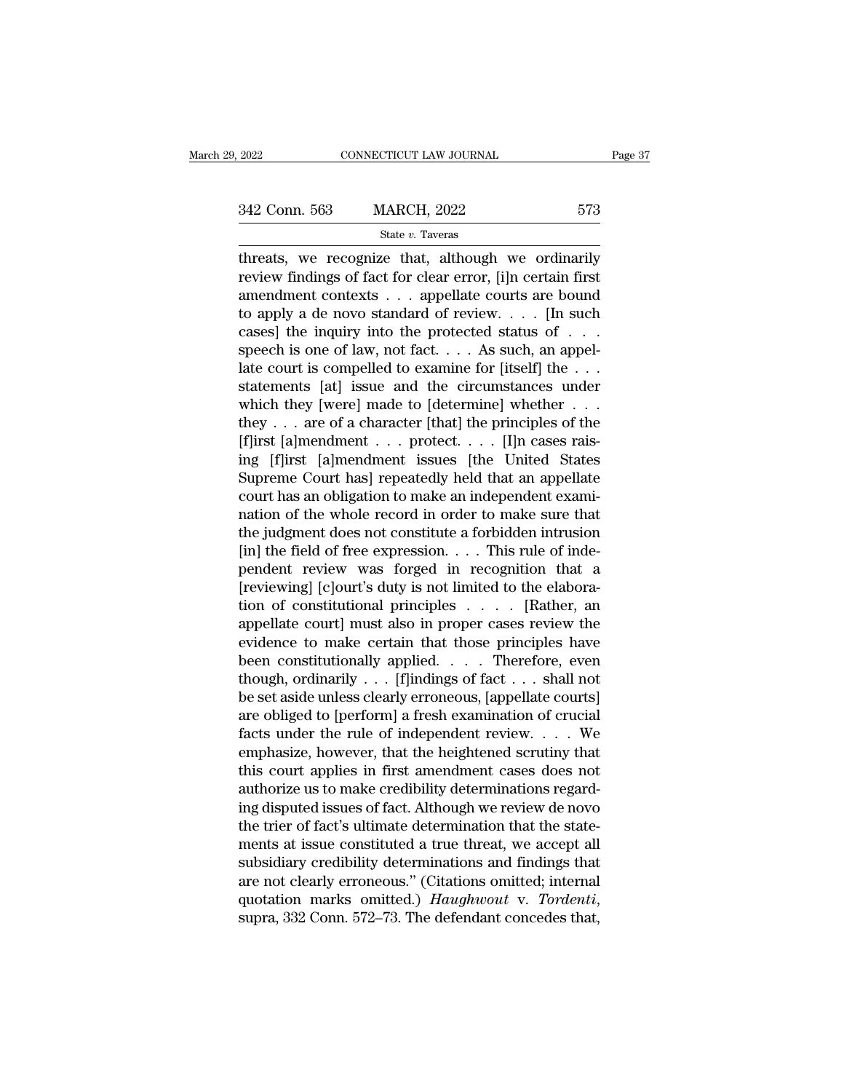EXECTIVE 2022 CONNECTICUT LAW JOURNAL Page 37<br>342 Conn. 563 MARCH, 2022 573<br>513 State v. Taveras State *v.* Taveras

 $\begin{array}{cccc}\n & \text{2022} & \text{CONNECTICUT LAW JOURNAL} & \text{Page 37} \\
 & & \text{342 Conn. } 563 & \text{MARCH, } 2022 & 573 \\
 & & \text{State } v. \text{ Tavers} & \text{Interests, we recognize that, although we ordinarily review findings of fact for clear error, [i]n certain first and another context, the smallest accurate are bound.\n\end{array}$ 342 Conn. 563 MARCH, 2022 573<br>
State v. Taveras<br>
threats, we recognize that, although we ordinarily<br>
review findings of fact for clear error, [i]n certain first<br>
amendment contexts . . . appellate courts are bound<br>
to app 342 Conn. 563 MARCH, 2022 573<br>
State v. Taveras<br>
threats, we recognize that, although we ordinarily<br>
review findings of fact for clear error, [i]n certain first<br>
amendment contexts . . . appellate courts are bound<br>
to app 342 Conn. 563 MARCH, 2022 573<br>
State v. Taveras<br>
threats, we recognize that, although we ordinarily<br>
review findings of fact for clear error, [i]n certain first<br>
amendment contexts . . . appellate courts are bound<br>
to app State v. Taveras<br>
threats, we recognize that, although we ordinarily<br>
review findings of fact for clear error, [i]n certain first<br>
amendment contexts . . . appellate courts are bound<br>
to apply a de novo standard of review. state *v*. Taveras<br>threats, we recognize that, although we ordinarily<br>review findings of fact for clear error, [i]n certain first<br>amendment contexts . . . appellate courts are bound<br>to apply a de novo standard of review. threats, we recognize that, although we ordinarily<br>review findings of fact for clear error, [i]n certain first<br>amendment contexts . . . appellate courts are bound<br>to apply a de novo standard of review. . . . [In such<br>case review findings of fact for clear error, [i]n certain first<br>amendment contexts . . . appellate courts are bound<br>to apply a de novo standard of review. . . . [In such<br>cases] the inquiry into the protected status of . . .<br>s amendment contexts . . . appellate courts are bound<br>to apply a de novo standard of review. . . . [In such<br>cases] the inquiry into the protected status of . . .<br>speech is one of law, not fact. . . . As such, an appel-<br>late to apply a de novo standard of review. . . . [In such cases] the inquiry into the protected status of . . .<br>speech is one of law, not fact. . . . As such, an appel-<br>late court is compelled to examine for [itself] the . . cases] the inquiry into the protected status of . . . speech is one of law, not fact. . . . As such, an appel-<br>late court is compelled to examine for [itself] the . . .<br>statements [at] issue and the circumstances under<br>wh speech is one of law, not fact.... As such, an appel-<br>late court is compelled to examine for [itself] the ...<br>statements [at] issue and the circumstances under<br>which they [were] made to [determine] whether ...<br>they ... ar late court is compelled to examine for [itself] the  $\dots$ <br>statements [at] issue and the circumstances under<br>which they [were] made to [determine] whether  $\dots$ <br>they  $\dots$  are of a character [that] the principles of the<br>[f]ir statements [at] issue and the circumstances under<br>which they [were] made to [determine] whether . . .<br>they . . . are of a character [that] the principles of the<br>[f]irst [a]mendment . . . protect. . . . [I]n cases rais-<br>in which they [were] made to [determine] whether  $\dots$  they  $\dots$  are of a character [that] the principles of the [f]irst [a]mendment  $\dots$  protect.  $\dots$  [I]n cases raising [f]irst [a]mendment issues [the United States Supreme they . . . are of a character [that] the principles of the<br>[f]irst [a]mendment . . . protect. . . . [I]n cases rais-<br>ing [f]irst [a]mendment issues [the United States<br>Supreme Court has] repeatedly held that an appellate<br>c [f]irst [a]mendment . . . protect. . . . [I]n cases raising [f]irst [a]mendment issues [the United States<br>Supreme Court has] repeatedly held that an appellate<br>court has an obligation to make an independent exami-<br>nation of ing [f]irst [a]mendment issues [the United States<br>Supreme Court has] repeatedly held that an appellate<br>court has an obligation to make an independent exami-<br>nation of the whole record in order to make sure that<br>the judgmen Supreme Court has] repeatedly held that an appellate<br>court has an obligation to make an independent exami-<br>nation of the whole record in order to make sure that<br>the judgment does not constitute a forbidden intrusion<br>[in] court has an obligation to make an independent exami-<br>nation of the whole record in order to make sure that<br>the judgment does not constitute a forbidden intrusion<br>[in] the field of free expression. . . . This rule of inde nation of the whole record in order to make sure that<br>the judgment does not constitute a forbidden intrusion<br>[in] the field of free expression. . . . This rule of inde-<br>pendent review was forged in recognition that a<br>[rev the judgment does not constitute a forbidden intrusion<br>
[in] the field of free expression. . . . This rule of inde-<br>
pendent review was forged in recognition that a<br>
[reviewing] [c]ourt's duty is not limited to the elabor [in] the field of free expression. . . . This rule of inde-<br>pendent review was forged in recognition that a<br>[reviewing] [c]ourt's duty is not limited to the elabora-<br>tion of constitutional principles . . . . [Rather, an<br>a pendent review was forged in recognition that a<br>[reviewing] [c]ourt's duty is not limited to the elabora-<br>tion of constitutional principles . . . . [Rather, an<br>appellate court] must also in proper cases review the<br>evidence [reviewing] [c]ourt's duty is not limited to the elaboration of constitutional principles . . . . [Rather, an appellate court] must also in proper cases review the evidence to make certain that those principles have been tion of constitutional principles . . . . . [Rather, an appellate court] must also in proper cases review the evidence to make certain that those principles have been constitutionally applied. . . . Therefore, even though appellate court] must also in proper cases review the<br>evidence to make certain that those principles have<br>been constitutionally applied. . . . Therefore, even<br>though, ordinarily . . . [f]indings of fact . . . shall not<br>be evidence to make certain that those principles have<br>been constitutionally applied. . . . Therefore, even<br>though, ordinarily . . . [f]indings of fact . . . shall not<br>be set aside unless clearly erroneous, [appellate courts] been constitutionally applied. . . . Therefore, even<br>though, ordinarily . . . [f]indings of fact . . . shall not<br>be set aside unless clearly erroneous, [appellate courts]<br>are obliged to [perform] a fresh examination of cru though, ordinarily  $\ldots$  [f]indings of fact  $\ldots$  shall not<br>be set aside unless clearly erroneous, [appellate courts]<br>are obliged to [perform] a fresh examination of crucial<br>facts under the rule of independent review.  $\ld$ be set aside unless clearly erroneous, [appellate courts]<br>are obliged to [perform] a fresh examination of crucial<br>facts under the rule of independent review. . . . . We<br>emphasize, however, that the heightened scrutiny that are obliged to [perform] a fresh examination of crucial facts under the rule of independent review.  $\dots$  We emphasize, however, that the heightened scrutiny that this court applies in first amendment cases does not author facts under the rule of independent review.  $\dots$  We<br>emphasize, however, that the heightened scrutiny that<br>this court applies in first amendment cases does not<br>authorize us to make credibility determinations regard-<br>ing di emphasize, however, that the heightened scrutiny that<br>this court applies in first amendment cases does not<br>authorize us to make credibility determinations regard-<br>ing disputed issues of fact. Although we review de novo<br>the this court applies in first amendment cases does not<br>authorize us to make credibility determinations regard-<br>ing disputed issues of fact. Although we review de novo<br>the trier of fact's ultimate determination that the state authorize us to make credibility determinations regarding disputed issues of fact. Although we review de novo<br>the trier of fact's ultimate determination that the state-<br>ments at issue constituted a true threat, we accept a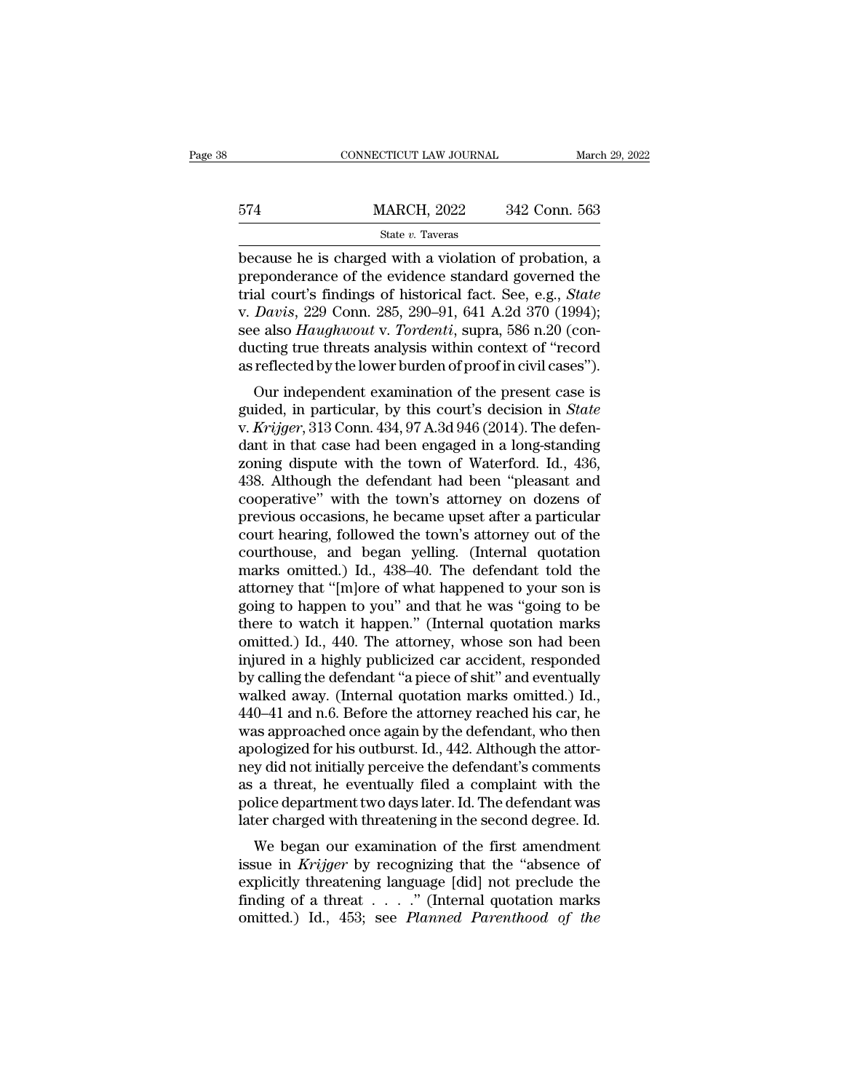|     | CONNECTICUT LAW JOURNAL |               | March 29, 2022 |
|-----|-------------------------|---------------|----------------|
|     |                         |               |                |
| 574 | <b>MARCH, 2022</b>      | 342 Conn. 563 |                |
|     | State v. Taveras        |               |                |

 $\begin{array}{r|l} \text{CONPECTICUT LAW JOURNAL} & \text{March 29, 2022} \ \end{array}$ <br>
574 MARCH, 2022 342 Conn. 563<br>  $\begin{array}{r|l} \text{State } v. \text{ Tavers} \ \end{array}$ <br>
because he is charged with a violation of probation, a<br>
preponderance of the evidence standard governed the<br>
tr MARCH, 2022 342 Conn. 563<br>
State v. Taveras<br>
because he is charged with a violation of probation, a<br>
preponderance of the evidence standard governed the<br>
trial court's findings of historical fact. See, e.g., *State*<br>
v. Da MARCH, 2022 342 Conn. 563<br>
State v. Taveras<br>
because he is charged with a violation of probation, a<br>
preponderance of the evidence standard governed the<br>
trial court's findings of historical fact. See, e.g., *State*<br>
v. *D* MARCH, 2022 342 Conn. 563<br>
state *v*. Taveras<br>
because he is charged with a violation of probation, a<br>
preponderance of the evidence standard governed the<br>
trial court's findings of historical fact. See, e.g., *State*<br>
v. State *v.* Tavress, 2022 Conal 368<br>because he is charged with a violation of probation, a<br>preponderance of the evidence standard governed the<br>trial court's findings of historical fact. See, e.g., *State*<br>v. *Davis*, 229 Co state *v*. Taveras<br>because he is charged with a violation of probation, a<br>preponderance of the evidence standard governed the<br>trial court's findings of historical fact. See, e.g., *State*<br>v. *Davis*, 229 Conn. 285, 290–91, because he is charged with a violation of probation, a<br>preponderance of the evidence standard governed the<br>trial court's findings of historical fact. See, e.g., *State*<br>v. *Davis*, 229 Conn. 285, 290–91, 641 A.2d 370 (1994 eponderance of the evidence standard governed the<br>al court's findings of historical fact. See, e.g., *State*<br>Davis, 229 Conn. 285, 290–91, 641 A.2d 370 (1994);<br>e also *Haughwout v. Tordenti*, supra, 586 n.20 (con-<br>cting t rial court's intuitings of instorted ract. see, e.g., *state*<br>v. *Davis*, 229 Conn. 285, 290–91, 641 A.2d 370 (1994);<br>see also *Haughwout* v. *Tordenti*, supra, 586 n.20 (con-<br>ducting true threats analysis within context o

v. *Bavis*, 229 Conn. 269, 290–91, 041 A.2d 910 (1994),<br>see also *Haughwout v. Tordenti*, supra, 586 n.20 (con-<br>ducting true threats analysis within context of "record<br>as reflected by the lower burden of proof in civil cas see also *Halyhwolt v. Tordentt*, supra, 500 fi.20 (conducting true threats analysis within context of "record<br>as reflected by the lower burden of proof in civil cases").<br>Our independent examination of the present case is<br> ducting true threats analysis whilm context of Tecord<br>as reflected by the lower burden of proof in civil cases").<br>Our independent examination of the present case is<br>guided, in particular, by this court's decision in *State* as renected by the lower burden of proof in civil cases *y*.<br>
Our independent examination of the present case is<br>
guided, in particular, by this court's decision in *State*<br>
v. *Krijger*, 313 Conn. 434, 97 A.3d 946 (2014). Our independent examination of the present case is<br>guided, in particular, by this court's decision in *State*<br>v. *Krijger*, 313 Conn. 434, 97 A.3d 946 (2014). The defen-<br>dant in that case had been engaged in a long-standin guided, in particular, by this court's decision in *State*<br>v. *Krijger*, 313 Conn. 434, 97 A.3d 946 (2014). The defen-<br>dant in that case had been engaged in a long-standing<br>zoning dispute with the town of Waterford. Id., 4 v. *Krijger*, 313 Conn. 434, 97 A.3d 946 (2014). The defendant in that case had been engaged in a long-standing<br>zoning dispute with the town of Waterford. Id., 436,<br>438. Although the defendant had been "pleasant and<br>cooper dant in that case had been engaged in a long-standing<br>zoning dispute with the town of Waterford. Id., 436,<br>438. Although the defendant had been "pleasant and<br>cooperative" with the town's attorney on dozens of<br>previous occa zoning dispute with the town of Waterford. Id., 436, 438. Although the defendant had been "pleasant and cooperative" with the town's attorney on dozens of previous occasions, he became upset after a particular court hearin 438. Although the defendant had been "pleasant and cooperative" with the town's attorney on dozens of previous occasions, he became upset after a particular court hearing, followed the town's attorney out of the courthouse cooperative" with the town's attorney on dozens of<br>previous occasions, he became upset after a particular<br>court hearing, followed the town's attorney out of the<br>courthouse, and began yelling. (Internal quotation<br>marks omit previous occasions, he became upset after a particular<br>court hearing, followed the town's attorney out of the<br>courthouse, and began yelling. (Internal quotation<br>marks omitted.) Id., 438–40. The defendant told the<br>attorney court hearing, followed the town's attorney out of the courthouse, and began yelling. (Internal quotation marks omitted.) Id., 438–40. The defendant told the attorney that "[m]ore of what happened to your son is going to h courthouse, and began yelling. (Internal quotation<br>marks omitted.) Id., 438–40. The defendant told the<br>attorney that "[m]ore of what happened to your son is<br>going to happen to you" and that he was "going to be<br>there to wat marks omitted.) Id., 438–40. The defendant told the<br>attorney that "[m]ore of what happened to your son is<br>going to happen to you" and that he was "going to be<br>there to watch it happen." (Internal quotation marks<br>omitted.) attorney that "[m]ore of what happened to your son is<br>going to happen to you" and that he was "going to be<br>there to watch it happen." (Internal quotation marks<br>omitted.) Id., 440. The attorney, whose son had been<br>injured i going to happen to you" and that he was "going to be<br>there to watch it happen." (Internal quotation marks<br>omitted.) Id., 440. The attorney, whose son had been<br>injured in a highly publicized car accident, responded<br>by calli there to watch it happen." (Internal quotation marks<br>omitted.) Id., 440. The attorney, whose son had been<br>injured in a highly publicized car accident, responded<br>by calling the defendant "a piece of shit" and eventually<br>wal omitted.) Id., 440. The attorney, whose son had been<br>injured in a highly publicized car accident, responded<br>by calling the defendant "a piece of shit" and eventually<br>walked away. (Internal quotation marks omitted.) Id.,<br>44 injured in a highly publicized car accident, responded<br>by calling the defendant "a piece of shit" and eventually<br>walked away. (Internal quotation marks omitted.) Id.,<br>440–41 and n.6. Before the attorney reached his car, he by calling the defendant "a piece of shit" and eventually walked away. (Internal quotation marks omitted.) Id., 440–41 and n.6. Before the attorney reached his car, he was approached once again by the defendant, who then a walked away. (Internal quotation marks omitted.) Id.,<br>440–41 and n.6. Before the attorney reached his car, he<br>was approached once again by the defendant, who then<br>apologized for his outburst. Id., 442. Although the attor-<br> 440–41 and n.6. Before the attorney reached his car, he was approached once again by the defendant, who then apologized for his outburst. Id., 442. Although the attorney did not initially perceive the defendant's comments as approached once again by the defendant, who then<br>ologized for his outburst. Id., 442. Although the attor-<br>y did not initially perceive the defendant's comments<br>a threat, he eventually filed a complaint with the<br>lice dep apologized for his outburst. 1d., 442. Although the attor-<br>ney did not initially perceive the defendant's comments<br>as a threat, he eventually filed a complaint with the<br>police department two days later. Id. The defendant w

they did not initially perceive the defendant sconfinents<br>as a threat, he eventually filed a complaint with the<br>police department two days later. Id. The defendant was<br>later charged with threatening in the second degree. as a threat, he eventually med a complaint with the<br>police department two days later. Id. The defendant was<br>later charged with threatening in the second degree. Id.<br>We began our examination of the first amendment<br>issue in ponce department two days rater. Id. The detendant was<br>later charged with threatening in the second degree. Id.<br>We began our examination of the first amendment<br>issue in *Krijger* by recognizing that the "absence of<br>explici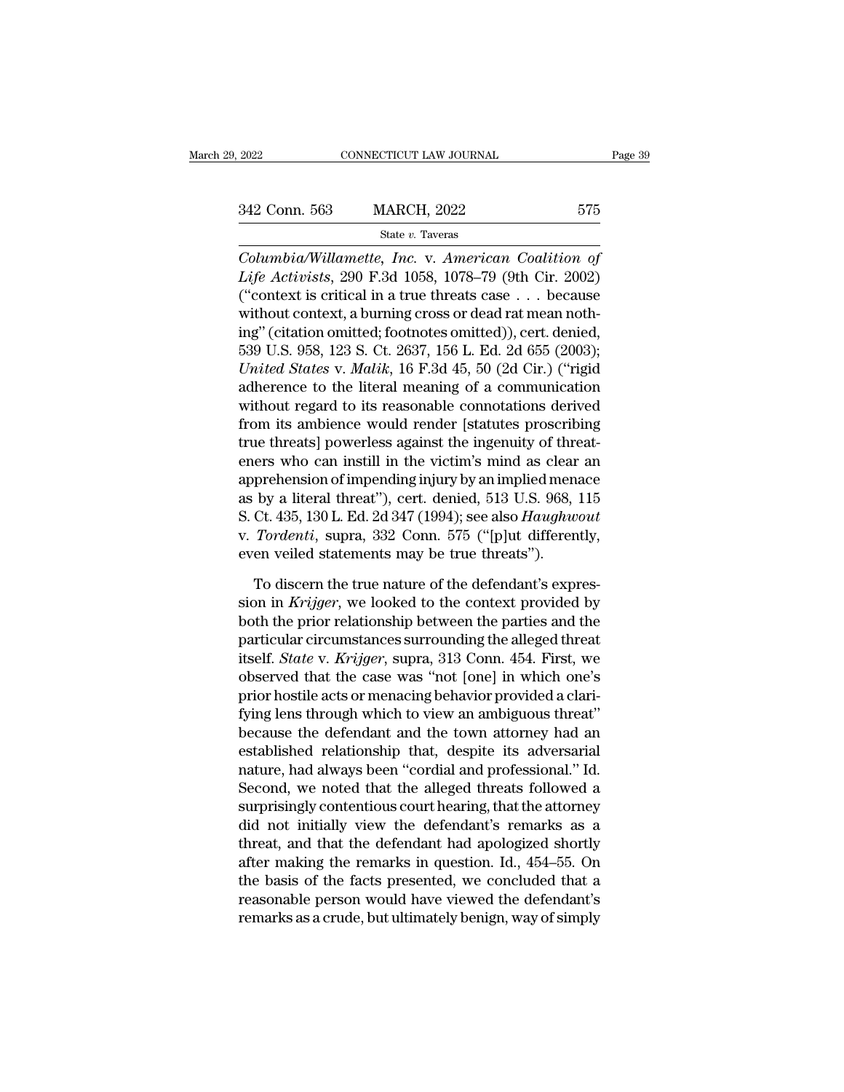State *v.* Taveras

<sup>2022</sup> CONNECTICUT LAW JOURNAL Page 38<br>
<sup>21</sup> Columbia 1663 MARCH, 2022 575<br>
<sup>21</sup> State *v*. Taveras<br> *Columbia/Willamette, Inc.* v. *American Coalition of*<br> *Life Activists*, 290 F.3d 1058, 1078–79 (9th Cir. 2002) <sup>2</sup><br>
<sup>2</sup><br>
<sup>2</sup><br>
<sup>2</sup><br>
<sup>2</sup><br>
<sup>2</sup><br> *Life Activists*, 290 F.3d 1058, 1078–79 (9th Cir. 2002)<br>
("context is critical in a true threats case . . . because<br>
without context a burning gross or dood rat moon noth (342 Conn. 563 MARCH, 2022 575<br>
State v. Taveras<br>
Columbia/Willamette, Inc. v. American Coalition of<br>
Life Activists, 290 F.3d 1058, 1078–79 (9th Cir. 2002)<br>
("context is critical in a true threats case . . . because<br>
wit 342 Conn. 563 MARCH, 2022 575<br>
State v. Taveras<br>
Columbia/Willamette, Inc. v. American Coalition of<br>
Life Activists, 290 F.3d 1058, 1078–79 (9th Cir. 2002)<br>
("context is critical in a true threats case . . . because<br>
with State v. Taveras<br>
Columbia/Willamette, Inc. v. American Coalition of<br>
Life Activists, 290 F.3d 1058, 1078–79 (9th Cir. 2002)<br>
("context is critical in a true threats case . . . because<br>
without context, a burning cross or State *t.* Tavelas<br>
Columbia/Willamette, Inc. v. American Coalition of<br>
Life Activists, 290 F.3d 1058, 1078–79 (9th Cir. 2002)<br>
("context is critical in a true threats case . . . because<br>
without context, a burning cross o *Columbia/Willamette, Inc.* v. *American Coalition of*<br>*Life Activists*, 290 F.3d 1058, 1078–79 (9th Cir. 2002)<br>("context is critical in a true threats case . . . because<br>without context, a burning cross or dead rat mean n Life Activists, 290 F.3d 1058, 1078–79 (9th Cir. 2002)<br>("context is critical in a true threats case  $\ldots$  because<br>without context, a burning cross or dead rat mean noth-<br>ing" (citation omitted; footnotes omitted)), cert. ("context is critical in a true threats case  $\ldots$  because<br>without context, a burning cross or dead rat mean noth-<br>ing" (citation omitted; footnotes omitted)), cert. denied,<br>539 U.S. 958, 123 S. Ct. 2637, 156 L. Ed. 2d 65 without context, a burning cross or dead rat mean nothing" (citation omitted; footnotes omitted)), cert. denied, 539 U.S. 958, 123 S. Ct. 2637, 156 L. Ed. 2d 655 (2003); *United States v. Malik*, 16 F.3d 45, 50 (2d Cir.) ( ing" (citation omitted; footnotes omitted)), cert. denied,<br>539 U.S. 958, 123 S. Ct. 2637, 156 L. Ed. 2d 655 (2003);<br>*United States v. Malik*, 16 F.3d 45, 50 (2d Cir.) ("rigid<br>adherence to the literal meaning of a communica 539 U.S. 958, 123 S. Ct. 2637, 156 L. Ed. 2d 655 (2003);<br>
United States v. Malik, 16 F.3d 45, 50 (2d Cir.) ("rigid<br>
adherence to the literal meaning of a communication<br>
without regard to its reasonable connotations derive United States v. Malik, 16 F.3d 45, 50 (2d Cir.) ("rigid<br>adherence to the literal meaning of a communication<br>without regard to its reasonable connotations derived<br>from its ambience would render [statutes proscribing<br>true adherence to the literal meaning of a communication<br>without regard to its reasonable connotations derived<br>from its ambience would render [statutes proscribing<br>true threats] powerless against the ingenuity of threat-<br>eners without regard to its reasonable connotations derived<br>from its ambience would render [statutes proscribing<br>true threats] powerless against the ingenuity of threat-<br>eners who can instill in the victim's mind as clear an<br>app from its ambience would render [statutes proscribing<br>true threats] powerless against the ingenuity of threat-<br>eners who can instill in the victim's mind as clear an<br>apprehension of impending injury by an implied menace<br>as true threats] powerless against the ingenuity of threaters who can instill in the victim's mind as clear<br>apprehension of impending injury by an implied men<br>as by a literal threat"), cert. denied, 513 U.S. 968,<br>S. Ct. 435, prehension of impending injury by an implied menace<br>by a literal threat"), cert. denied, 513 U.S. 968, 115<br>Ct. 435, 130 L. Ed. 2d 347 (1994); see also *Haughwout*<br>Tordenti, supra, 332 Conn. 575 ("[p]ut differently,<br>en veil as by a literal threat"), cert. denied, 513 U.S. 968, 115<br>S. Ct. 435, 130 L. Ed. 2d 347 (1994); see also *Haughwout*<br>v. *Tordenti*, supra, 332 Conn. 575 ("[p]ut differently,<br>even veiled statements may be true threats").<br>To

S. Ct. 435, 130 L. Ed. 2d 347 (1994); see also *Haughwout*<br>v. Tordenti, supra, 332 Conn. 575 ("[p]ut differently,<br>even veiled statements may be true threats").<br>To discern the true nature of the defendant's expres-<br>sion in v. *Tordenti*, supra, 332 Conn. 575 ("[p]ut differently,<br>even veiled statements may be true threats").<br>To discern the true nature of the defendant's expres-<br>sion in *Krijger*, we looked to the context provided by<br>both the even veiled statements may be true threats").<br>To discern the true nature of the defendant's expression in *Krijger*, we looked to the context provided by<br>both the prior relationship between the parties and the<br>particular c To discern the true nature of the defendant's expression in *Krijger*, we looked to the context provided by both the prior relationship between the parties and the particular circumstances surrounding the alleged threat it To discern the true nature of the defendant's expression in *Krijger*, we looked to the context provided by both the prior relationship between the parties and the particular circumstances surrounding the alleged threat it sion in *Krijger*, we looked to the context provided by<br>both the prior relationship between the parties and the<br>particular circumstances surrounding the alleged threat<br>itself. *State* v. *Krijger*, supra, 313 Conn. 454. Fi both the prior relationship between the parties and the<br>particular circumstances surrounding the alleged threat<br>itself. *State* v. *Krijger*, supra, 313 Conn. 454. First, we<br>observed that the case was "not [one] in which o particular circumstances surrounding the alleged threat<br>itself. *State* v. *Krijger*, supra, 313 Conn. 454. First, we<br>observed that the case was "not [one] in which one's<br>prior hostile acts or menacing behavior provided a itself. *State* v. *Krujger*, supra, 313 Conn. 454. First, we<br>observed that the case was "not [one] in which one's<br>prior hostile acts or menacing behavior provided a clari-<br>fying lens through which to view an ambiguous thr observed that the case was "not [one] in which one's<br>prior hostile acts or menacing behavior provided a clari-<br>fying lens through which to view an ambiguous threat"<br>because the defendant and the town attorney had an<br>establ prior hostile acts or menacing behavior provided a clari-<br>fying lens through which to view an ambiguous threat"<br>because the defendant and the town attorney had an<br>established relationship that, despite its adversarial<br>natu fying lens through which to view an ambiguous threat"<br>because the defendant and the town attorney had an<br>established relationship that, despite its adversarial<br>nature, had always been "cordial and professional." Id.<br>Secon because the defendant and the town attorney had an<br>established relationship that, despite its adversarial<br>nature, had always been "cordial and professional." Id.<br>Second, we noted that the alleged threats followed a<br>surpris established relationship that, despite its adversarial<br>nature, had always been "cordial and professional." Id.<br>Second, we noted that the alleged threats followed a<br>surprisingly contentious court hearing, that the attorney<br> nature, had always been "cordial and professional." Id.<br>Second, we noted that the alleged threats followed a<br>surprisingly contentious court hearing, that the attorney<br>did not initially view the defendant's remarks as a<br>thr Second, we noted that the alleged threats followed a<br>surprisingly contentious court hearing, that the attorney<br>did not initially view the defendant's remarks as a<br>threat, and that the defendant had apologized shortly<br>after surprisingly contentious court hearing, that the attorney<br>did not initially view the defendant's remarks as a<br>threat, and that the defendant had apologized shortly<br>after making the remarks in question. Id., 454–55. On<br>the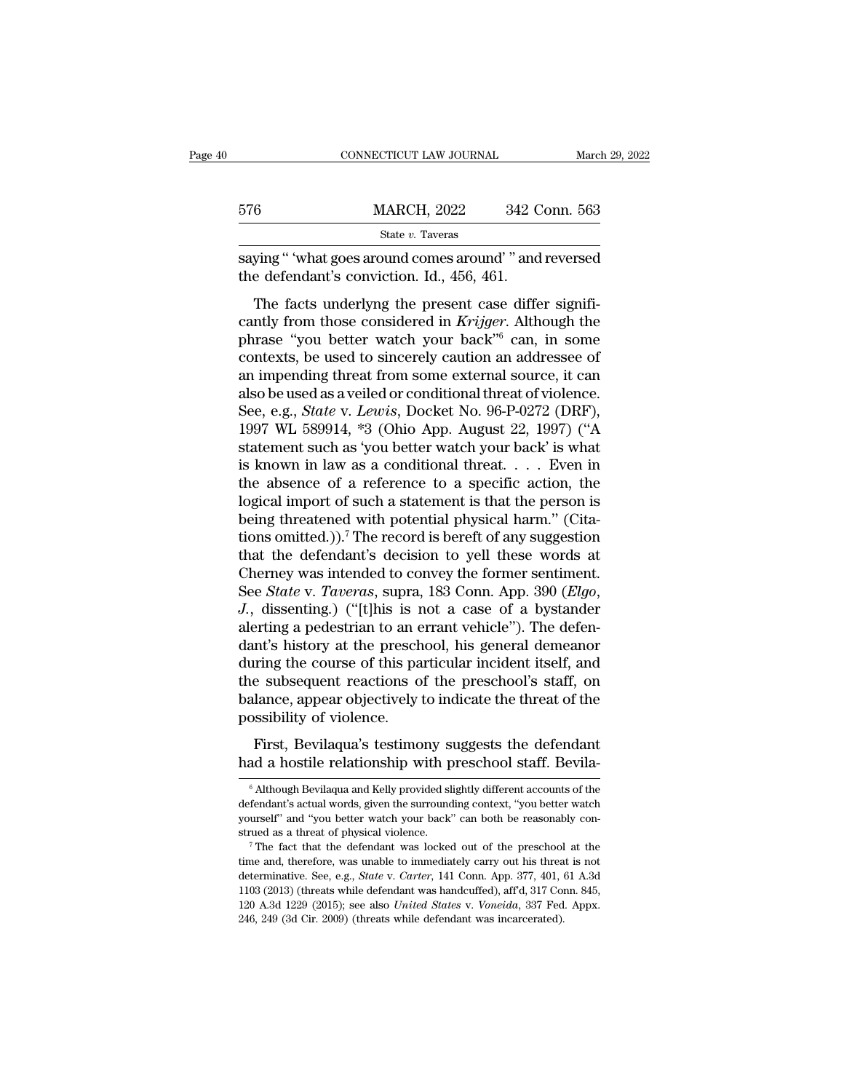|     | CONNECTICUT LAW JOURNAL                                                                                  | March 29, 2022 |
|-----|----------------------------------------------------------------------------------------------------------|----------------|
|     |                                                                                                          |                |
| 576 | <b>MARCH, 2022</b>                                                                                       | 342 Conn. 563  |
|     | State v. Taveras                                                                                         |                |
|     | saying " 'what goes around comes around' " and reversed<br>the defendant's conviction. Id., 456, 461.    |                |
|     | The facts underlyng the present case differ signifi-                                                     |                |
|     | cantly from those considered in Krijger. Although the<br>phrase "you botter woteb your back" can in some |                |

576 MARCH, 2022 342 Conn. 563<br>
State v. Taveras<br>
Saying " 'what goes around comes around' " and reversed<br>
the defendant's conviction. Id., 456, 461.<br>
The facts underlyng the present case differ signifi-<br>
cantly from those State v. Taveras<br>
saying "'what goes around comes around'" and reversed<br>
the defendant's conviction. Id., 456, 461.<br>
The facts underlyng the present case differ signifi-<br>
cantly from those considered in *Krijger*. Althoug saying " 'what goes around comes around' " and reversed<br>the defendant's conviction. Id., 456, 461.<br>The facts underlyng the present case differ signifi-<br>cantly from those considered in *Krijger*. Although the<br>phrase "you b anying with goes around comes around and reversed<br>the defendant's conviction. Id., 456, 461.<br>The facts underlyng the present case differ signifi-<br>cantly from those considered in *Krijger*. Although the<br>phrase "you better The facts underlyng the present case differ significantly from those considered in *Krijger*. Although the phrase "you better watch your back"<sup>6</sup> can, in some contexts, be used to sincerely caution an addressee of an impe The facts underlyng the present case differ significantly from those considered in *Krijger*. Although the phrase "you better watch your back"<sup>6</sup> can, in some contexts, be used to sincerely caution an addressee of an impen cantly from those considered in *Krijger*. Although the<br>phrase "you better watch your back"<sup>6</sup> can, in some<br>contexts, be used to sincerely caution an addressee of<br>an impending threat from some external source, it can<br>also phrase "you better watch your back"<sup>6</sup> can, in some contexts, be used to sincerely caution an addressee of an impending threat from some external source, it can also be used as a veiled or conditional threat of violence. contexts, be used to sincerely caution an addressee of<br>an impending threat from some external source, it can<br>also be used as a veiled or conditional threat of violence.<br>See, e.g., *State* v. *Lewis*, Docket No. 96-P-0272 an impending threat from some external source, it can<br>also be used as a veiled or conditional threat of violence.<br>See, e.g., *State* v. *Lewis*, Docket No. 96-P-0272 (DRF),<br>1997 WL 589914, \*3 (Ohio App. August 22, 1997) ( also be used as a veiled or conditional threat of violence.<br>See, e.g., *State v. Lewis*, Docket No. 96-P-0272 (DRF),<br>1997 WL 589914, \*3 (Ohio App. August 22, 1997) ("A<br>statement such as 'you better watch your back' is wha See, e.g., *State* v. *Lewis*, Docket No. 96-P-0272 (DRF), 1997 WL 589914, \*3 (Ohio App. August 22, 1997) ("A statement such as 'you better watch your back' is what is known in law as a conditional threat. . . . Even in t 1997 WL 589914, \*3 (Ohio App. August 22, 1997) ("A<br>statement such as 'you better watch your back' is what<br>is known in law as a conditional threat.... Even in<br>the absence of a reference to a specific action, the<br>logical im statement such as 'you better watch your back' is what<br>is known in law as a conditional threat. . . . Even in<br>the absence of a reference to a specific action, the<br>logical import of such a statement is that the person is<br>b is known in law as a conditional threat. . . . . Even in<br>the absence of a reference to a specific action, the<br>logical import of such a statement is that the person is<br>being threatened with potential physical harm." (Citathe absence of a reference to a specific action, the logical import of such a statement is that the person is being threatened with potential physical harm." (Citations omitted.)).<sup>7</sup> The record is bereft of any suggestion being threatened with potential physical harm." (Citations omitted.)).<sup>7</sup> The record is bereft of any suggestion that the defendant's decision to yell these words at Cherney was intended to convey the former sentiment. See tions omitted.)).<sup>7</sup> The record is bereft of any suggestion<br>that the defendant's decision to yell these words at<br>Cherney was intended to convey the former sentiment.<br>See *State* v. *Taveras*, supra, 183 Conn. App. 390 (*E* that the defendant's decision to yell these words at<br>Cherney was intended to convey the former sentiment.<br>See *State* v. *Taveras*, supra, 183 Conn. App. 390 (*Elgo*,<br>*J.*, dissenting.) ("[t]his is not a case of a bystande Cherney was intended to convey the former sentiment.<br>See *State* v. *Taveras*, supra, 183 Conn. App. 390 (*Elgo*,<br>*J.*, dissenting.) ("[t]his is not a case of a bystander<br>alerting a pedestrian to an errant vehicle"). The d See *State* v. *Taveras*, supra, 183 Conn. App. 390 (*Elgo*, *J.*, dissenting.) ("[t]his is not a case of a bystander alerting a pedestrian to an errant vehicle"). The defendant's history at the preschool, his general deme J., dissenting.) ("[t]his is r<br>alerting a pedestrian to an e<br>dant's history at the presch<br>during the course of this pa<br>the subsequent reactions o<br>balance, appear objectively<br>possibility of violence.<br>First, Bevilaqua's test Frang a peassinant to an effaint ventere for the defendant<br>the visitory at the preschool, his general demeanor<br>ring the course of this particular incident itself, and<br>e subsequent reactions of the preschool's staff, on<br>lan during the course of this particular incident itself, and<br>the subsequent reactions of the preschool's staff, on<br>balance, appear objectively to indicate the threat of the<br>possibility of violence.<br>First, Bevilaqua's testimon

bevilagua's testimony suggests the defendant<br>first, Bevilaqua's testimony suggests the defendant<br>and a hostile relationship with preschool staff. Bevila-<br> $\frac{6}{9}$  Although Bevilaqua and Kelly provided slightly different a First, Bevilaqua's testimony suggests the defendant<br>
had a hostile relationship with preschool staff. Bevila-<br>
<sup>6</sup> Although Bevilaqua and Kelly provided slightly different accounts of the<br>
defendant's actual words, given t First, Bevilaqua's testimony suggests the defendant<br>had a hostile relationship with preschool staff. Bevila-<br><sup>6</sup> Although Bevilaqua and Kelly provided slightly different accounts of the<br>defendant's actual words, given the structured as a threat of physical violence. <sup>7</sup> The fact that the defendant's actual words, given the surrounding context, "you better watch yourself" and "you better watch your back" can both be reasonably construed as a <sup>6</sup> Although Bevilaqua and Kelly provided slightly different accounts of the defendant's actual words, given the surrounding context, "you better watch yourself" and "you better watch your back" can both be reasonably con

defendant's actual words, given the surrounding context, "you better watch<br>yourself" and "you better watch your back" can both be reasonably con-<br>strued as a threat of physical violence.<br><sup>7</sup> The fact that the defendant was yourself" and "you better watch your back" can both be reasonably construed as a threat of physical violence.<br>
<sup>7</sup> The fact that the defendant was locked out of the preschool at the time and, therefore, was unable to imme strued as a threat of physical violence.<br><sup>7</sup> The fact that the defendant was locked out of the preschool at the<br>time and, therefore, was unable to immediately carry out his threat is not<br>determinative. See, e.g., *State* v time and, therefore, was unable to immediately carry out his threat is not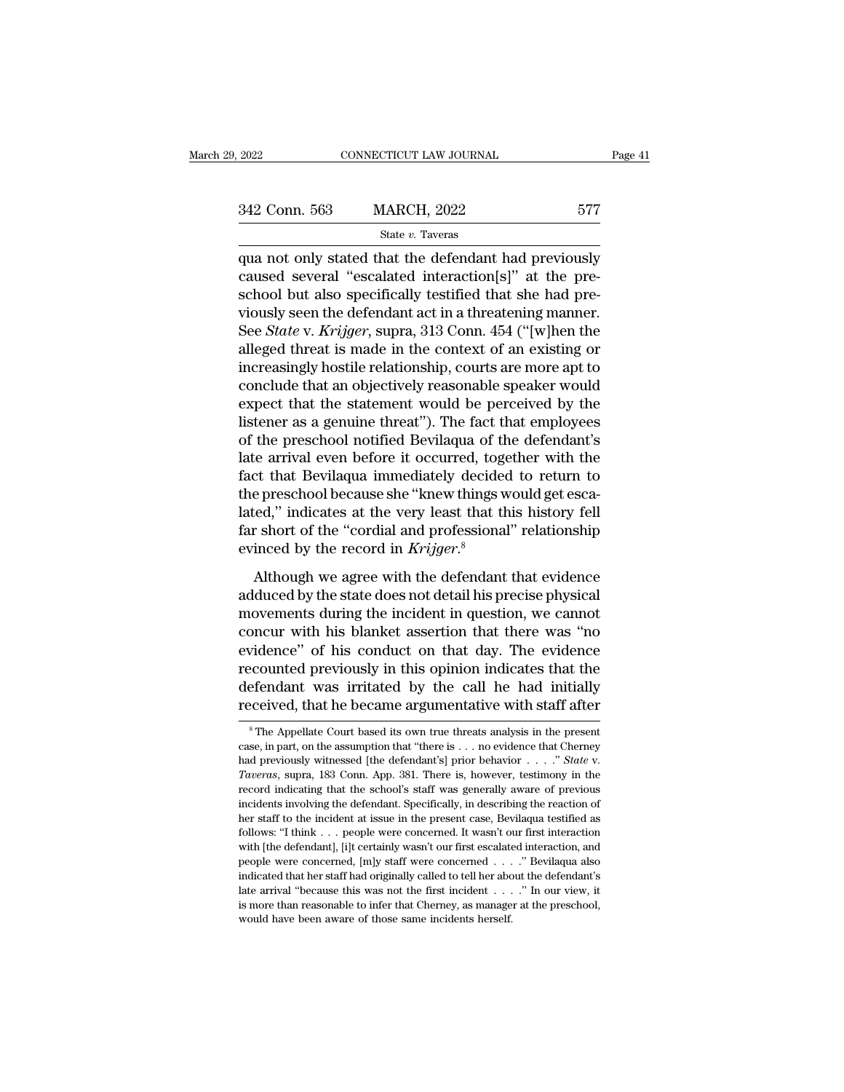| , 2022        | CONNECTICUT LAW JOURNAL | Page 41 |  |
|---------------|-------------------------|---------|--|
| 342 Conn. 563 | <b>MARCH, 2022</b>      | 577     |  |
|               | State v. Taveras        |         |  |

 $\begin{tabular}{llllll} \hline 2022 & & & & & & \mbox{COMRECTICUT LAW JOURNAL} & \multicolumn{2}{l} \textbf{Page 41} \\ \hline & & & & \mbox{State $v$}. \textbf{Tavers} \\ \hline & & & & \mbox{State $v$}. \textbf{Tavers} \\ \hline & & & & \mbox{State $v$}. \textbf{Tavers} \\ \hline & & & & \mbox{que not only stated that the defendant had previously} \\ \hline \textbf{caused several ``escalated interaction[s]'' at the pre-  
eacho! but else a雜ification [s]'' at the pre-  
eacho! but also a reaifically traditional that she had me} \end{tabular}$ 342 Conn. 563 MARCH, 2022 577<br>
State v. Taveras<br>
qua not only stated that the defendant had previously<br>
caused several "escalated interaction[s]" at the pre-<br>
school but also specifically testified that she had pre-<br>
viou 342 Conn. 563 MARCH, 2022 577<br>
State v. Taveras<br>
qua not only stated that the defendant had previously<br>
caused several "escalated interaction[s]" at the pre-<br>
school but also specifically testified that she had pre-<br>
viou 342 Conn. 563 MARCH, 2022 577<br>
state v. Taveras<br>
qua not only stated that the defendant had previously<br>
caused several "escalated interaction[s]" at the pre-<br>
school but also specifically testified that she had pre-<br>
viou State *v*. Taveras<br>
qua not only stated that the defendant had previously<br>
caused several "escalated interaction[s]" at the pre-<br>
school but also specifically testified that she had pre-<br>
viously seen the defendant act in state v. Taveras<br>
qua not only stated that the defendant had previously<br>
caused several "escalated interaction[s]" at the pre-<br>
school but also specifically testified that she had pre-<br>
viously seen the defendant act in a qua not only stated that the defendant had previously<br>caused several "escalated interaction[s]" at the pre-<br>school but also specifically testified that she had pre-<br>viously seen the defendant act in a threatening manner.<br>S caused several "escalated interaction[s]" at the pre-<br>school but also specifically testified that she had pre-<br>viously seen the defendant act in a threatening manner.<br>See *State* v. *Krijger*, supra, 313 Conn. 454 ("[w]hen school but also specifically testified that she had pre-<br>viously seen the defendant act in a threatening manner.<br>See *State* v. *Krijger*, supra, 313 Conn. 454 ("[w]hen the<br>alleged threat is made in the context of an exist viously seen the defendant act in a threatening manner.<br>See *State* v. *Krijger*, supra, 313 Conn. 454 ("[w]hen the<br>alleged threat is made in the context of an existing or<br>increasingly hostile relationship, courts are more See *State* v. *Krijger*, supra, 313 Conn. 454 ("[w]hen the alleged threat is made in the context of an existing or increasingly hostile relationship, courts are more apt to conclude that an objectively reasonable speaker alleged threat is made in the context of an existing or<br>increasingly hostile relationship, courts are more apt to<br>conclude that an objectively reasonable speaker would<br>expect that the statement would be perceived by the<br>li increasingly hostile relationship, courts are more apt to<br>conclude that an objectively reasonable speaker would<br>expect that the statement would be perceived by the<br>listener as a genuine threat"). The fact that employees<br>of conclude that an objectively reasonable speaker would<br>expect that the statement would be perceived by the<br>listener as a genuine threat"). The fact that employees<br>of the preschool notified Bevilaqua of the defendant's<br>late expect that the statement would be perceived by the listener as a genuine threat"). The fact that employees of the preschool notified Bevilaqua of the defendant's late arrival even before it occurred, together with the fac listener as a genuine threat"). The fact that employees<br>of the preschool notified Bevilaqua of the defendant's<br>late arrival even before it occurred, together with the<br>fact that Bevilaqua immediately decided to return to<br>t of the preschool notified Bevilaqua of the late arrival even before it occurred, togentiate arrival even before it occurred, togentiate the preschool because she "knew things v lated," indicates at the very least that the Let that Bevilaqua immediately decided to return to<br>e preschool because she "knew things would get esca-<br>red," indicates at the very least that this history fell<br>r short of the "cordial and professional" relationship<br>inced and *Evidapa miniciality* actual to Fearth to<br>the preschool because she "knew things would get esca-<br>lated," indicates at the very least that this history fell<br>far short of the "cordial and professional" relationship<br>evinc

and proceeds are the increasing to analyse seed<br>lated," indicates at the very least that this history fell<br>far short of the "cordial and professional" relationship<br>evinced by the record in *Krijger*.<sup>8</sup><br>Although we agree w far short of the "cordial and professional" relationship<br>evinced by the record in  $Krijger$ .<sup>8</sup><br>Although we agree with the defendant that evidence<br>adduced by the state does not detail his precise physical<br>movements during the evinced by the record in *Krijger*.<sup>8</sup><br>Although we agree with the defendant that evidence<br>adduced by the state does not detail his precise physical<br>movements during the incident in question, we cannot<br>concur with his blank Although we agree with the defendant that evidence<br>adduced by the state does not detail his precise physical<br>movements during the incident in question, we cannot<br>concur with his blanket assertion that there was "no<br>evidenc Although we agree with the defendant that evidence<br>adduced by the state does not detail his precise physical<br>movements during the incident in question, we cannot<br>concur with his blanket assertion that there was "no<br>evidenc adduced by the state does not detail his precise physical<br>movements during the incident in question, we cannot<br>concur with his blanket assertion that there was "no<br>evidence" of his conduct on that day. The evidence<br>recount Frace Courted previously in this opinion indicates that the efendant was irritated by the call he had initially coeived, that he became argumentative with staff after  $^8$ The Appellate Court based its own true threats ana recounted previously in this opinion indicates that the defendant was irritated by the call he had initially received, that he became argumentative with staff after  $^s$ The Appellate Court based its own true threats analy

defendant was irritated by the call he had initially<br>received, that he became argumentative with staff after<br><sup>8</sup>The Appellate Court based its own true threats analysis in the present<br>case, in part, on the assumption that " Feceived, that if became argumentative with staff are<br>
<sup>8</sup>The Appellate Court based its own true threats analysis in the present<br>
case, in part, on the assumption that "there is . . . no evidence that Cherney<br>
had previous <sup>8</sup> The Appellate Court based its own true threats analysis in the present case, in part, on the assumption that "there is . . . no evidence that Cherney had previously witnessed [the defendant's] prior behavior . . . . " case, in part, on the assumption that "there is  $\ldots$  no evidence that Cherney had previously witnessed [the defendant's] prior behavior  $\ldots$ ." *State* v. *Taveras*, supra, 183 Conn. App. 381. There is, however, testimon had previously witnessed [the defendant's] prior behavior  $\ldots$  " State v.<br>Taveras, supra, 183 Conn. App. 381. There is, however, testimony in the<br>record indicating that the school's staff was generally aware of previous<br> Taveras, supra, 183 Conn. App. 381. There is, however, testimony in the record indicating that the school's staff was generally aware of previous incidents involving the defendant. Specifically, in describing the reaction record indicating that the school's staff was generally aware of previous incidents involving the defendant. Specifically, in describing the reaction of her staff to the incident at issue in the present case, Bevilaqua tes incidents involving the defendant. Specifically, in describing the reaction of her staff to the incident at issue in the present case, Bevilaqua testified as follows: "I think . . . people were concerned. It wasn't our fi her staff to the incident at issue in the present case, Bevilaqua testified as follows: "I think . . . people were concerned. It wasn't our first interaction, and people were concerned, [m]y staff were concerned . . . . " follows: "I think . . . people were concerned. It wasn't our first interaction with [the defendant], [i]t certainly wasn't our first escalated interaction, and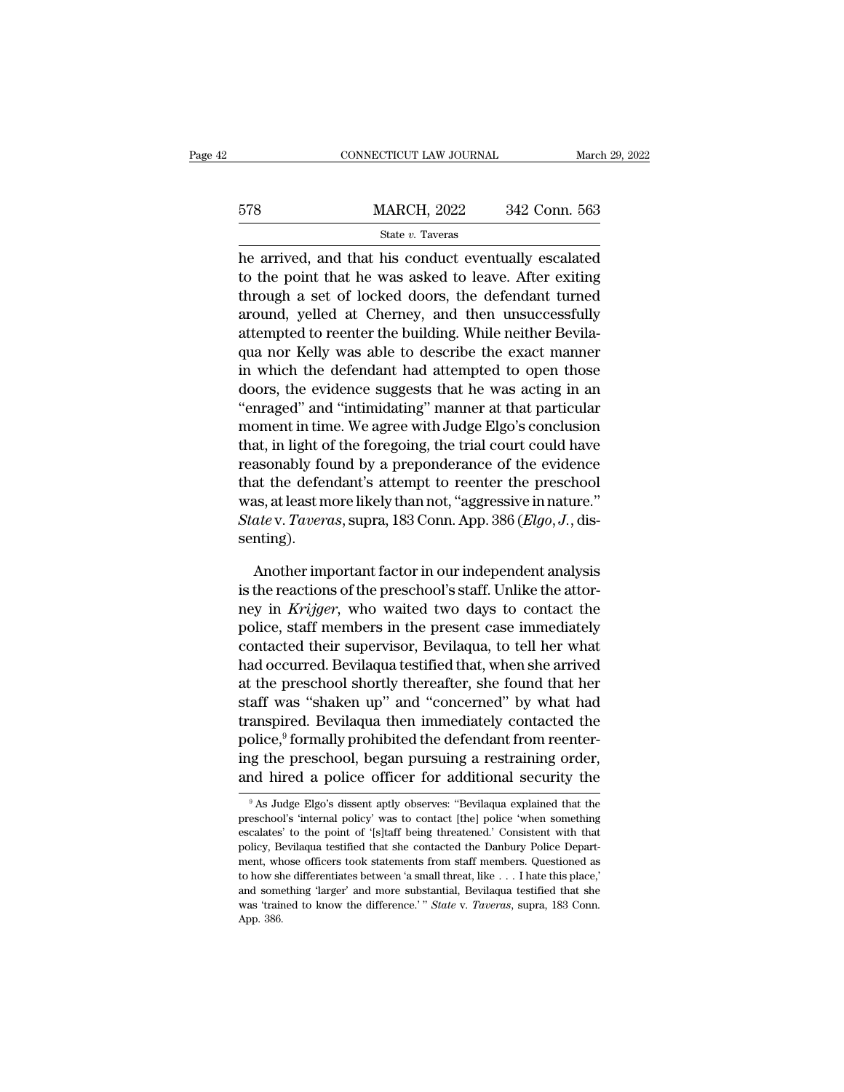|     | CONNECTICUT LAW JOURNAL                                                                                                                                               | March 29, 2022 |
|-----|-----------------------------------------------------------------------------------------------------------------------------------------------------------------------|----------------|
| 578 | <b>MARCH, 2022</b>                                                                                                                                                    | 342 Conn. 563  |
|     | State v. Taveras                                                                                                                                                      |                |
|     | he arrived, and that his conduct eventually escalated<br>to the point that he was asked to leave. After exiting<br>through a got of looked doore the defendant tumped |                |

578 MARCH, 2022 342 Conn. 563<br>
State v. Taveras<br>
he arrived, and that his conduct eventually escalated<br>
to the point that he was asked to leave. After exiting<br>
through a set of locked doors, the defendant turned<br>
around va 578 MARCH, 2022 342 Conn. 563<br>
State v. Taveras<br>
he arrived, and that his conduct eventually escalated<br>
to the point that he was asked to leave. After exiting<br>
through a set of locked doors, the defendant turned<br>
around,  $\frac{\text{MARCH}}{\text{State } v. \text{ Tavers}}$ <br>
arrived, and that his conduct eventually escalated<br>
to the point that he was asked to leave. After exiting<br>
through a set of locked doors, the defendant turned<br>
around, yelled at Cherney, and then State v. Taveras<br>he arrived, and that his conduct eventually escalated<br>to the point that he was asked to leave. After exiting<br>through a set of locked doors, the defendant turned<br>around, yelled at Cherney, and then unsucce baat of avoidable to describe the arrived, and that his conduct eventually escalated to the point that he was asked to leave. After exiting through a set of locked doors, the defendant turned around, yelled at Cherney, and he arrived, and that his conduct eventually escalated<br>to the point that he was asked to leave. After exiting<br>through a set of locked doors, the defendant turned<br>around, yelled at Cherney, and then unsuccessfully<br>attempted to the point that he was asked to leave. After exiting<br>through a set of locked doors, the defendant turned<br>around, yelled at Cherney, and then unsuccessfully<br>attempted to reenter the building. While neither Bevila-<br>qua nor through a set of locked doors, the detendant turned<br>around, yelled at Cherney, and then unsuccessfully<br>attempted to reenter the building. While neither Bevila-<br>qua nor Kelly was able to describe the exact manner<br>in which t around, yelled at Cherney, and then unsuccessfully<br>attempted to reenter the building. While neither Bevila-<br>qua nor Kelly was able to describe the exact manner<br>in which the defendant had attempted to open those<br>doors, the attempted to reenter the building. While neither Bevila-<br>qua nor Kelly was able to describe the exact manner<br>in which the defendant had attempted to open those<br>doors, the evidence suggests that he was acting in an<br>"enraged qua nor Kelly was able to describe the exact manner<br>in which the defendant had attempted to open those<br>doors, the evidence suggests that he was acting in an<br>"enraged" and "intimidating" manner at that particular<br>moment in in which the defendant had attempted to open those<br>doors, the evidence suggests that he was acting in an<br>"enraged" and "intimidating" manner at that particular<br>moment in time. We agree with Judge Elgo's conclusion<br>that, i doors, the evidence suggests that he was acting in an "enraged" and "intimidating" manner at that particular moment in time. We agree with Judge Elgo's conclusion that, in light of the foregoing, the trial court could hav "enraged" and "intimidating" manner at that particular<br>moment in time. We agree with Judge Elgo's conclusion<br>that, in light of the foregoing, the trial court could have<br>reasonably found by a preponderance of the evidence<br>t senting). asonably found by a preponderance of the evidence<br>at the defendant's attempt to reenter the preschool<br>as, at least more likely than not, "aggressive in nature."<br>ate v. *Taveras*, supra, 183 Conn. App. 386 (*Elgo*, *J*., di that the defendant's attempt to reenter the preschool<br>was, at least more likely than not, "aggressive in nature."<br>State v. Taveras, supra, 183 Conn. App. 386 (*Elgo*, *J*., dis-<br>senting).<br>Another important factor in our i

was, at least more likely than not, "aggressive in nature."<br> *State* v. *Taveras*, supra, 183 Conn. App. 386 (*Elgo*, *J*., dissenting).<br>
Another important factor in our independent analysis<br>
is the reactions of the presch State v. Taveras, supra, 183 Conn. App. 386 (*Elgo*, *J*., dissenting).<br>Another important factor in our independent analysis<br>is the reactions of the preschool's staff. Unlike the attor-<br>ney in *Krijger*, who waited two day senting).<br>
Another important factor in our independent analysis<br>
is the reactions of the preschool's staff. Unlike the attor-<br>
ney in *Krijger*, who waited two days to contact the<br>
police, staff members in the present case Another important factor in our independent analysis<br>is the reactions of the preschool's staff. Unlike the attor-<br>ney in *Krijger*, who waited two days to contact the<br>police, staff members in the present case immediately<br>c Another important factor in our independent analysis<br>is the reactions of the preschool's staff. Unlike the attor-<br>ney in *Krijger*, who waited two days to contact the<br>police, staff members in the present case immediately<br>c is the reactions of the preschool's staff. Unlike the attor-<br>ney in *Krijger*, who waited two days to contact the<br>police, staff members in the present case immediately<br>contacted their supervisor, Bevilaqua, to tell her wha ney in *Krijger*, who waited two days to contact the<br>police, staff members in the present case immediately<br>contacted their supervisor, Bevilaqua, to tell her what<br>had occurred. Bevilaqua testified that, when she arrived<br>at police, staff members in the present case immediately<br>contacted their supervisor, Bevilaqua, to tell her what<br>had occurred. Bevilaqua testified that, when she arrived<br>at the preschool shortly thereafter, she found that her contacted their supervisor, Bevilaqua, to tell her what<br>had occurred. Bevilaqua testified that, when she arrived<br>at the preschool shortly thereafter, she found that her<br>staff was "shaken up" and "concerned" by what had<br>tra had occurred. Bevilaqua testified that, when she arrived<br>at the preschool shortly thereafter, she found that her<br>staff was "shaken up" and "concerned" by what had<br>transpired. Bevilaqua then immediately contacted the<br>police anspired. Bevilaqua then intihediately contacted the<br>plice,<sup>9</sup> formally prohibited the defendant from reenter-<br>ig the preschool, began pursuing a restraining order,<br>id hired a police officer for additional security the<br><sup>9</sup> police,<sup>9</sup> formally prohibited the defendant from reentering the preschool, began pursuing a restraining order, and hired a police officer for additional security the  $\frac{9}{18}$  As Judge Elgo's dissent aptly observes: "Bev

ing the preschool, began pursuing a restraining order,<br>and hired a police officer for additional security the<br><sup>9</sup>As Judge Elgo's dissent aptly observes: "Bevilaqua explained that the<br>preschool's 'internal policy' was to co and hired a police officer for additional security the  $\frac{9}{18}$  As Judge Elgo's dissent aptly observes: "Bevilaqua explained that the preschool's 'internal policy' was to contact [the] police 'when something escalates' <sup>9</sup> As Judge Elgo's dissent aptly observes: "Bevilaqua explained that the preschool's 'internal policy' was to contact [the] police 'when something escalates' to the point of '[s]taff being threatened.' Consistent with th <sup>9</sup> As Judge Elgo's dissent aptly observes: "Bevilaqua explained that the preschool's 'internal policy' was to contact [the] police 'when something escalates' to the point of '[s]taff being threatened.' Consistent with th preschool's 'internal policy' was to contact [the] police 'when something escalates' to the point of '[s]taff being threatened.' Consistent with that policy, Bevilaqua testified that she contacted the Danbury Police Depar escalates' to the point of '[s]taff being threatened.' Consistent with that policy, Bevilaqua testified that she contacted the Danbury Police Department, whose officers took statements from staff members. Questioned as to policy, Bevilaqua testified that she contacted the Danbury Police Depart-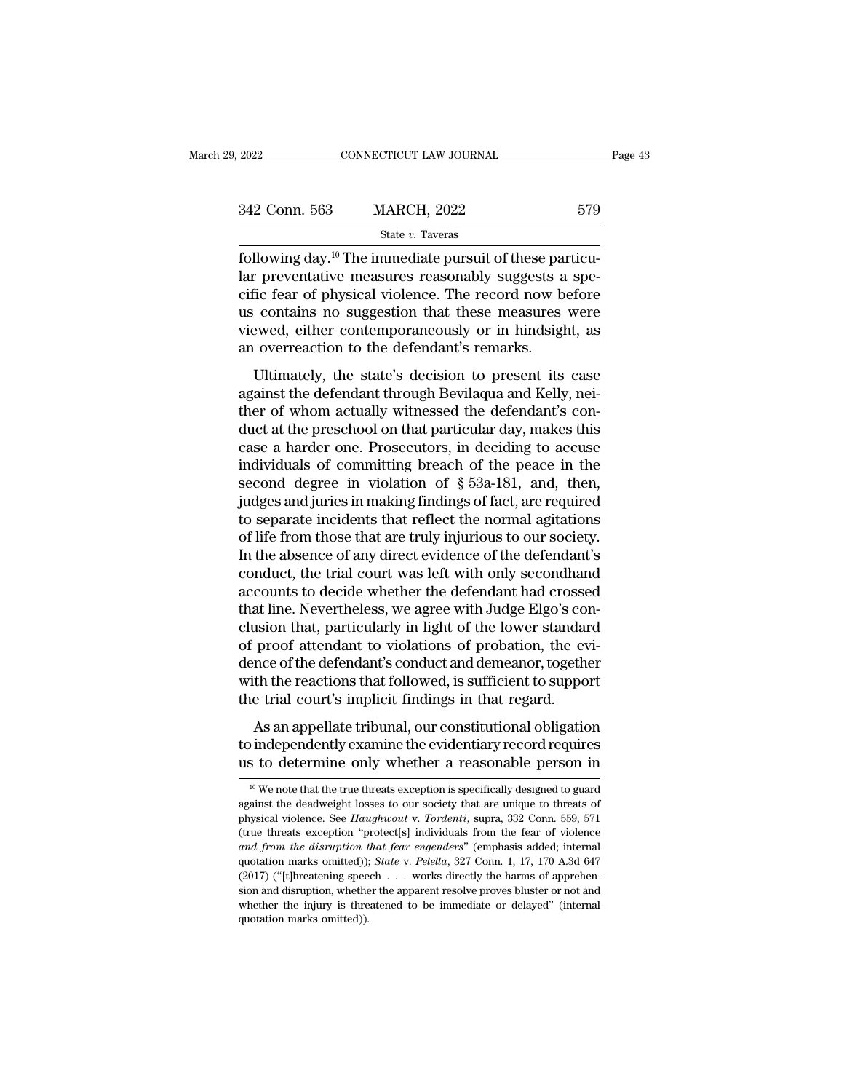| 9, 2022       | CONNECTICUT LAW JOURNAL                                                                                                                                                                | Page 43 |
|---------------|----------------------------------------------------------------------------------------------------------------------------------------------------------------------------------------|---------|
| 342 Conn. 563 | <b>MARCH, 2022</b>                                                                                                                                                                     | 579     |
|               | State v. Taveras                                                                                                                                                                       |         |
|               | following day. <sup>10</sup> The immediate pursuit of these particu-<br>lar preventative measures reasonably suggests a spe-<br>gific foar of physical violence. The record now before |         |

 $\frac{342 \text{ Conn. } 563}{\text{State } v. } \frac{\text{Sate } v. } 579$ <br>  $\frac{\text{State } v. } 739$ <br>
following day.<sup>10</sup> The immediate pursuit of these particu-<br>
lar preventative measures reasonably suggests a spe-<br>
cific fear of physical violence. The record n 342 Conn. 563 MARCH, 2022 579<br>
State v. Taveras<br>
following day.<sup>10</sup> The immediate pursuit of these particu-<br>
lar preventative measures reasonably suggests a specific fear of physical violence. The record now before<br>
us co 342 Conn. 563 MARCH, 2022 579<br>
State v. Taveras<br>
following day.<sup>10</sup> The immediate pursuit of these particu-<br>
lar preventative measures reasonably suggests a specific fear of physical violence. The record now before<br>
us co Since of the second viewed,  $\frac{1}{2}$  and  $\frac{1}{2}$  are  $v$ . Taveras<br>following day.<sup>10</sup> The immediate pursuit of these particular preventative measures reasonably suggests a specific fear of physical violence. The record state *v*. Taveras<br>following day.<sup>10</sup> The immediate pursuit of these par<br>lar preventative measures reasonably suggests a<br>cific fear of physical violence. The record now b<br>us contains no suggestion that these measures<br>viewe The miniculate pulsation these particu-<br>
The preventative measures reasonably suggests a specie fear of physical violence. The record now before<br>
contains no suggestion that these measures were<br>
ewed, either contemporaneou all preventiance measures reasonably suggests a specific fear of physical violence. The record now before us contains no suggestion that these measures were viewed, either contemporaneously or in hindsight, as an overreact

the real of physical violence. The record flow serond<br>us contains no suggestion that these measures were<br>viewed, either contemporaneously or in hindsight, as<br>an overreaction to the defendant's remarks.<br>Ultimately, the stat duck at the present and these measures were<br>viewed, either contemporaneously or in hindsight, as<br>an overreaction to the defendant's remarks.<br>Ultimately, the state's decision to present its case<br>against the defendant throug case a harder one. Prosecutors, in this case<br>against the defendant through Bevilagua and Kelly, nei-<br>ther of whom actually witnessed the defendant's con-<br>duct at the preschool on that particular day, makes this<br>case a har Ultimately, the state's decision to present its case<br>against the defendant through Bevilaqua and Kelly, nei-<br>ther of whom actually witnessed the defendant's con-<br>duct at the preschool on that particular day, makes this<br>ca Ultimately, the state's decision to present its case<br>against the defendant through Bevilaqua and Kelly, nei-<br>ther of whom actually witnessed the defendant's con-<br>duct at the preschool on that particular day, makes this<br>cas against the defendant through Bevilaqua and Kelly, nei-<br>ther of whom actually witnessed the defendant's con-<br>duct at the preschool on that particular day, makes this<br>case a harder one. Prosecutors, in deciding to accuse<br>in ther of whom actually witnessed the defendant's conduct at the preschool on that particular day, makes this case a harder one. Prosecutors, in deciding to accuse individuals of committing breach of the peace in the second duct at the preschool on that particular day, makes this<br>case a harder one. Prosecutors, in deciding to accuse<br>individuals of committing breach of the peace in the<br>second degree in violation of § 53a-181, and, then,<br>judges case a harder one. Prosecutors, in deciding to accuse<br>individuals of committing breach of the peace in the<br>second degree in violation of  $\S$  53a-181, and, then,<br>judges and juries in making findings of fact, are required<br>t individuals of committing breach of the peace in the second degree in violation of  $\S$  53a-181, and, then, judges and juries in making findings of fact, are required to separate incidents that reflect the normal agitation second degree in violation of § 53a-181, and, then,<br>judges and juries in making findings of fact, are required<br>to separate incidents that reflect the normal agitations<br>of life from those that are truly injurious to our soc judges and juries in making findings of fact, are required<br>to separate incidents that reflect the normal agitations<br>of life from those that are truly injurious to our society.<br>In the absence of any direct evidence of the d to separate incidents that reflect the normal agitations<br>of life from those that are truly injurious to our society.<br>In the absence of any direct evidence of the defendant's<br>conduct, the trial court was left with only seco of life from those that are truly injurious to our society.<br>In the absence of any direct evidence of the defendant's<br>conduct, the trial court was left with only secondhand<br>accounts to decide whether the defendant had cross In the absence of any direct evidence of the defendant's conduct, the trial court was left with only secondhand accounts to decide whether the defendant had crossed that line. Nevertheless, we agree with Judge Elgo's concl conduct, the trial court was left with only secondhand<br>accounts to decide whether the defendant had crossed<br>that line. Nevertheless, we agree with Judge Elgo's con-<br>clusion that, particularly in light of the lower standard accounts to decide whether the defendant had crosse<br>that line. Nevertheless, we agree with Judge Elgo's conclusion that, particularly in light of the lower standar<br>of proof attendant to violations of probation, the ev<br>denc as me. Neveraletess, we agree whrough lago 5 constant<br>as an approximation that, particularly in light of the lower standard<br>proof attendant to violations of probation, the evi-<br>nce of the defendant's conduct and demeanor, trasson that, particularly in light of the fower standard<br>of proof attendant to violations of probation, the evi-<br>dence of the defendant's conduct and demeanor, together<br>with the reactions that followed, is sufficient to s or proof attendant to violations or probation, the evidence of the defendant's conduct and demeanor, together with the reactions that followed, is sufficient to support the trial court's implicit findings in that regard.<br>

the trial court's implicit findings in that regard.<br>
As an appellate tribunal, our constitutional obligation<br>
to independently examine the evidentiary record requires<br>
us to determine only whether a reasonable person in<br> As an appellate tribunal, our constitutional obligation<br>to independently examine the evidentiary record requires<br>us to determine only whether a reasonable person in<br> $\frac{10}{10}$  We note that the true threats exception is s

to independently examine the evidentiary record requires<br>us to determine only whether a reasonable person in<br><sup>10</sup> We note that the true threats exception is specifically designed to guard<br>against the deadweight losses to o (true threats exception ''protective'' areasonable person in<br>
<sup>10</sup> We note that the true threats exception is specifically designed to guard<br>
against the deadweight losses to our society that are unique to threats of<br>
phy <sup>10</sup> We note that the true threats exception is specifically designed to guard against the deadweight losses to our society that are unique to threats of physical violence. See *Haughwout v. Tordenti*, supra, 332 Conn. 559 <sup>10</sup> We note that the true threats exception is specifically designed to guard against the deadweight losses to our society that are unique to threats of physical violence. See *Haughwout* v. *Tordenti*, supra, 332 Conn. against the deadweight losses to our society that are unique to threats of physical violence. See *Haughwout v. Tordenti*, supra, 332 Conn. 559, 571 (true threats exception "protect[s] individuals from the fear of violence shythesial violence. See *Haughwout* v. Tordenti, supra, 332 Conn. 559, 571 (true threats exception "protect[s] individuals from the fear of violence and from the disruption that fear engenders" (emphasis added; internal q (true threats exception "protect[s] individuals from the fear of violence and from the disruption that fear engenders" (emphasis added; internal quotation marks omitted)); *State* v. Pelella, 327 Conn. 1, 17, 170 A.3d 647 and from the disruption that fear engenders" (emphasis added; internal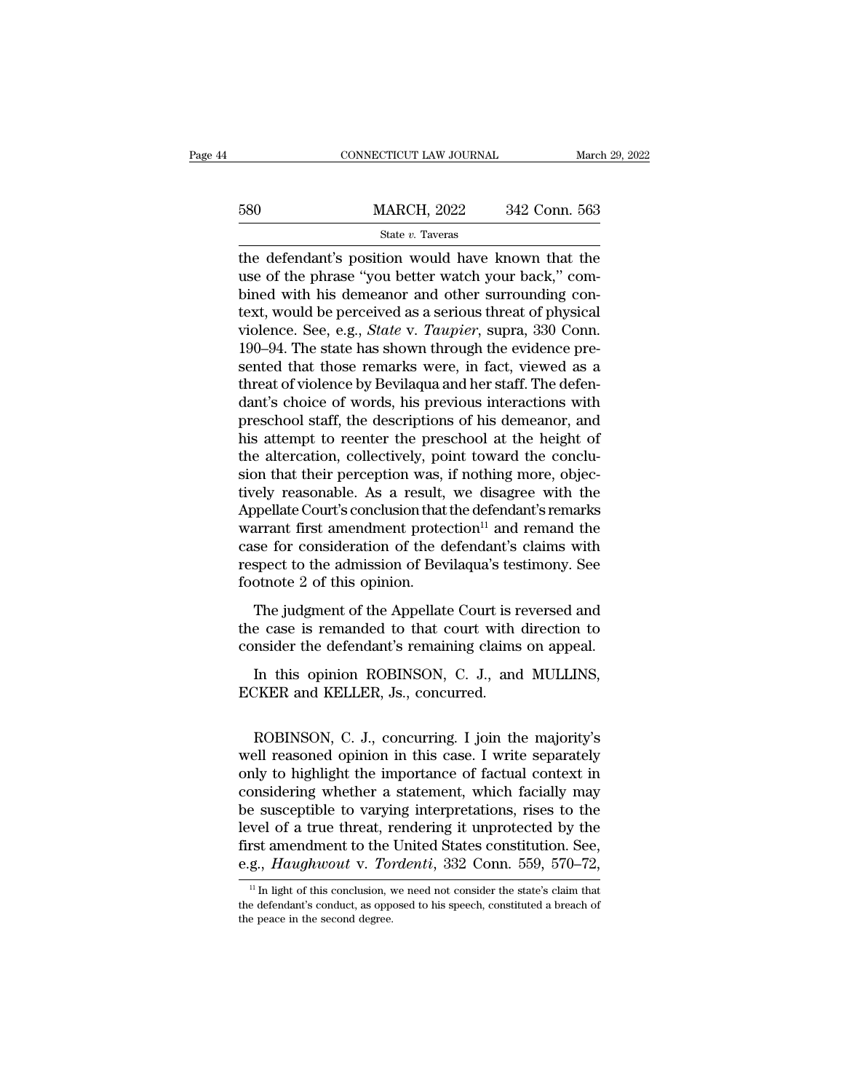|     | CONNECTICUT LAW JOURNAL                                                                                                                                         | March 29, 2022 |
|-----|-----------------------------------------------------------------------------------------------------------------------------------------------------------------|----------------|
| 580 | <b>MARCH, 2022</b>                                                                                                                                              | 342 Conn. 563  |
|     | State v. Taveras                                                                                                                                                |                |
|     | the defendant's position would have known that the<br>use of the phrase "you better watch your back," com-<br>binod with his domoonor and other surrounding con |                |

 $\frac{\text{MARCH}}{\text{State }v}$ . Taveras<br>
the defendant's position would have known that the<br>
use of the phrase "you better watch your back," com-<br>
bined with his demeanor and other surrounding con-<br>
toyt would be persolved as a seriou  $\frac{\text{MARCH}}{\text{State } v. \text{ Tavers}}$ <br>  $\frac{\text{State } v. \text{ Tavers}}{\text{the defendant's position would have known that the use of the phrase "you better watch your back," combined with his demeanor and other surrounding context, would be perceived as a serious threat of physical windows. So, 0.9, State Y. Taurier, sums, 330. Conn.$ 580 MARCH, 2022 342 Conn. 563<br>  $\frac{\text{State } v. \text{ Tavers}}{\text{the defendant's position would have known that the}$ <br>
use of the phrase "you better watch your back," com-<br>
bined with his demeanor and other surrounding con-<br>
text, would be perceived as a serious threat of phys State *v*. Taveras<br>
state *v*. Taveras<br>
the defendant's position would have known that the<br>
use of the phrase "you better watch your back," com-<br>
bined with his demeanor and other surrounding con-<br>
text, would be perceived state v. Taveras<br>
the defendant's position would have known that the<br>
use of the phrase "you better watch your back," com-<br>
bined with his demeanor and other surrounding con-<br>
text, would be perceived as a serious threat the defendant's position would have known that the<br>use of the phrase "you better watch your back," com-<br>bined with his demeanor and other surrounding con-<br>text, would be perceived as a serious threat of physical<br>violence. use of the phrase "you better watch your back," combined with his demeanor and other surrounding con-<br>text, would be perceived as a serious threat of physical<br>violence. See, e.g., *State* v. *Taupier*, supra, 330 Conn.<br>190 bined with his demeanor and other surrounding con-<br>text, would be perceived as a serious threat of physical<br>violence. See, e.g., *State* v. *Taupier*, supra, 330 Conn.<br>190–94. The state has shown through the evidence pre-<br> text, would be perceived as a serious threat of physical<br>violence. See, e.g., *State* v. *Taupier*, supra, 330 Conn.<br>190–94. The state has shown through the evidence pre-<br>sented that those remarks were, in fact, viewed as violence. See, e.g., *State* v. *Taupier*, supra, 330 Conn.<br>190–94. The state has shown through the evidence pre-<br>sented that those remarks were, in fact, viewed as a<br>threat of violence by Bevilaqua and her staff. The defe 190–94. The state has shown through the evidence presented that those remarks were, in fact, viewed as a threat of violence by Bevilaqua and her staff. The defendant's choice of words, his previous interactions with presc sented that those remarks were, in fact, viewed as a threat of violence by Bevilaqua and her staff. The defendant's choice of words, his previous interactions with preschool staff, the descriptions of his demeanor, and his threat of violence by Bevilaqua and her staff. The defen-<br>dant's choice of words, his previous interactions with<br>preschool staff, the descriptions of his demeanor, and<br>his attempt to reenter the preschool at the height of<br> dant's choice of words, his previous interactions with<br>preschool staff, the descriptions of his demeanor, and<br>his attempt to reenter the preschool at the height of<br>the altercation, collectively, point toward the conclu-<br>si preschool staff, the descriptions of his demeanor, and<br>his attempt to reenter the preschool at the height of<br>the altercation, collectively, point toward the conclu-<br>sion that their perception was, if nothing more, objec-<br>t his attempt to reenter the preschool at the height of<br>the altercation, collectively, point toward the conclu-<br>sion that their perception was, if nothing more, objec-<br>tively reasonable. As a result, we disagree with the<br>App the altercation, collectively, point toward the conclusion that their perception was, if nothing more, objectively reasonable. As a result, we disagree with the Appellate Court's conclusion that the defendant's remarks war sion that their perception was,<br>tively reasonable. As a result,<br>Appellate Court's conclusion that<br>warrant first amendment prote<br>case for consideration of the d<br>respect to the admission of Bev<br>footnote 2 of this opinion.<br>Th Eq. The judgment of the Appellate Court's remarks<br>arrant first amendment protection<sup>11</sup> and remand the<br>se for consideration of the defendant's claims with<br>spect to the admission of Bevilaqua's testimony. See<br>otnote 2 of t Experiment first amendment protection<sup>11</sup> and remand the case for consideration of the defendant's claims with respect to the admission of Bevilaqua's testimony. See footnote 2 of this opinion.<br>The judgment of the Appella realist first antentation proceedor and remaind are<br>case for consideration of the defendant's claims with<br>respect to the admission of Bevilaqua's testimony. See<br>footnote 2 of this opinion.<br>The judgment of the Appellate Cou

spect to the admission of Bevilaqua's testimony. See<br>otnote 2 of this opinion.<br>The judgment of the Appellate Court is reversed and<br>e case is remanded to that court with direction to<br>nsider the defendant's remaining claims footnote 2 of this opinion.<br>The judgment of the Appellate Court is r<br>the case is remanded to that court with<br>consider the defendant's remaining claims<br>In this opinion ROBINSON, C. J., and<br>ECKER and KELLER, Js., concurred.

e case is remanded to that court with direction to<br>nsider the defendant's remaining claims on appeal.<br>In this opinion ROBINSON, C. J., and MULLINS,<br>EKER and KELLER, Js., concurred.<br>ROBINSON, C. J., concurring. I join the m consider the defendant's remaining claims on appeal.<br>
In this opinion ROBINSON, C. J., and MULLINS,<br>
ECKER and KELLER, Js., concurred.<br>
ROBINSON, C. J., concurring. I join the majority's<br>
well reasoned opinion in this case In this opinion ROBINSON, C. J., and MULLINS,<br>ECKER and KELLER, Js., concurred.<br>ROBINSON, C. J., concurring. I join the majority's<br>well reasoned opinion in this case. I write separately<br>only to highlight the importance of ECKER and KELLER, Js., concurred.<br>
ROBINSON, C. J., concurring. I join the majority's<br>
well reasoned opinion in this case. I write separately<br>
only to highlight the importance of factual context in<br>
considering whether a s BOBINSON, C. J., concurring. I join the majority's<br>well reasoned opinion in this case. I write separately<br>only to highlight the importance of factual context in<br>considering whether a statement, which facially may<br>be suscep ROBINSON, C. J., concurring. I join the majority's<br>well reasoned opinion in this case. I write separately<br>only to highlight the importance of factual context in<br>considering whether a statement, which facially may<br>be susce ROBINSON, C. J., concurring. I join the majority's<br>well reasoned opinion in this case. I write separately<br>only to highlight the importance of factual context in<br>considering whether a statement, which facially may<br>be suscep well reasoned opinion in this case. I write separately<br>only to highlight the importance of factual context in<br>considering whether a statement, which facially may<br>be susceptible to varying interpretations, rises to the<br>leve e susceptible to varying interpretations, rises to the<br>wel of a true threat, rendering it unprotected by the<br>rst amendment to the United States constitution. See,<br>g., *Haughwout* v. *Tordenti*, 332 Conn. 559, 570–72,<br><sup>11</sup> level of a true threat, rendering it unprotected by the first amendment to the United States constitution. See, e.g., *Haughwout* v. *Tordenti*, 332 Conn. 559, 570–72,  $\frac{1}{1}$  In light of this conclusion, we need not co

first amendment to the e.g., *Haughwout* v. *Tota*<br> $\frac{1}{10}$  In light of this conclusion, v<br>the defendant's conduct, as opperties peace in the second degree.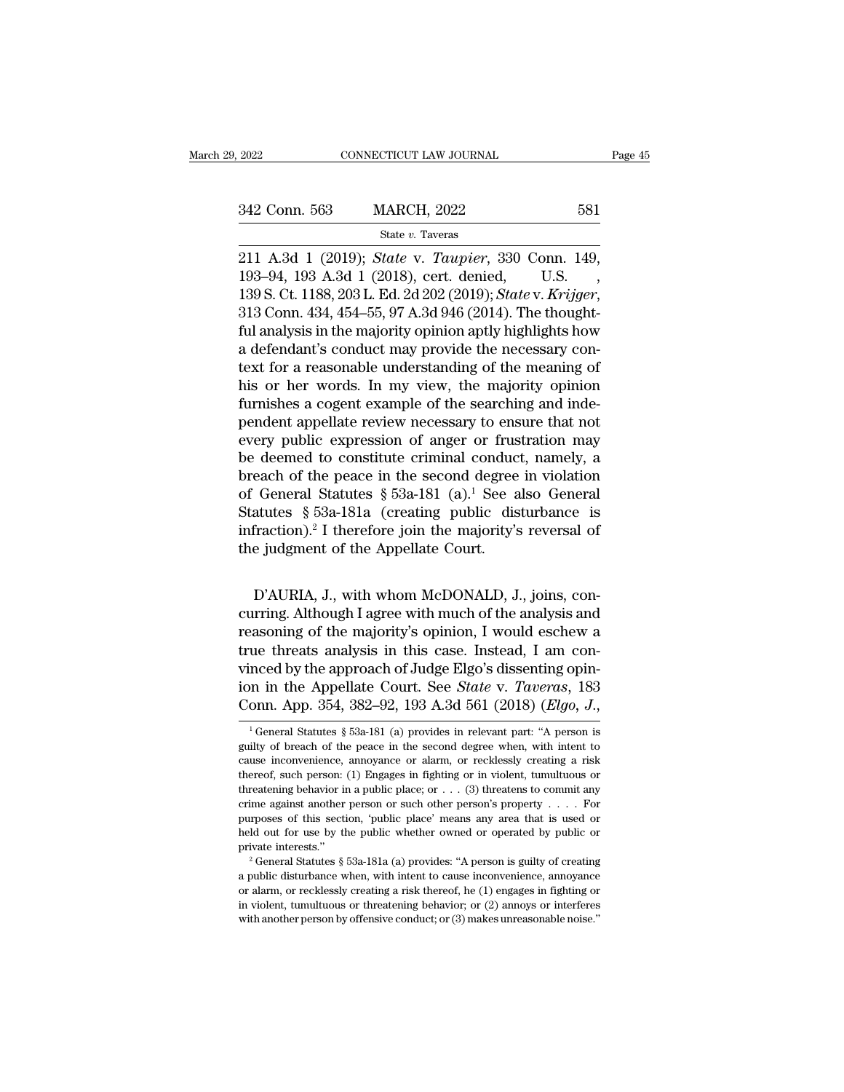State *v.* Taveras

2022 CONNECTICUT LAW JOURNAL Page<br>
342 Conn. 563 MARCH, 2022 581<br>
<sup>31</sup> State v. Taveras<br>
211 A.3d 1 (2019); *State* v. *Taupier*, 330 Conn. 149, 193-94, 193 A.3d 1 (2018), cert. denied, U.S. 342 Conn. 563 MARCH, 2022 581<br>
State v. Taveras<br>
211 A.3d 1 (2019); *State v. Taupier*, 330 Conn. 149,<br>
193–94, 193 A.3d 1 (2018), cert. denied, U.S.,<br>
139 S. Ct. 1188, 203 L. Ed. 2d 202 (2019); *State v. Krijger*,<br>
313 Co 1342 Conn. 563 MARCH, 2022 581<br>
139 State v. Taveras<br>
211 A.3d 1 (2019); *State* v. *Taupier*, 330 Conn. 149, 193–94, 193 A.3d 1 (2018), cert. denied, U.S.<br>
139 S. Ct. 1188, 203 L. Ed. 2d 202 (2019); *State* v. *Krijger*, State v. Taveras<br>
211 A.3d 1 (2019); State v. Taupier, 330 Conn. 149,<br>
193–94, 193 A.3d 1 (2018), cert. denied, U.S.,<br>
139 S. Ct. 1188, 203 L. Ed. 2d 202 (2019); State v. Krijger,<br>
313 Conn. 434, 454–55, 97 A.3d 946 (2014 state v. Taupier, 330 Conn. 149, 193–94, 193 A.3d 1 (2018), cert. denied, U.S.<br>193–94, 193 A.3d 1 (2018), cert. denied, U.S.<br>139 S. Ct. 1188, 203 L. Ed. 2d 202 (2019); *State v. Krigger*, 313 Conn. 434, 454–55, 97 A.3d 94 211 A.3d 1 (2019); *State v. Taupier*, 330 Conn. 149, 193–94, 193 A.3d 1 (2018), cert. denied, U.S., 139 S. Ct. 1188, 203 L. Ed. 2d 202 (2019); *State v. Krijger*, 313 Conn. 434, 454–55, 97 A.3d 946 (2014). The thoughtful 193–94, 193 A.3d 1 (2018), cert. denied, U.S. ,<br>139 S. Ct. 1188, 203 L. Ed. 2d 202 (2019); *State v. Krijger*,<br>313 Conn. 434, 454–55, 97 A.3d 946 (2014). The thought-<br>ful analysis in the majority opinion aptly highlights 139 S. Ct. 1188, 203 L. Ed. 2d 202 (2019); *State v. Krijger*, 313 Conn. 434, 454–55, 97 A.3d 946 (2014). The thought-<br>ful analysis in the majority opinion aptly highlights how<br>a defendant's conduct may provide the necess 313 Conn. 434, 454–55, 97 A.3d 946 (2014). The thought-<br>ful analysis in the majority opinion aptly highlights how<br>a defendant's conduct may provide the necessary con-<br>text for a reasonable understanding of the meaning of<br>h ful analysis in the majority opinion aptly highlights how<br>a defendant's conduct may provide the necessary con-<br>text for a reasonable understanding of the meaning of<br>his or her words. In my view, the majority opinion<br>furnis a defendant's conduct may provide the necessary con-<br>text for a reasonable understanding of the meaning of<br>his or her words. In my view, the majority opinion<br>furnishes a cogent example of the searching and inde-<br>pendent a text for a reasonable understanding of the meaning of<br>his or her words. In my view, the majority opinion<br>furnishes a cogent example of the searching and inde-<br>pendent appellate review necessary to ensure that not<br>every pu his or her words. In my view, the majority opinion<br>furnishes a cogent example of the searching and inde-<br>pendent appellate review necessary to ensure that not<br>every public expression of anger or frustration may<br>be deemed furnishes a cogent example of the searching and inde-<br>pendent appellate review necessary to ensure that not<br>every public expression of anger or frustration may<br>be deemed to constitute criminal conduct, namely, a<br>breach of pendent appellate review necessary to ensure that not<br>every public expression of anger or frustration may<br>be deemed to constitute criminal conduct, namely, a<br>breach of the peace in the second degree in violation<br>of Genera every public expression of anger or frus<br>be deemed to constitute criminal conduc<br>breach of the peace in the second degree<br>of General Statutes § 53a-181 (a).<sup>1</sup> See a<br>Statutes § 53a-181a (creating public dis<br>infraction).<sup>2</sup> General Statutes § 53a-181 (a).<sup>1</sup> See also General<br>General Statutes § 53a-181 (a).<sup>1</sup> See also General<br>atutes § 53a-181a (creating public disturbance is<br>fraction).<sup>2</sup> I therefore join the majority's reversal of<br>e judgmen

Statutes § 53a-181a (creating public disturbance is<br>infraction).<sup>2</sup> I therefore join the majority's reversal of<br>the judgment of the Appellate Court.<br>D'AURIA, J., with whom McDONALD, J., joins, con-<br>curring. Although I agr infraction).<sup>2</sup> I therefore join the majority's reversal of<br>the judgment of the Appellate Court.<br>D'AURIA, J., with whom McDONALD, J., joins, con-<br>curring. Although I agree with much of the analysis and<br>reasoning of the maj The judgment of the Appellate Court.<br>
D'AURIA, J., with whom McDONALD, J., joins, con-<br>
curring. Although I agree with much of the analysis and<br>
reasoning of the majority's opinion, I would eschew a<br>
true threats analysis D'AURIA, J., with whom McDONALD, J., joins, concurring. Although I agree with much of the analysis and<br>reasoning of the majority's opinion, I would eschew a<br>true threats analysis in this case. Instead, I am con-<br>vinced by D'AURIA, J., with whom McDONALD, J., joins, concurring. Although I agree with much of the analysis and reasoning of the majority's opinion, I would eschew a true threats analysis in this case. Instead, I am convinced by th D'AURIA, J., with whom McDONALD, J., joins, concurring. Although I agree with much of the analysis and reasoning of the majority's opinion, I would eschew a true threats analysis in this case. Instead, I am convinced by th the threats analysis in this case. Instead, 1 am connected by the approach of Judge Elgo's dissenting opin-<br>n in the Appellate Court. See *State v. Taveras*, 183<br>onn. App. 354, 382–92, 193 A.3d 561 (2018) (*Elgo*, *J.*,<br><sup></sup> vinced by the approach of Judge Elgo's dissenting opin-<br>ion in the Appellate Court. See *State* v. *Taveras*, 183<br>Conn. App. 354, 382–92, 193 A.3d 561 (2018) (*Elgo*, *J*.,<br><sup>1</sup> General Statutes § 53a-181 (a) provides in r

ion in the Appellate Court. See *State* v. *Taveras*, 183<br>Conn. App. 354, 382–92, 193 A.3d 561 (2018) (*Elgo*, *J*.,<br><sup>1</sup> General Statutes § 53a-181 (a) provides in relevant part: "A person is<br>guilty of breach of the peace Conn. App. 354, 382–92, 193 A.3d 561 (2018) (*Elgo*, *J*.,<br>
<sup>1</sup> General Statutes § 53a-181 (a) provides in relevant part: "A person is<br>
guilty of breach of the peace in the second degree when, with intent to<br>
cause inconv COTILE App. 334, 382–32, 135 A.301 301 (2010) (*Eugo*, 3.,<br>
<sup>1</sup> General Statutes § 53a-181 (a) provides in relevant part: "A person is<br>
guilty of breach of the peace in the second degree when, with intent to<br>
cause inconv <sup>1</sup> General Statutes § 53a-181 (a) provides in relevant part: "A person is guilty of breach of the peace in the second degree when, with intent to cause inconvenience, annoyance or alarm, or recklessly creating a risk the guilty of breach of the peace in the second degree when, with intent to cause inconvenience, annoyance or alarm, or recklessly creating a risk thereof, such person: (1) Engages in fighting or in violent, tumultuous or thre decause inconvenience, annoyance or alarm, or recklessly creating a risk thereof, such person: (1) Engages in fighting or in violent, tumultuous or threatening behavior in a public place; or . . . (3) threatens to commit thereof, such person: (1) Engages in fighting or in violent, tumultuous or threatening behavior in a public place; or . . . (3) threatens to commit any crime against another person or such other person's property . . . . From a gainst another person or such other person's property . . . . For purposes of this section, 'public place' means any area that is used or held out for use by the public whether owned or operated by public or privat held out for use by the public whether owned or operated by public or

purposes of this section, 'public place' means any area that is used or held out for use by the public whether owned or operated by public or private interests."<br>
<sup>2</sup> General Statutes § 53a-181a (a) provides: "A person is <sup>2</sup> General Statutes § 53a-181a (a) provides: "A person is guilty of creating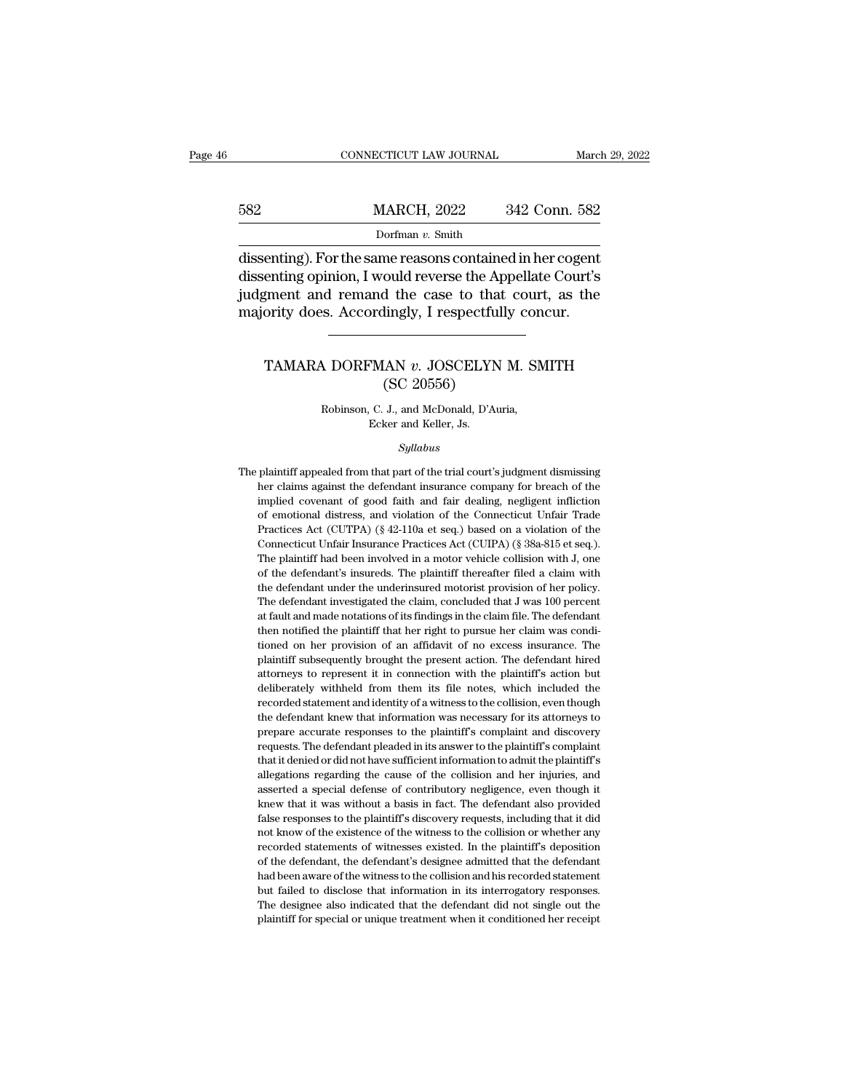# EXECUTE CONNECTICUT LAW JOURNAL March 29, 2022<br>
MARCH, 2022 342 Conn. 582<br>
Dorfman v. Smith Dorfman *v.* Smith

CONNECTICUT LAW JOURNAL March 29, 202:<br>
MARCH, 2022 342 Conn. 582<br>
Dorfman v. Smith<br>
dissenting). For the same reasons contained in her cogent<br>
dissenting opinion, I would reverse the Appellate Court's<br>
indiment and remand MARCH, 2022 342 Conn. 582<br>Dorfman v. Smith<br>dissenting). For the same reasons contained in her cogent<br>dissenting opinion, I would reverse the Appellate Court's<br>judgment and remand the case to that court, as the<br>majority doe judgment and remand the case to that court, as the MARCH, 2022 342 Conn. 582<br>
Dorfman v. Smith<br>
dissenting). For the same reasons contained in her cogent<br>
dissenting opinion, I would reverse the Appellate Court's<br>
judgment and remand the case to that court, as the<br>
majorit enting). For the same reasons contained in her cogent<br>enting opinion, I would reverse the Appellate Court's<br>gment and remand the case to that court, as the<br>ority does. Accordingly, I respectfully concur.<br>TAMARA DORFMAN *v* ould reverse the App<br>d the case to that<br>lingly, I respectfull;<br>MAN v. JOSCELYN 1<br>(SC 20556)<br>J., and McDonald, D'Auri

# N DORFMAN v. JOSCELYN M. SN<br>(SC 20556)<br>Robinson, C. J., and McDonald, D'Auria,<br>Ecker and Keller, Js. FMAN  $v$ . JOSCELY<br>
(SC 20556)<br>
C. J., and McDonald, D'A<br>
Ecker and Keller, Js.<br>
Sullabus

## *Syllabus*

Robinson, C. J., and McDonald, D'Auria,<br>Ecker and Keller, Js.<br>Syllabus<br>The plaintiff appealed from that part of the trial court's judgment dismissing<br>her claims against the defendant insurance company for breach of the Robinson, C. J., and McDonald, D'Auria,<br>Ecker and Keller, Js.<br>Syllabus<br>plaintiff appealed from that part of the trial court's judgment dismissing<br>her claims against the defendant insurance company for breach of the<br>implied Ecker and Keller, Js.<br>
Syllabus<br>
plaintiff appealed from that part of the trial court's judgment dismissing<br>
her claims against the defendant insurance company for breach of the<br>
implied covenant of good faith and fair dea  $Syllabus$ <br>plaintiff appealed from that part of the trial court's judgment dismissing<br>her claims against the defendant insurance company for breach of the<br>implied covenant of good faith and fair dealing, negligent infliction<br>o Syllabus<br>
plaintiff appealed from that part of the trial court's judgment dismissing<br>
her claims against the defendant insurance company for breach of the<br>
implied covenant of good faith and fair dealing, negligent inflict plaintiff appealed from that part of the trial court's judgment dismissing<br>her claims against the defendant insurance company for breach of the<br>implied covenant of good faith and fair dealing, negligent infliction<br>of emoti Fraction and the defendant insurance company for breach of the implied covenant of good faith and fair dealing, negligent infliction of emotional distress, and violation of the Connecticut Unfair Trade Practices Act (CUTPA implied covenant of good faith and fair dealing, negligent infliction<br>of emotional distress, and violation of the Connecticut Unfair Trade<br>Practices Act (CUTPA) (§ 42-110a et seq.) based on a violation of the<br>Connecticut for emotional distress, and violation of the Connecticut Unfair Trade<br>
Practices Act (CUTPA) (§ 42-110a et seq.) based on a violation of the<br>
Connecticut Unfair Insurance Practices Act (CUIPA) (§ 38a-815 et seq.).<br>
The pl Practices Act (CUTPA) (§ 42-110a et seq.) based on a violation of the Connecticut Unfair Insurance Practices Act (CUIPA) (§ 38a-815 et seq.). The plaintiff had been involved in a motor vehicle collision with J, one of the Connecticut Unfair Insurance Practices Act (CUIPA) (§ 38a-815 et seq.).<br>The plaintiff had been involved in a motor vehicle collision with J, one<br>of the defendant's insureds. The plaintiff thereafter filed a claim with<br>the Connecticut Unfair Insurance Practices Act (CUIPA) (§ 38a-815 et seq.). The plaintiff had been involved in a motor vehicle collision with J, one of the defendant's insureds. The plaintiff thereafter filed a claim with the for the defendant's insureds. The plaintiff thereafter filed a claim with the defendant under the underinsured motorist provision of her policy. The defendant investigated the claim, concluded that J was 100 percent at fau the defendant under the underinsured motorist provision of her policy.<br>The defendant investigated the claim, concluded that  $J$  was  $100$  percent at fault and made notations of its findings in the claim file. The defendan plaintiff subsequently brought the present action. The defendant hired attorneys to represent it in connection with the plaintiff's action but deliberately withheld from them its file notes, which included the recorded sta at fault and made notations of its findings in the claim file. The defendant then notified the plaintiff that her right to pursue her claim was conditioned on her provision of an affidavit of no excess insurance. The plain when notified the plaintiff that her right to pursue her claim was conditioned on her provision of an affidavit of no excess insurance. The plaintiff subsequently brought the present action. The defendant hired attorneys t tioned on her provision of an affidavit of no excess insurance. The plaintiff subsequently brought the present action. The defendant hired attorneys to represent it in connection with the plaintiff's action but deliberatel plaintiff subsequently brought the present action. The defendant hired attorneys to represent it in connection with the plaintiff's action but deliberately withheld from them its file notes, which included the recorded sta rattorneys to represent it in connection with the plaintiff's action but deliberately withheld from them its file notes, which included the recorded statement and identity of a witness to the collision, even though the def deliberately withheld from them its file notes, which included the recorded statement and identity of a witness to the collision, even though the defendant knew that information was necessary for its attorneys to prepare a recorded statement and identity of a witness to the collision, even though<br>the defendant knew that information was necessary for its attorneys to<br>prepare accurate responses to the plaintiff's complaint and discovery<br>reques the defendant knew that information was necessary for its attorneys to prepare accurate responses to the plaintiff's complaint and discovery requests. The defendant pleaded in its answer to the plaintiff's complaint that i prepare accurate responses to the plaintiff's complaint and discovery<br>prepare accurate responses to the plaintiff's complaint and discovery<br>requests. The defendant pleaded in its answer to the plaintiff's complaint<br>that it requests. The defendant pleaded in its answer to the plaintiff's complaint that it denied or did not have sufficient information to admit the plaintiff's allegations regarding the cause of the collision and her injuries, a that it denied or did not have sufficient information to admit the plaintiff's allegations regarding the cause of the collision and her injuries, and asserted a special defense of contributory negligence, even though it kn allegations regarding the cause of the collision and her injuries, and asserted a special defense of contributory negligence, even though it knew that it was without a basis in fact. The defendant also provided false respo asserted a special defense of contributory negligence, even though it<br>knew that it was without a basis in fact. The defendant also provided<br>false responses to the plaintiff's discovery requests, including that it did<br>not k knew that it was without a basis in fact. The defendant also provided false responses to the plaintiff's discovery requests, including that it did not know of the existence of the witness to the collision or whether any re false responses to the plaintiff's discovery requests, including that it did not know of the existence of the witnesses to the collision or whether any recorded statements of witnesses existed. In the plaintiff's depositio The designee also indicated that the defendant did not know of the existence of the witness to the collision or whether any recorded statements of witnesses existed. In the plaintiff's deposition of the defendant, the defe recorded statements of witnesses existed. In the plaintiff's deposition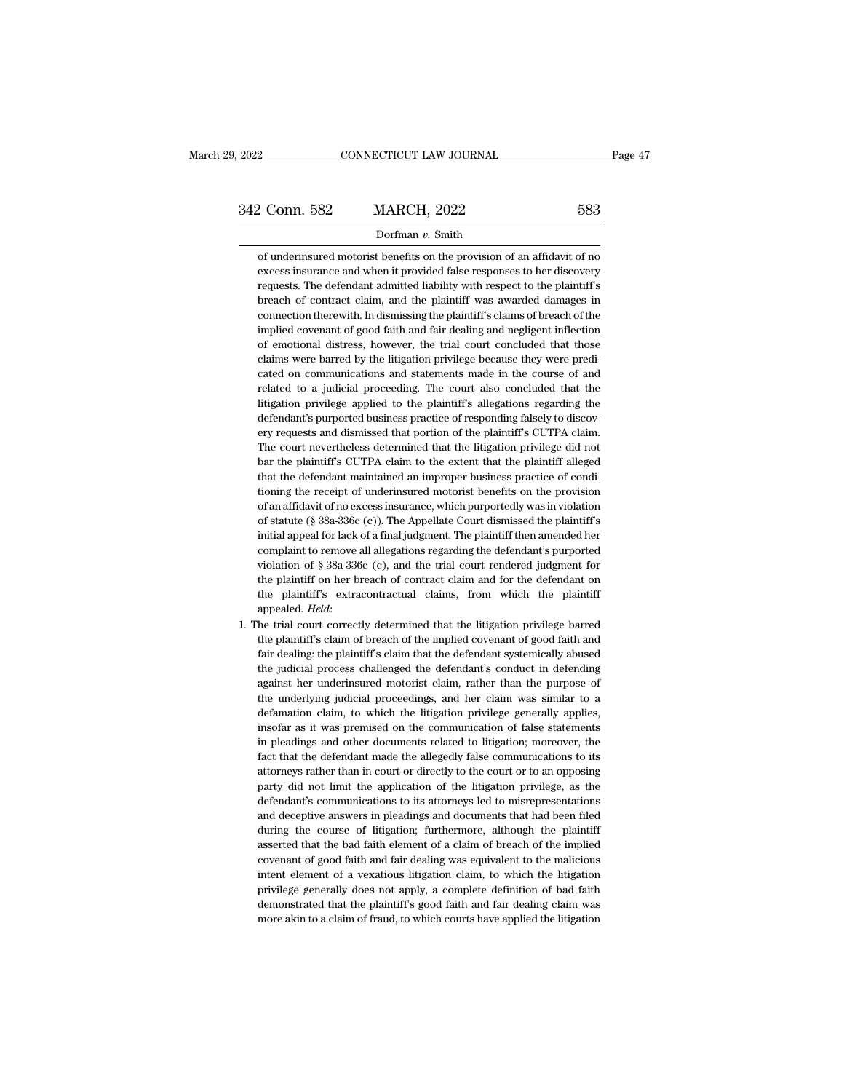# Dorfman *v.* Smith

of U.S. 2022<br>
2022<br>
2022<br>
2022<br>
2022<br>
2022<br>
2022<br>
2022<br>
2022<br>
2022<br>
2022<br>
2022<br>
2022<br>
2022<br>
2022<br>
2022<br>
2022<br>
2022<br>
2023<br>
2031<br>
2031<br>
2031<br>
2031<br>
2031<br>
2031<br>
2031<br>
2031<br>
2032<br>
2032<br>
2032<br>
2032<br>
2032<br>
2032<br>
2032<br>
2043<br>
2043 excess insurance and when it provided false responses to her discovery requests. The defendant admitted liability with respect to the plaintiff's 2 Conn. 582 MARCH, 2022 583<br>
Dorfman v. Smith<br>
of underinsured motorist benefits on the provision of an affidavit of no<br>
excess insurance and when it provided false responses to her discovery<br>
requests. The defendant admit  $\begin{minipage}[t]{0.7\textwidth} \begin{tabular}{p{0.8cm}} \textbf{Dorfman $v$. Smith} \end{tabular} \vspace{0.05in} \begin{tabular}{p{0.8cm}} \textbf{Dorfman $v$. Smith} \end{tabular} \vspace{0.05in} \begin{tabular}{p{0.8cm}} \textbf{of} and when it provided false responses to her discovery requests. The defendant admitted liability with respect to the plaintiff's breach of contract claim, and the plaintiff was awarded damages in connection therewith. In discussing the plaintiff's claims of breach of the system is used to be a more important.} \end{tabular} \end{minipage} \vspace{0.05in}$ Dorfman v. Smith<br>of underinsured motorist benefits on the provision of an affidavit of no<br>excess insurance and when it provided false responses to her discovery<br>requests. The defendant admitted liability with respect to th of underinsured motorist benefits on the provision of an affidavit of no<br>excess insurance and when it provided false responses to her discovery<br>requests. The defendant admitted liability with respect to the plaintiff's<br>bre excess insurance and when it provided false responses to her discovery<br>requests. The defendant admitted liability with respect to the plaintiff's<br>breach of contract claim, and the plaintiff was awarded damages in<br>connectio excess insurance and when it provided false responses to her discovery requests. The defendant admitted liability with respect to the plaintiff's breach of contract claim, and the plaintiff' was awarded damages in connecti breach of contract claim, and the plaintiff was awarded damages in connection therewith. In dismissing the plaintiff's claims of breach of the implied covenant of good faith and fair dealing and negligent inflection of emo connection therewith. In dismissing the plaintiff's claims of breach of the implied covenant of good faith and fair dealing and negligent inflection of emotional distress, however, the trial court concluded that those clai implied covenant of good faith and fair dealing and negligent inflection<br>of emotional distress, however, the trial court concluded that those<br>claims were barred by the litigation privilege because they were predi-<br>cated on of emotional distress, however, the trial court concluded that those claims were barred by the litigation privilege because they were predicated on communications and statements made in the course of and related to a judic claims were barred by the litigation privilege because they were predicated on communications and statements made in the course of and related to a judicial proceeding. The court also concluded that the litigation privileg cated on communications and statements made in the course of and related to a judicial proceeding. The court also concluded that the litigation privilege applied to the plaintiff's allegations regarding the defendant's pur related to a judicial proceeding. The court also concluded that the litigation privilege applied to the plaintiff's allegations regarding the defendant's purported business practice of responding falsely to discovery reque litigation privilege applied to the plaintiff's allegations regarding the defendant's purported business practice of responding falsely to discovery requests and dismissed that portion of the plaintiff's CUTPA claim. The c defendant's purported business practice of responding falsely to discovery requests and dismissed that portion of the plaintiff's CUTPA claim.<br>The court nevertheless determined that the litigation privilege did not bar the ery requests and dismissed that portion of the plaintiff's CUTPA claim.<br>The court nevertheless determined that the litigation privilege did not<br>bar the plaintiff's CUTPA claim to the extent that the plaintiff alleged<br>that The court nevertheless determined that the litigation privilege did not<br>bar the plaintiff's CUTPA claim to the extent that the plaintiff alleged<br>that the defendant maintained an improper business practice of condi-<br>tioning bar the plaintiff's CUTPA claim to the extent that the plaintiff alleged<br>that the defendant maintained an improper business practice of condi-<br>tioning the receipt of underinsured motorist benefits on the provision<br>of an af that the defendant maintained an improper business practice of conditioning the receipt of underinsured motorist benefits on the provision of an affidavit of no excess insurance, which purportedly was in violation of stat tioning the receipt of underinsured motorist benefits on the provision<br>of an affidavit of no excess insurance, which purportedly was in violation<br>of statute (§ 38a-336c (c)). The Appellate Court dismissed the plaintiff's<br> of an affidavit of no excess insurance, which purportedly was in violation<br>of statute (§ 38a-336c (c)). The Appellate Court dismissed the plaintiff's<br>initial appeal for lack of a final judgment. The plaintiff then amended of statute (§ 38a-336c (c)). The Appellate Court dismissed the plaintiff's initial appeal for lack of a final judgment. The plaintiff then amended her complaint to remove all allegations regarding the defendant's purporte complaint to remove all allegations regarding the defendant's purported<br>violation of  $\S$  38a-336c (c), and the trial court rendered judgment for<br>the plaintiff on her breach of contract claim and for the defendant on<br>the p violation of  $\S$  38a-336c (c), and the trial court rendered judgment for<br>the plaintiff on her breach of contract claim and for the defendant on<br>the plaintiff's extracontractual claims, from which the plaintiff<br>appealed.

the plaintiff on her breach of contract claim and for the defendant on<br>the plaintiff's extracontractual claims, from which the plaintiff<br>appealed. Held:<br>he trial court correctly determined that the litigation privilege bar the plaintiff's extracontractual claims, from which the plaintiff<br>appealed. Held:<br>he trial court correctly determined that the litigation privilege barred<br>the plaintiff's claim of breach of the implied covenant of good fai appealed. Held:<br>he trial court correctly determined that the litigation privilege barred<br>the plaintiff's claim of breach of the implied covenant of good faith and<br>fair dealing: the plaintiff's claim that the defendant syst he trial court correctly determined that the litigation privilege barred the plaintiff's claim of breach of the implied covenant of good faith and fair dealing: the plaintiff's claim that the defendant systemically abused the plaintiff's claim of breach of the implied covenant of good faith and fair dealing: the plaintiff's claim that the defendant systemically abused the judicial process challenged the defendant's conduct in defending agai fair dealing: the plaintiff's claim that the defendant systemically abused<br>the judicial process challenged the defendant's conduct in defending<br>against her underinsured motorist claim, rather than the purpose of<br>the underl the judicial process challenged the defendant's conduct in defending<br>against her underinsured motorist claim, rather than the purpose of<br>the underlying judicial proceedings, and her claim was similar to a<br>defamation claim, against her underinsured motorist claim, rather than the purpose of<br>the underlying judicial proceedings, and her claim was similar to a<br>defamation claim, to which the litigation privilege generally applies,<br>insofar as it w the underlying judicial proceedings, and her claim was similar to a defamation claim, to which the litigation privilege generally applies, insofar as it was premised on the communication of false statements in pleadings an defamation claim, to which the litigation privilege generally applies, insofar as it was premised on the communication of false statements in pleadings and other documents related to litigation; moreover, the fact that the insofar as it was premised on the communication of false statements<br>in pleadings and other documents related to litigation; moreover, the<br>fact that the defendant made the allegedly false communications to its<br>attorneys rat in pleadings and other documents related to litigation; moreover, the fact that the defendant made the allegedly false communications to its attorneys rather than in court or directly to the court or to an opposing party d fact that the defendant made the allegedly false communications to its attorneys rather than in court or directly to the court or to an opposing party did not limit the application of the litigation privilege, as the defen attorneys rather than in court or directly to the court or to an opposing<br>party did not limit the application of the litigation privilege, as the<br>defendant's communications to its attorneys led to misrepresentations<br>and de party did not limit the application of the litigation privilege, as the defendant's communications to its attorneys led to misrepresentations and deceptive answers in pleadings and documents that had been filed during the defendant's communications to its attorneys led to misrepresentations<br>and deceptive answers in pleadings and documents that had been filed<br>during the course of litigation; furthermore, although the plaintiff<br>asserted that and deceptive answers in pleadings and documents that had been filed<br>during the course of litigation; furthermore, although the plaintiff<br>asserted that the bad faith element of a claim of breach of the implied<br>covenant of during the course of litigation; furthermore, although the plaintiff asserted that the bad faith element of a claim of breach of the implied covenant of good faith and fair dealing was equivalent to the malicious intent el asserted that the bad faith element of a claim of breach of the implied covenant of good faith and fair dealing was equivalent to the malicious intent element of a vexatious litigation claim, to which the litigation privil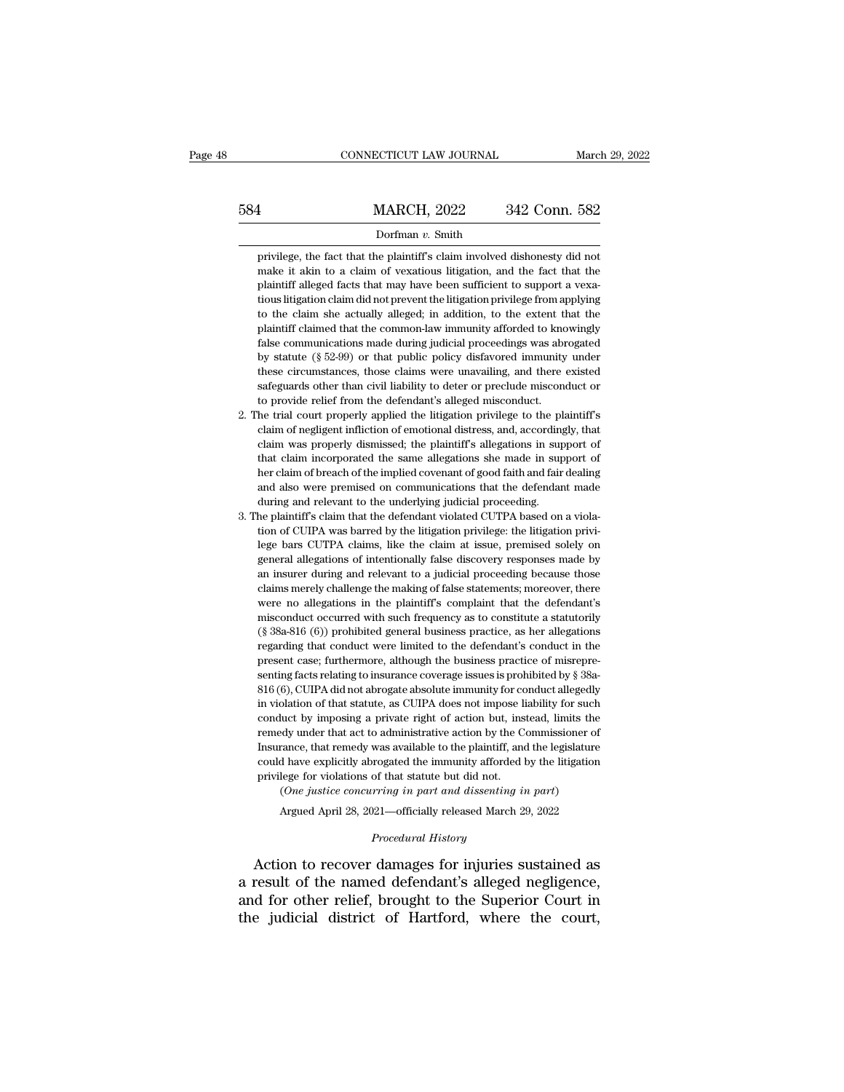# EXECUTE CONNECTICUT LAW JOURNAL March 29, 2022<br>
584 MARCH, 2022 342 Conn. 582<br>
Dorfman v. Smith

# Dorfman *v.* Smith

MARCH, 2022 342 Conn. 582<br>Dorfman v. Smith<br>privilege, the fact that the plaintiff's claim involved dishonesty did not<br>make it akin to a claim of vexatious litigation, and the fact that the MARCH, 2022 342 Conn. 582<br>Dorfman v. Smith<br>privilege, the fact that the plaintiff's claim involved dishonesty did not<br>make it akin to a claim of vexatious litigation, and the fact that the<br>plaintiff alleged facts that may 584 MARCH, 2022 342 Conn. 582<br>Dorfman v. Smith<br>privilege, the fact that the plaintiff's claim involved dishonesty did not<br>make it akin to a claim of vexatious litigation, and the fact that the<br>plaintiff alleged facts that Dorfman v. Smith<br>privilege, the fact that the plaintiff's claim involved dishonesty did not<br>make it akin to a claim of vexatious litigation, and the fact that the<br>plaintiff alleged facts that may have been sufficient to su Dorfman v. Smith<br>privilege, the fact that the plaintiff's claim involved dishonesty did not<br>make it akin to a claim of vexatious litigation, and the fact that the<br>plaintiff alleged facts that may have been sufficient to su privilege, the fact that the plaintiff's claim involved dishonesty did not make it akin to a claim of vexatious litigation, and the fact that the plaintiff alleged facts that may have been sufficient to support a vexatious False communications made during interests and the fact that the plaintiff alleged facts that may have been sufficient to support a vexations litigation claim did not prevent the litigation privilege from applying to the c maintiff alleged facts that may have been sufficient to support a vexa-<br>plaintiff alleged facts that may have been sufficient to support a vexa-<br>tious litigation claim did not prevent the litigation privilege from applying these literations and the literation privilege from applying<br>tious litigation claim did not prevent the litigation privilege from applying<br>to the claim she actually alleged; in addition, to the extent that the<br>plaintiff cl so the claim she actually alleged; in addition, to the extent that the plaintiff claimed that the common-law immunity afforded to knowingly false communications made during judicial proceedings was abrogated by statute (§ by a minimischilary common-law immunity afforded to know plaintiff claimed that the common-law immunity afforded to know false communications made during judicial proceedings was able by statute (§ 52-99) or that public po False communications made during judicial proceedings was abrogated<br>by statute  $(\S 52-99)$  or that public policy disfavored immunity under<br>these circumstances, those claims were unavailing, and there existed<br>safeguards ot by statute (§ 52-99) or that public policy disfavored immunity under these circumstances, those claims were unavailing, and there existed safeguards other than civil liability to deter or preclude misconduct or to provide

- these circumstances, those claims were unavailing, and there existed safeguards other than civil liability to deter or preclude misconduct or to provide relief from the defendant's alleged misconduct. The trial court prope safeguards other than civil liability to deter or preclude misconduct or<br>to provide relief from the defendant's alleged misconduct.<br>he trial court properly applied the litigation privilege to the plaintiff's<br>claim of negli her correction the defendant's alleged misconduct.<br>
to provide relief from the defendant's alleged misconduct.<br>
he trial court properly applied the litigation privilege to the plaintiff's<br>
claim of negligent infliction of be trial court properly applied the litigation privilege to the plaintiff's claim of negligent infliction of emotional distress, and, accordingly, that claim was properly dismissed; the plaintiff's allegations in support o From a calcular of negligent infliction of emotional distress, and, according<br>claim of negligent infliction of emotional distress, and, according<br>claim was properly dismissed; the plaintiff's allegations in sup<br>that claim claim was properly dismissed; the plaintiff's allegations in support of that claim incorporated the same allegations she made in support of the claim of breach of the implied covenant of good faith and fair dealing and als that claim incorporated the same allegations she made in support of<br>that claim incorporated the same allegations she made in support of<br>her claim of breach of the implied covenant of good faith and fair dealing<br>and also we
- her claim of breach of the implied covenant of good faith and fair dealing<br>and also were premised on communications that the defendant made<br>during and relevant to the underlying judicial proceeding.<br>the plaintiff's claim t and also were premised on communications that the defendant made<br>during and relevant to the underlying judicial proceeding.<br>he plaintiff's claim that the defendant violated CUTPA based on a viola-<br>tion of CUIPA was barred during and relevant to the underlying judicial proceeding.<br>An image of relationships and relevant to the underlying judicial proceeding.<br>He plaintiff's claim that the defendant violated CUTPA based on a viola-<br>tion of CUIP are plaintiff's claim that the defendant violated CUTPA based on a violation of CUIPA was barred by the litigation privilege: the litigation privilege bars CUTPA claims, like the claim at issue, premised solely on general tion of CUIPA was barred by the litigation privilege: the litigation privilege bars CUTPA claims, like the claim at issue, premised solely on general allegations of intentionally false discovery responses made by an insur lege bars CUTPA claims, like the claim at issue, premised solely on<br>general allegations of intentionally false discovery responses made by<br>an insurer during and relevant to a judicial proceeding because those<br>claims merely regeneral allegations of intentionally false discovery responses made by<br>an insurer during and relevant to a judicial proceeding because those<br>claims merely challenge the making of false statements; moreover, there<br>were no an insurer during and relevant to a judicial proceeding because those claims merely challenge the making of false statements; moreover, there were no allegations in the plaintiff's complaint that the defendant's misconduct claims merely challenge the making of false statements; moreover, there were no allegations in the plaintiff's complaint that the defendant's misconduct occurred with such frequency as to constitute a statutorily (§ 38a-8 present case; furthermore, although the business practice of misrepresenting facts relating to insurance coverage issues is prohibited by  $\S$  38a-816 (6), CUIPA did not abrogate absolute immunity for conduct allegedly in misconduct occurred with such frequency as to constitute a statutorily (§ 38a-816 (6)) prohibited general business practice, as her allegations regarding that conduct were limited to the defendant's conduct in the present <sup>11</sup> (§ 38a-816 (6)) prohibited general business practice, as her allegations regarding that conduct were limited to the defendant's conduct in the present case; furthermore, although the business practice of misrepresent conduct by imposing a private right of action but, instead, limit of action but, instead, limit of acts relating to insurance coverage issues is prohibited by  $\S$  38a-816 (6), CUIPA did not abrogate absolute immunity for regiant case; furthermore, although the business practice of misrepresenting facts relating to insurance coverage issues is prohibited by  $\S$  38a-816 (6), CUIPA did not abrogate absolute immunity for conduct allegedly in Freedom Scales and Tenders and Scattering facts relating to insurance coverage issues is prohibited by § 38a-816 (6), CUIPA did not abrogate absolute immunity for conduct allegedly in violation of that statute, as CUIPA do  $\frac{816}{60}$ , CUIPA did not abrogate absolute immunity for conduct allegedly in violation of that statute, as CUIPA does not impose liability for such conduct by imposing a private right of action but, instead, limits the in violation of that statute, as CUIPA does not impose lie conduct by imposing a private right of action but, inserendly under that act to administrative action by the C Insurance, that remedy was available to the plainti buct by imposing a private right of action but, instead, limits the luct by imposing a private right of action but, instead, limits the edy under that act to administrative action by the Commissioner of ance, that remedy w Argued April 28, 2021—officially released March 29, 2022<br>
Argued April 28, 2021—officially released March 29, 2022<br>
Argued April 28, 2021—officially released March 29, 2022<br>
Argued April 28, 2021—officially released March % could have explicitly a<br>brogated the immunity afforded by the litigation privilege for violations of that statute but did not.<br>
(One justice concurring in part and dissenting in part)<br>
Argued April 28, 2021—officially r

relatively alternative of the immunity afforded by the litigation<br>could have explicitly abrogated the immunity afforded by the litigation<br>privilege for violations of that statute but did not.<br>(One justice concurring in par privilege for violations of that statute but did not.<br>
(One justice concurring in part and dissenting in part)<br>
Argued April 28, 2021—officially released March 29, 2022<br>
Procedural History<br>
Action to recover damages for in (One justice concurring in part and dissenting in part)<br>Argued April 28, 2021—officially released March 29, 2022<br> $\emph{Proceedural History}$ <br>Action to recover damages for injuries sustained as<br>a result of the named defendant's alleged neg Argued April 28, 2021—officially released March 29, 2022<br>
Procedural History<br>
Action to recover damages for injuries sustained as<br>
a result of the named defendant's alleged negligence,<br>
and for other relief, brought to the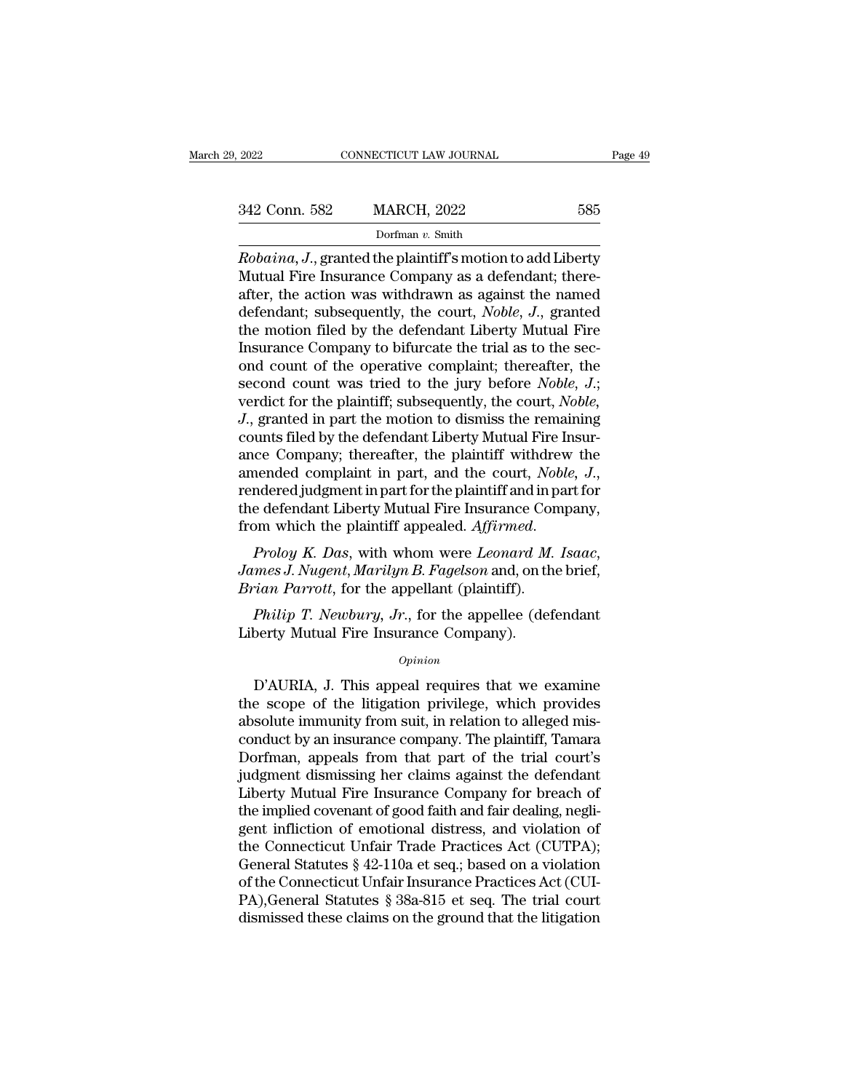| 9, 2022       | CONNECTICUT LAW JOURNAL                                                                                                                                                          | Page 49 |
|---------------|----------------------------------------------------------------------------------------------------------------------------------------------------------------------------------|---------|
|               |                                                                                                                                                                                  |         |
| 342 Conn. 582 | <b>MARCH, 2022</b>                                                                                                                                                               | 585     |
|               | Dorfman $v$ . Smith                                                                                                                                                              |         |
|               | <i>Robaina, J., granted the plaintiff's motion to add Liberty</i><br>Mutual Fire Insurance Company as a defendant; there-<br>ofter the action was withdrawn as against the named |         |

342 Conn. 582 MARCH, 2022 585<br>
Dorfman v. Smith<br>
Robaina, J., granted the plaintiff's motion to add Liberty<br>
Mutual Fire Insurance Company as a defendant; there-<br>
after, the action was withdrawn as against the named<br>
defen 342 Conn. 582 MARCH, 2022 585<br>
Dorfman v. Smith<br>
Robaina, J., granted the plaintiff's motion to add Liberty<br>
Mutual Fire Insurance Company as a defendant; there-<br>
after, the action was withdrawn as against the named<br>
defe 342 Conn. 582 MARCH, 2022 585<br>
Dorfman v. Smith<br>
Robaina, J., granted the plaintiff's motion to add Liberty<br>
Mutual Fire Insurance Company as a defendant; there-<br>
after, the action was withdrawn as against the named<br>
defen Dorfman v. Smith<br>Dorfman v. Smith<br>Robaina, J., granted the plaintiff's motion to add Liberty<br>Mutual Fire Insurance Company as a defendant; there-<br>after, the action was withdrawn as against the named<br>defendant; subsequentl Dorman v. Smuth<br>
Robaina, J., granted the plaintiff's motion to add Liberty<br>
Mutual Fire Insurance Company as a defendant; there-<br>
after, the action was withdrawn as against the named<br>
defendant; subsequently, the court, Robaina, J., granted the plaintiff's motion to add Liberty<br>Mutual Fire Insurance Company as a defendant; there-<br>after, the action was withdrawn as against the named<br>defendant; subsequently, the court, *Noble*, J., granted<br> Mutual Fire Insurance Company as a defendant; there-<br>after, the action was withdrawn as against the named<br>defendant; subsequently, the court, *Noble*, *J*., granted<br>the motion filed by the defendant Liberty Mutual Fire<br>Ins after, the action was withdrawn as against the named<br>defendant; subsequently, the court, *Noble*, *J*., granted<br>the motion filed by the defendant Liberty Mutual Fire<br>Insurance Company to bifurcate the trial as to the sec-<br> defendant; subsequently, the court, *Noble*, *J*., granted<br>the motion filed by the defendant Liberty Mutual Fire<br>Insurance Company to bifurcate the trial as to the sec-<br>ond count of the operative complaint; thereafter, the the motion filed by the defendant Liberty Mutual Fire<br>Insurance Company to bifurcate the trial as to the sec-<br>ond count of the operative complaint; thereafter, the<br>second count was tried to the jury before *Noble*, J.;<br>ve Insurance Company to bifurcate the trial as to the sec-<br>ond count of the operative complaint; thereafter, the<br>second count was tried to the jury before *Noble*, *J*.;<br>verdict for the plaintiff; subsequently, the court, *N* ond count of the operative complaint; thereafter, the second count was tried to the jury before *Noble, J.*; verdict for the plaintiff; subsequently, the court, *Noble, J.*, granted in part the motion to dismiss the remain verdict for the plaintiff; subsequently, the court, *Noble,*<br>J., granted in part the motion to dismiss the remaining<br>counts filed by the defendant Liberty Mutual Fire Insur-<br>ance Company; thereafter, the plaintiff withdrew *J.*, granted in part the motion to dismiss the remaining counts filed by the defendant Liberty Mutual Fire Insurance Company; thereafter, the plaintiff withdrew the amended complaint in part, and the court, *Noble*, *J.*, aniended complaint in part, and the court, *Noter*<br>Frendered judgment in part for the plaintiff and in p<br>the defendant Liberty Mutual Fire Insurance Con<br>from which the plaintiff appealed. *Affirmed.*<br>*Proloy K. Das*, with

*Prolog K. Das, with whom were Leonard M. Isaac,*<br>*Prolog K. Das, with whom were Leonard M. Isaac,*<br>*mes J. Nugent, Marilyn B. Fagelson and, on the brief,*<br>*rian Parrott, for the appellant (plaintiff).*<br>*Philip T. Newbury,* from which the plaintiff appealed. Affirmed.<br> *Proloy K. Das,* with whom were *Leonard M*<br> *James J. Nugent, Marilyn B. Fagelson* and, on th<br> *Brian Parrott*, for the appellant (plaintiff).<br> *Philip T. Newbury, Jr.*, for

## *Opinion*

mes *J. Nayent, Martayn D. Payeson* and, on the oner,<br> *ian Parrott*, for the appellant (plaintiff).<br> *Philip T. Newbury, Jr.*, for the appellee (defendant<br>
berty Mutual Fire Insurance Company).<br> *Opinion*<br>
D'AURIA, J. Thi *Frian Farroti*, for the appenant (piantifi).<br> *Philip T. Newbury, Jr.*, for the appellee (defendant<br>
Liberty Mutual Fire Insurance Company).<br> *Opinion*<br>
D'AURIA, J. This appeal requires that we examine<br>
the scope of the l *Philip T. Newbury, Jr.*, for the appellee (defendant<br>Liberty Mutual Fire Insurance Company).<br> $\frac{opinion}{D'AURIA}$ , J. This appeal requires that we examine<br>the scope of the litigation privilege, which provides<br>absolute immunity f Liberty Mutual Fire Insurance Company).<br>
opinion<br>
D'AURIA, J. This appeal requires that we examine<br>
the scope of the litigation privilege, which provides<br>
absolute immunity from suit, in relation to alleged mis-<br>
conduct b Opinion<br>D'AURIA, J. This appeal requires that we examine<br>the scope of the litigation privilege, which provides<br>absolute immunity from suit, in relation to alleged mis-<br>conduct by an insurance company. The plaintiff, Tamara by D'AURIA, J. This appeal requires that we examine<br>the scope of the litigation privilege, which provides<br>absolute immunity from suit, in relation to alleged mis-<br>conduct by an insurance company. The plaintiff, Tamara<br>Dorf D'AURIA, J. This appeal requires that we examine<br>the scope of the litigation privilege, which provides<br>absolute immunity from suit, in relation to alleged mis-<br>conduct by an insurance company. The plaintiff, Tamara<br>Dorfman the scope of the litigation privilege, which provides<br>absolute immunity from suit, in relation to alleged mis-<br>conduct by an insurance company. The plaintiff, Tamara<br>Dorfman, appeals from that part of the trial court's<br>jud absolute immunity from suit, in relation to alleged mis-<br>conduct by an insurance company. The plaintiff, Tamara<br>Dorfman, appeals from that part of the trial court's<br>judgment dismissing her claims against the defendant<br>Libe conduct by an insurance company. The plaintiff, Tamara<br>Dorfman, appeals from that part of the trial court's<br>judgment dismissing her claims against the defendant<br>Liberty Mutual Fire Insurance Company for breach of<br>the impli Dorfman, appeals from that part of the trial court's<br>judgment dismissing her claims against the defendant<br>Liberty Mutual Fire Insurance Company for breach of<br>the implied covenant of good faith and fair dealing, negli-<br>gent judgment dismissing her claims against the defendant<br>Liberty Mutual Fire Insurance Company for breach of<br>the implied covenant of good faith and fair dealing, negli-<br>gent infliction of emotional distress, and violation of<br>t Liberty Mutual Fire Insurance Company for breach of<br>the implied covenant of good faith and fair dealing, negli-<br>gent infliction of emotional distress, and violation of<br>the Connecticut Unfair Trade Practices Act (CUTPA);<br>G the implied covenant of good faith and fair dealing, negligent infliction of emotional distress, and violation of<br>the Connecticut Unfair Trade Practices Act (CUTPA);<br>General Statutes § 42-110a et seq.; based on a violation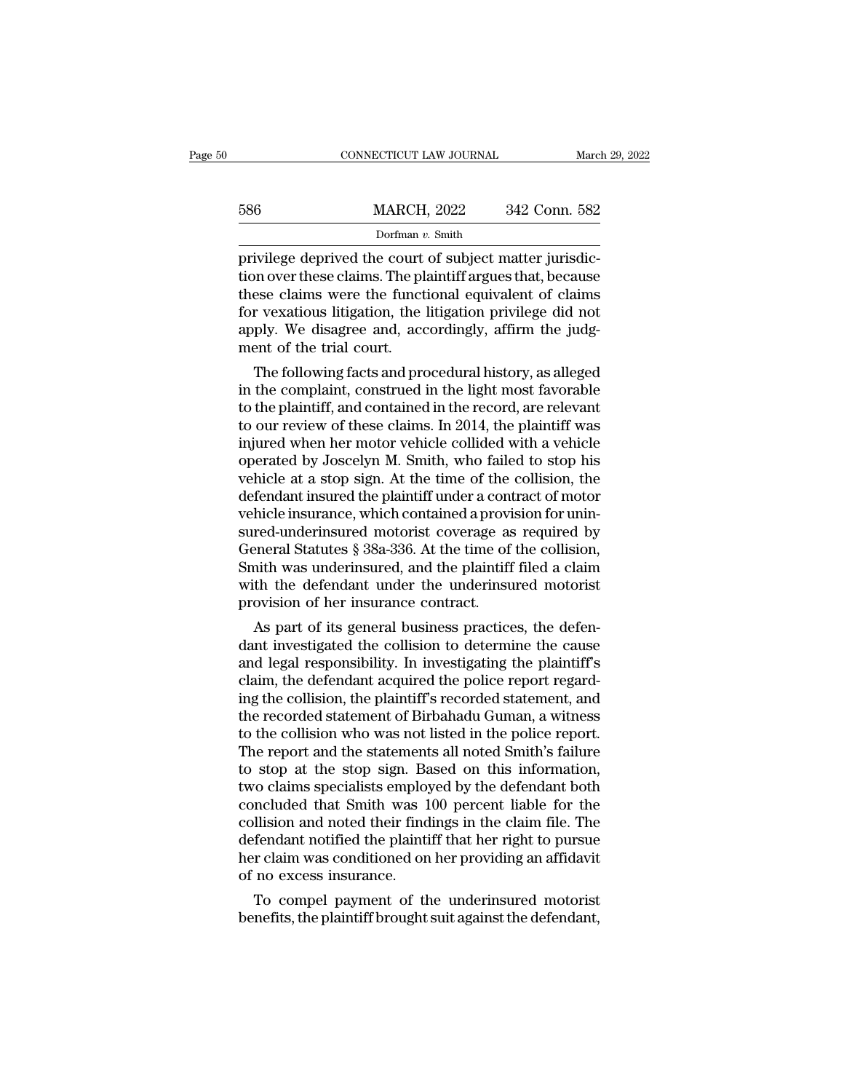|     | CONNECTICUT LAW JOURNAL | March 29, 2022 |  |
|-----|-------------------------|----------------|--|
| 586 | <b>MARCH, 2022</b>      | 342 Conn. 582  |  |
|     | Dorfman $v$ . Smith     |                |  |

586 MARCH, 2022 342 Conn. 582<br>Dorfman v. Smith<br>privilege deprived the court of subject matter jurisdic-<br>tion over these claims. The plaintiff argues that, because<br>these claims were the functional equivalent of claims<br>for v 586 MARCH, 2022 342 Conn. 582<br>
Dorfman v. Smith<br>
privilege deprived the court of subject matter jurisdic-<br>
tion over these claims. The plaintiff argues that, because<br>
these claims were the functional equivalent of claims<br>  $\frac{\text{MARCH}}{\text{Dorfman } v \cdot \text{Smith}}$ <br>
privilege deprived the court of subject matter jurisdiction over these claims. The plaintiff argues that, because<br>
these claims were the functional equivalent of claims<br>
for vexatious litigation Dorfman v. Smith<br>Dorfman v. Smith<br>privilege deprived the court of subject matter jurisdic-<br>tion over these claims. The plaintiff argues that, because<br>these claims were the functional equivalent of claims<br>for vexatious liti  $\frac{\text{Dorfman } i}{\text{private}}$ <br>privilege deprived the court<br>tion over these claims. The pl<br>these claims were the funct<br>for vexatious litigation, the<br>apply. We disagree and, acc<br>ment of the trial court.<br>The following facts and pro Ivilege deprived the court of subject matter jurisdic-<br>on over these claims. The plaintiff argues that, because<br>ese claims were the functional equivalent of claims<br>r vexatious litigation, the litigation privilege did not<br>p tion over these claims. The plaintiff argues that, because<br>these claims were the functional equivalent of claims<br>for vexatious litigation, the litigation privilege did not<br>apply. We disagree and, accordingly, affirm the j

these claims were the functional equivalent of claims<br>for vexatious litigation, the litigation privilege did not<br>apply. We disagree and, accordingly, affirm the judg-<br>ment of the trial court.<br>The following facts and proced for vexatious fitigation, the fitigation privilege did not<br>apply. We disagree and, accordingly, affirm the judg-<br>ment of the trial court.<br>The following facts and procedural history, as alleged<br>in the complaint, construed i apply. We disagree and, accordingly, affirm the judgment of the trial court.<br>
The following facts and procedural history, as alleged<br>
in the complaint, construed in the light most favorable<br>
to the plaintiff, and contained ment of the trial court.<br>
The following facts and procedural history, as alleged<br>
in the complaint, construed in the light most favorable<br>
to the plaintiff, and contained in the record, are relevant<br>
to our review of these The following facts and procedural history, as alleged<br>in the complaint, construed in the light most favorable<br>to the plaintiff, and contained in the record, are relevant<br>to our review of these claims. In 2014, the plainti in the complaint, construed in the light most favorable<br>to the plaintiff, and contained in the record, are relevant<br>to our review of these claims. In 2014, the plaintiff was<br>injured when her motor vehicle collided with a v to the plaintiff, and contained in the record, are relevant<br>to our review of these claims. In 2014, the plaintiff was<br>injured when her motor vehicle collided with a vehicle<br>operated by Joscelyn M. Smith, who failed to stop to our review of these claims. In 2014, the plaintiff was<br>injured when her motor vehicle collided with a vehicle<br>operated by Joscelyn M. Smith, who failed to stop his<br>vehicle at a stop sign. At the time of the collision, t injured when her motor vehicle collided with a vehicle<br>operated by Joscelyn M. Smith, who failed to stop his<br>vehicle at a stop sign. At the time of the collision, the<br>defendant insured the plaintiff under a contract of mot operated by Joscelyn M. Smith, who failed to stop his<br>vehicle at a stop sign. At the time of the collision, the<br>defendant insured the plaintiff under a contract of motor<br>vehicle insurance, which contained a provision for u vehicle at a stop sign. At the time of the collision, the<br>defendant insured the plaintiff under a contract of motor<br>vehicle insurance, which contained a provision for unin-<br>sured-underinsured motorist coverage as required defendant insured the plaintiff under a controlled insurance, which contained a provisioned-underinsured motorist coverage as General Statutes § 38a-336. At the time of Smith was underinsured, and the plaintiff with the de mcle insurance, which contained a provision for unin-<br>red-underinsured motorist coverage as required by<br>eneral Statutes § 38a-336. At the time of the collision,<br>nith was underinsured, and the plaintiff filed a claim<br>th the sured-undernsured motorist coverage as required by<br>General Statutes § 38a-336. At the time of the collision,<br>Smith was underinsured, and the plaintiff filed a claim<br>with the defendant under the underinsured motorist<br>provis

General Statutes § 38a-336. At the time of the collision,<br>Smith was underinsured, and the plaintiff filed a claim<br>with the defendant under the underinsured motorist<br>provision of her insurance contract.<br>As part of its gener Smith was undernsured, and the plaintiff filed a claim<br>with the defendant under the underinsured motorist<br>provision of her insurance contract.<br>As part of its general business practices, the defen-<br>dant investigated the col with the defendant under the undermsured motorist<br>provision of her insurance contract.<br>As part of its general business practices, the defen-<br>dant investigated the collision to determine the cause<br>and legal responsibility. provision of her insurance contract.<br>
As part of its general business practices, the defen-<br>
dant investigated the collision to determine the cause<br>
and legal responsibility. In investigating the plaintiff's<br>
claim, the de As part of its general business practices, the defendant investigated the collision to determine the cause<br>and legal responsibility. In investigating the plaintiff's<br>claim, the defendant acquired the police report regard-<br> dant investigated the collision to determine the cause<br>and legal responsibility. In investigating the plaintiff's<br>claim, the defendant acquired the police report regard-<br>ing the collision, the plaintiff's recorded statemen and legal responsibility. In investigating the plaintiff's<br>claim, the defendant acquired the police report regard-<br>ing the collision, the plaintiff's recorded statement, and<br>the recorded statement of Birbahadu Guman, a wit claim, the defendant acquired the police report regard-<br>ing the collision, the plaintiff's recorded statement, and<br>the recorded statement of Birbahadu Guman, a witness<br>to the collision who was not listed in the police repo ing the collision, the plaintiff's recorded statement, and<br>the recorded statement of Birbahadu Guman, a witness<br>to the collision who was not listed in the police report.<br>The report and the statements all noted Smith's fail the recorded statement of Birbahadu Guman, a witness<br>to the collision who was not listed in the police report.<br>The report and the statements all noted Smith's failure<br>to stop at the stop sign. Based on this information,<br>tw to the collision who was not listed in the police report.<br>The report and the statements all noted Smith's failure<br>to stop at the stop sign. Based on this information,<br>two claims specialists employed by the defendant both<br>c The report and the statements all noted Smith's failure<br>to stop at the stop sign. Based on this information,<br>two claims specialists employed by the defendant both<br>concluded that Smith was 100 percent liable for the<br>collisi to stop at the stop sign. Bat<br>wo claims specialists employ<br>concluded that Smith was 1<br>collision and noted their find<br>defendant notified the plainti<br>her claim was conditioned on<br>of no excess insurance.<br>To compel payment of To claims specialists employed by the defendant both<br>ncluded that Smith was 100 percent liable for the<br>llision and noted their findings in the claim file. The<br>fendant notified the plaintiff that her right to pursue<br>r claim concluded that Smith was 100 percent hable for the collision and noted their findings in the claim file. The defendant notified the plaintiff that her right to pursue her claim was conditioned on her providing an affidavit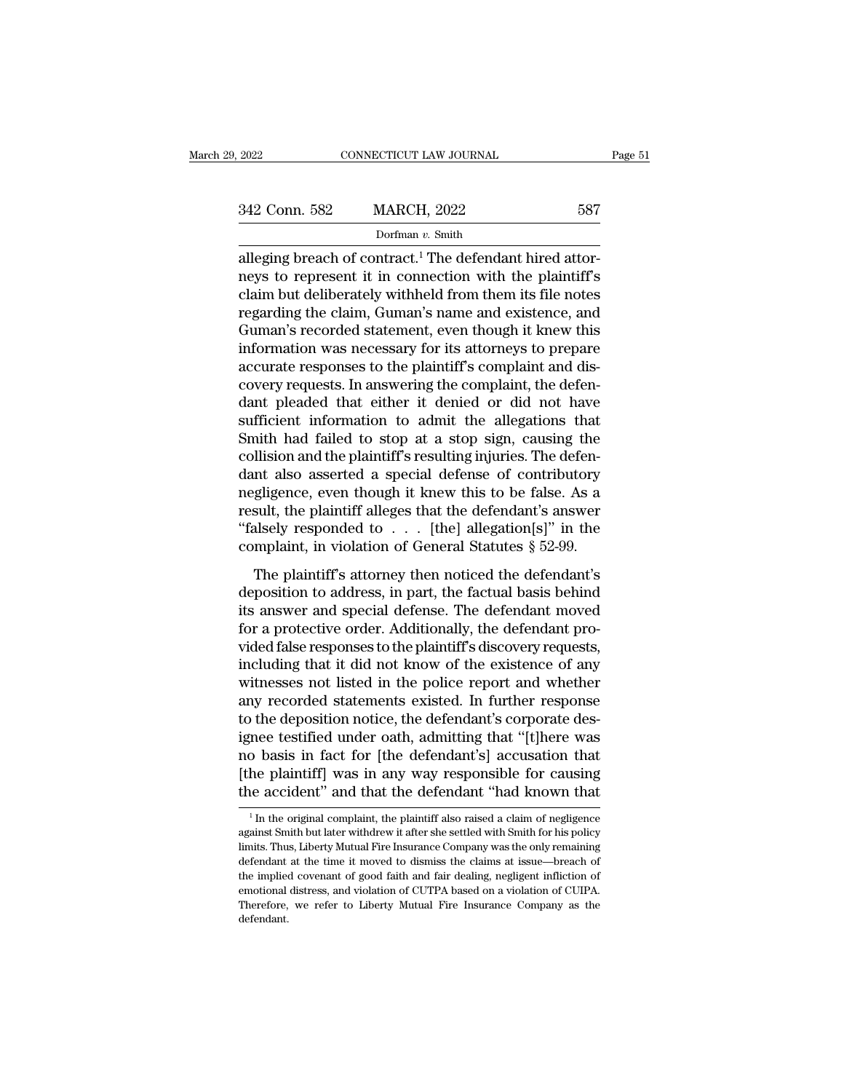| , 2022        | CONNECTICUT LAW JOURNAL | Page 51 |
|---------------|-------------------------|---------|
| 342 Conn. 582 | <b>MARCH, 2022</b>      | 587     |
|               | Dorfman v. Smith        |         |

EXECUTE 2022 CONNECTICUT LAW JOURNAL<br>
Base of Contract.<sup>1</sup> The defendant hired attor-<br>
alleging breach of contract.<sup>1</sup> The defendant hired attor-<br>
neys to represent it in connection with the plaintiff's<br>
claim but delibera  $\begin{array}{r} \text{342 Conn.} \text{ 582} \qquad \text{MARCH, 2022} \qquad \text{587} \ \text{Dorfman } v. \text{ Smith} \ \text{alleging breach of contract.} \text{1 The defendant hired attempts to represent it in connection with the plaintiff's claim but deliberately withheld from them its file notes regarding the claim. Guman's name and existence, and the use of the program.} \end{array}$ 342 Conn. 582 MARCH, 2022 587<br>
Dorfman v. Smith<br>
alleging breach of contract.<sup>1</sup> The defendant hired attor-<br>
neys to represent it in connection with the plaintiff's<br>
claim but deliberately withheld from them its file note 342 Conn. 582 MARCH, 2022 587<br>
Dorfman v. Smith<br>
alleging breach of contract.<sup>1</sup> The defendant hired attor-<br>
neys to represent it in connection with the plaintiff's<br>
claim but deliberately withheld from them its file note Dorfman v. Smith<br>Dorfman v. Smith<br>alleging breach of contract.<sup>1</sup> The defendant hired attor-<br>neys to represent it in connection with the plaintiff's<br>claim but deliberately withheld from them its file notes<br>regarding the c Dorman  $v$ . Smith<br>alleging breach of contract.<sup>1</sup> The defendant hired attor-<br>neys to represent it in connection with the plaintiff's<br>claim but deliberately withheld from them its file notes<br>regarding the claim, Guman's na alleging breach of contract.<sup>1</sup> The defendant hired attorneys to represent it in connection with the plaintiff's<br>claim but deliberately withheld from them its file notes<br>regarding the claim, Guman's name and existence, and neys to represent it in connection with the plaintiff's<br>claim but deliberately withheld from them its file notes<br>regarding the claim, Guman's name and existence, and<br>Guman's recorded statement, even though it knew this<br>inf claim but deliberately withheld from them its file notes<br>regarding the claim, Guman's name and existence, and<br>Guman's recorded statement, even though it knew this<br>information was necessary for its attorneys to prepare<br>accu regarding the claim, Guman's name and existence, and<br>Guman's recorded statement, even though it knew this<br>information was necessary for its attorneys to prepare<br>accurate responses to the plaintiff's complaint, the defen-<br>d Guman's recorded statement, even though it knew this<br>information was necessary for its attorneys to prepare<br>accurate responses to the plaintiff's complaint and dis-<br>covery requests. In answering the complaint, the defen-<br>d information was necessary for its attorneys to prepare<br>accurate responses to the plaintiff's complaint and dis-<br>covery requests. In answering the complaint, the defen-<br>dant pleaded that either it denied or did not have<br>suf accurate responses to the plaintiff's complaint and discovery requests. In answering the complaint, the defendant pleaded that either it denied or did not have sufficient information to admit the allegations that Smith had covery requests. In answering the complaint, the defendant pleaded that either it denied or did not have sufficient information to admit the allegations that Smith had failed to stop at a stop sign, causing the collision a dant pleaded that either it denied or did not have<br>sufficient information to admit the allegations that<br>Smith had failed to stop at a stop sign, causing the<br>collision and the plaintiff's resulting injuries. The defen-<br>dan sufficient information to admit the allegations that<br>
Smith had failed to stop at a stop sign, causing the<br>
collision and the plaintiff's resulting injuries. The defen-<br>
dant also asserted a special defense of contributory Smith had failed to stop at a stop sign, causing the collision and the plaintiff's resulting injuries. The defendant also asserted a special defense of contributory negligence, even though it knew this to be false. As a r msion and the plaintiff s resulting injuries. The deferment also asserted a special defense of contributory gligence, even though it knew this to be false. As a sult, the plaintiff alleges that the defendant's answer alse data also asserted a special defense of contributor,<br>negligence, even though it knew this to be false. As a<br>result, the plaintiff alleges that the defendant's answer<br>"falsely responded to  $\dots$ . [the] allegation[s]" in the

result, the plaintiff alleges that the defendant's answer<br>
"falsely responded to  $\dots$  [the] allegation[s]" in the<br>
complaint, in violation of General Statutes  $\S~52-99$ .<br>
The plaintiff's attorney then noticed the defendan for a protective order. The planning in the complaint, in violation of General Statutes  $\S$  52-99.<br>The plaintiff's attorney then noticed the defendant's deposition to address, in part, the factual basis behind<br>its answer rancely responses to the plaintiff's attorney then noticed the defendant's<br>deposition to address, in part, the factual basis behind<br>its answer and special defense. The defendant moved<br>for a protective order. Additionally, The plaintiff's attorney then noticed the defendant's<br>deposition to address, in part, the factual basis behind<br>its answer and special defense. The defendant moved<br>for a protective order. Additionally, the defendant pro-<br>vi The plaintiff's attorney then noticed the defendant's<br>deposition to address, in part, the factual basis behind<br>its answer and special defense. The defendant moved<br>for a protective order. Additionally, the defendant pro-<br>vi deposition to address, in part, the factual basis behind<br>its answer and special defense. The defendant moved<br>for a protective order. Additionally, the defendant pro-<br>vided false responses to the plaintiff's discovery reque its answer and special defense. The defendant moved<br>for a protective order. Additionally, the defendant pro-<br>vided false responses to the plaintiff's discovery requests,<br>including that it did not know of the existence of a for a protective order. Additionally, the defendant provided false responses to the plaintiff's discovery requests,<br>including that it did not know of the existence of any<br>witnesses not listed in the police report and wheth vided false responses to the plaintiff's discovery requests,<br>including that it did not know of the existence of any<br>witnesses not listed in the police report and whether<br>any recorded statements existed. In further response including that it did not know of the existence of any<br>witnesses not listed in the police report and whether<br>any recorded statements existed. In further response<br>to the deposition notice, the defendant's corporate des-<br>ign witnesses not listed in the police report and whether<br>any recorded statements existed. In further response<br>to the deposition notice, the defendant's corporate des-<br>ignee testified under oath, admitting that "[t]here was<br>no mee testined under oath, admitting that "[t]nere was<br>
o basis in fact for [the defendant's] accusation that<br>
the plaintiff] was in any way responsible for causing<br>
ie accident" and that the defendant "had known that<br>
<sup>1</sup>In no basis in fact for [the defendant's] accusation that<br>[the plaintiff] was in any way responsible for causing<br>the accident" and that the defendant "had known that<br><sup>1</sup> In the original complaint, the plaintiff also raised a

<sup>[</sup>the plaintiff] was in any way responsible for causing<br>the accident" and that the defendant "had known that<br> $\frac{1}{1}$  In the original complaint, the plaintiff also raised a claim of negligence<br>against Smith but later with the accident" and that the defendant "had known that  $\frac{1}{1}$  in the original complaint, the plaintiff also raised a claim of negligence against Smith but later withdrew it after she settled with Smith for his policy lim The increase and that the defermation fails are deferended for the plaintiff also raised a claim of negligence against Smith but later withdrew it after she settled with Smith for his policy limits. Thus, Liberty Mutual Fi  $^\text{1}$  In the original complaint, the plaintiff also raised a claim of negligence against Smith but later with<br>drew it after she settled with Smith for his policy limits. Thus, Liberty Mutual Fire Insurance Company was t against Smith but later withdrew it after she settled with Smith for his policy<br>limits. Thus, Liberty Mutual Fire Insurance Company was the only remaining<br>defendant at the time it moved to dismiss the claims at issue—breac defendant.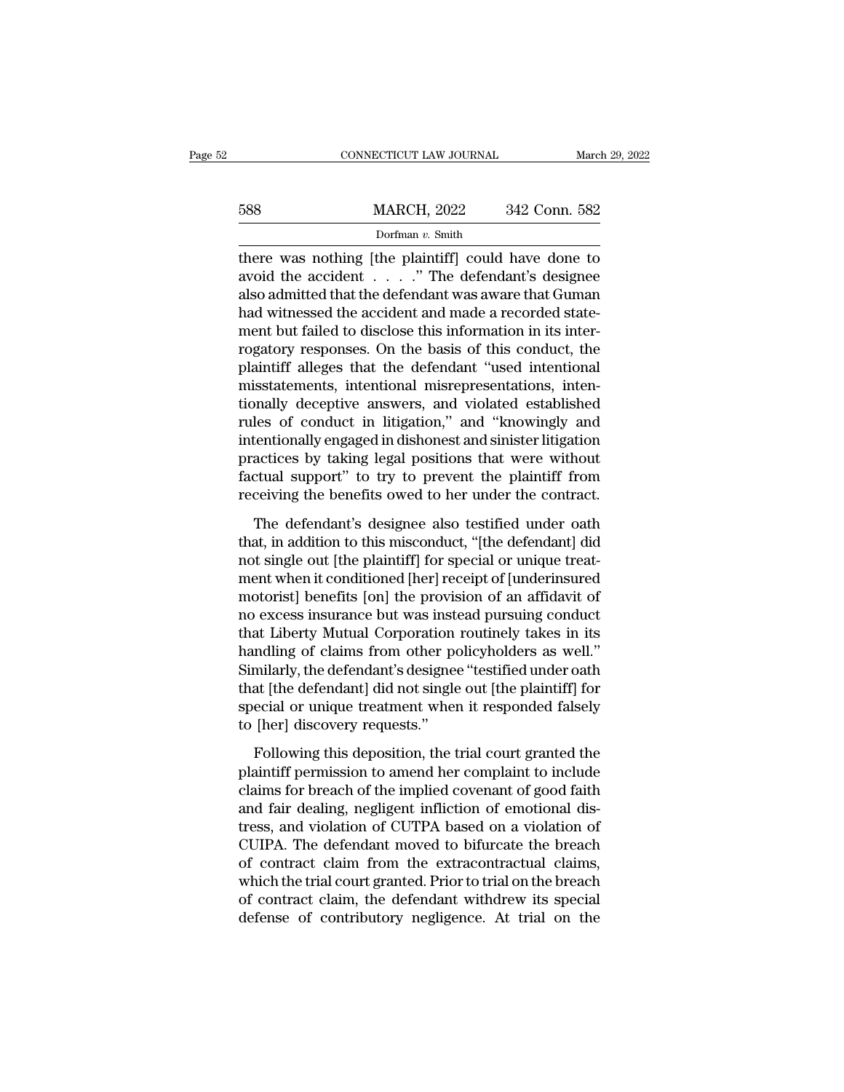|     | CONNECTICUT LAW JOURNAL |               | March 29, 2022 |
|-----|-------------------------|---------------|----------------|
|     |                         |               |                |
| 588 | <b>MARCH, 2022</b>      | 342 Conn. 582 |                |
|     | Dorfman v. Smith        |               |                |

there was nothing [the plaintiff] could have done to MARCH, 2022 342 Conn. 582<br>
Dorfman v. Smith<br>
there was nothing [the plaintiff] could have done to<br>
avoid the accident . . . . .'' The defendant's designee<br>
also admitted that the defendant was aware that Guman<br>
had witness  $\frac{\text{MARCH, 2022}}{\text{Dorfman } v. \text{ Smith}}$ <br>
there was nothing [the plaintiff] could have done to<br>
avoid the accident . . . . . " The defendant's designee<br>
also admitted that the defendant was aware that Guman<br>
had witnessed the accid  $\frac{\text{MARCH}}{\text{Dorfman } v \cdot \text{Smith}}$ <br>
Dorfman v. Smith<br>
there was nothing [the plaintiff] could have done to<br>
avoid the accident . . . . ." The defendant's designee<br>
also admitted that the defendant was aware that Guman<br>
had witness Dorfman v. Smith<br>there was nothing [the plaintiff] could have done to<br>avoid the accident . . . . ." The defendant's designee<br>also admitted that the defendant was aware that Guman<br>had witnessed the accident and made a reco bonna v. shun<br>there was nothing [the plaintiff] could have done to<br>avoid the accident  $\dots$ . " The defendant's designee<br>also admitted that the defendant was aware that Guman<br>had witnessed the accident and made a recorded s there was nothing [the plaintiff] could have done to<br>avoid the accident  $\ldots$  ." The defendant's designee<br>also admitted that the defendant was aware that Guman<br>had witnessed the accident and made a recorded state-<br>ment bu also admitted that the defendant was aware that Guman<br>had witnessed the accident and made a recorded state-<br>ment but failed to disclose this information in its inter-<br>rogatory responses. On the basis of this conduct, the<br>p also admitted that the defendant was aware that Guman<br>had witnessed the accident and made a recorded state-<br>ment but failed to disclose this information in its inter-<br>rogatory responses. On the basis of this conduct, the<br>p had witnessed the accident and made a recorded statement but failed to disclose this information in its inter-<br>rogatory responses. On the basis of this conduct, the<br>plaintiff alleges that the defendant "used intentional<br>mi ment but failed to disclose this information in its inter-<br>rogatory responses. On the basis of this conduct, the<br>plaintiff alleges that the defendant "used intentional<br>misstatements, intentional misrepresentations, inten-<br> rogatory responses. On the basis of this conduct, the plaintiff alleges that the defendant "used intentional misstatements, intentionally deceptive answers, and violated established rules of conduct in litigation," and "kn plaintiff alleges that the defendant "used intentional<br>misstatements, intentional misrepresentations, inten-<br>tionally deceptive answers, and violated established<br>rules of conduct in litigation," and "knowingly and<br>intentio misstatements, intentional misrepresentations, intentionally deceptive answers, and violated established<br>rules of conduct in litigation," and "knowingly and<br>intentionally engaged in dishonest and sinister litigation<br>practi les of conduct in litigation," and "knowingly and tentionally engaged in dishonest and sinister litigation<br>actices by taking legal positions that were without<br>ctual support" to try to prevent the plaintiff from<br>ceiving the intentionally engaged in dishonest and sinister litigation<br>practices by taking legal positions that were without<br>factual support" to try to prevent the plaintiff from<br>receiving the benefits owed to her under the contract.<br>

practices by taking legal positions that were without factual support" to try to prevent the plaintiff from receiving the benefits owed to her under the contract.<br>The defendant's designee also testified under oath that, in ment also support the plaintiff from<br>receiving the benefits owed to her under the contract.<br>The defendant's designee also testified under oath<br>that, in addition to this misconduct, "[the defendant] did<br>not single out [the receiving the benefits owed to her under the contract.<br>The defendant's designee also testified under oath<br>that, in addition to this misconduct, "[the defendant] did<br>not single out [the plaintiff] for special or unique trea The defendant's designee also testified under oath<br>that, in addition to this misconduct, "[the defendant] did<br>not single out [the plaintiff] for special or unique treat-<br>ment when it conditioned [her] receipt of [underinsu The defendant's designee also testified under oath<br>that, in addition to this misconduct, "[the defendant] did<br>not single out [the plaintiff] for special or unique treat-<br>ment when it conditioned [her] receipt of [underinsu that, in addition to this misconduct, "[the defendant] did<br>not single out [the plaintiff] for special or unique treat-<br>ment when it conditioned [her] receipt of [underinsured<br>motorist] benefits [on] the provision of an aff not single out [the plaintiff] for special or unique treat-<br>ment when it conditioned [her] receipt of [underinsured<br>motorist] benefits [on] the provision of an affidavit of<br>no excess insurance but was instead pursuing cond ment when it conditioned [her] receipt of [underinsured<br>motorist] benefits [on] the provision of an affidavit of<br>no excess insurance but was instead pursuing conduct<br>that Liberty Mutual Corporation routinely takes in its<br>h motorist] benefits [on] the provision of an affidavit of<br>no excess insurance but was instead pursuing conduct<br>that Liberty Mutual Corporation routinely takes in its<br>handling of claims from other policyholders as well."<br>Sim no excess insurance but was inst<br>that Liberty Mutual Corporation<br>handling of claims from other po<br>Similarly, the defendant's designe<br>that [the defendant] did not single<br>special or unique treatment wher<br>to [her] discovery r may a following the defendant of each state."<br>Following the defendant of the defendant of the defendant of the plaint<br>iff] for ecial or unique treatment when it responded falsely<br>[her] discovery requests."<br>Following this d Similarly, the defendant's designee "testified under oath<br>that [the defendant] did not single out [the plaintiff] for<br>special or unique treatment when it responded falsely<br>to [her] discovery requests."<br>Following this depos

that [the defendant] did not single out [the plaintiff] for<br>special or unique treatment when it responded falsely<br>to [her] discovery requests."<br>Following this deposition, the trial court granted the<br>plaintiff permission to special or unique treatment when it responded falsely<br>to [her] discovery requests."<br>Following this deposition, the trial court granted the<br>plaintiff permission to amend her complaint to include<br>claims for breach of the imp to [her] discovery requests."<br>Following this deposition, the trial court granted the<br>plaintiff permission to amend her complaint to include<br>claims for breach of the implied covenant of good faith<br>and fair dealing, negligen Following this deposition, the trial court granted the<br>plaintiff permission to amend her complaint to include<br>claims for breach of the implied covenant of good faith<br>and fair dealing, negligent infliction of emotional dis-Following this deposition, the trial court granted the<br>plaintiff permission to amend her complaint to include<br>claims for breach of the implied covenant of good faith<br>and fair dealing, negligent infliction of emotional displaintiff permission to amend her complaint to include<br>claims for breach of the implied covenant of good faith<br>and fair dealing, negligent infliction of emotional dis-<br>tress, and violation of CUTPA based on a violation of<br> claims for breach of the implied covenant of good faith<br>and fair dealing, negligent infliction of emotional dis-<br>tress, and violation of CUTPA based on a violation of<br>CUIPA. The defendant moved to bifurcate the breach<br>of c and fair dealing, negligent infliction of emotional distress, and violation of CUTPA based on a violation of CUIPA. The defendant moved to bifurcate the breach of contract claim from the extracontractual claims, which the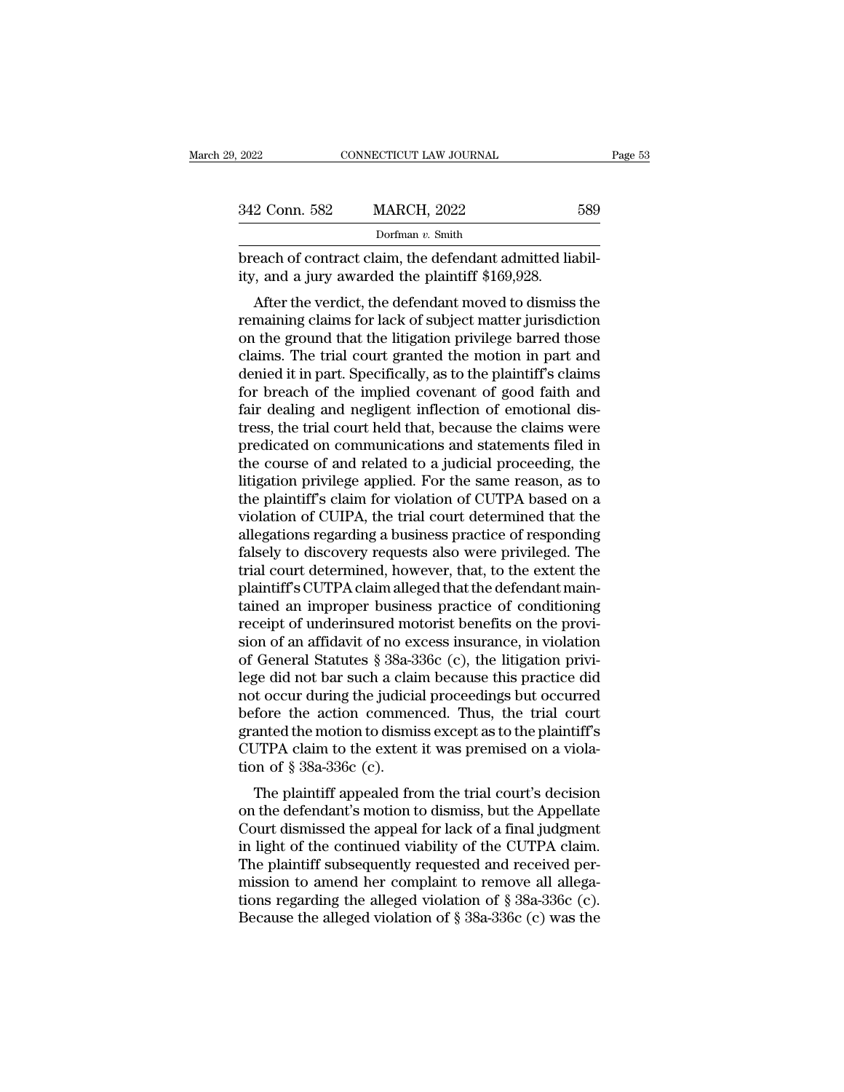| 9, 2022       | CONNECTICUT LAW JOURNAL                                                                                                                                                       | Page 53 |
|---------------|-------------------------------------------------------------------------------------------------------------------------------------------------------------------------------|---------|
|               |                                                                                                                                                                               |         |
| 342 Conn. 582 | <b>MARCH, 2022</b>                                                                                                                                                            | 589     |
|               | Dorfman v. Smith                                                                                                                                                              |         |
|               | breach of contract claim, the defendant admitted liabil-<br>ity, and a jury awarded the plaintiff \$169,928.                                                                  |         |
|               | After the verdict, the defendant moved to dismiss the<br>remaining claims for lack of subject matter jurisdiction<br>on the ground that the litigation privilege harved those |         |

342 Conn. 582 MARCH, 2022 589<br>
Dorfman v. Smith<br>
breach of contract claim, the defendant admitted liability, and a jury awarded the plaintiff \$169,928.<br>
After the verdict, the defendant moved to dismiss the<br>
remaining cla Dorfman v. Smith<br>
breach of contract claim, the defendant admitted liabil-<br>
ity, and a jury awarded the plaintiff \$169,928.<br>
After the verdict, the defendant moved to dismiss the<br>
remaining claims for lack of subject matt breach of contract claim, the defendant admitted liability, and a jury awarded the plaintiff \$169,928.<br>After the verdict, the defendant moved to dismiss the remaining claims for lack of subject matter jurisdiction<br>on the g breach of contract claim, the defendant admitted nability, and a jury awarded the plaintiff \$169,928.<br>After the verdict, the defendant moved to dismiss the remaining claims for lack of subject matter jurisdiction<br>on the gr for the verdict, the defendant moved to dismiss the<br>remaining claims for lack of subject matter jurisdiction<br>on the ground that the litigation privilege barred those<br>claims. The trial court granted the motion in part and<br> After the verdict, the defendant moved to dismiss the remaining claims for lack of subject matter jurisdiction<br>on the ground that the litigation privilege barred those<br>claims. The trial court granted the motion in part and remaining claims for lack of subject matter jurisdiction<br>on the ground that the litigation privilege barred those<br>claims. The trial court granted the motion in part and<br>denied it in part. Specifically, as to the plaintiff' on the ground that the litigation privilege barred those<br>claims. The trial court granted the motion in part and<br>denied it in part. Specifically, as to the plaintiff's claims<br>for breach of the implied covenant of good faith claims. The trial court granted the motion in part and<br>denied it in part. Specifically, as to the plaintiff's claims<br>for breach of the implied covenant of good faith and<br>fair dealing and negligent inflection of emotional d denied it in part. Specifically, as to the plaintiff's claims<br>for breach of the implied covenant of good faith and<br>fair dealing and negligent inflection of emotional dis-<br>tress, the trial court held that, because the claim for breach of the implied covenant of good faith and<br>fair dealing and negligent inflection of emotional dis-<br>tress, the trial court held that, because the claims were<br>predicated on communications and statements filed in<br>th fair dealing and negligent inflection of emotional distress, the trial court held that, because the claims were<br>predicated on communications and statements filed in<br>the course of and related to a judicial proceeding, the<br>l tress, the trial court held that, because the claims were<br>predicated on communications and statements filed in<br>the course of and related to a judicial proceeding, the<br>litigation privilege applied. For the same reason, as t predicated on communications and statements filed in<br>the course of and related to a judicial proceeding, the<br>litigation privilege applied. For the same reason, as to<br>the plaintiff's claim for violation of CUTPA based on a<br> the course of and related to a judicial proceeding, the litigation privilege applied. For the same reason, as to the plaintiff's claim for violation of CUTPA based on a violation of CUIPA, the trial court determined that t litigation privilege applied. For the same reason, as to<br>the plaintiff's claim for violation of CUTPA based on a<br>violation of CUIPA, the trial court determined that the<br>allegations regarding a business practice of respondi the plaintiff's claim for violation of CUTPA based on a<br>violation of CUIPA, the trial court determined that the<br>allegations regarding a business practice of responding<br>falsely to discovery requests also were privileged. Th violation of CUIPA, the trial court determined that the allegations regarding a business practice of responding falsely to discovery requests also were privileged. The trial court determined, however, that, to the extent t allegations regarding a business practice of responding<br>falsely to discovery requests also were privileged. The<br>trial court determined, however, that, to the extent the<br>plaintiff's CUTPA claim alleged that the defendant ma falsely to discovery requests also were privileged. The<br>trial court determined, however, that, to the extent the<br>plaintiff's CUTPA claim alleged that the defendant main-<br>tained an improper business practice of conditioning trial court determined, however, that, to the extent the plaintiff's CUTPA claim alleged that the defendant maintained an improper business practice of conditioning receipt of underinsured motorist benefits on the provisio plaintiff's CUTPA claim alleged that the defendant main-<br>tained an improper business practice of conditioning<br>receipt of underinsured motorist benefits on the provi-<br>sion of an affidavit of no excess insurance, in violatio tained an improper business practice of conditioning<br>receipt of underinsured motorist benefits on the provi-<br>sion of an affidavit of no excess insurance, in violation<br>of General Statutes § 38a-336c (c), the litigation priv receipt of underinsured motorist benefits on the provision of an affidavit of no excess insurance, in violation<br>of General Statutes § 38a-336c (c), the litigation privi-<br>lege did not bar such a claim because this practice sion of an affidavit of no excess insurance, in violation<br>of General Statutes  $\S 38a-336c$  (c), the litigation privi-<br>lege did not bar such a claim because this practice did<br>not occur during the judicial proceedings but o of General Statutes § 38a-3<br>lege did not bar such a clai<br>not occur during the judicia<br>before the action commer<br>granted the motion to dismi<br>CUTPA claim to the extent<br>tion of § 38a-336c (c).<br>The plaintiff appealed fro ge un not bar such a claim because this practice und<br>t occur during the judicial proceedings but occurred<br>fore the action commenced. Thus, the trial court<br>anted the motion to dismiss except as to the plaintiff's<br>JTPA claim not occur during the judicial proceedings but occurred<br>before the action commenced. Thus, the trial court<br>granted the motion to dismiss except as to the plaintiff's<br>CUTPA claim to the extent it was premised on a viola-<br>tio

before the action commenced. Thus, the that court<br>granted the motion to dismiss except as to the plaintiff's<br>CUTPA claim to the extent it was premised on a viola-<br>tion of § 38a-336c (c).<br>The plaintiff appealed from the tri granted the motion to dismiss except as to the plaintin's<br>CUTPA claim to the extent it was premised on a viola-<br>tion of § 38a-336c (c).<br>The plaintiff appealed from the trial court's decision<br>on the defendant's motion to di COTTA Claim to the extent it was premised on a violation of § 38a-336c (c).<br>The plaintiff appealed from the trial court's decision<br>on the defendant's motion to dismiss, but the Appellate<br>Court dismissed the appeal for lac The plaintiff appealed from the trial court's decision<br>on the defendant's motion to dismiss, but the Appellate<br>Court dismissed the appeal for lack of a final judgment<br>in light of the continued viability of the CUTPA claim The plaintiff appealed from the trial court's decision<br>on the defendant's motion to dismiss, but the Appellate<br>Court dismissed the appeal for lack of a final judgment<br>in light of the continued viability of the CUTPA claim on the defendant's motion to dismiss, but the Appellate<br>Court dismissed the appeal for lack of a final judgment<br>in light of the continued viability of the CUTPA claim.<br>The plaintiff subsequently requested and received per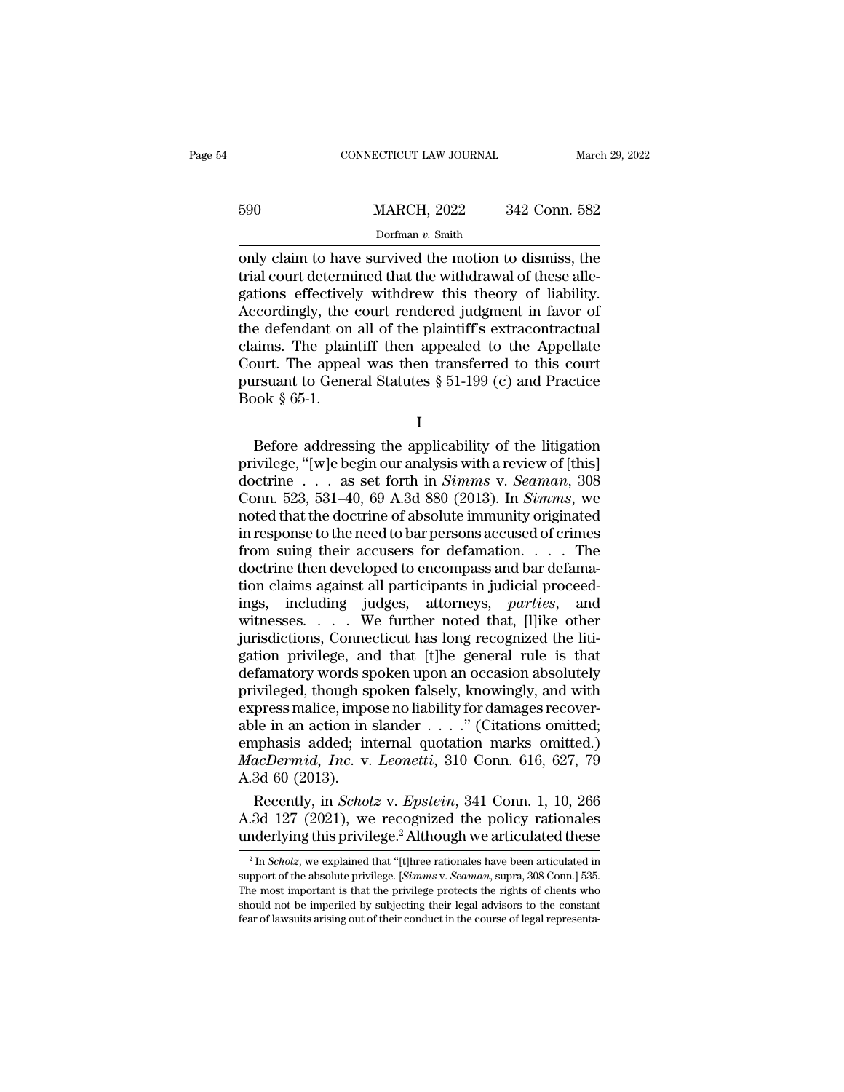|     | CONNECTICUT LAW JOURNAL                                                                                                                                                      | March 29, 2022 |
|-----|------------------------------------------------------------------------------------------------------------------------------------------------------------------------------|----------------|
| 590 | <b>MARCH, 2022</b>                                                                                                                                                           | 342 Conn. 582  |
|     | Dorfman $v$ . Smith                                                                                                                                                          |                |
|     | only claim to have survived the motion to dismiss, the<br>trial court determined that the withdrawal of these alle-<br>gations offectively withdrow this theory of liability |                |

590 MARCH, 2022 342 Conn. 582<br>Dorfman v. Smith<br>
only claim to have survived the motion to dismiss, the<br>
trial court determined that the withdrawal of these alle-<br>
gations effectively withdrew this theory of liability.<br>
Ac  $\frac{590}{\text{Dorfman } v \cdot \text{Smith}}$ <br>Dorfman v. Smith<br>Only claim to have survived the motion to dismiss, the<br>trial court determined that the withdrawal of these alle-<br>gations effectively withdrew this theory of liability.<br>Accordingly  $\frac{\text{MARCH}}{\text{Dorfman } v. \text{ Smith}}$ <br>
only claim to have survived the motion to dismiss, the<br>
trial court determined that the withdrawal of these alle-<br>
gations effectively withdrew this theory of liability.<br>
Accordingly, the court r Dorfman v. Smith<br>Dorfman v. Smith<br>Only claim to have survived the motion to dismiss, the<br>trial court determined that the withdrawal of these alle-<br>gations effectively withdrew this theory of liability.<br>Accordingly, the co Dorfman v. Smith<br>
only claim to have survived the motion to dismiss, the<br>
trial court determined that the withdrawal of these alle-<br>
gations effectively withdrew this theory of liability.<br>
Accordingly, the court rendered only claim to have survived the motion to dismiss, the<br>trial court determined that the withdrawal of these alle-<br>gations effectively withdrew this theory of liability.<br>Accordingly, the court rendered judgment in favor of<br>t trial court determined that the withdrawal of these allegations effectively withdrew this theory of liability.<br>Accordingly, the court rendered judgment in favor of<br>the defendant on all of the plaintiff's extracontractual<br>c decordingly, the<br>Accordingly, the<br>the defendant on<br>claims. The plair<br>Court. The appea<br>pursuant to Gene<br>Book § 65-1. For the painting of the painting scalar<br>contraction discussions. The plaintiff then appealed to the Appellate<br>burt. The appeal was then transferred to this court<br>result to General Statutes  $\S 51-199$  (c) and Practice<br>bok

I

Frames. The plant of the appearance of the Appendix Court. The appeal was then transferred to this court<br>pursuant to General Statutes § 51-199 (c) and Practice<br>Book § 65-1.<br>I<br>Before addressing the applicability of the lit bursuant to General Statutes § 51-199 (c) and Practice<br>Book § 65-1.<br>Before addressing the applicability of the litigation<br>privilege, "[w]e begin our analysis with a review of [this]<br>doctrine . . . as set forth in *Simms* v Book § 65-1.<br>Book § 65-1.<br>I<br>Before addressing the applicability of the litigation<br>privilege, "[w]e begin our analysis with a review of [this]<br>doctrine . . . as set forth in *Simms* v. *Seaman*, 308<br>Conn. 523, 531–40, 69 A. Example 1<br>
1<br>
Before addressing the applicability of the litigation<br>
privilege, "[w]e begin our analysis with a review of [this]<br>
doctrine . . . as set forth in *Simms* v. *Seaman*, 308<br>
Conn. 523, 531–40, 69 A.3d 880 (20 Example 1<br>
Before addressing the applicability of the litigation<br>
privilege, "[w]e begin our analysis with a review of [this]<br>
doctrine . . . as set forth in *Simms* v. *Seaman*, 308<br>
Conn. 523, 531–40, 69 A.3d 880 (2013) Before addressing the applicability of the litigation<br>privilege, "[w]e begin our analysis with a review of [this]<br>doctrine . . . as set forth in *Simms* v. *Seaman*, 308<br>Conn. 523, 531–40, 69 A.3d 880 (2013). In *Simms*, privilege, "[w]e begin our analysis with a review of [this] doctrine . . . as set forth in *Simms* v. *Seaman*, 308 Conn. 523, 531–40, 69 A.3d 880 (2013). In *Simms*, we noted that the doctrine of absolute immunity origin doctrine . . . as set forth in *Simms* v. *Seaman*, 308<br>Conn. 523, 531–40, 69 A.3d 880 (2013). In *Simms*, we<br>noted that the doctrine of absolute immunity originated<br>in response to the need to bar persons accused of crime Conn. 523, 531–40, 69 A.3d 880 (2013). In *Simms*, we<br>noted that the doctrine of absolute immunity originated<br>in response to the need to bar persons accused of crimes<br>from suing their accusers for defamation. . . . The<br>doc noted that the doctrine of absolute immunity originated<br>in response to the need to bar persons accused of crimes<br>from suing their accusers for defamation . . . . The<br>doctrine then developed to encompass and bar defama-<br>tio in response to the need to bar persons accused of crimes<br>from suing their accusers for defamation.... The<br>doctrine then developed to encompass and bar defama-<br>tion claims against all participants in judicial proceed-<br>ings from suing their accusers for defamation. . . . . The doctrine then developed to encompass and bar defamation claims against all participants in judicial proceedings, including judges, attorneys, *parties*, and witnesses. doctrine then developed to encompass and bar defamation claims against all participants in judicial proceedings, including judges, attorneys, *parties*, and witnesses. . . . We further noted that, [1]ike other jurisdiction tion claims against all participants in judicial proceed-<br>ings, including judges, attorneys, *parties*, and<br>witnesses.... We further noted that, [l]ike other<br>jurisdictions, Connecticut has long recognized the liti-<br>gation ings, including judges, attorneys, *parties*, and<br>witnesses.... We further noted that, [l]ike other<br>jurisdictions, Connecticut has long recognized the liti-<br>gation privilege, and that [t]he general rule is that<br>defamatory witnesses. . . . . We further noted that, [l]ike other<br>jurisdictions, Connecticut has long recognized the liti-<br>gation privilege, and that [t]he general rule is that<br>defamatory words spoken upon an occasion absolutely<br>pri jurisdictions, Connecticut has long recognized the litigation privilege, and that [t]he general rule is that defamatory words spoken upon an occasion absolutely privileged, though spoken falsely, knowingly, and with expres gation privilege, and that [t]he general rule is that<br>defamatory words spoken upon an occasion absolutely<br>privileged, though spoken falsely, knowingly, and with<br>express malice, impose no liability for damages recover-<br>able defamatory words sp<br>privileged, though sp<br>express malice, impc<br>able in an action in :<br>emphasis added; in<br> $MacDermid, Inc. v.$ <br>A.3d 60 (2013).<br>Recently, in *Schol* ivileged, though spoken falsely, knowingly, and with<br>press malice, impose no liability for damages recover-<br>le in an action in slander . . . . " (Citations omitted;<br>phasis added; internal quotation marks omitted.)<br>acDermid express malice, impose no liability for damages recover-<br>able in an action in slander  $\ldots$ ." (Citations omitted;<br>emphasis added; internal quotation marks omitted.)<br> $MacDermid, Inc. v. Leonetti, 310 Conn. 616, 627, 79$ <br>A.3d 60 (2013).<br>Recent able in an action in slander . . . ." (Citations omitted;<br>emphasis added; internal quotation marks omitted.)<br> $MacDermid$ , Inc. v. Leonetti, 310 Conn. 616, 627, 79<br>A.3d 60 (2013).<br>Recently, in *Scholz* v. Epstein, 341 Conn. 1,

3 In *Scholz* v. *Epstein*, 341 Conn. 1, 10, 266.<br>
3d 127 (2021), we recognized the policy rationales inderlying this privilege.<sup>2</sup> Although we articulated these.<sup>2</sup> In *Scholz*, we explained that "[t]hree rationales have Recently, in *Scholz* v. *Epstein*, 341 Conn. 1, 10, 266<br>A.3d 127 (2021), we recognized the policy rationales<br>underlying this privilege.<sup>2</sup> Although we articulated these<br><sup>2</sup> In *Scholz*, we explained that "[t]hree rational

A.3d 127 (2021), we recognized the policy rationales<br>underlying this privilege.<sup>2</sup> Although we articulated these<br> $\frac{1}{\pi}$  In *Scholz*, we explained that "[t]hree rationales have been articulated in<br>support of the absolu underlying this privilege.<sup>2</sup> Although we articulated these<br>
<sup>2</sup> In *Scholz*, we explained that "[t]hree rationales have been articulated in support of the absolute privilege. [*Simms v. Seaman*, supra, 308 Conn.] 535. Th support of the absolute privilege. [Simms v. Seaman, supra, 308 Conn.] 535.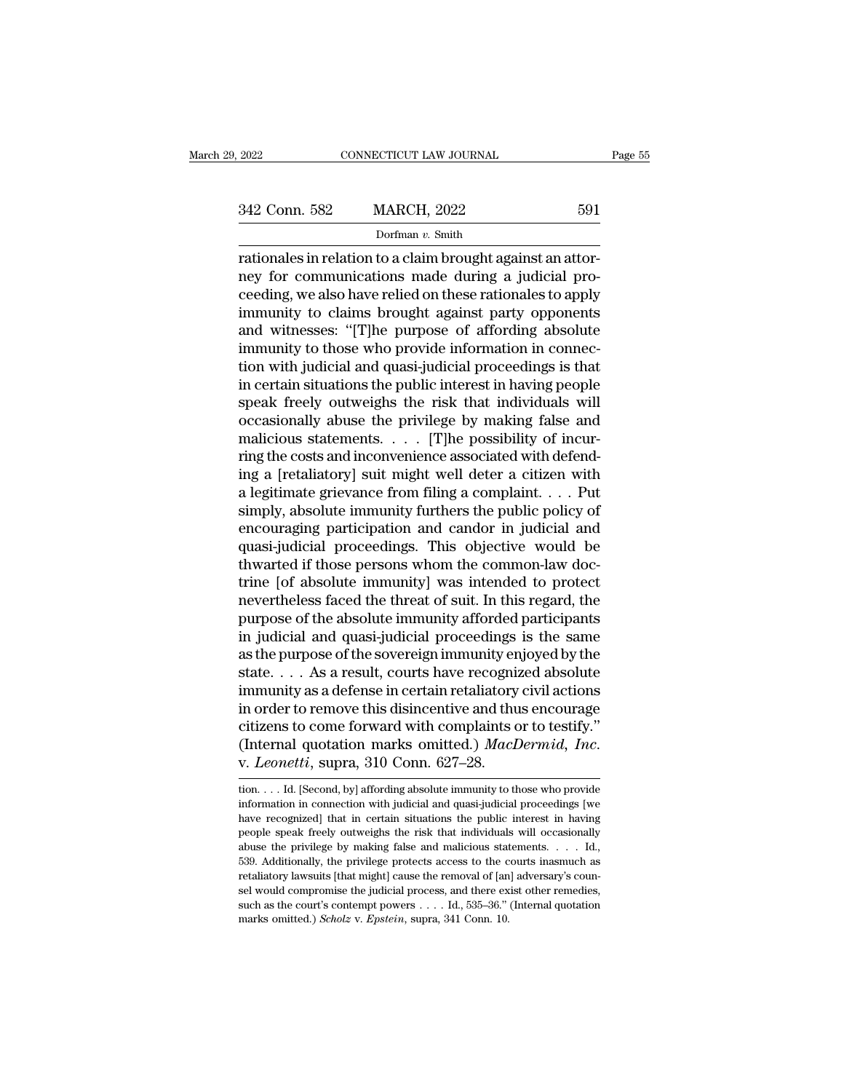Dorfman *v.* Smith

rationales in relation to a claim brought against an attor-<br>
rationales in relation to a claim brought against an attor-<br>
rationales in relation to a claim brought against an attor-<br>
rationales in relation to a claim broug 342 Conn. 582 MARCH, 2022 591<br>
Dorfman v. Smith<br>
Trationales in relation to a claim brought against an attor-<br>
The redding we also have relied on these rationales to apply<br>
immunity to claims brought against party oppopent 342 Conn. 582 MARCH, 2022 591<br>
Dorfman v. Smith<br>
rationales in relation to a claim brought against an attor-<br>
relied on these rationales to apply<br>
immunity to claims brought against party opponents<br>
and witnesses: "The pu 342 Conn. 582 MARCH, 2022 591<br>
Dorfman  $v$ . Smith<br>
rationales in relation to a claim brought against an attor-<br>
ney for communications made during a judicial pro-<br>
ceeding, we also have relied on these rationales to apply Dorfman v. Smith<br>Dorfman v. Smith<br>Trationales in relation to a claim brought against an attor-<br>ney for communications made during a judicial pro-<br>ceeding, we also have relied on these rationales to apply<br>immunity to claims **EXECUTE INTERTM** DOPTED THE TREAD TRANSFER THE TRIGGALLER TRIGGALLER TRIGGALLER THE PROVIDE INTERNATIONAL STATE IN CONTINUITY to claims brought against party opponents and witnesses: "[T]he purpose of affording absolute rationales in relation to a claim brought against an attor-<br>ney for communications made during a judicial pro-<br>ceeding, we also have relied on these rationales to apply<br>immunity to claims brought against party opponents<br>an ney for communications made during a judicial proceeding, we also have relied on these rationales to apply<br>immunity to claims brought against party opponents<br>and witnesses: "[T]he purpose of affording absolute<br>immunity to ceeding, we also have relied on these rationales to apply<br>immunity to claims brought against party opponents<br>and witnesses: "[T]he purpose of affording absolute<br>immunity to those who provide information in connec-<br>tion wit immunity to claims brought against party opponents<br>and witnesses: "[T]he purpose of affording absolute<br>immunity to those who provide information in connec-<br>tion with judicial and quasi-judicial proceedings is that<br>in certa and witnesses: "[T]he purpose of affording absolute<br>immunity to those who provide information in connec-<br>tion with judicial and quasi-judicial proceedings is that<br>in certain situations the public interest in having people immunity to those who provide information in connection with judicial and quasi-judicial proceedings is that<br>in certain situations the public interest in having people<br>speak freely outweighs the risk that individuals will<br> tion with judicial and quasi-judicial proceedings is that<br>in certain situations the public interest in having people<br>speak freely outweighs the risk that individuals will<br>occasionally abuse the privilege by making false a in certain situations the public interest in having people<br>speak freely outweighs the risk that individuals will<br>occasionally abuse the privilege by making false and<br>malicious statements. . . . [T]he possibility of incurspeak freely outweighs the risk that individuals will<br>occasionally abuse the privilege by making false and<br>malicious statements. . . . [T]he possibility of incur-<br>ring the costs and inconvenience associated with defend-<br>i occasionally abuse the privilege by making false and<br>malicious statements. . . . [T]he possibility of incur-<br>ring the costs and inconvenience associated with defend-<br>ing a [retaliatory] suit might well deter a citizen wit malicious statements. . . . [T]he possibility of incur-<br>ring the costs and inconvenience associated with defend-<br>ing a [retaliatory] suit might well deter a citizen with<br>a legitimate grievance from filing a complaint. . . ring the costs and inconvenience associated with defending a [retaliatory] suit might well deter a citizen with a legitimate grievance from filing a complaint.  $\dots$  Put simply, absolute immunity furthers the public policy ing a [retaliatory] suit might well deter a citizen with<br>a legitimate grievance from filing a complaint. . . . Put<br>simply, absolute immunity furthers the public policy of<br>encouraging participation and candor in judicial a a legitimate grievance from filing a complaint. . . . Put<br>simply, absolute immunity furthers the public policy of<br>encouraging participation and candor in judicial and<br>quasi-judicial proceedings. This objective would be<br>thw simply, absolute immunity furthers the public policy of<br>encouraging participation and candor in judicial and<br>quasi-judicial proceedings. This objective would be<br>thwarted if those persons whom the common-law doc-<br>trine [of encouraging participation and candor in judicial and<br>quasi-judicial proceedings. This objective would be<br>thwarted if those persons whom the common-law doc-<br>trine [of absolute immunity] was intended to protect<br>nevertheless quasi-judicial proceedings. This objective would be<br>thwarted if those persons whom the common-law doc-<br>trine [of absolute immunity] was intended to protect<br>nevertheless faced the threat of suit. In this regard, the<br>purpose thwarted if those persons whom the common-law doctrine [of absolute immunity] was intended to protect<br>nevertheless faced the threat of suit. In this regard, the<br>purpose of the absolute immunity afforded participants<br>in jud trine [of absolute immunity] was intended to protect<br>nevertheless faced the threat of suit. In this regard, the<br>purpose of the absolute immunity afforded participants<br>in judicial and quasi-judicial proceedings is the same<br> nevertheless faced the threat of suit. In this regard, the<br>purpose of the absolute immunity afforded participants<br>in judicial and quasi-judicial proceedings is the same<br>as the purpose of the sovereign immunity enjoyed by t purpose of the absolute immunity afforded participants<br>in judicial and quasi-judicial proceedings is the same<br>as the purpose of the sovereign immunity enjoyed by the<br>state.... As a result, courts have recognized absolute<br> in judicial and quasi-judicial proceedings is the same<br>as the purpose of the sovereign immunity enjoyed by the<br>state. . . . As a result, courts have recognized absolute<br>immunity as a defense in certain retaliatory civil ac in order to remove this disincentive and thus encourage citizens to come forward with complaints or to testify."<br>(Internal quotation marks omitted.) *MacDermid*, *Inc.* v. *Leonetti*, supra, 310 Conn. 627–28. citizens to come forward with complaints or to testify."<br>(Internal quotation marks omitted.) *MacDermid*, *Inc.*<br>v. *Leonetti*, supra, 310 Conn. 627–28.<br>tion.... Id. [Second, by] affording absolute immunity to those who pr

<sup>(</sup>Internal quotation marks omitted.) *MacDermid*, Inc.<br>v. Leonetti, supra, 310 Conn. 627–28.<br>tion....Id. [Second, by] affording absolute immunity to those who provide<br>information in connection with judicial and quasi-judici **PEOPLE FREEL FREEL FREEL SET SPEAK FREEL SPEAK FREEL SUPLE SPEAK from .... Id.** [Second, by] affording absolute immunity to those who provide information in connection with judicial and quasi-judicial proceedings [we hav v. *Leonettt*, supra, 510 COIII.  $027-20$ .<br>
ion. . . . Id. [Second, by] affording absolute immunity to those who provide<br>
information in connection with judicial and quasi-judicial proceedings [we<br>
have recognized] that i from .... Id. [Second, by] affording absolute immunity to those who provide information in connection with judicial and quasi-judicial proceedings [we have recognized] that in certain situations the public interest in hav information in connection with judicial and quasi-judicial proceedings [we have recognized] that in certain situations the public interest in having people speak freely outweighs the risk that individuals will occasionall have recognized] that in certain situations the public interest in having people speak freely outweighs the risk that individuals will occasionally abuse the privilege by making false and malicious statements. . . . Id., such as the court's contempt powers . . . . Id., 535–36.'' (Internal quotation abuse the privilege by making false and malicious statements. . . . Id.,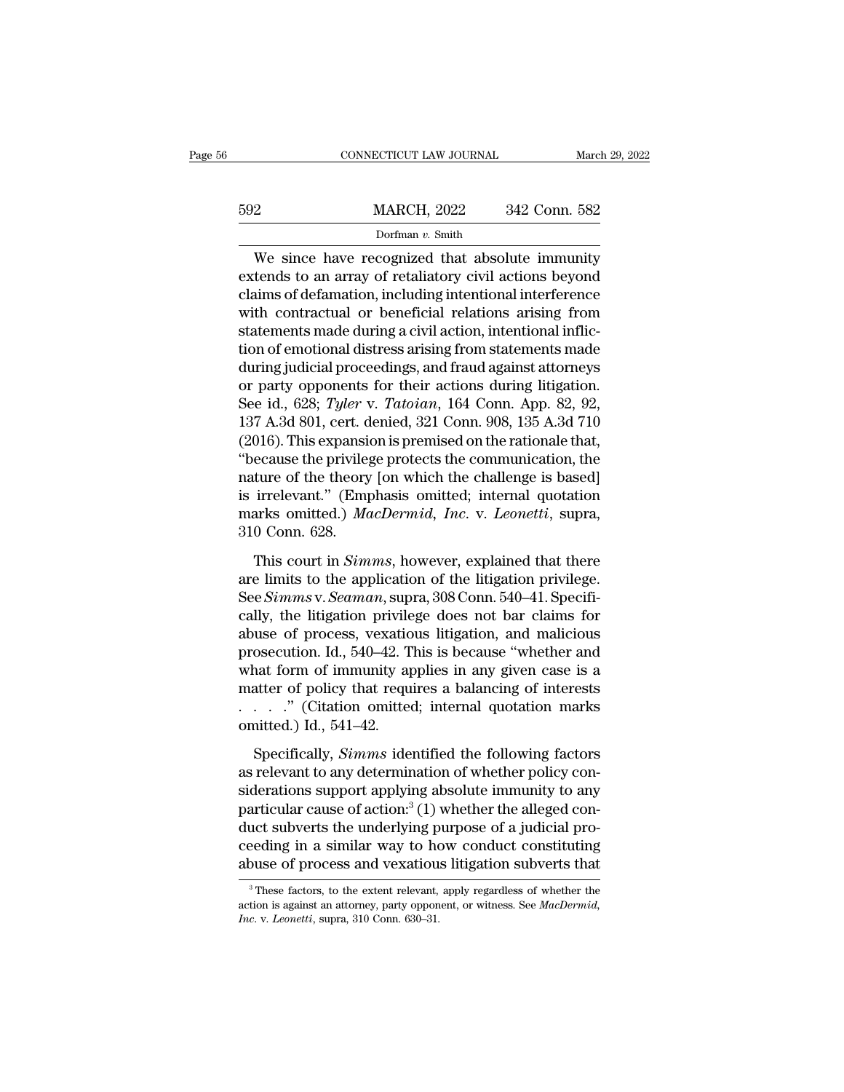|     | CONNECTICUT LAW JOURNAL                                                                                                                                                 | March 29, 2022 |
|-----|-------------------------------------------------------------------------------------------------------------------------------------------------------------------------|----------------|
| 592 | <b>MARCH, 2022</b>                                                                                                                                                      | 342 Conn. 582  |
|     | Dorfman $v$ . Smith                                                                                                                                                     |                |
|     | We since have recognized that absolute immunity<br>extends to an array of retaliatory civil actions beyond<br>elegace of defermation including intentional interference |                |

External MARCH, 2022 342 Conn. 582<br>
Dorfman v. Smith<br>
We since have recognized that absolute immunity<br>
extends to an array of retaliatory civil actions beyond<br>
claims of defamation, including intentional interference<br>
with 592 MARCH, 2022 342 Conn. 582<br>
Dorfman v. Smith<br>
We since have recognized that absolute immunity<br>
extends to an array of retaliatory civil actions beyond<br>
claims of defamation, including intentional interference<br>
with con  $\frac{\text{MARCH}}{\text{Dorfman } v \cdot \text{Smith}}$ <br>We since have recognized that absolute immunity<br>extends to an array of retaliatory civil actions beyond<br>claims of defamation, including intentional interference<br>with contractual or beneficial rel Dorfman v. Smith<br>We since have recognized that absolute immunity<br>extends to an array of retaliatory civil actions beyond<br>claims of defamation, including intentional interference<br>with contractual or beneficial relations ar bonnan *v*. shun<br>
We since have recognized that absolute immunity<br>
extends to an array of retaliatory civil actions beyond<br>
claims of defamation, including intentional interference<br>
with contractual or beneficial relations We since have recognized that absolute immunity<br>extends to an array of retaliatory civil actions beyond<br>claims of defamation, including intentional interference<br>with contractual or beneficial relations arising from<br>statem extends to an array of retaliatory civil actions beyond<br>claims of defamation, including intentional interference<br>with contractual or beneficial relations arising from<br>statements made during a civil action, intentional infl claims of defamation, including intentional interference<br>with contractual or beneficial relations arising from<br>statements made during a civil action, intentional inflic-<br>tion of emotional distress arising from statements m with contractual or beneficial relations arising from<br>statements made during a civil action, intentional inflic-<br>tion of emotional distress arising from statements made<br>during judicial proceedings, and fraud against attorn statements made during a civil action, intentional infliction of emotional distress arising from statements made<br>during judicial proceedings, and fraud against attorneys<br>or party opponents for their actions during litigati tion of emotional distress arising from statements made<br>
during judicial proceedings, and fraud against attorneys<br>
or party opponents for their actions during litigation.<br>
See id., 628; *Tyler* v. *Tatoian*, 164 Conn. App. during judicial proceedings, and fraud against attorneys<br>or party opponents for their actions during litigation.<br>See id., 628; *Tyler* v. *Tatoian*, 164 Conn. App. 82, 92,<br>137 A.3d 801, cert. denied, 321 Conn. 908, 135 A.3 or party opponents for their actions during litigation.<br>See id., 628; *Tyler* v. *Tatoian*, 164 Conn. App. 82, 92,<br>137 A.3d 801, cert. denied, 321 Conn. 908, 135 A.3d 710<br>(2016). This expansion is premised on the rationale See id., 628; *Tyler* v. *Tatoian*, 164 Conn. App. 82, 92, 137 A.3d 801, cert. denied, 321 Conn. 908, 135 A.3d 710 (2016). This expansion is premised on the rationale that, "because the privilege protects the communication 137 A.3d 801, cert. d<br>(2016). This expansit<br>"because the privile;<br>nature of the theory<br>is irrelevant." (Emp<br>marks omitted.) Ma<br>310 Conn. 628.<br>This court in Sim ecause the privilege protects the communication, the<br>ture of the theory [on which the challenge is based]<br>irrelevant." (Emphasis omitted; internal quotation<br>arks omitted.) *MacDermid*, *Inc.* v. *Leonetti*, supra,<br>0 Conn. mature of the theory [on which the challenge is based]<br>is irrelevant." (Emphasis omitted; internal quotation<br>marks omitted.) *MacDermid*, *Inc.* v. *Leonetti*, supra,<br>310 Conn. 628.<br>This court in *Simms*, however, explaine

is irrelevant." (Emphasis omitted; internal quotation<br>marks omitted.) *MacDermid, Inc.* v. *Leonetti*, supra,<br>310 Conn. 628.<br>This court in *Simms*, however, explained that there<br>are limits to the application of the litigat marks omitted.) *MacDermid*, *Inc.* v. *Leonetti*, supra,<br>310 Conn. 628.<br>This court in *Simms*, however, explained that there<br>are limits to the application of the litigation privilege.<br>See *Simms* v. *Seaman*, supra, 308 C 310 Conn. 628.<br>
This court in *Simms*, however, explained that there<br>
are limits to the application of the litigation privilege.<br>
See *Simms* v. *Seaman*, supra, 308 Conn. 540–41. Specifi-<br>
cally, the litigation privilege This court in *Simms*, however, explained that there<br>are limits to the application of the litigation privilege.<br>See *Simms* v. *Seaman*, supra, 308 Conn. 540–41. Specifi-<br>cally, the litigation privilege does not bar claims This court in *Simms*, however, explained that there<br>are limits to the application of the litigation privilege.<br>See *Simms* v. *Seaman*, supra, 308 Conn. 540–41. Specifi-<br>cally, the litigation privilege does not bar claim are limits to the application of the litigation privilege.<br>See *Simms* v. *Seaman*, supra, 308 Conn. 540–41. Specifically, the litigation privilege does not bar claims for<br>abuse of process, vexatious litigation, and malic See *Simms* v. *Seaman*, supra, 308 Conn. 540–41. Specifically, the litigation privilege does not bar claims for abuse of process, vexatious litigation, and malicious prosecution. Id., 540–42. This is because "whether and cally, the litigation privile<br>abuse of process, vexatio<br>prosecution. Id., 540–42. T<br>what form of immunity at<br>matter of policy that requ<br> $\ldots$ ..." (Citation omitted<br>omitted.) Id., 541–42.<br>Specifically, *Simms* ide: osecution. Id., 540–42. This is because "whether and<br>nat form of immunity applies in any given case is a<br>atter of policy that requires a balancing of interests<br>. . . . " (Citation omitted; internal quotation marks<br>nitted.) what form of immunity applies in any given case is a<br>matter of policy that requires a balancing of interests<br> $\ldots$  ... (Citation omitted; internal quotation marks<br>omitted.) Id., 541–42.<br>Specifically, *Simms* identified th

matter of policy that requires a balancing of interests<br>  $\ldots$   $\ldots$  " (Citation omitted; internal quotation marks<br>
omitted.) Id., 541–42.<br>
Specifically, *Simms* identified the following factors<br>
as relevant to any determ particular cause of action in the alleged con-<br>somitted.) Id., 541–42.<br>Specifically, *Simms* identified the following factors<br>as relevant to any determination of whether policy con-<br>siderations support applying absolute i omitted.) Id., 541–42.<br>
Specifically, *Simms* identified the following factors<br>
as relevant to any determination of whether policy con-<br>
siderations support applying absolute immunity to any<br>
particular cause of action:<sup>3</sup> Specifically, *Simms* identified the following factors<br>as relevant to any determination of whether policy con-<br>siderations support applying absolute immunity to any<br>particular cause of action:<sup>3</sup> (1) whether the alleged c Specifically, *Simms* identified the following factors<br>as relevant to any determination of whether policy con-<br>siderations support applying absolute immunity to any<br>particular cause of action.<sup>3</sup> (1) whether the alleged c articular cause of action:" (1) whether the alleged con-<br>nct subverts the underlying purpose of a judicial pro-<br>eeding in a similar way to how conduct constituting<br>buse of process and vexatious litigation subverts that<br> $\$ duct subverts the underlying purpose of a judicial proceeding in a similar way to how conduct constituting abuse of process and vexatious litigation subverts that <sup>3</sup> These factors, to the extent relevant, apply regardless **INCREDE SET ASSEM IS A SCHOOL SUBSED OF PROCESS And Vexatiou<br>
<sup>3</sup> These factors, to the extent relevant, action is against an attorney, party oppon** *Inc.* **v.** *Leonetti***, supra, 310 Conn. 630–31.**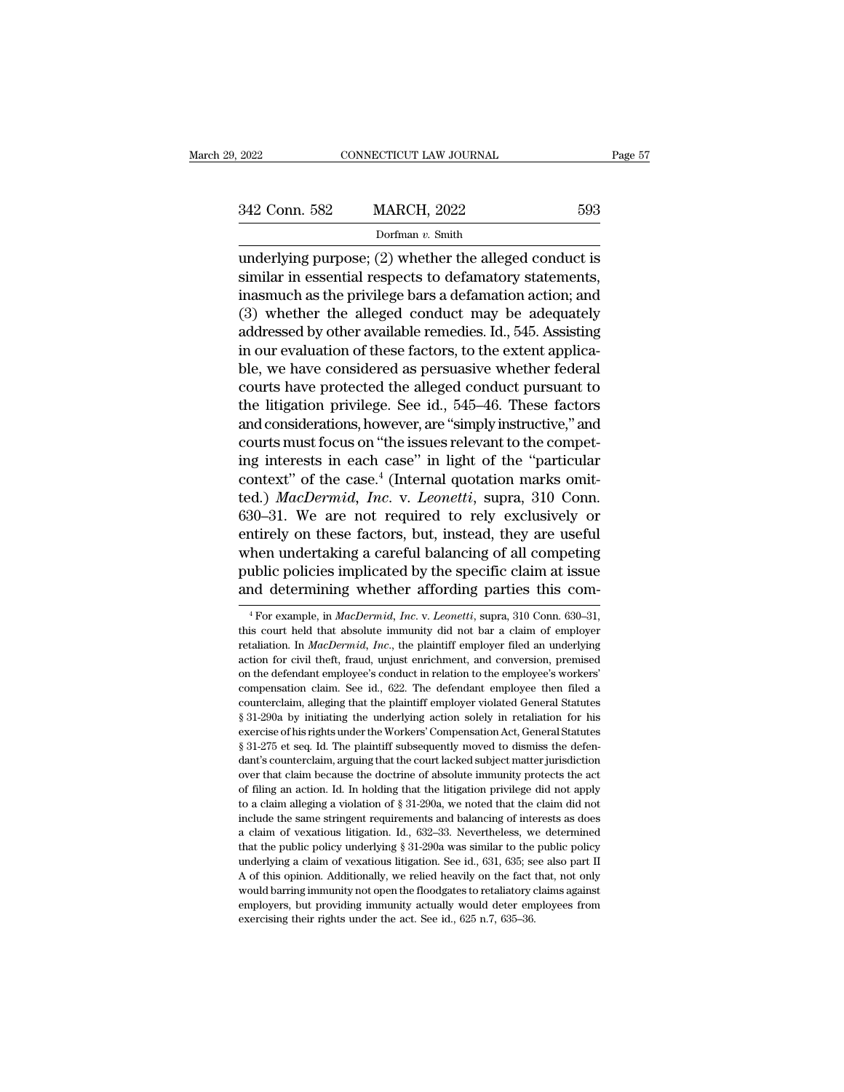| . 2022        | CONNECTICUT LAW JOURNAL | Page 57 |
|---------------|-------------------------|---------|
| 342 Conn. 582 | <b>MARCH, 2022</b>      | 593     |
|               | Dorfman v. Smith        |         |

2022 CONNECTICUT LAW JOURNAL Page 57<br>342 Conn. 582 MARCH, 2022 593<br>Dorfman v. Smith<br>underlying purpose; (2) whether the alleged conduct is<br>similar in essential respects to defamatory statements,<br>inacmuch as the privilege h 342 Conn. 582 MARCH, 2022 593<br>Dorfman v. Smith<br>underlying purpose; (2) whether the alleged conduct is<br>similar in essential respects to defamatory statements,<br>inasmuch as the privilege bars a defamation action; and<br> $(2)$  w 342 Conn. 582 MARCH, 2022 593<br>
Dorfman v. Smith<br>
underlying purpose; (2) whether the alleged conduct is<br>
similar in essential respects to defamatory statements,<br>
inasmuch as the privilege bars a defamation action; and<br>
(3 342 Conn. 582 MARCH, 2022 593<br>
Dorfman v. Smith<br>
underlying purpose; (2) whether the alleged conduct is<br>
similar in essential respects to defamatory statements,<br>
inasmuch as the privilege bars a defamation action; and<br>
(3 Dorfman v. Smith<br>
underlying purpose; (2) whether the alleged conduct is<br>
similar in essential respects to defamatory statements,<br>
inasmuch as the privilege bars a defamation action; and<br>
(3) whether the alleged conduct ma bomian *v*. since factors and evaluation of the simular in essential respects to defamatory statements, inasmuch as the privilege bars a defamation action; and (3) whether the alleged conduct may be adequately addressed b underlying purpose; (2) whether the alleged conduct is<br>similar in essential respects to defamatory statements,<br>inasmuch as the privilege bars a defamation action; and<br>(3) whether the alleged conduct may be adequately<br>addr similar in essential respects to defamatory statements,<br>inasmuch as the privilege bars a defamation action; and<br>(3) whether the alleged conduct may be adequately<br>addressed by other available remedies. Id., 545. Assisting<br>i inasmuch as the privilege bars a defamation action; and<br>
(3) whether the alleged conduct may be adequately<br>
addressed by other available remedies. Id., 545. Assisting<br>
in our evaluation of these factors, to the extent appl (3) whether the alleged conduct may be adequately<br>addressed by other available remedies. Id., 545. Assisting<br>in our evaluation of these factors, to the extent applica-<br>ble, we have considered as persuasive whether federal addressed by other available remedies. Id., 545. Assisting<br>in our evaluation of these factors, to the extent applica-<br>ble, we have considered as persuasive whether federal<br>courts have protected the alleged conduct pursuant in our evaluation of these factors, to the extent applica-<br>ble, we have considered as persuasive whether federal<br>courts have protected the alleged conduct pursuant to<br>the litigation privilege. See id., 545–46. These factor ble, we have considered as persuasive whether federal<br>courts have protected the alleged conduct pursuant to<br>the litigation privilege. See id., 545–46. These factors<br>and considerations, however, are "simply instructive," an courts have protected the alleged conduct pursuant to<br>the litigation privilege. See id., 545–46. These factors<br>and considerations, however, are "simply instructive," and<br>courts must focus on "the issues relevant to the com the litigation privilege. See id., 545–46. These factors<br>and considerations, however, are "simply instructive," and<br>courts must focus on "the issues relevant to the compet-<br>ing interests in each case" in light of the "part and considerations, however, are "simply instructive," and<br>courts must focus on "the issues relevant to the compet-<br>ing interests in each case." in light of the "particular<br>context" of the case.<sup>4</sup> (Internal quotation mark courts must focus on "the issues relevant to the compet-<br>ing interests in each case" in light of the "particular<br>context" of the case.<sup>4</sup> (Internal quotation marks omit-<br>ted.) *MacDermid*, *Inc.* v. *Leonetti*, supra, 310 ing interests in each case" in light of the "particular context" of the case.<sup>4</sup> (Internal quotation marks omitted.) *MacDermid*, *Inc.* v. *Leonetti*, supra, 310 Conn. 630–31. We are not required to rely exclusively or en context" of the case.<sup>4</sup> (Internal quotation marks omit-<br>ted.) *MacDermid*, *Inc.* v. *Leonetti*, supra, 310 Conn.<br>630–31. We are not required to rely exclusively or<br>entirely on these factors, but, instead, they are usefu entirely on these factors, but, instead, they are useful when undertaking a careful balancing of all competing public policies implicated by the specific claim at issue and determining whether affording parties this cometr when undertaking a careful balancing of all competing<br>public policies implicated by the specific claim at issue<br>and determining whether affording parties this com-<br> ${}^{4}$ For example, in *MacDermid*, *Inc.* v. *Leonetti*,

public policies implicated by the specific claim at issue<br>and determining whether affording parties this com-<br><sup>1</sup>For example, in *MacDermid, Inc.*, v. *Leonetti*, supra, 310 Conn. 630–31,<br>this court held that absolute immu and determining whether affording parties this com-<br>
<sup>4</sup> For example, in *MacDermid, Inc.* v. *Leonetti*, supra, 310 Conn. 630–31, this court held that absolute inmunity did not bar a claim of employer retaliation. In *Mac* The deferrent manner and determining witetier and direct and direct in section of  $\frac{4}{100}$  For example, in *MacDermid*, *Inc.* v. *Leonetti*, supra, 310 Conn. 630–31, this court held that absolute immunity did not bar <sup>4</sup> For example, in *MacDermid, Inc.* v. *Leonetti*, supra, 310 Conn. 630–31, this court held that absolute immunity did not bar a claim of employer retaliation. In *MacDermid, Inc.*, the plaintiff employer filed an under this court held that absolute immunity did not bar a claim of employer retaliation. In *MacDermid*, *Inc.*, the plaintiff employer filed an underlying action for civil theft, fraud, unjust enrichment, and conversion, prem retaliation. In *MacDermid*, *Inc.*, the plaintiff employer filed an underlying action for civil theft, fraud, unjust enrichment, and conversion, premised on the defendant employee's conduct in relation to the employee's extion for civil theft, fraud, unjust enrichment, and conversion, premised<br>on the defendant employee's conduct in relation to the employee's workers'<br>compensation claim. See id., 622. The defendant employee then filed a<br>co on the defendant employee's conduct in relation to the employee's workers' compensation claim. See id., 622. The defendant employee then filed a counterclaim, alleging that the plaintiff employer violated General Statutes compensation claim. See id., 622. The defendant employee then filed a counterclaim, alleging that the plaintiff employer violated General Statutes § 31-290a by initiating the underlying action solely in retaliation for his counterclaim, alleging that the plaintiff employer violated General Statutes § 31-290a by initiating the underlying action solely in retaliation for his exercise of his rights under the Workers' Compensation Act, General S  $\frac{1}{2}$   $\frac{1}{2}$   $\frac{1}{2}$   $\frac{1}{2}$   $\frac{1}{2}$   $\frac{1}{2}$   $\frac{1}{2}$   $\frac{1}{2}$   $\frac{1}{2}$   $\frac{1}{2}$   $\frac{1}{2}$   $\frac{1}{2}$   $\frac{1}{2}$   $\frac{1}{2}$   $\frac{1}{2}$   $\frac{1}{2}$   $\frac{1}{2}$   $\frac{1}{2}$   $\frac{1}{2}$   $\frac{1}{2}$   $\frac{1}{2}$   $\frac{1}{2}$  s exercise of his rights under the Workers' Compensation Act, General Statutes § 31-275 et seq. Id. The plaintiff subsequently moved to dismiss the defendant's counterclaim, arguing that the court lacked subject matter jur  $\S$  31-275 et seq. Id. The plaintiff subsequently moved to dismiss the defendant's counterclaim, arguing that the court lacked subject matter jurisdiction over that claim because the doctrine of absolute immunity protects dant's counterclaim, arguing that the court lacked subject matter jurisdiction<br>over that claim because the doctrine of absolute immunity protects the act<br>of filing an action. Id. In holding that the litigation privilege d over that claim because the doctrine of absolute immunity protects the act of filing an action. Id. In holding that the litigation privilege did not apply to a claim alleging a violation of § 31-290a, we noted that the cl of filing an action. Id. In holding that the litigation privilege did not apply to a claim alleging a violation of  $\S 31-290a$ , we noted that the claim did not include the same stringent requirements and balancing of inte to a claim alleging a violation of § 31-290a, we noted that the claim did not include the same stringent requirements and balancing of interests as does a claim of vexatious litigation. Id., 632–33. Nevertheless, we deter include the same stringent requirements and balancing of interests as does a claim of vexatious litigation. Id., 632–33. Nevertheless, we determined that the public policy underlying  $\S 31-290a$  was similar to the public a claim of vexatious litigation. Id., 632–33. Nevertheless, we determined that the public policy underlying  $\S$  31-290a was similar to the public policy underlying a claim of vexatious litigation. See id., 631, 635; see a that the public policy underlying  $\S 31-290a$  was similar to the public policy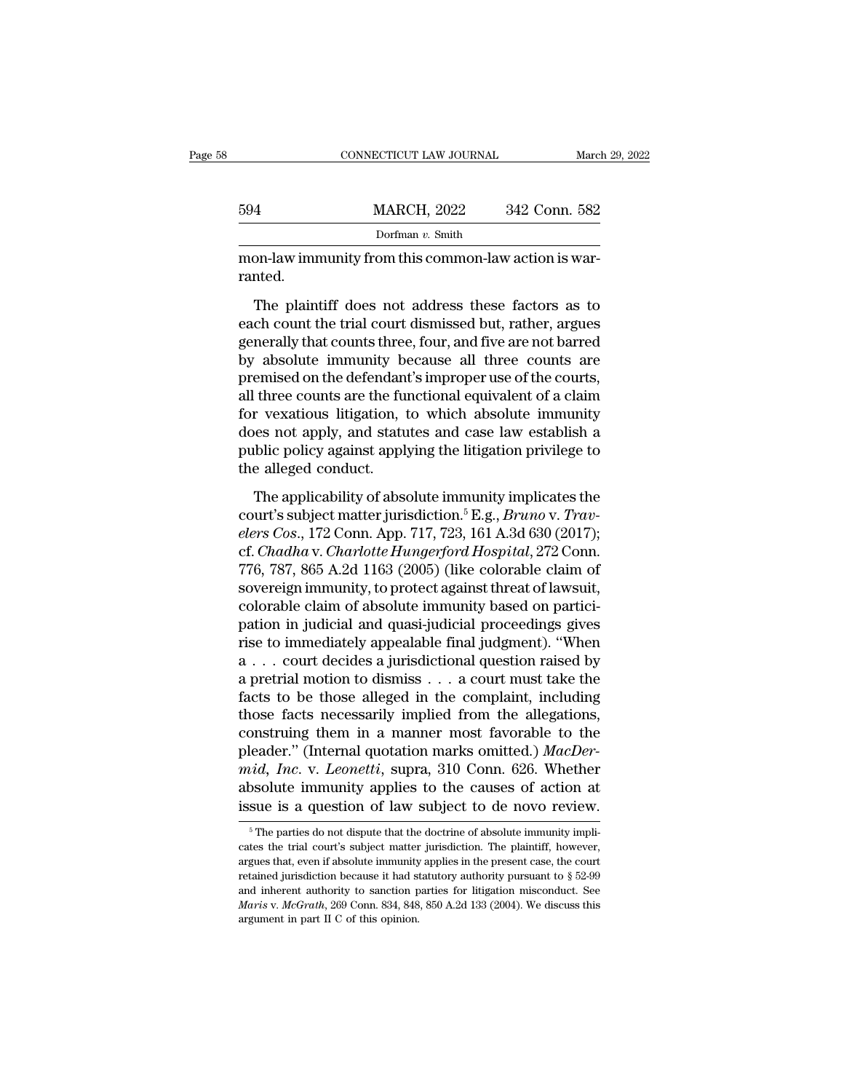|         | CONNECTICUT LAW JOURNAL                                                                                                                                                    | March 29, 2022 |
|---------|----------------------------------------------------------------------------------------------------------------------------------------------------------------------------|----------------|
| 594     | <b>MARCH, 2022</b>                                                                                                                                                         | 342 Conn. 582  |
|         | Dorfman $v$ . Smith                                                                                                                                                        |                |
| ranted. | mon-law immunity from this common-law action is war-                                                                                                                       |                |
|         | The plaintiff does not address these factors as to<br>each count the trial court dismissed but, rather, argues<br>conorally that counts throa four and five are not harved |                |

Example 2342 Volta 2022<br>
Dorfman v. Smith<br>
mon-law immunity from this common-law action is warranted.<br>
The plaintiff does not address these factors as to<br>
each count the trial court dismissed but, rather, argues<br>
generall  $\frac{1}{2}$  borfman v. Smith<br>mon-law immunity from this common-law action is warranted.<br>The plaintiff does not address these factors as to<br>each count the trial court dismissed but, rather, argues<br>generally that counts three mon-law immunity from this common-law action is warranted.<br>The plaintiff does not address these factors as to<br>each count the trial court dismissed but, rather, argues<br>generally that counts three, four, and five are not bar premised.<br>
The plaintiff does not address these factors as to<br>
each count the trial court dismissed but, rather, argues<br>
generally that counts three, four, and five are not barred<br>
by absolute immunity because all three co The plaintiff does not address these factors as to<br>each count the trial court dismissed but, rather, argues<br>generally that counts three, four, and five are not barred<br>by absolute immunity because all three counts are<br>premi The plaintiff does not address these factors as to<br>each count the trial court dismissed but, rather, argues<br>generally that counts three, four, and five are not barred<br>by absolute immunity because all three counts are<br>premi each count the trial court dismissed but, rather, argues<br>generally that counts three, four, and five are not barred<br>by absolute immunity because all three counts are<br>premised on the defendant's improper use of the courts,<br> generally that counts three, four, and five are not barred<br>by absolute immunity because all three counts are<br>premised on the defendant's improper use of the courts,<br>all three counts are the functional equivalent of a claim by absolute immunity b<br>premised on the defendan<br>all three counts are the fu<br>for vexatious litigation, i<br>does not apply, and statu<br>public policy against appl<br>the alleged conduct.<br>The applicability of abso three counts are the functional equivalent of a claim<br>r vexatious litigation, to which absolute immunity<br>less not apply, and statutes and case law establish a<br>blic policy against applying the litigation privilege to<br>e all for vexatious litigation, to which absolute immunity<br>does not apply, and statutes and case law establish a<br>public policy against applying the litigation privilege to<br>the alleged conduct.<br>The applicability of absolute immun

*elers Cosa.* and statutes and case law establish a public policy against applying the litigation privilege to the alleged conduct.<br>The applicability of absolute immunity implicates the court's subject matter jurisdiction. public policy against applying the litigation privilege to<br>public policy against applying the litigation privilege to<br>the alleged conduct.<br>The applicability of absolute immunity implicates the<br>court's subject matter jurisd The applicability of absolute immunity implicates the<br>court's subject matter jurisdiction.<sup>5</sup> E.g., *Bruno v. Trav-<br>elers Cos.*, 172 Conn. App. 717, 723, 161 A.3d 630 (2017);<br>cf. *Chadha v. Charlotte Hungerford Hospital*, The applicability of absolute immunity implicates the<br>court's subject matter jurisdiction.<sup>5</sup> E.g., *Bruno v. Trav-<br>elers Cos.*, 172 Conn. App. 717, 723, 161 A.3d 630 (2017);<br>cf. *Chadha v. Charlotte Hungerford Hospital*, The applicability of absolute immunity implicates the<br>court's subject matter jurisdiction.<sup>5</sup> E.g., *Bruno v. Trav-<br>elers Cos.*, 172 Conn. App. 717, 723, 161 A.3d 630 (2017);<br>cf. *Chadha v. Charlotte Hungerford Hospital*, court's subject matter jurisdiction.<sup>5</sup> E.g., *Bruno v. Trav-*<br>elers Cos., 172 Conn. App. 717, 723, 161 A.3d 630 (2017);<br>cf. *Chadha v. Charlotte Hungerford Hospital*, 272 Conn.<br>776, 787, 865 A.2d 1163 (2005) (like colora elers Cos., 172 Conn. App. 717, 723, 161 A.3d 630 (2017);<br>cf. *Chadha* v. *Charlotte Hungerford Hospital*, 272 Conn.<br>776, 787, 865 A.2d 1163 (2005) (like colorable claim of<br>sovereign immunity, to protect against threat of cf. *Chadha* v. *Charlotte Hungerford Hospital*, 272 Conn.<br>776, 787, 865 A.2d 1163 (2005) (like colorable claim of<br>sovereign immunity, to protect against threat of lawsuit,<br>colorable claim of absolute immunity based on par 776, 787, 865 A.2d 1163 (2005) (like colorable claim of<br>sovereign immunity, to protect against threat of lawsuit,<br>colorable claim of absolute immunity based on partici-<br>pation in judicial and quasi-judicial proceedings gi sovereign immunity, to protect against threat of lawsuit,<br>colorable claim of absolute immunity based on partici-<br>pation in judicial and quasi-judicial proceedings gives<br>rise to immediately appealable final judgment). "When colorable claim of absolute immunity based on partici-<br>pation in judicial and quasi-judicial proceedings gives<br>rise to immediately appealable final judgment). "When<br> $a \dots$  court decides a jurisdictional question raised by<br> pation in judicial and quasi-judicial proceedings gives<br>rise to immediately appealable final judgment). "When<br>a  $\dots$  court decides a jurisdictional question raised by<br>a pretrial motion to dismiss  $\dots$  a court must take th rise to immediately appealable final judgment). "When  $a \dots$  court decides a jurisdictional question raised by a pretrial motion to dismiss  $\dots$  a court must take the facts to be those alleged in the complaint, including t *m* a . . . court decides a jurisdictional question raised by a pretrial motion to dismiss . . . a court must take the facts to be those alleged in the complaint, including those facts necessarily implied from the allegati a pretrial motion to dismiss  $\ldots$  a court must take the facts to be those alleged in the complaint, including those facts necessarily implied from the allegations, construing them in a manner most favorable to the pleade facts to be those alleged in the complaint, including<br>those facts necessarily implied from the allegations,<br>construing them in a manner most favorable to the<br>pleader." (Internal quotation marks omitted.) *MacDer-*<br>mid, In Figure 2.1 The parties do not dispute that the doctrine of absolute immunity applies to the causes of action at sue is a question of law subject to de novo review.<br>  $\frac{1}{2}$  The parties do not dispute that the doctrine o mid, Inc. v. Leonetti, supra, 310 Conn. 626. Whether absolute immunity applies to the causes of action at issue is a question of law subject to de novo review.<br><sup>5</sup> The parties do not dispute that the doctrine of absolute

absolute immunity applies to the causes of action at issue is a question of law subject to de novo review.<br>
For a question of law subject to de novo review.<br>
For a present case, the trial court's subject matter jurisdicti issue is a question of law subject to de novo review.<br>
<sup>5</sup> The parties do not dispute that the doctrine of absolute immunity implicates the trial court's subject matter jurisdiction. The plaintiff, however, argues that, e <sup>5</sup> The parties do not dispute that the doctrine of absolute immunity implicates the trial court's subject matter jurisdiction. The plaintiff, however, argues that, even if absolute immunity applies in the present case, t <sup>5</sup> The parties do not dispute that the doctrine of absolute immunity implicates the trial court's subject matter jurisdiction. The plaintiff, however, argues that, even if absolute immunity applies in the present case, t cates the trial court's subject matter jurisdiction. The plaintiff, however, argues that, even if absolute immunity applies in the present case, the court retained jurisdiction because it had statutory authority pursuant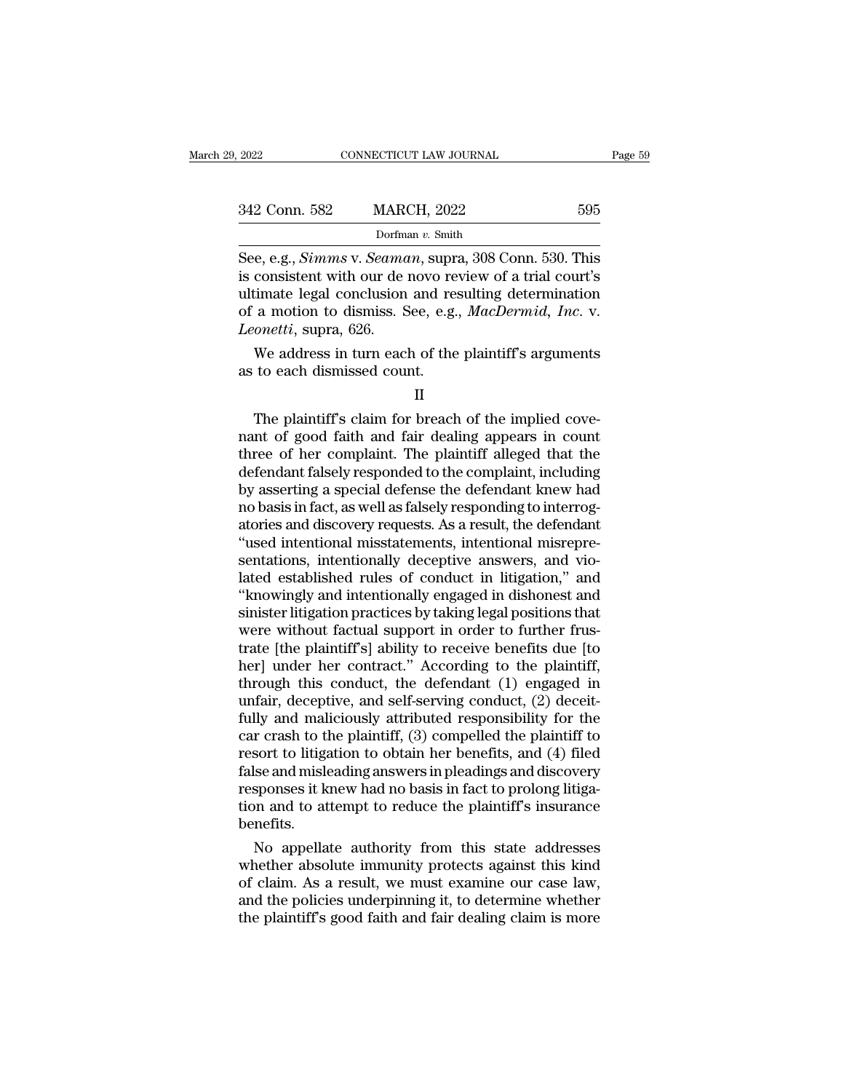| 9. 2022       | CONNECTICUT LAW JOURNAL                                                                                                                                                             | Page 59 |
|---------------|-------------------------------------------------------------------------------------------------------------------------------------------------------------------------------------|---------|
|               |                                                                                                                                                                                     |         |
| 342 Conn. 582 | <b>MARCH, 2022</b>                                                                                                                                                                  | 595     |
|               | Dorfman $v$ . Smith                                                                                                                                                                 |         |
|               | See, e.g., <i>Simms v. Seaman</i> , supra, 308 Conn. 530. This<br>is consistent with our de novo review of a trial court's<br>ultimato logal conclusion and resulting determination |         |

342 Conn. 582 MARCH, 2022 595<br>
Dorfman v. Smith<br>
See, e.g., *Simms* v. *Seaman*, supra, 308 Conn. 530. This<br>
is consistent with our de novo review of a trial court's<br>
ultimate legal conclusion and resulting determination<br> 342 Conn. 582 MARCH, 2022 595<br>
Dorfman v. Smith<br>
See, e.g., Simms v. Seaman, supra, 308 Conn. 530. This<br>
is consistent with our de novo review of a trial court's<br>
ultimate legal conclusion and resulting determination<br>
of 342 Conn. 582 MARCH, 2022 595<br>
Dorfman v. Smith<br>
See, e.g., *Simms* v. *Seaman*, supra, 308 Conn. 530. This<br>
is consistent with our de novo review of a trial court's<br>
ultimate legal conclusion and resulting determination<br> *Leonar 652 Leonar 652*<br> *Dorfma*<br> *Dorfma*<br> *Leonetti*, supra, 626.<br> *Leonetti*, supra, 626.<br> *We* address in turn each e, e.g., *Simms* v. *Seaman*, supra, 308 Conn. 530. This consistent with our de novo review of a trial court's timate legal conclusion and resulting determination a motion to dismiss. See, e.g., *MacDermid*, *Inc.* v. *con* See, e.g., *Simms v. Seaman*, supris consistent with our de novo re<br>ultimate legal conclusion and res<br>of a motion to dismiss. See, e.g.<br>*Leonetti*, supra, 626.<br>We address in turn each of the<br>as to each dismissed count.

% a motion to dismiss. See, e.g.,  $MacDermid$ ,  $Inc$ . v.<br>  $sonetti$ , supra, 626.<br>
We address in turn each of the plaintiff's arguments<br>
to each dismissed count.<br>  $II$ <br>
The plaintiff's claim for breach of the implied cove-<br>
nt of good Leonetti, supra, 626.<br>
We address in turn each of the plaintiff's arguments<br>
as to each dismissed count.<br>
II<br>
The plaintiff's claim for breach of the implied cove-<br>
nant of good faith and fair dealing appears in count<br>
thr We address in turn each of the plaintiff's arguments<br>as to each dismissed count.<br>II<br>The plaintiff's claim for breach of the implied cove-<br>nant of good faith and fair dealing appears in count<br>three of her complaint. The pla defendant falsely responded to the implied cove-<br>and of good faith and fair dealing appears in count<br>three of her complaint. The plaintiff alleged that the<br>defendant falsely responded to the complaint, including<br>by asserti II<br>
The plaintiff's claim for breach of the implied cove-<br>
nant of good faith and fair dealing appears in count<br>
three of her complaint. The plaintiff alleged that the<br>
defendant falsely responded to the complaint, includi II<br>The plaintiff's claim for breach of the implied cove-<br>nant of good faith and fair dealing appears in count<br>three of her complaint. The plaintiff alleged that the<br>defendant falsely responded to the complaint, including<br>b The plaintiff's claim for breach of the implied cove-<br>nant of good faith and fair dealing appears in count<br>three of her complaint. The plaintiff alleged that the<br>defendant falsely responded to the complaint, including<br>by a nant of good faith and fair dealing appears in count<br>three of her complaint. The plaintiff alleged that the<br>defendant falsely responded to the complaint, including<br>by asserting a special defense the defendant knew had<br>no b three of her complaint. The plaintiff alleged that the defendant falsely responded to the complaint, including<br>by asserting a special defense the defendant knew had<br>no basis in fact, as well as falsely responding to interr defendant falsely responded to the complaint, including<br>by asserting a special defense the defendant knew had<br>no basis in fact, as well as falsely responding to interrog-<br>atories and discovery requests. As a result, the de by asserting a special defense the defendant knew had<br>no basis in fact, as well as falsely responding to interrog-<br>atories and discovery requests. As a result, the defendant<br>"used intentional misstatements, intentional mis no basis in fact, as well as falsely responding to interrogatories and discovery requests. As a result, the defendant "used intentional misstatements, intentional misrepresentations, intentionally deceptive answers, and vi atories and discovery requests. As a result, the defendant<br>"used intentional misstatements, intentional misrepre-<br>sentations, intentionally deceptive answers, and vio-<br>lated established rules of conduct in litigation," and "used intentional misstatements, intentional misrepre-<br>sentations, intentionally deceptive answers, and vio-<br>lated established rules of conduct in litigation," and<br>"knowingly and intentionally engaged in dishonest and<br>sini sentations, intentionally deceptive answers, and vio-<br>lated established rules of conduct in litigation," and<br>"knowingly and intentionally engaged in dishonest and<br>sinister litigation practices by taking legal positions tha lated established rules of conduct in litigation," and<br>"knowingly and intentionally engaged in dishonest and<br>sinister litigation practices by taking legal positions that<br>were without factual support in order to further fru "knowingly and intentionally engaged in dishonest and<br>sinister litigation practices by taking legal positions that<br>were without factual support in order to further frus-<br>trate [the plaintiff's] ability to receive benefits sinister litigation practices by taking legal positions that<br>were without factual support in order to further frus-<br>trate [the plaintiff's] ability to receive benefits due [to<br>her] under her contract." According to the pla were without factual support in order to further frustrate [the plaintiff's] ability to receive benefits due [to her] under her contract." According to the plaintiff, through this conduct, the defendant (1) engaged in unfa trate [the plaintiff's] ability to receive benefits due [to<br>her] under her contract." According to the plaintiff,<br>through this conduct, the defendant (1) engaged in<br>unfair, deceptive, and self-serving conduct, (2) deceit-<br> her] under her contract." According to the plaintiff,<br>through this conduct, the defendant (1) engaged in<br>unfair, deceptive, and self-serving conduct, (2) deceit-<br>fully and maliciously attributed responsibility for the<br>car through this conduct, the defendant (1) engaged in unfair, deceptive, and self-serving conduct, (2) deceitfully and maliciously attributed responsibility for the car crash to the plaintiff, (3) compelled the plaintiff to r unfair, deceptive, and self-serving conduct, (2) deceit-<br>fully and maliciously attributed responsibility for the<br>car crash to the plaintiff, (3) compelled the plaintiff to<br>resort to litigation to obtain her benefits, and ( benefits. r crash to the plantiff, (3) compelled the plantiff to<br>sort to litigation to obtain her benefits, and (4) filed<br>lse and misleading answers in pleadings and discovery<br>sponses it knew had no basis in fact to prolong litiga-<br> resort to litigation to obtain her benefits, and (4) filed<br>false and misleading answers in pleadings and discovery<br>responses it knew had no basis in fact to prolong litiga-<br>tion and to attempt to reduce the plaintiff's ins

ralse and misleading answers in pleadings and discovery<br>responses it knew had no basis in fact to prolong litiga-<br>tion and to attempt to reduce the plaintiff's insurance<br>benefits.<br>No appellate authority from this state add responses it knew had no basis in fact to prolong litigation and to attempt to reduce the plaintiff's insurance<br>benefits.<br>No appellate authority from this state addresses<br>whether absolute immunity protects against this kin tion and to attempt to reduce the plaintiff's insurance<br>benefits.<br>No appellate authority from this state addresses<br>whether absolute immunity protects against this kind<br>of claim. As a result, we must examine our case law,<br>a

II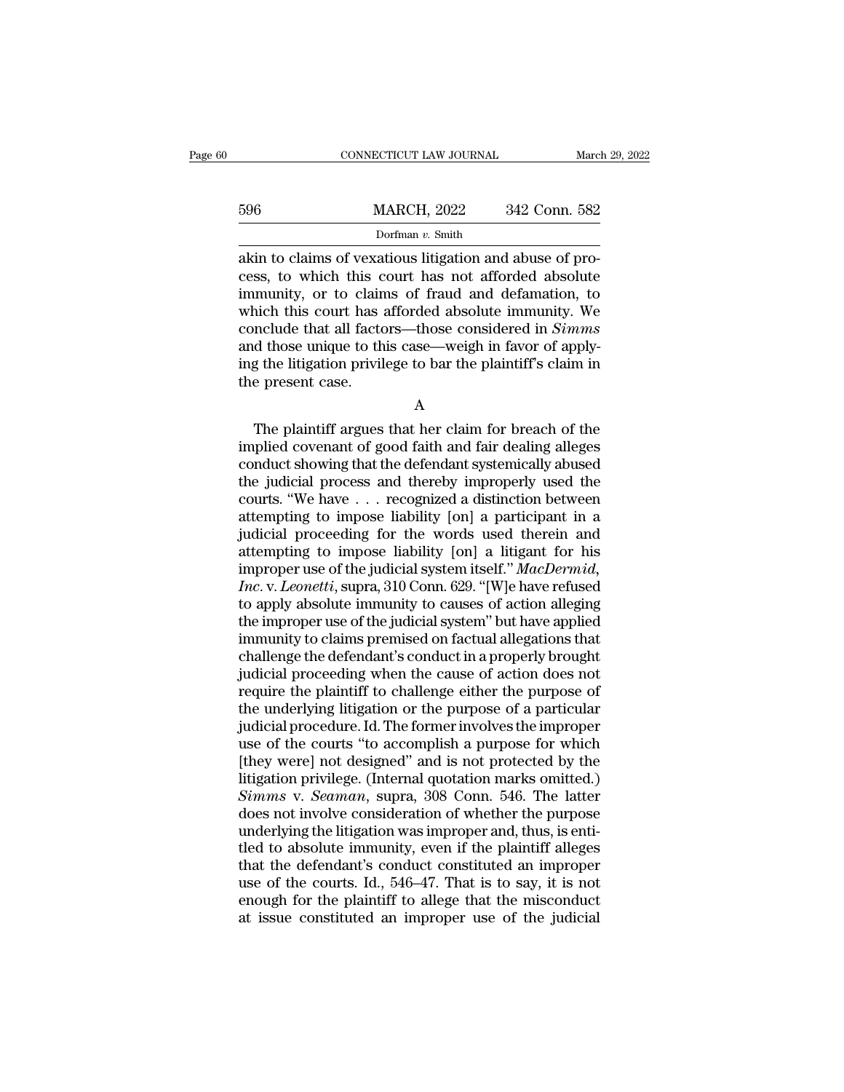|     | CONNECTICUT LAW JOURNAL                                                                                                                                             | March 29, 2022 |
|-----|---------------------------------------------------------------------------------------------------------------------------------------------------------------------|----------------|
| 596 | <b>MARCH, 2022</b>                                                                                                                                                  | 342 Conn. 582  |
|     | Dorfman $v$ . Smith                                                                                                                                                 |                |
|     | akin to claims of vexatious litigation and abuse of pro-<br>cess, to which this court has not afforded absolute<br>immunity or to claims of froud and defamation to |                |

596 MARCH, 2022 342 Conn. 582<br>Dorfman v. Smith<br>akin to claims of vexatious litigation and abuse of process, to which this court has not afforded absolute<br>immunity, or to claims of fraud and defamation, to<br>which this court  $\frac{\text{MARCH}}{\text{Dorfman } v \cdot \text{Smith}}$ <br>
Dorfman  $v \cdot \text{Smith}}$ <br>
akin to claims of vexatious litigation and abuse of process, to which this court has not afforded absolute<br>
immunity, or to claims of fraud and defamation, to<br>
which this cou  $\frac{\text{Dorfman } v. \text{ Smith}}{\text{Akin to claims of vexations litigation and abuse of process, to which this court has not afforded absolute immunity, or to claims of fraud and defamation, to which this court has afforded absolute immunity. We conclude that all factors—those considered in *Simms* and those unique to this case—weight in favor of apply$ portman v. Smith<br>
akin to claims of vexatious litigation and abuse of process, to which this court has not afforded absolute<br>
immunity, or to claims of fraud and defamation, to<br>
which this court has afforded absolute immun Dorfman  $v$ . Smith<br>akin to claims of vexatious litigation and abuse of pro-<br>cess, to which this court has not afforded absolute<br>immunity, or to claims of fraud and defamation, to<br>which this court has afforded absolute imm akin to claims of vexatious litigation and abuse of process, to which this court has not afforded absolute immunity, or to claims of fraud and defamation, to which this court has afforded absolute immunity. We conclude tha cess, to which this c<br>immunity, or to clain<br>which this court has a<br>conclude that all facts<br>and those unique to th<br>ing the litigation privil<br>the present case. The plaintiff argues that her claim for breach of the<br>plantiff argues to bar the plaintiff's claim in<br>e present case.<br>A<br>The plaintiff argues that her claim for breach of the<br>plied covenant of good faith and fair dealing al

# A

Exercise that an interest anset considered in *Summis*<br>and those unique to this case—weigh in favor of apply-<br>ing the litigation privilege to bar the plaintiff's claim in<br>the present case.<br>A<br>The plaintiff argues that her c ing the litigation privilege to bar the plaintiff's claim in<br>the present case.<br>A<br>The plaintiff argues that her claim for breach of the<br>implied covenant of good faith and fair dealing alleges<br>conduct showing that the defen the present case.<br>
A<br>
The plaintiff argues that her claim for breach of the<br>
implied covenant of good faith and fair dealing alleges<br>
conduct showing that the defendant systemically abused<br>
the judicial process and thereby A<br>
The plaintiff argues that her claim for breach of the<br>
implied covenant of good faith and fair dealing alleges<br>
conduct showing that the defendant systemically abused<br>
the judicial process and thereby improperly used th A<br>
The plaintiff argues that her claim for breach of the<br>
implied covenant of good faith and fair dealing alleges<br>
conduct showing that the defendant systemically abused<br>
the judicial process and thereby improperly used th The plaintiff argues that her claim for breach of the<br>implied covenant of good faith and fair dealing alleges<br>conduct showing that the defendant systemically abused<br>the judicial process and thereby improperly used the<br>cou implied covenant of good faith and fair dealing alleges<br>conduct showing that the defendant systemically abused<br>the judicial process and thereby improperly used the<br>courts. "We have . . . recognized a distinction between<br>at conduct showing that the defendant systemically abused<br>the judicial process and thereby improperly used the<br>courts. "We have . . . recognized a distinction between<br>attempting to impose liability [on] a participant in a<br>jud *Inc* is the judicial process and thereby improperly used the courts. "We have . . . recognized a distinction between attempting to impose liability [on] a participant in a judicial proceeding for the words used therein an courts. "We have . . . recognized a distinction between<br>attempting to impose liability [on] a participant in a<br>judicial proceeding for the words used therein and<br>attempting to impose liability [on] a litigant for his<br>impro attempting to impose liability [on] a participant in a<br>judicial proceeding for the words used therein and<br>attempting to impose liability [on] a litigant for his<br>improper use of the judicial system itself." MacDermid,<br>Inc. judicial proceeding for the words used therein and<br>attempting to impose liability [on] a litigant for his<br>improper use of the judicial system itself." MacDermid,<br>Inc. v. Leonetti, supra, 310 Conn. 629. "[W]e have refused<br>t attempting to impose liability [on] a litigant for his<br>improper use of the judicial system itself." MacDermid,<br>Inc. v. Leonetti, supra, 310 Conn. 629. "[W]e have refused<br>to apply absolute immunity to causes of action alleg improper use of the judicial system itself." *MacDermid,*<br>*Inc.* v. *Leonetti*, supra, 310 Conn. 629. "[W]e have refused<br>to apply absolute immunity to causes of action alleging<br>the improper use of the judicial system" but *Inc.* v. *Leonetti*, supra, 310 Conn. 629. "[W]e have refused<br>to apply absolute immunity to causes of action alleging<br>the improper use of the judicial system" but have applied<br>immunity to claims premised on factual allega to apply absolute immunity to causes of action alleging<br>the improper use of the judicial system" but have applied<br>immunity to claims premised on factual allegations that<br>challenge the defendant's conduct in a properly brou the improper use of the judicial system" but have applied<br>immunity to claims premised on factual allegations that<br>challenge the defendant's conduct in a properly brought<br>judicial proceeding when the cause of action does no immunity to claims premised on factual allegations that<br>challenge the defendant's conduct in a properly brought<br>judicial proceeding when the cause of action does not<br>require the plaintiff to challenge either the purpose of challenge the defendant's conduct in a properly brought<br>judicial proceeding when the cause of action does not<br>require the plaintiff to challenge either the purpose of<br>the underlying litigation or the purpose of a particula judicial proceeding when the cause of action does not<br>require the plaintiff to challenge either the purpose of<br>the underlying litigation or the purpose of a particular<br>judicial procedure. Id. The former involves the improp require the plaintiff to challenge either the purpose of<br>the underlying litigation or the purpose of a particular<br>judicial procedure. Id. The former involves the improper<br>use of the courts "to accomplish a purpose for whic the underlying litigation or the purpose of a particular<br>judicial procedure. Id. The former involves the improper<br>use of the courts "to accomplish a purpose for which<br>[they were] not designed" and is not protected by the<br>l judicial procedure. Id. The former involves the improper<br>use of the courts "to accomplish a purpose for which<br>[they were] not designed" and is not protected by the<br>litigation privilege. (Internal quotation marks omitted.)<br> use of the courts "to accomplish a purpose for which<br>[they were] not designed" and is not protected by the<br>litigation privilege. (Internal quotation marks omitted.)<br>Simms v. Seaman, supra, 308 Conn. 546. The latter<br>does no [they were] not designed" and is not protected by the litigation privilege. (Internal quotation marks omitted.)  $Simms$  v. *Seaman*, supra, 308 Conn. 546. The latter does not involve consideration of whether the purpose unde litigation privilege. (Internal quotation marks omitted.)<br>
Simms v. Seaman, supra, 308 Conn. 546. The latter<br>
does not involve consideration of whether the purpose<br>
underlying the litigation was improper and, thus, is enti Simms v. Seaman, supra, 308 Conn. 546. The latter does not involve consideration of whether the purpose underlying the litigation was improper and, thus, is entitled to absolute immunity, even if the plaintiff alleges tha does not involve consideration of whether the purpose<br>underlying the litigation was improper and, thus, is enti-<br>tled to absolute immunity, even if the plaintiff alleges<br>that the defendant's conduct constituted an improper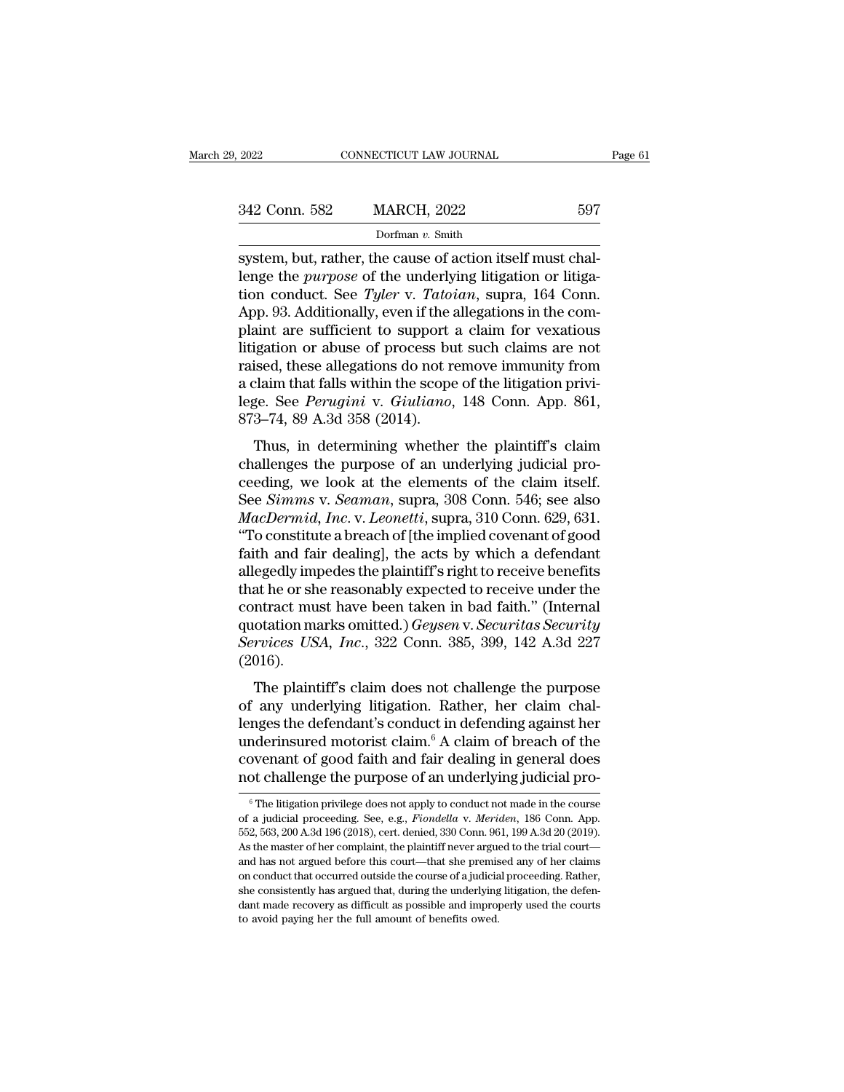| 9.2022        |                                                                                                                                                                                     |         |
|---------------|-------------------------------------------------------------------------------------------------------------------------------------------------------------------------------------|---------|
|               | CONNECTICUT LAW JOURNAL                                                                                                                                                             | Page 61 |
| 342 Conn. 582 | <b>MARCH, 2022</b>                                                                                                                                                                  | 597     |
|               | Dorfman $v$ . Smith                                                                                                                                                                 |         |
|               | system, but, rather, the cause of action itself must chal-<br>lenge the <i>purpose</i> of the underlying litigation or litiga-<br>tion conduct. Soo Talex y Tatoian, supra 164 Conn |         |

342 Conn. 582 MARCH, 2022 597<br>
Dorfman v. Smith<br>
system, but, rather, the cause of action itself must chal-<br>
lenge the *purpose* of the underlying litigation or litiga-<br>
tion conduct. See *Tyler* v. *Tatoian*, supra, 164 C 1942 Conn. 582 MARCH, 2022 597<br>
1977 Dorfman v. Smith<br>
1975 System, but, rather, the cause of action itself must challenge the *purpose* of the underlying litigation or litigation conduct. See *Tyler* v. *Tatoian*, supra, 342 Conn. 582 MARCH, 2022 597<br>
Dorfman v. Smith<br>
system, but, rather, the cause of action itself must chal-<br>
lenge the *purpose* of the underlying litigation or litiga-<br>
tion conduct. See *Tyler* v. *Tatoian*, supra, 164 plant and the cause of action itself must challenge the *purpose* of the underlying litigation or litigation conduct. See *Tyler* v. *Tatoian*, supra, 164 Conn.<br>App. 93. Additionally, even if the allegations in the compla Lorman v. Smith<br>system, but, rather, the cause of action itself must chal-<br>lenge the *purpose* of the underlying litigation or litiga-<br>tion conduct. See *Tyler* v. *Tatoian*, supra, 164 Conn.<br>App. 93. Additionally, even i system, but, rather, the cause of action itself must chal-<br>lenge the *purpose* of the underlying litigation or litiga-<br>tion conduct. See *Tyler* v. *Tatoian*, supra, 164 Conn.<br>App. 93. Additionally, even if the allegations lenge the *purpose* of the underlying litigation or litigation conduct. See *Tyler* v. *Tatoian*, supra, 164 Conn.<br>App. 93. Additionally, even if the allegations in the complaint are sufficient to support a claim for vexa tion conduct. See *Tyler* v. *Tatoian*, supra, 164 Conn.<br>App. 93. Additionally, even if the allegations in the com-<br>plaint are sufficient to support a claim for vexatious<br>litigation or abuse of process but such claims are App. 93. Additionally, even if the applaint are sufficient to support<br>litigation or abuse of process bu<br>raised, these allegations do not r<br>a claim that falls within the scope<br>lege. See *Perugini* v. Giuliano,<br>873–74, 89 A. in are sunctent to support a claim for vexatious<br>igation or abuse of process but such claims are not<br>ised, these allegations do not remove immunity from<br>claim that falls within the scope of the litigation privi-<br>ge. See *P* raised, these allegations do not remove immunity from<br>a claim that falls within the scope of the litigation privi-<br>lege. See *Perugini* v. Giuliano, 148 Conn. App. 861,<br>873–74, 89 A.3d 358 (2014).<br>Thus, in determining whet

raised, these ancgarions do not renove minimity from<br>a claim that falls within the scope of the litigation privi-<br>lege. See *Perugini* v. Giuliano, 148 Conn. App. 861,<br>873–74, 89 A.3d 358 (2014).<br>Thus, in determining whet de claim that rans whilm the scope of the higation privi-<br>lege. See *Perugini* v. *Giuliano*, 148 Conn. App. 861,<br>873–74, 89 A.3d 358 (2014).<br>Thus, in determining whether the plaintiff's claim<br>challenges the purpose of an *Macher League See Teragunt v. Grattano,* 140 Conn. App. 301, 873–74, 89 A.3d 358 (2014).<br>
Thus, in determining whether the plaintiff's claim<br>
challenges the purpose of an underlying judicial pro-<br>
ceeding, we look at the Thus, in determining whether the plaintiff's claim<br>
challenges the purpose of an underlying judicial pro-<br>
ceeding, we look at the elements of the claim itself.<br>
See *Simms* v. *Seaman*, supra, 308 Conn. 546; see also<br> *M* Thus, in determining whether the plaintiff's claim<br>challenges the purpose of an underlying judicial pro-<br>ceeding, we look at the elements of the claim itself.<br>See *Simms* v. *Seaman*, supra, 308 Conn. 546; see also<br>*MacDer* challenges the purpose of an underlying judicial proceeding, we look at the elements of the claim itself.<br>See *Simms v. Seaman*, supra, 308 Conn. 546; see also<br>*MacDermid, Inc. v. Leonetti*, supra, 310 Conn. 629, 631.<br>"To ceeding, we look at the elements of the claim itself.<br>See *Simms* v. *Seaman*, supra, 308 Conn. 546; see also<br>*MacDermid, Inc.* v. *Leonetti*, supra, 310 Conn. 629, 631.<br>"To constitute a breach of [the implied covenant of See *Simms* v. *Seaman*, supra, 308 Conn. 546; see also<br> *MacDermid, Inc.* v. *Leonetti*, supra, 310 Conn. 629, 631.<br>
"To constitute a breach of [the implied covenant of good<br>
faith and fair dealing], the acts by which a d *MacDermid, Inc.* v. *Leonetti*, supra, 310 Conn. 629, 631.<br>"To constitute a breach of [the implied covenant of good<br>faith and fair dealing], the acts by which a defendant<br>allegedly impedes the plaintiff's right to receive "To constitute a breach of [the implied covenant of good faith and fair dealing], the acts by which a defendant allegedly impedes the plaintiff's right to receive benefits that he or she reasonably expected to receive unde (2016). Egeary impedes are plaintiff stight to receive benefits<br>at he or she reasonably expected to receive under the<br>ntract must have been taken in bad faith." (Internal<br>otation marks omitted.) *Geysen* v. *Securitas Security*<br>rv contract must have been taken in bad faith." (Internal<br>quotation marks omitted.) *Geysen v. Securitas Security*<br>*Services USA, Inc.*, 322 Conn. 385, 399, 142 A.3d 227<br>(2016).<br>The plaintiff's claim does not challenge the p

dependent models and the defendant. (Internal quotation marks omitted.) *Geysen v. Securitas Security*<br>*Services USA, Inc.*, 322 Conn. 385, 399, 142 A.3d 227<br>(2016).<br>The plaintiff's claim does not challenge the purpose<br>of Gervices USA, Inc., 322 Conn. 385, 399, 142 A.3d 227<br>(2016).<br>The plaintiff's claim does not challenge the purpose<br>of any underlying litigation. Rather, her claim chal-<br>lenges the defendant's conduct in defending against h coverage contracts of the plaintiff's claim does not challenge the purpose<br>of any underlying litigation. Rather, her claim chal-<br>lenges the defendant's conduct in defending against her<br>underinsured motorist claim.<sup>6</sup> A cl The plaintiff's claim does not challenge the purpose<br>of any underlying litigation. Rather, her claim chal-<br>lenges the defendant's conduct in defending against her<br>underinsured motorist claim.<sup>6</sup> A claim of breach of the<br>c nges the detendant's conduct in detending against her<br>nderinsured motorist claim.<sup>6</sup> A claim of breach of the<br>ovenant of good faith and fair dealing in general does<br>ot challenge the purpose of an underlying judicial pro-<br><sup></sup> underinsured motorist claim.<sup>6</sup> A claim of breach of the covenant of good faith and fair dealing in general does not challenge the purpose of an underlying judicial proceeding of a judicial proceeding. See, e.g., *Fiondell* 

covenant of good faith and fair dealing in general does<br>not challenge the purpose of an underlying judicial pro-<br><sup>©</sup>The litigation privilege does not apply to conduct not made in the course<br>of a judicial proceeding. See, e not challenge the purpose of an underlying judicial pro-<br>
<sup>6</sup> The litigation privilege does not apply to conduct not made in the course<br>
of a judicial proceeding. See, e.g., *Fiondella v. Meriden*, 186 Conn. App.<br>
552, 563 That channelige the purpose of art underlying judicial proceeding.<br>
The litigation privilege does not apply to conduct not made in the course<br>
of a judicial proceeding. See, e.g., *Fiondella v. Meriden*, 186 Conn. App.<br>
5 <sup>6</sup> The litigation privilege does not apply to conduct not made in the course of a judicial proceeding. See, e.g., *Fiondella v. Meriden*, 186 Conn. App. 552, 563, 200 A.3d 196 (2018), cert. denied, 330 Conn. 961, 199 A.3 of a judicial proceeding. See, e.g., *Fiondella* v. *Meriden*, 186 Conn. App. 552, 563, 200 A.3d 196 (2018), cert. denied, 330 Conn. 961, 199 A.3d 20 (2019). As the master of her complaint, the plaintiff never argued to t 552, 563, 200 A.3d 196 (2018), cert. denied, 330 Conn. 961, 199 A.3d 20 (2019). As the master of her complaint, the plaintiff never argued to the trial court-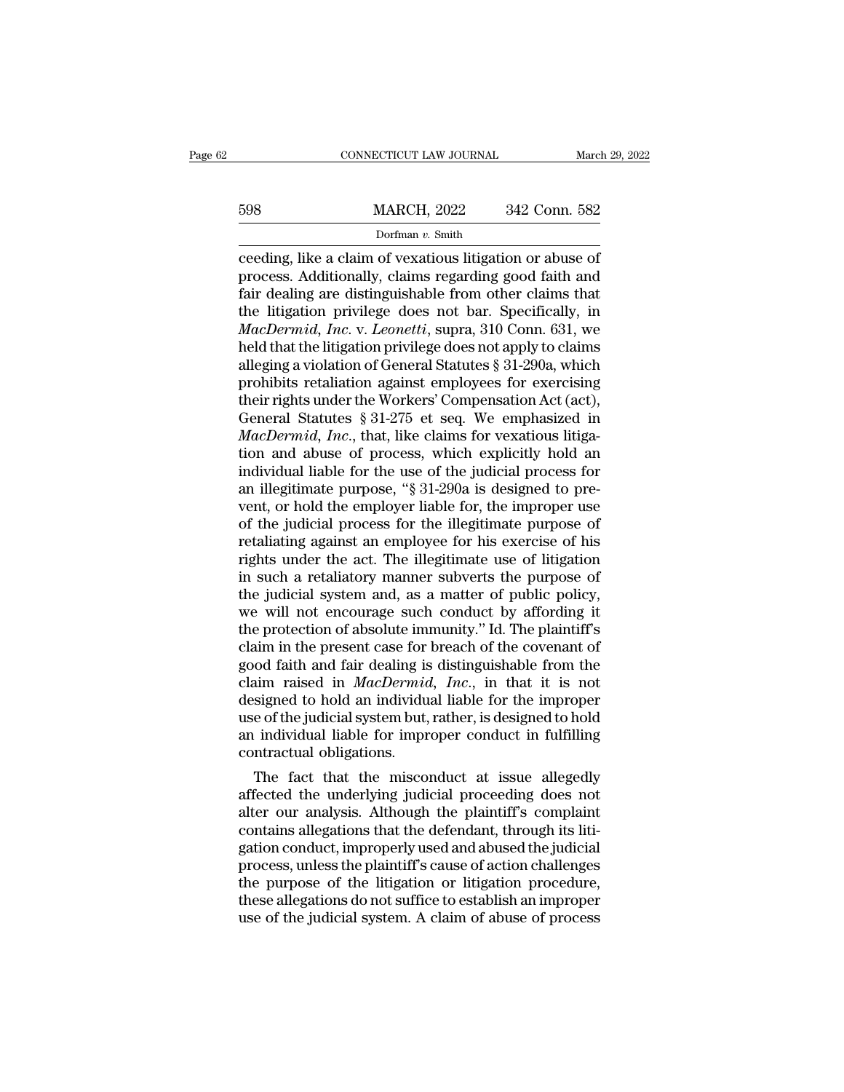# EXECUTE CONNECTICUT LAW JOURNAL March 29, 2022<br>
598 MARCH, 2022 342 Conn. 582<br>
Dorfman v. Smith

# Dorfman *v.* Smith

CONNECTICUT LAW JOURNAL March 29, 202:<br>
598 MARCH, 2022 342 Conn. 582<br>
Dorfman v. Smith<br>
Ceeding, like a claim of vexatious litigation or abuse of<br>
process. Additionally, claims regarding good faith and<br>
fair doaling are d MARCH, 2022 342 Conn. 582<br>
Dorfman v. Smith<br>
Ceeding, like a claim of vexatious litigation or abuse of<br>
process. Additionally, claims regarding good faith and<br>
fair dealing are distinguishable from other claims that<br>
the l  $\begin{array}{r} \text{598} & \text{MARCH, 2022} & \text{342 Conn. } 582 \\ \text{75} & \text{75} \\ \text{18} & \text{75} \\ \text{29} & \text{75} \\ \text{20} & \text{75} \\ \text{50} & \text{75} \\ \text{61} & \text{75} \\ \text{76} & \text{77} \\ \text{77} & \text{78} \\ \text{78} & \text{78} \\ \text{79} & \text{79} \\ \text{70} & \text{70} \\ \text{70} & \text{77} \\ \text{70} & \text{$  $\frac{598}{\text{Dorfman } v. \text{ Smith}}$ <br>
ceeding, like a claim of vexatious litigation or abuse of<br>
process. Additionally, claims regarding good faith and<br>
fair dealing are distinguishable from other claims that<br>
the litigation privilege *Mation, 2022 Mation, 2022*<br> *Dorfman v. Smith*<br> **Ceeding, like a claim of vexatious litigation or abuse of<br>
process. Additionally, claims regarding good faith and<br>
fair dealing are distinguishable from other claims that** Dorfman v. Smith<br>
ceeding, like a claim of vexatious litigation or abuse of<br>
process. Additionally, claims regarding good faith and<br>
fair dealing are distinguishable from other claims that<br>
the litigation privilege does n ceeding, like a claim of vexatious litigation or abuse of<br>process. Additionally, claims regarding good faith and<br>fair dealing are distinguishable from other claims that<br>the litigation privilege does not bar. Specifically, process. Additionally, claims regarding good faith and<br>fair dealing are distinguishable from other claims that<br>the litigation privilege does not bar. Specifically, in<br>*MacDermid, Inc.* v. *Leonetti*, supra, 310 Conn. 631, fair dealing are distinguishable from other claims that<br>the litigation privilege does not bar. Specifically, in<br> $MacDermid$ , Inc. v. Leonetti, supra, 310 Conn. 631, we<br>held that the litigation privilege does not apply to claim the litigation privilege does not bar. Specifically, in *MacDermid, Inc.* v. *Leonetti*, supra, 310 Conn. 631, we held that the litigation privilege does not apply to claims alleging a violation of General Statutes § 31-29 *MacDermid, Inc.* v. *Leonetti*, supra, 310 Conn. 631, we held that the litigation privilege does not apply to claims alleging a violation of General Statutes § 31-290a, which prohibits retaliation against employees for ex held that the litigation privilege does not apply to claims<br>alleging a violation of General Statutes § 31-290a, which<br>prohibits retaliation against employees for exercising<br>their rights under the Workers' Compensation Act alleging a violation of General Statutes § 31-290a, which<br>prohibits retaliation against employees for exercising<br>their rights under the Workers' Compensation Act (act),<br>General Statutes § 31-275 et seq. We emphasized in<br>*M* prohibits retaliation against employees for exercising<br>their rights under the Workers' Compensation Act (act),<br>General Statutes § 31-275 et seq. We emphasized in<br>*MacDermid, Inc.*, that, like claims for vexatious litiga-<br>t their rights under the Workers' Compensation Act (act),<br>General Statutes § 31-275 et seq. We emphasized in<br>*MacDermid, Inc.*, that, like claims for vexatious litiga-<br>tion and abuse of process, which explicitly hold an<br>ind General Statutes  $\S 31-275$  et seq. We emphasized in *MacDermid, Inc.*, that, like claims for vexatious litigation and abuse of process, which explicitly hold an individual liable for the use of the judicial process for a *MacDermid, Inc.*, that, like claims for vexatious litigation and abuse of process, which explicitly hold an individual liable for the use of the judicial process for an illegitimate purpose, "§ 31-290a is designed to prev tion and abuse of process, which explicitly hold an<br>individual liable for the use of the judicial process for<br>an illegitimate purpose, "§ 31-290a is designed to pre-<br>vent, or hold the employer liable for, the improper use<br> individual liable for the use of the judicial process for<br>an illegitimate purpose, "§ 31-290a is designed to pre-<br>vent, or hold the employer liable for, the improper use<br>of the judicial process for the illegitimate purpose an illegitimate purpose, "§ 31-290a is designed to prevent, or hold the employer liable for, the improper use<br>of the judicial process for the illegitimate purpose of<br>retaliating against an employee for his exercise of his<br> vent, or hold the employer liable for, the improper use<br>of the judicial process for the illegitimate purpose of<br>retaliating against an employee for his exercise of his<br>rights under the act. The illegitimate use of litigati of the judicial process for the illegitimate purpose of<br>retaliating against an employee for his exercise of his<br>rights under the act. The illegitimate use of litigation<br>in such a retaliatory manner subverts the purpose of<br> retaliating against an employee for his exercise of his<br>rights under the act. The illegitimate use of litigation<br>in such a retaliatory manner subverts the purpose of<br>the judicial system and, as a matter of public policy,<br>w rights under the act. The illegitimate use of litigation<br>in such a retaliatory manner subverts the purpose of<br>the judicial system and, as a matter of public policy,<br>we will not encourage such conduct by affording it<br>the pr in such a retaliatory manner subverts the purpose of<br>the judicial system and, as a matter of public policy,<br>we will not encourage such conduct by affording it<br>the protection of absolute immunity." Id. The plaintiff's<br>claim the judicial system and, as a matter of public policy,<br>we will not encourage such conduct by affording it<br>the protection of absolute immunity." Id. The plaintiff's<br>claim in the present case for breach of the covenant of<br>go we will not encourage such conduct by affording it<br>the protection of absolute immunity." Id. The plaintiff's<br>claim in the present case for breach of the covenant of<br>good faith and fair dealing is distinguishable from the<br>c the protection of absolute immunity." Id. The plaintiff's<br>claim in the present case for breach of the covenant of<br>good faith and fair dealing is distinguishable from the<br>claim raised in *MacDermid*, *Inc.*, in that it is n claim in the present case for<br>good faith and fair dealing is<br>claim raised in *MacDermic*<br>designed to hold an individu<br>use of the judicial system but,<br>an individual liable for impr<br>contractual obligations.<br>The fact that the od rath and rair dealing is distinguishable from the alim raised in *MacDermid*, *Inc.*, in that it is not signed to hold an individual liable for the improper e of the judicial system but, rather, is designed to hold ind claim raised in *MacDermia*, *Inc.*, in that it is not<br>designed to hold an individual liable for the improper<br>use of the judicial system but, rather, is designed to hold<br>an individual liable for improper conduct in fulfil

designed to noid an individual habie for the improper<br>use of the judicial system but, rather, is designed to hold<br>an individual liable for improper conduct in fulfilling<br>contractual obligations.<br>The fact that the misconduc use of the judicial system but, rather, is designed to hold<br>an individual liable for improper conduct in fulfilling<br>contractual obligations.<br>The fact that the misconduct at issue allegedly<br>affected the underlying judicial an marvioual nable for improper conduct in fulfilling<br>contractual obligations.<br>The fact that the misconduct at issue allegedly<br>affected the underlying judicial proceeding does not<br>alter our analysis. Although the plaintiff contractual obligations.<br>
The fact that the misconduct at issue allegedly<br>
affected the underlying judicial proceeding does not<br>
alter our analysis. Although the plaintiff's complaint<br>
contains allegations that the defenda The fact that the misconduct at issue allegedly<br>affected the underlying judicial proceeding does not<br>alter our analysis. Although the plaintiff's complaint<br>contains allegations that the defendant, through its liti-<br>gation affected the underlying judicial proceeding does not<br>alter our analysis. Although the plaintiff's complaint<br>contains allegations that the defendant, through its liti-<br>gation conduct, improperly used and abused the judicial alter our analysis. Although the plaintiff's complaint contains allegations that the defendant, through its litigation conduct, improperly used and abused the judicial process, unless the plaintiff's cause of action challe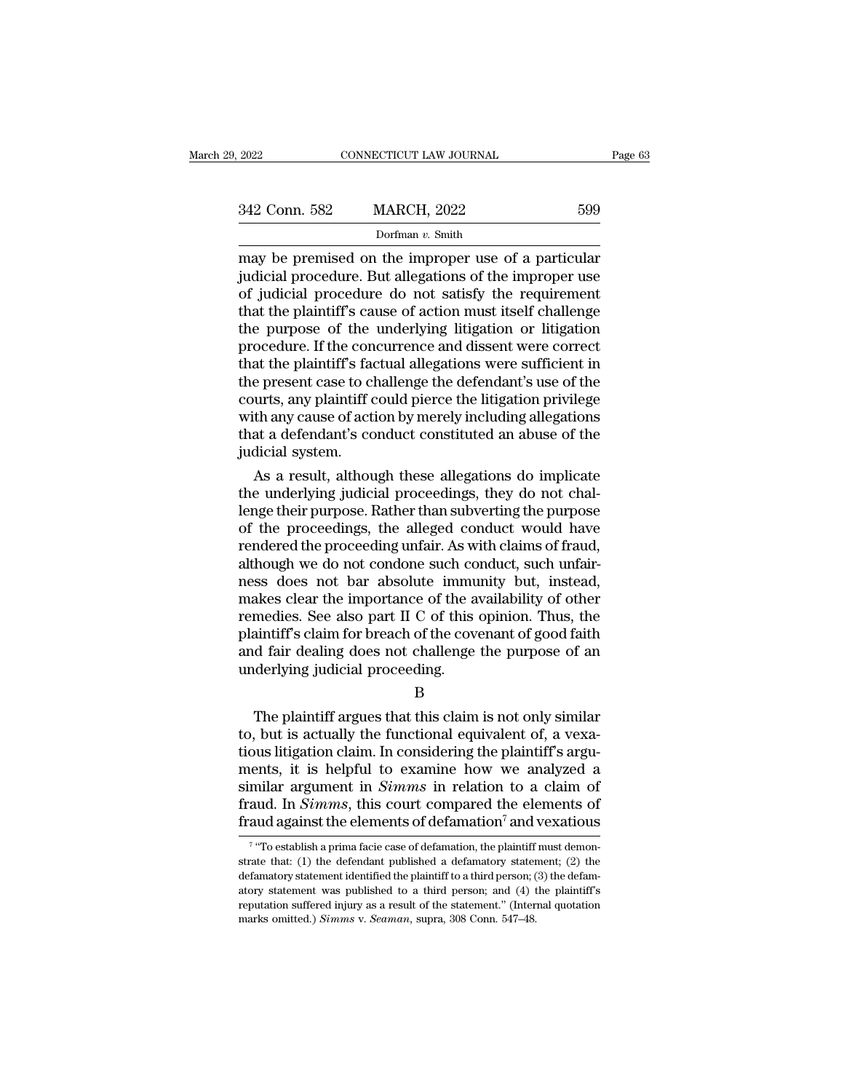| 29, 2022      | CONNECTICUT LAW JOURNAL                                                                                                                                                | Page 63 |
|---------------|------------------------------------------------------------------------------------------------------------------------------------------------------------------------|---------|
|               |                                                                                                                                                                        |         |
| 342 Conn. 582 | <b>MARCH, 2022</b>                                                                                                                                                     | 599     |
|               | Dorfman $v$ . Smith                                                                                                                                                    |         |
|               | may be premised on the improper use of a particular<br>judicial procedure. But allegations of the improper use<br>of judicial procedure do not eatiefy the requirement |         |

342 Conn. 582 MARCH, 2022 599<br>Dorfman v. Smith<br>may be premised on the improper use of a particular<br>judicial procedure. But allegations of the improper use<br>of judicial procedure do not satisfy the requirement<br>that the plain 342 Conn. 582 MARCH, 2022 599<br>
Dorfman v. Smith<br>
may be premised on the improper use of a particular<br>
judicial procedure. But allegations of the improper use<br>
of judicial procedure do not satisfy the requirement<br>
that the 342 Conn. 582 MARCH, 2022 599<br>
Dorfman v. Smith<br>
may be premised on the improper use of a particular<br>
judicial procedure. But allegations of the improper use<br>
of judicial procedure do not satisfy the requirement<br>
that the Dorfman v. Smith<br>Dorfman v. Smith<br>judicial procedure. But allegations of the improper use<br>of judicial procedure do not satisfy the requirement<br>that the plaintiff's cause of action must itself challenge<br>the purpose of the Dorfman  $v$ . Smith<br>
may be premised on the improper use of a particular<br>
judicial procedure. But allegations of the improper use<br>
of judicial procedure do not satisfy the requirement<br>
that the plaintiff's cause of action may be premised on the improper use of a particular<br>judicial procedure. But allegations of the improper use<br>of judicial procedure do not satisfy the requirement<br>that the plaintiff's cause of action must itself challenge<br>th judicial procedure. But allegations of the improper use<br>of judicial procedure do not satisfy the requirement<br>that the plaintiff's cause of action must itself challenge<br>the purpose of the underlying litigation or litigation of judicial procedure do not satisfy the requirement<br>that the plaintiff's cause of action must itself challenge<br>the purpose of the underlying litigation or litigation<br>procedure. If the concurrence and dissent were correct<br> that the plaintiff's cause of action must itself challenge<br>the purpose of the underlying litigation or litigation<br>procedure. If the concurrence and dissent were correct<br>that the plaintiff's factual allegations were suffici the purpose of the underlying litigation or litigation<br>procedure. If the concurrence and dissent were correct<br>that the plaintiff's factual allegations were sufficient in<br>the present case to challenge the defendant's use of procedure. If the concurrence and dissent were correct<br>that the plaintiff's factual allegations were sufficient in<br>the present case to challenge the defendant's use of the<br>courts, any plaintiff could pierce the litigation as the plaintiff's factual allegations were sufficient in<br>e present case to challenge the defendant's use of the<br>urts, any plaintiff could pierce the litigation privilege<br>th any cause of action by merely including allegati the present case to challenge the defendant's use of the<br>courts, any plaintiff could pierce the litigation privilege<br>with any cause of action by merely including allegations<br>that a defendant's conduct constituted an abuse

courts, any plaintiff could pierce the litigation privilege<br>with any cause of action by merely including allegations<br>that a defendant's conduct constituted an abuse of the<br>judicial system.<br>As a result, although these alleg with any cause of action by merely including allegations<br>that a defendant's conduct constituted an abuse of the<br>judicial system.<br>As a result, although these allegations do implicate<br>the underlying judicial proceedings, the that a defendant's conduct constituted an abuse of the<br>judicial system.<br>As a result, although these allegations do implicate<br>the underlying judicial proceedings, they do not chal-<br>lenge their purpose. Rather than subvertin judicial system.<br>As a result, although these allegations do implicate<br>the underlying judicial proceedings, they do not chal-<br>lenge their purpose. Rather than subverting the purpose<br>of the proceedings, the alleged conduct w As a result, although these allegations do implicate<br>the underlying judicial proceedings, they do not chal-<br>lenge their purpose. Rather than subverting the purpose<br>of the proceedings, the alleged conduct would have<br>rendere the underlying judicial proceedings, they do not challenge their purpose. Rather than subverting the purpose<br>of the proceedings, the alleged conduct would have<br>rendered the proceeding unfair. As with claims of fraud,<br>altho lenge their purpose. Rather than subverting the purpose<br>of the proceedings, the alleged conduct would have<br>rendered the proceeding unfair. As with claims of fraud,<br>although we do not condone such conduct, such unfair-<br>ness of the proceedings, the alleged conduct would have<br>rendered the proceeding unfair. As with claims of fraud,<br>although we do not condone such conduct, such unfair-<br>ness does not bar absolute immunity but, instead,<br>makes clea rendered the proceeding unfair. As with claims of fraud,<br>although we do not condone such conduct, such unfair-<br>ness does not bar absolute immunity but, instead,<br>makes clear the importance of the availability of other<br>remed although we do not condone such comess does not bar absolute immu<br>makes clear the importance of the a<br>remedies. See also part II C of this<br>plaintiff's claim for breach of the cove<br>and fair dealing does not challenge<br>underl The plaintiff argues that this claim is not only similar<br>The plaintiff's claim for breach of the covenant of good faith<br>d fair dealing does not challenge the purpose of an<br>derlying judicial proceeding.<br>B<br>The plaintiff argu

B

tentedies. See also part if C of ans opinion. Thus, are<br>plaintiff's claim for breach of the covenant of good faith<br>and fair dealing does not challenge the purpose of an<br>underlying judicial proceeding.<br>B<br>The plaintiff argue Frament Schain for Beach of the esternation good mathematical<br>and fair dealing does not challenge the purpose of an<br>underlying judicial proceeding.<br>B<br>The plaintiff argues that this claim is not only similar<br>to, but is actu mental different in the purpose of an underlying judicial proceeding.<br>
B<br>
The plaintiff argues that this claim is not only similar<br>
to, but is actually the functional equivalent of, a vexa-<br>
tious litigation claim. In cons B<br>B<br>B<br>The plaintiff argues that this claim is not only similar<br>to, but is actually the functional equivalent of, a vexa-<br>tious litigation claim. In considering the plaintiff's argu-<br>ments, it is helpful to examine how we a B<br>The plaintiff argues that this claim is not only similar<br>to, but is actually the functional equivalent of, a vexa-<br>tious litigation claim. In considering the plaintiff's argu-<br>ments, it is helpful to examine how we analy The plaintiff argues that this claim is not only similar to, but is actually the functional equivalent of, a vexatious litigation claim. In considering the plaintiff's arguments, it is helpful to examine how we analyzed a ents, it is helpful to examine how we analyzed a<br>milar argument in *Simms* in relation to a claim of<br>ud. In *Simms*, this court compared the elements of<br>ud against the elements of defamation<sup>7</sup> and vexatious<br>"To establish similar argument in *Simms* in relation to a claim of fraud. In *Simms*, this court compared the elements of fraud against the elements of defamation<sup>7</sup> and vexatious  $\frac{7 \text{ "To establish a prima face case of defamation, the plaintiff must demonstrate that: (1) the defendant published a defamatory statement; (2) the defamatory statement identified the plaintiff to a third person;$ 

 $7$  "To or fraud. In *Simms*, this court compared the elements of fraud against the elements of defamation<sup>7</sup> and vexatious  $\frac{1}{\sqrt{T}}$   $\frac{1}{T}$  or establish a prima facie case of defamation, the plaintiff must demonstrate that: (1 fraud against the elements of defamation<sup>7</sup> and vexatious<br>
<sup>7</sup> "To establish a prima facie case of defamation, the plaintiff must demon-<br>
strate that: (1) the defendant published a defamatory statement; (2) the<br>
defamator Tratud against the elements of defamation and vexatious<br>
<sup>7</sup> "To establish a prima facie case of defamation, the plaintiff must demon-<br>
strate that: (1) the defendant published a defamatory statement; (2) the<br>
defamatory <sup>7</sup> "To establish a prima facie case of defamation, the plaintiff strate that: (1) the defendant published a defamatory statement identified the plaintiff to a third person; (atory statement was published to a third perso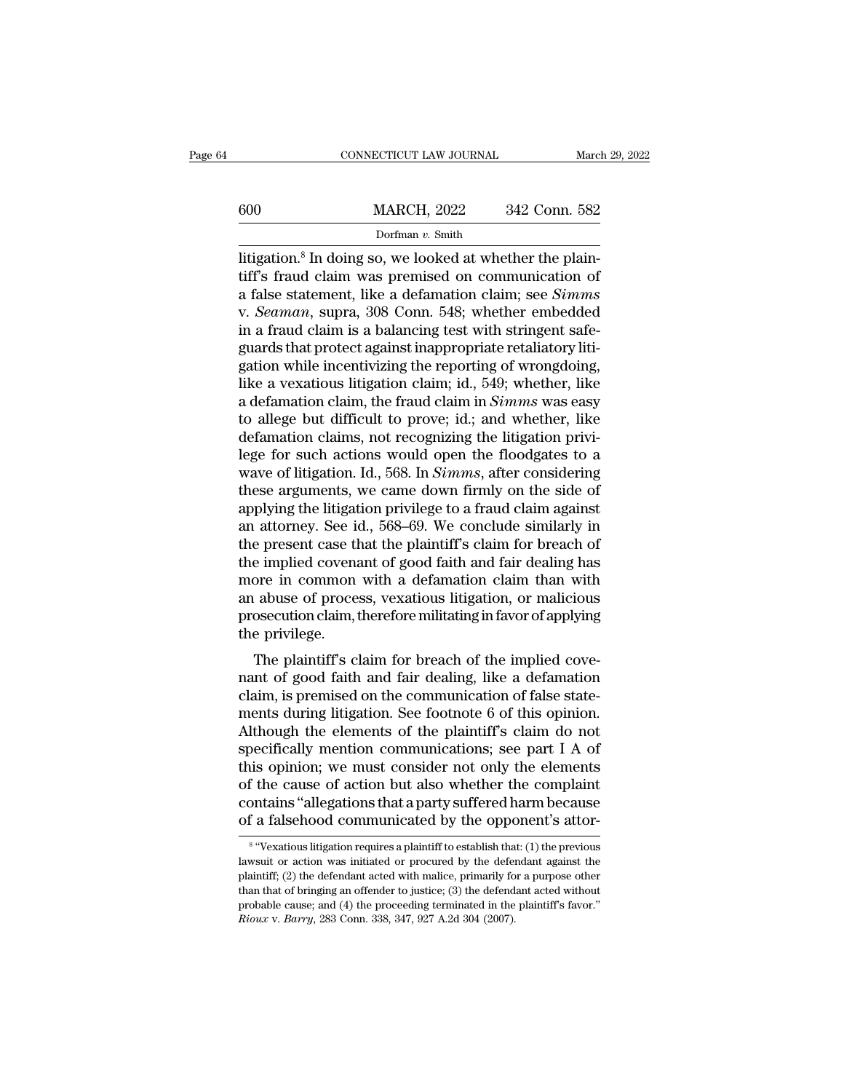|     | CONNECTICUT LAW JOURNAL                                                                                                                                                               | March 29, 2022 |
|-----|---------------------------------------------------------------------------------------------------------------------------------------------------------------------------------------|----------------|
| 600 | <b>MARCH, 2022</b>                                                                                                                                                                    | 342 Conn. 582  |
|     | Dorfman $v$ . Smith                                                                                                                                                                   |                |
|     | litigation. <sup>8</sup> In doing so, we looked at whether the plain-<br>tiff's fraud claim was premised on communication of<br>a falso statement, like a defamation claim: see Simme |                |

 $\begin{array}{r}\n 600 \quad \text{MARCH, 2022} \quad 342 \text{ Conn. } 582 \\
 \text{Dorfman } v. \text{ Smith} \\
 \text{litigation.<sup>8</sup> In doing so, we looked at whether the plain-  
tiff's fraud claim was premised on communication of a false statement, like a defamation claim; see *Simms*\n\nV. Scaman, sumra,  $308$  Conn.  $548$ : whether embedded$ a false statement, 1992<br>
a false statement, like a defamation claim; see *Simms*<br>
a false statement, like a defamation claim; see *Simms*<br>
v. *Seaman*, supra, 308 Conn. 548; whether embedded<br>
in a fraud claim is a balancin MARCH, 2022 342 Conn. 582<br>
Dorfman v. Smith<br>
litigation.<sup>8</sup> In doing so, we looked at whether the plain-<br>
tiff's fraud claim was premised on communication of<br>
a false statement, like a defamation claim; see *Simms*<br>
v. *Se* Dorfman v. Smith<br>Dorfman v. Smith<br>Ittigation.<sup>8</sup> In doing so, we looked at whether the plain-<br>tiff's fraud claim was premised on communication of<br>a false statement, like a defamation claim; see *Simms*<br>v. *Seaman*, supra, Dortman v. Smuth<br>litigation.<sup>8</sup> In doing so, we looked at whether the plain-<br>tiff's fraud claim was premised on communication of<br>a false statement, like a defamation claim; see *Simms*<br>v. *Seaman*, supra, 308 Conn. 548; w litigation.<sup>8</sup> In doing so, we looked at whether the plain-<br>tiff's fraud claim was premised on communication of<br>a false statement, like a defamation claim; see *Simms*<br>v. *Seaman*, supra, 308 Conn. 548; whether embedded<br>in tiff's fraud claim was premised on communication of<br>a false statement, like a defamation claim; see *Simms*<br>v. *Seaman*, supra, 308 Conn. 548; whether embedded<br>in a fraud claim is a balancing test with stringent safe-<br>guar a false statement, like a defamation claim; see *Simms*<br>v. *Seaman*, supra, 308 Conn. 548; whether embedded<br>in a fraud claim is a balancing test with stringent safe-<br>guards that protect against inappropriate retaliatory li v. *Seaman*, supra, 308 Conn. 548; whether embedded<br>in a fraud claim is a balancing test with stringent safe-<br>guards that protect against inappropriate retaliatory liti-<br>gation while incentivizing the reporting of wrongdoi in a fraud claim is a balancing test with stringent safe-<br>guards that protect against inappropriate retaliatory litigation while incentivizing the reporting of wrongdoing,<br>like a vexatious litigation claim; id., 549; whet guards that protect against inappropriate retaliatory litigation while incentivizing the reporting of wrongdoing,<br>like a vexatious litigation claim; id., 549; whether, like<br>a defamation claim, the fraud claim in *Simms* wa gation while incentivizing the reporting of wrongdoing,<br>like a vexatious litigation claim; id., 549; whether, like<br>a defamation claim, the fraud claim in *Simms* was easy<br>to allege but difficult to prove; id.; and whether, like a vexatious litigation claim; id., 549; whether, like<br>a defamation claim, the fraud claim in *Simms* was easy<br>to allege but difficult to prove; id.; and whether, like<br>defamation claims, not recognizing the litigation a defamation claim, the fraud claim in *Simms* was easy<br>to allege but difficult to prove; id.; and whether, like<br>defamation claims, not recognizing the litigation privi-<br>lege for such actions would open the floodgates to a to allege but difficult to prove; id.; and whether, like<br>defamation claims, not recognizing the litigation privi-<br>lege for such actions would open the floodgates to a<br>wave of litigation. Id., 568. In *Simms*, after conside defamation claims, not recognizing the litigation privi-<br>lege for such actions would open the floodgates to a<br>wave of litigation. Id., 568. In *Simms*, after considering<br>these arguments, we came down firmly on the side of<br> lege for such actions would open the floodgates to a<br>wave of litigation. Id., 568. In *Simms*, after considering<br>these arguments, we came down firmly on the side of<br>applying the litigation privilege to a fraud claim agains wave of litigation. Id., 568. In *Simms*, after considering<br>these arguments, we came down firmly on the side of<br>applying the litigation privilege to a fraud claim against<br>an attorney. See id., 568–69. We conclude similarly these arguments, we came down firmly on the side of<br>applying the litigation privilege to a fraud claim against<br>an attorney. See id., 568–69. We conclude similarly in<br>the present case that the plaintiff's claim for breach o applying the litigation privilege to a fraud claim against<br>an attorney. See id., 568–69. We conclude similarly in<br>the present case that the plaintiff's claim for breach of<br>the implied covenant of good faith and fair dealin an attorney. See is<br>the present case tl<br>the implied covena<br>more in common<br>an abuse of proce<br>prosecution claim,<br>the privilege.<br>The plaintiff's c re present case that the plaintiff's claim for breach of<br>e implied covenant of good faith and fair dealing has<br>ore in common with a defamation claim than with<br>abuse of process, vexatious litigation, or malicious<br>osecution the implied covenant of good faith and fair dealing has<br>more in common with a defamation claim than with<br>an abuse of process, vexatious litigation, or malicious<br>prosecution claim, therefore militating in favor of applying<br>

more in common with a defaination claim than with<br>an abuse of process, vexatious litigation, or malicious<br>prosecution claim, therefore militating in favor of applying<br>the privilege.<br>The plaintiff's claim for breach of the an abuse of process, vexatious higation, or mancrous<br>prosecution claim, therefore militating in favor of applying<br>the privilege.<br>The plaintiff's claim for breach of the implied cove-<br>nant of good faith and fair dealing, l prosecution claim, therefore mintating in favor of applying<br>the privilege.<br>The plaintiff's claim for breach of the implied cove-<br>nant of good faith and fair dealing, like a defamation<br>claim, is premised on the communicatio The plaintiff's claim for breach of the implied cove-<br>nant of good faith and fair dealing, like a defamation<br>claim, is premised on the communication of false state-<br>ments during litigation. See footnote 6 of this opinion.<br> The plaintiff's claim for breach of the implied cove-<br>nant of good faith and fair dealing, like a defamation<br>claim, is premised on the communication of false state-<br>ments during litigation. See footnote 6 of this opinion.<br> nant of good faith and fair dealing, like a defamation<br>claim, is premised on the communication of false state-<br>ments during litigation. See footnote 6 of this opinion.<br>Although the elements of the plaintiff's claim do not<br> claim, is premised on the communication of false statements during litigation. See footnote 6 of this opinion.<br>Although the elements of the plaintiff's claim do not specifically mention communications; see part I A of this ments during litigation. See footnote 6 of this opinion.<br>Although the elements of the plaintiff's claim do not<br>specifically mention communications; see part I A of<br>this opinion; we must consider not only the elements<br>of t s opinion; we must consider not only the elements<br>the cause of action but also whether the complaint<br>mtains "allegations that a party suffered harm because<br>a falsehood communicated by the opponent's attor-<br>"Vexatious litig of the cause of action but also whether the complaint<br>contains "allegations that a party suffered harm because<br>of a falsehood communicated by the opponent's attor-<br><sup>8</sup> "Vexatious litigation requires a plaintiff to establis

 $8.6$  Ways contains "allegations that a party suffered harm because<br>of a falsehood communicated by the opponent's attor-<br><sup>8</sup> "Vexatious litigation requires a plaintiff to establish that: (1) the previous<br>lawsuit or action was initiat of a falsehood communicated by the opponent's attor-<br>  $\frac{1}{8}$  "Vexatious litigation requires a plaintiff to establish that: (1) the previous<br>
lawsuit or action was initiated or procured by the defendant against the<br>
pla <sup>8</sup> "Vexatious litigation requires a plaintiff to establish that: (1) the previous<br>lawsuit or action was initiated or procured by the defendant against the<br>plaintiff; (2) the defendant acted with malice, primarily for a pu <sup>8</sup> "Vexatious litigation requires a plaintiff to establish tha<br>lawsuit or action was initiated or procured by the defer<br>plaintiff; (2) the defendant acted with malice, primarily fo<br>than that of bringing an offender to jus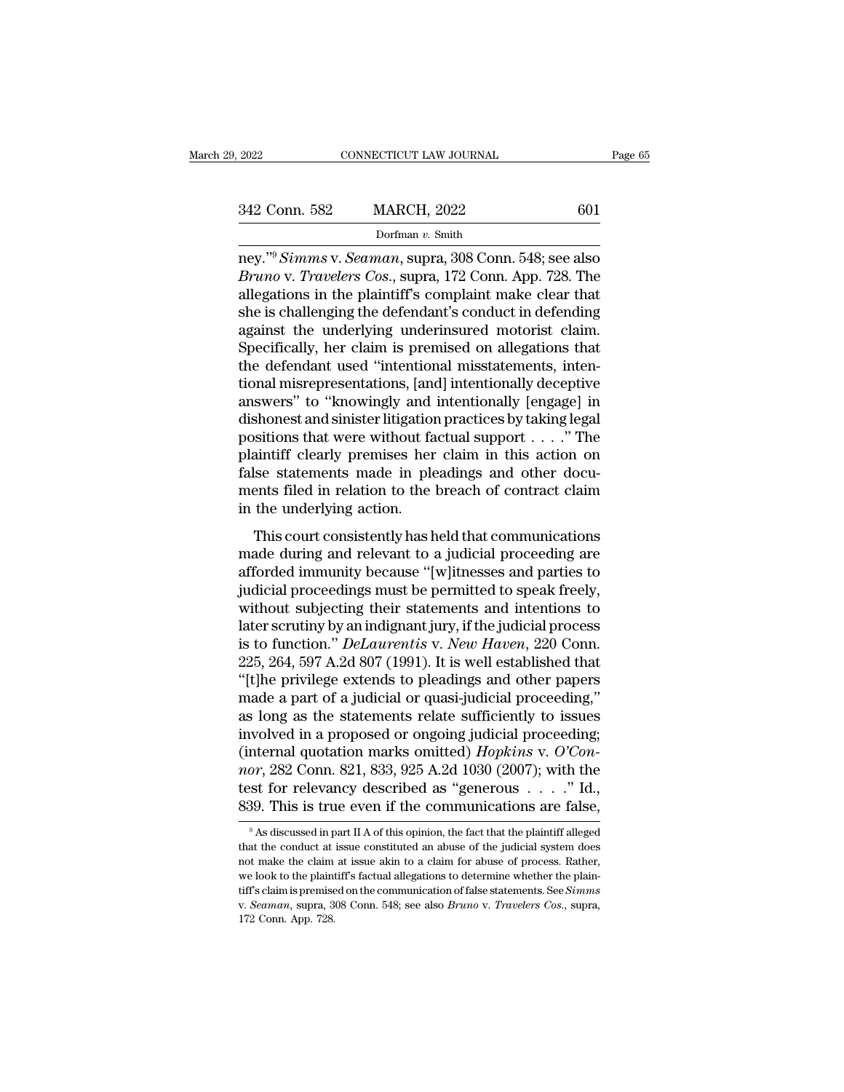| 2022          | CONNECTICUT LAW JOURNAL |     | Page 65 |
|---------------|-------------------------|-----|---------|
|               |                         |     |         |
| 342 Conn. 582 | <b>MARCH, 2022</b>      | 601 |         |
|               | Dorfman v. Smith        |     |         |

2022 CONNECTICUT LAW JOURNAL Page 65<br>342 Conn. 582 MARCH, 2022 601<br>Dorfman v. Smith<br>ney.''<sup>9</sup> *Simms* v. *Seaman*, supra, 308 Conn. 548; see also<br>*Bruno* v. *Travelers Cos.*, supra, 172 Conn. App. 728. The *Bruno* v. *Travelers Cos.*, supra, 308 Conn. 548; see also<br>*Bruno* v. *Travelers Cos.*, supra, 308 Conn. 548; see also<br>*Bruno* v. *Travelers Cos.*, supra, 172 Conn. App. 728. The<br>allegations in the plaintiff's complaint m 342 Conn. 582 MARCH, 2022 601<br>
Dorfman v. Smith<br>
ney."<sup>9</sup> Simms v. Seaman, supra, 308 Conn. 548; see also<br>
Bruno v. Travelers Cos., supra, 172 Conn. App. 728. The<br>
allegations in the plaintiff's complaint make clear that<br> 342 Conn. 582 MARCH, 2022 601<br>
Dorfman v. Smith<br>
ney."<sup>9</sup> Simms v. Seaman, supra, 308 Conn. 548; see also<br> *Bruno* v. *Travelers Cos.*, supra, 172 Conn. App. 728. The<br>
allegations in the plaintiff's complaint make clear t Dorfman v. Smith<br>Dorfman v. Smith<br>ney."<sup>9</sup> Simms v. Seaman, supra, 308 Conn. 548; see also<br>Bruno v. Travelers Cos., supra, 172 Conn. App. 728. The<br>allegations in the plaintiff's complaint make clear that<br>she is challengin  $\frac{1}{100}$  borman v. Smith<br>ney."<sup>9</sup> Simms v. Seaman, supra, 308 Conn. 548; see also<br>*Bruno* v. *Travelers Cos.*, supra, 172 Conn. App. 728. The<br>allegations in the plaintiff's complaint make clear that<br>she is challenging ney."<sup>9</sup> Simms v. Seaman, supra, 308 Conn. 548; see also *Bruno v. Travelers Cos.*, supra, 172 Conn. App. 728. The allegations in the plaintiff's complaint make clear that she is challenging the defendant's conduct in defe Bruno v. Travelers Cos., supra, 172 Conn. App. 728. The<br>allegations in the plaintiff's complaint make clear that<br>she is challenging the defendant's conduct in defending<br>against the underlying underinsured motorist claim.<br>S allegations in the plaintiff's complaint make clear that<br>she is challenging the defendant's conduct in defending<br>against the underlying underinsured motorist claim.<br>Specifically, her claim is premised on allegations that<br>t she is challenging the defendant's conduct in defending<br>against the underlying underinsured motorist claim.<br>Specifically, her claim is premised on allegations that<br>the defendant used "intentional misstatements, inten-<br>tion against the underlying underinsured motorist claim.<br>Specifically, her claim is premised on allegations that<br>the defendant used "intentional misstatements, inten-<br>tional misrepresentations, [and] intentionally deceptive<br>ans Specifically, her claim is premised on allegations that<br>the defendant used "intentional misstatements, inten-<br>tional misrepresentations, [and] intentionally deceptive<br>answers" to "knowingly and intentionally [engage] in<br>di the defendant used "intentional misstatements, intentional misrepresentations, [and] intentionally deceptive<br>answers" to "knowingly and intentionally [engage] in<br>dishonest and sinister litigation practices by taking legal<br> tional misrepresentations, [and] intentionally deceptive<br>answers" to "knowingly and intentionally [engage] in<br>dishonest and sinister litigation practices by taking legal<br>positions that were without factual support  $\dots$ ." answers" to "knowingly and<br>dishonest and sinister litigation<br>positions that were without fa<br>plaintiff clearly premises her<br>false statements made in ple<br>ments filed in relation to the<br>in the underlying action.<br>This court co  $\frac{1}{2}$  is concest and sinster ingation practices by dating legal<br>sitions that were without factual support  $\dots$ ." The<br>aintiff clearly premises her claim in this action on<br>lse statements made in pleadings and other docu positions that were whose factual support  $\ldots$ . The<br>plaintiff clearly premises her claim in this action on<br>false statements made in pleadings and other docu-<br>ments filed in relation to the breach of contract claim<br>in the

plantificantly premises iteration in the sixteen of<br>false statements made in pleadings and other docu-<br>ments filed in relation to the breach of contract claim<br>in the underlying action.<br>This court consistently has held that Figure 3 statements made in pleadings and other documents filed in relation to the breach of contract claim<br>in the underlying action.<br>This court consistently has held that communications<br>made during and relevant to a judic in the underlying action.<br>
This court consistently has held that communications<br>
made during and relevant to a judicial proceeding are<br>
afforded immunity because "[w]itnesses and parties to<br>
judicial proceedings must be p This court consistently has held that communications<br>made during and relevant to a judicial proceeding are<br>afforded immunity because "[w]itnesses and parties to<br>judicial proceedings must be permitted to speak freely,<br>with This court consistently has held that communications<br>made during and relevant to a judicial proceeding are<br>afforded immunity because "[w]itnesses and parties to<br>judicial proceedings must be permitted to speak freely,<br>witho made during and relevant to a judicial proceeding are<br>afforded immunity because "[w]itnesses and parties to<br>judicial proceedings must be permitted to speak freely,<br>without subjecting their statements and intentions to<br>late afforded immunity because "[w]itnesses and parties to<br>judicial proceedings must be permitted to speak freely,<br>without subjecting their statements and intentions to<br>later scrutiny by an indignant jury, if the judicial proce judicial proceedings must be permitted to speak freely,<br>without subjecting their statements and intentions to<br>later scrutiny by an indignant jury, if the judicial process<br>is to function." *DeLaurentis* v. *New Haven*, 220 without subjecting their statements and intentions to<br>later scrutiny by an indignant jury, if the judicial process<br>is to function." *DeLaurentis* v. *New Haven*, 220 Conn.<br>225, 264, 597 A.2d 807 (1991). It is well establis later scrutiny by an indignant jury, if the judicial process<br>is to function." *DeLaurentis* v. *New Haven*, 220 Conn.<br>225, 264, 597 A.2d 807 (1991). It is well established that<br>"[t]he privilege extends to pleadings and ot is to function." *DeLaurentis* v. *New Haven*, 220 Conn.<br>225, 264, 597 A.2d 807 (1991). It is well established that<br>"[t]he privilege extends to pleadings and other papers<br>made a part of a judicial or quasi-judicial proceed 225, 264, 597 A.2d 807 (1991). It is well established that<br>"[t]he privilege extends to pleadings and other papers<br>made a part of a judicial or quasi-judicial proceeding,"<br>as long as the statements relate sufficiently to is "[t]he privilege extends to pleadings and other papers<br>made a part of a judicial or quasi-judicial proceeding,"<br>as long as the statements relate sufficiently to issues<br>involved in a proposed or ongoing judicial proceeding made a part of a judicial or quasi-judicial proceeding,"<br>as long as the statements relate sufficiently to issues<br>involved in a proposed or ongoing judicial proceeding;<br>(internal quotation marks omitted) *Hopkins* v. O'Con The part of the part II A of this opinion, the fact that the plaintiff alleged as "generous  $\ldots$ ." Id.,  $\frac{39}{100}$ . This is true even if the communications are false,  $\frac{9}{100}$  As discussed in part II A of this opini *nor*, 282 Conn. 821, 833, 925 A.2d 1030 (2007); with the test for relevancy described as "generous . . . . " Id., 839. This is true even if the communications are false,  $\frac{9}{4}$  As discussed in part II A of this opinio

test for relevancy described as "generous  $\ldots$ " Id., 839. This is true even if the communications are false,<br><sup>9</sup> As discussed in part II A of this opinion, the fact that the plaintiff alleged that the conduct at issue co 839. This is true even if the communications are false,<br><sup>9</sup> As discussed in part II A of this opinion, the fact that the plaintiff alleged<br>that the conduct at issue constituted an abuse of the judicial system does<br>not mak <sup>9</sup> As discussed in part II A of this opinion, the fact that the plaintiff alleged that the conduct at issue constituted an abuse of the judicial system does not make the claim at issue akin to a claim for abuse of process that the conduct at issue constituted an abuse of the judicial system does not make the claim at issue akin to a claim for abuse of process. Rather, we look to the plaintiff's factual allegations to determine whether the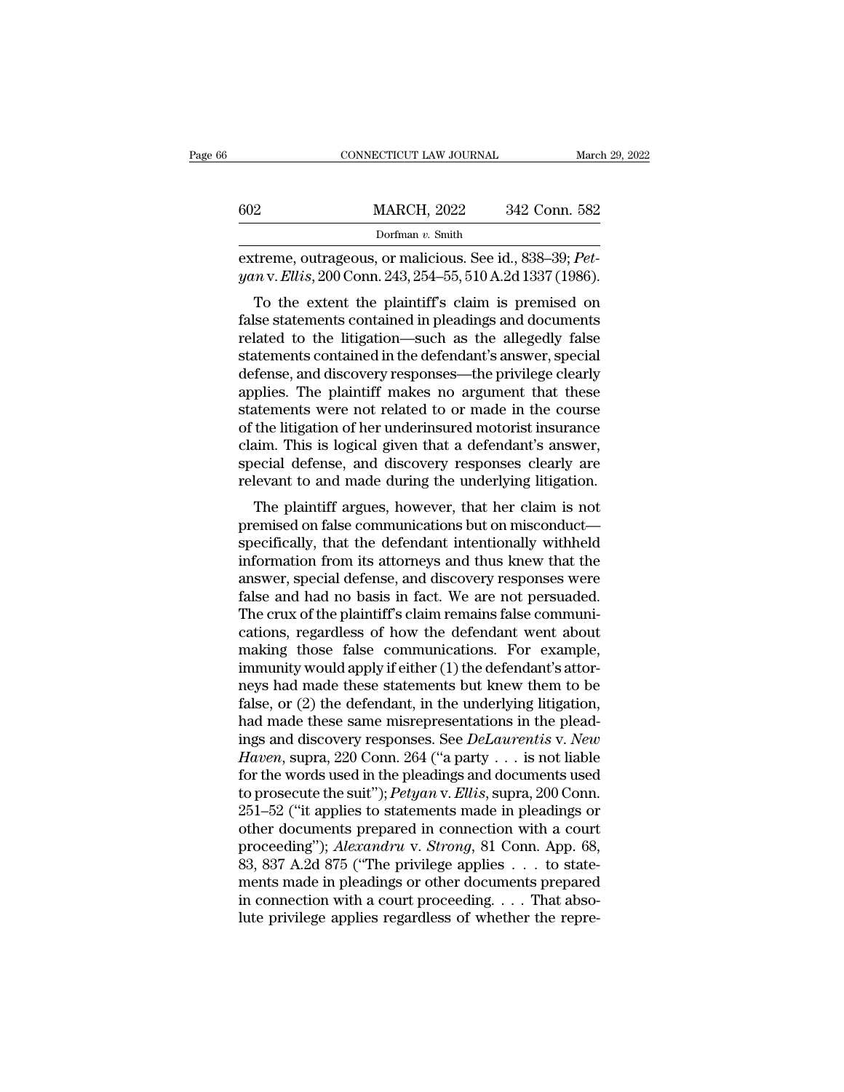|     | CONNECTICUT LAW JOURNAL                                                                                                        | March 29, 2022                                         |
|-----|--------------------------------------------------------------------------------------------------------------------------------|--------------------------------------------------------|
| 602 | <b>MARCH, 2022</b>                                                                                                             | 342 Conn. 582                                          |
|     | Dorfman $v$ . Smith                                                                                                            |                                                        |
|     | extreme, outrageous, or malicious. See id., 838–39; <i>Pet</i> -<br>yan v. Ellis, 200 Conn. 243, 254–55, 510 A.2d 1337 (1986). |                                                        |
|     | To the extent the plaintiff's claim is premised on<br>false statements contained in pleadings and documents                    | rolated to the litigation, such as the allogadly false |

602 MARCH, 2022 342 Conn. 582<br>
Dorfman v. Smith<br>
extreme, outrageous, or malicious. See id., 838–39; *Pet-*<br>
yan v. *Ellis*, 200 Conn. 243, 254–55, 510 A.2d 1337 (1986).<br>
To the extent the plaintiff's claim is premised on Dorfman v. Smith<br>extreme, outrageous, or malicious. See id., 838–39; Pet-<br>yan v. Ellis, 200 Conn. 243, 254–55, 510 A.2d 1337 (1986).<br>To the extent the plaintiff's claim is premised on<br>false statements contained in pleadin extreme, outrageous, or malicious. See id., 838–39;  $Pet-yan$  v. *Ellis*, 200 Conn. 243, 254–55, 510 A.2d 1337 (1986).<br>To the extent the plaintiff's claim is premised on false statements contained in pleadings and documents r extreme, outrageous, or mancrous. see id.,  $333-39$ ,  $PeV$ <br>
yan v. Ellis, 200 Conn. 243, 254–55, 510 A.2d 1337 (1986).<br>
To the extent the plaintiff's claim is premised on<br>
false statements contained in pleadings and docume gan v. Eurs, 200 Comit. 245, 254–55, 510 A.2d 1557 (1560).<br>To the extent the plaintiff's claim is premised on false statements contained in pleadings and documents<br>related to the litigation—such as the allegedly false<br>sta To the extent the plaintiff's claim is premised on<br>false statements contained in pleadings and documents<br>related to the litigation—such as the allegedly false<br>statements contained in the defendant's answer, special<br>defense false statements contained in pleadings and documents<br>related to the litigation—such as the allegedly false<br>statements contained in the defendant's answer, special<br>defense, and discovery responses—the privilege clearly<br>app related to the litigation—such as the allegedly false<br>statements contained in the defendant's answer, special<br>defense, and discovery responses—the privilege clearly<br>applies. The plaintiff makes no argument that these<br>state statements contained in the defendant's answer, special<br>defense, and discovery responses—the privilege clearly<br>applies. The plaintiff makes no argument that these<br>statements were not related to or made in the course<br>of the defense, and discovery responses—the privilege clearly<br>applies. The plaintiff makes no argument that these<br>statements were not related to or made in the course<br>of the litigation of her underinsured motorist insurance<br>claim phes. The plaintiff makes no argument that these<br>atements were not related to or made in the course<br>the litigation of her underinsured motorist insurance<br>aim. This is logical given that a defendant's answer,<br>ecial defense, statements were not related to or made in the course<br>of the litigation of her underinsured motorist insurance<br>claim. This is logical given that a defendant's answer,<br>special defense, and discovery responses clearly are<br>rel

of the higation of her underlinstited motorist instituted<br>claim. This is logical given that a defendant's answer,<br>special defense, and discovery responses clearly are<br>relevant to and made during the underlying litigation.<br> claim. This is logical given that a defendant s answer,<br>special defense, and discovery responses clearly are<br>relevant to and made during the underlying litigation.<br>The plaintiff argues, however, that her claim is not<br>premi special defense, and discovery responses clearly are<br>relevant to and made during the underlying litigation.<br>The plaintiff argues, however, that her claim is not<br>premised on false communications but on misconduct—<br>specifica Felevalt to and hade during the underlying hugation.<br>The plaintiff argues, however, that her claim is not<br>premised on false communications but on misconduct—<br>specifically, that the defendant intentionally withheld<br>informat The plaintiff argues, however, that her claim is not premised on false communications but on misconduct—specifically, that the defendant intentionally withheld information from its attorneys and thus knew that the answer, premised on false communications but on misconduct—<br>specifically, that the defendant intentionally withheld<br>information from its attorneys and thus knew that the<br>answer, special defense, and discovery responses were<br>false specifically, that the defendant intentionally withheld<br>information from its attorneys and thus knew that the<br>answer, special defense, and discovery responses were<br>false and had no basis in fact. We are not persuaded.<br>The information from its attorneys and thus knew that the<br>answer, special defense, and discovery responses were<br>false and had no basis in fact. We are not persuaded.<br>The crux of the plaintiff's claim remains false communi-<br>ca answer, special defense, and discovery responses were<br>false and had no basis in fact. We are not persuaded.<br>The crux of the plaintiff's claim remains false communi-<br>cations, regardless of how the defendant went about<br>makin false and had no basis in fact. We are not persuaded.<br>The crux of the plaintiff's claim remains false communications, regardless of how the defendant went about<br>making those false communications. For example,<br>immunity woul The crux of the plaintiff's claim remains false communications, regardless of how the defendant went about making those false communications. For example, immunity would apply if either (1) the defendant's attorneys had m cations, regardless of how the defendant went about<br>making those false communications. For example,<br>immunity would apply if either (1) the defendant's attor-<br>neys had made these statements but knew them to be<br>false, or (2) making those false communications. For example,<br>immunity would apply if either (1) the defendant's attor-<br>neys had made these statements but knew them to be<br>false, or (2) the defendant, in the underlying litigation,<br>had ma immunity would apply if either (1) the defendant's attor-<br>neys had made these statements but knew them to be<br>false, or (2) the defendant, in the underlying litigation,<br>had made these same misrepresentations in the plead-<br> neys had made these statements but knew them to be false, or (2) the defendant, in the underlying litigation, had made these same misrepresentations in the pleadings and discovery responses. See *DeLaurentis* v. *New Haven* false, or (2) the defendant, in the underlying litigation,<br>had made these same misrepresentations in the plead-<br>ings and discovery responses. See *DeLaurentis* v. *New*<br>*Haven*, supra, 220 Conn. 264 ("a party . . . is not had made these same misrepresentations in the pleadings and discovery responses. See *DeLaurentis* v. *New*<br>*Haven*, supra, 220 Conn. 264 ("a party . . . is not liable<br>for the words used in the pleadings and documents use ings and discovery responses. See *DeLaurentis* v. *New*<br>*Haven*, supra, 220 Conn. 264 ("a party . . . is not liable<br>for the words used in the pleadings and documents used<br>to prosecute the suit"); *Petyan* v. *Ellis*, supr Haven, supra, 220 Conn. 264 ("a party . . . is not liable<br>for the words used in the pleadings and documents used<br>to prosecute the suit"); *Petyan* v. Ellis, supra, 200 Conn.<br>251–52 ("it applies to statements made in pleadi for the words used in the pleadings and documents used<br>to prosecute the suit"); *Petyan* v. Ellis, supra, 200 Conn.<br>251–52 ("it applies to statements made in pleadings or<br>other documents prepared in connection with a cour to prosecute the suit"); *Petyan* v. *Ellis*, supra, 200 Conn.<br>251–52 ("it applies to statements made in pleadings or<br>other documents prepared in connection with a court<br>proceeding"); *Alexandru* v. *Strong*, 81 Conn. App 251–52 ("it applies to statements made in pleadings or other documents prepared in connection with a court proceeding"); *Alexandru* v. *Strong*, 81 Conn. App. 68, 83, 837 A.2d 875 ("The privilege applies  $\dots$  to statemen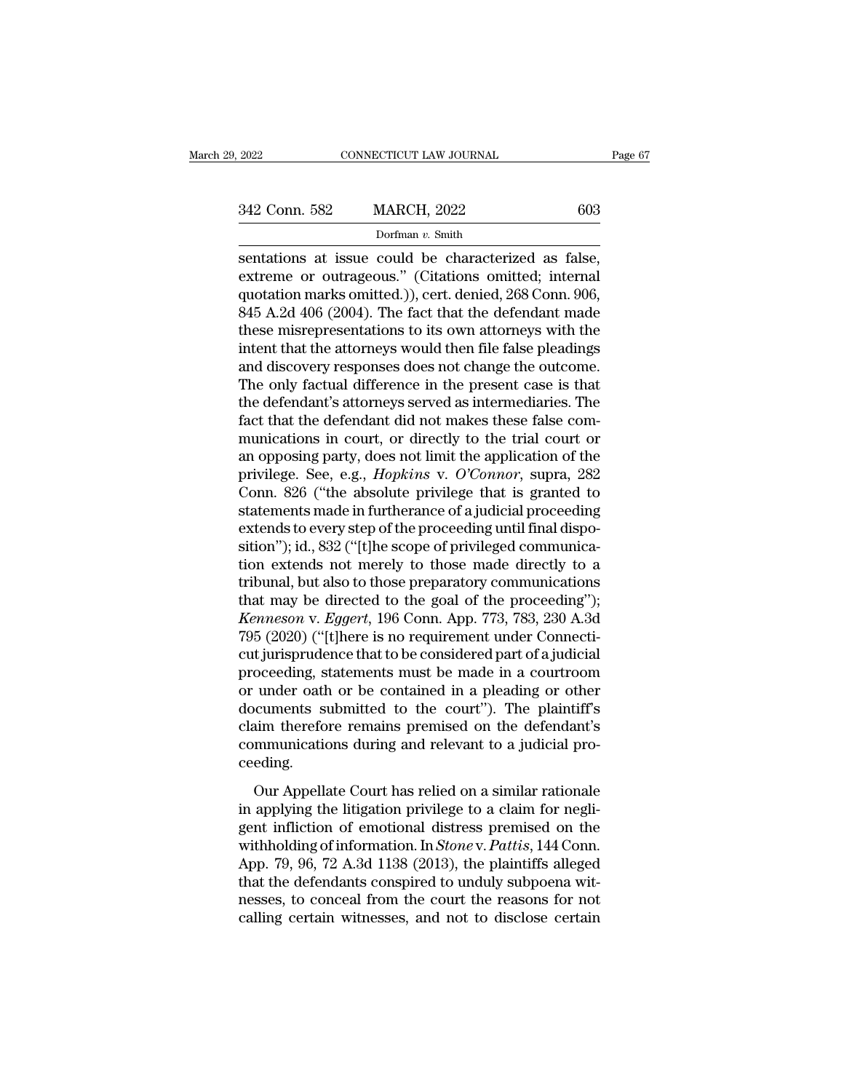Dorfman *v.* Smith

Fage<br>
Sentations at issue could be characterized as false,<br>
extreme or outrageous." (Citations omitted; internal<br>
extreme or outrageous." (Citations omitted; internal<br>
extreme or outrageous." (Citations omitted; internal<br> 342 Conn. 582 MARCH, 2022 603<br>Dorfman v. Smith<br>sentations at issue could be characterized as false,<br>extreme or outrageous." (Citations omitted; internal<br>quotation marks omitted.)), cert. denied, 268 Conn. 906,<br>845 A 2d 406 342 Conn. 582 MARCH, 2022 603<br>
Dorfman v. Smith<br>
sentations at issue could be characterized as false,<br>
extreme or outrageous." (Citations omitted; internal<br>
quotation marks omitted.)), cert. denied, 268 Conn. 906,<br>
845 A. 342 Conn. 582 MARCH, 2022 603<br>
Dorfman v. Smith<br>
sentations at issue could be characterized as false,<br>
extreme or outrageous." (Citations omitted; internal<br>
quotation marks omitted.)), cert. denied, 268 Conn. 906,<br>
845 A. Dorfman v. Smith<br>Dorfman v. Smith<br>sentations at issue could be characterized as false,<br>extreme or outrageous." (Citations omitted; internal<br>quotation marks omitted.)), cert. denied, 268 Conn. 906,<br>845 A.2d 406 (2004). The **Example 19 Except** Smuth<br>
sentations at issue could be characterized as false,<br>
extreme or outrageous." (Citations omitted; internal<br>
quotation marks omitted.)), cert. denied, 268 Conn. 906,<br>
845 A.2d 406 (2004). The fac sentations at issue could be characterized as false,<br>extreme or outrageous." (Citations omitted; internal<br>quotation marks omitted.)), cert. denied, 268 Conn. 906,<br>845 A.2d 406 (2004). The fact that the defendant made<br>these extreme or outrageous." (Citations omitted; internal<br>quotation marks omitted.)), cert. denied, 268 Conn. 906,<br>845 A.2d 406 (2004). The fact that the defendant made<br>these misrepresentations to its own attorneys with the<br>int quotation marks omitted.)), cert. denied, 268 Conn. 906,<br>845 A.2d 406 (2004). The fact that the defendant made<br>these misrepresentations to its own attorneys with the<br>intent that the attorneys would then file false pleading 845 A.2d 406 (2004). The fact that the defendant made<br>these misrepresentations to its own attorneys with the<br>intent that the attorneys would then file false pleadings<br>and discovery responses does not change the outcome.<br>Th these misrepresentations to its own attorneys with the<br>intent that the attorneys would then file false pleadings<br>and discovery responses does not change the outcome.<br>The only factual difference in the present case is that intent that the attorneys would then file false pleadings<br>and discovery responses does not change the outcome.<br>The only factual difference in the present case is that<br>the defendant's attorneys served as intermediaries. The and discovery responses does not change the outcome.<br>The only factual difference in the present case is that<br>the defendant's attorneys served as intermediaries. The<br>fact that the defendant did not makes these false com-<br>mu The only factual difference in the present case is that<br>the defendant's attorneys served as intermediaries. The<br>fact that the defendant did not makes these false com-<br>munications in court, or directly to the trial court or the defendant's attorneys served as intermediaries. The<br>fact that the defendant did not makes these false com-<br>munications in court, or directly to the trial court or<br>an opposing party, does not limit the application of t fact that the defendant did not makes these false communications in court, or directly to the trial court or<br>an opposing party, does not limit the application of the<br>privilege. See, e.g., *Hopkins* v. *O'Comor*, supra, 28 munications in court, or directly to the trial court or<br>an opposing party, does not limit the application of the<br>privilege. See, e.g., *Hopkins* v. *O'Connor*, supra, 282<br>Conn. 826 ("the absolute privilege that is granted an opposing party, does not limit the application of the<br>privilege. See, e.g., *Hopkins* v. *O'Connor*, supra, 282<br>Conn. 826 ("the absolute privilege that is granted to<br>statements made in furtherance of a judicial proceed privilege. See, e.g., *Hopkins* v. *O'Connor*, supra, 282<br>Conn. 826 ("the absolute privilege that is granted to<br>statements made in furtherance of a judicial proceeding<br>extends to every step of the proceeding until final d Conn. 826 ("the absolute privilege that is granted to<br>statements made in furtherance of a judicial proceeding<br>extends to every step of the proceeding until final dispo-<br>sition"); id., 832 ("[t]he scope of privileged commu statements made in furtherance of a judicial proceeding<br>extends to every step of the proceeding until final dispo-<br>sition"); id., 832 ("[t]he scope of privileged communica-<br>tion extends not merely to those made directly to extends to every step of the proceeding until final disposition"); id., 832 ("[t]he scope of privileged communication extends not merely to those made directly to a tribunal, but also to those preparatory communications th sition"); id., 832 ("[t]he scope of privileged communication extends not merely to those made directly to a tribunal, but also to those preparatory communications that may be directed to the goal of the proceeding"); *Kenn* tion extends not merely to those made directly to a<br>tribunal, but also to those preparatory communications<br>that may be directed to the goal of the proceeding");<br>*Kenneson* v. *Eggert*, 196 Conn. App. 773, 783, 230 A.3d<br>79 tribunal, but also to those preparatory communications<br>that may be directed to the goal of the proceeding");<br>*Kenneson* v. *Eggert*, 196 Conn. App. 773, 783, 230 A.3d<br>795 (2020) ("[t]here is no requirement under Connecti-<br> that may be directed to the goal of the proceeding");<br> *Kenneson* v. *Eggert*, 196 Conn. App. 773, 783, 230 A.3d<br>
795 (2020) ("[t]here is no requirement under Connecti-<br>
cut jurisprudence that to be considered part of a ju Kenneson v. Eggert, 196 Conn. App. 773, 783, 230 A.3d<br>795 (2020) ("[t]here is no requirement under Connecti-<br>cut jurisprudence that to be considered part of a judicial<br>proceeding, statements must be made in a courtroom<br>or 795 (2020) ("[t]here is no requirement under Connecticut jurisprudence that to be considered part of a judicial proceeding, statements must be made in a courtroom or under oath or be contained in a pleading or other docum ceeding. occeanity, statements mass see made in a coalcrossin-<br>under oath or be contained in a pleading or other<br>cuments submitted to the court"). The plaintiff's<br>im therefore remains premised on the defendant's<br>mmunications during of analy start of several and a preading of start<br>documents submitted to the court"). The plaintiff's<br>claim therefore remains premised on the defendant's<br>communications during and relevant to a judicial pro-<br>ceeding.<br>Our A

claim therefore remains premised on the defendant's<br>communications during and relevant to a judicial pro-<br>ceeding.<br>Our Appellate Court has relied on a similar rationale<br>in applying the litigation privilege to a claim for communications during and relevant to a judicial proceeding.<br>
Our Appellate Court has relied on a similar rationale<br>
in applying the litigation privilege to a claim for negli-<br>
gent infliction of emotional distress premise Conditional distribution of emotional similar rational<br>in applying the litigation privilege to a claim for negli-<br>gent infliction of emotional distress premised on the<br>withholding of information. In *Stone* v. *Pattis*, 14 Our Appellate Court has relied on a similar rationale<br>in applying the litigation privilege to a claim for negli-<br>gent infliction of emotional distress premised on the<br>withholding of information. In *Stone* v. Pattis, 144 C Our Appellate Court has relied on a similar rationale<br>in applying the litigation privilege to a claim for negli-<br>gent infliction of emotional distress premised on the<br>withholding of information. In *Stone* v. *Pattis*, 14 in applying the litigation privilege to a claim for negligent infliction of emotional distress premised on the withholding of information. In  $Stonev.$  Pattis, 144 Conn. App. 79, 96, 72 A.3d 1138 (2013), the plaintiffs allege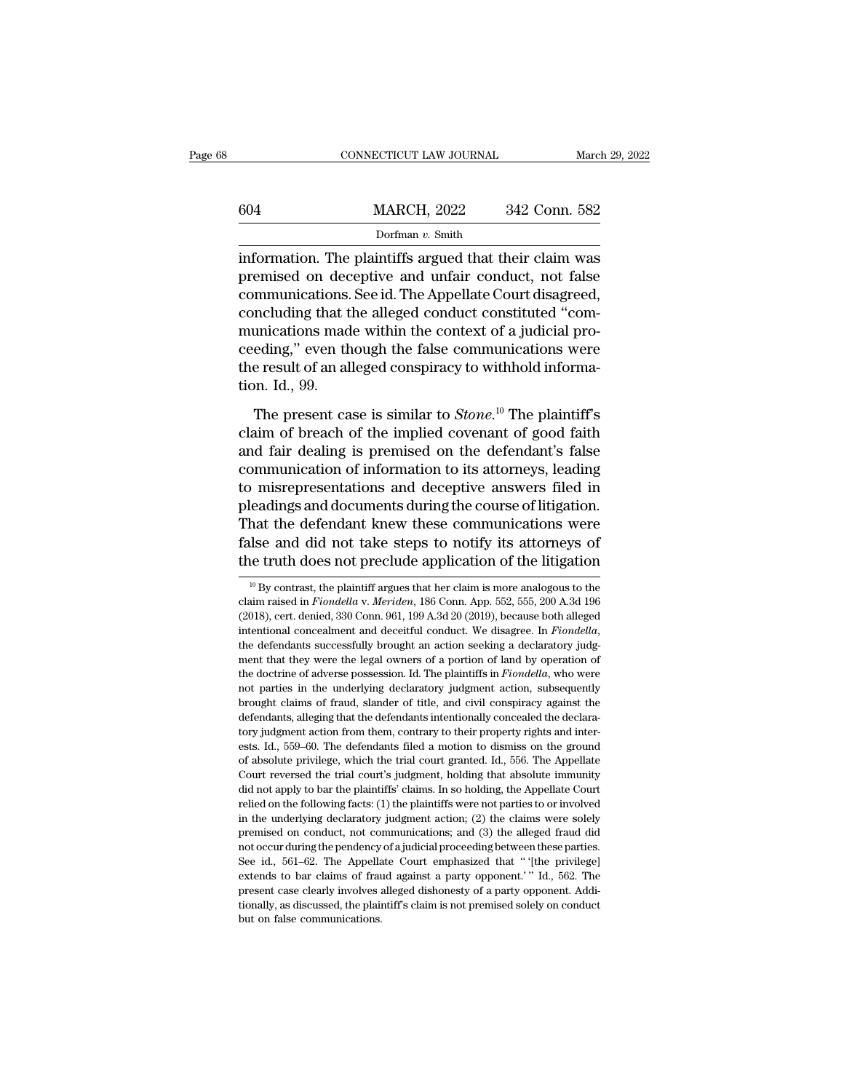|     | CONNECTICUT LAW JOURNAL                                                                                                                                             | March 29, 2022 |
|-----|---------------------------------------------------------------------------------------------------------------------------------------------------------------------|----------------|
| 604 | <b>MARCH, 2022</b>                                                                                                                                                  | 342 Conn. 582  |
|     | Dorfman $v$ . Smith                                                                                                                                                 |                |
|     | information. The plaintiffs argued that their claim was<br>premised on deceptive and unfair conduct, not false<br>communications Socid The Appellate Court diseased |                |

MARCH, 2022 342 Conn. 582<br>
Dorfman v. Smith<br>
information. The plaintiffs argued that their claim was<br>
premised on deceptive and unfair conduct, not false<br>
communications. See id. The Appellate Court disagreed,<br>
concluding 604 MARCH, 2022 342 Conn. 582<br>
Dorfman v. Smith<br>
information. The plaintiffs argued that their claim was<br>
premised on deceptive and unfair conduct, not false<br>
communications. See id. The Appellate Court disagreed,<br>
conclu  $\frac{\text{MARCH}}{\text{Dorfman } v. \text{ Smith}}$ <br>
information. The plaintiffs argued that their claim was<br>
premised on deceptive and unfair conduct, not false<br>
communications. See id. The Appellate Court disagreed,<br>
concluding that the alleged c Dorfman v. Smith<br>information. The plaintiffs argued that their claim was<br>premised on deceptive and unfair conduct, not false<br>communications. See id. The Appellate Court disagreed,<br>concluding that the alleged conduct const bonnan v. shun<br>information. The plaintiffs argued that their claim was<br>premised on deceptive and unfair conduct, not false<br>communications. See id. The Appellate Court disagreed,<br>concluding that the alleged conduct constit information. The plaintiffs argued that their claim was<br>premised on deceptive and unfair conduct, not false<br>communications. See id. The Appellate Court disagreed,<br>concluding that the alleged conduct constituted "com-<br>munic premised on dec<br>communications.<br>concluding that t<br>munications mad<br>ceeding," even th<br>the result of an al<br>tion. Id., 99.<br>The present ca Including that the alleged conduct constituted "com-<br>unications made within the context of a judicial pro-<br>eding," even though the false communications were<br>e result of an alleged conspiracy to withhold informa-<br>pn. Id., 9 munications made within the context of a judicial pro-<br>ceeding," even though the false communications were<br>the result of an alleged conspiracy to withhold informa-<br>tion. Id., 99.<br>The present case is similar to *Stone*.<sup>10</sup>

ceeding," even though the false communications were<br>the result of an alleged conspiracy to withhold informa-<br>tion. Id., 99.<br>The present case is similar to *Stone*.<sup>10</sup> The plaintiff's<br>claim of breach of the implied covena the result of an alleged conspiracy to withhold informa-<br>tion. Id., 99.<br>The present case is similar to  $Stone$ <sup>10</sup> The plaintiff's<br>claim of breach of the implied covenant of good faith<br>and fair dealing is premised on the defe tion. Id., 99.<br>The present case is similar to *Stone*.<sup>10</sup> The plaintiff's<br>claim of breach of the implied covenant of good faith<br>and fair dealing is premised on the defendant's false<br>communication of information to its at The present case is similar to *Stone*.<sup>10</sup> The plaintiff's claim of breach of the implied covenant of good faith and fair dealing is premised on the defendant's false communication of information to its attorneys, leading The present case is similar to *Stone*.<sup>10</sup> The plaintiff's<br>claim of breach of the implied covenant of good faith<br>and fair dealing is premised on the defendant's false<br>communication of information to its attorneys, leadin claim of breach of the implied covenant of good faith<br>and fair dealing is premised on the defendant's false<br>communication of information to its attorneys, leading<br>to misrepresentations and deceptive answers filed in<br>pleadi and fair dealing is premised on the defendant's false<br>communication of information to its attorneys, leading<br>to misrepresentations and deceptive answers filed in<br>pleadings and documents during the course of litigation.<br>Th eadings and documents during the course of itugation.<br>
hat the defendant knew these communications were<br>
lse and did not take steps to notify its attorneys of<br>
le truth does not preclude application of the litigation<br>
<sup>10</sup> That the defendant knew these communications were<br>false and did not take steps to notify its attorneys of<br>the truth does not preclude application of the litigation<br><sup>10</sup> By contrast, the plaintiff argues that her claim is m

false and did not take steps to notify its attorneys of<br>the truth does not preclude application of the litigation<br> $^{10}$ By contrast, the plaintiff argues that her claim is more analogous to the<br>claim raised in *Fiondella* intentional concealment and deceitful conduct. We disagree. In *Fiondella*, the plaintiff argues that her claim is more analogous to the claim raised in *Fiondella* v. *Meriden*, 186 Conn. App. 552, 555, 200 A.3d 196 (2018 <sup>10</sup> By contrast, the plaintiff argues that her claim is more analogous to the claim raised in *Fiondella* v. *Meriden*, 186 Conn. App. 552, 555, 200 A.3d 196 (2018), cert. denied, 330 Conn. 961, 199 A.3d 20 (2019), becau claim raised in *Fiondella* v. *Meriden*, 186 Conn. App. 552, 555, 200 A.3d 196 (2018), cert. denied, 330 Conn. 961, 199 A.3d 20 (2019), because both alleged intentional concealment and deceitful conduct. We disagree. In (2018), cert. denied, 330 Conn. 961, 199 A.3d 20 (2019), because both alleged intentional concealment and deceitful conduct. We disagree. In *Fiondella*, the defendants successfully brought an action seeking a declaratory intentional concealment and deceitful conduct. We disagree. In *Fiondella*, the defendants successfully brought an action seeking a declaratory judgment that they were the legal owners of a portion of land by operation of intentional concealment and deceitful conduct. We disagree. In *Fiondella*, the defendants successfully brought an action seeking a declaratory judgment that they were the legal owners of a portion of land by operation of ment that they were the legal owners of a portion of land by operation of the doctrine of adverse possession. Id. The plaintiffs in *Fiondella*, who were not parties in the underlying declaratory judgment action, subsequen the doctrine of adverse possession. Id. The plaintiffs in *Fiondella*, who were not parties in the underlying declaratory judgment action, subsequently brought claims of fraud, slander of title, and civil conspiracy agains not parties in the underlying declaratory judgment action, subsequently brought claims of fraud, slander of title, and civil conspiracy against the defendants, alleging that the defendants intentionally concealed the decla From the matter, the defendants intentionally concealed the declaratory judgment action from them, contrary to their property rights and interests. Id., 559–60. The defendants filed a motion to dismiss on the ground of abs defendants, alleging that the defendants intentionally concealed the declara-<br>tory judgment action from them, contrary to their property rights and inter-<br>ests. Id., 559–60. The defendants filed a motion to dismiss on the tory judgment action from them, contrary to their property rights and interests. Id., 559–60. The defendants filed a motion to dismiss on the ground of absolute privilege, which the trial court granted. Id., 556. The Appel ests. Id., 559–60. The defendants filed a motion to dismiss on the ground of absolute privilege, which the trial court granted. Id., 556. The Appellate Court reversed the trial court's judgment, holding that absolute immun of absolute privilege, which the trial court granted. Id., 556. The Appellate Court reversed the trial court's judgment, holding that absolute immunity did not apply to bar the plaintiffs' claims. In so holding, the Appell Court reversed the trial court's judgment, holding that absolute immunity did not apply to bar the plaintiffs' claims. In so holding, the Appellate Court relied on the following facts: (1) the plaintiffs were not parties did not apply to bar the plaintiffs' claims. In so holding, the Appellate Court<br>relied on the following facts: (1) the plaintiffs were not parties to or involved<br>in the underlying declaratory judgment action; (2) the claim relied on the following facts: (1) the plaintiffs were not parties to or involved<br>in the underlying declaratory judgment action; (2) the claims were solely<br>premised on conduct, not communications; and (3) the alleged fraud relied on the following facts: (1) the plaintiffs were not parties to or involved<br>in the underlying declaratory judgment action; (2) the claims were solely<br>premised on conduct, not communications; and (3) the alleged frau premised on conduct, not communications; and (3) the alleged fraud did not occur during the pendency of a judicial proceeding between these parties.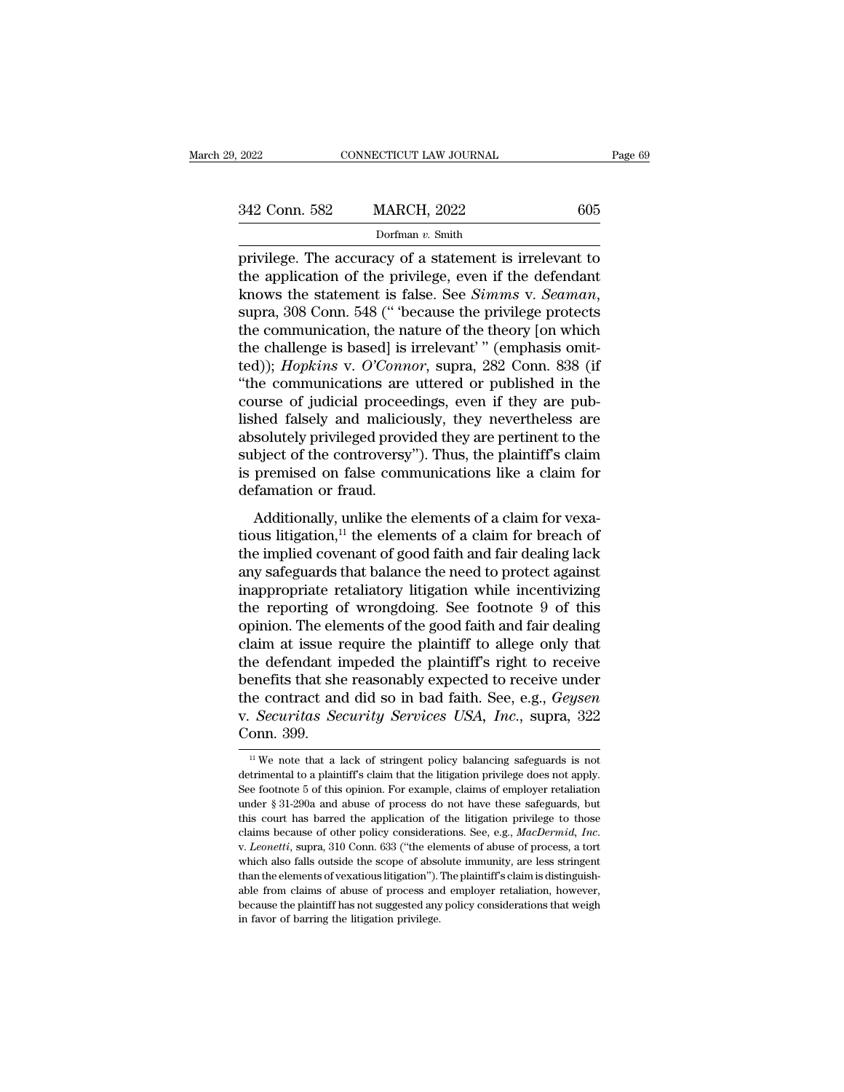| 9, 2022       | CONNECTICUT LAW JOURNAL |     | Page 69 |
|---------------|-------------------------|-----|---------|
| 342 Conn. 582 | <b>MARCH, 2022</b>      | 605 |         |
|               | Dorfman v. Smith        |     |         |

2022 CONNECTICUT LAW JOURNAL Page 69<br>
342 Conn. 582 MARCH, 2022 605<br>
Dorfman v. Smith<br>
privilege. The accuracy of a statement is irrelevant to<br>
the application of the privilege, even if the defendant<br>
knows the statement 342 Conn. 582 MARCH, 2022 605<br>Dorfman v. Smith<br>privilege. The accuracy of a statement is irrelevant to<br>the application of the privilege, even if the defendant<br>knows the statement is false. See *Simms* v. *Seaman*,<br>supra 3 842 Conn. 582 MARCH, 2022 605<br>
Dorfman v. Smith<br>
privilege. The accuracy of a statement is irrelevant to<br>
the application of the privilege, even if the defendant<br>
knows the statement is false. See *Simms* v. *Seaman*,<br>
sup Dorfman v. Smith<br>privilege. The accuracy of a statement is irrelevant to<br>the application of the privilege, even if the defendant<br>knows the statement is false. See *Simms* v. *Seaman*,<br>supra, 308 Conn. 548 (" because the p Dortman v. Smuth<br>privilege. The accuracy of a statement is irrelevant to<br>the application of the privilege, even if the defendant<br>knows the statement is false. See *Simms* v. *Seaman*,<br>supra, 308 Conn. 548 (" 'because the privilege. The accuracy of a statement is irrelevant to<br>the application of the privilege, even if the defendant<br>knows the statement is false. See *Simms* v. *Seaman*,<br>supra, 308 Conn. 548 (" because the privilege protects<br> the application of the privilege, even if the defendant<br>
knows the statement is false. See *Simms* v. *Seaman*,<br>
supra, 308 Conn. 548 (" because the privilege protects<br>
the communication, the nature of the theory [on which knows the statement is false. See *Simms* v. *Seaman*, supra, 308 Conn. 548 (" 'because the privilege protects the communication, the nature of the theory [on which the challenge is based] is irrelevant' " (emphasis omitte supra, 308 Conn. 548 (" 'because the privilege protects<br>the communication, the nature of the theory [on which<br>the challenge is based] is irrelevant' " (emphasis omit-<br>ted)); *Hopkins* v. O'Connor, supra, 282 Conn. 838 (if<br> the communication, the nature of the theory [on which<br>the challenge is based] is irrelevant' " (emphasis omit-<br>ted)); *Hopkins* v. *O'Connor*, supra, 282 Conn. 838 (if<br>"the communications are uttered or published in the<br>co the challenge is based] is irrelevant'" (emphasis omit-<br>ted)); *Hopkins* v. *O'Connor*, supra, 282 Conn. 838 (if<br>"the communications are uttered or published in the<br>course of judicial proceedings, even if they are pub-<br>lis ted)); *Hopkins* v. *O'Connor*, supra, 282 Conn. 838 (if "the communications are uttered or published in the course of judicial proceedings, even if they are published falsely and maliciously, they nevertheless are absolut "the communications are<br>course of judicial procee<br>lished falsely and malicia<br>absolutely privileged prov.<br>subject of the controversy<br>is premised on false com<br>defamation or fraud.<br>Additionally, unlike the Additionally, they nevertheless are solutely privileged provided they are pertinent to the bject of the controversy"). Thus, the plaintiff's claim premised on false communications like a claim for famation or fraud.<br>Addit fished taisely and manerously, they nevertheless are<br>absolutely privileged provided they are pertinent to the<br>subject of the controversy"). Thus, the plaintiff's claim<br>is premised on false communications like a claim for<br>

absolutely privileged provided they are perfinent to the<br>subject of the controversy"). Thus, the plaintiff's claim<br>is premised on false communications like a claim for<br>defamation or fraud.<br>Additionally, unlike the element safeguards of the controversy *f*. Thus, the plantin s claim<br>is premised on false communications like a claim for<br>defamation or fraud.<br>Additionally, unlike the elements of a claim for vexa-<br>tious litigation,<sup>11</sup> the eleme is premised on raise communications incentive defamation or fraud.<br>
Additionally, unlike the elements of a claim for vexatious litigation,<sup>11</sup> the elements of a claim for breach of<br>
the implied covenant of good faith and Additionally, unlike the elements of a claim for vexatious litigation,<sup>11</sup> the elements of a claim for breach of the implied covenant of good faith and fair dealing lack any safeguards that balance the need to protect aga Additionally, unlike the elements of a claim for vexatious litigation,<sup>11</sup> the elements of a claim for breach of the implied covenant of good faith and fair dealing lack any safeguards that balance the need to protect aga tious litigation,<sup>11</sup> the elements of a claim for breach of<br>the implied covenant of good faith and fair dealing lack<br>any safeguards that balance the need to protect against<br>inappropriate retaliatory litigation while incent the implied covenant of good faith and fair dealing lack<br>any safeguards that balance the need to protect against<br>inappropriate retaliatory litigation while incentivizing<br>the reporting of wrongdoing. See footnote 9 of this<br> any safeguards that balance the need to protect against<br>inappropriate retaliatory litigation while incentivizing<br>the reporting of wrongdoing. See footnote 9 of this<br>opinion. The elements of the good faith and fair dealing<br> inappropriate retaliatory litigation while incentivizing<br>the reporting of wrongdoing. See footnote 9 of this<br>opinion. The elements of the good faith and fair dealing<br>claim at issue require the plaintiff to allege only that the reporting of wrongdoing. See footnote 9 of this<br>opinion. The elements of the good faith and fair dealing<br>claim at issue require the plaintiff to allege only that<br>the defendant impeded the plaintiff's right to receive<br>b opinion. The ele<br>claim at issue r<br>the defendant i<br>benefits that she<br>the contract and<br>v. *Securitas Se*<br>Conn. 399. enetits that she reasonably expected to receive under<br>
i.e contract and did so in bad faith. See, e.g., *Geysen*<br> *Securitas Security Services USA, Inc.*, supra, 322<br>
onn. 399.<br>
<sup>11</sup> We note that a lack of stringent policy the contract and did so in bad faith. See, e.g., *Geysen*<br>v. *Securitas Security Services USA*, *Inc.*, supra, 322<br>Conn. 399.<br><sup>11</sup> We note that a lack of stringent policy balancing safeguards is not<br>detrimental to a plaint

v. *Securitas Security Services USA*, *Inc.*, supra, 322 Conn. 399.<br>
<sup>11</sup> We note that a lack of stringent policy balancing safeguards is not detrimental to a plaintiff's claim that the litigation privilege does not apply v. *Securitas Security Services USA*, *Inc.*, supra, 322<br>Conn. 399.<br> $\frac{1}{\mu}$  We note that a lack of stringent policy balancing safeguards is not<br>detrimental to a plaintiff's claim that the litigation privilege does not The method of stringent policy balancing safeguards is not detrimental to a plaintiff's claim that the litigation privilege does not apply.<br>See footnote 5 of this opinion. For example, claims of employer retaliation under <sup>11</sup> We note that a lack of stringent policy balancing safeguards is not detrimental to a plaintiff's claim that the litigation privilege does not apply. See footnote 5 of this opinion. For example, claims of employer ret See footnote 5 of this opinion. For example, claims of employer retaliation under  $\S 31-290a$  and abuse of process do not have these safeguards, but this court has barred the application of the litigation privilege to tho under  $\S$  31-290a and abuse of process do not have these safeguards, but this court has barred the application of the litigation privilege to those claims because of other policy considerations. See, e.g., *MacDermid*, *I* this court has barred the application of the litigation privilege to those claims because of other policy considerations. See, e.g., *MacDermid, Inc.* v. *Leonetti*, supra, 310 Conn. 633 ("the elements of abuse of process claims because of other policy considerations. See, e.g., *MacDermid*, *Inc.* v. *Leonetti*, supra, 310 Conn. 633 ("the elements of abuse of process, a tort which also falls outside the scope of absolute immunity, are less v. Leonetti, supra, 310 Conn. 633 ("the elements of abuse of process, a tort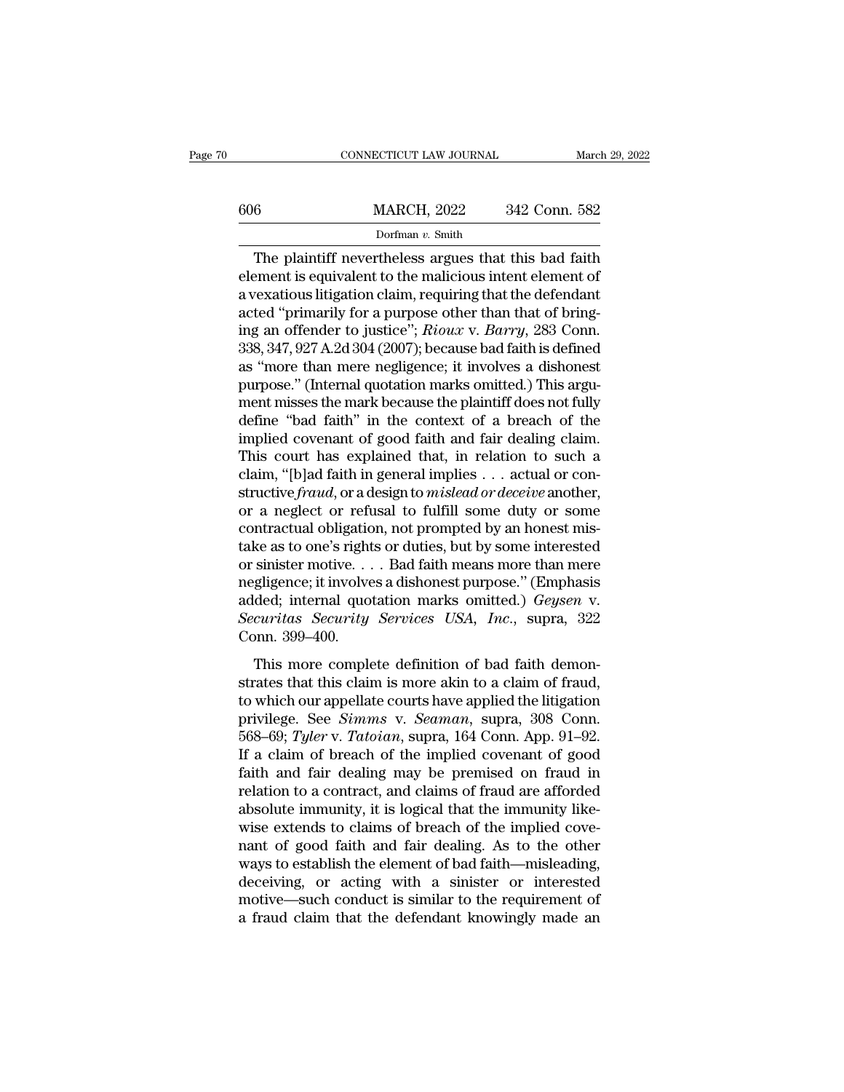|     | CONNECTICUT LAW JOURNAL |               | March 29, 2022 |
|-----|-------------------------|---------------|----------------|
|     |                         |               |                |
| 606 | <b>MARCH, 2022</b>      | 342 Conn. 582 |                |
|     | Dorfman v. Smith        |               |                |

CONNECTICUT LAW JOURNAL March 29, 2022<br> **EXECUTE 18 MARCH, 2022** 342 Conn. 582<br>
Dorfman v. Smith<br>
The plaintiff nevertheless argues that this bad faith<br>
ement is equivalent to the malicious intent element of<br>
the provisio 606 MARCH, 2022 342 Conn. 582<br>Dorfman v. Smith<br>The plaintiff nevertheless argues that this bad faith<br>element is equivalent to the malicious intent element of<br>a vexatious litigation claim, requiring that the defendant<br>acte 606 MARCH, 2022 342 Conn. 582<br>Dorfman v. Smith<br>The plaintiff nevertheless argues that this bad faith<br>element is equivalent to the malicious intent element of<br>a vexatious litigation claim, requiring that the defendant<br>acte 606 MARCH, 2022 342 Conn. 582<br>
Dorfman v. Smith<br>
The plaintiff nevertheless argues that this bad faith<br>
element is equivalent to the malicious intent element of<br>
a vexatious litigation claim, requiring that the defendant<br> Dorfman v. Smith<br>Dorfman v. Smith<br>element is equivalent to the malicious intent element of<br>a vexatious litigation claim, requiring that the defendant<br>acted "primarily for a purpose other than that of bring-<br>ing an offender **338, 347, 927 A.2d 304 (2007); because bad faith is defined as "more than that of sexatious litigation claim, requiring that the defendant acted "primarily for a purpose other than that of bringing an offender to justice** The plaintiff nevertheless argues that this bad faith<br>element is equivalent to the malicious intent element of<br>a vexatious litigation claim, requiring that the defendant<br>acted "primarily for a purpose other than that of br element is equivalent to the malicious intent element of<br>a vexatious litigation claim, requiring that the defendant<br>acted "primarily for a purpose other than that of bring-<br>ing an offender to justice"; *Rioux v. Barry*, 28 a vexatious litigation claim, requiring that the defendant<br>acted "primarily for a purpose other than that of bring-<br>ing an offender to justice"; *Rioux v. Barry*, 283 Conn.<br>338, 347, 927 A.2d 304 (2007); because bad faith acted "primarily for a purpose other than that of bring-<br>ing an offender to justice"; *Rioux v. Barry*, 283 Conn.<br>338, 347, 927 A.2d 304 (2007); because bad faith is defined<br>as "more than mere negligence; it involves a dis ing an offender to justice"; *Rioux v. Barry*, 283 Conn.<br>338, 347, 927 A.2d 304 (2007); because bad faith is defined<br>as "more than mere negligence; it involves a dishonest<br>purpose." (Internal quotation marks omitted.) This 338, 347, 927 A.2d 304 (2007); because bad faith is defined<br>as "more than mere negligence; it involves a dishonest<br>purpose." (Internal quotation marks omitted.) This argu-<br>ment misses the mark because the plaintiff does n as "more than mere negligence; it involves a dishonest<br>purpose." (Internal quotation marks omitted.) This argu-<br>ment misses the mark because the plaintiff does not fully<br>define "bad faith" in the context of a breach of th purpose." (Internal quotation marks omitted.) This argument misses the mark because the plaintiff does not fully define "bad faith" in the context of a breach of the implied covenant of good faith and fair dealing claim. T ment misses the mark because the plaintiff does not fully<br>define "bad faith" in the context of a breach of the<br>implied covenant of good faith and fair dealing claim.<br>This court has explained that, in relation to such a<br>cla define "bad faith" in the context of a breach of the<br>implied covenant of good faith and fair dealing claim.<br>This court has explained that, in relation to such a<br>claim, "[b]ad faith in general implies . . . actual or con-<br> implied covenant of good faith and fair dealing claim.<br>This court has explained that, in relation to such a<br>claim, "[b]ad faith in general implies . . . actual or con-<br>structive *fraud*, or a design to *mislead or deceive* This court has explained that, in relation to such a<br>claim, "[b]ad faith in general implies . . . actual or con-<br>structive *fraud*, or a design to *mislead or deceive* another,<br>or a neglect or refusal to fulfill some duty claim, "[b]ad faith in general implies . . . actual or constructive *fraud*, or a design to *mislead or deceive* another,<br>or a neglect or refusal to fulfill some duty or some<br>contractual obligation, not prompted by an hon structive *fraud*, or a design to *mislead or deceive* another,<br>or a neglect or refusal to fulfill some duty or some<br>contractual obligation, not prompted by an honest mis-<br>take as to one's rights or duties, but by some int or a neglect or refusal to fulfill some duty or some<br>contractual obligation, not prompted by an honest mis-<br>take as to one's rights or duties, but by some interested<br>or sinister motive.... Bad faith means more than mere<br>ne contractual obligatic<br>take as to one's right<br>or sinister motive...<br>negligence; it involve<br>added; internal quo<br>*Securitas Security*<br>Conn. 399–400.<br>This more comple Solved the sum of dataset, but by some interested<br>sinister motive.... Bad faith means more than mere<br>gligence; it involves a dishonest purpose." (Emphasis<br>ded; internal quotation marks omitted.) *Geysen* v.<br>*curitas Secur* strates that the strates that the megligence; it involves a dishonest purpose." (Emphasis added; internal quotation marks omitted.) *Geysen v.*<br>Securitas Security Services USA, Inc., supra, 322<br>Conn. 399–400.<br>This more co

added; internal quotation marks omitted.) *Geysen v.*<br>Securitas Security Services USA, Inc., supra, 322<br>Conn. 399–400.<br>This more complete definition of bad faith demon-<br>strates that this claim is more akin to a claim of f Securitas Security Services USA, Inc., supra, 322<br>Conn. 399–400.<br>This more complete definition of bad faith demon-<br>strates that this claim is more akin to a claim of fraud,<br>to which our appellate courts have applied the li Fractional Security Services Cont, The., Sapira, Conn. 399–400.<br>
This more complete definition of bad faith demonstrates that this claim is more akin to a claim of fraud,<br>
to which our appellate courts have applied the lit This more complete definition of bad faith demonstrates that this claim is more akin to a claim of fraud, to which our appellate courts have applied the litigation privilege. See *Simms* v. *Seaman*, supra, 308 Conn. 568–6 This more complete definition of bad faith demonstrates that this claim is more akin to a claim of fraud, to which our appellate courts have applied the litigation privilege. See *Simms* v. *Seaman*, supra, 308 Conn. 568– strates that this claim is more akin to a claim of fraud,<br>to which our appellate courts have applied the litigation<br>privilege. See *Simms* v. *Seaman*, supra, 308 Conn.<br>568–69; Tyler v. Tatoian, supra, 164 Conn. App. 91–92 to which our appellate courts have applied the litigation<br>privilege. See *Simms* v. *Seaman*, supra, 308 Conn.<br>568–69; Tyler v. Tatoian, supra, 164 Conn. App. 91–92.<br>If a claim of breach of the implied covenant of good<br>fai privilege. See *Simms* v. *Seaman*, supra, 308 Conn.<br>568–69; Tyler v. Tatoian, supra, 164 Conn. App. 91–92.<br>If a claim of breach of the implied covenant of good<br>faith and fair dealing may be premised on fraud in<br>relation t 568–69; *Tyler* v. *Tatoian*, supra, 164 Conn. App. 91–92.<br>If a claim of breach of the implied covenant of good<br>faith and fair dealing may be premised on fraud in<br>relation to a contract, and claims of fraud are afforded<br>a If a claim of breach of the implied covenant of good<br>faith and fair dealing may be premised on fraud in<br>relation to a contract, and claims of fraud are afforded<br>absolute immunity, it is logical that the immunity like-<br>wise faith and fair dealing may be premised on fraud in<br>relation to a contract, and claims of fraud are afforded<br>absolute immunity, it is logical that the immunity like-<br>wise extends to claims of breach of the implied cove-<br>nan relation to a contract, and claims of fraud are afforded<br>absolute immunity, it is logical that the immunity like-<br>wise extends to claims of breach of the implied cove-<br>nant of good faith and fair dealing. As to the other<br>w absolute immunity, it is logical that the immunity like-<br>wise extends to claims of breach of the implied cove-<br>nant of good faith and fair dealing. As to the other<br>ways to establish the element of bad faith—misleading,<br>dec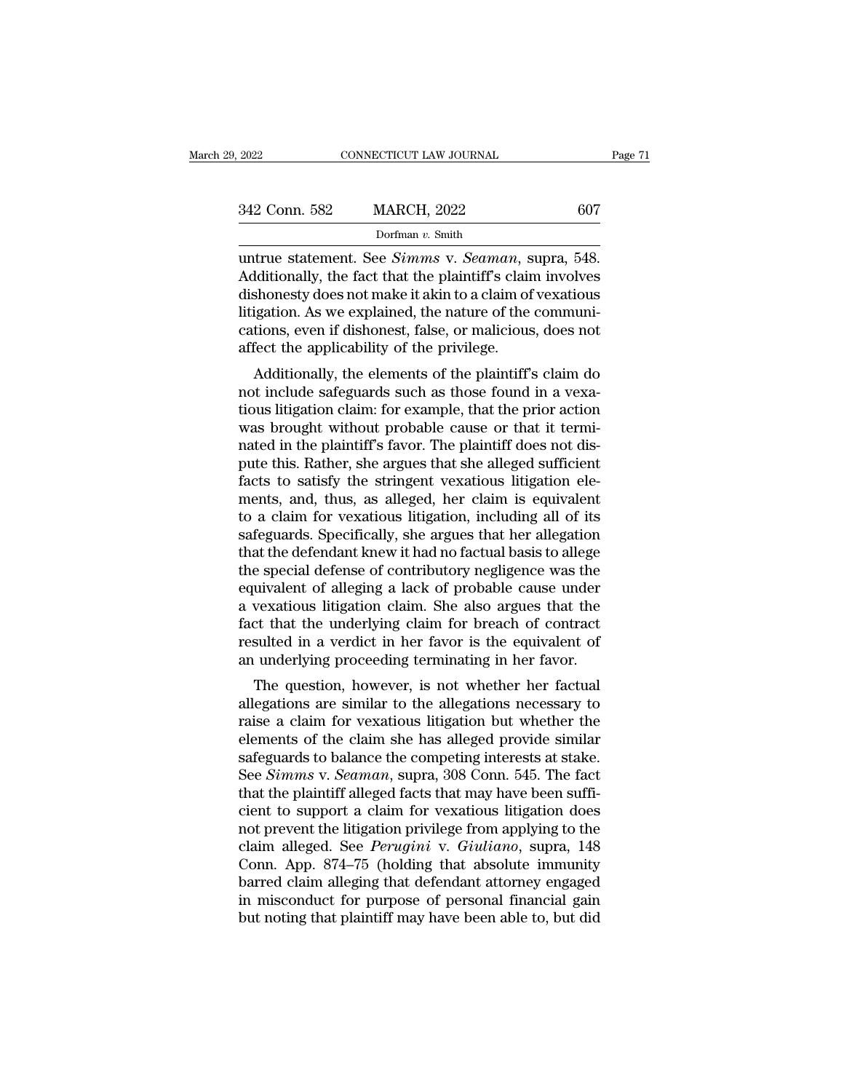| 9, 2022       | CONNECTICUT LAW JOURNAL                                                                                                                                                                     | Page 71 |
|---------------|---------------------------------------------------------------------------------------------------------------------------------------------------------------------------------------------|---------|
|               |                                                                                                                                                                                             |         |
| 342 Conn. 582 | <b>MARCH, 2022</b>                                                                                                                                                                          | 607     |
|               | Dorfman $v$ . Smith                                                                                                                                                                         |         |
|               | untrue statement. See <i>Simms</i> v. <i>Seaman</i> , supra, 548.<br>Additionally, the fact that the plaintiff's claim involves<br>dishepesty does not make it akin to a glaim of vexatious |         |

342 Conn. 582 MARCH, 2022 607<br>Dorfman v. Smith<br>untrue statement. See *Simms* v. *Seaman*, supra, 548.<br>Additionally, the fact that the plaintiff's claim involves<br>dishonesty does not make it akin to a claim of vexatious<br>lit 342 Conn. 582 MARCH, 2022 607<br>
Dorfman v. Smith<br>
untrue statement. See *Simms* v. *Seaman*, supra, 548.<br>
Additionally, the fact that the plaintiff's claim involves<br>
dishonesty does not make it akin to a claim of vexatious 342 Conn. 582 MARCH, 2022 607<br>
Dorfman v. Smith<br>
untrue statement. See *Simms* v. *Seaman*, supra, 548.<br>
Additionally, the fact that the plaintiff's claim involves<br>
dishonesty does not make it akin to a claim of vexatious Dorfman v. Smith<br>Dorfman v. Smith<br>Untrue statement. See *Simms* v. *Seaman*, supra, 548.<br>Additionally, the fact that the plaintiff's claim involves<br>dishonesty does not make it akin to a claim of vexatious<br>litigation. As w  $\frac{\text{Dorfman } v. \text{ Smith}}{\text{Multippartial}}$ <br>and  $\frac{\text{Dorfman } v. \text{ Seaman, S}}{\text{Additionally, the fact that the plaintiff's claim}}$ <br>dishonesty does not make it akin to a claim of<br>litigation. As we explained, the nature of the<br>cations, even if dishonest, false, or malicious<br>affect the In the statement. See *Stimus* v. *Seaman*, supra, 548.<br>Iditionally, the fact that the plaintiff's claim involves<br>shonesty does not make it akin to a claim of vexatious<br>igation. As we explained, the nature of the communi-<br> Additionally, the fact that the plaintiff s-claim involves<br>dishonesty does not make it akin to a claim of vexatious<br>litigation. As we explained, the nature of the communi-<br>cations, even if dishonest, false, or malicious, d

distionesty does not make it akin to a claim of vexatious<br>litigation. As we explained, the nature of the communi-<br>cations, even if dishonest, false, or malicious, does not<br>affect the applicability of the privilege.<br>Additio migation. As we explained, the nature of the communications, even if dishonest, false, or malicious, does not affect the applicability of the privilege.<br>Additionally, the elements of the plaintiff's claim do not include sa cations, even if usholiest, fase, of mancrous, does not<br>affect the applicability of the privilege.<br>Additionally, the elements of the plaintiff's claim do<br>not include safeguards such as those found in a vexa-<br>tious litigati allect the applicability of the phivings.<br>Additionally, the elements of the plaintiff's claim do<br>not include safeguards such as those found in a vexa-<br>tious litigation claim: for example, that the prior action<br>was brought Additionally, the elements of the plaintiff's claim do<br>not include safeguards such as those found in a vexa-<br>tious litigation claim: for example, that the prior action<br>was brought without probable cause or that it termi-<br>n not include safeguards such as those found in a vexatious litigation claim: for example, that the prior action<br>was brought without probable cause or that it termi-<br>nated in the plaintiff's favor. The plaintiff does not dis tious litigation claim: for example, that the prior action<br>was brought without probable cause or that it termi-<br>nated in the plaintiff's favor. The plaintiff does not dis-<br>pute this. Rather, she argues that she alleged suf was brought without probable cause or that it terminated in the plaintiff's favor. The plaintiff does not dispute this. Rather, she argues that she alleged sufficient facts to satisfy the stringent vexatious litigation ele nated in the plaintiff's favor. The plaintiff does not dis-<br>pute this. Rather, she argues that she alleged sufficient<br>facts to satisfy the stringent vexatious litigation ele-<br>ments, and, thus, as alleged, her claim is equi pute this. Rather, she argues that she alleged sufficient<br>facts to satisfy the stringent vexatious litigation ele-<br>ments, and, thus, as alleged, her claim is equivalent<br>to a claim for vexatious litigation, including all of facts to satisfy the stringent vexatious litigation elements, and, thus, as alleged, her claim is equivalent<br>to a claim for vexatious litigation, including all of its<br>safeguards. Specifically, she argues that her allegatio ments, and, thus, as alleged, her claim is equivalent<br>to a claim for vexatious litigation, including all of its<br>safeguards. Specifically, she argues that her allegation<br>that the defendant knew it had no factual basis to al to a claim for vexatious litigation, including all of its<br>safeguards. Specifically, she argues that her allegation<br>that the defendant knew it had no factual basis to allege<br>the special defense of contributory negligence wa safeguards. Specifically, she argues that her allegation<br>that the defendant knew it had no factual basis to allege<br>the special defense of contributory negligence was the<br>equivalent of alleging a lack of probable cause unde that the defendant knew it had no factual basis to allege<br>the special defense of contributory negligence was the<br>equivalent of alleging a lack of probable cause under<br>a vexatious litigation claim. She also argues that the<br> Expecial defense of contributory hegigence was the<br>uivalent of alleging a lack of probable cause under<br>vexatious litigation claim. She also argues that the<br>ct that the underlying claim for breach of contract<br>sulted in a ve equivalent of aneglig a fack of probable cause under<br>a vexatious litigation claim. She also argues that the<br>fact that the underlying claim for breach of contract<br>resulted in a verdict in her favor is the equivalent of<br>an u

a vexatious inigation claim. She also argues that the<br>fact that the underlying claim for breach of contract<br>resulted in a verdict in her favor is the equivalent of<br>an underlying proceeding terminating in her favor.<br>The que resulted in a verdict in her favor is the equivalent of<br>an underlying proceeding terminating in her favor.<br>The question, however, is not whether her factual<br>allegations are similar to the allegations necessary to<br>raise a c resulted in a vertict in her favor is the equivalent of<br>an underlying proceeding terminating in her favor.<br>The question, however, is not whether her factual<br>allegations are similar to the allegations necessary to<br>raise a c The question, however, is not whether her factual<br>allegations are similar to the allegations necessary to<br>raise a claim for vexatious litigation but whether the<br>elements of the claim she has alleged provide similar<br>safegua The question, however, is not whether her factual allegations are similar to the allegations necessary to raise a claim for vexatious litigation but whether the elements of the claim she has alleged provide similar safegua allegations are similar to the allegations necessary to<br>raise a claim for vexatious litigation but whether the<br>elements of the claim she has alleged provide similar<br>safeguards to balance the competing interests at stake.<br>S raise a claim for vexatious litigation but whether the<br>elements of the claim she has alleged provide similar<br>safeguards to balance the competing interests at stake.<br>See *Simms* v. *Seaman*, supra, 308 Conn. 545. The fact<br>t elements of the claim she has alleged provide similar<br>safeguards to balance the competing interests at stake.<br>See *Simms* v. *Seaman*, supra, 308 Conn. 545. The fact<br>that the plaintiff alleged facts that may have been suff safeguards to balance the competing interests at stake.<br>See *Simms* v. *Seaman*, supra, 308 Conn. 545. The fact<br>that the plaintiff alleged facts that may have been suffi-<br>cient to support a claim for vexatious litigation d See *Simms* v. *Seaman*, supra, 308 Conn. 545. The fact<br>that the plaintiff alleged facts that may have been suffi-<br>cient to support a claim for vexatious litigation does<br>not prevent the litigation privilege from applying t that the plaintiff alleged facts that may have been sufficient to support a claim for vexatious litigation does<br>not prevent the litigation privilege from applying to the<br>claim alleged. See *Perugini* v. Giuliano, supra, 14 cient to support a claim for vexatious litigation does<br>not prevent the litigation privilege from applying to the<br>claim alleged. See *Perugini* v. Giuliano, supra, 148<br>Conn. App. 874–75 (holding that absolute immunity<br>barre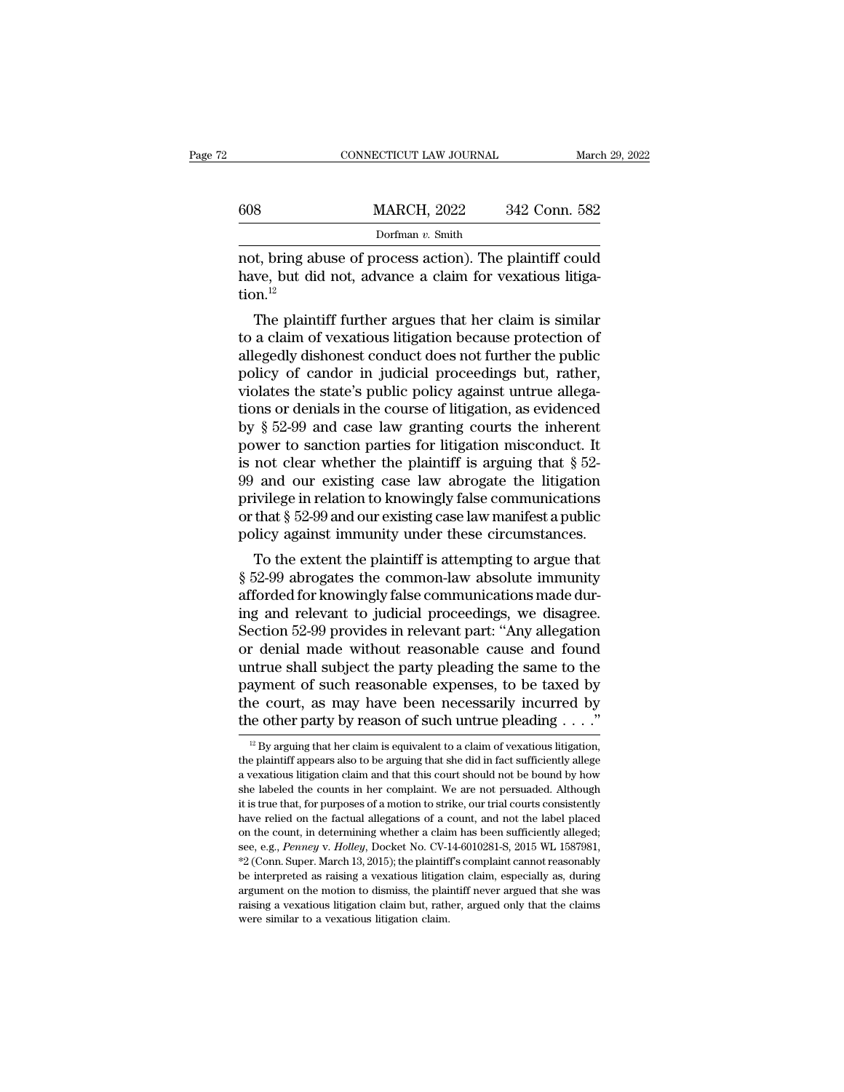|     | CONNECTICUT LAW JOURNAL |               | March 29, 2022 |
|-----|-------------------------|---------------|----------------|
|     |                         |               |                |
| 608 | <b>MARCH, 2022</b>      | 342 Conn. 582 |                |
|     | Dorfman v. Smith        |               |                |

not, bring abuse of process action). The plaintiff could 608 MARCH, 2022 342 Conn. 582<br>Dorfman v. Smith<br>not, bring abuse of process action). The plaintiff could<br>have, but did not, advance a claim for vexatious litiga-<br>tion.<sup>12</sup> tion.<sup>12</sup> MARCH, 2022 342 Conn. 582<br>
Dorfman v. Smith<br>
t, bring abuse of process action). The plaintiff could<br>
we, but did not, advance a claim for vexatious litiga-<br>
n.<sup>12</sup><br>
The plaintiff further argues that her claim is similar<br>

Dorfman  $v$ . Smith<br>
not, bring abuse of process action). The plaintiff could<br>
have, but did not, advance a claim for vexatious litiga-<br>
tion.<sup>12</sup><br>
The plaintiff further argues that her claim is similar<br>
to a claim of vexa not, bring abuse of process action). The plaintiff could<br>have, but did not, advance a claim for vexatious litiga-<br>tion.<sup>12</sup><br>The plaintiff further argues that her claim is similar<br>to a claim of vexatious litigation because mot, bring abuse of process action). The plaintiff could<br>have, but did not, advance a claim for vexatious litiga-<br>tion.<sup>12</sup><br>The plaintiff further argues that her claim is similar<br>to a claim of vexatious litigation because raive, but did not, advance a claim for vexatious higation.<sup>12</sup><br>The plaintiff further argues that her claim is similar<br>to a claim of vexatious litigation because protection of<br>allegedly dishonest conduct does not further The plaintiff further argues that her claim is similar<br>to a claim of vexatious litigation because protection of<br>allegedly dishonest conduct does not further the public<br>policy of candor in judicial proceedings but, rather, The plaintiff further argues that her claim is similar<br>to a claim of vexatious litigation because protection of<br>allegedly dishonest conduct does not further the public<br>policy of candor in judicial proceedings but, rather, to a claim of vexatious litigation because protection of allegedly dishonest conduct does not further the public policy of candor in judicial proceedings but, rather, violates the state's public policy against untrue alle allegedly dishonest conduct does not further the public<br>policy of candor in judicial proceedings but, rather,<br>violates the state's public policy against untrue allega-<br>tions or denials in the course of litigation, as evide policy of candor in judicial proceedings but, rather,<br>violates the state's public policy against untrue allega-<br>tions or denials in the course of litigation, as evidenced<br>by  $\S 52-99$  and case law granting courts the inhe violates the state's public policy against untrue allegations or denials in the course of litigation, as evidenced<br>by  $\S$  52-99 and case law granting courts the inherent<br>power to sanction parties for litigation misconduct tions or denials in the course of litigation, as evidenced<br>by  $\S$  52-99 and case law granting courts the inherent<br>power to sanction parties for litigation misconduct. It<br>is not clear whether the plaintiff is arguing that by  $\S$  52-99 and case law granting courts the inherent<br>power to sanction parties for litigation misconduct. It<br>is not clear whether the plaintiff is arguing that  $\S$  52-<br>99 and our existing case law abrogate the litigatio wer to sanction parties for infigation inisconduct. It<br>not clear whether the plaintiff is arguing that  $\S$  52-<br>and our existing case law abrogate the litigation<br>ivilege in relation to knowingly false communications<br>that Is not clear whether the plaintiff is arguing that  $\S$  52-99 and our existing case law abrogate the litigation<br>privilege in relation to knowingly false communications<br>or that  $\S$  52-99 and our existing case law manifest a

by and our existing case faw abrogate the migation<br>privilege in relation to knowingly false communications<br>or that  $\S$  52-99 and our existing case law manifest a public<br>policy against immunity under these circumstances.<br>T privilege in relation to knowingly raise communications<br>or that § 52-99 and our existing case law manifest a public<br>policy against immunity under these circumstances.<br>To the extent the plaintiff is attempting to argue that or that y 52-99 and our existing case law mannest a public<br>policy against immunity under these circumstances.<br>To the extent the plaintiff is attempting to argue that<br> $\S 52-99$  abrogates the common-law absolute immunity<br>aff poncy against initiality under these circumstances.<br>To the extent the plaintiff is attempting to argue that<br>§ 52-99 abrogates the common-law absolute immunity<br>afforded for knowingly false communications made dur-<br>ing and r To the extent the plaintiff is attempting to argue that<br>§ 52-99 abrogates the common-law absolute immunity<br>afforded for knowingly false communications made dur-<br>ing and relevant to judicial proceedings, we disagree.<br>Sectio § 52-99 abrogates the common-law absolute immunity<br>afforded for knowingly false communications made dur-<br>ing and relevant to judicial proceedings, we disagree.<br>Section 52-99 provides in relevant part: "Any allegation<br>or de afforded for knowingly false communications made during and relevant to judicial proceedings, we disagree.<br>Section 52-99 provides in relevant part: "Any allegation or denial made without reasonable cause and found untrue ing and relevant to judicial proceedings, we disagree.<br>Section 52-99 provides in relevant part: "Any allegation<br>or denial made without reasonable cause and found<br>untrue shall subject the party pleading the same to the<br>pay ntrue shall subject the party pleading the same to the ayment of such reasonable expenses, to be taxed by the court, as may have been necessarily incurred by the other party by reason of such untrue pleading  $\dots$ ."<br><sup>12</sup> B payment of such reasonable expenses, to be taxed by<br>the court, as may have been necessarily incurred by<br>the other party by reason of such untrue pleading . . . ."<br> $B_{\text{B}}$  arguing that her claim is equivalent to a claim

the court, as may have been necessarily incurred by<br>the other party by reason of such untrue pleading  $\ldots$ ."<br><sup>12</sup> By arguing that her claim is equivalent to a claim of vexatious litigation,<br>the plaintiff appears also to The other party by reason of such untrue pleading  $\ldots$ ."<br>
<sup>12</sup> By arguing that her claim is equivalent to a claim of vexatious litigation,<br>
the plaintiff appears also to be arguing that she did in fact sufficiently alleg <sup>12</sup> By arguing that her claim is equivalent to a claim of vexatious litigation, the plaintiff appears also to be arguing that she did in fact sufficiently allege a vexatious litigation claim and that this court should no <sup>12</sup> By arguing that her claim is equivalent to a claim of vexatious litigation, the plaintiff appears also to be arguing that she did in fact sufficiently allege a vexatious litigation claim and that this court should no the plaintiff appears also to be arguing that she did in fact sufficiently allege a vexatious litigation claim and that this court should not be bound by how she labeled the counts in her complaint. We are not persuaded. A a vexatious litigation claim and that this court should not be bound by how<br>a vexatious litigation claim and that this court should not be bound by how<br>the labeled the counts in her complaint. We are not persuaded. Althoug <sup>2</sup> (Conn. Super. March 13, 2015); the plaintiff's complaint cannot reasonably be interpreted as raising a vexations in tegetial on the factual allegations of a count, and not the label placed on the count, in determining it is true that, for purposes of a motion to strike, our trial courts consistently have relied on the factual allegations of a count, and not the label placed on the count, in determining whether a claim has been sufficie it is true that, for purposes of a motion to strike, our trial courts consistently have relied on the factual allegations of a count, and not the label placed on the count, in determining whether a claim has been sufficie on the count, in determining whether a claim has been sufficiently alleged; see, e.g., Penney v. Holley, Docket No. CV-14-6010281-S, 2015 WL 1587981,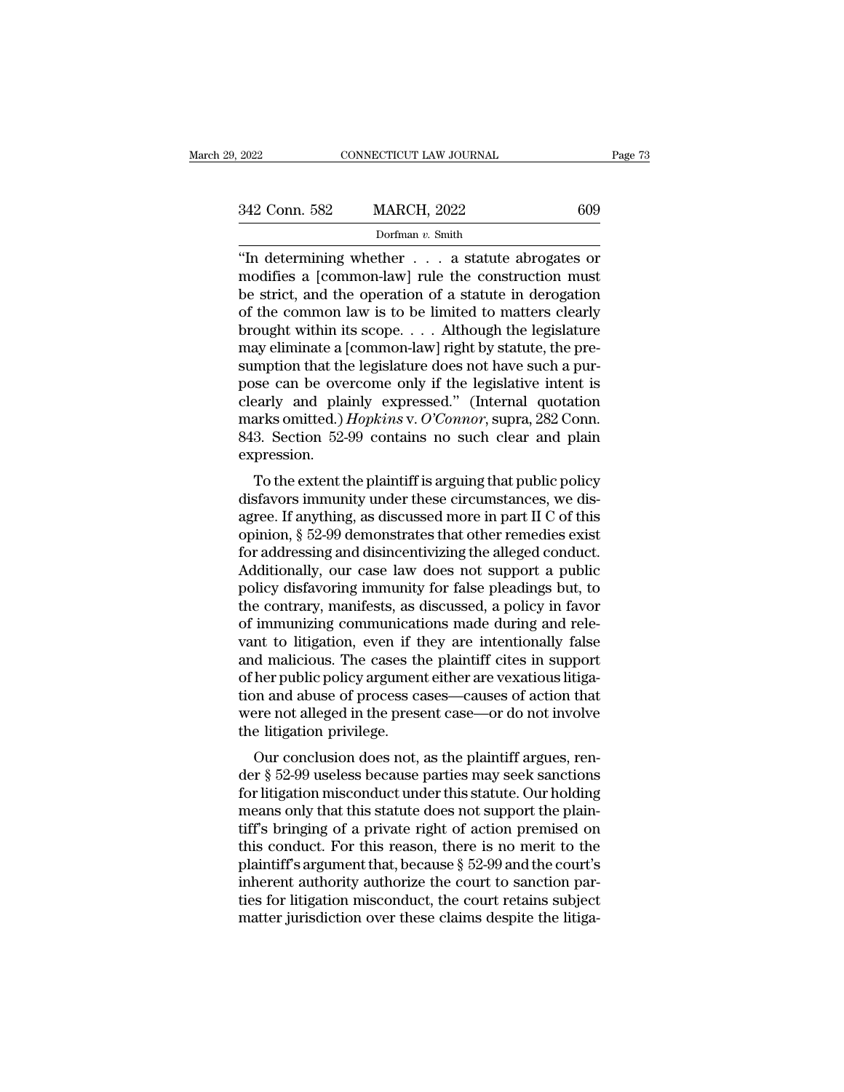| . 2022        | CONNECTICUT LAW JOURNAL | Page 73 |  |
|---------------|-------------------------|---------|--|
| 342 Conn. 582 | <b>MARCH, 2022</b>      | 609     |  |
|               | Dorfman $v$ . Smith     |         |  |

<sup>2022</sup> CONNECTICUT LAW JOURNAL Page 73<br>
342 Conn. 582 MARCH, 2022 609<br>
Dorfman v. Smith<br>
"In determining whether . . . a statute abrogates or<br>
modifies a [common-law] rule the construction must<br>
he strict and the exerction 342 Conn. 582 MARCH, 2022 609<br>
Dorfman v. Smith<br>
"In determining whether . . . a statute abrogates or<br>
modifies a [common-law] rule the construction must<br>
be strict, and the operation of a statute in derogation<br>
of the co 342 Conn. 582 MARCH, 2022 609<br>
Dorfman v. Smith<br>
"In determining whether . . . . a statute abrogates or<br>
modifies a [common-law] rule the construction must<br>
be strict, and the operation of a statute in derogation<br>
of the 342 Conn. 582 MARCH, 2022 609<br>
Dorfman v. Smith<br>
"In determining whether . . . a statute abrogates or<br>
modifies a [common-law] rule the construction must<br>
be strict, and the operation of a statute in derogation<br>
of the co borthan v. Smith<br>
"In determining whether . . . . a statute abrogates or<br>
modifies a [common-law] rule the construction must<br>
be strict, and the operation of a statute in derogation<br>
of the common law is to be limited to "In determining whether  $\dots$  a statute abrogates or modifies a [common-law] rule the construction must be strict, and the operation of a statute in derogation of the common law is to be limited to matters clearly brought "In determining whether  $\ldots$  a statute abrogates or modifies a [common-law] rule the construction must<br>be strict, and the operation of a statute in derogation<br>of the common law is to be limited to matters clearly<br>brought modifies a [common-law] rule the construction must<br>be strict, and the operation of a statute in derogation<br>of the common law is to be limited to matters clearly<br>brought within its scope.... Although the legislature<br>may el be strict, and the operation of a statute in derogation<br>of the common law is to be limited to matters clearly<br>brought within its scope.... Although the legislature<br>may eliminate a [common-law] right by statute, the pre-<br>s of the common law is to be limited to matters clearly<br>brought within its scope.... Although the legislature<br>may eliminate a [common-law] right by statute, the pre-<br>sumption that the legislature does not have such a pur-<br>po brought within its scope.... Although the legislature<br>may eliminate a [common-law] right by statute, the pre-<br>sumption that the legislature does not have such a pur-<br>pose can be overcome only if the legislative intent is<br>c expression. mption that the regislature does not have such a pur-<br>see can be overcome only if the legislative intent is<br>early and plainly expressed." (Internal quotation<br>arks omitted.) *Hopkins* v. O'Connor, supra, 282 Conn.<br>3. Secti pose can be overcome only if the regislative intent is<br>clearly and plainly expressed." (Internal quotation<br>marks omitted.) Hopkins v. O'Connor, supra, 282 Conn.<br>843. Section 52-99 contains no such clear and plain<br>expressio

clearly and plainly expressed. (internal quotation<br>marks omitted.) Hopkins v. O'Connor, supra, 282 Conn.<br>843. Section 52-99 contains no such clear and plain<br>expression.<br>To the extent the plaintiff is arguing that public po That is onlined.) *Hopkins* v. O Comor, supra, 282 Com.<br>843. Section 52-99 contains no such clear and plain<br>expression.<br>To the extent the plaintiff is arguing that public policy<br>disfavors immunity under these circumstance For a discussion.<br>To the extent the plaintiff is arguing that public policy<br>disfavors immunity under these circumstances, we dis-<br>agree. If anything, as discussed more in part II C of this<br>opinion, § 52-99 demonstrates tha expression.<br>
To the extent the plaintiff is arguing that public policy<br>
disfavors immunity under these circumstances, we dis-<br>
agree. If anything, as discussed more in part II C of this<br>
opinion, § 52-99 demonstrates that To the extent the plaintiff is arguing that public policy<br>disfavors immunity under these circumstances, we dis-<br>agree. If anything, as discussed more in part II C of this<br>opinion, § 52-99 demonstrates that other remedies e disfavors immunity under these circumstances, we disagree. If anything, as discussed more in part II C of this<br>opinion, § 52-99 demonstrates that other remedies exist<br>for addressing and disincentivizing the alleged conduct agree. If anything, as discussed more in part II C of this<br>opinion, § 52-99 demonstrates that other remedies exist<br>for addressing and disincentivizing the alleged conduct.<br>Additionally, our case law does not support a publ opinion, § 52-99 demonstrates that other remedies exist<br>for addressing and disincentivizing the alleged conduct.<br>Additionally, our case law does not support a public<br>policy disfavoring immunity for false pleadings but, to<br> for addressing and disincentivizing the alleged conduct.<br>Additionally, our case law does not support a public<br>policy disfavoring immunity for false pleadings but, to<br>the contrary, manifests, as discussed, a policy in favor Additionally, our case law does not support a public<br>policy disfavoring immunity for false pleadings but, to<br>the contrary, manifests, as discussed, a policy in favor<br>of immunizing communications made during and rele-<br>vant policy disfavoring immunity for false pleadings but, to<br>the contrary, manifests, as discussed, a policy in favor<br>of immunizing communications made during and rele-<br>vant to litigation, even if they are intentionally false<br>a the contrary, manifests, as discussed, a policy in favor<br>of immunizing communications made during and rele-<br>vant to litigation, even if they are intentionally false<br>and malicious. The cases the plaintiff cites in support<br>o of immunizing communicativant to litigation, even if the and malicious. The cases the of her public policy argumention and abuse of process can<br>were not alleged in the prese the litigation privilege.<br>Our conclusion does no In the magazion, even if they are intentionally raised malicious. The cases the plaintiff cites in support her public policy argument either are vexatious litigation and abuse of process cases—causes of action that are not and mancious. The cases the plaintin cites in support<br>of her public policy argument either are vexatious litiga-<br>tion and abuse of process cases—causes of action that<br>were not alleged in the present case—or do not involve<br>

of her public policy argument entier are vexatious higation and abuse of process cases—causes of action that<br>were not alleged in the present case—or do not involve<br>the litigation privilege.<br>Our conclusion does not, as the from and abuse of process cases—causes of action that<br>were not alleged in the present case—or do not involve<br>the litigation privilege.<br>Our conclusion does not, as the plaintiff argues, ren-<br>der § 52-99 useless because part were not aneged in the present case—or do not involve<br>the litigation privilege.<br>Our conclusion does not, as the plaintiff argues, ren-<br>der  $\S 52-99$  useless because parties may seek sanctions<br>for litigation misconduct und The migation privilege.<br>
Our conclusion does not, as the plaintiff argues, render  $\S$  52-99 useless because parties may seek sanctions<br>
for litigation misconduct under this statute. Our holding<br>
means only that this statu Our conclusion does not, as the plaintiff argues, render  $\S$  52-99 useless because parties may seek sanctions<br>for litigation misconduct under this statute. Our holding<br>means only that this statute does not support the pla der § 52-99 useless because parties may seek sanctions<br>for litigation misconduct under this statute. Our holding<br>means only that this statute does not support the plain-<br>tiff's bringing of a private right of action premise for litigation misconduct under this statute. Our holding<br>means only that this statute does not support the plain-<br>tiff's bringing of a private right of action premised on<br>this conduct. For this reason, there is no merit t means only that this statute does not support the plaintiff's bringing of a private right of action premised on this conduct. For this reason, there is no merit to the plaintiff's argument that, because § 52-99 and the cou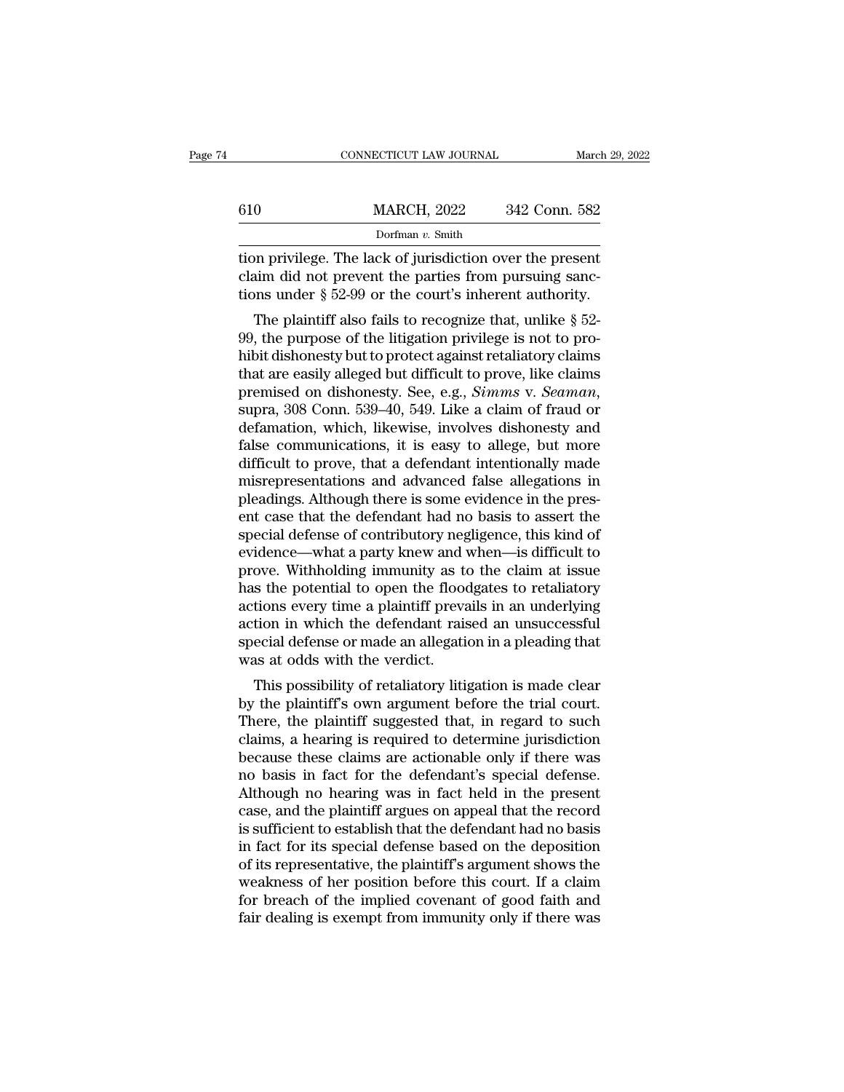|     | CONNECTICUT LAW JOURNAL                                                                                                                                                     | March 29, 2022 |
|-----|-----------------------------------------------------------------------------------------------------------------------------------------------------------------------------|----------------|
| 610 | <b>MARCH, 2022</b>                                                                                                                                                          | 342 Conn. 582  |
|     | Dorfman $v$ . Smith                                                                                                                                                         |                |
|     | tion privilege. The lack of jurisdiction over the present<br>claim did not prevent the parties from pursuing sanc-<br>tions under \$50.00 or the court's inherent outhority |                |

610 MARCH, 2022 342 Conn. 582<br>
Dorfman v. Smith<br>
tion privilege. The lack of jurisdiction over the present<br>
claim did not prevent the parties from pursuing sanc-<br>
tions under  $\S 52-99$  or the court's inherent authority. 610 MARCH, 2022 342 Conn. 582<br>Dorfman v. Smith<br>tion privilege. The lack of jurisdiction over the present<br>claim did not prevent the parties from pursuing sanc-<br>tions under § 52-99 or the court's inherent authority.<br>The pla  $\frac{1}{\text{Dorfman } v \cdot \text{Smith}}$ <br>
Dorfman  $v \cdot \text{Smith}}$ <br>
Dorfman  $v \cdot \text{Smith}}$ <br>
Dorfman  $v \cdot \text{Smith}}$ <br>
Dorfman  $v \cdot \text{Smith}}$ <br>
and privilege. The lack of jurisdiction over the present<br>
also fails to recognize that, unlike § 52-<br>
The plaintiff a

 $\frac{1}{2}$  borfman v. Smith<br>tion privilege. The lack of jurisdiction over the present<br>claim did not prevent the parties from pursuing sanc-<br>tions under § 52-99 or the court's inherent authority.<br>The plaintiff also fails to tion privilege. The lack of jurisdiction over the present<br>claim did not prevent the parties from pursuing sanc-<br>tions under  $\S 52-99$  or the court's inherent authority.<br>The plaintiff also fails to recognize that, unlike tion privilege. The lack of Jurisuction over the present<br>claim did not prevent the parties from pursuing sanc-<br>tions under § 52-99 or the court's inherent authority.<br>The plaintiff also fails to recognize that, unlike § 52 premised on dishonesty. See, e.g., *Simms* v. *Seaman*, suppremised on dishonesty but to protect against retaliatory claims that are easily alleged but difficult to prove, like claims premised on dishonesty. See, e.g., *Si* The plaintiff also fails to recognize that, unlike  $\S$  52-<br>99, the purpose of the litigation privilege is not to pro-<br>hibit dishonesty but to protect against retaliatory claims<br>that are easily alleged but difficult to pro 99, the purpose of the litigation privilege is not to pro-<br>hibit dishonesty but to protect against retaliatory claims<br>that are easily alleged but difficult to prove, like claims<br>premised on dishonesty. See, e.g., *Simms* hibit dishonesty but to protect against retaliatory claims<br>that are easily alleged but difficult to prove, like claims<br>premised on dishonesty. See, e.g., *Simms* v. *Seaman*,<br>supra, 308 Conn. 539–40, 549. Like a claim of f that are easily alleged but difficult to prove, like claims<br>premised on dishonesty. See, e.g., *Simms v. Seaman*,<br>supra, 308 Conn. 539–40, 549. Like a claim of fraud or<br>defamation, which, likewise, involves dishonesty and<br> premised on dishonesty. See, e.g., *Simms v. Seaman*, supra, 308 Conn. 539–40, 549. Like a claim of fraud or defamation, which, likewise, involves dishonesty and false communications, it is easy to allege, but more difficu supra, 308 Conn. 539–40, 549. Like a claim of fraud or<br>defamation, which, likewise, involves dishonesty and<br>false communications, it is easy to allege, but more<br>difficult to prove, that a defendant intentionally made<br>misre defamation, which, likewise, involves dishonesty and<br>false communications, it is easy to allege, but more<br>difficult to prove, that a defendant intentionally made<br>misrepresentations and advanced false allegations in<br>pleadin false communications, it is easy to allege, but more<br>difficult to prove, that a defendant intentionally made<br>misrepresentations and advanced false allegations in<br>pleadings. Although there is some evidence in the pres-<br>ent difficult to prove, that a defendant intentionally made<br>misrepresentations and advanced false allegations in<br>pleadings. Although there is some evidence in the pres-<br>ent case that the defendant had no basis to assert the<br>sp misrepresentations and advanced false allegations in<br>pleadings. Although there is some evidence in the pres-<br>ent case that the defendant had no basis to assert the<br>special defense of contributory negligence, this kind of<br>e pleadings. Although there is some evidence in the present case that the defendant had no basis to assert the special defense of contributory negligence, this kind of evidence—what a party knew and when—is difficult to prov ent case that the defendant had no basis to assert the<br>special defense of contributory negligence, this kind of<br>evidence—what a party knew and when—is difficult to<br>prove. Withholding immunity as to the claim at issue<br>has t special defense of contributory negligence, this kind of<br>evidence—what a party knew and when—is difficult to<br>prove. Withholding immunity as to the claim at issue<br>has the potential to open the floodgates to retaliatory<br>acti evidence—what a party knew and v<br>prove. Withholding immunity as to<br>has the potential to open the flood<br>actions every time a plaintiff preva<br>action in which the defendant rais<br>special defense or made an allegati<br>was at odds by the potential to open the floodgates to retaliatory<br>s the potential to open the floodgates to retaliatory<br>tions every time a plaintiff prevails in an underlying<br>tion in which the defendant raised an unsuccessful<br>ecial d has the potential to open the hootgates to retanatory<br>actions every time a plaintiff prevails in an underlying<br>action in which the defendant raised an unsuccessful<br>special defense or made an allegation in a pleading that<br>w

actions every time a plaintiff prevails in an underlying<br>action in which the defendant raised an unsuccessful<br>special defense or made an allegation in a pleading that<br>was at odds with the verdict.<br>This possibility of retal action in which the defendant raised an differencessful<br>special defense or made an allegation in a pleading that<br>was at odds with the verdict.<br>This possibility of retaliatory litigation is made clear<br>by the plaintiff's own special defense of made an anegation in a preading that<br>was at odds with the verdict.<br>This possibility of retaliatory litigation is made clear<br>by the plaintiff's own argument before the trial court.<br>There, the plaintiff su was at oldes with the verdict.<br>
This possibility of retaliatory litigation is made clear<br>
by the plaintiff's own argument before the trial court.<br>
There, the plaintiff suggested that, in regard to such<br>
claims, a hearing i This possibility of retaliatory litigation is made clear<br>by the plaintiff's own argument before the trial court.<br>There, the plaintiff suggested that, in regard to such<br>claims, a hearing is required to determine jurisdictio by the plaintiff's own argument before the trial court.<br>There, the plaintiff suggested that, in regard to such<br>claims, a hearing is required to determine jurisdiction<br>because these claims are actionable only if there was<br>n There, the plaintiff suggested that, in regard to such claims, a hearing is required to determine jurisdiction<br>because these claims are actionable only if there was<br>no basis in fact for the defendant's special defense.<br>Alt claims, a hearing is required to determine jurisdiction<br>because these claims are actionable only if there was<br>no basis in fact for the defendant's special defense.<br>Although no hearing was in fact held in the present<br>case, because these claims are actionable only if there was<br>no basis in fact for the defendant's special defense.<br>Although no hearing was in fact held in the present<br>case, and the plaintiff argues on appeal that the record<br>is su no basis in fact for the defendant's special defense.<br>Although no hearing was in fact held in the present<br>case, and the plaintiff argues on appeal that the record<br>is sufficient to establish that the defendant had no basis<br> Although no hearing was in fact held in the present<br>case, and the plaintiff argues on appeal that the record<br>is sufficient to establish that the defendant had no basis<br>in fact for its special defense based on the depositio case, and the plaintiff argues on appeal that the record<br>is sufficient to establish that the defendant had no basis<br>in fact for its special defense based on the deposition<br>of its representative, the plaintiff's argument sh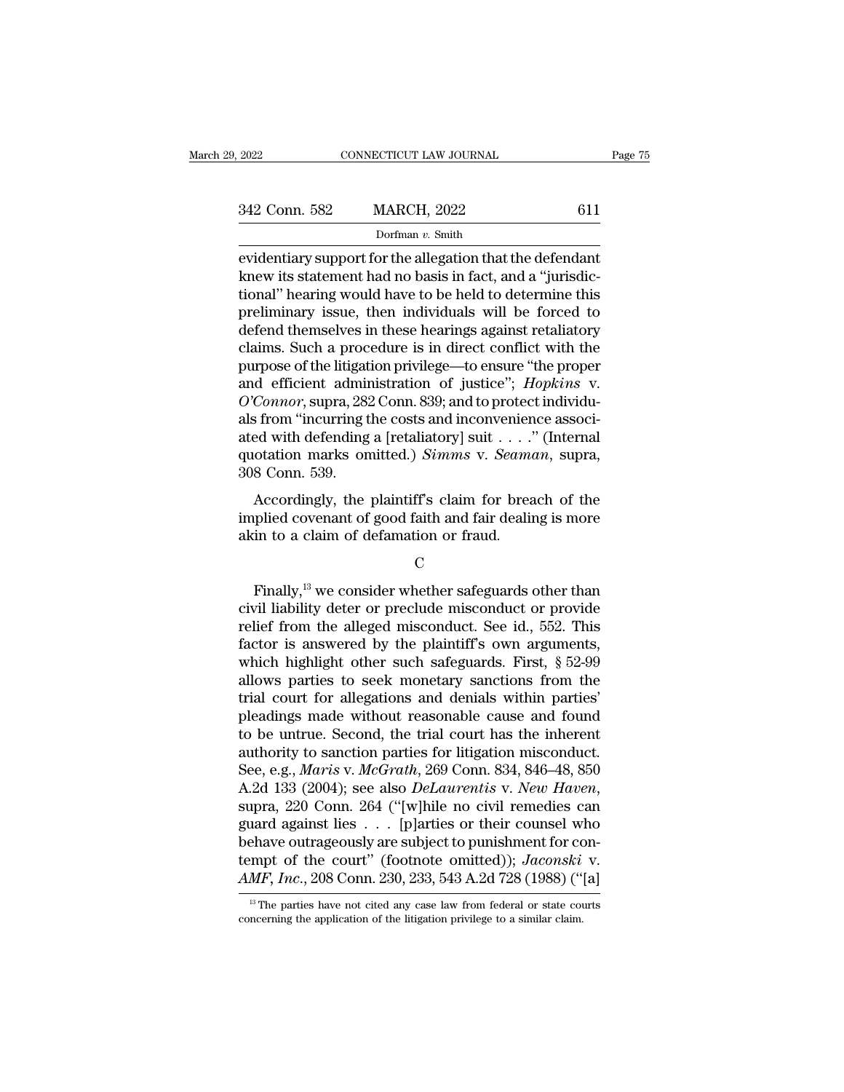| , 2022        | CONNECTICUT LAW JOURNAL | Page 75 |
|---------------|-------------------------|---------|
| 342 Conn. 582 | <b>MARCH, 2022</b>      | 611     |
|               | Dorfman v. Smith        |         |

evidentiary support for the allegation that the defendant<br>
evidentiary support for the allegation that the defendant<br>
knew its statement had no basis in fact, and a "jurisdic-<br>
tional" boring would have to be hold to deter 342 Conn. 582 MARCH, 2022 611<br>Dorfman v. Smith<br>evidentiary support for the allegation that the defendant<br>knew its statement had no basis in fact, and a "jurisdic-<br>tional" hearing would have to be held to determine this<br>pr 342 Conn. 582 MARCH, 2022 611<br>Dorfman v. Smith<br>evidentiary support for the allegation that the defendant<br>knew its statement had no basis in fact, and a "jurisdic-<br>tional" hearing would have to be held to determine this<br>pr 342 Conn. 582 MARCH, 2022 611<br>
Dorfman v. Smith<br>
evidentiary support for the allegation that the defendant<br>
knew its statement had no basis in fact, and a "jurisdic-<br>
tional" hearing would have to be held to determine thi Dorfman v. Smith<br>
evidentiary support for the allegation that the defendant<br>
knew its statement had no basis in fact, and a "jurisdic-<br>
tional" hearing would have to be held to determine this<br>
preliminary issue, then indi Dorman v. Smuth<br>evidentiary support for the allegation that the defendant<br>knew its statement had no basis in fact, and a "jurisdic-<br>tional" hearing would have to be held to determine this<br>preliminary issue, then individua evidentiary support for the allegation that the defendant<br>knew its statement had no basis in fact, and a "jurisdic-<br>tional" hearing would have to be held to determine this<br>preliminary issue, then individuals will be forced knew its statement had no basis in fact, and a "jurisdictional" hearing would have to be held to determine this preliminary issue, then individuals will be forced to defend themselves in these hearings against retaliatory tional" hearing would have to be held to determine this<br>preliminary issue, then individuals will be forced to<br>defend themselves in these hearings against retaliatory<br>claims. Such a procedure is in direct conflict with the<br> preliminary issue, then individuals will be forced to<br>defend themselves in these hearings against retaliatory<br>claims. Such a procedure is in direct conflict with the<br>purpose of the litigation privilege—to ensure "the prop defend themselves in these hearings against retaliatory<br>claims. Such a procedure is in direct conflict with the<br>purpose of the litigation privilege—to ensure "the proper<br>and efficient administration of justice"; *Hopkins* claims. Such a procedure is in direct conflict with the<br>purpose of the litigation privilege—to ensure "the proper<br>and efficient administration of justice"; *Hopkins* v.<br>O'Connor, supra, 282 Conn. 839; and to protect indivi purpose of the litigat<br>and efficient admin<br>O'Connor, supra, 282<br>als from "incurring t<br>ated with defending<br>quotation marks on<br>308 Conn. 539.<br>Accordingly, the Connor, supra, 282 Conn. 839; and to protect individu-<br>
s from "incurring the costs and inconvenience associ-<br>
ed with defending a [retaliatory] suit  $\ldots$ ." (Internal<br>
otation marks omitted.) Simms v. Seaman, supra,<br>
8 C  $\sigma$  comon, supra, 202 comit 000, and to protect individuals from "incurring the costs and inconvenience associated with defending a [retaliatory] suit . . . . " (Internal quotation marks omitted.) *Simms* v. *Seaman*, su ally a claim a claim of the defending a predition of a claim of defamation of the plaintiff's claim for bread inplied covenant of good faith and fair dealing a kin to a claim of defamation or fraud.

Accordingly, the plaintiff's claim for breach of the<br>plied covenant of good faith and fair dealing is more<br>in to a claim of defamation or fraud.<br>C<br>Finally,<sup>13</sup> we consider whether safeguards other than<br>vil liability deter

## C<sub>c</sub>

Accordingly, the plaintiff's claim for breach of the<br>implied covenant of good faith and fair dealing is more<br>akin to a claim of defamation or fraud.<br> $C$ <br>Finally,<sup>13</sup> we consider whether safeguards other than<br>civil liabili implied covenant of good faith and fair dealing is more<br>akin to a claim of defamation or fraud.<br> $C$ <br>Finally,<sup>13</sup> we consider whether safeguards other than<br>civil liability deter or preclude misconduct or provide<br>relief fro akin to a claim of defamation or fraud.<br>
C<br>
Finally,<sup>13</sup> we consider whether safeguards other than<br>
civil liability deter or preclude misconduct or provide<br>
relief from the alleged misconduct. See id., 552. This<br>
factor i C<br>
Finally,<sup>13</sup> we consider whether safeguards other than<br>
civil liability deter or preclude misconduct or provide<br>
relief from the alleged misconduct. See id., 552. This<br>
factor is answered by the plaintiff's own argumen Finally,<sup>13</sup> we consider whether safeguards other than civil liability deter or preclude misconduct or provide relief from the alleged misconduct. See id., 552. This factor is answered by the plaintiff's own arguments, wh Finally,<sup>13</sup> we consider whether safeguards other than<br>civil liability deter or preclude misconduct or provide<br>relief from the alleged misconduct. See id., 552. This<br>factor is answered by the plaintiff's own arguments,<br>wh civil liability deter or preclude misconduct or provide<br>relief from the alleged misconduct. See id., 552. This<br>factor is answered by the plaintiff's own arguments,<br>which highlight other such safeguards. First, § 52-99<br>allo relief from the alleged misconduct. See id., 552. This<br>factor is answered by the plaintiff's own arguments,<br>which highlight other such safeguards. First,  $\S$  52-99<br>allows parties to seek monetary sanctions from the<br>trial factor is answered by the plaintiff's own arguments,<br>which highlight other such safeguards. First,  $\S$  52-99<br>allows parties to seek monetary sanctions from the<br>trial court for allegations and denials within parties'<br>plead which highlight other such safeguards. First, § 52-99<br>allows parties to seek monetary sanctions from the<br>trial court for allegations and denials within parties'<br>pleadings made without reasonable cause and found<br>to be untru allows parties to seek monetary sanctions from the<br>trial court for allegations and denials within parties'<br>pleadings made without reasonable cause and found<br>to be untrue. Second, the trial court has the inherent<br>authority pleadings made without reasonable cause and found<br>to be untrue. Second, the trial court has the inherent<br>authority to sanction parties for litigation misconduct.<br>See, e.g., *Maris* v. *McGrath*, 269 Conn. 834, 846–48, 850<br> to be untrue. Second, the trial court has the inherent<br>authority to sanction parties for litigation misconduct.<br>See, e.g., *Maris v. McGrath*, 269 Conn. 834, 846–48, 850<br>A.2d 133 (2004); see also *DeLaurentis v. New Haven* authority to sanction parties for litigation misconduct.<br>See, e.g., *Maris v. McGrath*, 269 Conn. 834, 846–48, 850<br>A.2d 133 (2004); see also *DeLaurentis v. New Haven*,<br>supra, 220 Conn. 264 ("[w]hile no civil remedies can<br> See, e.g., *Maris v. McGrath*, 269 Conn. 834, 846–48, 850<br>A.2d 133 (2004); see also *DeLaurentis v. New Haven*,<br>supra, 220 Conn. 264 ("[w]hile no civil remedies can<br>guard against lies . . . [p]arties or their counsel who<br>b guard against lies . . . [p]arties or their counsel who<br>behave outrageously are subject to punishment for con-<br>tempt of the court" (footnote omitted)); Jaconski v.<br> $\Delta MF$ , Inc., 208 Conn. 230, 233, 543 A.2d 728 (1988) ("[a AMF, Inc., 208 Conn. 230, 233, 543 A.2d 728 (1988) ("[a]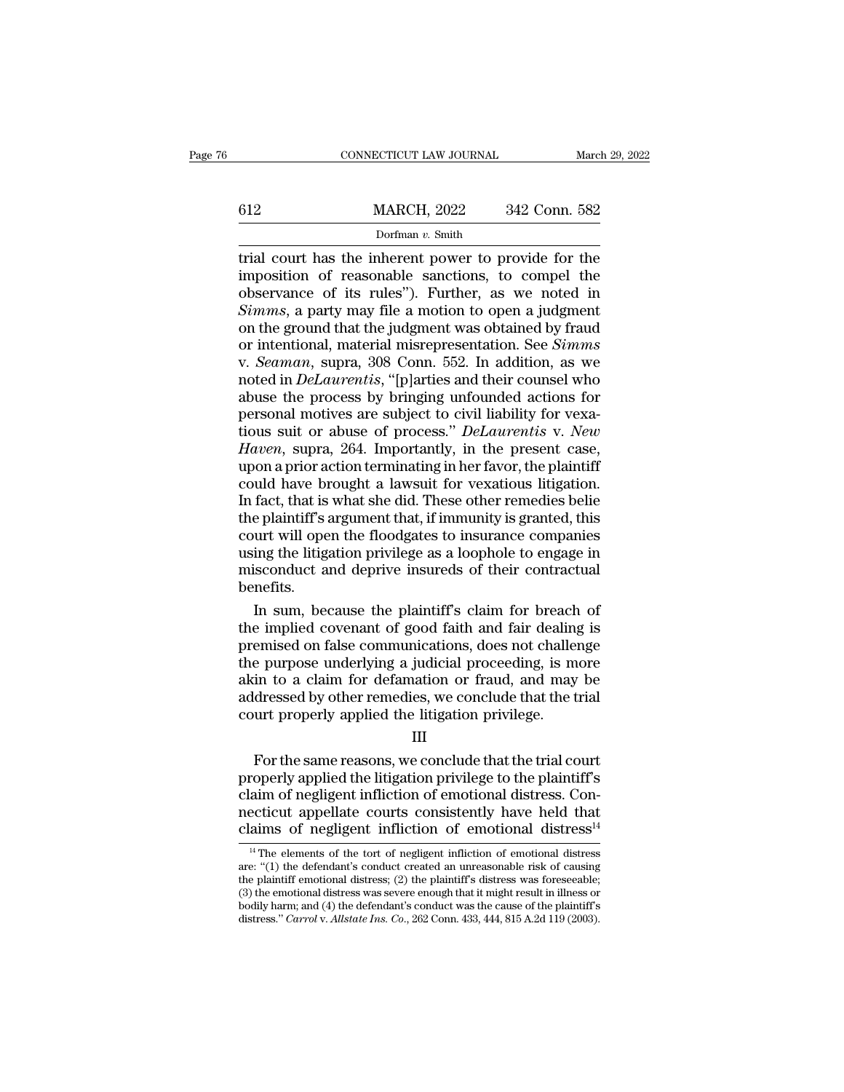## EXECUTE CONNECTICUT LAW JOURNAL March 29, 2022<br>
MARCH, 2022 342 Conn. 582<br>
Dorfman v. Smith Dorfman *v.* Smith

## CONNECTICUT LAW JOURNAL March 29, 2022<br> **EXECUTE A MARCH, 2022** 342 Conn. 582<br>
Dorfman v. Smith<br>
Trial court has the inherent power to provide for the<br>
imposition of reasonable sanctions, to compel the<br>
observance of its 612 MARCH, 2022 342 Conn. 582<br>
Dorfman v. Smith<br>
The smith<br>
The smith strip of reasonable sanctions, to compel the<br>
observance of its rules"). Further, as we noted in<br>
Simms a party may file a motion to open a judgment 612 MARCH, 2022 342 Conn. 582<br>
Dorfman v. Smith<br>
trial court has the inherent power to provide for the<br>
imposition of reasonable sanctions, to compel the<br>
observance of its rules''). Further, as we noted in<br>
Simms, a part *Simmax Smith*<br> *Simmax, Smith*<br> *Simmax, Smith*<br> *Simms*, a party may file a motion to open a judgment<br>
on the ground that the judgment was obtained by fraud<br>
or intentional material misronresentation. See *Simms*, Dorfman v. Smith<br>Dorfman v. Smith<br>Irial court has the inherent power to provide for the<br>imposition of reasonable sanctions, to compel the<br>observance of its rules"). Further, as we noted in<br>Simms, a party may file a motion borfman v. Smith<br>trial court has the inherent power to provide for the<br>imposition of reasonable sanctions, to compel the<br>observance of its rules"). Further, as we noted in<br>Simms, a party may file a motion to open a judgmen trial court has the inherent power to provide for the<br>imposition of reasonable sanctions, to compel the<br>observance of its rules"). Further, as we noted in<br>*Simms*, a party may file a motion to open a judgment<br>on the ground imposition of reasonable sanctions, to compel the<br>observance of its rules"). Further, as we noted in<br>*Simms*, a party may file a motion to open a judgment<br>on the ground that the judgment was obtained by fraud<br>or intentiona observance of its rules"). Further, as we noted in  $Simms$ , a party may file a motion to open a judgment on the ground that the judgment was obtained by fraud or intentional, material misrepresentation. See  $Simms$  v.  $Seaman$ , sup observance of its rules"). Further, as we noted in  $Simms$ , a party may file a motion to open a judgment on the ground that the judgment was obtained by fraud or intentional, material misrepresentation. See  $Simms$  v.  $Seaman$ , sup on the ground that the judgment was obtained by fraud<br>or intentional, material misrepresentation. See *Simms*<br>v. *Seaman*, supra, 308 Conn. 552. In addition, as we<br>noted in *DeLaurentis*, "[p]arties and their counsel who<br>a or intentional, material misrepresentation. See *Simms*<br>v. *Seaman*, supra, 308 Conn. 552. In addition, as we<br>noted in *DeLaurentis*, "[p]arties and their counsel who<br>abuse the process by bringing unfounded actions for<br>per v. *Seaman*, supra, 308 Conn. 552. In addition, as we noted in *DeLaurentis*, "[p]arties and their counsel who abuse the process by bringing unfounded actions for personal motives are subject to civil liability for vexatio noted in *DeLaurentis*, "[p]arties and their counsel who<br>abuse the process by bringing unfounded actions for<br>personal motives are subject to civil liability for vexa-<br>tious suit or abuse of process." *DeLaurentis* v. *New* abuse the process by bringing unfounded actions for<br>personal motives are subject to civil liability for vexa-<br>tious suit or abuse of process." *DeLaurentis* v. *New*<br>*Haven*, supra, 264. Importantly, in the present case,<br>u personal motives are subject to civil liability for vexatious suit or abuse of process." *DeLaurentis* v. *New*<br>*Haven*, supra, 264. Importantly, in the present case,<br>upon a prior action terminating in her favor, the plain tious suit or abuse of process." *DeLaurentis* v. *New*<br>*Haven*, supra, 264. Importantly, in the present case,<br>upon a prior action terminating in her favor, the plaintiff<br>could have brought a lawsuit for vexatious litigati Haven, supra, 264. Importantly, in the present case,<br>upon a prior action terminating in her favor, the plaintiff<br>could have brought a lawsuit for vexatious litigation.<br>In fact, that is what she did. These other remedies be upon a prior action terminating in her favor, the plaintiff<br>could have brought a lawsuit for vexatious litigation.<br>In fact, that is what she did. These other remedies belie<br>the plaintiff's argument that, if immunity is gra benefits. fact, that is what she did. These other remedies belie<br>e plaintiff's argument that, if immunity is granted, this<br>urt will open the floodgates to insurance companies<br>ing the litigation privilege as a loophole to engage in<br>i the plaintiff's argument that, if immunity is granted, this<br>court will open the floodgates to insurance companies<br>using the litigation privilege as a loophole to engage in<br>misconduct and deprive insureds of their contractu

court will open the floodgates to insurance companies<br>using the litigation privilege as a loophole to engage in<br>misconduct and deprive insureds of their contractual<br>benefits.<br>In sum, because the plaintiff's claim for breac using the litigation privilege as a loophole to engage in<br>misconduct and deprive insureds of their contractual<br>benefits.<br>In sum, because the plaintiff's claim for breach of<br>the implied covenant of good faith and fair deali misconduct and deprive insureds of their contractual<br>benefits.<br>In sum, because the plaintiff's claim for breach of<br>the implied covenant of good faith and fair dealing is<br>premised on false communications, does not challenge benefits.<br>
In sum, because the plaintiff's claim for breach of<br>
the implied covenant of good faith and fair dealing is<br>
premised on false communications, does not challenge<br>
the purpose underlying a judicial proceeding, is In sum, because the plaintiff's claim for breach<br>the implied covenant of good faith and fair dealing<br>premised on false communications, does not challer<br>the purpose underlying a judicial proceeding, is m<br>akin to a claim fo Finised on fase communications, does not change<br>e purpose underlying a judicial proceeding, is more<br>in to a claim for defamation or fraud, and may be<br>dressed by other remedies, we conclude that the trial<br>urt properly appli

## III

referred to a claim for defamation or fraud, and may be addressed by other remedies, we conclude that the trial<br>court properly applied the litigation privilege.<br>III<br>For the same reasons, we conclude that the trial court<br>pr akin' to a claim for detaination of fraud, and may be<br>addressed by other remedies, we conclude that the trial<br>court properly applied the litigation privilege.<br>III<br>For the same reasons, we conclude that the trial court<br>prop addressed by other refilemes, we conclude that the trial<br>court properly applied the litigation privilege.<br>III<br>For the same reasons, we conclude that the trial court<br>properly applied the litigation privilege to the plaintif Example the magnitude interaction of emotional distress<br>For the same reasons, we conclude that the trial court<br>properly applied the litigation privilege to the plaintiff's<br>claim of negligent infliction of emotional distre roperly applied the litigation privilege to the plaintiff's<br>aim of negligent infliction of emotional distress. Con-<br>ecticut appellate courts consistently have held that<br>aims of negligent infliction of emotional distress<sup>1</sup> Faim of negligent infliction of emotional distress. Connecticut appellate courts consistently have held that<br>claims of negligent infliction of emotional distress<sup>14</sup><br><sup>14</sup> The elements of the tort of negligent infliction o

necticut appellate courts consistently have held that claims of negligent infliction of emotional distress<sup>14</sup><br><sup>14</sup> The elements of the tort of negligent infliction of emotional distress are: "(1) the defendant's conduct mecticut appellate courts consistently have held that<br>
claims of negligent infliction of emotional distress<sup>14</sup><br>
<sup>14</sup> The elements of the tort of negligent infliction of emotional distress<br>
are: "(1) the defendant's condu claims of negligent infliction of emotional distress<sup>14</sup><br><sup>14</sup> The elements of the tort of negligent infliction of emotional distress<br>are: "(1) the defendant's conduct created an unreasonable risk of causing<br>the plaintiff are: "(1) the defendant's conduct created an unreasonable risk of causing<br>the plaintiff emotional distress; (2) the plaintiff's distress was foreseeable;<br>(3) the emotional distress was severe enough that it might result in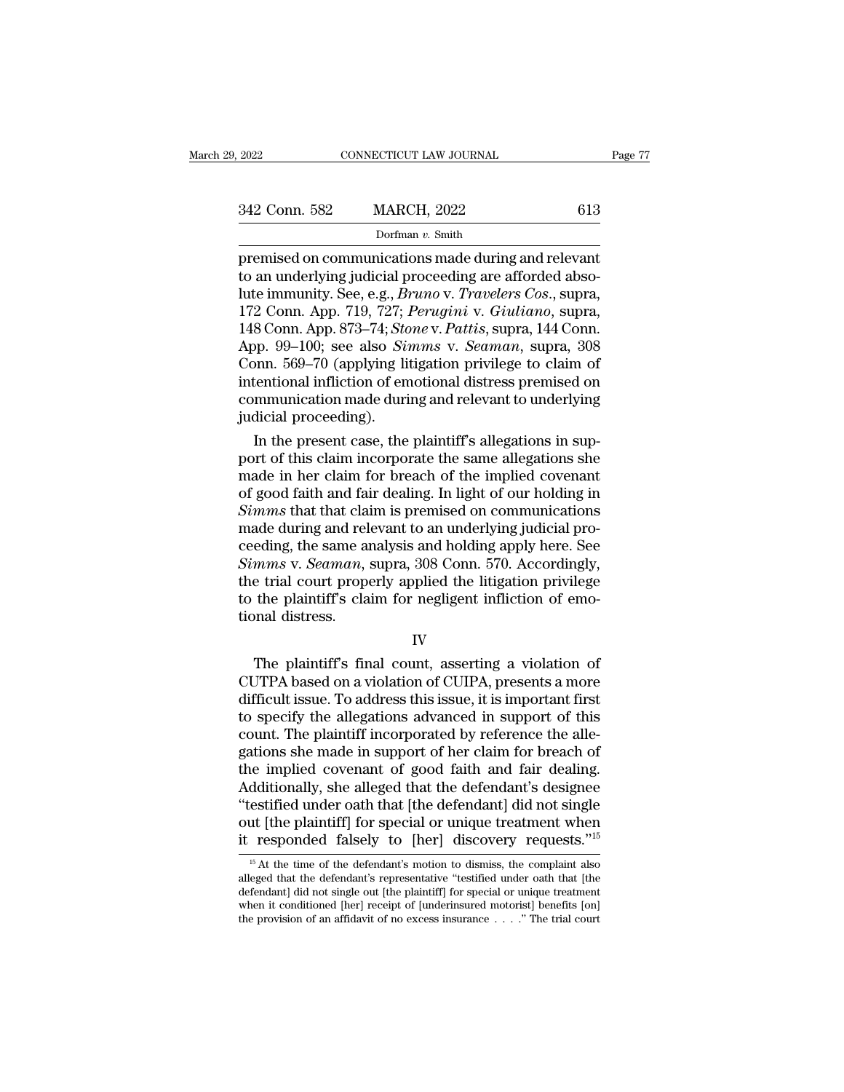Page 7<br>
Page 7<br>
2022 613<br>
Dorfman v. Smith<br>
premised on communications made during and relevant<br>
to an underlying judicial proceeding are afforded abso-<br>
and immunity Soo 0.9. *Bruno y Travelers Cos*, suppo 342 Conn. 582 MARCH, 2022 613<br>
Dorfman v. Smith<br>
premised on communications made during and relevant<br>
to an underlying judicial proceeding are afforded abso-<br>
lute immunity. See, e.g., *Bruno v. Travelers Cos.*, supra,<br>
17 142 Conn. 582 MARCH, 2022 613<br>
Dorfman v. Smith<br>
premised on communications made during and relevant<br>
to an underlying judicial proceeding are afforded abso-<br>
lute immunity. See, e.g., *Bruno* v. *Travelers Cos.*, supra,<br> 172 Conn. 582 MARCH, 2022 613<br>
Dorfman v. Smith<br>
premised on communications made during and relevant<br>
to an underlying judicial proceeding are afforded abso-<br>
lute immunity. See, e.g., *Bruno* v. *Travelers Cos.*, supra,<br> Dorfman v. Smith<br>
premised on communications made during and relevant<br>
to an underlying judicial proceeding are afforded abso-<br>
lute immunity. See, e.g., *Bruno* v. *Travelers Cos.*, supra,<br>
172 Conn. App. 719, 727; *Perug* Dorfman v. Smith<br>premised on communications made during and relevant<br>to an underlying judicial proceeding are afforded abso-<br>lute immunity. See, e.g., *Bruno v. Travelers Cos.*, supra,<br>172 Conn. App. 719, 727; *Perugini v.* premised on communications made during and relevant<br>to an underlying judicial proceeding are afforded abso-<br>lute immunity. See, e.g., *Bruno* v. *Travelers Cos.*, supra,<br>172 Conn. App. 719, 727; *Perugini* v. *Giuliano*, s to an underlying judicial proceeding are afforded abso-<br>lute immunity. See, e.g., *Bruno v. Travelers Cos.*, supra,<br>172 Conn. App. 719, 727; *Perugini v. Giuliano*, supra,<br>148 Conn. App. 873–74; *Stone v. Pattis*, supra, 1 lute immunity. See, e.g., *Bruno v. Travelers Cos.*, supra,<br>172 Conn. App. 719, 727; *Perugini v. Giuliano*, supra,<br>148 Conn. App. 873–74; *Stone v. Pattis*, supra, 144 Conn.<br>App. 99–100; see also *Simms v. Seaman*, supra, 172 Conn. App. 719, 727;<br>148 Conn. App. 873–74; *Sto*<br>App. 99–100; see also *Sti*<br>Conn. 569–70 (applying li<br>intentional infliction of em<br>communication made duri<br>judicial proceeding).<br>In the present case, the 8 Conn. App. 873–74; *Stone* v. *Pattus*, supra, 144 Conn.<br>pp. 99–100; see also *Simms* v. *Seaman*, supra, 308<br>pnn. 569–70 (applying litigation privilege to claim of<br>tentional infliction of emotional distress premised on<br> App. 99–100; see also *Simms* v. *Seaman*, supra, 308<br>Conn. 569–70 (applying litigation privilege to claim of<br>intentional infliction of emotional distress premised on<br>communication made during and relevant to underlying<br>ju

Conn. 569–70 (applying litigation privilege to claim of<br>intentional infliction of emotional distress premised on<br>communication made during and relevant to underlying<br>judicial proceeding).<br>In the present case, the plaintif intentional infliction of emotional distress premised on<br>communication made during and relevant to underlying<br>judicial proceeding).<br>In the present case, the plaintiff's allegations in sup-<br>port of this claim incorporate th communication made during and relevant to underlying<br>judicial proceeding).<br>In the present case, the plaintiff's allegations in sup-<br>port of this claim incorporate the same allegations she<br>made in her claim for breach of th judicial proceeding).<br>
In the present case, the plaintiff's allegations in sup-<br>
port of this claim incorporate the same allegations she<br>
made in her claim for breach of the implied covenant<br>
of good faith and fair dealing In the present case, the plaintiff's allegations in support of this claim incorporate the same allegations she<br>made in her claim for breach of the implied covenant<br>of good faith and fair dealing. In light of our holding in port of this claim incorporate the same allegations she<br>made in her claim for breach of the implied covenant<br>of good faith and fair dealing. In light of our holding in<br>*Simms* that that claim is premised on communications<br> made in her claim for breach of the implied covenant<br>of good faith and fair dealing. In light of our holding in<br>Simms that that claim is premised on communications<br>made during and relevant to an underlying judicial pro-<br>ce of good faith and fair dealing. In light of our holding in *Simms* that that claim is premised on communications made during and relevant to an underlying judicial proceeding, the same analysis and holding apply here. See Simms that that cla<br>made during and rel<br>ceeding, the same at<br>Simms v. Seaman,<br>the trial court prope<br>to the plaintiff's cla<br>tional distress. Eding, the stand analysis and holding apply here, see<br>
mms v. Seaman, supra, 308 Conn. 570. Accordingly,<br>
e trial court properly applied the litigation privilege<br>
the plaintiff's claim for negligent infliction of emo-<br>
nna

IV

Example of the trial court properly applied the litigation privilege<br>to the plaintiff's claim for negligent infliction of emo-<br>tional distress.<br>IV<br>The plaintiff's final count, asserting a violation of<br>CUTPA based on a viol different in the plaintiff's claim for negligent infliction of emotional distress.<br>
IV<br>
The plaintiff's final count, asserting a violation of<br>
CUTPA based on a violation of CUIPA, presents a more<br>
difficult issue. To addre IV<br>
The plaintiff's final count, asserting a violation of<br>
CUTPA based on a violation of CUIPA, presents a more<br>
difficult issue. To address this issue, it is important first<br>
to specify the allegations advanced in support IV<br>IV<br>The plaintiff's final count, asserting a violation of<br>CUTPA based on a violation of CUIPA, presents a more<br>difficult issue. To address this issue, it is important first<br>to specify the allegations advanced in support IV<br>The plaintiff's final count, asserting a violation of<br>CUTPA based on a violation of CUIPA, presents a more<br>difficult issue. To address this issue, it is important first<br>to specify the allegations advanced in support of The plaintiff's final count, asserting a violation of CUTPA based on a violation of CUIPA, presents a more difficult issue. To address this issue, it is important first to specify the allegations advanced in support of thi CUTPA based on a violation of CUIPA, presents a more<br>difficult issue. To address this issue, it is important first<br>to specify the allegations advanced in support of this<br>count. The plaintiff incorporated by reference the a difficult issue. To address this issue, it is important first<br>to specify the allegations advanced in support of this<br>count. The plaintiff incorporated by reference the alle-<br>gations she made in support of her claim for bre to specify the allegations advanced in support of this<br>count. The plaintiff incorporated by reference the alle-<br>gations she made in support of her claim for breach of<br>the implied covenant of good faith and fair dealing.<br>Ad count. The plaintiff incorporated by reference the allegations she made in support of her claim for breach of the implied covenant of good faith and fair dealing. Additionally, she alleged that the defendant's designee "t dditionally, she alleged that the defendant's designee<br>estified under oath that [the defendant] did not single<br>ut [the plaintiff] for special or unique treatment when<br>responded falsely to [her] discovery requests."<sup>15</sup><br><sup>15</sup> "testified under oath that [the defendant] did not single<br>out [the plaintiff] for special or unique treatment when<br>it responded falsely to [her] discovery requests."<sup>15</sup><br><sup>15</sup> At the time of the defendant's motion to dismis

out [the plaintiff] for special or unique treatment when<br>it responded falsely to [her] discovery requests."<sup>15</sup><br> $\frac{15}{15}$  At the time of the defendant's motion to dismiss, the complaint also<br>alleged that the defendant's but [the plaintiff] for special or unique treatment when<br>it responded falsely to [her] discovery requests."<sup>15</sup><br> $\frac{15}{15}$  At the time of the defendant's motion to dismiss, the complaint also<br>alleged that the defendant's <sup>15</sup> At the time of the defendant's motion to dismiss, the complaint also alleged that the defendant's representative "testified under oath that [the defendant] did not single out [the plaintiff] for special or unique tre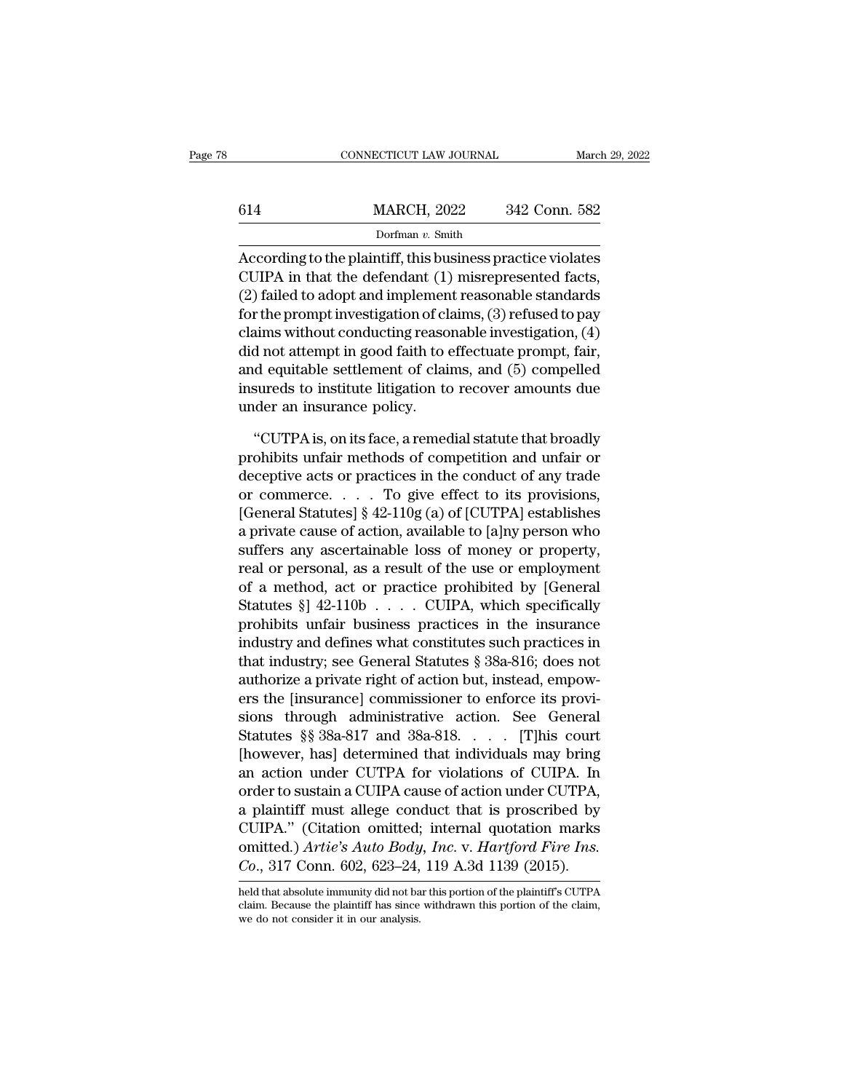|     | CONNECTICUT LAW JOURNAL |               | March 29, 2022 |
|-----|-------------------------|---------------|----------------|
|     |                         |               |                |
| 614 | <b>MARCH, 2022</b>      | 342 Conn. 582 |                |
|     | Dorfman v. Smith        |               |                |

 $\begin{array}{r|l} \text{CONRECTICUT LAW JOURNAL} & \text{March 29, 2022} \ \hline & \text{MARCH, 2022} & \text{342 Conn. } \text{582} \ \hline & \text{Dorfman } v. \text{ Smith} \ \hline \text{According to the plaintiff, this business practice violates CUIPA in that the defendant (1) misrepresented facts, (2) field to edant and implement necessarily at an charged.} \end{array}$ 614 MARCH, 2022 342 Conn. 582<br>Dorfman v. Smith<br>According to the plaintiff, this business practice violates<br>CUIPA in that the defendant (1) misrepresented facts,<br>(2) failed to adopt and implement reasonable standards<br>for t 614 MARCH, 2022 342 Conn. 582<br>
Dorfman v. Smith<br>
According to the plaintiff, this business practice violates<br>
CUIPA in that the defendant (1) misrepresented facts,<br>
(2) failed to adopt and implement reasonable standards<br> 614 MARCH, 2022 342 Conn. 582<br>
Dorfman v. Smith<br>
According to the plaintiff, this business practice violates<br>
CUIPA in that the defendant (1) misrepresented facts,<br>
(2) failed to adopt and implement reasonable standards<br> Dorfman v. Smith<br>
According to the plaintiff, this business practice violates<br>
CUIPA in that the defendant (1) misrepresented facts,<br>
(2) failed to adopt and implement reasonable standards<br>
for the prompt investigation of bondary, shall<br>discording to the plaintiff, this business practice violates<br>CUIPA in that the defendant (1) misrepresented facts,<br>(2) failed to adopt and implement reasonable standards<br>for the prompt investigation of claim According to the plaintiff, this business practice violates<br>CUIPA in that the defendant (1) misrepresented facts,<br>(2) failed to adopt and implement reasonable standards<br>for the prompt investigation of claims, (3) refused t CUIPA in that the defendant (1) misrepresented facts,<br>(2) failed to adopt and implement reasonable standards<br>for the prompt investigation of claims, (3) refused to pay<br>claims without conducting reasonable investigation, (4 (2) failed to adopt and implemen<br>for the prompt investigation of cl<br>claims without conducting reaso<br>did not attempt in good faith to  $\epsilon$ <br>and equitable settlement of clai<br>insureds to institute litigation to<br>under an insura Not impose that the settlement of claims, and (5) compelled<br>
and equitable settlement of claims, and (5) compelled<br>
sureds to institute litigation to recover amounts due<br>
der an insurance policy.<br>
"CUTPA is, on its face, a did not attempt in good faith to effectuate prompt, fair,<br>and equitable settlement of claims, and (5) compelled<br>insureds to institute litigation to recover amounts due<br>under an insurance policy.<br>"CUTPA is, on its face, a r

and equitable settlement of claims, and (5) compelled<br>insureds to institute litigation to recover amounts due<br>under an insurance policy.<br>"CUTPA is, on its face, a remedial statute that broadly<br>prohibits unfair methods of insureds to institute litigation to recover amounts due<br>under an insurance policy.<br>"CUTPA is, on its face, a remedial statute that broadly<br>prohibits unfair methods of competition and unfair or<br>deceptive acts or practices under an insurance policy.<br>
"CUTPA is, on its face, a remedial statute that broadly<br>
prohibits unfair methods of competition and unfair or<br>
deceptive acts or practices in the conduct of any trade<br>
or commerce. . . . To giv "CUTPA is, on its face, a remedial statute that broadly<br>prohibits unfair methods of competition and unfair or<br>deceptive acts or practices in the conduct of any trade<br>or commerce. . . . . To give effect to its provisions,<br> "CUTPA is, on its face, a remedial statute that broadly<br>prohibits unfair methods of competition and unfair or<br>deceptive acts or practices in the conduct of any trade<br>or commerce. . . . To give effect to its provisions,<br>[G prohibits unfair methods of competition and unfair or<br>deceptive acts or practices in the conduct of any trade<br>or commerce. . . . To give effect to its provisions,<br>[General Statutes] § 42-110g (a) of [CUTPA] establishes<br>a deceptive acts or practices in the conduct of any trade<br>or commerce. . . . To give effect to its provisions,<br>[General Statutes] § 42-110g (a) of [CUTPA] establishes<br>a private cause of action, available to [a]ny person who or commerce. . . . . To give effect to its provisions,<br>[General Statutes] § 42-110g (a) of [CUTPA] establishes<br>a private cause of action, available to [a]ny person who<br>suffers any ascertainable loss of money or property,<br>r [General Statutes] § 42-110g (a) of [CUTPA] establishes<br>a private cause of action, available to [a]ny person who<br>suffers any ascertainable loss of money or property,<br>real or personal, as a result of the use or employment<br> a private cause of action, available to [a]ny person who<br>suffers any ascertainable loss of money or property,<br>real or personal, as a result of the use or employment<br>of a method, act or practice prohibited by [General<br>Statu suffers any ascertainable loss of money or property,<br>real or personal, as a result of the use or employment<br>of a method, act or practice prohibited by [General<br>Statutes § 342-110b . . . . CUIPA, which specifically<br>prohibit real or personal, as a result of the use or employment<br>of a method, act or practice prohibited by [General<br>Statutes §] 42-110b . . . . CUIPA, which specifically<br>prohibits unfair business practices in the insurance<br>industry of a method, act or practice prohibited by [General<br>Statutes §] 42-110b . . . . CUIPA, which specifically<br>prohibits unfair business practices in the insurance<br>industry and defines what constitutes such practices in<br>that i Statutes §]  $42-110b$ .... CUIPA, which specifically<br>prohibits unfair business practices in the insurance<br>industry and defines what constitutes such practices in<br>that industry; see General Statutes § 38a-816; does not<br>auth prohibits unfair business practices in the insurance<br>industry and defines what constitutes such practices in<br>that industry; see General Statutes § 38a-816; does not<br>authorize a private right of action but, instead, empow-<br> industry and defines what constitutes such practices in<br>that industry; see General Statutes § 38a-816; does not<br>authorize a private right of action but, instead, empow-<br>ers the [insurance] commissioner to enforce its prov that industry; see General Statutes § 38a-816; does not<br>authorize a private right of action but, instead, empow-<br>ers the [insurance] commissioner to enforce its provi-<br>sions through administrative action. See General<br>Statu authorize a private right of action but, instead, empowers the [insurance] commissioner to enforce its provisions through administrative action. See General Statutes §§ 38a-817 and 38a-818. . . . [T]his court [however, has ers the [insurance] commissioner to enforce its provisions through administrative action. See General<br>Statutes §§ 38a-817 and 38a-818. . . . [T]his court<br>[however, has] determined that individuals may bring<br>an action unde sions through administrative action. See General<br>Statutes §§ 38a-817 and 38a-818. . . . [T]his court<br>[however, has] determined that individuals may bring<br>an action under CUTPA for violations of CUIPA. In<br>order to sustain Statutes §§ 38a-817 and 38a-818. . . . . [T]his court<br>[however, has] determined that individuals may bring<br>an action under CUTPA for violations of CUIPA. In<br>order to sustain a CUIPA cause of action under CUTPA,<br>a plaintiff [however, has] determined that individuals may bring<br>an action under CUTPA for violations of CUIPA. In<br>order to sustain a CUIPA cause of action under CUTPA,<br>a plaintiff must allege conduct that is proscribed by<br>CUIPA." (Ci a plaintiff must allege conduct that is proscribed by<br>CUIPA." (Citation omitted; internal quotation marks<br>omitted.) Artie's Auto Body, Inc. v. Hartford Fire Ins.<br>Co., 317 Conn. 602, 623–24, 119 A.3d 1139 (2015).<br>held that CUIPA." (Citation omitted; internal quotation marks<br>omitted.) Artie's Auto Body, Inc. v. Hartford Fire Ins.<br>Co., 317 Conn. 602, 623–24, 119 A.3d 1139 (2015).<br>held that absolute immunity did not bar this portion of the plai omitted.) Artie's Auto Body<br>Co., 317 Conn. 602, 623–24,<br>held that absolute immunity did not ba<br>claim. Because the plaintiff has since<br>we do not consider it in our analysis.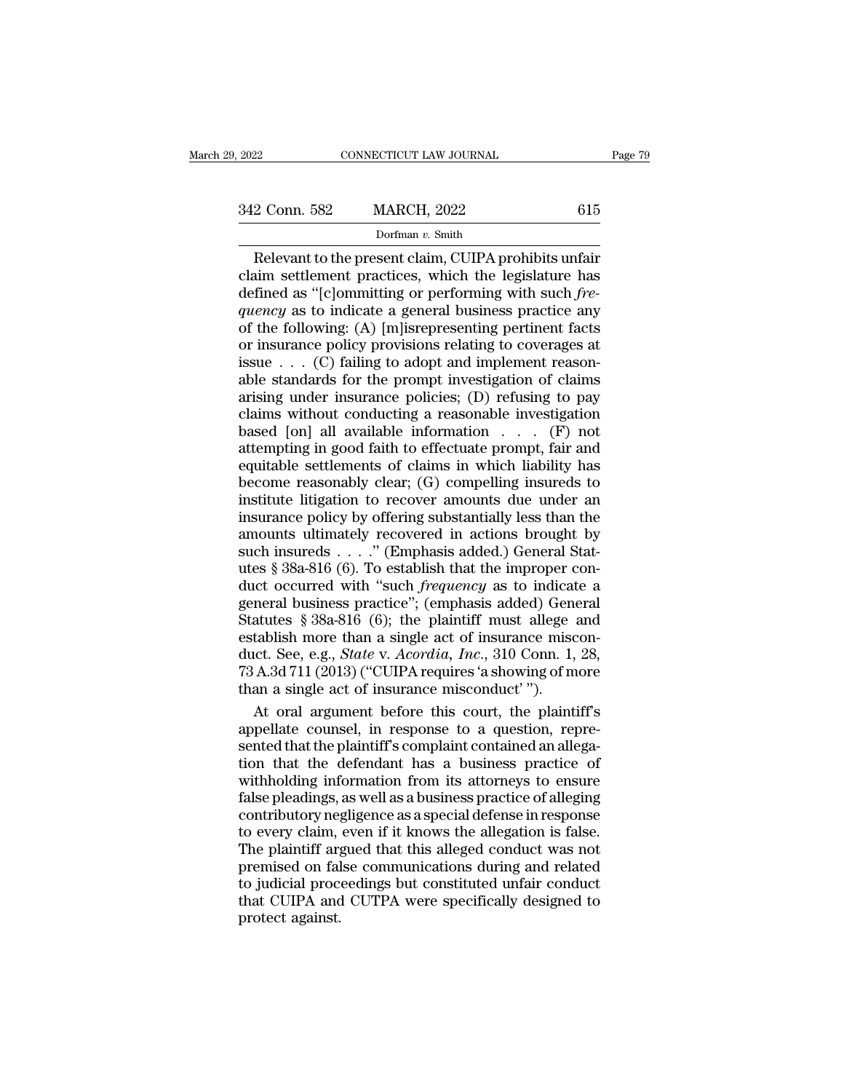$\begin{array}{r|l} \text{22} & \text{COMNETICUT LAW JOURNAL} & \text{Page 79} \ \text{2} & \text{Conn. } 582 & \text{MARCH, } 2022 & 615 \ \text{Dorfman } v. \text{ Smith} & \text{Relevant to the present claim, CUIPA prohibits unfair} \ \text{aim settlement practices, which the legislative has final as "fclommitting or performing with such free.} \end{array}$ 342 Conn. 582 MARCH, 2022 615<br>Dorfman v. Smith<br>Relevant to the present claim, CUIPA prohibits unfair<br>claim settlement practices, which the legislature has<br>defined as "[c]ommitting or performing with such *fre-*<br>quency as 342 Conn. 582 MARCH, 2022 615<br>
Dorfman v. Smith<br>
Relevant to the present claim, CUIPA prohibits unfair<br>
claim settlement practices, which the legislature has<br>
defined as "[c]ommitting or performing with such *fre-*<br> *quen* **and S42 Conn. 582 MARCH, 2022** 615<br> **borfman v. Smith**<br> **Relevant to the present claim, CUIPA prohibits unfair**<br>
claim settlement practices, which the legislature has<br>
defined as "[c]ommitting or performing with such *f* **SECORT:** 502 **MARCH**, 5022 **CORT**<br>
Dorfman v. Smith<br>
Relevant to the present claim, CUIPA prohibits unfair<br>
claim settlement practices, which the legislature has<br>
defined as "[c]ommitting or performing with such *fre-*<br> Dorfman v. Smith<br>
Relevant to the present claim, CUIPA prohibits unfair<br>
claim settlement practices, which the legislature has<br>
defined as "[c]ommitting or performing with such *fre-*<br> *quency* as to indicate a general bu Relevant to the present claim, CUIPA prohibits unfair<br>claim settlement practices, which the legislature has<br>defined as "[c]ommitting or performing with such fre-<br>quency as to indicate a general business practice any<br>of th claim settlement practices, which the legislature has<br>defined as "[c]ommitting or performing with such *fre-*<br>quency as to indicate a general business practice any<br>of the following: (A) [m]isrepresenting pertinent facts<br>o defined as "[c]ommitting or performing with such *frequency* as to indicate a general business practice any<br>of the following: (A) [m]isrepresenting pertinent facts<br>or insurance policy provisions relating to coverages at<br>i quency as to indicate a general business practice any<br>of the following: (A) [m]isrepresenting pertinent facts<br>or insurance policy provisions relating to coverages at<br>issue . . . (C) failing to adopt and implement reason-<br> of the following: (A) [m]<br>isrepresenting pertinent facts or insurance policy provisions relating to coverages at<br>issue . . . (C) failing to adopt and implement reason-<br>able standards for the prompt investigation of claims or insurance policy provisions relating to coverages at<br>issue  $\dots$  (C) failing to adopt and implement reason-<br>able standards for the prompt investigation of claims<br>arising under insurance policies; (D) refusing to pay<br>cla issue . . . (C) failing to adopt and implement reason-<br>able standards for the prompt investigation of claims<br>arising under insurance policies; (D) refusing to pay<br>claims without conducting a reasonable investigation<br>based able standards for the prompt investigation of claims<br>arising under insurance policies; (D) refusing to pay<br>claims without conducting a reasonable investigation<br>based [on] all available information  $\dots$  (F) not<br>attempting arising under insurance policies; (D) refusing to pay<br>claims without conducting a reasonable investigation<br>based [on] all available information  $\dots$  (F) not<br>attempting in good faith to effectuate prompt, fair and<br>equitabl claims without conducting a reasonable investigation<br>based [on] all available information  $\dots$  (F) not<br>attempting in good faith to effectuate prompt, fair and<br>equitable settlements of claims in which liability has<br>become based [on] all available information . . . . (F) not<br>attempting in good faith to effectuate prompt, fair and<br>equitable settlements of claims in which liability has<br>become reasonably clear; (G) compelling insureds to<br>insti attempting in good faith to effectuate prompt, fair and<br>equitable settlements of claims in which liability has<br>become reasonably clear; (G) compelling insureds to<br>institute litigation to recover amounts due under an<br>insur equitable settlements of claims in which liability has<br>become reasonably clear; (G) compelling insureds to<br>institute litigation to recover amounts due under an<br>insurance policy by offering substantially less than the<br>amou become reasonably clear; (G) compelling insureds to<br>institute litigation to recover amounts due under an<br>insurance policy by offering substantially less than the<br>amounts ultimately recovered in actions brought by<br>such insu institute litigation to recover amounts due under an<br>insurance policy by offering substantially less than the<br>amounts ultimately recovered in actions brought by<br>such insureds . . . ." (Emphasis added.) General Stat-<br>utes insurance policy by offering substantially less than the<br>amounts ultimately recovered in actions brought by<br>such insureds . . . ." (Emphasis added.) General Stat-<br>utes § 38a-816 (6). To establish that the improper con-<br>du amounts ultimately recovered in actions brought by<br>such insureds . . . ." (Emphasis added.) General Stat-<br>utes § 38a-816 (6). To establish that the improper con-<br>duct occurred with "such *frequency* as to indicate a<br>gener such insureds . . . ." (Emphasis added.) General Stat-<br>utes § 38a-816 (6). To establish that the improper con-<br>duct occurred with "such *frequency* as to indicate a<br>general business practice"; (emphasis added) General<br>Sta utes § 38a-816 (6). To establish that the improper con-<br>duct occurred with "such *frequency* as to indicate a<br>general business practice"; (emphasis added) General<br>Statutes § 38a-816 (6); the plaintiff must allege and<br>estab duct occurred with "such *frequency* as to indicat<br>general business practice"; (emphasis added) General business practice"; (emphasis added) General<br>Statutes § 38a-816 (6); the plaintiff must allege<br>establish more than a s neral business practice"; (emphasis added) General<br>atutes § 38a-816 (6); the plaintiff must allege and<br>tablish more than a single act of insurance miscon-<br>ict. See, e.g., *State* v. *Acordia*, *Inc.*, 310 Conn. 1, 28,<br>A.3 Statutes § 38a-816 (6); the plaintiff must allege and<br>establish more than a single act of insurance miscon-<br>duct. See, e.g., *State* v. *Acordia*, *Inc.*, 310 Conn. 1, 28,<br>73 A.3d 711 (2013) ("CUIPA requires 'a showing of

establish more than a single act of insurance misconduct. See, e.g., *State* v. *Acordia*, *Inc.*, 310 Conn. 1, 28, 73 A.3d 711 (2013) ("CUIPA requires 'a showing of more than a single act of insurance misconduct'").<br>At or duct. See, e.g., *State* v. *Acordia*, *Inc.*, 310 Conn. 1, 28, 73 A.3d 711 (2013) ("CUIPA requires 'a showing of more than a single act of insurance misconduct").<br>At oral argument before this court, the plaintiff's appell 73 A.3d 711 (2013) ("CUIPA requires 'a showing of more<br>than a single act of insurance misconduct'").<br>At oral argument before this court, the plaintiff's<br>appellate counsel, in response to a question, repre-<br>sented that the than a single act of insurance misconduct'").<br>At oral argument before this court, the plaintiff's<br>appellate counsel, in response to a question, repre-<br>sented that the plaintiff's complaint contained an allega-<br>tion that th At oral argument before this court, the plaintiff's<br>appellate counsel, in response to a question, repre-<br>sented that the plaintiff's complaint contained an allega-<br>tion that the defendant has a business practice of<br>withhol appellate counsel, in response to a question, represented that the plaintiff's complaint contained an allegation that the defendant has a business practice of withholding information from its attorneys to ensure false plea sented that the plaintiff's complaint contained an allegation that the defendant has a business practice of withholding information from its attorneys to ensure false pleadings, as well as a business practice of alleging c tion that the defendant has a business practice of<br>withholding information from its attorneys to ensure<br>false pleadings, as well as a business practice of alleging<br>contributory negligence as a special defense in response<br>t withholding information from its attorneys to ensure<br>false pleadings, as well as a business practice of alleging<br>contributory negligence as a special defense in response<br>to every claim, even if it knows the allegation is f false pleadings, as well as a business practice of alleging<br>contributory negligence as a special defense in response<br>to every claim, even if it knows the allegation is false.<br>The plaintiff argued that this alleged conduct false pleadings, as well as a business practice of alleging<br>contributory negligence as a special defense in response<br>to every claim, even if it knows the allegation is false.<br>The plaintiff argued that this alleged conduct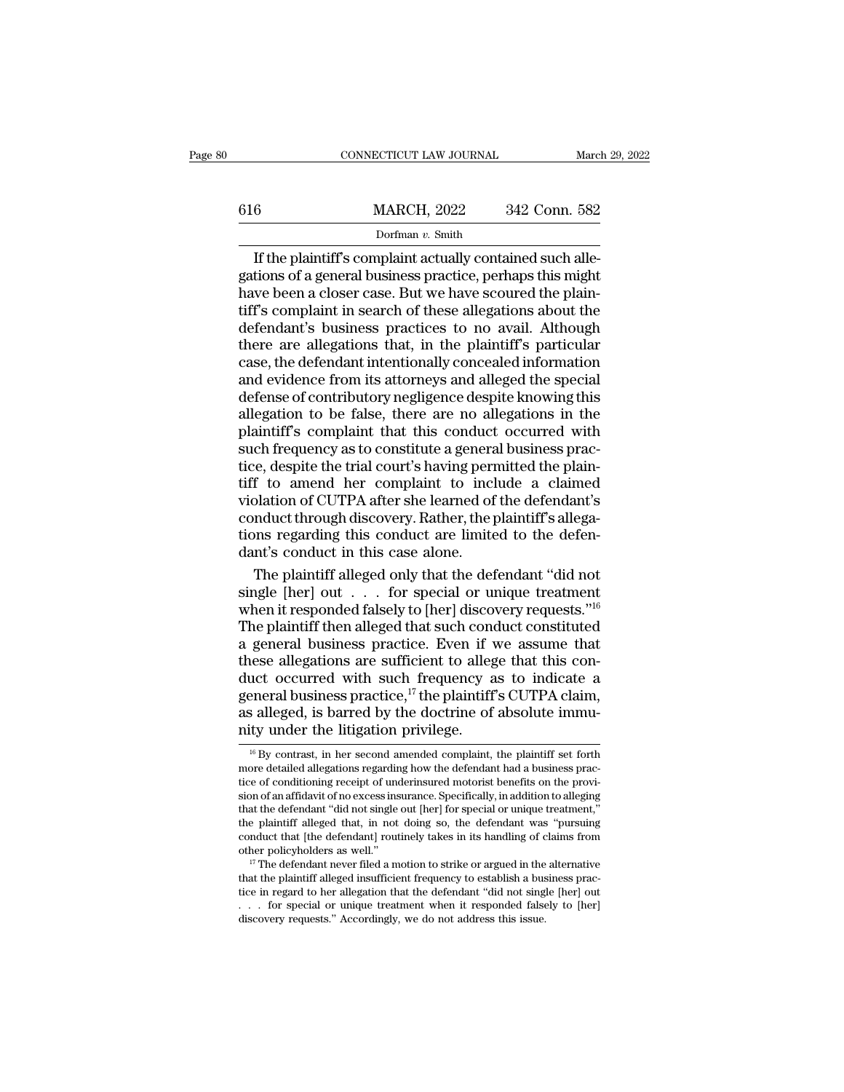## EXECUTE CONNECTICUT LAW JOURNAL March 29, 2022<br>
616 MARCH, 2022 342 Conn. 582<br>
Dorfman v. Smith Dorfman *v.* Smith

CONNECTICUT LAW JOURNAL<br> **EXECUTE ACTES 1889**<br>
Dorfman v. Smith<br>
If the plaintiff's complaint actually contained such alle-<br>
tions of a general business practice, perhaps this might<br>
ve been a closer case. But we have scou 616 MARCH, 2022 342 Conn. 582<br>Dorfman v. Smith<br>If the plaintiff's complaint actually contained such alle-<br>gations of a general business practice, perhaps this might<br>have been a closer case. But we have scoured the plain-<br> 616 MARCH, 2022 342 Conn. 582<br>
Dorfman v. Smith<br>
If the plaintiff's complaint actually contained such allegations of a general business practice, perhaps this might<br>
have been a closer case. But we have scoured the plain-616 MARCH, 2022 342 Conn. 582<br>
Dorfman v. Smith<br>
If the plaintiff's complaint actually contained such alle-<br>
gations of a general business practice, perhaps this might<br>
have been a closer case. But we have scoured the pla  $\frac{1}{\text{Normal}(1, 2022)}$  or  $\frac{1}{\text{Normal}(1, 2022)}$ <br>Dorfman v. Smith<br>If the plaintiff's complaint actually contained such alle-<br>gations of a general business practice, perhaps this might<br>have been a closer case. But we have scou Dorfman v. Smith<br>If the plaintiff's complaint actually contained such alle-<br>gations of a general business practice, perhaps this might<br>have been a closer case. But we have scoured the plain-<br>tiff's complaint in search of t If the plaintiff's complaint actually contained such allegations of a general business practice, perhaps this might have been a closer case. But we have scoured the plaintiff's complaint in search of these allegations abou gations of a general business practice, perhaps this might<br>have been a closer case. But we have scoured the plain-<br>tiff's complaint in search of these allegations about the<br>defendant's business practices to no avail. Altho have been a closer case. But we have scoured the plain-<br>tiff's complaint in search of these allegations about the<br>defendant's business practices to no avail. Although<br>there are allegations that, in the plaintiff's particul tiff's complaint in search of these allegations about the<br>defendant's business practices to no avail. Although<br>there are allegations that, in the plaintiff's particular<br>case, the defendant intentionally concealed informati defendant's business practices to no avail. Although<br>there are allegations that, in the plaintiff's particular<br>case, the defendant intentionally concealed information<br>and evidence from its attorneys and alleged the special there are allegations that, in the plaintiff's particular case, the defendant intentionally concealed information<br>and evidence from its attorneys and alleged the special<br>defense of contributory negligence despite knowing t case, the defendant intentionally concealed information<br>and evidence from its attorneys and alleged the special<br>defense of contributory negligence despite knowing this<br>allegation to be false, there are no allegations in th and evidence from its attorneys and alleged the special<br>defense of contributory negligence despite knowing this<br>allegation to be false, there are no allegations in the<br>plaintiff's complaint that this conduct occurred with<br> defense of contributory negligence despite knowing this<br>allegation to be false, there are no allegations in the<br>plaintiff's complaint that this conduct occurred with<br>such frequency as to constitute a general business pracallegation to be false, there are no allegations in the plaintiff's complaint that this conduct occurred with such frequency as to constitute a general business practice, despite the trial court's having permitted the plai plaintiff's complaint that this conduct occurred with<br>such frequency as to constitute a general business prac-<br>tice, despite the trial court's having permitted the plain-<br>tiff to amend her complaint to include a claimed<br>vi such frequency as to constitute a generatice, despite the trial court's having pert<br>tiff to amend her complaint to include violation of CUTPA after she learned of<br>conduct through discovery. Rather, the p<br>tions regarding th Eq. despite the trial court's having permitted the plain-<br>f to amend her complaint to include a claimed<br>plation of CUTPA after she learned of the defendant's<br>mduct through discovery. Rather, the plaintiff's allega-<br>pass r tiff to amend her complaint to include a claimed<br>violation of CUTPA after she learned of the defendant's<br>conduct through discovery. Rather, the plaintiff's allega-<br>tions regarding this conduct are limited to the defen-<br>da

violation of CUTPA after she learned of the defendant's<br>conduct through discovery. Rather, the plaintiff's allega-<br>tions regarding this conduct are limited to the defen-<br>dant's conduct in this case alone.<br>The plaintiff al conduct through discovery. Rather, the plaintiff's allegations regarding this conduct are limited to the defendant's conduct in this case alone.<br>The plaintiff alleged only that the defendant "did not single [her] out  $\dots$ tions regarding this conduct are limited to the defen-<br>dant's conduct in this case alone.<br>The plaintiff alleged only that the defendant "did not<br>single [her] out  $\dots$  for special or unique treatment<br>when it responded fals dant's conduct in this case alone.<br>The plaintiff alleged only that the defendant "did not<br>single [her] out  $\dots$  for special or unique treatment<br>when it responded falsely to [her] discovery requests."<sup>16</sup><br>The plaintiff the The plaintiff alleged only that the defendant "did not<br>single [her] out  $\dots$  for special or unique treatment<br>when it responded falsely to [her] discovery requests."<sup>16</sup><br>The plaintiff then alleged that such conduct constit single [her] out  $\,\ldots\,$  for special or unique treatment<br>when it responded falsely to [her] discovery requests."<sup>16</sup><br>The plaintiff then alleged that such conduct constituted<br>a general business practice. Even if we assume when it responded falsely to [her] discovery requests."<sup>16</sup><br>The plaintiff then alleged that such conduct constituted<br>a general business practice. Even if we assume that<br>these allegations are sufficient to allege that this The plaintiff then alleged that such conder a general business practice. Even if values allegations are sufficient to allege duct occurred with such frequency a general business practice,<sup>17</sup> the plaintiff as alleged, is uct occurred with such frequency as to indicate a<br>eneral business practice,<sup>17</sup> the plaintiff's CUTPA claim,<br>s alleged, is barred by the doctrine of absolute immu-<br>ty under the litigation privilege.<br><sup>16</sup> By contrast, in he general business practice,  $17$  the plaintiff's CUTPA claim, as alleged, is barred by the doctrine of absolute immunity under the litigation privilege.<br>
<sup>16</sup> By contrast, in her second amended complaint, the plaintiff set

as alleged, is barred by the doctrine of absolute immunity under the litigation privilege.<br> $\frac{16}{16}$  By contrast, in her second amended complaint, the plaintiff set forth more detailed allegations regarding how the defe as aneged, is barred by the doctrine of absolute infiniti-<br>nity under the litigation privilege.<br> $\frac{16}{16}$  By contrast, in her second amended complaint, the plaintiff set forth<br>more detailed allegations regarding how the more detailed allegations regarding how the defendant had a business practice of conditioning receipt of under<br>insured motorist benefits on the provision of an affidavit of no excess in<br>surance. Specifically, in addition t <sup>16</sup> By contrast, in her second amended complaint, the plaintiff set forth more detailed allegations regarding how the defendant had a business practice of conditioning receipt of underinsured motorist benefits on the pro For conducts allegations regarding how the defendant had a business practice of conditioning receipt of underinsured motorist benefits on the provision of an affidavit of no excess insurance. Specifically, in addition to a more detailed allegations regarding now the defendant nad a business practice of conditioning receipt of underinsured motorist benefits on the provision of an affidavit of no excess insurance. Specifically, in addition to sion of an amdavit of no excess insurance. Specifically, in addition to alleging that the defendant "did not single out [her] for special or unique treatment," the plaintiff alleged that, in not doing so, the defendant wa

that the defendant ''did not single out [her] for special or unique treatment,<br>the plaintiff alleged that, in not doing so, the defendant was "pursuing<br>conduct that [the defendant] routinely takes in its handling of claim the plaintiff alleged that, in not doing so, the defendant was "pursuing conduct that [the defendant] routinely takes in its handling of claims from other policyholders as well."<br><sup>17</sup> The defendant never filed a motion to conduct that [the defendant] routinely takes in its nandling or cother policyholders as well."<br>
<sup>17</sup> The defendant never filed a motion to strike or argued in the that the plaintiff alleged insufficient frequency to estab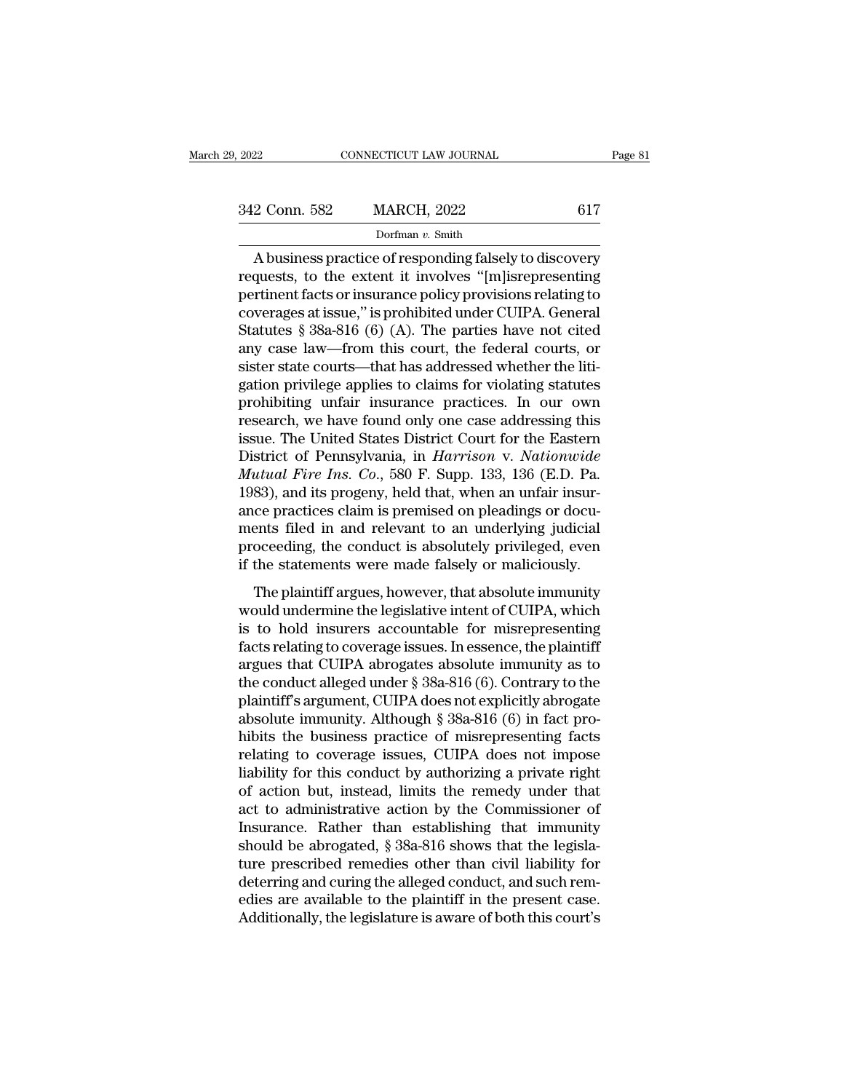| , 2022        | CONNECTICUT LAW JOURNAL | Page 81 |  |
|---------------|-------------------------|---------|--|
| 342 Conn. 582 | <b>MARCH, 2022</b>      | 617     |  |
|               | Dorfman v. Smith        |         |  |

CONNECTICUT LAW JOURNAL Page 81<br>
2 Conn. 582 MARCH, 2022 617<br>
Dorfman v. Smith<br>
A business practice of responding falsely to discovery<br>
quests, to the extent it involves "[m]isrepresenting<br>
writing facts or insurance polic 342 Conn. 582 MARCH, 2022 617<br>
Dorfman v. Smith<br>
A business practice of responding falsely to discovery<br>
requests, to the extent it involves "[m]isrepresenting<br>
pertinent facts or insurance policy provisions relating to<br>
c 342 Conn. 582 MARCH, 2022 617<br>
Dorfman v. Smith<br>
A business practice of responding falsely to discovery<br>
requests, to the extent it involves "[m]isrepresenting<br>
pertinent facts or insurance policy provisions relating to<br> 342 Conn. 582 MARCH, 2022 617<br>
Dorfman v. Smith<br>
A business practice of responding falsely to discovery<br>
requests, to the extent it involves "[m]isrepresenting<br>
pertinent facts or insurance policy provisions relating to<br> Dorfman v. Smith<br>Dorfman v. Smith<br>Republished and the extent it involves "[m]<br>isrepresenting<br>pertinent facts or insurance policy provisions relating to<br>coverages at issue," is prohibited under CUIPA. General<br>Statutes § 38a borman v. smith<br>A business practice of responding falsely to discovery<br>requests, to the extent it involves "[m]isrepresenting<br>pertinent facts or insurance policy provisions relating to<br>coverages at issue," is prohibited un A business practice of responding falsely to discovery<br>requests, to the extent it involves "[m]isrepresenting<br>pertinent facts or insurance policy provisions relating to<br>coverages at issue," is prohibited under CUIPA. Gene requests, to the extent it involves "[m]isrepresenting<br>pertinent facts or insurance policy provisions relating to<br>coverages at issue," is prohibited under CUIPA. General<br>Statutes § 38a-816 (6) (A). The parties have not cit pertinent facts or insurance policy provisions relating to<br>coverages at issue," is prohibited under CUIPA. General<br>Statutes § 38a-816 (6) (A). The parties have not cited<br>any case law—from this court, the federal courts, or coverages at issue," is prohibited under CUIPA. General<br>Statutes § 38a-816 (6) (A). The parties have not cited<br>any case law—from this court, the federal courts, or<br>sister state courts—that has addressed whether the liti-<br>g Statutes § 38a-816 (6) (A). The parties have not cited<br>any case law—from this court, the federal courts, or<br>sister state courts—that has addressed whether the liti-<br>gation privilege applies to claims for violating statute any case law—from this court, the federal courts, or<br>sister state courts—that has addressed whether the liti-<br>gation privilege applies to claims for violating statutes<br>prohibiting unfair insurance practices. In our own<br>res sister state courts—that has addressed whether the litigation privilege applies to claims for violating statutes prohibiting unfair insurance practices. In our own research, we have found only one case addressing this issu gation privilege applies to claims for violating statutes<br>prohibiting unfair insurance practices. In our own<br>research, we have found only one case addressing this<br>issue. The United States District Court for the Eastern<br>Dis prohibiting unfair insurance practices. In our own<br>research, we have found only one case addressing this<br>issue. The United States District Court for the Eastern<br>District of Pennsylvania, in *Harrison* v. *Nationwide*<br>*Mutu* research, we have found only one case addressing this<br>issue. The United States District Court for the Eastern<br>District of Pennsylvania, in *Harrison v. Nationwide*<br>*Mutual Fire Ins. Co.*, 580 F. Supp. 133, 136 (E.D. Pa.<br>19 issue. The United States District Court for the Eastern<br>District of Pennsylvania, in *Harrison* v. *Nationwide*<br>*Mutual Fire Ins. Co.*, 580 F. Supp. 133, 136 (E.D. Pa.<br>1983), and its progeny, held that, when an unfair insu District of Pennsylvania, in *Harrison* v. *Nationwide*<br>Mutual Fire Ins. Co., 580 F. Supp. 133, 136 (E.D. Pa.<br>1983), and its progeny, held that, when an unfair insur-<br>ance practices claim is premised on pleadings or docu-<br>  $T$  and its progeny, held that, when an unfair insur-<br>ce practices claim is premised on pleadings or docu-<br>ents filed in and relevant to an underlying judicial<br>oceeding, the conduct is absolutely privileged, even<br>the stat Food), and its progerly, here and, when all didah modi-<br>ance practices claim is premised on pleadings or docu-<br>ments filed in and relevant to an underlying judicial<br>proceeding, the conduct is absolutely privileged, even<br>if

ance practices claim is premised on preddings or doed<br>ments filed in and relevant to an underlying judicial<br>proceeding, the conduct is absolutely privileged, even<br>if the statements were made falsely or maliciously.<br>The pla fraction frequent and tells and the coverage is absolutely privileged, even<br>if the statements were made falsely or maliciously.<br>The plaintiff argues, however, that absolute immunity<br>would undermine the legislative intent o if the statements were made falsely or maliciously.<br>
The plaintiff argues, however, that absolute immunity<br>
would undermine the legislative intent of CUIPA, which<br>
is to hold insurers accountable for misrepresenting<br>
fact The plaintiff argues, however, that absolute immunity<br>would undermine the legislative intent of CUIPA, which<br>is to hold insurers accountable for misrepresenting<br>facts relating to coverage issues. In essence, the plaintiff The plaintiff argues, however, that absolute immunity<br>would undermine the legislative intent of CUIPA, which<br>is to hold insurers accountable for misrepresenting<br>facts relating to coverage issues. In essence, the plaintiff would undermine the legislative intent of CUIPA, which<br>is to hold insurers accountable for misrepresenting<br>facts relating to coverage issues. In essence, the plaintiff<br>argues that CUIPA abrogates absolute immunity as to<br>th is to hold insurers accountable for misrepresenting<br>facts relating to coverage issues. In essence, the plaintiff<br>argues that CUIPA abrogates absolute immunity as to<br>the conduct alleged under § 38a-816 (6). Contrary to the<br> facts relating to coverage issues. In essence, the plaintiff<br>argues that CUIPA abrogates absolute immunity as to<br>the conduct alleged under  $\S 38a-816(6)$ . Contrary to the<br>plaintiff's argument, CUIPA does not explicitly ab argues that CUIPA abrogates absolute immunity as to<br>the conduct alleged under § 38a-816 (6). Contrary to the<br>plaintiff's argument, CUIPA does not explicitly abrogate<br>absolute immunity. Although § 38a-816 (6) in fact pro-<br>h the conduct alleged under § 38a-816 (6). Contrary to the plaintiff's argument, CUIPA does not explicitly abrogate absolute immunity. Although § 38a-816 (6) in fact prohibits the business practice of misrepresenting facts r plaintiff's argument, CUIPA does not explicitly abrogate<br>absolute immunity. Although § 38a-816 (6) in fact pro-<br>hibits the business practice of misrepresenting facts<br>relating to coverage issues, CUIPA does not impose<br>liabi absolute immunity. Although  $\S$  38a-816 (6) in fact prohibits the business practice of misrepresenting facts relating to coverage issues, CUIPA does not impose liability for this conduct by authorizing a private right of hibits the business practice of misrepresenting facts<br>relating to coverage issues, CUIPA does not impose<br>liability for this conduct by authorizing a private right<br>of action but, instead, limits the remedy under that<br>act to relating to coverage issues, CUIPA does not impose<br>liability for this conduct by authorizing a private right<br>of action but, instead, limits the remedy under that<br>act to administrative action by the Commissioner of<br>Insuranc liability for this conduct by authorizing a private right<br>of action but, instead, limits the remedy under that<br>act to administrative action by the Commissioner of<br>Insurance. Rather than establishing that immunity<br>should be of action but, instead, limits the remedy under that<br>act to administrative action by the Commissioner of<br>Insurance. Rather than establishing that immunity<br>should be abrogated, § 38a-816 shows that the legisla-<br>ture prescri act to administrative action by the Commissioner of<br>Insurance. Rather than establishing that immunity<br>should be abrogated, § 38a-816 shows that the legisla-<br>ture prescribed remedies other than civil liability for<br>deterring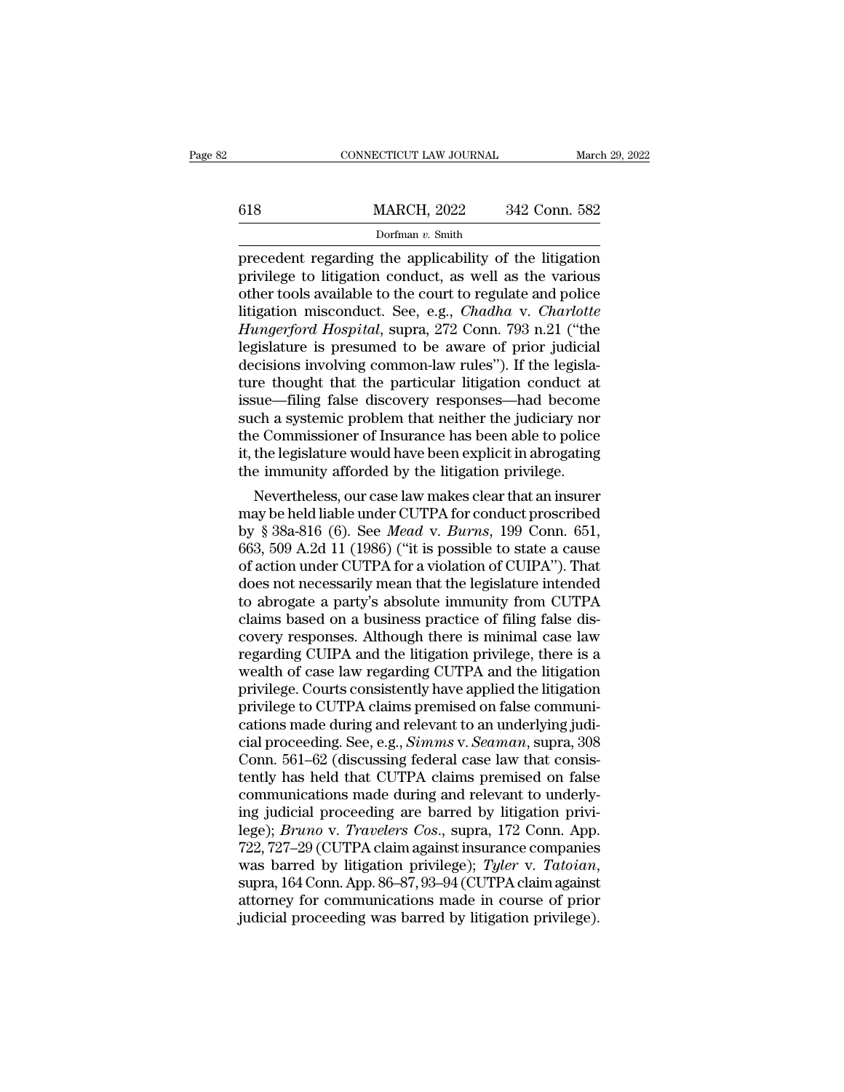## EXECUTE CONNECTICUT LAW JOURNAL March 29, 2022<br>
618 MARCH, 2022 342 Conn. 582<br>
Dorfman v. Smith Dorfman *v.* Smith

 $\begin{tabular}{ll} \multicolumn{1}{l}{{\text{COMRECTICUT LAW JOURNAL}}} & \multicolumn{1}{l}{March 29, 2022} \\ \hline & \multicolumn{1}{l}{\text{MARCH, 2022}} & \multicolumn{1}{l}{342} \text{ Conn. } 582 \\ \hline & \multicolumn{1}{l}{\text{Dorfman } v. Smith} \\ \hline & \multicolumn{1}{l}{\text{precedent regarding the applicability of the litigation} \\ \hline & \multicolumn{1}{l}{\text{privilege to litigation conduct, as well as the various} \\ \hline & \multicolumn{1}{l}{\text{other tools available to the court to regulate and police}} \end{tabular$ 618 MARCH, 2022 342 Conn. 582<br>
Dorfman v. Smith<br>
precedent regarding the applicability of the litigation<br>
privilege to litigation conduct, as well as the various<br>
other tools available to the court to regulate and police<br> 618 MARCH, 2022 342 Conn. 582<br>
Dorfman v. Smith<br>
precedent regarding the applicability of the litigation<br>
privilege to litigation conduct, as well as the various<br>
other tools available to the court to regulate and police<br> MARCH, 2022 342 Conn. 582<br>
Dorfman *v.* Smith<br>
precedent regarding the applicability of the litigation<br>
privilege to litigation conduct, as well as the various<br>
other tools available to the court to regulate and police<br>
li *Hunder, 2022* Conn. 2022<br> *Dorfman v. Smith*<br>
precedent regarding the applicability of the litigation<br>
privilege to litigation conduct, as well as the various<br>
other tools available to the court to regulate and police<br>
li Dorman v. Smith<br>precedent regarding the applicability of the litigation<br>privilege to litigation conduct, as well as the various<br>other tools available to the court to regulate and police<br>litigation misconduct. See, e.g., precedent regarding the applicability of the litigation<br>privilege to litigation conduct, as well as the various<br>other tools available to the court to regulate and police<br>litigation misconduct. See, e.g., *Chadha* v. *Charl* privilege to litigation conduct, as well as the various<br>other tools available to the court to regulate and police<br>litigation misconduct. See, e.g., *Chadha* v. *Charlotte*<br>*Hungerford Hospital*, supra, 272 Conn. 793 n.21 ( other tools available to the court to regulate and police<br>litigation misconduct. See, e.g., *Chadha* v. *Charlotte*<br>*Hungerford Hospital*, supra, 272 Conn. 793 n.21 ("the<br>legislature is presumed to be aware of prior judici litigation misconduct. See, e.g., *Chadha v. Charlotte Hungerford Hospital*, supra, 272 Conn. 793 n.21 ("the legislature is presumed to be aware of prior judicial decisions involving common-law rules"). If the legislature Hungerford Hospital, supra, 272 Conn. 793 n.21 ("the<br>legislature is presumed to be aware of prior judicial<br>decisions involving common-law rules"). If the legisla-<br>ture thought that the particular litigation conduct at<br>issu legislature is presumed to be aware of prior judicial<br>decisions involving common-law rules"). If the legisla-<br>ture thought that the particular litigation conduct at<br>issue—filing false discovery responses—had become<br>such a decisions involving common-law rules"). If the legislature thought that the particular litigation conduct at issue—filing false discovery responses—had become such a systemic problem that neither the judiciary nor the Comm re thought that the particular intigation conduct at<br>sue—filing false discovery responses—had become<br>ch a systemic problem that neither the judiciary nor<br>e Commissioner of Insurance has been able to police<br>the legislature issue—ning raise discovery responses—nad become<br>such a systemic problem that neither the judiciary nor<br>the Commissioner of Insurance has been able to police<br>it, the legislature would have been explicit in abrogating<br>the i

such a systemic problem that heither the judiciary nor<br>the Commissioner of Insurance has been able to police<br>it, the legislature would have been explicit in abrogating<br>the immunity afforded by the litigation privilege.<br>Nev the Commissioner of insurance has been able to police<br>it, the legislature would have been explicit in abrogating<br>the immunity afforded by the litigation privilege.<br>Nevertheless, our case law makes clear that an insurer<br>may it, the legislature would have been explicit in abrogating<br>the immunity afforded by the litigation privilege.<br>Nevertheless, our case law makes clear that an insurer<br>may be held liable under CUTPA for conduct proscribed<br>by the immunity attorded by the litigation privilege.<br>
Nevertheless, our case law makes clear that an insurer<br>
may be held liable under CUTPA for conduct proscribed<br>
by § 38a-816 (6). See *Mead v. Burns*, 199 Conn. 651,<br>
663, Nevertheless, our case law makes clear that an insurer<br>may be held liable under CUTPA for conduct proscribed<br>by § 38a-816 (6). See *Mead v. Burns*, 199 Conn. 651,<br>663, 509 A.2d 11 (1986) ("it is possible to state a cause<br>o may be held liable under CUTPA for conduct proscribed<br>by § 38a-816 (6). See *Mead v. Burns*, 199 Conn. 651,<br>663, 509 A.2d 11 (1986) ("it is possible to state a cause<br>of action under CUTPA for a violation of CUIPA"). That<br>d by § 38a-816 (6). See *Mead* v. *Burns*, 199 Conn. 651,<br>663, 509 A.2d 11 (1986) ("it is possible to state a cause<br>of action under CUTPA for a violation of CUIPA"). That<br>does not necessarily mean that the legislature intend 663, 509 A.2d 11 (1986) ("it is possible to state a cause<br>of action under CUTPA for a violation of CUIPA"). That<br>does not necessarily mean that the legislature intended<br>to abrogate a party's absolute immunity from CUTPA<br>cl of action under CUTPA for a violation of CUIPA"). That<br>does not necessarily mean that the legislature intended<br>to abrogate a party's absolute immunity from CUTPA<br>claims based on a business practice of filing false dis-<br>cov does not necessarily mean that the legislature intended<br>to abrogate a party's absolute immunity from CUTPA<br>claims based on a business practice of filing false dis-<br>covery responses. Although there is minimal case law<br>regar to abrogate a party's absolute immunity from CUTPA<br>claims based on a business practice of filing false dis-<br>covery responses. Although there is minimal case law<br>regarding CUIPA and the litigation privilege, there is a<br>weal claims based on a business practice of filing false discovery responses. Although there is minimal case law<br>regarding CUIPA and the litigation privilege, there is a<br>wealth of case law regarding CUTPA and the litigation<br>pri covery responses. Although there is minimal case law<br>regarding CUIPA and the litigation privilege, there is a<br>wealth of case law regarding CUTPA and the litigation<br>privilege. Courts consistently have applied the litigation regarding CUIPA and the litigation privilege, there is a<br>wealth of case law regarding CUTPA and the litigation<br>privilege. Courts consistently have applied the litigation<br>privilege to CUTPA claims premised on false communiwealth of case law regarding CUTPA and the litigation<br>privilege. Courts consistently have applied the litigation<br>privilege to CUTPA claims premised on false communi-<br>cations made during and relevant to an underlying judi-<br> privilege. Courts consistently have applied the litigation<br>privilege to CUTPA claims premised on false communi-<br>cations made during and relevant to an underlying judi-<br>cial proceeding. See, e.g., *Simms* v. *Seaman*, supra privilege to CUTPA claims premised on false communications made during and relevant to an underlying judicial proceeding. See, e.g., *Simms* v. *Seaman*, supra, 308 Conn. 561–62 (discussing federal case law that consistent cations made during and relevant to an underlying judicial proceeding. See, e.g., *Simms* v. *Seaman*, supra, 308<br>Conn. 561–62 (discussing federal case law that consistently has held that CUTPA claims premised on false<br>com cial proceeding. See, e.g., *Simms* v. *Seaman*, supra, 308<br>Conn. 561–62 (discussing federal case law that consistently has held that CUTPA claims premised on false<br>communications made during and relevant to underly-<br>ing j Conn. 561–62 (discussing federal case law that consistently has held that CUTPA claims premised on false communications made during and relevant to underlying judicial proceeding are barred by litigation privilege); *Bruno* communications made during and relevant to underly-<br>ing judicial proceeding are barred by litigation privi-<br>lege); *Bruno* v. *Travelers Cos.*, supra, 172 Conn. App.<br>722, 727–29 (CUTPA claim against insurance companies<br>was ing judicial proceeding are barred by litigation privilege); *Bruno v. Travelers Cos.*, supra, 172 Conn. App. 722, 727–29 (CUTPA claim against insurance companies was barred by litigation privilege); *Tyler v. Tatoian*, su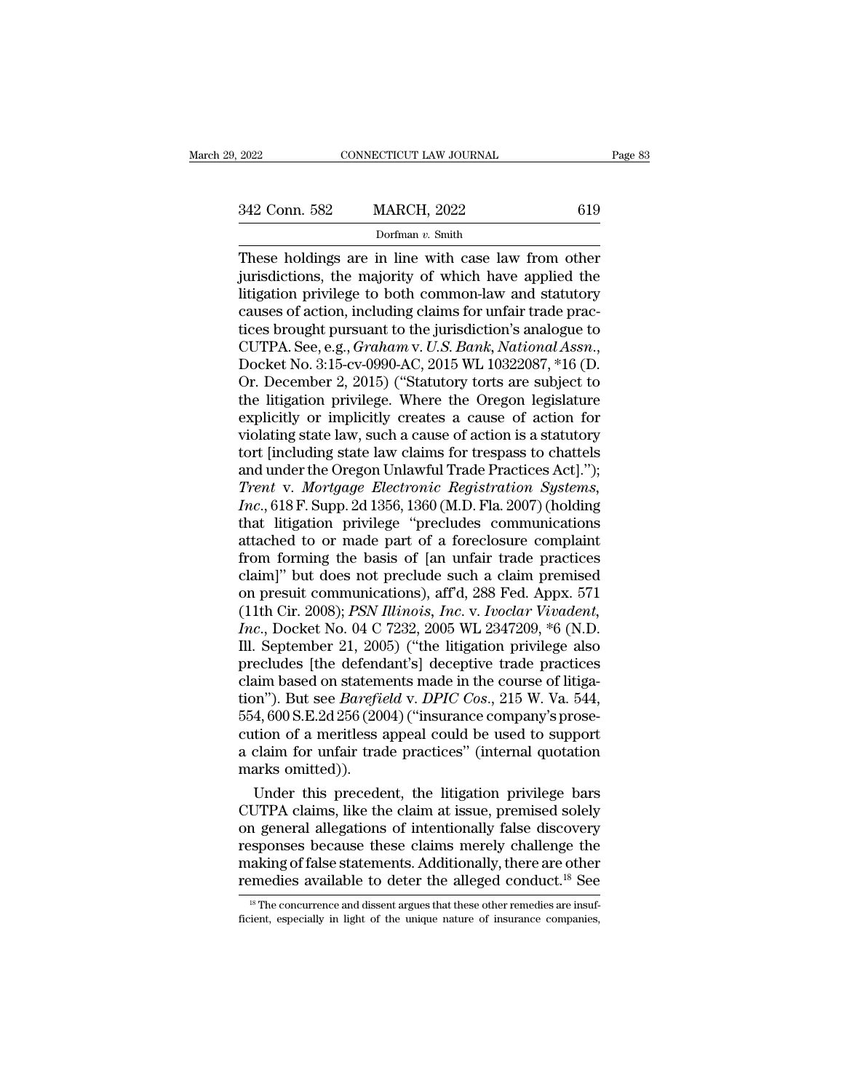CONNECTICUT LAW JOURNAL Page 83<br>
342 Conn. 582 MARCH, 2022 619<br>
Dorfman v. Smith<br>
These holdings are in line with case law from other<br>
jurisdictions, the majority of which have applied the<br>
litigation privilege to both com 342 Conn. 582 MARCH, 2022 619<br>Dorfman v. Smith<br>These holdings are in line with case law from other<br>jurisdictions, the majority of which have applied the<br>litigation privilege to both common-law and statutory<br>causes of actio 342 Conn. 582 MARCH, 2022 619<br>
Dorfman v. Smith<br>
These holdings are in line with case law from other<br>
jurisdictions, the majority of which have applied the<br>
litigation privilege to both common-law and statutory<br>
causes of 342 Conn. 582 MARCH, 2022 619<br>
Dorfman v. Smith<br>
These holdings are in line with case law from other<br>
jurisdictions, the majority of which have applied the<br>
litigation privilege to both common-law and statutory<br>
causes of Dorfman v. Smith<br>Dorfman v. Smith<br>Jurisdictions, the majority of which have applied the<br>litigation privilege to both common-law and statutory<br>causes of action, including claims for unfair trade prac-<br>tices brought pursuan Dorfman v. Smith<br>These holdings are in line with case law from other<br>jurisdictions, the majority of which have applied the<br>litigation privilege to both common-law and statutory<br>causes of action, including claims for unfair jurisdictions, the majority of which have applied the<br>litigation privilege to both common-law and statutory<br>causes of action, including claims for unfair trade prac-<br>tices brought pursuant to the jurisdiction's analogue to litigation privilege to both common-law and statutory<br>causes of action, including claims for unfair trade prac-<br>tices brought pursuant to the jurisdiction's analogue to<br>CUTPA. See, e.g., *Graham* v. *U.S. Bank*, *National* causes of action, including claims for unfair trade practices brought pursuant to the jurisdiction's analogue to CUTPA. See, e.g., *Graham v. U.S. Bank*, *National Assn.*, Docket No. 3:15-cv-0990-AC, 2015 WL 10322087, \*16 tices brought pursuant to the jurisdiction's analogue to<br>CUTPA. See, e.g., *Graham* v. *U.S. Bank*, *National Assn.*,<br>Docket No. 3:15-cv-0990-AC, 2015 WL 10322087, \*16 (D.<br>Or. December 2, 2015) ("Statutory torts are subje CUTPA. See, e.g., *Graham* v. *U.S. Bank*, *National Assn.*,<br>Docket No. 3:15-cv-0990-AC, 2015 WL 10322087, \*16 (D.<br>Or. December 2, 2015) ("Statutory torts are subject to<br>the litigation privilege. Where the Oregon legislatu Docket No. 3:15-cv-0990-AC, 2015 WL 10322087, \*16 (D.<br>Or. December 2, 2015) ("Statutory torts are subject to<br>the litigation privilege. Where the Oregon legislature<br>explicitly or implicitly creates a cause of action for<br>vio Or. December 2, 2015) ("Statutory torts are subject to<br>the litigation privilege. Where the Oregon legislature<br>explicitly or implicitly creates a cause of action for<br>violating state law, such a cause of action is a statutor the litigation privilege. Where the Oregon legislature<br>explicitly or implicitly creates a cause of action for<br>violating state law, such a cause of action is a statutory<br>tort [including state law claims for trespass to chat explicitly or implicitly creates a cause of action for<br>violating state law, such a cause of action is a statutory<br>tort [including state law claims for trespass to chattels<br>and under the Oregon Unlawful Trade Practices Act] violating state law, such a cause of action is a statutory<br>tort [including state law claims for trespass to chattels<br>and under the Oregon Unlawful Trade Practices Act].");<br>Trent v. Mortgage Electronic Registration Systems, tort [including state law claims for trespass to chattels<br>and under the Oregon Unlawful Trade Practices Act].");<br>*Trent* v. *Mortgage Electronic Registration Systems*,<br>*Inc.*, 618 F. Supp. 2d 1356, 1360 (M.D. Fla. 2007) (h and under the Oregon Unlawful Trade Practices Act].");<br>
Trent v. Mortgage Electronic Registration Systems,<br>
Inc., 618 F. Supp. 2d 1356, 1360 (M.D. Fla. 2007) (holding<br>
that litigation privilege "precludes communications<br>
a Trent v. Mortgage Electronic Registration Systems,<br>Inc., 618 F. Supp. 2d 1356, 1360 (M.D. Fla. 2007) (holding<br>that litigation privilege "precludes communications<br>attached to or made part of a foreclosure complaint<br>from for *Inc.*, 618 F. Supp. 2d 1356, 1360 (M.D. Fla. 2007) (holding<br>that litigation privilege "precludes communications<br>attached to or made part of a foreclosure complaint<br>from forming the basis of [an unfair trade practices<br>clai *Increase in the increase in the defendant's* deceptive readers are precised no presuit communications), aff'd, 288 Fed. Appx. 571 (11th Cir. 2008); *PSN Illinois*, *Inc.* v. *Ivoclar Vivadent*, *Inc.*, Docket No. 04 C 723 attached to or made part of a foreclosure complaint<br>from forming the basis of [an unfair trade practices<br>claim]" but does not preclude such a claim premised<br>on presuit communications), aff'd, 288 Fed. Appx. 571<br>(11th Cir. from forming the basis of [an unfair trade practices claim]" but does not preclude such a claim premised<br>on presuit communications), aff'd, 288 Fed. Appx. 571<br>(11th Cir. 2008); *PSN Illinois, Inc.* v. *Ivoclar Vivadent*,<br> claim]" but does not preclude such a claim premised<br>on presuit communications), aff'd, 288 Fed. Appx. 571<br>(11th Cir. 2008); PSN Illinois, Inc. v. Ivoclar Vivadent,<br>Inc., Docket No. 04 C 7232, 2005 WL 2347209, \*6 (N.D.<br>Ill. on presuit communications), aff'd, 288 Fed. Appx. 571<br>(11th Cir. 2008); *PSN Illinois, Inc.* v. *Ivoclar Vivadent,*<br>*Inc.*, Docket No. 04 C 7232, 2005 WL 2347209, \*6 (N.D.<br>Ill. September 21, 2005) ("the litigation privileg (11th Cir. 2008); PSN Illinois, Inc. v. Ivoclar Vivadent, Inc., Docket No. 04 C 7232, 2005 WL 2347209, \*6 (N.D.<br>Ill. September 21, 2005) ("the litigation privilege also<br>precludes [the defendant's] deceptive trade practice Inc., Docket No. 04 C 7232, 2005 WL 2347209, \*6 (N.D.<br>Ill. September 21, 2005) ("the litigation privilege also<br>precludes [the defendant's] deceptive trade practices<br>claim based on statements made in the course of litiga-<br>t Ill. September 21, 2005) ("the litigation privilege also<br>precludes [the defendant's] deceptive trade practices<br>claim based on statements made in the course of litiga-<br>tion"). But see *Barefield* v. *DPIC Cos.*, 215 W. Va. precludes [the defend<br>claim based on statem<br>tion"). But see *Barefie*<br>554, 600 S.E.2d 256 (200<br>cution of a meritless :<br>a claim for unfair trace<br>marks omitted)).<br>Under this precede alm based on statements made in the course of litiga-<br>
an"). But see *Barefield* v. *DPIC Cos.*, 215 W. Va. 544,<br>
4, 600 S.E.2d 256 (2004) ("insurance company's prose-<br>
tion of a meritless appeal could be used to support<br> tion"). But see *Barefield v. DPIC Cos.*, 215 W. Va. 544,<br>554, 600 S.E.2d 256 (2004) ("insurance company's prose-<br>cution of a meritless appeal could be used to support<br>a claim for unfair trade practices" (internal quotatio

b54, 600 S.E.2d 256 (2004) ("insurance company's prosecution of a meritless appeal could be used to support<br>a claim for unfair trade practices" (internal quotation<br>marks omitted)).<br>Under this precedent, the litigation priv cution of a meritiess appeal could be used to support<br>a claim for unfair trade practices" (internal quotation<br>marks omitted)).<br>Under this precedent, the litigation privilege bars<br>CUTPA claims, like the claim at issue, prem a claim for unfair trade practices" (internal quotation<br>marks omitted)).<br>Under this precedent, the litigation privilege bars<br>CUTPA claims, like the claim at issue, premised solely<br>on general allegations of intentionally fa marks omitted)).<br>
Under this precedent, the litigation privilege bars<br>
CUTPA claims, like the claim at issue, premised solely<br>
on general allegations of intentionally false discovery<br>
responses because these claims merely In general allegations of intentionally false discovery esponses because these claims merely challenge the aking of false statements. Additionally, there are other remedies available to deter the alleged conduct.<sup>18</sup> See responses because these claims merely challenge the making of false statements. Additionally, there are other remedies available to deter the alleged conduct.<sup>18</sup> See <sup>18</sup> The concurrence and dissent argues that these othe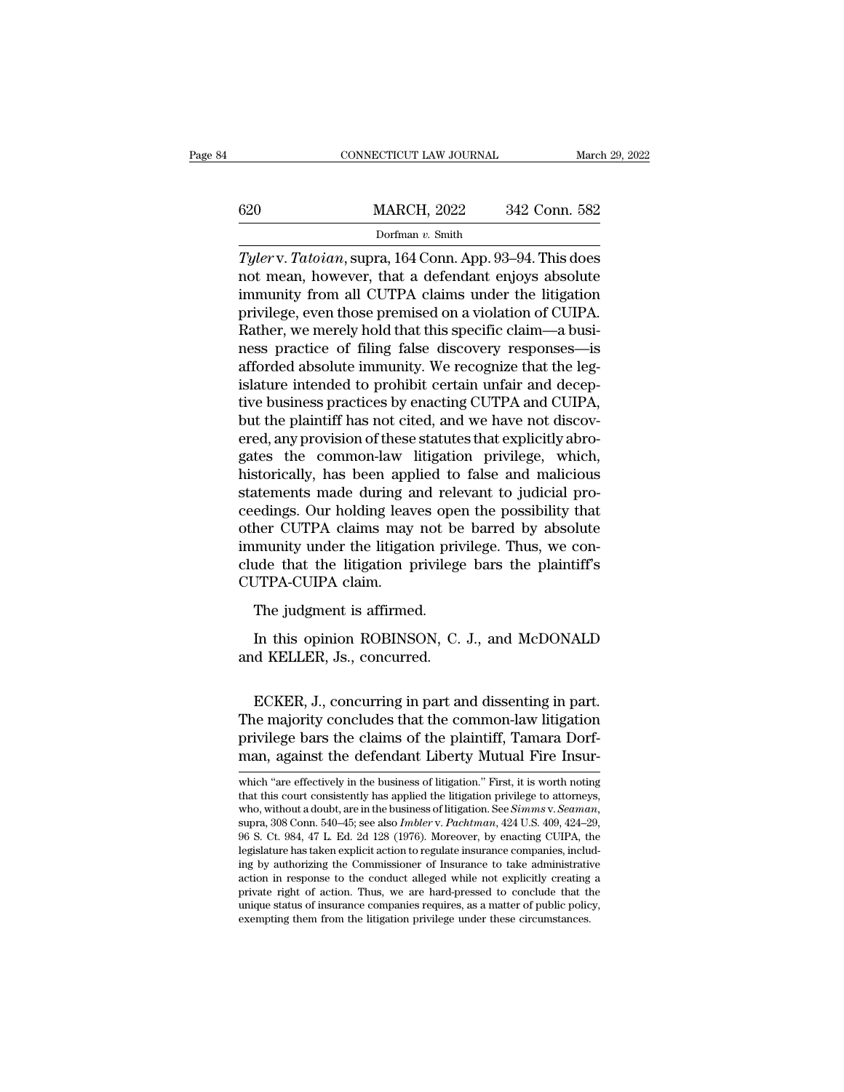|     | CONNECTICUT LAW JOURNAL | March 29, 2022 |
|-----|-------------------------|----------------|
| 620 | <b>MARCH, 2022</b>      | 342 Conn. 582  |
|     | Dorfman $v$ . Smith     |                |

 $\frac{\text{MARCH}}{\text{Dorfman } v. \text{ Smith}}$ <br>Dorfman v. Smith<br>Tyler v. Tatoian, supra, 164 Conn. App. 93–94. This does<br>not mean, however, that a defendant enjoys absolute<br>immunity from all CUTPA claims under the litigation  $\frac{620}{\text{Dorfman } v. \text{ Smith}}$ <br>Dorfman v. Smith<br>Tyler v. Tatoian, supra, 164 Conn. App. 93–94. This does<br>not mean, however, that a defendant enjoys absolute<br>immunity from all CUTPA claims under the litigation<br>privilege, even tho  $\frac{620}{D \text{orfman } v. \text{ Smith}}$ <br>
Dorfman  $v. \text{ Smith}$ <br>  $\frac{Tylerv. \text{ Tatoian, supra, 164 Conn. App. 93–94. This does not mean, however, that a defendant enjoys absolute immunity from all CUTPA claims under the litigation.}$ Father, we merely hold that this specific claim—a business precise of filing felse disequently responses is Dorfman v. Smith<br>Dorfman v. Smith<br>Tyler v. Tatoian, supra, 164 Conn. App. 93–94. This does<br>not mean, however, that a defendant enjoys absolute<br>immunity from all CUTPA claims under the litigation<br>privilege, even those premi Dorman v. Smith<br>
Tyler v. Tatoian, supra, 164 Conn. App. 93–94. This does<br>
not mean, however, that a defendant enjoys absolute<br>
immunity from all CUTPA claims under the litigation<br>
privilege, even those premised on a viol Tyler v. Tatoian, supra, 164 Conn. App. 93–94. This does<br>not mean, however, that a defendant enjoys absolute<br>immunity from all CUTPA claims under the litigation<br>privilege, even those premised on a violation of CUIPA.<br>Rath not mean, however, that a defendant enjoys absolute<br>immunity from all CUTPA claims under the litigation<br>privilege, even those premised on a violation of CUIPA.<br>Rather, we merely hold that this specific claim—a busi-<br>ness p immunity from all CUTPA claims under the litigation<br>privilege, even those premised on a violation of CUIPA.<br>Rather, we merely hold that this specific claim—a busi-<br>ness practice of filing false discovery responses—is<br>affor privilege, even those premised on a violation of CUIPA.<br>Rather, we merely hold that this specific claim—a business practice of filing false discovery responses—is<br>afforded absolute immunity. We recognize that the leg-<br>isla Rather, we merely hold that this specific claim—a business practice of filing false discovery responses—is afforded absolute immunity. We recognize that the legislature intended to prohibit certain unfair and deceptive bus ness practice of filing false discovery responses—is<br>afforded absolute immunity. We recognize that the leg-<br>islature intended to prohibit certain unfair and decep-<br>tive business practices by enacting CUTPA and CUIPA,<br>but t afforded absolute immunity. We recognize that the leg-<br>islature intended to prohibit certain unfair and decep-<br>tive business practices by enacting CUTPA and CUIPA,<br>but the plaintiff has not cited, and we have not discov-<br>e islature intended to prohibit certain unfair and deceptive business practices by enacting CUTPA and CUIPA, but the plaintiff has not cited, and we have not discovered, any provision of these statutes that explicitly abroga tive business practices by enacting CUTPA and CUIPA,<br>but the plaintiff has not cited, and we have not discov-<br>ered, any provision of these statutes that explicitly abro-<br>gates the common-law litigation privilege, which,<br>hi but the plaintiff has not cited, and we have not discovered, any provision of these statutes that explicitly abrogates the common-law litigation privilege, which, historically, has been applied to false and malicious state ered, any provision of these statutes that explicitly abrogates the common-law litigation privilege, which, historically, has been applied to false and malicious statements made during and relevant to judicial proceedings. gates the common-law litigation privilege, which,<br>historically, has been applied to false and malicious<br>statements made during and relevant to judicial pro-<br>ceedings. Our holding leaves open the possibility that<br>other CUTP historically, has been app<br>statements made during a<br>ceedings. Our holding leav<br>other CUTPA claims may<br>immunity under the litigati<br>clude that the litigation p<br>CUTPA-CUIPA claim.<br>The judgment is affirme Exercise hade during and receivedings. Our holding leaves ope<br>her CUTPA claims may not be<br>munity under the litigation privilege<br>JTPA-CUIPA claim.<br>The judgment is affirmed.<br>In this opinion ROBINSON, C. her CUTPA claims may not be barred by absolute<br>munity under the litigation privilege. Thus, we con-<br>ide that the litigation privilege bars the plaintiff's<br>JTPA-CUIPA claim.<br>The judgment is affirmed.<br>In this opinion ROBINSO immunity under the litigation privilege<br>cUTPA-CUIPA claim.<br>The judgment is affirmed.<br>In this opinion ROBINSON, C.<br>and KELLER, Js., concurred.

The judgment is affirmed.<br>
In this opinion ROBINSON, C. J., and McDONALD<br>
d KELLER, Js., concurred.<br>
ECKER, J., concurring in part and dissenting in part.<br>
ie majority concludes that the common-law litigation<br>
ivilege bars The judgment is affirmed.<br>
In this opinion ROBINSON, C. J., and McDONALD<br>
and KELLER, Js., concurred.<br>
ECKER, J., concurring in part and dissenting in part.<br>
The majority concludes that the common-law litigation<br>
privilege In this opinion ROBINSON, C. J., and McDONALD<br>and KELLER, Js., concurred.<br>ECKER, J., concurring in part and dissenting in part.<br>The majority concludes that the common-law litigation<br>privilege bars the claims of the plainti man, against the defendant Liberty Mutual Fire Insur-<br>man, against the defendant Liberty Mutual Fire Insur-<br>man, against the defendant Liberty Mutual Fire Insur-<br>which "are effectively in the business of litigation." First ECKER, J., concurring in part and dissenting in part.<br>The majority concludes that the common-law litigation<br>privilege bars the claims of the plaintiff, Tamara Dorf-<br>man, against the defendant Liberty Mutual Fire Insur-<br>whi The majority concludes that the common-law litigation<br>privilege bars the claims of the plaintiff, Tamara Dorf-<br>man, against the defendant Liberty Mutual Fire Insur-<br>which "are effectively in the business of litigation." F

privilege bars the claims of the plaintiff, Tamara Dorfman, against the defendant Liberty Mutual Fire Insur-<br>which "are effectively in the business of litigation." First, it is worth noting<br>that this court consistently has man, against the detendant Liberty Mutual Fire insur-<br>which "are effectively in the business of litigation." First, it is worth noting<br>that this court consistently has applied the litigation privilege to attorneys,<br>who, wi which "are effectively in the business of litigation." First, it is worth noting that this court consistently has applied the litigation privilege to attorneys, who, without a doubt, are in the business of litigation. See which are enectively in the business of higation. First, it is worth houng<br>that this court consistently has applied the litigation privilege to attorneys,<br>who, without a doubt, are in the business of litigation. See *Simm* that this court consistently has applied the intigation privilege to attorneys, who, without a doubt, are in the business of litigation. See *Simms v. Seaman*, supra, 308 Conn. 540–45; see also *Imbler v. Pachtman*, 424 U who, without a doubt, are in the business of itingation. See *Simms v. Seaman*, supra, 308 Conn. 540–45; see also *Imbler v. Pachtman*, 424 U.S. 409, 424–29, 96 S. Ct. 984, 47 L. Ed. 2d 128 (1976). Moreover, by enacting C supra, 308 Conn. 540–45; see also *Imbler* v. *Pachtman*, 424 U.S. 409, 424–29, 96 S. Ct. 984, 47 L. Ed. 2d 128 (1976). Moreover, by enacting CUIPA, the legislature has taken explicit action to regulate insurance companie 96 S. Ct. 984, 47 L. Ed. 2d 128 (1976). Moreover, by enacting CUIPA, the legislature has taken explicit action to regulate insurance companies, including by authorizing the Commissioner of Insurance to take administrativa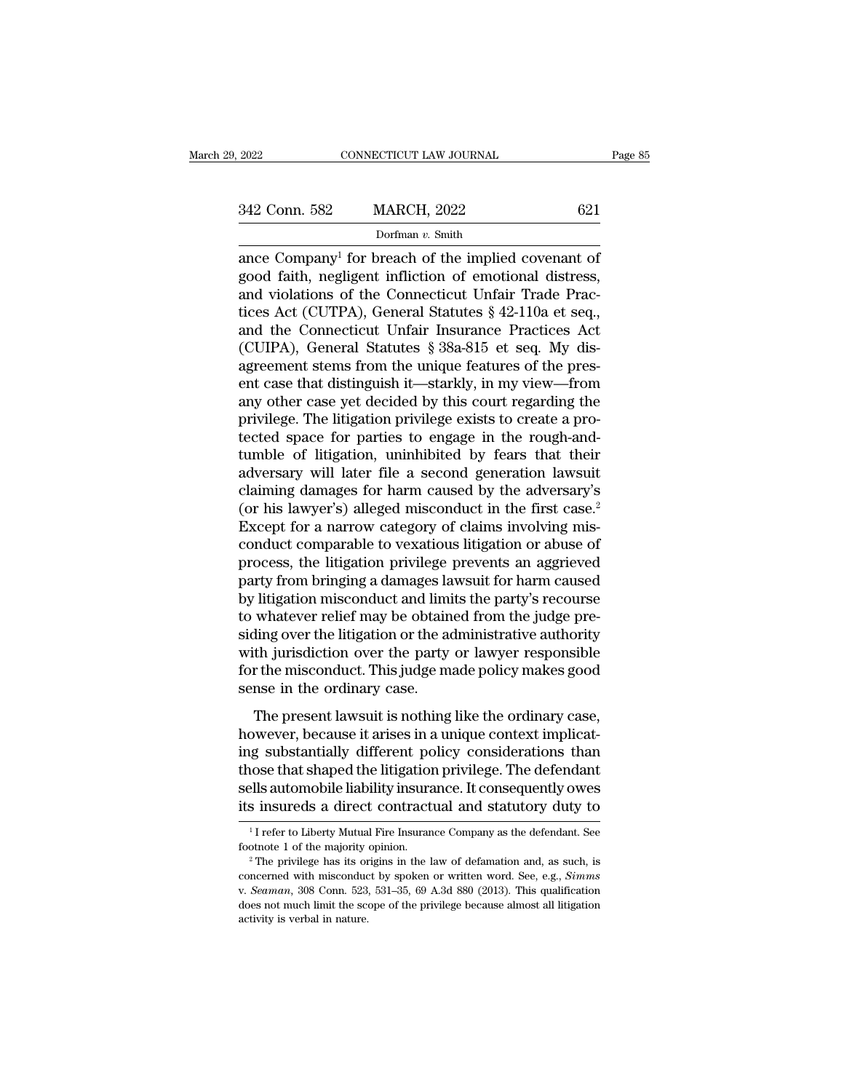EXERCT 2022 ENRICE COMPANY CONNECTICUT LAW JOURNAL Page 8<br>
342 Conn. 582 MARCH, 2022 621<br>
Dorfman v. Smith<br>
ance Company<sup>1</sup> for breach of the implied covenant of<br>
good faith, negligent infliction of emotional distress,<br>
an 342 Conn. 582 MARCH, 2022 621<br>Dorfman v. Smith<br>ance Company<sup>1</sup> for breach of the implied covenant of<br>good faith, negligent infliction of emotional distress,<br>and violations of the Connecticut Unfair Trade Prac-342 Conn. 582 MARCH, 2022 621<br>
Dorfman v. Smith<br>
ance Company<sup>1</sup> for breach of the implied covenant of<br>
good faith, negligent infliction of emotional distress,<br>
and violations of the Connecticut Unfair Trade Prac-<br>
tices 342 Conn. 582 MARCH, 2022 621<br>
Dorfman v. Smith<br>
ance Company<sup>1</sup> for breach of the implied covenant of<br>
good faith, negligent infliction of emotional distress,<br>
and violations of the Connecticut Unfair Trade Prac-<br>
tices Dorfman v. Smith<br>Dorfman v. Smith<br>good faith, negligent infliction of emotional distress,<br>and violations of the Connecticut Unfair Trade Prac-<br>tices Act (CUTPA), General Statutes § 42-110a et seq.,<br>and the Connecticut Unf Dortman v. Smuth<br>
ance Company<sup>1</sup> for breach of the implied covenant of<br>
good faith, negligent infliction of emotional distress,<br>
and violations of the Connecticut Unfair Trade Prac-<br>
tices Act (CUIPA), General Statutes § ance Company<sup>1</sup> for breach of the implied covenant of good faith, negligent infliction of emotional distress, and violations of the Connecticut Unfair Trade Practices Act (CUTPA), General Statutes  $\S$  42-110a et seq., and good faith, negligent infliction of emotional distress,<br>and violations of the Connecticut Unfair Trade Practices<br>Act (CUTPA), General Statutes § 42-110a et seq.,<br>and the Connecticut Unfair Insurance Practices Act<br>(CUIPA), and violations of the Connecticut Unfair Trade Practices Act (CUTPA), General Statutes § 42-110a et seq.,<br>and the Connecticut Unfair Insurance Practices Act<br>(CUIPA), General Statutes § 38a-815 et seq. My dis-<br>agreement ste tices Act (CUTPA), General Statutes § 42-110a et seq.,<br>and the Connecticut Unfair Insurance Practices Act<br>(CUIPA), General Statutes § 38a-815 et seq. My dis-<br>agreement stems from the unique features of the pres-<br>ent case t and the Connecticut Unfair Insurance Practices Act (CUIPA), General Statutes § 38a-815 et seq. My disagreement stems from the unique features of the present case that distinguish it—starkly, in my view—from any other case (CUIPA), General Statutes § 38a-815 et seq. My dis-<br>agreement stems from the unique features of the pres-<br>ent case that distinguish it—starkly, in my view—from<br>any other case yet decided by this court regarding the<br>privile agreement stems from the unique features of the present case that distinguish it—starkly, in my view—from<br>any other case yet decided by this court regarding the<br>privilege. The litigation privilege exists to create a pro-<br>t ent case that distinguish it—starkly, in my view—from<br>any other case yet decided by this court regarding the<br>privilege. The litigation privilege exists to create a pro-<br>tected space for parties to engage in the rough-and-<br> any other case yet decided by this court regarding the<br>privilege. The litigation privilege exists to create a pro-<br>tected space for parties to engage in the rough-and-<br>tumble of litigation, uninhibited by fears that their<br> privilege. The litigation privilege exists to create a protected space for parties to engage in the rough-and-<br>tumble of litigation, uninhibited by fears that their<br>adversary will later file a second generation lawsuit<br>cla tected space for parties to engage in the rough-and-<br>tumble of litigation, uninhibited by fears that their<br>adversary will later file a second generation lawsuit<br>claiming damages for harm caused by the adversary's<br>(or his l tumble of litigation, uninhibited by fears that their<br>adversary will later file a second generation lawsuit<br>claiming damages for harm caused by the adversary's<br>(or his lawyer's) alleged misconduct in the first case.<sup>2</sup><br>Exc adversary will later file a second generation lawsuit<br>claiming damages for harm caused by the adversary's<br>(or his lawyer's) alleged misconduct in the first case.<sup>2</sup><br>Except for a narrow category of claims involving mis-<br>con claiming damages for harm caused by the adversary's<br>
(or his lawyer's) alleged misconduct in the first case.<sup>2</sup><br>
Except for a narrow category of claims involving mis-<br>
conduct comparable to vexatious litigation or abuse of (or his lawyer's) alleged misconduct in the first case.<sup>2</sup><br>Except for a narrow category of claims involving mis-<br>conduct comparable to vexatious litigation or abuse of<br>process, the litigation privilege prevents an aggrieve Except for a narrow category of claims involving mis-<br>conduct comparable to vexatious litigation or abuse of<br>process, the litigation privilege prevents an aggrieved<br>party from bringing a damages lawsuit for harm caused<br>by conduct comparable to vexatious litigation or abuse of<br>process, the litigation privilege prevents an aggrieved<br>party from bringing a damages lawsuit for harm caused<br>by litigation misconduct and limits the party's recourse<br> process, the litigation privilege prevents an aggrieved<br>party from bringing a damages lawsuit for harm caused<br>by litigation misconduct and limits the party's recourse<br>to whatever relief may be obtained from the judge pre-<br> party from bringing a damages la<br>by litigation misconduct and limi<br>to whatever relief may be obtain<br>siding over the litigation or the aa<br>with jurisdiction over the party<br>for the misconduct. This judge m<br>sense in the ordina magazon misconduct and minis are party s recourse<br>whatever relief may be obtained from the judge pre-<br>ling over the litigation or the administrative authority<br>th jurisdiction over the party or lawyer responsible<br>r the misc to whatever reflect hay be obtained from the judge presiding over the litigation or the administrative authority<br>with jurisdiction over the party or lawyer responsible<br>for the misconduct. This judge made policy makes good<br>

Examg over the nagation of the administrative durinolly<br>with jurisdiction over the party or lawyer responsible<br>for the misconduct. This judge made policy makes good<br>sense in the ordinary case.<br>The present lawsuit is nothin what jurisdiction over the party of lawyer responsible<br>for the misconduct. This judge made policy makes good<br>sense in the ordinary case.<br>The present lawsuit is nothing like the ordinary case,<br>however, because it arises in For the inisconduct. This judge made policy makes good<br>sense in the ordinary case.<br>The present lawsuit is nothing like the ordinary case,<br>however, because it arises in a unique context implicat-<br>ing substantially different The present lawsuit is nothing like the ordinary case,<br>however, because it arises in a unique context implicating<br>substantially different policy considerations than<br>those that shaped the litigation privilege. The defendan ig substantially different policy considerations than<br>iose that shaped the litigation privilege. The defendant<br>ells automobile liability insurance. It consequently owes<br>insureds a direct contractual and statutory duty to<br>those that shaped the litigation privilege. The defendant sells automobile liability insurance. It consequently owes its insureds a direct contractual and statutory duty to  $\frac{1}{1}$  refer to Liberty Mutual Fire Insurance

footnote 1 of the majority opinion.

its insureds a direct contractual and statutory duty to<br>
<sup>1</sup>I refer to Liberty Mutual Fire Insurance Company as the defendant. See<br>
footnote 1 of the majority opinion.<br>
<sup>2</sup> The privilege has its origins in the law of defam  $^1$ I refer to Liberty Mutual Fire Insurance Company as the defendant. See footnote 1 of the majority opinion.<br>
<sup>2</sup> The privilege has its origins in the law of defamation and, as such, is concerned with misconduct by spok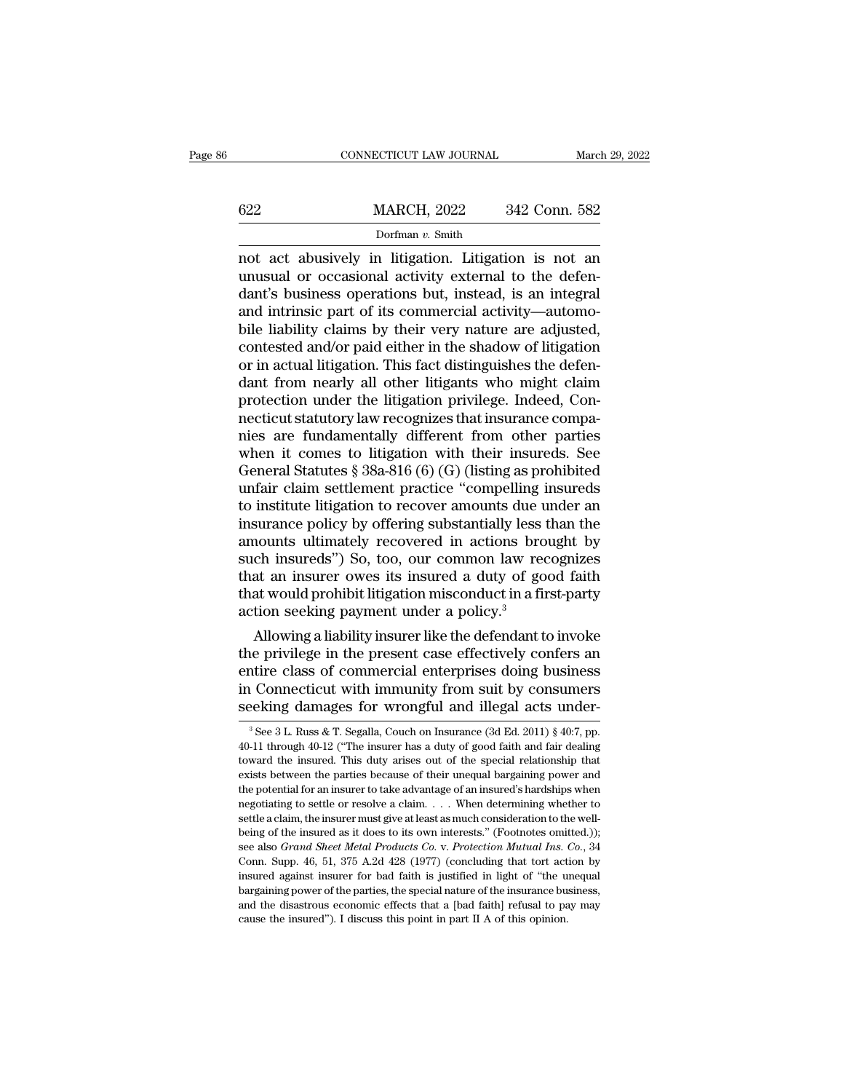|     | CONNECTICUT LAW JOURNAL |               | March 29, 2022 |
|-----|-------------------------|---------------|----------------|
|     |                         |               |                |
| 622 | <b>MARCH, 2022</b>      | 342 Conn. 582 |                |
|     | Dorfman v. Smith        |               |                |

 $\begin{array}{r} \text{COMRECTICUT LAW JOURNAL} \qquad \text{March 29, 2022} \ \end{array}$ <br>  $\begin{array}{r} \text{MARCH, 2022} \qquad \text{342 Conn. 582} \ \end{array}$ <br>  $\begin{array}{r} \text{Dorfman } v. \text{ Smith} \ \end{array}$ <br>
not act abusively in litigation. Litigation is not an unusual or occasional activity external to  $\frac{622}{\text{Doffman } v. \text{ Smith}}$ <br>
not act abusively in litigation. Litigation is not an unusual or occasional activity external to the defendant's business operations but, instead, is an integral and intrinsic part of its commerci  $\frac{\text{MARCH}}{\text{Dorfman } v \cdot \text{Smith}}$ <br>
Dorfman v. Smith<br>
not act abusively in litigation. Litigation is not an<br>
unusual or occasional activity external to the defen-<br>
dant's business operations but, instead, is an integral<br>
and intri  $\frac{\text{MARCH}}{\text{Dorfman } v \cdot \text{Smith}}$ <br>
not act abusively in litigation. Litigation is not an unusual or occasional activity external to the defendant's business operations but, instead, is an integral and intrinsic part of its commer borfman v. Smith<br>Dorfman v. Smith<br>not act abusively in litigation. Litigation is not an<br>unusual or occasional activity external to the defen-<br>dant's business operations but, instead, is an integral<br>and intrinsic part of i Dorfman v. Smith<br>not act abusively in litigation. Litigation is not an<br>unusual or occasional activity external to the defen-<br>dant's business operations but, instead, is an integral<br>and intrinsic part of its commercial act not act abusively in litigation. Litigation is not an unusual or occasional activity external to the defendant's business operations but, instead, is an integral and intrinsic part of its commercial activity—automobile lia unusual or occasional activity external to the defen-<br>dant's business operations but, instead, is an integral<br>and intrinsic part of its commercial activity—automo-<br>bile liability claims by their very nature are adjusted,<br>c dant's business operations but, instead, is an integral<br>and intrinsic part of its commercial activity—automo-<br>bile liability claims by their very nature are adjusted,<br>contested and/or paid either in the shadow of litigatio and intrinsic part of its commercial activity—automobile liability claims by their very nature are adjusted, contested and/or paid either in the shadow of litigation or in actual litigation. This fact distinguishes the def bile liability claims by their very nature are adjusted,<br>contested and/or paid either in the shadow of litigation<br>or in actual litigation. This fact distinguishes the defen-<br>dant from nearly all other litigation brivilege. contested and/or paid either in the shadow of litigation<br>or in actual litigation. This fact distinguishes the defen-<br>dant from nearly all other litigants who might claim<br>protection under the litigation privilege. Indeed, C or in actual litigation. This fact distinguishes the defen-<br>dant from nearly all other litigants who might claim<br>protection under the litigation privilege. Indeed, Con-<br>necticut statutory law recognizes that insurance comp dant from nearly all other litigants who might claim<br>protection under the litigation privilege. Indeed, Con-<br>necticut statutory law recognizes that insurance compa-<br>nies are fundamentally different from other parties<br>when protection under the litigation privilege. Indeed, Connecticut statutory law recognizes that insurance compa-<br>nies are fundamentally different from other parties<br>when it comes to litigation with their insureds. See<br>General necticut statutory law recognizes that insurance compa-<br>nies are fundamentally different from other parties<br>when it comes to litigation with their insureds. See<br>General Statutes § 38a-816 (6) (G) (listing as prohibited<br>unf mies are fundamentally different from other parties<br>when it comes to litigation with their insureds. See<br>General Statutes § 38a-816 (6) (G) (listing as prohibited<br>unfair claim settlement practice "compelling insureds<br>to in when it comes to litigation with their insureds. See<br>General Statutes  $\S 38a-816(6)(G)$  (listing as prohibited<br>unfair claim settlement practice "compelling insureds<br>to institute litigation to recover amounts due under an<br>i General Statutes § 38a-816 (6) (G) (listing as prohibited<br>unfair claim settlement practice "compelling insureds<br>to institute litigation to recover amounts due under an<br>insurance policy by offering substantially less than unfair claim settlement practice "compelling insureds<br>to institute litigation to recover amounts due under an<br>insurance policy by offering substantially less than the<br>amounts ultimately recovered in actions brought by<br>such to institute litigation to recover amounts due u<br>insurance policy by offering substantially less i<br>amounts ultimately recovered in actions bro<br>such insureds") So, too, our common law rec<br>that an insurer owes its insured a surance policy by offering substantially less than the<br>nounts ultimately recovered in actions brought by<br>ch insureds") So, too, our common law recognizes<br>at an insurer owes its insured a duty of good faith<br>at would prohibi amounts ultimately recovered in actions brought by<br>such insureds") So, too, our common law recognizes<br>that an insurer owes its insured a duty of good faith<br>that would prohibit litigation misconduct in a first-party<br>action

such insureds") So, too, our common law recognizes<br>that an insurer owes its insured a duty of good faith<br>that would prohibit litigation misconduct in a first-party<br>action seeking payment under a policy.<sup>3</sup><br>Allowing a liabi that an insurer owes its insured a duty of good faith<br>that would prohibit litigation misconduct in a first-party<br>action seeking payment under a policy.<sup>3</sup><br>Allowing a liability insurer like the defendant to invoke<br>the privi that would prohibit litigation misconduct in a first-party<br>action seeking payment under a policy.<sup>3</sup><br>Allowing a liability insurer like the defendant to invoke<br>the privilege in the present case effectively confers an<br>entir ie privilege in the present case effectively confers an attire class of commercial enterprises doing business<br>in Connecticut with immunity from suit by consumers<br>beking damages for wrongful and illegal acts under-<br><sup>3</sup>See entire class of commercial enterprises doing business<br>in Connecticut with immunity from suit by consumers<br>seeking damages for wrongful and illegal acts under-<br><sup>3</sup>See 3 L. Russ & T. Segalla, Couch on Insurance (3d Ed. 2011

in Connecticut with immunity from suit by consumers seeking damages for wrongful and illegal acts under-<br><sup>3</sup>See 3 L. Russ & T. Segalla, Couch on Insurance (3d Ed. 2011) § 40:7, pp. 40-11 through 40-12 ("The insurer has a seeking damages for wrongful and illegal acts under-<br><sup>3</sup>See 3 L. Russ & T. Segalla, Couch on Insurance (3d Ed. 2011) § 40:7, pp.<br>40-11 through 40-12 ("The insurer has a duty of good faith and fair dealing<br>toward the insur SEEKING GAINAGES IOT WIONGIUI and Inegal acts under-<br>
<sup>3</sup> See 3 L. Russ & T. Segalla, Couch on Insurance (3d Ed. 2011) § 40:7, pp.<br>
40-11 through 40-12 ("The insurer has a duty of good faith and fair dealing<br>
toward the i <sup>3</sup> See 3 L. Russ & T. Segalla, Couch on Insurance (3d Ed. 2011) § 40:7, pp. 40-11 through 40-12 ("The insurer has a duty of good faith and fair dealing toward the insured. This duty arises out of the special relationship 40-11 through 40-12 ("The insurer has a duty of good faith and fair dealing toward the insured. This duty arises out of the special relationship that exists between the parties because of their unequal bargaining power an betwomatrix toward the insured. This duty arises out of the special relationship that exists between the parties because of their unequal bargaining power and the potential for an insurer to take advantage of an insured's exists between the parties because of their unequal bargaining power and the potential for an insurer to take advantage of an insured's hardships when negotiating to settle or resolve a claim. . . . When determining whethe the potential for an insurer to take advantage of an insured's hardships when negotiating to settle or resolve a claim.  $\ldots$  When determining whether to settle a claim, the insurer must give at least as much consideratio negotiating to settle or resolve a claim. . . . When determining whether to settle a claim, the insurer must give at least as much consideration to the well-<br>being of the insured as it does to its own interests." (Footnot settle a claim, the insurer must give at least as much consideration to the well-<br>being of the insured as it does to its own interests." (Footnotes omitted.));<br>see also *Grand Sheet Metal Products Co.* v. *Protection Mutu* being of the insured as it does to its own interests." (Footnotes omitted.));<br>see also *Grand Sheet Metal Products Co.* v. *Protection Mutual Ins. Co.*, 34<br>Conn. Supp. 46, 51, 375 A.2d 428 (1977) (concluding that tort acti see also Grand Sheet Metal Products Co. v. Protection Mutual Ins. Co., 34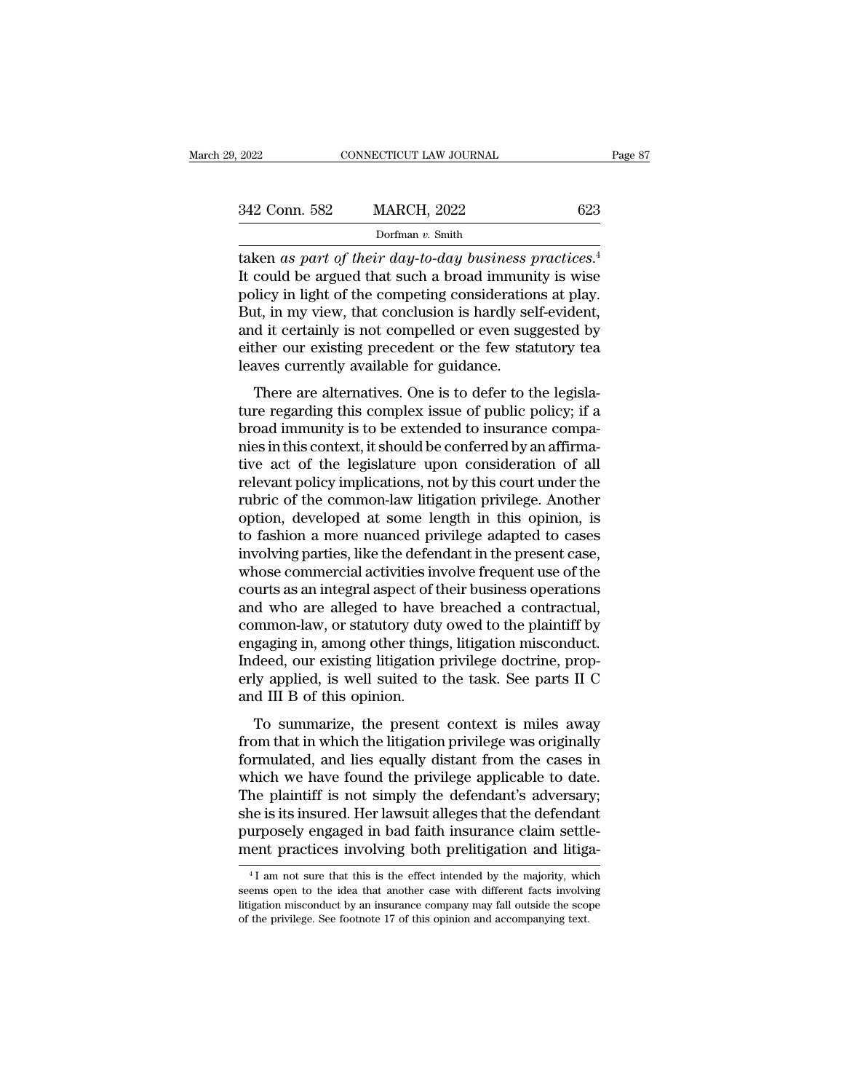|         |               | Dorfman $v$ . Smith     |     |         |
|---------|---------------|-------------------------|-----|---------|
|         | 342 Conn. 582 | <b>MARCH, 2022</b>      | 623 |         |
| 9, 2022 |               | CONNECTICUT LAW JOURNAL |     | Page 87 |

342 Conn. 582 MARCH, 2022 623<br>Dorfman v. Smith<br>taken as part of their day-to-day business practices.<sup>4</sup><br>It could be argued that such a broad immunity is wise<br>policy in light of the competing considerations at play.<br>But in 342 Conn. 582 MARCH, 2022 623<br>
Dorfman v. Smith<br>
taken as part of their day-to-day business practices.<sup>4</sup><br>
It could be argued that such a broad immunity is wise<br>
policy in light of the competing considerations at play.<br>
B 342 Conn. 582 MARCH, 2022 623<br>
Dorfman v. Smith<br>
taken as part of their day-to-day business practices.<sup>4</sup><br>
It could be argued that such a broad immunity is wise<br>
policy in light of the competing considerations at play.<br>
B Dorfman v. Smith<br>Dorfman v. Smith<br>It could be argued that such a broad immunity is wise<br>policy in light of the competing considerations at play.<br>But, in my view, that conclusion is hardly self-evident,<br>and it certainly is borman v. Smuth<br>taken as part of their day-to-day business practices.<sup>4</sup><br>It could be argued that such a broad immunity is wise<br>policy in light of the competing considerations at play.<br>But, in my view, that conclusion is h taken *as part of their day-to-day business*  $\mu$  It could be argued that such a broad immunipolicy in light of the competing consideration But, in my view, that conclusion is hardly see and it certainly is not compelled There are alternatives. One is to defer to the legislation and immunity is wise<br>thicy in light of the competing considerations at play.<br>It, in my view, that conclusion is hardly self-evident,<br>d it certainly is not compelle Follow III light of the competing considerations at play.<br>But, in my view, that conclusion is hardly self-evident,<br>and it certainly is not compelled or even suggested by<br>either our existing precedent or the few statutory t

but, if hy view, that conclusion is hardly sen-evident,<br>and it certainly is not compelled or even suggested by<br>either our existing precedent or the few statutory tea<br>leaves currently available for guidance.<br>There are alter and a certainly is not compened of even suggested by<br>either our existing precedent or the few statutory tea<br>leaves currently available for guidance.<br>There are alternatives. One is to defer to the legisla-<br>ture regarding th terate our existing precedent of the rew statutory teatles<br>leaves currently available for guidance.<br>There are alternatives. One is to defer to the legisla-<br>ture regarding this complex issue of public policy; if a<br>broad imm relatives currently available for guidance.<br>There are alternatives. One is to defer to the legislature regarding this complex issue of public policy; if a<br>broad immunity is to be extended to insurance compa-<br>nies in this c There are alternatives. One is to defer to the legislature regarding this complex issue of public policy; if a broad immunity is to be extended to insurance companies in this context, it should be conferred by an affirmati ture regarding this complex issue of public policy; if a<br>broad immunity is to be extended to insurance compa-<br>nies in this context, it should be conferred by an affirma-<br>tive act of the legislature upon consideration of al broad immunity is to be extended to insurance compa-<br>nies in this context, it should be conferred by an affirma-<br>tive act of the legislature upon consideration of all<br>relevant policy implications, not by this court under t nies in this context, it should be conferred by an affirmative act of the legislature upon consideration of all relevant policy implications, not by this court under the rubric of the common-law litigation privilege. Anoth tive act of the legislature upon consideration of all<br>relevant policy implications, not by this court under the<br>rubric of the common-law litigation privilege. Another<br>option, developed at some length in this opinion, is<br>to relevant policy implications, not by this court under the rubric of the common-law litigation privilege. Another option, developed at some length in this opinion, is to fashion a more nuanced privilege adapted to cases inv rubric of the common-law litigation privilege. Another<br>option, developed at some length in this opinion, is<br>to fashion a more nuanced privilege adapted to cases<br>involving parties, like the defendant in the present case,<br>wh option, developed at some length in this opinion, is<br>to fashion a more nuanced privilege adapted to cases<br>involving parties, like the defendant in the present case,<br>whose commercial activities involve frequent use of the<br>c to fashion a more nuanced privilege adapted to cases<br>involving parties, like the defendant in the present case,<br>whose commercial activities involve frequent use of the<br>courts as an integral aspect of their business operati involving parties, like the defendant in the present case,<br>whose commercial activities involve frequent use of the<br>courts as an integral aspect of their business operations<br>and who are alleged to have breached a contractua whose commercial activities involve frequent use of the courts as an integral aspect of their business operations<br>and who are alleged to have breached a contractual, common-law, or statutory duty owed to the plaintiff by<br>e courts as an integral aspect of t<br>and who are alleged to have<br>common-law, or statutory duty<br>engaging in, among other thing<br>Indeed, our existing litigation<br>erly applied, is well suited to<br>and III B of this opinion.<br>To summa It who are ancged to have breached a contractual,<br>mmon-law, or statutory duty owed to the plaintiff by<br>gaging in, among other things, litigation misconduct.<br>deed, our existing litigation privilege doctrine, prop-<br>ly applie From that in among other things, litigation misconduct.<br>Indeed, our existing litigation privilege doctrine, properly applied, is well suited to the task. See parts II<br>C and III B of this opinion.<br>To summarize, the present

England in, allong other timgs, higation inisconduct.<br>Indeed, our existing litigation privilege doctrine, properly applied, is well suited to the task. See parts II C<br>and III B of this opinion.<br>To summarize, the present co mated, our existing initiation privilege aboutine, properly applied, is well suited to the task. See parts II C and III B of this opinion.<br>To summarize, the present context is miles away from that in which the litigation p Erly applied, is well stated to the task. See parts if  $C$ <br>and III B of this opinion.<br>To summarize, the present context is miles away<br>from that in which the litigation privilege was originally<br>formulated, and lies equally To summarize, the present context is miles away<br>from that in which the litigation privilege was originally<br>formulated, and lies equally distant from the cases in<br>which we have found the privilege applicable to date.<br>The pl To summarize, the present context is miles away<br>from that in which the litigation privilege was originally<br>formulated, and lies equally distant from the cases in<br>which we have found the privilege applicable to date.<br>The pl from that in which the litigation privilege was originally formulated, and lies equally distant from the cases in which we have found the privilege applicable to date. The plaintiff is not simply the defendant's adversary the plaintiff is not simply the detendant's adversary;<br>ne is its insured. Her lawsuit alleges that the defendant<br>urposely engaged in bad faith insurance claim settle-<br>ent practices involving both prelitigation and litiga-<br> she is its insured. Her lawsuit alleges that the defendant<br>purposely engaged in bad faith insurance claim settle-<br>ment practices involving both prelitigation and litiga-<br><sup>4</sup>I am not sure that this is the effect intended by

purposely engaged in bad faith insurance claim settlement practices involving both prelitigation and litiga-<br><sup>4</sup>I am not sure that this is the effect intended by the majority, which<br>seems open to the idea that another case ment practices involving both prelitigation and litig.<br>
<sup>4</sup>I am not sure that this is the effect intended by the majority, whis<br>
seems open to the idea that another case with different facts involvi-<br>
litigation misconduct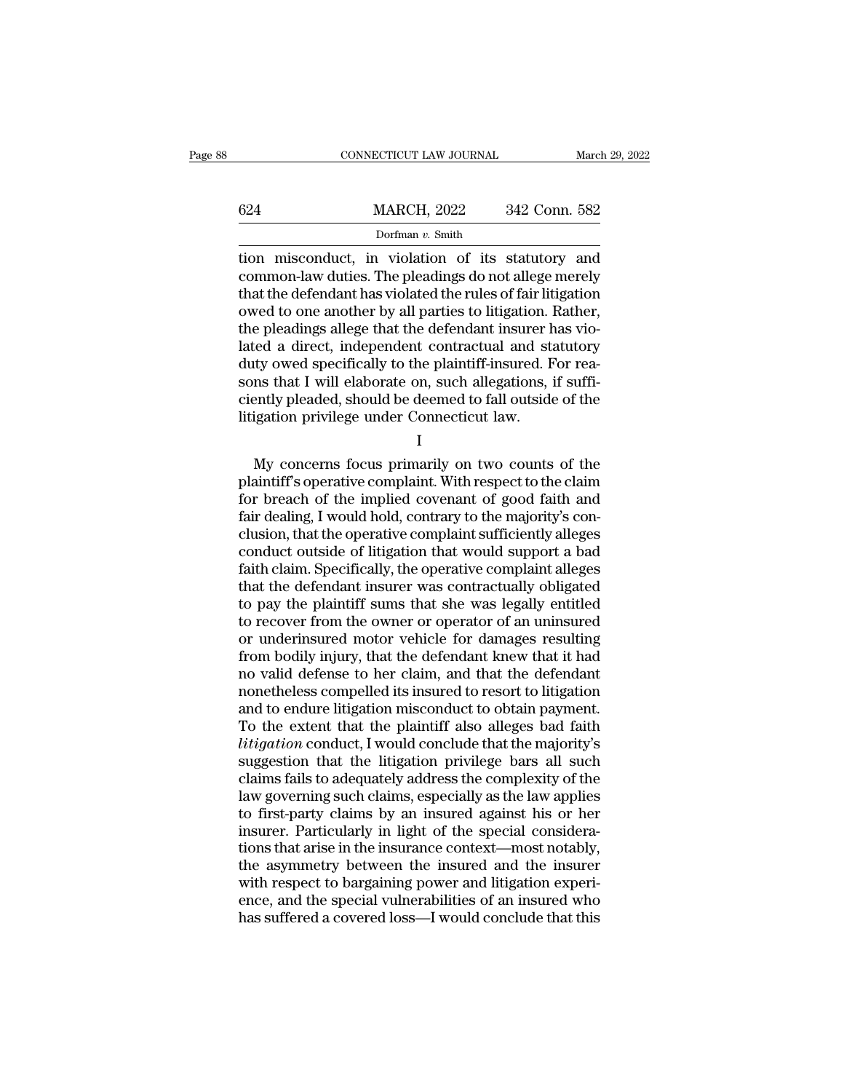|     | CONNECTICUT LAW JOURNAL                                                                                                                                                     | March 29, 2022 |
|-----|-----------------------------------------------------------------------------------------------------------------------------------------------------------------------------|----------------|
| 624 | <b>MARCH, 2022</b>                                                                                                                                                          | 342 Conn. 582  |
|     | Dorfman $v$ . Smith                                                                                                                                                         |                |
|     | tion misconduct, in violation of its statutory and<br>common-law duties. The pleadings do not allege merely<br>that the defendant has violated the rules of fair litigation |                |

624 MARCH, 2022 342 Conn. 582<br>Dorfman v. Smith<br>tion misconduct, in violation of its statutory and<br>common-law duties. The pleadings do not allege merely<br>that the defendant has violated the rules of fair litigation<br>owed to o 624 MARCH, 2022 342 Conn. 582<br>Dorfman v. Smith<br>tion misconduct, in violation of its statutory and<br>common-law duties. The pleadings do not allege merely<br>that the defendant has violated the rules of fair litigation<br>owed to 624 MARCH, 2022 342 Conn. 582<br>
Dorfman v. Smith<br>
tion misconduct, in violation of its statutory and<br>
common-law duties. The pleadings do not allege merely<br>
that the defendant has violated the rules of fair litigation<br>
owe Dorfman v. Smith<br>Dorfman v. Smith<br>common-law duties. The pleadings do not allege merely<br>that the defendant has violated the rules of fair litigation<br>owed to one another by all parties to litigation. Rather,<br>the pleadings Dorfman v. Smith<br>
tion misconduct, in violation of its statutory and<br>
common-law duties. The pleadings do not allege merely<br>
that the defendant has violated the rules of fair litigation<br>
owed to one another by all parties tion misconduct, in violation of its statutory and<br>common-law duties. The pleadings do not allege merely<br>that the defendant has violated the rules of fair litigation<br>owed to one another by all parties to litigation. Rather common-law duties. The pleadings do not allege merely<br>that the defendant has violated the rules of fair litigation<br>owed to one another by all parties to litigation. Rather,<br>the pleadings allege that the defendant insurer h that the defendant has violated the rules of fair litigation<br>owed to one another by all parties to litigation. Rather,<br>the pleadings allege that the defendant insurer has vio-<br>lated a direct, independent contractual and st owed to one another by all parties to litigation. I<br>the pleadings allege that the defendant insurer hated a direct, independent contractual and st:<br>duty owed specifically to the plaintiff-insured. F<br>sons that I will elabor Example 12 and the plaintiff-insured. For rea-<br>ms that I will elaborate on, such allegations, if suffi-<br>ently pleaded, should be deemed to fall outside of the<br>igation privilege under Connecticut law.<br>I<br>My concerns focus pr

I

and the plant of the plant of the same significantly pleaded, should be deemed to fall outside of the litigation privilege under Connecticut law.<br>
I<br>
My concerns focus primarily on two counts of the plaintiff's operative c For breach of the inplied contrary to the majority's conclusion that the operative complaint. With respect to the claim<br>for breach of the implied covenant of good faith and<br>fair dealing, I would hold, contrary to the major Fairly preated, should be decided to fail outside of the litigation privilege under Connecticut law.<br>
I<br>
My concerns focus primarily on two counts of the<br>
plaintiff's operative complaint. With respect to the claim<br>
for bre I<br>I<br>My concerns focus primarily on two counts of the<br>plaintiff's operative complaint. With respect to the claim<br>for breach of the implied covenant of good faith and<br>fair dealing, I would hold, contrary to the majority's co I<br>My concerns focus primarily on two counts of the<br>plaintiff's operative complaint. With respect to the claim<br>for breach of the implied covenant of good faith and<br>fair dealing, I would hold, contrary to the majority's con-My concerns focus primarily on two counts of the plaintiff's operative complaint. With respect to the claim for breach of the implied covenant of good faith and fair dealing, I would hold, contrary to the majority's conclu plaintiff's operative complaint. With respect to the claim<br>for breach of the implied covenant of good faith and<br>fair dealing, I would hold, contrary to the majority's con-<br>clusion, that the operative complaint sufficiently for breach of the implied covenant of good faith and<br>fair dealing, I would hold, contrary to the majority's con-<br>clusion, that the operative complaint sufficiently alleges<br>conduct outside of litigation that would support a fair dealing, I would hold, contrary to the majority's conclusion, that the operative complaint sufficiently alleges<br>conduct outside of litigation that would support a bad<br>faith claim. Specifically, the operative complaint clusion, that the operative complaint sufficiently alleges<br>conduct outside of litigation that would support a bad<br>faith claim. Specifically, the operative complaint alleges<br>that the defendant insurer was contractually obli conduct outside of litigation that would support a bad<br>faith claim. Specifically, the operative complaint alleges<br>that the defendant insurer was contractually obligated<br>to pay the plaintiff sums that she was legally entitl faith claim. Specifically, the operative complaint alleges<br>that the defendant insurer was contractually obligated<br>to pay the plaintiff sums that she was legally entitled<br>to recover from the owner or operator of an uninsure that the defendant insurer was contractually obligated<br>to pay the plaintiff sums that she was legally entitled<br>to recover from the owner or operator of an uninsured<br>or underinsured motor vehicle for damages resulting<br>from to pay the plaintiff sums that she was legally entitled<br>to recover from the owner or operator of an uninsured<br>or underinsured motor vehicle for damages resulting<br>from bodily injury, that the defendant knew that it had<br>no v to recover from the owner or operator of an uninsured<br>or underinsured motor vehicle for damages resulting<br>from bodily injury, that the defendant knew that it had<br>no valid defense to her claim, and that the defendant<br>noneth or underinsured motor vehicle for damages resulting<br>from bodily injury, that the defendant knew that it had<br>no valid defense to her claim, and that the defendant<br>nonetheless compelled its insured to resort to litigation<br>an from bodily injury, that the defendant knew that it had<br>no valid defense to her claim, and that the defendant<br>nonetheless compelled its insured to resort to litigation<br>and to endure litigation misconduct to obtain payment. no valid defense to her claim, and that the defendant<br>nonetheless compelled its insured to resort to litigation<br>and to endure litigation misconduct to obtain payment.<br>To the extent that the plaintiff also alleges bad faith nonetheless compelled its insured to resort to litigation<br>and to endure litigation misconduct to obtain payment.<br>To the extent that the plaintiff also alleges bad faith<br>*litigation* conduct, I would conclude that the major and to endure litigation misconduct to obtain payment.<br>To the extent that the plaintiff also alleges bad faith<br>*litigation* conduct, I would conclude that the majority's<br>suggestion that the litigation privilege bars all su To the extent that the plaintiff also alleges bad faith<br>litigation conduct, I would conclude that the majority's<br>suggestion that the litigation privilege bars all such<br>claims fails to adequately address the complexity of t *litigation* conduct, I would conclude that the majority's suggestion that the litigation privilege bars all such claims fails to adequately address the complexity of the law governing such claims, especially as the law ap suggestion that the litigation privilege bars all such<br>claims fails to adequately address the complexity of the<br>law governing such claims, especially as the law applies<br>to first-party claims by an insured against his or he claims fails to adequately address the complexity of the<br>law governing such claims, especially as the law applies<br>to first-party claims by an insured against his or her<br>insurer. Particularly in light of the special conside law governing such claims, especially as the law applies<br>to first-party claims by an insured against his or her<br>insurer. Particularly in light of the special considera-<br>tions that arise in the insurance context—most notabl to first-party claims by an insured against his or her insurer. Particularly in light of the special considerations that arise in the insurance context—most notably, the asymmetry between the insured and the insurer with r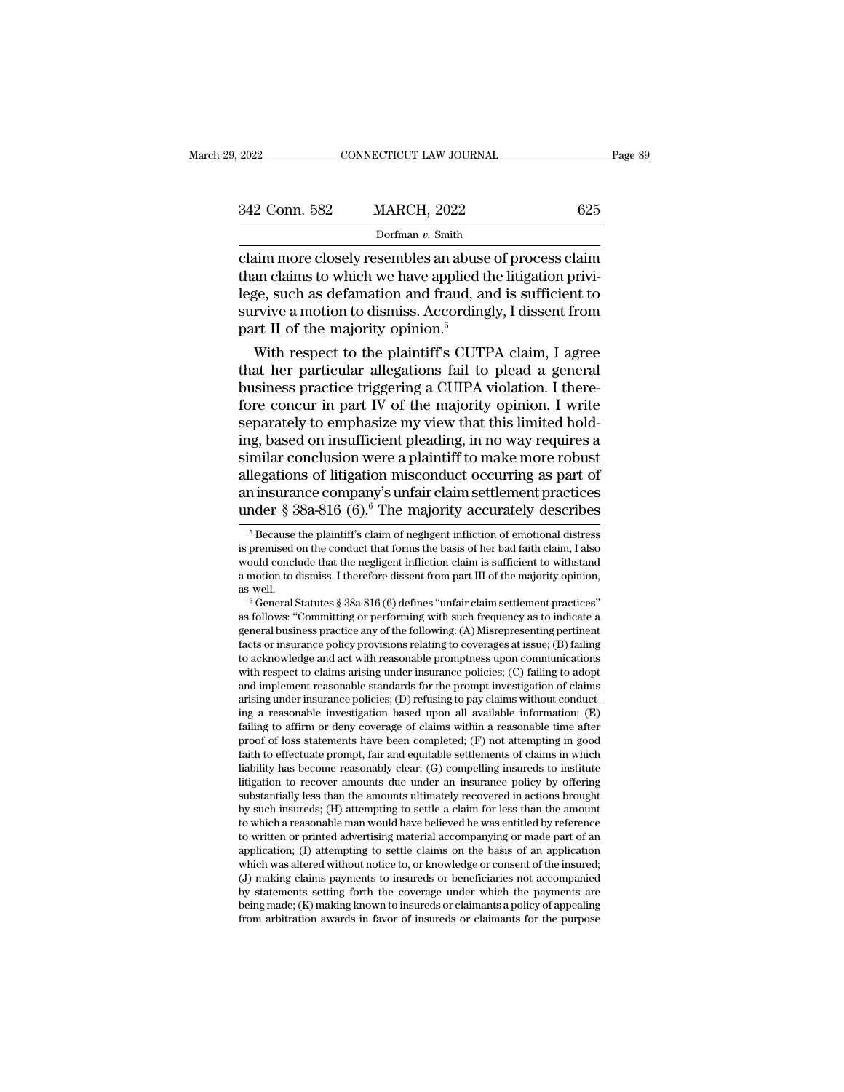| 2022          | CONNECTICUT LAW JOURNAL | Page 89 |
|---------------|-------------------------|---------|
| 342 Conn. 582 | <b>MARCH, 2022</b>      | 625     |
|               | Dorfman v. Smith        |         |

connectricut LAW JOURNAL Page 89<br>
342 Conn. 582 MARCH, 2022 625<br>
Dorfman v. Smith<br>
claim more closely resembles an abuse of process claim<br>
than claims to which we have applied the litigation privi-342 Conn. 582 MARCH, 2022 625<br>Dorfman v. Smith<br>Claim more closely resembles an abuse of process claim<br>than claims to which we have applied the litigation privi-<br>lege, such as defamation and fraud, and is sufficient to<br>sur 342 Conn. 582 MARCH, 2022 625<br>
Dorfman v. Smith<br>
claim more closely resembles an abuse of process claim<br>
than claims to which we have applied the litigation privi-<br>
lege, such as defamation and fraud, and is sufficient to 342 Conn. 582 MARCH, 2022 625<br>
Dorfman v. Smith<br>
claim more closely resembles an abuse of process claim<br>
than claims to which we have applied the litigation privi-<br>
lege, such as defamation and fraud, and is sufficient to  $\frac{DCE}{D}$  or  $\frac{DCE}{D}$  or  $\frac{DCE}{D}$ <br>Dorfman v. Smith<br>Idaim more closely resembles an abuse<br>than claims to which we have applied tl<br>lege, such as defamation and fraud, ar<br>survive a motion to dismiss. According<br>part II o  $\frac{1}{2}$  comain  $\frac{1}{2}$  comain  $\frac{1}{2}$  comain and claims to which we have applied the litigation privi-<br>ge, such as defamation and fraud, and is sufficient to<br>rvive a motion to dismiss. Accordingly, I dissent from<br>rt claim more closely resembles an abuse of process claim<br>than claims to which we have applied the litigation privi-<br>lege, such as defamation and fraud, and is sufficient to<br>survive a motion to dismiss. Accordingly, I dissen

than claims to which we have applied the litigation privi-<br>lege, such as defamation and fraud, and is sufficient to<br>survive a motion to dismiss. Accordingly, I dissent from<br>part II of the majority opinion.<sup>5</sup><br>With respect lege, such as defamation and fraud, and is sufficient to<br>survive a motion to dismiss. Accordingly, I dissent from<br>part II of the majority opinion.<sup>5</sup><br>With respect to the plaintiff's CUTPA claim, I agree<br>that her particular survive a motion to dismiss. Accordingly, I dissent from<br>part II of the majority opinion.<sup>5</sup><br>With respect to the plaintiff's CUTPA claim, I agree<br>that her particular allegations fail to plead a general<br>business practice tr part II of the majority opinion.<sup>9</sup><br>With respect to the plaintiff's CUTPA claim, I agree<br>that her particular allegations fail to plead a general<br>business practice triggering a CUIPA violation. I there-<br>fore concur in part With respect to the plaintiff's CUTPA claim, I agree<br>that her particular allegations fail to plead a general<br>business practice triggering a CUIPA violation. I there-<br>fore concur in part IV of the majority opinion. I write<br> that her particular allegations fail to plead a general<br>business practice triggering a CUIPA violation. I there-<br>fore concur in part IV of the majority opinion. I write<br>separately to emphasize my view that this limited ho business practice triggering a CUIPA violation. I therefore concur in part IV of the majority opinion. I write<br>separately to emphasize my view that this limited hold-<br>ing, based on insufficient pleading, in no way requires fore concur in part IV of the majority opinion. I write<br>separately to emphasize my view that this limited hold-<br>ing, based on insufficient pleading, in no way requires a<br>similar conclusion were a plaintiff to make more ro milar conclusion were a plaintiff to make more robust<br>legations of litigation misconduct occurring as part of<br>ninsurance company's unfair claim settlement practices<br>nder § 38a-816 (6).<sup>6</sup> The majority accurately describes<br> allegations of litigation misconduct occurring as part of<br>an insurance company's unfair claim settlement practices<br>under § 38a-816 (6).<sup>6</sup> The majority accurately describes<br><sup>5</sup> Because the plaintiff's claim of negligent i

and insurance company's unfair claim settlement practices<br>
under § 38a-816 (6).<sup>6</sup> The majority accurately describes<br>
<sup>5</sup> Because the plaintiff's claim of negligent infliction of emotional distress<br>
is premised on the con under § 38a-816 (6).<sup>6</sup> The majority accurately describes<br>
<sup>5</sup> Because the plaintiff's claim of negligent infliction of emotional distress<br>
is premised on the conduct that forms the basis of her bad faith claim, I also<br>
w under § 38a-816 (6).<sup>6</sup> The majority accurately describes<br>
<sup>5</sup> Because the plaintiff's claim of negligent infliction of emotional distress<br>
is premised on the conduct that forms the basis of her bad faith claim, I also<br>
w <sup>9</sup> Because the plaintiff sclaim of negligent infliction of emotional distress<br>is premised on the conduct that forms the basis of her bad faith claim, I also<br>would conclude that the negligent infliction claim is sufficient

is premised on the conduct that forms the basis of her bad faith claim, I also<br>would conclude that the negligent infliction claim is sufficient to withstand<br>a motion to dismiss. I therefore dissent from part III of the maj would conclude that the negligent infliction claim is sufficient to withstand<br>a motion to dismiss. I therefore dissent from part III of the majority opinion,<br>as well.<br><sup>6</sup> General Statutes § 38a-816 (6) defines "unfair clai a motion to aismiss. I therefore aissent from part iii of the majority opinion,<br>
as well.<br>
<sup>6</sup> General Statutes § 38a-816 (6) defines "unfair claim settlement practices"<br>
as follows: "Committing or performing with such fre as well.<br>  $\degree$  General Statutes § 38a-816 (6) defines "unfair claim settlement practices"<br>
as follows: "Committing or performing with such frequency as to indicate a<br>
general business practice any of the following: (A) Mi <sup>o</sup> General statutes § 38a-816 (6) dennes "untair claim settlement practices"<br>as follows: "Committing or performing with such frequency as to indicate a<br>general business practice any of the following: (A) Misrepresenting as follows: Committing or performing with such frequency as to indicate a<br>general business practice any of the following: (A) Misrepresenting pertinent<br>facts or insurance policy provisions relating to coverages at issue; ( general business practice any of the following: (A) Misrepresenting pertinent<br>facts or insurance policy provisions relating to coverages at issue; (B) failing<br>to acknowledge and act with reasonable promptness upon communic facts or insurance policy provisions relating to coverages at issue; (B) railing to acknowledge and act with reasonable promptness upon communications with respect to claims arising under insurance policies; (C) failing t to acknowledge and act with reasonable prompmess upon communications<br>with respect to claims arising under insurance policies; (C) failing to adopt<br>and implement reasonable standards for the prompt investigation of claims<br> with respect to ciaims arising under insurance poicies;  $(C)$  railing to adopt<br>and implement reasonable standards for the prompt investigation of claims<br>arising under insurance policies;  $(D)$  refusing to pay claims without and implement reasonable standards for the prompt investigation of claims<br>arising under insurance policies; (D) refusing to pay claims without conduct-<br>ing a reasonable investigation based upon all available information; arising under insurance policies; (D) rerusing to pay claims without conducting a reasonable investigation based upon all available information; (E) failing to affirm or deny coverage of claims within a reasonable time af ing a reasonable investigation based upon all available information; (E) failing to affirm or deny coverage of claims within a reasonable time after proof of loss statements have been completed; (F) not attempting in good litigation to recover amounts due under an insurance policy by offering substantially less than the amounts ultimately recovered in actions brought by such insureds; (H) attempting to settle a claim for less than the amoun proof of loss statements nave been completed; (F) not attempting in good<br>faith to effectuate prompt, fair and equitable settlements of claims in which<br>liability has become reasonably clear; (G) compelling insureds to insti taun to enectuate prompt, aar and equitable settlements of claims in which<br>liability has become reasonably clear; (G) compelling insureds to institute<br>litigation to recover amounts due under an insurance policy by offering mability has become reasonably clear; (G) compelling insureds to institute litigation to recover amounts due under an insurance policy by offering substantially less than the amounts ultimately recovered in actions brough mugation to recover amounts due under an insurance poincy by otiering<br>substantially less than the amounts ultimately recovered in actions brought<br>by such insureds; (H) attempting to settle a claim for less than the amount<br> substantially less than the amounts ultimately recovered in actions brought<br>by such insureds; (H) attempting to settle a claim for less than the amount<br>to which a reasonable man would have believed he was entitled by refer by such insureas; (H) attempting to settie a claim for less than the amount<br>to which a reasonable man would have believed he was entitled by reference<br>to written or printed advertising material accompanying or made part of to which a reasonable man would have believed he was entitled by reference<br>to written or printed advertising material accompanying or made part of an<br>application; (I) attempting to settle claims on the basis of an applicat application; (I) attempting to settle claims on the basis of an application which was altered without notice to, or knowledge or consent of the insured; (J) making claims payments to insureds or beneficiaries not accompan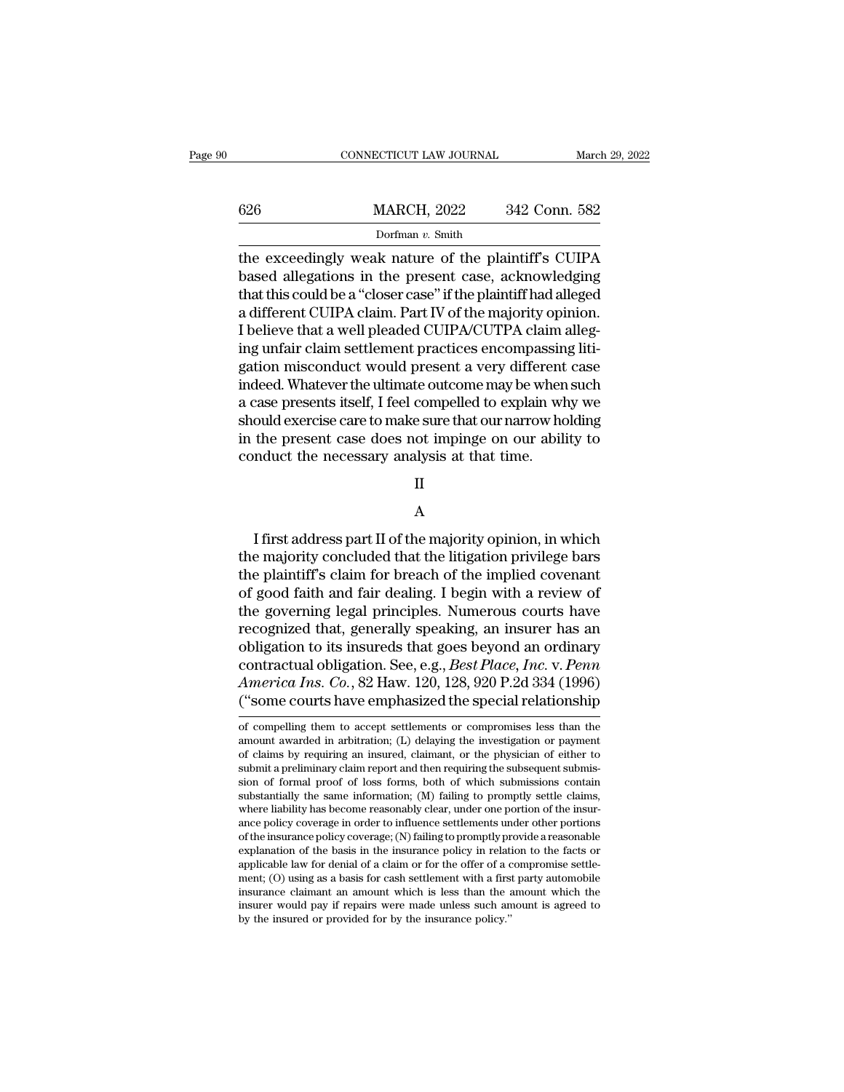|     | CONNECTICUT LAW JOURNAL                                                                                                                                                         |               | March 29, 2022 |
|-----|---------------------------------------------------------------------------------------------------------------------------------------------------------------------------------|---------------|----------------|
|     |                                                                                                                                                                                 |               |                |
| 626 | <b>MARCH, 2022</b>                                                                                                                                                              | 342 Conn. 582 |                |
|     | Dorfman $v$ . Smith                                                                                                                                                             |               |                |
|     | the exceedingly weak nature of the plaintiff's CUIPA<br>based allegations in the present case, acknowledging<br>that this could be a "closer case" if the plaintiff had alloced |               |                |

626 MARCH, 2022 342 Conn. 582<br>Dorfman v. Smith<br>the exceedingly weak nature of the plaintiff's CUIPA<br>based allegations in the present case, acknowledging<br>that this could be a "closer case" if the plaintiff had alleged<br>a di 626 MARCH, 2022 342 Conn. 582<br>Dorfman v. Smith<br>the exceedingly weak nature of the plaintiff's CUIPA<br>based allegations in the present case, acknowledging<br>that this could be a "closer case" if the plaintiff had alleged<br>a di  $\frac{\text{MARCH}}{\text{Dorfman } v \cdot \text{Smith}}$ <br>
Dorfman  $v \cdot \text{Smith}}$ <br>
the exceedingly weak nature of the plaintiff's CUIPA<br>
based allegations in the present case, acknowledging<br>
that this could be a "closer case" if the plaintiff had alleged<br>
a Dorfman v. Smith<br>Dorfman v. Smith<br>the exceedingly weak nature of the plaintiff's CUIPA<br>based allegations in the present case, acknowledging<br>that this could be a "closer case" if the plaintiff had alleged<br>a different CUIPA  $\frac{1}{2}$  borman v. smuth<br>the exceedingly weak nature of the plaintiff's CUIPA<br>based allegations in the present case, acknowledging<br>that this could be a "closer case" if the plaintiff had alleged<br>a different CUIPA claim. the exceedingly weak nature of the plaintiff's CUIPA<br>based allegations in the present case, acknowledging<br>that this could be a "closer case" if the plaintiff had alleged<br>a different CUIPA claim. Part IV of the majority opi based allegations in the present case, acknowledging<br>that this could be a "closer case" if the plaintiff had alleged<br>a different CUIPA claim. Part IV of the majority opinion.<br>I believe that a well pleaded CUIPA/CUTPA claim that this could be a "closer case" if the plaintiff had alleged<br>a different CUIPA claim. Part IV of the majority opinion.<br>I believe that a well pleaded CUIPA/CUTPA claim alleg-<br>ing unfair claim settlement practices encompa a different CUIPA claim. Part IV of the majority opinion.<br>I believe that a well pleaded CUIPA/CUTPA claim alleg-<br>ing unfair claim settlement practices encompassing liti-<br>gation misconduct would present a very different cas I believe that a well pleaded CUIPA/CUTPA claim alleg-<br>ing unfair claim settlement practices encompassing liti-<br>gation misconduct would present a very different case<br>indeed. Whatever the ultimate outcome may be when such<br>a ing unfair claim settlement practices encompassin<br>gation misconduct would present a very different<br>indeed. Whatever the ultimate outcome may be when<br>a case presents itself, I feel compelled to explain wh<br>should exercise ca

II

## A

First address part II of the majority opinion, in which<br>a principal conduct the necessary analysis at that time.<br>II<br>A<br>I first address part II of the majority opinion, in which<br>e majority concluded that the litigation privi the majority conduct the necessary analysis at that time.<br>
II<br>
A<br>
I first address part II of the majority opinion, in which<br>
the majority concluded that the litigation privilege bars<br>
the plaintiff's claim for breach of th II<br>
A<br>
I first address part II of the majority opinion, in which<br>
the majority concluded that the litigation privilege bars<br>
the plaintiff's claim for breach of the implied covenant<br>
of good faith and fair dealing. I begin II<br>
A<br>
I first address part II of the majority opinion, in which<br>
the majority concluded that the litigation privilege bars<br>
the plaintiff's claim for breach of the implied covenant<br>
of good faith and fair dealing. I begin A<br>
I first address part II of the majority opinion, in which<br>
the majority concluded that the litigation privilege bars<br>
the plaintiff's claim for breach of the implied covenant<br>
of good faith and fair dealing. I begin wit I first address part II of the majority opinion, in which<br>the majority concluded that the litigation privilege bars<br>the plaintiff's claim for breach of the implied covenant<br>of good faith and fair dealing. I begin with a r I first address part II of the majority opinion, in which<br>the majority concluded that the litigation privilege bars<br>the plaintiff's claim for breach of the implied covenant<br>of good faith and fair dealing. I begin with a r the majority concluded that the litigation privilege bars<br>the plaintiff's claim for breach of the implied covenant<br>of good faith and fair dealing. I begin with a review of<br>the governing legal principles. Numerous courts ha the plaintiff's claim for breach of the implied covenant<br>of good faith and fair dealing. I begin with a review of<br>the governing legal principles. Numerous courts have<br>recognized that, generally speaking, an insurer has an<br> of good faith and fair dealing. I begin with a review of<br>the governing legal principles. Numerous courts have<br>recognized that, generally speaking, an insurer has an<br>obligation to its insureds that goes beyond an ordinary<br>c obligation to its insureds that goes beyond an ordinary<br>contractual obligation. See, e.g., *Best Place, Inc. v. Penn*<br>*America Ins. Co.*, 82 Haw. 120, 128, 920 P.2d 334 (1996)<br>("some courts have emphasized the special rela contractual obligation. See, e.g., *Best Place, Inc.* v. *Penn*<br>America Ins. Co., 82 Haw. 120, 128, 920 P.2d 334 (1996)<br>("some courts have emphasized the special relationship<br>of compelling them to accept settlements or com

America Ins. Co., 82 Haw. 120, 128, 920 P.2d 334 (1996)<br>("some courts have emphasized the special relationship<br>of compelling them to accept settlements or compromises less than the<br>amount awarded in arbitration; (L) delay ("Some courts have emphasized the special relationship<br>of compelling them to accept settlements or compromises less than the<br>amount awarded in arbitration; (L) delaying the investigation or payment<br>of claims by requiring ("Some courts have emphasized the special relationship<br>of compelling them to accept settlements or compromises less than the<br>amount awarded in arbitration; (L) delaying the investigation or payment<br>of claims by requiring of compelling them to accept settlements or compromises less than the amount awarded in arbitration; (L) delaying the investigation or payment of claims by requiring an insured, claimant, or the physician of either to subm or compening them to accept settlements or compromises less than the<br>amount awarded in arbitration; (L) delaying the investigation or payment<br>of claims by requiring an insured, claimant, or the physician of either to<br>submi amount awarded in arbitration; (L) delaying the investigation or payment<br>of claims by requiring an insured, claimant, or the physician of either to<br>submit a preliminary claim report and then requiring the subsequent submi of ciality by requiring an insured, claimant, or the physician of either to<br>submit a preliminary claim report and then requiring the subsequent submis-<br>sion of formal proof of loss forms, both of which submissions contain<br> submit a preliminary claim report and then requiring the subsequent submission of formal proof of loss forms, both of which submissions contain substantially the same information; (M) failing to promptly settle claims, wh where liability has become reasonably clear, under one portion of the insurance policy coverage in order to influence settlements under other portions of the insurance policy coverage; (N) failing to promptly provide a re substantially the same information;  $(M)$  railing to promptly settle claims, where liability has become reasonably clear, under one portion of the insurance policy coverage;  $(N)$  failing to promptly provide a reasonable ex where hability has become reasonably clear, under one portion of the insur-<br>ance policy coverage in order to influence settlements under other portions<br>of the insurance policy coverage; (N) failing to promptly provide a re ance policy coverage in order to influence settlements under other portions<br>of the insurance policy coverage; (N) failing to promptly provide a reasonable<br>explanation of the basis in the insurance policy in relation to th explanation of the basis in the insurance policy in relation to the facts or applicable law for denial of a claim or for the offer of a compromise settlement; (O) using as a basis for cash settlement with a first party au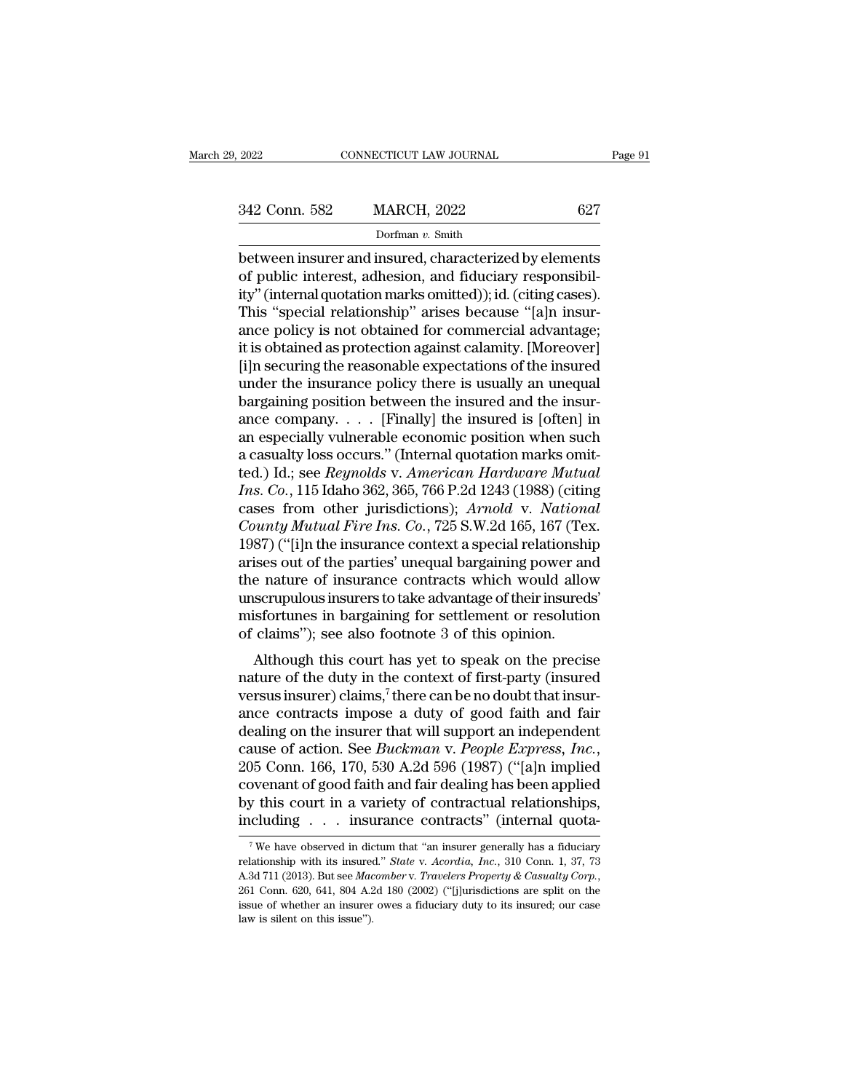$\begin{array}{ll}\n \text{2022} & \text{CONRECTICUT LAW JOURNAL} & \text{Page 91}\n \hline\n 342 \text{ Conn. } 582 & \text{MARCH, } 2022 & 627\n \hline\n & \text{Dorfman } v. \text{ Smith}\n \hline\n \end{array}$ <br>between insurer and insured, characterized by elements<br>of public interest, adhesion, and fiduciary responsibil-342 Conn. 582 MARCH, 2022 627<br>
Dorfman v. Smith<br>
between insurer and insured, characterized by elements<br>
of public interest, adhesion, and fiduciary responsibil-<br>
ity" (internal quotation marks omitted)); id. (citing cases 342 Conn. 582 MARCH, 2022 627<br>
Dorfman v. Smith<br>
between insurer and insured, characterized by elements<br>
of public interest, adhesion, and fiduciary responsibil-<br>
ity'' (internal quotation marks omitted)); id. (citing cas 342 Conn. 582 MARCH, 2022 627<br>
Dorfman v. Smith<br>
between insurer and insured, characterized by elements<br>
of public interest, adhesion, and fiduciary responsibil-<br>
ity" (internal quotation marks omitted)); id. (citing case Dorfman v. Smith<br>Dorfman v. Smith<br>Detween insurer and insured, characterized by elements<br>of public interest, adhesion, and fiduciary responsibil-<br>ity" (internal quotation marks omitted)); id. (citing cases).<br>This "special  $\frac{1}{100}$  borman v. Smith<br>between insurer and insured, characterized by elements<br>of public interest, adhesion, and fiduciary responsibil-<br>ity" (internal quotation marks omitted)); id. (citing cases).<br>This "special relat between insurer and insured, characterized by elements<br>of public interest, adhesion, and fiduciary responsibil-<br>ity" (internal quotation marks omitted)); id. (citing cases).<br>This "special relationship" arises because "[a]n of public interest, adhesion, and fiduciary responsibility" (internal quotation marks omitted)); id. (citing cases).<br>This "special relationship" arises because "[a]n insurance policy is not obtained for commercial advantag ity" (internal quotation marks omitted)); id. (citing cases).<br>This "special relationship" arises because "[a]n insurance policy is not obtained for commercial advantage;<br>it is obtained as protection against calamity. [More This "special relationship" arises because "[a]n insurance policy is not obtained for commercial advantage;<br>it is obtained as protection against calamity. [Moreover]<br>[i]n securing the reasonable expectations of the insured ance policy is not obtained for commercial advantage;<br>it is obtained as protection against calamity. [Moreover]<br>[i]n securing the reasonable expectations of the insured<br>under the insurance policy there is usually an unequ it is obtained as protection against calamity. [Moreover]<br>
[i]n securing the reasonable expectations of the insured<br>
under the insurance policy there is usually an unequal<br>
bargaining position between the insured and the [i]n securing the reasonable expectations of the insured<br>under the insurance policy there is usually an unequal<br>bargaining position between the insured and the insur-<br>ance company. . . . [Finally] the insured is [often] in under the insurance policy there is usually an unequal<br>bargaining position between the insured and the insur-<br>ance company. . . . [Finally] the insured is [often] in<br>an especially vulnerable economic position when such<br>a c bargaining position between the insured and the insur-<br>ance company. . . . [Finally] the insured is [often] in<br>an especially vulnerable economic position when such<br>a casualty loss occurs." (Internal quotation marks omit-<br>t ance company. . . . . [Finally] the insured is [often] in<br>an especially vulnerable economic position when such<br>a casualty loss occurs." (Internal quotation marks omit-<br>ted.) Id.; see *Reynolds* v. *American Hardware Mutual* an especially vulnerable economic position when such<br>a casualty loss occurs." (Internal quotation marks omit-<br>ted.) Id.; see *Reynolds* v. American Hardware Mutual<br>Ins. Co., 115 Idaho 362, 365, 766 P.2d 1243 (1988) (citing a casualty loss occurs." (Internal quotation marks omit-<br>ted.) Id.; see *Reynolds* v. American Hardware Mutual<br>*Ins. Co.*, 115 Idaho 362, 365, 766 P.2d 1243 (1988) (citing<br>cases from other jurisdictions); Arnold v. Nationa ted.) Id.; see *Reynolds* v. American Hardware Mutual<br>*Ins. Co.*, 115 Idaho 362, 365, 766 P.2d 1243 (1988) (citing<br>cases from other jurisdictions); Arnold v. National<br>*County Mutual Fire Ins. Co.*, 725 S.W.2d 165, 167 (Tex Ins. Co., 115 Idaho 362, 365, 766 P.2d 1243 (1988) (citing<br>cases from other jurisdictions); Arnold v. National<br>County Mutual Fire Ins. Co., 725 S.W.2d 165, 167 (Tex.<br>1987) ("[i]n the insurance context a special relationshi cases from other jurisdictions); Arnold v. National<br>County Mutual Fire Ins. Co., 725 S.W.2d 165, 167 (Tex.<br>1987) ("[i]n the insurance context a special relationship<br>arises out of the parties' unequal bargaining power and<br>t County Mutual Fire Ins. Co., 725 S.W.2d 165, 167 (Te: 1987) ("[i]n the insurance context a special relationshis arises out of the parties' unequal bargaining power an the nature of insurance contracts which would allo unsc  $\sigma$ ) (Fight the insurance context a spectal relationship<br>ises out of the parties' unequal bargaining power and<br>e nature of insurance contracts which would allow<br>scrupulous insurers to take advantage of their insureds'<br>is arises out of the parties unequal bargaining power and<br>the nature of insurance contracts which would allow<br>unscrupulous insurers to take advantage of their insureds'<br>misfortunes in bargaining for settlement or resolution<br>o

the nature of insurance contracts which would allow<br>unscrupulous insurers to take advantage of their insureds'<br>misfortunes in bargaining for settlement or resolution<br>of claims"); see also footnote 3 of this opinion.<br>Althou discriptures in bargaining for settlement or resolution<br>of claims"); see also footnote 3 of this opinion.<br>Although this court has yet to speak on the precise<br>nature of the duty in the context of first-party (insured<br>versu decays in bargaining for settlement or resolution<br>of claims"); see also footnote 3 of this opinion.<br>Although this court has yet to speak on the precise<br>nature of the duty in the context of first-party (insured<br>versus insu of craints *f*, see also footnote *5* of this opinion.<br>Although this court has yet to speak on the precise<br>nature of the duty in the context of first-party (insured<br>versus insurer) claims,<sup>7</sup> there can be no doubt that ins nature of the duty in the context of first-party (insured<br>versus insurer) claims,<sup>7</sup> there can be no doubt that insur-<br>ance contracts impose a duty of good faith and fair<br>dealing on the insurer that will support an indepen versus insurer) claims,<sup>7</sup> there can be no doubt that insurance contracts impose a duty of good faith and fair dealing on the insurer that will support an independent cause of action. See *Buckman* v. *People Express*, *I* ance contracts impose a duty of good faith and fair<br>dealing on the insurer that will support an independent<br>cause of action. See *Buckman* v. People Express, Inc.,<br>205 Conn. 166, 170, 530 A.2d 596 (1987) ("[a]n implied<br>co 75 Dom. 166, 170, 530 A.2d 596 (1987) ("[a]n implied<br>ovenant of good faith and fair dealing has been applied<br>y this court in a variety of contractual relationships,<br>cluding . . . insurance contracts" (internal quota-<br> $\frac{$ covenant of good faith and fair dealing has been applied<br>by this court in a variety of contractual relationships,<br>including . . . insurance contracts" (internal quota-<br><sup>7</sup>We have observed in dictum that "an insurer general

by this court in a variety of contractual relationships,<br>including . . . insurance contracts" (internal quota-<br><sup>7</sup>We have observed in dictum that "an insurer generally has a fiduciary<br>relationship with its insured." *State* The studing  $\cdot \cdot \cdot$  is insurance contracts (internal quota-<br>
The have observed in dictum that "an insurer generally has a fiduciary<br>
relationship with its insured." *State v. Acordia, Inc.*, 310 Conn. 1, 37, 73<br>
A.3d 711 <sup>7</sup> We have observed in diorelationship with its insuree A.3d 711 (2013). But see *Mac* 261 Conn. 620, 641, 804 A.2 issue of whether an insurer law is silent on this issue").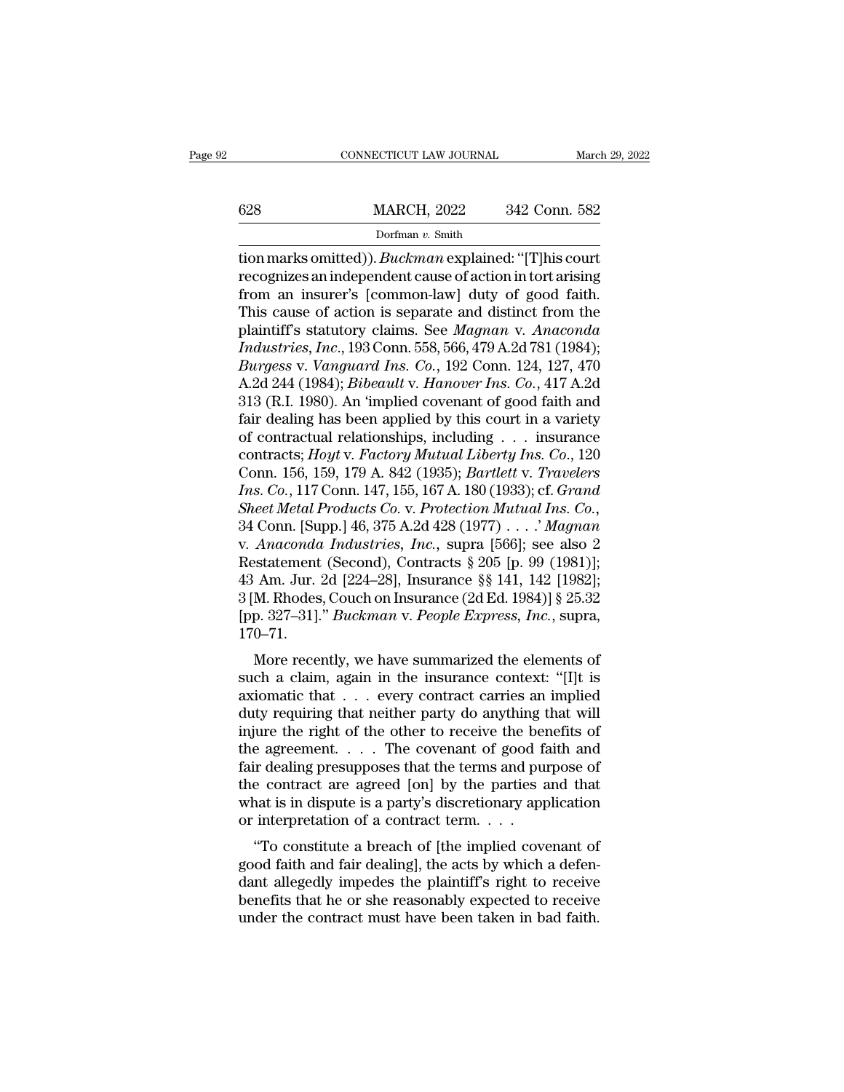|     | CONNECTICUT LAW JOURNAL |               | March 29, 2022 |
|-----|-------------------------|---------------|----------------|
|     |                         |               |                |
| 628 | <b>MARCH, 2022</b>      | 342 Conn. 582 |                |
|     | Dorfman v. Smith        |               |                |

THE CONNECTICUT LAW JOURNAL<br>
SERIES MARCH, 2022<br> *Dorfman* v. Smith<br>
tion marks omitted)). *Buckman* explained: "[T]his court<br>
recognizes an independent cause of action in tort arising<br>
from an insurer's [common law] duty Example 28 MARCH, 2022 342 Conn. 582<br>Dorfman v. Smith<br>tion marks omitted)). *Buckman* explained: "[T]his court<br>recognizes an independent cause of action in tort arising<br>from an insurer's [common-law] duty of good faith.<br>Th 628 MARCH, 2022 342 Conn. 582<br>
Dorfman v. Smith<br>
tion marks omitted)). *Buckman* explained: "[T]his court<br>
recognizes an independent cause of action in tort arising<br>
from an insurer's [common-law] duty of good faith.<br>
Thi  $\frac{\text{MARCH, 2022}}{\text{Dorfman } v. \text{ Smith}}$ <br>
tion marks omitted)). *Buckman* explained: "[T]his court<br>
recognizes an independent cause of action in tort arising<br>
from an insurer's [common-law] duty of good faith.<br>
This cause of action plantiff the Californian v. Smith<br>
in marks omitted)). *Buckman* explained: "[T]his court<br>
recognizes an independent cause of action in tort arising<br>
from an insurer's [common-law] duty of good faith.<br>
This cause of action *Industrian v. Smith*<br> *Ion marks omitted)). Buckman explained:* "[T]his court<br>
recognizes an independent cause of action in tort arising<br>
from an insurer's [common-law] duty of good faith.<br>
This cause of action is separat tion marks omitted)). *Buckman* explained: "[T]his court<br>recognizes an independent cause of action in tort arising<br>from an insurer's [common-law] duty of good faith.<br>This cause of action is separate and distinct from the<br>p recognizes an independent cause of action in tort arising<br>from an insurer's [common-law] duty of good faith.<br>This cause of action is separate and distinct from the<br>plaintiff's statutory claims. See *Magnan v. Anaconda<br>Indu* from an insurer's [common-law] duty of good faith.<br>This cause of action is separate and distinct from the<br>plaintiff's statutory claims. See *Magnan v. Anaconda*<br>Industries, Inc., 193 Conn. 558, 566, 479 A.2d 781 (1984);<br>Bu This cause of action is separate and distinct from the<br>plaintiff's statutory claims. See *Magnan v. Anaconda*<br>*Industries, Inc.*, 193 Conn. 558, 566, 479 A.2d 781 (1984);<br>*Burgess v. Vanguard Ins. Co.*, 192 Conn. 124, 127 plaintiff's statutory claims. See *Magnan v. Anaconda*<br>Industries, Inc., 193 Conn. 558, 566, 479 A.2d 781 (1984);<br>Burgess v. Vanguard Ins. Co., 192 Conn. 124, 127, 470<br>A.2d 244 (1984); *Bibeault v. Hanover Ins. Co.*, 417 A Industries, Inc., 193 Conn. 558, 566, 479 A.2d 781 (1984);<br> *Burgess v. Vanguard Ins. Co.*, 192 Conn. 124, 127, 470<br>
A.2d 244 (1984); *Bibeault v. Hanover Ins. Co.*, 417 A.2d<br>
313 (R.I. 1980). An 'implied covenant of good Burgess v. Vanguard Ins. Co., 192 Conn. 124, 127, 470<br>A.2d 244 (1984); *Bibeault v. Hanover Ins. Co.*, 417 A.2d<br>313 (R.I. 1980). An 'implied covenant of good faith and<br>fair dealing has been applied by this court in a varie A.2d 244 (1984); *Bibeault v. Hanover Ins. Co.*, 417 A.2d<br>313 (R.I. 1980). An 'implied covenant of good faith and<br>fair dealing has been applied by this court in a variety<br>of contractual relationships, including . . . insur 313 (R.I. 1980). An 'implied covenant of good faith and<br>fair dealing has been applied by this court in a variety<br>of contractual relationships, including . . . insurance<br>contracts; *Hoyt* v. *Factory Mutual Liberty Ins. Co.* fair dealing has been applied by this court in a variety<br>of contractual relationships, including . . . insurance<br>contracts; *Hoyt* v. *Factory Mutual Liberty Ins. Co.*, 120<br>Conn. 156, 159, 179 A. 842 (1935); *Bartlett v. T* of contractual relationships, including . . . insurance<br>contracts; *Hoyt* v. *Factory Mutual Liberty Ins. Co.*, 120<br>Conn. 156, 159, 179 A. 842 (1935); *Bartlett v. Travelers*<br>*Ins. Co.*, 117 Conn. 147, 155, 167 A. 180 (193 contracts; *Hoyt v. Factory Mutual Liberty Ins. Co.*, 120<br>Conn. 156, 159, 179 A. 842 (1935); *Bartlett v. Travelers*<br>*Ins. Co.*, 117 Conn. 147, 155, 167 A. 180 (1933); cf. *Grand*<br>*Sheet Metal Products Co. v. Protection Mu* Conn. 156, 159, 179 A. 842 (1935); *Bartlett v. Travelers*<br> *Ins. Co.*, 117 Conn. 147, 155, 167 A. 180 (1933); cf. *Grand*<br> *Sheet Metal Products Co. v. Protection Mutual Ins. Co.*,<br>
34 Conn. [Supp.] 46, 375 A.2d 428 (1977 Ins. Co., 117 Conn. 147, 155, 167 A. 180 (1933); cf. *Grand*<br>Sheet Metal Products Co. v. Protection Mutual Ins. Co.,<br>34 Conn. [Supp.] 46, 375 A.2d 428 (1977) . . . . ' Magnan<br>v. Anaconda Industries, Inc., supra [566]; see Sheet Metal Products Co. v. Protection Mutual Ins. Co., 34 Conn. [Supp.] 46, 375 A.2d 428 (1977) . . . . *' Magnan* v. *Anaconda Industries, Inc.*, supra [566]; see also 2 Restatement (Second), Contracts § 205 [p. 99 (1981 170–71. Anatonal malastries,  $m$ ., supra [500], see also 2<br>statement (Second), Contracts § 205 [p. 99 (1981)];<br>Am. Jur. 2d [224–28], Insurance §§ 141, 142 [1982];<br>M. Rhodes, Couch on Insurance (2d Ed. 1984)] § 25.32<br>p. 327–31]." such a claim, contracts  $\frac{1}{8}$  200 [p.  $\frac{1}{99}$  (1961)],<br>43 Am. Jur. 2d [224–28], Insurance  $\frac{1}{8}$  141, 142 [1982];<br>3 [M. Rhodes, Couch on Insurance (2d Ed. 1984)]  $\frac{1}{8}$  25.32<br>[pp. 327–31]." *Buckman v. People* 

45 Ant. 3df. 2d [224–26], insulance 88 141, 142 [1362],<br>
3 [M. Rhodes, Couch on Insurance (2d Ed. 1984)] § 25.32<br>
[pp. 327–31]." *Buckman v. People Express, Inc.*, supra,<br>
170–71.<br>
More recently, we have summarized the el duty requiring that neither party do anything that and the arguments of such a claim, again in the insurance context: "[I]t is axiomatic that  $\ldots$  every contract carries an implied duty requiring that neither party do an [pp. 327–31]. *Buckman* v. *Feople Express*, *Fnc.*, supra, 170–71.<br>
More recently, we have summarized the elements of such a claim, again in the insurance context: "[I]t is axiomatic that  $\dots$  every contract carries an i More recently, we have summarized the elements of<br>such a claim, again in the insurance context: "[I]t is<br>axiomatic that  $\dots$  every contract carries an implied<br>duty requiring that neither party do anything that will<br>injure More recently, we have summarized the elements of<br>such a claim, again in the insurance context: "[I]t is<br>axiomatic that  $\ldots$  every contract carries an implied<br>duty requiring that neither party do anything that will<br>injur such a claim, again in the insurance context: "[I]t is<br>axiomatic that  $\ldots$  every contract carries an implied<br>duty requiring that neither party do anything that will<br>injure the right of the other to receive the benefits o axiomatic that  $\ldots$  every contract carries an implied<br>duty requiring that neither party do anything that will<br>injure the right of the other to receive the benefits of<br>the agreement.  $\ldots$  The covenant of good faith and<br>f duty requiring that neither party do anything t<br>injure the right of the other to receive the ber<br>the agreement. . . . The covenant of good fa<br>fair dealing presupposes that the terms and pure<br>the contract are agreed [on] b of the breach of the breach of good faith and<br>
ir dealing presupposes that the terms and purpose of<br>
e contract are agreed [on] by the parties and that<br>
nat is in dispute is a party's discretionary application<br>
interpretat fair dealing presupposes that the terms and purpose of<br>the contract are agreed [on] by the parties and that<br>what is in dispute is a party's discretionary application<br>or interpretation of a contract term....<br>"To constitute

Frame dealing presupposes that the terms and purpose of<br>the contract are agreed [on] by the parties and that<br>what is in dispute is a party's discretionary application<br>or interpretation of a contract term.  $\ldots$ <br>"To consti the contract are agreed [on] by the parties and that<br>what is in dispute is a party's discretionary application<br>or interpretation of a contract term. . . .<br>"To constitute a breach of [the implied covenant of<br>good faith and what is in uispute is a party's uiscretionary application<br>or interpretation of a contract term....<br>"To constitute a breach of [the implied covenant of<br>good faith and fair dealing], the acts by which a defen-<br>dant allegedly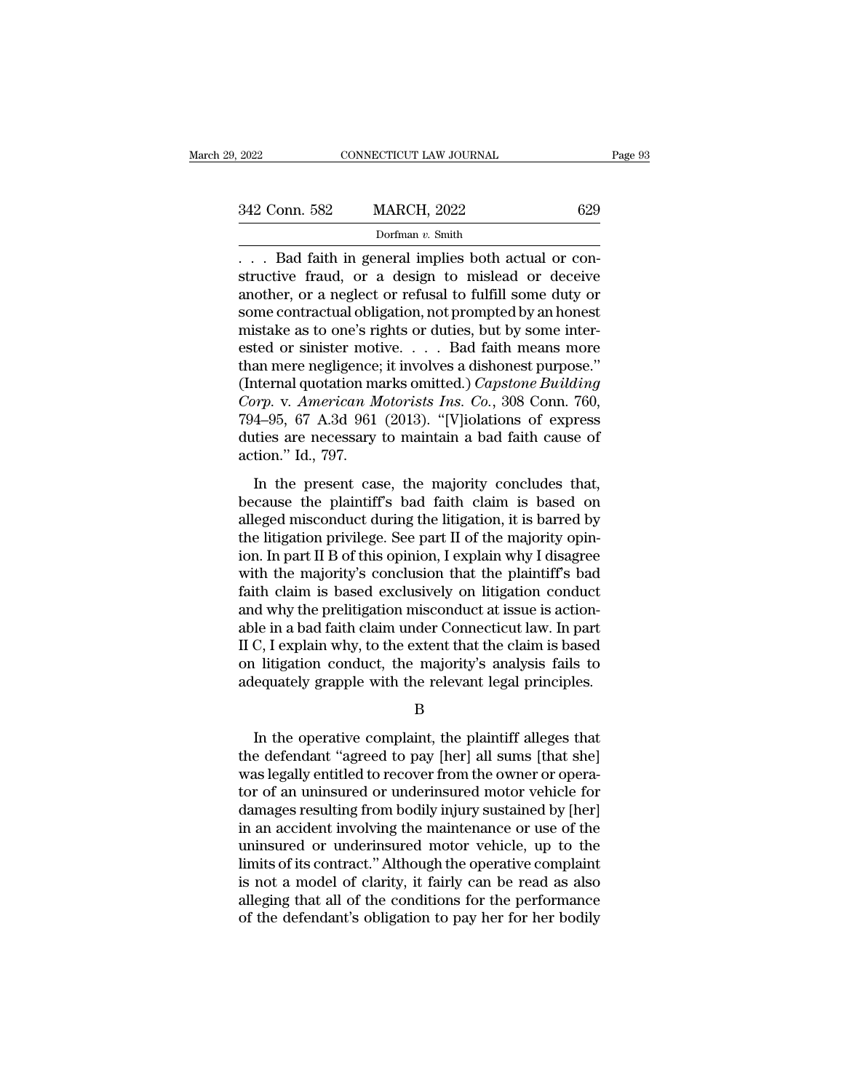| 29, 2022      | CONNECTICUT LAW JOURNAL                                                                                                                                          | Page 93 |
|---------------|------------------------------------------------------------------------------------------------------------------------------------------------------------------|---------|
|               |                                                                                                                                                                  |         |
| 342 Conn. 582 | <b>MARCH, 2022</b>                                                                                                                                               | 629     |
|               | Dorfman $v$ . Smith                                                                                                                                              |         |
|               | Bad faith in general implies both actual or con-<br>structive fraud, or a design to mislead or deceive<br>another are neglect or refusel to fulfill some duty or |         |

342 Conn. 582 MARCH, 2022 629<br>Dorfman v. Smith<br>Confinant v. Smith<br>Constructive fraud, or a design to mislead or deceive<br>another, or a neglect or refusal to fulfill some duty or<br>Some contractual obligation not prompted by a 342 Conn. 582 MARCH, 2022 629<br>
Dorfman v. Smith<br>
... Bad faith in general implies both actual or constructive fraud, or a design to mislead or deceive<br>
another, or a neglect or refusal to fulfill some duty or<br>
some contra 342 Conn. 582 MARCH, 2022 629<br>
Dorfman v. Smith<br>
... Bad faith in general implies both actual or constructive fraud, or a design to mislead or deceive<br>
another, or a neglect or refusal to fulfill some duty or<br>
some contra Dorfman v. Smith<br>Dorfman v. Smith<br>Dorfman v. Smith<br>structive fraud, or a design to mislead or deceive<br>another, or a neglect or refusal to fulfill some duty or<br>some contractual obligation, not prompted by an honest<br>mistake borman v. Smuth<br>
... Bad faith in general implies both actual or constructive fraud, or a design to mislead or deceive<br>
another, or a neglect or refusal to fulfill some duty or<br>
some contractual obligation, not prompted b ... Bad faith in general implies both actual or constructive fraud, or a design to mislead or deceive<br>another, or a neglect or refusal to fulfill some duty or<br>some contractual obligation, not prompted by an honest<br>mistake structive fraud, or a design to mislead or deceive<br>another, or a neglect or refusal to fulfill some duty or<br>some contractual obligation, not prompted by an honest<br>mistake as to one's rights or duties, but by some inter-<br>es another, or a neglect or refusal to fulfill some duty or<br>some contractual obligation, not prompted by an honest<br>mistake as to one's rights or duties, but by some inter-<br>ested or sinister motive. . . . . Bad faith means mor some contractual obligation, not prompted by an honest<br>mistake as to one's rights or duties, but by some inter-<br>ested or sinister motive. . . . . Bad faith means more<br>than mere negligence; it involves a dishonest purpose. mistake as to one's rights or duties, but by some interested or sinister motive. . . . Bad faith means more than mere negligence; it involves a dishonest purpose." (Internal quotation marks omitted.) *Capstone Building Co* ested or sinister mot<br>than mere negligence;<br>(Internal quotation ma<br>*Corp.* v. *American M*<br>794–95, 67 A.3d 961<br>duties are necessary<br>action." Id., 797.<br>In the present cas In the present case, the majority concludes that,<br>
In the present case, the majority concludes that,<br>
The present case, the majority concludes that,<br>
cause the plaintiff's bad faith claim is based on<br>
and miconduct during Corp. v. American Motorists Ins. Co., 308 Conn. 760,<br>
794–95, 67 A.3d 961 (2013). "[V]iolations of express<br>
duties are necessary to maintain a bad faith cause of<br>
action." Id., 797.<br>
In the present case, the majority conc

794–95, 67 A.3d 961 (2013). "[V]iolations of express<br>duties are necessary to maintain a bad faith cause of<br>action." Id., 797.<br>In the present case, the majority concludes that,<br>because the plaintiff's bad faith claim is ba the litigation." It is a bot (2515). The litigations of express<br>duties are necessary to maintain a bad faith cause of<br>action." Id., 797.<br>In the present case, the majority concludes that,<br>because the plaintiff's bad faith action." Id., 797.<br>
In the present case, the majority concludes that,<br>
because the plaintiff's bad faith claim is based on<br>
alleged misconduct during the litigation, it is barred by<br>
the litigation privilege. See part II o In the present case, the majority concludes that,<br>because the plaintiff's bad faith claim is based on<br>alleged misconduct during the litigation, it is barred by<br>the litigation privilege. See part II of the majority opin-<br>io In the present case, the majority concludes that,<br>because the plaintiff's bad faith claim is based on<br>alleged misconduct during the litigation, it is barred by<br>the litigation privilege. See part II of the majority opin-<br>io because the plaintiff's bad faith claim is based on alleged misconduct during the litigation, it is barred by the litigation privilege. See part II of the majority opinion. In part II B of this opinion, I explain why I dis alleged misconduct during the litigation, it is barred by<br>the litigation privilege. See part II of the majority opin-<br>ion. In part II B of this opinion, I explain why I disagree<br>with the majority's conclusion that the plai the litigation privilege. See part II of the majority opin-<br>ion. In part II B of this opinion, I explain why I disagree<br>with the majority's conclusion that the plaintiff's bad<br>faith claim is based exclusively on litigation ion. In part II B of this opinion, I explain why I disagree<br>with the majority's conclusion that the plaintiff's bad<br>faith claim is based exclusively on litigation conduct<br>and why the prelitigation misconduct at issue is ac with the majority's conclusion that the plaintiff's bad<br>faith claim is based exclusively on litigation conduct<br>and why the prelitigation misconduct at issue is action-<br>able in a bad faith claim under Connecticut law. In pa Ie in a bad faith claim under Connecticut law. In part<br>
C, I explain why, to the extent that the claim is based<br>
I litigation conduct, the majority's analysis fails to<br>
equately grapple with the relevant legal principles.<br>

B

II C, I explain why, to the extent that the claim is based<br>on litigation conduct, the majority's analysis fails to<br>adequately grapple with the relevant legal principles.<br>B<br>In the operative complaint, the plaintiff alleges on litigation conduct, the majority's analysis fails to<br>adequately grapple with the relevant legal principles.<br>B<br>In the operative complaint, the plaintiff alleges that<br>the defendant "agreed to pay [her] all sums [that she] adequately grapple with the relevant legal principles.<br>
B<br>
In the operative complaint, the plaintiff alleges that<br>
the defendant "agreed to pay [her] all sums [that she]<br>
was legally entitled to recover from the owner or o B<br>
In the operative complaint, the plaintiff alleges that<br>
the defendant "agreed to pay [her] all sums [that she]<br>
was legally entitled to recover from the owner or opera-<br>
tor of an uninsured or underinsured motor vehicle In the operative complaint, the plaintiff alleges that<br>the defendant "agreed to pay [her] all sums [that she]<br>was legally entitled to recover from the owner or opera-<br>tor of an uninsured or underinsured motor vehicle for<br>d In the operative complaint, the plaintiff alleges that<br>the defendant "agreed to pay [her] all sums [that she]<br>was legally entitled to recover from the owner or opera-<br>tor of an uninsured or underinsured motor vehicle for<br>d the defendant "agreed to pay [her] all sums [that she]<br>was legally entitled to recover from the owner or opera-<br>tor of an uninsured or underinsured motor vehicle for<br>damages resulting from bodily injury sustained by [her]<br> was legally entitled to recover from the owner or operator of an uninsured or underinsured motor vehicle for damages resulting from bodily injury sustained by [her] in an accident involving the maintenance or use of the un tor of an uninsured or underinsured motor vehicle for<br>damages resulting from bodily injury sustained by [her]<br>in an accident involving the maintenance or use of the<br>uninsured or underinsured motor vehicle, up to the<br>limits damages resulting from bodily injury sustained by [her]<br>in an accident involving the maintenance or use of the<br>uninsured or underinsured motor vehicle, up to the<br>limits of its contract." Although the operative complaint<br>is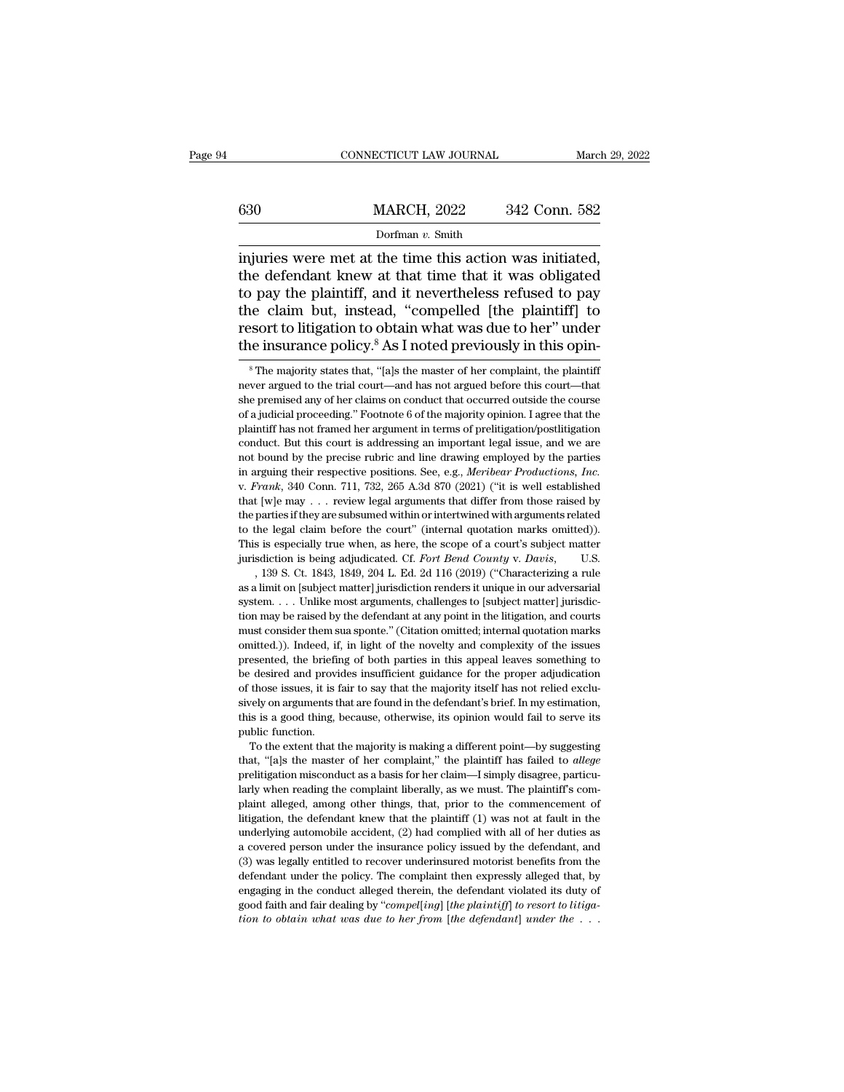# EXECUTE CONNECTICUT LAW JOURNAL March 29, 2022<br>
MARCH, 2022 342 Conn. 582<br>
Dorfman v. Smith

## Dorfman *v.* Smith

CONNECTICUT LAW JOURNAL March 29, 2<br>
630 MARCH, 2022 342 Conn. 582<br>
Dorfman v. Smith<br>
injuries were met at the time this action was initiated,<br>
the defendant knew at that time that it was obligated<br>
to nay the plaintiff a 630 MARCH, 2022 342 Conn. 582<br>Dorfman v. Smith<br>injuries were met at the time this action was initiated,<br>the defendant knew at that time that it was obligated<br>to pay the plaintiff, and it nevertheless refused to pay<br>the cl 630 MARCH, 2022 342 Conn. 582<br>
Dorfman v. Smith<br>
injuries were met at the time this action was initiated,<br>
the defendant knew at that time that it was obligated<br>
to pay the plaintiff, and it nevertheless refused to pay<br>
t 630 MARCH, 2022 342 Conn. 582<br>
Dorfman v. Smith<br>
injuries were met at the time this action was initiated,<br>
the defendant knew at that time that it was obligated<br>
to pay the plaintiff, and it nevertheless refused to pay<br>
t Dorfman v. Smith<br>Dorfman v. Smith<br>injuries were met at the time this action was initiated,<br>the defendant knew at that time that it was obligated<br>to pay the plaintiff, and it nevertheless refused to pay<br>the claim but, inst Dorfman v. Smith<br>injuries were met at the time this action was initiated,<br>the defendant knew at that time that it was obligated<br>to pay the plaintiff, and it nevertheless refused to pay<br>the claim but, instead, "compelled [ 9 pay the plaintiff, and it nevertheless refused to pay<br>he claim but, instead, "compelled [the plaintiff] to<br>sort to litigation to obtain what was due to her" under<br>he majority states that, "[a]s the master of her complai the claim but, instead, "compelled [the plaintiff] to<br>resort to litigation to obtain what was due to her" under<br>the insurance policy.<sup>8</sup> As I noted previously in this opin-<br><sup>8</sup>The majority states that, "[a]s the master of

resort to litigation to obtain what was due to her" under<br>the insurance policy.<sup>8</sup> As I noted previously in this opin-<br><sup>8</sup>The majority states that, "[a]s the master of her complaint, the plaintiff<br>never argued to the tria The insurance policy.<sup>8</sup> As I noted previously in this opin-<br><sup>8</sup> The majority states that, "[a]s the master of her complaint, the plaintiff<br>never argued to the trial court—and has not argued before this court—that<br>she prem Interture in the majority states that, "[a]s the master of her complaint, the plaintiff never argued to the trial court—and has not argued before this court—that she premised any of her claims on conduct that occurred outs <sup>8</sup> The majority states that, "[a]s the master of her complaint, the plaintiff never argued to the trial court—and has not argued before this court—that she premised any of her claims on conduct that occurred outside the never argued to the trial court—and has not argued before this court—that she premised any of her claims on conduct that occurred outside the course of a judicial proceeding." Footnote 6 of the majority opinion. I agree t in argue of a gate of the claims on conduct that occurred outside the course of a judicial proceeding." Footnote 6 of the majority opinion. I agree that the plaintiff has not framed her argument in terms of prelitigation/p plaintiff has not framed her argument in terms of prelitigation/postilitigation conduct. But this court is addressing an important legal issue, and we are not bound by the precise rubric and line drawing employed by the p conduct. But this court is addressing an important legal issue, and we are not bound by the precise rubric and line drawing employed by the parties in arguing their respective positions. See, e.g., *Meribear Productions,* not bound by the precise rubric and line drawing employed by the parties in arguing their respective positions. See, e.g., *Meribear Productions*, *Inc.* v. *Frank*, 340 Conn. 711, 732, 265 A.3d 870 (2021) ("it is well es In arguing their respective positions. See, e.g., *Meribear Productions*, *Inc.*<br>
v. *Frank*, 340 Conn. 711, 732, 265 A.3d 870 (2021) ("it is well established<br>
that [w]e may . . . review legal arguments that differ from t iv. *Frank*, 340 Conn. 711, 732, 265 A.3d 870 (2021) ("it is well established that [w]e may . . . review legal arguments that differ from those raised by the parties if they are subsumed within or intertwined with argument Figure 1.139 S. Ct. 1843, 1849, 204 L. Ed. 2d 116 (2019) ("Characterizing a rule in the legal claim before the court" (internal quotation marks omitted)). So is especially true when, as here, the scope of a court's subjec as a limit on [subject matter] jurisdiction renders it unique in our adversarial the parties if they are subsumed within or intertwined with arguments related to the legal claim before the court" (internal quotation marks

shows the legal claim before the court" (internal quotation marks omitted)).<br>This is especially true when, as here, the scope of a court's subject matter<br>jurisdiction is being adjudicated. Cf. Fort Bend County v. Davis, U This is especially true when, as here, the scope of a court's subject matter jurisdiction is being adjudicated. Cf. Fort Bend County v. Davis, U.S. , 139 S. Ct. 1843, 1849, 204 L. Ed. 2d 116 (2019) ("Characterizing a rule in is determined. Cf. Fort Bend County v. Davis, U.S. , 139 S. Ct. 1843, 1849, 204 L. Ed. 2d 116 (2019) ("Characterizing a rule as a limit on [subject matter] jurisdiction renders it unique in our adversarial system. . . , 139 S. Ct. 1843, 1849, 204 L. Ed. 2d 116 (2019) ("Characterizing a rule as a limit on [subject matter] jurisdiction renders it unique in our adversarial system. . . . Unlike most arguments, challenges to [subject matter as a limit on [subject matter] jurisdiction renders it unique in our adversarial system. . . . Unlike most arguments, challenges to [subject matter] jurisdiction may be raised by the defendant at any point in the litigati system.... Unlike most arguments, challenges to [subject matter] jurisdiction may be raised by the defendant at any point in the litigation, and courts must consider them sua sponte." (Citation omitted; internal quotation tion may be raised by the defendant at any point in the litigation, and courts must consider them sua sponte." (Citation omitted, internal quotation marks omitted.)). Indeed, if, in light of the novelty and complexity of t shows that are found in the defendant's different are found in the size of must consider them sua sponte." (Citation omitted, internal quotation marks omitted.)). Indeed, if, in light of the novelty and complexity of the i omitted.)). Indeed, if, in light of the novelty and complexity of the issues<br>presented, the briefing of both parties in this appeal leaves something to<br>be desired and provides insufficient guidance for the proper adjudicat presented, the briefing<br>presented, the briefing<br>of those issues, it is is<br>sively on arguments t<br>this is a good thing,<br>public function.<br>To the extent that between and provides insufficient guidance for the proper adjudication those issues, it is fair to say that the majority itself has not relied excludely on arguments that are found in the defendant's brief. In my estimati For those issues, it is fair to say that the majority itself has not relied exclusively on arguments that are found in the defendant's brief. In my estimation, this is a good thing, because, otherwise, its opinion would fa

% of those issues, it is fair to say that the majority itself has not relied exclusively on arguments that are found in the defendant's brief. In my estimation, this is a good thing, because, otherwise, its opinion would prelitigation misconduct as a basis for her claim—I simply disagree, particularly when reading the complaint liberally, as we must. The plaintiff's complaint alleged, among other things, that, prior to the commencement of public function.<br>To the extent that the majority is making a different point—by suggesting<br>that, "[a]s the master of her complaint," the plaintiff has failed to *allege*<br>prelitigation misconduct as a basis for her claim—I To the extent that the majority is making a different point—by suggesting<br>that, "[a]s the master of her complaint," the plaintiff has failed to *allege*<br>prelitigation misconduct as a basis for her claim—I simply disagree, that, "[a]s the master of her complaint," the plaintiff has failed to *allege* prelitigation misconduct as a basis for her claim—I simply disagree, particularly when reading the complaint liberally, as we must. The plainti a covered person under the insurance policy issued by the defendant, and the underly when reading the complaint liberally, as we must. The plaintiff's complaint alleged, among other things, that, prior to the commencement Figure 1 and the complaint liberally, as we must. The plaintiff's complaint alleged, among other things, that, prior to the commencement of litigation, the defendant knew that the plaintiff (1) was not at fault in the unde multimediant alleged, among other things, that, prior to the commencement of litigation, the defendant knew that the plaintiff (1) was not at fault in the underlying automobile accident, (2) had complied with all of her du Finding in the defendant knew that the plaintiff (1) was not at fault in the underlying automobile accident, (2) had complied with all of her duties as a covered person under the insurance policy issued by the defendant, integration, the definibilities and faith and fair dealing the plaintiff (1) was not at faith in the underlying automobile accident, (2) had complied with all of her duties as a covered person under the insurance policy is *a* covered person under the insurance policy issued by the defendant, and (3) was legally entitled to recover underinsured motorist benefits from the defendant under the policy. The complaint then expressly alleged that,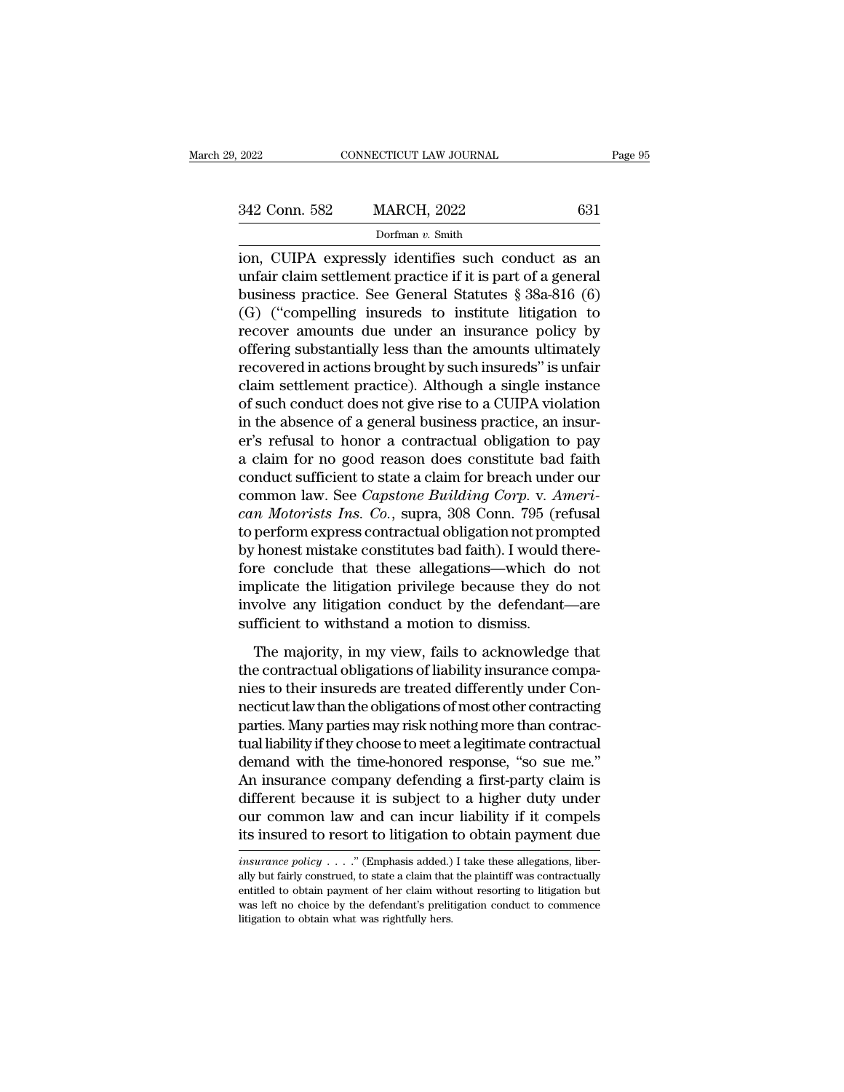2022 CONNECTICUT LAW JOURNAL Page 95<br>342 Conn. 582 MARCH, 2022 631<br>Dorfman v. Smith<br>ion, CUIPA expressly identifies such conduct as an<br>unfair claim settlement practice if it is part of a general<br>business practice. See Cono 342 Conn. 582 MARCH, 2022 631<br>
Dorfman v. Smith<br>
ion, CUIPA expressly identifies such conduct as an<br>
unfair claim settlement practice if it is part of a general<br>
business practice. See General Statutes § 38a-816 (6)<br>
(G) 342 Conn. 582 MARCH, 2022 631<br>
Dorfman v. Smith<br>
ion, CUIPA expressly identifies such conduct as an<br>
unfair claim settlement practice if it is part of a general<br>
business practice. See General Statutes § 38a-816 (6)<br>
(G) (G) (C) ( $\frac{342 \text{ Conn. } 582}{\text{ Dorfman } v. } \frac{631}{\text{Synfman } v. } \frac{5 \text{ Smith}}{2 \text{ on } v. } \frac{5 \text{ Smith}}{2 \text{ on } v. } \frac{1}{\text{Conflan } v. } \frac{1}{\text{Snth}}$ <br>
(G) ( $\frac{1}{\text{CIIPA}}$  expressly identifies such conduct as an unfair claim settlement practice if it i Dorfman v. Smith<br>
ion, CUIPA expressly identifies such conduct as an<br>
unfair claim settlement practice if it is part of a general<br>
business practice. See General Statutes § 38a-816 (6)<br>
(G) ("compelling insureds to instit bonnan v. shun<br>
ion, CUIPA expressly identifies such conduct as an<br>
unfair claim settlement practice if it is part of a general<br>
business practice. See General Statutes § 38a-816 (6)<br>
(G) ("compelling insureds to institut ion, CUIPA expressly identifies such conduct as an unfair claim settlement practice if it is part of a general<br>business practice. See General Statutes § 38a-816 (6)<br>(G) ("compelling insureds to institute litigation to<br>reco unfair claim settlement practice if it is part of a general<br>business practice. See General Statutes § 38a-816 (6)<br>(G) ("compelling insureds to institute litigation to<br>recover amounts due under an insurance policy by<br>offeri business practice. See General Statutes § 38a-816 (6)<br>
(G) ("compelling insureds to institute litigation to<br>
recover amounts due under an insurance policy by<br>
offering substantially less than the amounts ultimately<br>
recove (G) ("compelling insureds to institute litigation to<br>recover amounts due under an insurance policy by<br>offering substantially less than the amounts ultimately<br>recovered in actions brought by such insureds" is unfair<br>claim recover amounts due under an insurance policy by<br>offering substantially less than the amounts ultimately<br>recovered in actions brought by such insureds" is unfair<br>claim settlement practice). Although a single instance<br>of su offering substantially less than the amounts ultimately<br>recovered in actions brought by such insureds" is unfair<br>claim settlement practice). Although a single instance<br>of such conduct does not give rise to a CUIPA violatio recovered in actions brought by such insureds" is unfair<br>claim settlement practice). Although a single instance<br>of such conduct does not give rise to a CUIPA violation<br>in the absence of a general business practice, an insu claim settlement practice). Although a single instance<br>of such conduct does not give rise to a CUIPA violation<br>in the absence of a general business practice, an insur-<br>er's refusal to honor a contractual obligation to pay<br> of such conduct does not give rise to a CUIPA violation<br>in the absence of a general business practice, an insur-<br>er's refusal to honor a contractual obligation to pay<br>a claim for no good reason does constitute bad faith<br>co in the absence of a general business practice, an insur-<br>er's refusal to honor a contractual obligation to pay<br>a claim for no good reason does constitute bad faith<br>conduct sufficient to state a claim for breach under our<br>c er's refusal to honor a contractual obligation to pay<br>a claim for no good reason does constitute bad faith<br>conduct sufficient to state a claim for breach under our<br>common law. See *Capstone Building Corp.* v. Ameri-<br>can Mo a claim for no good reason does constitute bad faith<br>conduct sufficient to state a claim for breach under our<br>common law. See *Capstone Building Corp.* v. Ameri-<br>can Motorists Ins. Co., supra, 308 Conn. 795 (refusal<br>to per conduct sufficient to state a claim for breach under our<br>common law. See *Capstone Building Corp*. v. *Ameri-*<br>can Motorists Ins. Co., supra, 308 Conn. 795 (refusal<br>to perform express contractual obligation not prompted<br>by common law. See *Capstone Building Corp.* v. Ameri-<br>can Motorists Ins. Co., supra, 308 Conn. 795 (refusal<br>to perform express contractual obligation not prompted<br>by honest mistake constitutes bad faith). I would there-<br>fore can Motorists Ins. Co., supra, 308 Conn. 795 (re<br>to perform express contractual obligation not pron<br>by honest mistake constitutes bad faith). I would t<br>fore conclude that these allegations—which de<br>implicate the litigation Frances mistake constitutes bad faith). I would there-<br>re conclude that these allegations—which do not<br>plicate the litigation privilege because they do not<br>volve any litigation conduct by the defendant—are<br>fficient to with fore conclude that these allegations—which do not<br>implicate the litigation privilege because they do not<br>involve any litigation conduct by the defendant—are<br>sufficient to withstand a motion to dismiss.<br>The majority, in my

implicate the litigation privilege because they do not<br>involve any litigation conduct by the defendant—are<br>sufficient to withstand a motion to dismiss.<br>The majority, in my view, fails to acknowledge that<br>the contractual ob involve any litigation conduct by the defendant—are<br>sufficient to withstand a motion to dismiss.<br>The majority, in my view, fails to acknowledge that<br>the contractual obligations of liability insurance compa-<br>nies to their i sufficient to withstand a motion to dismiss.<br>The majority, in my view, fails to acknowledge that<br>the contractual obligations of liability insurance compa-<br>nies to their insureds are treated differently under Con-<br>necticut The majority, in my view, fails to acknowledge that<br>the contractual obligations of liability insurance compa-<br>nies to their insureds are treated differently under Con-<br>necticut law than the obligations of most other contra The majority, in my view, fails to acknowledge that<br>the contractual obligations of liability insurance compa-<br>nies to their insureds are treated differently under Con-<br>necticut law than the obligations of most other contra the contractual obligations of liability insurance compa-<br>nies to their insureds are treated differently under Con-<br>necticut law than the obligations of most other contracting<br>parties. Many parties may risk nothing more th nies to their insureds are treated differently under Connecticut law than the obligations of most other contracting<br>parties. Many parties may risk nothing more than contractual<br>tual liability if they choose to meet a legit necticut law than the obligations of most other contracting<br>parties. Many parties may risk nothing more than contrac-<br>tual liability if they choose to meet a legitimate contractual<br>demand with the time-honored response, "s parties. Many parties may risk nothing more than contractual<br>tual liability if they choose to meet a legitimate contractual<br>demand with the time-honored response, "so sue me."<br>An insurance company defending a first-party An insurance company derending a first-party claim is<br>different because it is subject to a higher duty under<br>our common law and can incur liability if it compels<br>its insurance to resort to litigation to obtain payment due<br> different because it is subject to a higher duty under<br>our common law and can incur liability if it compels<br>its insured to resort to litigation to obtain payment due<br> $\frac{insquare\ policy \dots}{(Emphasis added.)}$  I take these allegations, liber-<br>al

our common law and can incur liability if it compels<br>its insured to resort to litigation to obtain payment due<br>insurance policy . . . . " (Emphasis added.) I take these allegations, liber-<br>ally but fairly construed, to st its insured to resort to litigation to obtain payment due<br> *insurance policy*  $\ldots$ ." (Emphasis added.) I take these allegations, liberally but fairly construed, to state a claim that the plaintiff was contractually<br>
enti *insurance policy*  $\ldots$  ." (Emphasis added.) I take these allegations, liberally but fairly construed, to state a claim that the plaintiff was contractually entitled to obtain payment of her claim without resorting to li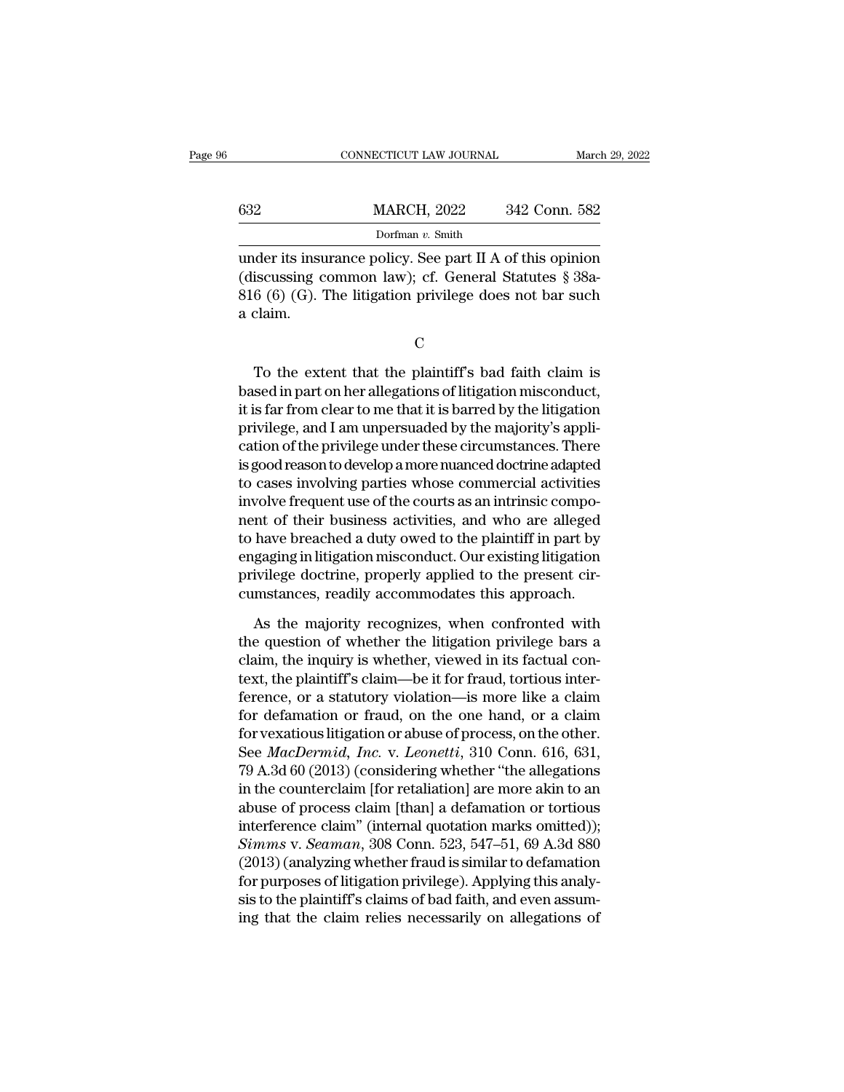|     | CONNECTICUT LAW JOURNAL |               | March 29, 2022 |
|-----|-------------------------|---------------|----------------|
|     |                         |               |                |
| 632 | <b>MARCH, 2022</b>      | 342 Conn. 582 |                |
|     | Dorfman v. Smith        |               |                |

CONNECTICUT LAW JOURNAL March 29, 2022<br> **MARCH**, 2022 342 Conn. 582<br>
Dorfman v. Smith<br>
under its insurance policy. See part II A of this opinion<br>
(discussing common law); cf. General Statutes § 38a-<br>
916 (6) (C). The lite MARCH, 2022 342 Conn. 582<br>Dorfman v. Smith<br>under its insurance policy. See part II A of this opinion<br>(discussing common law); cf. General Statutes § 38a-<br>816 (6) (G). The litigation privilege does not bar such 832 MARCH, 2022 342 Conn. 582<br>
Dorfman v. Smith<br>
under its insurance policy. See part II A of this opinion<br>
(discussing common law); cf. General Statutes § 38a-<br>
816 (6) (G). The litigation privilege does not bar such<br>
a  $\begin{array}{c} 632 \\ \hline \\ \text{under its insu} \\ \text{(discussing c 816 (6) (G).)} \\ \text{a claim.} \end{array}$ der its insurance policy. See part if A of this opinion<br>iscussing common law); cf. General Statutes  $\S$  38a-<br>6 (6) (G). The litigation privilege does not bar such<br>claim.<br> $C$ <br>To the extent that the plaintiff's bad faith cl

C<sub>c</sub>

(uscussing continuor law); cf. General statutes  $\S$  30a-<br>
816 (6) (G). The litigation privilege does not bar such<br>
a claim.<br>
C<br>
To the extent that the plaintiff's bad faith claim is<br>
based in part on her allegations of li oro (o) (G). The hugation privilege does not bar such<br>a claim.<br>C<br>To the extent that the plaintiff's bad faith claim is<br>based in part on her allegations of litigation misconduct,<br>it is far from clear to me that it is barred C<br>
C<br>
To the extent that the plaintiff's bad faith claim is<br>
based in part on her allegations of litigation misconduct,<br>
it is far from clear to me that it is barred by the litigation<br>
privilege, and I am unpersuaded by th C<br>
To the extent that the plaintiff's bad faith claim is<br>
based in part on her allegations of litigation misconduct,<br>
it is far from clear to me that it is barred by the litigation<br>
privilege, and I am unpersuaded by the m To the extent that the plaintiff's bad faith claim is<br>based in part on her allegations of litigation misconduct,<br>it is far from clear to me that it is barred by the litigation<br>privilege, and I am unpersuaded by the majorit To the extent that the plaintiff's bad faith claim is<br>based in part on her allegations of litigation misconduct,<br>it is far from clear to me that it is barred by the litigation<br>privilege, and I am unpersuaded by the majorit based in part on her allegations of litigation misconduct,<br>it is far from clear to me that it is barred by the litigation<br>privilege, and I am unpersuaded by the majority's appli-<br>cation of the privilege under these circums it is far from clear to me that it is barred by the litigation<br>privilege, and I am unpersuaded by the majority's appli-<br>cation of the privilege under these circumstances. There<br>is good reason to develop a more nuanced doct privilege, and I am unpersuaded by the majority's application of the privilege under these circumstances. There is good reason to develop a more nuanced doctrine adapted to cases involving parties whose commercial activiti cation of the privilege under these circumstances. There<br>is good reason to develop a more nuanced doctrine adapted<br>to cases involving parties whose commercial activities<br>involve frequent use of the courts as an intrinsic c is good reason to develop a more nuanced doctrine adapted<br>to cases involving parties whose commercial activities<br>involve frequent use of the courts as an intrinsic compo-<br>nent of their business activities, and who are alle to cases involving parties whose commercial activities<br>involve frequent use of the courts as an intrinsic compo-<br>nent of their business activities, and who are alleged<br>to have breached a duty owed to the plaintiff in part In the majority of their business activities, and who are alleged<br>have breached a duty owed to the plaintiff in part by<br>gaging in litigation misconduct. Our existing litigation<br>ivilege doctrine, properly applied to the pre to have breached a duty owed to the plaintiff in part by<br>engaging in litigation misconduct. Our existing litigation<br>privilege doctrine, properly applied to the present cir-<br>cumstances, readily accommodates this approach.<br>A

engaging in litigation misconduct. Our existing litigation<br>privilege doctrine, properly applied to the present cir-<br>cumstances, readily accommodates this approach.<br>As the majority recognizes, when confronted with<br>the quest privilege doctrine, properly applied to the present circumstances, readily accommodates this approach.<br>As the majority recognizes, when confronted with<br>the question of whether the litigation privilege bars a<br>claim, the inq cumstances, readily accommodates this approach.<br>As the majority recognizes, when confronted with<br>the question of whether the litigation privilege bars a<br>claim, the inquiry is whether, viewed in its factual con-<br>text, the p As the majority recognizes, when confronted with<br>the question of whether the litigation privilege bars a<br>claim, the inquiry is whether, viewed in its factual con-<br>text, the plaintiff's claim—be it for fraud, tortious inte As the majority recognizes, when confronted with<br>the question of whether the litigation privilege bars a<br>claim, the inquiry is whether, viewed in its factual con-<br>text, the plaintiff's claim—be it for fraud, tortious inte the question of whether the litigation privilege bars a claim, the inquiry is whether, viewed in its factual context, the plaintiff's claim—be it for fraud, tortious interference, or a statutory violation—is more like a cl claim, the inquiry is whether, viewed in its factual con-<br>text, the plaintiff's claim—be it for fraud, tortious inter-<br>ference, or a statutory violation—is more like a claim<br>for defamation or fraud, on the one hand, or a c text, the plaintiff's claim—be it for fraud, tortious inter-<br>ference, or a statutory violation—is more like a claim<br>for defamation or fraud, on the one hand, or a claim<br>for vexatious litigation or abuse of process, on the ference, or a statutory violation—is more like a claim<br>for defamation or fraud, on the one hand, or a claim<br>for vexatious litigation or abuse of process, on the other.<br>See *MacDermid, Inc.* v. *Leonetti*, 310 Conn. 616, 6 for defamation or fraud, on the one hand, or a claim<br>for vexatious litigation or abuse of process, on the other.<br>See *MacDermid, Inc.* v. *Leonetti*, 310 Conn. 616, 631,<br>79 A.3d 60 (2013) (considering whether "the allegat for vexatious litigation or abuse of process, on the other.<br>
See *MacDermid, Inc.* v. *Leonetti*, 310 Conn. 616, 631,<br>
79 A.3d 60 (2013) (considering whether "the allegations<br>
in the counterclaim [for retaliation] are more See *MacDermid*, *Inc.* v. *Leonetti*, 310 Conn. 616, 631,<br>79 A.3d 60 (2013) (considering whether "the allegations<br>in the counterclaim [for retaliation] are more akin to an<br>abuse of process claim [than] a defamation or tor 79 A.3d 60 (2013) (considering whether "the allegations<br>in the counterclaim [for retaliation] are more akin to an<br>abuse of process claim [than] a defamation or tortious<br>interference claim" (internal quotation marks omitte in the counterclaim [for retaliation] are more akin to an<br>abuse of process claim [than] a defamation or tortious<br>interference claim" (internal quotation marks omitted));<br>Simms v. Seaman, 308 Conn. 523, 547–51, 69 A.3d 880<br> abuse of process claim [than] a defamation or tortious<br>interference claim" (internal quotation marks omitted));<br>*Simms v. Seaman*, 308 Conn. 523, 547–51, 69 A.3d 880<br>(2013) (analyzing whether fraud is similar to defamation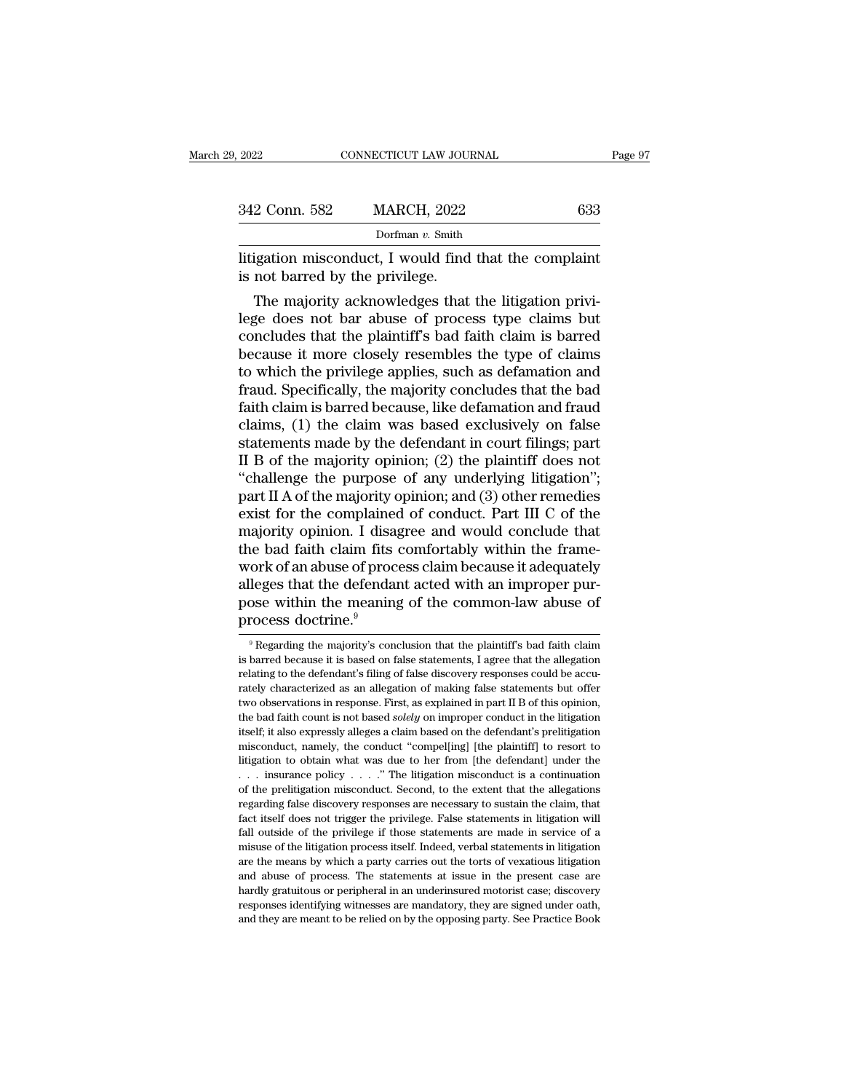| 9, 2022                         | CONNECTICUT LAW JOURNAL                                                                                                                                                | Page 97 |
|---------------------------------|------------------------------------------------------------------------------------------------------------------------------------------------------------------------|---------|
|                                 |                                                                                                                                                                        |         |
| 342 Conn. 582                   | <b>MARCH, 2022</b>                                                                                                                                                     | 633     |
|                                 | Dorfman $v$ . Smith                                                                                                                                                    |         |
| is not barred by the privilege. | litigation misconduct, I would find that the complaint                                                                                                                 |         |
|                                 | The majority acknowledges that the litigation privi-<br>lege does not bar abuse of process type claims but<br>concludes that the plaintiff's had faith claim is harred |         |

342 Conn. 582 MARCH, 2022 633<br>
Dorfman v. Smith<br>
litigation misconduct, I would find that the complaint<br>
is not barred by the privilege.<br>
The majority acknowledges that the litigation privi-<br>
lege does not bar abuse of pr Dorfman  $v$ . Smith<br>
litigation misconduct, I would find that the complaint<br>
is not barred by the privilege.<br>
The majority acknowledges that the litigation privi-<br>
lege does not bar abuse of process type claims but<br>
conclu Ittigation misconduct, I would find that the complaint<br>is not barred by the privilege.<br>The majority acknowledges that the litigation privi-<br>lege does not bar abuse of process type claims but<br>concludes that the plaintiff's Intigation misconduct, I would find that the complaint<br>is not barred by the privilege.<br>The majority acknowledges that the litigation privi-<br>lege does not bar abuse of process type claims but<br>concludes that the plaintiff's is not barred by the privilege.<br>The majority acknowledges that the litigation privilege does not bar abuse of process type claims but<br>concludes that the plaintiff's bad faith claim is barred<br>because it more closely resembl The majority acknowledges that the litigation privi-<br>lege does not bar abuse of process type claims but<br>concludes that the plaintiff's bad faith claim is barred<br>because it more closely resembles the type of claims<br>to which lege does not bar abuse of process type claims but<br>concludes that the plaintiff's bad faith claim is barred<br>because it more closely resembles the type of claims<br>to which the privilege applies, such as defamation and<br>fraud. concludes that the plaintiff's bad faith claim is barred<br>because it more closely resembles the type of claims<br>to which the privilege applies, such as defamation and<br>fraud. Specifically, the majority concludes that the bad<br> because it more closely resembles the type of claims<br>to which the privilege applies, such as defamation and<br>fraud. Specifically, the majority concludes that the bad<br>faith claim is barred because, like defamation and fraud to which the privilege applies, such as defamation and<br>fraud. Specifically, the majority concludes that the bad<br>faith claim is barred because, like defamation and fraud<br>claims, (1) the claim was based exclusively on false<br> fraud. Specifically, the majority concludes that the bad<br>faith claim is barred because, like defamation and fraud<br>claims, (1) the claim was based exclusively on false<br>statements made by the defendant in court filings; par faith claim is barred because, like defamation and fraud<br>claims, (1) the claim was based exclusively on false<br>statements made by the defendant in court filings; part<br>II B of the majority opinion; (2) the plaintiff does not claims, (1) the claim was based exclusively on false<br>statements made by the defendant in court filings; part<br>II B of the majority opinion; (2) the plaintiff does not<br>"challenge the purpose of any underlying litigation";<br>pa statements made by the defendant in court filings; part<br>II B of the majority opinion; (2) the plaintiff does not<br>"challenge the purpose of any underlying litigation";<br>part II A of the majority opinion; and (3) other remedi II B of the majority opinion; (2) the plaintiff does not<br>"challenge the purpose of any underlying litigation";<br>part II A of the majority opinion; and (3) other remedies<br>exist for the complained of conduct. Part III C of th "challenge the purpose of any underlying litigation";<br>part II A of the majority opinion; and (3) other remedies<br>exist for the complained of conduct. Part III C of the<br>majority opinion. I disagree and would conclude that<br>t part II A of the majority opinion; and (3) other remedies<br>exist for the complained of conduct. Part III C of the<br>majority opinion. I disagree and would conclude that<br>the bad faith claim fits comfortably within the frame-<br> exist for the complaine<br>majority opinion. I disa<sub>{</sub><br>the bad faith claim fits<br>work of an abuse of proc<br>alleges that the defendar<br>pose within the meaning<br>process doctrine.<sup>9</sup> ork of an abuse of process claim because it adequately<br>leges that the defendant acted with an improper pur-<br>ose within the meaning of the common-law abuse of<br>rocess doctrine.<sup>9</sup><br><sup>9</sup>Regarding the majority's conclusion that alleges that the defendant acted with an improper purpose within the meaning of the common-law abuse of process doctrine.<sup>9</sup><br>In allegation  $\frac{1}{\sqrt{1-\rho}}$  are  $\frac{1}{\sqrt{1-\rho}}$  and  $\frac{1}{\sqrt{1-\rho}}$  and  $\frac{1}{\sqrt{1-\rho}}$  and  $\frac{1}{\$ 

pose within the meaning of the common-law abuse of<br>process doctrine.<sup>9</sup><br> $R$  regarding the majority's conclusion that the plaintiff's bad faith claim<br>is barred because it is based on false statements, I agree that the alle process doctrine.<sup>9</sup><br>
<sup>9</sup> Regarding the majority's conclusion that the plaintiff's bad faith claim<br>
is barred because it is based on false statements, I agree that the allegation<br>
relating to the defendant's filing of fals process doctrine.<br>  $\bullet$  Regarding the majority's conclusion that the plaintiff's bad faith claim<br>
is barred because it is based on false statements, I agree that the allegation<br>
relating to the defendant's filing of false <sup>9</sup> Regarding the majority's conclusion that the plaintiff's bad faith claim is barred because it is based on false statements, I agree that the allegation relating to the defendant's filing of false discovery responses c is barred because it is based on false statements, I agree that the allegation relating to the defendant's filing of false discovery responses could be accurately characterized as an allegation of making false statements melating to the defendant's filing of false discovery responses could be accurately characterized as an allegation of making false statements but offer two observations in response. First, as explained in part II B of this Frately characterized as an allegation of making false statements but offer two observations in response. First, as explained in part II B of this opinion, the bad faith count is not based *solely* on improper conduct in two observations in response. First, as explained in part II B of this opinion, the bad faith count is not based *solely* on improper conduct in the litigation itself; it also expressly alleges a claim based on the defend the bad faith count is not based *solely* on improper conduct in the litigation itself; it also expressly alleges a claim based on the defendant's prelitigation misconduct, namely, the conduct "compel[ing] [the plaintiff] itself; it also expressly alleges a claim based on the defendant's prelitigation misconduct, namely, the conduct "compel[ing] [the plaintiff] to resort to litigation to obtain what was due to her from [the defendant] unde misconduct, namely, the conduct "compel[ing] [the plaintiff] to resort to litigation to obtain what was due to her from [the defendant] under the  $\ldots$  insurance policy  $\ldots$ ." The litigation misconduct is a continuation litigation to obtain what was due to her from [the defendant] under the  $\ldots$  insurance policy  $\ldots$ ." The litigation misconduct is a continuation of the prelitigation misconduct. Second, to the extent that the allegation misual continuation of the prelitigation misconduct is a continuation of the prelitigation misconduct. Second, to the extent that the allegations regarding false discovery responses are necessary to sustain the claim, tha are the means by which a party carries out the sextent that the allegations regarding false discovery responses are necessary to sustain the claim, that fact itself does not trigger the privilege. False statements in litig regarding false discovery responses are necessary to sustain the claim, that fact itself does not trigger the privilege. False statements in litigation will fall outside of the privilege if those statements are made in ser Fact itself does not trigger the privilege. False statements in litigation will fall outside of the privilege if those statements are made in service of a misuse of the litigation process itself. Indeed, verbal statements fact itself does not trigger the privilege. False statements in litigation will fall outside of the privilege if those statements are made in service of a misuse of the litigation process itself. Indeed, verbal statements misuse of the litigation process itself. Indeed, verbal statements in litigation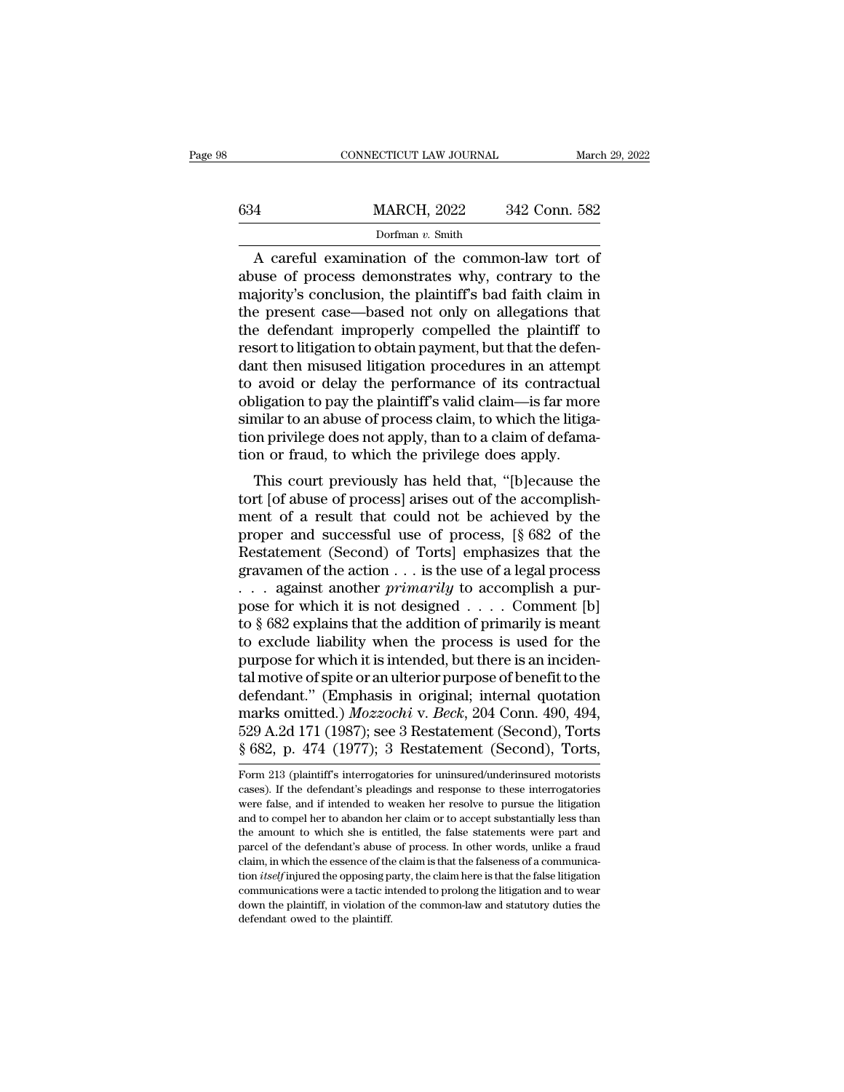|     | CONNECTICUT LAW JOURNAL |               | March 29, 2022 |
|-----|-------------------------|---------------|----------------|
|     |                         |               |                |
| 634 | <b>MARCH, 2022</b>      | 342 Conn. 582 |                |
|     | Dorfman v. Smith        |               |                |

CONNECTICUT LAW JOURNAL March 29, 202<br>  $\frac{1}{2}$  MARCH, 2022 342 Conn. 582<br>
Dorfman v. Smith<br>
A careful examination of the common-law tort of<br>
tuse of process demonstrates why, contrary to the<br>
Displaying applying the pla 634 MARCH, 2022 342 Conn. 582<br>
Dorfman v. Smith<br>
A careful examination of the common-law tort of<br>
abuse of process demonstrates why, contrary to the<br>
majority's conclusion, the plaintiff's bad faith claim in<br>
the prosent c man w. Smith<br>
man v. Smith<br>
A careful examination of the common-law tort of<br>
abuse of process demonstrates why, contrary to the<br>
majority's conclusion, the plaintiff's bad faith claim in<br>
the present case—based not only o  $\frac{\text{MARCH, 2022}}{\text{Dorfman } v. \text{ Smith}}$ <br>A careful examination of the common-law tort of abuse of process demonstrates why, contrary to the majority's conclusion, the plaintiff's bad faith claim in the present case—based not only o Dorfman v. Smith<br>Dorfman v. Smith<br>A careful examination of the common-law tort of<br>abuse of process demonstrates why, contrary to the<br>majority's conclusion, the plaintiff's bad faith claim in<br>the present case—based not onl A careful examination of the common-law tort of abuse of process demonstrates why, contrary to the majority's conclusion, the plaintiff's bad faith claim in the present case—based not only on allegations that the defendant A careful examination of the common-law tort of<br>abuse of process demonstrates why, contrary to the<br>majority's conclusion, the plaintiff's bad faith claim in<br>the present case—based not only on allegations that<br>the defendant abuse of process demonstrates why, contrary to the<br>majority's conclusion, the plaintiff's bad faith claim in<br>the present case—based not only on allegations that<br>the defendant improperly compelled the plaintiff to<br>resort to majority's conclusion, the plaintiff's bad faith claim in<br>the present case—based not only on allegations that<br>the defendant improperly compelled the plaintiff to<br>resort to litigation to obtain payment, but that the defen-<br> the present case—based not only on allegations that<br>the defendant improperly compelled the plaintiff to<br>resort to litigation to obtain payment, but that the defen-<br>dant then misused litigation procedures in an attempt<br>to a the defendant improperly compelled the plaintiff to<br>resort to litigation to obtain payment, but that the defen-<br>dant then misused litigation procedures in an attempt<br>to avoid or delay the performance of its contractual<br>obl resort to litigation to obtain payment, but that the defendant then misused litigation procedures in an attempto avoid or delay the performance of its contractua obligation to pay the plaintiff's valid claim—is far more si In their misased migation procedures in an attempt<br>avoid or delay the performance of its contractual<br>higation to pay the plaintiff's valid claim—is far more<br>milar to an abuse of process claim, to which the litiga-<br>non priv to avoid of delay the performance of its contractual<br>obligation to pay the plaintiff's valid claim—is far more<br>similar to an abuse of process claim, to which the litiga-<br>tion privilege does not apply, than to a claim of d

bongation to pay the plantific s vand claim—is far interestingular to an abuse of process claim, to which the litigation privilege does not apply, than to a claim of defamation or fraud, to which the privilege does apply.<br> similar to an abuse of process claim, to which the higa-<br>tion privilege does not apply, than to a claim of defama-<br>tion or fraud, to which the privilege does apply.<br>This court previously has held that, "[b]ecause the<br>tort Figure 1.1 To a claim of detailed<br>tion or fraud, to which the privilege does apply.<br>This court previously has held that, "[b]ecause the<br>tort [of abuse of process] arises out of the accomplish-<br>ment of a result that could This court previously has held that, "[b]ecause the<br>tort [of abuse of process] arises out of the accomplish-<br>ment of a result that could not be achieved by the<br>proper and successful use of process, [§ 682 of the<br>Restateme This court previously has held that, "[b]ecause the tort [of abuse of process] arises out of the accomplishment of a result that could not be achieved by the proper and successful use of process, [§ 682 of the Restatement tort [of abuse of process] arises out of the accomplishment of a result that could not be achieved by the proper and successful use of process, [§ 682 of the Restatement (Second) of Torts] emphasizes that the gravamen of ment of a result that could not be achieved by the<br>proper and successful use of process, [§ 682 of the<br>Restatement (Second) of Torts] emphasizes that the<br>gravamen of the action . . . is the use of a legal process<br> $\ldots$  ag proper and successful use of process,  $[\S 682$  of the<br>Restatement (Second) of Torts] emphasizes that the<br>gravamen of the action . . . is the use of a legal process<br>. . . against another *primarily* to accomplish a pur-<br>po Restatement (Second) of Torts] emphasizes that the gravamen of the action . . . is the use of a legal process . . . . against another *primarily* to accomplish a purpose for which it is not designed . . . . Comment [b] to gravamen of the action . . . is the use of a legal process<br>
. . . against another *primarily* to accomplish a pur-<br>
pose for which it is not designed . . . . Comment [b]<br>
to § 682 explains that the addition of primarily i ... against another *primarily* to accomplish a purpose for which it is not designed .... Comment [b]<br>to § 682 explains that the addition of primarily is meant<br>to exclude liability when the process is used for the<br>purpose pose for which it is not designed . . . . Comment [b]<br>to § 682 explains that the addition of primarily is meant<br>to exclude liability when the process is used for the<br>purpose for which it is intended, but there is an incide to § 682 explains that the addition of primarily is meant<br>to exclude liability when the process is used for the<br>purpose for which it is intended, but there is an inciden-<br>tal motive of spite or an ulterior purpose of bene to exclude liability when the process is used for the purpose for which it is intended, but there is an incidental motive of spite or an ulterior purpose of benefit to the defendant." (Emphasis in original; internal quota defendant." (Emphasis in original; internal quotation<br>marks omitted.) *Mozzochi* v. *Beck*, 204 Conn. 490, 494,<br>529 A.2d 171 (1987); see 3 Restatement (Second), Torts<br>§ 682, p. 474 (1977); 3 Restatement (Second), Torts,<br>Fo marks omitted.) *Mozzochi* v. *Beck*, 204 Conn. 490, 494, 529 A.2d 171 (1987); see 3 Restatement (Second), Torts § 682, p. 474 (1977); 3 Restatement (Second), Torts, Form 213 (plaintiff's interrogatories for uninsured/unde

<sup>529</sup> A.2d 171 (1987); see 3 Restatement (Second), Torts<br>§ 682, p. 474 (1977); 3 Restatement (Second), Torts,<br>Form 213 (plaintiff's interrogatories for uninsured/underinsured motorists<br>cases). If the defendant's pleadings an  $$682$ , p. 474 (1977); 3 Restatement (Second), Torts,<br> $$682$ , p. 474 (1977); 3 Restatement (Second), Torts,<br>Form 213 (plaintiff's interrogatories for uninsured/underinsured motorists<br>cases). If the defendant's pleadings a Form 213 (plaintiff's interrogatories for uninsured/underinsured motorists cases). If the defendant's pleadings and response to these interrogatories were false, and if intended to weaken her resolve to pursue the litigat Form 213 (plaintiff's interrogatories for uninsured/underinsured motorists cases). If the defendant's pleadings and response to these interrogatories were false, and if intended to weaken her resolve to pursue the litigati cases). If the defendant's pleadings and response to these interrogatories were false, and if intended to weaken her resolve to pursue the litigation and to compel her to abandon her claim or to accept substantially less t were false, and if intended to weaken her resolve to pursue the litigation<br>and to compel her to abandon her claim or to accept substantially less than<br>the amount to which she is entitled, the false statements were part and and to compel her to abandon her claim or to accept substantially less than the amount to which she is entitled, the false statements were part and parcel of the defendant's abuse of process. In other words, unlike a fraud the amount to which she is entitled, the false statements were part and parcel of the defendant's abuse of process. In other words, unlike a fraud claim, in which the essence of the claim is that the falseness of a communi parcel of the defendant's abuse of process. In other words, unlike a fraud claim, in which the essence of the claim is that the falseness of a communication *itself* injured the opposing party, the claim here is that the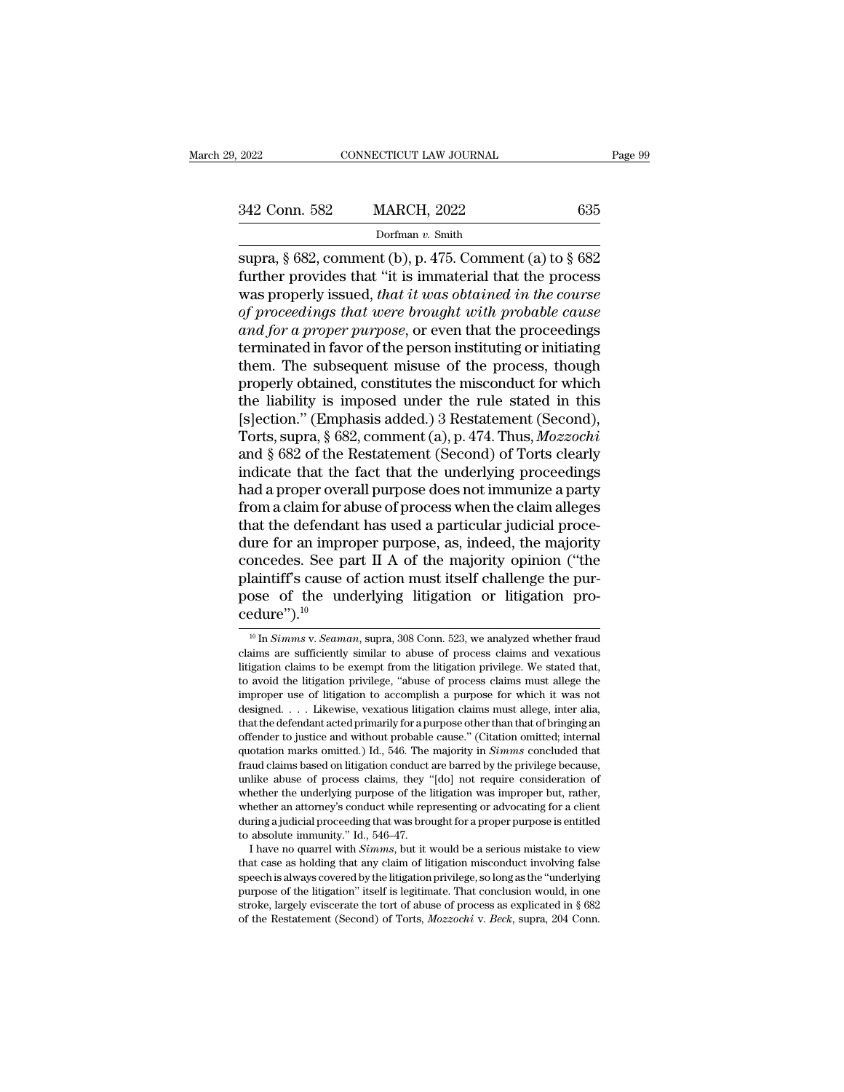| 2022          | CONNECTICUT LAW JOURNAL | Page 99 |
|---------------|-------------------------|---------|
| 342 Conn. 582 | <b>MARCH, 2022</b>      | 635     |
|               | Dorfman v. Smith        |         |

supra, § 682, comment (b), p. 475. Comment (a) to § 682<br>supra, § 682, comment (b), p. 475. Comment (a) to § 682<br>further provides that "it is immaterial that the process 342 Conn. 582 MARCH, 2022 635<br>Dorfman v. Smith<br>supra, § 682, comment (b), p. 475. Comment (a) to § 682<br>further provides that "it is immaterial that the process<br>was properly issued, that it was obtained in the course<br>of pr  $\frac{342 \text{ Conn. } 582}{\text{Dorfman } v. \text{ Smith}}$ <br>Dorfman v. Smith<br>supra, § 682, comment (b), p. 475. Comment (a) to § 682<br>further provides that "it is immaterial that the process<br>was properly issued, *that it was obtained in the course* <sup>242</sup> Conn. 582 MARCH, 2022 635<br> *Dorfman v. Smith*<br>
supra, § 682, comment (b), p. 475. Comment (a) to § 682<br>
further provides that "it is immaterial that the process<br>
was properly issued, *that it was obtained in the cour and sex matters, 2022*<br>*bofman v. Smith*<br>supra, § 682, comment (b), p. 475. Comment (a) to § 682<br>further provides that "it is immaterial that the process<br>was properly issued, *that it was obtained in the course*<br>of procee borman v. Smith<br>supra, § 682, comment (b), p. 475. Comment (a) to § 682<br>further provides that "it is immaterial that the process<br>was properly issued, *that it was obtained in the course*<br>of proceedings *that were brought* supra, § 682, comment (b), p. 475. Comment (a) to § 682<br>further provides that "it is immaterial that the process<br>was properly issued, *that it was obtained in the course*<br>of *proceedings that were brought with probable ca* further provides that "it is immaterial that the process<br>was properly issued, *that it was obtained in the course*<br>of *proceedings that were brought with probable cause*<br>and *for a proper purpose*, or even that the proceed was properly issued, *that it was obtained in the course*<br>of proceedings that were brought with probable cause<br>and for a proper purpose, or even that the proceedings<br>terminated in favor of the person instituting or initia of proceedings that were brought with probable cause<br>and for a proper purpose, or even that the proceedings<br>terminated in favor of the person instituting or initiating<br>them. The subsequent misuse of the process, though<br>pro and for a proper purpose, or even that the proceedings<br>terminated in favor of the person instituting or initiating<br>them. The subsequent misuse of the process, though<br>properly obtained, constitutes the misconduct for which<br> terminated in favor of the person instituting or initiating<br>them. The subsequent misuse of the process, though<br>properly obtained, constitutes the misconduct for which<br>the liability is imposed under the rule stated in this<br> them. The subsequent misuse of the process, though<br>properly obtained, constitutes the misconduct for which<br>the liability is imposed under the rule stated in this<br>[s]ection." (Emphasis added.) 3 Restatement (Second),<br>Torts, properly obtained, constitutes the misconduct for which<br>the liability is imposed under the rule stated in this<br>[s]ection." (Emphasis added.) 3 Restatement (Second),<br>Torts, supra, § 682, comment (a), p. 474. Thus, *Mozzochi* the liability is imposed under the rule stated in this<br>[s]ection." (Emphasis added.) 3 Restatement (Second),<br>Torts, supra, § 682, comment (a), p. 474. Thus, *Mozzochi*<br>and § 682 of the Restatement (Second) of Torts clearly [s]ection." (Emphasis added.) 3 Restatement (Second), Torts, supra, § 682, comment (a), p. 474. Thus, *Mozzochi* and § 682 of the Restatement (Second) of Torts clearly indicate that the fact that the underlying proceeding Torts, supra, § 682, comment (a), p. 474. Thus, *Mozzochi*<br>and § 682 of the Restatement (Second) of Torts clearly<br>indicate that the fact that the underlying proceedings<br>had a proper overall purpose does not immunize a par and § 682 of the Restatement (Second) of Torts clearly<br>indicate that the fact that the underlying proceedings<br>had a proper overall purpose does not immunize a party<br>from a claim for abuse of process when the claim alleges<br> indicate that the fact that the underlying proceedings<br>had a proper overall purpose does not immunize a party<br>from a claim for abuse of process when the claim alleges<br>that the defendant has used a particular judicial proce had a proper overall purpose does not immunize a party<br>from a claim for abuse of process when the claim alleges<br>that the defendant has used a particular judicial proce-<br>dure for an improper purpose, as, indeed, the majori cedure").<sup>10</sup> oncedes. See part II A of the majority opinion ("the laintiff's cause of action must itself challenge the pur-<br>ose of the underlying litigation or litigation pro-<br>edure").<sup>10</sup><br>In *Simms* v. *Seaman*, supra, 308 Conn. 523, plaintiff's cause of action must itself challenge the pur-<br>pose of the underlying litigation or litigation pro-<br>cedure").<sup>10</sup><br> $\frac{10 \text{ In }Simms \text{ v.} Seaman, \text{ supra, } 308 \text{ Conn. } 523, \text{ we analyzed whether } \text{frau}$ <br>claims are sufficiently similar to abu

pose of the underlying litigation or litigation pro-<br>
cedure").<sup>10</sup><br>
<sup>10</sup> In *Simms* v. *Seaman*, supra, 308 Conn. 523, we analyzed whether fraud<br>
claims are sufficiently similar to abuse of process claims and vexatious<br> pose of the differential integration of higher<br>cedure").<sup>10</sup><br> $\frac{10 \text{ In } Simms \text{ v.} Seaman, \text{ supra, } 308 \text{ Conn. } 523, \text{ we analyzed whether } \text{frau}$ <br>claims are sufficiently similar to abuse of process claims and vexatious<br>litigation claims to be exempt **CECUTE** T.<sup>10</sup><br>
<sup>10</sup> In *Simms* v. *Seaman*, supra, 308 Conn. 523, we analyzed whether fraud claims are sufficiently similar to abuse of process claims and vexatious litigation claims to be exempt from the litigation pri <sup>10</sup> In *Simms* v. *Seaman*, supra, 308 Conn. 523, we analyzed whether fraud claims are sufficiently similar to abuse of process claims and vexatious litigation claims to be exempt from the litigation privilege. We stated In *summs* v. *seaman*, supra, 306 Conn. 325, we analyzed whether fradio<br>claims are sufficiently similar to abuse of process claims and vexatious<br>litigation claims to be exempt from the litigation privilege. We stated that claims are sumclently similar to abuse of process claims and vexatious<br>litigation claims to be exempt from the litigation privilege. We stated that,<br>to avoid the litigation privilege, "abuse of process claims must allege t magation claims to be exempt nomit the magation privilege. We stated that, to avoid the litigation privilege, "abuse of process claims must allege the improper use of litigation to accomplish a purpose for which it was not fraud claims based on litigation complish a purpose for which it was not designed. . . . Likewise, vexatious litigation claims must allege, inter alia, that the defendant acted primarily for a purpose other than that of b miproper use of migation to accomplish a purpose for which it was not designed.... Likewise, vexatious litigation claims must allege, inter alia, that the defendant acted primarily for a purpose other than that of bringing designed. . . . Latewise, vexatious higation claims must anege, mer and, that the defendant acted primarily for a purpose other than that of bringing an offender to justice and without probable cause." (Citation omitted, i mat the detendant acted printarity for a purpose other than that of oringing an offender to justice and without probable cause." (Citation omitted; internal quotation marks omitted.) Id., 546. The majority in *Simms* concl onenuer to justice and without probable cause. (Chation ontitied, internal quotation marks omitted.) Id., 546. The majority in *Simms* concluded that fraud claims based on litigation conduct are barred by the privilege bec quotation marks omitted.) Id., 546. The majority in *Simms* concluded that fraud claims based on litigation conduct are barred by the privilege because, unlike abuse of process claims, they "[do] not require consideration I have no quarrel with *Simms*, they "[do] not require consideration of nether the underlying purpose of the litigation was improper but, rather, nether an attorney's conduct while representing or advocating for a client r that case as holding purpose of the litigation was improper but, rather, whether an attorney's conduct while representing or advocating for a client during a judicial proceeding that was brought for a proper purpose is ent

whether are underlying purpose of the integrator was improper but, rather, whether an attorney's conduct while representing or advocating for a client during a judicial proceeding that was brought for a proper purpose is e whether an attorney s contact while representing or attocating for a chend<br>during a judicial proceeding that was brought for a proper purpose is entitled<br>to absolute immunity." Id., 546–47.<br>I have no quarrel with *Simms*, to absolute immunity." Id., 546–47.<br>
I have no quarrel with *Simms*, but it would be a serious mistake to view<br>
that case as holding that any claim of litigation misconduct involving false<br>
speech is always covered by the I have no quarrel with *Simms*, but it would be a serious mistake to view that case as holding that any claim of litigation misconduct involving false speech is always covered by the litigation privilege, so long as the "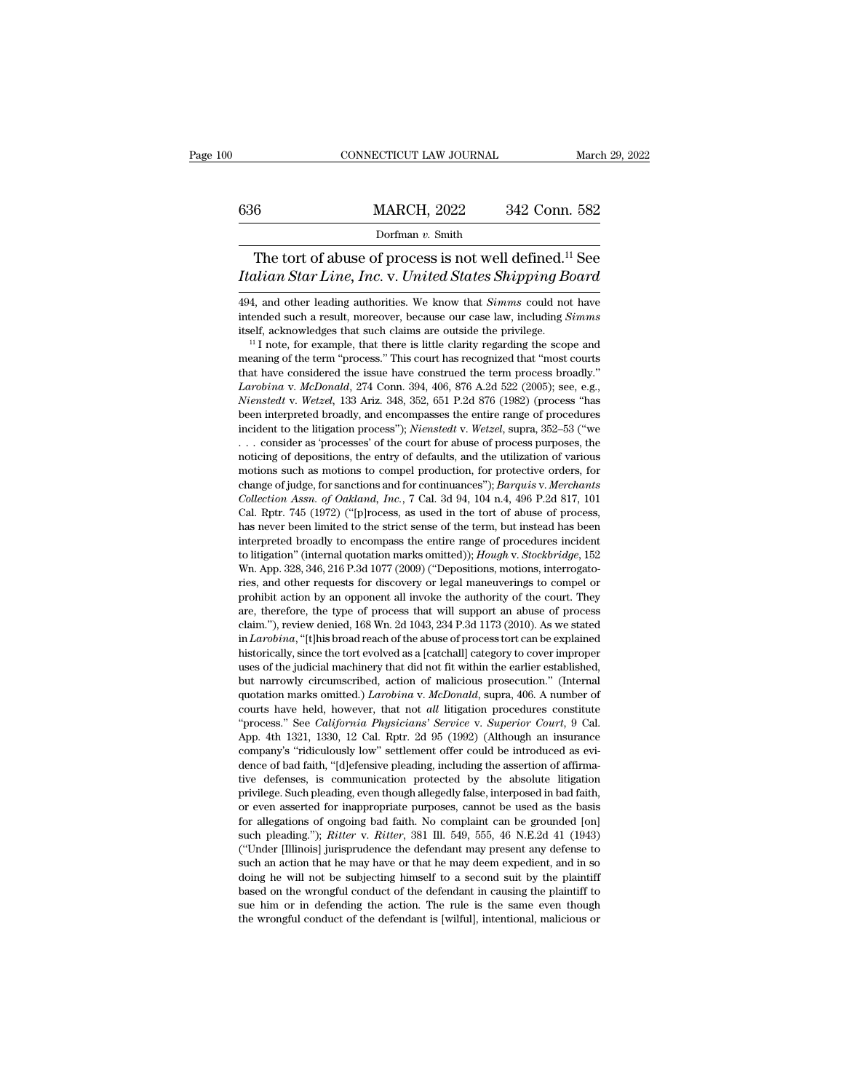# EXECUTE CONNECTICUT LAW JOURNAL March 29, 2022<br>
MARCH, 2022 342 Conn. 582<br>
Dorfman v. Smith

## Dorfman *v.* Smith

CONNECTICUT LAW JOURNAL March 29, 2022<br>
6 MARCH, 2022 342 Conn. 582<br>
Dorfman v. Smith<br>
The tort of abuse of process is not well defined.<sup>11</sup> See<br>
ulian Star Line, Inc. v. United States Shipping Board *Italian Star Line, Inc.* v. *United States Shipping Board*<br>*Italian Star Line, Inc.* v. *United States Shipping Board*<br>*Italian Star Line, Inc.* v. *United States Shipping Board*<br>494, and other leading authorities. We kno 1494, and other leading authorities. We know that *Simms* could not have intended such a result, moreover, because our case law, including *Simms* could not have intended such a result, moreover, because our case law, incl

interact of abuse of process is not well defined.<sup>11</sup> See<br>Italian Star Line, Inc. v. United States Shipping Board<br>494, and other leading authorities. We know that *Simms* could not have<br>intended such a result, moreover, be The tort of abuse of process is not well defined.<sup>11</sup> See<br>*Italian Star Line, Inc.* v. *United States Shipping Board*<br>494, and other leading authorities. We know that *Simms* could not have<br>intended such a result, moreove

*Mutuan Star Line, Mc. V. United States Shupping Board*<br>494, and other leading authorities. We know that *Simms* could not have<br>intended such a result, moreover, because our case law, including *Simms*<br>itself, acknowledge 494, and other leading authorities. We know that *Simms* could not have intended such a result, moreover, because our case law, including *Simms* itself, acknowledges that such claims are outside the privilege.  $11$  I not *Larobina* v. *McDonald*, 274 Conn. 394, 406, 876 A.2d 522 (2005); see, e.g., *Niensteld*, w. *Wetzel*, 133 Ariz. 348, 352, 651 P.2d 876 (1982) (process "has *Niended* such a result, interever, because our case law, including *Butins*<br> *Nienstedf*, acknowledges that such claims are outside the privilege.<br>
<sup>11</sup> I note, for example, that there is little clarity regarding the scop been, acknowledges that such claims are outside the privilege.<br>
<sup>11</sup> I note, for example, that there is little clarity regarding the scope and<br>
meaning of the term "process." This court has recognized that "most courts<br>
t incident to the litigation process." This court has recognized that "most courts that have considered the issue have construed the term process broadly."<br>*Larobina v. McDonald*, 274 Conn. 394, 406, 876 A.2d 522 (2005); see the aning of the term process. This court has recognized that most courts<br>that have considered the issue have construed the term process broadly."<br>*Larobina v. McDonald*, 274 Conn. 394, 406, 876 A.2d 522 (2005); see, e.g., Larobina v. McDonald, 274 Conn. 394, 406, 876 A.2d 522 (2005); see, e.g., *Nienstedt* v. *Wetzel*, 133 Ariz. 348, 352, 651 P.2d 876 (1982) (process "has been interpreted broadly, and encompasses the entire range of procedu Editional V. Incromatic, 214 Collit. 394, 400, 610 A.2d 322 (2005), see, e.g., Nienstedt v. Wetzel, 133 Ariz. 348, 352, 651 P.2d 876 (1982) (process "has been interpreted broadly, and encompasses the entire range of proced change of judge, for sanctions and for continuances''); *Barquis* v. *Merchants* incident to the litigation process''); *Nienstedt v. Wetzel*, supra, 352–53 ("we ... consider as 'processes' of the court for abuse of proces *Collection Assn.* of Oakland, *Inc.*, 7 Cal. 3d 94, 104 n.4, 496 P.2d 817, 10<br>Collection Assn. of Oakland, *Inc.*, 7 Cal. 3d 94, 104 n.4, 496 P.2d 817, 101<br>Cal. Rptr. 745 (1972) ("[p] process, as used in the total of vari methem to the higgaton process *f*, *Nuensieal V. Weizet*, supra,  $352-56$  (we ... consider as 'processes' of the court for abuse of process purposes, the noticing of depositions, the entry of defaults, and the utilizati ... consider as processes or the court for abuse of process purposes, the noticing of depositions, the entry of defaults, and the utilization of various motions such as motions to compel production, for protective orders, inducing of depositions, the entry of detains, and the differential motions motions such as motions to compel production, for protective orders, for change of judge, for sanctions and for continuances"); *Barquis v. Mercha* to controllection, the protective orders, to change of judge, for sanctions and for continuances"); *Barquis v. Merchants* Collection Assn. of Oakland, Inc., 7 Cal. 3d 94, 104 n.4, 496 P.2d 817, 101 Cal. Rptr. 745 (1972) ( change of judge, for sanctions and for continuances"); *Barquis v. Merchants Collection Assn. of Oakland, Inc.*, 7 Cal. 3d 94, 104 n.4, 496 P.2d 817, 101 Cal. Rptr. 745 (1972) ("[p]rocess, as used in the tort of abuse o Concetion Assn. of Ouklama, The., *i* Cal. 3d 94, 104 ii.4, 480 *F*.2d 61*i*, 10<br>Cal. Rptr. 745 (1972) ("[p]rocess, as used in the tort of abuse of process,<br>has never been limited to the strict sense of the term, but inste cal. hpu:  $749$  (1972) (Figuress, as used in the total and so process, has never been limited to the strict sense of the term, but instead has been interpreted broadly to encompass the entire range of procedures incident are, therefore, the type of process that will support an abuse of procedures incident<br>to litigation" (internal quotation marks omitted)); *Hough v. Stockbridge*, 152<br>Wn. App. 328, 346, 216 P.3d 1077 (2009) ("Depositions, m Interpreted broadly to encompass the entire range of procedures incident<br>to litigation" (internal quotation marks omitted)); *Hough v. Stockbridge*, 152<br>Wn. App. 328, 346, 216 P.3d 1077 (2009) ("Depositions, motions, inter io *Lagrafier* (*Lateriaa quotation marks onlited)*, *Lough v. Suckloridge*, 152 Wn. App. 328, 346, 216 P.3d 1077 (2009) ("Depositions, motions, interrogatories, and other requests for discovery or legal maneuverings to co wit. App. 328, 340, 210 F.3d 1077 (2009) (Expositions, including advertises, and other requests for discovery or legal maneuverings to compel or prohibit action by an opponent all invoke the authority of the court. They a ries, and other requests for uscovery or legal maneuverings to compet or<br>prohibit action by an opponent all invoke the authority of the court. They<br>are, therefore, the type of process that will support an abuse of process<br> promote action by an opponent an invoke the authority of the court. They are, therefore, the type of process that will support an abuse of process claim."), review denied, 168 Wn. 2d 1043, 234 P.3d 1173 (2010). As we state are, uterfore, the type of process that win support an abuse of process<br>claim."), review denied, 168 Wn. 2d 1043, 234 P.3d 1173 (2010). As we stated<br>in *Larobina*, "[t]his broad reach of the abuse of process tort can be ex ciant. *f*, review defiled, fow with 2d 1045, 254 r. 3d 1175 (2010). As we stated in *Larobina*, "[t]his broad reach of the abuse of process tort can be explained historically, since the tort evolved as a [catchall] catego In Laroom, [this boad reach of the abuse of process tort can be explained<br>
historically, since the tort evolved as a [catchall] category to cover improper<br>
uses of the judicial machinery that did not fit within the earlier mstoricany, since the tort evolved as a claudial category to cover improper<br>uses of the judicial machinery that did not fit within the earlier established,<br>but narrowly circumscribed, action of malicious prosecution." (Int company's ''ridiculously low'' settlement offer could be introduced as evibut narrowly circulistened, action of mancious prosecution. (internation quotation marks omitted.) *Larobina* v. *McDonald*, supra, 406. A number of courts have held, however, that not *all* litigation procedures constitut quotation marks omittett.) *Larooma v. McDonaat*, supra, 400. A number of courts have held, however, that not *all* litigation procedures constitute "process." See *California Physicians' Service v. Superior Court*, 9 Cal. courts have held, however, that hot *du* higganon procedures constructe "process." See *California Physicians' Service v. Superior Court*, 9 Cal. App. 4th 1321, 1330, 12 Cal. Rptr. 2d 95 (1992) (Although an insurance compa process. See *Catifornia rugstcures Service v*. *Superior* Court, *s* Cal. App. 4th 1321, 1330, 12 Cal. Rptr. 2d 95 (1992) (Although an insurance company's "ridiculously low" settlement offer could be introduced as evide company's "ridiculously low" settlement offer could be introduced as evi-<br>dence of bad faith, "[d]efensive pleading, including the assertion of affirma-<br>tive defenses, is communication protected by the absolute litigation<br> company s Transmosty fow Setuement offer Collin of the minoduced as evidence of bad faith, "[d]efensive pleading, including the assertion of affirmative defenses, is communication protected by the absolute litigation privi dence of bad fall, [deferisive pleading, including the assertion of all fluid-<br>tive defenses, is communication protected by the absolute litigation<br>privilege. Such pleading, even though allegedly false, interposed in bad f are detenses, is communication protected by the absolute migration<br>privilege. Such pleading, even though allegedly false, interposed in bad faith,<br>or even asserted for inappropriate purposes, cannot be used as the basis<br>fo privatege. Such preading, even diough anegedly hase, interposed in bad latit, or even asserted for inappropriate purposes, cannot be used as the basis for allegations of ongoing bad faith. No complaint can be grounded [on] based on the mappropriate purposes, cannot be used as the basis for allegations of ongoing bad faith. No complaint can be grounded [on] such pleading."); *Ritter* v. *Ritter*, 381 Ill. 549, 555, 46 N.E.2d 41 (1943) ("Under for an egations of origonig bad ratin. No compaint can be grounded [ori] such pleading."); *Ritter* v. *Ritter*, 381 Ill. 549, 555, 46 N.E.2d 41 (1943) ("Under [Illinois] jurisprudence the defendant may present any defense ("Under [Illinois] jurisprudence the defendant may present any defense to such an action that he may have or that he may deem expedient, and in so doing he will not be subjecting himself to a second suit by the plaintiff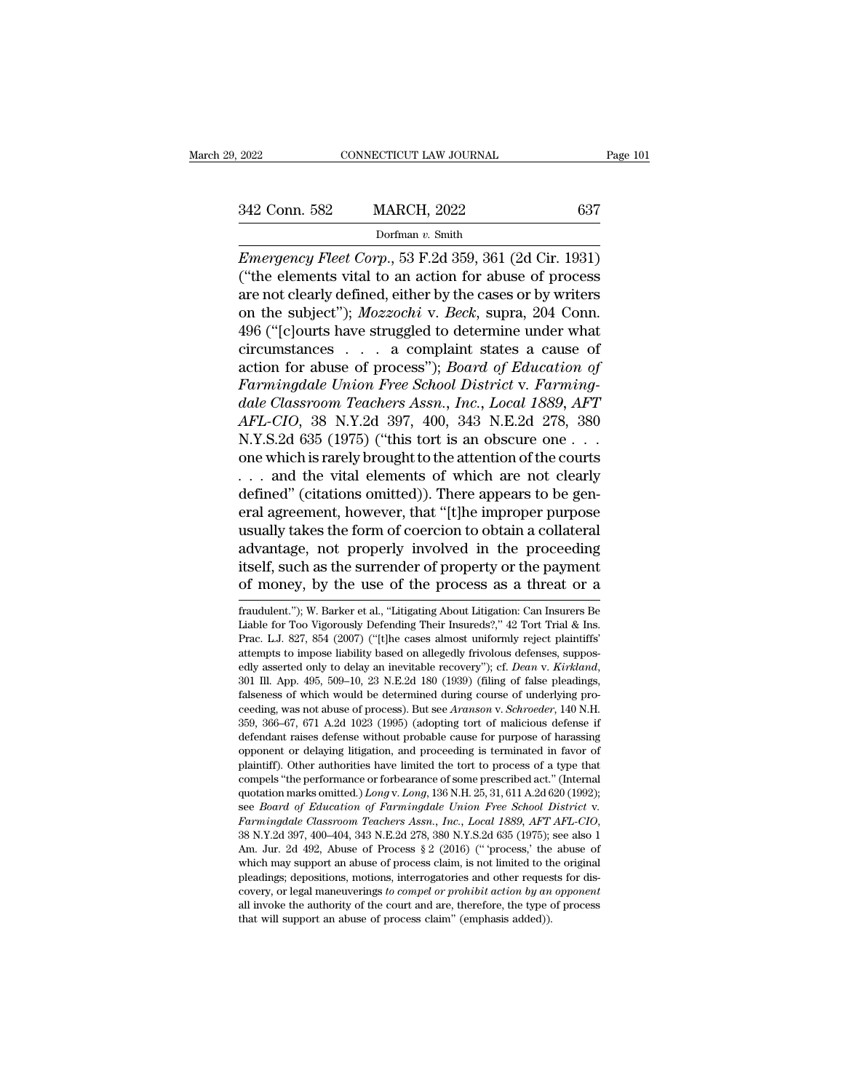*EMPLERE CONNECTICUT LAW JOURNAL* Page 101<br> **EMPLERENCE AND AND ANCH, 2022** 637<br> *Emergency Fleet Corp.*, 53 F.2d 359, 361 (2d Cir. 1931)<br>
("the elements vital to an action for abuse of process<br>
are not clearly defined eit (342 Conn. 582 MARCH, 2022 637<br>Dorfman v. Smith<br>Emergency Fleet Corp., 53 F.2d 359, 361 (2d Cir. 1931)<br>("the elements vital to an action for abuse of process<br>are not clearly defined, either by the cases or by writers<br>on t 342 Conn. 582 MARCH, 2022 637<br>
Dorfman v. Smith<br>
Emergency Fleet Corp., 53 F.2d 359, 361 (2d Cir. 1931)<br>
("the elements vital to an action for abuse of process<br>
are not clearly defined, either by the cases or by writers<br> 342 Conn. 582 MARCH, 2022 637<br>
Dorfman v. Smith<br>
Emergency Fleet Corp., 53 F.2d 359, 361 (2d Cir. 1931)<br>
("the elements vital to an action for abuse of process<br>
are not clearly defined, either by the cases or by writers<br>
o Dorfman v. Smith<br>
Emergency Fleet Corp., 53 F.2d 359, 361 (2d Cir. 1931)<br>
("the elements vital to an action for abuse of process<br>
are not clearly defined, either by the cases or by writers<br>
on the subject"); *Mozzochi* v. Emergency Fleet Corp., 53 F.2d 359, 361 (2d Cir. 1931)<br>
("the elements vital to an action for abuse of process<br>
are not clearly defined, either by the cases or by writers<br>
on the subject"); *Mozzochi* v. *Beck*, supra, 20 Emergency Fleet Corp., 53 F.2d 359, 361 (2d Cir. 1931)<br>("the elements vital to an action for abuse of process<br>are not clearly defined, either by the cases or by writers<br>on the subject"); *Mozzochi* v. *Beck*, supra, 204 Co ("the elements vital to an action for abuse of process<br>are not clearly defined, either by the cases or by writers<br>on the subject"); *Mozzochi* v. *Beck*, supra, 204 Conn.<br>496 ("[c]ourts have struggled to determine under wh are not clearly defined, either by the cases or by writers<br>
on the subject"); *Mozzochi* v. *Beck*, supra, 204 Conn.<br>
496 ("[c]ourts have struggled to determine under what<br>
circumstances . . . a complaint states a cause of on the subject"); *Mozzochi* v. *Beck*, supra, 204 Conn.<br>496 ("[c]ourts have struggled to determine under what<br>circumstances . . . a complaint states a cause of<br>action for abuse of process"); *Board of Education of*<br>*Farmi* 496 ("[c]ourts have struggled to determine under what<br>circumstances . . . a complaint states a cause of<br>action for abuse of process"); *Board of Education of*<br>*Farmingdale Union Free School District* v. *Farming-<br>dale Clas* action for abuse of process"); *Board of Education of*<br>*Farmingdale Union Free School District* v. *Farming-<br>dale Classroom Teachers Assn., Inc., Local 1889, AFT*<br>*AFL-CIO,* 38 N.Y.2d 397, 400, 343 N.E.2d 278, 380<br>N.Y.S.2d Farmingdale Union Free School District v. Farming-<br>dale Classroom Teachers Assn., Inc., Local 1889, AFT<br>AFL-CIO, 38 N.Y.2d 397, 400, 343 N.E.2d 278, 380<br>N.Y.S.2d 635 (1975) ("this tort is an obscure one . . .<br>one which is dale Classroom Teachers Assn., Inc., Local 1889, AFT<br>AFL-CIO, 38 N.Y.2d 397, 400, 343 N.E.2d 278, 380<br>N.Y.S.2d 635 (1975) ("this tort is an obscure one . . .<br>one which is rarely brought to the attention of the courts<br>. . . AFL-CIO, 38 N.Y.2d 397, 400, 343 N.E.2d 278, 380<br>N.Y.S.2d 635 (1975) ("this tort is an obscure one . . .<br>one which is rarely brought to the attention of the courts<br>. . . and the vital elements of which are not clearly<br>def N.Y.S.2d 635 (1975) ("this tort is an obscure one . . .<br>one which is rarely brought to the attention of the courts<br>. . . and the vital elements of which are not clearly<br>defined" (citations omitted)). There appears to be ge one which is rarely brought to the attention of the courts<br>
. . . and the vital elements of which are not clearly<br>
defined" (citations omitted)). There appears to be gen-<br>
eral agreement, however, that "[t]he improper purp . . . and the vital elements of which are not clearly<br>defined" (citations omitted)). There appears to be gen-<br>eral agreement, however, that "[t]he improper purpose<br>usually takes the form of coercion to obtain a collateral usually takes the form of coercion to obtain a collateral<br>advantage, not properly involved in the proceeding<br>itself, such as the surrender of property or the payment<br>of money, by the use of the process as a threat or a<br>fra advantage, not properly involved in the proceeding<br>itself, such as the surrender of property or the payment<br>of money, by the use of the process as a threat or a<br>fraudulent."); W. Barker et al., "Litigating About Litigation

itself, such as the surrender of property or the payment<br>of money, by the use of the process as a threat or a<br>fraudulent."); W. Barker et al., "Litigating About Litigation: Can Insurers Be<br>Liable for Too Vigorously Defendi of money, by the use of the process as a threat or a<br>fraudulent."); W. Barker et al., "Litigating About Litigation: Can Insurers Be<br>Liable for Too Vigorously Defending Their Insureds?," 42 Tort Trial & Ins.<br>Prac. L.J. 827 or Intoney, by the use of the process as a threat or a<br>fraudulent."); W. Barker et al., "Litigating About Litigation: Can Insurers Be<br>Liable for Too Vigorously Defending Their Insureds?," 42 Tort Trial & Ins.<br>Prac. L.J. 82 fraducent. ), w. Barker et al., Entgainig About Entgation. Can insurers be Liable for Too Vigorously Defending Their Insureds?," 42 Tort Trial & Ins.<br>Prac. L.J. 827, 854 (2007) ("[t]he cases almost uniformly reject plainti Liable for 100 vigorously Detenting Their Insureus:, 42 10tt That & ins.<br>Prac. L.J. 827, 854 (2007) ("[t]he cases almost uniformly reject plaintiffs"<br>attempts to impose liability based on allegedly frivolous defenses, supp Frac. L.3. 621, 694 (2001) (The cases almost uniomity reject plaintins attempts to impose liability based on allegedly frivolous defenses, supposedly asserted only to delay an inevitable recovery"); cf. *Dean* v. *Kirklan* attempts to mpose nability based on anegethy involted telefoses, supposedly asserted only to delay an inevitable recovery"); cf. Dean v. Kirkland, 301 Ill. App. 495, 509–10, 23 N.E.2d 180 (1939) (filing of false pleadings, ediy asserted only to delay an inevitable recovery *f*, *C. Dean v. Kirkatha,*<br>301 Ill. App. 495, 509–10, 23 N.E.2d 180 (1939) (filing of false pleadings,<br>falseness of which would be determined during course of underlying plantiff). Other authorities have limited the tort to process of a type that complements of which would be determined during course of underlying proceeding, was not abuse of process). But see Aranson v. Schroeder, 140 N. raseness or which would be determined during coulse or underlying pro-<br>ceeding, was not abuse of process). But see Aranson v. Schroeder, 140 N.H.<br>359, 366–67, 671 A.2d 1023 (1995) (adopting tort of malicious defense if<br>def deeding, was not abuse of process). But see *Artunson* v. *Schroeder*, 140 N.n.<br>359, 366–67, 671 A.2d 1023 (1995) (adopting tort of malicious defense if<br>defendant raises defense without probable cause for purpose of harass plantary. Other authorities have inhited the tort to process of a type that<br>compels "the performance or forbearance of some prescribed act." (Internal<br>quotation marks omitted.) Long v. Long, 136 N.H. 25, 31, 611 A.2d 620 ( compels the performance of forbearance of some prescribed act. (internat quotation marks omitted.) *Long v. Long*, 136 N.H. 25, 31, 611 A.2d 620 (1992); see *Board of Education of Farmingdale Union Free School District v.* glocation marks ontited.) *Long* v. *Long*, 100 N.f.1 *25*, 31, 011 A.2d 020 (1992), see *Board of Education of Farmingdale Union Free School District v. Farmingdale Classroom Teachers Assn., Inc., Local 1889, AFT AFL-CI* see *Board of Balteation of Farmingalae Orton Free Schoot Bistrict v.*<br>Farmingdale Classroom Teachers Assn., Inc., Local 1889, AFT AFL-CIO,<br>38 N.Y.2d 397, 400-404, 343 N.E.2d 278, 380 N.Y.S.2d 635 (1975); see also 1<br>Am. Ju Furningulae classroom Telleners Assn., The., Local 1605, ATT ATL-CTO, 38 N.Y.2d 397, 400–404, 343 N.E.2d 278, 380 N.Y.S.2d 635 (1975); see also 1 Am. Jur. 2d 492, Abuse of Process § 2 (2016) (" process," the abuse of whic 36 N.1.2d 397, 400–404, 343 N.E.2d 216, 360 N.1.3.2d 039 (1970), Am. Jur. 2d 492, Abuse of Process § 2 (2016) ("process," the which may support an abuse of process claim, is not limited to the pleadings; depositions, moti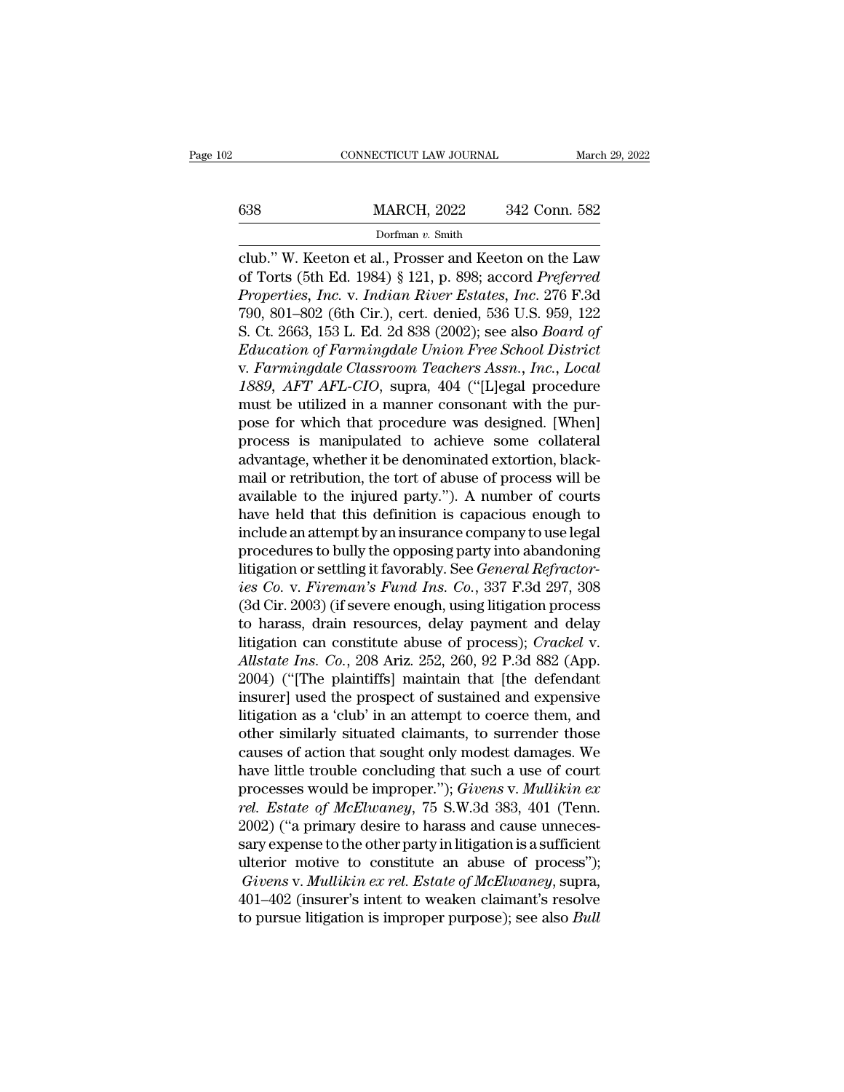# EXECUTE CONNECTICUT LAW JOURNAL March 29, 2022<br>
MARCH, 2022 342 Conn. 582<br>
Dorfman v. Smith

## Dorfman *v.* Smith

CONNECTICUT LAW JOURNAL March 29, 2022<br>
Sa MARCH, 2022 342 Conn. 582<br>
Dorfman v. Smith<br>
Club.'' W. Keeton et al., Prosser and Keeton on the Law<br>
of Torts (5th Ed. 1984) § 121, p. 898; accord *Preferred*<br>
Proposition Inc. y <sup>0638</sup> MARCH, 2022 342 Conn. 582<br>
<sup>Dorfman v. Smith<br>
club." W. Keeton et al., Prosser and Keeton on the Law<br>
of Torts (5th Ed. 1984) § 121, p. 898; accord *Preferred*<br> *Properties, Inc.* v. *Indian River Estates, Inc.* 276</sup> **Properties, Inc. 2022** *Properties, Inc.* v. *Indian River Estates, Inc.* 276 F.3d<br> **Properties, Inc.** v. *Indian River Estates, Inc.* 276 F.3d<br> **Properties, Inc.** v. *Indian River Estates, Inc.* 276 F.3d<br> **Properties, In** 342 Conn. 582<br>
Dorfman v. Smith<br>
Club." W. Keeton et al., Prosser and Keeton on the Law<br>
of Torts (5th Ed. 1984) § 121, p. 898; accord *Preferred*<br> *Properties, Inc.* v. *Indian River Estates, Inc.* 276 F.3d<br>
790, 801–802 Dorfman v. Smith<br>
club." W. Keeton et al., Prosser and Keeton on the Law<br>
of Torts (5th Ed. 1984) § 121, p. 898; accord *Preferred*<br> *Properties, Inc.* v. *Indian River Estates, Inc.* 276 F.3d<br>
790, 801–802 (6th Cir.), cer *Edub."* W. Keeton et al., Prosser and Keeton on the Law of Torts (5th Ed. 1984) § 121, p. 898; accord *Preferred Properties, Inc.* v. *Indian River Estates, Inc.* 276 F.3d 790, 801–802 (6th Cir.), cert. denied, 536 U.S. 9 club." W. Keeton et al., Prosser and Keeton on the Law<br>of Torts (5th Ed. 1984) § 121, p. 898; accord *Preferred<br>Properties, Inc.* v. *Indian River Estates, Inc.* 276 F.3d<br>790, 801–802 (6th Cir.), cert. denied, 536 U.S. 959 of Torts (5th Ed. 1984) § 121, p. 898; accord *Preferred*<br>*Properties, Inc.* v. *Indian River Estates, Inc.* 276 F.3d<br>790, 801–802 (6th Cir.), cert. denied, 536 U.S. 959, 122<br>S. Ct. 2663, 153 L. Ed. 2d 838 (2002); see also Properties, Inc. v. Indian River Estates, Inc. 276 F.3d<br>790, 801–802 (6th Cir.), cert. denied, 536 U.S. 959, 122<br>S. Ct. 2663, 153 L. Ed. 2d 838 (2002); see also *Board of*<br>*Education of Farmingdale Union Free School Distri* 790, 801–802 (6th Cir.), cert. denied, 536 U.S. 959, 122<br>S. Ct. 2663, 153 L. Ed. 2d 838 (2002); see also *Board of*<br>*Education of Farmingdale Union Free School District*<br>v. *Farmingdale Classroom Teachers Assn., Inc., Loca* S. Ct. 2663, 153 L. Ed. 2d 838 (2002); see also *Board of*<br>*Education of Farmingdale Union Free School District*<br>v. *Farmingdale Classroom Teachers Assn., Inc., Local*<br>1889, *AFT AFL-CIO*, supra, 404 ("[L]egal procedure<br>mu Education of Farmingdale Union Free School District<br>v. Farmingdale Classroom Teachers Assn., Inc., Local<br>1889, AFT AFL-CIO, supra, 404 ("[L]egal procedure<br>must be utilized in a manner consonant with the pur-<br>pose for whic v. Farmingdale Classroom Teachers Assn., Inc., Local<br>1889, AFT AFL-CIO, supra, 404 ("[L]egal procedure<br>must be utilized in a manner consonant with the pur-<br>pose for which that procedure was designed. [When]<br>process is mani 1889, *AFT AFL-CIO*, supra, 404 ("[L]egal procedure<br>must be utilized in a manner consonant with the pur-<br>pose for which that procedure was designed. [When]<br>process is manipulated to achieve some collateral<br>advantage, wheth must be utilized in a manner consonant with the pur-<br>pose for which that procedure was designed. [When]<br>process is manipulated to achieve some collateral<br>advantage, whether it be denominated extortion, black-<br>mail or retri pose for which that procedure was designed. [When]<br>process is manipulated to achieve some collateral<br>advantage, whether it be denominated extortion, black-<br>mail or retribution, the tort of abuse of process will be<br>availabl process is manipulated to achieve some collateral<br>advantage, whether it be denominated extortion, black-<br>mail or retribution, the tort of abuse of process will be<br>available to the injured party."). A number of courts<br>have advantage, whether it be denominated extortion, black-<br>mail or retribution, the tort of abuse of process will be<br>available to the injured party."). A number of courts<br>have held that this definition is capacious enough to<br>i mail or retribution, the tort of abuse of process will be<br>available to the injured party."). A number of courts<br>have held that this definition is capacious enough to<br>include an attempt by an insurance company to use legal<br> available to the injured party."). A number of courts<br>have held that this definition is capacious enough to<br>include an attempt by an insurance company to use legal<br>procedures to bully the opposing party into abandoning<br>lit have held that this definition is capacious enough to<br>include an attempt by an insurance company to use legal<br>procedures to bully the opposing party into abandoning<br>litigation or settling it favorably. See *General Refrac* include an attempt by an insurance company to use legal<br>procedures to bully the opposing party into abandoning<br>litigation or settling it favorably. See *General Refractor-<br>ies Co.* v. *Fireman's Fund Ins. Co.*, 337 F.3d 29 procedures to bully the opposing party into abandoning<br>litigation or settling it favorably. See *General Refractor-<br>ies Co.* v. *Fireman's Fund Ins. Co.*, 337 F.3d 297, 308<br>(3d Cir. 2003) (if severe enough, using litigatio litigation or settling it favorably. See *General Refractor-*<br>*ies Co.* v. *Fireman's Fund Ins. Co.*, 337 F.3d 297, 308<br>(3d Cir. 2003) (if severe enough, using litigation process<br>to harass, drain resources, delay payment a ies Co. v. Fireman's Fund Ins. Co., 337 F.3d 297, 308<br>(3d Cir. 2003) (if severe enough, using litigation process<br>to harass, drain resources, delay payment and delay<br>litigation can constitute abuse of process); Crackel v.<br>A (3d Cir. 2003) (if severe enough, using litigation process<br>to harass, drain resources, delay payment and delay<br>litigation can constitute abuse of process); *Crackel v.*<br>*Allstate Ins. Co.*, 208 Ariz. 252, 260, 92 P.3d 882 to harass, drain resources, delay payment and delay<br>litigation can constitute abuse of process); Crackel v.<br>Allstate Ins. Co., 208 Ariz. 252, 260, 92 P.3d 882 (App.<br>2004) ("[The plaintiffs] maintain that [the defendant<br>ins litigation can constitute abuse of process); *Crackel v.*<br>Allstate Ins. Co., 208 Ariz. 252, 260, 92 P.3d 882 (App.<br>2004) ("[The plaintiffs] maintain that [the defendant<br>insurer] used the prospect of sustained and expensive Allstate Ins. Co., 208 Ariz. 252, 260, 92 P.3d 882 (App.<br>2004) ("[The plaintiffs] maintain that [the defendant<br>insurer] used the prospect of sustained and expensive<br>litigation as a 'club' in an attempt to coerce them, and 2004) ("[The plaintiffs] maintain that [the defendant<br>insurer] used the prospect of sustained and expensive<br>litigation as a 'club' in an attempt to coerce them, and<br>other similarly situated claimants, to surrender those<br>ca insurer] used the prospect of sustained and expensive<br>litigation as a 'club' in an attempt to coerce them, and<br>other similarly situated claimants, to surrender those<br>causes of action that sought only modest damages. We<br>hav litigation as a 'club' in an attempt to coerce them, and<br>other similarly situated claimants, to surrender those<br>causes of action that sought only modest damages. We<br>have little trouble concluding that such a use of court<br>p other similarly situated claimants, to surrender those<br>causes of action that sought only modest damages. We<br>have little trouble concluding that such a use of court<br>processes would be improper."); *Givens* v. *Mullikin ex*<br> causes of action that sought only modest damages. We<br>have little trouble concluding that such a use of court<br>processes would be improper."); *Givens v. Mullikin ex<br>rel. Estate of McElwaney*, 75 S.W.3d 383, 401 (Tenn.<br>2002) rawe little trouble concluding that such a use of court<br>processes would be improper."); *Givens* v. *Mullikin ex*<br>*rel. Estate of McElwaney*, 75 S.W.3d 383, 401 (Tenn.<br>2002) ("a primary desire to harass and cause unneces-<br> processes would be improper."); *Givens v. Mullikin ex*<br>rel. Estate of McElwaney, 75 S.W.3d 383, 401 (Tenn.<br>2002) ("a primary desire to harass and cause unneces-<br>sary expense to the other party in litigation is a sufficien rel. Estate of McElwaney, 75 S.W.3d 383, 401 (Tenn.<br>2002) ("a primary desire to harass and cause unnecessary expense to the other party in litigation is a sufficient<br>ulterior motive to constitute an abuse of process");<br>Giv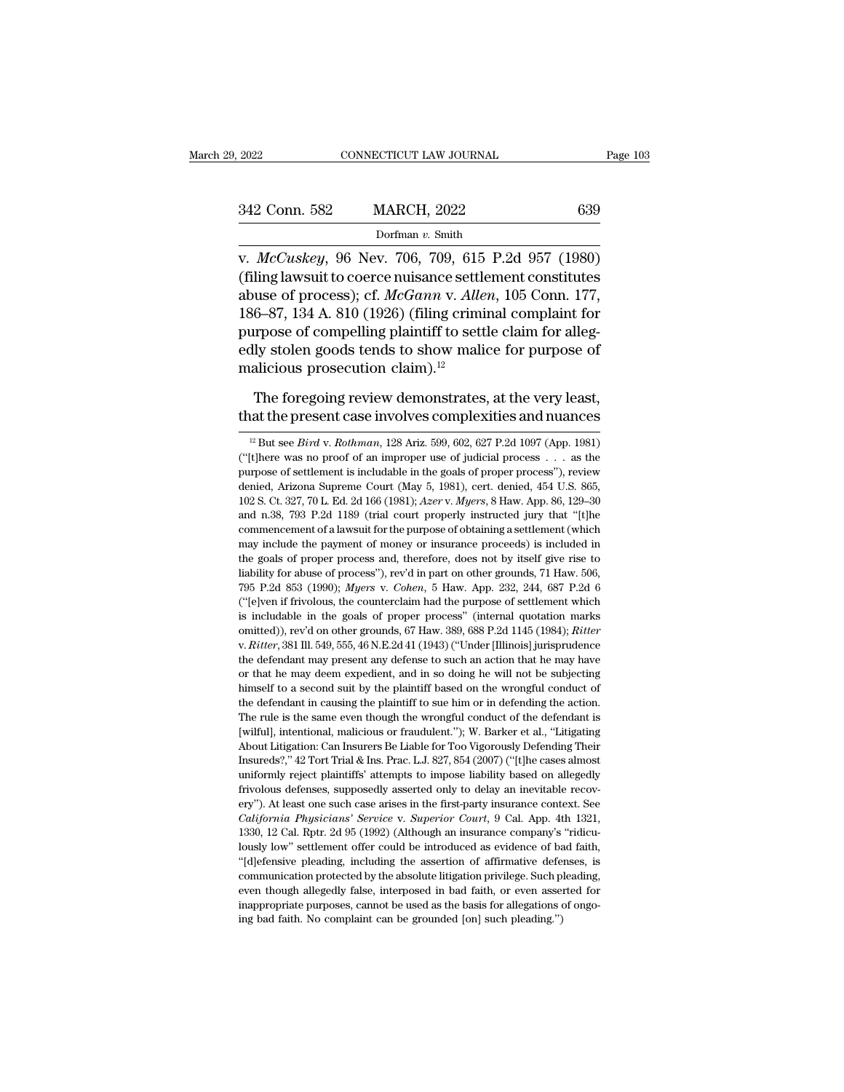| 9, 2022       | CONNECTICUT LAW JOURNAL | Page 103 |
|---------------|-------------------------|----------|
| 342 Conn. 582 | <b>MARCH, 2022</b>      | 639      |
|               | Dorfman v. Smith        |          |

v. 2022<br>
v. *McCuskey*, 96 Nev. 706, 709, 615 P.2d 957 (1980)<br>
v. *McCuskey*, 96 Nev. 706, 709, 615 P.2d 957 (1980)<br>
(filing lawsuit to coerce nuisance settlement constitutes<br>
shuge of process) of *McCann v. Allen*, 105 Co (filing lawsuit to coerce nuisance settlement constitutes)<br>  $McCuskey, 96$  Nev. 706, 709, 615 P.2d 957 (1980)<br>
(filing lawsuit to coerce nuisance settlement constitutes)<br>
abuse of process); cf.  $McGann$  v. Allen, 105 Conn. 177, 342 Conn. 582 MARCH, 2022 639<br>
Dorfman v. Smith<br>
v. *McCuskey*, 96 Nev. 706, 709, 615 P.2d 957 (1980)<br>
(filing lawsuit to coerce nuisance settlement constitutes<br>
abuse of process); cf. *McGann* v. *Allen*, 105 Conn. 177,<br> 342 Conn. 582 MARCH, 2022 639<br>
Dorfman v. Smith<br>
v.  $McCuskey$ , 96 Nev. 706, 709, 615 P.2d 957 (1980)<br>
(filing lawsuit to coerce nuisance settlement constitutes<br>
abuse of process); cf.  $McGann$  v. Allen, 105 Conn. 177,<br>
186–87, purpose of competitions of competitions of matrices of the control (filing lawsuit to coerce nuisance settlement constitutes<br>abuse of process); cf. *McGann v. Allen*, 105 Conn. 177, 186–87, 134 A. 810 (1926) (filing crimi bonnaar v. shall<br>v.  $McCuskey$ , 96 Nev. 706, 709, 615 P.2d 957 (1980)<br>(filing lawsuit to coerce nuisance settlement constitutes<br>abuse of process); cf.  $McGann$  v. Allen, 105 Conn. 177,<br>186–87, 134 A. 810 (1926) (filing criminal v.  $McCuskey$ , 96 Nev. 706, 709, 615<br>(filing lawsuit to coerce nuisance settle<br>abuse of process); cf.  $McGann$  v. Alle<br>186–87, 134 A. 810 (1926) (filing crimi<br>purpose of compelling plaintiff to sett<br>edly stolen goods tends to sho use of process); cf. *McGann* v. *Allen*, 105 Conn. 177, 6–87, 134 A. 810 (1926) (filing criminal complaint for urpose of compelling plaintiff to settle claim for alleg-ly stolen goods tends to show malice for purpose of 186–87, 134 A. 810 (1926) (filing criminal complaint for<br>purpose of compelling plaintiff to settle claim for alleg-<br>edly stolen goods tends to show malice for purpose of<br>malicious prosecution claim).<sup>12</sup><br>The foregoing rev

12 alicious prosecution claim).<sup>12</sup><br>The foregoing review demonstrates, at the very least,<br>at the present case involves complexities and nuances<br><sup>12</sup> But see *Bird* v. *Rothman*, 128 Ariz. 599, 602, 627 P.2d 1097 (App. 1981

The foregoing review demonstrates, at the very least,<br>that the present case involves complexities and nuances<br> $\frac{12 \text{ But see } Bird \text{ v. } Rothman, 128 \text{ Ariz. } 599, 602, 627 \text{ P.2d } 1097 \text{ (App. 1981)}$ <br>("[t]here was no proof of an improper The foregoing review demonstrates, at the very least,<br>that the present case involves complexities and nuances<br> $\frac{12 \text{ But see } Bird \text{ v. } Rothman, 128 \text{ Ariz. } 599, 602, 627 \text{ P.2d } 1097 \text{ (App. 1981)}$ <br>("[t]here was no proof of an improper that the present case involves complexities and nuances<br>
<sup>12</sup> But see *Bird v. Rothman*, 128 Ariz. 599, 602, 627 P.2d 1097 (App. 1981)<br>
("[t]here was no proof of an improper use of judicial process . . . as the<br>
purpose o <sup>12</sup> But see *Bird v. Rothman*, 128 Ariz. 599, 602, 627 P.2d 1097 (App. 1981)<br><sup>12</sup> But see *Bird v. Rothman*, 128 Ariz. 599, 602, 627 P.2d 1097 (App. 1981)<br>("[t]here was no proof of an improper use of judicial process ... <sup>12</sup> But see *Bird* v. *Rothman*, 128 Ariz. 599, 602, 627 P.2d 1097 (App. 1981) ("[t]here was no proof of an improper use of judicial process  $\ldots$  as the purpose of settlement is includable in the goals of proper process ("[t]here was no proof of an improper use of judicial process  $\ldots$  as the purpose of settlement is includable in the goals of proper process"), review denied, Arizona Supreme Court (May 5, 1981), cert. denied, 454 U.S. 8 purpose of settlement is includable in the goals of proper process"), review<br>denied, Arizona Supreme Court (May 5, 1981), cert. denied, 454 U.S. 865,<br>102 S. Ct. 327, 70 L. Ed. 2d 166 (1981); *Azer v. Myers*, 8 Haw. App. 86 femied, Arizona Supreme Court (May 5, 1981), cert. denied, 454 U.S. 865, 102 S. Ct. 327, 70 L. Ed. 2d 166 (1981); *Azer* v. *Myers*, 8 Haw. App. 86, 129–30 and n.38, 793 P.2d 1189 (trial court properly instructed jury that 102 S. Ct. 327, 70 L. Ed. 2d 166 (1981);  $Azerv$ . *Myers*, 8 Haw. App. 86, 129–30 and n.38, 793 P.2d 1189 (trial court properly instructed jury that "[t]he commencement of a lawsuit for the purpose of obtaining a settlement 2011 P. 2012 1189 (trial court properly instructed jury that "[the commencement of a lawsuit for the purpose of obtaining a settlement (which may include the payment of money or insurance proceeds) is included in the goals commencement of a lawsuit for the purpose of obtaining a settlement (which may include the payment of money or insurance proceeds) is included in the goals of proper process and, therefore, does not by itself give rise to may include the payment of money or insurance proceeds) is included in<br>the goals of proper process and, therefore, does not by itself give rise to<br>liability for abuse of process"), rev'd in part on other grounds, 71 Haw. omitted)), rev'd on other grounds, 67 Haw. 389, 688 P.2d 1145 (1984); *Ritter*, 381 Ill. 549, 555, 46 N.E.2d 41 (1943) ("Under Illinois] jurisprudence the defendant may present any defense to such an action that he may hav The defendant may present and the purpose of settlement which is includable in the goals of proper process" (internal quotation marks ("[e]ven if frivolous, the counterclaim had the purpose of settlement which is includab ("[e]ven if frivolous, the counterclaim had the purpose of settlement which<br>is includable in the goals of proper process" (internal quotation marks<br>omitted)), rev'd on other grounds, 67 Haw. 389, 688 P.2d 1145 (1984); *Ri* is includable in the goals of proper process" (internal quotation marks omitted)), rev'd on other grounds, 67 Haw. 389, 688 P.2d 1145 (1984); *Ritter* v. *Ritter*, 381 Ill. 549, 555, 46 N.E.2d 41 (1943) ("Under [Illinois] omitted)), rev'd on other grounds, 67 Haw. 389, 688 P.2d 1145 (1984); *Ritter* v. *Ritter*, 381 Ill. 549, 555, 46 N.E.2d 41 (1943) ("Under [Illinois] jurisprudence the defendant may present any defense to such an action th v. *Ritter*, 381 Ill. 549, 555, 46 N.E.2d 41 (1943) ("Under [Illinois] jurisprudence the defendant may present any defense to such an action that he may have or that he may deem expedient, and in so doing he will not be s (wilful), intentional, malicious or fraudulent.'); W. Barker et al., ''Litigating the adventuation that he may deem expedient, and in so doing he will not be subjecting himself to a second suit by the plaintiff based on th For that he may deem expedient, and in so doing he will not be subjecting<br>himself to a second suit by the plaintiff based on the wrongful conduct of<br>the defendant in causing the plaintiff to sue him or in defending the act Insureds?,'' as a coord suit by the plaintiff based on the wrongful conduct of the defendant in causing the plaintiff based on the wrongful conduct of the defendant in causing the plaintiff to sue him or in defending the a the defendant in causing the plaintiff to sue him or in defending the action.<br>The rule is the same even though the wrongful conduct of the defendant is<br>[wilful], intentional, malicious or fraudulent."); W. Barker et al., The rule is the same even though the wrongful conduct of the defendant is<br>[wilful], intentional, malicious or fraudulent."); W. Barker et al., "Litigating<br>About Litigation: Can Insurers Be Liable for Too Vigorously Defendi First-True II, intertional, malicious or fraudulent."); W. Barker et al., "Litigating About Litigation: Can Insurers Be Liable for Too Vigorously Defending Their Insureds?," 42 Tort Trial & Ins. Prac. L.J. 827, 854 (2007) *California Physicians'* Service v. *Superior Serviceau is*<br> *California Can Insurers Be Liable for Too Vigorously Defending Their*<br> *Can Insurers Be Liable for Too Vigorously Defending Their*<br> *Can Insurers'* 42 Tort Tria Insureds?," 42 Tort Trial & Ins. Prac. L.J. 827, 854 (2007) ("[t]he cases almost uniformly reject plaintiffs' attempts to impose liability based on allegedly frivolous defenses, supposedly asserted only to delay an inevita uniformly reject plaintiffs' attempts to impose liability based on allegedly<br>trivolous defenses, supposedly asserted only to delay an inevitable recov-<br>ery''). At least one such case arises in the first-party insurance co frivolous defenses, supposedly asserted only to delay an inevitable recovery"). At least one such case arises in the first-party insurance context. See *California Physicians' Service v. Superior Court*, 9 Cal. App. 4th 1 ery"). At least one such case arises in the first-party insurance context. See *California Physicians' Service* v. *Superior Court*, 9 Cal. App. 4th 1321, 1330, 12 Cal. Rptr. 2d 95 (1992) (Although an insurance company's California Physicians' Service v. Superior Court, 9 Cal. App. 4th 1321, 1330, 12 Cal. Rptr. 2d 95 (1992) (Although an insurance company's "ridiculously low" settlement offer could be introduced as evidence of bad faith, " 1330, 12 Cal. Rptr. 2d 95 (1992) (Although an insurance company's "ridicu-"[d]efensive pleading, including the assertion of affirmative defenses, is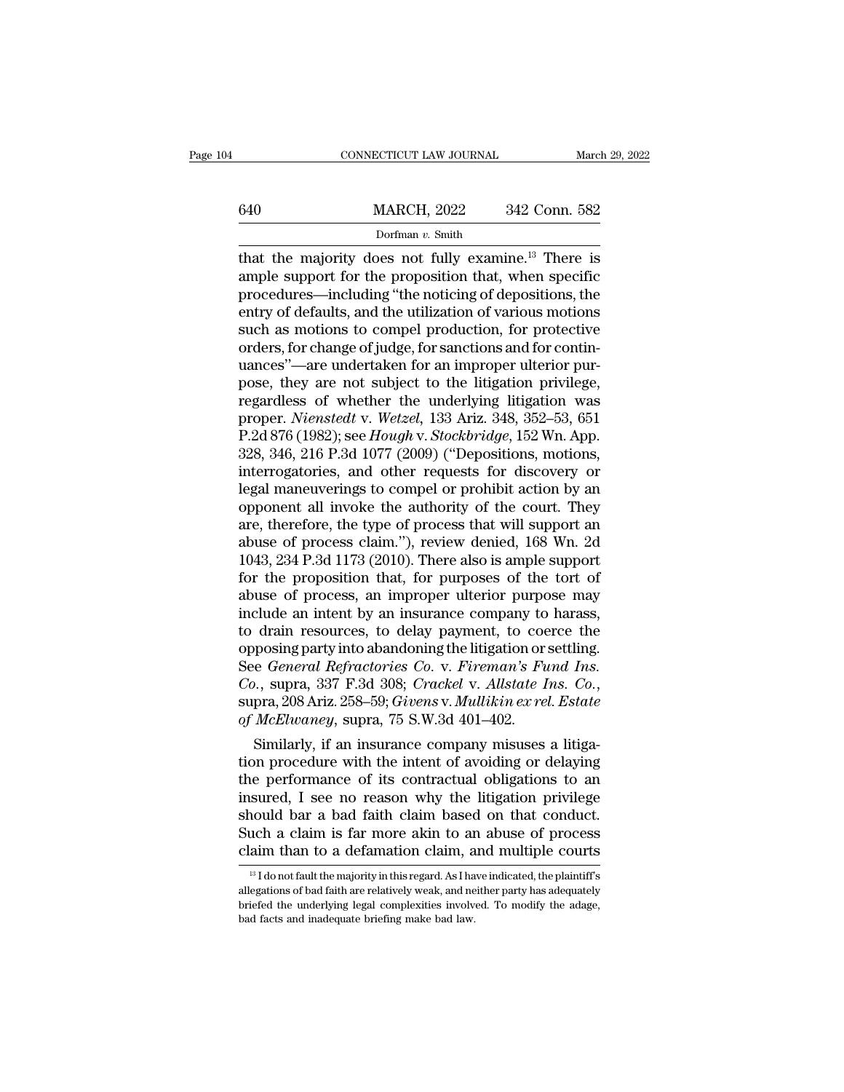|     | CONNECTICUT LAW JOURNAL                                                                                                                                                            | March 29, 2022 |
|-----|------------------------------------------------------------------------------------------------------------------------------------------------------------------------------------|----------------|
| 640 | <b>MARCH, 2022</b>                                                                                                                                                                 | 342 Conn. 582  |
|     | Dorfman $v$ . Smith                                                                                                                                                                |                |
|     | that the majority does not fully examine. <sup>13</sup> There is<br>ample support for the proposition that, when specific<br>reseedures including "the noticing of depositions the |                |

 $\begin{array}{r} \hline \text{MARCH, 2022} & 342 \text{ Conn. } 582 \\ \hline \text{Dorfman } v. \text{ Smith} \\ \hline \text{that the majority does not fully examine.<sup>13</sup> There is ample support for the proposition that, when specific procedures—including "the noticing of deposits, the entry of defaults and the utilization of various motions.} \end{array}$  $\frac{\text{MARCH, 2022}}{\text{Dorfman } v. \text{ Smith}}$ <br>
that the majority does not fully examine.<sup>13</sup> There is<br>
ample support for the proposition that, when specific<br>
procedures—including "the noticing of depositions, the<br>
entry of defaults, and 640 MARCH, 2022 342 Conn. 582<br>
Dorfman v. Smith<br>
that the majority does not fully examine.<sup>13</sup> There is<br>
ample support for the proposition that, when specific<br>
procedures—including "the noticing of depositions, the<br>
entry Dorfman v. Smith<br>Dorfman v. Smith<br>that the majority does not fully examine.<sup>13</sup> There is<br>ample support for the proposition that, when specific<br>procedures—including "the noticing of depositions, the<br>entry of defaults, and Dorfman v. Smith<br>that the majority does not fully examine.<sup>13</sup> There is<br>ample support for the proposition that, when specific<br>procedures—including "the noticing of depositions, the<br>entry of defaults, and the utilization o that the majority does not fully examine.<sup>13</sup> There is<br>ample support for the proposition that, when specific<br>procedures—including "the noticing of depositions, the<br>entry of defaults, and the utilization of various motions<br> ample support for the proposition that, when specific<br>procedures—including "the noticing of depositions, the<br>entry of defaults, and the utilization of various motions<br>such as motions to compel production, for protective<br>o procedures—including "the noticing of depositions, the<br>entry of defaults, and the utilization of various motions<br>such as motions to compel production, for protective<br>orders, for change of judge, for sanctions and for conti entry of defaults, and the utilization of various motions<br>such as motions to compel production, for protective<br>orders, for change of judge, for sanctions and for contin-<br>uances"—are undertaken for an improper ulterior pursuch as motions to compel production, for protective<br>orders, for change of judge, for sanctions and for contin-<br>uances"—are undertaken for an improper ulterior pur-<br>pose, they are not subject to the litigation privilege,<br>r orders, for change of judge, for sanctions and for continuances"—are undertaken for an improper ulterior purpose, they are not subject to the litigation privilege, regardless of whether the underlying litigation was proper uances"—are undertaken for an improper ulterior pur-<br>pose, they are not subject to the litigation privilege,<br>regardless of whether the underlying litigation was<br>proper. *Nienstedt* v. Wetzel, 133 Ariz. 348, 352–53, 651<br>P.2 pose, they are not subject to the litigation privilege,<br>regardless of whether the underlying litigation was<br>proper. *Nienstedt* v. *Wetzel*, 133 Ariz. 348, 352–53, 651<br>P.2d 876 (1982); see *Hough* v. *Stockbridge*, 152 Wn. regardless of whether the underlying litigation was<br>proper. *Nienstedt* v. Wetzel, 133 Ariz. 348, 352–53, 651<br>P.2d 876 (1982); see *Hough* v. *Stockbridge*, 152 Wn. App.<br>328, 346, 216 P.3d 1077 (2009) ("Depositions, motion proper. *Nienstedt* v. *Wetzel*, 133 Ariz. 348, 352–53, 651<br>P.2d 876 (1982); see *Hough* v. *Stockbridge*, 152 Wn. App.<br>328, 346, 216 P.3d 1077 (2009) ("Depositions, motions,<br>interrogatories, and other requests for discove P.2d 876 (1982); see *Hough v. Stockbridge*, 152 Wn. App.<br>328, 346, 216 P.3d 1077 (2009) ("Depositions, motions,<br>interrogatories, and other requests for discovery or<br>legal maneuverings to compel or prohibit action by an<br>op 328, 346, 216 P.3d 1077 (2009) ("Depositions, motions,<br>interrogatories, and other requests for discovery or<br>legal maneuverings to compel or prohibit action by an<br>opponent all invoke the authority of the court. They<br>are, th interrogatories, and other requests for discovery or<br>legal maneuverings to compel or prohibit action by an<br>opponent all invoke the authority of the court. They<br>are, therefore, the type of process that will support an<br>abuse legal maneuverings to compel or prohibit action by an opponent all invoke the authority of the court. They are, therefore, the type of process that will support an abuse of process claim."), review denied, 168 Wn. 2d 1043, opponent all invoke the authority of the court. They<br>are, therefore, the type of process that will support an<br>abuse of process claim."), review denied, 168 Wn. 2d<br>1043, 234 P.3d 1173 (2010). There also is ample support<br>for are, therefore, the type of process that will support an<br>abuse of process claim."), review denied, 168 Wn. 2d<br>1043, 234 P.3d 1173 (2010). There also is ample support<br>for the proposition that, for purposes of the tort of<br>ab abuse of process claim."), review denied, 168 Wn. 2d 1043, 234 P.3d 1173 (2010). There also is ample support<br>for the proposition that, for purposes of the tort of<br>abuse of process, an improper ulterior purpose may<br>include 1043, 234 P.3d 1173 (2010). There also is ample support<br>for the proposition that, for purposes of the tort of<br>abuse of process, an improper ulterior purpose may<br>include an intent by an insurance company to harass,<br>to drain for the proposition that, for purposes of the tort of<br>abuse of process, an improper ulterior purpose may<br>include an intent by an insurance company to harass,<br>to drain resources, to delay payment, to coerce the<br>opposing par include an intent by an insurance company to<br>to drain resources, to delay payment, to coe<br>opposing party into abandoning the litigation or:<br>See *General Refractories Co. v. Fireman's Fu*<br>*Co.*, supra, 337 F.3d 308; *Cracke* drain resources, to delay payment, to coerce the<br>posing party into abandoning the litigation or settling.<br>e *General Refractories Co. v. Fireman's Fund Ins.*<br>0., supra, 337 F.3d 308; *Crackel v. Allstate Ins. Co.*,<br>pra, 20 opposing party into abandoning the itingation or setting.<br>
See *General Refractories Co. v. Fireman's Fund Ins.*<br>
Co., supra, 337 F.3d 308; Crackel v. Allstate Ins. Co.,<br>
supra, 208 Ariz. 258–59; Givens v. Mullikin ex rel.

See General Refractories Co. V. Fireman's Fund Ins.<br>Co., supra, 337 F.3d 308; Crackel v. Allstate Ins. Co.,<br>supra, 208 Ariz. 258–59; Givens v. Mullikin ex rel. Estate<br>of McElwaney, supra, 75 S.W.3d 401–402.<br>Similarly, if a Co., supra, 337 F.3d 308; Cracket V. Austate Ins. Co.,<br>supra, 208 Ariz. 258–59; Givens v. Mullikin ex rel. Estate<br>of McElwaney, supra, 75 S.W.3d 401–402.<br>Similarly, if an insurance company misuses a litiga-<br>tion procedure supra, 208 Ariz. 258–59; Givens v. Multikin ext ret. Estate<br>of McElwaney, supra, 75 S.W.3d 401–402.<br>Similarly, if an insurance company misuses a litiga-<br>tion procedure with the intent of avoiding or delaying<br>the performanc of *McEtwaney*, supra, 75 S.W.3d 401–402.<br>
Similarly, if an insurance company misuses a litiga-<br>
tion procedure with the intent of avoiding or delaying<br>
the performance of its contractual obligations to an<br>
insured, I see Similarly, if an insurance company misuses a litigation procedure with the intent of avoiding or delaying the performance of its contractual obligations to an insured, I see no reason why the litigation privilege should b isured, I see no reason why the litigation privilege<br>nould bar a bad faith claim based on that conduct.<br>uch a claim is far more akin to an abuse of process<br>aim than to a defamation claim, and multiple courts<br><sup>13</sup> Idonot fa should bar a bad faith claim based on that conduct.<br>Such a claim is far more akin to an abuse of process<br>claim than to a defamation claim, and multiple courts<br><sup>13</sup> Idonot fault the majority in this regard. As I have indica

Such a claim is far more akin to an abuse of process<br>claim than to a defamation claim, and multiple courts<br> $\frac{18}{10}$  Idonot fault the majority in this regard. As I have indicated, the plaintiff's<br>allegations of bad fait claim than to a defamation claim, and multiple courts<br>  $\frac{1}{12}$  Ido not fault the majority in this regard. As I have indicated, the plaintiff's<br>
allegations of bad faith are relatively weak, and neither party has adequa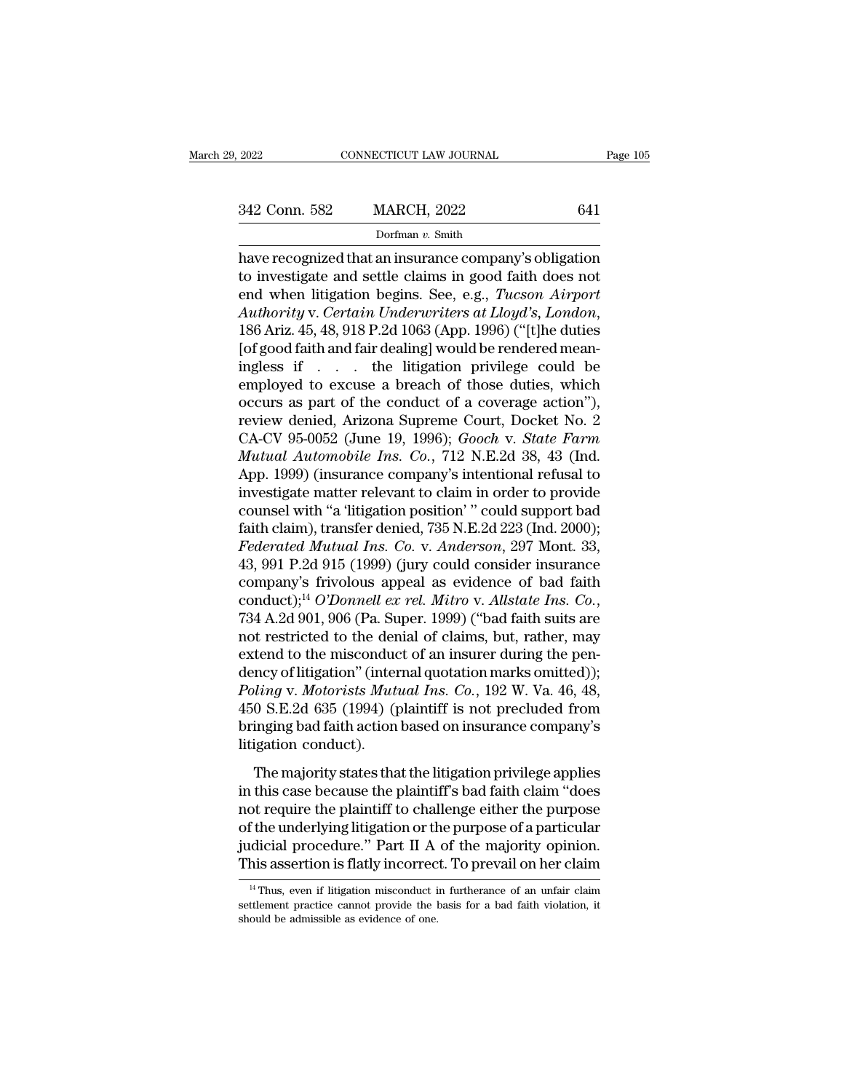Page 105<br>
2022 Conn. 582 MARCH, 2022 641<br>
Dorfman v. Smith<br>
have recognized that an insurance company's obligation<br>
to investigate and settle claims in good faith does not<br>
and when litigation boding. Soo, o.g., Tuckeen Ai 342 Conn. 582 MARCH, 2022 641<br>Dorfman v. Smith<br>have recognized that an insurance company's obligation<br>to investigate and settle claims in good faith does not<br>end when litigation begins. See, e.g., *Tucson Airport*<br>Authori end War Commercial Commercial Commercial Commercial Commercial Commercial Commercial Commercial Commercial Commercial Commercial Commercial Commercial Commercial Commercial Commercial Commercial Commercial Commercial Comme *Authority* v. *Certain Insurance company's obligation*<br> *Authority* and settle claims in good faith does not<br>
end when litigation begins. See, e.g., *Tucson Airport*<br> *Authority* v. *Certain Underwriters at Lloyd's*, *Lon* **Example 19 Example 19 Example 10**<br>have recognized that an insurance company's obligation<br>to investigate and settle claims in good faith does not<br>end when litigation begins. See, e.g., *Tucson Airport*<br>Authority v. *Certa* have recognized that an insurance company's obligation<br>to investigate and settle claims in good faith does not<br>end when litigation begins. See, e.g., *Tucson Airport*<br>Authority v. Certain Underwriters at Lloyd's, London,<br> to investigate and settle claims in good faith does not<br>end when litigation begins. See, e.g., *Tucson Airport*<br>Authority v. Certain Underwriters at Lloyd's, London,<br>186 Ariz. 45, 48, 918 P.2d 1063 (App. 1996) ("[t]he dut end when litigation begins. See, e.g., *Tucson Airport*<br>
Authority v. Certain Underwriters at Lloyd's, London,<br>
186 Ariz. 45, 48, 918 P.2d 1063 (App. 1996) ("[t]he duties<br>
[of good faith and fair dealing] would be rendere Authority v. Certain Underwriters at Lloyd's, London,<br>186 Ariz. 45, 48, 918 P.2d 1063 (App. 1996) ("[t]he duties<br>[of good faith and fair dealing] would be rendered mean-<br>ingless if . . . the litigation privilege could be<br> 186 Ariz. 45, 48, 918 P.2d 1063 (App. 1996) ("[t]he duties<br>[of good faith and fair dealing] would be rendered mean-<br>ingless if . . . . the litigation privilege could be<br>employed to excuse a breach of those duties, which<br>oc [of good faith and fair dealing] would be rendered mean-<br>ingless if . . . . the litigation privilege could be<br>employed to excuse a breach of those duties, which<br>occurs as part of the conduct of a coverage action"),<br>review ingless if  $\ldots$  the litigation privilege could be<br>employed to excuse a breach of those duties, which<br>occurs as part of the conduct of a coverage action"),<br>review denied, Arizona Supreme Court, Docket No. 2<br>CA-CV 95-0052 employed to excuse a breach of those duties, which<br>occurs as part of the conduct of a coverage action"),<br>review denied, Arizona Supreme Court, Docket No. 2<br>CA-CV 95-0052 (June 19, 1996); *Gooch v. State Farm<br>Mutual Automob* occurs as part of the conduct of a coverage action"),<br>review denied, Arizona Supreme Court, Docket No. 2<br>CA-CV 95-0052 (June 19, 1996); *Gooch v. State Farm<br>Mutual Automobile Ins. Co.*, 712 N.E.2d 38, 43 (Ind.<br>App. 1999) ( review denied, Arizona Supreme Court, Docket No. 2<br>CA-CV 95-0052 (June 19, 1996); *Gooch v. State Farm*<br>*Mutual Automobile Ins. Co.*, 712 N.E.2d 38, 43 (Ind.<br>App. 1999) (insurance company's intentional refusal to<br>investiga CA-CV 95-0052 (June 19, 1996); *Gooch v. State Farm*<br>*Mutual Automobile Ins. Co.*, 712 N.E.2d 38, 43 (Ind.<br>App. 1999) (insurance company's intentional refusal to<br>investigate matter relevant to claim in order to provide<br>cou *Mutual Automobile Ins. Co.*, 712 N.E.2d 38, 43 (Ind.<br>App. 1999) (insurance company's intentional refusal to<br>investigate matter relevant to claim in order to provide<br>counsel with "a 'litigation position' " could support b App. 1999) (insurance company's intentional refusal to<br>investigate matter relevant to claim in order to provide<br>counsel with "a 'litigation position' " could support bad<br>faith claim), transfer denied, 735 N.E.2d 223 (Ind. investigate matter relevant to claim in order to provide<br>counsel with "a 'litigation position' " could support bad<br>faith claim), transfer denied, 735 N.E.2d 223 (Ind. 2000);<br>*Federated Mutual Ins. Co.* v. *Anderson*, 297 M faith claim), transfer denied, 735 N.E.2d 223 (Ind. 2000);<br>Federated Mutual Ins. Co. v. Anderson, 297 Mont. 33,<br>43, 991 P.2d 915 (1999) (jury could consider insurance<br>company's frivolous appeal as evidence of bad faith<br>co *Federated Mutual Ins. Co.* v. *Anderson*, 297 Mont. 33, 43, 991 P.2d 915 (1999) (jury could consider insurance company's frivolous appeal as evidence of bad faith conduct);<sup>14</sup> *O'Donnell ex rel. Mitro* v. *Allstate Ins.* 43, 991 P.2d 915 (1999) (jury could consider insurance<br>company's frivolous appeal as evidence of bad faith<br>conduct);<sup>14</sup> *O'Donnell ex rel. Mitro* v. *Allstate Ins. Co.*,<br>734 A.2d 901, 906 (Pa. Super. 1999) ("bad faith su company's frivolous appeal as evidence of bad faith<br>conduct);<sup>14</sup> *O'Donnell ex rel. Mitro* v. *Allstate Ins. Co.*,<br>734 A.2d 901, 906 (Pa. Super. 1999) ("bad faith suits are<br>not restricted to the denial of claims, but, rat conduct);<sup>14</sup> *O'Donnell ex rel. Mitro v. Allstate Ins. Co.*,<br>734 A.2d 901, 906 (Pa. Super. 1999) ("bad faith suits are<br>not restricted to the denial of claims, but, rather, may<br>extend to the misconduct of an insurer during 734 A.2d 901, 906 (Pa. Super. 1999) ("bad faith suits are<br>not restricted to the denial of claims, but, rather, may<br>extend to the misconduct of an insurer during the pen-<br>dency of litigation" (internal quotation marks omitt not restricted to the derextend to the misconduction<br>dency of litigation" (inter<br>*Poling v. Motorists Muta*<br>450 S.E.2d 635 (1994) (portinging bad faith action<br>litigation conduct).<br>The majority states tha The majority of litigation" (internal quotation marks omitted));<br>
ling v. Motorists Mutual Ins. Co., 192 W. Va. 46, 48,<br>
0 S.E.2d 635 (1994) (plaintiff is not precluded from<br>
inging bad faith action based on insurance comp dency of magazine (internal que addition indical)),<br>
Poling v. Motorists Mutual Ins. Co., 192 W. Va. 46, 48,<br>
450 S.E.2d 635 (1994) (plaintiff is not precluded from<br>
bringing bad faith action based on insurance company's<br>

Finally in the plant of the purpose of a particular<br>diagnost require the plaintiff is not precluded from<br>bringing bad faith action based on insurance company's<br>litigation conduct).<br>The majority states that the litigation For startar association based on insurance company's<br>bringing bad faith action based on insurance company's<br>litigation conduct).<br>The majority states that the litigation privilege applies<br>in this case because the plaintiff' Finging Such radio about state of this antice company of<br>litigation conduct).<br>The majority states that the litigation privilege applies<br>in this case because the plaintiff's bad faith claim "does<br>not require the plaintiff t The majority states that the litigation privilege applies<br>in this case because the plaintiff's bad faith claim "does<br>not require the plaintiff to challenge either the purpose<br>of the underlying litigation or the purpose of of the underlying litigation or the purpose of a particular<br>dicial procedure." Part II A of the majority opinion.<br>his assertion is flatly incorrect. To prevail on her claim<br><sup>14</sup> Thus, even if litigation misconduct in furth of the underlying litigation or the purpose of a particular judicial procedure." Part II A of the majority opinion.<br>This assertion is flatly incorrect. To prevail on her claim<br> $\frac{14 \text{ Thus, even if litigation misconduct in furthermore of an unfair claim}$  settlement practic judicial procedure." Part II A<br>This assertion is flatly incorrect<br> $\frac{14 \text{ Thus, even if litigation misconduct i}}{16 \text{ set.}}$ <br>settlement practice cannot provide the labould be admissible as evidence of one.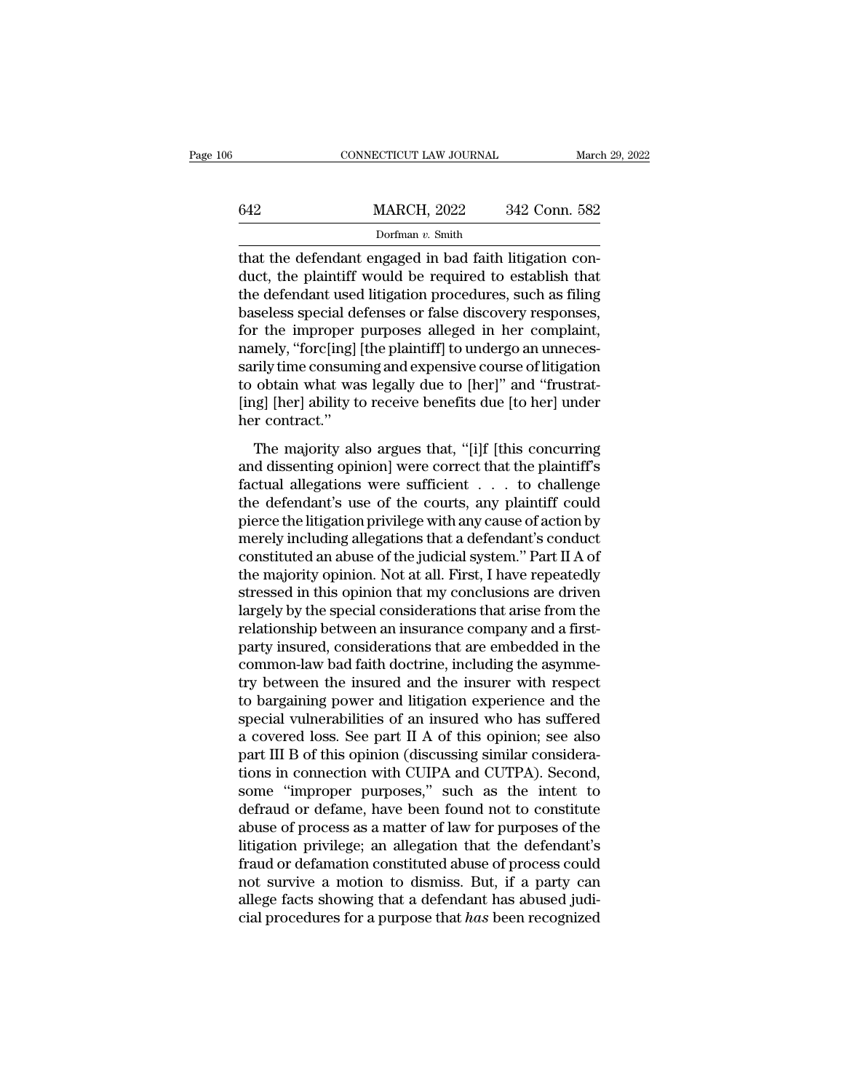|     | CONNECTICUT LAW JOURNAL |               | March 29, 2022 |
|-----|-------------------------|---------------|----------------|
|     |                         |               |                |
| 642 | <b>MARCH, 2022</b>      | 342 Conn. 582 |                |
|     | Dorfman v. Smith        |               |                |

 $\begin{array}{r} \text{COMPECTICUT LAW JOURNAL} \ \text{MARCH, 2022} \ \text{342 Conn. } 582 \\ \text{Dorfman } v. \text{ Smith} \end{array}$ <br>that the defendant engaged in bad faith litigation con-<br>duct, the plaintiff would be required to establish that<br>the defendant used litigation procedure  $\begin{array}{r}\n 642 \text{ MARCH, } 2022 \text{ 342 Conn. } 582 \\
 \text{Dorfman } v. \text{ Smith} \\
 \text{that the defendant engaged in bad faith litigation conduct, the plaintiff would be required to establish that the defendant used litigation procedures, such as filing baseless special defines or false discovery responses.} \n\end{array}$ MARCH, 2022 342 Conn. 582<br>
Dorfman v. Smith<br>
that the defendant engaged in bad faith litigation conduct, the plaintiff would be required to establish that<br>
the defendant used litigation procedures, such as filing<br>
baseles  $\frac{\text{MARCH, 2022}}{\text{Dorfman } v. \text{ Smith}}$ <br>
that the defendant engaged in bad faith litigation conduct, the plaintiff would be required to establish that<br>
the defendant used litigation procedures, such as filing<br>
baseless special def For the improper purposes alleged in the consuming and conducts are distinguished in the defendant used litigation procedures, such as filing baseless special defenses or false discovery responses, for the improper purpose Dorman v. smuth<br>that the defendant engaged in bad faith litigation con-<br>duct, the plaintiff would be required to establish that<br>the defendant used litigation procedures, such as filing<br>baseless special defenses or false d that the defendant engaged in bad faith litigation con-<br>duct, the plaintiff would be required to establish that<br>the defendant used litigation procedures, such as filing<br>baseless special defenses or false discovery response duct, the plaintiff would be required to establish that<br>the defendant used litigation procedures, such as filing<br>baseless special defenses or false discovery responses,<br>for the improper purposes alleged in her complaint,<br>n the defendant used litigation procedures, such as filing<br>baseless special defenses or false discovery responses,<br>for the improper purposes alleged in her complaint,<br>namely, "forc[ing] [the plaintiff] to undergo an unnecesbaseless special defor the improper<br>namely, "forc[ing]<br>sarily time consum<br>to obtain what wa<br>[ing] [her] ability to<br>her contract."<br>The majority als The majority also argues the first company, "forc[ing] [the plaintiff] to undergo an unneces-<br>rily time consuming and expensive course of litigation<br>obtain what was legally due to [her]" and "frustrat-<br>regl [her] ability t Framely, correcting and expensive course of litigation<br>sarily time consuming and expensive course of litigation<br>to obtain what was legally due to [her]" and "frustrat-<br>[ing] [her] ability to receive benefits due [to her]

factured what was legally due to [her]" and "frustrat-<br>[ing] [her] ability to receive benefits due [to her] under<br>her contract."<br>The majority also argues that, "[i]f [this concurring<br>and dissenting opinion] were correct th the defendant's use of the courts, and the conductions the defendant's conduct the defendant's use of the courts, any plaintiff could pierce the litigation privilege with any cause of action by morely including allogations The majority also argues that, "[i]f [this concurring<br>her contract."<br>The majority also argues that, "[i]f [this concurring<br>and dissenting opinion] were correct that the plaintiff's<br>factual allegations were sufficient . . The majority also argues that, "[i]f [this concurring<br>and dissenting opinion] were correct that the plaintiff's<br>factual allegations were sufficient  $\ldots$  to challenge<br>the defendant's use of the courts, any plaintiff could The majority also argues that, "[i]f [this concurring<br>and dissenting opinion] were correct that the plaintiff's<br>factual allegations were sufficient  $\ldots$  to challenge<br>the defendant's use of the courts, any plaintiff could and dissenting opinion] were correct that the plaintiff's<br>factual allegations were sufficient  $\ldots$  to challenge<br>the defendant's use of the courts, any plaintiff could<br>pierce the litigation privilege with any cause of act factual allegations were sufficient  $\ldots$  to challenge<br>the defendant's use of the courts, any plaintiff could<br>pierce the litigation privilege with any cause of action by<br>merely including allegations that a defendant's con the defendant's use of the courts, any plaintiff could<br>pierce the litigation privilege with any cause of action by<br>merely including allegations that a defendant's conduct<br>constituted an abuse of the judicial system." Part pierce the litigation privilege with any cause of action by<br>merely including allegations that a defendant's conduct<br>constituted an abuse of the judicial system." Part II A of<br>the majority opinion. Not at all. First, I have merely including allegations that a defendant's conduct<br>constituted an abuse of the judicial system." Part II A of<br>the majority opinion. Not at all. First, I have repeatedly<br>stressed in this opinion that my conclusions are constituted an abuse of the judicial system." Part II A of<br>the majority opinion. Not at all. First, I have repeatedly<br>stressed in this opinion that my conclusions are driven<br>largely by the special considerations that arise the majority opinion. Not at all. First, I have repeatedly<br>stressed in this opinion that my conclusions are driven<br>largely by the special considerations that arise from the<br>relationship between an insurance company and a f stressed in this opinion that my conclusions are driven<br>largely by the special considerations that arise from the<br>relationship between an insurance company and a first-<br>party insured, considerations that are embedded in th largely by the special considerations that arise from the relationship between an insurance company and a first-<br>party insured, considerations that are embedded in the common-law bad faith doctrine, including the asymmetry relationship between an insurance company and a first-<br>party insured, considerations that are embedded in the<br>common-law bad faith doctrine, including the asymme-<br>try between the insured and the insurer with respect<br>to bar party insured, considerations that are embedded in the common-law bad faith doctrine, including the asymmetry between the insured and the insurer with respect to bargaining power and litigation experience and the special v common-law bad faith doctrine, including the asymmetry between the insured and the insurer with respect<br>to bargaining power and litigation experience and the<br>special vulnerabilities of an insured who has suffered<br>a covered try between the insured and the insurer with respect<br>to bargaining power and litigation experience and the<br>special vulnerabilities of an insured who has suffered<br>a covered loss. See part II A of this opinion; see also<br>part to bargaining power and litigation experience and the<br>special vulnerabilities of an insured who has suffered<br>a covered loss. See part II A of this opinion; see also<br>part III B of this opinion (discussing similar consideraspecial vulnerabilities of an insured who has suffered<br>a covered loss. See part II A of this opinion; see also<br>part III B of this opinion (discussing similar considera-<br>tions in connection with CUIPA and CUTPA). Second,<br>so a covered loss. See part II A of this opinion; see also<br>part III B of this opinion (discussing similar considera-<br>tions in connection with CUIPA and CUTPA). Second,<br>some "improper purposes," such as the intent to<br>defraud o part III B of this opinion (discussing similar considerations in connection with CUIPA and CUTPA). Second, some "improper purposes," such as the intent to defraud or defame, have been found not to constitute abuse of proce tions in connection with CUIPA and CUTPA). Second,<br>some "improper purposes," such as the intent to<br>defraud or defame, have been found not to constitute<br>abuse of process as a matter of law for purposes of the<br>litigation pri some "improper purposes," such as the intent to<br>defraud or defame, have been found not to constitute<br>abuse of process as a matter of law for purposes of the<br>litigation privilege; an allegation that the defendant's<br>fraud o defraud or defame, have been found not to constitute<br>abuse of process as a matter of law for purposes of the<br>litigation privilege; an allegation that the defendant's<br>fraud or defamation constituted abuse of process could<br>n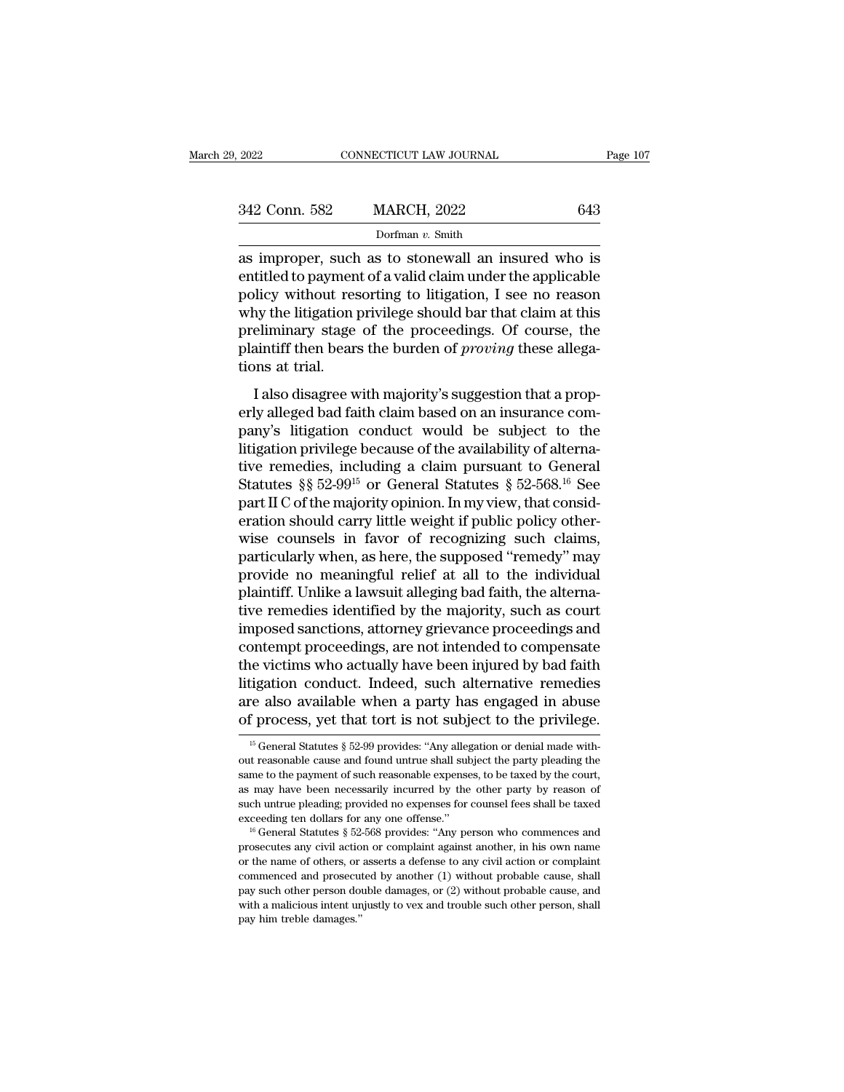| 9, 2022       | CONNECTICUT LAW JOURNAL | Page 107 |
|---------------|-------------------------|----------|
| 342 Conn. 582 | <b>MARCH, 2022</b>      | 643      |
|               | Dorfman $v$ . Smith     |          |

342 Conn. 582 MARCH, 2022 643<br>Dorfman v. Smith<br>as improper, such as to stonewall an insured who is<br>entitled to payment of a valid claim under the applicable<br>policy without resorting to litigation, I see no reason<br>why the l 342 Conn. 582 MARCH, 2022 643<br>
Dorfman v. Smith<br>
as improper, such as to stonewall an insured who is<br>
entitled to payment of a valid claim under the applicable<br>
policy without resorting to litigation, I see no reason<br>
why 342 Conn. 582 MARCH, 2022 643<br>
Dorfman v. Smith<br>
as improper, such as to stonewall an insured who is<br>
entitled to payment of a valid claim under the applicable<br>
policy without resorting to litigation, I see no reason<br>
why prefinance of the profinance of the proceedings.<br>
The proper, such as to stonewall an insured who is<br>
entitled to payment of a valid claim under the applicable<br>
policy without resorting to litigation, I see no reason<br>
why pland borman *v*. smuth<br>as improper, such as to stonewall an insured who is<br>entitled to payment of a valid claim under the applicable<br>policy without resorting to litigation, I see no reason<br>why the litigation privilege sho as improper, such<br>entitled to paymen<br>policy without res<br>why the litigation<br>preliminary stage<br>plaintiff then bear:<br>tions at trial.<br>I also disagree w I also disagree with majority's suggestion that a prop-<br>I see no reason without resorting to litigation, I see no reason<br>ay the litigation privilege should bar that claim at this<br>eliminary stage of the proceedings. Of cour poney whold resording to migation, I see no reason<br>why the litigation privilege should bar that claim at this<br>preliminary stage of the proceedings. Of course, the<br>plaintiff then bears the burden of *proving* these allega-<br>

may are magazon privilege should be a dial elast chain at also<br>preliminary stage of the proceedings. Of course, the<br>plaintiff then bears the burden of *proving* these allega-<br>tions at trial.<br>I also disagree with majority's premining bagge of the proceedings. Or course, the plaintiff then bears the burden of *proving* these allega-<br>tions at trial.<br>I also disagree with majority's suggestion that a prop-<br>erly alleged bad faith claim based on a Frame in the bears are barden of procing arese anegations at trial.<br>
I also disagree with majority's suggestion that a properly alleged bad faith claim based on an insurance company's litigation conduct would be subject t I also disagree with majority's suggestion that a properly alleged bad faith claim based on an insurance company's litigation conduct would be subject to the litigation privilege because of the availability of alternative I also disagree with majority's suggestion that a properly alleged bad faith claim based on an insurance company's litigation conduct would be subject to the litigation privilege because of the availability of alternative erly alleged bad faith claim based on an insurance company's litigation conduct would be subject to the litigation privilege because of the availability of alternative remedies, including a claim pursuant to General Statu pany's litigation conduct would be subject to the<br>litigation privilege because of the availability of alterna-<br>tive remedies, including a claim pursuant to General<br>Statutes §§ 52-99<sup>15</sup> or General Statutes § 52-568.<sup>16</sup> S litigation privilege because of the availability of alternative remedies, including a claim pursuant to General<br>Statutes §§ 52-99<sup>15</sup> or General Statutes § 52-568.<sup>16</sup> See<br>part II C of the majority opinion. In my view, tha tive remedies, including a claim pursuant to General<br>Statutes §§ 52-99<sup>15</sup> or General Statutes § 52-568.<sup>16</sup> See<br>part II C of the majority opinion. In my view, that consid-<br>eration should carry little weight if public poli Statutes  $\S$ § 52-99<sup>15</sup> or General Statutes § 52-568.<sup>16</sup> See<br>part II C of the majority opinion. In my view, that consid-<br>eration should carry little weight if public policy other-<br>wise counsels in favor of recognizing su part II C of the majority opinion. In my view, that consideration should carry little weight if public policy otherwise counsels in favor of recognizing such claims, particularly when, as here, the supposed "remedy" may pr eration should carry little weight if public policy otherwise counsels in favor of recognizing such claims,<br>particularly when, as here, the supposed "remedy" may<br>provide no meaningful relief at all to the individual<br>plaint wise counsels in favor of recognizing such claims,<br>particularly when, as here, the supposed "remedy" may<br>provide no meaningful relief at all to the individual<br>plaintiff. Unlike a lawsuit alleging bad faith, the alterna-<br>ti particularly when, as here, the supposed "remedy" may<br>provide no meaningful relief at all to the individual<br>plaintiff. Unlike a lawsuit alleging bad faith, the alterna-<br>tive remedies identified by the majority, such as cou provide no meaningful relief at all to the individual<br>plaintiff. Unlike a lawsuit alleging bad faith, the alterna-<br>tive remedies identified by the majority, such as court<br>imposed sanctions, attorney grievance proceedings a plaintiff. Unlike a lawsuit alleging bad faith, the alternative remedies identified by the majority, such as court<br>imposed sanctions, attorney grievance proceedings and<br>contempt proceedings, are not intended to compensate<br> tive remedies identified by the majority, such as court<br>imposed sanctions, attorney grievance proceedings and<br>contempt proceedings, are not intended to compensate<br>the victims who actually have been injured by bad faith<br>lit the victims who actually have been injured by bad faith litigation conduct. Indeed, such alternative remedies are also available when a party has engaged in abuse of process, yet that tort is not subject to the privilege. litigation conduct. Indeed, such alternative remedies<br>are also available when a party has engaged in abuse<br>of process, yet that tort is not subject to the privilege.<br> $\frac{15}{15}$  General Statutes § 52-99 provides: "Any all

are also available when a party has engaged in abuse<br>of process, yet that tort is not subject to the privilege.<br> $\frac{15}{15}$  General Statutes § 52-99 provides: "Any allegation or denial made with-<br>out reasonable cause and as may have been necessarily incurred by the other party by reason of process, yet that tort is not subject to the privilege.<br>
<sup>15</sup> General Statutes § 52-99 provides: "Any allegation or denial made without reasonable caus If General Statutes § 52-99 provides: "Any allegation or denial made without reasonable cause and found untrue shall subject the party pleading the same to the payment of such reasonable expenses, to be taxed by the court <sup>15</sup> General Statutes § 52-99 provides: "Any allegation or denial made without reasonable cause and found untrue shall subject the party pleading the same to the payment of such reasonable expenses, to be taxed by the cou same to the payment of such reasonable expenses, to be taxed by the court, as may have been necessarily incurred by the other party by reason of such untrue pleading; provided no expenses for counsel fees shall be taxed e

as may have been necessarily incurred by the other party by reason of such untrue pleading; provided no expenses for counsel fees shall be taxed exceeding ten dollars for any one offense."<br>
<sup>16</sup> General Statutes § 52-568 such untrue pleading; provided no expenses for counsel fees shall be taxed exceeding ten dollars for any one offense."<br>
<sup>16</sup> General Statutes § 52-568 provides: "Any person who commences and prosecutes any civil action or exceeding ten dollars for any one offense."<br>
<sup>16</sup> General Statutes § 52-568 provides: "Any person who commences and<br>
prosecutes any civil action or complaint against another, in his own name<br>
or the name of others, or ass <sup>16</sup> General Statutes § 52-568 provides: "Any person who commences and prosecutes any civil action or complaint against another, in his own name or the name of others, or asserts a defense to any civil action or complaint prosecutes any civil action<br>or the name of others, or<br>or the name of others, or<br>commenced and prosecu<br>pay such other person do<br>with a malicious intent un<br>pay him treble damages."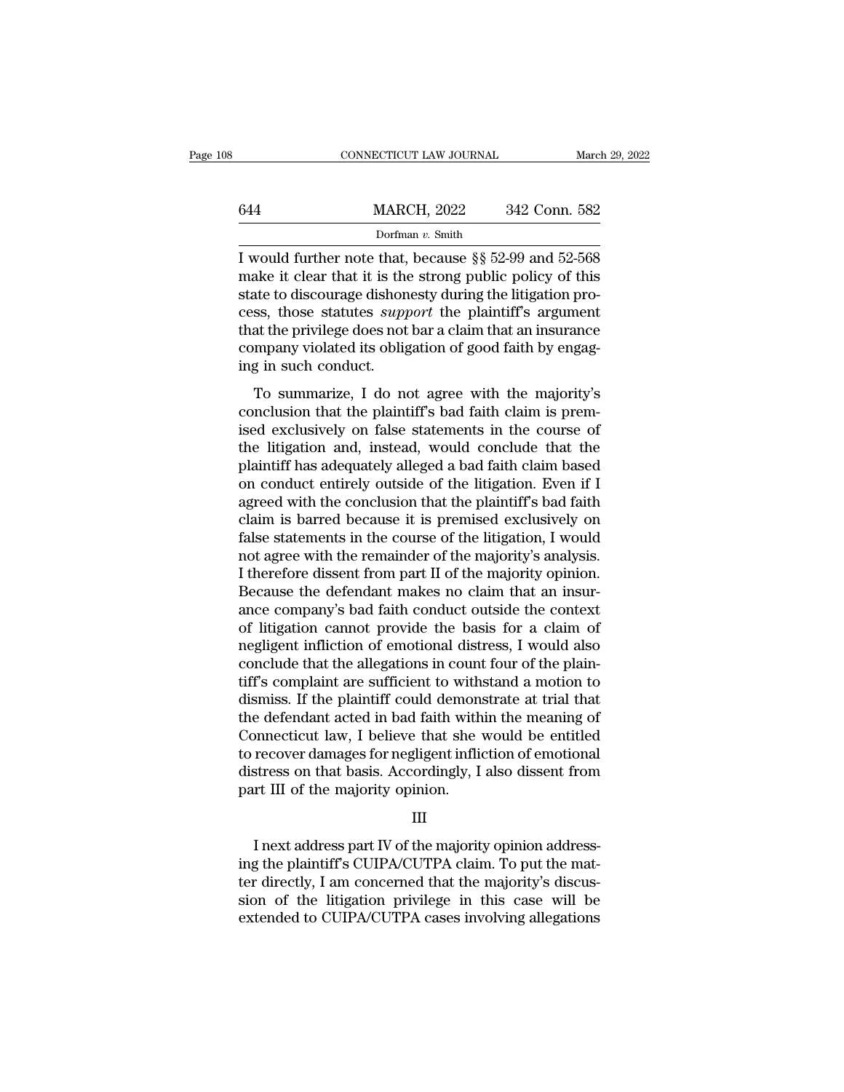|     | CONNECTICUT LAW JOURNAL                                                                                                                                                          | March 29, 2022 |
|-----|----------------------------------------------------------------------------------------------------------------------------------------------------------------------------------|----------------|
|     |                                                                                                                                                                                  |                |
| 644 | <b>MARCH, 2022</b>                                                                                                                                                               | 342 Conn. 582  |
|     | Dorfman $v$ . Smith                                                                                                                                                              |                |
|     | I would further note that, because §§ 52-99 and 52-568<br>make it clear that it is the strong public policy of this<br>stato to discoveredo dishonosty during the litigation pro |                |

make it clear that it is the strong public policy of this state to discourage dishonesty during the litigation process these statutes summer the plaintiff's argument State of discourse to discourse to discourse the plant of the plant of the litigation process, those statutes *support* the plaintiff's argument that the privilege does not har a claim that an insurance 644 MARCH,  $2022$  342 Conn. 582<br>
Dorfman v. Smith<br>
I would further note that, because §§ 52-99 and 52-568<br>
make it clear that it is the strong public policy of this<br>
state to discourage dishonesty during the litigation pr Dorfman v. Smith<br>Dorfman v. Smith<br>I would further note that, because §§ 52-99 and 52-568<br>make it clear that it is the strong public policy of this<br>state to discourage dishonesty during the litigation pro-<br>cess, those stat Dortman v. Smuth<br>I would further note that, because §§ 52-99 and 52-568<br>make it clear that it is the strong public policy of this<br>state to discourage dishonesty during the litigation pro-<br>cess, those statutes *support* th I would further note that,<br>make it clear that it is the<br>state to discourage dishon<br>cess, those statutes *supp*<br>that the privilege does not<br>company violated its oblig<br>ing in such conduct.<br>To summarize, I do ne The summarize of summarize is the summarize of summarize to discourage dishonesty during the litigation prosss, those statutes *support* the plaintiff's argument at the privilege does not bar a claim that an insurance mpan state to discollage ushonesty during the higation process, those statutes *support* the plaintiff's argument that the privilege does not bar a claim that an insurance company violated its obligation of good faith by engagi

East, also state state of plants in plants in that the privilege does not bar a claim that an insurance<br>company violated its obligation of good faith by engaging in such conduct.<br>To summarize, I do not agree with the major the litigation of good faith by engaging in such conduct.<br>To summarize, I do not agree with the majority's<br>conclusion that the plaintiff's bad faith claim is prem-<br>ised exclusively on false statements in the course of<br>the plantiff is a bad and by class<br>ing in such conduct.<br>To summarize, I do not agree with the majority's<br>conclusion that the plaintiff's bad faith claim is prem-<br>ised exclusively on false statements in the course of<br>the litiga To summarize, I do not agree with the majority's<br>conclusion that the plaintiff's bad faith claim is prem-<br>ised exclusively on false statements in the course of<br>the litigation and, instead, would conclude that the<br>plaintiff To summarize, I do not agree with the majority's<br>conclusion that the plaintiff's bad faith claim is prem-<br>ised exclusively on false statements in the course of<br>the litigation and, instead, would conclude that the<br>plaintiff conclusion that the plaintiff's bad faith claim is premised exclusively on false statements in the course of<br>the litigation and, instead, would conclude that the<br>plaintiff has adequately alleged a bad faith claim based<br>on ised exclusively on false statements in the course of<br>the litigation and, instead, would conclude that the<br>plaintiff has adequately alleged a bad faith claim based<br>on conduct entirely outside of the litigation. Even if I<br>a the litigation and, instead, would conclude that the plaintiff has adequately alleged a bad faith claim based<br>on conduct entirely outside of the litigation. Even if I<br>agreed with the conclusion that the plaintiff's bad fai plaintiff has adequately alleged a bad faith claim based<br>on conduct entirely outside of the litigation. Even if I<br>agreed with the conclusion that the plaintiff's bad faith<br>claim is barred because it is premised exclusively on conduct entirely outside of the litigation. Even if I agreed with the conclusion that the plaintiff's bad faith claim is barred because it is premised exclusively on false statements in the course of the litigation, I w agreed with the conclusion that the plaintiff's bad faith<br>claim is barred because it is premised exclusively on<br>false statements in the course of the litigation, I would<br>not agree with the remainder of the majority's analy claim is barred because it is premised exclusively on<br>false statements in the course of the litigation, I would<br>not agree with the remainder of the majority's analysis.<br>I therefore dissent from part II of the majority opin false statements in the course of the litigation, I would<br>not agree with the remainder of the majority's analysis.<br>I therefore dissent from part II of the majority opinion.<br>Because the defendant makes no claim that an insu not agree with the remainder of the majority's analysis.<br>I therefore dissent from part II of the majority opinion.<br>Because the defendant makes no claim that an insur-<br>ance company's bad faith conduct outside the context<br>of I therefore dissent from part II of the majority opinion.<br>Because the defendant makes no claim that an insur-<br>ance company's bad faith conduct outside the context<br>of litigation cannot provide the basis for a claim of<br>negli Because the defendant makes no claim that an insurance company's bad faith conduct outside the context<br>of litigation cannot provide the basis for a claim of<br>negligent infliction of emotional distress, I would also<br>conclude ance company's bad faith conduct outside the context<br>of litigation cannot provide the basis for a claim of<br>negligent infliction of emotional distress, I would also<br>conclude that the allegations in count four of the plain-<br> of litigation cannot provide the basis for a claim of<br>negligent infliction of emotional distress, I would also<br>conclude that the allegations in count four of the plain-<br>tiff's complaint are sufficient to withstand a motion negligent infliction of emotional distress, I would also<br>conclude that the allegations in count four of the plain-<br>tiff's complaint are sufficient to withstand a motion to<br>dismiss. If the plaintiff could demonstrate at tri conclude that the allegations in count four of the plain-<br>tiff's complaint are sufficient to withstand a motion to<br>dismiss. If the plaintiff could demonstrate at trial that<br>the defendant acted in bad faith within the meani tiff's complaint are sufficient to with<br>dismiss. If the plaintiff could demon:<br>the defendant acted in bad faith with<br>Connecticut law, I believe that she<br>to recover damages for negligent inflia<br>distress on that basis. Accor Impredicut law, I believe that she would be entitled<br>recover damages for negligent infliction of emotional<br>stress on that basis. Accordingly, I also dissent from<br>rt III of the majority opinion.<br>III<br>I next address part IV o

## III

to recover damages for negligent infliction of emotional<br>distress on that basis. Accordingly, I also dissent from<br>part III of the majority opinion.<br>III<br>I next address part IV of the majority opinion address-<br>ing the plaint distress on that basis. Accordingly, I also dissent from<br>part III of the majority opinion.<br>III<br>I next address part IV of the majority opinion address-<br>ing the plaintiff's CUIPA/CUTPA claim. To put the mat-<br>ter directly, I part III of the majority opinion.<br>
III<br>
I next address part IV of the majority opinion address-<br>
ing the plaintiff's CUIPA/CUTPA claim. To put the mat-<br>
ter directly, I am concerned that the majority's discus-<br>
sion of the III<br>I next address part IV of the majority opinion address-<br>ing the plaintiff's CUIPA/CUTPA claim. To put the mat-<br>ter directly, I am concerned that the majority's discus-<br>sion of the litigation privilege in this case will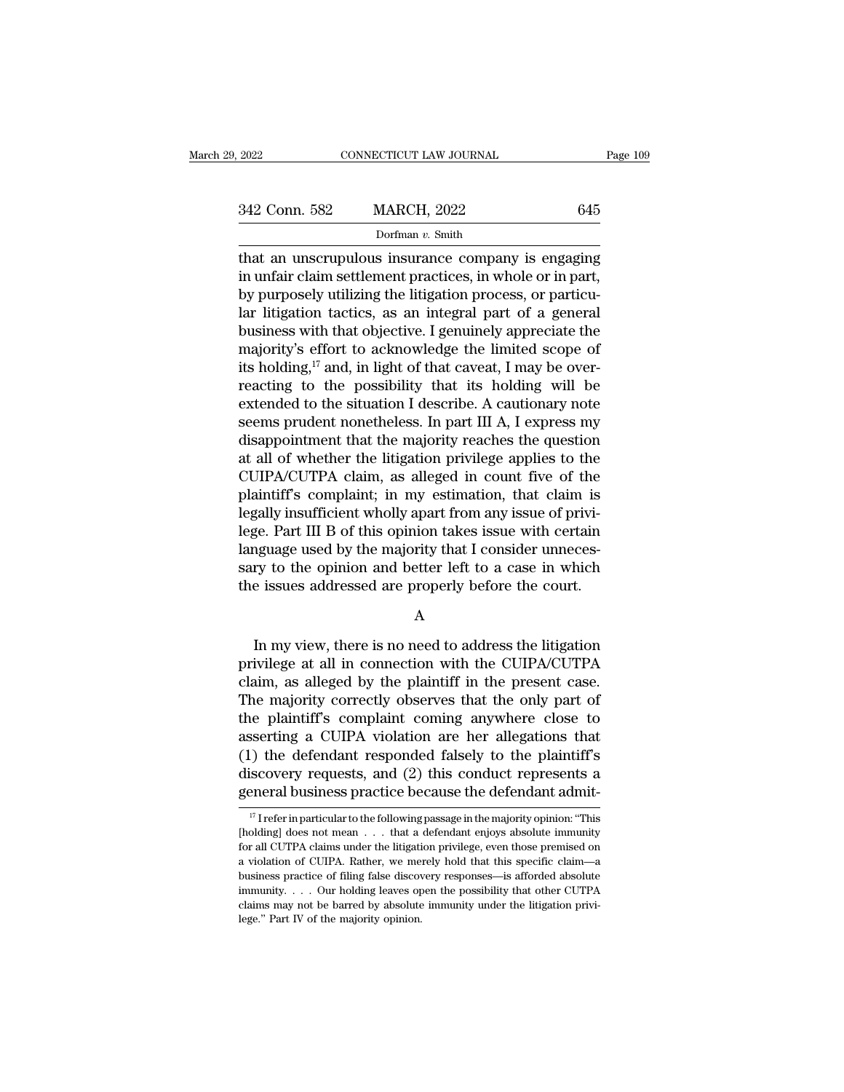| 2022          | CONNECTICUT LAW JOURNAL | Page 109 |
|---------------|-------------------------|----------|
| 342 Conn. 582 | <b>MARCH, 2022</b>      | 645      |
|               | Dorfman v. Smith        |          |

that an unscrupulous insurance company is engaging 342 Conn. 582 MARCH, 2022 645<br>
Dorfman v. Smith<br>
that an unscrupulous insurance company is engaging<br>
in unfair claim settlement practices, in whole or in part,<br>
by purposely utilizing the litigation process, or particu-<br>  $\frac{342 \text{ Conn. } 582}{\text{Dorfman } v. } \frac{645}{\text{Dorfman } v. } \frac{545}{\text{Dorfman } v. } \frac{545}{\text{Dorfman } v. } \frac{545}{\text{Dorfman } v. } \frac{545}{\text{Dorfman } v. } \frac{545}{\text{Dorfian } v. } \frac{545}{\text{Dorfian } v. } \frac{545}{\text{Dif. } v. } \frac{545}{\text{Dif. } v. } \frac{545}{\text{Dif. } v. } \frac{545}{\text{Dif. } v. } \frac{545$ 342 Conn. 582 MARCH, 2022 645<br>
Dorfman v. Smith<br>
that an unscrupulous insurance company is engaging<br>
in unfair claim settlement practices, in whole or in part,<br>
by purposely utilizing the litigation process, or particu-<br> Dorfman v. Smith<br>that an unscrupulous insurance company is engaging<br>in unfair claim settlement practices, in whole or in part,<br>by purposely utilizing the litigation process, or particu-<br>lar litigation tactics, as an integ borman v. smannelledge the accompany is engaging<br>that an unscrupulous insurance company is engaging<br>in unfair claim settlement practices, in whole or in part,<br>by purposely utilizing the litigation process, or particu-<br>lar that an unscrupulous insurance company is engaging<br>in unfair claim settlement practices, in whole or in part,<br>by purposely utilizing the litigation process, or particu-<br>lar litigation tactics, as an integral part of a gen in unfair claim settlement practices, in whole or in part,<br>by purposely utilizing the litigation process, or particu-<br>lar litigation tactics, as an integral part of a general<br>business with that objective. I genuinely appr by purposely utilizing the litigation process, or particular litigation tactics, as an integral part of a general<br>business with that objective. I genuinely appreciate the<br>majority's effort to acknowledge the limited scope lar litigation tactics, as an integral part of a general<br>business with that objective. I genuinely appreciate the<br>majority's effort to acknowledge the limited scope of<br>its holding,<sup>17</sup> and, in light of that caveat, I may business with that objective. I genuinely appreciate the<br>majority's effort to acknowledge the limited scope of<br>its holding,<sup>17</sup> and, in light of that caveat, I may be over-<br>reacting to the possibility that its holding wil majority's effort to acknowledge the limited scope of<br>its holding,<sup>17</sup> and, in light of that caveat, I may be over-<br>reacting to the possibility that its holding will be<br>extended to the situation I describe. A cautionary no its holding,<sup>17</sup> and, in light of that caveat, I may be over-<br>reacting to the possibility that its holding will be<br>extended to the situation I describe. A cautionary note<br>seems prudent nonetheless. In part III A, I expres reacting to the possibility that its holding will be<br>extended to the situation I describe. A cautionary note<br>seems prudent nonetheless. In part III A, I express my<br>disappointment that the majority reaches the question<br>at a extended to the situation I describe. A cautionary note<br>seems prudent nonetheless. In part III A, I express my<br>disappointment that the majority reaches the question<br>at all of whether the litigation privilege applies to the seems prudent nonetheless. In part III A, I express my<br>disappointment that the majority reaches the question<br>at all of whether the litigation privilege applies to the<br>CUIPA/CUTPA claim, as alleged in count five of the<br>plai disappointment that the majority reaches the question<br>at all of whether the litigation privilege applies to the<br>CUIPA/CUTPA claim, as alleged in count five of the<br>plaintiff's complaint; in my estimation, that claim is<br>lega at all of whether the litigation privilege applies to the CUIPA/CUTPA claim, as alleged in count five of the plaintiff's complaint; in my estimation, that claim is legally insufficient wholly apart from any issue of privil CUIPA/CUTPA claim, as alleged in count five of the plaintiff's complaint; in my estimation, that claim is legally insufficient wholly apart from any issue of privilege. Part III B of this opinion takes issue with certain l EVENTIFY THE STAT III B OF UNIS OPINION TRINS ISSUE WILL CERTAIN algority to the opinion and better left to a case in which<br>e issues addressed are properly before the court.<br>A<br>In my view, there is no need to address the li

A

ranguage used by the majority that I consider unnecessary to the opinion and better left to a case in which<br>the issues addressed are properly before the court.<br>A<br>In my view, there is no need to address the litigation<br>privi sary to the opinion and better left to a case in which<br>the issues addressed are properly before the court.<br>A<br>In my view, there is no need to address the litigation<br>privilege at all in connection with the CUIPA/CUTPA<br>claim, A<br>
In my view, there is no need to address the litigation<br>
privilege at all in connection with the CUIPA/CUTPA<br>
claim, as alleged by the plaintiff in the present case.<br>
The majority correctly observes that the only part of A<br>
In my view, there is no need to address the litigation<br>
privilege at all in connection with the CUIPA/CUTPA<br>
claim, as alleged by the plaintiff in the present case.<br>
The majority correctly observes that the only part of In my view, there is no need to address the litigation<br>privilege at all in connection with the CUIPA/CUTPA<br>claim, as alleged by the plaintiff in the present case.<br>The majority correctly observes that the only part of<br>the In my view, there is no need to address the litigation<br>privilege at all in connection with the CUIPA/CUTPA<br>claim, as alleged by the plaintiff in the present case.<br>The majority correctly observes that the only part of<br>the p privilege at all in connection with the CUIPA/CUTPA<br>claim, as alleged by the plaintiff in the present case.<br>The majority correctly observes that the only part of<br>the plaintiff's complaint coming anywhere close to<br>asserting claim, as alleged by the plaintiff in the present case.<br>The majority correctly observes that the only part of<br>the plaintiff's complaint coming anywhere close to<br>asserting a CUIPA violation are her allegations that<br>(1) the 17 I refer in particular to the following passage in the majority opinion: "This olding] does not mean . . . that a defendant enjoys absolute immunity opinion: "This olding] does not mean . . . . that a defendant enjoys a (1) the defendant responded falsely to the plaintiff's discovery requests, and (2) this conduct represents a general business practice because the defendant admit-<br> $\frac{17}{17}$  Irefer in particular to the following passage

discovery requests, and (2) this conduct represents a<br>general business practice because the defendant admit-<br> $\frac{17}{17}$  Irefer in particular to the following passage in the majority opinion: "This<br>[holding] does not mean a violation of CUIPA. The matrice because the defendant admit-<br>
<sup>17</sup> I refer in particular to the following passage in the majority opinion: "This<br>
[holding] does not mean . . . that a defendant enjoys absolute inmunity<br> <sup>17</sup> I refer in particular to the following passage in the majority opinion: "This [holding] does not mean . . . that a defendant enjoys absolute immunity for all CUTPA claims under the litigation privilege, even those pr <sup>17</sup> I refer in particular to the following passage in the majority opinion: "This [holding] does not mean . . . that a defendant enjoys absolute immunity for all CUTPA claims under the litigation privilege, even those pr [holding] does not mean  $\ldots$  that a defendant enjoys absolute immunity for all CUTPA claims under the litigation privilege, even those premised on a violation of CUIPA. Rather, we merely hold that this specific claim—a b for all CUTPA claims under the litigation privilege, even those premised on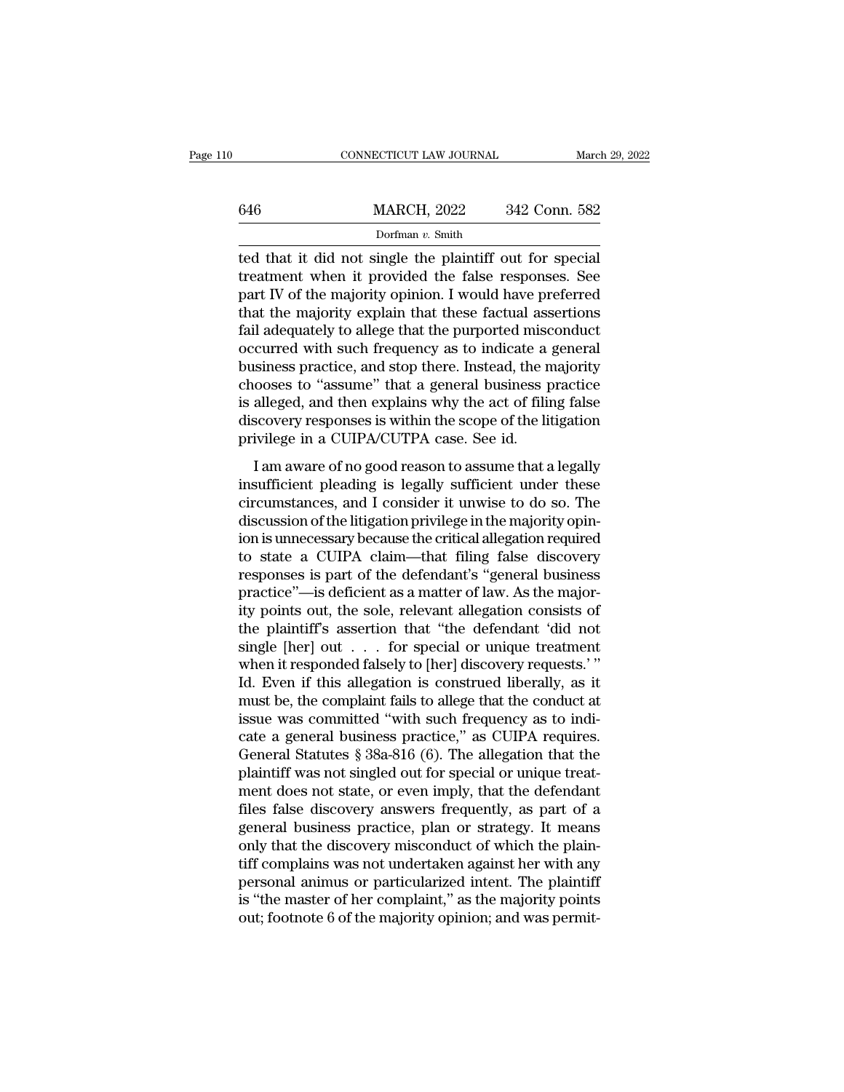|     | CONNECTICUT LAW JOURNAL                                                                                                                                                   | March 29, 2022 |
|-----|---------------------------------------------------------------------------------------------------------------------------------------------------------------------------|----------------|
|     |                                                                                                                                                                           |                |
| 646 | <b>MARCH, 2022</b>                                                                                                                                                        | 342 Conn. 582  |
|     | Dorfman $v$ . Smith                                                                                                                                                       |                |
|     | ted that it did not single the plaintiff out for special<br>treatment when it provided the false responses. See<br>nert IV of the majority opinion I would heve proferred |                |

MARCH, 2022 342 Conn. 582<br>Dorfman v. Smith<br>ted that it did not single the plaintiff out for special<br>treatment when it provided the false responses. See<br>part IV of the majority opinion. I would have preferred<br>that the major  $\frac{\text{MARCH, 2022}}{\text{Dorfman } v. \text{ Smith}}$ <br>
Led that it did not single the plaintiff out for special<br>
treatment when it provided the false responses. See<br>
part IV of the majority opinion. I would have preferred<br>
that the majority exp  $\frac{\text{MARCH, 2022}}{\text{Dorfman } v. \text{ Smith}}$ <br>
ted that it did not single the plaintiff out for special<br>
treatment when it provided the false responses. See<br>
part IV of the majority opinion. I would have preferred<br>
that the majority exp Fail and the plaintiff out for special<br>portman v. Smith<br>ted that it did not single the plaintiff out for special<br>treatment when it provided the false responses. See<br>part IV of the majority opinion. I would have preferred<br> borman  $v$ . Smith<br>ted that it did not single the plaintiff out for special<br>treatment when it provided the false responses. See<br>part IV of the majority opinion. I would have preferred<br>that the majority explain that these f ted that it did not single the plaintiff out for special<br>treatment when it provided the false responses. See<br>part IV of the majority opinion. I would have preferred<br>that the majority explain that these factual assertions<br>f treatment when it provided the false responses. See<br>part IV of the majority opinion. I would have preferred<br>that the majority explain that these factual assertions<br>fail adequately to allege that the purported misconduct<br>oc part IV of the majority opinion. I would have preferred<br>that the majority explain that these factual assertions<br>fail adequately to allege that the purported misconduct<br>occurred with such frequency as to indicate a general<br> that the majority explain that these factual assertions<br>fail adequately to allege that the purported misconduct<br>occurred with such frequency as to indicate a general<br>business practice, and stop there. Instead, the majority fail adequately to allege that the purported misc<br>occurred with such frequency as to indicate a<br>business practice, and stop there. Instead, the n<br>chooses to "assume" that a general business p<br>is alleged, and then explains Examples and stop there. Instead, the majority<br>
siness practice, and stop there. Instead, the majority<br>
ooses to "assume" that a general business practice<br>
alleged, and then explains why the act of filing false<br>
scovery re Examples practice, and step affect. Instead, the majorny<br>chooses to "assume" that a general business practice<br>is alleged, and then explains why the act of filing false<br>discovery responses is within the scope of the litigat

chooses to "assaint" and a general susmess practice<br>is alleged, and then explains why the act of filing false<br>discovery responses is within the scope of the litigation<br>privilege in a CUIPA/CUTPA case. See id.<br>I am aware of discovery responses is within the scope of the litigation<br>privilege in a CUIPA/CUTPA case. See id.<br>I am aware of no good reason to assume that a legally<br>insufficient pleading is legally sufficient under these<br>circumstances mixture in a CUIPA/CUTPA case. See id.<br>
I am aware of no good reason to assume that a legally<br>
insufficient pleading is legally sufficient under these<br>
circumstances, and I consider it unwise to do so. The<br>
discussion of t I am aware of no good reason to assume that a legally<br>insufficient pleading is legally sufficient under these<br>circumstances, and I consider it unwise to do so. The<br>discussion of the litigation privilege in the majority op I am aware of no good reason to assume that a legally<br>insufficient pleading is legally sufficient under these<br>circumstances, and I consider it unwise to do so. The<br>discussion of the litigation privilege in the majority opi insufficient pleading is legally sufficient under these circumstances, and I consider it unwise to do so. The discussion of the litigation privilege in the majority opinion is unnecessary because the critical allegation re circumstances, and I consider it unwise to do so. The<br>discussion of the litigation privilege in the majority opin-<br>ion is unnecessary because the critical allegation required<br>to state a CUIPA claim—that filing false discov discussion of the litigation privilege in the majority opin-<br>ion is unnecessary because the critical allegation required<br>to state a CUIPA claim—that filing false discovery<br>responses is part of the defendant's "general busi ion is unnecessary because the critical allegation required<br>to state a CUIPA claim—that filing false discovery<br>responses is part of the defendant's "general business<br>practice"—is deficient as a matter of law. As the majorto state a CUIPA claim—that filing false discovery<br>responses is part of the defendant's "general business<br>practice"—is deficient as a matter of law. As the major-<br>ity points out, the sole, relevant allegation consists of<br>t responses is part of the defendant's "general business<br>practice"—is deficient as a matter of law. As the major-<br>ity points out, the sole, relevant allegation consists of<br>the plaintiff's assertion that "the defendant 'did n practice"—is deficient as a matter of law. As the majority points out, the sole, relevant allegation consists of the plaintiff's assertion that "the defendant 'did not single [her] out  $\ldots$  for special or unique treatmen ity points out, the sole, relevant allegation consists of<br>the plaintiff's assertion that "the defendant 'did not<br>single [her] out  $\dots$  for special or unique treatment<br>when it responded falsely to [her] discovery requests. the plaintiff's assertion that "the defendant 'did not<br>single [her] out  $\ldots$  for special or unique treatment<br>when it responded falsely to [her] discovery requests.'"<br>Id. Even if this allegation is construed liberally, as single [her] out . . . for special or unique treatment<br>when it responded falsely to [her] discovery requests.'"<br>Id. Even if this allegation is construed liberally, as it<br>must be, the complaint fails to allege that the con when it responded falsely to [her] discovery requests.'"<br>Id. Even if this allegation is construed liberally, as it<br>must be, the complaint fails to allege that the conduct at<br>issue was committed "with such frequency as to i Id. Even if this allegation is construed liberally, as it<br>must be, the complaint fails to allege that the conduct at<br>issue was committed "with such frequency as to indi-<br>cate a general business practice," as CUIPA require must be, the complaint fails to allege that the conduct at<br>issue was committed "with such frequency as to indi-<br>cate a general business practice," as CUIPA requires.<br>General Statutes § 38a-816 (6). The allegation that the<br> issue was committed "with such frequency as to indicate a general business practice," as CUIPA requires.<br>General Statutes § 38a-816 (6). The allegation that the plaintiff was not singled out for special or unique treat-<br>me cate a general business practice," as CUIPA requires.<br>General Statutes § 38a-816 (6). The allegation that the<br>plaintiff was not singled out for special or unique treat-<br>ment does not state, or even imply, that the defendan General Statutes § 38a-816 (6). The allegation that the plaintiff was not singled out for special or unique treat-<br>ment does not state, or even imply, that the defendant files false discovery answers frequently, as part of plaintiff was not singled out for special or unique treat-<br>ment does not state, or even imply, that the defendant<br>files false discovery answers frequently, as part of a<br>general business practice, plan or strategy. It means ment does not state, or even imply, that the defendant<br>files false discovery answers frequently, as part of a<br>general business practice, plan or strategy. It means<br>only that the discovery misconduct of which the plain-<br>tif files false discovery answers frequently, as part of a<br>general business practice, plan or strategy. It means<br>only that the discovery misconduct of which the plain-<br>tiff complains was not undertaken against her with any<br>per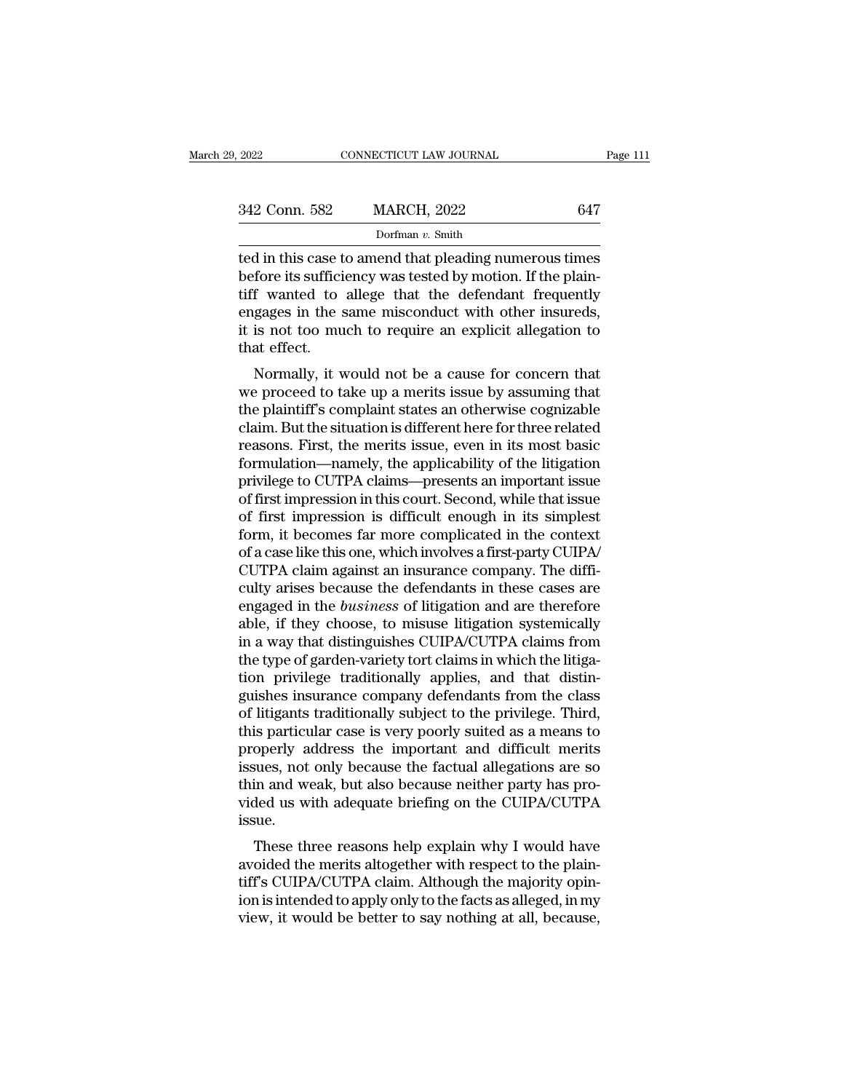| 9. 2022       | CONNECTICUT LAW JOURNAL                                                                                                                                                     | Page 111 |
|---------------|-----------------------------------------------------------------------------------------------------------------------------------------------------------------------------|----------|
|               |                                                                                                                                                                             |          |
| 342 Conn. 582 | <b>MARCH, 2022</b>                                                                                                                                                          | 647      |
|               | Dorfman $v$ . Smith                                                                                                                                                         |          |
|               | ted in this case to amend that pleading numerous times<br>before its sufficiency was tested by motion. If the plain-<br>tiff wontod to allogo that the defendant frequently |          |

before its sufficiency was tested by motion. If the plain-342 Conn. 582 MARCH, 2022 647<br>Dorfman v. Smith<br>ted in this case to amend that pleading numerous times<br>before its sufficiency was tested by motion. If the plain-<br>tiff wanted to allege that the defendant frequently<br>engages 342 Conn. 582 MARCH, 2022 647<br>
Dorfman v. Smith<br>
ted in this case to amend that pleading numerous times<br>
before its sufficiency was tested by motion. If the plain-<br>
tiff wanted to allege that the defendant frequently<br>
eng Dorfman v. Smith<br>Dorfman v. Smith<br>ted in this case to amend that pleading numerous times<br>before its sufficiency was tested by motion. If the plain-<br>tiff wanted to allege that the defendant frequently<br>engages in the same m ted in this case t<br>before its suffici<br>tiff wanted to<br>engages in the s<br>it is not too mu<br>that effect.<br>Normally, it v If it is case to allend that pleading numerous times<br>fore its sufficiency was tested by motion. If the plain-<br>f wanted to allege that the defendant frequently<br>gages in the same misconduct with other insureds,<br>is not too mu before its sufficiently was tested by filodoff. If the plain-<br>tiff wanted to allege that the defendant frequently<br>engages in the same misconduct with other insureds,<br>it is not too much to require an explicit allegation to<br>

the plaintiff's complaint states and other insureds,<br>it is not too much to require an explicit allegation to<br>that effect.<br>Normally, it would not be a cause for concern that<br>we proceed to take up a merits issue by assuming engages in the same inscoluted with other instructs,<br>it is not too much to require an explicit allegation to<br>that effect.<br>Normally, it would not be a cause for concern that<br>we proceed to take up a merits issue by assuming reasons. First, the merits issue, even in its most basic formulation to that effect.<br>Normally, it would not be a cause for concern that<br>we proceed to take up a merits issue by assuming that<br>the plaintiff's complaint states Mormally, it would not be a cause for concern that<br>we proceed to take up a merits issue by assuming that<br>the plaintiff's complaint states an otherwise cognizable<br>claim. But the situation is different here for three related Normally, it would not be a cause for concern that<br>we proceed to take up a merits issue by assuming that<br>the plaintiff's complaint states an otherwise cognizable<br>claim. But the situation is different here for three related we proceed to take up a merits issue by assuming that<br>the plaintiff's complaint states an otherwise cognizable<br>claim. But the situation is different here for three related<br>reasons. First, the merits issue, even in its most the plaintiff's complaint states an otherwise cognizable<br>claim. But the situation is different here for three related<br>reasons. First, the merits issue, even in its most basic<br>formulation—namely, the applicability of the li claim. But the situation is different here for three related<br>reasons. First, the merits issue, even in its most basic<br>formulation—namely, the applicability of the litigation<br>privilege to CUTPA claims—presents an important reasons. First, the merits issue, even in its most basic<br>formulation—namely, the applicability of the litigation<br>privilege to CUTPA claims—presents an important issue<br>of first impression in this court. Second, while that i formulation—namely, the applicability of the litigation<br>privilege to CUTPA claims—presents an important issue<br>of first impression in this court. Second, while that issue<br>of first impression is difficult enough in its simpl privilege to CUTPA claims—presents an important issue<br>of first impression in this court. Second, while that issue<br>of first impression is difficult enough in its simplest<br>form, it becomes far more complicated in the context of first impression in this court. Second, while that issue<br>of first impression is difficult enough in its simplest<br>form, it becomes far more complicated in the context<br>of a case like this one, which involves a first-party of first impression is difficult enough in its simplest<br>form, it becomes far more complicated in the context<br>of a case like this one, which involves a first-party CUIPA/<br>CUTPA claim against an insurance company. The diffiform, it becomes far more complicated in the context<br>of a case like this one, which involves a first-party CUIPA/<br>CUTPA claim against an insurance company. The diffi-<br>culty arises because the defendants in these cases are<br> of a case like this one, which involves a first-party CUIPA/CUTPA claim against an insurance company. The difficulty arises because the defendants in these cases are engaged in the *business* of litigation and are therefor CUTPA claim against an insurance company. The difficulty arises because the defendants in these cases are engaged in the *business* of litigation and are therefore able, if they choose, to misuse litigation systemically in culty arises because the defendants in these cases are<br>engaged in the *business* of litigation and are therefore<br>able, if they choose, to misuse litigation systemically<br>in a way that distinguishes CUIPA/CUTPA claims from<br>t engaged in the *business* of litigation and are therefore<br>able, if they choose, to misuse litigation systemically<br>in a way that distinguishes CUIPA/CUTPA claims from<br>the type of garden-variety tort claims in which the liti able, if they choose, to misuse litigation systemically<br>in a way that distinguishes CUIPA/CUTPA claims from<br>the type of garden-variety tort claims in which the litiga-<br>tion privilege traditionally applies, and that distinin a way that distinguishes CUIPA/CUTPA claims from<br>the type of garden-variety tort claims in which the litiga-<br>tion privilege traditionally applies, and that distin-<br>guishes insurance company defendants from the class<br>of the type of garden-variety tort claims in which the litigation privilege traditionally applies, and that distinguishes insurance company defendants from the class of litigants traditionally subject to the privilege. Third, tion privilege traditionally applies, and that distinguishes insurance company defendants from the class of litigants traditionally subject to the privilege. Third, this particular case is very poorly suited as a means to guishes insurance company defendants from the class<br>of litigants traditionally subject to the privilege. Third,<br>this particular case is very poorly suited as a means to<br>properly address the important and difficult merits<br>i issue. is particular case is very poorly sulted as a filearly to<br>operly address the important and difficult merits<br>sues, not only because the factual allegations are so<br>in and weak, but also because neither party has pro-<br>ded us properly addess the important and difficult merits<br>issues, not only because the factual allegations are so<br>thin and weak, but also because neither party has pro-<br>vided us with adequate briefing on the CUIPA/CUTPA<br>issue.<br>Th

thin and weak, but also because neither party has provided us with adequate briefing on the CUIPA/CUTPA issue.<br>These three reasons help explain why I would have avoided the merits altogether with respect to the plain-<br>tiff infirm and weak, but also because hertrier party has provided us with adequate briefing on the CUIPA/CUTPA issue.<br>These three reasons help explain why I would have avoided the merits altogether with respect to the plaintif vided us with adequate briening on the COI A/COI A<br>issue.<br>These three reasons help explain why I would have<br>avoided the merits altogether with respect to the plain-<br>tiff's CUIPA/CUTPA claim. Although the majority opin-<br>ion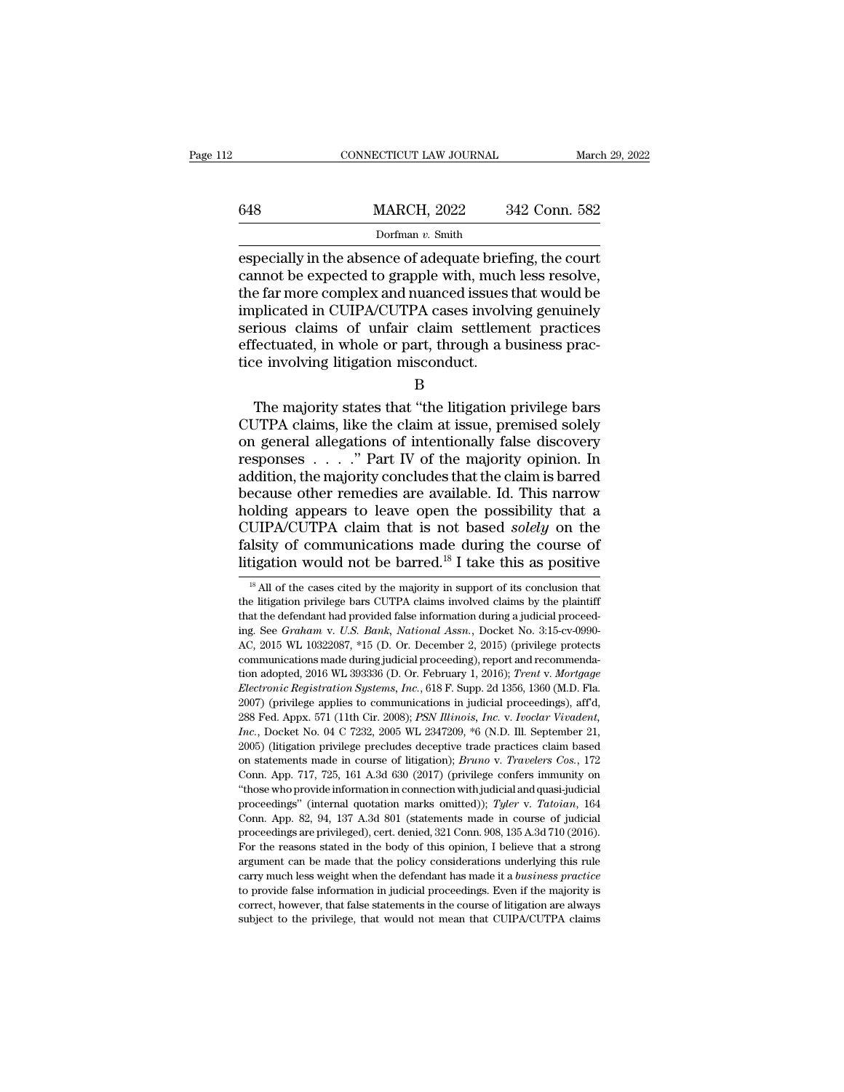|     | CONNECTICUT LAW JOURNAL                                                                                                                                                      | March 29, 2022 |
|-----|------------------------------------------------------------------------------------------------------------------------------------------------------------------------------|----------------|
| 648 | <b>MARCH, 2022</b>                                                                                                                                                           | 342 Conn. 582  |
|     | Dorfman $v$ . Smith                                                                                                                                                          |                |
|     | especially in the absence of adequate briefing, the court<br>cannot be expected to grapple with, much less resolve,<br>the far more complex and puanced issues that would be |                |

648 MARCH, 2022 342 Conn. 582<br>Dorfman v. Smith<br>especially in the absence of adequate briefing, the court<br>cannot be expected to grapple with, much less resolve,<br>the far more complex and nuanced issues that would be<br>implica 648 MARCH,  $2022$  342 Conn. 582<br>Dorfman v. Smith<br>especially in the absence of adequate briefing, the court<br>cannot be expected to grapple with, much less resolve,<br>the far more complex and nuanced issues that would be<br>impli 648 MARCH, 2022 342 Conn. 582<br>
Dorfman v. Smith<br>
especially in the absence of adequate briefing, the court<br>
cannot be expected to grapple with, much less resolve,<br>
the far more complex and nuanced issues that would be<br>
im  $\frac{1}{\text{softmax}(1, 2022)}$  or  $\frac{1}{\text{softmax}(1, 2022)}$ <br>
Dorfman v. Smith<br>
especially in the absence of adequate briefing, the court<br>
cannot be expected to grapple with, much less resolve,<br>
the far more complex and nuanced issues th Dorfman v. Smith<br>especially in the absence of adequate briefing, the court<br>cannot be expected to grapple with, much less resolve,<br>the far more complex and nuanced issues that would be<br>implicated in CUIPA/CUTPA cases invol especially in the absence of adequate brief<br>cannot be expected to grapple with, much<br>the far more complex and nuanced issues<br>implicated in CUIPA/CUTPA cases involv<br>serious claims of unfair claim settlem<br>effectuated, in who Example is a multiplex and nuanced issues that would be plicated in CUIPA/CUTPA cases involving genuinely rious claims of unfair claim settlement practices fectuated, in whole or part, through a business practice involving

B

mipricated in CUIFACUTFA cases involving genuinely<br>serious claims of unfair claim settlement practices<br>effectuated, in whole or part, through a business prac-<br>tice involving litigation misconduct.<br>B<br>The majority states tha serious claims of uniar claim settlement practices<br>effectuated, in whole or part, through a business prac-<br>tice involving litigation misconduct.<br>B<br>The majority states that "the litigation privilege bars<br>CUTPA claims, like enectuated, in whole or part, through a business practice involving litigation misconduct.<br>
B<br>
The majority states that "the litigation privilege bars<br>
CUTPA claims, like the claim at issue, premised solely<br>
on general all B<br>
B<br>
The majority states that "the litigation privilege bars<br>
CUTPA claims, like the claim at issue, premised solely<br>
on general allegations of intentionally false discovery<br>
responses . . . . . " Part IV of the majority B<br>
The majority states that "the litigation privilege bars<br>
CUTPA claims, like the claim at issue, premised solely<br>
on general allegations of intentionally false discovery<br>
responses . . . . ." Part IV of the majority opin The majority states that "the litigation privilege bars<br>CUTPA claims, like the claim at issue, premised solely<br>on general allegations of intentionally false discovery<br>responses  $\ldots$ ." Part IV of the majority opinion. In<br> CUTPA claims, like the claim at issue, premised solely<br>on general allegations of intentionally false discovery<br>responses  $\ldots$ ." Part IV of the majority opinion. In<br>addition, the majority concludes that the claim is barre on general allegations of intentionally false discovery<br>responses  $\ldots$ ." Part IV of the majority opinion. In<br>addition, the majority concludes that the claim is barred<br>because other remedies are available. Id. This narrow responses . . . . ." Part IV of the majority opinion. In addition, the majority concludes that the claim is barred because other remedies are available. Id. This narrow holding appears to leave open the possibility that a olding appears to leave open the possibility that a UIPA/CUTPA claim that is not based *solely* on the lisity of communications made during the course of tigation would not be barred.<sup>18</sup> I take this as positive <sup>18</sup> All o CUIPA/CUTPA claim that is not based *solely* on the falsity of communications made during the course of litigation would not be barred.<sup>18</sup> I take this as positive  $\frac{18}{18}$  All of the cases cited by the majority in sup

falsity of communications made during the course of litigation would not be barred.<sup>18</sup> I take this as positive  $\frac{18}{18}$  and of the cases cited by the majority in support of its conclusion that the litigation privilege Ittigation would not be barred.<sup>18</sup> I take this as positive<br><sup>18</sup> All of the cases cited by the majority in support of its conclusion that<br>the litigation privilege bars CUTPA claims involved claims by the plaintiff<br>that the Intigation would not be barried.<sup>25</sup> I take this as positive<br>
<sup>18</sup> All of the cases cited by the majority in support of its conclusion that<br>
the litigation privilege bars CUTPA claims involved claims by the plaintiff<br>
tha <sup>18</sup> All of the cases cited by the majority in support of its conclusion that the litigation privilege bars CUTPA claims involved claims by the plaintiff that the defendant had provided false information during a judicial the litigation privilege bars CUTPA claims involved claims by the plaintiff<br>that the defendant had provided false information during a judicial proceed-<br>ing. See *Graham v. U.S. Bank*, *National Assn.*, Docket No. 3:15-cv-*Electronic Registration Systems, Inc.*, 618 F. Supp. 2d 1356, 1360 (M.D. Fla. 2007) (privilege applies to communications made during judicial proceeding), report and recommunications made during judicial proceeding), repo ing. See *Graham v. U.S. Bank*, *National Assn.*, Docket No. 3:15-cv-0990-<br>AC, 2015 WL 10322087, \*15 (D. Or. December 2, 2015) (privilege protects<br>communications made during judicial proceeding), report and recommenda-<br>tio 288 Fed. Appx. 571 (11th Cir. 2008); *PSN Illinois, Inc.* v. *Ivoclar Vivadent,*<br>288 Fed. Appx. 571 (D. Or. December 2, 2015) (privilege protects communications made during judicial proceeding), report and recommenda-<br>tion *Inc.*, Docket No. 04 C 7232, 2005 WL 2347209, \*6 (N.D. III. September 21, 2005) (litigation privilege applies to communications in judicial proceeding), report and recommenda-<br>*Electronic Registration Systems, Inc.*, 618 tion adopted, 2016 WL 393336 (D. Or. February 1, 2016); *Trent v. Mortgage Electronic Registration Systems, Inc.*, 618 F. Supp. 2d 1356, 1360 (M.D. Fla. 2007) (privilege applies to communications in judicial proceedings *Chectronic Registration Systems, Inc.*, 618 F. Supp. 2d 1356, 1360 (M.D. Fla. 2007) (privilege applies to communications in judicial proceedings), aff<sup>2</sup>d, 288 Fed. Appx. 571 (11th Cir. 2008); *PSN Illinois, Inc.* v. *Ivo* 2007) (privilege applies to communications in juicial proceedings), aff<sup>1</sup>d, 288 Fed. Appx. 571 (11th Cir. 2008); *PSN Illinois, Inc.* v. *Ivoclar Vivadent, Inc.*, Docket No. 04 C 7232, 2005 WL 2347209,  $*6$  (N.D. Ill. Se <sup>200</sup> (Harlow 571 (11th Cir. 2008); *PSN Illinois*, *Inc.* v. *Ivoclar Vivadent*, *Inc.*, Docket No. 04 C 7232, 2005 WL 2347209,  $*6$  (N.D. Ill. September 21, 2005) (litigation privilege precludes deceptive trade practice Inc., Docket No. 04 C 7232, 2005 WL 2347209, \*6 (N.D. Ill. September 21, 2005) (litigation privilege precludes deceptive trade practices claim based on statements made in course of litigation); *Bruno* v. *Travelers Cos.*, 2005) (litigation privilege precludes deceptive trade practices claim based on statements made in course of litigation); *Bruno* v. *Travelers Cos.*, 172 Conn. App. 717, 725, 161 A.3d 630 (2017) (privilege confers immunit on statements made in course of litigation); *Bruno* v. *Travelers Cos.*, 172 Conn. App. 717, 725, 161 A.3d 630 (2017) (privilege confers immunity on "those who provide information in connection with judicial and quasi-jud For the reasons stated in the body of this opinion, I believe that a strong argument can be more edings" (internal quotation in connection with judicial and quasi-judicial proceedings" (internal quotation marks omitted)); "those who provide information in connection with judicial and quasi-judicial proceedings" (internal quotation marks omitted)); *Tyler* v. *Tatoian*, 164 Conn. App. 82, 94, 137 A.3d 801 (statements made in course of judic "those who provide information in connection with judicial and quasi-judicial proceedings" (internal quotation marks omitted));  $Tyler$  v.  $Tatoian$ , 164 Conn. App. 82, 94, 137 A.3d 801 (statements made in course of judicial pr Conn. App. 82, 94, 137 A.3d 801 (statements made in course of judicial proceedings are privileged), cert. denied, 321 Conn. 908, 135 A.3d 710 (2016). For the reasons stated in the body of this opinion, I believe that a st proceedings are privileged), cert. denied, 321 Conn. 908, 135 A.3d 710 (2016). For the reasons stated in the body of this opinion, I believe that a strong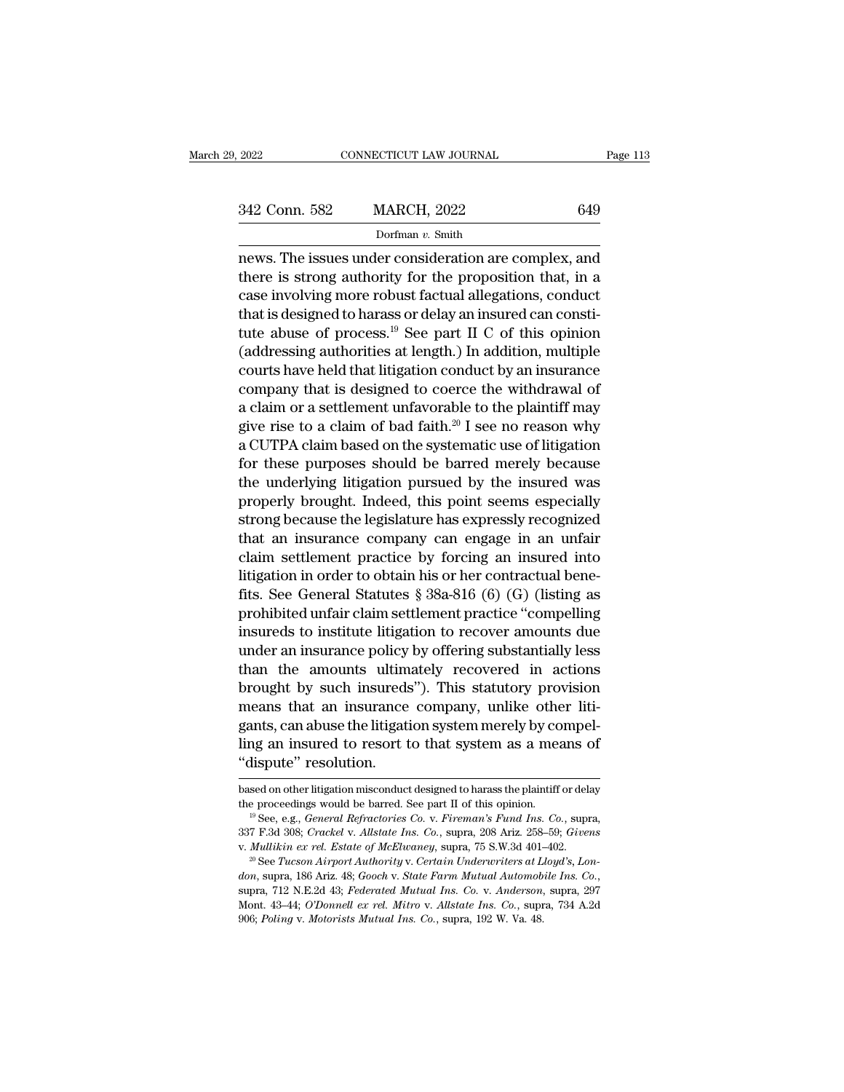| 2022          | CONNECTICUT LAW JOURNAL | Page 113 |
|---------------|-------------------------|----------|
| 342 Conn. 582 | <b>MARCH, 2022</b>      | 649      |
|               | Dorfman v. Smith        |          |

2022 CONNECTICUT LAW JOURNAL Page 113<br>342 Conn. 582 MARCH, 2022 649<br>Dorfman v. Smith<br>news. The issues under consideration are complex, and<br>there is strong authority for the proposition that, in a 342 Conn. 582 MARCH, 2022 649<br>Dorfman v. Smith<br>news. The issues under consideration are complex, and<br>there is strong authority for the proposition that, in a<br>case involving more robust factual allegations, conduct 342 Conn. 582 MARCH, 2022 649<br>
Dorfman v. Smith<br>
news. The issues under consideration are complex, and<br>
there is strong authority for the proposition that, in a<br>
case involving more robust factual allegations, conduct<br>
th 342 Conn. 582 MARCH, 2022 649<br>
Dorfman v. Smith<br>
news. The issues under consideration are complex, and<br>
there is strong authority for the proposition that, in a<br>
case involving more robust factual allegations, conduct<br>
th Dorfman v. Smith<br>news. The issues under consideration are complex, and<br>there is strong authority for the proposition that, in a<br>case involving more robust factual allegations, conduct<br>that is designed to harass or delay a  $\overline{\text{R}}$  and there is strong authority for the proposition that, in a case involving more robust factual allegations, conduct that is designed to harass or delay an insured can constitute abuse of process.<sup>19</sup> See part news. The issues under consideration are complex, and<br>there is strong authority for the proposition that, in a<br>case involving more robust factual allegations, conduct<br>that is designed to harass or delay an insured can cons there is strong authority for the proposition that, in a<br>case involving more robust factual allegations, conduct<br>that is designed to harass or delay an insured can consti-<br>tute abuse of process.<sup>19</sup> See part II C of this case involving more robust factual allegations, conduct<br>that is designed to harass or delay an insured can consti-<br>tute abuse of process.<sup>19</sup> See part II C of this opinion<br>(addressing authorities at length.) In addition, that is designed to harass or delay an insured can constitute abuse of process.<sup>19</sup> See part II C of this opinion (addressing authorities at length.) In addition, multiple courts have held that litigation conduct by an in tute abuse of process.<sup>35</sup> See part II C of this opinion (addressing authorities at length.) In addition, multiple courts have held that litigation conduct by an insurance company that is designed to coerce the withdrawal (addressing authorities at length.) In addition, multiple<br>courts have held that litigation conduct by an insurance<br>company that is designed to coerce the withdrawal of<br>a claim or a settlement unfavorable to the plaintiff courts have held that litigation conduct by an insurance<br>company that is designed to coerce the withdrawal of<br>a claim or a settlement unfavorable to the plaintiff may<br>give rise to a claim of bad faith.<sup>20</sup> I see no reason company that is designed to coerce the withdrawal of<br>a claim or a settlement unfavorable to the plaintiff may<br>give rise to a claim of bad faith.<sup>20</sup> I see no reason why<br>a CUTPA claim based on the systematic use of litigati a claim or a settlement unfavorable to the plaintiff may<br>give rise to a claim of bad faith.<sup>20</sup> I see no reason why<br>a CUTPA claim based on the systematic use of litigation<br>for these purposes should be barred merely because give rise to a claim of bad faith.<sup>20</sup> I see no reason why<br>a CUTPA claim based on the systematic use of litigation<br>for these purposes should be barred merely because<br>the underlying litigation pursued by the insured was<br>pro a CUTPA claim based on the systematic use of ittigation<br>for these purposes should be barred merely because<br>the underlying litigation pursued by the insured was<br>properly brought. Indeed, this point seems especially<br>strong b for these purposes should be barred merely because<br>the underlying litigation pursued by the insured was<br>properly brought. Indeed, this point seems especially<br>strong because the legislature has expressly recognized<br>that an the underlying litigation pursued by the insured was<br>properly brought. Indeed, this point seems especially<br>strong because the legislature has expressly recognized<br>that an insurance company can engage in an unfair<br>claim set properly brought. Indeed, this point seems especially<br>strong because the legislature has expressly recognized<br>that an insurance company can engage in an unfair<br>claim settlement practice by forcing an insured into<br>litigatio strong because the legislature has expressly recognized<br>that an insurance company can engage in an unfair<br>claim settlement practice by forcing an insured into<br>litigation in order to obtain his or her contractual bene-<br>fits that an insurance company can engage in an untair<br>claim settlement practice by forcing an insured into<br>litigation in order to obtain his or her contractual bene-<br>fits. See General Statutes  $\S 38a-816$  (6) (G) (listing as<br> claim settlement practice by forcing an insured into<br>litigation in order to obtain his or her contractual bene-<br>fits. See General Statutes  $\S 38a-816$  (6) (G) (listing as<br>prohibited unfair claim settlement practice "compe Intigation in order to obtain his or her contractual bene-<br>fits. See General Statutes § 38a-816 (6) (G) (listing as<br>prohibited unfair claim settlement practice "compelling<br>insureds to institute litigation to recover amount fits. See General Statutes  $\S$  38a-816 (6) (G) (listing as<br>prohibited unfair claim settlement practice "compelling<br>insureds to institute litigation to recover amounts due<br>under an insurance policy by offering substantiall prohibited unfair claim settlement practice "compelling<br>insureds to institute litigation to recover amounts due<br>under an insurance policy by offering substantially less<br>than the amounts ultimately recovered in actions<br>brou insureds to institute litigation to recover amounts due<br>under an insurance policy by offering substantially less<br>than the amounts ultimately recovered in actions<br>brought by such insureds"). This statutory provision<br>means t under an insurance policy<br>
than the amounts ultim<br>
brought by such insureds<br>
means that an insurance<br>
gants, can abuse the litigati<br>
ling an insured to resort t<br>
"dispute" resolution.<br>
based on other litigation misconduct meants, can abuse the litigation system merely by compel-<br>ling an insured to resort to that system as a means of<br>"dispute" resolution.<br>based on other litigation misconduct designed to harass the plaintiff or delay<br>the proc gants, can abuse the litigation system merely by compel-<br>ling an insured to resort to that system as a means of<br>"dispute" resolution.<br>based on other litigation misconduct designed to harass the plaintiff or delay<br>the proce

<sup>&</sup>quot;dispute" resolution.<br>
based on other litigation misconduct designed to harass the plaintiff or delay<br>
the proceedings would be barred. See part II of this opinion.<br>
<sup>19</sup> See, e.g., *General Refractories Co. v. Fireman's F* 

*donated manual donated donated to the proceedings would be barred.* See part II of this opinion.<br><sup>19</sup> See, e.g., *General Refractories Co. v. Fireman's Fund Ins. Co.*, supra, 337 F.3d 308; *Crackel v. Allstate Ins. Co.*, See The Science of McElwaney, supra, 208 Ariz. 258–59; *Givens* v. *Mullikin ex rel. Estate of McElwaney*, supra, 75 S.W.3d 401–402.<br>
<sup>20</sup> See Tucson Airport Authority v. *Certain Underwriters at Lloyd's*, *London*, supra, 337 F.3d 308; *Crackel v. Allstate Ins. Co.*, supra, 208 Ariz. 258–59; *Givens* v. *Mullikin ex rel. Estate of McElwaney*, supra, 75 S.W.3d 401–402.<br><sup>20</sup> See *Tucson Airport Authority v. Certain Underwriters at Lloyd's*,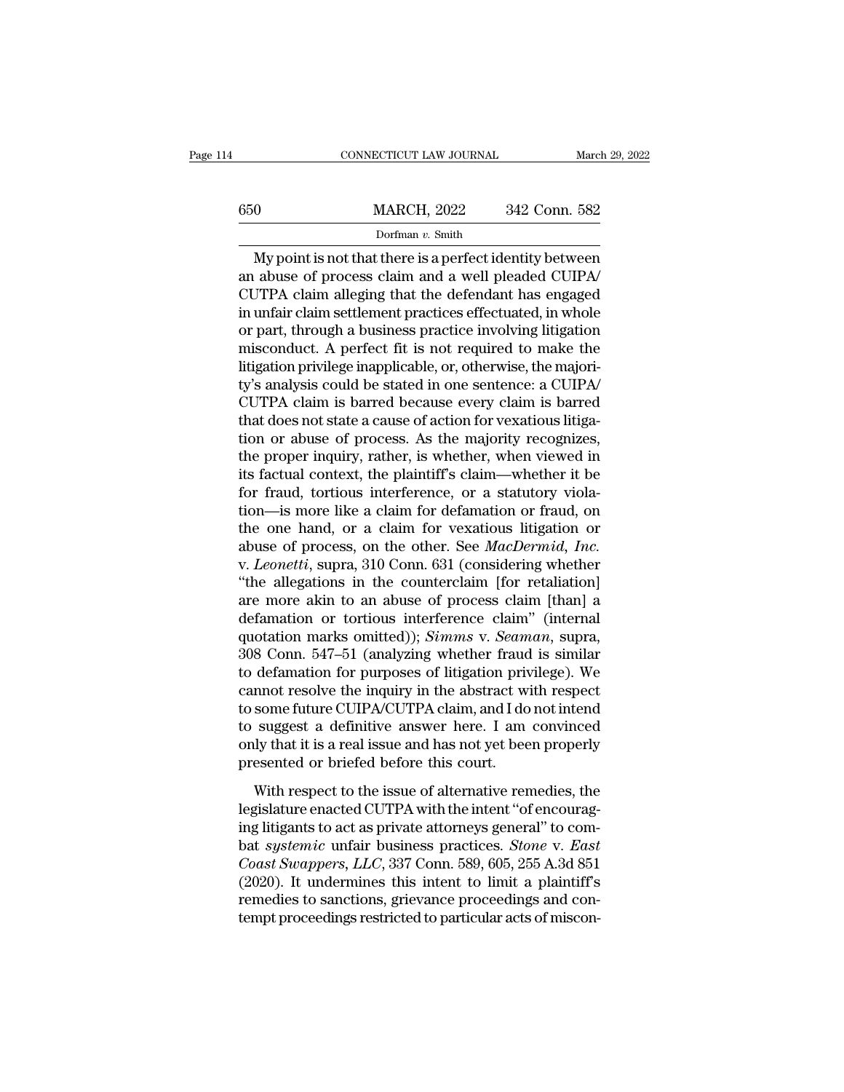|     | CONNECTICUT LAW JOURNAL | March 29, 2022 |
|-----|-------------------------|----------------|
| 650 | <b>MARCH, 2022</b>      | 342 Conn. 582  |
|     | Dorfman v. Smith        |                |

CONNECTICUT LAW JOURNAL March 29, 2022<br>
0<br>
MARCH, 2022 342 Conn. 582<br>
Dorfman v. Smith<br>
My point is not that there is a perfect identity between<br>
abuse of process claim and a well pleaded CUIPA/<br>
TPA claim alloging that th 650 MARCH, 2022 342 Conn. 582<br>
Dorfman v. Smith<br>
My point is not that there is a perfect identity between<br>
an abuse of process claim and a well pleaded CUIPA/<br>
CUTPA claim alleging that the defendant has engaged<br>
in unfoir  $\frac{\text{MARCH}}{\text{Dorfman } v \cdot \text{Smith}}$ <br>Dorfman v. Smith<br>My point is not that there is a perfect identity between<br>an abuse of process claim and a well pleaded CUIPA/<br>CUTPA claim alleging that the defendant has engaged<br>in unfair claim s  $\frac{\text{MARCH}}{\text{Dorfman } v \cdot \text{Smith}}$ <br>
My point is not that there is a perfect identity between<br>
an abuse of process claim and a well pleaded CUIPA/<br>
CUTPA claim alleging that the defendant has engaged<br>
in unfair claim settlement pra Dorfman v. Smith<br>Dorfman v. Smith<br>Dorfman v. Smith<br>an abuse of process claim and a well pleaded CUIPA/<br>CUTPA claim alleging that the defendant has engaged<br>in unfair claim settlement practices effectuated, in whole<br>or part Dorman v. Smith<br>My point is not that there is a perfect identity between<br>an abuse of process claim and a well pleaded CUIPA/<br>CUTPA claim alleging that the defendant has engaged<br>in unfair claim settlement practices effectu My point is not that there is a perfect identity between<br>an abuse of process claim and a well pleaded CUIPA/<br>CUTPA claim alleging that the defendant has engaged<br>in unfair claim settlement practices effectuated, in whole<br>or an abuse of process claim and a well pleaded CUIPA/<br>CUTPA claim alleging that the defendant has engaged<br>in unfair claim settlement practices effectuated, in whole<br>or part, through a business practice involving litigation<br>m CUTPA claim alleging that the defendant has engaged<br>in unfair claim settlement practices effectuated, in whole<br>or part, through a business practice involving litigation<br>misconduct. A perfect fit is not required to make the in unfair claim settlement practices effectuated, in whole<br>or part, through a business practice involving litigation<br>misconduct. A perfect fit is not required to make the<br>litigation privilege inapplicable, or, otherwise, t or part, through a business practice involving litigation<br>misconduct. A perfect fit is not required to make the<br>litigation privilege inapplicable, or, otherwise, the majori-<br>ty's analysis could be stated in one sentence: a misconduct. A perfect fit is not required to make the litigation privilege inapplicable, or, otherwise, the majority's analysis could be stated in one sentence: a CUIPA/<br>CUTPA claim is barred because every claim is barred litigation privilege inapplicable, or, otherwise, the majority's analysis could be stated in one sentence: a CUIPA/<br>CUTPA claim is barred because every claim is barred<br>that does not state a cause of action for vexatious li ty's analysis could be stated in one sentence: a CUIPA/<br>CUTPA claim is barred because every claim is barred<br>that does not state a cause of action for vexatious litiga-<br>tion or abuse of process. As the majority recognizes,<br> CUTPA claim is barred because every claim is barred<br>that does not state a cause of action for vexatious litiga-<br>tion or abuse of process. As the majority recognizes,<br>the proper inquiry, rather, is whether, when viewed in<br>i that does not state a cause of action for vexatious litigation or abuse of process. As the majority recognizes, the proper inquiry, rather, is whether, when viewed in its factual context, the plaintiff's claim—whether it tion or abuse of process. As the majority recognizes,<br>the proper inquiry, rather, is whether, when viewed in<br>its factual context, the plaintiff's claim—whether it be<br>for fraud, tortious interference, or a statutory viola-<br> the proper inquiry, rather, is whether, when viewed in<br>its factual context, the plaintiff's claim—whether it be<br>for fraud, tortious interference, or a statutory viola-<br>tion—is more like a claim for defamation or fraud, on<br> its factual context, the plaintiff's claim—whether it be<br>for fraud, tortious interference, or a statutory viola-<br>tion—is more like a claim for defamation or fraud, on<br>the one hand, or a claim for vexatious litigation or<br>ab for fraud, tortious interference, or a statutory violation—is more like a claim for defamation or fraud, on the one hand, or a claim for vexatious litigation or abuse of process, on the other. See *MacDermid, Inc.* v. *Le* tion—is more like a claim for defamation or fraud, on<br>the one hand, or a claim for vexatious litigation or<br>abuse of process, on the other. See *MacDermid, Inc.*<br>v. *Leonetti*, supra, 310 Conn. 631 (considering whether<br>"th the one hand, or a claim for vexatious litigation or<br>abuse of process, on the other. See *MacDermid, Inc.*<br>v. *Leonetti*, supra, 310 Conn. 631 (considering whether<br>"the allegations in the counterclaim [for retaliation]<br>are abuse of process, on the other. See *MacDermid, Inc.*<br>v. *Leonetti*, supra, 310 Conn. 631 (considering whether<br>"the allegations in the counterclaim [for retaliation]<br>are more akin to an abuse of process claim [than] a<br>defa v. *Leonetti*, supra, 310 Conn. 631 (considering whether<br>
"the allegations in the counterclaim [for retaliation]<br>
are more akin to an abuse of process claim [than] a<br>
defamation or tortious interference claim" (internal<br> "the allegations in the counterclaim [for retaliation]<br>are more akin to an abuse of process claim [than] a<br>defamation or tortious interference claim" (internal<br>quotation marks omitted)); *Simms* v. *Seaman*, supra,<br>308 Co are more akin to an abuse of process claim [than] a<br>defamation or tortious interference claim" (internal<br>quotation marks omitted)); *Simms* v. *Seaman*, supra,<br>308 Conn. 547–51 (analyzing whether fraud is similar<br>to defama defamation or tortious interference claim" (internal<br>quotation marks omitted)); *Simms* v. *Seaman*, supra,<br>308 Conn. 547–51 (analyzing whether fraud is similar<br>to defamation for purposes of litigation privilege). We<br>canno quotation marks omitted)); *Simms v. Seaman*, supra, 308 Conn. 547–51 (analyzing whether fraud is similar to defamation for purposes of litigation privilege). We cannot resolve the inquiry in the abstract with respect to s 308 Conn. 547–51 (analyzing whether fraud<br>to defamation for purposes of litigation priv<br>cannot resolve the inquiry in the abstract w<br>to some future CUIPA/CUTPA claim, and I do<br>to suggest a definitive answer here. I am<br>only detaination for parposes of hagation privings). We<br>mnot resolve the inquiry in the abstract with respect<br>some future CUIPA/CUTPA claim, and I do not intend<br>suggest a definitive answer here. I am convinced<br>ly that it is a r definitive resource the miquary in the dissurded what respect<br>to some future CUIPA/CUTPA claim, and I do not intend<br>to suggest a definitive answer here. I am convinced<br>only that it is a real issue and has not yet been prop

to suggest a definitive answer here. I am convinced<br>only that it is a real issue and has not yet been properly<br>presented or briefed before this court.<br>With respect to the issue of alternative remedies, the<br>legislature ena be saggest a definitive answer field. *I* and estimated<br>only that it is a real issue and has not yet been properly<br>presented or briefed before this court.<br>With respect to the issue of alternative remedies, the<br>legislature *Coast Swappers*, Dividend Swappers, presented or briefed before this court.<br>
With respect to the issue of alternative remedies, the<br>
legislature enacted CUTPA with the intent "of encourag-<br>
ing litigants to act as private With respect to the issue of alternative remedies, the<br>legislature enacted CUTPA with the intent "of encourag-<br>ing litigants to act as private attorneys general" to com-<br>bat *systemic* unfair business practices. *Stone* v. With respect to the issue of alternative remedies, the legislature enacted CUTPA with the intent "of encouraging litigants to act as private attorneys general" to combat *systemic* unfair business practices. *Stone* v. *Ea* legislature enacted CUTPA with the intent "of encouraging litigants to act as private attorneys general" to combat *systemic* unfair business practices. *Stone v. East Coast Swappers, LLC*, 337 Conn. 589, 605, 255 A.3d 8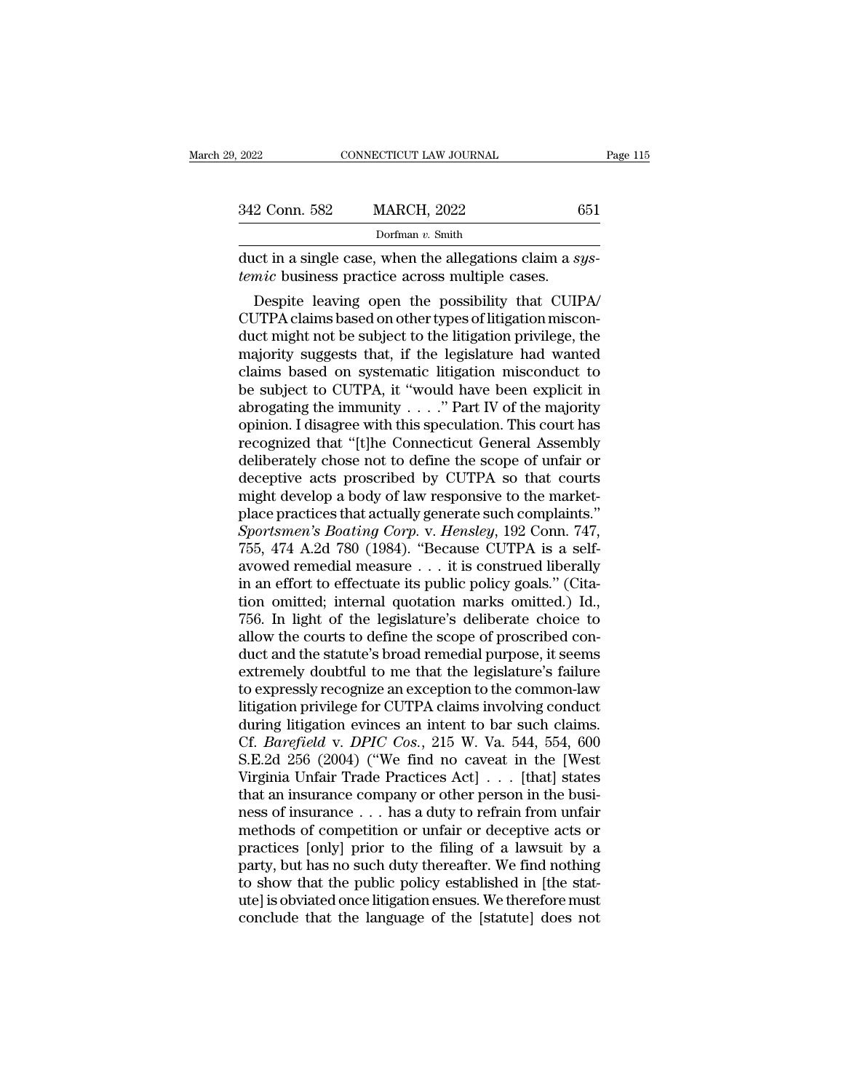| 9, 2022       | CONNECTICUT LAW JOURNAL                                                                                                                                                 | Page 115 |
|---------------|-------------------------------------------------------------------------------------------------------------------------------------------------------------------------|----------|
|               |                                                                                                                                                                         |          |
| 342 Conn. 582 | <b>MARCH, 2022</b>                                                                                                                                                      | 651      |
|               | Dorfman $v$ . Smith                                                                                                                                                     |          |
|               | duct in a single case, when the allegations claim a sys-<br><i>temic</i> business practice across multiple cases.                                                       |          |
|               | Despite leaving open the possibility that CUIPA<br>CUTPA claims based on other types of litigation miscon-<br>duct might not be subject to the litigation privilege the |          |

342 Conn. 582 MARCH, 2022 651<br>
Dorfman v. Smith<br>
duct in a single case, when the allegations claim a *sys-*<br>
temic business practice across multiple cases.<br>
Despite leaving open the possibility that CUIPA/<br>
CUTPA claims b Dorfman v. Smith<br>
duct in a single case, when the allegations claim a sys-<br>
temic business practice across multiple cases.<br>
Despite leaving open the possibility that CUIPA/<br>
CUTPA claims based on other types of litigation duct in a single case, when the allegations claim a *systemic* business practice across multiple cases.<br>Despite leaving open the possibility that CUIPA/<br>CUTPA claims based on other types of litigation miscon-<br>duct might no duct in a single case, when the allegations claim a *systemic* business practice across multiple cases.<br>
Despite leaving open the possibility that CUIPA/<br>
CUTPA claims based on other types of litigation misconduct might no be subject to CUTPA and the possibility that CUIPA/CUTPA claims based on other types of litigation misconduct might not be subject to the litigation privilege, the majority suggests that, if the legislature had wanted cla Despite leaving open the possibility that CUIPA/<br>CUTPA claims based on other types of litigation miscon-<br>duct might not be subject to the litigation privilege, the<br>majority suggests that, if the legislature had wanted<br>cla CUTPA claims based on other types of litigation misconduct might not be subject to the litigation privilege, the majority suggests that, if the legislature had wanted claims based on systematic litigation misconduct to be duct might not be subject to the litigation privilege, the<br>majority suggests that, if the legislature had wanted<br>claims based on systematic litigation misconduct to<br>be subject to CUTPA, it "would have been explicit in<br>abro majority suggests that, if the legislature had wanted<br>claims based on systematic litigation misconduct to<br>be subject to CUTPA, it "would have been explicit in<br>abrogating the immunity  $\dots$ " Part IV of the majority<br>opinion. claims based on systematic litigation misconduct to<br>be subject to CUTPA, it "would have been explicit in<br>abrogating the immunity  $\ldots$ " Part IV of the majority<br>opinion. I disagree with this speculation. This court has<br>rec be subject to CUTPA, it "would have been explicit in abrogating the immunity  $\ldots$ ." Part IV of the majority opinion. I disagree with this speculation. This court has recognized that "[t]he Connecticut General Assembly de abrogating the immunity  $\ldots$ ." Part IV of the majority<br>opinion. I disagree with this speculation. This court has<br>recognized that "[t]he Connecticut General Assembly<br>deliberately chose not to define the scope of unfair or opinion. I disagree with this speculation. This court has<br>recognized that "[t]he Connecticut General Assembly<br>deliberately chose not to define the scope of unfair or<br>deceptive acts proscribed by CUTPA so that courts<br>might recognized that "[t]he Connecticut General Assembly<br>deliberately chose not to define the scope of unfair or<br>deceptive acts proscribed by CUTPA so that courts<br>might develop a body of law responsive to the market-<br>place prac deliberately chose not to define the scope of unfair or<br>deceptive acts proscribed by CUTPA so that courts<br>might develop a body of law responsive to the market-<br>place practices that actually generate such complaints."<br>Sport deceptive acts proscribed by CUTPA so that courts<br>might develop a body of law responsive to the market-<br>place practices that actually generate such complaints."<br>Sportsmen's Boating Corp. v. Hensley, 192 Conn. 747,<br>755, 474 might develop a body of law responsive to the market-<br>place practices that actually generate such complaints."<br>Sportsmen's Boating Corp. v. Hensley, 192 Conn. 747,<br>755, 474 A.2d 780 (1984). "Because CUTPA is a self-<br>avowed place practices that actually generate such complaints."<br>
Sportsmen's Boating Corp. v. Hensley, 192 Conn. 747,<br>
755, 474 A.2d 780 (1984). "Because CUTPA is a self-<br>
avowed remedial measure . . . it is construed liberally<br> Sportsmen's Boating Corp. v. Hensley, 192 Conn. 747, 755, 474 A.2d 780 (1984). "Because CUTPA is a self-<br>avowed remedial measure . . . it is construed liberally<br>in an effort to effectuate its public policy goals." (Cita-<br>t 755, 474 A.2d 780 (1984). "Because CUTPA is a self-<br>avowed remedial measure  $\ldots$  it is construed liberally<br>in an effort to effectuate its public policy goals." (Cita-<br>tion omitted; internal quotation marks omitted.) Id., avowed remedial measure . . . it is construed liberally<br>in an effort to effectuate its public policy goals." (Cita-<br>tion omitted; internal quotation marks omitted.) Id.,<br>756. In light of the legislature's deliberate choice in an effort to effectuate its public policy goals." (Citation omitted; internal quotation marks omitted.) Id.,<br>756. In light of the legislature's deliberate choice to<br>allow the courts to define the scope of proscribed con tion omitted; internal quotation marks omitted.) Id.,<br>756. In light of the legislature's deliberate choice to<br>allow the courts to define the scope of proscribed con-<br>duct and the statute's broad remedial purpose, it seems 756. In light of the legislature's deliberate choice to allow the courts to define the scope of proscribed conduct and the statute's broad remedial purpose, it seems extremely doubtful to me that the legislature's failure allow the courts to define the scope of proscribed conduct and the statute's broad remedial purpose, it seems<br>extremely doubtful to me that the legislature's failure<br>to expressly recognize an exception to the common-law<br>li duct and the statute's broad remedial purpose, it seems<br>extremely doubtful to me that the legislature's failure<br>to expressly recognize an exception to the common-law<br>litigation privilege for CUTPA claims involving conduct<br> extremely doubtful to me that the legislature's failure<br>to expressly recognize an exception to the common-law<br>litigation privilege for CUTPA claims involving conduct<br>during litigation evinces an intent to bar such claims.<br> to expressly recognize an exception to the common-law<br>litigation privilege for CUTPA claims involving conduct<br>during litigation evinces an intent to bar such claims.<br>Cf. *Barefield* v. *DPIC Cos.*, 215 W. Va. 544, 554, 60 litigation privilege for CUTPA claims involving conduct<br>during litigation evinces an intent to bar such claims.<br>Cf. *Barefield* v. *DPIC Cos.*, 215 W. Va. 544, 554, 600<br>S.E.2d 256 (2004) ("We find no caveat in the [West<br>Vi during litigation evinces an intent to bar such claims.<br>Cf. *Barefield* v. *DPIC Cos.*, 215 W. Va. 544, 554, 600<br>S.E.2d 256 (2004) ("We find no caveat in the [West<br>Virginia Unfair Trade Practices Act] . . . [that] states<br>t Cf. *Barefield* v. *DPIC Cos.*, 215 W. Va. 544, 554, 600<br>S.E.2d 256 (2004) ("We find no caveat in the [West<br>Virginia Unfair Trade Practices Act] . . . [that] states<br>that an insurance company or other person in the busi-S.E.2d 256 (2004) ("We find no caveat in the [West<br>Virginia Unfair Trade Practices Act]  $\ldots$  [that] states<br>that an insurance company or other person in the busi-<br>ness of insurance  $\ldots$  has a duty to refrain from unfair<br> Virginia Unfair Trade Practices Act] . . . [that] states<br>that an insurance company or other person in the busi-<br>ness of insurance . . . has a duty to refrain from unfair<br>methods of competition or unfair or deceptive acts o that an insurance company or other person in the business of insurance  $\ldots$  has a duty to refrain from unfair methods of competition or unfair or deceptive acts or practices [only] prior to the filing of a lawsuit by a p ness of insurance . . . has a duty to refrain from unfair<br>methods of competition or unfair or deceptive acts or<br>practices [only] prior to the filing of a lawsuit by a<br>party, but has no such duty thereafter. We find nothing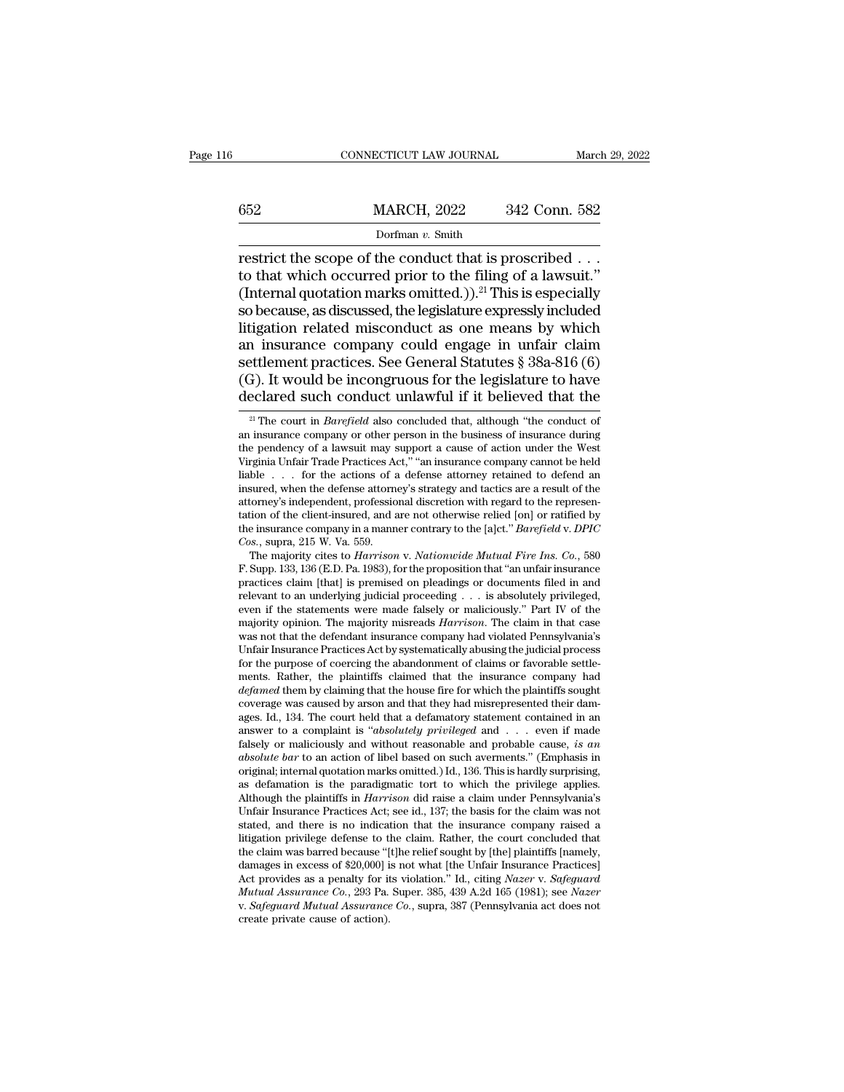# EXECUTE CONNECTICUT LAW JOURNAL March 29, 2022<br>
MARCH, 2022 342 Conn. 582<br>
Dorfman v. Smith Dorfman *v.* Smith

CONNECTICUT LAW JOURNAL March 29, 2<br>  $\begin{array}{r}\n 0.22 \quad 342 \quad \text{Conn.} \ 582 \\
 \hline\n 1.582 \quad 500 \quad \text{Dorfman } v. \ \text{Smith}\n\end{array}$ <br>
Testrict the scope of the conduct that is proscribed . . .<br>
to that which occurred prior to the filing of a 652 MARCH, 2022 342 Conn. 582<br>Dorfman v. Smith<br>restrict the scope of the conduct that is proscribed . . .<br>to that which occurred prior to the filing of a lawsuit.''<br>(Internal quotation marks omitted.)).<sup>21</sup> This is especi (652 MARCH, 2022 342 Conn. 582<br>
Dorfman v. Smith<br>
restrict the scope of the conduct that is proscribed . . .<br>
to that which occurred prior to the filing of a lawsuit."<br>
(Internal quotation marks omitted.)).<sup>21</sup> This is es So because, as discussed, the legislature expressly included in the lawsuit.<br>
So because, as discussed, the legislature expressly included in the ling of a lawsuit."<br>
So because, as discussed, the legislature expressly in Dorfman v. Smith<br>
Dorfman v. Smith<br>
restrict the scope of the conduct that is proscribed . . .<br>
to that which occurred prior to the filing of a lawsuit."<br>
(Internal quotation marks omitted.)).<sup>21</sup> This is especially<br>
so b Dorfman v. Smith<br>restrict the scope of the conduct that is proscribed . . .<br>to that which occurred prior to the filing of a lawsuit."<br>(Internal quotation marks omitted.)).<sup>21</sup> This is especially<br>so because, as discussed, restrict the scope of the conduct that is proscribed . . .<br>to that which occurred prior to the filing of a lawsuit."<br>(Internal quotation marks omitted.)).<sup>21</sup> This is especially<br>so because, as discussed, the legislature e to that which occurred prior to the filing of a lawsuit."<br>(Internal quotation marks omitted.)).<sup>21</sup> This is especially<br>so because, as discussed, the legislature expressly included<br>litigation related misconduct as one mean (Internal quotation marks omitted.)).<sup>21</sup> This is especially so because, as discussed, the legislature expressly included litigation related misconduct as one means by which an insurance company could engage in unfair cla 1 insurance company could engage in unfair claim<br>ettlement practices. See General Statutes § 38a-816 (6)<br>5). It would be incongruous for the legislature to have<br>eclared such conduct unlawful if it believed that the<br><sup>21</sup> Th settlement practices. See General Statutes § 38a-816 (6)<br>
(G). It would be incongruous for the legislature to have<br>
declared such conduct unlawful if it believed that the<br>  $\frac{2!}{1!}$  The court in *Barefield* also conclud

(G). It would be incongruous for the legislature to have<br>declared such conduct unlawful if it believed that the<br> $\frac{1}{2}$  The court in *Barefield* also concluded that, although "the conduct of<br>an insurance company or othe (G). It WOUID be incongruous for the legislature to have declared such conduct unlawful if it believed that the  $\frac{1}{2}$  The court in *Barefield* also concluded that, although "the conduct of an insurance company or othe declared such conduct unlawful if it believed that the  $\frac{21}{21}$  The court in *Barefield* also concluded that, although "the conduct of an insurance company or other person in the business of insurance during the penden <sup>21</sup> The court in *Barefield* also concluded that, although "the conduct of an insurance company or other person in the business of insurance during the pendency of a lawsuit may support a cause of action under the West V an insurance company or other person in the business of insurance during<br>the pendency of a lawsuit may support a cause of action under the West<br>Virginia Unfair Trade Practices Act," "an insurance company cannot be held<br>li an insurance company or other person in the business of insurance during<br>the pendency of a lawsuit may support a cause of action under the West<br>Virginia Unfair Trade Practices Act," "an insurance company cannot be held<br>li the pendency of a lawsuit may support a cause of action under the West<br>Virginia Unfair Trade Practices Act," "an insurance company cannot be held<br>liable . . . for the actions of a defense attorney retained to defend an<br>ins liable . . . . for the actions of a defense attorney retained to defend an insured, when the defense attorney's strategy and tactics are a result of the attorney's independent, professional discretion with regard to the re ble . . . for the actions of a defense attorney retained to defend an sured, when the defense attorney's strategy and tactics are a result of the torney's independent, professional discretion with regard to the representio insured, when the defense attorney's strategy and tactics are a result of the<br>attorney's independent, professional discretion with regard to the represen-<br>tation of the client-insured, and are not otherwise relied [on] or

attorney's independent, professional discretion with regard to the representation of the client-insured, and are not otherwise relied [on] or ratified by the insurance company in a manner contrary to the [a]ct." *Barefiel* tation of the client-insured, and are not otherwise relied [on] or ratified by<br>the insurance company in a manner contrary to the [a]ct." *Barefield v. DPIC*<br> $Cos$ , supra, 215 W. Va. 559.<br>The majority cites to *Harrison v. N* the insurance company in a manner contrary to the [a]ct." *Barefield v. DPIC*  $Cos$ , supra, 215 W. Va. 559.<br>
The majority cites to *Harrison v. Nationwide Mutual Fire Ins.*  $Co$ , 580 F. Supp. 133, 136 (E.D. Pa. 1983), for th *Cos.*, supra, 215 W. Va. 559.<br>The majority cites to *Harrison* v. *Nationwide Mutual Fire Ins. Co.*, 580 F. Supp. 133, 136 (E.D. Pa. 1983), for the proposition that "an unfair insurance practices claim [that] is premised The majority cites to *Harrison v. Nationwide Mutual Fire Ins.* Co., 580 F. Supp. 133, 136 (E.D. Pa. 1983), for the proposition that "an unfair insurance practices claim [that] is premised on pleadings or documents filed F. Supp. 133, 136 (E.D. Pa. 1983), for the proposition that "an unfair insurance practices claim [that] is premised on pleadings or documents filed in and relevant to an underlying judicial proceeding . . . is absolutely p practices claim [that] is premised on pleadings or documents filed in and<br>relevant to an underlying judicial proceeding  $\ldots$  is absolutely privileged,<br>even if the statements were made falsely or maliciously." Part IV of relevant to an underlying judicial proceeding  $\ldots$  is absolutely privileged, even if the statements were made falsely or maliciously." Part IV of the majority opinion. The majority misreads *Harrison*. The claim in that even if the statements were made falsely or maliciously." Part IV of the majority opinion. The majority misreads *Harrison*. The claim in that case was not that the defendant insurance company had violated Pennsylvania's U majority opinion. The majority misreads *Harrison*. The claim in that case<br>was not that the defendant insurance company had violated Pennsylvania's<br>Unfair Insurance Practices Act by systematically abusing the judicial proc was not that the defendant insurance company had violated Pennsylvania's Unfair Insurance Practices Act by systematically abusing the judicial process for the purpose of coercing the abandonment of claims or favorable set Unfair Insurance Practices Act by systematically abusing the judicial process<br>for the purpose of coercing the abandomment of claims or favorable settle-<br>ments. Rather, the plaintiffs claimed that the insurance company had for the purpose of coercing the abandonment of claims or favorable settlements. Rather, the plaintiffs claimed that the insurance company had *defamed* them by claiming that the house fire for which the plaintiffs sought c ments. Rather, the plaintiffs claimed that the insurance company had *defamed* them by claiming that the house fire for which the plaintiffs sought coverage was caused by arson and that they had misrepresented their damage defamed them by claiming that the house fire for which the plaintiffs sought<br>coverage was caused by arson and that they had misrepresented their dam-<br>ages. Id., 134. The court held that a defamatory statement contained in coverage was caused by arson and that they had misrepresented their damages. Id., 134. The court held that a defamatory statement contained in an answer to a complaint is "*absolutely privileged* and  $\ldots$  even if made fa ages. Id., 134. The court held that a defamatory statement contained in an answer to a complaint is *"absolutely privileged* and . . . even if made falsely or maliciously and without reasonable and probable cause, *is an a* answer to a complaint is "*absolutely privileged* and  $\ldots$  even if made falsely or maliciously and without reasonable and probable cause, *is an absolute bar* to an action of libel based on such averments." (Emphasis i falsely or maliciously and without reasonable and probable cause, is an absolute bar to an action of libel based on such averments." (Emphasis in original; internal quotation marks omitted.) Id., 136. This is hardly surpr absolute bar to an action of libel based on such averments." (Emphasis in original; internal quotation marks omitted.) Id., 136. This is hardly surprising, as defamation is the paradigmatic tort to which the privilege appl original; internal quotation marks omitted.) Id., 136. This is hardly surprising,<br>as defamation is the paradigmatic tort to which the privilege applies.<br>Although the plaintiffs in *Harrison* did raise a claim under Pennsyl as defamation is the paradigmatic tort to which the privilege applies.<br>Although the plaintiffs in *Harrison* did raise a claim under Pennsylvania's<br>Unfair Insurance Practices Act; see id., 137; the basis for the claim was Although the plaintiffs in *Harrison* did raise a claim under Pennsylvania's Unfair Insurance Practices Act; see id., 137; the basis for the claim was not stated, and there is no indication that the insurance company raise *Mutual Assurance Practices Act*; see *id.*, 137; the basis for the claim was not stated, and there is no indication that the insurance company raised a litigation privilege defense to the claim. Rather, the court conclude Itigation privilege defense to the claim was barred because "[damages in excess of \$20,000] i<br>Act provides as a penalty for it<br>Mutual Assurance Co., 293 Pa.<br>V. Safeguard Mutual Assurance<br>create private cause of action).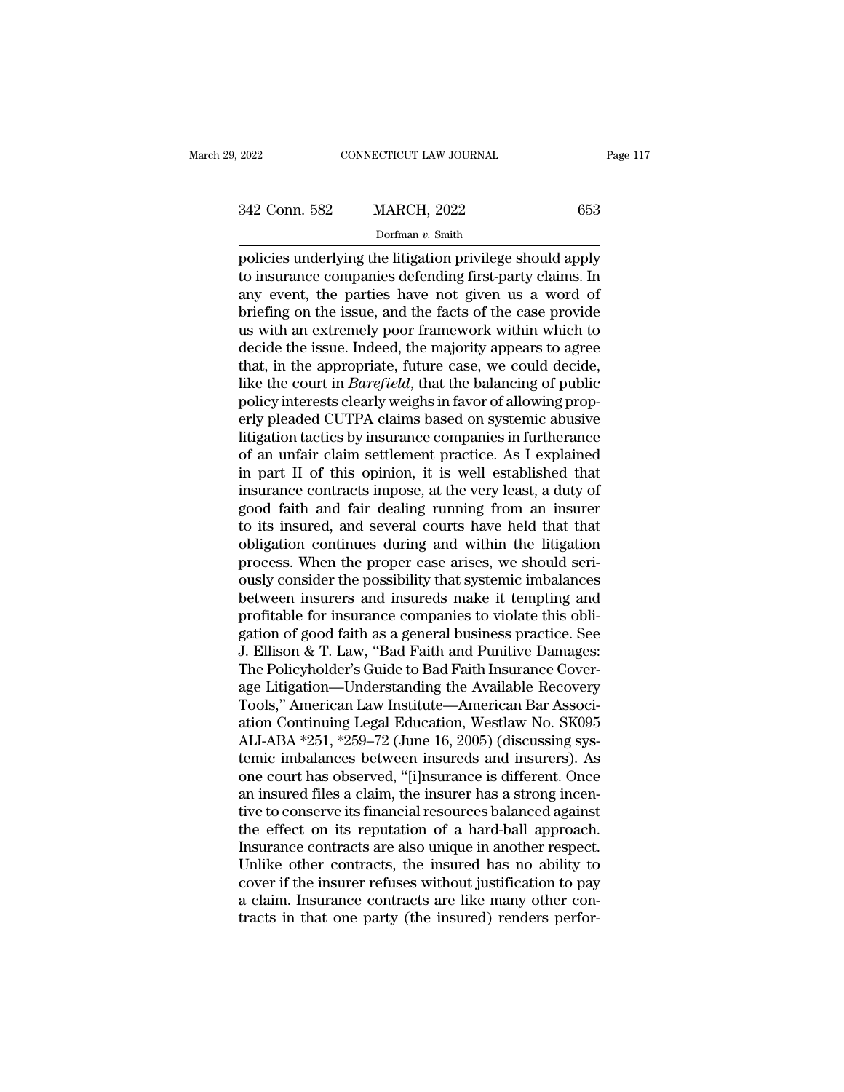Dorfman *v.* Smith

Page 117<br>
2022 Conn. 582 MARCH, 2022 653<br>
Dorfman v. Smith<br>
policies underlying the litigation privilege should apply<br>
to insurance companies defending first-party claims. In<br>
any ovent, the parties have not given us a wor 342 Conn. 582 MARCH, 2022 653<br>Dorfman v. Smith<br>policies underlying the litigation privilege should apply<br>to insurance companies defending first-party claims. In<br>any event, the parties have not given us a word of<br>briefing  $\frac{342 \text{ Conn. } 582}{\text{Dorfman } v. \text{ Smith}}$ <br>
policies underlying the litigation privilege should apply<br>
to insurance companies defending first-party claims. In<br>
any event, the parties have not given us a word of<br>
briefing on the is  $\frac{342 \text{ Conn. } 582}{\text{Dorfman } v. } \frac{653}{\text{Dorfman } v. }$ <br>
policies underlying the litigation privilege should apply<br>
to insurance companies defending first-party claims. In<br>
any event, the parties have not given us a word of<br>
brief Dorfman v. Smith<br>Dorfman v. Smith<br>policies underlying the litigation privilege should apply<br>to insurance companies defending first-party claims. In<br>any event, the parties have not given us a word of<br>briefing on the issue, borman v. Smuth<br>policies underlying the litigation privilege should apply<br>to insurance companies defending first-party claims. In<br>any event, the parties have not given us a word of<br>briefing on the issue, and the facts of t policies underlying the litigation privilege should apply<br>to insurance companies defending first-party claims. In<br>any event, the parties have not given us a word of<br>briefing on the issue, and the facts of the case provide<br> to insurance companies defending first-party claims. In<br>any event, the parties have not given us a word of<br>briefing on the issue, and the facts of the case provide<br>us with an extremely poor framework within which to<br>decide any event, the parties have not given us a word of briefing on the issue, and the facts of the case provide us with an extremely poor framework within which to decide the issue. Indeed, the majority appears to agree that, briefing on the issue, and the facts of the case provide<br>us with an extremely poor framework within which to<br>decide the issue. Indeed, the majority appears to agree<br>that, in the appropriate, future case, we could decide,<br>l us with an extremely poor framework within which to<br>decide the issue. Indeed, the majority appears to agree<br>that, in the appropriate, future case, we could decide,<br>like the court in *Barefield*, that the balancing of publi decide the issue. Indeed, the majority appears to agree<br>that, in the appropriate, future case, we could decide,<br>like the court in *Barefield*, that the balancing of public<br>policy interests clearly weighs in favor of allowi that, in the appropriate, future case, we could decide,<br>like the court in *Barefield*, that the balancing of public<br>policy interests clearly weighs in favor of allowing prop-<br>erly pleaded CUTPA claims based on systemic abu like the court in *Barefield*, that the balancing of public<br>policy interests clearly weighs in favor of allowing prop-<br>erly pleaded CUTPA claims based on systemic abusive<br>litigation tactics by insurance companies in furthe policy interests clearly weighs in favor of allowing properly pleaded CUTPA claims based on systemic abusive<br>litigation tactics by insurance companies in furtherance<br>of an unfair claim settlement practice. As I explained<br>i erly pleaded CUTPA claims based on systemic abusive<br>litigation tactics by insurance companies in furtherance<br>of an unfair claim settlement practice. As I explained<br>in part II of this opinion, it is well established that<br>in litigation tactics by insurance companies in furtherance<br>of an unfair claim settlement practice. As I explained<br>in part II of this opinion, it is well established that<br>insurance contracts impose, at the very least, a duty of an unfair claim settlement practice. As I explained<br>in part II of this opinion, it is well established that<br>insurance contracts impose, at the very least, a duty of<br>good faith and fair dealing running from an insurer<br>to in part II of this opinion, it is well established that<br>insurance contracts impose, at the very least, a duty of<br>good faith and fair dealing running from an insurer<br>to its insured, and several courts have held that that<br>ob insurance contracts impose, at the very least, a duty of<br>good faith and fair dealing running from an insurer<br>to its insured, and several courts have held that that<br>obligation continues during and within the litigation<br>proc good faith and fair dealing running from an insurer<br>to its insured, and several courts have held that that<br>obligation continues during and within the litigation<br>process. When the proper case arises, we should seri-<br>ously c to its insured, and several courts have held that that<br>obligation continues during and within the litigation<br>process. When the proper case arises, we should seri-<br>ously consider the possibility that systemic imbalances<br>bet obligation continues during and within the litigation<br>process. When the proper case arises, we should seri-<br>ously consider the possibility that systemic imbalances<br>between insurers and insureds make it tempting and<br>profita process. When the proper case arises, we should seriously consider the possibility that systemic imbalances<br>between insurers and insureds make it tempting and<br>profitable for insurance companies to violate this obligation o ously consider the possibility that systemic imbalances<br>between insurers and insureds make it tempting and<br>profitable for insurance companies to violate this obli-<br>gation of good faith as a general business practice. See<br>J between insurers and insureds make it tempting and<br>profitable for insurance companies to violate this obli-<br>gation of good faith as a general business practice. See<br>J. Ellison & T. Law, "Bad Faith and Punitive Damages:<br>The profitable for insurance companies to violate this obligation of good faith as a general business practice. See<br>J. Ellison & T. Law, "Bad Faith and Punitive Damages:<br>The Policyholder's Guide to Bad Faith Insurance Cover-<br>a gation of good faith as a general business practice. See<br>J. Ellison & T. Law, "Bad Faith and Punitive Damages:<br>The Policyholder's Guide to Bad Faith Insurance Cover-<br>age Litigation—Understanding the Available Recovery<br>Tool J. Ellison & T. Law, "Bad Faith and Punitive Damages:<br>The Policyholder's Guide to Bad Faith Insurance Cover-<br>age Litigation—Understanding the Available Recovery<br>Tools," American Law Institute—American Bar Associ-<br>ation Con The Policyholder's Guide to Bad Faith Insurance Cover-<br>age Litigation—Understanding the Available Recovery<br>Tools," American Law Institute—American Bar Associ-<br>ation Continuing Legal Education, Westlaw No. SK095<br>ALI-ABA \*25 age Litigation—Understanding the Available Recovery<br>Tools," American Law Institute—American Bar Associ-<br>ation Continuing Legal Education, Westlaw No. SK095<br>ALI-ABA \*251, \*259–72 (June 16, 2005) (discussing sys-<br>temic imbal Tools," American Law Institute—American Bar Association Continuing Legal Education, Westlaw No. SK095<br>ALI-ABA \*251, \*259–72 (June 16, 2005) (discussing systemic imbalances between insureds and insurers). As<br>one court has o ation Continuing Legal Education, Westlaw No. SK095<br>ALI-ABA \*251, \*259–72 (June 16, 2005) (discussing systemic imbalances between insureds and insurers). As<br>one court has observed, "[i]nsurance is different. Once<br>an insure ALI-ABA \*251, \*259–72 (June 16, 2005) (discussing systemic imbalances between insureds and insurers). As<br>one court has observed, "[i]nsurance is different. Once<br>an insured files a claim, the insurer has a strong incen-<br>tiv temic imbalances between insureds and insurers). As<br>one court has observed, "[i]nsurance is different. Once<br>an insured files a claim, the insurer has a strong incen-<br>tive to conserve its financial resources balanced agains one court has observed, "[i]nsurance is different. Once<br>an insured files a claim, the insurer has a strong incen-<br>tive to conserve its financial resources balanced against<br>the effect on its reputation of a hard-ball approa an insured files a claim, the insurer has a strong incentive to conserve its financial resources balanced against<br>the effect on its reputation of a hard-ball approach.<br>Insurance contracts are also unique in another respect tive to conserve its financial resources balanced against<br>the effect on its reputation of a hard-ball approach.<br>Insurance contracts are also unique in another respect.<br>Unlike other contracts, the insured has no ability to<br>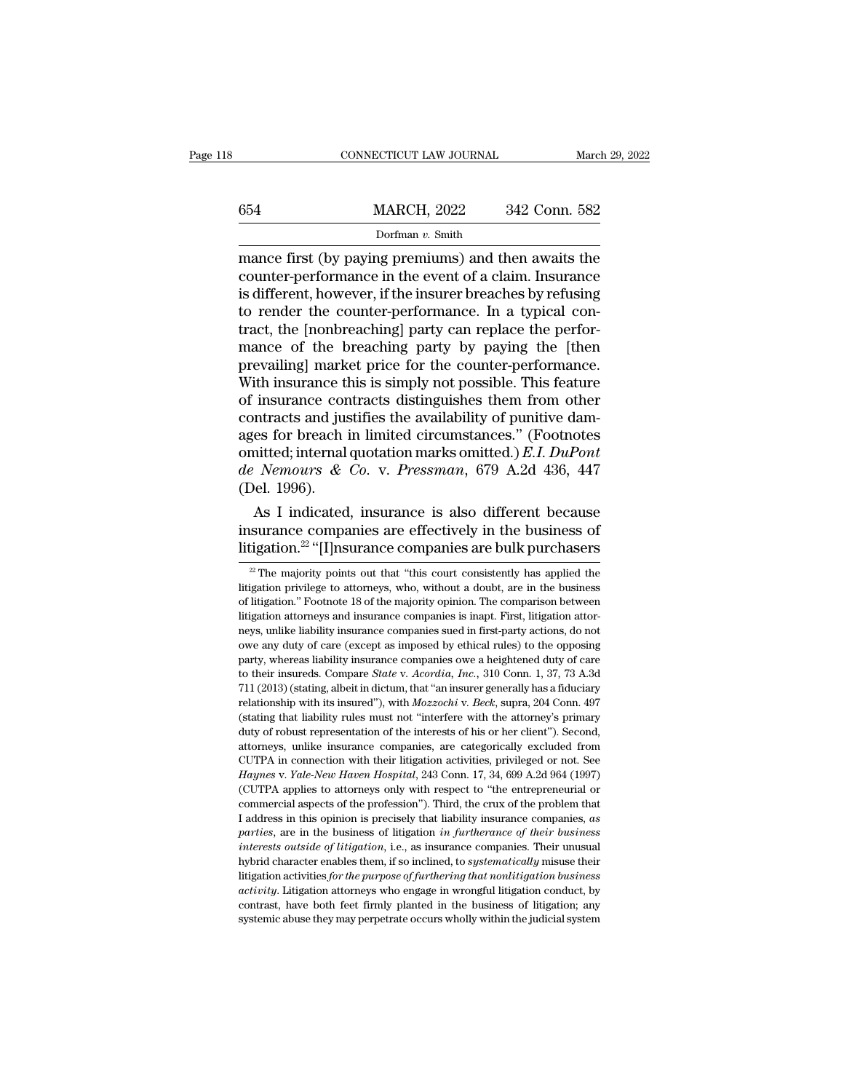|     | CONNECTICUT LAW JOURNAL |               | March 29, 2022 |
|-----|-------------------------|---------------|----------------|
|     |                         |               |                |
| 654 | <b>MARCH, 2022</b>      | 342 Conn. 582 |                |
|     | Dorfman v. Smith        |               |                |

 $\begin{tabular}{ll} \multicolumn{1}{l}{{\bf CONNECTICUT LAW JOURNAL}} & & March 29, 2022 \\ \hline & & {MARCH, 2022} & 342 & Conn. 582 \\ \hline & \multicolumn{1}{l}{\bf Dorfman } v. Smith \\ \hline \end{tabular}$   $\begin{tabular}{ll} {\bf macroF first (by paying premiums) and then awaits the \\ \hline counter-performance in the event of a claim. Insurance \\ \hline is different, however, if the insurer threads by refusing \end{tabular}$ 654 MARCH, 2022 342 Conn. 582<br>Dorfman v. Smith<br>mance first (by paying premiums) and then awaits the<br>counter-performance in the event of a claim. Insurance<br>is different, however, if the insurer breaches by refusing<br>to rende 654 MARCH, 2022 342 Conn. 582<br>
Dorfman v. Smith<br>
mance first (by paying premiums) and then awaits the<br>
counter-performance in the event of a claim. Insurance<br>
is different, however, if the insurer breaches by refusing<br>
to  $\frac{\text{MARCH}}{\text{Dorfman } v. \text{ Smith}}$ <br>
mance first (by paying premiums) and then awaits the<br>
counter-performance in the event of a claim. Insurance<br>
is different, however, if the insurer breaches by refusing<br>
to render the counter-per Dorfman v. Smith<br>Dorfman v. Smith<br>mance first (by paying premiums) and then awaits the<br>counter-performance in the event of a claim. Insurance<br>is different, however, if the insurer breaches by refusing<br>to render the counte Dorfman v. Smith<br>
mance first (by paying premiums) and then awaits the<br>
counter-performance in the event of a claim. Insurance<br>
is different, however, if the insurer breaches by refusing<br>
to render the counter-performance mance first (by paying premiums) and then awaits the<br>counter-performance in the event of a claim. Insurance<br>is different, however, if the insurer breaches by refusing<br>to render the counter-performance. In a typical con-<br>tr counter-performance in the event of a claim. Insurance<br>is different, however, if the insurer breaches by refusing<br>to render the counter-performance. In a typical con-<br>tract, the [nonbreaching] party can replace the perforis different, however, if the insurer breaches by refusing<br>to render the counter-performance. In a typical con-<br>tract, the [nonbreaching] party can replace the perfor-<br>mance of the breaching party by paying the [then<br>preva to render the counter-performance. In a typical con-<br>tract, the [nonbreaching] party can replace the perfor-<br>mance of the breaching party by paying the [then<br>prevailing] market price for the counter-performance.<br>With insu tract, the [nonbreaching] party can replace the performance of the breaching party by paying the [then<br>prevailing] market price for the counter-performance.<br>With insurance this is simply not possible. This feature<br>of insu mance of the breaching party by paying the [then<br>prevailing] market price for the counter-performance.<br>With insurance this is simply not possible. This feature<br>of insurance contracts distinguishes them from other<br>contract prevailing] market price for the counter-performance.<br>With insurance this is simply not possible. This feature<br>of insurance contracts distinguishes them from other<br>contracts and justifies the availability of punitive dam-<br> With insurance the<br>of insurance concontracts and just<br>ages for breach is<br>omitted; internal<br>de Nemours &<br>(Del. 1996).<br>As I indicated msurance contracts distinguishes them from other<br>ntracts and justifies the availability of punitive dam-<br>es for breach in limited circumstances." (Footnotes<br>nitted; internal quotation marks omitted.) *E.I. DuPont*<br>Nemours contracts and justines the availability of punitive dam-<br>ages for breach in limited circumstances." (Footnotes<br>omitted; internal quotation marks omitted.) E.I. DuPont<br>de Nemours & Co. v. Pressman, 679 A.2d 436, 447<br>(Del. ages for breach in limited circumstances." (Foothotes<br>
omitted; internal quotation marks omitted.) E.I. DuPont<br>
de Nemours & Co. v. Pressman, 679 A.2d 436, 447<br>
(Del. 1996).<br>
As I indicated, insurance is also different be

22 The majority points out that "this court consistently has applied the majority points out that "this court consistently has applied the  $\frac{22}{10}$  The majority points out that "this court consistently has applied the i As I indicated, insurance is also different because<br>insurance companies are effectively in the business of<br>litigation.<sup>22</sup> "[I]nsurance companies are bulk purchasers<br> $\frac{2}{x}$  The majority points out that "this court cons

insurance companies are effectively in the business of litigation.<sup>22</sup> "[I]nsurance companies are bulk purchasers  $\frac{1}{2}$  The majority points out that "this court consistently has applied the litigation privilege to att litigation.<sup>22</sup> "[I]nsurance companies are bulk purchasers  $\frac{1}{2}$   $\frac{1}{2}$  The majority points out that "this court consistently has applied the litigation privilege to attorneys, who, without a doubt, are in the busi neys, unlike liability insurance companies sued in first-party actions, do not  $^2$  The majority points out that "this court consistently has applied the litigation privilege to attorneys, who, without a doubt, are in the business of litigation." Footnote 18 of the majority opinion. The comparison b Itigation privilege to attorneys, who, without a doubt, are in the business<br>of litigation." Footnote 18 of the majority opinion. The comparison between<br>litigation attorneys and insurance companies is inapt. First, litigat and Burgetton." Footnote 18 of the majority opinion. The comparison between litigation attorneys and insurance companies is inapt. First, litigation attorneys, unlike liability insurance companies sued in first-party actio litigation attorneys and insurance companies is inapt. First, litigation attorneys, unlike liability insurance companies sued in first-party actions, do not owe any duty of care (except as imposed by ethical rules) to the relationship with its insurance companies sued in first-party actions, do not owe any duty of care (except as imposed by ethical rules) to the opposing party, whereas liability insurance companies owe a heightened duty of (stating that liability insurance companies over a heightened duty of care (except as imposed by ethical rules) to the opposing party, whereas liability insurance companies owe a heightened duty of care to their insureds. party, whereas liability insurance companies owe a heightened duty of care<br>party, whereas liability insurance companies owe a heightened duty of care<br>to their insureds. Compare *State* v. Acordia, Inc., 310 Conn. 1, 37, 7 party, in their insureds. Compare *State* v. *Acordia*, *Inc.*, 310 Conn. 1, 37, 73 A.3d 711 (2013) (stating, albeit in dictum, that "an insurer generally has a fiduciary relationship with its insured"), with *Mozzochi* v.  $711$  (2013) (stating, albeit in dictum, that "an insurer generally has a fiduciary relationship with its insured"), with *Mozzochi* v. *Beck*, supra, 204 Conn. 497 (stating that liability rules must not "interfere with t *Haynes* (stating that liability rules must much means of the attentionship with its insured"), with *Mozzochi* v. *Beck*, supra, 204 Conn. 497 (stating that liability rules must not "interfere with the attorney's primary Cutting that liability rules must not "interfere with the attorney's primary<br>(stating that liability rules must not "interfere with the attorney's primary<br>duty of robust representation of the interests of his or her client duty of robust representation of the interests of his or her client"). Second, attorneys, unlike insurance companies, are categorically excluded from CUTPA in connection with their litigation activities, privileged or not attorneys, unlike insurance companies, are categorically excluded from CUTPA in connection with their litigation activities, privileged or not. See *Haynes* v. *Yale-New Haven Hospital*, 243 Conn. 17, 34, 699 A.2d 964 (199 *Haynes v. Yale-New Haven Hospital*, 243 Conn. 17, 34, 699 A.2d 964 (1997) (CUTPA applies to attorneys only with respect to "the entrepreneurial or commercial aspects of the profession"). Third, the crux of the problem tha (CUTPA applies to attorneys only with respect to "the entrepreneurial or commercial aspects of the profession"). Third, the crux of the problem that I address in this opinion is precisely that liability insurance companies commercial aspects of the profession"). Third, the crux of the problem that I address in this opinion is precisely that liability insurance companies, as parties, are in the business of litigation *in furtherance of their activity*. It is opinion is precisely that liability insurance companies, as parties, are in the business of litigation *in furtherance of their business interests outside of litigation*, i.e., as insurance companies. The parties, are in the business of litigation *in furtherance of their business* interests outside of litigation, i.e., as insurance companies. Their unusual hybrid character enables them, if so inclined, to *systematically* interests outside of litigation, i.e., as insurance companies. Their unusual<br>hybrid character enables them, if so inclined, to systematically misuse their<br>litigation activities for the purpose of furthering that nonlitigat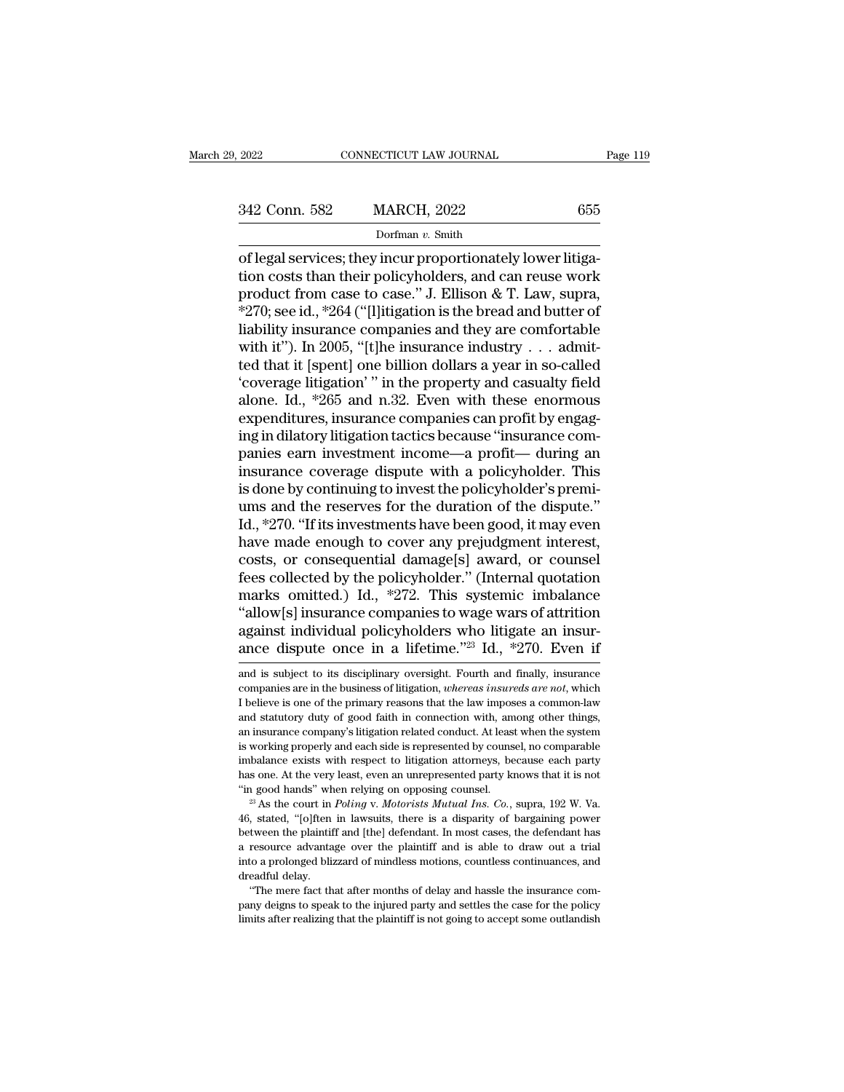Dorfman *v.* Smith

CONNECTICUT LAW JOURNAL<br>
342 Conn. 582 MARCH, 2022 655<br>
Dorfman v. Smith<br>
of legal services; they incur proportionately lower litiga-<br>
tion costs than their policyholders, and can reuse work<br>
product from case to case " LE 342 Conn. 582 MARCH, 2022 655<br>Dorfman v. Smith<br>Of legal services; they incur proportionately lower litiga-<br>tion costs than their policyholders, and can reuse work<br>product from case to case." J. Ellison & T. Law, supra,<br>\*27 342 Conn. 582 MARCH, 2022 655<br>
Dorfman v. Smith<br>
of legal services; they incur proportionately lower litiga-<br>
tion costs than their policyholders, and can reuse work<br>
product from case to case.'' J. Ellison & T. Law, supr 342 Conn. 582 MARCH, 2022 655<br>
Dorfman v. Smith<br>
of legal services; they incur proportionately lower litiga-<br>
tion costs than their policyholders, and can reuse work<br>
product from case to case." J. Ellison & T. Law, supra Dorfman v. Smith<br>
of legal services; they incur proportionately lower litiga-<br>
tion costs than their policyholders, and can reuse work<br>
product from case to case." J. Ellison & T. Law, supra,<br>
\*270; see id., \*264 ("[l]iti Dorfman v. Smith<br>
of legal services; they incur proportionately lower litiga-<br>
tion costs than their policyholders, and can reuse work<br>
product from case to case." J. Ellison & T. Law, supra,<br>
\*270; see id., \*264 ("[l]iti of legal services; they incur proportionately lower litigation costs than their policyholders, and can reuse work<br>product from case to case." J. Ellison & T. Law, supra,<br>\*270; see id., \*264 ("[l]itigation is the bread and tion costs than their policyholders, and can reuse work<br>product from case to case." J. Ellison & T. Law, supra,<br>\*270; see id., \*264 ("[l]itigation is the bread and butter of<br>liability insurance companies and they are comf product from case to case." J. Ellison & T. Law, supra,<br>\*270; see id., \*264 ("[l]itigation is the bread and butter of<br>liability insurance companies and they are comfortable<br>with it"). In 2005, "[t]he insurance industry  $\$ \*270; see id., \*264 ("[l]itigation is the bread and butter of liability insurance companies and they are comfortable with it"). In 2005, "[t]he insurance industry  $\dots$  admitted that it [spent] one billion dollars a year i liability insurance companies and they are comfortable<br>with it"). In 2005, "[t]he insurance industry  $\dots$  admit-<br>ted that it [spent] one billion dollars a year in so-called<br>'coverage litigation' " in the property and casu with it"). In 2005, "[t]he insurance industry  $\ldots$  admitted that it [spent] one billion dollars a year in so-called 'coverage litigation' " in the property and casualty field alone. Id., \*265 and n.32. Even with these en ted that it [spent] one billion dollars a year in so-called<br>
"coverage litigation" " in the property and casualty field<br>
alone. Id., \*265 and n.32. Even with these enormous<br>
expenditures, insurance companies can profit by "coverage litigation" " in the property and casualty field<br>alone. Id., \*265 and n.32. Even with these enormous<br>expenditures, insurance companies can profit by engag-<br>ing in dilatory litigation tactics because "insurance c alone. Id., \*265 and n.32. Even with these enormous<br>expenditures, insurance companies can profit by engag-<br>ing in dilatory litigation tactics because "insurance com-<br>panies earn investment income—a profit— during an<br>insura expenditures, insurance companies can profit by engaging in dilatory litigation tactics because "insurance companies earn investment income—a profit— during an insurance coverage dispute with a policyholder. This is done b ing in dilatory litigation tactics because "insurance companies earn investment income—a profit— during an insurance coverage dispute with a policyholder. This is done by continuing to invest the policyholder's premi-<br>ums panies earn investment income—a profit— during an<br>insurance coverage dispute with a policyholder. This<br>is done by continuing to invest the policyholder's premi-<br>ums and the reserves for the duration of the dispute."<br>Id., insurance coverage dispute with a policyholder. This<br>is done by continuing to invest the policyholder's premi-<br>ums and the reserves for the duration of the dispute."<br>Id., \*270. "If its investments have been good, it may ev is done by continuing to invest the policyholder's premi-<br>ums and the reserves for the duration of the dispute."<br>Id., \*270. "If its investments have been good, it may even<br>have made enough to cover any prejudgment interest ums and the reserves for the duration of the dispute."<br>Id., \*270. "If its investments have been good, it may even<br>have made enough to cover any prejudgment interest,<br>costs, or consequential damage[s] award, or counsel<br>fee Id., \*270. "If its investments have been good, it may even<br>have made enough to cover any prejudgment interest,<br>costs, or consequential damage[s] award, or counsel<br>fees collected by the policyholder." (Internal quotation<br>m have made enough to cover any prejudgment interest,<br>costs, or consequential damage[s] award, or counsel<br>fees collected by the policyholder." (Internal quotation<br>marks omitted.) Id., \*272. This systemic imbalance<br>"allow[s] marks omitted.) Id., \*272. This systemic imbalance<br>
"allow[s] insurance companies to wage wars of attrition<br>
against individual policyholders who litigate an insur-<br>
ance dispute once in a lifetime."<sup>23</sup> Id., \*270. Even i "allow[s] insurance companies to wage wars of attrition<br>against individual policyholders who litigate an insur-<br>ance dispute once in a lifetime."<sup>23</sup> Id., \*270. Even if<br>and is subject to its disciplinary oversight. Fourth

against individual policyholders who litigate an insur-<br>ance dispute once in a lifetime."<sup>23</sup> Id., \*270. Even if<br>and is subject to its disciplinary oversight. Fourth and finally, insurance<br>companies are in the business of and statutory due in a lifetime.<sup>723</sup> Id.,  $*270$ . Even if<br>and is subject to its disciplinary oversight. Fourth and finally, insurance<br>companies are in the business of litigation, *whereas insureds are not*, which<br>I belie ance dispute once in a methine. The system in and is subject to its disciplinary oversight. Fourth and finally, insurance companies are in the business of litigation, *whereas insureds are not*, which I believe is one of t and is subject to its disciplinary oversight. Fourth and finally, insurance companies are in the business of litigation, *whereas insureds are not*, which I believe is one of the primary reasons that the law imposes a comm companies are in the business of litigation, *whereas insureds are not*, which<br>I believe is one of the primary reasons that the law imposes a common-law<br>and statutory duty of good faith in connection with, among other thin I believe is one of the primary reasons that the law imposes a common-law<br>and statutory duty of good faith in connection with, among other things,<br>an insurance company's litigation related conduct. At least when the system and statutory duty of good faith in connection with, among other things, an insurance company's litigation related conduct. At least when the system is working properly and each side is represented by counsel, no comparabl is working properly and each side is represented by counsel, no comparable imbalance exists with respect to litigation attorneys, because each party thas one. At the very least, even an unrepresented party knows that it i

imbalance exists with respect to litigation attorneys, because each party<br>has one. At the very least, even an unrepresented party knows that it is not<br>"in good hands" when relying on opposing counsel.<br>"<sup>23</sup> As the court i The same of the very least, even an unrepresented party knows that it is not<br>
"in good hands" when relying on opposing counsel.<br>
"<sup>3</sup> As the court in *Poling v. Motorists Mutual Ins. Co.*, supra, 192 W. Va.<br>
46, stated, " <sup>23</sup> As the court in *Poling* on opposing counsel.<br><sup>23</sup> As the court in *Poling* v. *Motorists Mutual Ins. Co.*, supra, 192 W. Va.<br>46, stated, "[o]ften in lawsuits, there is a disparity of bargaining power<br>between the pla as as the court in a<br>
<sup>23</sup> As the court in .<br>
46, stated, "[o]ften<br>
between the plaintif<br>
a resource advanta,<br>
into a prolonged bliz<br>
dreadful delay.<br>
"The mere fact th Figure 1.1 At that after months of delay and hassle the insurance com-<br>tween the plaintiff and [the] defendant. In most cases, the defendant has<br>resource advantage over the plaintiff and is able to draw out a trial<br>to a pr party of the inturnation of the inturnation of the interaction of the interaction of the paintiff and is a provide a resource advantage over the plaintiff and is able to draw out a trial into a prolonged blizzard of mindle between the plaintiff and [the] defendant. In most cases, the defendant has<br>a resource advantage over the plaintiff and is able to draw out a trial<br>into a prolonged blizzard of mindless motions, countless continuances, and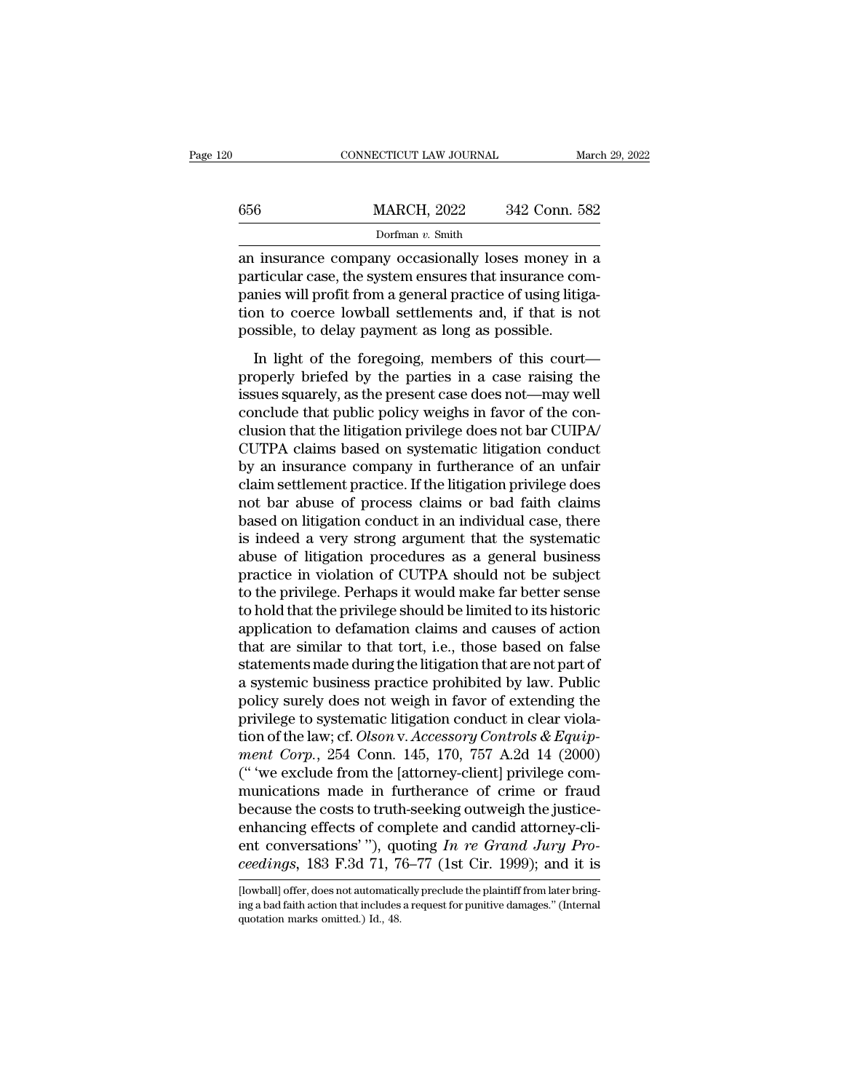| 20 |     | CONNECTICUT LAW JOURNAL | March 29, 2022 |
|----|-----|-------------------------|----------------|
|    | 656 | <b>MARCH, 2022</b>      | 342 Conn. 582  |
|    |     | Dorfman $v$ . Smith     |                |

656 MARCH, 2022 342 Conn. 582<br>
Dorfman v. Smith<br>
an insurance company occasionally loses money in a<br>
particular case, the system ensures that insurance com-<br>
panies will profit from a general practice of using litiga-<br>
tio  $\frac{\text{MARCH}}{\text{Dorfman } v \cdot \text{Smith}}$ <br>Dorfman  $v \cdot \text{Smith}}$ <br>an insurance company occasionally loses money in a particular case, the system ensures that insurance companies will profit from a general practice of using litigation to coerc  $\begin{tabular}{ll} \multicolumn{1}{l}{{\textbf{MARCH, 2022}}} & \multicolumn{1}{l}{342}\,\,{\rm Conn.}\,\,582 \\\hline \hline \multicolumn{1}{l}{\textbf{Dorfman }v.}\,\, \multicolumn{1}{l}{\textbf{Smith}} \\\hline \multicolumn{1}{l}{\textbf{an}}\,\, \textbf{in} \textbf{surance}\,\, \textbf{company}\,\, \textbf{occas} \textbf{ionally}\,\, \textbf{loss}\,\, \textbf{money}\,\, \textbf{in}\,\, \textbf{a} \\\hline \textbf{particular case, the system ensures that insurance companies will profit from a general practice of using$ portman v. Smith<br>Dorfman v. Smith<br>particular case, the system ensures that insurance con<br>panies will profit from a general practice of using litig<br>tion to coerce lowball settlements and, if that is n<br>possible, to delay pay In surance company occasionally loses money in a<br>Inticular case, the system ensures that insurance com-<br>Inies will profit from a general practice of using litiga-<br>In to coerce lowball settlements and, if that is not<br>Sisibl an modulate company occusionally loses money in a<br>particular case, the system ensures that insurance com-<br>panies will profit from a general practice of using litiga-<br>tion to coerce lowball settlements and, if that is not<br>p

paraceatar ease, are system ensures and insurance companies will profit from a general practice of using litigation to coerce lowball settlements and, if that is not possible, to delay payment as long as possible.<br>In light pulses will profit from a general practice of doing higher<br>tion to coerce lowball settlements and, if that is not<br>propsible, to delay payment as long as possible.<br>In light of the foregoing, members of this court-<br>properly possible, to delay payment as long as possible.<br>In light of the foregoing, members of this court—<br>properly briefed by the parties in a case raising the<br>issues squarely, as the present case does not—may well<br>conclude that p In light of the foregoing, members of this court—<br>properly briefed by the parties in a case raising the<br>issues squarely, as the present case does not—may well<br>conclude that public policy weighs in favor of the con-<br>clusion In light of the foregoing, members of this court—<br>properly briefed by the parties in a case raising the<br>issues squarely, as the present case does not—may well<br>conclude that public policy weighs in favor of the con-<br>clusion properly briefed by the parties in a case raising the<br>issues squarely, as the present case does not—may well<br>conclude that public policy weighs in favor of the con-<br>clusion that the litigation privilege does not bar CUIPA/ issues squarely, as the present case does not—may well<br>conclude that public policy weighs in favor of the con-<br>clusion that the litigation privilege does not bar CUIPA/<br>CUTPA claims based on systematic litigation conduct<br>b conclude that public policy weighs in favor of the conclusion that the litigation privilege does not bar CUIPA/<br>CUTPA claims based on systematic litigation conduct<br>by an insurance company in furtherance of an unfair<br>claim clusion that the litigation privilege does not bar CUIPA/<br>CUTPA claims based on systematic litigation conduct<br>by an insurance company in furtherance of an unfair<br>claim settlement practice. If the litigation privilege does<br> CUTPA claims based on systematic litigation conduct<br>by an insurance company in furtherance of an unfair<br>claim settlement practice. If the litigation privilege does<br>not bar abuse of process claims or bad faith claims<br>based by an insurance company in furtherance of an unfair<br>claim settlement practice. If the litigation privilege does<br>not bar abuse of process claims or bad faith claims<br>based on litigation conduct in an individual case, there<br>i claim settlement practice. If the litigation privilege does<br>not bar abuse of process claims or bad faith claims<br>based on litigation conduct in an individual case, there<br>is indeed a very strong argument that the systematic<br> not bar abuse of process claims or bad faith claims<br>based on litigation conduct in an individual case, there<br>is indeed a very strong argument that the systematic<br>abuse of litigation procedures as a general business<br>practic based on litigation conduct in an individual case, there<br>is indeed a very strong argument that the systematic<br>abuse of litigation procedures as a general business<br>practice in violation of CUTPA should not be subject<br>to the is indeed a very strong argument that the systematic<br>abuse of litigation procedures as a general business<br>practice in violation of CUTPA should not be subject<br>to the privilege. Perhaps it would make far better sense<br>to hol abuse of litigation procedures as a general business<br>practice in violation of CUTPA should not be subject<br>to the privilege. Perhaps it would make far better sense<br>to hold that the privilege should be limited to its histori practice in violation of CUTPA should not be subject<br>to the privilege. Perhaps it would make far better sense<br>to hold that the privilege should be limited to its historic<br>application to defamation claims and causes of acti to the privilege. Perhaps it would make far better sense<br>to hold that the privilege should be limited to its historic<br>application to defamation claims and causes of action<br>that are similar to that tort, i.e., those based o to hold that the privilege should be limited to its historic<br>application to defamation claims and causes of action<br>that are similar to that tort, i.e., those based on false<br>statements made during the litigation that are n application to defamation claims and causes of action<br>that are similar to that tort, i.e., those based on false<br>statements made during the litigation that are not part of<br>a systemic business practice prohibited by law. Pub that are similar to that tort, i.e., those based on false<br>statements made during the litigation that are not part of<br>a systemic business practice prohibited by law. Public<br>policy surely does not weigh in favor of extending statements made during the litigation that are not part of<br>a systemic business practice prohibited by law. Public<br>policy surely does not weigh in favor of extending the<br>privilege to systematic litigation conduct in clear v a systemic business practice prohibited by law. Public<br>policy surely does not weigh in favor of extending the<br>privilege to systematic litigation conduct in clear viola-<br>tion of the law; cf. *Olson* v. *Accessory Controls &* policy surely does not weigh in favor of extending the privilege to systematic litigation conduct in clear violation of the law; cf. *Olson* v. *Accessory Controls & Equipment Corp.*, 254 Conn. 145, 170, 757 A.2d 14 (2000 privilege to systematic litigation conduct in clear violation of the law; cf. *Olson v. Accessory Controls & Equipment Corp.*, 254 Conn. 145, 170, 757 A.2d 14 (2000) (" 'we exclude from the [attorney-client] privilege com tion of the law; cf. *Olson* v. *Accessory Controls & Equipment Corp.*, 254 Conn. 145, 170, 757 A.2d 14 (2000) (" 'we exclude from the [attorney-client] privilege communications made in furtherance of crime or fraud becaus ment Corp., 254 Conn. 145, 170, 757 A.2d 14 (2000)<br>(" 'we exclude from the [attorney-client] privilege com-<br>munications made in furtherance of crime or fraud<br>because the costs to truth-seeking outweigh the justice-<br>enhanci because the costs to truth-seeking outweigh the justice-<br>enhancing effects of complete and candid attorney-cli-<br>ent conversations'"), quoting  $In$  re Grand Jury Pro-<br>ceedings, 183 F.3d 71, 76–77 (1st Cir. 1999); and it is<br> enhancing effects of complete and candid attorney-cli-<br>ent conversations'''), quoting  $In$  re Grand Jury Pro-<br>ceedings, 183 F.3d 71, 76–77 (1st Cir. 1999); and it is<br>[lowball] offer, does not automatically preclude the pla

ent conversations' ''), quodent conversations' ''), quodent charge contractions (low<br>ball offer, does not automatic ing a bad faith action that includes<br>quotation marks omitted.) Id., 48.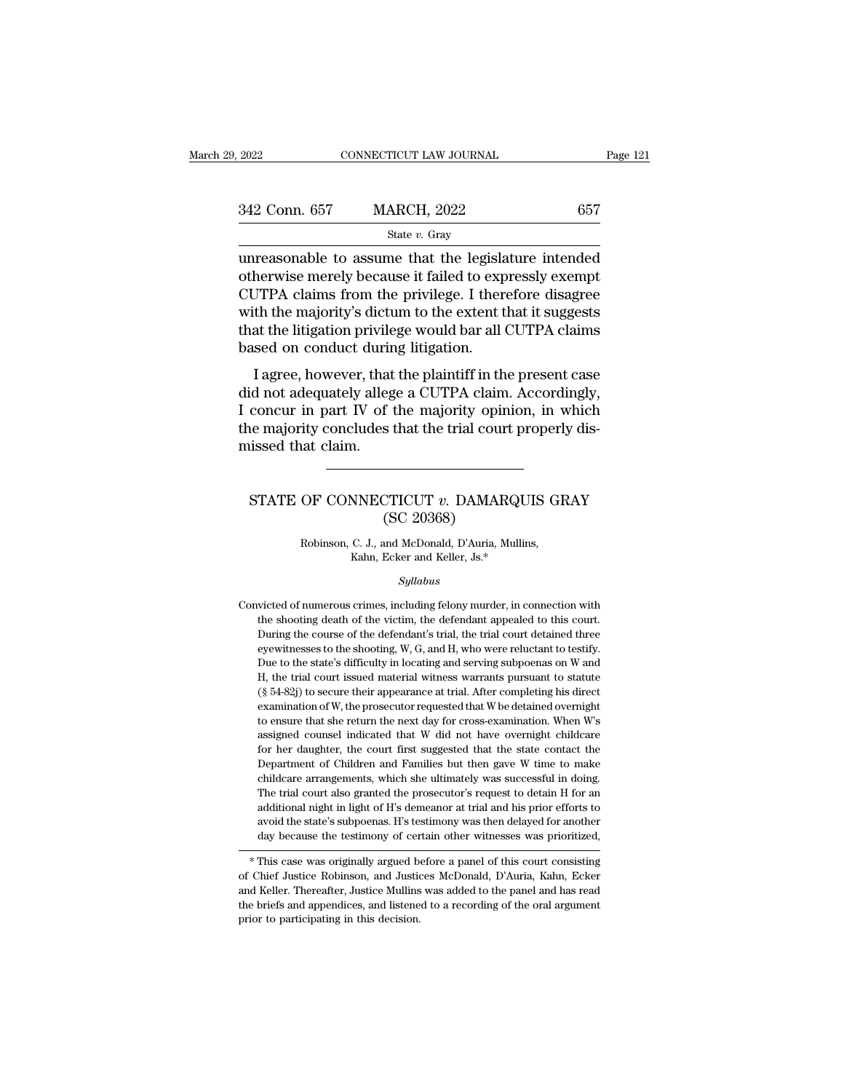| 2022          | CONNECTICUT LAW JOURNAL | Page 121 |  |
|---------------|-------------------------|----------|--|
|               |                         |          |  |
| 342 Conn. 657 | <b>MARCH, 2022</b>      | 657      |  |
|               | State $v$ . Gray        |          |  |

unreasonable to assume that the legislature intended  $\begin{array}{r} \text{342 Conn. 657} \text{MARCH, 2022} \text{657} \end{array}$ <br>  $\begin{array}{r} \text{state } v. \text{ Gray} \end{array}$ <br>
unreasonable to assume that the legislature intended<br>
otherwise merely because it failed to expressly exempt<br>
CUTPA claims from the privilege. I  $\frac{\text{342 Conn. 657}}{\text{State } v. \text{ Gray}}$  657<br>
unreasonable to assume that the legislature intended<br>
otherwise merely because it failed to expressly exempt<br>
CUTPA claims from the privilege. I therefore disagree<br>
with the majority's d  $\frac{\text{342 Conn. 657}}{\text{state } v. \text{ Gray}}$ <br>
unreasonable to assume that the legislature intended<br>
otherwise merely because it failed to expressly exempt<br>
CUTPA claims from the privilege. I therefore disagree<br>
with the majority's dictu Since 2011, 2011<br>
State v. Gray<br>
In the legislature intended<br>
otherwise merely because it failed to expressly exempt<br>
CUTPA claims from the privilege. I therefore disagree<br>
with the majority's dictum to the extent that it  $\begin{array}{l} \text{state $v$ } \text{Gray} \\ \text{unreasonable to assume that the legisl} \\ \text{otherwise merely because it failed to exp} \\ \text{CUTPA claims from the private } \text{t} \\ \text{with the majority's dictum to the extent that the litigation, the private model \\ \text{based on conduct during litigation.} \\ \text{I agree, however, that the plaintiff in the input } \text{t} \\ \end{array}$ I also<br>havise merely because it failed to expressly exempt<br>JTPA claims from the privilege. I therefore disagree<br>th the majority's dictum to the extent that it suggests<br>at the litigation privilege would bar all CUTPA claim outer wise increry because it rance to expressiy exempt<br>CUTPA claims from the privilege. I therefore disagree<br>with the majority's dictum to the extent that it suggests<br>that the litigation privilege would bar all CUTPA clai

COTTA claims from the privinge. I therefore usagree<br>with the majority's dictum to the extent that it suggests<br>that the litigation privilege would bar all CUTPA claims<br>based on conduct during litigation.<br>I agree, however, t which the hidgority's dictum to the extent that it suggests<br>that the litigation privilege would bar all CUTPA claims<br>based on conduct during litigation.<br>I agree, however, that the plaintiff in the present case<br>did not adeq that the migation privile<br>based on conduct during<br>did not adequately alleged<br>that claim.<br>the majority concludes<br>missed that claim. % id not adequately allege a CUTPA claim. Accordingly,<br>concur in part IV of the majority opinion, in which<br>he majority concludes that the trial court properly dis-<br>issed that claim.<br>STATE OF CONNECTICUT v. DAMARQUIS GRAY<br>( f the majority opin<br>s that the trial cour<br>CTICUT v. DAMAR<br>(SC 20368)<br>and McDonald, D'Auria, M

## OF CONNECTICUT v. DAMARQUIS GI<br>
(SC 20368)<br>
Robinson, C. J., and McDonald, D'Auria, Mullins,<br>
Kahn, Ecker and Keller, Js.\* **NNECTICUT**  $v$ **. DAMARQU.**<br>
(SC 20368)<br>
C. J., and McDonald, D'Auria, Mullins<br>
Kahn, Ecker and Keller, Js.\*<br>
Sullabus

#### *Syllabus*

Robinson, C. J., and McDonald, D'Auria, Mullins,<br>Kahn, Ecker and Keller, Js.\*<br>Syllabus<br>Convicted of numerous crimes, including felony murder, in connection with<br>the shooting death of the victim, the defendant appealed to t Robinson, C. J., and McDonald, D'Auria, Mullins,<br>Kahn, Ecker and Keller, Js.\*<br>Syllabus<br>victed of numerous crimes, including felony murder, in connection with<br>the shooting death of the victim, the defendant appealed to thi  $\label{eq:Kahn} \begin{array}{ll} \text{Kahn, Ecker and Keller, Js.*}\\ \text{Syllabus} \end{array}$   $\begin{array}{ll} \text{Syllabus} \end{array}$  <br> wicted of numerous crimes, including felony murder, in connection with the shooting death of the victim, the defendant appealed to this court.<br> <br> During Syllabus<br>wicted of numerous crimes, including felony murder, in connection with<br>the shooting death of the victim, the defendant appealed to this court.<br>During the course of the defendant's trial, the trial court detained t Syltabus<br>
Syltabus<br>
victed of numerous crimes, including felony murder, in connection with<br>
the shooting death of the victim, the defendant appealed to this court.<br>
During the course of the defendant's trial, the trial cou victed of numerous crimes, including felony murder, in connection with<br>the shooting death of the victim, the defendant appealed to this court.<br>During the course of the defendant's trial, the trial court detained three<br>eyew The shooting death of the victim, the defendant appealed to this court.<br>
During the course of the defendant's trial, the trial court detained three<br>
eyewitnesses to the shooting, W, G, and H, who were reluctant to testify Eventy Bourse of the defendant's trial, the trial court detained three eyewitnesses to the shooting, W, G, and H, who were reluctant to testify. Due to the state's difficulty in locating and serving subpoenas on W and H, t Everythesses to the shooting, W, G, and H, who were reluctant to testify.<br>Due to the state's difficulty in locating and serving subpoenas on W and<br>H, the trial court issued material witness warrants pursuant to statute<br> $(\$ Due to the state's difficulty in locating and serving subpoenas on W and H, the trial court issued material witness warrants pursuant to statute  $(\S 54-82j)$  to secure their appearance at trial. After completing his direc  $H$ , the trial court issued material witness warrants pursuant to statute (§ 54-82j) to secure their appearance at trial. After completing his direct examination of W, the prosecutor requested that W be detained overnight (§ 54-82j) to secure their appearance at trial. After completing his direct examination of W, the prosecutor requested that W be detained overnight to ensure that she return the next day for cross-examination. When W's as examination of W, the prosecutor requested that W be detained overnight to ensure that she return the next day for cross-examination. When W's assigned counsel indicated that W did not have overnight childcare for her daug to ensure that she return the next day for cross-examination. When W's assigned counsel indicated that W did not have overnight childcare for her daughter, the court first suggested that the state contact the Department of assigned counsel indicated that W did not have overnight childcare for her daughter, the court first suggested that the state contact the Department of Children and Families but then gave W time to make childcare arrangeme avoid for her daughter, the court first suggested that the state contact the Department of Children and Families but then gave W time to make childcare arrangements, which she ultimately was successful in doing. The trial deall the testimony of certain other witnesses was prioritized, the testimony of certain other witness was prioritized,  $*$  This case was originally argued before a panel of this court consisting Chief Justice Robinson, an Ine trial court also granted the prosectuor's request to detain H for an additional night in light of H's demeanor at trial and his prior efforts to avoid the state's subpoenas. H's testimony was then delayed for another d

and Keller. Thereafter, Justice Mullins was added to the panel and has ready because the testimony of certain other witnesses was prioritized,<br>
<sup>\*</sup> This case was originally argued before a panel of this court consisting<br>
o about the state's subpoents. It is test<br>into the witnesses was prioritized,<br> $*$  This case was originally argued before a panel of this court consisting<br>of Chief Justice Robinson, and Justices McDonald, D'Auria, Kahn, Ecker as because the test<br>into your certain and the set of Chief Justice Robinson, and Justice<br>and Keller. Thereafter, Justice Mullins<br>the briefs and appendices, and listene<br>prior to participating in this decision.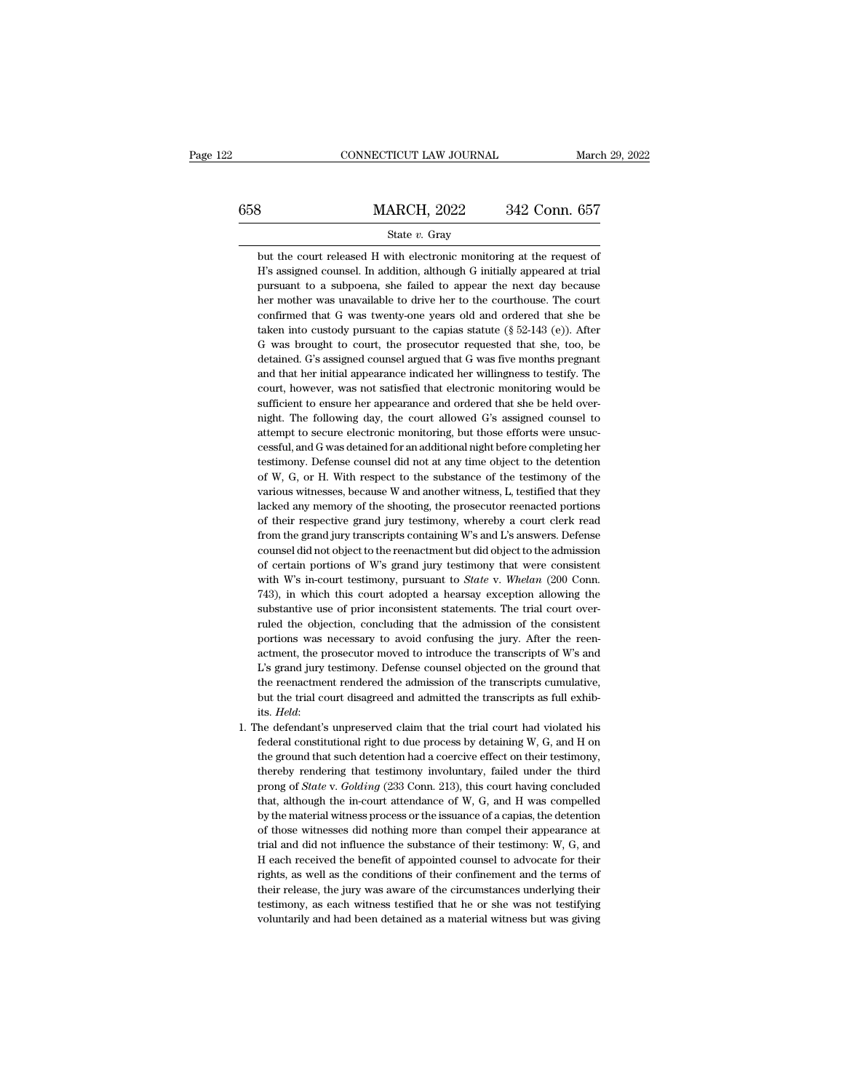## $\begin{tabular}{l l l l} \multicolumn{2}{c}{\text{CONNECTICUT LAW JOURNAL}} & \multicolumn{2}{c}{\text{March 29, 2022}}\\ \hline \end{tabular}$ State *v.* Gray MARCH, 2022 342 Conn. 657<br>
State v. Gray<br>
but the court released H with electronic monitoring at the request of<br>
H's assigned counsel. In addition, although G initially appeared at trial

 $\frac{\text{MARCH}}{\text{State } v. \text{ Gray}}$ <br>
but the court released H with electronic monitoring at the request of H's assigned counsel. In addition, although G initially appeared at trial pursuant to a subpoena, she failed to appear the next **PURSUE ALTE SET SAMALLER SET SET SET SET SAMALLER SET SURFERING THE CONTEX SAMALLER SURFERIST AND SURFERISH SURFERISH AND PURSUART DETAIL PURSUART AND PURSUART THE NEXT DETAIL PURSUART THE NEXT DETAIL AND SURFERISH AND S** State v. Gray<br>
but the court released H with electronic monitoring at the request of<br>
H's assigned counsel. In addition, although G initially appeared at trial<br>
pursuant to a subpoena, she failed to appear the next day bec State v. Gray<br>but the court released H with electronic monitoring at the request of<br>H's assigned counsel. In addition, although G initially appeared at trial<br>pursuant to a subpoena, she failed to appear the next day becau but the court released H with electronic monitoring at the request of H's assigned counsel. In addition, although G initially appeared at trial pursuant to a subpoena, she failed to appear the next day because her mother w H's assigned counsel. In addition, although G initially appeared at trial pursuant to a subpoena, she failed to appear the next day because her mother was unavailable to drive her to the courthouse. The court confirmed th pursuant to a subpoena, she failed to appear the next day because<br>her mother was unavailable to drive her to the courthouse. The court<br>confirmed that G was twenty-one years old and ordered that she be<br>taken into custody pu her mother was unavailable to drive her to the courthouse. The court<br>confirmed that G was twenty-one years old and ordered that she be<br>taken into custody pursuant to the capias statute  $(\S 52-143 (e))$ . After<br>G was brought confirmed that G was twenty-one years old and ordered that she be taken into custody pursuant to the capias statute ( $\S$  52-143 (e)). After G was brought to court, the prosecutor requested that she, too, be detained. G's confirmed that G was twenty-one years old and ordered that she be taken into custody pursuant to the capias statute  $(\S 52-143$  (e)). After G was brought to court, the prosecutor requested that she, too, be detained. G's G was brought to court, the prosecutor requested that she, too, be detained. G's assigned counsel argued that G was five months pregnant and that her initial appearance indicated her willingness to testify. The court, howe detained. G's assigned counsel argued that G was five months pregnant and that her initial appearance indicated her willingness to testify. The court, however, was not satisfied that electronic monitoring would be suffici and that her initial appearance indicated her willingness to testify. The court, however, was not satisfied that electronic monitoring would be sufficient to ensure her appearance and ordered that she be held over-<br>night. court, however, was not satisfied that electronic monitoring would be sufficient to ensure her appearance and ordered that she be held over-<br>night. The following day, the court allowed G's assigned counsel to<br>attempt to se sufficient to ensure her appearance and ordered that she be held over-<br>night. The following day, the court allowed G's assigned counsel to<br>attempt to secure electronic monitoring, but those efforts were unsuc-<br>cessful, and night. The following day, the court allowed G's assigned counsel to<br>attempt to secure electronic monitoring, but those efforts were unsuc-<br>cessful, and G was detained for an additional night before completing her<br>testimony attempt to secure electronic monitoring, but those efforts were unsuccessful, and G was detained for an additional night before completing her testimony. Defense counsel did not at any time object to the detention of W, G, cessful, and G was detained for an additional night before completing her testimony. Defense counsel did not at any time object to the detention of W, G, or H. With respect to the substance of the testimony of the various testimony. Defense counsel did not at any time object to the detention of W, G, or H. With respect to the substance of the testimony of the various witnesses, because W and another witness, L, testified that they lacked an of W, G, or H. With respect to the substance of the testimony of the various witnesses, because W and another witness, L, testified that they lacked any memory of the shooting, the prosecutor reenacted portions of their re various witnesses, because W and another witness, L, testified that they lacked any memory of the shooting, the prosecutor reenacted portions of their respective grand jury testimony, whereby a court clerk read from the gr lacked any memory of the shooting, the prosecutor reenacted portions<br>of their respective grand jury testimony, whereby a court clerk read<br>from the grand jury transcripts containing W's and L's answers. Defense<br>counsel did of their respective grand jury testimony, whereby a court clerk read<br>from the grand jury transcripts containing W's and L's answers. Defense<br>counsel did not object to the reenactment but did object to the admission<br>of cert from the grand jury transcripts containing W's and L's answers. Defense counsel did not object to the reenactment but did object to the admission of certain portions of W's grand jury testimony that were consistent with W counsel did not object to the reenactment but did object to the admission<br>of certain portions of W's grand jury testimony that were consistent<br>with W's in-court testimony, pursuant to *State* v. *Whelan* (200 Conn.<br>743), i of certain portions of W's grand jury testimony that were consistent with W's in-court testimony, pursuant to *State* v. *Whelan* (200 Conn. 743), in which this court adopted a hearsay exception allowing the substantive u with W's in-court testimony, pursuant to *State v. Whelan* (200 Conn. 743), in which this court adopted a hearsay exception allowing the substantive use of prior inconsistent statements. The trial court overruled the obje 743), in which this court adopted a hearsay exception allowing the substantive use of prior inconsistent statements. The trial court over-<br>ruled the objection, concluding that the admission of the consistent<br>portions was n substantive use of prior inconsistent statements. The trial court over-<br>ruled the objection, concluding that the admission of the consistent<br>portions was necessary to avoid confusing the jury. After the reen-<br>actment, the portions was necessary to avoid confusing the jury. After the reen-<br>actment, the prosecutor moved to introduce the transcripts of W's and<br>L's grand jury testimony. Defense counsel objected on the ground that<br>the reenactme its. *Held*: Its. *Held*: **Held**: **Held**: **Held**: **Held**: **Held**: **Held**: **Held**: **Held**: **Held**: **Held**: **Held**: **Held**: **Held**: **Held**: **Held**: **Held**: **Held**: **Held**: **Held**: **Held**: **Held**: **Held**: **Held**: **Held**: **Hel** L's grand jury testimony. Defense counsel objected on the ground that<br>the reenactment rendered the admission of the transcripts cumulative,<br>but the trial court disagreed and admitted the transcripts as full exhib-<br>its. *He* 

the reenactment rendered the admission of the transcripts cumulative,<br>but the trial court disagreed and admitted the transcripts as full exhib-<br>its. *Held*:<br>he defendant's unpreserved claim that the trial court had violate but the trial court disagreed and admitted the transcripts as full exhibits. *Held*:<br>the defendant's unpreserved claim that the trial court had violated his<br>federal constitutional right to due process by detaining W, G, an its. *Held*:<br>he defendant's unpreserved claim that the trial court had violated his<br>federal constitutional right to due process by detaining W, G, and H on<br>the ground that such detention had a coercive effect on their test he defendant's unpreserved claim that the trial court had violated his federal constitutional right to due process by detaining W, G, and H on the ground that such detention had a coercive effect on their testimony, thereb federal constitutional right to due process by detaining W, G, and H on<br>the ground that such detention had a coercive effect on their testimony,<br>thereby rendering that testimony involuntary, failed under the third<br>prong of the ground that such detention had a coercive effect on their testimony, thereby rendering that testimony involuntary, failed under the third prong of *State* v. *Golding* (233 Conn. 213), this court having concluded that, thereby rendering that testimony involuntary, failed under the third<br>prong of *State* v. *Golding* (233 Conn. 213), this court having concluded<br>that, although the in-court attendance of W, G, and H was compelled<br>by the mat prong of *State* v. *Golding* (233 Conn. 213), this court having concluded that, although the in-court attendance of W, G, and H was compelled by the material witness process or the issuance of a capias, the detention of that, although the in-court attendance of W, G, and H was compelled<br>by the material witness process or the issuance of a capias, the detention<br>of those witnesses did nothing more than compel their appearance at<br>trial and d by the material witness process or the issuance of a capias, the detention<br>of those witnesses did nothing more than compel their appearance at<br>trial and did not influence the substance of their testimony: W, G, and<br>H each of those witnesses did nothing more than compel their appearance at trial and did not influence the substance of their testimony: W, G, and H each received the benefit of appointed counsel to advocate for their rights, as trial and did not influence the substance of their testimony: W, G, and H each received the benefit of appointed counsel to advocate for their rights, as well as the conditions of their confinement and the terms of their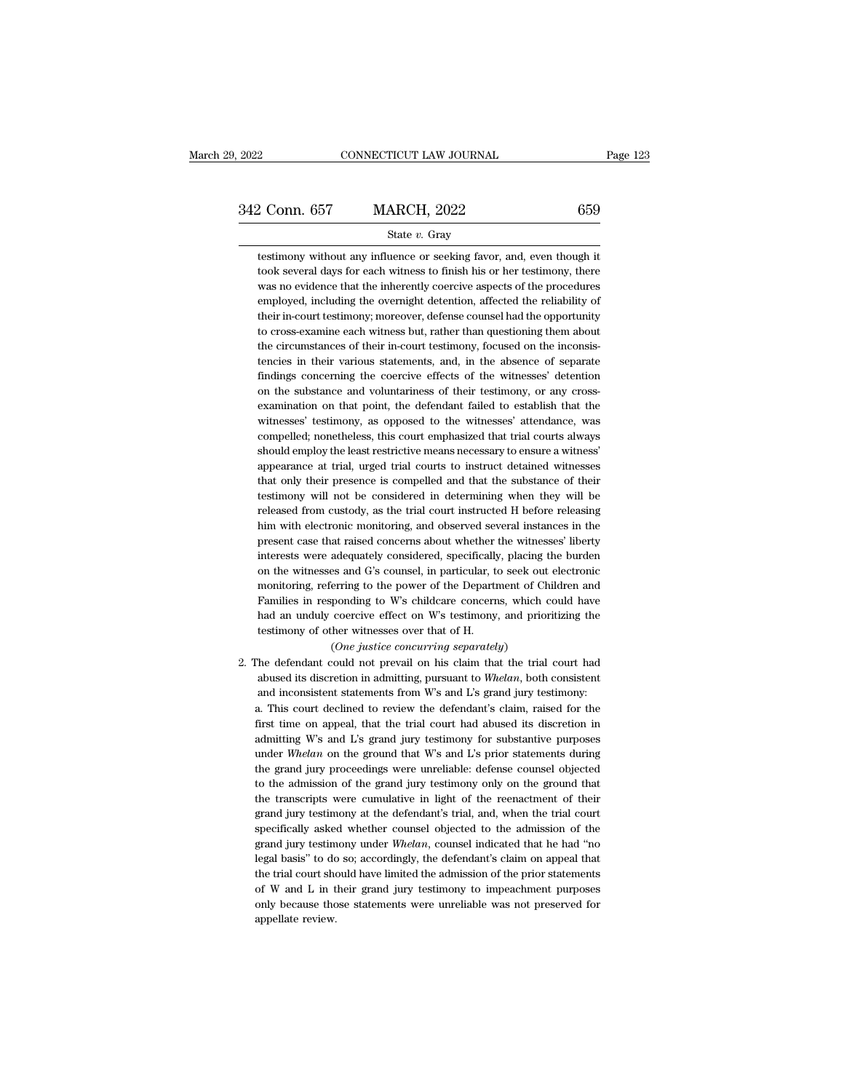2 Conn. 657 MARCH, 2022 659<br>
State v. Gray<br>
testimony without any influence or seeking favor, and, even though it<br>
took several days for each witness to finish his or her testimony, there  $\begin{array}{ll} \textbf{2} \textbf{1} & \textbf{1} & \textbf{1} & \textbf{1} & \textbf{1} \\ \textbf{2} & \textbf{2} & \textbf{3} & \textbf{1} & \textbf{1} \\ \textbf{3} & \textbf{3} & \textbf{4} & \textbf{5} & \textbf{1} & \textbf{1} \\ \textbf{4} & \textbf{5} & \textbf{5} & \textbf{6} & \textbf{6} & \textbf{1} & \textbf{1} \\ \textbf{5} & \textbf{6} & \textbf{6} & \textbf{6} & \textbf{7} & \textbf{1} & \textbf{$ 2 Conn. 657 MARCH, 2022 659<br>
State  $v$ . Gray<br>
testimony without any influence or seeking favor, and, even though it<br>
took several days for each witness to finish his or her testimony, there<br>
was no evidence that the inher State  $v$ . Gray<br>testimony without any influence or seeking favor, and, even though it<br>took several days for each witness to finish his or her testimony, there<br>was no evidence that the inherently coercive aspects of the pr State  $v$ . Gray<br>testimony without any influence or seeking favor, and, even though it<br>took several days for each witness to finish his or her testimony, there<br>was no evidence that the inherently coercive aspects of the pr testimony without any influence or seeking favor, and, even though it took several days for each witness to finish his or her testimony, there was no evidence that the inherently coercive aspects of the procedures employed took several days for each witness to finish his or her testimony, there was no evidence that the inherently coercive aspects of the procedures employed, including the overnight detention, affected the reliability of their was no evidence that the inherently coercive aspects of the procedures<br>employed, including the overnight detention, affected the reliability of<br>their in-court testimony; moreover, defense counsel had the opportunity<br>to cro employed, including the overnight detention, affected the reliability of<br>their in-court testimony; moreover, defense counsel had the opportunity<br>to cross-examine each witness but, rather than questioning them about<br>the cir their in-court testimony; moreover, defense counsel had the opportunity to cross-examine each witness but, rather than questioning them about the circumstances of their in-court testimony, focused on the inconsistencies in to cross-examine each witness but, rather than questioning them about<br>the circumstances of their in-court testimony, focused on the inconsis-<br>tencies in their various statements, and, in the absence of separate<br>findings co the circumstances of their in-court testimony, focused on the inconsistencies in their various statements, and, in the absence of separate findings concerning the coercive effects of the witnesses' detention on the substan tencies in their various statements, and, in the absence of separate findings concerning the coercive effects of the witnesses' detention on the substance and voluntariness of their testimony, or any cross-examination on t findings concerning the coercive effects of the witnesses' detention<br>on the substance and voluntariness of their testimony, or any cross-<br>examination on that point, the defendant failed to establish that the<br>witnesses' tes on the substance and voluntariness of their testimony, or any cross-<br>examination on that point, the defendant failed to establish that the<br>witnesses' testimony, as opposed to the witnesses' attendance, was<br>compelled; nonet examination on that point, the defendant failed to establish that the witnesses' testimony, as opposed to the witnesses' attendance, was compelled; nonetheless, this court emphasized that trial courts always should employ witnesses' testimony, as opposed to the witnesses' attendance, was compelled; nonetheless, this court emphasized that trial courts always should employ the least restrictive means necessary to ensure a witness' appearance compelled; nonetheless, this court emphasized that trial courts always<br>should employ the least restrictive means necessary to ensure a witness'<br>appearance at trial, urged trial courts to instruct detained witnesses<br>that on should employ the least restrictive means necessary to ensure a witness'<br>appearance at trial, urged trial courts to instruct detained witnesses<br>that only their presence is compelled and that the substance of their<br>testimon appearance at trial, urged trial courts to instruct detained witnesses<br>that only their presence is compelled and that the substance of their<br>testimony will not be considered in determining when they will be<br>released from c that only their presence is compelled and that the substance of their testimony will not be considered in determining when they will be released from custody, as the trial court instructed H before releasing him with elect testimony will not be considered in determining when they will be released from custody, as the trial court instructed H before releasing him with electronic monitoring, and observed several instances in the present case t released from custody, as the trial court instructed H before releasing<br>him with electronic monitoring, and observed several instances in the<br>present case that raised concerns about whether the witnesses' liberty<br>interests him with electronic monitoring, and observed several instances in the present case that raised concerns about whether the witnesses' liberty interests were adequately considered, specifically, placing the burden on the wit present case that raised concerns about whether the witnesses' liberty<br>interests were adequately considered, specifically, placing the burden<br>on the witnesses and G's counsel, in particular, to seek out electronic<br>monitori interests were adequately considered, specifically<br>on the witnesses and G's counsel, in particular, to<br>monitoring, referring to the power of the Departi<br>Families in responding to W's childcare concerned<br>an unduly coercive es and G's counsel, in particular, to seek out<br>erring to the power of the Department of Cl<br>ponding to W's childcare concerns, which<br>coercive effect on W's testimony, and prio<br>her witnesses over that of H.<br>(One justice conc monitoring, referring to the power of the Department of Children and<br>Families in responding to W's childcare concerns, which could have<br>had an unduly coercive effect on W's testimony, and prioritizing the<br>testimony of oth

Families in responding to W's childcare concerns, which could have<br>had an unduly coercive effect on W's testimony, and prioritizing the<br>testimony of other witnesses over that of H.<br>(*One justice concurring separately*)<br>he had an unduly coercive effect on W's testimony, and prioritizing the testimony of other witnesses over that of H.<br>  $(One\; justice\;concurring\;separately)$ <br>
the defendant could not prevail on his claim that the trial court had<br>
abused its discr testimony of other witnesses over that of H.<br>
(One justice concurring separately)<br>
The defendant could not prevail on his claim that the trial court had<br>
abused its discretion in admitting, pursuant to Whelan, both consist (One justice concurring separately)<br>
The defendant could not prevail on his claim that the trial court had<br>
abused its discretion in admitting, pursuant to Whelan, both consistent<br>
and inconsistent statements from W's and The defendant could not prevail on his claim that the trial court had<br>abused its discretion in admitting, pursuant to Whelan, both consistent<br>and inconsistent statements from W's and L's grand jury testimony:<br>a. This court abused its discretion in admitting, pursuant to Whelan, both consistent and inconsistent statements from W's and L's grand jury testimony:<br>a. This court declined to review the defendant's claim, raised for the first time o and inconsistent statements from W's and L's grand jury testimony:<br>a. This court declined to review the defendant's claim, raised for the<br>first time on appeal, that the trial court had abused its discretion in<br>admitting W' a. This court declined to review the defendant's claim, raised for the first time on appeal, that the trial court had abused its discretion in admitting W's and L's grand jury testimony for substantive purposes under *Whel* first time on appeal, that the trial court had abused its discretion in admitting W's and L's grand jury testimony for substantive purposes under *Whelan* on the ground that W's and L's prior statements during the grand ju admitting W's and L's grand jury testimony for substantive purposes<br>under Whelan on the ground that W's and L's prior statements during<br>the grand jury proceedings were unreliable: defense counsel objected<br>to the admission under Whelan on the ground that W's and L's prior statements during<br>the grand jury proceedings were unreliable: defense counsel objected<br>to the admission of the grand jury testimony only on the ground that<br>the transcripts the grand jury proceedings were unreliable: defense counsel objected<br>to the admission of the grand jury testimony only on the ground that<br>the transcripts were cumulative in light of the reenactment of their<br>grand jury test to the admission of the grand jury testimony only on the ground that<br>the transcripts were cumulative in light of the reenactment of their<br>grand jury testimony at the defendant's trial, and, when the trial court<br>specifical the transcripts were cumulative in light of the reenactment of their grand jury testimony at the defendant's trial, and, when the trial court specifically asked whether counsel objected to the admission of the grand jury t grand jury testimony at the defendant's trial, and, when the trial court<br>specifically asked whether counsel objected to the admission of the<br>grand jury testimony under *Whelan*, counsel indicated that he had "no<br>legal basi specifically asked whether counsel objected to the admission of the grand jury testimony under *Whelan*, counsel indicated that he had "no legal basis" to do so; accordingly, the defendant's claim on appeal that the trial degal basis" to do<br>the trial court should be trial court should be review.<br>The value of W and L in the only be<br>cause the appellate review.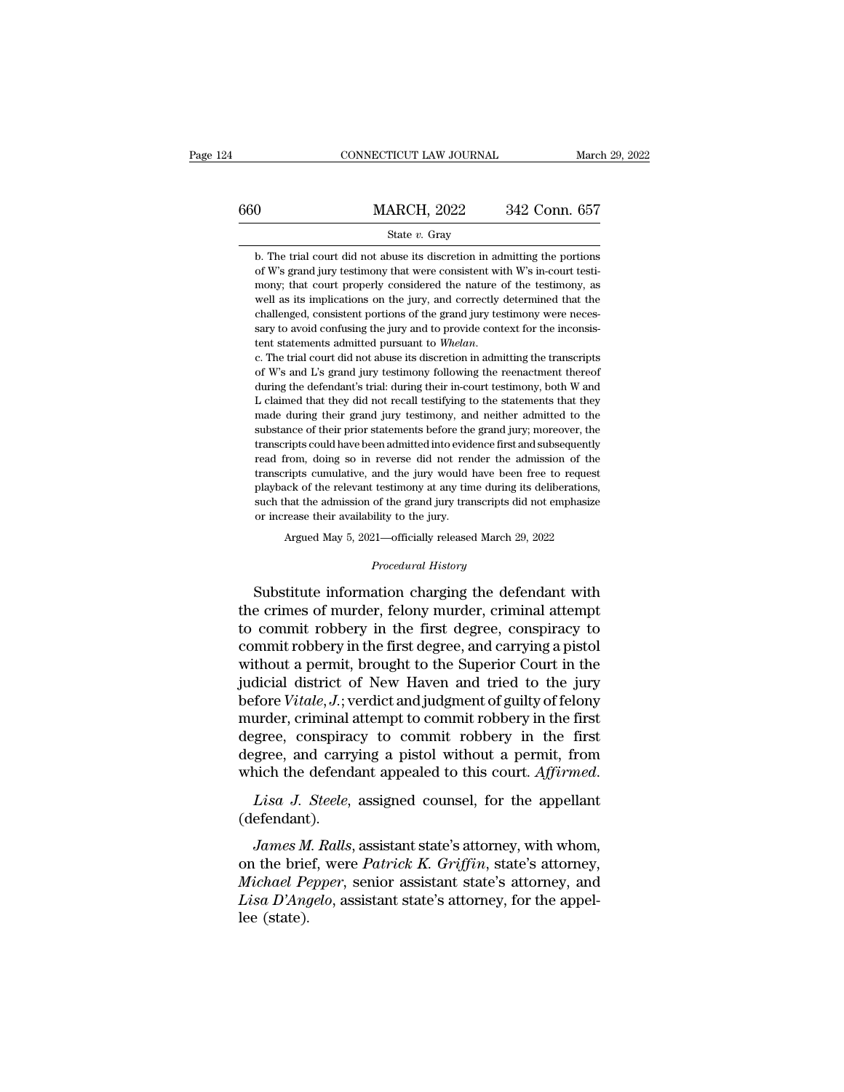|     | CONNECTICUT LAW JOURNAL                                                                                                                                                                                                                                       | March 29, 2022 |
|-----|---------------------------------------------------------------------------------------------------------------------------------------------------------------------------------------------------------------------------------------------------------------|----------------|
| 660 | <b>MARCH, 2022</b>                                                                                                                                                                                                                                            | 342 Conn. 657  |
|     | State $v$ . Gray                                                                                                                                                                                                                                              |                |
|     | b. The trial court did not abuse its discretion in admitting the portions<br>of W's grand jury testimony that were consistent with W's in-court testi-<br>$\mathbf{a}$ , and the set of $\mathbf{a}$ , and $\mathbf{a}$ , and $\mathbf{a}$ , and $\mathbf{a}$ |                |

**MARCH**, 2022 342 Conn. 657<br>
State *v*. Gray<br>
b. The trial court did not abuse its discretion in admitting the portions<br>
of W's grand jury testimony that were consistent with W's in-court testi-<br>
mony; that court properly MARCH, 2022 342 Conn. 657<br>
State  $v$ . Gray<br>
b. The trial court did not abuse its discretion in admitting the portions<br>
of W's grand jury testimony that were consistent with W's in-court testi-<br>
mony, that court properly c State  $v$ . Gray<br>
b. The trial court did not abuse its discretion in admitting the portions<br>
of W's grand jury testimony that were consistent with W's in-court testi-<br>
mony, that court properly considered the nature of the State  $v$ . Gray<br>
b. The trial court did not abuse its discretion in admitting the portions<br>
of W's grand jury testimony that were consistent with W's in-court testimony,<br>
that court properly considered the nature of the t b. The trial court did not abuse its discretion in admitting the portions of W's grand jury testimony that were consistent with W's in-court testimony, as well as its implications on the jury, and correctly determined that of W's grand jury testimony that were consistent with W's in-court testimony; that court properly considered the nature of the testimony, as well as its implications on the jury, and correctly determined that the challenge well as its implications on the jury, and correctly determined that the challenged, consistent portions of the grand jury testimony were necessary to avoid confusing the jury and to provide context for the inconsistent sta

challenged, consistent portions of the grand jury testimony were necessary to avoid confusing the jury and to provide context for the inconsistent statements admitted pursuant to Whelan.<br>
c. The trial court did not abuse i sary to avoid confusing the jury and to provide context for the inconsistent statements admitted pursuant to Whelan.<br>
c. The trial court did not abuse its discretion in admitting the transcripts<br>
of W's and L's grand jury tent statements admitted pursuant to Whelan.<br>
c. The trial court did not abuse its discretion in admitting the transcripts<br>
of W's and L's grand jury testimony following the reenactment thereof<br>
during the defendant's tria c. The trial court did not abuse its discretion in admitting the transcripts of W's and L's grand jury testimony following the reenactment thereof during the defendant's trial: during their in-court testimony, both W and L of W's and L's grand jury testimony following the reenactment thereof during the defendant's trial: during their in-court testimony, both W and L claimed that they did not recall testifying to the statements that they made during the defendant's trial: during their in-court testimony, both W and L claimed that they did not recall testifying to the statements that they made during their grand jury testimony, and neither admitted to the substa Le claimed that they did not recall testifying to the statements that they made during their grand jury testimony, and neither admitted to the substance of their prior statements before the grand jury; moreover, the transc made during their grand jury testimony, and neither admitted to the substance of their prior statements before the grand jury; moreover, the transcripts could have been admitted into evidence first and subsequently read fr substance of their prior statements before the grand jury; moreover, the transcripts could have been admitted into evidence first and subsequently read from, doing so in reverse did not render the admission of the transcri or increase their dividends are the sensitive than<br>seripts could have been admitted into evid<br>read from, doing so in reverse did not ren<br>transcripts cumulative, and the jury would l<br>playback of the relevant testimony at an From, doing so in reverse did not render the admission of the ripts cumulative, and the jury would have been free to request eck of the relevant testimony at any time during its deliberations, hat the admission of the gran *Procedural any time during i*<br>*Procedural jury transcripts difference during independent*<br> *Procedural History*<br> *Procedural History* playback of the relevant testimony at any time during its deliberations,<br>such that the admission of the grand jury transcripts did not emphasize<br>or increase their availability to the jury.<br>Argued May 5, 2021—officially rel

such that the admission of the grand jury transcripts did not emphasize<br>or increase their availability to the jury.<br>Argued May 5, 2021—officially released March 29, 2022<br>*Procedural History*<br>Substitute information charging or increase their availability to the jury.<br>
Argued May 5, 2021—officially released March 29, 2022<br>
Procedural History<br>
Substitute information charging the defendant with<br>
the crimes of murder, felony murder, criminal atte Argued May 5, 2021—officially released March 29, 2022<br> *Procedural History*<br>
Substitute information charging the defendant with<br>
the crimes of murder, felony murder, criminal attempt<br>
to commit robbery in the first degree, *Procedural History*<br>Substitute information charging the defendant with<br>the crimes of murder, felony murder, criminal attempt<br>to commit robbery in the first degree, conspiracy to<br>commit robbery in the first degree, and car Substitute information charging the defendant with<br>the crimes of murder, felony murder, criminal attempt<br>to commit robbery in the first degree, conspiracy to<br>commit robbery in the first degree, and carrying a pistol<br>witho Substitute information charging the defendant with<br>the crimes of murder, felony murder, criminal attempt<br>to commit robbery in the first degree, conspiracy to<br>commit robbery in the first degree, and carrying a pistol<br>withou the crimes of murder, felony murder, criminal attempt<br>to commit robbery in the first degree, conspiracy to<br>commit robbery in the first degree, and carrying a pistol<br>without a permit, brought to the Superior Court in the<br>ju to commit robbery in the first degree, conspiracy to<br>commit robbery in the first degree, and carrying a pistol<br>without a permit, brought to the Superior Court in the<br>judicial district of New Haven and tried to the jury<br>be commit robbery in the first degree, and carrying a pistol<br>without a permit, brought to the Superior Court in the<br>judicial district of New Haven and tried to the jury<br>before *Vitale*, *J*.; verdict and judgment of guilty of without a permit, brought to the Superior Court in the judicial district of New Haven and tried to the jury before *Vitale*, *J*.; verdict and judgment of guilty of felony murder, criminal attempt to commit robbery in the *gree, conspiracy to commit robbery in the first gree, and carrying a pistol without a permit, from ich the defendant appealed to this court. <i>Affirmed.*<br>*Lisa J. Steele, assigned counsel, for the appellant efendant).*<br>*Ja* 

(defendant).

degree, and carrying a pistol without a permit, from<br>which the defendant appealed to this court. *Affirmed.*<br>Lisa J. Steele, assigned counsel, for the appellant<br>(defendant).<br>James M. Ralls, assistant state's attorney, with which the defendant appealed to this court. *Affirmed.*<br> *Lisa J. Steele*, assigned counsel, for the appellant<br>
(defendant).<br> *James M. Ralls*, assistant state's attorney, with whom,<br>
on the brief, were *Patrick K. Griffin Lisa J. Steele*, assigned counsel, for the appellant (defendant).<br> *James M. Ralls*, assistant state's attorney, with whom, on the brief, were *Patrick K. Griffin*, state's attorney, *Michael Pepper*, senior assistant sta Lesson<br>
(defendant<br>
James M<br>
on the brie<br>
Michael Pe<br>
Lisa D'Ang<br>
lee (state).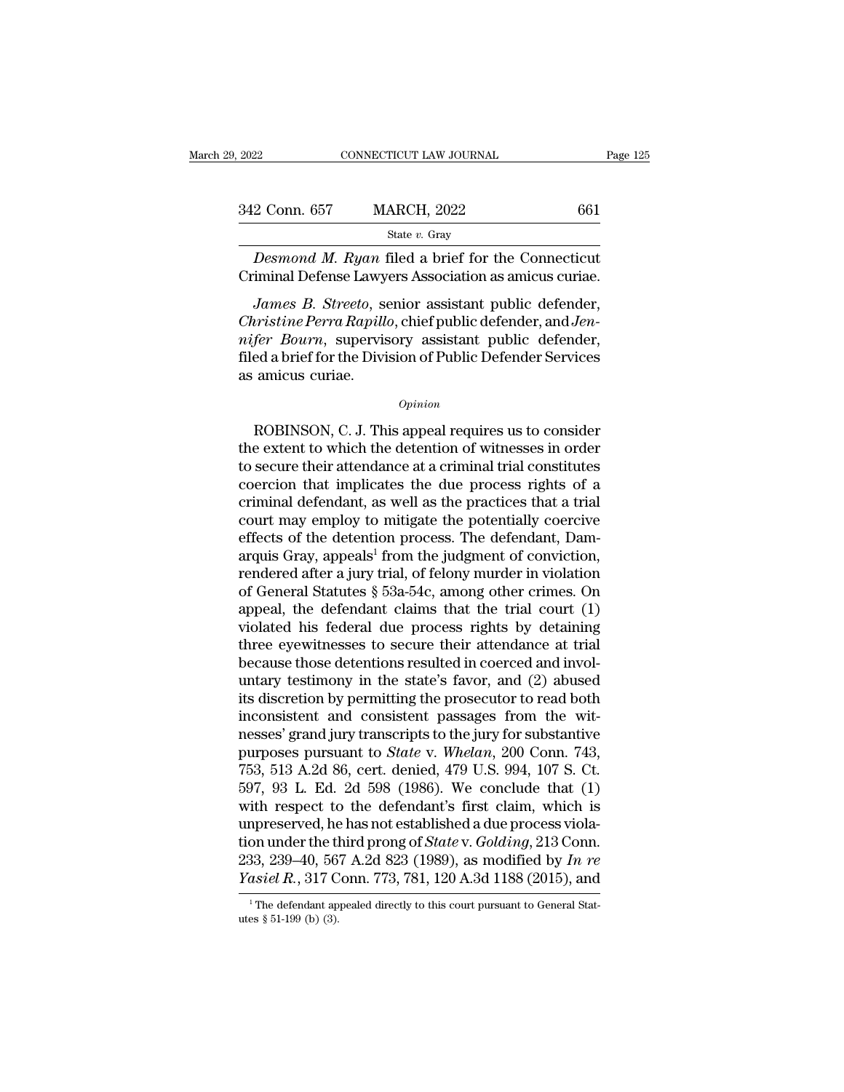| 9, 2022       | CONNECTICUT LAW JOURNAL                                                                                                                                                                 | Page 125 |
|---------------|-----------------------------------------------------------------------------------------------------------------------------------------------------------------------------------------|----------|
|               |                                                                                                                                                                                         |          |
| 342 Conn. 657 | <b>MARCH, 2022</b>                                                                                                                                                                      | 661      |
|               | State v. Gray                                                                                                                                                                           |          |
|               | <i>Desmond M. Ryan</i> filed a brief for the Connecticut<br>Criminal Defense Lawyers Association as amicus curiae.                                                                      |          |
|               | <i>James B. Streeto, senior assistant public defender,</i><br><i>Christine Perra Rapillo, chief public defender, and Jen-</i><br><i>nifor Roum</i> superisory assistant public defender |          |

*Christing Conn.* 657 *MARCH, 2022* 661<br> *Christing Connecticut*<br> *Christine Perra Rapillo, chief public defender, Christine Perra Rapillo, chief public defender, and <i>Jen-*<br> *Rames B. Streeto, senior assistant public defe* State v. Gray<br> *Desmond M. Ryan* filed a brief for the Connecticut<br>
Criminal Defense Lawyers Association as amicus curiae.<br> *James B. Streeto*, senior assistant public defender,<br> *Christine Perra Rapillo*, chief public def Desmond M. Ryan filed a brief for the Connecticut<br>Criminal Defense Lawyers Association as amicus curiae.<br>James B. Streeto, senior assistant public defender,<br>Christine Perra Rapillo, chief public defender, and Jen-<br>nifer Bo Desmond In: Tigan I<br>Criminal Defense Lawy<br>James B. Streeto, se<br>Christine Perra Rapill<br>nifer Bourn, supervis<br>filed a brief for the Divi<br>as amicus curiae. Firstine Perra Rapillo, chief public defender, and Jenfer Bourn, supervisory assistant public defender,<br>ed a brief for the Division of Public Defender Services<br>amicus curiae.<br> $opinion$ <br>ROBINSON, C. J. This appeal requires us to

#### *Opinion*

mifer Bourn, supervisory assistant public defender,<br>filed a brief for the Division of Public Defender Services<br>as amicus curiae.<br> $\frac{Opinion}{P}$ <br>ROBINSON, C. J. This appeal requires us to consider<br>the extent to which the deten filed a brief for the Division of Public Defender Services<br>as amicus curiae.<br> $\frac{Option}{10}$ <br>ROBINSON, C. J. This appeal requires us to consider<br>the extent to which the detention of witnesses in order<br>to secure their attendance opinion<br>
coencing that implicates we consider<br>
coencies the extent to which the detention of witnesses in order<br>
to secure their attendance at a criminal trial constitutes<br>
coencion that implicates the due process rights o **EXECRE CONSON, C. J. This appeal requires us to consider**<br>the extent to which the detention of witnesses in order<br>to secure their attendance at a criminal trial constitutes<br>coercion that implicates the due process rights EXECT MOBINSON, C. J. This appeal requires us to consider<br>the extent to which the detention of witnesses in order<br>to secure their attendance at a criminal trial constitutes<br>coercion that implicates the due process rights ROBINSON, C. J. This appeal requires us to consider<br>the extent to which the detention of witnesses in order<br>to secure their attendance at a criminal trial constitutes<br>coercion that implicates the due process rights of a<br>cr the extent to which the detention of witnesses in order<br>to secure their attendance at a criminal trial constitutes<br>coercion that implicates the due process rights of a<br>criminal defendant, as well as the practices that a tr to secure their attendance at a criminal trial constitutes<br>coercion that implicates the due process rights of a<br>criminal defendant, as well as the practices that a trial<br>court may employ to mitigate the potentially coerci coercion that implicates the due process rights of a<br>criminal defendant, as well as the practices that a trial<br>court may employ to mitigate the potentially coercive<br>effects of the detention process. The defendant, Dam-<br>arq criminal defendant, as well as the practices that a trial<br>court may employ to mitigate the potentially coercive<br>effects of the detention process. The defendant, Dam-<br>arquis Gray, appeals<sup>1</sup> from the judgment of conviction, court may employ to mitigate the potentially coercive<br>effects of the detention process. The defendant, Dam-<br>arquis Gray, appeals<sup>1</sup> from the judgment of conviction,<br>rendered after a jury trial, of felony murder in violatio effects of the detention process. The defendant, Damarquis Gray, appeals<sup>1</sup> from the judgment of conviction, rendered after a jury trial, of felony murder in violation of General Statutes  $\S$  53a-54c, among other crimes. arquis Gray, appeals<sup>1</sup> from the judgment of conviction,<br>rendered after a jury trial, of felony murder in violation<br>of General Statutes  $\S$  53a-54c, among other crimes. On<br>appeal, the defendant claims that the trial court rendered after a jury trial, of felony murder in violation<br>of General Statutes § 53a-54c, among other crimes. On<br>appeal, the defendant claims that the trial court (1)<br>violated his federal due process rights by detaining<br>th of General Statutes § 53a-54c, among other crimes. On<br>appeal, the defendant claims that the trial court (1)<br>violated his federal due process rights by detaining<br>three eyewitnesses to secure their attendance at trial<br>becaus appeal, the defendant claims that the trial court  $(1)$ <br>violated his federal due process rights by detaining<br>three eyewitnesses to secure their attendance at trial<br>because those detentions resulted in coerced and invol-<br>u violated his federal due process rights by detaining<br>three eyewitnesses to secure their attendance at trial<br>because those detentions resulted in coerced and invol-<br>untary testimony in the state's favor, and (2) abused<br>its three eyewitnesses to secure their attendance at trial<br>because those detentions resulted in coerced and invol-<br>untary testimony in the state's favor, and (2) abused<br>its discretion by permitting the prosecutor to read both<br> because those detentions resulted in coerced and involuntary testimony in the state's favor, and (2) abused<br>its discretion by permitting the prosecutor to read both<br>inconsistent and consistent passages from the wit-<br>nesses untary testimony in the state's favor, and (2) abused<br>its discretion by permitting the prosecutor to read both<br>inconsistent and consistent passages from the wit-<br>nesses' grand jury transcripts to the jury for substantive<br>p its discretion by permitting the prosecutor to read both<br>inconsistent and consistent passages from the wit-<br>nesses' grand jury transcripts to the jury for substantive<br>purposes pursuant to *State* v. Whelan, 200 Conn. 743,<br> inconsistent and consistent passages from the witnesses' grand jury transcripts to the jury for substantive<br>purposes pursuant to *State* v. *Whelan*, 200 Conn. 743,<br>753, 513 A.2d 86, cert. denied, 479 U.S. 994, 107 S. Ct. nesses' grand jury transcripts to the jury for substantive<br>purposes pursuant to *State* v. *Whelan*, 200 Conn. 743,<br>753, 513 A.2d 86, cert. denied, 479 U.S. 994, 107 S. Ct.<br>597, 93 L. Ed. 2d 598 (1986). We conclude that (1 purposes pursuant to *State* v. Whelan, 200 Conn. 743, 753, 513 A.2d 86, cert. denied, 479 U.S. 994, 107 S. Ct. 597, 93 L. Ed. 2d 598 (1986). We conclude that (1) with respect to the defendant's first claim, which is unpre 753, 513 A.2d 86, cert. denied, 479 U.S. 994, 107 S. Ct.<br>597, 93 L. Ed. 2d 598 (1986). We conclude that (1)<br>with respect to the defendant's first claim, which is<br>unpreserved, he has not established a due process viola-<br>tio unpreserved, he has not established a due process violation under the third prong of *State* v. *Golding*, 213 Conn. 233, 239–40, 567 A.2d 823 (1989), as modified by *In re Yasiel R.*, 317 Conn. 773, 781, 120 A.3d 1188 Yasiel R., 317 Conn. 773, 781, 120 A.3d 1188 (2015), and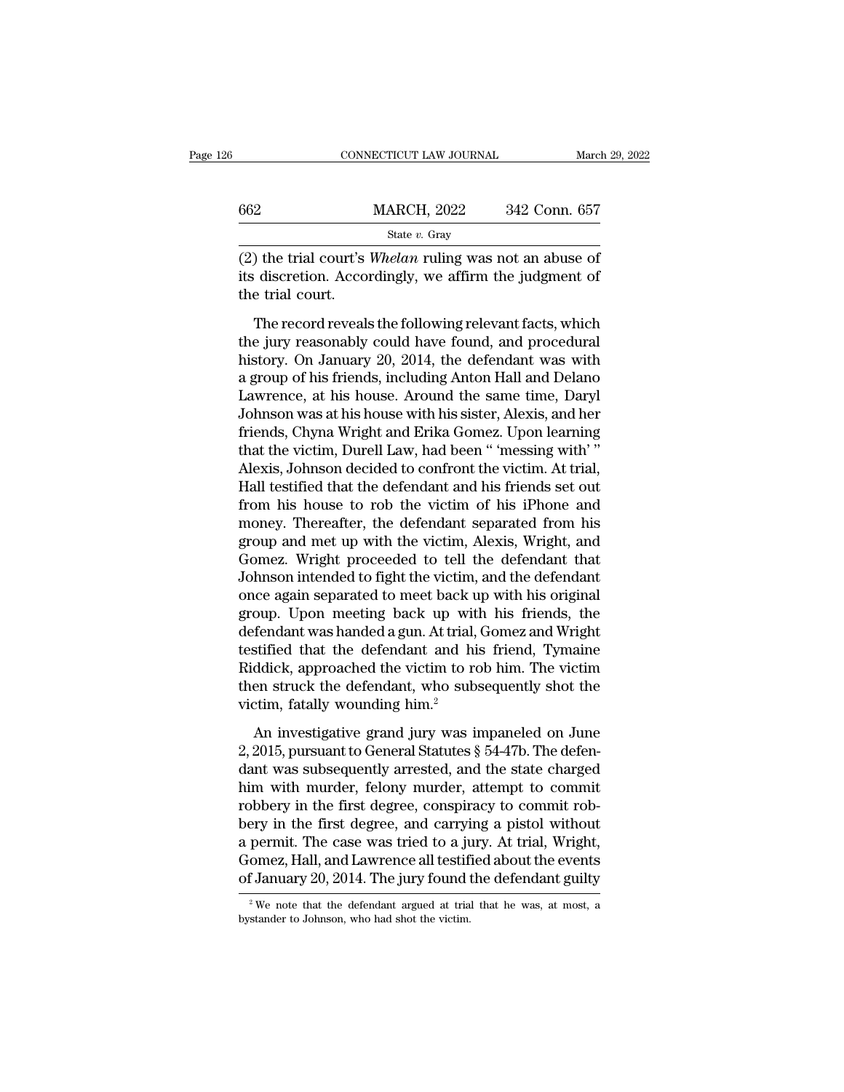|                 | CONNECTICUT LAW JOURNAL                                                                                                  | March 29, 2022 |
|-----------------|--------------------------------------------------------------------------------------------------------------------------|----------------|
| 662             | <b>MARCH, 2022</b>                                                                                                       | 342 Conn. 657  |
|                 | State $v$ . Gray                                                                                                         |                |
| the trial court | (2) the trial court's <i>Whelan</i> ruling was not an abuse of<br>its discretion. Accordingly, we affirm the judgment of |                |

 $\frac{\text{MARCH, 2022}}{\text{State } v. \text{ Gray}}$ <br>
(2) the trial court's *Whelan* ruling was not an abuse of its discretion. Accordingly, we affirm the judgment of the trial court.  $\begin{tabular}{l} 662 \\ \hline \hline (2) the trial court's \\ its discretion. \textit{Acco} \\ the trial court. \end{tabular}$ MARCH, 2022 342 Conn. 657<br>
State v. Gray<br>
The trial court's *Whelan* ruling was not an abuse of<br>
discretion. Accordingly, we affirm the judgment of<br>
e trial court.<br>
The record reveals the following relevant facts, which<br>

State v. Gray<br>
(2) the trial court's *Whelan* ruling was not an abuse of<br>
its discretion. Accordingly, we affirm the judgment of<br>
the trial court.<br>
The record reveals the following relevant facts, which<br>
the jury reasonab (2) the trial court's *Whelan* ruling was not an abuse of<br>its discretion. Accordingly, we affirm the judgment of<br>the trial court.<br>The record reveals the following relevant facts, which<br>the jury reasonably could have found (a) are and solve means means they all as not an assess of<br>its discretion. Accordingly, we affirm the judgment of<br>the trial court.<br>The record reveals the following relevant facts, which<br>the jury reasonably could have found Lawrence and court.<br>
The record reveals the following relevant facts, which<br>
the jury reasonably could have found, and procedural<br>
history. On January 20, 2014, the defendant was with<br>
a group of his friends, including Ant The record reveals the following relevant facts, which<br>the jury reasonably could have found, and procedural<br>history. On January 20, 2014, the defendant was with<br>a group of his friends, including Anton Hall and Delano<br>Lawre The record reveals the following relevant facts, which<br>the jury reasonably could have found, and procedural<br>history. On January 20, 2014, the defendant was with<br>a group of his friends, including Anton Hall and Delano<br>Lawre the jury reasonably could have found, and procedural<br>history. On January 20, 2014, the defendant was with<br>a group of his friends, including Anton Hall and Delano<br>Lawrence, at his house. Around the same time, Daryl<br>Johnson history. On January 20, 2014, the defendant was with<br>a group of his friends, including Anton Hall and Delano<br>Lawrence, at his house. Around the same time, Daryl<br>Johnson was at his house with his sister, Alexis, and her<br>fri a group of his friends, including Anton Hall and Delano<br>Lawrence, at his house. Around the same time, Daryl<br>Johnson was at his house with his sister, Alexis, and her<br>friends, Chyna Wright and Erika Gomez. Upon learning<br>tha Lawrence, at his house. Around the same time, Daryl<br>Johnson was at his house with his sister, Alexis, and her<br>friends, Chyna Wright and Erika Gomez. Upon learning<br>that the victim, Durell Law, had been " 'messing with' "<br>Al Johnson was at his house with his sister, Alexis, and her<br>friends, Chyna Wright and Erika Gomez. Upon learning<br>that the victim, Durell Law, had been " 'messing with' "<br>Alexis, Johnson decided to confront the victim. At tri friends, Chyna Wright and Erika Gomez. Upon learning<br>that the victim, Durell Law, had been " 'messing with' "<br>Alexis, Johnson decided to confront the victim. At trial,<br>Hall testified that the defendant and his friends set that the victim, Durell Law, had been " 'messing with' "<br>Alexis, Johnson decided to confront the victim. At trial,<br>Hall testified that the defendant and his friends set out<br>from his house to rob the victim of his iPhone an Alexis, Johnson decided to confront the victim. At trial,<br>Hall testified that the defendant and his friends set out<br>from his house to rob the victim of his iPhone and<br>money. Thereafter, the defendant separated from his<br>gro Hall testified that the defendant and his friends set out<br>from his house to rob the victim of his iPhone and<br>money. Thereafter, the defendant separated from his<br>group and met up with the victim, Alexis, Wright, and<br>Gomez. from his house to rob the victim of his iPhone and<br>money. Thereafter, the defendant separated from his<br>group and met up with the victim, Alexis, Wright, and<br>Gomez. Wright proceeded to tell the defendant that<br>Johnson intend money. Thereafter, the defendant separated from his<br>group and met up with the victim, Alexis, Wright, and<br>Gomez. Wright proceeded to tell the defendant that<br>Johnson intended to fight the victim, and the defendant<br>once agai group and met up with the victim, Alexis, Wright, and<br>Gomez. Wright proceeded to tell the defendant that<br>Johnson intended to fight the victim, and the defendant<br>once again separated to meet back up with his original<br>group. Gomez. Wright proceeded to tell the defendant that<br>Johnson intended to fight the victim, and the defendant<br>once again separated to meet back up with his original<br>group. Upon meeting back up with his friends, the<br>defendant Johnson intended to fight the victim, and the defendant<br>once again separated to meet back up with his original<br>group. Upon meeting back up with his friends, the<br>defendant was handed a gun. At trial, Gomez and Wright<br>testif once again separated to meet back u<br>group. Upon meeting back up wit<br>defendant was handed a gun. At trial,<br>testified that the defendant and hi<br>Riddick, approached the victim to re<br>then struck the defendant, who sub:<br>victim, Fendant was handed a gun. At trial, Gomez and Wright<br>stified that the defendant and his friend, Tymaine<br>ddick, approached the victim to rob him. The victim<br>en struck the defendant, who subsequently shot the<br>tim, fatally w Existified that the defendant and his friend, Tymaine<br>
Riddick, approached the victim to rob him. The victim<br>
then struck the defendant, who subsequently shot the<br>
victim, fatally wounding him.<sup>2</sup><br>
An investigative grand j

Eiddick, approached the victim to rob him. The victim<br>then struck the defendant, who subsequently shot the<br>victim, fatally wounding him.<sup>2</sup><br>An investigative grand jury was impaneled on June<br>2, 2015, pursuant to General St then struck the defendant, who subsequently shot the<br>victim, fatally wounding him.<sup>2</sup><br>An investigative grand jury was impaneled on June<br>2, 2015, pursuant to General Statutes  $\S$  54-47b. The defen-<br>dant was subsequently ar root state are determined, whis sassequently stree are<br>victim, fatally wounding him.<sup>2</sup><br>An investigative grand jury was impaneled on June<br>2, 2015, pursuant to General Statutes § 54-47b. The defen-<br>dant was subsequently ar An investigative grand jury was impaneled on June<br>2, 2015, pursuant to General Statutes  $\S$  54-47b. The defen-<br>dant was subsequently arrested, and the state charged<br>him with murder, felony murder, attempt to commit<br>robber An investigative grand jury was impaneled on June 2, 2015, pursuant to General Statutes  $\S$  54-47b. The defendant was subsequently arrested, and the state charged him with murder, felony murder, attempt to commit robbery 2, 2015, pursuant to General Statutes § 54-47b. The defendant was subsequently arrested, and the state charged<br>him with murder, felony murder, attempt to commit robbery in the first degree, conspiracy to commit rob-<br>bery i dant was subsequently arrested, and the state charged<br>him with murder, felony murder, attempt to commit<br>robbery in the first degree, conspiracy to commit rob-<br>bery in the first degree, and carrying a pistol without<br>a perm bery in the first degree, and carrying a pistol without a permit. The case was tried to a jury. At trial, Wright, Gomez, Hall, and Lawrence all testified about the events of January 20, 2014. The jury found the defendant of January 20, 2014. The jury found the defendant guilty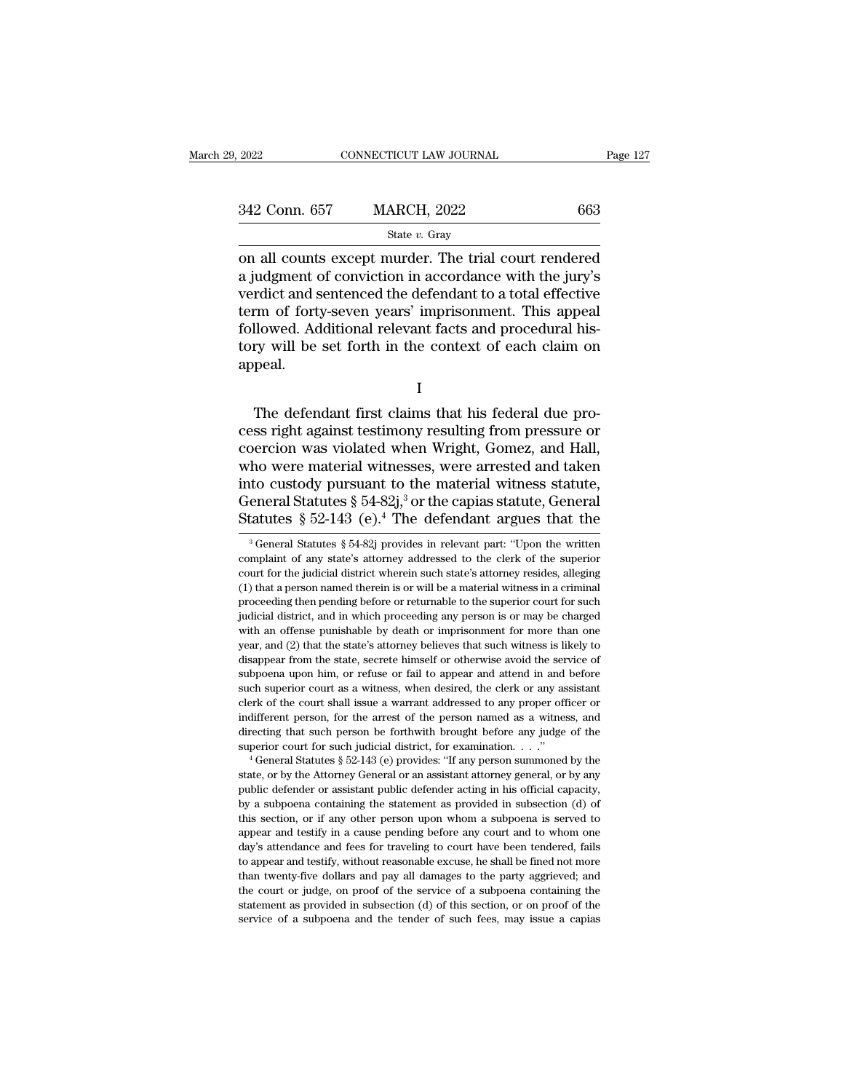| 2022          | CONNECTICUT LAW JOURNAL | Page 127 |  |
|---------------|-------------------------|----------|--|
|               |                         |          |  |
| 342 Conn. 657 | <b>MARCH, 2022</b>      | 663      |  |
|               | State $v$ . Gray        |          |  |

on all counts except murder. The trial court rendered<br>a judgment of conviction in accordance with the jury's<br>verdict and sontoneed the defendant to a total effective  $\begin{array}{ll} \text{342 Conn. 657} \qquad \text{MARCH, 2022} \qquad \text{663} \ \text{State } v. \text{ Gray} \ \text{on all counts except murder. The trial court rendered a judgment of conviction in accordance with the jury's verdict and sentence the defendant to a total effective term of forty-seven years' unprisomment. This appeal$ 342 Conn. 657 MARCH, 2022 663<br>
State v. Gray<br>
on all counts except murder. The trial court rendered<br>
a judgment of conviction in accordance with the jury's<br>
verdict and sentenced the defendant to a total effective<br>
term o 342 Conn. 657 MARCH, 2022 663<br>
State v. Gray<br>
on all counts except murder. The trial court rendered<br>
a judgment of conviction in accordance with the jury's<br>
verdict and sentenced the defendant to a total effective<br>
term o SEC COME CO. THE CO. THEOTH, 2022<br>
State v. Gray<br>
on all counts except murder. The trial court rendered<br>
a judgment of conviction in accordance with the jury's<br>
verdict and sentenced the defendant to a total effective<br>
te State  $v$ . Gray<br>
on all counts except murder. The trial court rendered<br>
a judgment of conviction in accordance with the jury's<br>
verdict and sentenced the defendant to a total effective<br>
term of forty-seven years' imprison appeal. Firm of forty-seven years' imprisonment. This appeal<br>Ilowed. Additional relevant facts and procedural his-<br>ry will be set forth in the context of each claim on<br>peal.<br>The defendant first claims that his federal due pro-<br>ss

I

cellowed. Additional relevant facts and procedural history will be set forth in the context of each claim on<br>appeal.<br>I<br>The defendant first claims that his federal due pro-<br>cess right against testimony resulting from pressu Example will be set forth in the context of each claim on<br>appeal.<br>I<br>The defendant first claims that his federal due pro-<br>cess right against testimony resulting from pressure or<br>coercion was violated when Wright, Gomez, and I<br>
The defendant first claims that his federal due process right against testimony resulting from pressure or<br>
coercion was violated when Wright, Gomez, and Hall,<br>
who were material witnesses, were arrested and taken<br>
into I<br>
The defendant first claims that his federal due process right against testimony resulting from pressure or<br>
coercion was violated when Wright, Gomez, and Hall,<br>
who were material witnesses, were arrested and taken<br>
int The defendant first claims that his federal due process right against testimony resulting from pressure or coercion was violated when Wright, Gomez, and Hall, who were material witnesses, were arrested and taken into cust The defendant first claims that his federal due process right against testimony resulting from pressure or coercion was violated when Wright, Gomez, and Hall, who were material witnesses, were arrested and taken into cust ho were material witnesses, were arrested and taken<br>to custody pursuant to the material witness statute,<br>eneral Statutes § 54-82j,<sup>3</sup> or the capias statute, General<br>tatutes § 52-143 (e).<sup>4</sup> The defendant argues that the<br><sup></sup> into custody pursuant to the material witness statute,<br>General Statutes § 54-82j,<sup>3</sup> or the capias statute, General<br>Statutes § 52-143 (e).<sup>4</sup> The defendant argues that the<br><sup>3</sup> General Statutes § 54-82j provides in relevan

indifferent person, for the arrest of the person named as a witness, and directing that such person be forthwith brought before any judge of the superior court for such judicial district, for examination. . . ."<br>  $^4$  Gen directing that such person be forthwith brought before any judge of the superior court for such judicial district, for examination.  $\ldots$  "<br>
<sup>4</sup> General Statutes § 52-143 (e) provides: "If any person summoned by the state superior court for such judicial district, for examination.  $\ldots$  ."<br>
<sup>4</sup> General Statutes § 52-143 (e) provides: "If any person summoned by the<br>
state, or by the Attorney General or an assistant attorney general, or by a <sup>4</sup> General Statutes § 52-143 (e) provides: "If any person summoned by the state, or by the Attorney General or an assistant attorney general, or by any public defender or assistant public defender acting in his official date, or by the Attorney General or an assistant attorney general, or by any public defender or assistant public defender acting in his official capacity, by a subpoena containing the statement as provided in subsection (d public defender or assistant public defender acting in his official capacity, by a subpoena containing the statement as provided in subsection (d) of this section, or if any other person upon whom a subpoena is served to a by a subpoena containing the statement as provided in subsection (d) of this section, or if any other person upon whom a subpoena is served to appear and testify in a cause pending before any court and to whom one day's at by a surposity or if any other person upon whom a subpoena is served to appear and testify in a cause pending before any court and to whom one day's attendance and fees for traveling to court have been tendered, fails to appear and testify in a cause pending before any court and to whom one day's attendance and fees for traveling to court have been tendered, fails to appear and testify, without reasonable excuse, he shall be fined not more appear and testify in a cause pending before any court and to whom one day's attendance and fees for traveling to court have been tendered, fails to appear and testify, without reasonable excuse, he shall be fined not more

General Statutes § 54-82j,<sup>3</sup> or the capias statute, General Statutes § 52-143 (e).<sup>4</sup> The defendant argues that the  $\frac{3}{8}$  General Statutes § 54-82j provides in relevant part: "Upon the written complaint of any state' Statutes § 52-143 (e).<sup>4</sup> The defendant argues that the<br>
<sup>3</sup> General Statutes § 54-82j provides in relevant part: "Upon the written<br>
complaint of any state's attorney addressed to the clerk of the superior<br>
court for the  $3$  General Statutes  $\S 54-82j$  provides in relevant part: "Upon the written <sup>3</sup> General Statutes § 54-82j provides in relevant part: "Upon the written complaint of any state's attorney addressed to the clerk of the superior court for the judicial district wherein such state's attorney resides, al complaint of any state's attorney addressed to the clerk of the superior court for the judicial district wherein such state's attorney resides, alleging (1) that a person named therein is or will be a material witness in a court for the judicial district wherein such state's attorney resides, alleging (1) that a person named therein is or will be a material witness in a criminal proceeding then pending before or returnable to the superior co (1) that a person named therein is or will be a material witness in a criminal proceeding then pending before or returnable to the superior court for such judicial district, and in which proceeding any person is or may be proceeding then pending before or returnable to the superior court for such judicial district, and in which proceeding any person is or may be charged with an offense punishable by death or imprisonment for more than one y judicial district, and in which proceeding any person is or may be charged with an offense punishable by death or imprisonment for more than one year, and (2) that the state's attorney believes that such witness is likely be the court of the shall issue a warrant of the court shall is a warreleve and (2) that the state's attorney believes that such witness is likely to disappear from the state, secrete himself or otherwise avoid the service wear, and (2) that the state's attorney believes that such witness is likely to disappear from the state, secrete himself or otherwise avoid the service of subpoena upon him, or refuse or fail to appear and attend in and disappear from the state, secrete himself or otherwise avoid the service of subpoena upon him, or refuse or fail to appear and attend in and before such superior court as a witness, when desired, the clerk or any assistan subpoena upon him, or refuse or fail to appear and attend in and before such superior court as a witness, when desired, the clerk or any assistant clerk of the court shall issue a warrant addressed to any proper officer o state, or by the court shall issue a warrant addressed to any proper officer or indifferent person, for the arrest of the person named as a witness, and directing that such person be forthwith brought before any judge of t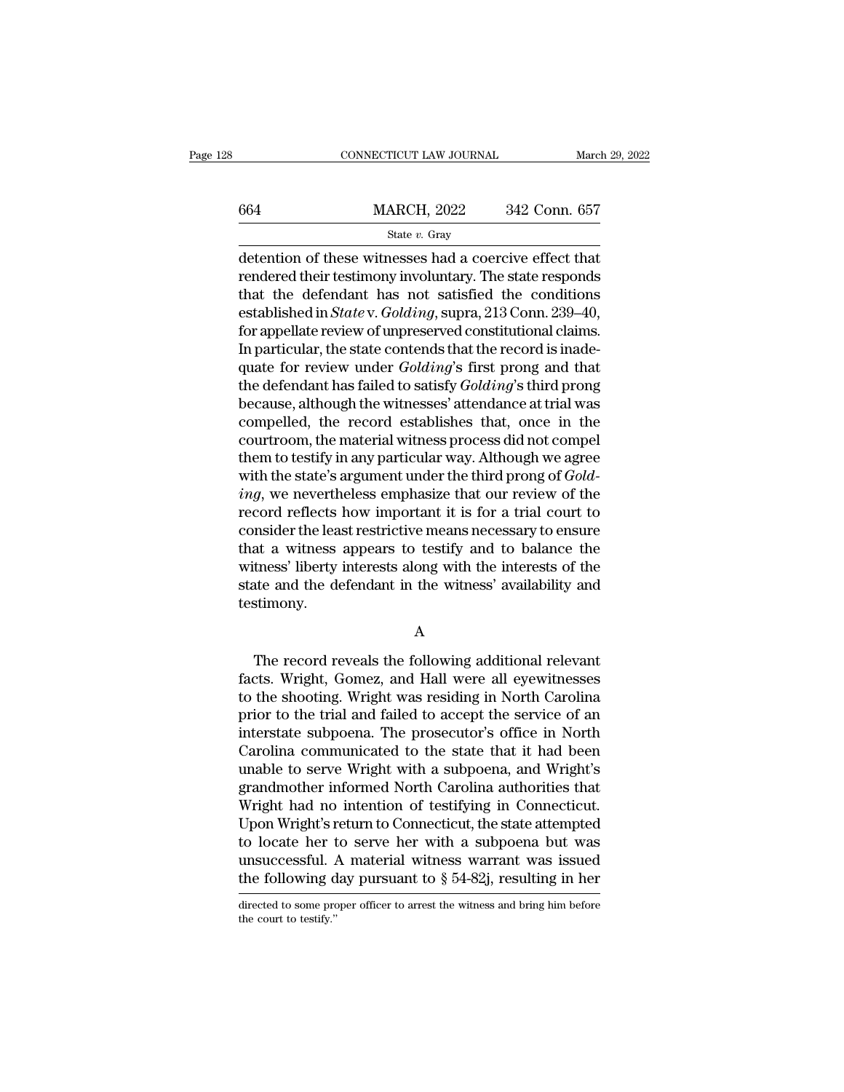|     | CONNECTICUT LAW JOURNAL |               | March 29, 2022 |
|-----|-------------------------|---------------|----------------|
|     |                         |               |                |
| 664 | <b>MARCH, 2022</b>      | 342 Conn. 657 |                |
|     | State $v$ . Gray        |               |                |

 $\begin{array}{r|l} \hline \text{COMRECTICUT LAW JOURNAL} \qquad & \text{March 29, 202:} \[2mm] \hline \end{array}$ <br>  $\begin{array}{r|l} \hline \text{G64} \qquad & \text{MARCH, 2022} \qquad & \text{342 Conn. 657} \ \hline \text{State } v. \text{ Gray} \end{array}$ <br>
detention of these witnesses had a coercive effect that rendered their testimony in  $\frac{\text{MARCH}}{\text{State } v. \text{ Gray}}$ <br>  $\frac{\text{State } v. \text{ Gray}}{\text{detection of these witnesses had a coercive effect that  
rendered their testimony involving. The state responds  
that the defendant has not satisfied the conditions  
established in *Statesu Golding* sums  $213$  Conn  $230$  40$  $\begin{array}{lll}\n & \text{MARCH, 2022} & \text{342 Conn. 657} \\
 & \text{State } v. \text{ Gray} \\
 \hline\n \text{detection of these witnesses had a coercive effect that} \\
 \text{rendered their testimony involuntary. The state responds} \\
 \text{that the defendant has not satisfied the conditions} \\
 \text{established in *State* v. *Golding*, supra, 213 Conn. 239–40,} \\
 \text{for annull to review of unmeasured contributional claims} \n\end{array}$ MARCH, 2022 342 Conn. 657<br>
State v. Gray<br>
detention of these witnesses had a coercive effect that<br>
rendered their testimony involuntary. The state responds<br>
that the defendant has not satisfied the conditions<br>
established State *v*. Gray<br>detention of these witnesses had a coercive effect that<br>rendered their testimony involuntary. The state responds<br>that the defendant has not satisfied the conditions<br>established in *State* v. *Golding*, sup state v. Gray<br>detention of these witnesses had a coercive effect that<br>rendered their testimony involuntary. The state responds<br>that the defendant has not satisfied the conditions<br>established in *State* v. *Golding*, supra detention of these witnesses had a coercive effect that<br>rendered their testimony involuntary. The state responds<br>that the defendant has not satisfied the conditions<br>established in *State* v. *Golding*, supra, 213 Conn. 239 rendered their testimony involuntary. The state responds<br>that the defendant has not satisfied the conditions<br>established in *State* v. *Golding*, supra, 213 Conn. 239–40,<br>for appellate review of unpreserved constitutional that the defendant has not satisfied the conditions<br>established in *State* v. *Golding*, supra, 213 Conn. 239–40,<br>for appellate review of unpreserved constitutional claims.<br>In particular, the state contends that the record established in *State* v. *Golding*, supra, 213 Conn. 239–40,<br>for appellate review of unpreserved constitutional claims.<br>In particular, the state contends that the record is inade-<br>quate for review under *Golding*'s first for appellate review of unpreserved constitutional claims.<br>In particular, the state contends that the record is inade-<br>quate for review under *Golding's* first prong and that<br>the defendant has failed to satisfy *Golding's* In particular, the state contends that the record is inade-<br>quate for review under  $Golding$ 's first prong and that<br>the defendant has failed to satisfy  $Golding$ 's third prong<br>because, although the witnesses' attendance at trial wa quate for review under *Golding*'s first prong and that<br>the defendant has failed to satisfy *Golding*'s third prong<br>because, although the witnesses' attendance at trial was<br>compelled, the record establishes that, once in t the defendant has failed to satisfy *Golding*'s third prong<br>because, although the witnesses' attendance at trial was<br>compelled, the record establishes that, once in the<br>courtroom, the material witness process did not compe because, although the witnesses' attendance at trial was<br>compelled, the record establishes that, once in the<br>courtroom, the material witness process did not compel<br>them to testify in any particular way. Although we agree<br>w compelled, the record establishes that, once in the courtroom, the material witness process did not compel<br>them to testify in any particular way. Although we agree<br>with the state's argument under the third prong of *Gold*courtroom, the material witness process did not compel<br>them to testify in any particular way. Although we agree<br>with the state's argument under the third prong of *Gold-*<br>ing, we nevertheless emphasize that our review of t them to testify in any particular way. Although we agree<br>with the state's argument under the third prong of *Gold-*<br>*ing*, we nevertheless emphasize that our review of the<br>record reflects how important it is for a trial co with the state's argument under the third prong of  $Golding$ , we nevertheless emphasize that our review of the record reflects how important it is for a trial court to consider the least restrictive means necessary to ensure t testimony. at a witness appears to testity and to balance the<br>thess' liberty interests along with the interests of the<br>atte and the defendant in the witness' availability and<br>stimony.<br>A<br>The record reveals the following additional rel

A

witness' liberty interests along with the interests of the<br>state and the defendant in the witness' availability and<br>testimony.<br>A<br>The record reveals the following additional relevant<br>facts. Wright, Gomez, and Hall were all state and the detendant in the witness' availability and<br>testimony.<br>A<br>The record reveals the following additional relevant<br>facts. Wright, Gomez, and Hall were all eyewitnesses<br>to the shooting. Wright was residing in North A<br>
The record reveals the following additional relevant<br>
facts. Wright, Gomez, and Hall were all eyewitnesses<br>
to the shooting. Wright was residing in North Carolina<br>
prior to the trial and failed to accept the service of A<br>
The record reveals the following additional relevant<br>
facts. Wright, Gomez, and Hall were all eyewitnesses<br>
to the shooting. Wright was residing in North Carolina<br>
prior to the trial and failed to accept the service of The record reveals the following additional relevant<br>facts. Wright, Gomez, and Hall were all eyewitnesses<br>to the shooting. Wright was residing in North Carolina<br>prior to the trial and failed to accept the service of an<br>int The record reveals the following additional relevant<br>facts. Wright, Gomez, and Hall were all eyewitnesses<br>to the shooting. Wright was residing in North Carolina<br>prior to the trial and failed to accept the service of an<br>int facts. Wright, Gomez, and Hall were all eyewitnesses<br>to the shooting. Wright was residing in North Carolina<br>prior to the trial and failed to accept the service of an<br>interstate subpoena. The prosecutor's office in North<br>Ca to the shooting. Wright was residing in North Carolina<br>prior to the trial and failed to accept the service of an<br>interstate subpoena. The prosecutor's office in North<br>Carolina communicated to the state that it had been<br>una prior to the trial and failed to accept the service of an<br>interstate subpoena. The prosecutor's office in North<br>Carolina communicated to the state that it had been<br>unable to serve Wright with a subpoena, and Wright's<br>grand interstate subpoena. The prosecutor's office in North<br>Carolina communicated to the state that it had been<br>unable to serve Wright with a subpoena, and Wright's<br>grandmother informed North Carolina authorities that<br>Wright ha Carolina communicated to the state that it had been<br>unable to serve Wright with a subpoena, and Wright's<br>grandmother informed North Carolina authorities that<br>Wright had no intention of testifying in Connecticut.<br>Upon Wrig unable to serve Wright with a subpoena, and Wright's grandmother informed North Carolina authorities that Wright had no intention of testifying in Connecticut.<br>Upon Wright's return to Connecticut, the state attempted to l Upon Wright's return to Connecticut, the state attempted<br>to locate her to serve her with a subpoena but was<br>unsuccessful. A material witness warrant was issued<br>the following day pursuant to  $\S 54-82j$ , resulting in her<br>di the following day pursuant to  $\S$  54-82j, resulting in her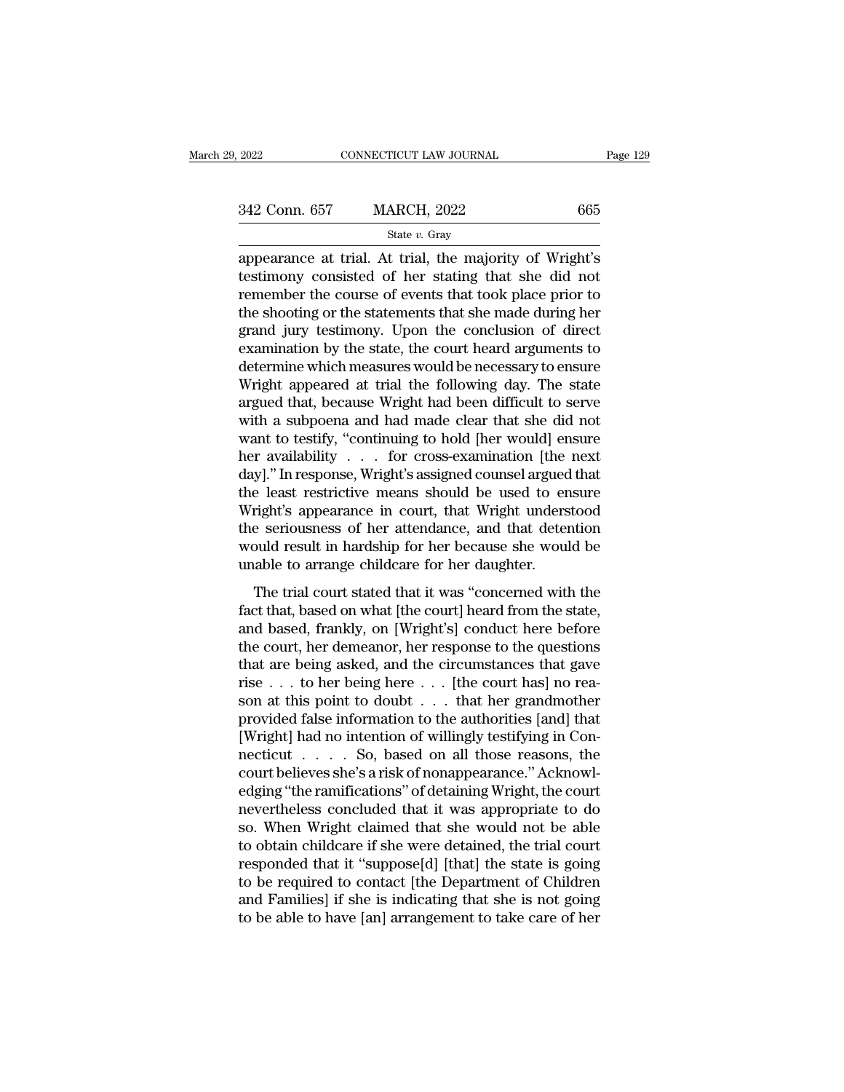| 2022          | CONNECTICUT LAW JOURNAL | Page 129 |  |
|---------------|-------------------------|----------|--|
|               |                         |          |  |
| 342 Conn. 657 | <b>MARCH, 2022</b>      | 665      |  |
|               | State $v$ . Gray        |          |  |

2022 CONNECTICUT LAW JOURNAL Page 129<br>
342 Conn. 657 MARCH, 2022 665<br>
<sup>State v. Gray</sup><br>
appearance at trial. At trial, the majority of Wright's<br>
testimony consisted of her stating that she did not<br>
remember the course of ev testimony consisted of her stating that she did not 342 Conn. 657 MARCH, 2022 665<br>
State v. Gray<br>
appearance at trial. At trial, the majority of Wright's<br>
testimony consisted of her stating that she did not<br>
remember the course of events that took place prior to<br>
the shoot 342 Conn. 657 MARCH, 2022 665<br>  $\frac{\text{State } v. \text{ Gray}}{\text{appearance at trial. At trial, the majority of Wright's}}$ <br>
testimony consisted of her stating that she did not<br>
remember the course of events that took place prior to<br>
the shooting or the statements that she made du State v. Gray<br>
State v. Gray<br>
appearance at trial. At trial, the majority of Wright's<br>
testimony consisted of her stating that she did not<br>
remember the course of events that took place prior to<br>
the shooting or the state state  $v$ . Gray<br>appearance at trial. At trial, the majority of Wright's<br>testimony consisted of her stating that she did not<br>remember the course of events that took place prior to<br>the shooting or the statements that she ma appearance at trial. At trial, the majority of Wright's<br>testimony consisted of her stating that she did not<br>remember the course of events that took place prior to<br>the shooting or the statements that she made during her<br>gra testimony consisted of her stating that she did not<br>remember the course of events that took place prior to<br>the shooting or the statements that she made during her<br>grand jury testimony. Upon the conclusion of direct<br>examina remember the course of events that took place prior to<br>the shooting or the statements that she made during her<br>grand jury testimony. Upon the conclusion of direct<br>examination by the state, the court heard arguments to<br>dete the shooting or the statements that she made during her<br>grand jury testimony. Upon the conclusion of direct<br>examination by the state, the court heard arguments to<br>determine which measures would be necessary to ensure<br>Wrigh grand jury testimony. Upon the conclusion of direct<br>examination by the state, the court heard arguments to<br>determine which measures would be necessary to ensure<br>Wright appeared at trial the following day. The state<br>argued examination by the state, the court heard arguments to<br>determine which measures would be necessary to ensure<br>Wright appeared at trial the following day. The state<br>argued that, because Wright had been difficult to serve<br>wit determine which measures would be necessary to ensure<br>Wright appeared at trial the following day. The state<br>argued that, because Wright had been difficult to serve<br>with a subpoena and had made clear that she did not<br>want t Wright appeared at trial the following day. The state<br>argued that, because Wright had been difficult to serve<br>with a subpoena and had made clear that she did not<br>want to testify, "continuing to hold [her would] ensure<br>her argued that, because Wright had been difficult to serve<br>with a subpoena and had made clear that she did not<br>want to testify, "continuing to hold [her would] ensure<br>her availability . . . for cross-examination [the next<br>day with a subpoena and had made clear that she did not<br>want to testify, "continuing to hold [her would] ensure<br>her availability . . . for cross-examination [the next<br>day]." In response, Wright's assigned counsel argued that<br>t want to testify, "continuing to hold [her would] ensure<br>her availability . . . for cross-examination [the next<br>day]." In response, Wright's assigned counsel argued that<br>the least restrictive means should be used to ensure her availability . . . . for cross-examination [the day]." In response, Wright's assigned counsel argued the least restrictive means should be used to er Wright's appearance in court, that Wright unders the seriousness of The trial court, that Wright understood<br>e least restrictive means should be used to ensure<br>right's appearance in court, that Wright understood<br>e seriousness of her attendance, and that detention<br>ould result in hardship for Fraction of the court, that Wright understood<br>the seriousness of her attendance, and that detention<br>would result in hardship for her because she would be<br>unable to arrange childcare for her daughter.<br>The trial court stated

and the seriousness of her attendance, and that detention<br>would result in hardship for her because she would be<br>unable to arrange childcare for her daughter.<br>The trial court stated that it was "concerned with the<br>fact that the scholars of the distribution, would result in hardship for her because she would be<br>unable to arrange childcare for her daughter.<br>The trial court stated that it was "concerned with the<br>fact that, based on what [the cou that are being asked, and the circumstances that here is and based, frankly, on [Wright's] conduct here before the court, her demeanor, her response to the questions that are being asked, and the circumstances that gave r The trial court stated that it was "concerned with the fact that, based on what [the court] heard from the state, and based, frankly, on [Wright's] conduct here before the court, her demeanor, her response to the question The trial court stated that it was "concerned with the fact that, based on what [the court] heard from the state, and based, frankly, on [Wright's] conduct here before the court, her demeanor, her response to the question fact that, based on what [the court] heard from the state,<br>and based, frankly, on [Wright's] conduct here before<br>the court, her demeanor, her response to the questions<br>that are being asked, and the circumstances that gave and based, frankly, on [Wright's] conduct here before<br>the court, her demeanor, her response to the questions<br>that are being asked, and the circumstances that gave<br>rise . . . to her being here . . . [the court has] no reathe court, her demeanor, her response to the questions<br>that are being asked, and the circumstances that gave<br>rise . . . to her being here . . . [the court has] no rea-<br>son at this point to doubt . . . that her grandmother that are being asked, and the circumstances that gave<br>rise . . . to her being here . . . [the court has] no rea-<br>son at this point to doubt . . . that her grandmother<br>provided false information to the authorities [and] th rise . . . to her being here . . . [the court has] no reason at this point to doubt . . . that her grandmother<br>provided false information to the authorities [and] that<br>[Wright] had no intention of willingly testifying in son at this point to doubt . . . that her grandmother<br>provided false information to the authorities [and] that<br>[Wright] had no intention of willingly testifying in Con-<br>necticut . . . . . So, based on all those reasons, t provided false information to the authorities [and] that [Wright] had no intention of willingly testifying in Connecticut  $\ldots$  . So, based on all those reasons, the court believes she's a risk of nonappearance." Acknowle [Wright] had no intention of willingly testifying in Connecticut  $\ldots$  So, based on all those reasons, the court believes she's a risk of nonappearance." Acknowledging "the ramifications" of detaining Wright, the court ne necticut . . . . . So, based on all those reasons, the<br>court believes she's a risk of nonappearance." Acknowl-<br>edging "the ramifications" of detaining Wright, the court<br>nevertheless concluded that it was appropriate to do<br> court believes she's a risk of nonappearance." Acknowledging "the ramifications" of detaining Wright, the court<br>nevertheless concluded that it was appropriate to do<br>so. When Wright claimed that she would not be able<br>to obt edging "the ramifications" of detaining Wright, the court<br>nevertheless concluded that it was appropriate to do<br>so. When Wright claimed that she would not be able<br>to obtain childcare if she were detained, the trial court<br>re nevertheless concluded that it was appropriate to do<br>so. When Wright claimed that she would not be able<br>to obtain childcare if she were detained, the trial court<br>responded that it "suppose[d] [that] the state is going<br>to b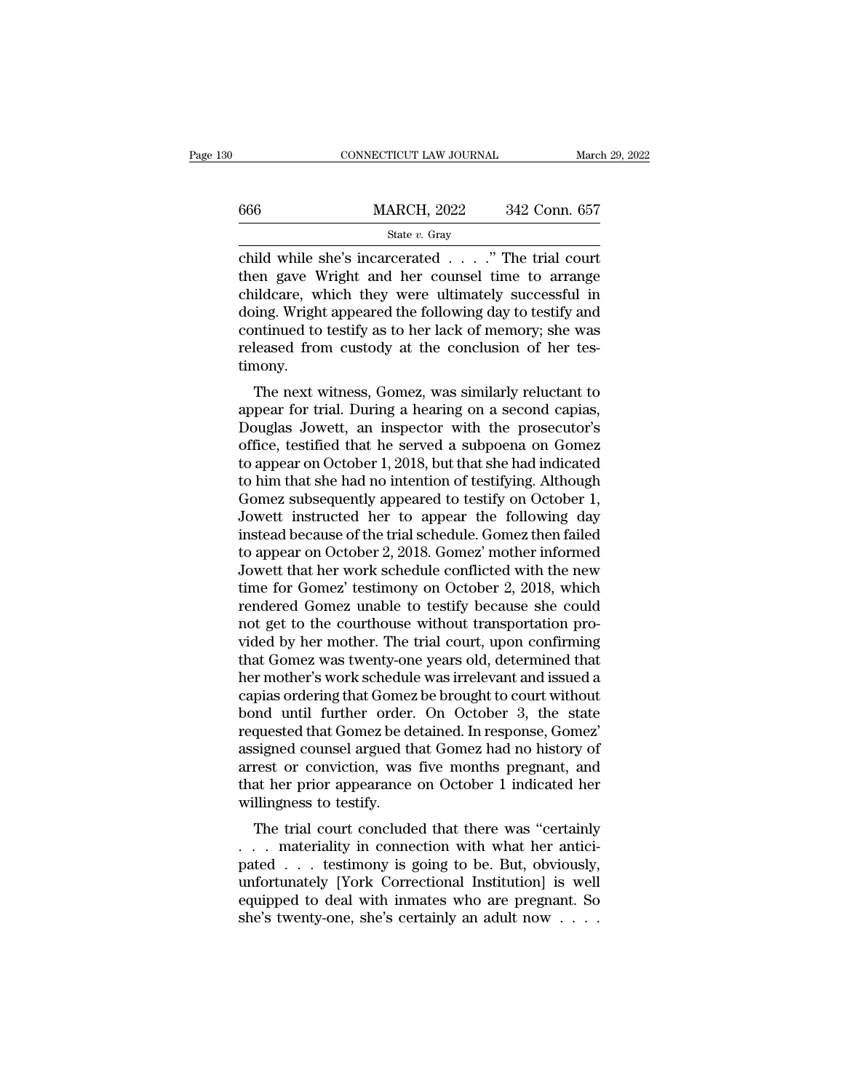|     | CONNECTICUT LAW JOURNAL                                                                                                                                     | March 29, 2022 |
|-----|-------------------------------------------------------------------------------------------------------------------------------------------------------------|----------------|
| 666 | <b>MARCH, 2022</b>                                                                                                                                          | 342 Conn. 657  |
|     | State $v$ . Gray                                                                                                                                            |                |
|     | child while she's incarcerated " The trial court<br>then gave Wright and her counsel time to arrange<br>childeare, which thoy were ultimately successful in |                |

 $\begin{array}{r} \n 666 \text{} \text{MARCH, 2022} \text{342 Conn. } 657 \text{ \n state } v. \text{ Gray} \n \end{array}$ child while she's incarcerated . . . ." The trial court<br>
then gave Wright and her counsel time to arrange<br>
childcare, which they were ultimately successfu 666 MARCH, 2022 342 Conn. 657<br>
State v. Gray<br>
child while she's incarcerated . . . . " The trial court<br>
then gave Wright and her counsel time to arrange<br>
childcare, which they were ultimately successful in<br>
doing. Wright  $\frac{\text{MARCH, 2022}}{\text{State } v. \text{ Gray}}$ <br>
child while she's incarcerated . . . ." The trial court<br>
then gave Wright and her counsel time to arrange<br>
childcare, which they were ultimately successful in<br>
doing. Wright appeared the foll State v. Gray<br>
child while she's incarcerated . . . . ." The trial court<br>
then gave Wright and her counsel time to arrange<br>
childcare, which they were ultimately successful in<br>
doing. Wright appeared the following day to state  $v$ . Gray<br>child while she's incarcerated  $\ldots$ ." The trial court<br>then gave Wright and her counsel time to arrange<br>childcare, which they were ultimately successful in<br>doing. Wright appeared the following day to testi timony. En gave wright and her counser time to arrange<br>ildcare, which they were ultimately successful in<br>ing. Wright appeared the following day to testify and<br>ntinued to testify as to her lack of memory; she was<br>leased from custod entitively were unifiately successium in<br>doing. Wright appeared the following day to testify and<br>continued to testify as to her lack of memory; she was<br>released from custody at the conclusion of her tes-<br>timony.<br>The next w

doing. Wright appeared the following day to testify and<br>continued to testify as to her lack of memory; she was<br>released from custody at the conclusion of her tes-<br>timony.<br>The next witness, Gomez, was similarly reluctant to continued to testify as to her fack of memory, she was<br>released from custody at the conclusion of her tes-<br>timony.<br>The next witness, Gomez, was similarly reluctant to<br>appear for trial. During a hearing on a second capias,<br> The next witness, Gomez, was similarly reluctant to<br>appear for trial. During a hearing on a second capias,<br>Douglas Jowett, an inspector with the prosecutor's<br>office, testified that he served a subpoena on Gomez<br>to appear o The next witness, Gomez, was similarly reluctant to<br>appear for trial. During a hearing on a second capias,<br>Douglas Jowett, an inspector with the prosecutor's<br>office, testified that he served a subpoena on Gomez<br>to appear o The next witness, Gomez, was similarly reluctant to<br>appear for trial. During a hearing on a second capias,<br>Douglas Jowett, an inspector with the prosecutor's<br>office, testified that he served a subpoena on Gomez<br>to appear o appear for trial. During a hearing on a second capias,<br>Douglas Jowett, an inspector with the prosecutor's<br>office, testified that he served a subpoena on Gomez<br>to appear on October 1, 2018, but that she had indicated<br>to him Douglas Jowett, an inspector with the prosecutor's<br>office, testified that he served a subpoena on Gomez<br>to appear on October 1, 2018, but that she had indicated<br>to him that she had no intention of testifying. Although<br>Gome office, testified that he served a subpoena on Gomez<br>to appear on October 1, 2018, but that she had indicated<br>to him that she had no intention of testifying. Although<br>Gomez subsequently appeared to testify on October 1,<br>Jo to appear on October 1, 2018, but that she had indicated<br>to him that she had no intention of testifying. Although<br>Gomez subsequently appeared to testify on October 1,<br>Jowett instructed her to appear the following day<br>inste to him that she had no intention of testifying. Although<br>Gomez subsequently appeared to testify on October 1,<br>Jowett instructed her to appear the following day<br>instead because of the trial schedule. Gomez then failed<br>to ap Gomez subsequently appeared to testify on October 1,<br>Jowett instructed her to appear the following day<br>instead because of the trial schedule. Gomez then failed<br>to appear on October 2, 2018. Gomez' mother informed<br>Jowett th Jowett instructed her to appear the following day<br>instead because of the trial schedule. Gomez then failed<br>to appear on October 2, 2018. Gomez' mother informed<br>Jowett that her work schedule conflicted with the new<br>time for instead because of the trial schedule. Gomez then failed<br>to appear on October 2, 2018. Gomez' mother informed<br>Jowett that her work schedule conflicted with the new<br>time for Gomez' testimony on October 2, 2018, which<br>render to appear on October 2, 2018. Gomez' mother informed<br>Jowett that her work schedule conflicted with the new<br>time for Gomez' testimony on October 2, 2018, which<br>rendered Gomez unable to testify because she could<br>not get to t Jowett that her work schedule conflicted with the new<br>time for Gomez' testimony on October 2, 2018, which<br>rendered Gomez unable to testify because she could<br>not get to the courthouse without transportation pro-<br>vided by he time for Gomez' testimony on October 2, 2018, which<br>rendered Gomez unable to testify because she could<br>not get to the courthouse without transportation pro-<br>vided by her mother. The trial court, upon confirming<br>that Gomez rendered Gomez unable to testify because she could<br>not get to the courthouse without transportation pro-<br>vided by her mother. The trial court, upon confirming<br>that Gomez was twenty-one years old, determined that<br>her mother requested to the courthouse without transportation provided by her mother. The trial court, upon confirming that Gomez was twenty-one years old, determined that her mother's work schedule was irrelevant and issued a capias vided by her mother. The trial court, upon confirming<br>that Gomez was twenty-one years old, determined that<br>her mother's work schedule was irrelevant and issued a<br>capias ordering that Gomez be brought to court without<br>bond that Gomez was twenty-one years old, determined that<br>her mother's work schedule was irrelevant and issued a<br>capias ordering that Gomez be brought to court without<br>bond until further order. On October 3, the state<br>requested her mother's work schedule was irrelevant and issued a<br>capias ordering that Gomez be brought to court without<br>bond until further order. On October 3, the state<br>requested that Gomez be detained. In response, Gomez'<br>assigned capias ordering that Gomez<br>bond until further order.<br>requested that Gomez be de<br>assigned counsel argued th<br>arrest or conviction, was<br>that her prior appearance<br>willingness to testify.<br>The trial court conclude The trial court concluded that there was "certainly course the trial course of rest or conviction, was five months pregnant, and at her prior appearance on October 1 indicated her llingness to testify.<br>The trial court conc requested that Gomez be detained. In response, Gomez<br>assigned counsel argued that Gomez had no history of<br>arrest or conviction, was five months pregnant, and<br>that her prior appearance on October 1 indicated her<br>willingness

assigned coulder argued that Gollez had no history of<br>arrest or conviction, was five months pregnant, and<br>that her prior appearance on October 1 indicated her<br>willingness to testify.<br>The trial court concluded that there wa ariest of conviction, was live months pregnant, and<br>that her prior appearance on October 1 indicated her<br>willingness to testify.<br>The trial court concluded that there was "certainly<br>... materiality in connection with what h Final reference of october 1 intitated iter-<br>willingness to testify.<br>The trial court concluded that there was "certainly<br> $\ldots$  materiality in connection with what her antici-<br>pated  $\ldots$  testimony is going to be. But, obv Willingness to testify.<br>The trial court concluded that there was "certainly<br>... materiality in connection with what her antici-<br>pated ... testimony is going to be. But, obviously,<br>unfortunately [York Correctional Instituti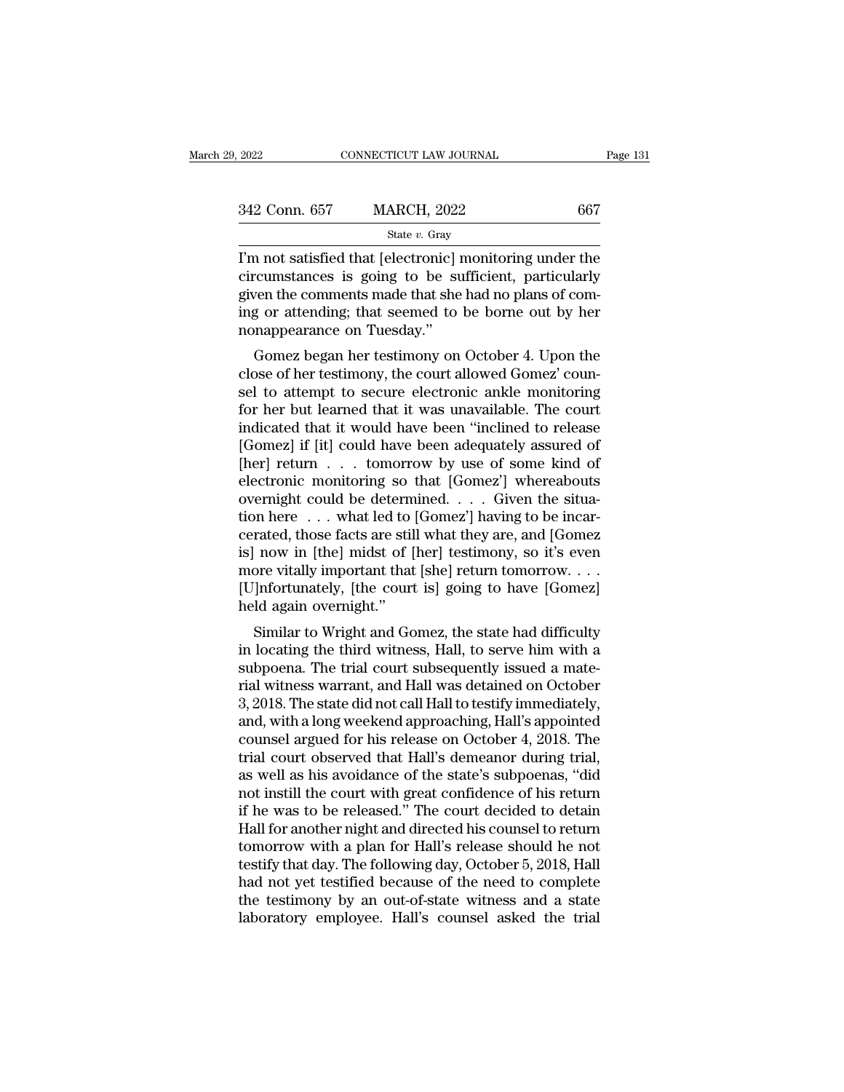| 2022          | CONNECTICUT LAW JOURNAL | Page 131 |
|---------------|-------------------------|----------|
| 342 Conn. 657 | <b>MARCH, 2022</b>      | 667      |
|               | State $v$ . Gray        |          |

 $\begin{array}{r|l} \hline \text{2022} & \text{CONPECTICUT LAW JOURNAL} & \text{Page 131} \ \hline \text{342 Conn. } 657 & \text{MARCH, } 2022 & 667 \ \hline & \\ & \text{State } v. \text{ Gray} \ \hline \end{array}$ <br>I'm not satisfied that [electronic] monitoring under the circumstances is going to be sufficient, particularly 342 Conn. 657 MARCH, 2022 667<br>
State v. Gray<br>
T'm not satisfied that [electronic] monitoring under the<br>
circumstances is going to be sufficient, particularly<br>
given the comments made that she had no plans of com-<br>
ing or 342 Conn. 657 MARCH, 2022 667<br>
State v. Gray<br>
T'm not satisfied that [electronic] monitoring under the<br>
circumstances is going to be sufficient, particularly<br>
given the comments made that she had no plans of com-<br>
ing or 342 Conn. 657 MARCH, 2022 667<br>
State v. Gray<br>
I'm not satisfied that [electronic] monitoring under the<br>
circumstances is going to be sufficient, particularly<br>
given the comments made that she had no plans of com-<br>
ing or  $\begin{array}{c}\n\hline\n\text{State } v. \text{ Gray} \\
\hline\n\end{array}\n\quad \begin{array}{c}\n\text{State } v. \text{ Gray} \\
\hline\n\end{array}\n\quad \begin{array}{c}\n\text{State } v. \text{ Gray} \\
\hline\n\end{array}\n\quad \begin{array}{c}\n\text{Given the common standard deviation} \\
\hline\n\end{array}\n\quad \begin{array}{c}\n\hline\n\end{array}\n\quad \text{is going to be su} \\
\hline\n\end{array}\n\quad \begin{array}{c}\n\hline\n\end{array}\n\quad \text{is going to be su} \\
\hline\n\end{array}\n\quad \begin{$ In a not satisfied that [electronic] monitoring under the<br>cumstances is going to be sufficient, particularly<br>ven the comments made that she had no plans of com-<br>g or attending; that seemed to be borne out by her<br>nappearanc Fin not satisfied that [electronic] monitoring under the<br>circumstances is going to be sufficient, particularly<br>given the comments made that she had no plans of com-<br>ing or attending; that seemed to be borne out by her<br>nona

circuitstances is going to be surficient, particularly<br>given the comments made that she had no plans of com-<br>ing or attending; that seemed to be borne out by her<br>nonappearance on Tuesday."<br>Gomez began her testimony on Octo given the continents made that she had no plans of conting<br>ing or attending; that seemed to be borne out by her<br>nonappearance on Tuesday."<br>Gomez began her testimony on October 4. Upon the<br>close of her testimony, the court ing or attenung, that seemed to be borne out by her<br>nonappearance on Tuesday."<br>Gomez began her testimony on October 4. Upon the<br>close of her testimony, the court allowed Gomez' coun-<br>sel to attempt to secure electronic ank From appearance on Tuesday.<br>
Gomez began her testimony on October 4. Upon the<br>
close of her testimony, the court allowed Gomez' coun-<br>
sel to attempt to secure electronic ankle monitoring<br>
for her but learned that it was Gomez began her testimony on October 4. Upon the<br>close of her testimony, the court allowed Gomez' coun-<br>sel to attempt to secure electronic ankle monitoring<br>for her but learned that it was unavailable. The court<br>indicated close of her testimony, the court allowed Gomez' counsel to attempt to secure electronic ankle monitoring<br>for her but learned that it was unavailable. The court<br>indicated that it would have been "inclined to release<br>[Gomez sel to attempt to secure electronic ankle monitoring<br>for her but learned that it was unavailable. The court<br>indicated that it would have been "inclined to release<br>[Gomez] if [it] could have been adequately assured of<br>[her] for her but learned that it was unavailable. The court<br>indicated that it would have been "inclined to release<br>[Gomez] if [it] could have been adequately assured of<br>[her] return  $\dots$  tomorrow by use of some kind of<br>electro indicated that it would have been "inclined to release [Gomez] if [it] could have been adequately assured of [her] return . . . tomorrow by use of some kind of electronic monitoring so that [Gomez'] whereabouts overnight c [Gomez] if [it] could have been adequately assured of<br>
[her] return . . . tomorrow by use of some kind of<br>
electronic monitoring so that [Gomez'] whereabouts<br>
overnight could be determined. . . . Given the situa-<br>
tion he [her] return . . . tomorrow by use of some kind of electronic monitoring so that [Gomez'] whereabouts overnight could be determined. . . . Given the situation here ... what led to [Gomez'] having to be incarcerated, those electronic monitoring so that [Gomez'] whereabouts<br>overnight could be determined. . . . Given the situa-<br>tion here . . . what led to [Gomez'] having to be incar-<br>cerated, those facts are still what they are, and [Gomez<br>is] overnight could be determ<br>tion here ... what led to<br>cerated, those facts are stil<br>is] now in [the] midst of [<br>more vitally important that<br>[U]nfortunately, [the court<br>held again overnight."<br>Similar to Wright and Go First<br>rated, those facts are still what they are, and [Gomez<br>now in [the] midst of [her] testimony, so it's even<br>ore vitally important that [she] return tomorrow....<br>]nfortunately, [the court is] going to have [Gomez]<br>ld cerated, those facts are still wilat they are, and [Goldez<br>is] now in [the] midst of [her] testimony, so it's even<br>more vitally important that [she] return tomorrow. . . .<br>[U]nfortunately, [the court is] going to have [Gom

solution in the trial court is going to have [Gomez]<br>more vitally important that [she] return tomorrow. . . .<br>[U]nfortunately, [the court is] going to have [Gomez]<br>held again overnight."<br>Similar to Wright and Gomez, the s rial with a long wookend approaching Hall's appointed with a long wooken and with a subpoena. The trial court subsequently issued a material witness warrant, and Hall was detained on October 3, 2018. The state did not cal  $\lfloor \text{c} \rfloor$  phortunately, [the court is] going to have  $\lfloor \text{conte2} \rfloor$ <br>held again overnight."<br>Similar to Wright and Gomez, the state had difficulty<br>in locating the third witness, Hall, to serve him with a<br>subpoena. The Final and Werlight.<br>
Similar to Wright and Gomez, the state had difficulty<br>
in locating the third witness, Hall, to serve him with a<br>
subpoena. The trial court subsequently issued a mate-<br>
rial witness warrant, and Hall wa Similar to Wright and Gomez, the state had difficulty<br>in locating the third witness, Hall, to serve him with a<br>subpoena. The trial court subsequently issued a mate-<br>rial witness warrant, and Hall was detained on October<br>3, in locating the third witness, Hall, to serve him with a<br>subpoena. The trial court subsequently issued a mate-<br>rial witness warrant, and Hall was detained on October<br>3, 2018. The state did not call Hall to testify immediat subpoena. The trial court subsequently issued a mate-<br>rial witness warrant, and Hall was detained on October<br>3, 2018. The state did not call Hall to testify immediately,<br>and, with a long weekend approaching, Hall's appoint rial witness warrant, and Hall was detained on October<br>3, 2018. The state did not call Hall to testify immediately,<br>and, with a long weekend approaching, Hall's appointed<br>counsel argued for his release on October 4, 2018. 3, 2018. The state did not call Hall to testify immediately,<br>and, with a long weekend approaching, Hall's appointed<br>counsel argued for his release on October 4, 2018. The<br>trial court observed that Hall's demeanor during tr and, with a long weekend approaching, Hall's appointed<br>counsel argued for his release on October 4, 2018. The<br>trial court observed that Hall's demeanor during trial,<br>as well as his avoidance of the state's subpoenas, "did<br> counsel argued for his release on October 4, 2018. The<br>trial court observed that Hall's demeanor during trial,<br>as well as his avoidance of the state's subpoenas, "did<br>not instill the court with great confidence of his retu trial court observed that Hall's demeanor during trial,<br>as well as his avoidance of the state's subpoenas, "did<br>not instill the court with great confidence of his return<br>if he was to be released." The court decided to deta as well as his avoidance of the state's subpoenas, "did<br>not instill the court with great confidence of his return<br>if he was to be released." The court decided to detain<br>Hall for another night and directed his counsel to re not instill the court with great confidence of his return<br>if he was to be released." The court decided to detain<br>Hall for another night and directed his counsel to return<br>tomorrow with a plan for Hall's release should he n if he was to be released." The court decided to detain<br>Hall for another night and directed his counsel to return<br>tomorrow with a plan for Hall's release should he not<br>testify that day. The following day, October 5, 2018, H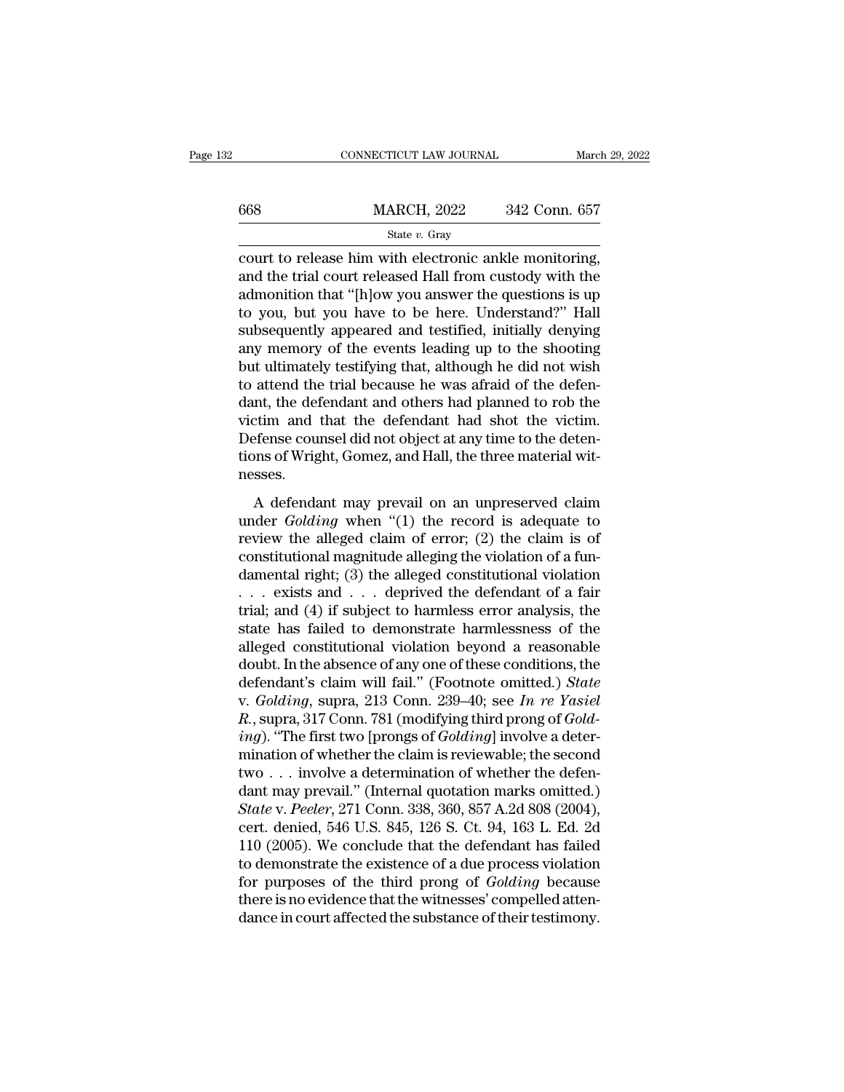|     | CONNECTICUT LAW JOURNAL                                                                                                                                                    | March 29, 2022 |
|-----|----------------------------------------------------------------------------------------------------------------------------------------------------------------------------|----------------|
| 668 | <b>MARCH, 2022</b>                                                                                                                                                         | 342 Conn. 657  |
|     | State $v$ . Gray                                                                                                                                                           |                |
|     | court to release him with electronic ankle monitoring,<br>and the trial court released Hall from custody with the<br>odmonition that "[blow you angwor the questions is up |                |

 $\frac{\text{MARCH}}{\text{State } v. \text{ Gray}}$ <br>
state v. Gray<br>
court to release him with electronic ankle monitoring,<br>
and the trial court released Hall from custody with the<br>
admonition that "[h]ow you answer the questions is up<br>
to you, but yo  $\frac{\text{MARCH, 2022}}{\text{State } v. \text{ Gray}}$ <br>
court to release him with electronic ankle monitoring,<br>
and the trial court released Hall from custody with the<br>
admonition that "[h]ow you answer the questions is up<br>
to you, but you have t  $\frac{\text{MARCH}}{\text{State } v. \text{ Gray}}$ <br>  $\frac{\text{State } v. \text{ Gray}}{\text{court to release him with electronic ankle monitoring,}}$ <br>
and the trial court released Hall from custody with the<br>
admonition that "[h]ow you answer the questions is up<br>
to you, but you have to be here. Understand?" Hall<br>
s State v. Gray<br>
State v. Gray<br>
court to release him with electronic ankle monitoring,<br>
and the trial court released Hall from custody with the<br>
admonition that "[h]ow you answer the questions is up<br>
to you, but you have to state v. Gray<br>
court to release him with electronic ankle monitoring,<br>
and the trial court released Hall from custody with the<br>
admonition that "[h]ow you answer the questions is up<br>
to you, but you have to be here. Under court to release him with electronic ankle monitoring,<br>and the trial court released Hall from custody with the<br>admonition that "[h]ow you answer the questions is up<br>to you, but you have to be here. Understand?" Hall<br>subseq and the trial court released Hall from custody with the admonition that "[h]ow you answer the questions is up to you, but you have to be here. Understand?" Hall subsequently appeared and testified, initially denying any me admonition that "[h]ow you answer the questions is up<br>to you, but you have to be here. Understand?" Hall<br>subsequently appeared and testified, initially denying<br>any memory of the events leading up to the shooting<br>but ultima to you, but you have to be here. Understand?" Hall<br>subsequently appeared and testified, initially denying<br>any memory of the events leading up to the shooting<br>but ultimately testifying that, although he did not wish<br>to atte subsequently appeared and testified, initially denying<br>any memory of the events leading up to the shooting<br>but ultimately testifying that, although he did not wish<br>to attend the trial because he was afraid of the defen-<br>da any memory of the events leading up to the shooting<br>but ultimately testifying that, although he did not wish<br>to attend the trial because he was afraid of the defen-<br>dant, the defendant and others had planned to rob the<br>vic nesses. A defendant may prevail on an unpreserved claim<br>defendant may be defended to rob the<br>effense counsel did not object at any time to the deten-<br>ns of Wright, Gomez, and Hall, the three material wit-<br>sses.<br>A defendant may pr victim and that the defendant had shot the victim.<br>Defense counsel did not object at any time to the detentions of Wright, Gomez, and Hall, the three material wit-<br>nesses.<br>A defendant may prevail on an unpreserved claim<br>un

Defense counsel did not object at any time to the detentions of Wright, Gomez, and Hall, the three material witnesses.<br>A defendant may prevail on an unpreserved claim under *Golding* when "(1) the record is adequate to re Exercise courser and not object at any line to the determinions of Wright, Gomez, and Hall, the three material witnesses.<br>A defendant may prevail on an unpreserved claim under *Golding* when "(1) the record is adequate to defendant may prevail on an unpreserved claim<br>under *Golding* when "(1) the record is adequate to<br>review the alleged claim of error; (2) the claim is of<br>constitutional magnitude alleging the violation of a fun-<br>damental r A defendant may prevail on an unpreserved claim<br>under *Golding* when "(1) the record is adequate to<br>review the alleged claim of error; (2) the claim is of<br>constitutional magnitude alleging the violation of a fun-<br>damental A defendant may prevail on an unpreserved claim<br>under *Golding* when "(1) the record is adequate to<br>review the alleged claim of error; (2) the claim is of<br>constitutional magnitude alleging the violation of a fun-<br>damental under *Golding* when "(1) the record is adequate to<br>review the alleged claim of error; (2) the claim is of<br>constitutional magnitude alleging the violation of a fun-<br>damental right; (3) the alleged constitutional violation review the alleged claim of error; (2) the claim is of<br>constitutional magnitude alleging the violation of a fun-<br>damental right; (3) the alleged constitutional violation<br> $\dots$  exists and  $\dots$  deprived the defendant of a fa constitutional magnitude alleging the violation of a fun-<br>damental right; (3) the alleged constitutional violation<br>... exists and ... deprived the defendant of a fair<br>trial; and (4) if subject to harmless error analysis, damental right; (3) the alleged constitutional violation<br>  $\ldots$  exists and  $\ldots$  deprived the defendant of a fair<br>
trial; and (4) if subject to harmless error analysis, the<br>
state has failed to demonstrate harmlessness of v. . . exists and . . . deprived the defendant of a fair trial; and (4) if subject to harmless error analysis, the state has failed to demonstrate harmlessness of the alleged constitutional violation beyond a reasonable do *R.* trial; and (4) if subject to harmless error analysis, the state has failed to demonstrate harmlessness of the alleged constitutional violation beyond a reasonable doubt. In the absence of any one of these conditions, state has failed to demonstrate harmlessness of the alleged constitutional violation beyond a reasonable doubt. In the absence of any one of these conditions, the defendant's claim will fail." (Footnote omitted.) *State* v alleged constitutional violation beyond a reasonable<br>doubt. In the absence of any one of these conditions, the<br>defendant's claim will fail." (Footnote omitted.) *State*<br>v. *Golding*, supra, 213 Conn. 239–40; see In re Yasi doubt. In the absence of any one of these conditions, the<br>defendant's claim will fail." (Footnote omitted.) *State*<br>v. *Golding*, supra, 213 Conn. 239–40; see In re Yasiel<br>R., supra, 317 Conn. 781 (modifying third prong o defendant's claim will fail." (Footnote omitted.) *State*<br>v. *Golding*, supra, 213 Conn. 239–40; see *In re Yasiel*<br>*R.*, supra, 317 Conn. 781 (modifying third prong of *Gold-*<br>*ing*). "The first two [prongs of *Golding*] *Stater W. Golding, supra, 213 Conn. 239–40; see In re Yasiel*<br>*R., supra, 317 Conn. 781 (modifying third prong of Gold-<br><i>ing*). "The first two [prongs of *Golding*] involve a deter-<br>mination of whether the claim is review  $R$ ., supra, 317 Conn. 781 (modifying third prong of *Gold-*<br>*ing*). "The first two [prongs of *Golding*] involve a deter-<br>mination of whether the claim is reviewable; the second<br>two . . . involve a determination of wheth ing). "The first two [prongs of *Golding*] involve a deter-<br>mination of whether the claim is reviewable; the second<br>two . . . involve a determination of whether the defen-<br>dant may prevail." (Internal quotation marks omit mination of whether the claim is reviewable; the second<br>two . . . involve a determination of whether the defen-<br>dant may prevail." (Internal quotation marks omitted.)<br>State v. Peeler, 271 Conn. 338, 360, 857 A.2d 808 (200 two . . . involve a determination of whether the defen-<br>dant may prevail." (Internal quotation marks omitted.)<br>*State v. Peeler*, 271 Conn. 338, 360, 857 A.2d 808 (2004),<br>cert. denied, 546 U.S. 845, 126 S. Ct. 94, 163 L. E dant may prevail." (Internal quotation marks omitted.)<br>State v. Peeler, 271 Conn. 338, 360, 857 A.2d 808 (2004),<br>cert. denied, 546 U.S. 845, 126 S. Ct. 94, 163 L. Ed. 2d<br>110 (2005). We conclude that the defendant has faile State v. Peeler, 271 Conn. 338, 360, 857 A.2d 808 (2004), cert. denied, 546 U.S. 845, 126 S. Ct. 94, 163 L. Ed. 2d 110 (2005). We conclude that the defendant has failed to demonstrate the existence of a due process violati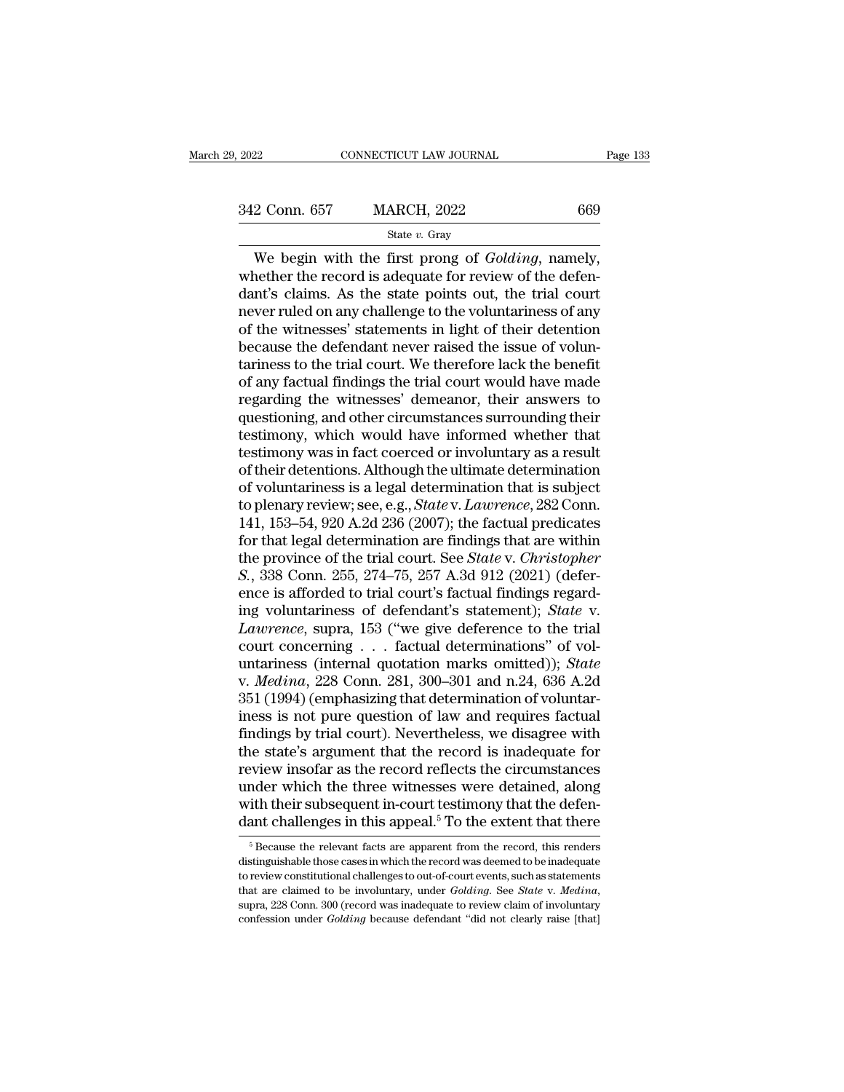CONNECTICUT LAW JOURNAL Page<br>
2 Conn. 657 MARCH, 2022 669<br>
State v. Gray<br>
We begin with the first prong of *Golding*, namely,<br>
nether the record is adequate for review of the defen-<br>
n<sup>t's</sup> claims. As the state points out,  $\frac{342 \text{ Conn. } 657}{342 \text{ Conn. } 657}$  MARCH, 2022 669<br>State v. Gray<br>We begin with the first prong of *Golding*, namely,<br>whether the record is adequate for review of the defen-<br>dant's claims. As the state points out, the trial  $\begin{array}{c|l} \n 342 \text{ Conn. } 657 & \text{MARCH, } 2022 & 669 \\
 \hline \n 844 \text{ }} v. \text{ Gray} & \n \end{array}$ We begin with the first prong of *Golding*, namely, whether the record is adequate for review of the defendant's claims. As the state points out, 342 Conn. 657 MARCH, 2022 669<br>
State v. Gray<br>
We begin with the first prong of *Golding*, namely,<br>
whether the record is adequate for review of the defen-<br>
dant's claims. As the state points out, the trial court<br>
never ru SET COMM COVERT EXTREMENT, 2022<br>
State v. Gray<br>
We begin with the first prong of *Golding*, namely,<br>
whether the record is adequate for review of the defen-<br>
dant's claims. As the state points out, the trial court<br>
never State *v*. Gray<br>We begin with the first prong of *Golding*, namely,<br>whether the record is adequate for review of the defen-<br>dant's claims. As the state points out, the trial court<br>never ruled on any challenge to the volun We begin with the first prong of *Golding*, namely,<br>whether the record is adequate for review of the defen-<br>dant's claims. As the state points out, the trial court<br>never ruled on any challenge to the voluntariness of any<br>o whether the record is adequate for review of the defendant's claims. As the state points out, the trial court<br>never ruled on any challenge to the voluntariness of any<br>of the witnesses' statements in light of their detentio dant's claims. As the state points out, the trial court<br>never ruled on any challenge to the voluntariness of any<br>of the witnesses' statements in light of their detention<br>because the defendant never raised the issue of volu mever ruled on any challenge to the voluntariness of any<br>of the witnesses' statements in light of their detention<br>because the defendant never raised the issue of volun-<br>tariness to the trial court. We therefore lack the be of the witnesses' statements in light of their detention<br>because the defendant never raised the issue of volun-<br>tariness to the trial court. We therefore lack the benefit<br>of any factual findings the trial court would have because the defendant never raised the issue of voluntariness to the trial court. We therefore lack the benefit of any factual findings the trial court would have made regarding the witnesses' demeanor, their answers to qu tariness to the trial court. We therefore lack the benefit<br>of any factual findings the trial court would have made<br>regarding the witnesses' demeanor, their answers to<br>questioning, and other circumstances surrounding their<br> of any factual findings the trial court would have made<br>regarding the witnesses' demeanor, their answers to<br>questioning, and other circumstances surrounding their<br>testimony, which would have informed whether that<br>testimony regarding the witnesses' demeanor, their answers to<br>questioning, and other circumstances surrounding their<br>testimony, which would have informed whether that<br>testimony was in fact coerced or involuntary as a result<br>of their questioning, and other circumstances surrounding their<br>testimony, which would have informed whether that<br>testimony was in fact coerced or involuntary as a result<br>of their detentions. Although the ultimate determination<br>of testimony, which would have informed whether that<br>testimony was in fact coerced or involuntary as a result<br>of their detentions. Although the ultimate determination<br>of voluntariness is a legal determination that is subject testimony was in fact coerced or involuntary as a result<br>of their detentions. Although the ultimate determination<br>of voluntariness is a legal determination that is subject<br>to plenary review; see, e.g., *State* v. *Lawrence* of their detentions. Although the ultimate determination<br>of voluntariness is a legal determination that is subject<br>to plenary review; see, e.g., *State* v. *Lawrence*, 282 Conn.<br>141, 153–54, 920 A.2d 236 (2007); the factua of voluntariness is a legal determination that is subject<br>to plenary review; see, e.g., *State* v. *Lawrence*, 282 Conn.<br>141, 153–54, 920 A.2d 236 (2007); the factual predicates<br>for that legal determination are findings th to plenary review; see, e.g., *State* v. *Lawrence*, 282 Conn.<br>141, 153–54, 920 A.2d 236 (2007); the factual predicates<br>for that legal determination are findings that are within<br>the province of the trial court. See *State* 141, 153–54, 920 A.2d 236 (2007); the factual predicates<br>for that legal determination are findings that are within<br>the province of the trial court. See *State* v. *Christopher*<br>*S.*, 338 Conn. 255, 274–75, 257 A.3d 912 (20 for that legal determination are findings that are within<br>the province of the trial court. See *State* v. *Christopher*<br>*S.*, 338 Conn. 255, 274–75, 257 A.3d 912 (2021) (defer-<br>ence is afforded to trial court's factual fi the province of the trial court. See *State* v. *Christopher S.*, 338 Conn. 255, 274–75, 257 A.3d 912 (2021) (deference is afforded to trial court's factual findings regarding voluntariness of defendant's statement); *St* S., 338 Conn. 255, 274–75, 257 A.3d 912 (2021) (deference is afforded to trial court's factual findings regard-<br>ing voluntariness of defendant's statement); *State* v.<br>*Lawrence*, supra, 153 ("we give deference to the tria ence is afforded to trial court's factual findings regard-<br>ing voluntariness of defendant's statement); *State* v.<br>*Lawrence*, supra, 153 ("we give deference to the trial<br>court concerning . . . factual determinations" of ing voluntariness of defendant's statement); *State* v.<br> *Lawrence*, supra, 153 ("we give deference to the trial<br>
court concerning . . . factual determinations" of voluntariness (internal quotation marks omitted)); *State* Lawrence, supra, 153 ("we give deference to the trial<br>court concerning . . . factual determinations" of vol-<br>untariness (internal quotation marks omitted)); *State*<br>v. *Medina*, 228 Conn. 281, 300–301 and n.24, 636 A.2d<br>35 court concerning . . . factual determinations" of voluntariness (internal quotation marks omitted)); *State* v. *Medina*, 228 Conn. 281, 300–301 and n.24, 636 A.2d 351 (1994) (emphasizing that determination of voluntarines untariness (internal quotation marks omitted)); *State* v. *Medina*, 228 Conn. 281, 300–301 and n.24, 636 A.2d 351 (1994) (emphasizing that determination of voluntariness is not pure question of law and requires factual fi v. *Medina*, 228 Conn. 281, 300–301 and n.24, 636 A.2d<br>351 (1994) (emphasizing that determination of voluntar-<br>iness is not pure question of law and requires factual<br>findings by trial court). Nevertheless, we disagree wit 351 (1994) (emphasizing that determination of voluntariness is not pure question of law and requires factual findings by trial court). Nevertheless, we disagree with the state's argument that the record is inadequate for r iness is not pure question of law and requires factual<br>findings by trial court). Nevertheless, we disagree with<br>the state's argument that the record is inadequate for<br>review insofar as the record reflects the circumstances eview insofar as the record reflects the circumstances<br>nder which the three witnesses were detained, along<br>ith their subsequent in-court testimony that the defen-<br>ant challenges in this appeal.<sup>5</sup> To the extent that there under which the three witnesses were detained, along<br>with their subsequent in-court testimony that the defen-<br>dant challenges in this appeal.<sup>5</sup> To the extent that there<br> $\frac{1}{100}$ <br> $\frac{1}{100}$ <br> $\frac{1}{100}$  Because the rel

with their subsequent in-court testimony that the defen-<br>dant challenges in this appeal.<sup>5</sup> To the extent that there<br> $\frac{1}{100}$ <br> $\frac{1}{100}$  Because the relevant facts are apparent from the record, this renders<br>distinguis That are claimed to be involuntary, that the claim of the stead of the stead of secause the relevant facts are apparent from the record, this renders distinguishable those cases in which the record was deemed to be inadequ  $^5$  Because the relevant facts are apparent from the record, this renders distinguishable those cases in which the record was deemed to be inadequate to review constitutional challenges to out-of-court events, such as st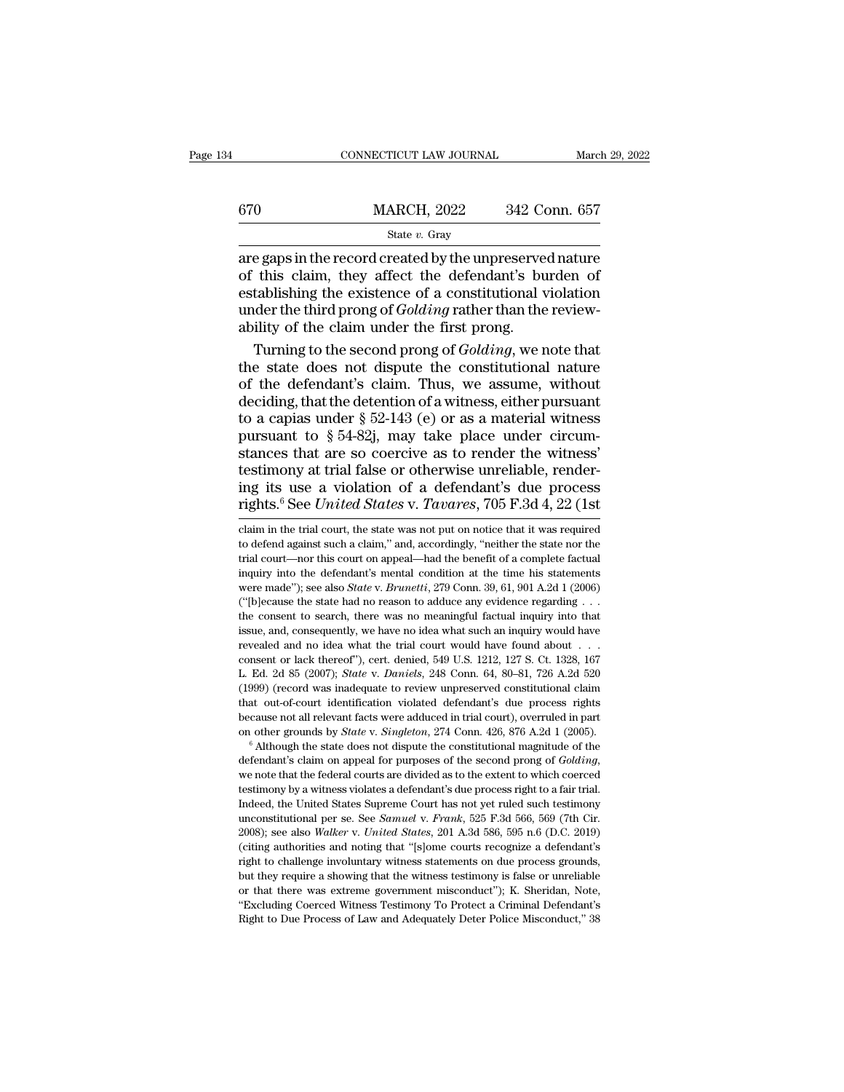|     | CONNECTICUT LAW JOURNAL | March 29, 2022 |
|-----|-------------------------|----------------|
| 670 | <b>MARCH, 2022</b>      | 342 Conn. 657  |
|     | State $v$ . Gray        |                |

 $\begin{array}{r|l} \hline \text{COMRECTICUT LAW JOURNAL} \qquad & \text{March 29, 2022} \ \hline \end{array}$ <br>  $\begin{array}{r} \hline \text{State } v. \text{ Gray} \ \hline \text{are gaps in the record created by the unpreserved nature} \ \hline \text{of this claim, they affect the defendant's burden of} \ \hline \end{array}$  $\frac{\text{MARCH, 2022}}{\text{State } v. \text{ Gray}}$ <br>
are gaps in the record created by the unpreserved nature<br>
of this claim, they affect the defendant's burden of<br>
establishing the existence of a constitutional violation<br>
under the third props  $\begin{array}{lll} \text{670} & \text{MARCH, 2022} & \text{342 Conn. 657} \\ & \text{State } v. \text{ Gray} \\ \hline \end{array}$  are gaps in the record created by the unpreserved nature of this claim, they affect the defendant's burden of establishing the existence of a constitutio MARCH, 2022 342 Conn. 657<br>
State *v*. Gray<br>
are gaps in the record created by the unpreserved nature<br>
of this claim, they affect the defendant's burden of<br>
establishing the existence of a constitutional violation<br>
under th  $\begin{array}{c} \hline \text{state } v. \text{ Gray} \end{array}$ <br>
are gaps in the record created by the unpreserve<br>
of this claim, they affect the defendant's bu<br>
establishing the existence of a constitutional v<br>
under the third prong of *Golding* rather state  $v$ . Gray<br>
e gaps in the record created by the unpreserved nature<br>
this claim, they affect the defendant's burden of<br>
tablishing the existence of a constitutional violation<br>
der the third prong of *Golding* rather t are gaps in the record created by the unpreserved nature<br>of this claim, they affect the defendant's burden of<br>establishing the existence of a constitutional violation<br>under the third prong of *Golding* rather than the revi

of this claim, they affect the defendant's burden of<br>establishing the existence of a constitutional violation<br>under the third prong of *Golding* rather than the review-<br>ability of the claim under the first prong.<br>Turning establishing the existence of a constitutional violation<br>under the third prong of *Golding* rather than the review-<br>ability of the claim under the first prong.<br>Turning to the second prong of *Golding*, we note that<br>the st under the third prong of *Golding* rather than the reviewability of the claim under the first prong.<br>Turning to the second prong of *Golding*, we note that<br>the state does not dispute the constitutional nature<br>of the defen ability of the claim under the first prong.<br>Turning to the second prong of *Golding*, we note that<br>the state does not dispute the constitutional nature<br>of the defendant's claim. Thus, we assume, without<br>deciding, that the Turning to the second prong of *Golding*, we note that<br>the state does not dispute the constitutional nature<br>of the defendant's claim. Thus, we assume, without<br>deciding, that the detention of a witness, either pursuant<br>to the state does not dispute the constitutional nature<br>of the defendant's claim. Thus, we assume, without<br>deciding, that the detention of a witness, either pursuant<br>to a capias under  $\S 52-143$  (e) or as a material witness<br> of the defendant's claim. Thus, we assume, without<br>deciding, that the detention of a witness, either pursuant<br>to a capias under  $\S 52-143$  (e) or as a material witness<br>pursuant to  $\S 54-82j$ , may take place under circum-<br> deciding, that the detention of a witness, either pursuant<br>to a capias under  $\S$  52-143 (e) or as a material witness<br>pursuant to  $\S$  54-82j, may take place under circum-<br>stances that are so coercive as to render the witne stances that are so coercive as to render the witness'<br>testimony at trial false or otherwise unreliable, render-<br>ing its use a violation of a defendant's due process<br>rights.<sup>6</sup> See *United States* v. *Tavares*, 705 F.3d 4, testimony at trial false or otherwise unreliable, rendering its use a violation of a defendant's due process rights.<sup>6</sup> See *United States* v. *Tavares*, 705 F.3d 4, 22 (1st claim in the trial court, the state was not put

defendant's claim on appeal for purposes of the second product and that out-of-court identification violated defendant's due process rights because not all relevant facts were adduced in trial court), overruled in part on the decause not all relevant facts were adduced in trial court), overruled in part<br>on other grounds by *State* v. *Singleton*, 274 Conn. 426, 876 A.2d 1 (2005).<br><sup>6</sup> Although the state does not dispute the constitutional ma In order prounds by *State* v. *Singleton*, 274 Conn. 426, 876 A.2d 1 (2005).<br> **The United State v. Singleton**, 274 Conn. 426, 876 A.2d 1 (2005).<br> **The defendant's claim on appeal for purposes of the second prong of** *Gold* <sup>6</sup> Although the state does not dispute the constitutional magnitude of the defendant's claim on appeal for purposes of the second prong of *Golding*, we note that the federal courts are divided as to the extent to which c defendant's claim on appeal for purposes of the second prong of *Golding*, we note that the federal courts are divided as to the extent to which coerced testimony by a witness violates a defendant's due process right to a we note that the federal courts are divided as to the extent to which coerced<br>testimony by a witness violates a defendant's due process right to a fair trial.<br>Indeed, the United States Supreme Court has not yet ruled such testimony by a witness violates a defendant's due process right to a fair trial. Indeed, the United States Supreme Court has not yet ruled such testimony unconstitutional per se. See *Samuel v. Frank*, 525 F.3d 566, 569 ( but the United States Supreme Court has not yet ruled such testimony unconstitutional per se. See *Samuel v. Frank*, 525 F.3d 566, 569 (7th Cir. 2008); see also *Walker v. United States*, 201 A.3d 586, 595 n.6 (D.C. 2019) unconstitutional per se. See *Samuel* v. *Frank*, 525 F.3d 566, 569 (7th Cir. 2008); see also *Walker* v. *United States*, 201 A.3d 586, 595 n.6 (D.C. 2019) (citing authorities and noting that "[s]ome courts recognize a d 2008); see also Walker v. United States, 201 A.3d 586, 595 n.6 (D.C. 2019) (citing authorities and noting that "[s]ome courts recognize a defendant's

ing its use a violation of a defendant's due process<br>rights.<sup>6</sup> See *United States v. Tavares*, 705 F.3d 4, 22 (1st<br>claim in the trial court, the state was not put on notice that it was required<br>to defend against such a c rights.<sup>6</sup> See *United States v. Tavares*, 705 F.3d 4, 22 (1st claim in the trial court, the state was not put on notice that it was required to defend against such a claim," and, accordingly, "neither the state nor the t Fights.<sup>2</sup> See *Untted States v. I dvares*, 105 F.3d 4,  $\angle$ 2 (Ist claim in the trial court, the state was not put on notice that it was required to defend against such a claim," and, accordingly, "neither the state nor t claim in the trial court, the state was not put on notice that it was required<br>to defend against such a claim," and, accordingly, "neither the state nor the<br>trial court—nor this court on appeal—had the benefit of a comple to defend against such a claim," and, accordingly, "neither the state nor the trial court—nor this court on appeal—had the benefit of a complete factual inquiry into the defendant's mental condition at the time his statem is trial court—nor this court on appeal—had the benefit of a complete factual inquiry into the defendant's mental condition at the time his statements were made"); see also *State* v. *Brunetti*, 279 Conn. 39, 61, 901 A.2 inquiry into the defendant's mental condition at the time his statements<br>were made"); see also *State* v. *Brunetti*, 279 Conn. 39, 61, 901 A.2d 1 (2006)<br>("[b]ecause the state had no reason to adduce any evidence regardin were made"); see also *State v. Brunetti*, 279 Conn. 39, 61, 901 A.2d 1 (2006)<br>
("[b]ecause the state had no reason to adduce any evidence regarding . . .<br>
the consent to search, there was no meaningful factual inquiry in ("[b]ecause the state had no reason to adduce any evidence regarding . . . the consent to search, there was no meaningful factual inquiry into that issue, and, consequently, we have no idea what such an inquiry would have (the consent to search, there was no meaningful factual inquiry into that issue, and, consequently, we have no idea what such an inquiry would have revealed and no idea what the trial court would have found about . . . con issue, and, consequently, we have no idea what such an inquiry would have revealed and no idea what the trial court would have found about  $\ldots$  consent or lack thereof"), cert. denied, 549 U.S. 1212, 127 S. Ct. 1328, 167 because and no idea what the trial court would have found about  $\cdot$ .<br>
consent or lack thereof"), cert. denied, 549 U.S. 1212, 127 S. Ct. 1328, 167<br>
L. Ed. 2d 85 (2007); *State* v. *Daniels*, 248 Conn. 64, 80–81, 726 A.2d consent or lack thereof"), cert. denied, 549 U.S. 1212, 127 S. Ct. 1328, 167 L. Ed. 2d 85 (2007); *State* v. *Daniels*, 248 Conn. 64, 80–81, 726 A.2d 520 (1999) (record was inadequate to review unpreserved constitutional c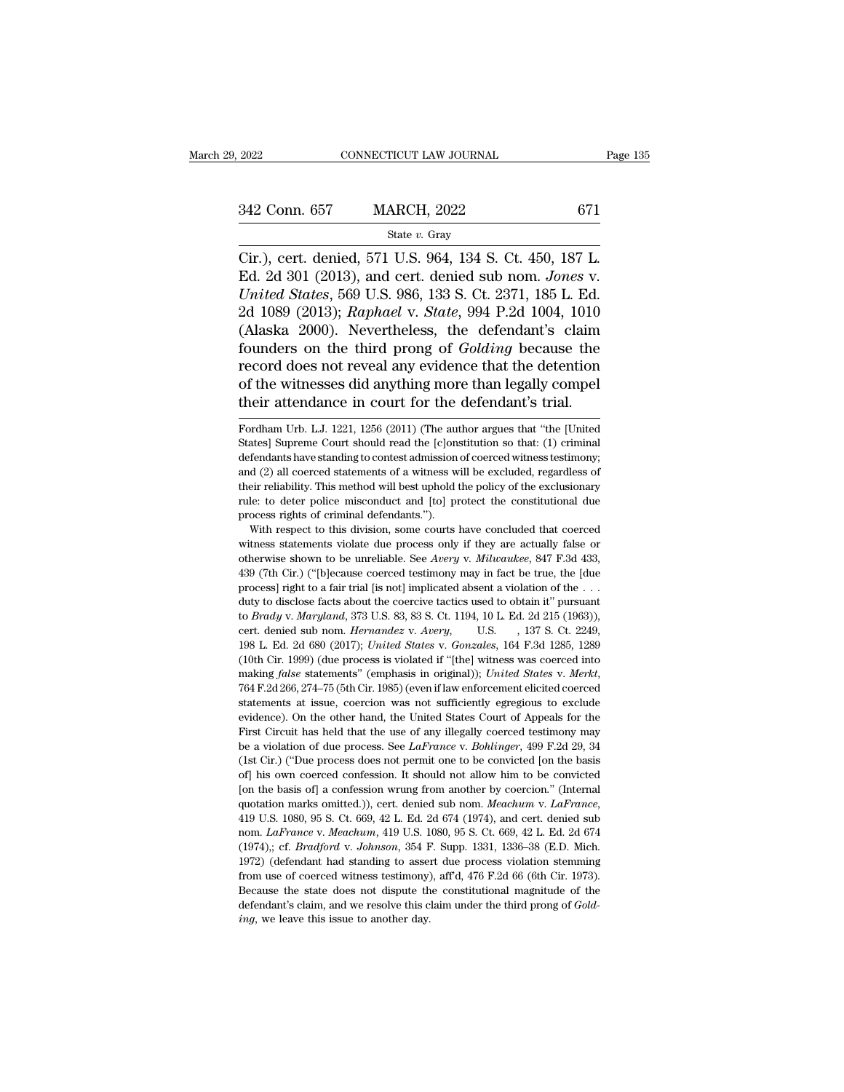CONNECTICUT LAW JOURNAL Page<br>
Cir.), cert. denied, 571 U.S. 964, 134 S. Ct. 450, 187 L.<br>
Ed. 2d 301 (2013), and cert. denied sub nom. *Jones* v.<br>
Theited States 560 U.S. 966, 133 S. Ct. 2371 185 L. 342 Conn. 657 MARCH, 2022 671<br>
<sup>State v. Gray</sup><br>
Cir.), cert. denied, 571 U.S. 964, 134 S. Ct. 450, 187 L.<br>
Ed. 2d 301 (2013), and cert. denied sub nom. *Jones* v.<br> *United States*, 569 U.S. 986, 133 S. Ct. 2371, 185 L. Ed. **Example 342 Conn. 657** MARCH, 2022 671<br> **United States** 8. Gray<br>
Cir.), cert. denied, 571 U.S. 964, 134 S. Ct. 450, 187 L.<br>
Ed. 2d 301 (2013), and cert. denied sub nom. *Jones* v.<br> *United States*, 569 U.S. 986, 133 S. Ct 342 Conn. 657 MARCH, 2022 671<br>
<sup>State v. Gray</sup><br>
Cir.), cert. denied, 571 U.S. 964, 134 S. Ct. 450, 187 L.<br>
Ed. 2d 301 (2013), and cert. denied sub nom. *Jones* v.<br> *United States*, 569 U.S. 986, 133 S. Ct. 2371, 185 L. Ed. State v. Gray<br>
(State v. Gray<br>
Cir.), cert. denied, 571 U.S. 964, 134 S. Ct. 450, 187 L.<br>
Ed. 2d 301 (2013), and cert. denied sub nom. *Jones v.*<br>
United States, 569 U.S. 986, 133 S. Ct. 2371, 185 L. Ed.<br>
2d 1089 (2013); state v. Gray<br>Cir.), cert. denied, 571 U.S. 964, 134 S. Ct. 450, 187 L.<br>Ed. 2d 301 (2013), and cert. denied sub nom. *Jones v.*<br>United States, 569 U.S. 986, 133 S. Ct. 2371, 185 L. Ed.<br>2d 1089 (2013); *Raphael v. State*, 9 Cir.), cert. denied, 571 U.S. 964, 134 S. Ct. 450, 187 L.<br>Ed. 2d 301 (2013), and cert. denied sub nom. *Jones v.*<br>*United States*, 569 U.S. 986, 133 S. Ct. 2371, 185 L. Ed.<br>2d 1089 (2013); *Raphael v. State*, 994 P.2d 1004 Ed. 2d 301 (2013), and cert. denied sub nom. *Jones v.*<br>
United States, 569 U.S. 986, 133 S. Ct. 2371, 185 L. Ed.<br>
2d 1089 (2013); *Raphael v. State*, 994 P.2d 1004, 1010<br>
(Alaska 2000). Nevertheless, the defendant's claim United States, 569 U.S. 986, 133 S. Ct. 2371, 185 L. Ed.<br>2d 1089 (2013); Raphael v. State, 994 P.2d 1004, 1010<br>(Alaska 2000). Nevertheless, the defendant's claim<br>founders on the third prong of *Golding* because the<br>record founders on the third prong of *Golding* because the record does not reveal any evidence that the detention of the witnesses did anything more than legally compel their attendance in court for the defendant's trial.<br>Fordha record does not reveal any evidence that the detention<br>of the witnesses did anything more than legally compel<br>their attendance in court for the defendant's trial.<br>Fordham Urb. L.J. 1221, 1256 (2011) (The author argues that

of the witnesses did anything more than legally compel<br>their attendance in court for the defendant's trial.<br>Fordham Urb. L.J. 1221, 1256 (2011) (The author argues that "the [United<br>States] Supreme Court should read the [c] their attendance in court for the defendant's trial.<br>Fordham Urb. L.J. 1221, 1256 (2011) (The author argues that "the [United States] Supreme Court should read the [c]onstitution so that: (1) criminal defendants have stand Fordham Urb. L.J. 1221, 1256 (2011) (The author argues that "the [United States] Supreme Court should read the [c]onstitution so that: (1) criminal defendants have standing to contest admission of coerced witness testimony Fordham Urb. L.J. 1221, 1256 (2011) (The author argues that "the [United States] Supreme Court should read the [c]onstitution so that: (1) criminal defendants have standing to contest admission of coerced witness testimony and (2) all coerced statements of a witness will be excluded, regardless of their reliability. This method will best uphold the policy of the exclusionary rule: to deter police misconduct and [to] protect the constitutiona fendants have standing to contest admission of coerced witness testimony;<br>d (2) all coerced statements of a witness will be excluded, regardless of<br>eir reliability. This method will best uphold the policy of the exclusiona and (2) all coerced statements of a witness will be excluded, regardless of their reliability. This method will best uphold the policy of the exclusionary rule: to deter police misconduct and [to] protect the constitution

their reliability. This method will best uphold the policy of the exclusionary<br>their reliability. This method will best uphold the policy of the exclusionary<br>rule: to deter police misconduct and [to] protect the constituti Figure 1.1 The constrained and to protect the constitutional due<br>process rights of criminal defendants.").<br>With respect to this division, some courts have concluded that coerced<br>witness statements violate due process only process rights of criminal defendants.").<br>
With respect to this division, some courts have concluded that coerced<br>
withess statements violate due process only if they are actually false or<br>
otherwise shown to be unreliable With respect to this division, some courts have concluded that coerced witness statements violate due process only if they are actually false or otherwise shown to be unreliable. See *Avery v. Milwaukee*, 847 F.3d 433, 43 witness statements violate due process only if they are actually false or otherwise shown to be unreliable. See *Avery* v. *Milwaukee*, 847 F.3d 433, 439 (7th Cir.) ("[b]ecause coerced testimony may in fact be true, the [d otherwise shown to be unreliable. See *Avery* v. *Milwaukee*, 847 F.3d 433, 439 (7th Cir.) ("[b]ecause coerced testimony may in fact be true, the [due process] right to a fair trial [is not] implicated absent a violation o 198 (7th Cir.) ("[b]ecause coerced testimony may in fact be true, the [due process] right to a fair trial [is not] implicated absent a violation of the ... duty to disclose facts about the coercive tactics used to obtain process] right to a fair trial [is not] implicated absent a violation of the  $\ldots$  duty to disclose facts about the coercive tactics used to obtain it" pursuant to *Brady* v. *Maryland*, 373 U.S. 83, 83 S. Ct. 1194, 10 L. factor of the corrider statements' (emphasis in original)); *Inited States* v. *Avery*, *U.S.* (emphasis 1981), *Accretic denied sub nom. <i>Hernandez v. Avery*, *U.S.* (137 S. Ct. 2249, 198 L. Ed. 2d 680 (2017); *United Sta* statements at issue, coercion was not sufficiently egregious to exclude evidence). On the other hand, the United States v. Gonzales, 164 F.3d 1285, 1289 (10th Cir. 1999) (due process is violated if "[the] witness was coer 198 L. Ed. 2d 680 (2017); United States v. Gonzales, 164 F.3d 1285, 1289 (10th Cir. 1999) (due process is violated if "[the] witness was coerced into making *false* statements" (emphasis in original)); United States v. Me First Circuit has held that the use of any illegally coerced testimony be a violated if "[the] withess was coerced into making *false* statements" (emphasis in original)); *United States v. Merkt*, 764 F.2d 266, 274–75 (5 reaction of the state priority (emphasis in original)); *United States v. Merkt*, 764 F.2d 266, 274–75 (5th Cir. 1985) (even if law enforcement elicited coerced statements at issue, coercion was not sufficiently egregious (1st Cir.) ("Bue process does not permit one to be convicted coerced statements at issue, coercion was not sufficiently egregious to exclude evidence). On the other hand, the United States Court of Appeals for the First C of the statements at issue, coercion was not sufficiently egregious to exclude evidence). On the other hand, the United States Court of Appeals for the First Circuit has held that the use of any illegally coerced testimon evidence). On the other hand, the United States Court of Appeals for the First Circuit has held that the use of any illegally coerced testimony may be a violation of due process. See *LaFrance* v. *Bohlinger*, 499 F.2d 29 First Circuit has held that the use of any illegally coerced testimony may<br>be a violation of due process. See *LaFrance* v. *Bohlinger*, 499 F.2d 29, 34<br>(1st Cir.) ("Due process does not permit one to be convicted [on the (1st Cir.) ("Due process does not permit one to be convicted [on the basis of] his own coerced confession. It should not allow him to be convicted [on the basis of] a confession wrung from another by coercion." (Internal q (of) his own coered confession. It should not allow him to be convicted [on the basis of] a confession wrung from another by coercion." (Internal quotation marks omitted.)), cert. denied sub nom. *Meachum v. LaFrance*, 419 1971 (Ion the basis of] a confession wrung from another by coercion." (Internal quotation marks omitted.)), cert. denied sub nom. *Meachum* v. *LaFrance*, 419 U.S. 1080, 95 S. Ct. 669, 42 L. Ed. 2d 674 (1974), and cert. d quotation marks omitted.)), cert. denied sub nom. *Meachum v. LaFrance*, 419 U.S. 1080, 95 S. Ct. 669, 42 L. Ed. 2d 674 (1974), and cert. denied sub nom. *LaFrance v. Meachum*, 419 U.S. 1080, 95 S. Ct. 669, 42 L. Ed. 2d 6 419 U.S. 1080, 95 S. Ct. 669, 42 L. Ed. 2d 674 (1974), and cert. denied sub<br>nom. *LaFrance v. Meachum*, 419 U.S. 1080, 95 S. Ct. 669, 42 L. Ed. 2d 674<br>(1974),; cf. *Bradford v. Johnson*, 354 F. Supp. 1331, 1336–38 (E.D. M nom. *LaFrance* v. *Meachum*, 419 U.S. 1080, 95 S. Ct. 669, 42 L. Ed. 2d 674 (1974),; cf. *Bradford* v. *Johnson*, 354 F. Supp. 1331, 1336–38 (E.D. Mich. 1972) (defendant had standing to assert due process violation stemmi (1974),; cf. Bradford v. Johnson, 354 F. Supp. 1331, 1336-38 (E.D. Mich.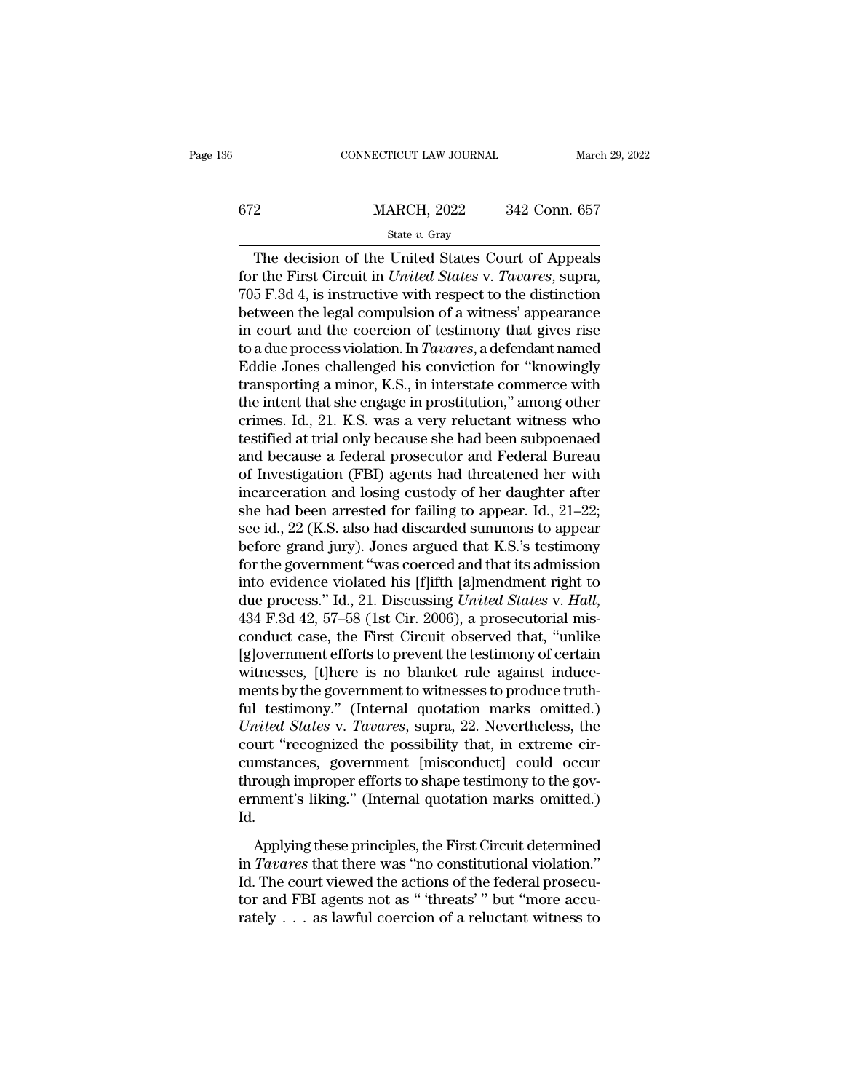| 6   | CONNECTICUT LAW JOURNAL | March 29, 2022 |
|-----|-------------------------|----------------|
| 672 | <b>MARCH, 2022</b>      | 342 Conn. 657  |
|     | State $v$ . Gray        |                |

CONNECTICUT LAW JOURNAL March 29, 2022<br>
2<br>
MARCH, 2022 342 Conn. 657<br>
State v. Gray<br>
The decision of the United States Court of Appeals<br>
r the First Circuit in *United States* v. *Tavares*, supra,<br>
5 F 34.4 is instructive for the First Circuit in *United States* Court of Appeals<br>
for the First Circuit in *United States* v. *Tavares*, supra,<br>
705 F.3d 4, is instructive with respect to the distinction<br>
between the local compulsion of a witnes  $\frac{\text{MARCH}}{\text{State } v. \text{ Gray}}$ <br>
The decision of the United States Court of Appeals<br>
for the First Circuit in *United States v. Tavares*, supra,<br>
705 F.3d 4, is instructive with respect to the distinction<br>
between the legal compul  $\frac{\text{MARCH}}{\text{State } v. \text{ Gray}}$ <br>
The decision of the United States Court of Appeals<br>
for the First Circuit in *United States v. Tavares*, supra,<br>
705 F.3d 4, is instructive with respect to the distinction<br>
between the legal compul State v. Gray<br>
State v. Gray<br>
The decision of the United States Court of Appeals<br>
for the First Circuit in United States v. Tavares, supra,<br>
705 F.3d 4, is instructive with respect to the distinction<br>
between the legal co State *v*. Gray<br>
The decision of the United States Court of Appeals<br>
for the First Circuit in *United States v. Tavares*, supra,<br>
705 F.3d 4, is instructive with respect to the distinction<br>
between the legal compulsion of The decision of the United States Court of Appeals<br>for the First Circuit in *United States* v. *Tavares*, supra,<br>705 F.3d 4, is instructive with respect to the distinction<br>between the legal compulsion of a witness' appeara for the First Circuit in *United States v. Tavares*, supra,<br>705 F.3d 4, is instructive with respect to the distinction<br>between the legal compulsion of a witness' appearance<br>in court and the coercion of testimony that give 705 F.3d 4, is instructive with respect to the distinction<br>between the legal compulsion of a witness' appearance<br>in court and the coercion of testimony that gives rise<br>to a due process violation. In *Tavares*, a defendant between the legal compulsion of a witness' appearance<br>in court and the coercion of testimony that gives rise<br>to a due process violation. In *Tavares*, a defendant named<br>Eddie Jones challenged his conviction for "knowingly<br> in court and the coercion of testimony that gives rise<br>to a due process violation. In *Tavares*, a defendant named<br>Eddie Jones challenged his conviction for "knowingly<br>transporting a minor, K.S., in interstate commerce wit to a due process violation. In *Tavares*, a defendant named<br>Eddie Jones challenged his conviction for "knowingly<br>transporting a minor, K.S., in interstate commerce with<br>the intent that she engage in prostitution," among ot Eddie Jones challenged his conviction for "knowingly<br>transporting a minor, K.S., in interstate commerce with<br>the intent that she engage in prostitution," among other<br>crimes. Id., 21. K.S. was a very reluctant witness who<br> transporting a minor, K.S., in interstate commerce with<br>the intent that she engage in prostitution," among other<br>crimes. Id., 21. K.S. was a very reluctant witness who<br>testified at trial only because she had been subpoena the intent that she engage in prostitution," among other<br>crimes. Id., 21. K.S. was a very reluctant witness who<br>testified at trial only because she had been subpoenaed<br>and because a federal prosecutor and Federal Bureau<br>o crimes. Id., 21. K.S. was a very reluctant witness who<br>testified at trial only because she had been subpoenaed<br>and because a federal prosecutor and Federal Bureau<br>of Investigation (FBI) agents had threatened her with<br>incar testified at trial only because she had been subpoenaed<br>and because a federal prosecutor and Federal Bureau<br>of Investigation (FBI) agents had threatened her with<br>incarceration and losing custody of her daughter after<br>she h and because a federal prosecutor and Federal Bureau<br>of Investigation (FBI) agents had threatened her with<br>incarceration and losing custody of her daughter after<br>she had been arrested for failing to appear. Id., 21–22;<br>see of Investigation (FBI) agents had threatened her with<br>incarceration and losing custody of her daughter after<br>she had been arrested for failing to appear. Id., 21–22;<br>see id., 22 (K.S. also had discarded summons to appear<br> incarceration and losing custody of her daughter after<br>she had been arrested for failing to appear. Id., 21–22;<br>see id., 22 (K.S. also had discarded summons to appear<br>before grand jury). Jones argued that K.S.'s testimony<br> see id., 22 (K.S. also had discarded summons to appear<br>before grand jury). Jones argued that K.S.'s testimony<br>for the government "was coerced and that its admission<br>into evidence violated his [f]ifth [a]mendment right to<br>d before grand jury). Jones argued that K.S.'s testimony<br>for the government "was coerced and that its admission<br>into evidence violated his [f]ifth [a]mendment right to<br>due process." Id., 21. Discussing *United States v. Hall* for the government "was coerced and that its admission<br>into evidence violated his [f]ifth [a]mendment right to<br>due process." Id., 21. Discussing *United States v. Hall*,<br>434 F.3d 42, 57–58 (1st Cir. 2006), a prosecutorial into evidence violated his [f]ifth [a]mendment right to due process." Id., 21. Discussing *United States v. Hall*, 434 F.3d 42, 57–58 (1st Cir. 2006), a prosecutorial misconduct case, the First Circuit observed that, "unl due process." Id., 21. Discussing *United States* v. *Hall*, 434 F.3d 42, 57–58 (1st Cir. 2006), a prosecutorial misconduct case, the First Circuit observed that, "unlike [g]overnment efforts to prevent the testimony of ce 434 F.3d 42, 57–58 (1st Cir. 2006), a prosecutorial misconduct case, the First Circuit observed that, "unlike [g]overnment efforts to prevent the testimony of certain witnesses, [t]here is no blanket rule against inducemen conduct case, the First Circuit observed that, "unlike [g]overnment efforts to prevent the testimony of certain witnesses, [t]here is no blanket rule against inducements by the government to witnesses to produce truth-<br>ful [g]overnment efforts to prevent the testimony of certain<br>witnesses, [t]here is no blanket rule against induce-<br>ments by the government to witnesses to produce truth-<br>ful testimony." (Internal quotation marks omitted.)<br>*Uni* witnesses, [t]here is no blanket rule against induce-<br>ments by the government to witnesses to produce truth-<br>ful testimony." (Internal quotation marks omitted.)<br>*United States* v. *Tavares*, supra, 22. Nevertheless, the<br>co ments by the government to witnesses to produce truth-<br>ful testimony." (Internal quotation marks omitted.)<br>*United States v. Tavares*, supra, 22. Nevertheless, the<br>court "recognized the possibility that, in extreme cir-<br>cu Id. Applying these principles, the First Circuit determined and applying these principles, the First Circuit determined and applying these principles, the First Circuit determined and applying these principles, the First Circu court Treesginate are possisting and, in entreme on<br>
cumstances, government [misconduct] could occur<br>
through improper efforts to shape testimony to the government's liking." (Internal quotation marks omitted.)<br>
Id.<br>
Apply

Example in proper efforts to shape testimony to the government's liking." (Internal quotation marks omitted.)<br>Id.<br>Applying these principles, the First Circuit determined<br>in *Tavares* that there was "no constitutional viola through interior of study to shape to<br>same in section of the set of the contract of the set of the Applying these principles, the First Circuit determined<br>in Tavares that there was "no constitutional violation."<br>Id. The c Id.<br>
Applying these principles, the First Circuit determined<br>
in *Tavares* that there was "no constitutional violation."<br>
Id. The court viewed the actions of the federal prosecu-<br>
tor and FBI agents not as "'threats'" but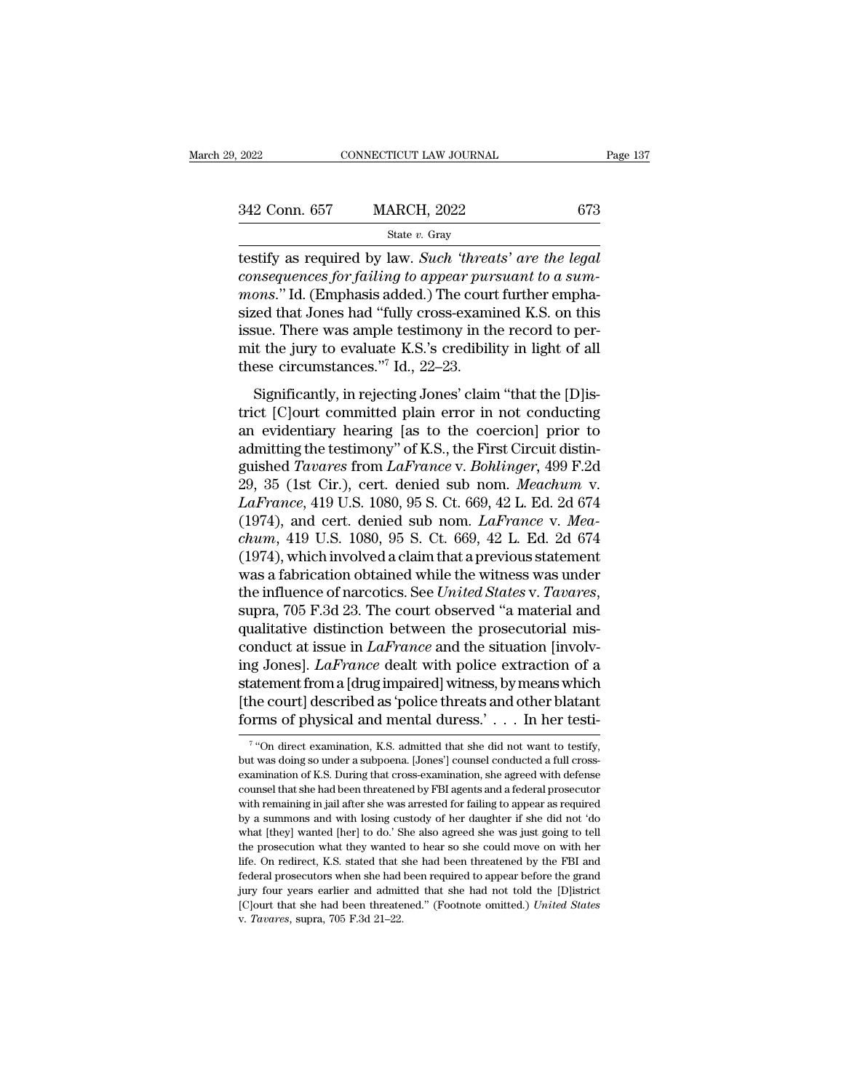The connection of the such that the search of the search of the search of the state v. Gray and the state v. Gray and the search of the legal consequences for failing to appear pursuant to a summons " Id (Emphasis added). <sup>242</sup> Conn. 657 MARCH, 2022 673<br>
<sup>242</sup> Conn. 657 MARCH, 2022 673<br>
<sup>2673</sup><br>
<sup>2673</sup><br>
<sup>2673</sup><br>
<sup>2673</sup><br>
<sup>2673</sup><br>
<sup>2673</sup><br>
<sup>2673</sup><br>
<sup>2673</sup><br>
<sup>2673</sup><br>
<sup>2673</sup><br>
<sup>2673</sup><br>
<sup>2673</sup><br>
<sup>2673</sup><br> *consequences for failing to appear pursuant to a su*  $\frac{342 \text{ Conn. } 657 \qquad \text{MARCH, } 2022 \qquad \qquad 673}$ <br> **Example 18 State v. Gray**<br> **Example 18 State v. Such 'threats' are the legal**<br> **Consequences for failing to appear pursuant to a sum-**<br> *mons.*" Id. (Emphasis added.) The cou 342 Conn. 657 MARCH, 2022 673<br>
State v. Gray<br>
testify as required by law. Such 'threats' are the legal<br>
consequences for failing to appear pursuant to a sum-<br>
mons." Id. (Emphasis added.) The court further empha-<br>
sized t State v. Gray<br>
state v. Gray<br>
testify as required by law. Such 'threats' are the legal<br>
consequences for failing to appear pursuant to a sum-<br>
mons." Id. (Emphasis added.) The court further empha-<br>
sized that Jones had "f state v. Gray<br>testify as required by law. Such 'threats' are the legal<br>consequences for failing to appear pursuant to a sum-<br>mons." Id. (Emphasis added.) The court further empha-<br>sized that Jones had "fully cross-examined testify as required by law. Such 'threa<br>consequences for failing to appear pur<br>mons." Id. (Emphasis added.) The cour<br>sized that Jones had "fully cross-exami<br>issue. There was ample testimony in th<br>mit the jury to evaluate K ons." Id. (Emphasis added.) The court further empha-<br>ced that Jones had "fully cross-examined K.S. on this<br>sue. There was ample testimony in the record to per-<br>it the jury to evaluate K.S.'s credibility in light of all<br>es sized that Jones had "fully cross-examined K.S. on this<br>issue. There was ample testimony in the record to per-<br>mit the jury to evaluate K.S.'s credibility in light of all<br>these circumstances."<sup>7</sup> Id., 22–23.<br>Significantly

issue. There was ample testimony in the record to permit the jury to evaluate K.S.'s credibility in light of all<br>these circumstances."<sup>7</sup> Id., 22–23.<br>Significantly, in rejecting Jones' claim "that the [D]is-<br>trict [C]ourt assae. There was any<br>formulate K.S.'s credibility in light of all these circumstances."<br>The K.S.'s credibility in light of all these circumstances."<br>The K.S.'s credibility in light of all these circumstances."<br>Significant mate inc. *T* and *Lagrances.*<sup>77</sup> Id., 22–23.<br>
Significantly, in rejecting Jones' claim "that the [D]istrict [C]ourt committed plain error in not conducting<br>
an evidentiary hearing [as to the coercion] prior to<br>
admitting Significantly, in rejecting Jones' claim "that the [D]istrict [C]ourt committed plain error in not conducting<br>an evidentiary hearing [as to the coercion] prior to<br>admitting the testimony" of K.S., the First Circuit distin-Significantly, in rejecting Jones' claim "that the [D]istrict [C]ourt committed plain error in not conducting<br>an evidentiary hearing [as to the coercion] prior to<br>admitting the testimony" of K.S., the First Circuit distintrict [C]ourt committed plain error in not conducting<br>an evidentiary hearing [as to the coercion] prior to<br>admitting the testimony" of K.S., the First Circuit distin-<br>guished *Tavares* from *LaFrance* v. *Bohlinger*, 499 F an evidentiary hearing [as to the coercion] prior to<br>admitting the testimony" of K.S., the First Circuit distin-<br>guished *Tavares* from *LaFrance* v. *Bohlinger*, 499 F.2d<br>29, 35 (1st Cir.), cert. denied sub nom. *Meachum* admitting the testimony" of K.S., the First Circuit distinguished *Tavares* from *LaFrance* v. *Bohlinger*, 499 F.2d<br>29, 35 (1st Cir.), cert. denied sub nom. *Meachum* v.<br>*LaFrance*, 419 U.S. 1080, 95 S. Ct. 669, 42 L. Ed. guished *Tavares* from *LaFrance* v. *Bohlinger*, 499 F.2d<br>29, 35 (1st Cir.), cert. denied sub nom. *Meachum* v.<br>*LaFrance*, 419 U.S. 1080, 95 S. Ct. 669, 42 L. Ed. 2d 674<br>(1974), and cert. denied sub nom. *LaFrance* v. *M* 29, 35 (1st Cir.), cert. denied sub nom. *Meachum* v.<br>LaFrance, 419 U.S. 1080, 95 S. Ct. 669, 42 L. Ed. 2d 674<br>(1974), and cert. denied sub nom. LaFrance v. *Mea-*<br>chum, 419 U.S. 1080, 95 S. Ct. 669, 42 L. Ed. 2d 674<br>(1974 (1974), and cert. denied sub nom. *LaFrance v. Mea-chum*, 419 U.S. 1080, 95 S. Ct. 669, 42 L. Ed. 2d 674 (1974), which involved a claim that a previous statement was a fabrication obtained while the witness was under the *chum*, 419 U.S. 1080, 95 S. Ct. 669, 42 L. Ed. 2d 674 (1974), which involved a claim that a previous statement was a fabrication obtained while the witness was under the influence of narcotics. See *United States* v. *Tav* (1974), which involved a claim that a previous statement<br>was a fabrication obtained while the witness was under<br>the influence of narcotics. See *United States* v. *Tavares*,<br>supra, 705 F.3d 23. The court observed "a mater was a fabrication obtained while the witness was under<br>the influence of narcotics. See *United States* v. *Tavares*,<br>supra, 705 F.3d 23. The court observed "a material and<br>qualitative distinction between the prosecutorial the influence of narcotics. See *United States* v. *Tavares*, supra, 705 F.3d 23. The court observed "a material and qualitative distinction between the prosecutorial misconduct at issue in *LaFrance* and the situation [i supra, 705 F.3d 23. The court observed "a material and qualitative distinction between the prosecutorial misconduct at issue in *LaFrance* and the situation [involving Jones]. *LaFrance* dealt with police extraction of a g Jones]. *LaFrance* dealt with police extraction of a idement from a [drug impaired] witness, by means which i.e court] described as 'police threats and other blatant rms of physical and mental duress.' . . . . In her te statement from a [drug impaired] witness, by means which<br>[the court] described as 'police threats and other blatant<br>forms of physical and mental duress.' . . . In her testi-<br> $\frac{7}{100}$  direct examination, K.S. admitted t

<sup>&</sup>lt;sup>7</sup> "On direct examination, K.S. admitted that she did not want to testify, [the court] described as 'police threats and other blatant<br>forms of physical and mental duress.' . . . . In her testi-<br> $\frac{1}{100}$  of direct examination, K.S. admitted that she did not want to testify,<br>but was doing so un forms of physical and mental duress.'... In her testi-<br>
<sup>7</sup> "On direct examination, K.S. admitted that she did not want to testify,<br>
but was doing so under a subpoena. [Jones'] counsel conducted a full cross-<br>
examination The contribution of privide and intertion tures.<br>
The result-<br>
The contribution was doing so under a subpoena. [Jones'] counsel conducted a full cross-<br>
examination of K.S. During that cross-examination, she agreed with d <sup>7</sup> "On direct examination, K.S. admitted that she did not want to testify, but was doing so under a subpoena. [Jones'] counsel conducted a full cross-examination of K.S. During that cross-examination, she agreed with def but was doing so under a subpoena. [Jones'] counsel conducted a full cross-<br>examination of K.S. During that cross-examination, she agreed with defense<br>counsel that she had been threatened by FBI agents and a federal prosec examination of K.S. During that cross-examination, she agreed with defense counsel that she had been threatened by FBI agents and a federal prosecutor with remaining in jail after she was arrested for failing to appear as counsel that she had been threatened by FBI agents and a federal prosecutor with remaining in jail after she was arrested for failing to appear as required by a summons and with losing custody of her daughter if she did no with remaining in jail after she was arrested for failing to appear as required<br>by a summons and with losing custody of her daughter if she did not 'do<br>what [they] wanted [her] to do.' She also agreed she was just going to with remaining in jail after she was arrested for failing to appear as required by a summons and with losing custody of her daughter if she did not 'do what [they] wanted [her] to do.' She also agreed she was just going t Exploration what floods also agreed she was just going to tell<br>the prosecution what they wanted to hear so she could move on with her<br>life. On redirect, K.S. stated that she had been threatened by the FBI and<br>federal prose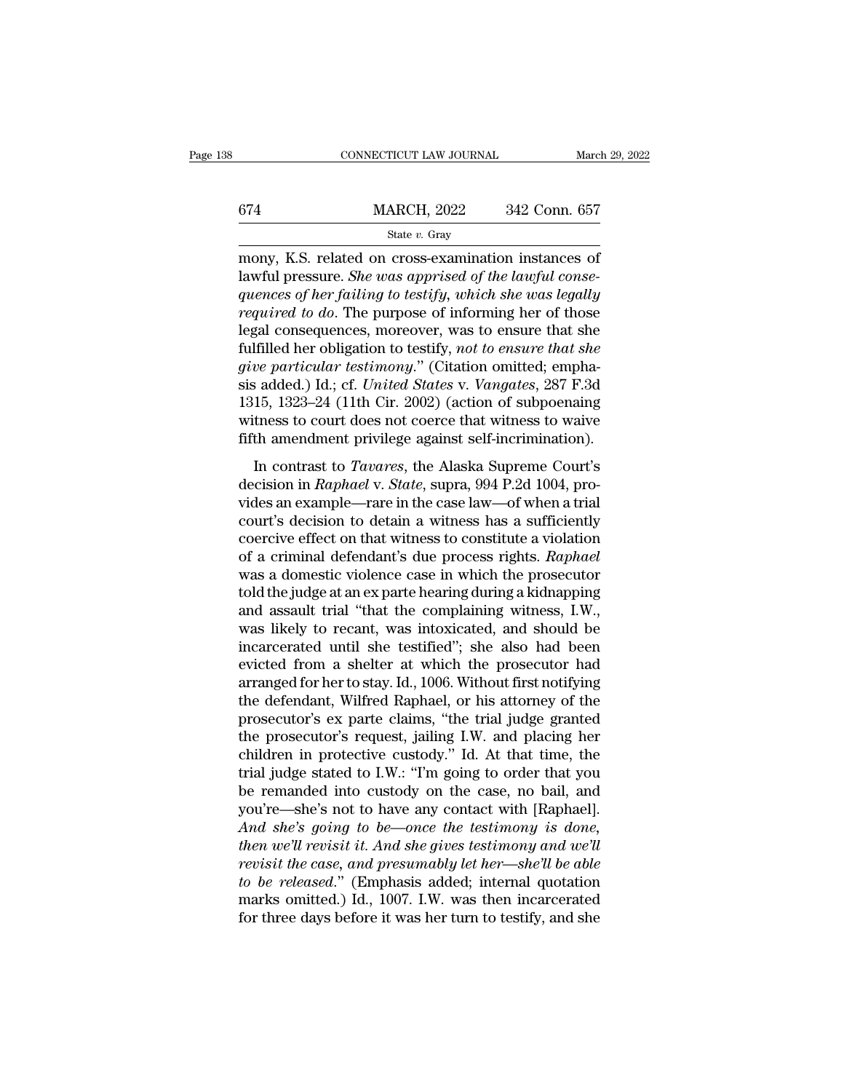# $\begin{array}{r|l}\n\text{CONNECTICUT LAW JOURNAL} & \text{March 29, 2022} \\
\hline\n\text{674} & \text{MARCH, 2022} & \text{342 Conn. 657} \\
\hline\n\text{State } v. \text{ Gray}\n\end{array}$ State *v.* Gray

CONNECTICUT LAW JOURNAL March 29, 202<br>
MARCH, 2022 342 Conn. 657<br>
State v. Gray<br>
mony, K.S. related on cross-examination instances of<br>
lawful pressure. She was apprised of the lawful consequences of her failing to testify, of the State v. Gray<br>
State v. Gray<br>
State v. Gray<br>
State v. Gray<br>
State v. Gray<br>
State v. Gray<br>
State v. Gray<br>
State v. Gray<br>
State v. Gray<br>
State in the lawful conse-<br> *quences of her failing to testify, which she was le germannia and MARCH, 2022 quences of state v. Gray*<br>*guences of her failing to testify, which she was legally*<br>*required to do.* The purpose of informing her of those<br>legal consequences moreover was to ensure that she  $\frac{\text{MARCH, 2022}}{\text{State } v. \text{ Gray}}$ <br> **regularity**<br> **reprovements**<br> **reprovements**<br> **required to do. The purpose of informing her of those**<br> **required to do. The purpose of informing her of those**<br> **legal consequences, moreover,** State v. Gray<br>
State v. Gray<br>
mony, K.S. related on cross-examination instances of<br>
lawful pressure. She was apprised of the lawful consequences of her failing to testify, which she was legally<br>
required to do. The purpos state v. Gray<br>mony, K.S. related on cross-examination instances of<br>lawful pressure. *She was apprised of the lawful conse-*<br>quences of her failing to testify, which she was legally<br>required to do. The purpose of informing mony, K.S. related on cross-examination instances of lawful pressure. *She was apprised of the lawful consequences of her failing to testify, which she was legally required to do. The purpose of informing her of those lega* lawful pressure. *She was apprised of the lawful consequences of her failing to testify, which she was legally required to do.* The purpose of informing her of those legal consequences, moreover, was to ensure that she ful quences of her failing to testify, which she was legally<br>required to do. The purpose of informing her of those<br>legal consequences, moreover, was to ensure that she<br>fulfilled her obligation to testify, not to ensure that sh required to do. The purpose of informing her of those<br>legal consequences, moreover, was to ensure that she<br>fulfilled her obligation to testify, *not to ensure that she*<br>give particular testimony." (Citation omitted; emphalegal consequences, moreover, was to ensure that she<br>fulfilled her obligation to testify, *not to ensure that she*<br>give particular testimony." (Citation omitted; empha-<br>sis added.) Id.; cf. *United States* v. *Vangates*, 2 Inned Ref Songalish to costly, hot to cheate that the<br>two particular testimony." (Citation omitted; empha-<br>is added.) Id.; cf. United States v. Vangates, 287 F.3d<br>15, 1323–24 (11th Cir. 2002) (action of subpoenaing<br>tness t sis added.) Id.; cf. *United States* v. *Vangates*, 287 F.3d<br>1315, 1323–24 (11th Cir. 2002) (action of subpoenaing<br>witness to court does not coerce that witness to waive<br>fifth amendment privilege against self-incrimination

1315, 1323–24 (11th Cir. 2002) (action of subpoenaing<br>1315, 1323–24 (11th Cir. 2002) (action of subpoenaing<br>fifth amendment privilege against self-incrimination).<br>In contrast to *Tavares*, the Alaska Supreme Court's<br>decis rore, 1929 21 (11a) on: 2002) (action of subpooraing<br>witness to court does not coerce that witness to waive<br>fifth amendment privilege against self-incrimination).<br>In contrast to *Tavares*, the Alaska Supreme Court's<br>decis fifth amendment privilege against self-incrimination).<br>In contrast to *Tavares*, the Alaska Supreme Court's<br>decision in *Raphael* v. *State*, supra, 994 P.2d 1004, pro-<br>vides an example—rare in the case law—of when a tria In contrast to *Tavares*, the Alaska Supreme Court's<br>decision in *Raphael* v. *State*, supra, 994 P.2d 1004, pro-<br>vides an example—rare in the case law—of when a trial<br>court's decision to detain a witness has a sufficientl In contrast to *Tavares*, the Alaska Supreme Court's<br>decision in *Raphael* v. *State*, supra, 994 P.2d 1004, pro-<br>vides an example—rare in the case law—of when a trial<br>court's decision to detain a witness has a sufficient decision in *Raphael* v. *State*, supra, 994 P.2d 1004, provides an example—rare in the case law—of when a trial<br>court's decision to detain a witness has a sufficiently<br>coercive effect on that witness to constitute a viola vides an example—rare in the case law—of when a trial<br>court's decision to detain a witness has a sufficiently<br>coercive effect on that witness to constitute a violation<br>of a criminal defendant's due process rights. *Raphael* court's decision to detain a witness has a sufficiently<br>coercive effect on that witness to constitute a violation<br>of a criminal defendant's due process rights. *Raphael*<br>was a domestic violence case in which the prosecutor coercive effect on that witness to constitute a violation<br>of a criminal defendant's due process rights. *Raphael*<br>was a domestic violence case in which the prosecutor<br>told the judge at an ex parte hearing during a kidnappi of a criminal defendant's due process rights. *Raphael*<br>was a domestic violence case in which the prosecutor<br>told the judge at an ex parte hearing during a kidnapping<br>and assault trial "that the complaining witness, I.W.,<br> was a domestic violence case in which the prosecutor<br>told the judge at an ex parte hearing during a kidnapping<br>and assault trial "that the complaining witness, I.W.,<br>was likely to recant, was intoxicated, and should be<br>inc told the judge at an ex parte hearing during a kidnapping<br>and assault trial "that the complaining witness, I.W.,<br>was likely to recant, was intoxicated, and should be<br>incarcerated until she testified"; she also had been<br>evi and assault trial "that the complaining witness, I.W.,<br>was likely to recant, was intoxicated, and should be<br>incarcerated until she testified"; she also had been<br>evicted from a shelter at which the prosecutor had<br>arranged f was likely to recant, was intoxicated, and should be<br>incarcerated until she testified"; she also had been<br>evicted from a shelter at which the prosecutor had<br>arranged for her to stay. Id., 1006. Without first notifying<br>the incarcerated until she testified"; she also had been<br>evicted from a shelter at which the prosecutor had<br>arranged for her to stay. Id., 1006. Without first notifying<br>the defendant, Wilfred Raphael, or his attorney of the<br>pr evicted from a shelter at which the prosecutor had<br>arranged for her to stay. Id., 1006. Without first notifying<br>the defendant, Wilfred Raphael, or his attorney of the<br>prosecutor's ex parte claims, "the trial judge granted<br> arranged for her to stay. Id., 1006. Without first notifying<br>the defendant, Wilfred Raphael, or his attorney of the<br>prosecutor's ex parte claims, "the trial judge granted<br>the prosecutor's request, jailing I.W. and placing the defendant, Wilfred Raphael, or his attorney of the<br>prosecutor's ex parte claims, "the trial judge granted<br>the prosecutor's request, jailing I.W. and placing her<br>children in protective custody." Id. At that time, the<br>tr prosecutor's ex parte claims, "the trial judge granted<br>the prosecutor's request, jailing I.W. and placing her<br>children in protective custody." Id. At that time, the<br>trial judge stated to I.W.: "I'm going to order that you<br> the prosecutor's request, jailing I.W. and placing her children in protective custody." Id. At that time, the trial judge stated to I.W.: "I'm going to order that you be remanded into custody on the case, no bail, and you' children in protective custody." Id. At that time, the<br>trial judge stated to I.W.: "I'm going to order that you<br>be remanded into custody on the case, no bail, and<br>you're—she's not to have any contact with [Raphael].<br>And sh *trial judge stated to I.W.: "I'm going to order that you*<br>be remanded into custody on the case, no bail, and<br>you're—she's not to have any contact with [Raphael].<br>And *she's going to be—once the testimony is done,*<br>then we be remanded into custody on the case, no bail, and<br>you're—she's not to have any contact with [Raphael].<br>And she's going to be—once the testimony is done,<br>then we'll revisit it. And she gives testimony and we'll<br>revisit the you're—she's not to have any contact with [Raphael].<br>And she's going to be—once the testimony is done,<br>then we'll revisit it. And she gives testimony and we'll<br>revisit the case, and presumably let her—she'll be able<br>to be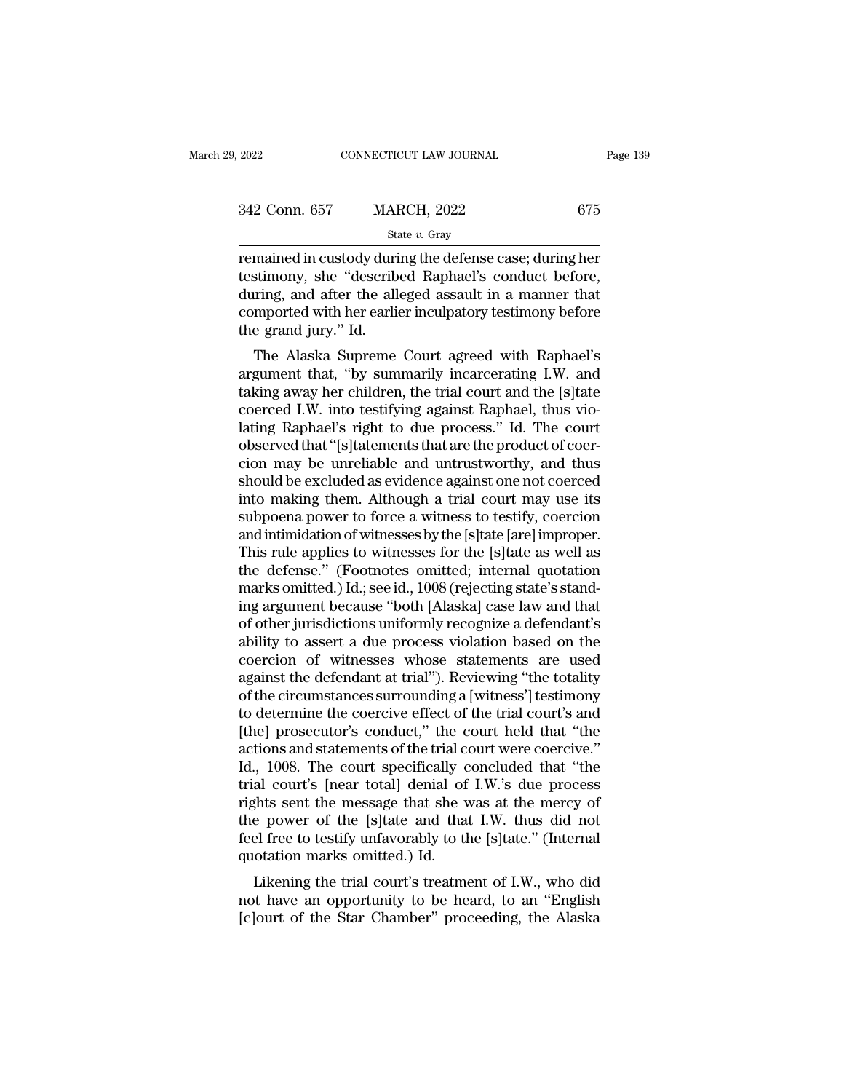| 2022          | CONNECTICUT LAW JOURNAL | Page 139 |  |
|---------------|-------------------------|----------|--|
|               |                         |          |  |
| 342 Conn. 657 | <b>MARCH, 2022</b>      | 675      |  |
|               | State $v$ . Gray        |          |  |

 $\begin{array}{r|l} \text{2022} & \text{CONPECTICUT LAW JOURNAL} & \text{Page 139} \ \hline \text{342 Conn. } 657 & \text{MARCH, } 2022 & 675 \ \hline \text{state } v. \text{ Gray} & \text{remainder in custody during the defense case; during her testimony, she "described Raphael's conduct before, during and after the allocated sesult in a manner that.} \end{array}$  $\begin{array}{r} \text{342 Conn. 657} \qquad \text{MARCH, 2022} \qquad \qquad \text{675} \ \text{State } v. \text{ Gray} \ \text{remained in custody during the defense case; during her} \ \text{testimony, she "described Raphael's conduct before, during, and after the alleged assault in a manner that computed with her earlier inculatory totimony before.} \end{array}$  $\begin{array}{c|l} \text{342 Conn. 657} & \text{MARCH, 2022} & \text{675} \ \hline \\ \text{State } v. \text{ Gray} \end{array}$  remained in custody during the defense case; during her testimony, she "described Raphael's conduct before, during, and after the alleged assault in a ma 342 Conn. 657 MARCH, 2022 675<br>
State v. Gray<br>
Termained in custody during the defense case; during her<br>
testimony, she "described Raphael's conduct before,<br>
during, and after the alleged assault in a manner that<br>
comporte the grand jury.'' Id. mained in custody during the defense case; during her<br>stimony, she "described Raphael's conduct before,<br>ring, and after the alleged assault in a manner that<br>mported with her earlier inculpatory testimony before<br>e grand jur remained in custody during the defense case, during her<br>testimony, she "described Raphael's conduct before,<br>during, and after the alleged assault in a manner that<br>comported with her earlier inculpatory testimony before<br>the

testimony, site described naphaer's conduct before,<br>during, and after the alleged assault in a manner that<br>comported with her earlier inculpatory testimony before<br>the grand jury." Id.<br>The Alaska Supreme Court agreed with R during, and after the aneged assault in a mail term comported with her earlier inculpatory testimony before the grand jury." Id.<br>The Alaska Supreme Court agreed with Raphael's argument that, "by summarily incarcerating I.W Example 12 and the product of component that, "by summarily incarcerating I.W. and taking away her children, the trial court and the [s]tate coerced I.W. into testifying against Raphael, thus violating Raphael's right to d The Alaska Supreme Court agreed with Raphael's<br>argument that, "by summarily incarcerating I.W. and<br>taking away her children, the trial court and the [s]tate<br>coerced I.W. into testifying against Raphael, thus vio-<br>lating Ra The Alaska Supreme Court agreed with Raphael's<br>argument that, "by summarily incarcerating I.W. and<br>taking away her children, the trial court and the [s]tate<br>coerced I.W. into testifying against Raphael, thus vio-<br>lating Ra argument that, "by summarily incarcerating I.W. and<br>taking away her children, the trial court and the [s]tate<br>coerced I.W. into testifying against Raphael, thus vio-<br>lating Raphael's right to due process." Id. The court<br>ob taking away her children, the trial court and the [s]tate<br>coerced I.W. into testifying against Raphael, thus vio-<br>lating Raphael's right to due process." Id. The court<br>observed that "[s]tatements that are the product of co coerced I.W. into testifying against Raphael, thus violating Raphael's right to due process." Id. The court<br>observed that "[s]tatements that are the product of coercion may be unreliable and untrustworthy, and thus<br>should lating Raphael's right to due process." Id. The court<br>observed that "[s]tatements that are the product of coer-<br>cion may be unreliable and untrustworthy, and thus<br>should be excluded as evidence against one not coerced<br>into observed that "[s]tatements that are the product of coercion may be unreliable and untrustworthy, and thus<br>should be excluded as evidence against one not coerced<br>into making them. Although a trial court may use its<br>subpoen cion may be unreliable and untrustworthy, and thus<br>should be excluded as evidence against one not coerced<br>into making them. Although a trial court may use its<br>subpoena power to force a witness to testify, coercion<br>and inti should be excluded as evidence against one not coerced<br>into making them. Although a trial court may use its<br>subpoena power to force a witness to testify, coercion<br>and intimidation of witnesses by the [s]tate [are] improper into making them. Although a trial court may use its<br>subpoena power to force a witness to testify, coercion<br>and intimidation of witnesses by the [s]tate [are] improper.<br>This rule applies to witnesses for the [s]tate as wel subpoena power to force a witness to testify, coercion<br>and intimidation of witnesses by the [s]tate [are] improper.<br>This rule applies to witnesses for the [s]tate as well as<br>the defense." (Footnotes omitted; internal quota and intimidation of witnesses by the [s]tate [are] improper.<br>This rule applies to witnesses for the [s]tate as well as<br>the defense." (Footnotes omitted; internal quotation<br>marks omitted.) Id.; see id., 1008 (rejecting stat This rule applies to witnesses for the [s]tate as well as<br>the defense." (Footnotes omitted; internal quotation<br>marks omitted.) Id.; see id., 1008 (rejecting state's stand-<br>ing argument because "both [Alaska] case law and t the defense." (Footnotes omitted; internal quotation<br>marks omitted.) Id.; see id., 1008 (rejecting state's stand-<br>ing argument because "both [Alaska] case law and that<br>of other jurisdictions uniformly recognize a defendant marks omitted.) Id.; see id., 1008 (rejecting state's standing argument because "both [Alaska] case law and that<br>of other jurisdictions uniformly recognize a defendant's<br>ability to assert a due process violation based on t ing argument because "both [Alaska] case law and that<br>of other jurisdictions uniformly recognize a defendant's<br>ability to assert a due process violation based on the<br>coercion of witnesses whose statements are used<br>against of other jurisdictions uniformly recognize a defendant's<br>ability to assert a due process violation based on the<br>coercion of witnesses whose statements are used<br>against the defendant at trial''). Reviewing "the totality<br>of ability to assert a due process violation based on the coercion of witnesses whose statements are used against the defendant at trial"). Reviewing "the totality of the circumstances surrounding a [witness'] testimony to de coercion of witnesses whose statements are used<br>against the defendant at trial"). Reviewing "the totality<br>of the circumstances surrounding a [witness'] testimony<br>to determine the coercive effect of the trial court's and<br>[t against the defendant at trial"). Reviewing "the totality<br>of the circumstances surrounding a [witness'] testimony<br>to determine the coercive effect of the trial court's and<br>[the] prosecutor's conduct," the court held that " of the circumstances surrounding a [witness'] testimony<br>to determine the coercive effect of the trial court's and<br>[the] prosecutor's conduct," the court held that "the<br>actions and statements of the trial court were coerciv to determine the coercive effect of the trial court's and<br>[the] prosecutor's conduct," the court held that "the<br>actions and statements of the trial court were coercive."<br>Id., 1008. The court specifically concluded that "th [the] prosecutor's conduct," the court held that "the actions and statements of the trial court were coercive."<br>Id., 1008. The court specifically concluded that "the<br>trial court's [near total] denial of I.W.'s due process<br> actions and statements of the trial c<br>Id., 1008. The court specifically c<br>trial court's [near total] denial of<br>rights sent the message that she v<br>the power of the [s]tate and tha<br>feel free to testify unfavorably to th<br>quot dependent of I.W.'s due process<br>
ghts sent the message that she was at the mercy of<br>
ghts sent the message that she was at the mercy of<br>
e power of the [s]tate and that I.W. thus did not<br>
el free to testify unfavorably to rian court's [near totar] defiled of 1.w.'s due process<br>rights sent the message that she was at the mercy of<br>the power of the [s]tate and that I.W. thus did not<br>feel free to testify unfavorably to the [s]tate." (Internal<br>q rights sent the message that she was at the hercy of<br>the power of the [s]tate and that I.W. thus did not<br>feel free to testify unfavorably to the [s]tate." (Internal<br>quotation marks omitted.) Id.<br>Likening the trial court's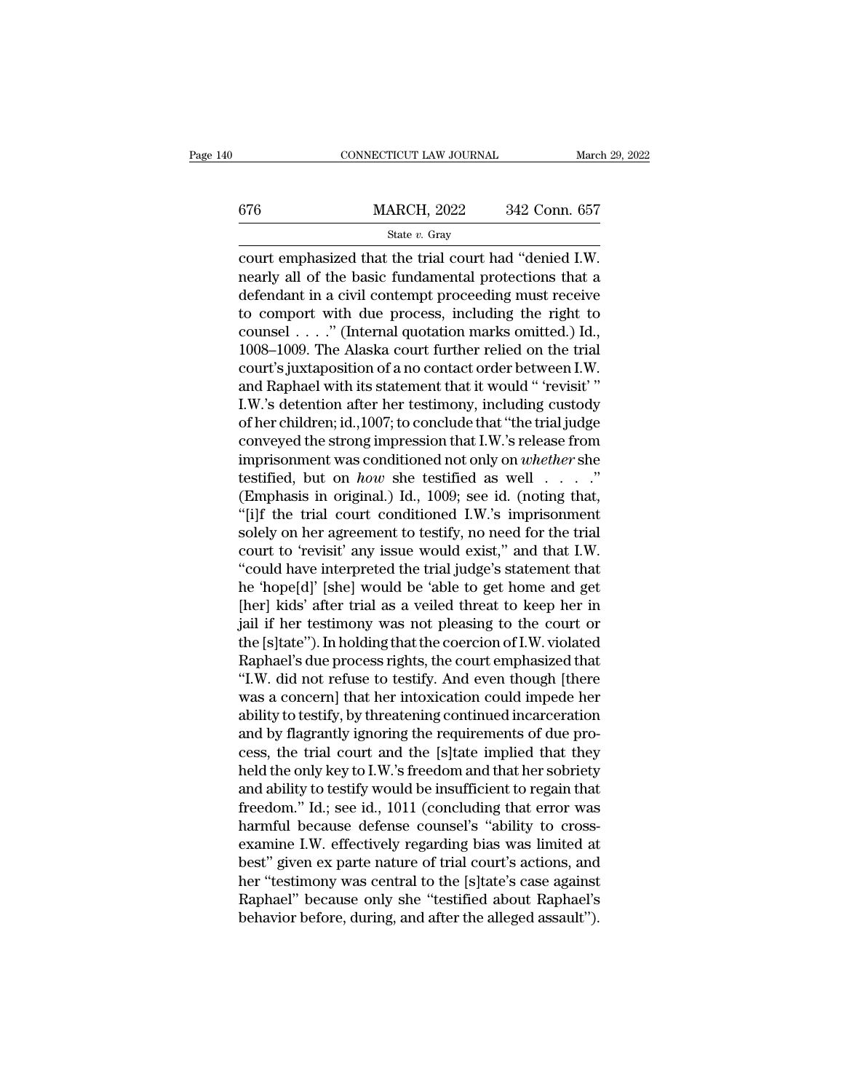|     | CONNECTICUT LAW JOURNAL |               | March 29, 2022 |
|-----|-------------------------|---------------|----------------|
|     |                         |               |                |
| 676 | <b>MARCH, 2022</b>      | 342 Conn. 657 |                |
|     | State $v$ . Gray        |               |                |

CONNECTICUT LAW JOURNAL March 29, 2<br>
676 MARCH, 2022 342 Conn. 657<br>
State v. Gray<br>
Court emphasized that the trial court had "denied I.W.<br>
nearly all of the basic fundamental protections that a<br>
defendent in a civil conten  $\frac{\text{MARCH}}{\text{State } v. \text{ Gray}}$ <br>  $\frac{\text{State } v. \text{ Gray}}{\text{count emphasized that the trial court had "denied I.W.}}$ <br>
nearly all of the basic fundamental protections that a defendant in a civil contempt proceeding must receive  $\frac{\text{MARCH, 2022}}{\text{State } v. \text{ Gray}}$ <br>
court emphasized that the trial court had "denied I.W.<br>
nearly all of the basic fundamental protections that a<br>
defendant in a civil contempt proceeding must receive<br>
to comport with due proc 676 MARCH, 2022 342 Conn. 657<br>
State v. Gray<br>
court emphasized that the trial court had "denied I.W.<br>
nearly all of the basic fundamental protections that a<br>
defendant in a civil contempt proceeding must receive<br>
to compo State  $v$ . Gray<br>
court emphasized that the trial court had "denied I.W.<br>
nearly all of the basic fundamental protections that a<br>
defendant in a civil contempt proceeding must receive<br>
to comport with due process, includin Saac v. Gray<br>
court emphasized that the trial court had "denied I.W.<br>
nearly all of the basic fundamental protections that a<br>
defendant in a civil contempt proceeding must receive<br>
to comport with due process, including t court emphasized that the trial court had "denied I.W.<br>nearly all of the basic fundamental protections that a<br>defendant in a civil contempt proceeding must receive<br>to comport with due process, including the right to<br>counse nearly all of the basic fundamental protections that a<br>defendant in a civil contempt proceeding must receive<br>to comport with due process, including the right to<br>counsel . . . . " (Internal quotation marks omitted.) Id.,<br>10 defendant in a civil contempt proceeding must receive<br>to comport with due process, including the right to<br>counsel . . . ." (Internal quotation marks omitted.) Id.,<br>1008–1009. The Alaska court further relied on the trial<br>co to comport with due process, including the right to<br>counsel . . . ." (Internal quotation marks omitted.) Id.,<br>1008–1009. The Alaska court further relied on the trial<br>court's juxtaposition of a no contact order between I.W. counsel . . . . ." (Internal quotation marks omitted.) Id.,<br>1008–1009. The Alaska court further relied on the trial<br>court's juxtaposition of a no contact order between I.W.<br>and Raphael with its statement that it would " 'r 1008–1009. The Alaska court further relied on the trial<br>court's juxtaposition of a no contact order between I.W.<br>and Raphael with its statement that it would " 'revisit' "<br>I.W.'s detention after her testimony, including cu court's juxtaposition of a no contact order between I.W.<br>and Raphael with its statement that it would " 'revisit' "<br>I.W.'s detention after her testimony, including custody<br>of her children; id.,1007; to conclude that "the t and Raphael with its statement that it would " 'revisit' "<br>I.W.'s detention after her testimony, including custody<br>of her children; id., 1007; to conclude that "the trial judge<br>conveyed the strong impression that I.W.'s r I.W.'s detention after her testimony, including custody<br>of her children; id., 1007; to conclude that "the trial judge<br>conveyed the strong impression that I.W.'s release from<br>imprisonment was conditioned not only on *wheth* of her children; id., 1007; to conclude that "the trial judge<br>conveyed the strong impression that I.W.'s release from<br>imprisonment was conditioned not only on *whether* she<br>testified, but on *how* she testified as well . conveyed the strong impression that I.W.'s release from<br>imprisonment was conditioned not only on *whether* she<br>testified, but on *how* she testified as well  $\ldots$ ."<br>(Emphasis in original.) Id., 1009; see id. (noting that, imprisonment was conditioned not only on *whether* she<br>testified, but on *how* she testified as well . . . ."<br>(Emphasis in original.) Id., 1009; see id. (noting that,<br>"[i]f the trial court conditioned I.W.'s imprisonment<br> testified, but on *how* she testified as well  $\ldots$ ."<br>(Emphasis in original.) Id., 1009; see id. (noting that,<br>"[i]f the trial court conditioned I.W.'s imprisonment<br>solely on her agreement to testify, no need for the tria (Emphasis in original.) Id., 1009; see id. (noting that,<br>"[i]f the trial court conditioned I.W.'s imprisonment<br>solely on her agreement to testify, no need for the trial<br>court to 'revisit' any issue would exist," and that "[i]f the trial court conditioned I.W.'s imprisonment<br>solely on her agreement to testify, no need for the trial<br>court to 'revisit' any issue would exist," and that I.W.<br>"could have interpreted the trial judge's statement t solely on her agreement to testify, no need for the trial<br>court to 'revisit' any issue would exist," and that I.W.<br>"could have interpreted the trial judge's statement that<br>he 'hope[d]' [she] would be 'able to get home and court to 'revisit' any issue would exist," and that I.W.<br>"could have interpreted the trial judge's statement that<br>he 'hope[d]' [she] would be 'able to get home and get<br>[her] kids' after trial as a veiled threat to keep her "could have interpreted the trial judge's statement that<br>he 'hope[d]' [she] would be 'able to get home and get<br>[her] kids' after trial as a veiled threat to keep her in<br>jail if her testimony was not pleasing to the court o he 'hope[d]' [she] would be 'able to get home and get<br>[her] kids' after trial as a veiled threat to keep her in<br>jail if her testimony was not pleasing to the court or<br>the [s]tate''). In holding that the coercion of I.W. vi [her] kids' after trial as a veiled threat to keep her in<br>jail if her testimony was not pleasing to the court or<br>the [s]tate''). In holding that the coercion of I.W. violated<br>Raphael's due process rights, the court emphasi jail if her testimony was not pleasing to the court or<br>the [s]tate"). In holding that the coercion of I.W. violated<br>Raphael's due process rights, the court emphasized that<br>"I.W. did not refuse to testify. And even though [ the [s]tate"). In holding that the coercion of I.W. violated<br>Raphael's due process rights, the court emphasized that<br>"I.W. did not refuse to testify. And even though [there<br>was a concern] that her intoxication could impede Raphael's due process rights, the court emphasized that<br>"I.W. did not refuse to testify. And even though [there<br>was a concern] that her intoxication could impede her<br>ability to testify, by threatening continued incarcerati "I.W. did not refuse to testify. And even though [there was a concern] that her intoxication could impede her ability to testify, by threatening continued incarceration and by flagrantly ignoring the requirements of due pr was a concern] that her intoxication could impede her<br>ability to testify, by threatening continued incarceration<br>and by flagrantly ignoring the requirements of due pro-<br>cess, the trial court and the [s]tate implied that th ability to testify, by threatening continued incarceration<br>and by flagrantly ignoring the requirements of due pro-<br>cess, the trial court and the [s]tate implied that they<br>held the only key to I.W.'s freedom and that her so and by flagrantly ignoring the requirements of due process, the trial court and the [s]tate implied that they<br>held the only key to I.W.'s freedom and that her sobriety<br>and ability to testify would be insufficient to regain cess, the trial court and the [s]tate implied that they<br>held the only key to I.W.'s freedom and that her sobriety<br>and ability to testify would be insufficient to regain that<br>freedom." Id.; see id., 1011 (concluding that er held the only key to I.W.'s freedom and that her sobriety<br>and ability to testify would be insufficient to regain that<br>freedom.'' Id.; see id., 1011 (concluding that error was<br>harmful because defense counsel's "ability to c and ability to testify would be insufficient to regain that<br>freedom." Id.; see id., 1011 (concluding that error was<br>harmful because defense counsel's "ability to cross-<br>examine I.W. effectively regarding bias was limited a freedom." Id.; see id., 1011 (concluding that error was<br>harmful because defense counsel's "ability to cross-<br>examine I.W. effectively regarding bias was limited at<br>best" given ex parte nature of trial court's actions, and<br>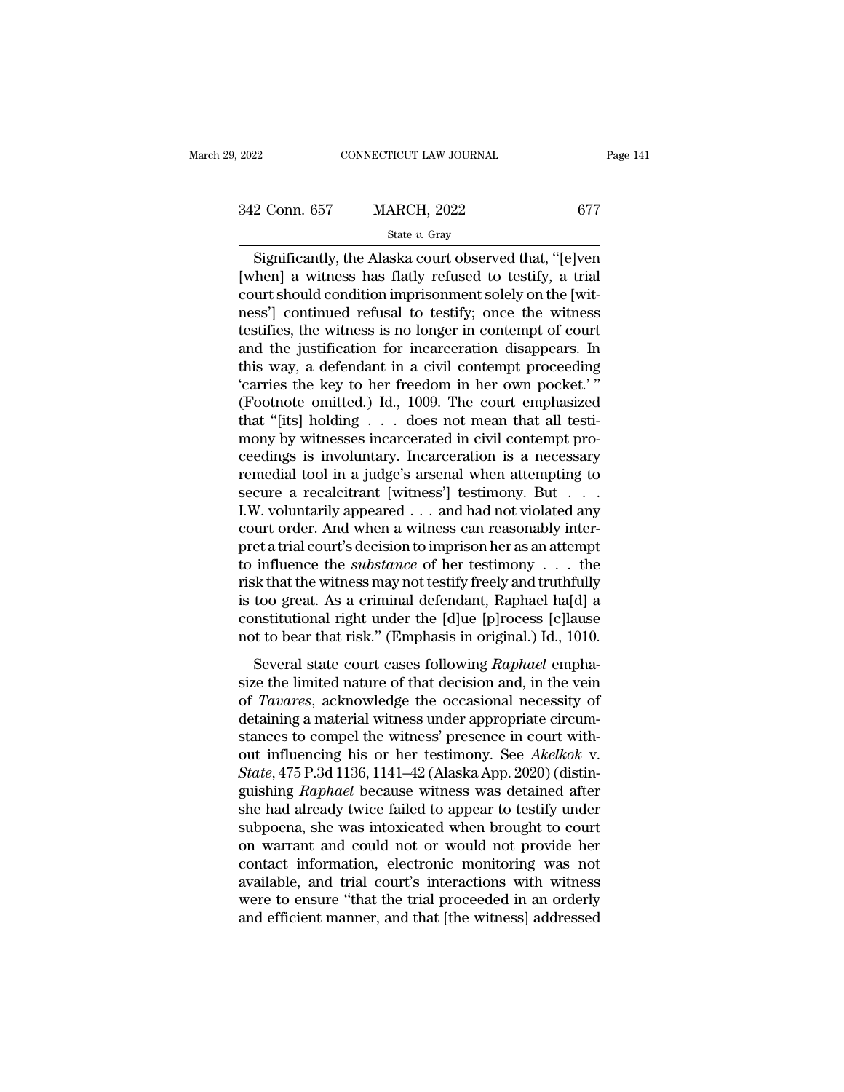CONNECTICUT LAW JOURNAL Page 141<br>
2 Conn. 657 MARCH, 2022 677<br>
State v. Gray<br>
Significantly, the Alaska court observed that, "[e]ven<br>
then] a witness has flatly refused to testify, a trial<br>
with should condition imprisonme  $\begin{array}{r} \text{342 Conn. 657} \qquad \text{MARCH, 2022} \qquad \qquad \text{677} \ \text{State } v. \text{ Gray} \ \hline \text{Significantly, the Alaska court observed that, "[e]ven [when] a witness has flatly refused to testify, a trial court should condition impressionment solely on the [with-  
pose'll continued refined to testify: once the witness.} \end{array}$ 342 Conn. 657 MARCH, 2022 677<br>
State v. Gray<br>
Significantly, the Alaska court observed that, "[e]ven<br>
[when] a witness has flatly refused to testify, a trial<br>
court should condition imprisonment solely on the [wit-<br>
ness' 342 Conn. 657 MARCH, 2022 677<br>
State v. Gray<br>
Significantly, the Alaska court observed that, "[e]ven<br>
[when] a witness has flatly refused to testify, a trial<br>
court should condition imprisonment solely on the [witness'] c State v. Gray<br>
Significantly, the Alaska court observed that, "[e]ven<br>
[when] a witness has flatly refused to testify, a trial<br>
court should condition imprisonment solely on the [wit-<br>
ness'] continued refusal to testify; state v. Gray<br>
Significantly, the Alaska court observed that, "[e]ven<br>
[when] a witness has flatly refused to testify, a trial<br>
court should condition imprisonment solely on the [wit-<br>
ness'] continued refusal to testify; Significantly, the Alaska court observed that, "[e]ven<br>[when] a witness has flatly refused to testify, a trial<br>court should condition imprisonment solely on the [wit-<br>ness'] continued refusal to testify; once the witness<br> [when] a witness has flatly refused to testify, a trial<br>court should condition imprisonment solely on the [wit-<br>ness'] continued refusal to testify; once the witness<br>testifies, the witness is no longer in contempt of court court should condition imprisonment solely on the [witness'] continued refusal to testify; once the witness<br>testifies, the witness is no longer in contempt of court<br>and the justification for incarceration disappears. In<br>th ness'] continued refusal to testify; once the witness<br>testifies, the witness is no longer in contempt of court<br>and the justification for incarceration disappears. In<br>this way, a defendant in a civil contempt proceeding<br>'ca testifies, the witness is no longer in contempt of court<br>and the justification for incarceration disappears. In<br>this way, a defendant in a civil contempt proceeding<br>'carries the key to her freedom in her own pocket.'"<br>(Foo and the justification for incarceration disappears. In<br>this way, a defendant in a civil contempt proceeding<br>'carries the key to her freedom in her own pocket.'"<br>(Footnote omitted.) Id., 1009. The court emphasized<br>that "[it this way, a defendant in a civil contempt proceeding<br>
'carries the key to her freedom in her own pocket.'"<br>
(Footnote omitted.) Id., 1009. The court emphasized<br>
that "[its] holding . . . does not mean that all testi-<br>
mon secure a recalcitrant [witness'] testimony. But . . . (Footnote omitted.) Id., 1009. The court emphasized<br>that "[its] holding  $\ldots$  does not mean that all testi-<br>mony by witnesses incarcerated in civil contempt pro-<br>ceedings is involuntary. Incarceration is a necessary<br>remed that "[its] holding  $\ldots$  does not mean that all testimony by witnesses incarcerated in civil contempt proceedings is involuntary. Incarceration is a necessary remedial tool in a judge's arsenal when attempting to secure mony by witnesses incarcerated in civil contempt proceedings is involuntary. Incarceration is a necessary<br>remedial tool in a judge's arsenal when attempting to<br>secure a recalcitrant [witness'] testimony. But  $\dots$ <br>I.W. vol ceedings is involuntary. Incarceration is a necessary<br>remedial tool in a judge's arsenal when attempting to<br>secure a recalcitrant [witness'] testimony. But . . . .<br>I.W. voluntarily appeared . . . and had not violated any<br>c remedial tool in a judge's arsenal when attempting to<br>secure a recalcitrant [witness'] testimony. But . . .<br>I.W. voluntarily appeared . . . and had not violated any<br>court order. And when a witness can reasonably inter-<br>pr secure a recalcitrant [witness'] testimony. But . . .<br>I.W. voluntarily appeared . . . and had not violated any<br>court order. And when a witness can reasonably inter-<br>pret a trial court's decision to imprison her as an atte I.W. voluntarily appeared . . . and had not violated any<br>court order. And when a witness can reasonably inter-<br>pret a trial court's decision to imprison her as an attempt<br>to influence the *substance* of her testimony . . court order. And when a witness can reasonably inter-<br>pret a trial court's decision to imprison her as an attempt<br>to influence the *substance* of her testimony  $\ldots$  the<br>risk that the witness may not testify freely and tr influence the *substance* of her testimony  $\ldots$  the sk that the witness may not testify freely and truthfully too great. As a criminal defendant, Raphael ha[d] a mstitutional right under the [d]ue [p]rocess [c]lause to b isk that the witness may not testify freely and truthfully<br>is too great. As a criminal defendant, Raphael ha[d] a<br>constitutional right under the [d]ue [p]rocess [c]lause<br>not to bear that risk." (Emphasis in original.) Id.

Then that the whitess may not testary freely and a darking<br>is too great. As a criminal defendant, Raphael ha[d] a<br>constitutional right under the [d]ue [p]rocess [c]lause<br>not to bear that risk." (Emphasis in original.) Id., detaining a material method is determined and constitutional right under the [d]ue [p]rocess [c]lause not to bear that risk." (Emphasis in original.) Id., 1010.<br>Several state court cases following *Raphael* emphasize the standard right dider are [e] (e] [e] (e] [e] (e] and not to bear that risk." (Emphasis in original.) Id., 1010.<br>Several state court cases following *Raphael* emphasize the limited nature of that decision and, in the vein<br> Several state court cases following *Raphael* emphasize the limited nature of that decision and, in the vein of *Tavares*, acknowledge the occasional necessity of detaining a material witness under appropriate circumstance Several state court cases following *Raphael* emphasize the limited nature of that decision and, in the vein of *Tavares*, acknowledge the occasional necessity of detaining a material witness under appropriate circumstance size the limited nature of that decision and, in the vein<br>of *Tavares*, acknowledge the occasional necessity of<br>detaining a material witness under appropriate circum-<br>stances to compel the witness' presence in court with-<br> of *Tavares*, acknowledge the occasional necessity of<br>detaining a material witness under appropriate circum-<br>stances to compel the witness' presence in court with-<br>out influencing his or her testimony. See *Akelkok* v.<br>*St* detaining a material witness under appropriate circum-<br>stances to compel the witness' presence in court with-<br>out influencing his or her testimony. See Akelkok v.<br>State, 475 P.3d 1136, 1141–42 (Alaska App. 2020) (distin-<br>g stances to compel the witness' presence in court with-<br>out influencing his or her testimony. See *Akelkok* v.<br>*State*, 475 P.3d 1136, 1141–42 (Alaska App. 2020) (distin-<br>guishing *Raphael* because witness was detained afte out influencing his or her testimony. See *Akelkok* v.<br>State, 475 P.3d 1136, 1141–42 (Alaska App. 2020) (distin-<br>guishing *Raphael* because witness was detained after<br>she had already twice failed to appear to testify under State, 475 P.3d 1136, 1141–42 (Alaska App. 2020) (distinguishing *Raphael* because witness was detained after she had already twice failed to appear to testify under subpoena, she was intoxicated when brought to court on w guishing *Raphael* because witness was detained after<br>she had already twice failed to appear to testify under<br>subpoena, she was intoxicated when brought to court<br>on warrant and could not or would not provide her<br>contact in she had already twice failed to appear to testify under<br>subpoena, she was intoxicated when brought to court<br>on warrant and could not or would not provide her<br>contact information, electronic monitoring was not<br>available, an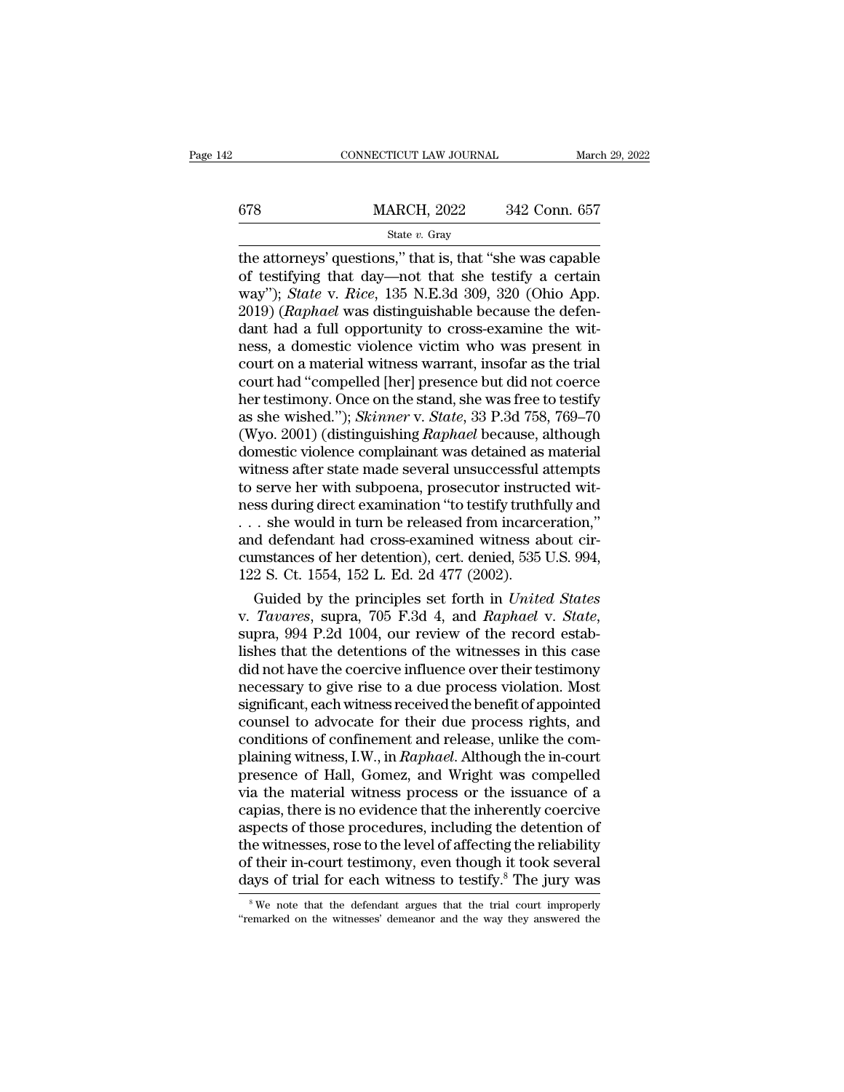# $\begin{tabular}{l l l l} \multicolumn{2}{c| l l} \multicolumn{2}{c| l} \multicolumn{2}{c| l} \multicolumn{2}{c| l} \multicolumn{2}{c| l} \multicolumn{2}{c| l} \multicolumn{2}{c| l} \multicolumn{2}{c| l} \multicolumn{2}{c| l} \multicolumn{2}{c| l} \multicolumn{2}{c| l} \multicolumn{2}{c| l} \multicolumn{2}{c| l} \multicolumn{2}{c| l} \multicolumn{2}{c| l} \multicolumn{2}{c| l} \multicolumn{2}{c| l} \multicolumn{2}{c| l} \multicolumn{2}{c| l$ State *v.* Gray

CONNECTICUT LAW JOURNAL March 29, 2022<br>  $\begin{array}{r}\n 678 \text{ } \text{MARCH}, 2022 \text{ } \text{ } 342 \text{ Conn. } 657 \\
 \text{State } v. \text{ Gray} \\
 \text{the attempts' questions,' that is, that "she was capable of testifying that day—not that she testify a certain way''. State *v. P* is 24, 300, 320. (Obio. Ann.)\n$ 678 MARCH, 2022 342 Conn. 657<br>
State v. Gray<br>
the attorneys' questions," that is, that "she was capable<br>
of testifying that day—not that she testify a certain<br>
way"); *State v. Rice*, 135 N.E.3d 309, 320 (Ohio App.<br>
2010) WARCH, 2022 342 Conn. 657<br>
State v. Gray<br>
the attorneys' questions," that is, that "she was capable<br>
of testifying that day—not that she testify a certain<br>
way"); *State* v. *Rice*, 135 N.E.3d 309, 320 (Ohio App.<br>
2019) *(*  $\frac{\text{MARCH}}{\text{State } v. \text{ Gray}}$ <br>  $\frac{\text{State } v. \text{ Gray}}{\text{the} \text{ attempts' questions,''} \text{ that is, that "she was capable of testifying that day—not that she testify a certain way''); *State v. Rice*, 135 N.E.3d 309, 320 (Ohio App. 2019) (*Raphael* was distinguishable because the defendant had a full opportunity to cross-examine the witness a domestic violence victim who was present in$ Similarly, 2022 Cold. 691<br>
State v. Gray<br>
the attorneys' questions," that is, that "she was capable<br>
of testifying that day—not that she testify a certain<br>
way"); *State* v. *Rice*, 135 N.E.3d 309, 320 (Ohio App.<br>
2019) state v. Gray<br>the attorneys' questions," that is, that "she was capable<br>of testifying that day—not that she testify a certain<br>way"); *State* v. *Rice*, 135 N.E.3d 309, 320 (Ohio App.<br>2019) (*Raphael* was distinguishable b the attorneys' questions," that is, that "she was capable<br>of testifying that day—not that she testify a certain<br>way"); *State* v. *Rice*, 135 N.E.3d 309, 320 (Ohio App.<br>2019) (*Raphael* was distinguishable because the defe of testifying that day—not that she testify a certain<br>way"); *State* v. *Rice*, 135 N.E.3d 309, 320 (Ohio App.<br>2019) (*Raphael* was distinguishable because the defen-<br>dant had a full opportunity to cross-examine the wit-<br>n way"); *State* v. *Rice*, 135 N.E.3d 309, 320 (Ohio App.<br>2019) (*Raphael* was distinguishable because the defen-<br>dant had a full opportunity to cross-examine the wit-<br>ness, a domestic violence victim who was present in<br>cou 2019) (*Raphael* was distinguishable because the defendant had a full opportunity to cross-examine the witness, a domestic violence victim who was present in court on a material witness warrant, insofar as the trial court dant had a full opportunity to cross-examine the wit-<br>ness, a domestic violence victim who was present in<br>court on a material witness warrant, insofar as the trial<br>court had "compelled [her] presence but did not coerce<br>her ness, a domestic violence victim who was present in<br>court on a material witness warrant, insofar as the trial<br>court had "compelled [her] presence but did not coerce<br>her testimony. Once on the stand, she was free to testify court on a material witness warrant, insofar as the trial<br>court had "compelled [her] presence but did not coerce<br>her testimony. Once on the stand, she was free to testify<br>as she wished."); *Skinner* v. *State*, 33 P.3d 758 court had "compelled [her] presence but did not coerce<br>her testimony. Once on the stand, she was free to testify<br>as she wished."); *Skinner* v. *State*, 33 P.3d 758, 769–70<br>(Wyo. 2001) (distinguishing *Raphael* because, al her testimony. Once on the stand, she was free to testify<br>as she wished."); *Skinner* v. *State*, 33 P.3d 758, 769–70<br>(Wyo. 2001) (distinguishing *Raphael* because, although<br>domestic violence complainant was detained as ma as she wished."); *Skinner* v. *State*, 33 P.3d 758, 769–70 (Wyo. 2001) (distinguishing *Raphael* because, although domestic violence complainant was detained as material witness after state made several unsuccessful atte (Wyo. 2001) (distinguishing *Raphael* because, although<br>domestic violence complainant was detained as material<br>witness after state made several unsuccessful attempts<br>to serve her with subpoena, prosecutor instructed wit-<br> domestic violence complainant was detained as material<br>witness after state made several unsuccessful attempts<br>to serve her with subpoena, prosecutor instructed wit-<br>ness during direct examination "to testify truthfully and witness after state made several unsuccessful at<br>to serve her with subpoena, prosecutor instructions during direct examination "to testify truth<br>i... she would in turn be released from incarce<br>and defendant had cross-exam serve her with subpoena, prosecutor instructed wit-<br>ss during direct examination "to testify truthfully and<br>. she would in turn be released from incarceration,"<br>d defendant had cross-examined witness about cir-<br>mstances of ness during direct examination "to testify truthfully and<br>
... she would in turn be released from incarceration,"<br>
and defendant had cross-examined witness about cir-<br>
cumstances of her detention), cert. denied, 535 U.S. 9

and defendant had cross-examined witness about circumstances of her detention), cert. denied, 535 U.S. 994, 122 S. Ct. 1554, 152 L. Ed. 2d 477 (2002).<br>Guided by the principles set forth in *United States* v. *Tavares*, sup cumstances of her detention), cert. denied, 535 U.S. 994,<br>122 S. Ct. 1554, 152 L. Ed. 2d 477 (2002).<br>Guided by the principles set forth in *United States*<br>v. *Tavares*, supra, 705 F.3d 4, and *Raphael* v. *State*,<br>supra, 9 122 S. Ct. 1554, 152 L. Ed. 2d  $477$  (2002).<br>
Guided by the principles set forth in *United States*<br>
v. *Tavares*, supra, 705 F.3d 4, and *Raphael* v. *State*,<br>
supra, 994 P.2d 1004, our review of the record estab-<br>
lishe Guided by the principles set forth in *United States*<br>v. *Tavares*, supra, 705 F.3d 4, and *Raphael* v. *State*,<br>supra, 994 P.2d 1004, our review of the record estab-<br>lishes that the detentions of the witnesses in this cas v. *Tavares*, supra, 705 F.3d 4, and *Raphael* v. *State*, supra, 994 P.2d 1004, our review of the record establishes that the detentions of the witnesses in this case did not have the coercive influence over their testimo supra, 994 P.2d 1004, our review of the record establishes that the detentions of the witnesses in this case<br>did not have the coercive influence over their testimony<br>necessary to give rise to a due process violation. Most<br> lishes that the detentions of the witnesses in this case<br>did not have the coercive influence over their testimony<br>necessary to give rise to a due process violation. Most<br>significant, each witness received the benefit of ap did not have the coercive influence over their testimony<br>necessary to give rise to a due process violation. Most<br>significant, each witness received the benefit of appointed<br>counsel to advocate for their due process rights, necessary to give rise to a due process violation. Most<br>significant, each witness received the benefit of appointed<br>counsel to advocate for their due process rights, and<br>conditions of confinement and release, unlike the co significant, each witness received the benefit of appointed<br>counsel to advocate for their due process rights, and<br>conditions of confinement and release, unlike the com-<br>plaining witness, I.W., in *Raphael*. Although the in counsel to advocate for their due process rights, and<br>conditions of confinement and release, unlike the com-<br>plaining witness, I.W., in *Raphael*. Although the in-court<br>presence of Hall, Gomez, and Wright was compelled<br>via conditions of confinement and release, unlike the complaining witness, I.W., in *Raphael*. Although the in-court<br>presence of Hall, Gomez, and Wright was compelled<br>via the material witness process or the issuance of a<br>capia plaining witness, I.W., in *Raphael*. Although the in-court<br>presence of Hall, Gomez, and Wright was compelled<br>via the material witness process or the issuance of a<br>capias, there is no evidence that the inherently coercive<br> presence of Hall, Gomez, and Wright was compelled<br>via the material witness process or the issuance of a<br>capias, there is no evidence that the inherently coercive<br>aspects of those procedures, including the detention of<br>the spects of those procedures, including the detention of<br>the witnesses, rose to the level of affecting the reliability<br>f their in-court testimony, even though it took several<br>ays of trial for each witness to testify.<sup>8</sup> The the witnesses, rose to the level of affecting the reliability of their in-court testimony, even though it took several days of trial for each witness to testify.<sup>8</sup> The jury was <sup>8</sup> We note that the defendant argues that t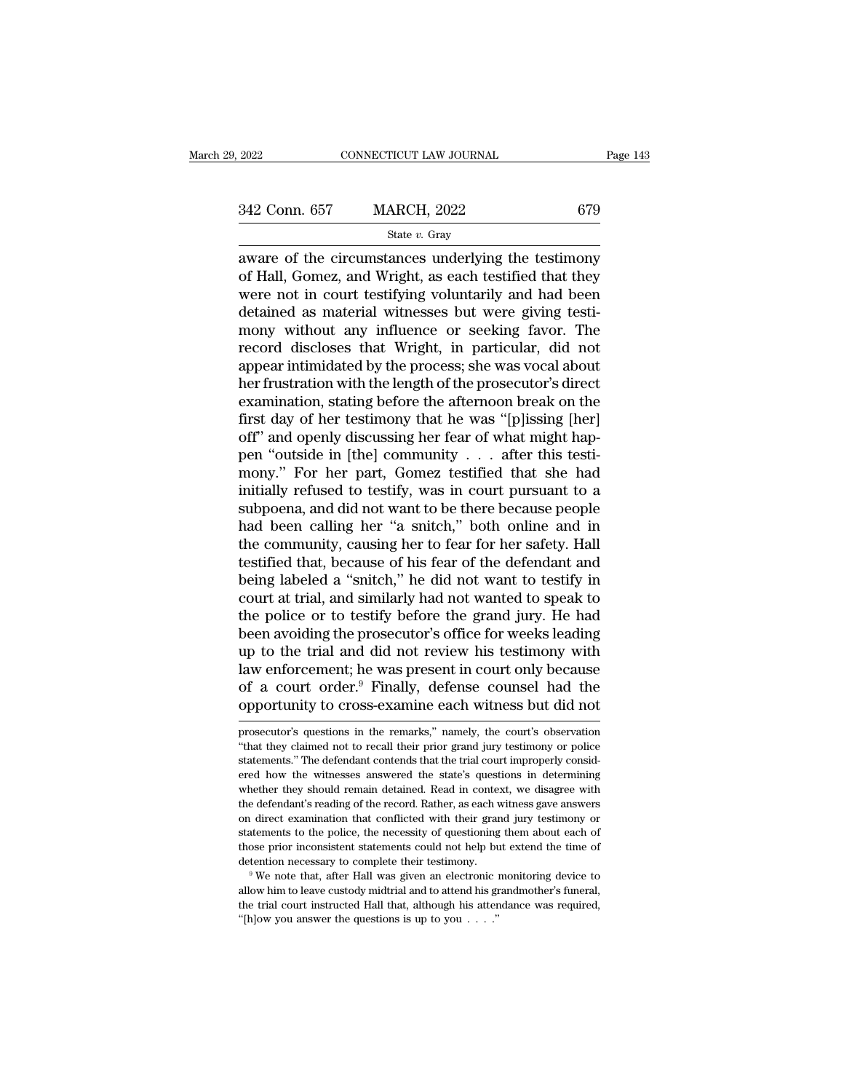2022 CONNECTICUT LAW JOURNAL Page 143<br>  $\frac{342 \text{ Conn. } 657}{\text{State } v. \text{ Gray}}$ <br>  $\frac{\text{State } v. \text{ Gray}}{\text{average of the circumstances underlying the testimony}}$ <br>
of Hall, Gomez, and Wright, as each testified that they 342 Conn. 657 MARCH, 2022 679<br>
State v. Gray<br>
aware of the circumstances underlying the testimony<br>
of Hall, Gomez, and Wright, as each testified that they<br>
were not in court testifying voluntarily and had been<br>
deterined  $\frac{342 \text{ Conn. } 657}{\text{State } v. \text{ Gray}}$ <br>  $\frac{\text{State } v. \text{ Gray}}{\text{average of the circumstances underlying the testimony of Hall, Gomez, and Wright, as each testified that they were not in court testifying voluntary and had been detailed as material witnesses but were giving testi-  
mom, without any influence, or solving favor. The$  $\frac{342 \text{ Conn. } 657}{342 \text{ Conn. } 657}$  MARCH, 2022 679<br>  $\frac{342 \text{ Conn. } 657}{342 \text{ aware of the circumstances underlying the testimony of Hall, Gomez, and Wright, as each testified that they were not in court testifying voluntary and had been detailed as material witnesses but were giving testimony without any influence or seeking favor. The record diseases that Wright in particular did not$ Since of the circumstances underlying the testimony<br>of Hall, Gomez, and Wright, as each testified that they<br>were not in court testifying voluntarily and had been<br>detained as material witnesses but were giving testi-<br>mony state v. Gray<br>aware of the circumstances underlying the testimony<br>of Hall, Gomez, and Wright, as each testified that they<br>were not in court testifying voluntarily and had been<br>detained as material witnesses but were givin aware of the circumstances underlying the testimony<br>of Hall, Gomez, and Wright, as each testified that they<br>were not in court testifying voluntarily and had been<br>detained as material witnesses but were giving testi-<br>mony w of Hall, Gomez, and Wright, as each testified that they<br>were not in court testifying voluntarily and had been<br>detained as material witnesses but were giving testi-<br>mony without any influence or seeking favor. The<br>record di were not in court testifying voluntarily and had been<br>detained as material witnesses but were giving testi-<br>mony without any influence or seeking favor. The<br>record discloses that Wright, in particular, did not<br>appear intim detained as material witnesses but were giving testi-<br>mony without any influence or seeking favor. The<br>record discloses that Wright, in particular, did not<br>appear intimidated by the process; she was vocal about<br>her frustra mony without any influence or seeking favor. The<br>record discloses that Wright, in particular, did not<br>appear intimidated by the process; she was vocal about<br>her frustration with the length of the prosecutor's direct<br>examin record discloses that Wright, in particular, did not<br>appear intimidated by the process; she was vocal about<br>her frustration with the length of the prosecutor's direct<br>examination, stating before the afternoon break on the<br> appear intimidated by the process; she was vocal about<br>her frustration with the length of the prosecutor's direct<br>examination, stating before the afternoon break on the<br>first day of her testimony that he was "[p]issing [he her frustration with the length of the prosecutor's direct<br>examination, stating before the afternoon break on the<br>first day of her testimony that he was "[p]issing [her]<br>off" and openly discussing her fear of what might ha examination, stating before the afternoon break on the<br>first day of her testimony that he was "[p]issing [her]<br>off" and openly discussing her fear of what might hap-<br>pen "outside in [the] community  $\ldots$  after this testifirst day of her testimony that he was "[p]issing [her]<br>off" and openly discussing her fear of what might hap-<br>pen "outside in [the] community . . . after this testi-<br>mony." For her part, Gomez testified that she had<br>init off" and openly discussing her fear of what might happen "outside in [the] community . . . after this testi-<br>mony." For her part, Gomez testified that she had<br>initially refused to testify, was in court pursuant to a<br>subpo pen "outside in [the] community . . . after this testi-<br>mony." For her part, Gomez testified that she had<br>initially refused to testify, was in court pursuant to a<br>subpoena, and did not want to be there because people<br>had b mony." For her part, Gomez testified that she had<br>initially refused to testify, was in court pursuant to a<br>subpoena, and did not want to be there because people<br>had been calling her "a snitch," both online and in<br>the commu initially refused to testify, was in court pursuant to a<br>subpoena, and did not want to be there because people<br>had been calling her "a snitch," both online and in<br>the community, causing her to fear for her safety. Hall<br>tes subpoena, and did not want to be there because people<br>had been calling her "a snitch," both online and in<br>the community, causing her to fear for her safety. Hall<br>testified that, because of his fear of the defendant and<br>bei had been calling her "a snitch," both online and in<br>the community, causing her to fear for her safety. Hall<br>testified that, because of his fear of the defendant and<br>being labeled a "snitch," he did not want to testify in<br>c the community, causing her to fear for her safety. Hall<br>testified that, because of his fear of the defendant and<br>being labeled a "snitch," he did not want to testify in<br>court at trial, and similarly had not wanted to speak testified that, because of his fear of the defendant and<br>being labeled a "snitch," he did not want to testify in<br>court at trial, and similarly had not wanted to speak to<br>the police or to testify before the grand jury. He h being labeled a "snitch," he did not want to testify in<br>court at trial, and similarly had not wanted to speak to<br>the police or to testify before the grand jury. He had<br>been avoiding the prosecutor's office for weeks leadin court at trial, and similarly had not wanted to speak to<br>the police or to testify before the grand jury. He had<br>been avoiding the prosecutor's office for weeks leading<br>up to the trial and did not review his testimony with<br> up to the trial and did not review his testimony with<br>law enforcement; he was present in court only because<br>of a court order.<sup>9</sup> Finally, defense counsel had the<br>opportunity to cross-examine each witness but did not<br>prosec law enforcement; he was present in court only because<br>of a court order.<sup>9</sup> Finally, defense counsel had the<br>opportunity to cross-examine each witness but did not<br>prosecutor's questions in the remarks," namely, the court's

of a court order.<sup>9</sup> Finally, defense counsel had the opportunity to cross-examine each witness but did not prosecutor's questions in the remarks," namely, the court's observation "that they claimed not to recall their pri ered to contract the state of the state of the state of the our opportunity to cross-examine each witness but did not prosecutor's questions in the remarks," namely, the court's observation "that they claimed not to recall profit turnty to Cross-examine each whitess but that not<br>prosecutor's questions in the remarks," namely, the court's observation<br>"that they claimed not to recall their prior grand jury testimony or police<br>statements." The prosecutor's questions in the remarks," namely, the court's observation<br>"that they claimed not to recall their prior grand jury testimony or police<br>statements." The defendant contends that the trial court improperly consid "that they claimed not to recall their prior grand jury testimony or police statements." The defendant contends that the trial court improperly considered how the witnesses answered the state's questions in determining whe statements." The defendant contends that the trial court improperly considered how the witnesses answered the state's questions in determining whether they should remain detained. Read in context, we disagree with the defe ered how the witnesses answered the state's questions in determining whether they should remain detained. Read in context, we disagree with the defendant's reading of the record. Rather, as each witness gave answers on dir whether they should remain detained. Read in context, we disagree with<br>the defendant's reading of the record. Rather, as each witness gave answers<br>on direct examination that conflicted with their grand jury testimony or<br>st the defendant's reading of the record. Rather, as each witness gave answers<br>on direct examination that conflicted with their grand jury testimony or<br>statements to the police, the necessity of questioning them about each o statements to the police, the necessity of questioning them about each of those prior inconsistent statements could not help but extend the time of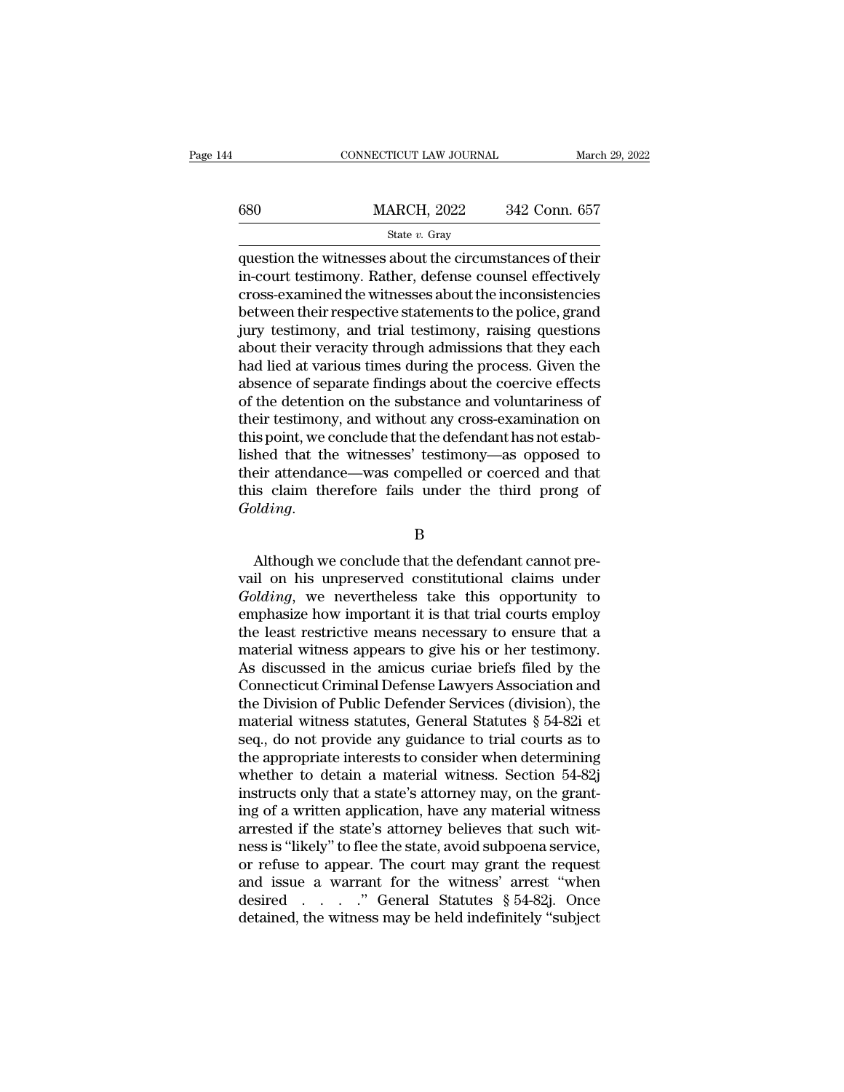|     | CONNECTICUT LAW JOURNAL                                                                                                                                                      | March 29, 2022 |
|-----|------------------------------------------------------------------------------------------------------------------------------------------------------------------------------|----------------|
| 680 | <b>MARCH, 2022</b>                                                                                                                                                           | 342 Conn. 657  |
|     | State $v$ . Gray                                                                                                                                                             |                |
|     | question the witnesses about the circumstances of their<br>in-court testimony. Rather, defense counsel effectively<br>eross oxamined the witnesses about the inconsistencies |                |

 $\begin{tabular}{ll} \hline & \multicolumn{1}{l}{\textbf{MARCH, 2022}} & \multicolumn{1}{l}{342}\text{ Conn. }657 \\ & \multicolumn{1}{l}{\textbf{State $v$. Gray}}\\ \hline \end{tabular} \end{tabular} \end{tabular} \textbf{question the witnesses about the circumstances of their in-court testimony. Rather, defense coursel effectively cross-examined the witnesses about the inconsistencies between their respective statements to the police, grand. } \label{tab:2}$ 680 MARCH, 2022 342 Conn. 657<br>
State v. Gray<br>
question the witnesses about the circumstances of their<br>
in-court testimony. Rather, defense counsel effectively<br>
cross-examined the witnesses about the inconsistencies<br>
betwe  $\frac{\text{MARCH, 2022}}{\text{State } v. \text{ Gray}}$ <br>
question the witnesses about the circumstances of their<br>
in-court testimony. Rather, defense counsel effectively<br>
cross-examined the witnesses about the inconsistencies<br>
between their respect State v. Gray<br>
State v. Gray<br>
question the witnesses about the circumstances of their<br>
in-court testimony. Rather, defense counsel effectively<br>
cross-examined the witnesses about the inconsistencies<br>
between their respect state  $v$ . Gray<br>question the witnesses about the circumstances of their<br>in-court testimony. Rather, defense counsel effectively<br>cross-examined the witnesses about the inconsistencies<br>between their respective statements to question the witnesses about the circumstances of their<br>in-court testimony. Rather, defense counsel effectively<br>cross-examined the witnesses about the inconsistencies<br>between their respective statements to the police, gran in-court testimony. Rather, defense counsel effectively<br>cross-examined the witnesses about the inconsistencies<br>between their respective statements to the police, grand<br>jury testimony, and trial testimony, raising questions cross-examined the witnesses about the inconsistencies<br>between their respective statements to the police, grand<br>jury testimony, and trial testimony, raising questions<br>about their veracity through admissions that they each<br> between their respective statements to the police, grand<br>jury testimony, and trial testimony, raising questions<br>about their veracity through admissions that they each<br>had lied at various times during the process. Given the jury testimony, and trial testimony, raising questions<br>about their veracity through admissions that they each<br>had lied at various times during the process. Given the<br>absence of separate findings about the coercive effects<br> about their veracity through admissions that they each<br>had lied at various times during the process. Given the<br>absence of separate findings about the coercive effects<br>of the detention on the substance and voluntariness of<br> had lied at various times during the process. Given the<br>absence of separate findings about the coercive effects<br>of the detention on the substance and voluntariness of<br>their testimony, and without any cross-examination on<br>t absence of separate findings about the coercive effects<br>of the detention on the substance and voluntariness of<br>their testimony, and without any cross-examination on<br>this point, we conclude that the defendant has not estab-*Golding*. hed that the witnesses' testimony—as opposed to<br>eir attendance—was compelled or coerced and that<br>is claim therefore fails under the third prong of<br>*plding*.<br>B<br>Although we conclude that the defendant cannot pre-<br>il on his u

### B

their attendance—was compelled or coerced and that<br>this claim therefore fails under the third prong of<br>Golding.<br>B<br>Although we conclude that the defendant cannot pre-<br>vail on his unpreserved constitutional claims under<br>Gold *Golding.*<br> *B*<br> *Golding*.<br> **B**<br>
Although we conclude that the defendant cannot prevail on his unpreserved constitutional claims under<br> *Golding*, we nevertheless take this opportunity to<br>
emphasize how important it is th EVALUAT B<br>
EMPLOMATE: The Microsoftext of the Microsoftext of that the defendant cannot prevail on his unpreserved constitutional claims under<br>
Golding, we nevertheless take this opportunity to<br>
emphasize how important it B<br>
Although we conclude that the defendant cannot pre-<br>
vail on his unpreserved constitutional claims under<br>
Golding, we nevertheless take this opportunity to<br>
emphasize how important it is that trial courts employ<br>
the le matchman and the defendant cannot prevail on his unpreserved constitutional claims under Golding, we nevertheless take this opportunity to emphasize how important it is that trial courts employ the least restrictive means Although we conclude that the defendant cannot prevail on his unpreserved constitutional claims under *Golding*, we nevertheless take this opportunity to emphasize how important it is that trial courts employ the least res vail on his unpreserved constitutional claims under<br> *Golding*, we nevertheless take this opportunity to<br>
emphasize how important it is that trial courts employ<br>
the least restrictive means necessary to ensure that a<br>
mate Golding, we nevertheless take this opportunity to<br>emphasize how important it is that trial courts employ<br>the least restrictive means necessary to ensure that a<br>material witness appears to give his or her testimony.<br>As dis emphasize how important it is that trial courts employ<br>the least restrictive means necessary to ensure that a<br>material witness appears to give his or her testimony.<br>As discussed in the amicus curiae briefs filed by the<br>Con the least restrictive means necessary to ensure that a<br>material witness appears to give his or her testimony.<br>As discussed in the amicus curiae briefs filed by the<br>Connecticut Criminal Defense Lawyers Association and<br>the D material witness appears to give his or her testimony.<br>As discussed in the amicus curiae briefs filed by the<br>Connecticut Criminal Defense Lawyers Association and<br>the Division of Public Defender Services (division), the<br>mat As discussed in the amicus curiae briefs filed by the<br>Connecticut Criminal Defense Lawyers Association and<br>the Division of Public Defender Services (division), the<br>material witness statutes, General Statutes § 54-82j et<br>se Connecticut Criminal Defense Lawyers Association and<br>the Division of Public Defender Services (division), the<br>material witness statutes, General Statutes § 54-82i et<br>seq., do not provide any guidance to trial courts as to<br> the Division of Public Defender Services (division), the<br>material witness statutes, General Statutes § 54-82i et<br>seq., do not provide any guidance to trial courts as to<br>the appropriate interests to consider when determinin material witness statutes, General Statutes  $\S$  54-82i et seq., do not provide any guidance to trial courts as to the appropriate interests to consider when determining whether to detain a material witness. Section 54-82j seq., do not provide any guidance to trial courts as to<br>the appropriate interests to consider when determining<br>whether to detain a material witness. Section 54-82j<br>instructs only that a state's attorney may, on the grant-<br> the appropriate interests to consider when determining<br>whether to detain a material witness. Section 54-82j<br>instructs only that a state's attorney may, on the grant-<br>ing of a written application, have any material witness whether to detain a material witness. Section 54-82j<br>instructs only that a state's attorney may, on the grant-<br>ing of a written application, have any material witness<br>arrested if the state's attorney believes that such wi instructs only that a state's attorney may, on the granting of a written application, have any material witness arrested if the state's attorney believes that such witness is "likely" to flee the state, avoid subpoena ser ing of a written application, have any material witness arrested if the state's attorney believes that such witness is "likely" to flee the state, avoid subpoena service, or refuse to appear. The court may grant the reque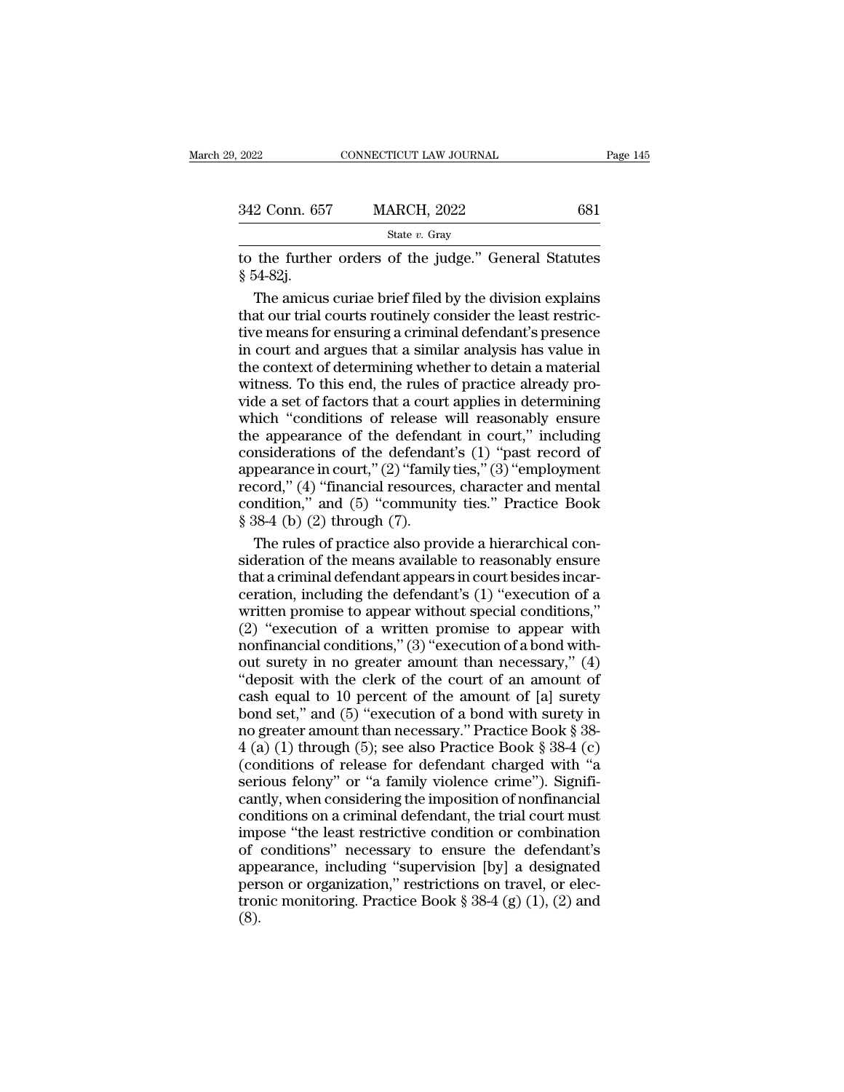| 2022          | CONNECTICUT LAW JOURNAL | Page 145 |  |
|---------------|-------------------------|----------|--|
|               |                         |          |  |
| 342 Conn. 657 | <b>MARCH, 2022</b>      | 681      |  |
|               | State $v$ . Gray        |          |  |

The further orders of the judge." General Statutes<br>
The further orders of the judge." General Statutes<br>
Section 2022<br>
Section 1991 - Section 1991 - Section 1991 - Section 1991 - Section 1991 - Section 1991 - Section 1991 -342 Conn. 65<br>
to the furthe<br>
§ 54-82j.<br>
The amicus

2 Conn. 657 MARCH, 2022 681<br>
State v. Gray<br>
the further orders of the judge." General Statutes<br>
54-82j.<br>
The amicus curiae brief filed by the division explains<br>
at our trial courts routinely consider the least restric-<br>
r 342 Conn. 657 MARCH, 2022 681<br>
State v. Gray<br>
to the further orders of the judge." General Statutes<br>
§ 54-82j.<br>
The amicus curiae brief filed by the division explains<br>
that our trial courts routinely consider the least re State v. Gray<br>
to the further orders of the judge." General Statutes<br>
§ 54-82j.<br>
The amicus curiae brief filed by the division explains<br>
that our trial courts routinely consider the least restric-<br>
tive means for ensuring siate v. Gray<br>to the further orders of the judge." General Statutes<br> $\S$  54-82j.<br>The amicus curiae brief filed by the division explains<br>that our trial courts routinely consider the least restric-<br>tive means for ensuring a to the further orders of the judge." General Statutes<br>
§ 54-82j.<br>
The amicus curiae brief filed by the division explains<br>
that our trial courts routinely consider the least restric-<br>
tive means for ensuring a criminal defe § 54-82j.<br>The amicus curiae brief filed by the division explains<br>that our trial courts routinely consider the least restric-<br>tive means for ensuring a criminal defendant's presence<br>in court and argues that a similar analys The amicus curiae brief filed by the division explains<br>that our trial courts routinely consider the least restric-<br>tive means for ensuring a criminal defendant's presence<br>in court and argues that a similar analysis has val that our trial courts routinely consider the least restrictive means for ensuring a criminal defendant's presence<br>in court and argues that a similar analysis has value in<br>the context of determining whether to detain a mate tive means for ensuring a criminal defendant's presence<br>in court and argues that a similar analysis has value in<br>the context of determining whether to detain a material<br>witness. To this end, the rules of practice already in court and argues that a similar analysis has value in<br>the context of determining whether to detain a material<br>witness. To this end, the rules of practice already pro-<br>vide a set of factors that a court applies in determ the context of determining whether to detain a material<br>witness. To this end, the rules of practice already pro-<br>vide a set of factors that a court applies in determining<br>which "conditions of release will reasonably ensure witness. To this end, the rules of practice already pro-<br>vide a set of factors that a court applies in determining<br>which "conditions of release will reasonably ensure<br>the appearance of the defendant in court," including<br>c which "conditions of release will reasonably ensure<br>which "conditions of release will reasonably ensure<br>the appearance of the defendant in court," including<br>considerations of the defendant's (1) "past record of<br>appearance which "conditions of release<br>the appearance of the defenda<br>considerations of the defendar<br>appearance in court," (2) "family<br>record," (4) "financial resource<br>condition," and (5) "community"<br>\$ 38-4 (b) (2) through (7).<br>The r e appearance of the defendant in court," including<br>msiderations of the defendant's (1) "past record of<br>pearance in court," (2) "family ties," (3) "employment<br>cord," (4) "financial resources, character and mental<br>ndition," considerations of the defendant's  $(1)$  "past record of<br>appearance in court,"  $(2)$  "family ties,"  $(3)$  "employment<br>record,"  $(4)$  "financial resources, character and mental<br>condition," and  $(5)$  "community ties." Practi

appearance in court," (2) "family ties," (3) "employment<br>record," (4) "financial resources, character and mental<br>condition," and (5) "community ties." Practice Book<br>§ 38-4 (b) (2) through (7).<br>The rules of practice also pr record," (4) "financial resources, character and mental<br>condition," and (5) "community ties." Practice Book<br> $$38-4$  (b) (2) through (7).<br>The rules of practice also provide a hierarchical con-<br>sideration of the means avail condition," and (5) "community ties." Practice Book<br>
§ 38-4 (b) (2) through (7).<br>
The rules of practice also provide a hierarchical con-<br>
sideration of the means available to reasonably ensure<br>
that a criminal defendant a  $\S$  38-4 (b) (2) through (7).<br>The rules of practice also provide a hierarchical consideration of the means available to reasonably ensure<br>that a criminal defendant appears in court besides incar-<br>ceration, including the d The rules of practice also provide a hierarchical consideration of the means available to reasonably ensure<br>that a criminal defendant appears in court besides incarceration, including the defendant's  $(1)$  "execution of a sideration of the means available to reasonably ensure<br>that a criminal defendant appears in court besides incar-<br>ceration, including the defendant's  $(1)$  "execution of a<br>written promise to appear without special conditio that a criminal defendant appears in court besides incar-<br>
ceration, including the defendant's (1) "execution of a<br>
written promise to appear without special conditions,"<br>
(2) "execution of a written promise to appear wit ceration, including the defendant's (1) "execution of a<br>written promise to appear without special conditions,"<br>(2) "execution of a written promise to appear with<br>nonfinancial conditions," (3) "execution of a bond with-<br>ou written promise to appear without special conditions,"<br>
(2) "execution of a written promise to appear with<br>
nonfinancial conditions," (3) "execution of a bond with-<br>
out surety in no greater amount than necessary," (4)<br>
" (2) "execution of a written promise to appear with<br>nonfinancial conditions," (3) "execution of a bond with-<br>out surety in no greater amount than necessary," (4)<br>"deposit with the clerk of the court of an amount of<br>cash eq For a set of a set of a bond with-<br>nonfinancial conditions," (3) "execution of a bond with-<br>out surety in no greater amount than necessary," (4)<br>"deposit with the clerk of the court of an amount of<br>cash equal to 10 percen (c) different charged with the clerk of the court of an amount of cash equal to 10 percent of the court of an amount of cash equal to 10 percent of the amount of [a] surety bond set," and (5) "execution of a bond with sur out surety in no greater amount than necessary," (4) "deposit with the clerk of the court of an amount of cash equal to 10 percent of the amount of [a] surety bond set," and (5) "execution of a bond with surety in no grea cash equal to 10 percent of the amount of [a] surety<br>cash equal to 10 percent of the amount of [a] surety<br>bond set," and (5) "execution of a bond with surety in<br>no greater amount than necessary." Practice Book § 38-4<br>(a) bond set," and (5) "execution of a bond with surety in<br>no greater amount than necessary." Practice Book § 38-4 (a) (1) through (5); see also Practice Book § 38-4 (c)<br>(conditions of release for defendant charged with "a<br>se is only the least restrictive condition of search vertex in the general of the same of the least  $(2)$  (conditions of release for defendant charged with "a serious felony" or "a family violence crime"). Significantly, whe A (a) (1) through (5); see also Practice Book § 38-4 (c)<br>(conditions of release for defendant charged with "a<br>serious felony" or "a family violence crime"). Signifi-<br>cantly, when considering the imposition of nonfinancial conditions of release for defendant charged with "a<br>serious felony" or "a family violence crime"). Signifi-<br>cantly, when considering the imposition of nonfinancial<br>conditions on a criminal defendant, the trial court must<br> perious felony" or "a family violence crime"). Significantly, when considering the imposition of nonfinancial conditions on a criminal defendant, the trial court must impose "the least restrictive condition or combination cantly, when considering the imposition of nonfinancial conditions on a criminal defendant, the trial court must impose "the least restrictive condition or combination of conditions" necessary to ensure the defendant's ap (8).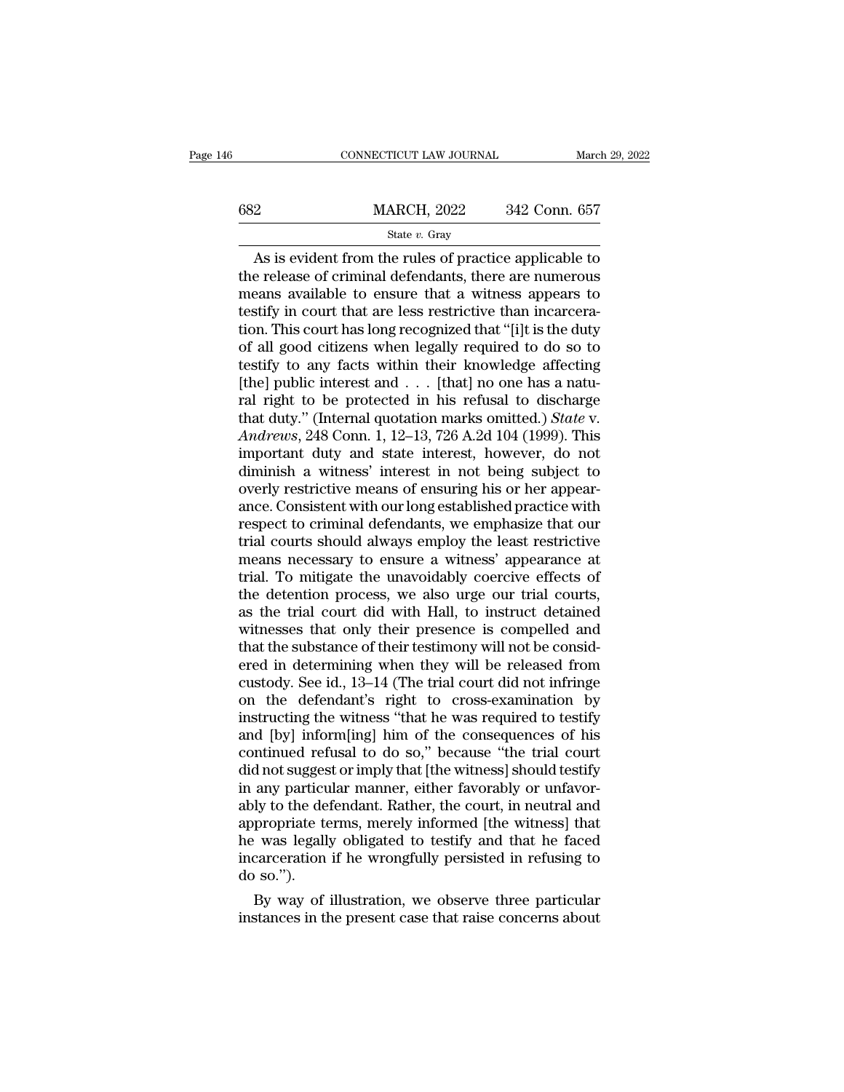|     | CONNECTICUT LAW JOURNAL | March 29, 2022 |
|-----|-------------------------|----------------|
| 682 | <b>MARCH, 2022</b>      | 342 Conn. 657  |
|     | State $v$ . Gray        |                |

 $\begin{array}{r} \text{CONPECTICUT LAW JOURNAL} \ \text{March 29, 2022} \ \text{2} \ \text{MARCH, 2022} \ \text{342 Conn. } 657 \ \text{State } v. \ \text{Gray} \ \text{As is evident from the rules of practice applicable to the release of criminal defendants, there are numerous ones available to ensure that a witness appears to.} \end{array}$ the release of criminal defendants, there are numerous<br>the release of criminal defendants, there are numerous<br>means available to ensure that a witness appears to<br>testify in court that are less restrictive than incarcera-MARCH, 2022 342 Conn. 657<br>
State v. Gray<br>
As is evident from the rules of practice applicable to<br>
the release of criminal defendants, there are numerous<br>
means available to ensure that a witness appears to<br>
testify in cou 682 MARCH, 2022 342 Conn. 657<br>
State v. Gray<br>
As is evident from the rules of practice applicable to<br>
the release of criminal defendants, there are numerous<br>
means available to ensure that a witness appears to<br>
testify in State v. Gray<br>
State v. Gray<br>
As is evident from the rules of practice applicable to<br>
the release of criminal defendants, there are numerous<br>
means available to ensure that a witness appears to<br>
testify in court that are state  $v$ . Gray<br>
As is evident from the rules of practice applicable to<br>
the release of criminal defendants, there are numerous<br>
means available to ensure that a witness appears to<br>
testify in court that are less restrict As is evident from the rules of practice applicable to<br>the release of criminal defendants, there are numerous<br>means available to ensure that a witness appears to<br>testify in court that are less restrictive than incarcera-<br> the release of criminal defendants, there are numerous<br>means available to ensure that a witness appears to<br>testify in court that are less restrictive than incarcera-<br>tion. This court has long recognized that "[i]t is the d means available to ensure that a witness appears to<br>testify in court that are less restrictive than incarcera-<br>tion. This court has long recognized that "[i]t is the duty<br>of all good citizens when legally required to do s testify in court that are less restrictive than incarceration. This court has long recognized that "[i]t is the duty of all good citizens when legally required to do so to testify to any facts within their knowledge affect tion. This court has long recognized that "[i]t is the duty<br>of all good citizens when legally required to do so to<br>testify to any facts within their knowledge affecting<br>[the] public interest and . . . [that] no one has a n of all good citizens when legally required to do so to<br>testify to any facts within their knowledge affecting<br>[the] public interest and . . . [that] no one has a natu-<br>ral right to be protected in his refusal to discharge<br> testify to any facts within their knowledge affecting<br>[the] public interest and . . . [that] no one has a natural right to be protected in his refusal to discharge<br>that duty." (Internal quotation marks omitted.) *State* v [the] public interest and . . . [that] no one has a natural right to be protected in his refusal to discharge that duty." (Internal quotation marks omitted.) *State v. Andrews*, 248 Conn. 1, 12–13, 726 A.2d 104 (1999). ral right to be protected in his refusal to discharge<br>that duty." (Internal quotation marks omitted.) *State* v.<br>Andrews, 248 Conn. 1, 12–13, 726 A.2d 104 (1999). This<br>important duty and state interest, however, do not<br>dim that duty." (Internal quotation marks omitted.) *State* v.<br>Andrews, 248 Conn. 1, 12–13, 726 A.2d 104 (1999). This<br>important duty and state interest, however, do not<br>diminish a witness' interest in not being subject to<br>over Andrews, 248 Conn. 1, 12–13, 726 A.2d 104 (1999). This<br>important duty and state interest, however, do not<br>diminish a witness' interest in not being subject to<br>overly restrictive means of ensuring his or her appear-<br>ance. C important duty and state interest, however, do not<br>diminish a witness' interest in not being subject to<br>overly restrictive means of ensuring his or her appear-<br>ance. Consistent with our long established practice with<br>respe diminish a witness' interest in not being subject to<br>overly restrictive means of ensuring his or her appear-<br>ance. Consistent with our long established practice with<br>respect to criminal defendants, we emphasize that our<br>tr overly restrictive means of ensuring his or her appearance. Consistent with our long established practice with<br>respect to criminal defendants, we emphasize that our<br>trial courts should always employ the least restrictive<br>m ance. Consistent with our long established practice with<br>respect to criminal defendants, we emphasize that our<br>trial courts should always employ the least restrictive<br>means necessary to ensure a witness' appearance at<br>tria respect to criminal defendants, we emphasize that our<br>trial courts should always employ the least restrictive<br>means necessary to ensure a witness' appearance at<br>trial. To mitigate the unavoidably coercive effects of<br>the de trial courts should always employ the least restrictive<br>means necessary to ensure a witness' appearance at<br>trial. To mitigate the unavoidably coercive effects of<br>the detention process, we also urge our trial courts,<br>as the means necessary to ensure a witness' appearance at<br>trial. To mitigate the unavoidably coercive effects of<br>the detention process, we also urge our trial courts,<br>as the trial court did with Hall, to instruct detained<br>witness trial. To mitigate the unavoidably coercive effects of<br>the detention process, we also urge our trial courts,<br>as the trial court did with Hall, to instruct detained<br>witnesses that only their presence is compelled and<br>that t the detention process, we also urge our trial courts,<br>as the trial court did with Hall, to instruct detained<br>witnesses that only their presence is compelled and<br>that the substance of their testimony will not be consid-<br>ere as the trial court did with Hall, to instruct detained<br>witnesses that only their presence is compelled and<br>that the substance of their testimony will not be consid-<br>ered in determining when they will be released from<br>custo witnesses that only their presence is compelled and<br>that the substance of their testimony will not be consid-<br>ered in determining when they will be released from<br>custody. See id., 13–14 (The trial court did not infringe<br>on that the substance of their testimony will not be considered in determining when they will be released from custody. See id., 13–14 (The trial court did not infringe on the defendant's right to cross-examination by instruc ered in determining when they will be released from<br>custody. See id., 13–14 (The trial court did not infringe<br>on the defendant's right to cross-examination by<br>instructing the witness "that he was required to testify<br>and [b custody. See id., 13–14 (The trial court did not infringe<br>on the defendant's right to cross-examination by<br>instructing the witness "that he was required to testify<br>and [by] inform[ing] him of the consequences of his<br>contin on the defendant's right to cross-examination by<br>instructing the witness "that he was required to testify<br>and [by] inform[ing] him of the consequences of his<br>continued refusal to do so," because "the trial court<br>did not su instructing the witness "that he was required to testify<br>and [by] inform[ing] him of the consequences of his<br>continued refusal to do so," because "the trial court<br>did not suggest or imply that [the witness] should testify<br> and [by] inform[ing] him of the consequences of his<br>continued refusal to do so," because "the trial court<br>did not suggest or imply that [the witness] should testify<br>in any particular manner, either favorably or unfavor-<br>ab continued refusal to do so," because "the trial court<br>did not suggest or imply that [the witness] should testify<br>in any particular manner, either favorably or unfavor-<br>ably to the defendant. Rather, the court, in neutral a did not sugges<br>in any particu<br>ably to the de<br>appropriate te<br>he was legall<br>incarceration<br>do so.").<br>By way of any particular manner, either favorably or unfavor-<br>ly to the defendant. Rather, the court, in neutral and<br>propriate terms, merely informed [the witness] that<br>was legally obligated to testify and that he faced<br>carceration ably to the defendant. Rather, the court, in neutral and<br>appropriate terms, merely informed [the witness] that<br>he was legally obligated to testify and that he faced<br>incarceration if he wrongfully persisted in refusing to<br>d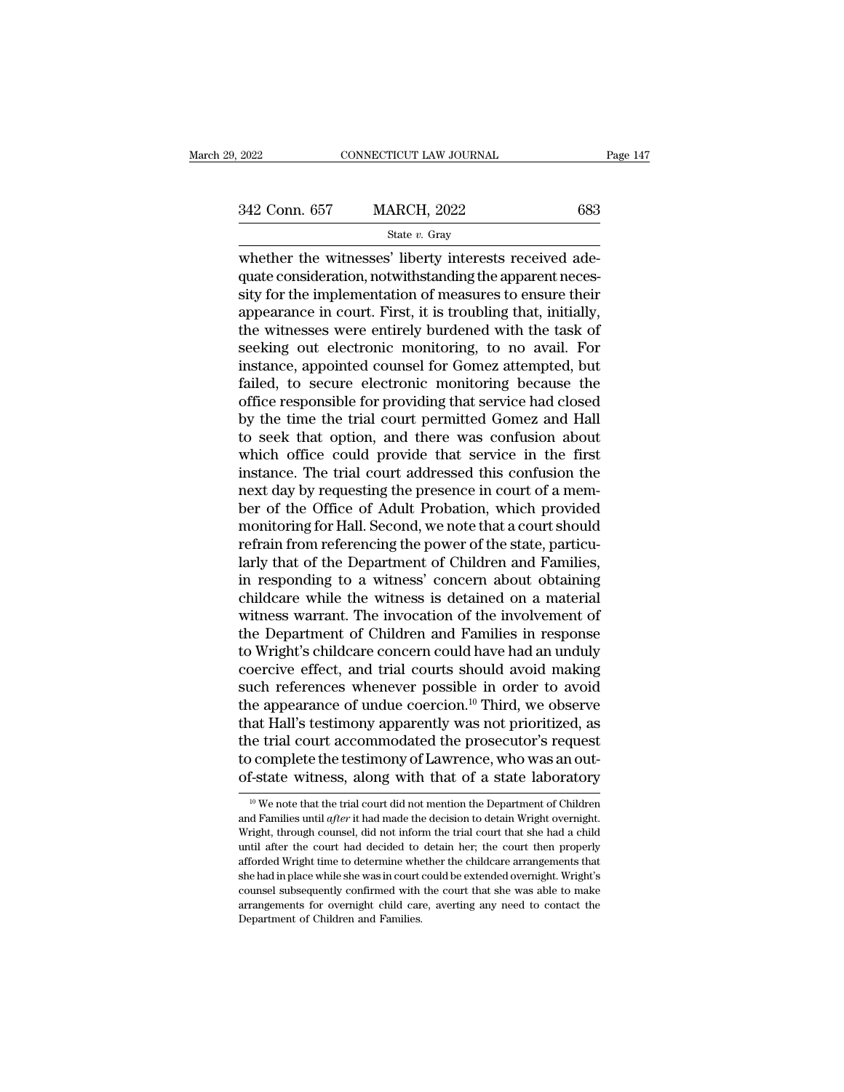State *v.* Gray

 $\frac{2022}{2022}$  CONNECTICUT LAW JOURNAL<br>342 Conn. 657 MARCH, 2022 683<br> $\frac{83}{202}$  State v. Gray<br>whether the witnesses' liberty interests received ade-<br>quate consideration, notwithstanding the apparent neces-<br>sity for the  $\begin{array}{ll} \text{342 Conn. 657} \qquad \text{MARCH, 2022} \qquad \text{683} \ \text{State } v. \text{ Gray} \ \text{whether the witnesses' liberty interests received adequate consideration, notwithstanding the apparent necessity for the implementation of measures to ensure their appearance in court. First, it is is to be a particular.} \end{array}$  $\frac{342 \text{ Conn. } 657 \qquad \text{MARCH, } 2022 \qquad \qquad 683}$ <br>  $\frac{\text{State } v. \text{ Gray}}{\text{whether the witnesses' liberty interests received adequate consideration, not withstanding the apparent necessity for the implementation of measures to ensure their appearance in court. First, it is is to ensure that, initially, the witnesses were entirely hundred with the task of$ 342 Conn. 657 MARCH, 2022 683<br>  $\frac{\text{State } v. \text{ Gray}}{\text{state } v. \text{ Gray}}$ <br>
whether the witnesses' liberty interests received adequate consideration, notwithstanding the apparent necessity for the implementation of measures to ensure th State v. Gray<br>
State v. Gray<br>
whether the witnesses' liberty interests received adequate consideration, notwithstanding the apparent necessity for the implementation of measures to ensure their<br>
appearance in court. First state  $v$ . Gray<br>whether the witnesses' liberty interests received ade-<br>quate consideration, notwithstanding the apparent neces-<br>sity for the implementation of measures to ensure their<br>appearance in court. First, it is tro whether the witnesses' liberty interests received adequate consideration, notwithstanding the apparent necessity for the implementation of measures to ensure their appearance in court. First, it is troubling that, initiall quate consideration, notwithstanding the apparent necessity for the implementation of measures to ensure their<br>appearance in court. First, it is troubling that, initially,<br>the witnesses were entirely burdened with the task sity for the implementation of measures to ensure their<br>appearance in court. First, it is troubling that, initially,<br>the witnesses were entirely burdened with the task of<br>seeking out electronic monitoring, to no avail. For appearance in court. First, it is troubling that, initially,<br>the witnesses were entirely burdened with the task of<br>seeking out electronic monitoring, to no avail. For<br>instance, appointed counsel for Gomez attempted, but<br>fa the witnesses were entirely burdened with the task of<br>seeking out electronic monitoring, to no avail. For<br>instance, appointed counsel for Gomez attempted, but<br>failed, to secure electronic monitoring because the<br>office resp seeking out electronic monitoring, to no avail. For<br>instance, appointed counsel for Gomez attempted, but<br>failed, to secure electronic monitoring because the<br>office responsible for providing that service had closed<br>by the t instance, appointed counsel for Gomez attempted, but<br>failed, to secure electronic monitoring because the<br>office responsible for providing that service had closed<br>by the time the trial court permitted Gomez and Hall<br>to seek failed, to secure electronic monitoring because the office responsible for providing that service had closed by the time the trial court permitted Gomez and Hall to seek that option, and there was confusion about which off office responsible for providing that service had closed<br>by the time the trial court permitted Gomez and Hall<br>to seek that option, and there was confusion about<br>which office could provide that service in the first<br>instance by the time the trial court permitted Gomez and Hall<br>to seek that option, and there was confusion about<br>which office could provide that service in the first<br>instance. The trial court addressed this confusion the<br>next day b to seek that option, and there was confusion about<br>which office could provide that service in the first<br>instance. The trial court addressed this confusion the<br>next day by requesting the presence in court of a mem-<br>ber of t which office could provide that service in the first<br>instance. The trial court addressed this confusion the<br>next day by requesting the presence in court of a mem-<br>ber of the Office of Adult Probation, which provided<br>monito instance. The trial court addressed this confusion the<br>next day by requesting the presence in court of a mem-<br>ber of the Office of Adult Probation, which provided<br>monitoring for Hall. Second, we note that a court should<br>re next day by requesting the presence in court of a member of the Office of Adult Probation, which provided monitoring for Hall. Second, we note that a court should refrain from referencing the power of the state, particular ber of the Office of Adult Probation, which provided<br>monitoring for Hall. Second, we note that a court should<br>refrain from referencing the power of the state, particu-<br>larly that of the Department of Children and Families, monitoring for Hall. Second, we note that a court should<br>refrain from referencing the power of the state, particu-<br>larly that of the Department of Children and Families,<br>in responding to a witness' concern about obtaining<br> refrain from referencing the power of the state, particularly that of the Department of Children and Families,<br>in responding to a witness' concern about obtaining<br>childcare while the witness is detained on a material<br>witne larly that of the Department of Children and Families,<br>in responding to a witness' concern about obtaining<br>childcare while the witness is detained on a material<br>witness warrant. The invocation of the involvement of<br>the Dep in responding to a witness' concern about obtaining<br>childcare while the witness is detained on a material<br>witness warrant. The invocation of the involvement of<br>the Department of Children and Families in response<br>to Wright' childcare while the witness is detained on a material<br>witness warrant. The invocation of the involvement of<br>the Department of Children and Families in response<br>to Wright's childcare concern could have had an unduly<br>coerciv witness warrant. The invocation of the involvement of<br>the Department of Children and Families in response<br>to Wright's childcare concern could have had an unduly<br>coercive effect, and trial courts should avoid making<br>such re the Department of Children and Families in response<br>to Wright's childcare concern could have had an unduly<br>coercive effect, and trial courts should avoid making<br>such references whenever possible in order to avoid<br>the appea to Wright's childcare concern could have had an unduly coercive effect, and trial courts should avoid making such references whenever possible in order to avoid the appearance of undue coercion.<sup>10</sup> Third, we observe that coercive effect, and trial courts should avoid making<br>such references whenever possible in order to avoid<br>the appearance of undue coercion.<sup>10</sup> Third, we observe<br>that Hall's testimony apparently was not prioritized, as<br>th the trial court accommodated the prosecutor's request<br>to complete the testimony of Lawrence, who was an out-<br>of-state witness, along with that of a state laboratory<br> $\frac{10}{10}$  We note that the trial court did not mention the trial court accommodated the prosecutor's request<br>to complete the testimony of Lawrence, who was an out-<br>of-state witness, along with that of a state laboratory<br><sup>10</sup> We note that the trial court did not mention the Dep

to complete the testimony of Lawrence, who was an out-<br>of-state witness, along with that of a state laboratory<br> $\frac{10 \text{ We} \text{ note that the trial court did not mention the Department of Children}}{10 \text{ and Family current that the decision to detail Wright overnight}}$ .<br>Wright, through counsel, did not inform the trial court that s of-state witness, along with that of a state laboratory<br>of-state witness, along with that of a state laboratory<br> $\frac{10 \text{ We}}{10 \text{ We}}$  we note that the trial court did not mention the Department of Children<br>and Families u  $\frac{10}{10}$  We note that the trial court did not mention the Department of Children<br>and Families until *after* it had made the decision to detain Wright overnight.<br>Wright, through counsel, did not inform the trial court t  $^{10}$  We note that the trial court did not mention the Department of Children and Families until *after* it had made the decision to detain Wright overnight. Wright, through counsel, did not inform the trial court that s and Families until *after* it had made the decision to detain Wright overnight. Wright, through counsel, did not inform the trial court that she had a child until after the court had decided to detain her; the court then Wright, through counsel, did not inform the trial court that she had a child<br>until after the court had decided to detain her; the court then properly<br>afforded Wright time to determine whether the childcare arrangements tha until after the court had decided to detain her; the court then properly afforded Wright time to determine whether the childcare arrangements that she had in place while she was in court could be extended overnight. Wright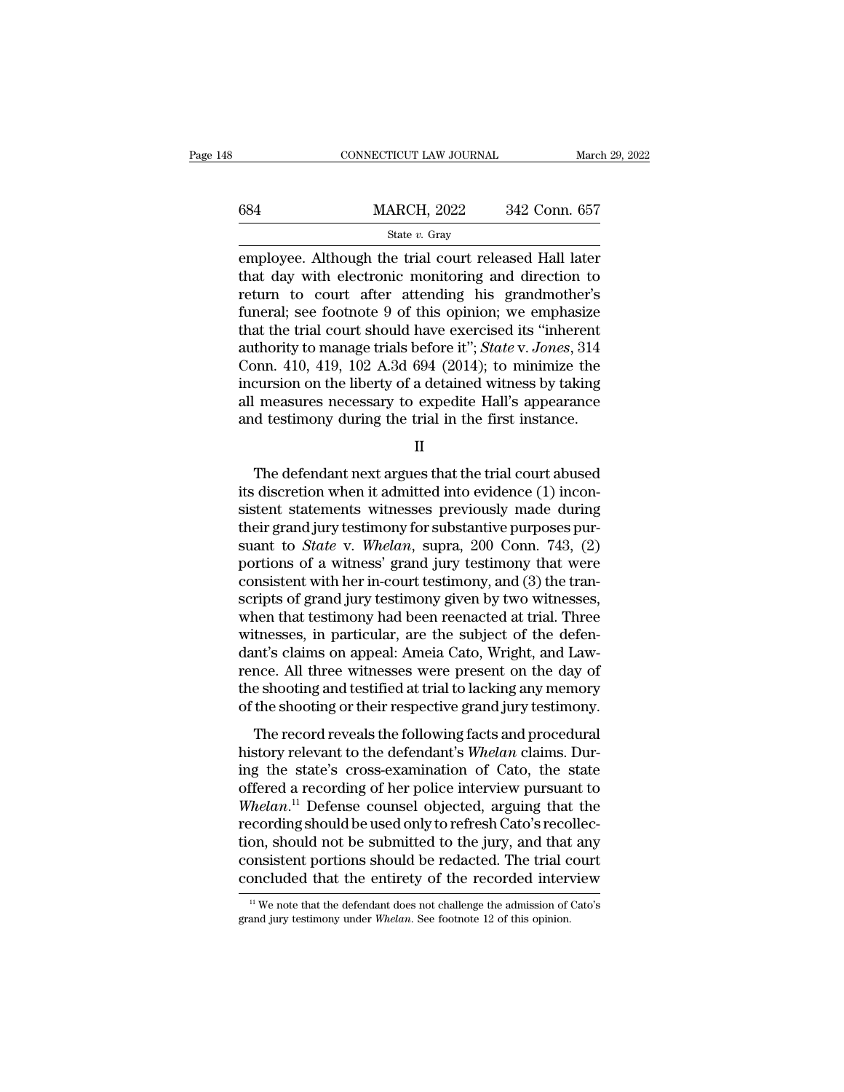|     | CONNECTICUT LAW JOURNAL                                                                                                                                             | March 29, 2022 |
|-----|---------------------------------------------------------------------------------------------------------------------------------------------------------------------|----------------|
| 684 | <b>MARCH, 2022</b>                                                                                                                                                  | 342 Conn. 657  |
|     | State $v$ . Gray                                                                                                                                                    |                |
|     | employee. Although the trial court released Hall later<br>that day with electronic monitoring and direction to<br>roturn to court ofter ottending his grandmother's |                |

 $\begin{tabular}{ll} \hline & \text{MARCH, 2022} & \text{342 Conn. 657} \\ & \text{State $v$. Gray} \\ \hline \end{tabular}$  employee. Although the trial court released Hall later that day with electronic monitoring and direction to return to court after attending his grandmother's f  $\begin{array}{ll}\n 684 & \text{MARCH, } 2022 & 342 \text{ Conn. } 657 \\
 \hline\n \text{State } v. \text{ Gray} \\
 \hline\n \text{employee. Although the trial court released Hall later} \\
 \text{that day with electronic monitoring and direction to} \\
 \text{return to court after attending his grandmother's} \\
 \text{funeral; see footnote 9 of this opinion; we emphasize} \\
 \text{that the trial court should have exercised its "inherent"} \n\end{array}$  $\frac{\text{MARCH, 2022}}{\text{State } v. \text{ Gray}}$ <br>
employee. Although the trial court released Hall later<br>
that day with electronic monitoring and direction to<br>
return to court after attending his grandmother's<br>
funeral; see footnote 9 of thi State v. Gray<br>
State v. Gray<br>
employee. Although the trial court released Hall later<br>
that day with electronic monitoring and direction to<br>
return to court after attending his grandmother's<br>
funeral; see footnote 9 of thi state *v*. Gray<br>employee. Although the trial court released Hall later<br>that day with electronic monitoring and direction to<br>return to court after attending his grandmother's<br>funeral; see footnote 9 of this opinion; we emph employee. Although the trial court released Hall later<br>that day with electronic monitoring and direction to<br>return to court after attending his grandmother's<br>funeral; see footnote 9 of this opinion; we emphasize<br>that the t that day with electronic monitoring and direction to<br>return to court after attending his grandmother's<br>funeral; see footnote 9 of this opinion; we emphasize<br>that the trial court should have exercised its "inherent<br>authorit return to court after attending his grandmother's<br>funeral; see footnote 9 of this opinion; we emphasize<br>that the trial court should have exercised its "inherent<br>authority to manage trials before it"; *State* v. *Jones*, 31 funeral; see footnote 9 of this opinion; we emphasize<br>that the trial court should have exercised its "inherent<br>authority to manage trials before it"; *State* v. *Jones*, 314<br>Conn. 410, 419, 102 A.3d 694 (2014); to minimiz by a 410, 419, 102 A.3d 694 (2014); to minimize the cursion on the liberty of a detained witness by taking<br>measures necessary to expedite Hall's appearance<br>d testimony during the trial in the first instance.<br> $\Pi$ <br>The defe

II

incursion on the liberty of a detained witness by taking<br>all measures necessary to expedite Hall's appearance<br>and testimony during the trial in the first instance.<br>II<br>The defendant next argues that the trial court abused<br>i all measures necessary to expedite Hall's appearance<br>and testimony during the trial in the first instance.<br> $II$ <br>The defendant next argues that the trial court abused<br>its discretion when it admitted into evidence (1) inconand testimony during the trial in the first instance.<br>
II<br>
The defendant next argues that the trial court abused<br>
its discretion when it admitted into evidence (1) incon-<br>
sistent statements witnesses previously made durin II<br>The defendant next argues that the trial court abused<br>its discretion when it admitted into evidence (1) incon-<br>sistent statements witnesses previously made during<br>their grand jury testimony for substantive purposes pur-The defendant next argues that the trial court abused<br>its discretion when it admitted into evidence (1) incon-<br>sistent statements witnesses previously made during<br>their grand jury testimony for substantive purposes pur-<br>s The defendant next argues that the trial court abused<br>its discretion when it admitted into evidence (1) incon-<br>sistent statements witnesses previously made during<br>their grand jury testimony for substantive purposes pur-<br>s its discretion when it admitted into evidence (1) inconsistent statements witnesses previously made during<br>their grand jury testimony for substantive purposes pur-<br>suant to *State* v. *Whelan*, supra, 200 Conn. 743, (2)<br>po sistent statements witnesses previously made during<br>their grand jury testimony for substantive purposes pur-<br>suant to *State* v. *Whelan*, supra, 200 Conn. 743, (2)<br>portions of a witness' grand jury testimony that were<br>con their grand jury testimony for substantive purposes pursuant to *State* v. *Whelan*, supra, 200 Conn. 743, (2) portions of a witness' grand jury testimony that were consistent with her in-court testimony, and (3) the trans suant to *State* v. *Whelan*, supra, 200 Conn. 743, (2) portions of a witness' grand jury testimony that were consistent with her in-court testimony, and (3) the transcripts of grand jury testimony given by two witnesses, portions of a witness' grand jury testimony that were<br>consistent with her in-court testimony, and (3) the tran-<br>scripts of grand jury testimony given by two witnesses,<br>when that testimony had been reenacted at trial. Three consistent with her in-court testimony, and (3) the tran-<br>scripts of grand jury testimony given by two witnesses,<br>when that testimony had been reenacted at trial. Three<br>witnesses, in particular, are the subject of the defe scripts of grand jury testimony given by two witnesses,<br>when that testimony had been reenacted at trial. Three<br>witnesses, in particular, are the subject of the defen-<br>dant's claims on appeal: Ameia Cato, Wright, and Law-<br>r the read test in particular, are the subject of the defen-<br>thesses, in particular, are the subject of the defen-<br>nt's claims on appeal: Ameia Cato, Wright, and Law-<br>nce. All three witnesses were present on the day of<br>e sho wheelsses, in particular, are the subject of the determinant's claims on appeal: Ameia Cato, Wright, and Lawrence. All three witnesses were present on the day of the shooting and testified at trial to lacking any memory of

rence. All three witnesses were present on the day of<br>the shooting and testified at trial to lacking any memory<br>of the shooting or their respective grand jury testimony.<br>The record reveals the following facts and procedur the shooting and testified at trial to lacking any memory<br>of the shooting or their respective grand jury testimony.<br>The record reveals the following facts and procedural<br>history relevant to the defendant's *Whelan* claims of the shooting and testinct at that to facturing any includery<br>of the shooting or their respective grand jury testimony.<br>The record reveals the following facts and procedural<br>history relevant to the defendant's *Whelan* c The record reveals the following facts and procedural<br>history relevant to the defendant's *Whelan* claims. During the state's cross-examination of Cato, the state<br>offered a recording of her police interview pursuant to<br> $W$ The record reveals the following facts and procedural<br>history relevant to the defendant's *Whelan* claims. Dur-<br>ing the state's cross-examination of Cato, the state<br>offered a recording of her police interview pursuant to<br> history relevant to the defendant's Whelan claims. During the state's cross-examination of Cato, the state offered a recording of her police interview pursuant to Whelan.<sup>11</sup> Defense counsel objected, arguing that the reco ing the state's cross-examination of Cato, the state<br>offered a recording of her police interview pursuant to<br>Whelan.<sup>11</sup> Defense counsel objected, arguing that the<br>recording should be used only to refresh Cato's recollecrecording should be used only to refresh Cato's recollection, should not be submitted to the jury, and that any consistent portions should be redacted. The trial court concluded that the entirety of the recorded interview concluded that the entirety of the recorded interview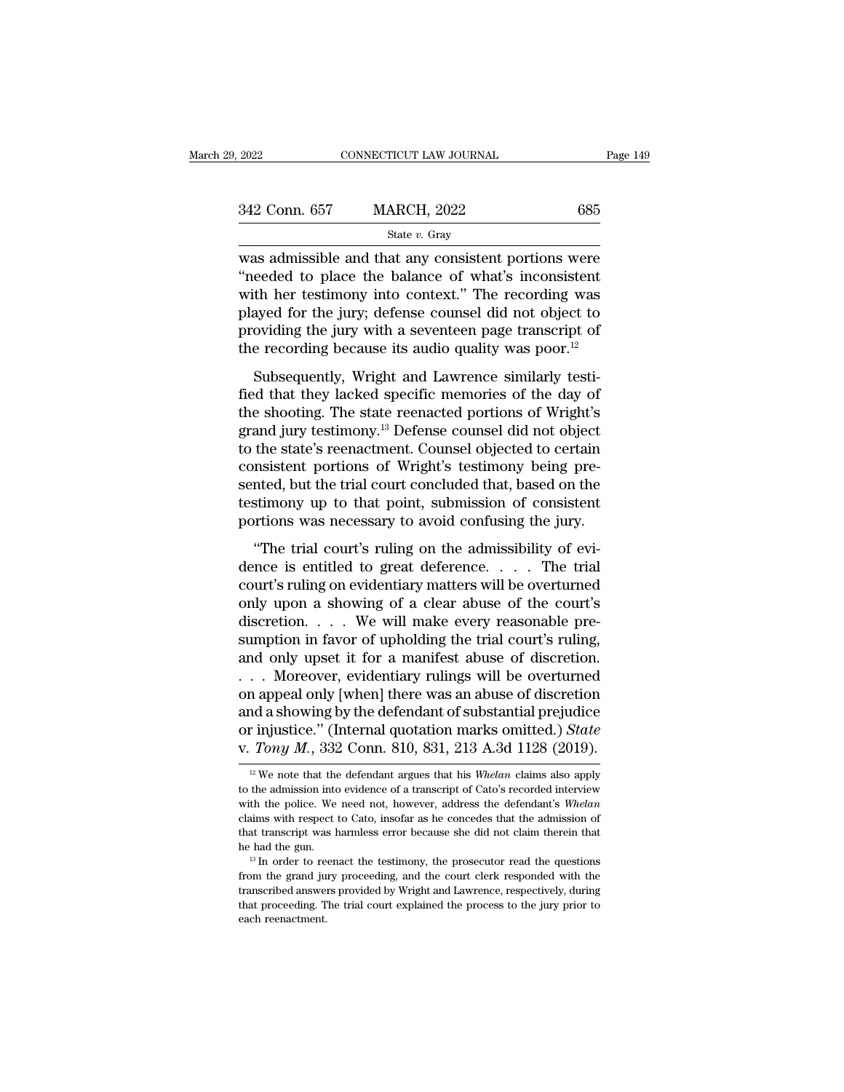| . 2022        | CONNECTICUT LAW JOURNAL | Page 149 |
|---------------|-------------------------|----------|
| 342 Conn. 657 | <b>MARCH, 2022</b>      | 685      |
|               | State $v$ . Gray        |          |

 $\frac{2022}{2022}$  CONNECTICUT LAW JOURNAL Page 149<br>342 Conn. 657 MARCH, 2022 685<br>5 State v. Gray<br>was admissible and that any consistent portions were<br>"needed to place the balance of what's inconsistent<br>with hor testimony in  $\frac{342 \text{ Conn. } 657}{\text{State } v. \text{ Gray}}$ <br>Was admissible and that any consistent portions were<br>
"needed to place the balance of what's inconsistent<br>
with her testimony into context." The recording was<br>
played for the jury: defense  $\frac{342 \text{ Conn. } 657}{\text{State } v. \text{ Gray}}$ <br>Was admissible and that any consistent portions were<br>"needed to place the balance of what's inconsistent<br>with her testimony into context." The recording was<br>played for the jury; defense cou 342 Conn. 657 MARCH, 2022 685<br>
State v. Gray<br>
was admissible and that any consistent portions were<br>
"needed to place the balance of what's inconsistent<br>
with her testimony into context." The recording was<br>
played for the State *v*. Gray<br>
was admissible and that any consistent portions were<br>
"needed to place the balance of what's inconsistent<br>
with her testimony into context." The recording was<br>
played for the jury; defense counsel did not state *v*. Gray<br>was admissible and that any consistent portions were<br>"needed to place the balance of what's inconsistent<br>with her testimony into context." The recording was<br>played for the jury; defense counsel did not obj Subsequently, Wright and Lawrence similarly testi-<br>eeded to place the balance of what's inconsistent<br>th her testimony into context." The recording was<br>ayed for the jury, defense counsel did not object to<br>oviding the jury with her testimony into context." The recording was<br>played for the jury; defense counsel did not object to<br>providing the jury with a seventeen page transcript of<br>the recording because its audio quality was poor.<sup>12</sup><br>Subse

mark field the jury; defense counsel did not object to<br>providing the jury with a seventeen page transcript of<br>the recording because its audio quality was poor.<sup>12</sup><br>Subsequently, Wright and Lawrence similarly testi-<br>fied t play of the Jary, defense counser and not object to<br>providing the jury with a seventeen page transcript of<br>the recording because its audio quality was poor.<sup>12</sup><br>Subsequently, Wright and Lawrence similarly testi-<br>fied that the recording because its audio quality was poor.<sup>12</sup><br>the recording because its audio quality was poor.<sup>12</sup><br>Subsequently, Wright and Lawrence similarly testi-<br>fied that they lacked specific memories of the day of<br>the shoo subsequently, Wright and Lawrence similarly testified that they lacked specific memories of the day of the shooting. The state reenacted portions of Wright's grand jury testimony.<sup>13</sup> Defense counsel did not object to the Subsequently, Wright and Lawrence similarly testi-<br>fied that they lacked specific memories of the day of<br>the shooting. The state reenacted portions of Wright's<br>grand jury testimony.<sup>13</sup> Defense counsel did not object<br>to th fied that they lacked specific memories of the day of<br>the shooting. The state reenacted portions of Wright's<br>grand jury testimony.<sup>13</sup> Defense counsel did not object<br>to the state's reenactment. Counsel objected to certain<br> the shooting. The state reenacted portions of Wright's grand jury testimony.<sup>13</sup> Defense counsel did not object to the state's reenactment. Counsel objected to certain consistent portions of Wright's testimony being presen the state's reenactment. Counsel objected to certain<br>
msistent portions of Wright's testimony being pre-<br>
nted, but the trial court concluded that, based on the<br>
stimony up to that point, submission of consistent<br>
rrtions consistent portions of Wright's testimony being presented, but the trial court concluded that, based on the testimony up to that point, submission of consistent portions was necessary to avoid confusing the jury.<br>
"The tr

sented, but the trial court concluded that, based on the testimony up to that point, submission of consistent portions was necessary to avoid confusing the jury.<br>"The trial court's ruling on the admissibility of evidence besheed, say are and controlled a chat, saked on the destinant portions was necessary to avoid confusing the jury.<br>
"The trial court's ruling on the admissibility of evidence is entitled to great deference.... The trial co portions was necessary to avoid confusing the jury.<br>
"The trial court's ruling on the admissibility of evidence is entitled to great deference.... The trial court's ruling on evidentiary matters will be overturned<br>
only u "The trial court's ruling on the admissibility of evidence is entitled to great deference.... The trial court's ruling on evidentiary matters will be overturned only upon a showing of a clear abuse of the court's discreti "The trial court's ruling on the admissibility of evidence is entitled to great deference.... The trial court's ruling on evidentiary matters will be overturned only upon a showing of a clear abuse of the court's discreti dence is entitled to great deference. . . . . The trial<br>court's ruling on evidentiary matters will be overturned<br>only upon a showing of a clear abuse of the court's<br>discretion. . . . . We will make every reasonable pre-<br>su court's ruling on evidentiary matters will be overturned<br>only upon a showing of a clear abuse of the court's<br>discretion. . . . We will make every reasonable pre-<br>sumption in favor of upholding the trial court's ruling,<br>an only upon a showing of a clear abuse of the court's<br>discretion. . . . We will make every reasonable pre-<br>sumption in favor of upholding the trial court's ruling,<br>and only upset it for a manifest abuse of discretion.<br>. . . discretion. . . . . We will make every reasonable pre-<br>sumption in favor of upholding the trial court's ruling,<br>and only upset it for a manifest abuse of discretion.<br>. . . Moreover, evidentiary rulings will be overturned<br>o sumption in favor of upholding the trial court's ruling,<br>and only upset it for a manifest abuse of discretion.<br>... Moreover, evidentiary rulings will be overturned<br>on appeal only [when] there was an abuse of discretion<br>an on appeal only [when] there was an abuse of discretion<br>and a showing by the defendant of substantial prejudice<br>or injustice." (Internal quotation marks omitted.) *State*<br>v. Tony M., 332 Conn. 810, 831, 213 A.3d 1128 (2019 and a showing by the defendant of substantial prejudice<br>or injustice." (Internal quotation marks omitted.) *State*<br>v. Tony M., 332 Conn. 810, 831, 213 A.3d 1128 (2019).<br><sup>12</sup> We note that the defendant argues that his *Whe* 

or injustice." (Internal quotation marks omitted.) *State*<br>v. Tony M., 332 Conn. 810, 831, 213 A.3d 1128 (2019).<br><sup>12</sup> We note that the defendant argues that his *Whelan* claims also apply<br>to the admission into evidence of **claims with respect to Cato**, insofar as he concedes that the admission into evidence of a transcript of Cato's recorded interview with the police. We need not, however, address the defendant's *Whelan* claims with respe <sup>12</sup> We note that the defendant argues that his *Whelan* claims also apply to the admission into evidence of a transcript of Cato's recorded interview with the police. We need not, however, address the defendant's *Whelan* <sup>12</sup> We note that the defendant argues that his *Whelan* claims also apply to the admission into evidence of a transcript of Cato's recorded interview with the police. We need not, however, address the defendant's *Whelan* with the police. We need not, however, address the defendant's *Whelan* claims with respect to Cato, insofar as he concedes that the admission of that transcript was harmless error because she did not claim therein that he

The mass with respect to Cato, insofar as he concedes that the admission of that transcript was harmless error because she did not claim therein that he had the gun.<br><sup>13</sup> In order to reenact the testimony, the prosecutor r that transcript was harmless error because she did not claim therein that<br>that transcript was harmless error because she did not claim therein that<br>he had the gun.<br><sup>13</sup> In order to reenact the testimony, the prosecutor rea  $^{13}$  In order to reenact the testimony, the prosecutor read the questions from the grand jury proceeding, and the court clerk responded with the transcribed answers provided by Wright and Lawrence, respectively, during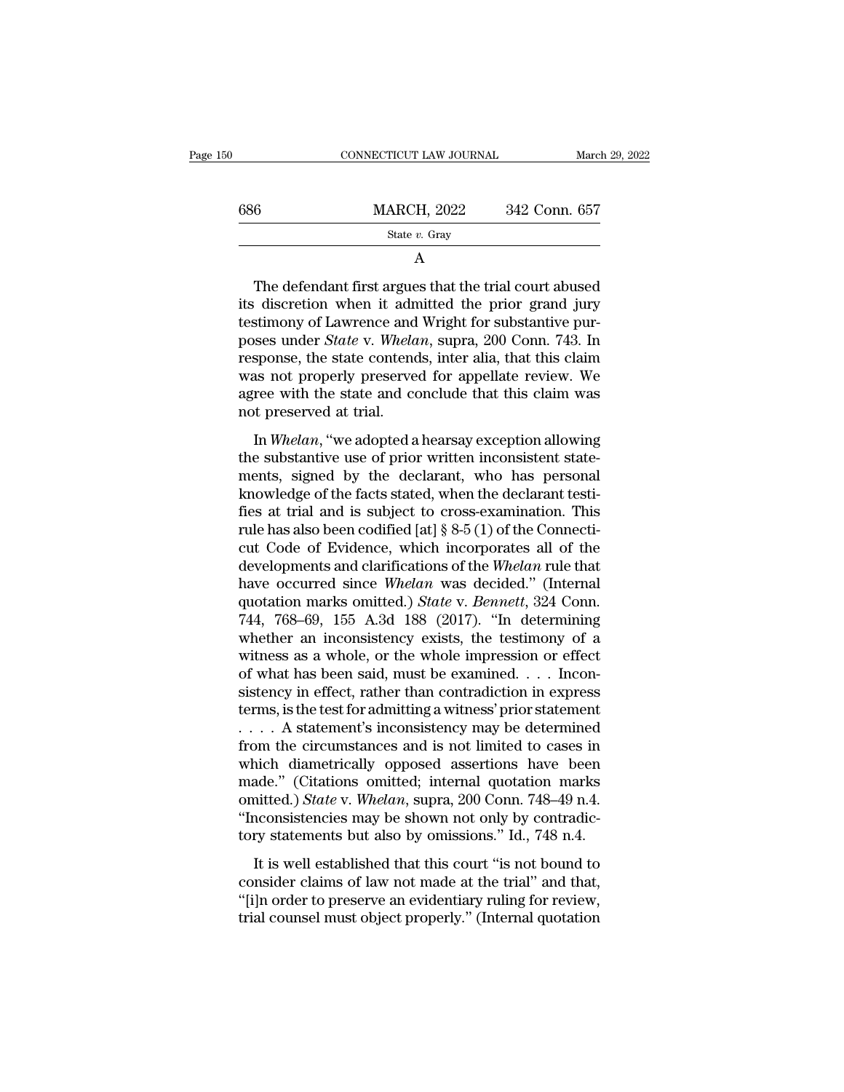| 50  | CONNECTICUT LAW JOURNAL                                                                                                                                                                                                       | March 29, 2022 |
|-----|-------------------------------------------------------------------------------------------------------------------------------------------------------------------------------------------------------------------------------|----------------|
| 686 | <b>MARCH, 2022</b>                                                                                                                                                                                                            | 342 Conn. 657  |
|     | State $v$ . Gray                                                                                                                                                                                                              |                |
|     | A                                                                                                                                                                                                                             |                |
|     | The defendant first argues that the trial court abused<br>its discretion when it admitted the prior grand jury<br>testimony of Lawrence and Wright for substantive pur-<br>poses under State y Whelan, supra 200 Conn. 743 In |                |

686 MARCH, 2022 342 Conn. 657<br>
State v. Gray<br>
A<br>
The defendant first argues that the trial court abused<br>
its discretion when it admitted the prior grand jury<br>
testimony of Lawrence and Wright for substantive pur-<br>
poses u State v. Gray<br>
A<br>
The defendant first argues that the trial court abused<br>
its discretion when it admitted the prior grand jury<br>
testimony of Lawrence and Wright for substantive pur-<br>
poses under *State* v. *Whelan*, supra, A<br>
The defendant first argues that the trial court abused<br>
its discretion when it admitted the prior grand jury<br>
testimony of Lawrence and Wright for substantive pur-<br>
poses under *State* v. *Whelan*, supra, 200 Conn. 743. The defendant first argues that the trial court abused<br>its discretion when it admitted the prior grand jury<br>testimony of Lawrence and Wright for substantive pur-<br>poses under *State* v. *Whelan*, supra, 200 Conn. 743. In<br>r The defendant first argues that the trial court abused<br>its discretion when it admitted the prior grand jury<br>testimony of Lawrence and Wright for substantive pur-<br>poses under *State* v. *Whelan*, supra, 200 Conn. 743. In<br>re its discretion when it adn<br>testimony of Lawrence and<br>poses under *State* v. Whela<br>response, the state contence<br>was not properly preserve<br>agree with the state and co<br>not preserved at trial.<br>In Whelan, "we adopted a Semiory of Lawrence and Wright for Substantive parses under *State* v. *Whelan*, supra, 200 Conn. 743. In sponse, the state contends, inter alia, that this claim as not properly preserved for appellate review. We ree with poses and to state v. metane, super, 200 Com. 115. In<br>response, the state contends, inter alia, that this claim<br>was not properly preserved for appellate review. We<br>agree with the state and conclude that this claim was<br>not

response, are state contentas, meer and, and ans claim<br>was not properly preserved for appellate review. We<br>agree with the state and conclude that this claim was<br>not preserved at trial.<br>In *Whelan*, "we adopted a hearsay ex was not properly preserved for appendix force. We agree with the state and conclude that this claim was not preserved at trial.<br>In *Whelan*, "we adopted a hearsay exception allowing the substantive use of prior written in fies what are state and concreate that this claim was<br>not preserved at trial.<br>In Whelan, "we adopted a hearsay exception allowing<br>the substantive use of prior written inconsistent state-<br>ments, signed by the declarant, wh In Whelan, "we adopted a hearsay exception allowing<br>the substantive use of prior written inconsistent state-<br>ments, signed by the declarant, who has personal<br>knowledge of the facts stated, when the declarant testi-<br>fies a In *Whelan*, "we adopted a hearsay exception allowing<br>the substantive use of prior written inconsistent state-<br>ments, signed by the declarant, who has personal<br>knowledge of the facts stated, when the declarant testi-<br>fies the substantive use of prior written inconsistent statements, signed by the declarant, who has personal knowledge of the facts stated, when the declarant testifies at trial and is subject to cross-examination. This rule ha ments, signed by the declarant, who has personal<br>knowledge of the facts stated, when the declarant testi-<br>fies at trial and is subject to cross-examination. This<br>rule has also been codified [at] § 8-5 (1) of the Connecti-<br> knowledge of the facts stated, when the declarant testi-<br>fies at trial and is subject to cross-examination. This<br>rule has also been codified [at] § 8-5 (1) of the Connecti-<br>cut Code of Evidence, which incorporates all of t fies at trial and is subject to cross-examination. This<br>rule has also been codified [at] § 8-5 (1) of the Connecti-<br>cut Code of Evidence, which incorporates all of the<br>developments and clarifications of the *Whelan* rule rule has also been codified [at] § 8-5 (1) of the Connecticut Code of Evidence, which incorporates all of the developments and clarifications of the Whelan rule that have occurred since Whelan was decided." (Internal quot cut Code of Evidence, which incorporates all of the<br>developments and clarifications of the *Whelan* rule that<br>have occurred since *Whelan* was decided." (Internal<br>quotation marks omitted.) *State* v. *Bennett*, 324 Conn.<br>7 developments and clarifications of the Whelan rule that<br>have occurred since Whelan was decided." (Internal<br>quotation marks omitted.) *State* v. *Bennett*, 324 Conn.<br>744, 768–69, 155 A.3d 188 (2017). "In determining<br>whether have occurred since Whelan was decided." (Internal quotation marks omitted.) *State* v. *Bennett*, 324 Conn. 744, 768–69, 155 A.3d 188 (2017). "In determining whether an inconsistency exists, the testimony of a witness as quotation marks omitted.) *State* v. *Bennett*, 324 Conn.<br>744, 768–69, 155 A.3d 188 (2017). "In determining<br>whether an inconsistency exists, the testimony of a<br>witness as a whole, or the whole impression or effect<br>of what 744, 768–69, 155 A.3d 188 (2017). "In determining<br>whether an inconsistency exists, the testimony of a<br>witness as a whole, or the whole impression or effect<br>of what has been said, must be examined.... Incon-<br>sistency in ef whether an inconsistency exists, the testimony of a<br>witness as a whole, or the whole impression or effect<br>of what has been said, must be examined. . . . Incon-<br>sistency in effect, rather than contradiction in express<br>term witness as a whole, or the whole impression or effect<br>of what has been said, must be examined. . . . Incon-<br>sistency in effect, rather than contradiction in express<br>terms, is the test for admitting a witness' prior statem of what has been said, must be examined.... Inconsistency in effect, rather than contradiction in express<br>terms, is the test for admitting a witness' prior statement<br>.... A statement's inconsistency may be determined<br>from sistency in effect, rather than contradiction in express<br>terms, is the test for admitting a witness' prior statement<br> $\dots$  A statement's inconsistency may be determined<br>from the circumstances and is not limited to cases in terms, is the test for admitting a witness' prior statement  $\ldots$ . A statement's inconsistency may be determined from the circumstances and is not limited to cases in which diametrically opposed assertions have been made. .... A statement's inconsistency may be determined<br>from the circumstances and is not limited to cases in<br>which diametrically opposed assertions have been<br>made." (Citations omitted; internal quotation marks<br>omitted.) *Stat* It is well established that this court "is not bound to the made." (Citations omitted; internal quotation marks inited.) *State v. Whelan*, supra, 200 Conn. 748–49 n.4. acconsistencies may be shown not only by contradictry made." (Citations omitted; internal quotation marks<br>omitted.) *State* v. Whelan, supra, 200 Conn. 748–49 n.4.<br>"Inconsistencies may be shown not only by contradic-<br>tory statements but also by omissions." Id., 748 n.4.<br>It i

matter. (Charlons Shaked, Internal quotation maths omitted.) State v. Whelan, supra, 200 Conn. 748–49 n.4.<br>
"Inconsistencies may be shown not only by contradictory statements but also by omissions." Id., 748 n.4.<br>
It is we The condition of the same of the state of the countries.<br>
"Inconsistencies may be shown not only by contradictory statements but also by omissions." Id., 748 n.4.<br>
It is well established that this court "is not bound to co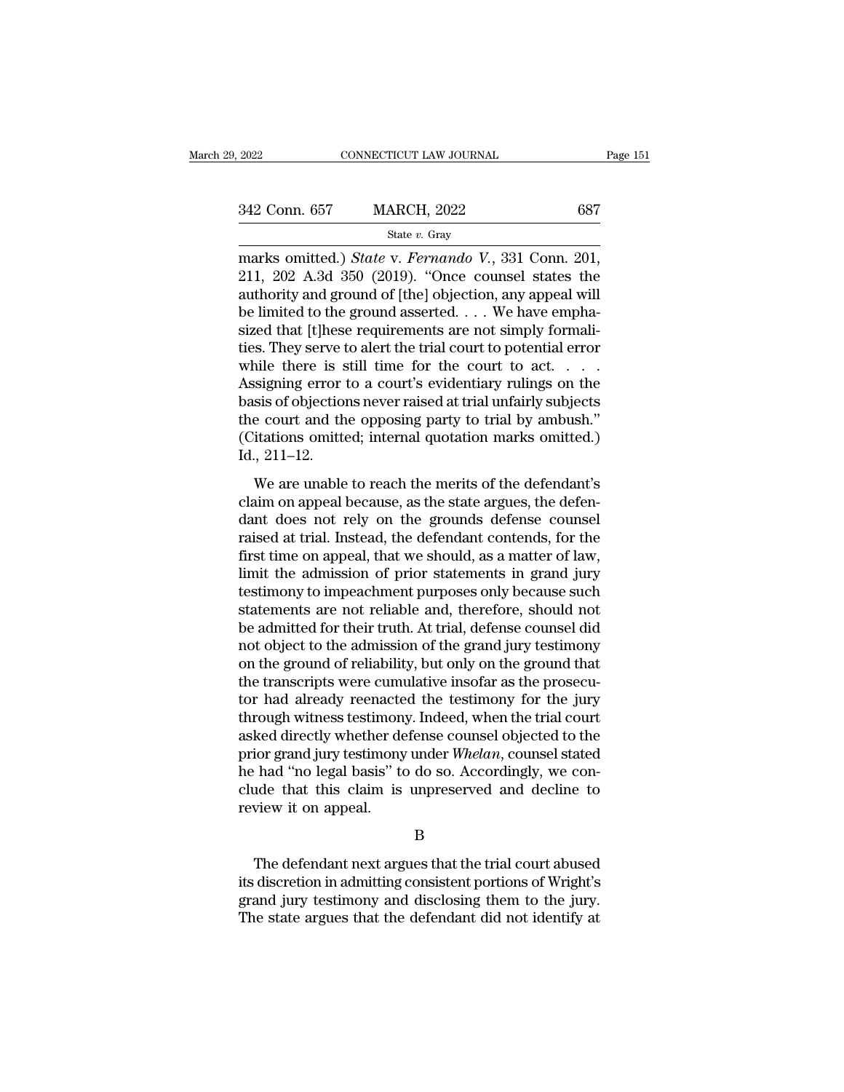| 2022          | CONNECTICUT LAW JOURNAL | Page 151 |
|---------------|-------------------------|----------|
| 342 Conn. 657 | <b>MARCH, 2022</b>      | 687      |
|               | State $v$ . Gray        |          |

Examples 2022<br>
2022 Conn. 657 MARCH, 2022<br>
342 Conn. 657 MARCH, 2022<br>
<sup>State v. Gray</sup><br>
marks omitted.) *State* v. *Fernando V.*, 331 Conn. 201,<br>
211, 202 A.3d 350 (2019). "Once counsel states the<br>
authority and ground of I  $\begin{array}{r} \n 342 \text{ Conn. } 657 \quad \text{MARCH, } 2022 \quad \text{687} \\
 \text{State } v. \text{ Gray} \quad \text{marks omitted.)} \text{State v. } \text{Fernando V., } 331 \text{ Conn. } 201, \\
 211, 202 \text{ A.3d } 350 \text{ (2019). } \text{``Once course! states the authority and ground of [the] objection, any appeal will be limited to the ground asserted. We have a simple method.} \n\end{array}$ 342 Conn. 657 MARCH, 2022 687<br>
State v. Gray<br>
State v. Gray<br>
marks omitted.) *State* v. *Fernando V.*, 331 Conn. 201,<br>
211, 202 A.3d 350 (2019). "Once counsel states the<br>
authority and ground of [the] objection, any appea 342 Conn. 657 MARCH, 2022 687<br>
State v. Gray<br>
marks omitted.) State v. Fernando V., 331 Conn. 201,<br>
211, 202 A.3d 350 (2019). "Once counsel states the<br>
authority and ground of [the] objection, any appeal will<br>
be limited Size of the set of the set of the court to act and the simple that  $\frac{1}{211}$ , 202 A.3d 350 (2019). "Once counsel states the authority and ground of [the] objection, any appeal will be limited to the ground asserted. . . state v. Gray<br>
marks omitted.) *State* v. *Fernando V.*, 331 Conn. 201,<br>
211, 202 A.3d 350 (2019). "Once counsel states the<br>
authority and ground of [the] objection, any appeal will<br>
be limited to the ground asserted. . . marks omitted.) *State* v. *Fernando* V., 331 Conn. 201, 211, 202 A.3d 350 (2019). "Once counsel states the authority and ground of [the] objection, any appeal will be limited to the ground asserted. . . . We have emphasi 211, 202 A.3d 350 (2019). "Once counsel states the<br>authority and ground of [the] objection, any appeal will<br>be limited to the ground asserted. . . . We have empha-<br>sized that [t]hese requirements are not simply formali-<br>t authority and ground of [the] objection, any appeal will<br>be limited to the ground asserted. . . . We have empha-<br>sized that [t]hese requirements are not simply formali-<br>ties. They serve to alert the trial court to potenti be limited to the ground asserted. . . . We have emphasized that [t]hese requirements are not simply formali-<br>ties. They serve to alert the trial court to potential error<br>while there is still time for the court to act. . sized that [t]hese requirements are not simply formali-<br>ties. They serve to alert the trial court to potential error<br>while there is still time for the court to act. . . . .<br>Assigning error to a court's evidentiary rulings ties. They serve t<br>while there is s<br>Assigning error<br>basis of objection<br>the court and th<br>(Citations omitte<br>Id., 211–12.<br>We are unable Signing error to a court's evidentiary rulings on the<br>sis of objections never raised at trial unfairly subjects<br>e court and the opposing party to trial by ambush."<br>itations omitted; internal quotation marks omitted.)<br>., 2 rassigning error to a coart of entanting range on and<br>basis of objections never raised at trial unfairly subjects<br>the court and the opposing party to trial by ambush."<br>(Citations omitted; internal quotation marks omitted.)

basis of objections never raised at that antially subjects<br>the court and the opposing party to trial by ambush."<br>(Citations omitted; internal quotation marks omitted.)<br>Id., 211–12.<br>We are unable to reach the merits of the rate coard and the opposing party to that by tandish.<br>
(Citations omitted; internal quotation marks omitted.)<br>
Id., 211–12.<br>
We are unable to reach the merits of the defendant's<br>
claim on appeal because, as the state argue Id., 211–12.<br>We are unable to reach the merits of the defendant's<br>claim on appeal because, as the state argues, the defen-<br>dant does not rely on the grounds defense counsel<br>raised at trial. Instead, the defendant contends limit the admission of prior state argues, the defendant's<br>claim on appeal because, as the state argues, the defen-<br>dant does not rely on the grounds defense counsel<br>raised at trial. Instead, the defendant contends, for th We are unable to reach the merits of the defendant's<br>claim on appeal because, as the state argues, the defen-<br>dant does not rely on the grounds defense counsel<br>raised at trial. Instead, the defendant contends, for the<br>firs claim on appeal because, as the state argues, the defendant does not rely on the grounds defense counsel<br>raised at trial. Instead, the defendant contends, for the<br>first time on appeal, that we should, as a matter of law,<br>l dant does not rely on the grounds defense counsel<br>raised at trial. Instead, the defendant contends, for the<br>first time on appeal, that we should, as a matter of law,<br>limit the admission of prior statements in grand jury<br>te raised at trial. Instead, the defendant contends, for the<br>first time on appeal, that we should, as a matter of law,<br>limit the admission of prior statements in grand jury<br>testimony to impeachment purposes only because such<br> first time on appeal, that we should, as a matter of law,<br>limit the admission of prior statements in grand jury<br>testimony to impeachment purposes only because such<br>statements are not reliable and, therefore, should not<br>be limit the admission of prior statements in grand jury<br>testimony to impeachment purposes only because such<br>statements are not reliable and, therefore, should not<br>be admitted for their truth. At trial, defense counsel did<br>no testimony to impeachment purposes only because such<br>statements are not reliable and, therefore, should not<br>be admitted for their truth. At trial, defense counsel did<br>not object to the admission of the grand jury testimony<br> statements are not reliable and, therefore, should not<br>be admitted for their truth. At trial, defense counsel did<br>not object to the admission of the grand jury testimony<br>on the ground of reliability, but only on the ground be admitted for their truth. At trial, defense counsel did<br>not object to the admission of the grand jury testimony<br>on the ground of reliability, but only on the ground that<br>the transcripts were cumulative insofar as the pr not object to the admission of the grand jury testimony<br>on the ground of reliability, but only on the ground that<br>the transcripts were cumulative insofar as the prosecu-<br>tor had already reenacted the testimony for the jury on the ground of reliability, but only on the ground that<br>the transcripts were cumulative insofar as the prosecu-<br>tor had already reenacted the testimony for the jury<br>through witness testimony. Indeed, when the trial court the transcripts were cumulative insofar as the prosecutor had already reenacted the testimony for the jury through witness testimony. Indeed, when the trial court asked directly whether defense counsel objected to the prio tor had already reenacte<br>through witness testimon<br>asked directly whether de<br>prior grand jury testimony<br>he had "no legal basis" to<br>clude that this claim is<br>review it on appeal. Final divided in the defendant next argues that the trial court abused discretion in admitting consistent portions of Wright's<br>
and invext argues that the trial court abused<br>
discretion in admitting consistent portions of

B

he had "no legal basis" to do so. Accordingly, we conclude that this claim is unpreserved and decline to<br>review it on appeal.<br>B<br>The defendant next argues that the trial court abused<br>its discretion in admitting consistent p clude that this claim is unpreserved and decline to<br>review it on appeal.<br>B<br>The defendant next argues that the trial court abused<br>its discretion in admitting consistent portions of Wright's<br>grand jury testimony and disclosi Freview it on appeal.<br>B<br>The defendant next argues that the trial court abused<br>its discretion in admitting consistent portions of Wright's<br>grand jury testimony and disclosing them to the jury.<br>The state argues that the defe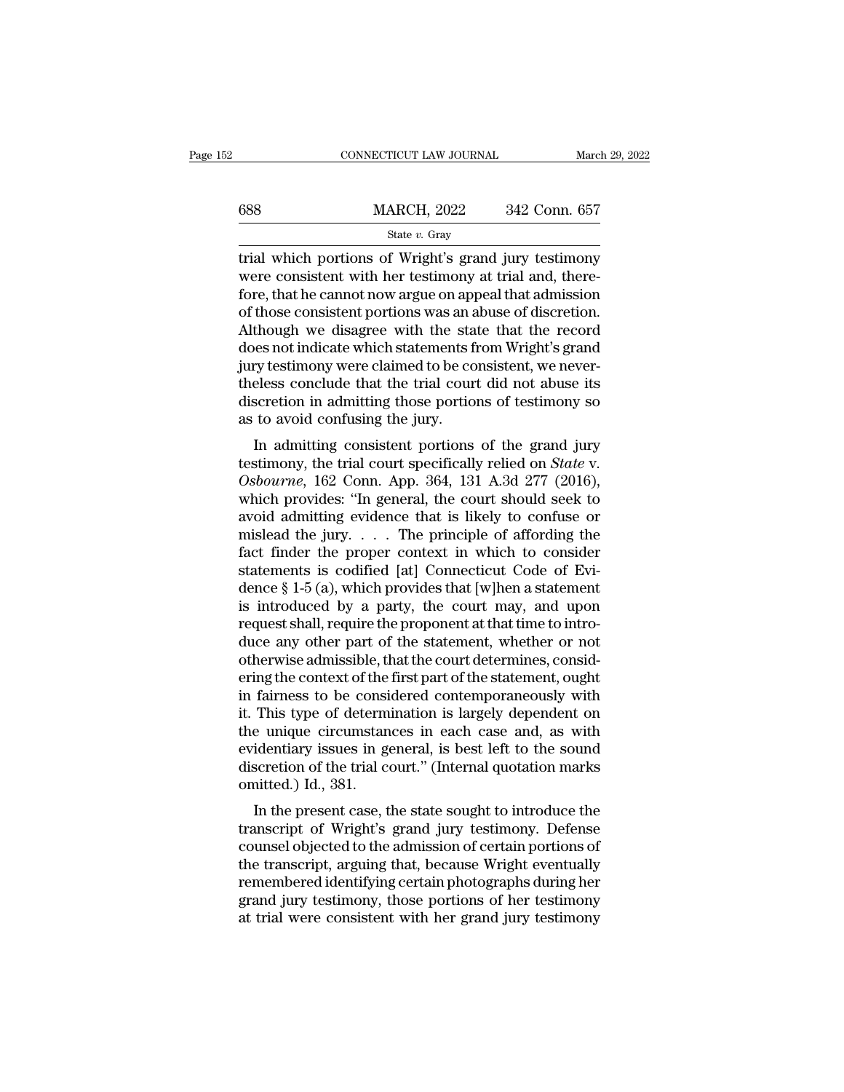|     | CONNECTICUT LAW JOURNAL | March 29, 2022 |  |
|-----|-------------------------|----------------|--|
|     |                         |                |  |
| 688 | <b>MARCH, 2022</b>      | 342 Conn. 657  |  |
|     | State $v$ . Gray        |                |  |

 $\begin{array}{ll}\n & \text{COMRECTICUT LAW JOURNAL} & \text{March 29, 2022} \\
 \hline\n & \text{MARCH, 2022} & \text{342 Conn. 657} \\
 \hline\n & \text{State } v. \text{ Gray} \\
 \hline\n & \text{trial which portions of Wright's grand jury testimony} \\
 \text{were consistent with her testimony at trial and, there-}\n \end{array}$  $\begin{array}{ll}\n 688 & \text{MARCH, } 2022 & 342 \text{ Conn. } 657 \\
 \text{State } v. \text{ Gray} \\
 \end{array}$  $\begin{array}{ll}\n 688 & \text{MARCH, } 2022 & 342 \text{ Conn. } 657 \\
 \hline\n \text{State } v. \text{ Gray} \\
 \hline\n \text{trial which portions of Wright's grand jury testimony} \\
 \text{were consistent with her testimony at trial and, therefore, that he cannot now argue on appeal that admission of those consistent portions was an abuse of discretion. Although we disagree with the state that the record\n \end{array}$ **EXECUTE CONSIST MARCH, 2022** 342 Conn. 657<br>
State v. Gray<br>
Final which portions of Wright's grand jury testimony<br>
were consistent with her testimony at trial and, there-<br>
fore, that he cannot now argue on appeal that adm State v. Gray<br>
Although we disagree with the state in and, therefore, that he cannot now argue on appeal that admission<br>
of those consistent portions was an abuse of discretion.<br>
Although we disagree with the state that t state v. Gray<br>
trial which portions of Wright's grand jury testimony<br>
were consistent with her testimony at trial and, there-<br>
fore, that he cannot now argue on appeal that admission<br>
of those consistent portions was an a trial which portions of Wright's grand jury testimony<br>were consistent with her testimony at trial and, there-<br>fore, that he cannot now argue on appeal that admission<br>of those consistent portions was an abuse of discretion. were consistent with her testimony at trial and, therefore, that he cannot now argue on appeal that admission<br>of those consistent portions was an abuse of discretion.<br>Although we disagree with the state that the record<br>doe fore, that he cannot now argue on appeal that admission<br>of those consistent portions was an abuse of discretion.<br>Although we disagree with the state that the record<br>does not indicate which statements from Wright's grand<br>ju of those consistent portions was an a<br>Although we disagree with the sta<br>does not indicate which statements f<br>jury testimony were claimed to be co<br>theless conclude that the trial cour<br>discretion in admitting those portio<br>as In admitting consistent portions of the grand jury<br>In admitting consistent, we never-<br>eless conclude that the trial court did not abuse its<br>scretion in admitting those portions of testimony so<br>to avoid confusing the jury. the trial court statements from wright's grand<br>jury testimony were claimed to be consistent, we never-<br>theless conclude that the trial court did not abuse its<br>discretion in admitting those portions of testimony so<br>as to av

*July testmony were claimed to be consistent, we never-*<br>theless conclude that the trial court did not abuse its<br>discretion in admitting those portions of testimony so<br>as to avoid confusing the jury.<br>In admitting consisten discretion in admitting those portions of testimony so<br>as to avoid confusing the jury.<br>In admitting consistent portions of the grand jury<br>testimony, the trial court specifically relied on *State* v.<br>Osbourne, 162 Conn. App as to avoid confusing the jury.<br>
In admitting consistent portions of the grand jury<br>
testimony, the trial court specifically relied on *State* v.<br>
Osbourne, 162 Conn. App. 364, 131 A.3d 277 (2016),<br>
which provides: "In gen In admitting consistent portions of the grand jury<br>testimony, the trial court specifically relied on *State v.*<br>Osbourne, 162 Conn. App. 364, 131 A.3d 277 (2016),<br>which provides: "In general, the court should seek to<br>avoi In admitting consistent portions of the grand jury<br>testimony, the trial court specifically relied on *State* v.<br>Osbourne, 162 Conn. App. 364, 131 A.3d 277 (2016),<br>which provides: "In general, the court should seek to<br>avoi testimony, the trial court specifically relied on *State* v.<br>
Osbourne, 162 Conn. App. 364, 131 A.3d 277 (2016),<br>
which provides: "In general, the court should seek to<br>
avoid admitting evidence that is likely to confuse o Osbourne, 162 Conn. App. 364, 131 A.3d 277 (2016),<br>which provides: "In general, the court should seek to<br>avoid admitting evidence that is likely to confuse or<br>mislead the jury.... The principle of affording the<br>fact finde which provides: "In general, the court should seek to<br>avoid admitting evidence that is likely to confuse or<br>mislead the jury. . . . The principle of affording the<br>fact finder the proper context in which to consider<br>statem avoid admitting evidence that is likely to confuse or mislead the jury. . . . The principle of affording the fact finder the proper context in which to consider statements is codified [at] Connecticut Code of Evidence  $\S$ mislead the jury. . . . The principle of affording the<br>fact finder the proper context in which to consider<br>statements is codified [at] Connecticut Code of Evi-<br>dence § 1-5 (a), which provides that [w]hen a statement<br>is in fact finder the proper context in which to consider<br>statements is codified [at] Connecticut Code of Evi-<br>dence  $\S 1-5$  (a), which provides that [w]hen a statement<br>is introduced by a party, the court may, and upon<br>request statements is codified [at] Connecticut Code of Evidence § 1-5 (a), which provides that [w]hen a statement<br>is introduced by a party, the court may, and upon<br>request shall, require the proponent at that time to intro-<br>duce dence  $\S$  1-5 (a), which provides that [w]hen a statement<br>is introduced by a party, the court may, and upon<br>request shall, require the proponent at that time to intro-<br>duce any other part of the statement, whether or not<br> is introduced by a party, the court may, and upon<br>request shall, require the proponent at that time to intro-<br>duce any other part of the statement, whether or not<br>otherwise admissible, that the court determines, consid-<br>er request shall, require the proponent at that time to introduce any other part of the statement, whether or not<br>otherwise admissible, that the court determines, considering the context of the first part of the statement, ou duce any other part of the statement, whether or not<br>otherwise admissible, that the court determines, consid-<br>ering the context of the first part of the statement, ought<br>in fairness to be considered contemporaneously with<br> otherwise admissible, that the court determines, considering the context of the first part of the statement, ought in fairness to be considered contemporaneously with it. This type of determination is largely dependent on ering the context of the<br>in fairness to be consi<br>it. This type of determ<br>the unique circumstan<br>evidentiary issues in ge<br>discretion of the trial co<br>omitted.) Id., 381.<br>In the present case, t raintess to be considered contemporateously with<br>This type of determination is largely dependent on<br>e unique circumstances in each case and, as with<br>identiary issues in general, is best left to the sound<br>scretion of the tr the unique circumstances in each case and, as with<br>the unique circumstances in each case and, as with<br>evidentiary issues in general, is best left to the sound<br>discretion of the trial court." (Internal quotation marks<br>omitt

the unique circumstances in each case and, as with<br>evidentiary issues in general, is best left to the sound<br>discretion of the trial court." (Internal quotation marks<br>omitted.) Id., 381.<br>In the present case, the state sough evidentiary issues in general, is best fert to the sound<br>discretion of the trial court." (Internal quotation marks<br>omitted.) Id., 381.<br>In the present case, the state sought to introduce the<br>transcript of Wright's grand jur method of the transformation of the transformation of the transcript of Wright's grand jury testimony. Defense<br>transcript of Wright's grand jury testimony. Defense<br>counsel objected to the admission of certain portions of<br>t In the present case, the state sought to introduce the transcript of Wright's grand jury testimony. Defense counsel objected to the admission of certain portions of the transcript, arguing that, because Wright eventually r In the present case, the state sought to introduce the transcript of Wright's grand jury testimony. Defense counsel objected to the admission of certain portions of the transcript, arguing that, because Wright eventually r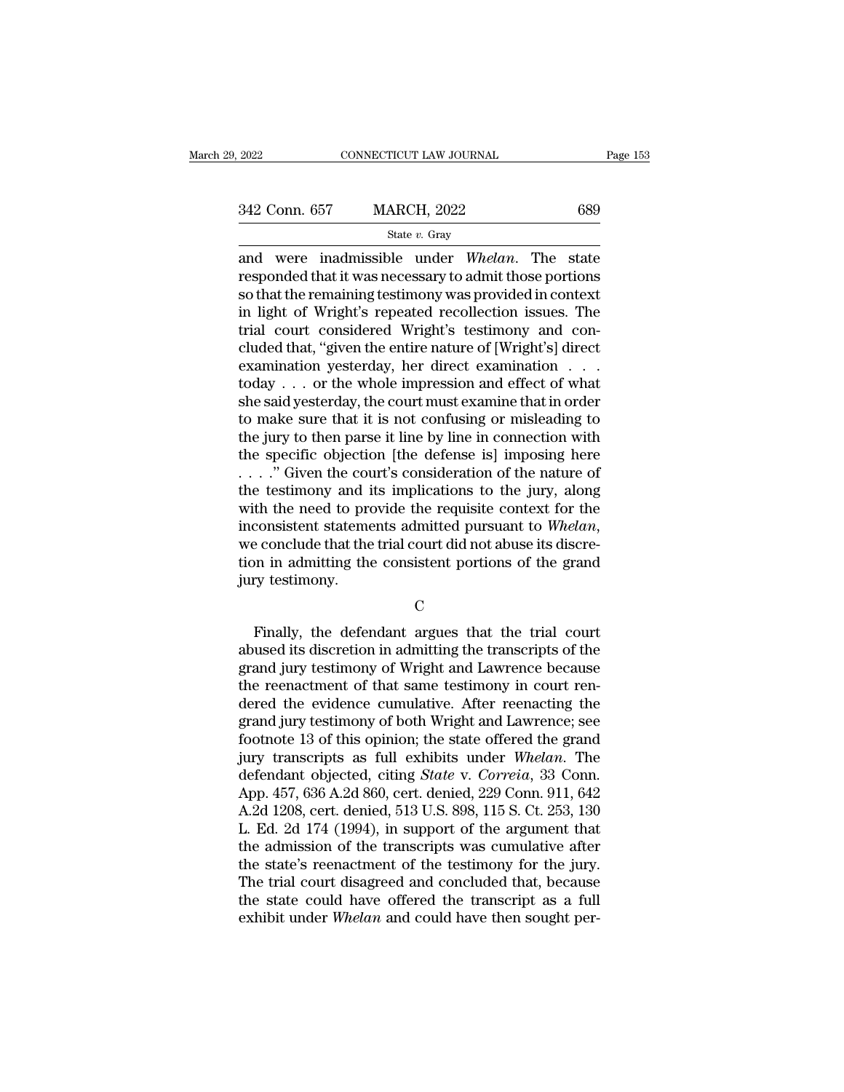## State *v.* Gray

2022 CONNECTICUT LAW JOURNAL Page 153<br>
342 Conn. 657 MARCH, 2022 689<br>
<sup>State v. Gray</sup><br>
and were inadmissible under *Whelan*. The state<br>
responded that it was necessary to admit those portions<br>
so that the remaining testimo 342 Conn. 657 MARCH, 2022 689<br>
State v. Gray<br>
and were inadmissible under *Whelan*. The state<br>
responded that it was necessary to admit those portions<br>
so that the remaining testimony was provided in context<br>
in light of  $\begin{array}{r|l} \text{342 Conn. 657} & \text{MARCH, 2022} & \text{689} \ \hline \\ \text{State } v. \text{ Gray} & \\ \text{and were inadmissible under } \text{Whelan. The state} \ \hline \\ \text{responded that it was necessary to admit those portions} \text{so that the remaining testimony was provided in context} \ \hline \\ \text{in light of Wright's repeated recollections} & \text{These results are not used.} \ \hline \end{array}$ 342 Conn. 657 MARCH, 2022 689<br>  $\frac{\text{State } v. \text{ Gray}}{\text{state } v. \text{ Gray}}$ <br>
and were inadmissible under *Whelan*. The state<br>
responded that it was necessary to admit those portions<br>
so that the remaining testimony was provided in contex State v. Gray<br>
State v. Gray<br>
and were inadmissible under Whelan. The state<br>
responded that it was necessary to admit those portions<br>
so that the remaining testimony was provided in context<br>
in light of Wright's repeated state v. Gray<br>and were inadmissible under *Whelan*. The state<br>responded that it was necessary to admit those portions<br>so that the remaining testimony was provided in context<br>in light of Wright's repeated recollection issu and were inadmissible under *Whelan*. The state<br>responded that it was necessary to admit those portions<br>so that the remaining testimony was provided in context<br>in light of Wright's repeated recollection issues. The<br>trial responded that it was necessary to admit those portions<br>so that the remaining testimony was provided in context<br>in light of Wright's repeated recollection issues. The<br>trial court considered Wright's testimony and con-<br>clud so that the remaining testimony was provided in context<br>in light of Wright's repeated recollection issues. The<br>trial court considered Wright's testimony and con-<br>cluded that, "given the entire nature of [Wright's] direct<br>e in light of Wright's repeated recollection issues. The<br>trial court considered Wright's testimony and con-<br>cluded that, "given the entire nature of [Wright's] direct<br>examination yesterday, her direct examination  $\ldots$ <br>toda trial court considered Wright's testimony and concluded that, "given the entire nature of [Wright's] direct<br>examination yesterday, her direct examination . . .<br>today . . . or the whole impression and effect of what<br>she sai cluded that, "given the entire nature of [Wright's] direct<br>examination yesterday, her direct examination . . .<br>today . . . or the whole impression and effect of what<br>she said yesterday, the court must examine that in orde examination yesterday, her direct examination . . . .<br>today . . . or the whole impression and effect of what<br>she said yesterday, the court must examine that in order<br>to make sure that it is not confusing or misleading to<br> today . . . or the whole impression and effect of what<br>she said yesterday, the court must examine that in order<br>to make sure that it is not confusing or misleading to<br>the jury to then parse it line by line in connection w she said yesterday, the court must examine that in order<br>to make sure that it is not confusing or misleading to<br>the jury to then parse it line by line in connection with<br>the specific objection [the defense is] imposing he to make sure that it is not confusing or misleading to the jury to then parse it line by line in connection with the specific objection [the defense is] imposing here  $\ldots$  . " Given the court's consideration of the natur the specific objection [the defense is] imposing here . . . . ." Given the court's consideration of the nature of the testimony and its implications to the jury, along with the need to provide the requisite context for th with the counties the counties the test<br>imony and in with the need to provinconsistent statement<br>we conclude that the<br>tion in admitting the<br>jury test<br>imony. resonsistent statements admitted pursuant to Whelan,<br>
Finally, the defendant argues that the trial court<br>
Finally, the defendant argues that the trial court<br>
used its discretion in admitting the transcripts of the<br>
and jur

## C<sub>c</sub>

we conclude that the trial court did not abuse its discretion in admitting the consistent portions of the grand<br>jury testimony.<br>C<br>Finally, the defendant argues that the trial court<br>abused its discretion in admitting the tr tion in admitting the consistent portions of the grand<br>jury testimony.<br>C<br>Finally, the defendant argues that the trial court<br>abused its discretion in admitting the transcripts of the<br>grand jury testimony of Wright and Lawre The reem of the reenactment of the reenactment of that same testimony of which relationships are relatively that same testimony in court ren-<br>dered the evidence cumulative. After reenacting the ren-<br>dered the evidence cumu C<br>
Finally, the defendant argues that the trial court<br>
abused its discretion in admitting the transcripts of the<br>
grand jury testimony of Wright and Lawrence because<br>
the reenactment of that same testimony in court ren-<br>
d Finally, the defendant argues that the trial court<br>abused its discretion in admitting the transcripts of the<br>grand jury testimony of Wright and Lawrence because<br>the reenactment of that same testimony in court ren-<br>dered th Finally, the defendant argues that the trial court<br>abused its discretion in admitting the transcripts of the<br>grand jury testimony of Wright and Lawrence because<br>the reenactment of that same testimony in court ren-<br>dered th abused its discretion in admitting the transcripts of the<br>grand jury testimony of Wright and Lawrence because<br>the reenactment of that same testimony in court ren-<br>dered the evidence cumulative. After reenacting the<br>grand j grand jury testimony of Wright and Lawrence because<br>the reenactment of that same testimony in court ren-<br>dered the evidence cumulative. After reenacting the<br>grand jury testimony of both Wright and Lawrence; see<br>footnote 13 the reenactment of that same testimony in court rendered the evidence cumulative. After reenacting the grand jury testimony of both Wright and Lawrence; see footnote 13 of this opinion; the state offered the grand jury tra dered the evidence cumulative. After reenacting the<br>grand jury testimony of both Wright and Lawrence; see<br>footnote 13 of this opinion; the state offered the grand<br>jury transcripts as full exhibits under *Whelan*. The<br>defen grand jury testimony of both Wright and Lawrence; see<br>footnote 13 of this opinion; the state offered the grand<br>jury transcripts as full exhibits under *Whelan*. The<br>defendant objected, citing *State* v. *Correia*, 33 Conn. footnote 13 of this opinion; the state offered the grand<br>jury transcripts as full exhibits under *Whelan*. The<br>defendant objected, citing *State* v. *Correia*, 33 Conn.<br>App. 457, 636 A.2d 860, cert. denied, 229 Conn. 911, jury transcripts as full exhibits under Whelan. The<br>defendant objected, citing *State* v. Correia, 33 Conn.<br>App. 457, 636 A.2d 860, cert. denied, 229 Conn. 911, 642<br>A.2d 1208, cert. denied, 513 U.S. 898, 115 S. Ct. 253, 13 defendant objected, citing *State* v. *Correia*, 33 Conn.<br>App. 457, 636 A.2d 860, cert. denied, 229 Conn. 911, 642<br>A.2d 1208, cert. denied, 513 U.S. 898, 115 S. Ct. 253, 130<br>L. Ed. 2d 174 (1994), in support of the argumen App. 457, 636 A.2d 860, cert. denied, 229 Conn. 911, 642<br>A.2d 1208, cert. denied, 513 U.S. 898, 115 S. Ct. 253, 130<br>L. Ed. 2d 174 (1994), in support of the argument that<br>the admission of the transcripts was cumulative afte A.2d 1208, cert. denied, 513 U.S. 898, 115 S. Ct. 253, 130 L. Ed. 2d 174 (1994), in support of the argument that the admission of the transcripts was cumulative after the state's reenactment of the testimony for the jury.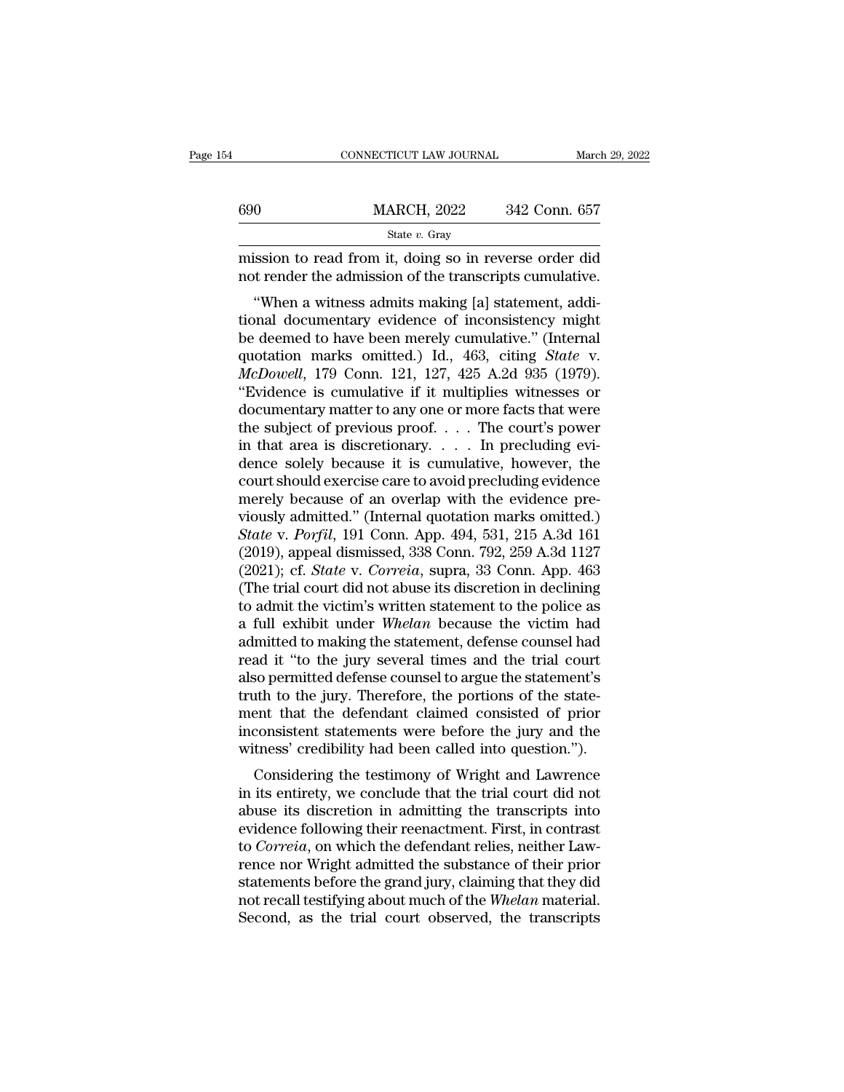|     | CONNECTICUT LAW JOURNAL                                                                                           | March 29, 2022 |
|-----|-------------------------------------------------------------------------------------------------------------------|----------------|
|     |                                                                                                                   |                |
| 690 | <b>MARCH, 2022</b>                                                                                                | 342 Conn. 657  |
|     | State $v$ . Gray                                                                                                  |                |
|     | mission to read from it, doing so in reverse order did<br>not render the admission of the transcripts cumulative. |                |
|     | "When a witness admits making [a] statement, addi-<br>tional documentary evidence of inconsistency might          |                |
|     | he deemed to have been merely cumulative." (Internal                                                              |                |

 $\begin{array}{r} \text{MARCH, 2022} \qquad 342 \text{ Conn. } 657 \\ \text{State } v. \text{ Gray} \qquad \qquad \text{mission to read from it, doing so in reverse order did not render the admission of the transcripts cumulative. \\ \text{"When a witness admits making [a] statement, additional documentary evidence of inconsistency might be deemed to have been merely cumulative." (Internal question, marks, omitted.) Id.  $463$  (siting State V).$ State v. Gray<br>
mission to read from it, doing so in reverse order did<br>
not render the admission of the transcripts cumulative.<br>
"When a witness admits making [a] statement, addi-<br>
tional documentary evidence of inconsiste mission to read from it, doing so in reverse order did<br>not render the admission of the transcripts cumulative.<br>"When a witness admits making [a] statement, addi-<br>tional documentary evidence of inconsistency might<br>be deemed *Mussion to read front it, doing so in reverse order did*<br> *McDowell*, and a witness admits making [a] statement, additional documentary evidence of inconsistency might<br>
be deemed to have been merely cumulative." (Internal "When a witness admits making [a] statement, additional documentary evidence of inconsistency might<br>be deemed to have been merely cumulative." (Internal<br>quotation marks omitted.) Id., 463, citing *State* v.<br> $McDownll$ , 179 Con "When a witness admits making [a] statement, additional documentary evidence of inconsistency might<br>be deemed to have been merely cumulative." (Internal<br>quotation marks omitted.) Id., 463, citing *State* v.<br> $McDowell$ , 179 Con tional documentary evidence of inconsistency might<br>be deemed to have been merely cumulative." (Internal<br>quotation marks omitted.) Id., 463, citing *State* v.<br> $McDowell$ , 179 Conn. 121, 127, 425 A.2d 935 (1979).<br>"Evidence is cu be deemed to have been merely cumulative." (Internal quotation marks omitted.) Id., 463, citing *State* v. *McDowell*, 179 Conn. 121, 127, 425 A.2d 935 (1979). "Evidence is cumulative if it multiplies witnesses or documen quotation marks omitted.) Id., 463, citing *State* v.<br> *McDowell*, 179 Conn. 121, 127, 425 A.2d 935 (1979).<br>
"Evidence is cumulative if it multiplies witnesses or<br>
documentary matter to any one or more facts that were<br>
th McDowell, 179 Conn. 121, 127, 425 A.2d 935 (1979).<br>
"Evidence is cumulative if it multiplies witnesses or<br>
documentary matter to any one or more facts that were<br>
the subject of previous proof.... The court's power<br>
in tha "Evidence is cumulative if it multiplies witnesses or<br>documentary matter to any one or more facts that were<br>the subject of previous proof.... The court's power<br>in that area is discretionary.... In precluding evi-<br>dence so documentary matter to any one or more facts that were<br>the subject of previous proof.... The court's power<br>in that area is discretionary..... In precluding evi-<br>dence solely because it is cumulative, however, the<br>court sho *State v. Porfil*, 191 Conn. App. 494, 531, 215 A.3d 1127<br> *State v. Connel State v. Correlation* and the evidence pre-<br> *State v. Porfil*, 191 Conn. App. 494, 531, 215 A.3d 161<br> *State v. Porfil*, 191 Conn. App. 494, 531, in that area is discretionary. . . . In precluding evidence solely because it is cumulative, however, the court should exercise care to avoid precluding evidence merely because of an overlap with the evidence previously a dence solely because it is cumulative, however, the<br>court should exercise care to avoid precluding evidence<br>merely because of an overlap with the evidence pre-<br>viously admitted." (Internal quotation marks omitted.)<br>*State* court should exercise care to avoid precluding evidence<br>merely because of an overlap with the evidence pre-<br>viously admitted." (Internal quotation marks omitted.)<br>State v. Porfil, 191 Conn. App. 494, 531, 215 A.3d 161<br>(201 merely because of an overlap with the evidence pre-<br>viously admitted." (Internal quotation marks omitted.)<br>State v. Porfil, 191 Conn. App. 494, 531, 215 A.3d 161<br>(2019), appeal dismissed, 338 Conn. 792, 259 A.3d 1127<br>(2021 viously admitted." (Internal quotation marks omitted.)<br> *State* v. *Porfil*, 191 Conn. App. 494, 531, 215 A.3d 161<br>
(2019), appeal dismissed, 338 Conn. 792, 259 A.3d 1127<br>
(2021); cf. *State* v. *Correia*, supra, 33 Conn. State v. Porfil, 191 Conn. App. 494, 531, 215 A.3d 161 (2019), appeal dismissed, 338 Conn. 792, 259 A.3d 1127 (2021); cf. State v. Correia, supra, 33 Conn. App. 463 (The trial court did not abuse its discretion in declinin (2019), appeal dismissed, 338 Conn. 792, 259 A.3d 1127<br>(2021); cf. *State* v. *Correia*, supra, 33 Conn. App. 463<br>(The trial court did not abuse its discretion in declining<br>to admit the victim's written statement to the p (2021); cf. *State* v. *Correia*, supra, 33 Conn. App. 463<br>(The trial court did not abuse its discretion in declining<br>to admit the victim's written statement to the police as<br>a full exhibit under *Whelan* because the vict (The trial court did not abuse its discretion in declining<br>to admit the victim's written statement to the police as<br>a full exhibit under *Whelan* because the victim had<br>admitted to making the statement, defense counsel had to admit the victim's written statement to the police as<br>a full exhibit under *Whelan* because the victim had<br>admitted to making the statement, defense counsel had<br>read it "to the jury several times and the trial court<br>als a full exhibit under *Whelan* because the victim had<br>admitted to making the statement, defense counsel had<br>read it "to the jury several times and the trial court<br>also permitted defense counsel to argue the statement's<br>trut admitted to making the statement, defense counsel had<br>read it "to the jury several times and the trial court<br>also permitted defense counsel to argue the statement's<br>truth to the jury. Therefore, the portions of the state-<br> so permitted defense counsel to argue the statement's<br>th to the jury. Therefore, the portions of the state-<br>ent that the defendant claimed consisted of prior<br>consistent statements were before the jury and the<br>tness' credib also permitted defense courser to argue the statement s<br>truth to the jury. Therefore, the portions of the state-<br>ment that the defendant claimed consisted of prior<br>inconsistent statements were before the jury and the<br>witne

abust that the defendant claimed consisted of prior<br>inconsistent statements were before the jury and the<br>witness' credibility had been called into question.").<br>Considering the testimony of Wright and Lawrence<br>in its entire ment that the defendant claimed consisted of phot<br>inconsistent statements were before the jury and the<br>witness' credibility had been called into question.").<br>Considering the testimony of Wright and Lawrence<br>in its entirety meonsistent statements were before the jury and the<br>witness' credibility had been called into question.").<br>Considering the testimony of Wright and Lawrence<br>in its entirety, we conclude that the trial court did not<br>abuse it rence in its entirety, we conclude that the trial court did not<br>abuse its discretion in admitting the transcripts into<br>evidence following their reenactment. First, in contrast<br>to *Correia*, on which the defendant relies, n Considering the testimony of Wright and Lawrence<br>in its entirety, we conclude that the trial court did not<br>abuse its discretion in admitting the transcripts into<br>evidence following their reenactment. First, in contrast<br>to in its entirety, we conclude that the trial court did not<br>abuse its discretion in admitting the transcripts into<br>evidence following their reenactment. First, in contrast<br>to *Correia*, on which the defendant relies, neither abuse its discretion in admitting the transcripts into evidence following their reenactment. First, in contrast to *Correia*, on which the defendant relies, neither Lawrence nor Wright admitted the substance of their prior